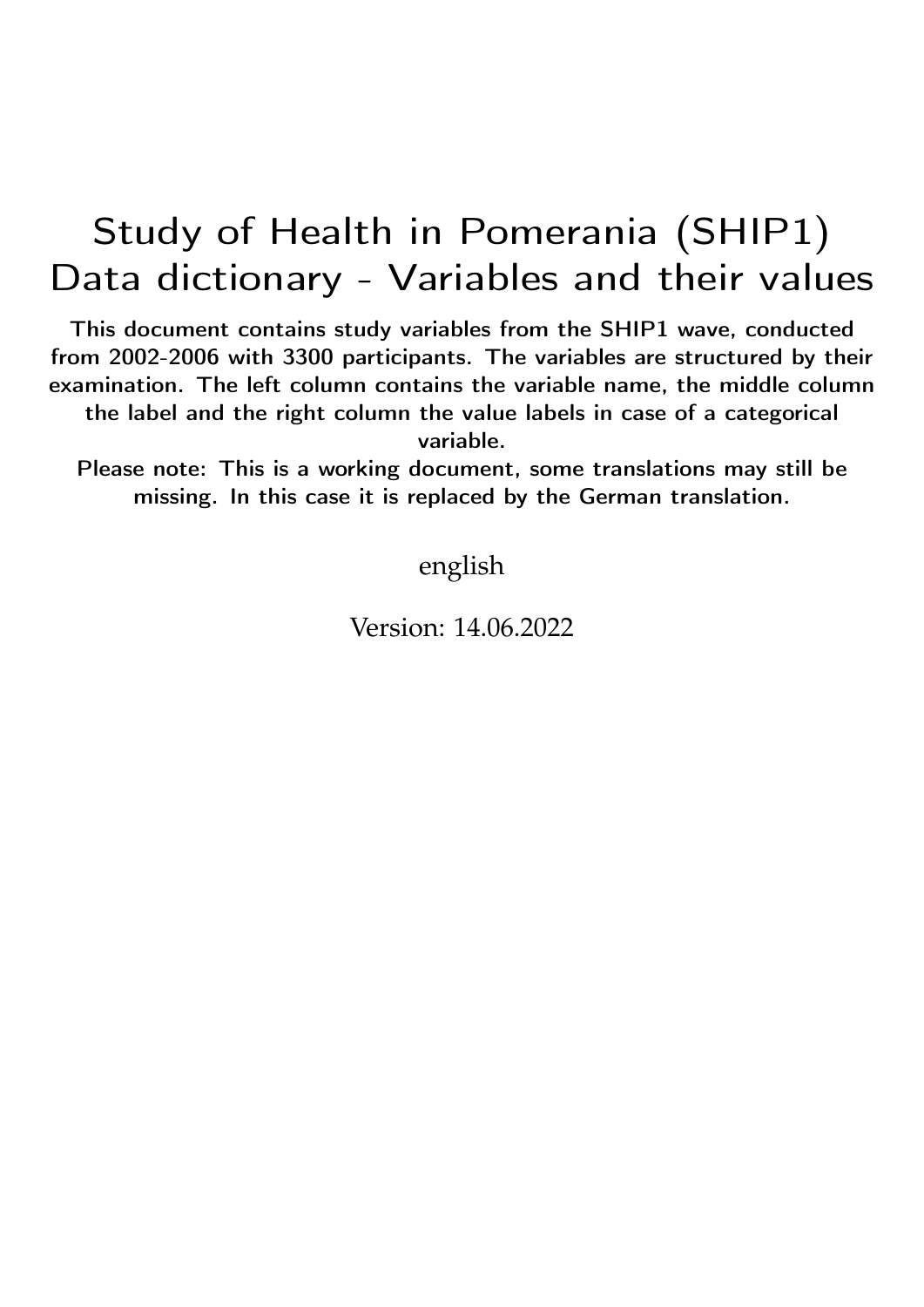## Study of Health in Pomerania (SHIP1) Data dictionary - Variables and their values

This document contains study variables from the SHIP1 wave, conducted from 2002-2006 with 3300 participants. The variables are structured by their examination. The left column contains the variable name, the middle column the label and the right column the value labels in case of a categorical variable.

Please note: This is a working document, some translations may still be missing. In this case it is replaced by the German translation.

english

Version: 14.06.2022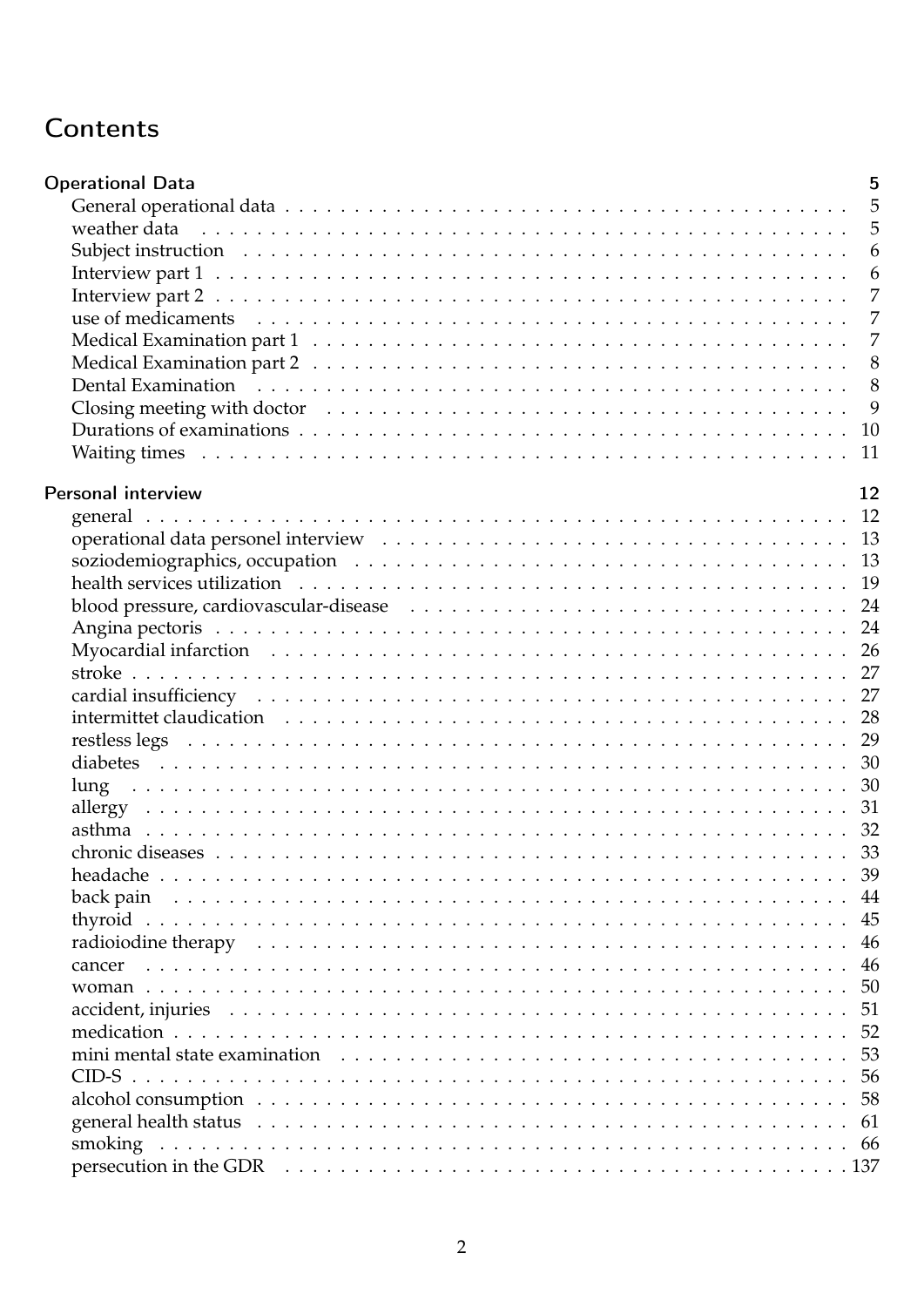## Contents

| <b>Operational Data</b>                                                                                                                                                                                                       | 5              |
|-------------------------------------------------------------------------------------------------------------------------------------------------------------------------------------------------------------------------------|----------------|
|                                                                                                                                                                                                                               | -5             |
| weather data responses to the contract of the contract of the contract of the contract of the contract of the contract of the contract of the contract of the contract of the contract of the contract of the contract of the | 5              |
|                                                                                                                                                                                                                               | 6              |
|                                                                                                                                                                                                                               | 6              |
|                                                                                                                                                                                                                               | $\overline{7}$ |
|                                                                                                                                                                                                                               | 7              |
|                                                                                                                                                                                                                               | $\overline{7}$ |
|                                                                                                                                                                                                                               | 8              |
|                                                                                                                                                                                                                               | 8              |
|                                                                                                                                                                                                                               | 9              |
|                                                                                                                                                                                                                               | 10             |
|                                                                                                                                                                                                                               | 11             |
|                                                                                                                                                                                                                               |                |
| Personal interview                                                                                                                                                                                                            | 12             |
|                                                                                                                                                                                                                               | 12             |
|                                                                                                                                                                                                                               |                |
|                                                                                                                                                                                                                               |                |
|                                                                                                                                                                                                                               |                |
|                                                                                                                                                                                                                               | 24             |
|                                                                                                                                                                                                                               |                |
|                                                                                                                                                                                                                               |                |
|                                                                                                                                                                                                                               |                |
|                                                                                                                                                                                                                               |                |
|                                                                                                                                                                                                                               | 28             |
|                                                                                                                                                                                                                               |                |
|                                                                                                                                                                                                                               |                |
| lung                                                                                                                                                                                                                          |                |
|                                                                                                                                                                                                                               |                |
|                                                                                                                                                                                                                               |                |
|                                                                                                                                                                                                                               |                |
|                                                                                                                                                                                                                               | 39             |
|                                                                                                                                                                                                                               | 44             |
|                                                                                                                                                                                                                               | 45             |
|                                                                                                                                                                                                                               | 46             |
| cancer                                                                                                                                                                                                                        | 46             |
|                                                                                                                                                                                                                               | 50             |
|                                                                                                                                                                                                                               | 51             |
|                                                                                                                                                                                                                               | 52             |
|                                                                                                                                                                                                                               | 53             |
|                                                                                                                                                                                                                               | 56             |
|                                                                                                                                                                                                                               | 58             |
|                                                                                                                                                                                                                               | 61             |
|                                                                                                                                                                                                                               |                |
|                                                                                                                                                                                                                               |                |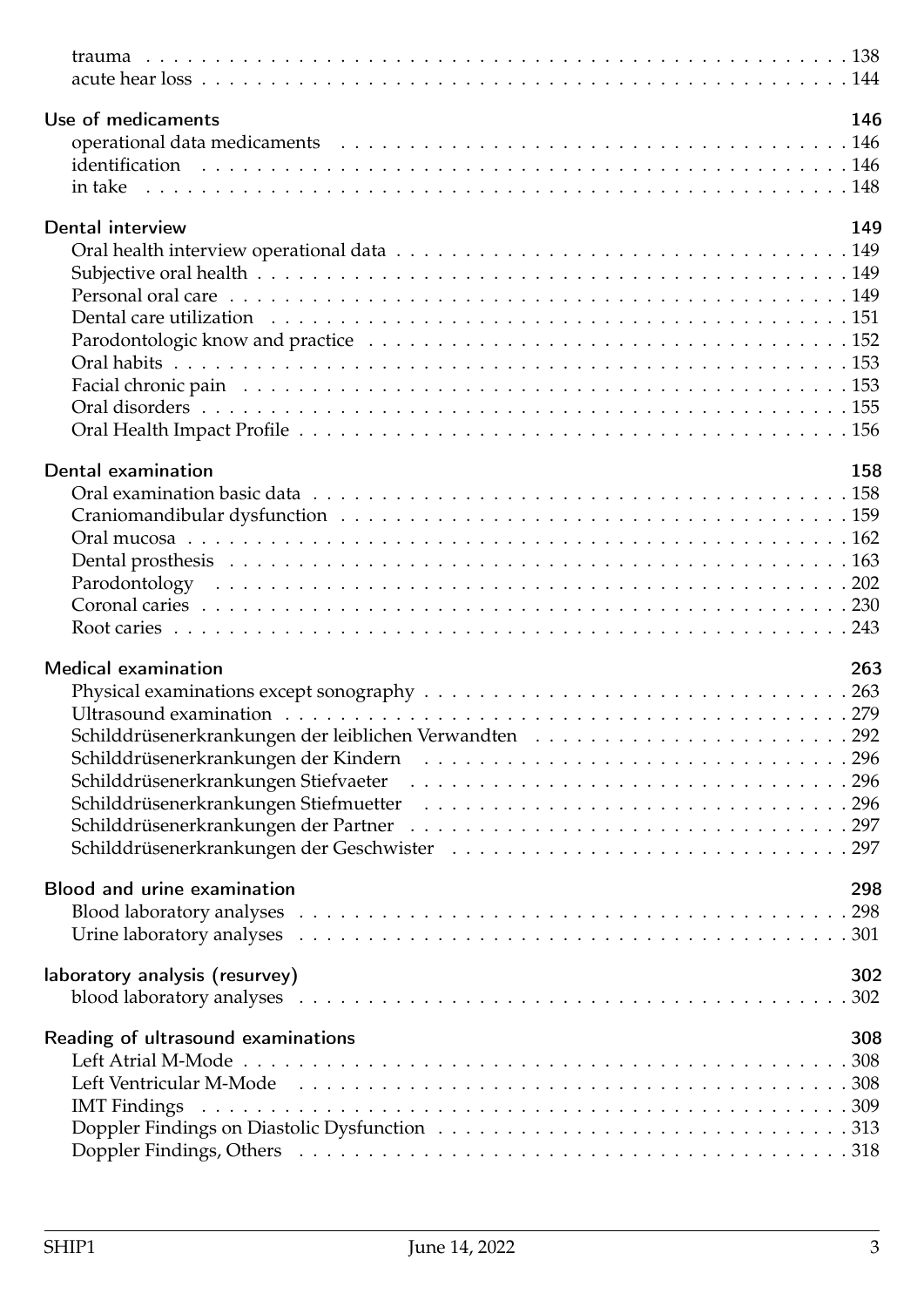| Use of medicaments                                                                                                                                                                                                             | 146 |
|--------------------------------------------------------------------------------------------------------------------------------------------------------------------------------------------------------------------------------|-----|
|                                                                                                                                                                                                                                |     |
|                                                                                                                                                                                                                                |     |
|                                                                                                                                                                                                                                |     |
| Dental interview                                                                                                                                                                                                               | 149 |
|                                                                                                                                                                                                                                |     |
|                                                                                                                                                                                                                                |     |
|                                                                                                                                                                                                                                |     |
|                                                                                                                                                                                                                                |     |
|                                                                                                                                                                                                                                |     |
|                                                                                                                                                                                                                                |     |
|                                                                                                                                                                                                                                |     |
|                                                                                                                                                                                                                                |     |
|                                                                                                                                                                                                                                |     |
|                                                                                                                                                                                                                                |     |
| Dental examination                                                                                                                                                                                                             | 158 |
|                                                                                                                                                                                                                                |     |
|                                                                                                                                                                                                                                |     |
|                                                                                                                                                                                                                                |     |
|                                                                                                                                                                                                                                |     |
|                                                                                                                                                                                                                                |     |
|                                                                                                                                                                                                                                |     |
|                                                                                                                                                                                                                                |     |
| <b>Medical examination</b>                                                                                                                                                                                                     | 263 |
|                                                                                                                                                                                                                                |     |
|                                                                                                                                                                                                                                |     |
| Schilddrüsenerkrankungen der leiblichen Verwandten 292                                                                                                                                                                         |     |
|                                                                                                                                                                                                                                |     |
|                                                                                                                                                                                                                                |     |
|                                                                                                                                                                                                                                |     |
|                                                                                                                                                                                                                                |     |
|                                                                                                                                                                                                                                |     |
|                                                                                                                                                                                                                                |     |
| Blood and urine examination                                                                                                                                                                                                    | 298 |
|                                                                                                                                                                                                                                |     |
|                                                                                                                                                                                                                                |     |
|                                                                                                                                                                                                                                |     |
| laboratory analysis (resurvey)                                                                                                                                                                                                 | 302 |
|                                                                                                                                                                                                                                |     |
| Reading of ultrasound examinations                                                                                                                                                                                             | 308 |
|                                                                                                                                                                                                                                |     |
| Left Ventricular M-Mode runders and the contract of the contract of the contract of the contract of the contract of the contract of the contract of the contract of the contract of the contract of the contract of the contra |     |
| <b>IMT</b> Findings                                                                                                                                                                                                            |     |
|                                                                                                                                                                                                                                |     |
|                                                                                                                                                                                                                                |     |
|                                                                                                                                                                                                                                |     |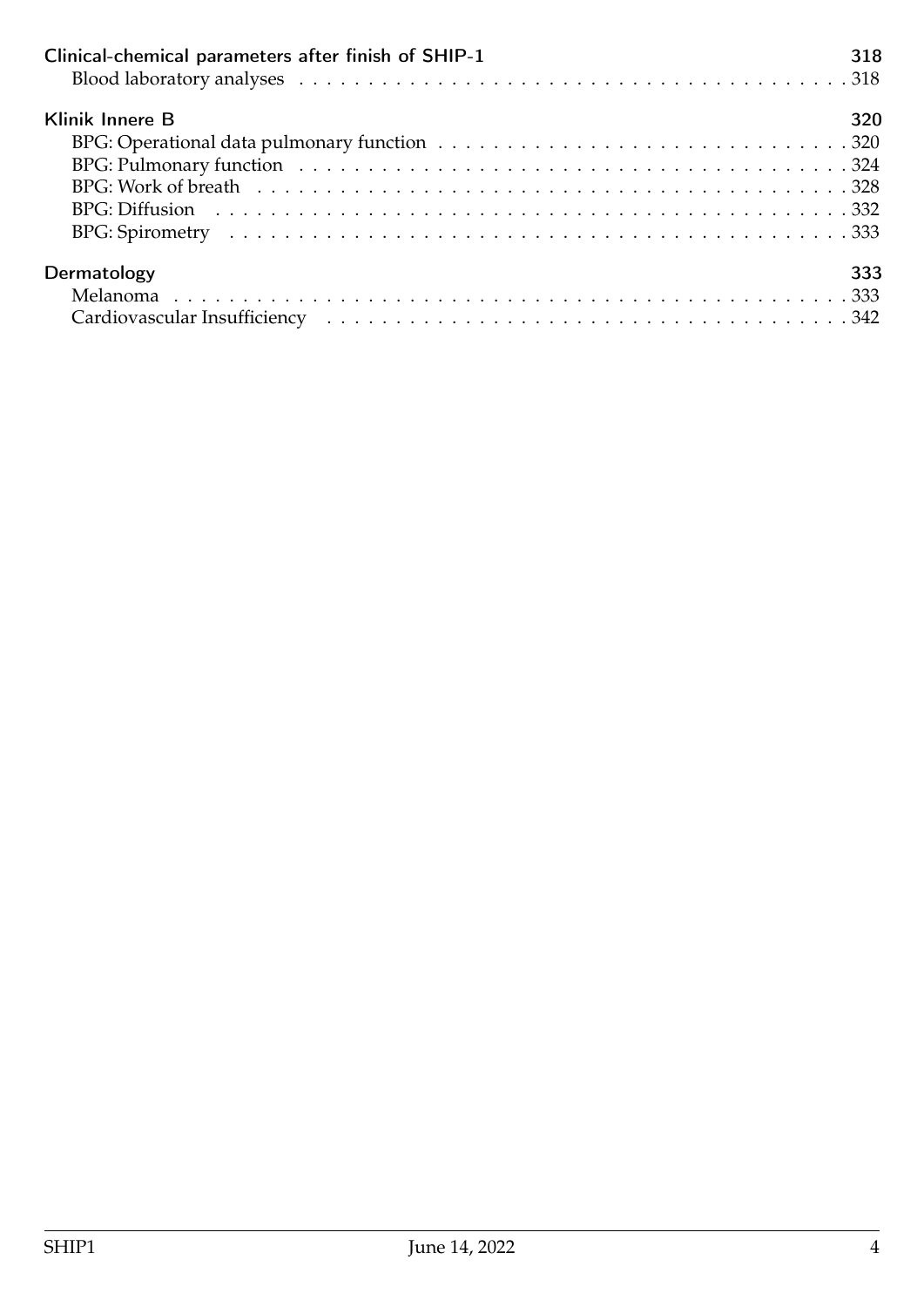| Clinical-chemical parameters after finish of SHIP-1 | 318 |
|-----------------------------------------------------|-----|
| Klinik Innere B                                     | 320 |
|                                                     |     |
|                                                     |     |
|                                                     |     |
|                                                     |     |
|                                                     |     |
| Dermatology                                         | 333 |
|                                                     |     |
|                                                     |     |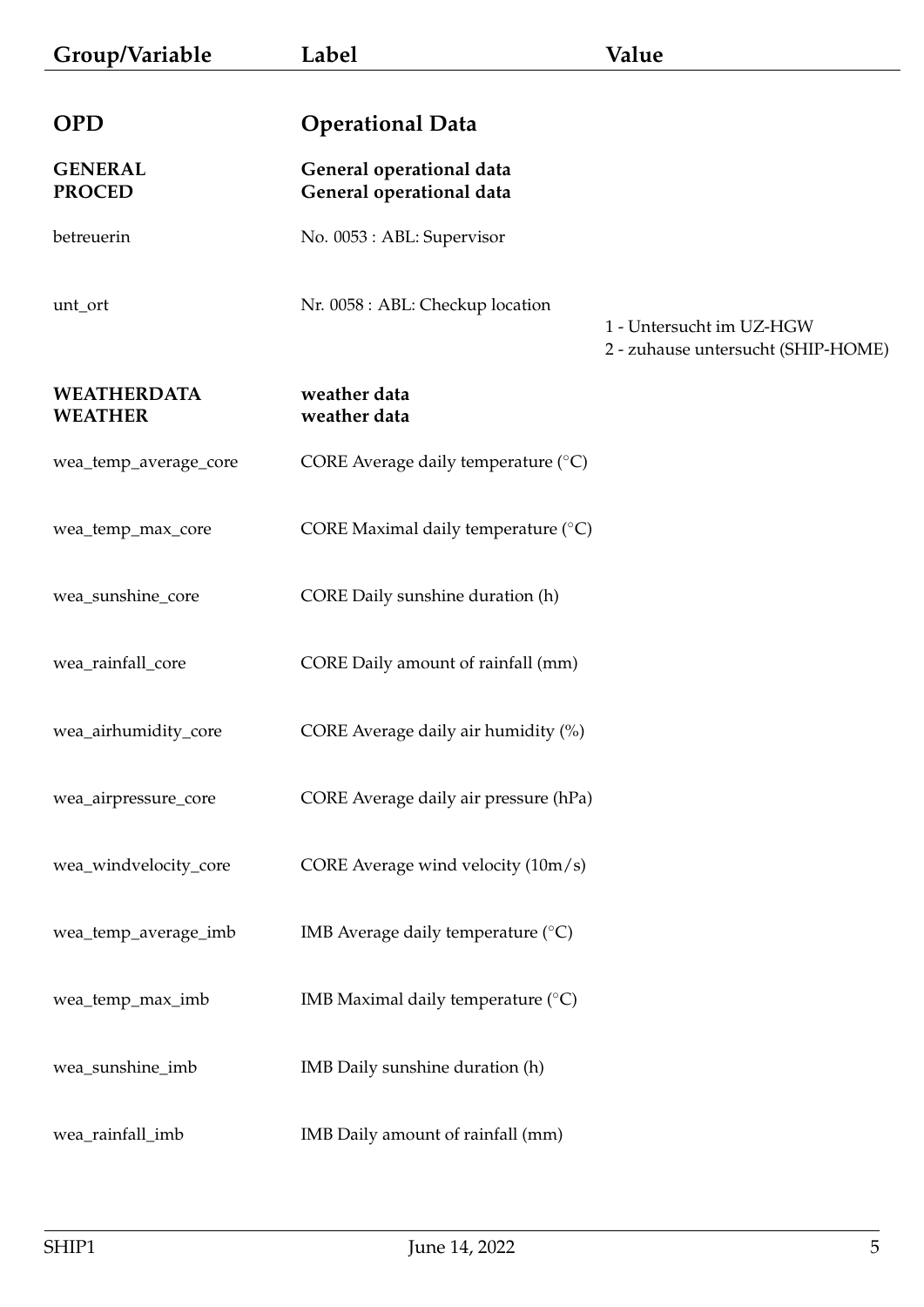<span id="page-4-2"></span><span id="page-4-1"></span><span id="page-4-0"></span>

| Group/Variable                       | Label                                                | Value                                                          |
|--------------------------------------|------------------------------------------------------|----------------------------------------------------------------|
| <b>OPD</b>                           | <b>Operational Data</b>                              |                                                                |
| <b>GENERAL</b><br><b>PROCED</b>      | General operational data<br>General operational data |                                                                |
| betreuerin                           | No. 0053 : ABL: Supervisor                           |                                                                |
| unt_ort                              | Nr. 0058 : ABL: Checkup location                     | 1 - Untersucht im UZ-HGW<br>2 - zuhause untersucht (SHIP-HOME) |
| <b>WEATHERDATA</b><br><b>WEATHER</b> | weather data<br>weather data                         |                                                                |
| wea_temp_average_core                | CORE Average daily temperature (°C)                  |                                                                |
| wea_temp_max_core                    | CORE Maximal daily temperature (°C)                  |                                                                |
| wea_sunshine_core                    | CORE Daily sunshine duration (h)                     |                                                                |
| wea_rainfall_core                    | CORE Daily amount of rainfall (mm)                   |                                                                |
| wea_airhumidity_core                 | CORE Average daily air humidity (%)                  |                                                                |
| wea_airpressure_core                 | CORE Average daily air pressure (hPa)                |                                                                |
| wea_windvelocity_core                | CORE Average wind velocity (10m/s)                   |                                                                |
| wea_temp_average_imb                 | IMB Average daily temperature (°C)                   |                                                                |
| wea_temp_max_imb                     | IMB Maximal daily temperature $(°C)$                 |                                                                |
| wea_sunshine_imb                     | IMB Daily sunshine duration (h)                      |                                                                |
| wea_rainfall_imb                     | IMB Daily amount of rainfall (mm)                    |                                                                |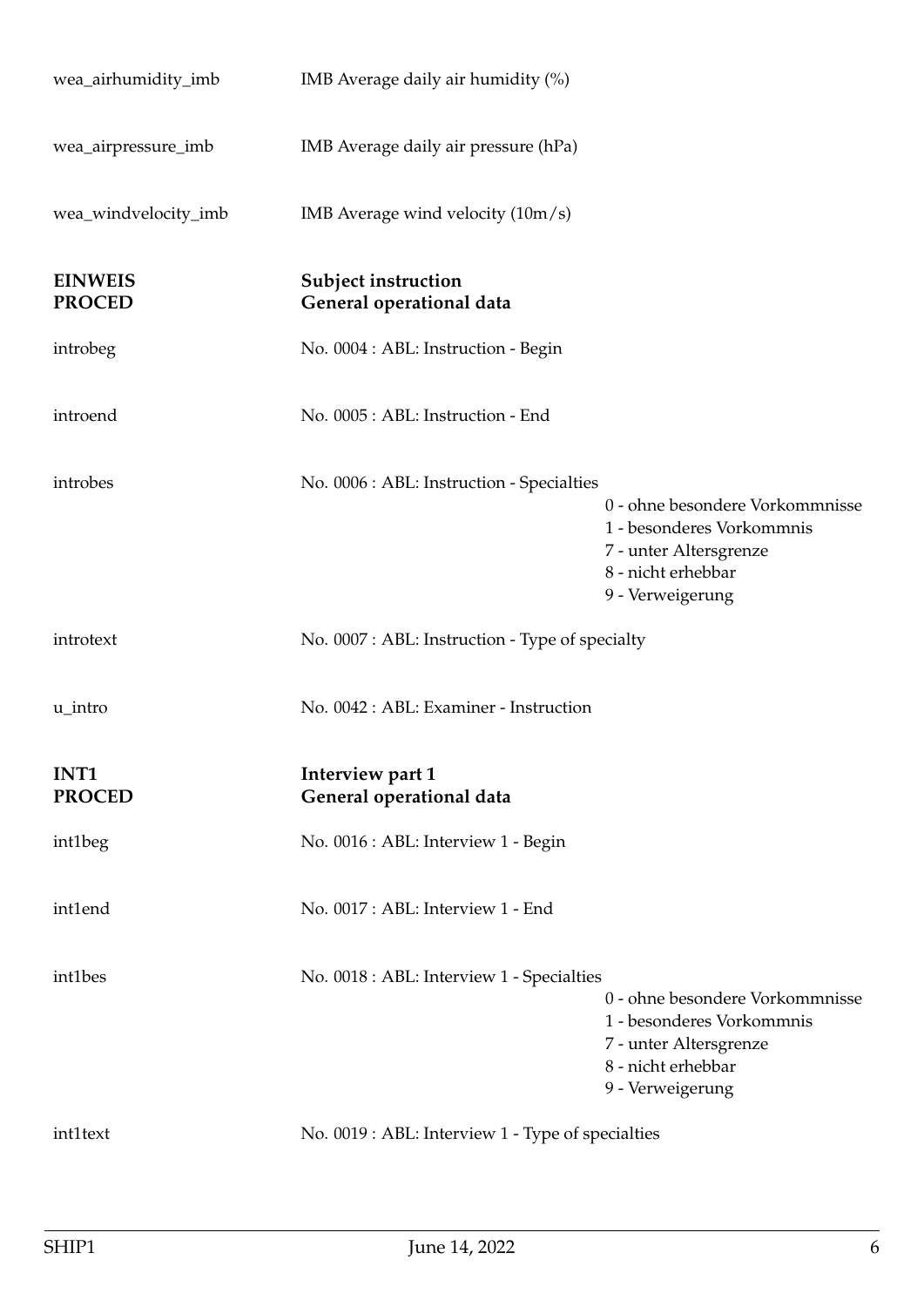<span id="page-5-1"></span><span id="page-5-0"></span>

| wea_airhumidity_imb             | IMB Average daily air humidity (%)                     |                                                                                                                                  |
|---------------------------------|--------------------------------------------------------|----------------------------------------------------------------------------------------------------------------------------------|
| wea_airpressure_imb             | IMB Average daily air pressure (hPa)                   |                                                                                                                                  |
| wea_windvelocity_imb            | IMB Average wind velocity $(10m/s)$                    |                                                                                                                                  |
| <b>EINWEIS</b><br><b>PROCED</b> | <b>Subject instruction</b><br>General operational data |                                                                                                                                  |
| introbeg                        | No. 0004 : ABL: Instruction - Begin                    |                                                                                                                                  |
| introend                        | No. 0005 : ABL: Instruction - End                      |                                                                                                                                  |
| introbes                        | No. 0006 : ABL: Instruction - Specialties              | 0 - ohne besondere Vorkommnisse<br>1 - besonderes Vorkommnis<br>7 - unter Altersgrenze<br>8 - nicht erhebbar<br>9 - Verweigerung |
|                                 |                                                        |                                                                                                                                  |
| introtext                       | No. 0007 : ABL: Instruction - Type of specialty        |                                                                                                                                  |
| u_intro                         | No. 0042 : ABL: Examiner - Instruction                 |                                                                                                                                  |
| INT1<br><b>PROCED</b>           | Interview part 1<br>General operational data           |                                                                                                                                  |
| int1beg                         | No. 0016 : ABL: Interview 1 - Begin                    |                                                                                                                                  |
| int1end                         | No. 0017: ABL: Interview 1 - End                       |                                                                                                                                  |
| int1bes                         | No. 0018 : ABL: Interview 1 - Specialties              | 0 - ohne besondere Vorkommnisse<br>1 - besonderes Vorkommnis<br>7 - unter Altersgrenze<br>8 - nicht erhebbar<br>9 - Verweigerung |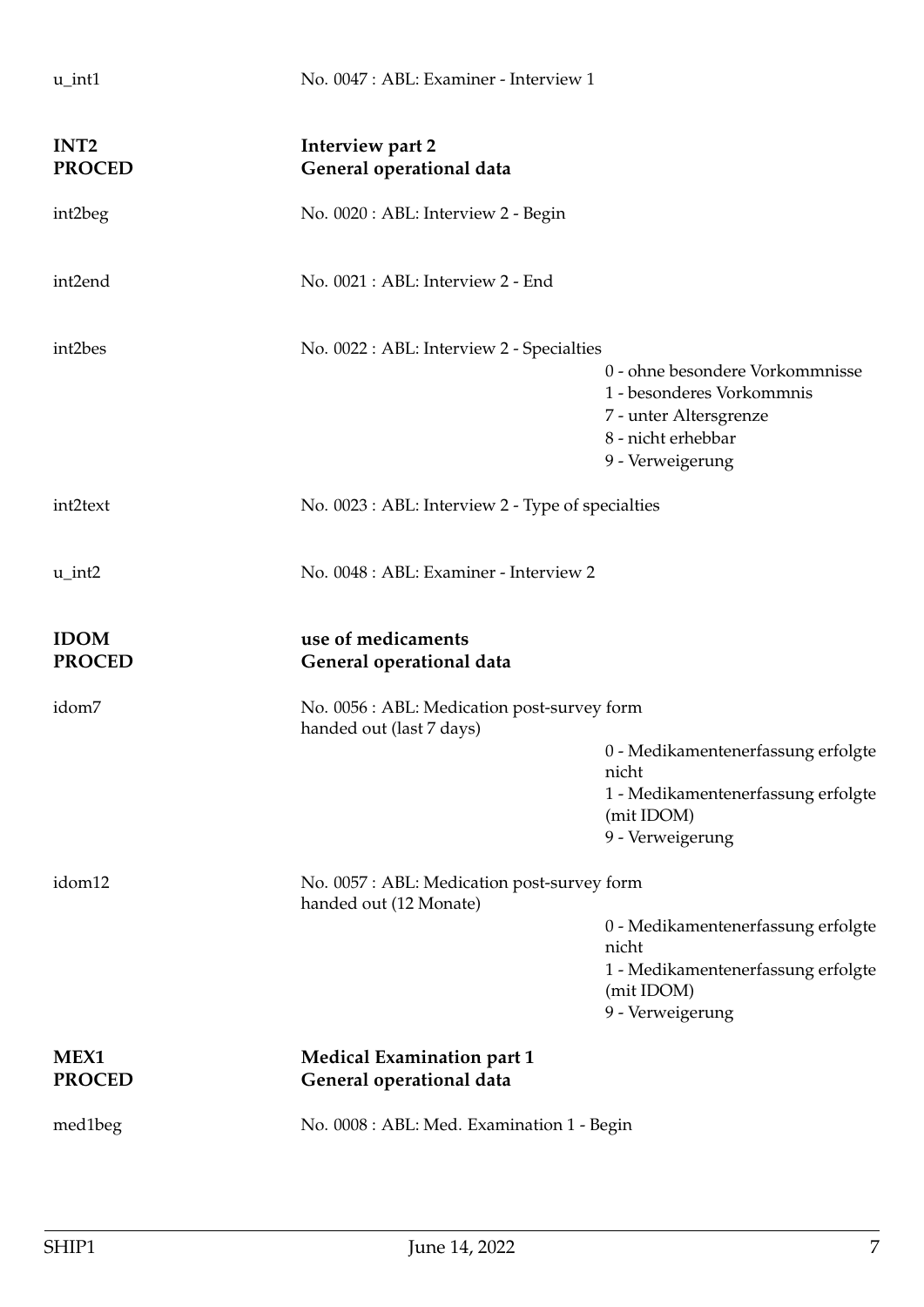<span id="page-6-2"></span><span id="page-6-1"></span><span id="page-6-0"></span>

| $u$ _int1                         | No. 0047 : ABL: Examiner - Interview 1                                  |                                                                                                                                  |
|-----------------------------------|-------------------------------------------------------------------------|----------------------------------------------------------------------------------------------------------------------------------|
| INT <sub>2</sub><br><b>PROCED</b> | Interview part 2<br>General operational data                            |                                                                                                                                  |
| int2beg                           | No. 0020 : ABL: Interview 2 - Begin                                     |                                                                                                                                  |
| int2end                           | No. 0021 : ABL: Interview 2 - End                                       |                                                                                                                                  |
| int2bes                           | No. 0022 : ABL: Interview 2 - Specialties                               | 0 - ohne besondere Vorkommnisse<br>1 - besonderes Vorkommnis<br>7 - unter Altersgrenze<br>8 - nicht erhebbar<br>9 - Verweigerung |
| int2text                          | No. 0023 : ABL: Interview 2 - Type of specialties                       |                                                                                                                                  |
| $u$ _int2                         | No. 0048 : ABL: Examiner - Interview 2                                  |                                                                                                                                  |
|                                   |                                                                         |                                                                                                                                  |
| <b>IDOM</b><br><b>PROCED</b>      | use of medicaments<br>General operational data                          |                                                                                                                                  |
| idom7                             | No. 0056 : ABL: Medication post-survey form<br>handed out (last 7 days) |                                                                                                                                  |
|                                   |                                                                         | 0 - Medikamentenerfassung erfolgte<br>nicht<br>1 - Medikamentenerfassung erfolgte<br>(mit IDOM)<br>9 - Verweigerung              |
| idom12                            | No. 0057 : ABL: Medication post-survey form<br>handed out (12 Monate)   |                                                                                                                                  |
|                                   |                                                                         | 0 - Medikamentenerfassung erfolgte<br>nicht<br>1 - Medikamentenerfassung erfolgte<br>(mit IDOM)<br>9 - Verweigerung              |
| MEX1<br><b>PROCED</b>             | <b>Medical Examination part 1</b><br>General operational data           |                                                                                                                                  |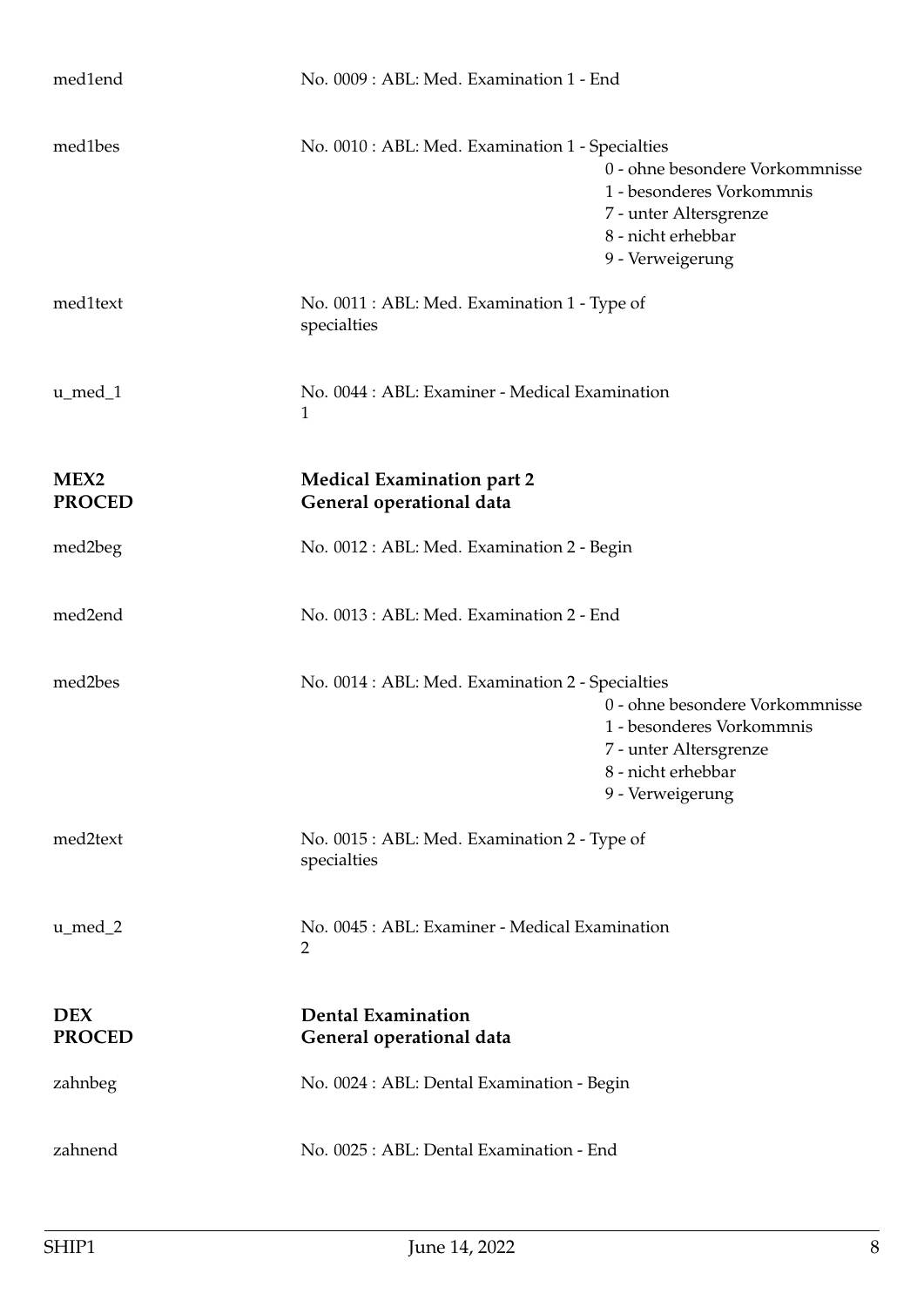<span id="page-7-1"></span><span id="page-7-0"></span>

| med1end                           | No. 0009: ABL: Med. Examination 1 - End                          |                                                                                                                                  |
|-----------------------------------|------------------------------------------------------------------|----------------------------------------------------------------------------------------------------------------------------------|
| med1bes                           | No. 0010 : ABL: Med. Examination 1 - Specialties                 | 0 - ohne besondere Vorkommnisse<br>1 - besonderes Vorkommnis<br>7 - unter Altersgrenze<br>8 - nicht erhebbar<br>9 - Verweigerung |
| med1text                          | No. 0011 : ABL: Med. Examination 1 - Type of<br>specialties      |                                                                                                                                  |
| $u$ _med_1                        | No. 0044 : ABL: Examiner - Medical Examination<br>1              |                                                                                                                                  |
| MEX <sub>2</sub><br><b>PROCED</b> | <b>Medical Examination part 2</b><br>General operational data    |                                                                                                                                  |
| med2beg                           | No. 0012 : ABL: Med. Examination 2 - Begin                       |                                                                                                                                  |
| med2end                           | No. 0013 : ABL: Med. Examination 2 - End                         |                                                                                                                                  |
| med2bes                           | No. 0014 : ABL: Med. Examination 2 - Specialties                 | 0 - ohne besondere Vorkommnisse<br>1 - besonderes Vorkommnis<br>7 - unter Altersgrenze<br>8 - nicht erhebbar<br>9 - Verweigerung |
| med2text                          | No. 0015 : ABL: Med. Examination 2 - Type of<br>specialties      |                                                                                                                                  |
| u_med_2                           | No. 0045 : ABL: Examiner - Medical Examination<br>$\overline{2}$ |                                                                                                                                  |
| <b>DEX</b><br><b>PROCED</b>       | <b>Dental Examination</b><br>General operational data            |                                                                                                                                  |
| zahnbeg                           | No. 0024 : ABL: Dental Examination - Begin                       |                                                                                                                                  |
| zahnend                           | No. 0025 : ABL: Dental Examination - End                         |                                                                                                                                  |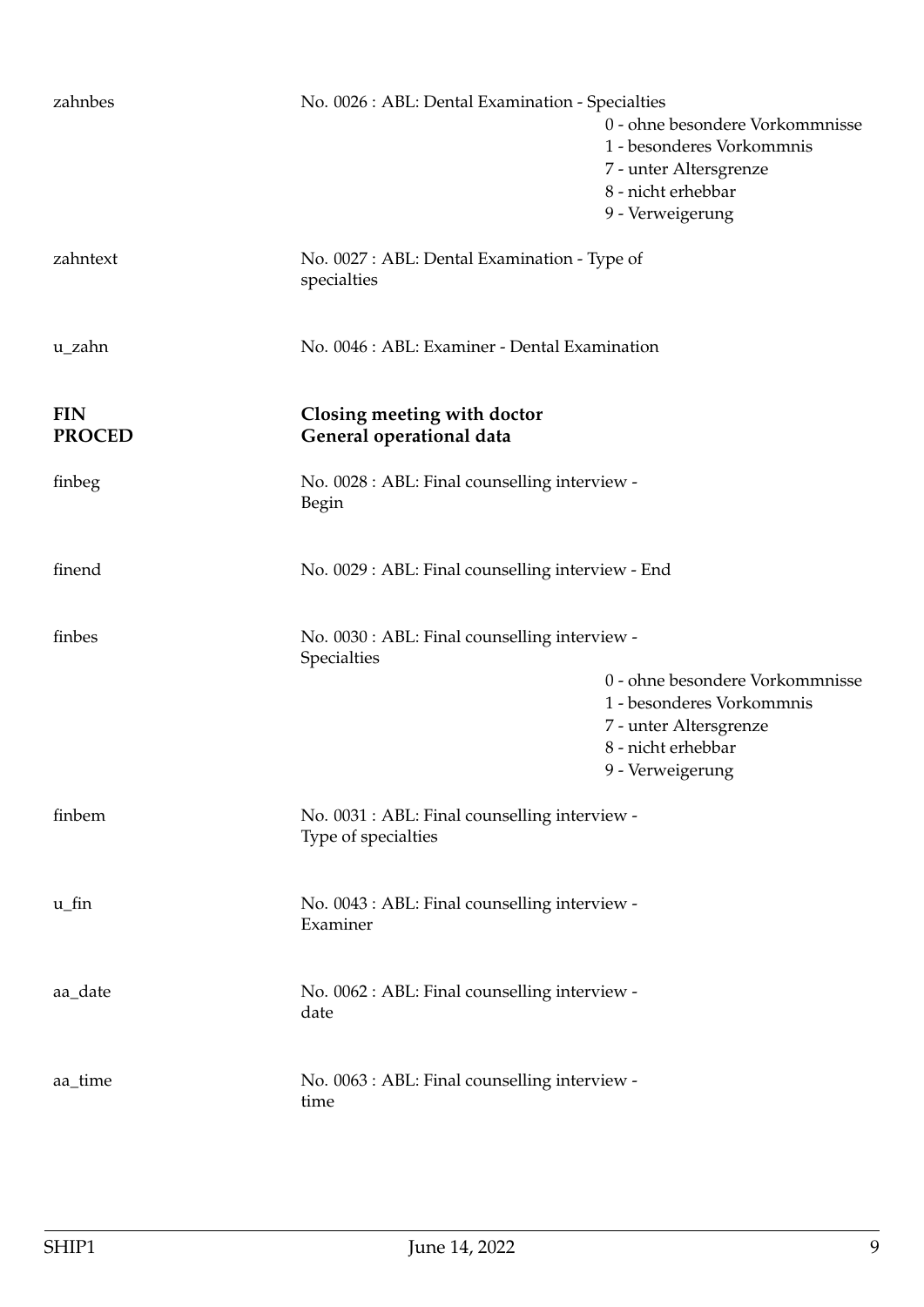<span id="page-8-0"></span>

| zahnbes                     | No. 0026 : ABL: Dental Examination - Specialties                     | 0 - ohne besondere Vorkommnisse<br>1 - besonderes Vorkommnis<br>7 - unter Altersgrenze<br>8 - nicht erhebbar<br>9 - Verweigerung |
|-----------------------------|----------------------------------------------------------------------|----------------------------------------------------------------------------------------------------------------------------------|
| zahntext                    | No. 0027 : ABL: Dental Examination - Type of<br>specialties          |                                                                                                                                  |
| u_zahn                      | No. 0046 : ABL: Examiner - Dental Examination                        |                                                                                                                                  |
| <b>FIN</b><br><b>PROCED</b> | Closing meeting with doctor<br>General operational data              |                                                                                                                                  |
| finbeg                      | No. 0028 : ABL: Final counselling interview -<br>Begin               |                                                                                                                                  |
| finend                      | No. 0029 : ABL: Final counselling interview - End                    |                                                                                                                                  |
| finbes                      | No. 0030 : ABL: Final counselling interview -<br>Specialties         | 0 - ohne besondere Vorkommnisse<br>1 - besonderes Vorkommnis<br>7 - unter Altersgrenze<br>8 - nicht erhebbar<br>9 - Verweigerung |
| finbem                      | No. 0031 : ABL: Final counselling interview -<br>Type of specialties |                                                                                                                                  |
| $u$ _fin                    | No. 0043 : ABL: Final counselling interview -<br>Examiner            |                                                                                                                                  |
| aa_date                     | No. 0062 : ABL: Final counselling interview -<br>date                |                                                                                                                                  |
| aa_time                     | No. 0063 : ABL: Final counselling interview -<br>time                |                                                                                                                                  |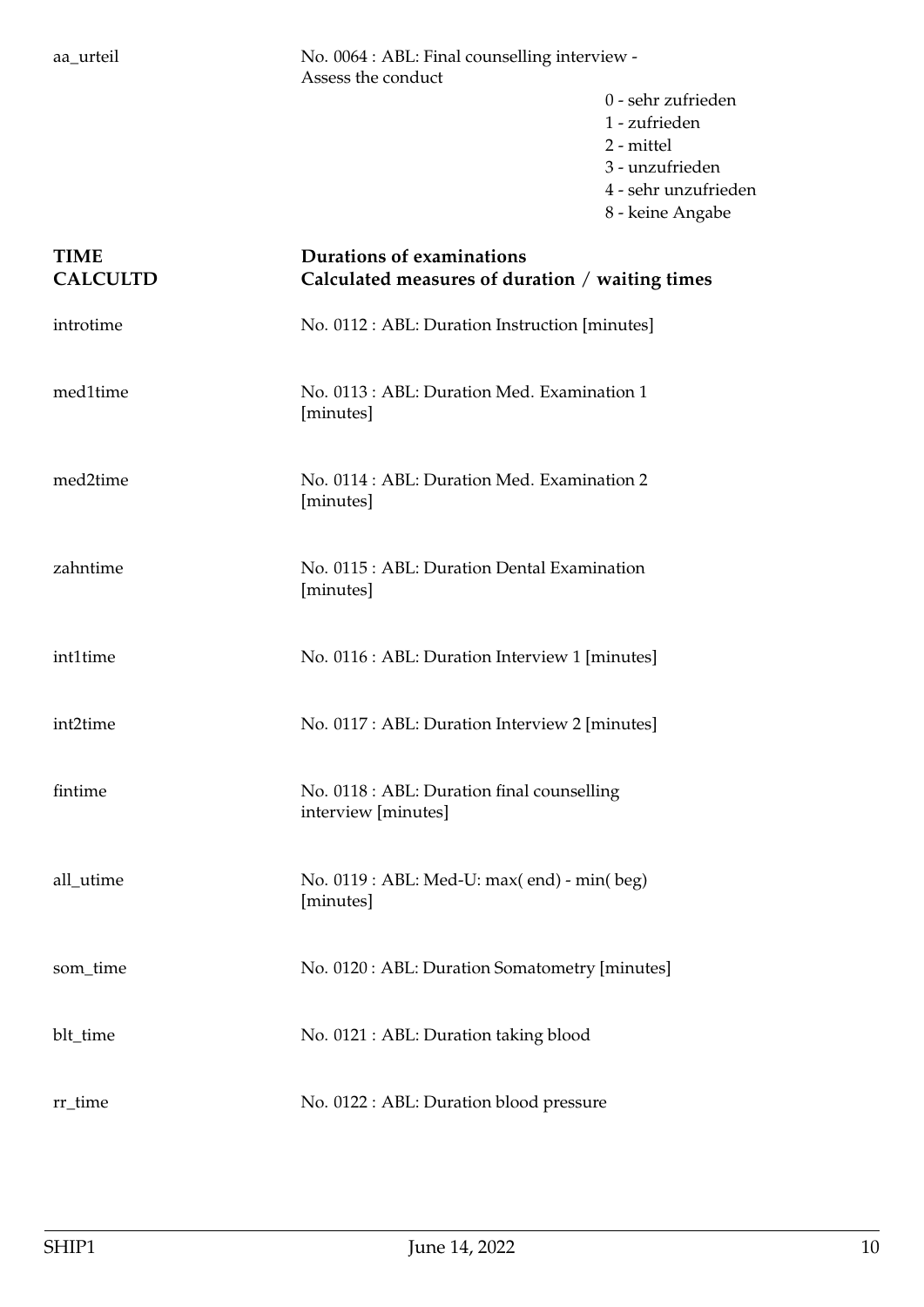aa\_urteil No. 0064 : ABL: Final counselling interview - Assess the conduct

- 0 sehr zufrieden 1 - zufrieden 2 - mittel 3 - unzufrieden 4 - sehr unzufrieden
- 8 keine Angabe

## <span id="page-9-0"></span>**TIME Durations of examinations CALCULTD Calculated measures of duration** / **waiting times** introtime No. 0112 : ABL: Duration Instruction [minutes] med1time No. 0113 : ABL: Duration Med. Examination 1 [minutes] med2time No. 0114 : ABL: Duration Med. Examination 2 [minutes] zahntime No. 0115 : ABL: Duration Dental Examination [minutes] int1time No. 0116 : ABL: Duration Interview 1 [minutes] int2time No. 0117 : ABL: Duration Interview 2 [minutes] fintime No. 0118 : ABL: Duration final counselling interview [minutes] all\_utime No. 0119 : ABL: Med-U: max( end) - min( beg) [minutes] som\_time No. 0120 : ABL: Duration Somatometry [minutes] blt\_time No. 0121 : ABL: Duration taking blood rr\_time No. 0122 : ABL: Duration blood pressure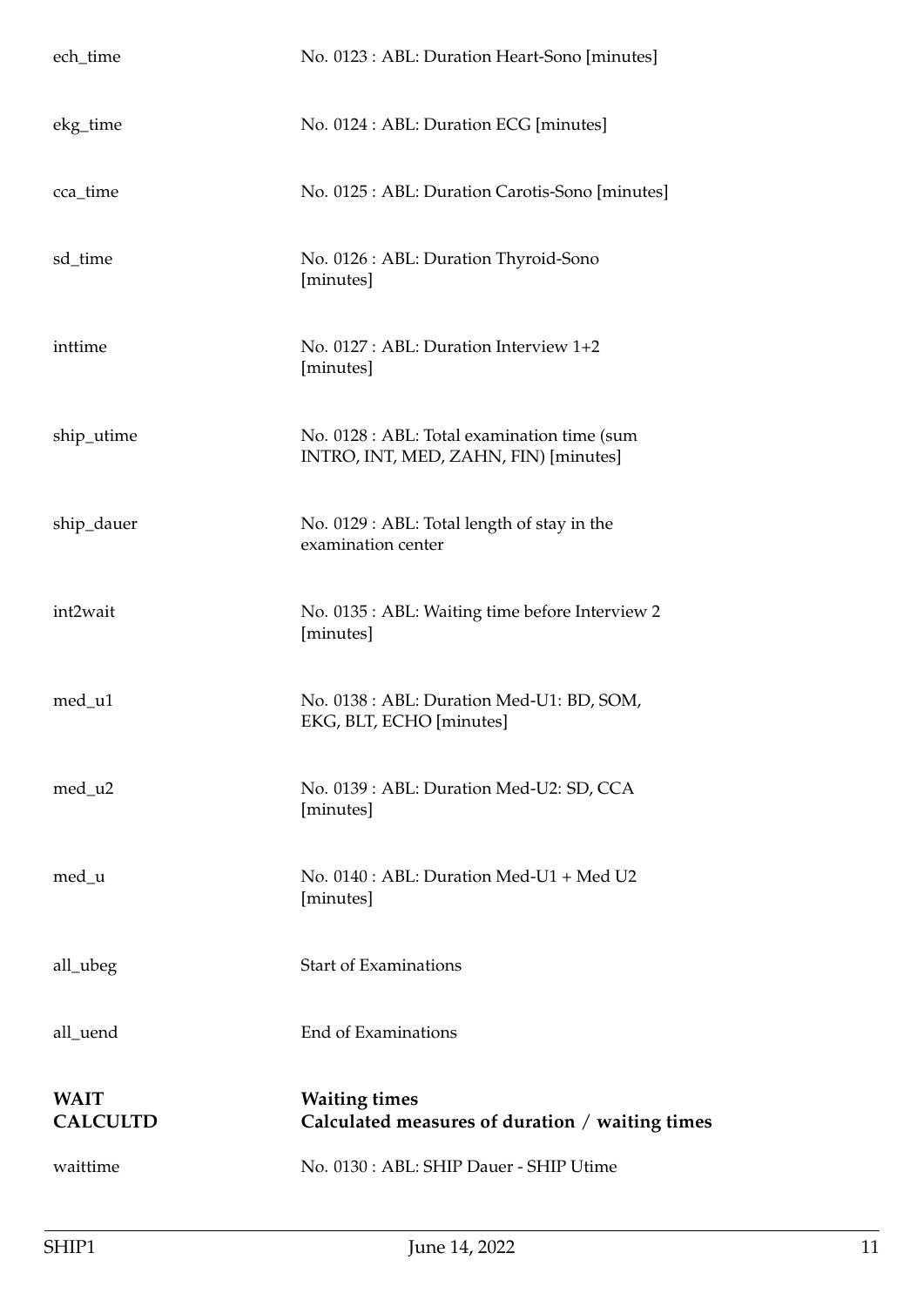<span id="page-10-0"></span>

| ech_time                       | No. 0123 : ABL: Duration Heart-Sono [minutes]                                        |
|--------------------------------|--------------------------------------------------------------------------------------|
| ekg_time                       | No. 0124 : ABL: Duration ECG [minutes]                                               |
| cca_time                       | No. 0125 : ABL: Duration Carotis-Sono [minutes]                                      |
| sd_time                        | No. 0126 : ABL: Duration Thyroid-Sono<br>[minutes]                                   |
| inttime                        | No. 0127 : ABL: Duration Interview 1+2<br>[minutes]                                  |
| ship_utime                     | No. 0128 : ABL: Total examination time (sum<br>INTRO, INT, MED, ZAHN, FIN) [minutes] |
| ship_dauer                     | No. 0129 : ABL: Total length of stay in the<br>examination center                    |
| int2wait                       | No. 0135 : ABL: Waiting time before Interview 2<br>[minutes]                         |
| med_u1                         | No. 0138 : ABL: Duration Med-U1: BD, SOM,<br>EKG, BLT, ECHO [minutes]                |
| med_u2                         | No. 0139 : ABL: Duration Med-U2: SD, CCA<br>[minutes]                                |
| med_u                          | No. $0140$ : ABL: Duration Med-U1 + Med U2<br>[minutes]                              |
| all_ubeg                       | <b>Start of Examinations</b>                                                         |
| all_uend                       | End of Examinations                                                                  |
| <b>WAIT</b><br><b>CALCULTD</b> | <b>Waiting times</b><br>Calculated measures of duration / waiting times              |
| waittime                       | No. 0130 : ABL: SHIP Dauer - SHIP Utime                                              |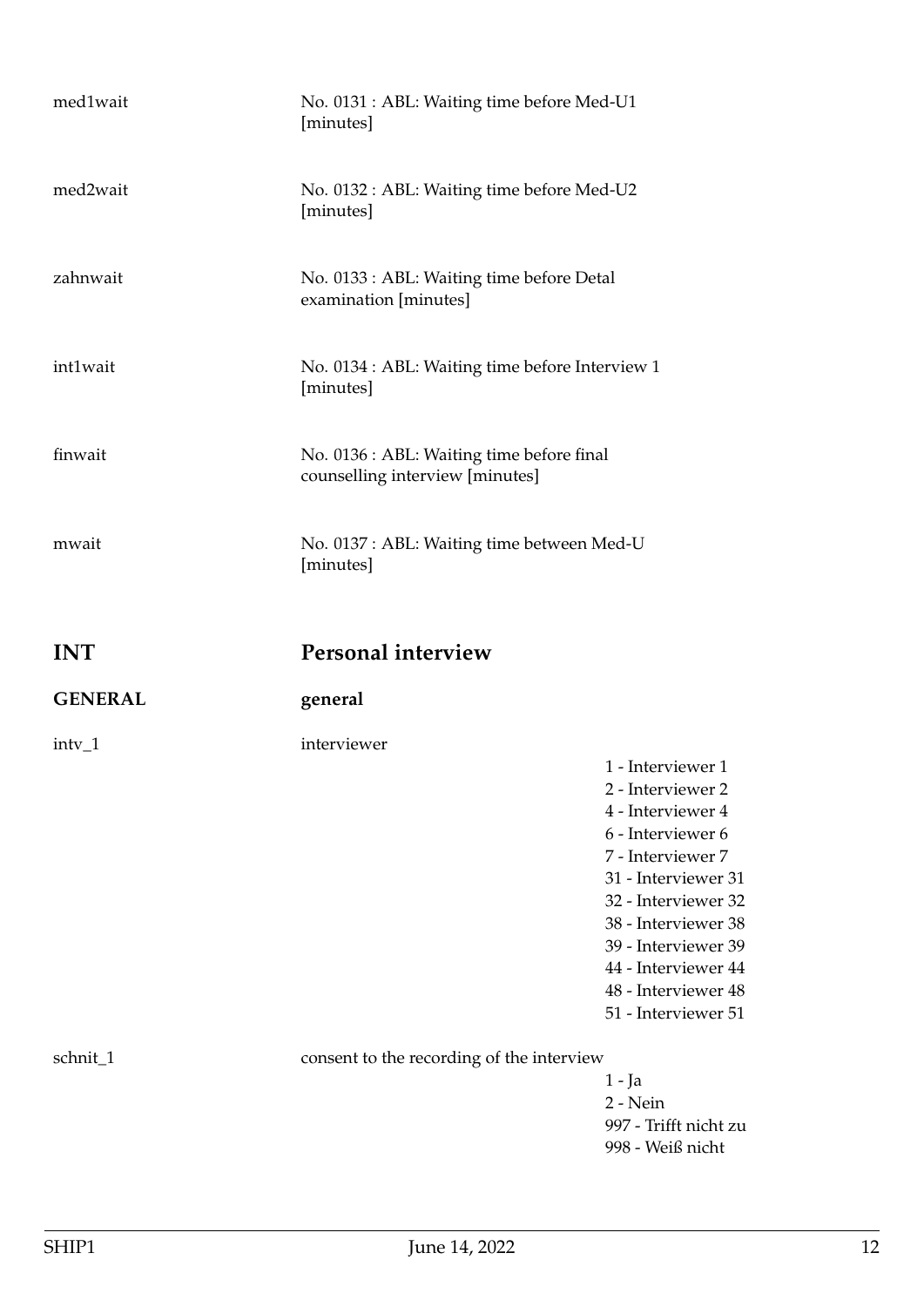<span id="page-11-1"></span><span id="page-11-0"></span>

| med1wait       | No. 0131 : ABL: Waiting time before Med-U1<br>[minutes]                      |                                                                                                                                                                                                                                                                        |
|----------------|------------------------------------------------------------------------------|------------------------------------------------------------------------------------------------------------------------------------------------------------------------------------------------------------------------------------------------------------------------|
| med2wait       | No. 0132 : ABL: Waiting time before Med-U2<br>[minutes]                      |                                                                                                                                                                                                                                                                        |
| zahnwait       | No. 0133 : ABL: Waiting time before Detal<br>examination [minutes]           |                                                                                                                                                                                                                                                                        |
| int1wait       | No. 0134 : ABL: Waiting time before Interview 1<br>[minutes]                 |                                                                                                                                                                                                                                                                        |
| finwait        | No. 0136 : ABL: Waiting time before final<br>counselling interview [minutes] |                                                                                                                                                                                                                                                                        |
| mwait          | No. 0137 : ABL: Waiting time between Med-U<br>[minutes]                      |                                                                                                                                                                                                                                                                        |
| <b>INT</b>     | <b>Personal interview</b>                                                    |                                                                                                                                                                                                                                                                        |
| <b>GENERAL</b> | general                                                                      |                                                                                                                                                                                                                                                                        |
| intv_1         | interviewer                                                                  | 1 - Interviewer 1<br>2 - Interviewer 2<br>4 - Interviewer 4<br>6 - Interviewer 6<br>7 - Interviewer 7<br>31 - Interviewer 31<br>32 - Interviewer 32<br>38 - Interviewer 38<br>39 - Interviewer 39<br>44 - Interviewer 44<br>48 - Interviewer 48<br>51 - Interviewer 51 |
| schnit_1       | consent to the recording of the interview                                    | 1 - Ja<br>2 - Nein<br>997 - Trifft nicht zu<br>998 - Weiß nicht                                                                                                                                                                                                        |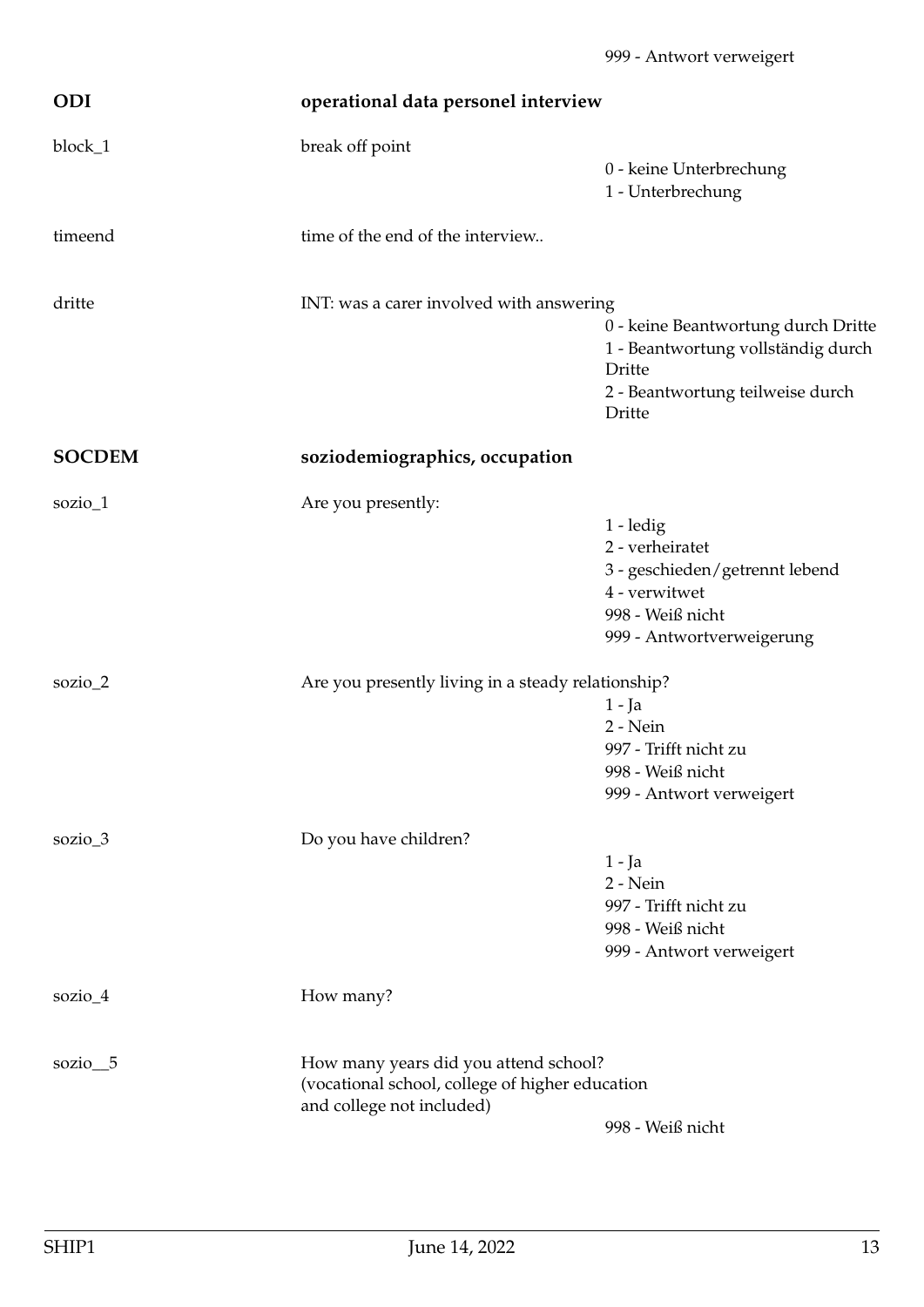<span id="page-12-1"></span><span id="page-12-0"></span>

| <b>ODI</b>    | operational data personel interview                                                                                   |                                                                                                                                   |
|---------------|-----------------------------------------------------------------------------------------------------------------------|-----------------------------------------------------------------------------------------------------------------------------------|
| block_1       | break off point                                                                                                       | 0 - keine Unterbrechung<br>1 - Unterbrechung                                                                                      |
| timeend       | time of the end of the interview                                                                                      |                                                                                                                                   |
| dritte        | INT: was a carer involved with answering                                                                              | 0 - keine Beantwortung durch Dritte<br>1 - Beantwortung vollständig durch<br>Dritte<br>2 - Beantwortung teilweise durch<br>Dritte |
| <b>SOCDEM</b> | soziodemiographics, occupation                                                                                        |                                                                                                                                   |
| sozio $_1$    | Are you presently:                                                                                                    | 1 - ledig<br>2 - verheiratet<br>3 - geschieden/getrennt lebend<br>4 - verwitwet<br>998 - Weiß nicht<br>999 - Antwortverweigerung  |
| sozio_ $2$    | Are you presently living in a steady relationship?                                                                    | $1 - Ja$<br>2 - Nein<br>997 - Trifft nicht zu<br>998 - Weiß nicht<br>999 - Antwort verweigert                                     |
| sozio_3       | Do you have children?                                                                                                 | $1 - Ja$<br>2 - Nein<br>997 - Trifft nicht zu<br>998 - Weiß nicht<br>999 - Antwort verweigert                                     |
| sozio_4       | How many?                                                                                                             |                                                                                                                                   |
| sozio $\_5$   | How many years did you attend school?<br>(vocational school, college of higher education<br>and college not included) | 998 - Weiß nicht                                                                                                                  |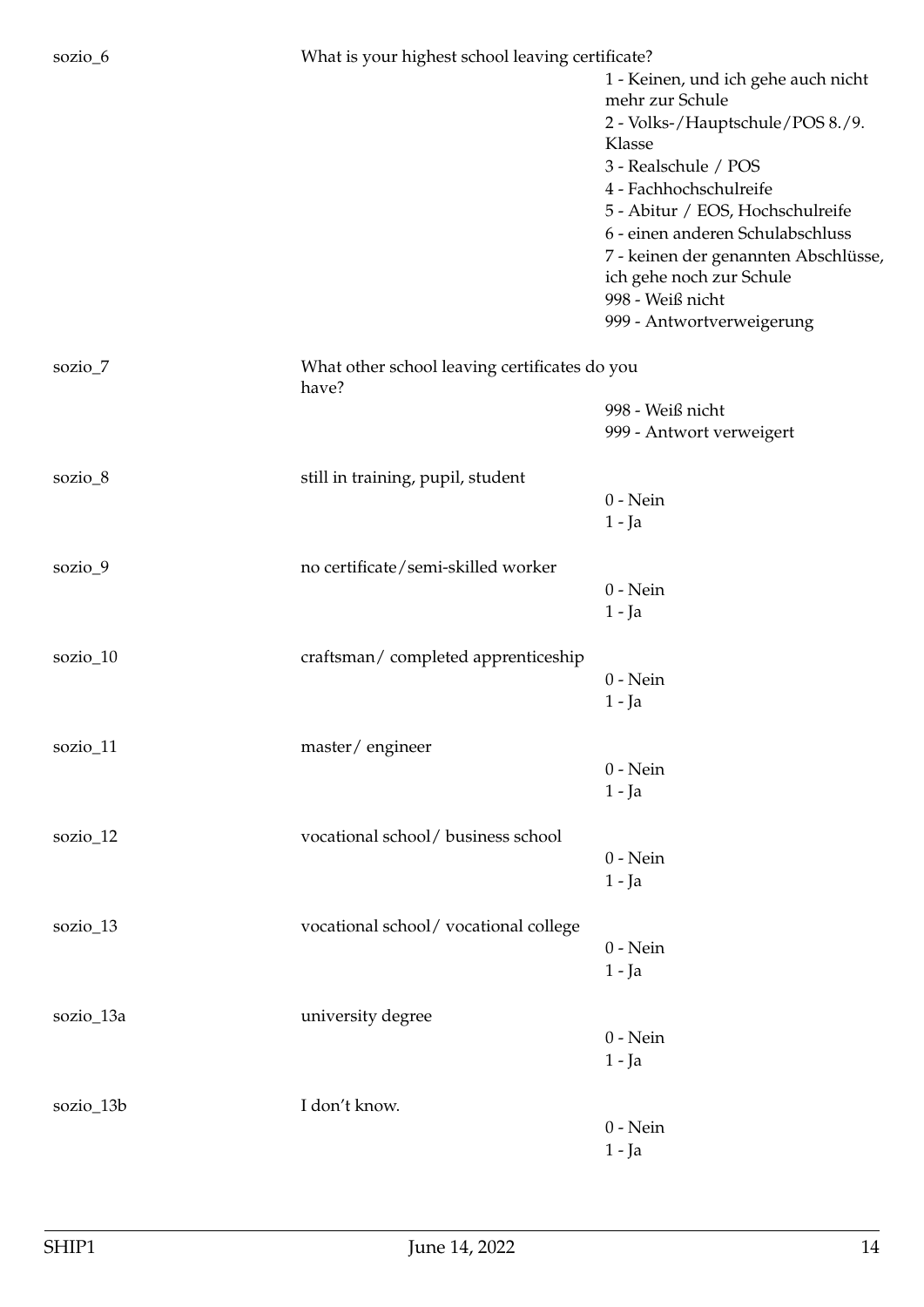sozio\_6 What is your highest school leaving certificate?

| $50L10\_0$ | what is your highest school leaving certificate: |                                                                  |
|------------|--------------------------------------------------|------------------------------------------------------------------|
|            |                                                  | 1 - Keinen, und ich gehe auch nicht<br>mehr zur Schule           |
|            |                                                  | 2 - Volks-/Hauptschule/POS 8./9.                                 |
|            |                                                  | Klasse                                                           |
|            |                                                  | 3 - Realschule / POS                                             |
|            |                                                  | 4 - Fachhochschulreife                                           |
|            |                                                  | 5 - Abitur / EOS, Hochschulreife                                 |
|            |                                                  | 6 - einen anderen Schulabschluss                                 |
|            |                                                  | 7 - keinen der genannten Abschlüsse,<br>ich gehe noch zur Schule |
|            |                                                  | 998 - Weiß nicht<br>999 - Antwortverweigerung                    |
| sozio_7    | What other school leaving certificates do you    |                                                                  |
|            | have?                                            |                                                                  |
|            |                                                  | 998 - Weiß nicht                                                 |
|            |                                                  | 999 - Antwort verweigert                                         |
| sozio_8    | still in training, pupil, student                |                                                                  |
|            |                                                  | $0$ - Nein                                                       |
|            |                                                  | $1 - Ja$                                                         |
| sozio_9    | no certificate/semi-skilled worker               |                                                                  |
|            |                                                  | $0$ - Nein                                                       |
|            |                                                  | $1 - Ja$                                                         |
| sozio_10   | craftsman/completed apprenticeship               |                                                                  |
|            |                                                  | $0$ - Nein                                                       |
|            |                                                  | $1 - Ja$                                                         |
| sozio_11   | master/engineer                                  |                                                                  |
|            |                                                  | $0$ - Nein                                                       |
|            |                                                  | $1 - Ja$                                                         |
| sozio_12   | vocational school/ business school               |                                                                  |
|            |                                                  | $0$ - Nein                                                       |
|            |                                                  | $1 - Ja$                                                         |
| sozio_13   | vocational school/vocational college             |                                                                  |
|            |                                                  | $0$ - Nein                                                       |
|            |                                                  | $1 - Ja$                                                         |
| sozio_13a  | university degree                                |                                                                  |
|            |                                                  | $0$ - Nein                                                       |
|            |                                                  | $1 - Ja$                                                         |
| sozio_13b  | I don't know.                                    |                                                                  |
|            |                                                  | $0$ - Nein                                                       |
|            |                                                  | $1 - Ja$                                                         |
|            |                                                  |                                                                  |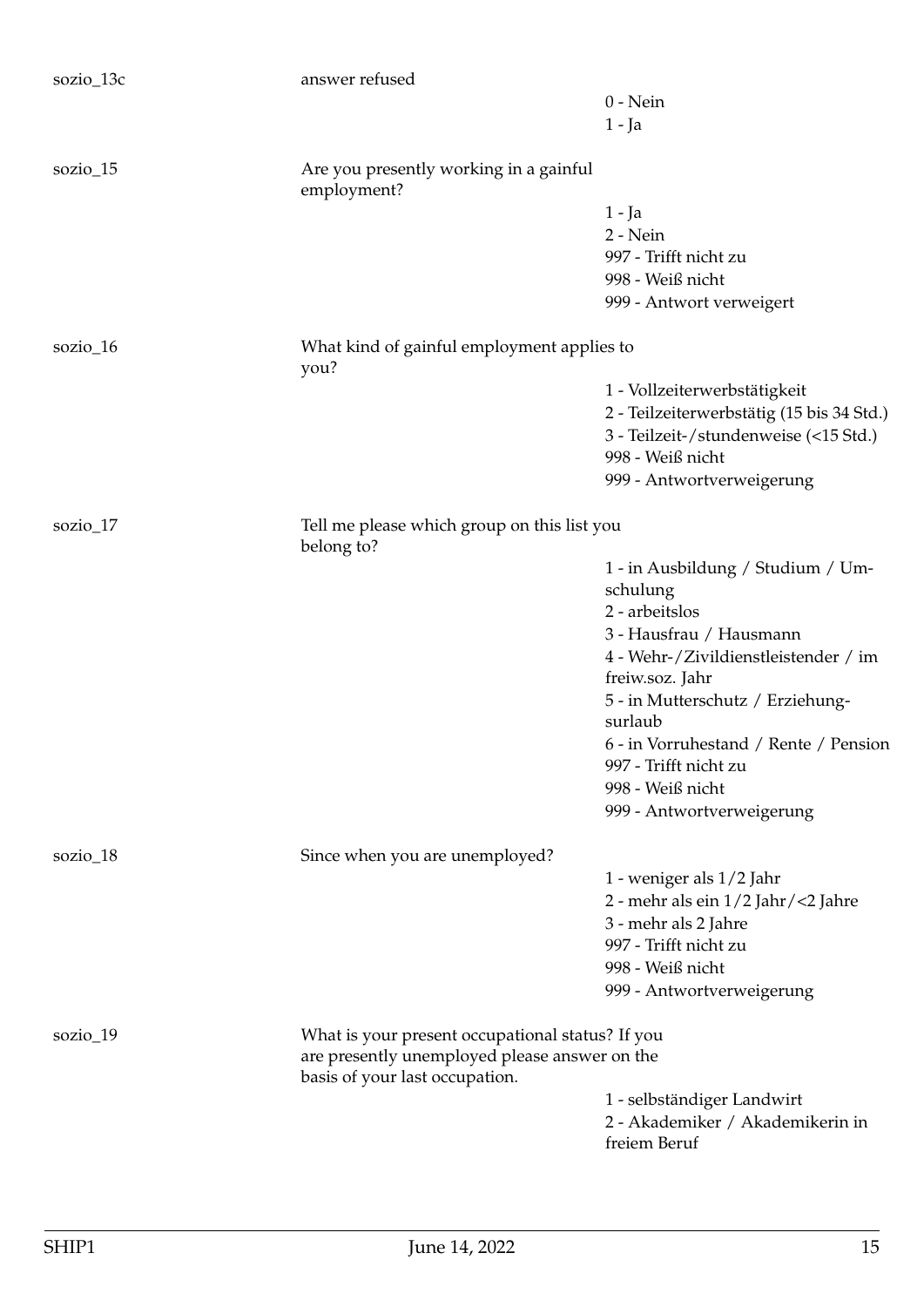| sozio_13c  | answer refused                                                                                    |                                                  |
|------------|---------------------------------------------------------------------------------------------------|--------------------------------------------------|
|            |                                                                                                   | $0$ - Nein                                       |
|            |                                                                                                   | $1 - Ja$                                         |
| $sozio_15$ | Are you presently working in a gainful<br>employment?                                             |                                                  |
|            |                                                                                                   | $1 - Ja$                                         |
|            |                                                                                                   | $2 - Nein$                                       |
|            |                                                                                                   | 997 - Trifft nicht zu                            |
|            |                                                                                                   | 998 - Weiß nicht                                 |
|            |                                                                                                   | 999 - Antwort verweigert                         |
| sozio_16   | What kind of gainful employment applies to<br>you?                                                |                                                  |
|            |                                                                                                   | 1 - Vollzeiterwerbstätigkeit                     |
|            |                                                                                                   | 2 - Teilzeiterwerbstätig (15 bis 34 Std.)        |
|            |                                                                                                   | 3 - Teilzeit-/stundenweise (<15 Std.)            |
|            |                                                                                                   | 998 - Weiß nicht                                 |
|            |                                                                                                   | 999 - Antwortverweigerung                        |
| sozio $17$ | Tell me please which group on this list you<br>belong to?                                         |                                                  |
|            |                                                                                                   | 1 - in Ausbildung / Studium / Um-                |
|            |                                                                                                   | schulung                                         |
|            |                                                                                                   | 2 - arbeitslos                                   |
|            |                                                                                                   | 3 - Hausfrau / Hausmann                          |
|            |                                                                                                   | 4 - Wehr-/Zivildienstleistender / im             |
|            |                                                                                                   | freiw.soz. Jahr                                  |
|            |                                                                                                   | 5 - in Mutterschutz / Erziehung-<br>surlaub      |
|            |                                                                                                   | 6 - in Vorruhestand / Rente / Pension            |
|            |                                                                                                   | 997 - Trifft nicht zu                            |
|            |                                                                                                   | 998 - Weiß nicht                                 |
|            |                                                                                                   | 999 - Antwortverweigerung                        |
| sozio_18   | Since when you are unemployed?                                                                    |                                                  |
|            |                                                                                                   | 1 - weniger als 1/2 Jahr                         |
|            |                                                                                                   | 2 - mehr als ein 1/2 Jahr/<2 Jahre               |
|            |                                                                                                   | 3 - mehr als 2 Jahre                             |
|            |                                                                                                   | 997 - Trifft nicht zu                            |
|            |                                                                                                   | 998 - Weiß nicht                                 |
|            |                                                                                                   | 999 - Antwortverweigerung                        |
| sozio_19   | What is your present occupational status? If you<br>are presently unemployed please answer on the |                                                  |
|            | basis of your last occupation.                                                                    |                                                  |
|            |                                                                                                   | 1 - selbständiger Landwirt                       |
|            |                                                                                                   | 2 - Akademiker / Akademikerin in<br>freiem Beruf |
|            |                                                                                                   |                                                  |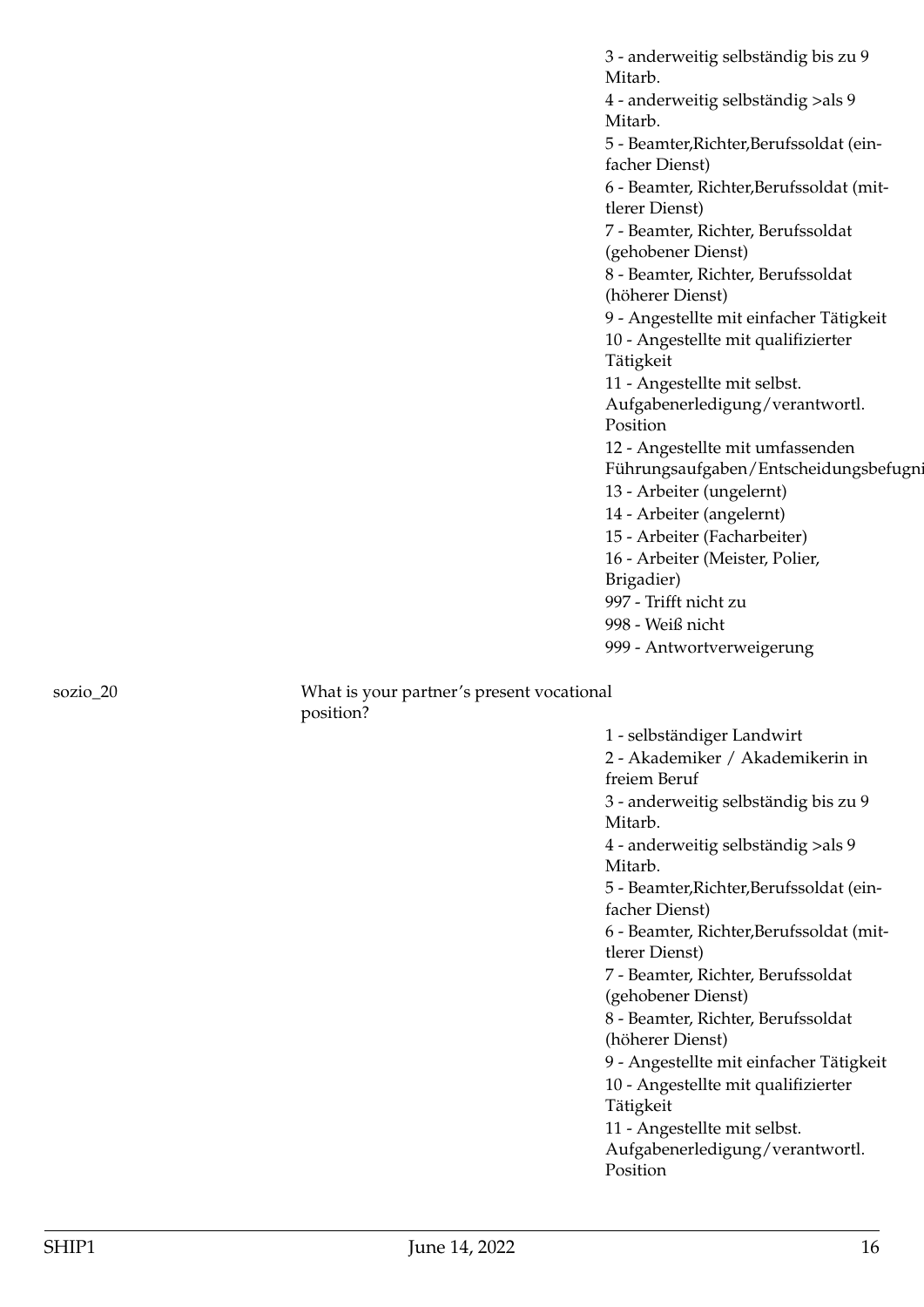3 - anderweitig selbständig bis zu 9 Mitarb. 4 - anderweitig selbständig >als 9 Mitarb. 5 - Beamter,Richter,Berufssoldat (einfacher Dienst) 6 - Beamter, Richter,Berufssoldat (mittlerer Dienst) 7 - Beamter, Richter, Berufssoldat (gehobener Dienst) 8 - Beamter, Richter, Berufssoldat (höherer Dienst) 9 - Angestellte mit einfacher Tätigkeit 10 - Angestellte mit qualifizierter Tätigkeit 11 - Angestellte mit selbst. Aufgabenerledigung/verantwortl. Position 12 - Angestellte mit umfassenden Führungsaufgaben/Entscheidungsbefugn 13 - Arbeiter (ungelernt) 14 - Arbeiter (angelernt) 15 - Arbeiter (Facharbeiter) 16 - Arbeiter (Meister, Polier, Brigadier) 997 - Trifft nicht zu 998 - Weiß nicht 999 - Antwortverweigerung

sozio\_20 What is your partner's present vocational position?

> 1 - selbständiger Landwirt 2 - Akademiker / Akademikerin in freiem Beruf 3 - anderweitig selbständig bis zu 9 Mitarb. 4 - anderweitig selbständig >als 9 Mitarb. 5 - Beamter,Richter,Berufssoldat (einfacher Dienst) 6 - Beamter, Richter,Berufssoldat (mittlerer Dienst) 7 - Beamter, Richter, Berufssoldat (gehobener Dienst) 8 - Beamter, Richter, Berufssoldat (höherer Dienst) 9 - Angestellte mit einfacher Tätigkeit 10 - Angestellte mit qualifizierter Tätigkeit 11 - Angestellte mit selbst. Aufgabenerledigung/verantwortl. Position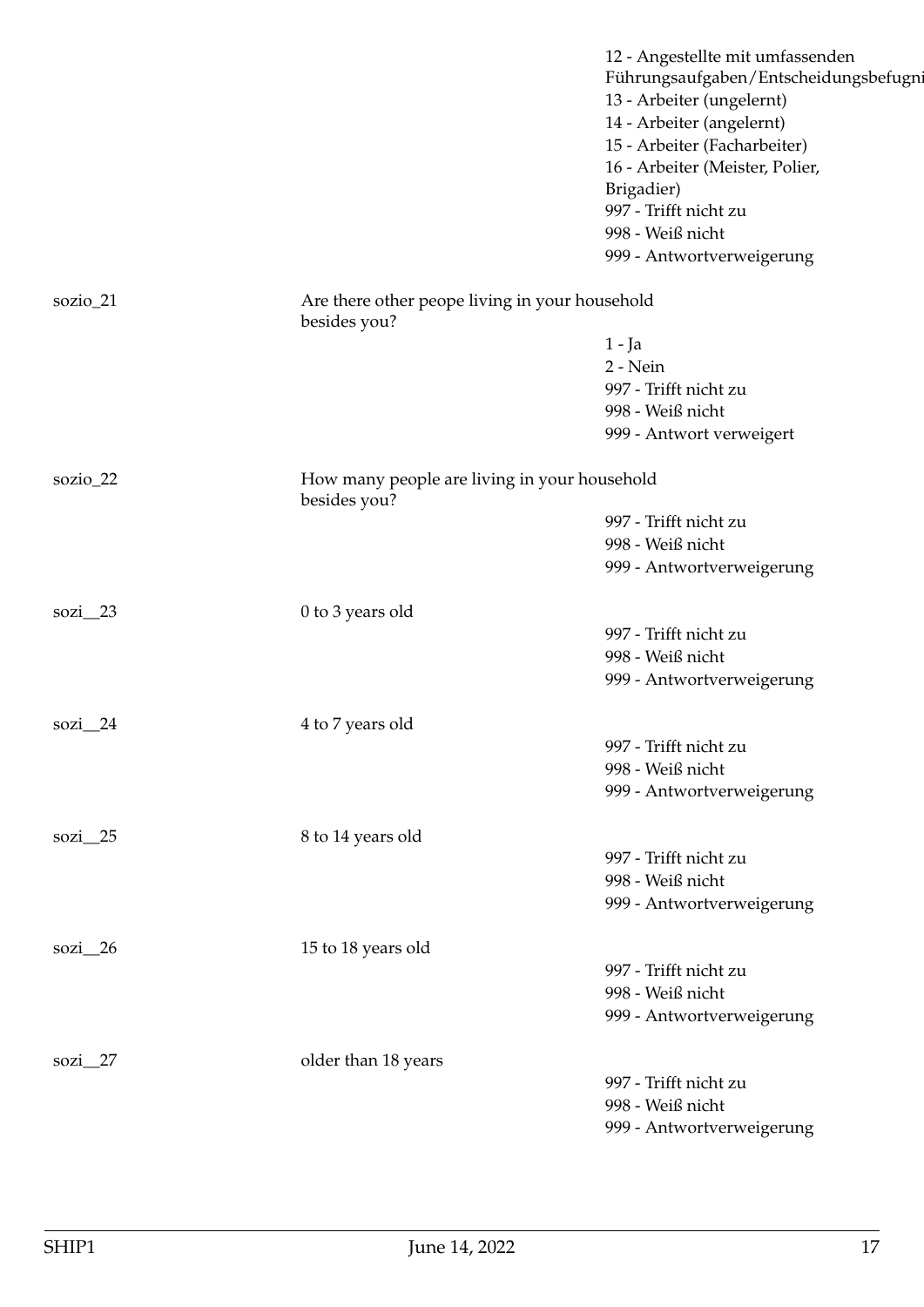|               |                                                                | 12 - Angestellte mit umfassenden<br>Führungsaufgaben/Entscheidungsbefugni<br>13 - Arbeiter (ungelernt)<br>14 - Arbeiter (angelernt)<br>15 - Arbeiter (Facharbeiter)<br>16 - Arbeiter (Meister, Polier,<br>Brigadier)<br>997 - Trifft nicht zu<br>998 - Weiß nicht |
|---------------|----------------------------------------------------------------|-------------------------------------------------------------------------------------------------------------------------------------------------------------------------------------------------------------------------------------------------------------------|
|               |                                                                | 999 - Antwortverweigerung                                                                                                                                                                                                                                         |
| sozio_21      | Are there other peope living in your household<br>besides you? |                                                                                                                                                                                                                                                                   |
|               |                                                                | $1 - Ja$                                                                                                                                                                                                                                                          |
|               |                                                                | 2 - Nein                                                                                                                                                                                                                                                          |
|               |                                                                | 997 - Trifft nicht zu                                                                                                                                                                                                                                             |
|               |                                                                | 998 - Weiß nicht                                                                                                                                                                                                                                                  |
|               |                                                                | 999 - Antwort verweigert                                                                                                                                                                                                                                          |
| sozio_22      | How many people are living in your household<br>besides you?   |                                                                                                                                                                                                                                                                   |
|               |                                                                | 997 - Trifft nicht zu                                                                                                                                                                                                                                             |
|               |                                                                | 998 - Weiß nicht                                                                                                                                                                                                                                                  |
|               |                                                                | 999 - Antwortverweigerung                                                                                                                                                                                                                                         |
| $sozi$ 23     | 0 to 3 years old                                               |                                                                                                                                                                                                                                                                   |
|               |                                                                | 997 - Trifft nicht zu                                                                                                                                                                                                                                             |
|               |                                                                | 998 - Weiß nicht                                                                                                                                                                                                                                                  |
|               |                                                                | 999 - Antwortverweigerung                                                                                                                                                                                                                                         |
| sozi $24$     | 4 to 7 years old                                               |                                                                                                                                                                                                                                                                   |
|               |                                                                | 997 - Trifft nicht zu                                                                                                                                                                                                                                             |
|               |                                                                | 998 - Weiß nicht                                                                                                                                                                                                                                                  |
|               |                                                                | 999 - Antwortverweigerung                                                                                                                                                                                                                                         |
| sozi $\_\$ 25 | 8 to 14 years old                                              |                                                                                                                                                                                                                                                                   |
|               |                                                                | 997 - Trifft nicht zu                                                                                                                                                                                                                                             |
|               |                                                                | 998 - Weiß nicht                                                                                                                                                                                                                                                  |
|               |                                                                | 999 - Antwortverweigerung                                                                                                                                                                                                                                         |
| sozi $\_\$ 26 | 15 to 18 years old                                             |                                                                                                                                                                                                                                                                   |
|               |                                                                | 997 - Trifft nicht zu                                                                                                                                                                                                                                             |
|               |                                                                | 998 - Weiß nicht                                                                                                                                                                                                                                                  |
|               |                                                                | 999 - Antwortverweigerung                                                                                                                                                                                                                                         |
| sozi_27       | older than 18 years                                            |                                                                                                                                                                                                                                                                   |
|               |                                                                | 997 - Trifft nicht zu                                                                                                                                                                                                                                             |
|               |                                                                | 998 - Weiß nicht                                                                                                                                                                                                                                                  |
|               |                                                                | 999 - Antwortverweigerung                                                                                                                                                                                                                                         |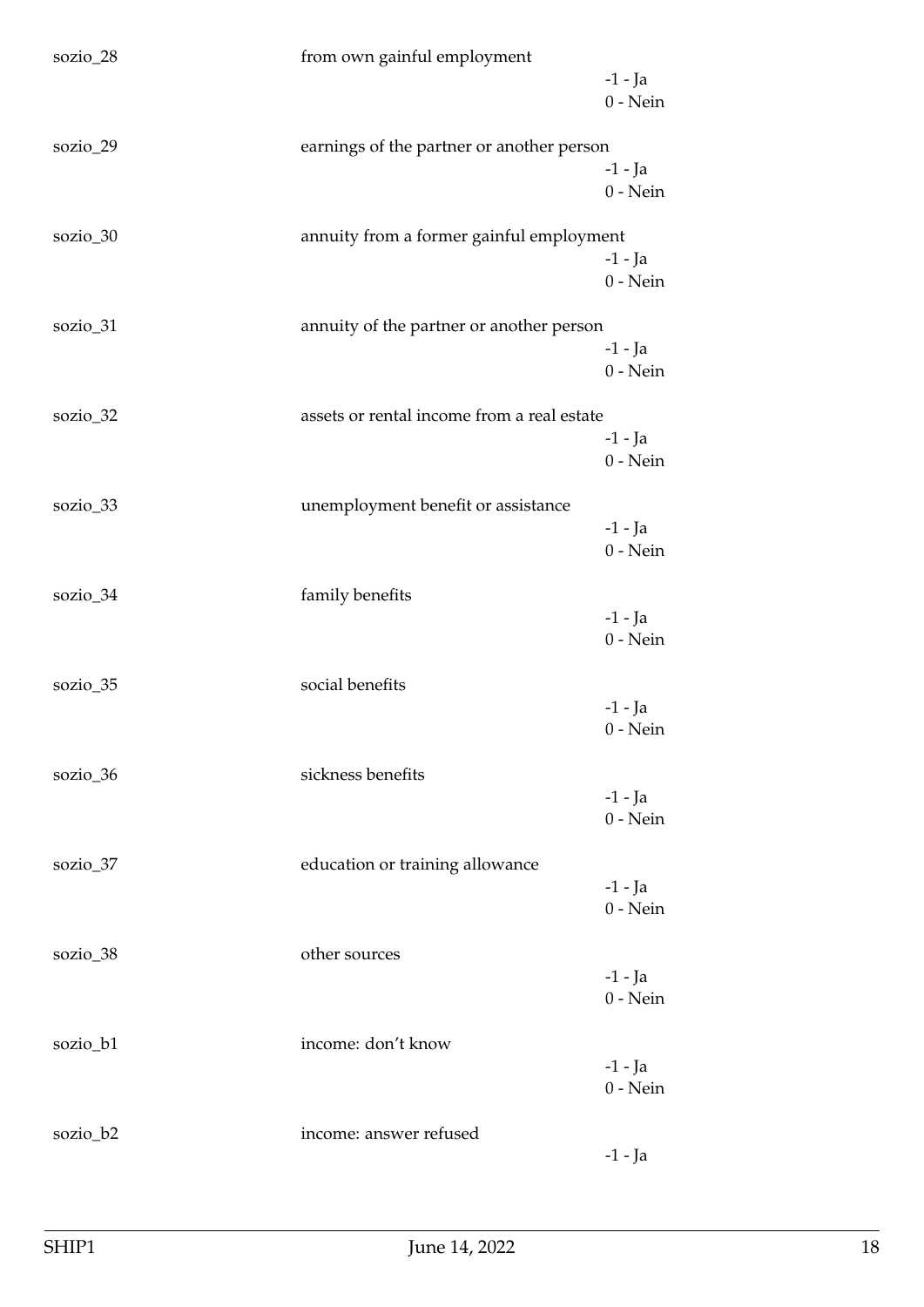| sozio_28 | from own gainful employment                | $-1$ - Ja<br>$0$ - Nein |
|----------|--------------------------------------------|-------------------------|
| sozio_29 | earnings of the partner or another person  | $-1$ - Ja<br>$0$ - Nein |
| sozio_30 | annuity from a former gainful employment   | $-1$ - Ja<br>$0$ - Nein |
| sozio_31 | annuity of the partner or another person   | $-1$ – Ja<br>$0$ - Nein |
| sozio_32 | assets or rental income from a real estate | $-1$ - Ja<br>$0$ - Nein |
| sozio_33 | unemployment benefit or assistance         | $-1$ - Ja<br>$0$ - Nein |
| sozio_34 | family benefits                            | $-1$ - Ja<br>$0$ - Nein |
| sozio_35 | social benefits                            | $-1$ - Ja<br>$0 - Nein$ |
| sozio_36 | sickness benefits                          | $-1$ - Ja<br>$0$ - Nein |
| sozio_37 | education or training allowance            | $-1$ - Ja<br>$0$ - Nein |
| sozio_38 | other sources                              | $-1$ - Ja<br>$0$ - Nein |
| sozio_b1 | income: don't know                         | $-1$ - Ja<br>$0$ - Nein |
| sozio_b2 | income: answer refused                     | $-1$ - Ja               |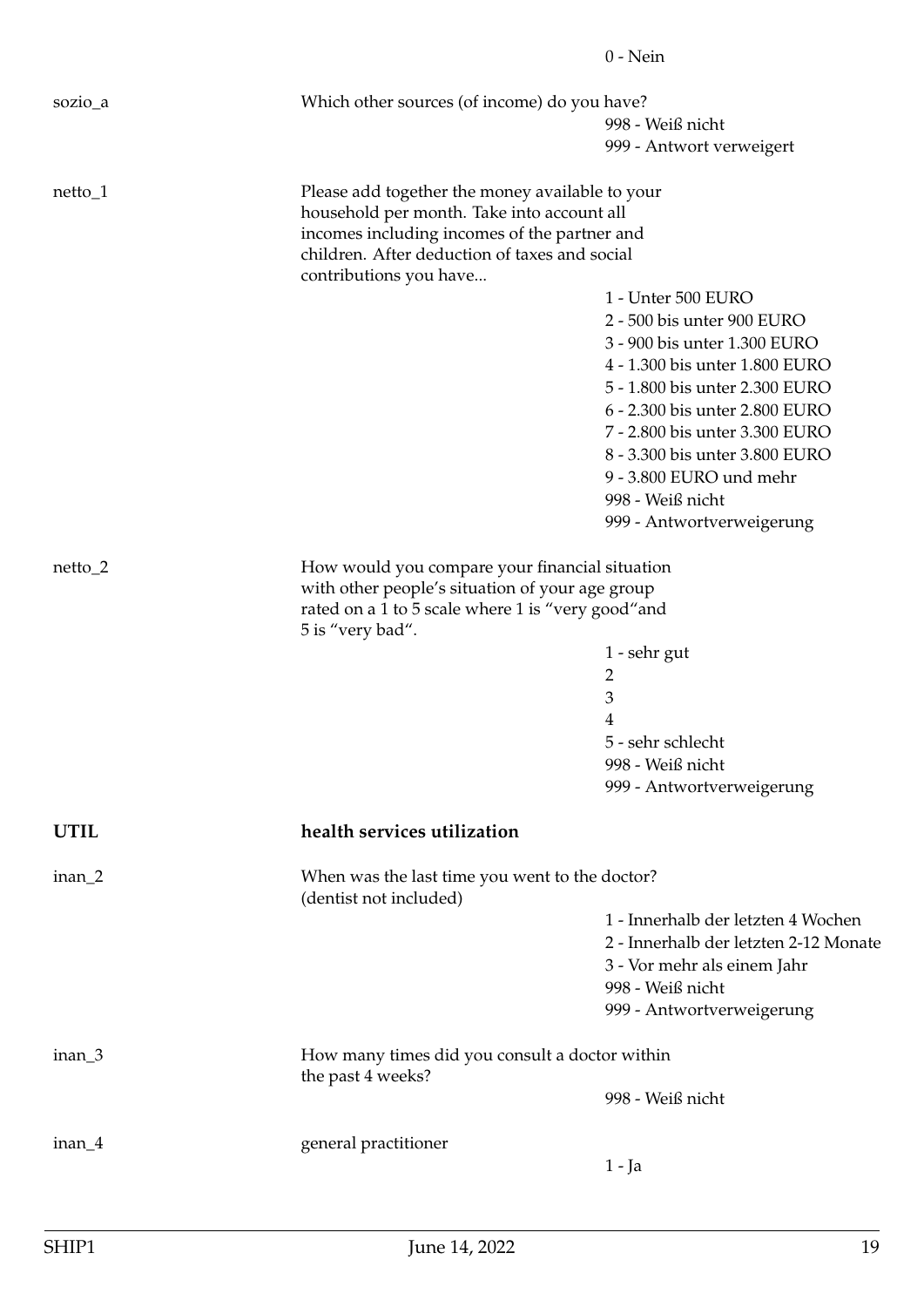<span id="page-18-0"></span>

|             |                                                                          | $0$ - Nein                            |
|-------------|--------------------------------------------------------------------------|---------------------------------------|
| sozio_a     | Which other sources (of income) do you have?                             |                                       |
|             |                                                                          | 998 - Weiß nicht                      |
|             |                                                                          | 999 - Antwort verweigert              |
| $netto_1$   | Please add together the money available to your                          |                                       |
|             | household per month. Take into account all                               |                                       |
|             | incomes including incomes of the partner and                             |                                       |
|             | children. After deduction of taxes and social                            |                                       |
|             | contributions you have                                                   |                                       |
|             |                                                                          | 1 - Unter 500 EURO                    |
|             |                                                                          | 2 - 500 bis unter 900 EURO            |
|             |                                                                          | 3 - 900 bis unter 1.300 EURO          |
|             |                                                                          | 4 - 1.300 bis unter 1.800 EURO        |
|             |                                                                          | 5 - 1.800 bis unter 2.300 EURO        |
|             |                                                                          | 6 - 2.300 bis unter 2.800 EURO        |
|             |                                                                          | 7 - 2.800 bis unter 3.300 EURO        |
|             |                                                                          | 8 - 3.300 bis unter 3.800 EURO        |
|             |                                                                          | 9 - 3.800 EURO und mehr               |
|             |                                                                          | 998 - Weiß nicht                      |
|             |                                                                          | 999 - Antwortverweigerung             |
| $netto_2$   | How would you compare your financial situation                           |                                       |
|             | with other people's situation of your age group                          |                                       |
|             | rated on a 1 to 5 scale where 1 is "very good" and<br>5 is "very bad".   |                                       |
|             |                                                                          | 1 - sehr gut                          |
|             |                                                                          | 2                                     |
|             |                                                                          | $\ensuremath{\mathfrak{Z}}$           |
|             |                                                                          | 4                                     |
|             |                                                                          | 5 - sehr schlecht                     |
|             |                                                                          | 998 - Weiß nicht                      |
|             |                                                                          | 999 - Antwortverweigerung             |
| <b>UTIL</b> | health services utilization                                              |                                       |
|             |                                                                          |                                       |
| inan_2      | When was the last time you went to the doctor?<br>(dentist not included) |                                       |
|             |                                                                          | 1 - Innerhalb der letzten 4 Wochen    |
|             |                                                                          | 2 - Innerhalb der letzten 2-12 Monate |
|             |                                                                          | 3 - Vor mehr als einem Jahr           |
|             |                                                                          | 998 - Weiß nicht                      |
|             |                                                                          | 999 - Antwortverweigerung             |
| $inan_3$    | How many times did you consult a doctor within                           |                                       |
|             | the past 4 weeks?                                                        |                                       |
|             |                                                                          | 998 - Weiß nicht                      |
| $inan_4$    | general practitioner                                                     |                                       |
|             |                                                                          | $1 - Ja$                              |
|             |                                                                          |                                       |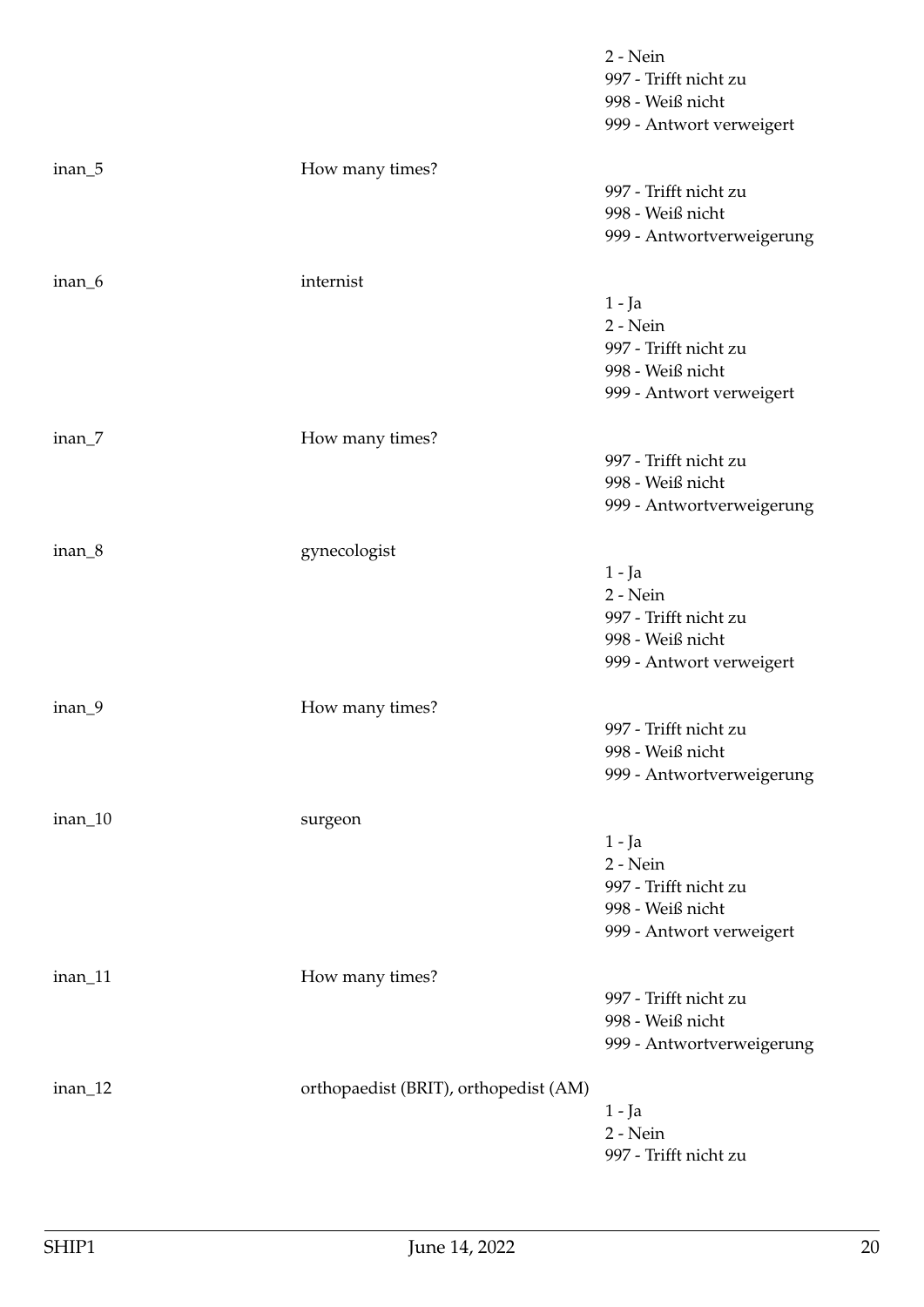|         |                                       | 2 - Nein<br>997 - Trifft nicht zu<br>998 - Weiß nicht<br>999 - Antwort verweigert             |
|---------|---------------------------------------|-----------------------------------------------------------------------------------------------|
| inan_5  | How many times?                       | 997 - Trifft nicht zu<br>998 - Weiß nicht<br>999 - Antwortverweigerung                        |
| inan_6  | internist                             | $1 - Ja$<br>2 - Nein<br>997 - Trifft nicht zu<br>998 - Weiß nicht<br>999 - Antwort verweigert |
| inan_7  | How many times?                       | 997 - Trifft nicht zu<br>998 - Weiß nicht<br>999 - Antwortverweigerung                        |
| inan_8  | gynecologist                          | $1 - Ja$<br>2 - Nein<br>997 - Trifft nicht zu<br>998 - Weiß nicht<br>999 - Antwort verweigert |
| inan_9  | How many times?                       | 997 - Trifft nicht zu<br>998 - Weiß nicht<br>999 - Antwortverweigerung                        |
| inan_10 | surgeon                               | $1 - Ja$<br>2 - Nein<br>997 - Trifft nicht zu<br>998 - Weiß nicht<br>999 - Antwort verweigert |
| inan_11 | How many times?                       | 997 - Trifft nicht zu<br>998 - Weiß nicht<br>999 - Antwortverweigerung                        |
| inan_12 | orthopaedist (BRIT), orthopedist (AM) | $1 - Ja$<br>2 - Nein<br>997 - Trifft nicht zu                                                 |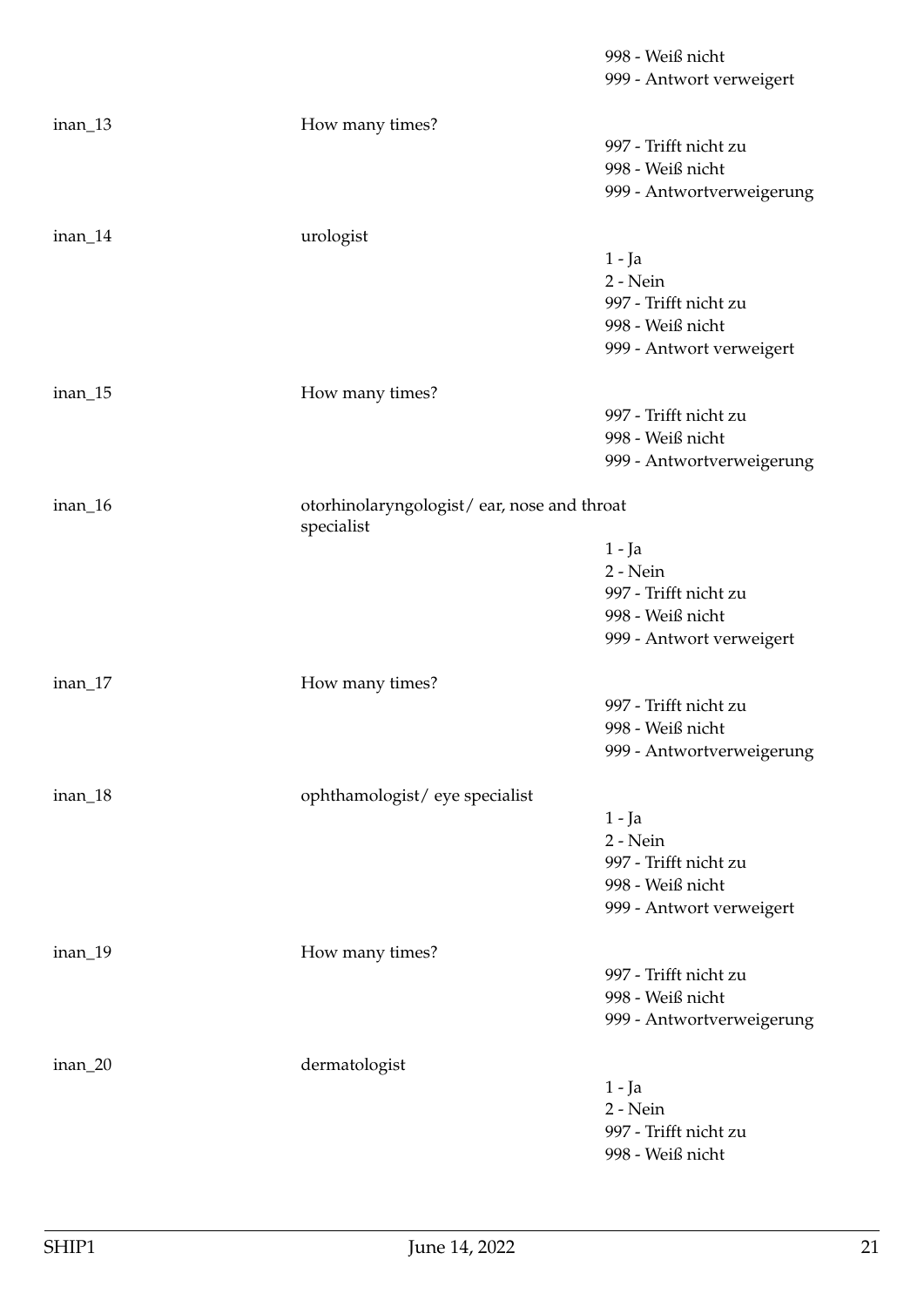|         |                                                          | 998 - Weiß nicht          |
|---------|----------------------------------------------------------|---------------------------|
|         |                                                          | 999 - Antwort verweigert  |
|         |                                                          |                           |
| inan_13 | How many times?                                          |                           |
|         |                                                          | 997 - Trifft nicht zu     |
|         |                                                          | 998 - Weiß nicht          |
|         |                                                          | 999 - Antwortverweigerung |
|         |                                                          |                           |
| inan_14 | urologist                                                |                           |
|         |                                                          | $1 - Ja$                  |
|         |                                                          | 2 - Nein                  |
|         |                                                          | 997 - Trifft nicht zu     |
|         |                                                          | 998 - Weiß nicht          |
|         |                                                          | 999 - Antwort verweigert  |
| inan_15 | How many times?                                          |                           |
|         |                                                          | 997 - Trifft nicht zu     |
|         |                                                          | 998 - Weiß nicht          |
|         |                                                          | 999 - Antwortverweigerung |
|         |                                                          |                           |
| inan_16 | otorhinolaryngologist/ear, nose and throat<br>specialist |                           |
|         |                                                          | $1 - Ja$                  |
|         |                                                          | 2 - Nein                  |
|         |                                                          | 997 - Trifft nicht zu     |
|         |                                                          | 998 - Weiß nicht          |
|         |                                                          | 999 - Antwort verweigert  |
|         |                                                          |                           |
| inan_17 | How many times?                                          |                           |
|         |                                                          | 997 - Trifft nicht zu     |
|         |                                                          | 998 - Weiß nicht          |
|         |                                                          | 999 - Antwortverweigerung |
|         |                                                          |                           |
| inan_18 | ophthamologist/eye specialist                            |                           |
|         |                                                          | $1 - Ja$<br>2 - Nein      |
|         |                                                          | 997 - Trifft nicht zu     |
|         |                                                          | 998 - Weiß nicht          |
|         |                                                          | 999 - Antwort verweigert  |
|         |                                                          |                           |
| inan_19 | How many times?                                          |                           |
|         |                                                          | 997 - Trifft nicht zu     |
|         |                                                          | 998 - Weiß nicht          |
|         |                                                          | 999 - Antwortverweigerung |
|         |                                                          |                           |
| inan_20 | dermatologist                                            |                           |
|         |                                                          | $1 - Ja$                  |
|         |                                                          | 2 - Nein                  |
|         |                                                          | 997 - Trifft nicht zu     |
|         |                                                          | 998 - Weiß nicht          |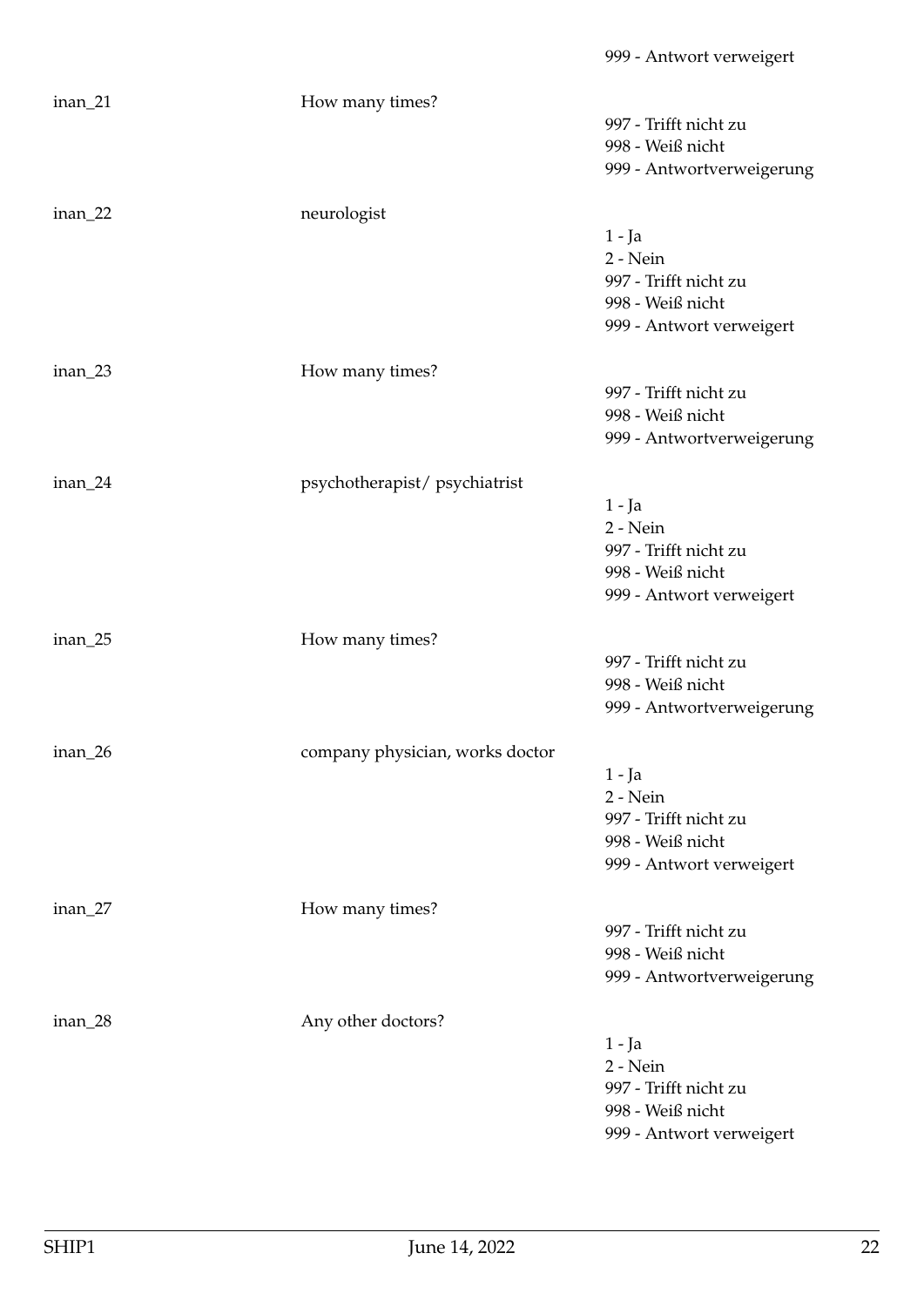inan\_21 How many times? 997 - Trifft nicht zu 998 - Weiß nicht 999 - Antwortverweigerung inan\_22 neurologist 1 - Ja 2 - Nein 997 - Trifft nicht zu 998 - Weiß nicht 999 - Antwort verweigert inan\_23 How many times? 997 - Trifft nicht zu 998 - Weiß nicht 999 - Antwortverweigerung inan\_24 psychotherapist/ psychiatrist 1 - Ja 2 - Nein 997 - Trifft nicht zu 998 - Weiß nicht 999 - Antwort verweigert inan\_25 How many times? 997 - Trifft nicht zu 998 - Weiß nicht 999 - Antwortverweigerung inan\_26 company physician, works doctor 1 - Ja 2 - Nein 997 - Trifft nicht zu 998 - Weiß nicht 999 - Antwort verweigert inan\_27 How many times? 997 - Trifft nicht zu 998 - Weiß nicht 999 - Antwortverweigerung inan\_28 Any other doctors? 1 - Ja 2 - Nein 997 - Trifft nicht zu 998 - Weiß nicht 999 - Antwort verweigert

999 - Antwort verweigert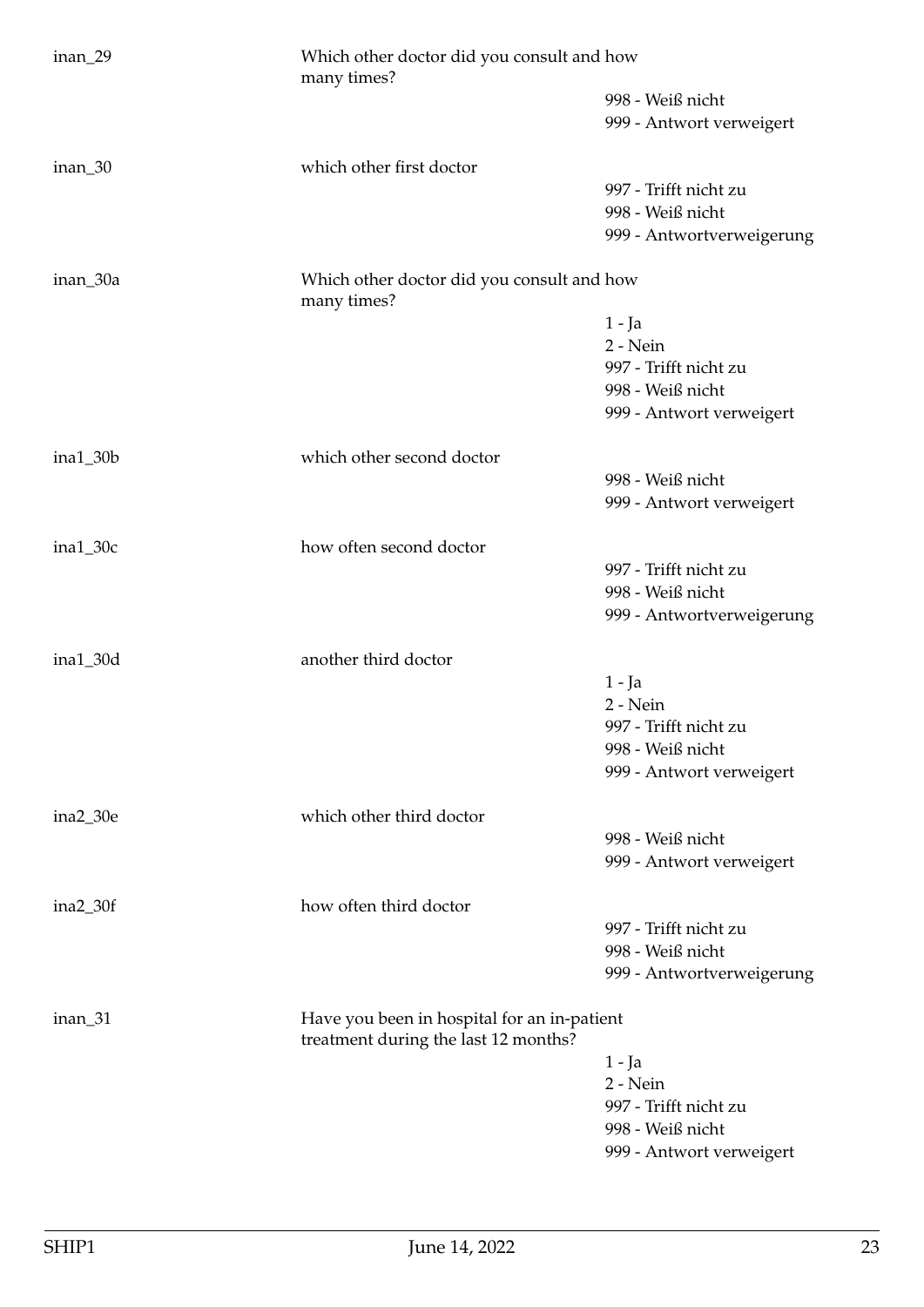| inan_29    | Which other doctor did you consult and how<br>many times?                           |                                              |
|------------|-------------------------------------------------------------------------------------|----------------------------------------------|
|            |                                                                                     | 998 - Weiß nicht<br>999 - Antwort verweigert |
|            |                                                                                     |                                              |
| inan_30    | which other first doctor                                                            |                                              |
|            |                                                                                     | 997 - Trifft nicht zu                        |
|            |                                                                                     | 998 - Weiß nicht                             |
|            |                                                                                     | 999 - Antwortverweigerung                    |
| inan_30a   | Which other doctor did you consult and how<br>many times?                           |                                              |
|            |                                                                                     | $1 - Ja$                                     |
|            |                                                                                     | 2 - Nein                                     |
|            |                                                                                     | 997 - Trifft nicht zu                        |
|            |                                                                                     | 998 - Weiß nicht                             |
|            |                                                                                     | 999 - Antwort verweigert                     |
| $ina1_30b$ | which other second doctor                                                           |                                              |
|            |                                                                                     | 998 - Weiß nicht                             |
|            |                                                                                     | 999 - Antwort verweigert                     |
| $ina1_30c$ | how often second doctor                                                             |                                              |
|            |                                                                                     | 997 - Trifft nicht zu                        |
|            |                                                                                     | 998 - Weiß nicht                             |
|            |                                                                                     | 999 - Antwortverweigerung                    |
| $ina1_30d$ | another third doctor                                                                |                                              |
|            |                                                                                     | $1 - Ja$                                     |
|            |                                                                                     | 2 - Nein                                     |
|            |                                                                                     | 997 - Trifft nicht zu                        |
|            |                                                                                     | 998 - Weiß nicht                             |
|            |                                                                                     | 999 - Antwort verweigert                     |
| ina2_30e   | which other third doctor                                                            |                                              |
|            |                                                                                     | 998 - Weiß nicht                             |
|            |                                                                                     | 999 - Antwort verweigert                     |
| $ina2_30f$ | how often third doctor                                                              |                                              |
|            |                                                                                     | 997 - Trifft nicht zu                        |
|            |                                                                                     | 998 - Weiß nicht                             |
|            |                                                                                     | 999 - Antwortverweigerung                    |
| inan_31    | Have you been in hospital for an in-patient<br>treatment during the last 12 months? |                                              |
|            |                                                                                     | $1 - Ja$                                     |
|            |                                                                                     | 2 - Nein                                     |
|            |                                                                                     | 997 - Trifft nicht zu                        |
|            |                                                                                     | 998 - Weiß nicht                             |
|            |                                                                                     | 999 - Antwort verweigert                     |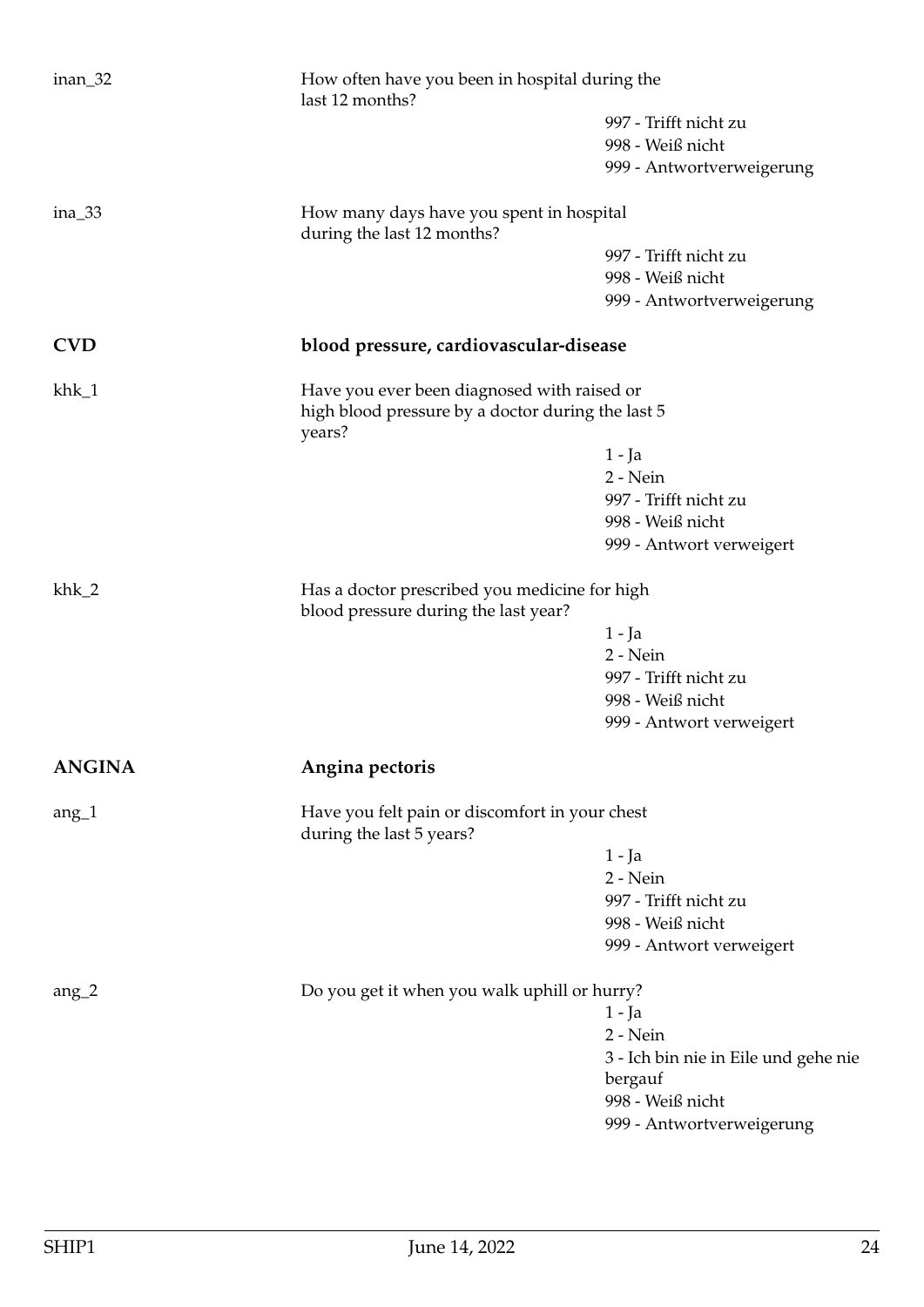<span id="page-23-1"></span><span id="page-23-0"></span>

| $inan_32$     | last 12 months?                                                                       | How often have you been in hospital during the |  |
|---------------|---------------------------------------------------------------------------------------|------------------------------------------------|--|
|               |                                                                                       | 997 - Trifft nicht zu                          |  |
|               |                                                                                       | 998 - Weiß nicht                               |  |
|               |                                                                                       | 999 - Antwortverweigerung                      |  |
| $ina_33$      | How many days have you spent in hospital<br>during the last 12 months?                |                                                |  |
|               |                                                                                       | 997 - Trifft nicht zu                          |  |
|               |                                                                                       | 998 - Weiß nicht                               |  |
|               |                                                                                       | 999 - Antwortverweigerung                      |  |
| <b>CVD</b>    | blood pressure, cardiovascular-disease                                                |                                                |  |
| $khk_1$       | Have you ever been diagnosed with raised or                                           |                                                |  |
|               | high blood pressure by a doctor during the last 5<br>years?                           |                                                |  |
|               |                                                                                       | 1 - Ja                                         |  |
|               |                                                                                       | $2 - Nein$                                     |  |
|               |                                                                                       | 997 - Trifft nicht zu                          |  |
|               |                                                                                       | 998 - Weiß nicht                               |  |
|               |                                                                                       | 999 - Antwort verweigert                       |  |
| $khk_2$       | Has a doctor prescribed you medicine for high<br>blood pressure during the last year? |                                                |  |
|               |                                                                                       | $1 - Ja$                                       |  |
|               |                                                                                       | 2 - Nein                                       |  |
|               |                                                                                       | 997 - Trifft nicht zu                          |  |
|               |                                                                                       | 998 - Weiß nicht                               |  |
|               |                                                                                       | 999 - Antwort verweigert                       |  |
| <b>ANGINA</b> | Angina pectoris                                                                       |                                                |  |
| $ang_1$       | Have you felt pain or discomfort in your chest<br>during the last 5 years?            |                                                |  |
|               |                                                                                       | 1 - Ja                                         |  |
|               |                                                                                       | 2 - Nein                                       |  |
|               |                                                                                       | 997 - Trifft nicht zu                          |  |
|               |                                                                                       | 998 - Weiß nicht                               |  |
|               |                                                                                       | 999 - Antwort verweigert                       |  |
| $ang_2$       | Do you get it when you walk uphill or hurry?                                          |                                                |  |
|               |                                                                                       | $1 - Ja$                                       |  |
|               |                                                                                       | 2 - Nein                                       |  |
|               |                                                                                       | 3 - Ich bin nie in Eile und gehe nie           |  |
|               |                                                                                       | bergauf                                        |  |
|               |                                                                                       | 998 - Weiß nicht                               |  |
|               |                                                                                       | 999 - Antwortverweigerung                      |  |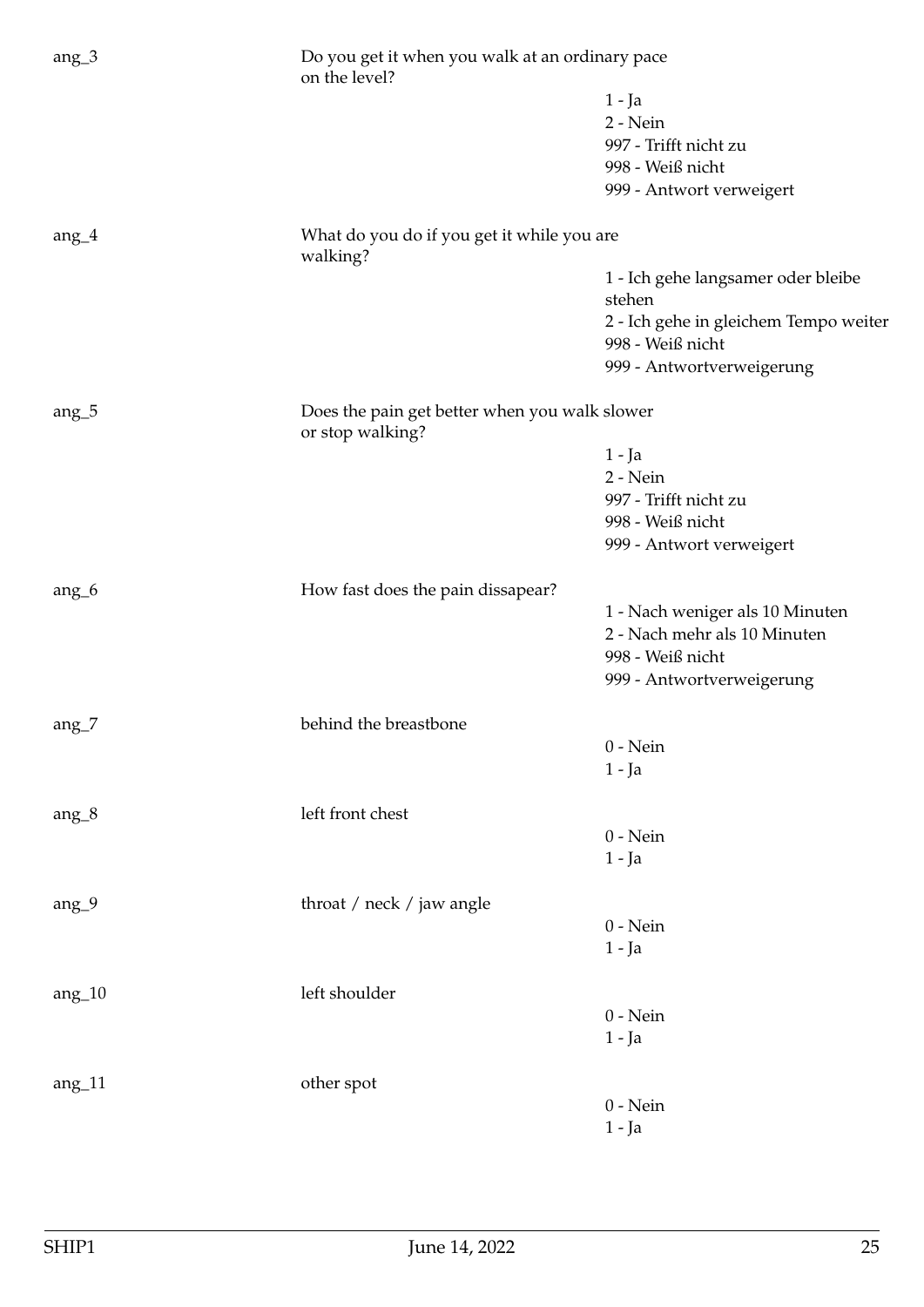| $ang_3$  | on the level?                                 | Do you get it when you walk at an ordinary pace |  |
|----------|-----------------------------------------------|-------------------------------------------------|--|
|          |                                               | $1 - Ja$                                        |  |
|          |                                               | 2 - Nein                                        |  |
|          |                                               | 997 - Trifft nicht zu                           |  |
|          |                                               | 998 - Weiß nicht                                |  |
|          |                                               | 999 - Antwort verweigert                        |  |
| ang $_4$ | What do you do if you get it while you are    |                                                 |  |
|          | walking?                                      |                                                 |  |
|          |                                               | 1 - Ich gehe langsamer oder bleibe<br>stehen    |  |
|          |                                               | 2 - Ich gehe in gleichem Tempo weiter           |  |
|          |                                               | 998 - Weiß nicht                                |  |
|          |                                               | 999 - Antwortverweigerung                       |  |
| $ang_5$  | Does the pain get better when you walk slower |                                                 |  |
|          | or stop walking?                              |                                                 |  |
|          |                                               | $1 - Ja$                                        |  |
|          |                                               | $2 - Nein$                                      |  |
|          |                                               | 997 - Trifft nicht zu                           |  |
|          |                                               | 998 - Weiß nicht                                |  |
|          |                                               | 999 - Antwort verweigert                        |  |
| $ang_6$  | How fast does the pain dissapear?             |                                                 |  |
|          |                                               | 1 - Nach weniger als 10 Minuten                 |  |
|          |                                               | 2 - Nach mehr als 10 Minuten                    |  |
|          |                                               | 998 - Weiß nicht                                |  |
|          |                                               | 999 - Antwortverweigerung                       |  |
| ang $_7$ | behind the breastbone                         |                                                 |  |
|          |                                               | $0$ - Nein                                      |  |
|          |                                               | $1 - Ja$                                        |  |
|          |                                               |                                                 |  |
| $ang_8$  | left front chest                              | $0 - Nein$                                      |  |
|          |                                               | $1 - Ja$                                        |  |
|          |                                               |                                                 |  |
| $ang_9$  | throat / neck / jaw angle                     |                                                 |  |
|          |                                               | $0$ - Nein                                      |  |
|          |                                               | $1 - Ja$                                        |  |
| $ang_10$ | left shoulder                                 |                                                 |  |
|          |                                               | $0$ - Nein                                      |  |
|          |                                               | $1 - Ja$                                        |  |
| $ang_11$ | other spot                                    |                                                 |  |
|          |                                               | $0$ - Nein                                      |  |
|          |                                               | $1 - Ja$                                        |  |
|          |                                               |                                                 |  |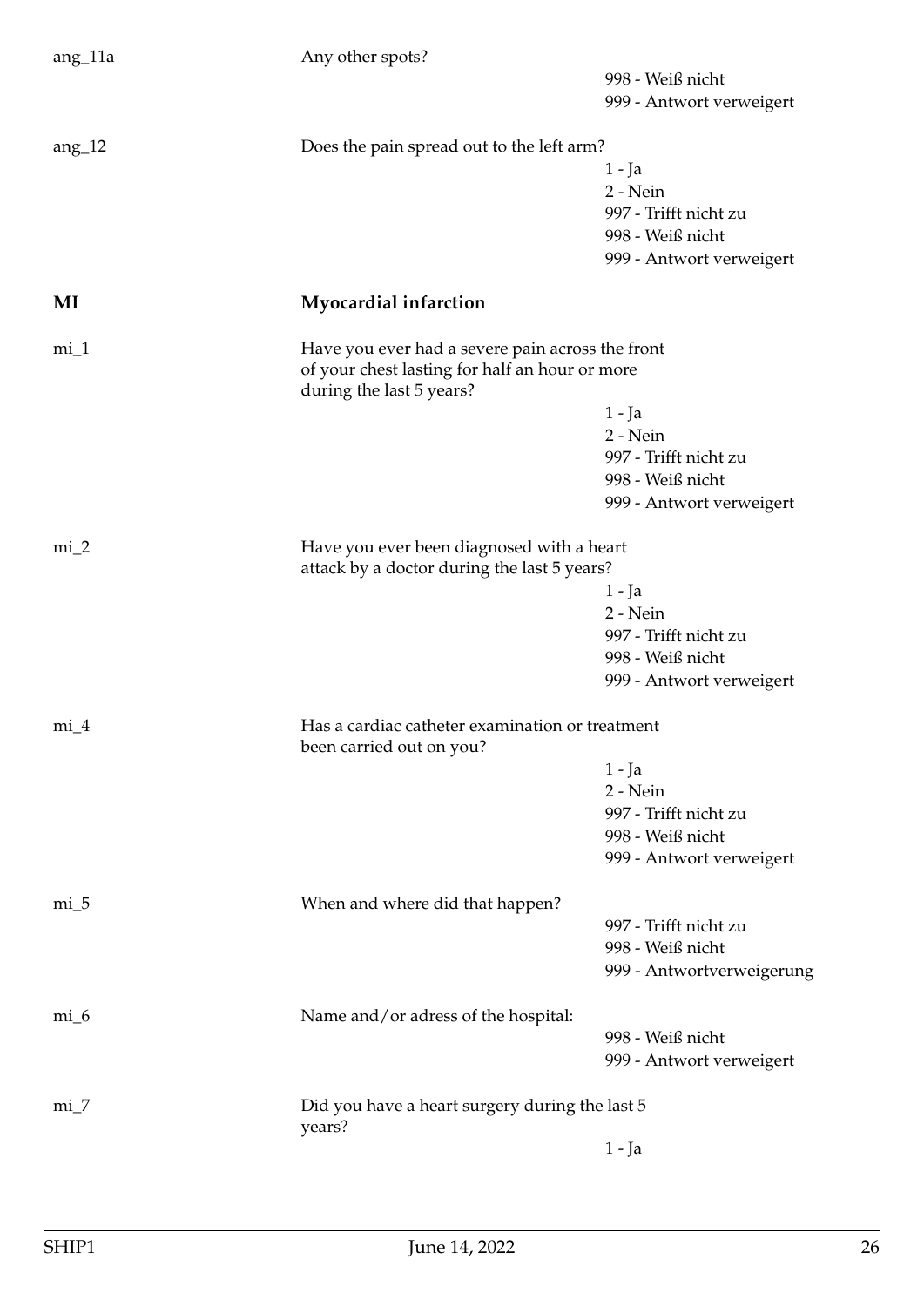<span id="page-25-0"></span>

| $ang_11a$ | Any other spots?                                                           |                           |
|-----------|----------------------------------------------------------------------------|---------------------------|
|           |                                                                            | 998 - Weiß nicht          |
|           |                                                                            | 999 - Antwort verweigert  |
| $ang_12$  | Does the pain spread out to the left arm?                                  |                           |
|           |                                                                            | 1 - Ja                    |
|           |                                                                            | 2 - Nein                  |
|           |                                                                            | 997 - Trifft nicht zu     |
|           |                                                                            | 998 - Weiß nicht          |
|           |                                                                            | 999 - Antwort verweigert  |
| MI        | <b>Myocardial infarction</b>                                               |                           |
| $mi_1$    | Have you ever had a severe pain across the front                           |                           |
|           | of your chest lasting for half an hour or more<br>during the last 5 years? |                           |
|           |                                                                            | 1 - Ja                    |
|           |                                                                            | 2 - Nein                  |
|           |                                                                            | 997 - Trifft nicht zu     |
|           |                                                                            | 998 - Weiß nicht          |
|           |                                                                            | 999 - Antwort verweigert  |
| $mi_2$    | Have you ever been diagnosed with a heart                                  |                           |
|           | attack by a doctor during the last 5 years?                                |                           |
|           |                                                                            | $1 - Ja$                  |
|           |                                                                            | 2 - Nein                  |
|           |                                                                            | 997 - Trifft nicht zu     |
|           |                                                                            | 998 - Weiß nicht          |
|           |                                                                            | 999 - Antwort verweigert  |
| $mi_4$    | Has a cardiac catheter examination or treatment                            |                           |
|           | been carried out on you?                                                   |                           |
|           |                                                                            | $1 - Ja$                  |
|           |                                                                            | 2 - Nein                  |
|           |                                                                            | 997 - Trifft nicht zu     |
|           |                                                                            | 998 - Weiß nicht          |
|           |                                                                            | 999 - Antwort verweigert  |
| $mi_5$    | When and where did that happen?                                            |                           |
|           |                                                                            | 997 - Trifft nicht zu     |
|           |                                                                            | 998 - Weiß nicht          |
|           |                                                                            | 999 - Antwortverweigerung |
| $mi_6$    | Name and/or adress of the hospital:                                        |                           |
|           |                                                                            | 998 - Weiß nicht          |
|           |                                                                            | 999 - Antwort verweigert  |
| $mi_7$    | Did you have a heart surgery during the last 5                             |                           |
|           | years?                                                                     |                           |
|           |                                                                            | $1 - Ja$                  |
|           |                                                                            |                           |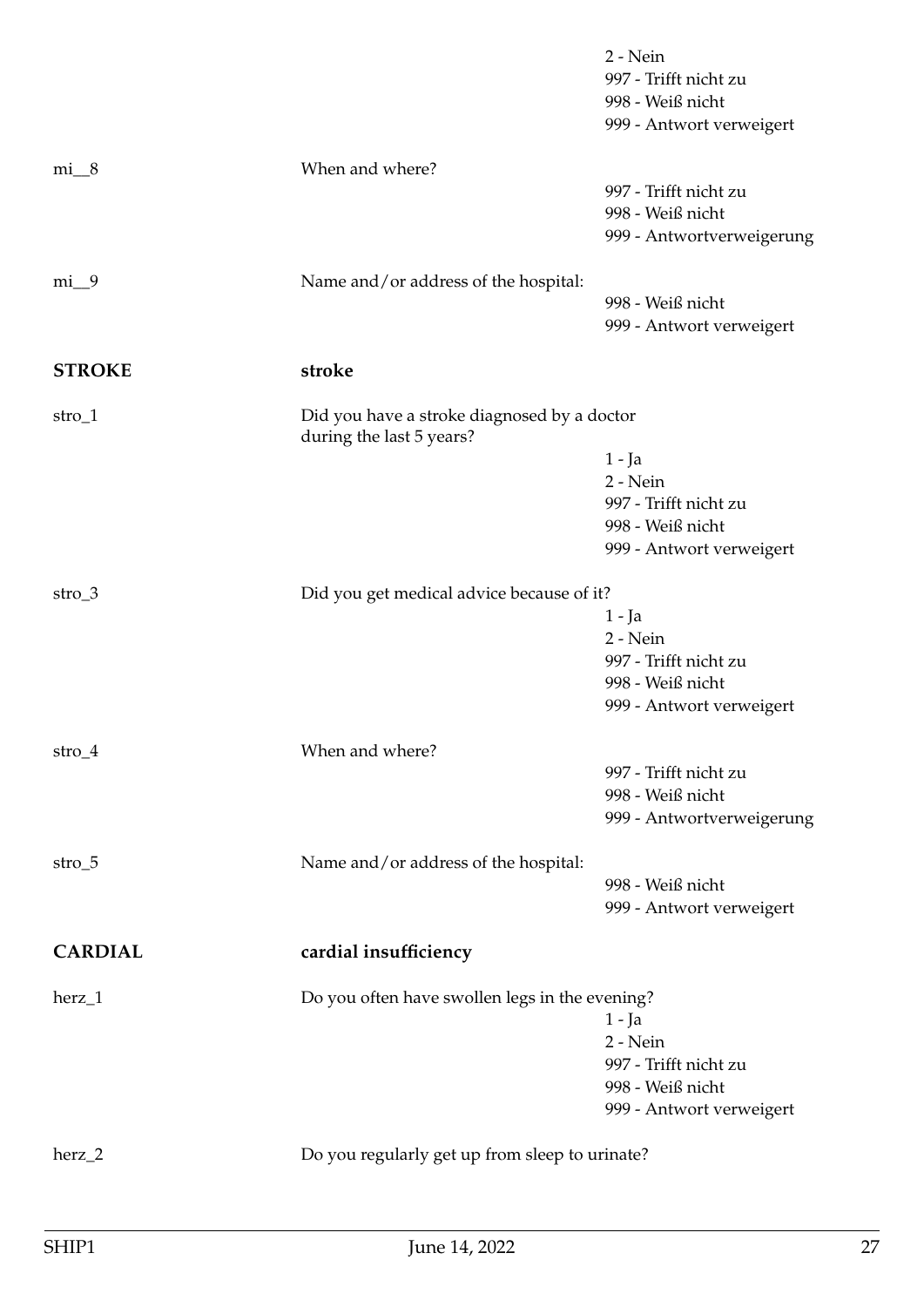<span id="page-26-1"></span><span id="page-26-0"></span>

|                |                                                                         | $2 - Nein$<br>997 - Trifft nicht zu<br>998 - Weiß nicht<br>999 - Antwort verweigert             |
|----------------|-------------------------------------------------------------------------|-------------------------------------------------------------------------------------------------|
| $mi_8$         | When and where?                                                         | 997 - Trifft nicht zu<br>998 - Weiß nicht<br>999 - Antwortverweigerung                          |
| $mi_{9}$       | Name and/or address of the hospital:                                    | 998 - Weiß nicht<br>999 - Antwort verweigert                                                    |
| <b>STROKE</b>  | stroke                                                                  |                                                                                                 |
| $stro_1$       | Did you have a stroke diagnosed by a doctor<br>during the last 5 years? |                                                                                                 |
|                |                                                                         | $1 - Ja$<br>$2 - Nein$<br>997 - Trifft nicht zu<br>998 - Weiß nicht<br>999 - Antwort verweigert |
| $stro_3$       | Did you get medical advice because of it?                               | $1 - Ja$<br>2 - Nein<br>997 - Trifft nicht zu<br>998 - Weiß nicht<br>999 - Antwort verweigert   |
| $stro_4$       | When and where?                                                         | 997 - Trifft nicht zu<br>998 - Weiß nicht<br>999 - Antwortverweigerung                          |
| $stro_5$       | Name and/or address of the hospital:                                    | 998 - Weiß nicht<br>999 - Antwort verweigert                                                    |
| <b>CARDIAL</b> | cardial insufficiency                                                   |                                                                                                 |
| $herz_1$       | Do you often have swollen legs in the evening?                          | $1 - Ja$<br>$2 - Nein$<br>997 - Trifft nicht zu<br>998 - Weiß nicht<br>999 - Antwort verweigert |
| herz_2         | Do you regularly get up from sleep to urinate?                          |                                                                                                 |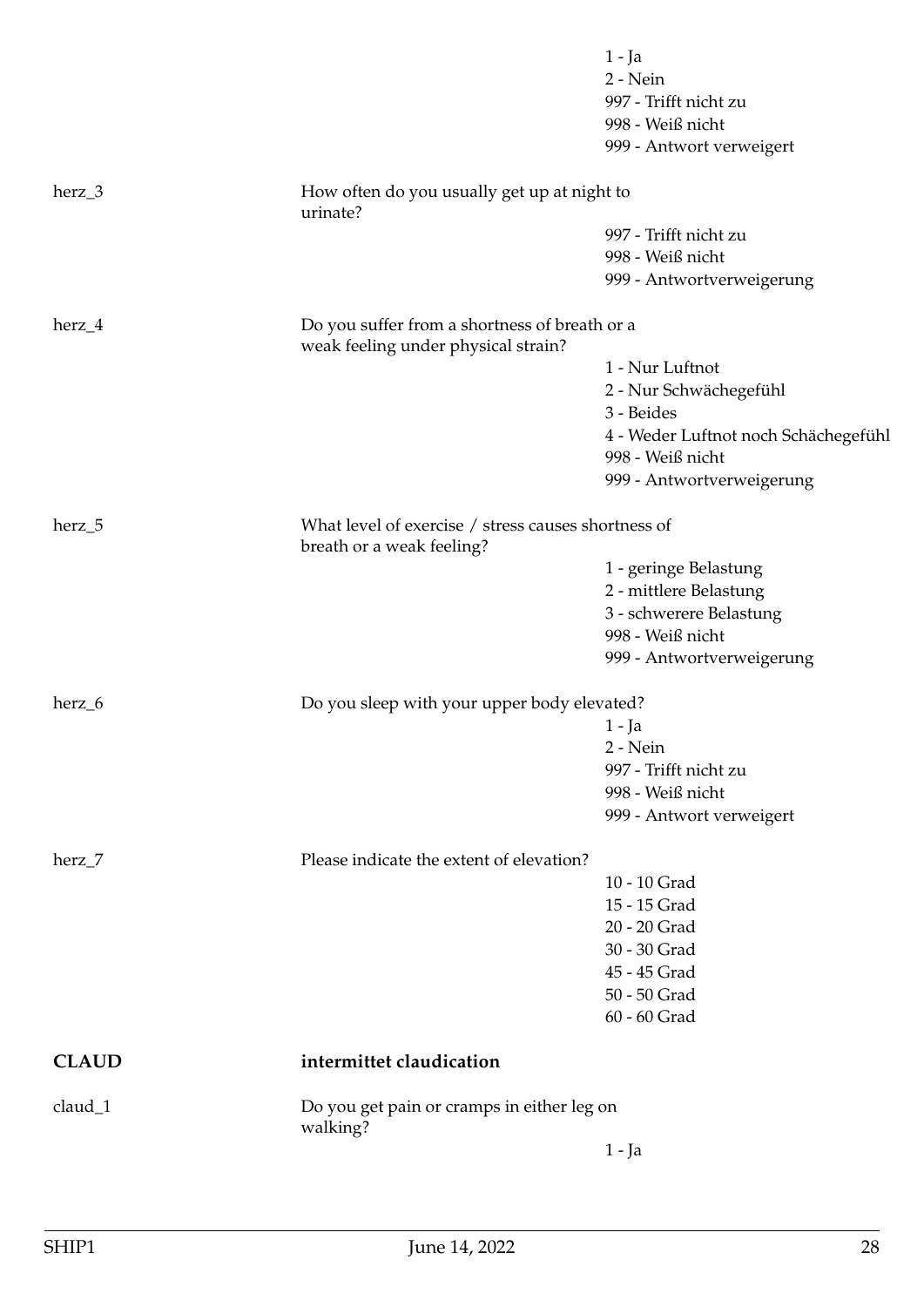<span id="page-27-0"></span>

|              |                                                                                      | $1 - Ja$<br>2 - Nein<br>997 - Trifft nicht zu<br>998 - Weiß nicht<br>999 - Antwort verweigert |  |
|--------------|--------------------------------------------------------------------------------------|-----------------------------------------------------------------------------------------------|--|
| $herz_3$     | How often do you usually get up at night to<br>urinate?                              |                                                                                               |  |
|              |                                                                                      | 997 - Trifft nicht zu                                                                         |  |
|              |                                                                                      | 998 - Weiß nicht                                                                              |  |
|              |                                                                                      | 999 - Antwortverweigerung                                                                     |  |
| herz_4       | Do you suffer from a shortness of breath or a<br>weak feeling under physical strain? |                                                                                               |  |
|              |                                                                                      | 1 - Nur Luftnot                                                                               |  |
|              |                                                                                      | 2 - Nur Schwächegefühl                                                                        |  |
|              |                                                                                      | 3 - Beides                                                                                    |  |
|              |                                                                                      | 4 - Weder Luftnot noch Schächegefühl<br>998 - Weiß nicht                                      |  |
|              |                                                                                      | 999 - Antwortverweigerung                                                                     |  |
| herz_5       | breath or a weak feeling?                                                            | What level of exercise / stress causes shortness of                                           |  |
|              |                                                                                      | 1 - geringe Belastung                                                                         |  |
|              |                                                                                      | 2 - mittlere Belastung                                                                        |  |
|              |                                                                                      | 3 - schwerere Belastung                                                                       |  |
|              |                                                                                      | 998 - Weiß nicht                                                                              |  |
|              |                                                                                      | 999 - Antwortverweigerung                                                                     |  |
| herz_6       | Do you sleep with your upper body elevated?                                          |                                                                                               |  |
|              |                                                                                      | 1 - Ja                                                                                        |  |
|              |                                                                                      | 2 - Nein                                                                                      |  |
|              |                                                                                      | 997 - Trifft nicht zu                                                                         |  |
|              |                                                                                      | 998 - Weiß nicht                                                                              |  |
|              |                                                                                      | 999 - Antwort verweigert                                                                      |  |
| herz_7       |                                                                                      | Please indicate the extent of elevation?                                                      |  |
|              |                                                                                      | 10 - 10 Grad                                                                                  |  |
|              |                                                                                      | 15 - 15 Grad                                                                                  |  |
|              |                                                                                      | 20 - 20 Grad                                                                                  |  |
|              |                                                                                      | 30 - 30 Grad                                                                                  |  |
|              |                                                                                      | 45 - 45 Grad                                                                                  |  |
|              |                                                                                      | 50 - 50 Grad                                                                                  |  |
|              |                                                                                      | 60 - 60 Grad                                                                                  |  |
| <b>CLAUD</b> | intermittet claudication                                                             |                                                                                               |  |
| claud_1      | Do you get pain or cramps in either leg on<br>walking?                               |                                                                                               |  |
|              |                                                                                      | $1 - Ja$                                                                                      |  |
|              |                                                                                      |                                                                                               |  |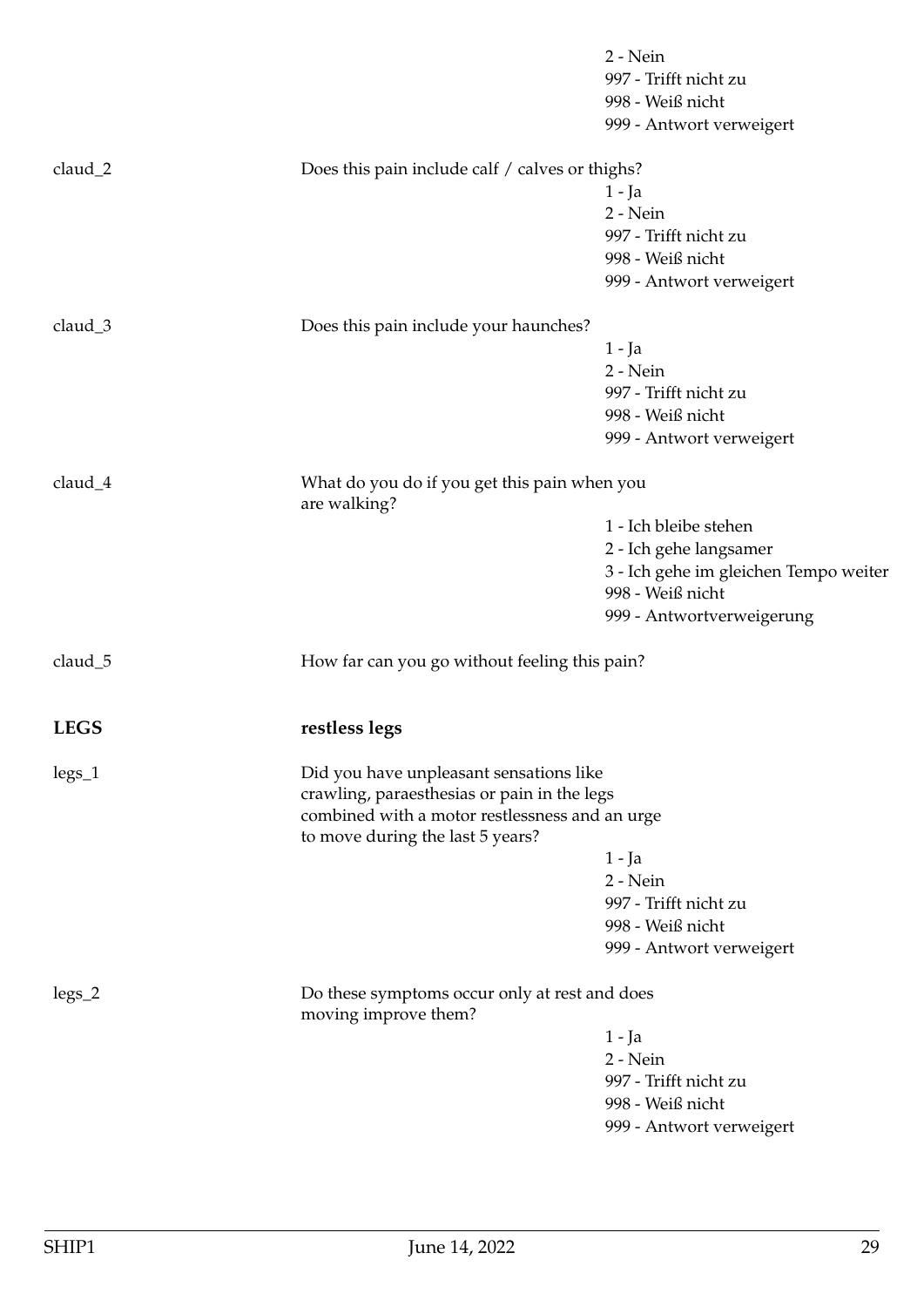<span id="page-28-0"></span>

|             |                                                                                                                                   | 2 - Nein<br>997 - Trifft nicht zu<br>998 - Weiß nicht<br>999 - Antwort verweigert |
|-------------|-----------------------------------------------------------------------------------------------------------------------------------|-----------------------------------------------------------------------------------|
| claud_2     | Does this pain include calf / calves or thighs?                                                                                   | $1 - Ja$<br>2 - Nein                                                              |
|             |                                                                                                                                   | 997 - Trifft nicht zu<br>998 - Weiß nicht<br>999 - Antwort verweigert             |
| claud_3     | Does this pain include your haunches?                                                                                             |                                                                                   |
|             |                                                                                                                                   | $1 - Ja$                                                                          |
|             |                                                                                                                                   | 2 - Nein                                                                          |
|             |                                                                                                                                   | 997 - Trifft nicht zu                                                             |
|             |                                                                                                                                   | 998 - Weiß nicht                                                                  |
|             |                                                                                                                                   | 999 - Antwort verweigert                                                          |
| claud_4     | What do you do if you get this pain when you<br>are walking?                                                                      |                                                                                   |
|             |                                                                                                                                   | 1 - Ich bleibe stehen                                                             |
|             |                                                                                                                                   | 2 - Ich gehe langsamer                                                            |
|             |                                                                                                                                   | 3 - Ich gehe im gleichen Tempo weiter<br>998 - Weiß nicht                         |
|             |                                                                                                                                   | 999 - Antwortverweigerung                                                         |
| claud_5     | How far can you go without feeling this pain?                                                                                     |                                                                                   |
| <b>LEGS</b> | restless legs                                                                                                                     |                                                                                   |
| $legs_1$    | Did you have unpleasant sensations like                                                                                           |                                                                                   |
|             | crawling, paraesthesias or pain in the legs<br>combined with a motor restlessness and an urge<br>to move during the last 5 years? |                                                                                   |
|             |                                                                                                                                   | $1 - Ja$                                                                          |
|             |                                                                                                                                   | 2 - Nein                                                                          |
|             |                                                                                                                                   | 997 - Trifft nicht zu                                                             |
|             |                                                                                                                                   | 998 - Weiß nicht                                                                  |
|             |                                                                                                                                   | 999 - Antwort verweigert                                                          |
| $legs_2$    | Do these symptoms occur only at rest and does<br>moving improve them?                                                             |                                                                                   |
|             |                                                                                                                                   | 1 - Ja                                                                            |
|             |                                                                                                                                   | $2 - Nein$                                                                        |
|             |                                                                                                                                   | 997 - Trifft nicht zu                                                             |
|             |                                                                                                                                   | 998 - Weiß nicht                                                                  |
|             |                                                                                                                                   | 999 - Antwort verweigert                                                          |
|             |                                                                                                                                   |                                                                                   |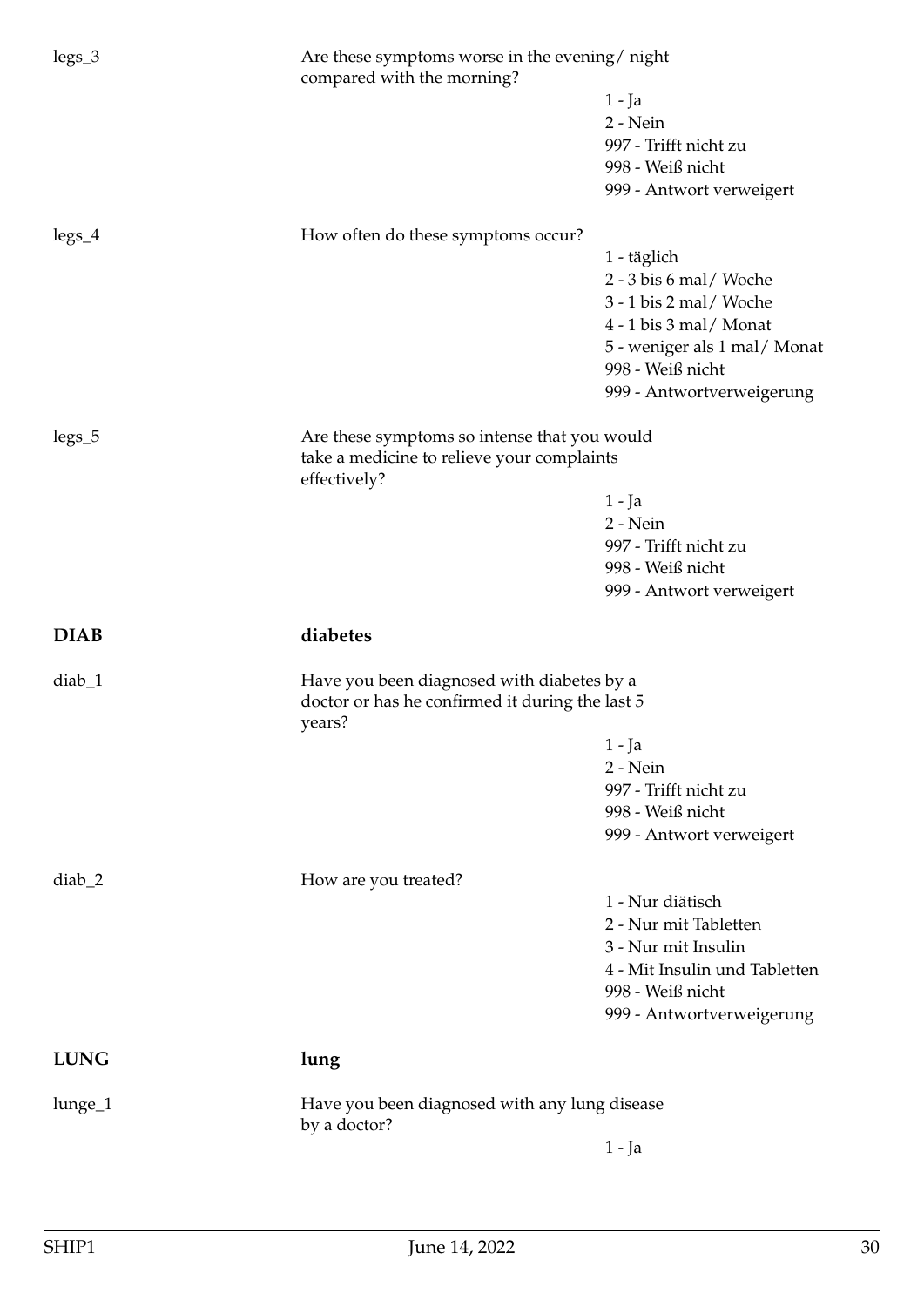<span id="page-29-1"></span><span id="page-29-0"></span>

| $legs_3$    | Are these symptoms worse in the evening/ night<br>compared with the morning? |                               |
|-------------|------------------------------------------------------------------------------|-------------------------------|
|             |                                                                              | $1 - Ja$                      |
|             |                                                                              | 2 - Nein                      |
|             |                                                                              | 997 - Trifft nicht zu         |
|             |                                                                              | 998 - Weiß nicht              |
|             |                                                                              | 999 - Antwort verweigert      |
| $legs_4$    | How often do these symptoms occur?                                           |                               |
|             |                                                                              | 1 - täglich                   |
|             |                                                                              | 2 - 3 bis 6 mal/ Woche        |
|             |                                                                              | 3 - 1 bis 2 mal/ Woche        |
|             |                                                                              | 4 - 1 bis 3 mal/ Monat        |
|             |                                                                              | 5 - weniger als 1 mal/Monat   |
|             |                                                                              | 998 - Weiß nicht              |
|             |                                                                              | 999 - Antwortverweigerung     |
| $legs_5$    | Are these symptoms so intense that you would                                 |                               |
|             | take a medicine to relieve your complaints<br>effectively?                   |                               |
|             |                                                                              | $1 - Ja$                      |
|             |                                                                              | 2 - Nein                      |
|             |                                                                              | 997 - Trifft nicht zu         |
|             |                                                                              | 998 - Weiß nicht              |
|             |                                                                              | 999 - Antwort verweigert      |
|             |                                                                              |                               |
| <b>DIAB</b> | diabetes                                                                     |                               |
| $diab_1$    | Have you been diagnosed with diabetes by a                                   |                               |
|             | doctor or has he confirmed it during the last 5                              |                               |
|             | years?                                                                       | 1 - Ja                        |
|             |                                                                              | 2 - Nein                      |
|             |                                                                              | 997 - Trifft nicht zu         |
|             |                                                                              | 998 - Weiß nicht              |
|             |                                                                              | 999 - Antwort verweigert      |
| $diab_2$    | How are you treated?                                                         |                               |
|             |                                                                              | 1 - Nur diätisch              |
|             |                                                                              | 2 - Nur mit Tabletten         |
|             |                                                                              | 3 - Nur mit Insulin           |
|             |                                                                              | 4 - Mit Insulin und Tabletten |
|             |                                                                              | 998 - Weiß nicht              |
|             |                                                                              | 999 - Antwortverweigerung     |
| <b>LUNG</b> | lung                                                                         |                               |
| lunge_1     | Have you been diagnosed with any lung disease                                |                               |
|             | by a doctor?                                                                 | $1 - Ja$                      |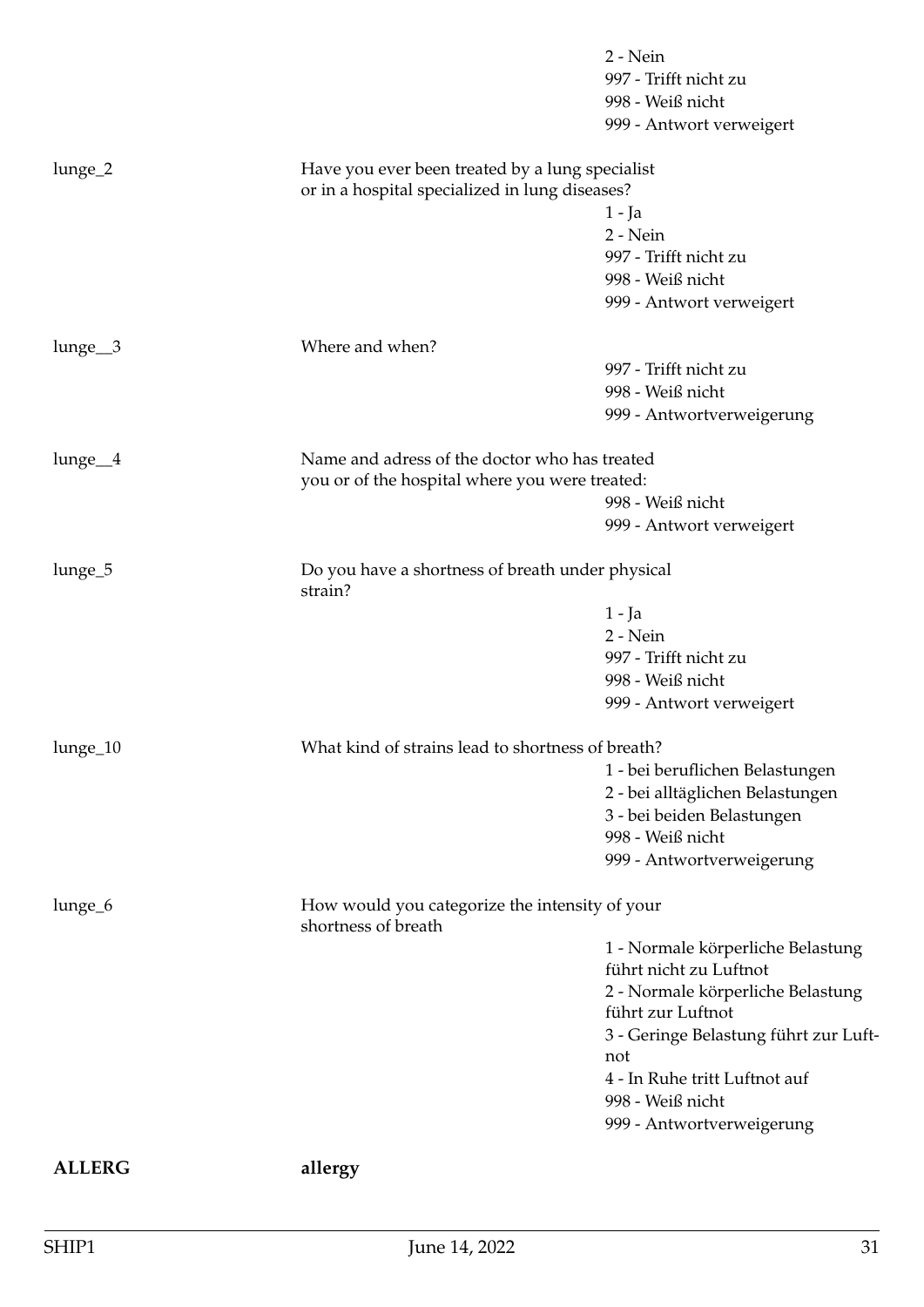<span id="page-30-0"></span>

|                    |                                                                                                   | 2 - Nein<br>997 - Trifft nicht zu<br>998 - Weiß nicht<br>999 - Antwort verweigert |
|--------------------|---------------------------------------------------------------------------------------------------|-----------------------------------------------------------------------------------|
| lunge_2            | Have you ever been treated by a lung specialist<br>or in a hospital specialized in lung diseases? |                                                                                   |
|                    |                                                                                                   | $1 - Ja$                                                                          |
|                    |                                                                                                   | 2 - Nein                                                                          |
|                    |                                                                                                   | 997 - Trifft nicht zu                                                             |
|                    |                                                                                                   | 998 - Weiß nicht                                                                  |
|                    |                                                                                                   | 999 - Antwort verweigert                                                          |
| $lunge_3$          | Where and when?                                                                                   |                                                                                   |
|                    |                                                                                                   | 997 - Trifft nicht zu                                                             |
|                    |                                                                                                   | 998 - Weiß nicht                                                                  |
|                    |                                                                                                   | 999 - Antwortverweigerung                                                         |
| lunge <sub>4</sub> | Name and adress of the doctor who has treated                                                     |                                                                                   |
|                    | you or of the hospital where you were treated:                                                    |                                                                                   |
|                    |                                                                                                   | 998 - Weiß nicht                                                                  |
|                    |                                                                                                   | 999 - Antwort verweigert                                                          |
| lunge_5            | Do you have a shortness of breath under physical<br>strain?                                       |                                                                                   |
|                    |                                                                                                   | $1 - Ja$                                                                          |
|                    |                                                                                                   | 2 - Nein                                                                          |
|                    |                                                                                                   | 997 - Trifft nicht zu                                                             |
|                    |                                                                                                   | 998 - Weiß nicht                                                                  |
|                    |                                                                                                   | 999 - Antwort verweigert                                                          |
| lunge_10           | What kind of strains lead to shortness of breath?                                                 |                                                                                   |
|                    |                                                                                                   | 1 - bei beruflichen Belastungen                                                   |
|                    |                                                                                                   | 2 - bei alltäglichen Belastungen                                                  |
|                    |                                                                                                   | 3 - bei beiden Belastungen                                                        |
|                    |                                                                                                   | 998 - Weiß nicht                                                                  |
|                    |                                                                                                   | 999 - Antwortverweigerung                                                         |
| lunge_6            | How would you categorize the intensity of your<br>shortness of breath                             |                                                                                   |
|                    |                                                                                                   | 1 - Normale körperliche Belastung                                                 |
|                    |                                                                                                   | führt nicht zu Luftnot                                                            |
|                    |                                                                                                   | 2 - Normale körperliche Belastung                                                 |
|                    |                                                                                                   | führt zur Luftnot                                                                 |
|                    |                                                                                                   | 3 - Geringe Belastung führt zur Luft-<br>not                                      |
|                    |                                                                                                   | 4 - In Ruhe tritt Luftnot auf                                                     |
|                    |                                                                                                   | 998 - Weiß nicht                                                                  |
|                    |                                                                                                   | 999 - Antwortverweigerung                                                         |
| <b>ALLERG</b>      | allergy                                                                                           |                                                                                   |
|                    |                                                                                                   |                                                                                   |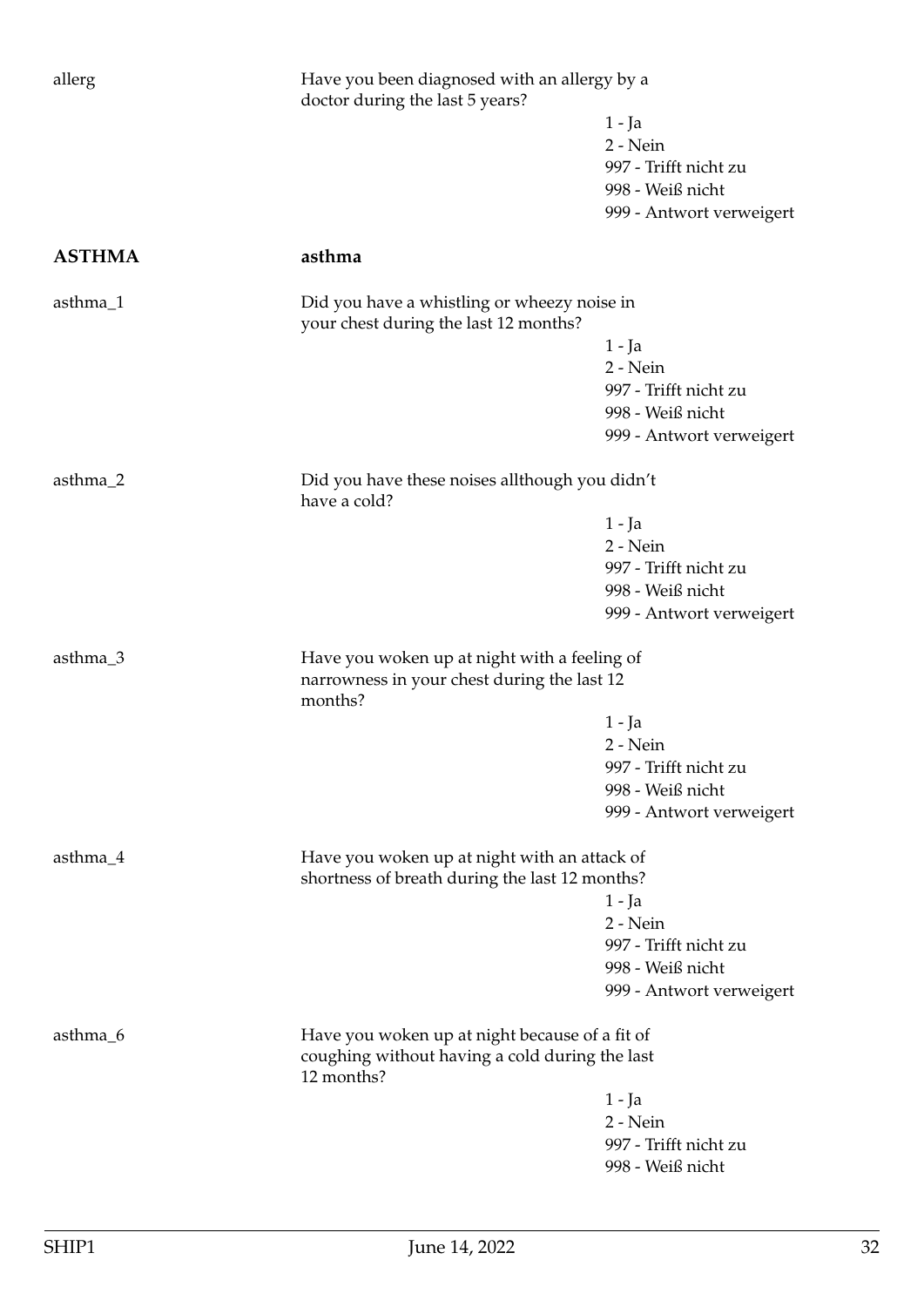<span id="page-31-0"></span>

| allerg<br>Have you been diagnosed with an allergy by a<br>doctor during the last 5 years? |                                                                                                        |                          |
|-------------------------------------------------------------------------------------------|--------------------------------------------------------------------------------------------------------|--------------------------|
|                                                                                           |                                                                                                        | $1 - Ja$                 |
|                                                                                           |                                                                                                        | 2 - Nein                 |
|                                                                                           |                                                                                                        | 997 - Trifft nicht zu    |
|                                                                                           |                                                                                                        | 998 - Weiß nicht         |
|                                                                                           |                                                                                                        | 999 - Antwort verweigert |
| <b>ASTHMA</b>                                                                             | asthma                                                                                                 |                          |
| asthma_1                                                                                  | Did you have a whistling or wheezy noise in<br>your chest during the last 12 months?                   |                          |
|                                                                                           |                                                                                                        | $1 - Ja$                 |
|                                                                                           |                                                                                                        | 2 - Nein                 |
|                                                                                           |                                                                                                        | 997 - Trifft nicht zu    |
|                                                                                           |                                                                                                        | 998 - Weiß nicht         |
|                                                                                           |                                                                                                        | 999 - Antwort verweigert |
| asthma_2                                                                                  | Did you have these noises allthough you didn't<br>have a cold?                                         |                          |
|                                                                                           |                                                                                                        | 1 - Ja                   |
|                                                                                           |                                                                                                        | 2 - Nein                 |
|                                                                                           |                                                                                                        | 997 - Trifft nicht zu    |
|                                                                                           |                                                                                                        | 998 - Weiß nicht         |
|                                                                                           |                                                                                                        | 999 - Antwort verweigert |
|                                                                                           |                                                                                                        |                          |
| asthma_3                                                                                  | Have you woken up at night with a feeling of<br>narrowness in your chest during the last 12<br>months? |                          |
|                                                                                           |                                                                                                        | $1 - Ja$                 |
|                                                                                           |                                                                                                        | 2 - Nein                 |
|                                                                                           |                                                                                                        | 997 - Trifft nicht zu    |
|                                                                                           |                                                                                                        | 998 - Weiß nicht         |
|                                                                                           |                                                                                                        | 999 - Antwort verweigert |
| asthma_4                                                                                  | Have you woken up at night with an attack of<br>shortness of breath during the last 12 months?         |                          |
|                                                                                           |                                                                                                        | $1 - Ja$                 |
|                                                                                           |                                                                                                        | 2 - Nein                 |
|                                                                                           |                                                                                                        | 997 - Trifft nicht zu    |
|                                                                                           |                                                                                                        | 998 - Weiß nicht         |
|                                                                                           |                                                                                                        | 999 - Antwort verweigert |
| asthma_6                                                                                  | Have you woken up at night because of a fit of<br>coughing without having a cold during the last       |                          |
|                                                                                           | 12 months?                                                                                             |                          |
|                                                                                           |                                                                                                        | $1 - Ja$                 |
|                                                                                           |                                                                                                        | 2 - Nein                 |
|                                                                                           |                                                                                                        | 997 - Trifft nicht zu    |
|                                                                                           |                                                                                                        | 998 - Weiß nicht         |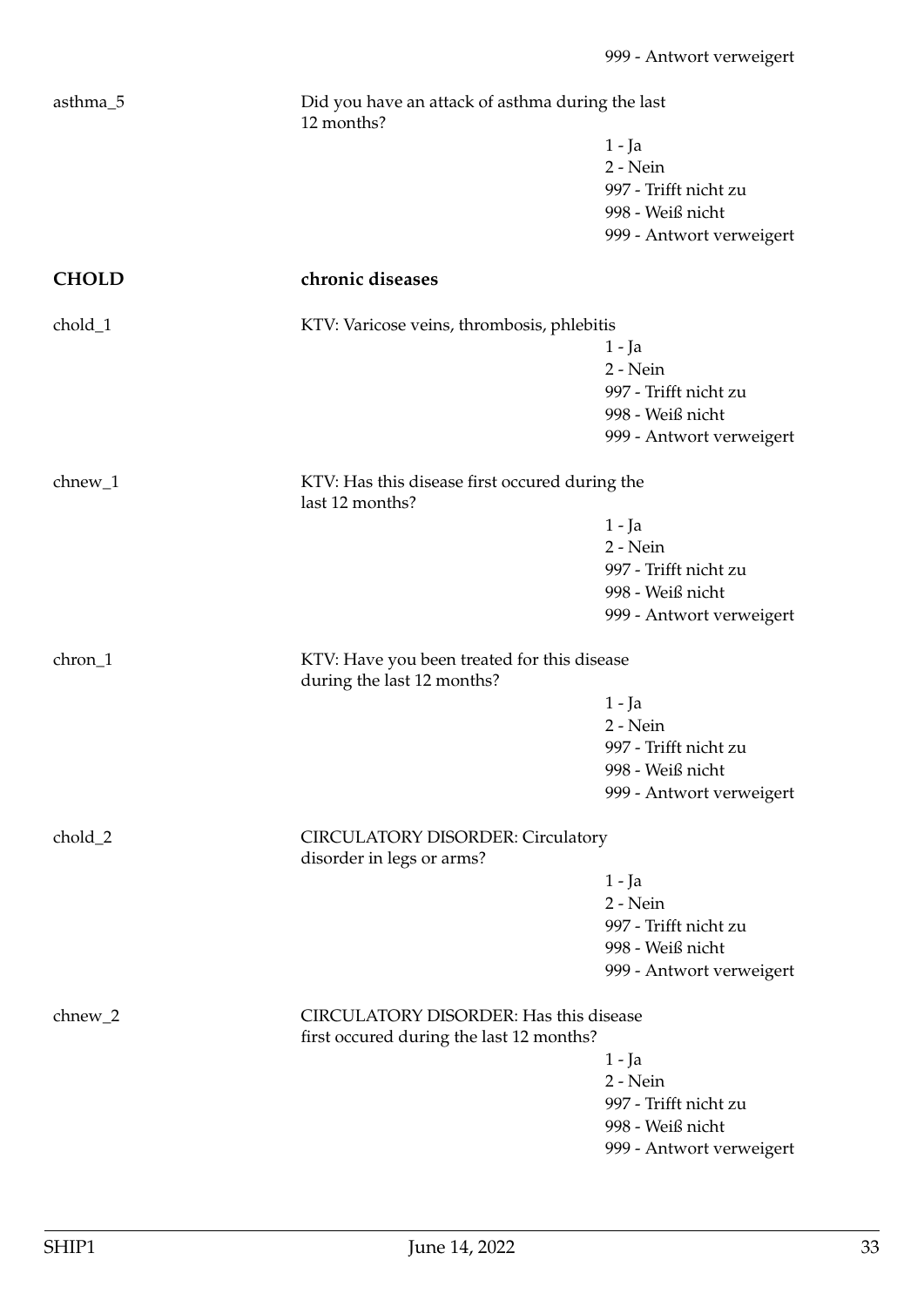<span id="page-32-0"></span>

| asthma_5     | Did you have an attack of asthma during the last<br>12 months?            |                          |
|--------------|---------------------------------------------------------------------------|--------------------------|
|              |                                                                           | 1 - Ja                   |
|              |                                                                           | 2 - Nein                 |
|              |                                                                           | 997 - Trifft nicht zu    |
|              |                                                                           | 998 - Weiß nicht         |
|              |                                                                           | 999 - Antwort verweigert |
| <b>CHOLD</b> | chronic diseases                                                          |                          |
| chold_1      | KTV: Varicose veins, thrombosis, phlebitis                                |                          |
|              |                                                                           | 1 - Ja                   |
|              |                                                                           | 2 - Nein                 |
|              |                                                                           | 997 - Trifft nicht zu    |
|              |                                                                           | 998 - Weiß nicht         |
|              |                                                                           | 999 - Antwort verweigert |
|              |                                                                           |                          |
| $chnew_1$    | KTV: Has this disease first occured during the<br>last 12 months?         |                          |
|              |                                                                           | 1 - Ja                   |
|              |                                                                           | 2 - Nein                 |
|              |                                                                           | 997 - Trifft nicht zu    |
|              |                                                                           | 998 - Weiß nicht         |
|              |                                                                           | 999 - Antwort verweigert |
| chron_1      | KTV: Have you been treated for this disease<br>during the last 12 months? |                          |
|              |                                                                           | 1 - Ja                   |
|              |                                                                           | 2 - Nein                 |
|              |                                                                           | 997 - Trifft nicht zu    |
|              |                                                                           | 998 - Weiß nicht         |
|              |                                                                           | 999 - Antwort verweigert |
|              |                                                                           |                          |
| chold_2      | <b>CIRCULATORY DISORDER: Circulatory</b><br>disorder in legs or arms?     |                          |
|              |                                                                           | 1 - Ja                   |
|              |                                                                           | 2 - Nein                 |
|              |                                                                           | 997 - Trifft nicht zu    |
|              |                                                                           | 998 - Weiß nicht         |
|              |                                                                           | 999 - Antwort verweigert |
| $chnew_2$    | <b>CIRCULATORY DISORDER: Has this disease</b>                             |                          |
|              | first occured during the last 12 months?                                  |                          |
|              |                                                                           | 1 - Ja                   |
|              |                                                                           | $2 - Nein$               |
|              |                                                                           | 997 - Trifft nicht zu    |
|              |                                                                           | 998 - Weiß nicht         |
|              |                                                                           | 999 - Antwort verweigert |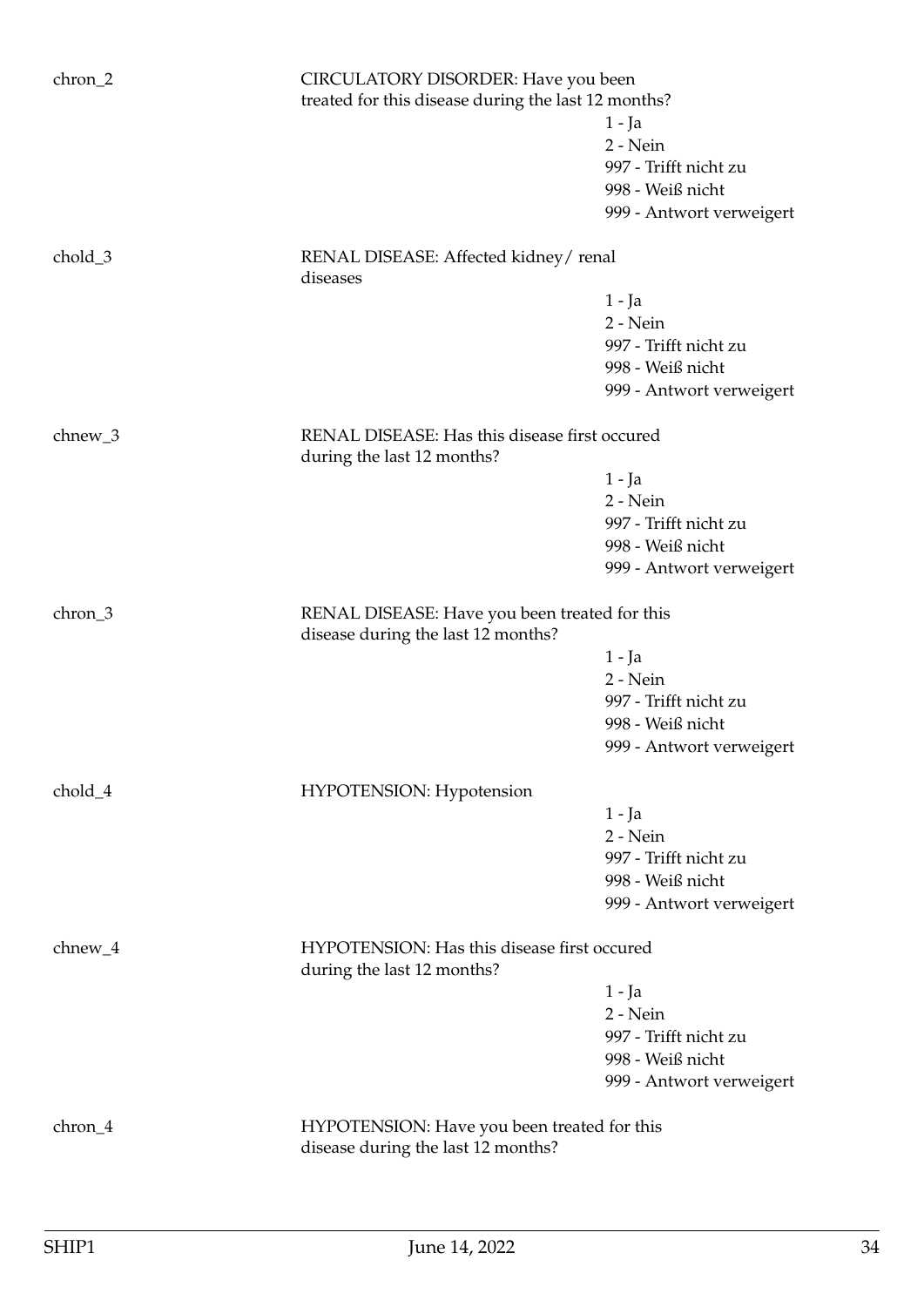| chron_2   | CIRCULATORY DISORDER: Have you been<br>treated for this disease during the last 12 months? |                          |
|-----------|--------------------------------------------------------------------------------------------|--------------------------|
|           |                                                                                            | 1 - Ja                   |
|           |                                                                                            | 2 - Nein                 |
|           |                                                                                            | 997 - Trifft nicht zu    |
|           |                                                                                            | 998 - Weiß nicht         |
|           |                                                                                            | 999 - Antwort verweigert |
|           |                                                                                            |                          |
| chold_3   | RENAL DISEASE: Affected kidney/renal<br>diseases                                           |                          |
|           |                                                                                            | 1 - Ja                   |
|           |                                                                                            | 2 - Nein                 |
|           |                                                                                            | 997 - Trifft nicht zu    |
|           |                                                                                            | 998 - Weiß nicht         |
|           |                                                                                            | 999 - Antwort verweigert |
|           |                                                                                            |                          |
| $chnew_3$ | RENAL DISEASE: Has this disease first occured<br>during the last 12 months?                |                          |
|           |                                                                                            | $1 - Ja$                 |
|           |                                                                                            | 2 - Nein                 |
|           |                                                                                            | 997 - Trifft nicht zu    |
|           |                                                                                            | 998 - Weiß nicht         |
|           |                                                                                            | 999 - Antwort verweigert |
|           |                                                                                            |                          |
| chron_3   | RENAL DISEASE: Have you been treated for this<br>disease during the last 12 months?        |                          |
|           |                                                                                            | $1 - Ja$                 |
|           |                                                                                            | 2 - Nein                 |
|           |                                                                                            | 997 - Trifft nicht zu    |
|           |                                                                                            | 998 - Weiß nicht         |
|           |                                                                                            | 999 - Antwort verweigert |
| chold_4   | <b>HYPOTENSION: Hypotension</b>                                                            |                          |
|           |                                                                                            | 1 - Ja                   |
|           |                                                                                            | 2 - Nein                 |
|           |                                                                                            | 997 - Trifft nicht zu    |
|           |                                                                                            | 998 - Weiß nicht         |
|           |                                                                                            | 999 - Antwort verweigert |
|           |                                                                                            |                          |
| chnew_4   | HYPOTENSION: Has this disease first occured<br>during the last 12 months?                  |                          |
|           |                                                                                            | $1 - Ja$                 |
|           |                                                                                            | 2 - Nein                 |
|           |                                                                                            | 997 - Trifft nicht zu    |
|           |                                                                                            | 998 - Weiß nicht         |
|           |                                                                                            | 999 - Antwort verweigert |
|           |                                                                                            |                          |
| chron_4   | HYPOTENSION: Have you been treated for this<br>disease during the last 12 months?          |                          |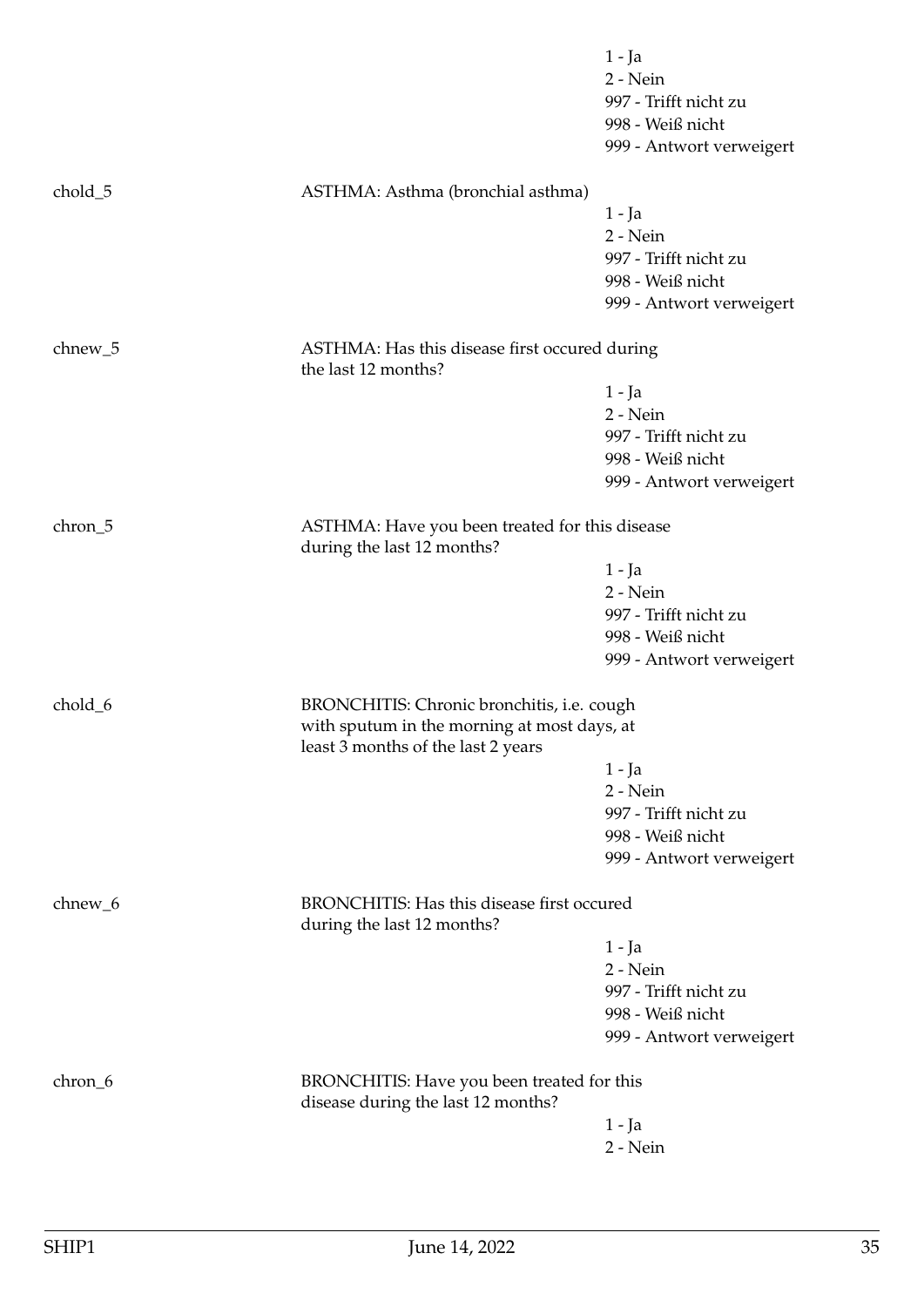|           |                                                                                                                                 | $1 - Ja$<br>2 - Nein<br>997 - Trifft nicht zu<br>998 - Weiß nicht |
|-----------|---------------------------------------------------------------------------------------------------------------------------------|-------------------------------------------------------------------|
|           |                                                                                                                                 | 999 - Antwort verweigert                                          |
| chold_5   | ASTHMA: Asthma (bronchial asthma)                                                                                               |                                                                   |
|           |                                                                                                                                 | 1 - Ja                                                            |
|           |                                                                                                                                 | 2 - Nein                                                          |
|           |                                                                                                                                 | 997 - Trifft nicht zu                                             |
|           |                                                                                                                                 | 998 - Weiß nicht<br>999 - Antwort verweigert                      |
| $chnew_5$ | ASTHMA: Has this disease first occured during<br>the last 12 months?                                                            |                                                                   |
|           |                                                                                                                                 | $1 - Ja$                                                          |
|           |                                                                                                                                 | 2 - Nein                                                          |
|           |                                                                                                                                 | 997 - Trifft nicht zu                                             |
|           |                                                                                                                                 | 998 - Weiß nicht                                                  |
|           |                                                                                                                                 | 999 - Antwort verweigert                                          |
| chron_5   | ASTHMA: Have you been treated for this disease<br>during the last 12 months?                                                    |                                                                   |
|           |                                                                                                                                 | $1 - Ja$                                                          |
|           |                                                                                                                                 | 2 - Nein                                                          |
|           |                                                                                                                                 | 997 - Trifft nicht zu                                             |
|           |                                                                                                                                 | 998 - Weiß nicht                                                  |
|           |                                                                                                                                 | 999 - Antwort verweigert                                          |
| chold_6   | BRONCHITIS: Chronic bronchitis, i.e. cough<br>with sputum in the morning at most days, at<br>least 3 months of the last 2 years |                                                                   |
|           |                                                                                                                                 | 1 - Ja                                                            |
|           |                                                                                                                                 | 2 - Nein                                                          |
|           |                                                                                                                                 | 997 - Trifft nicht zu                                             |
|           |                                                                                                                                 | 998 - Weiß nicht                                                  |
|           |                                                                                                                                 | 999 - Antwort verweigert                                          |
| chnew_6   | BRONCHITIS: Has this disease first occured<br>during the last 12 months?                                                        |                                                                   |
|           |                                                                                                                                 | $1 - Ja$                                                          |
|           |                                                                                                                                 | 2 - Nein                                                          |
|           |                                                                                                                                 | 997 - Trifft nicht zu                                             |
|           |                                                                                                                                 | 998 - Weiß nicht                                                  |
|           |                                                                                                                                 | 999 - Antwort verweigert                                          |
| chron_6   | BRONCHITIS: Have you been treated for this<br>disease during the last 12 months?                                                |                                                                   |
|           |                                                                                                                                 | $1 - Ja$                                                          |
|           |                                                                                                                                 | 2 - Nein                                                          |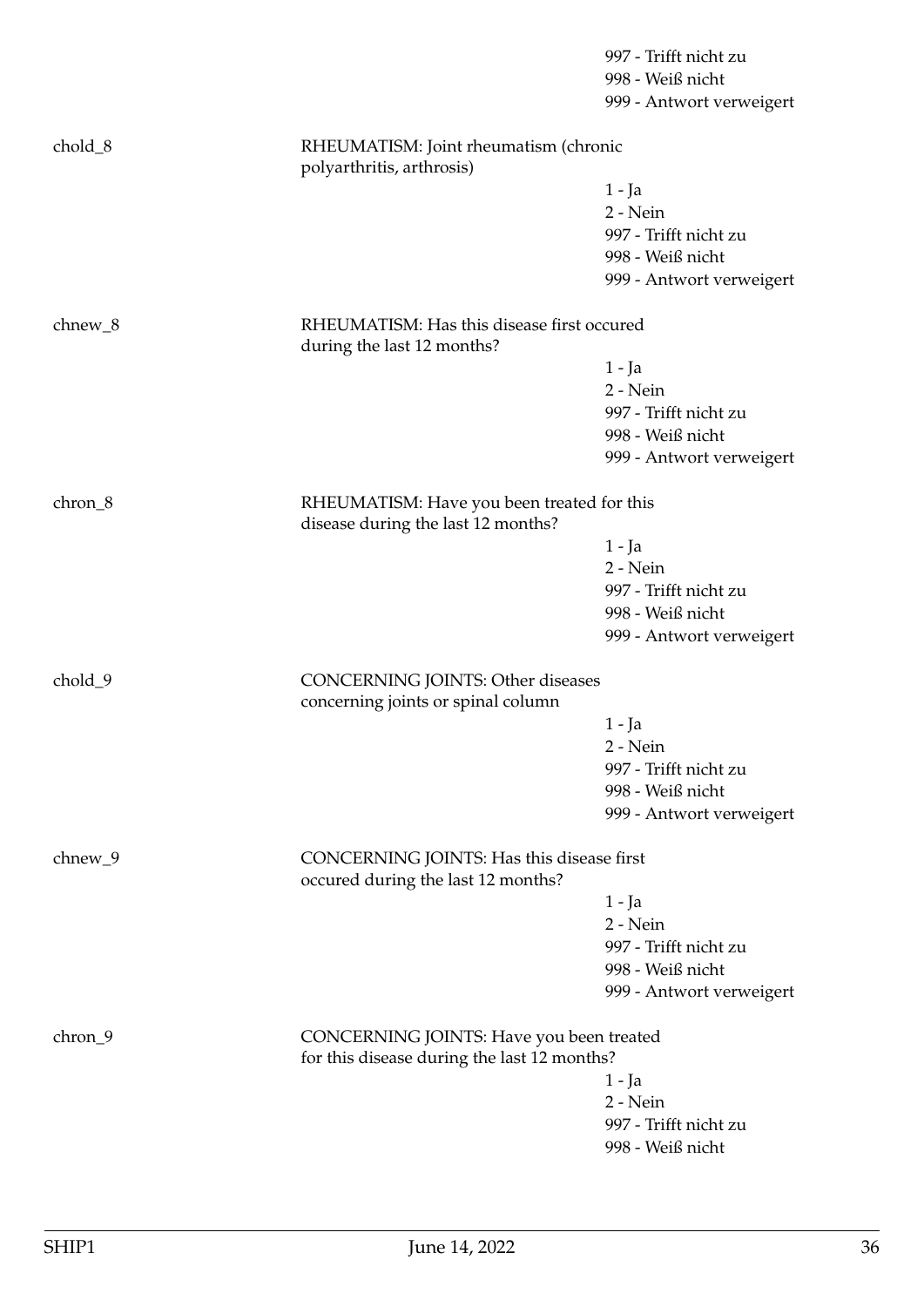|           |                                                                                         | 997 - Trifft nicht zu<br>998 - Weiß nicht<br>999 - Antwort verweigert |  |
|-----------|-----------------------------------------------------------------------------------------|-----------------------------------------------------------------------|--|
| chold_8   | RHEUMATISM: Joint rheumatism (chronic<br>polyarthritis, arthrosis)                      |                                                                       |  |
|           |                                                                                         | $1 - Ja$                                                              |  |
|           |                                                                                         | 2 - Nein                                                              |  |
|           |                                                                                         | 997 - Trifft nicht zu                                                 |  |
|           |                                                                                         | 998 - Weiß nicht                                                      |  |
|           |                                                                                         | 999 - Antwort verweigert                                              |  |
| $chnew_8$ | during the last 12 months?                                                              | RHEUMATISM: Has this disease first occured                            |  |
|           |                                                                                         | $1 - Ja$                                                              |  |
|           |                                                                                         | 2 - Nein                                                              |  |
|           |                                                                                         | 997 - Trifft nicht zu                                                 |  |
|           |                                                                                         | 998 - Weiß nicht                                                      |  |
|           |                                                                                         | 999 - Antwort verweigert                                              |  |
| chron_8   | RHEUMATISM: Have you been treated for this<br>disease during the last 12 months?        |                                                                       |  |
|           |                                                                                         | $1 - Ja$                                                              |  |
|           |                                                                                         | 2 - Nein                                                              |  |
|           |                                                                                         | 997 - Trifft nicht zu                                                 |  |
|           |                                                                                         | 998 - Weiß nicht                                                      |  |
|           |                                                                                         | 999 - Antwort verweigert                                              |  |
| chold_9   | <b>CONCERNING JOINTS: Other diseases</b><br>concerning joints or spinal column          |                                                                       |  |
|           |                                                                                         | $1 - Ja$                                                              |  |
|           |                                                                                         | 2 - Nein                                                              |  |
|           |                                                                                         | 997 - Trifft nicht zu                                                 |  |
|           |                                                                                         | 998 - Weiß nicht                                                      |  |
|           |                                                                                         | 999 - Antwort verweigert                                              |  |
| chnew_9   | CONCERNING JOINTS: Has this disease first<br>occured during the last 12 months?         |                                                                       |  |
|           |                                                                                         | $1 - Ja$                                                              |  |
|           |                                                                                         | 2 - Nein                                                              |  |
|           |                                                                                         | 997 - Trifft nicht zu                                                 |  |
|           |                                                                                         | 998 - Weiß nicht                                                      |  |
|           |                                                                                         | 999 - Antwort verweigert                                              |  |
| chron_9   | CONCERNING JOINTS: Have you been treated<br>for this disease during the last 12 months? |                                                                       |  |
|           |                                                                                         | 1 - Ja                                                                |  |
|           |                                                                                         | 2 - Nein                                                              |  |
|           |                                                                                         | 997 - Trifft nicht zu                                                 |  |
|           |                                                                                         | 998 - Weiß nicht                                                      |  |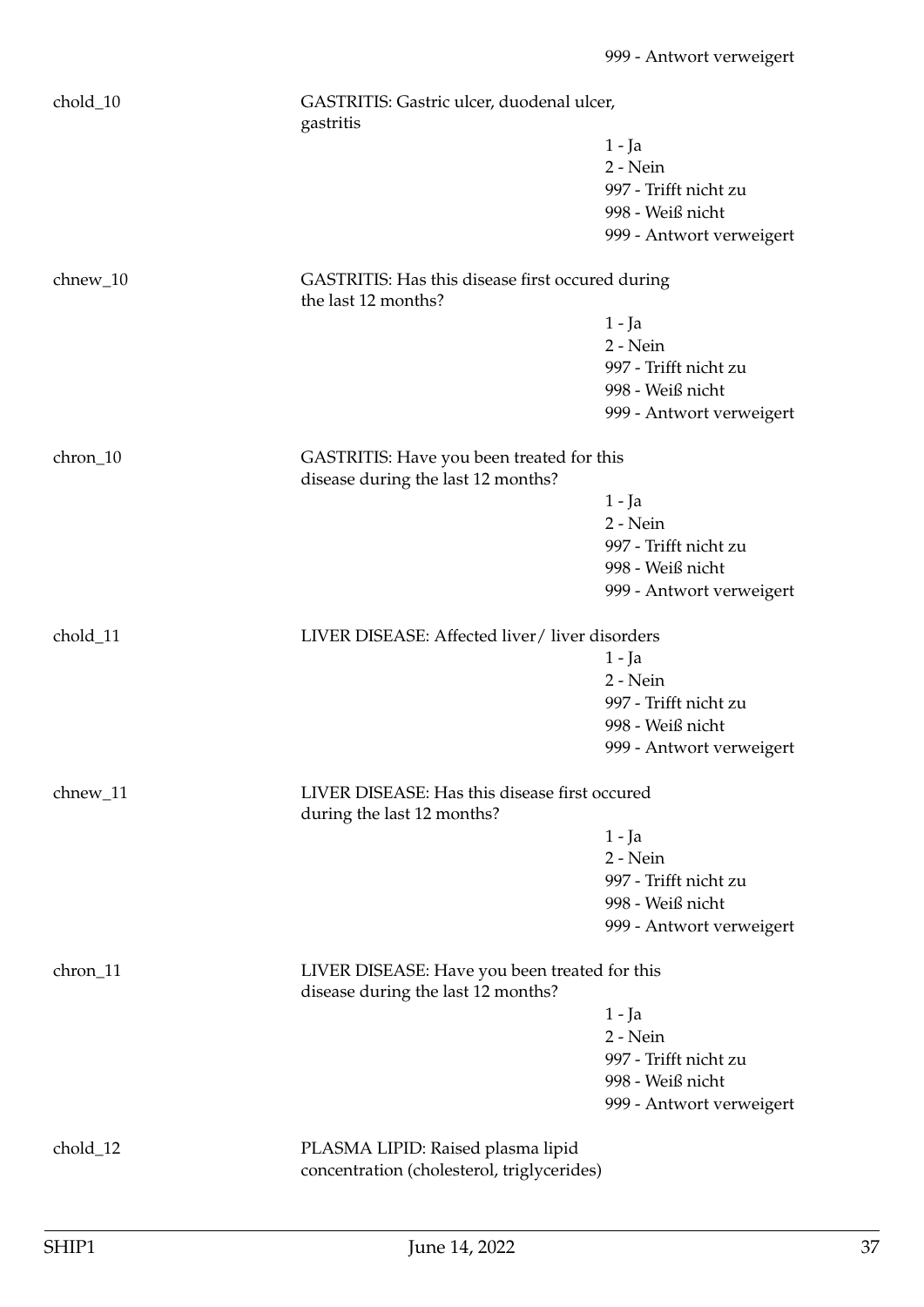| chold_10 | GASTRITIS: Gastric ulcer, duodenal ulcer,<br>gastritis                              |                          |
|----------|-------------------------------------------------------------------------------------|--------------------------|
|          |                                                                                     | 1 - Ja                   |
|          |                                                                                     | 2 - Nein                 |
|          |                                                                                     | 997 - Trifft nicht zu    |
|          |                                                                                     | 998 - Weiß nicht         |
|          |                                                                                     | 999 - Antwort verweigert |
| chnew_10 | GASTRITIS: Has this disease first occured during<br>the last 12 months?             |                          |
|          |                                                                                     | $1 - Ja$                 |
|          |                                                                                     | $2 - Nein$               |
|          |                                                                                     | 997 - Trifft nicht zu    |
|          |                                                                                     | 998 - Weiß nicht         |
|          |                                                                                     | 999 - Antwort verweigert |
|          |                                                                                     |                          |
| chron_10 | GASTRITIS: Have you been treated for this<br>disease during the last 12 months?     |                          |
|          |                                                                                     | $1 - Ja$                 |
|          |                                                                                     | 2 - Nein                 |
|          |                                                                                     | 997 - Trifft nicht zu    |
|          |                                                                                     | 998 - Weiß nicht         |
|          |                                                                                     | 999 - Antwort verweigert |
| chold_11 | LIVER DISEASE: Affected liver / liver disorders                                     |                          |
|          |                                                                                     | $1 - Ja$                 |
|          |                                                                                     | $2 - Nein$               |
|          |                                                                                     | 997 - Trifft nicht zu    |
|          |                                                                                     | 998 - Weiß nicht         |
|          |                                                                                     | 999 - Antwort verweigert |
| chnew_11 | LIVER DISEASE: Has this disease first occured<br>during the last 12 months?         |                          |
|          |                                                                                     | 1 - Ja                   |
|          |                                                                                     | $2 - Nein$               |
|          |                                                                                     | 997 - Trifft nicht zu    |
|          |                                                                                     | 998 - Weiß nicht         |
|          |                                                                                     | 999 - Antwort verweigert |
| chron_11 | LIVER DISEASE: Have you been treated for this<br>disease during the last 12 months? |                          |
|          |                                                                                     | 1 - Ja                   |
|          |                                                                                     | 2 - Nein                 |
|          |                                                                                     | 997 - Trifft nicht zu    |
|          |                                                                                     | 998 - Weiß nicht         |
|          |                                                                                     | 999 - Antwort verweigert |
|          |                                                                                     |                          |
| chold_12 | PLASMA LIPID: Raised plasma lipid                                                   |                          |
|          | concentration (cholesterol, triglycerides)                                          |                          |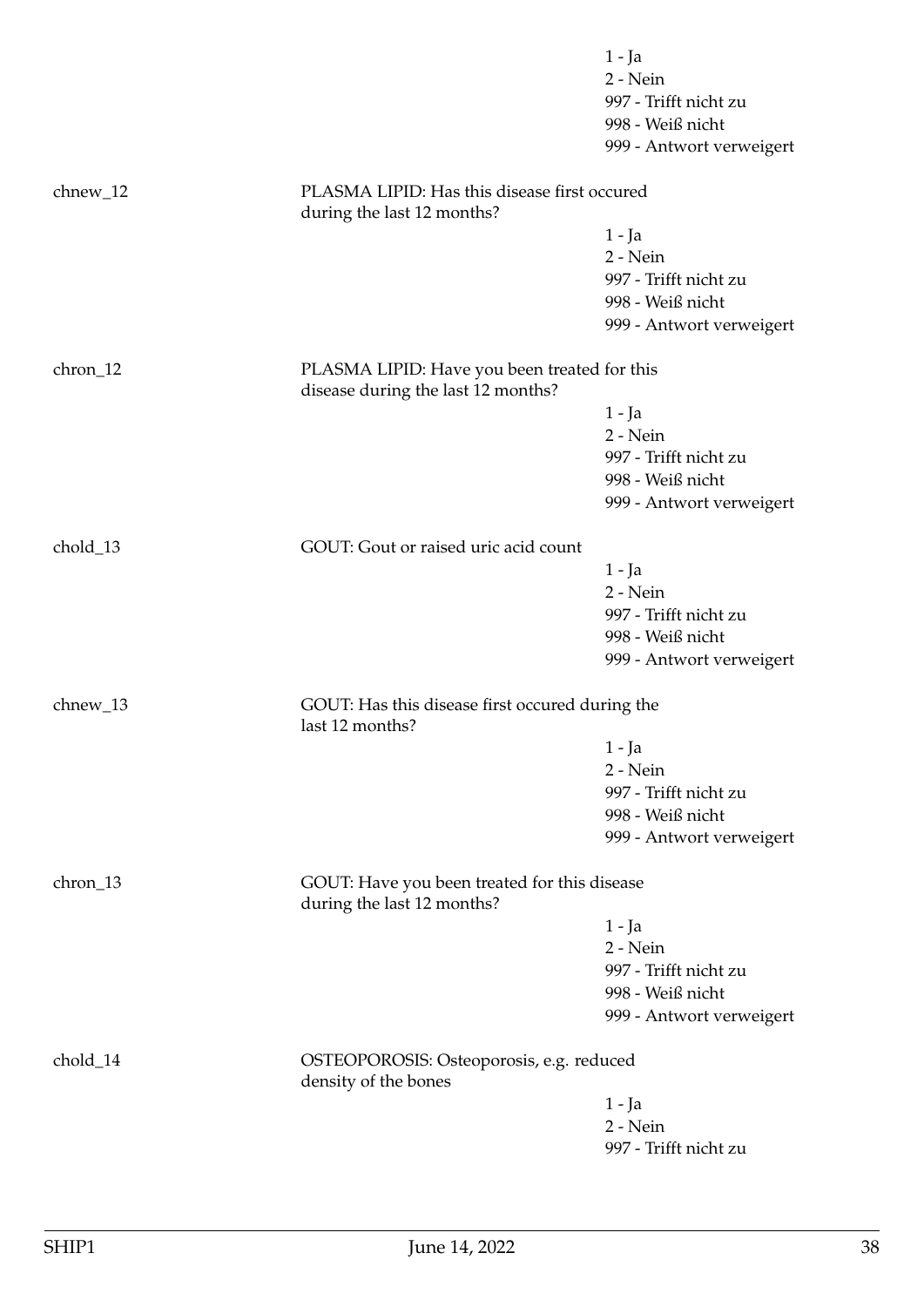|            |                                                                                    | $1 - Ja$                 |
|------------|------------------------------------------------------------------------------------|--------------------------|
|            |                                                                                    | 2 - Nein                 |
|            |                                                                                    | 997 - Trifft nicht zu    |
|            |                                                                                    | 998 - Weiß nicht         |
|            |                                                                                    | 999 - Antwort verweigert |
| $chnew_12$ | PLASMA LIPID: Has this disease first occured<br>during the last 12 months?         |                          |
|            |                                                                                    | $1 - Ja$                 |
|            |                                                                                    | 2 - Nein                 |
|            |                                                                                    | 997 - Trifft nicht zu    |
|            |                                                                                    | 998 - Weiß nicht         |
|            |                                                                                    | 999 - Antwort verweigert |
|            |                                                                                    |                          |
| chron_12   | PLASMA LIPID: Have you been treated for this<br>disease during the last 12 months? |                          |
|            |                                                                                    | 1 - Ja                   |
|            |                                                                                    | 2 - Nein                 |
|            |                                                                                    | 997 - Trifft nicht zu    |
|            |                                                                                    | 998 - Weiß nicht         |
|            |                                                                                    | 999 - Antwort verweigert |
| chold_13   | GOUT: Gout or raised uric acid count                                               |                          |
|            |                                                                                    | $1 - Ja$                 |
|            |                                                                                    | 2 - Nein                 |
|            |                                                                                    | 997 - Trifft nicht zu    |
|            |                                                                                    | 998 - Weiß nicht         |
|            |                                                                                    | 999 - Antwort verweigert |
| chnew_13   | GOUT: Has this disease first occured during the<br>last 12 months?                 |                          |
|            |                                                                                    | $1 - Ja$                 |
|            |                                                                                    | $2 - Nein$               |
|            |                                                                                    | 997 - Trifft nicht zu    |
|            |                                                                                    | 998 - Weiß nicht         |
|            |                                                                                    | 999 - Antwort verweigert |
|            |                                                                                    |                          |
| chron_13   | GOUT: Have you been treated for this disease<br>during the last 12 months?         |                          |
|            |                                                                                    | 1 - Ja                   |
|            |                                                                                    | 2 - Nein                 |
|            |                                                                                    | 997 - Trifft nicht zu    |
|            |                                                                                    | 998 - Weiß nicht         |
|            |                                                                                    | 999 - Antwort verweigert |
| chold_14   | OSTEOPOROSIS: Osteoporosis, e.g. reduced<br>density of the bones                   |                          |
|            |                                                                                    | 1 - Ja                   |
|            |                                                                                    | 2 - Nein                 |
|            |                                                                                    | 997 - Trifft nicht zu    |
|            |                                                                                    |                          |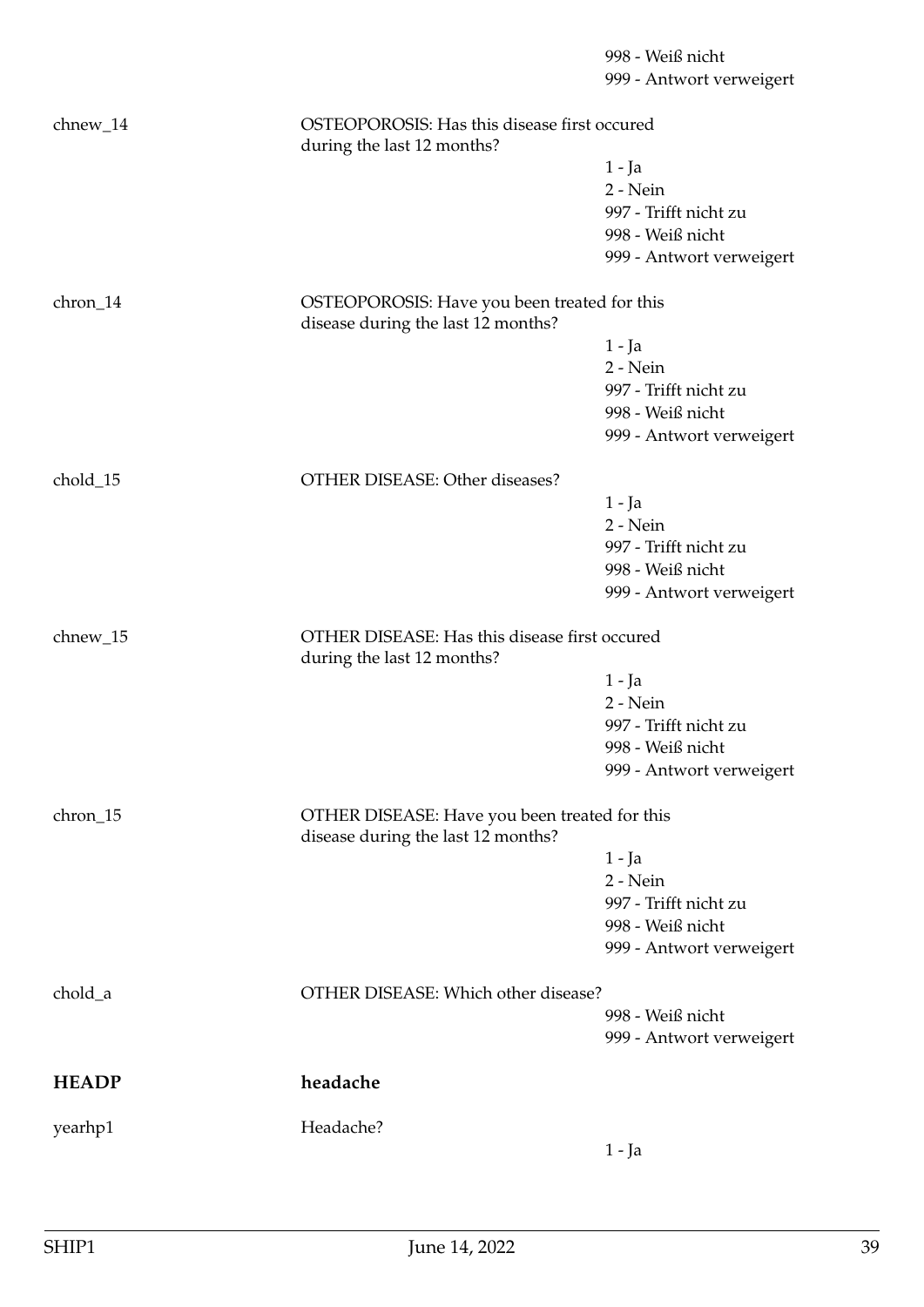998 - Weiß nicht 999 - Antwort verweigert chnew\_14 OSTEOPOROSIS: Has this disease first occured during the last 12 months? 1 - Ja 2 - Nein 997 - Trifft nicht zu 998 - Weiß nicht 999 - Antwort verweigert chron\_14 OSTEOPOROSIS: Have you been treated for this disease during the last 12 months? 1 - Ja 2 - Nein 997 - Trifft nicht zu 998 - Weiß nicht 999 - Antwort verweigert chold 15 OTHER DISEASE: Other diseases? 1 - Ja 2 - Nein 997 - Trifft nicht zu 998 - Weiß nicht 999 - Antwort verweigert chnew\_15 OTHER DISEASE: Has this disease first occured during the last 12 months? 1 - Ja 2 - Nein 997 - Trifft nicht zu 998 - Weiß nicht 999 - Antwort verweigert chron\_15 OTHER DISEASE: Have you been treated for this disease during the last 12 months? 1 - Ja 2 - Nein 997 - Trifft nicht zu 998 - Weiß nicht 999 - Antwort verweigert chold a OTHER DISEASE: Which other disease? 998 - Weiß nicht 999 - Antwort verweigert **HEADP headache** yearhp1 Headache? 1 - Ja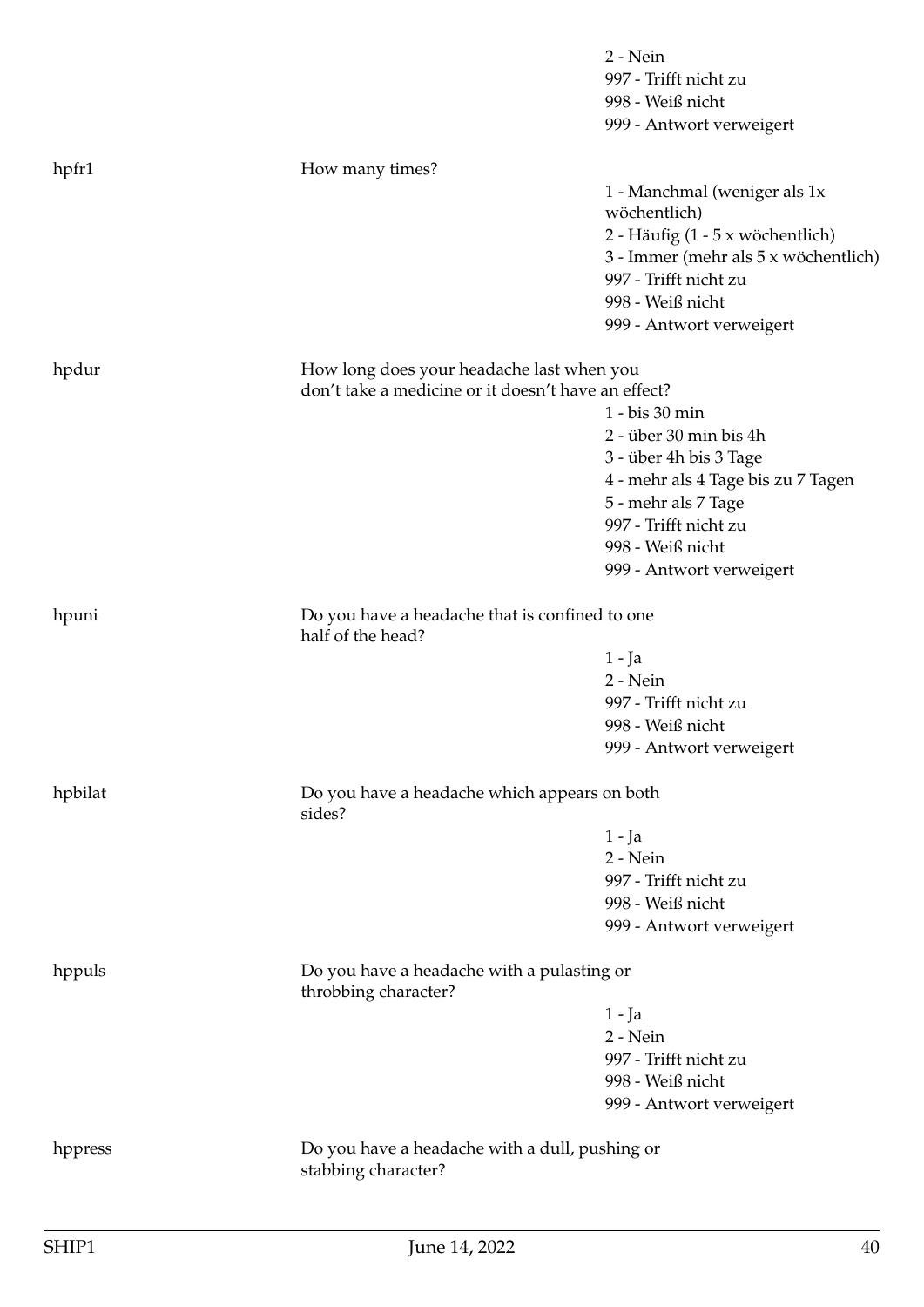|         |                                                                       | 2 - Nein<br>997 - Trifft nicht zu<br>998 - Weiß nicht<br>999 - Antwort verweigert                                                                                                                 |
|---------|-----------------------------------------------------------------------|---------------------------------------------------------------------------------------------------------------------------------------------------------------------------------------------------|
| hpfr1   | How many times?                                                       |                                                                                                                                                                                                   |
|         |                                                                       | 1 - Manchmal (weniger als 1x<br>wöchentlich)<br>2 - Häufig (1 - 5 x wöchentlich)<br>3 - Immer (mehr als 5 x wöchentlich)<br>997 - Trifft nicht zu<br>998 - Weiß nicht<br>999 - Antwort verweigert |
| hpdur   | How long does your headache last when you                             |                                                                                                                                                                                                   |
|         | don't take a medicine or it doesn't have an effect?                   |                                                                                                                                                                                                   |
|         |                                                                       | 1 - bis 30 min                                                                                                                                                                                    |
|         |                                                                       | 2 - über 30 min bis 4h                                                                                                                                                                            |
|         |                                                                       | 3 - über 4h bis 3 Tage                                                                                                                                                                            |
|         |                                                                       | 4 - mehr als 4 Tage bis zu 7 Tagen                                                                                                                                                                |
|         |                                                                       | 5 - mehr als 7 Tage<br>997 - Trifft nicht zu                                                                                                                                                      |
|         |                                                                       | 998 - Weiß nicht                                                                                                                                                                                  |
|         |                                                                       | 999 - Antwort verweigert                                                                                                                                                                          |
|         |                                                                       |                                                                                                                                                                                                   |
| hpuni   | Do you have a headache that is confined to one<br>half of the head?   |                                                                                                                                                                                                   |
|         |                                                                       | $1 - Ja$                                                                                                                                                                                          |
|         |                                                                       | 2 - Nein                                                                                                                                                                                          |
|         |                                                                       | 997 - Trifft nicht zu                                                                                                                                                                             |
|         |                                                                       | 998 - Weiß nicht                                                                                                                                                                                  |
|         |                                                                       | 999 - Antwort verweigert                                                                                                                                                                          |
| hpbilat | Do you have a headache which appears on both<br>sides?                |                                                                                                                                                                                                   |
|         |                                                                       | 1 - Ja                                                                                                                                                                                            |
|         |                                                                       | 2 - Nein                                                                                                                                                                                          |
|         |                                                                       | 997 - Trifft nicht zu                                                                                                                                                                             |
|         |                                                                       | 998 - Weiß nicht                                                                                                                                                                                  |
|         |                                                                       | 999 - Antwort verweigert                                                                                                                                                                          |
| hppuls  | Do you have a headache with a pulasting or<br>throbbing character?    |                                                                                                                                                                                                   |
|         |                                                                       | 1 - Ja                                                                                                                                                                                            |
|         |                                                                       | 2 - Nein                                                                                                                                                                                          |
|         |                                                                       | 997 - Trifft nicht zu                                                                                                                                                                             |
|         |                                                                       | 998 - Weiß nicht                                                                                                                                                                                  |
|         |                                                                       | 999 - Antwort verweigert                                                                                                                                                                          |
| hppress | Do you have a headache with a dull, pushing or<br>stabbing character? |                                                                                                                                                                                                   |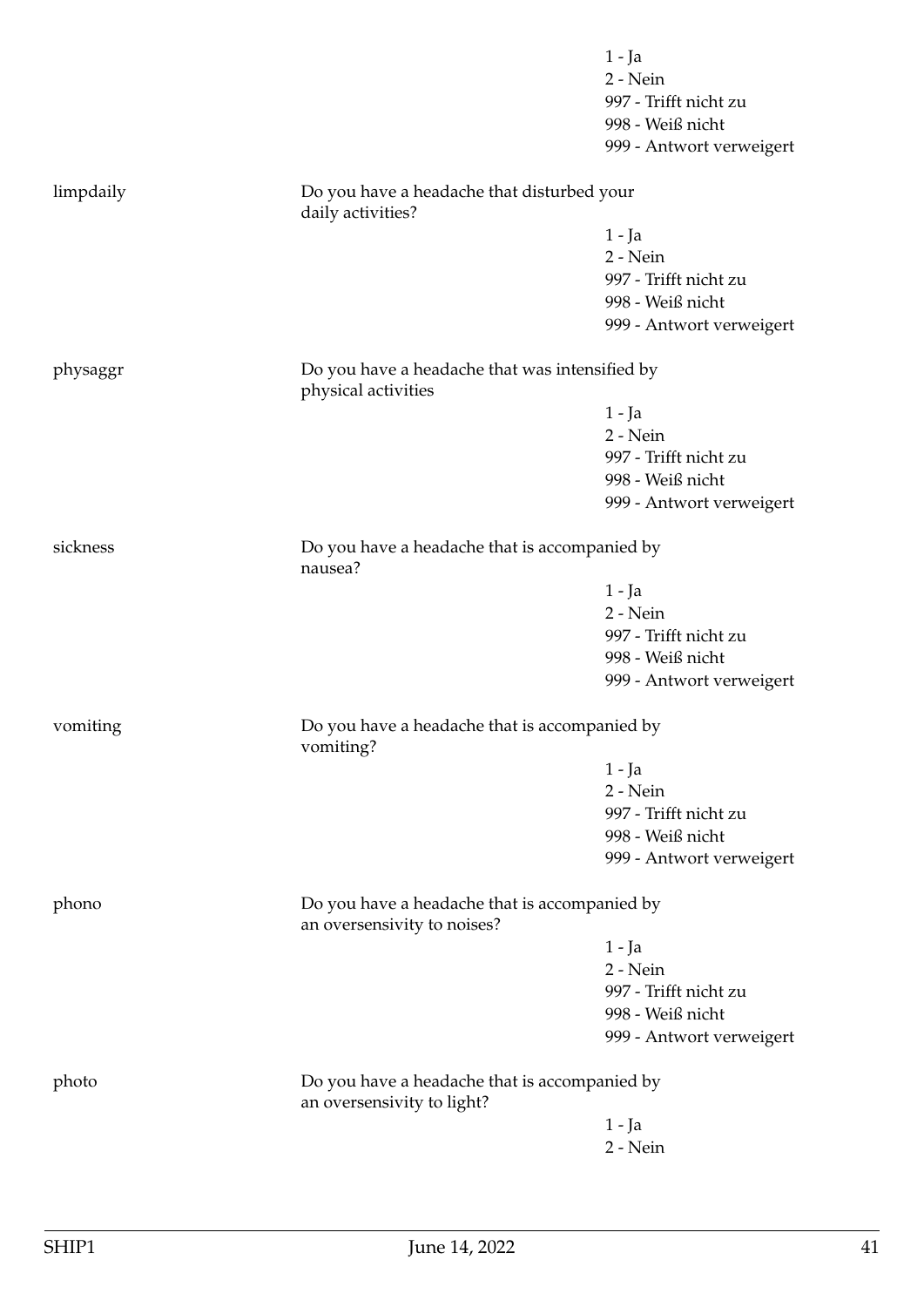|           |                                                                              | 1 - Ja                                        |  |
|-----------|------------------------------------------------------------------------------|-----------------------------------------------|--|
|           |                                                                              | 2 - Nein                                      |  |
|           |                                                                              | 997 - Trifft nicht zu                         |  |
|           |                                                                              | 998 - Weiß nicht                              |  |
|           |                                                                              | 999 - Antwort verweigert                      |  |
| limpdaily | Do you have a headache that disturbed your<br>daily activities?              |                                               |  |
|           |                                                                              | $1 - Ja$                                      |  |
|           |                                                                              | 2 - Nein                                      |  |
|           |                                                                              | 997 - Trifft nicht zu                         |  |
|           |                                                                              | 998 - Weiß nicht                              |  |
|           |                                                                              | 999 - Antwort verweigert                      |  |
| physaggr  | Do you have a headache that was intensified by<br>physical activities        |                                               |  |
|           |                                                                              | $1 - Ja$                                      |  |
|           |                                                                              | 2 - Nein                                      |  |
|           |                                                                              | 997 - Trifft nicht zu                         |  |
|           |                                                                              | 998 - Weiß nicht                              |  |
|           |                                                                              | 999 - Antwort verweigert                      |  |
|           |                                                                              |                                               |  |
| sickness  | nausea?                                                                      | Do you have a headache that is accompanied by |  |
|           |                                                                              | $1 - Ja$                                      |  |
|           |                                                                              | 2 - Nein                                      |  |
|           |                                                                              | 997 - Trifft nicht zu                         |  |
|           |                                                                              | 998 - Weiß nicht                              |  |
|           |                                                                              | 999 - Antwort verweigert                      |  |
| vomiting  | Do you have a headache that is accompanied by<br>vomiting?                   |                                               |  |
|           |                                                                              | 1 - Ja                                        |  |
|           |                                                                              | 2 - Nein                                      |  |
|           |                                                                              | 997 - Trifft nicht zu                         |  |
|           |                                                                              | 998 - Weiß nicht                              |  |
|           |                                                                              | 999 - Antwort verweigert                      |  |
| phono     | Do you have a headache that is accompanied by<br>an oversensivity to noises? |                                               |  |
|           |                                                                              | $1 - Ja$                                      |  |
|           |                                                                              | 2 - Nein                                      |  |
|           |                                                                              | 997 - Trifft nicht zu                         |  |
|           |                                                                              | 998 - Weiß nicht                              |  |
|           |                                                                              | 999 - Antwort verweigert                      |  |
| photo     | Do you have a headache that is accompanied by<br>an oversensivity to light?  |                                               |  |
|           |                                                                              | $1 - Ja$                                      |  |
|           |                                                                              | $2 - Nein$                                    |  |
|           |                                                                              |                                               |  |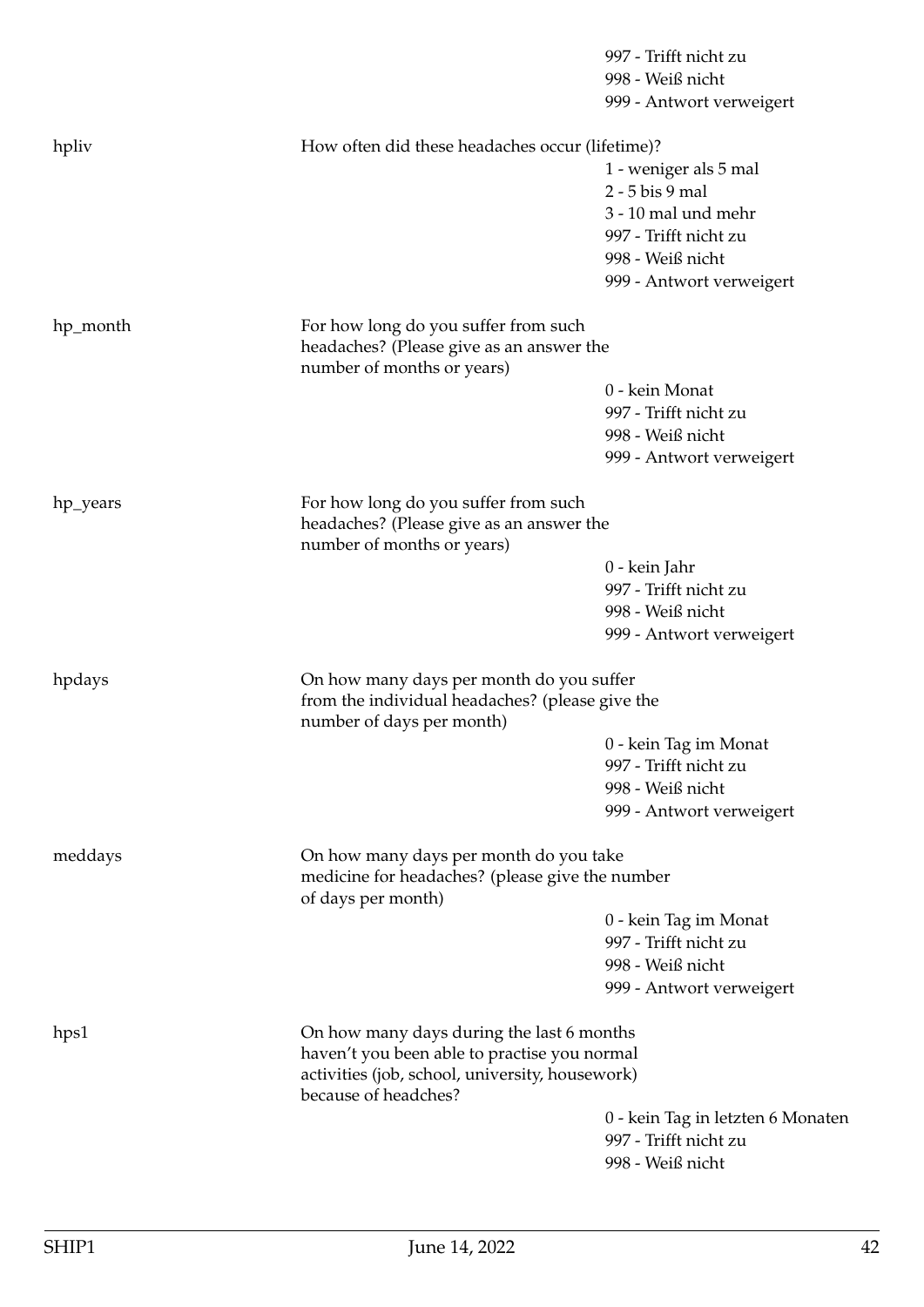|          |                                                                                                                                                                      | 997 - Trifft nicht zu<br>998 - Weiß nicht<br>999 - Antwort verweigert          |  |
|----------|----------------------------------------------------------------------------------------------------------------------------------------------------------------------|--------------------------------------------------------------------------------|--|
| hpliv    | How often did these headaches occur (lifetime)?                                                                                                                      |                                                                                |  |
|          |                                                                                                                                                                      | 1 - weniger als 5 mal                                                          |  |
|          |                                                                                                                                                                      | 2 - 5 bis 9 mal                                                                |  |
|          |                                                                                                                                                                      | 3 - 10 mal und mehr                                                            |  |
|          |                                                                                                                                                                      | 997 - Trifft nicht zu                                                          |  |
|          |                                                                                                                                                                      | 998 - Weiß nicht                                                               |  |
|          |                                                                                                                                                                      | 999 - Antwort verweigert                                                       |  |
| hp_month | For how long do you suffer from such<br>headaches? (Please give as an answer the<br>number of months or years)                                                       |                                                                                |  |
|          |                                                                                                                                                                      | 0 - kein Monat                                                                 |  |
|          |                                                                                                                                                                      | 997 - Trifft nicht zu                                                          |  |
|          |                                                                                                                                                                      | 998 - Weiß nicht                                                               |  |
|          |                                                                                                                                                                      | 999 - Antwort verweigert                                                       |  |
| hp_years | For how long do you suffer from such<br>headaches? (Please give as an answer the<br>number of months or years)                                                       |                                                                                |  |
|          |                                                                                                                                                                      | 0 - kein Jahr                                                                  |  |
|          |                                                                                                                                                                      | 997 - Trifft nicht zu                                                          |  |
|          |                                                                                                                                                                      | 998 - Weiß nicht                                                               |  |
|          |                                                                                                                                                                      | 999 - Antwort verweigert                                                       |  |
| hpdays   | On how many days per month do you suffer<br>from the individual headaches? (please give the<br>number of days per month)                                             |                                                                                |  |
|          |                                                                                                                                                                      | 0 - kein Tag im Monat                                                          |  |
|          |                                                                                                                                                                      | 997 - Trifft nicht zu                                                          |  |
|          |                                                                                                                                                                      | 998 - Weiß nicht                                                               |  |
|          |                                                                                                                                                                      | 999 - Antwort verweigert                                                       |  |
| meddays  | On how many days per month do you take<br>medicine for headaches? (please give the number<br>of days per month)                                                      |                                                                                |  |
|          |                                                                                                                                                                      | 0 - kein Tag im Monat                                                          |  |
|          |                                                                                                                                                                      | 997 - Trifft nicht zu                                                          |  |
|          |                                                                                                                                                                      | 998 - Weiß nicht                                                               |  |
|          |                                                                                                                                                                      | 999 - Antwort verweigert                                                       |  |
| hps1     | On how many days during the last 6 months<br>haven't you been able to practise you normal<br>activities (job, school, university, housework)<br>because of headches? |                                                                                |  |
|          |                                                                                                                                                                      | 0 - kein Tag in letzten 6 Monaten<br>997 - Trifft nicht zu<br>998 - Weiß nicht |  |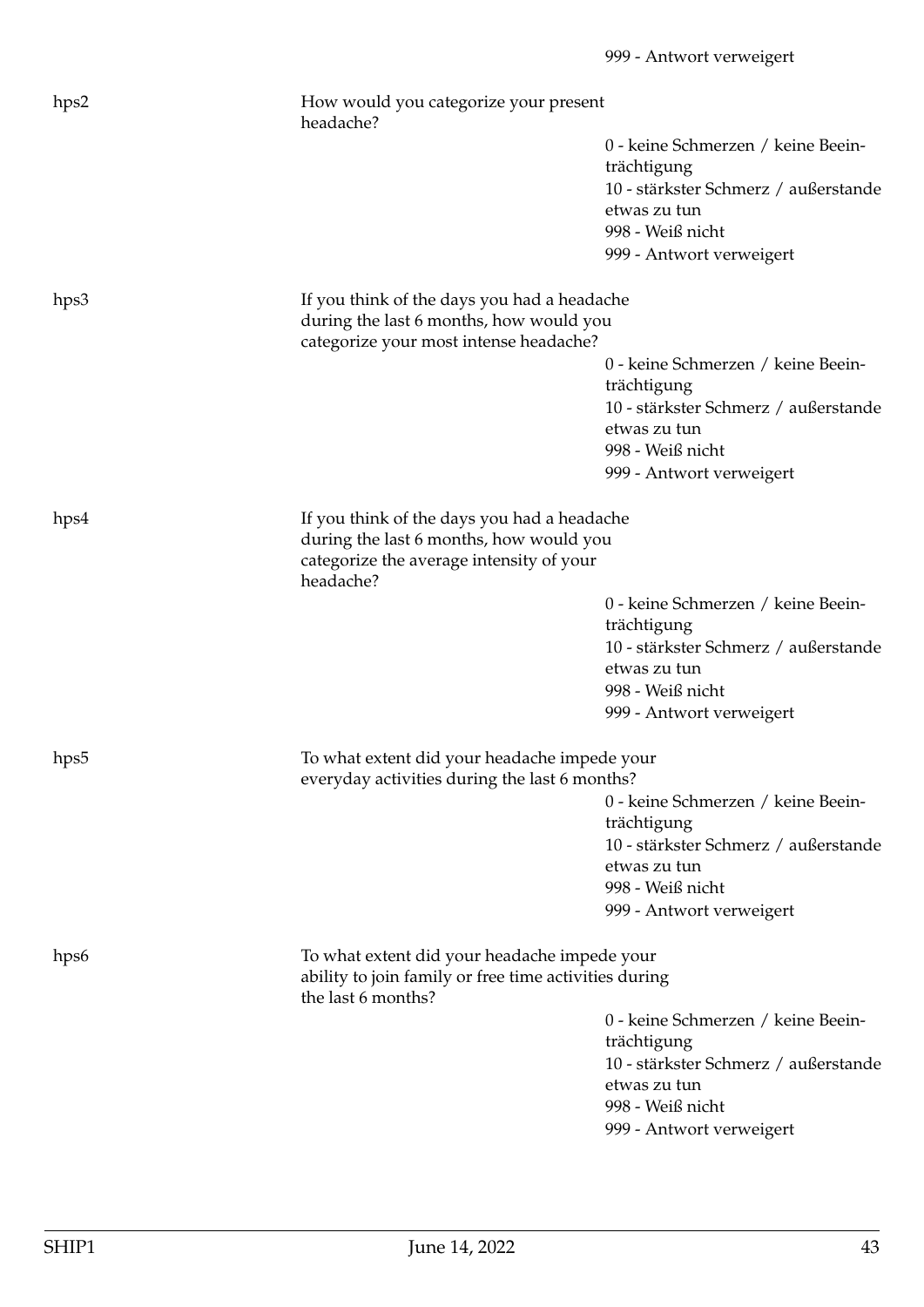| hps2             | How would you categorize your present<br>headache?                                                                                              |                                                      |
|------------------|-------------------------------------------------------------------------------------------------------------------------------------------------|------------------------------------------------------|
|                  |                                                                                                                                                 | 0 - keine Schmerzen / keine Beein-<br>trächtigung    |
|                  |                                                                                                                                                 | 10 - stärkster Schmerz / außerstande                 |
|                  |                                                                                                                                                 | etwas zu tun                                         |
|                  |                                                                                                                                                 | 998 - Weiß nicht                                     |
|                  |                                                                                                                                                 | 999 - Antwort verweigert                             |
| hps3             | If you think of the days you had a headache<br>during the last 6 months, how would you                                                          |                                                      |
|                  | categorize your most intense headache?                                                                                                          |                                                      |
|                  |                                                                                                                                                 | 0 - keine Schmerzen / keine Beein-<br>trächtigung    |
|                  |                                                                                                                                                 | 10 - stärkster Schmerz / außerstande                 |
|                  |                                                                                                                                                 | etwas zu tun                                         |
|                  |                                                                                                                                                 | 998 - Weiß nicht                                     |
|                  |                                                                                                                                                 | 999 - Antwort verweigert                             |
| hps4             | If you think of the days you had a headache<br>during the last 6 months, how would you<br>categorize the average intensity of your<br>headache? |                                                      |
|                  |                                                                                                                                                 | 0 - keine Schmerzen / keine Beein-                   |
|                  |                                                                                                                                                 | trächtigung                                          |
|                  |                                                                                                                                                 | 10 - stärkster Schmerz / außerstande                 |
|                  |                                                                                                                                                 | etwas zu tun                                         |
|                  |                                                                                                                                                 | 998 - Weiß nicht                                     |
|                  |                                                                                                                                                 | 999 - Antwort verweigert                             |
| hps <sub>5</sub> | To what extent did your headache impede your<br>everyday activities during the last 6 months?                                                   |                                                      |
|                  |                                                                                                                                                 | 0 - keine Schmerzen / keine Beein-                   |
|                  |                                                                                                                                                 | trächtigung                                          |
|                  |                                                                                                                                                 | 10 - stärkster Schmerz / außerstande                 |
|                  |                                                                                                                                                 | etwas zu tun                                         |
|                  |                                                                                                                                                 | 998 - Weiß nicht                                     |
|                  |                                                                                                                                                 | 999 - Antwort verweigert                             |
| hps <sub>6</sub> | To what extent did your headache impede your                                                                                                    |                                                      |
|                  | ability to join family or free time activities during<br>the last 6 months?                                                                     |                                                      |
|                  |                                                                                                                                                 | 0 - keine Schmerzen / keine Beein-                   |
|                  |                                                                                                                                                 | trächtigung                                          |
|                  |                                                                                                                                                 | 10 - stärkster Schmerz / außerstande<br>etwas zu tun |
|                  |                                                                                                                                                 | 998 - Weiß nicht                                     |
|                  |                                                                                                                                                 | 999 - Antwort verweigert                             |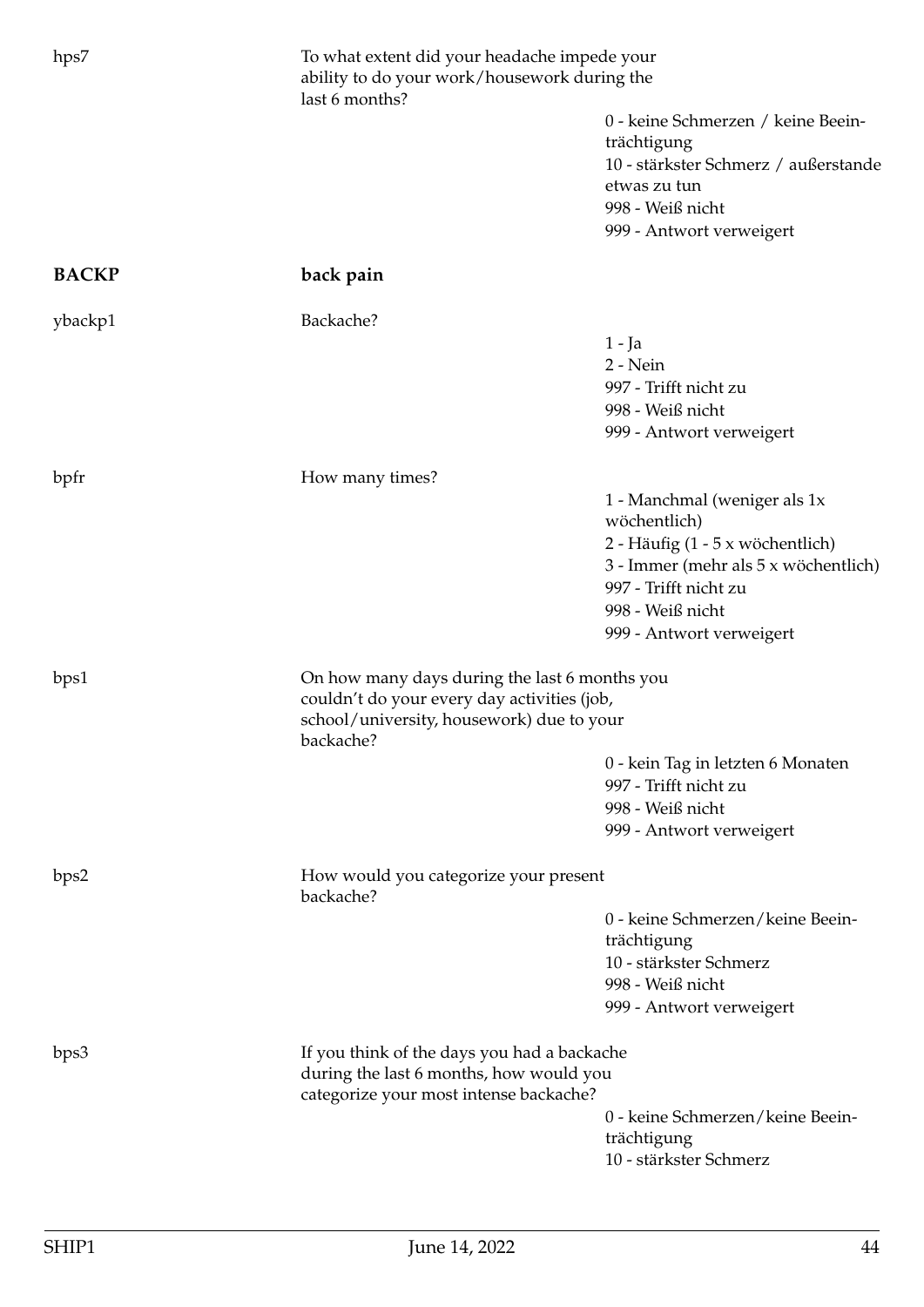| hps7         | To what extent did your headache impede your<br>ability to do your work/housework during the<br>last 6 months?                   |                                      |  |
|--------------|----------------------------------------------------------------------------------------------------------------------------------|--------------------------------------|--|
|              |                                                                                                                                  | 0 - keine Schmerzen / keine Beein-   |  |
|              |                                                                                                                                  | trächtigung                          |  |
|              |                                                                                                                                  | 10 - stärkster Schmerz / außerstande |  |
|              |                                                                                                                                  | etwas zu tun                         |  |
|              |                                                                                                                                  | 998 - Weiß nicht                     |  |
|              |                                                                                                                                  | 999 - Antwort verweigert             |  |
|              |                                                                                                                                  |                                      |  |
| <b>BACKP</b> | back pain                                                                                                                        |                                      |  |
| ybackp1      | Backache?                                                                                                                        |                                      |  |
|              |                                                                                                                                  | $1 - Ja$                             |  |
|              |                                                                                                                                  | 2 - Nein                             |  |
|              |                                                                                                                                  | 997 - Trifft nicht zu                |  |
|              |                                                                                                                                  | 998 - Weiß nicht                     |  |
|              |                                                                                                                                  | 999 - Antwort verweigert             |  |
|              |                                                                                                                                  |                                      |  |
| bpfr         | How many times?                                                                                                                  |                                      |  |
|              |                                                                                                                                  | 1 - Manchmal (weniger als 1x         |  |
|              |                                                                                                                                  | wöchentlich)                         |  |
|              |                                                                                                                                  | 2 - Häufig (1 - 5 x wöchentlich)     |  |
|              |                                                                                                                                  | 3 - Immer (mehr als 5 x wöchentlich) |  |
|              |                                                                                                                                  | 997 - Trifft nicht zu                |  |
|              |                                                                                                                                  | 998 - Weiß nicht                     |  |
|              |                                                                                                                                  | 999 - Antwort verweigert             |  |
|              |                                                                                                                                  |                                      |  |
| bps1         | On how many days during the last 6 months you                                                                                    |                                      |  |
|              | couldn't do your every day activities (job,                                                                                      |                                      |  |
|              | school/university, housework) due to your<br>backache?                                                                           |                                      |  |
|              |                                                                                                                                  | 0 - kein Tag in letzten 6 Monaten    |  |
|              |                                                                                                                                  | 997 - Trifft nicht zu                |  |
|              |                                                                                                                                  | 998 - Weiß nicht                     |  |
|              |                                                                                                                                  | 999 - Antwort verweigert             |  |
| bps2         | How would you categorize your present<br>backache?                                                                               |                                      |  |
|              |                                                                                                                                  |                                      |  |
|              |                                                                                                                                  | 0 - keine Schmerzen/keine Beein-     |  |
|              |                                                                                                                                  | trächtigung                          |  |
|              |                                                                                                                                  | 10 - stärkster Schmerz               |  |
|              |                                                                                                                                  | 998 - Weiß nicht                     |  |
|              |                                                                                                                                  | 999 - Antwort verweigert             |  |
| bps3         | If you think of the days you had a backache<br>during the last 6 months, how would you<br>categorize your most intense backache? |                                      |  |
|              |                                                                                                                                  |                                      |  |
|              |                                                                                                                                  | 0 - keine Schmerzen/keine Beein-     |  |
|              |                                                                                                                                  | trächtigung                          |  |
|              |                                                                                                                                  | 10 - stärkster Schmerz               |  |
|              |                                                                                                                                  |                                      |  |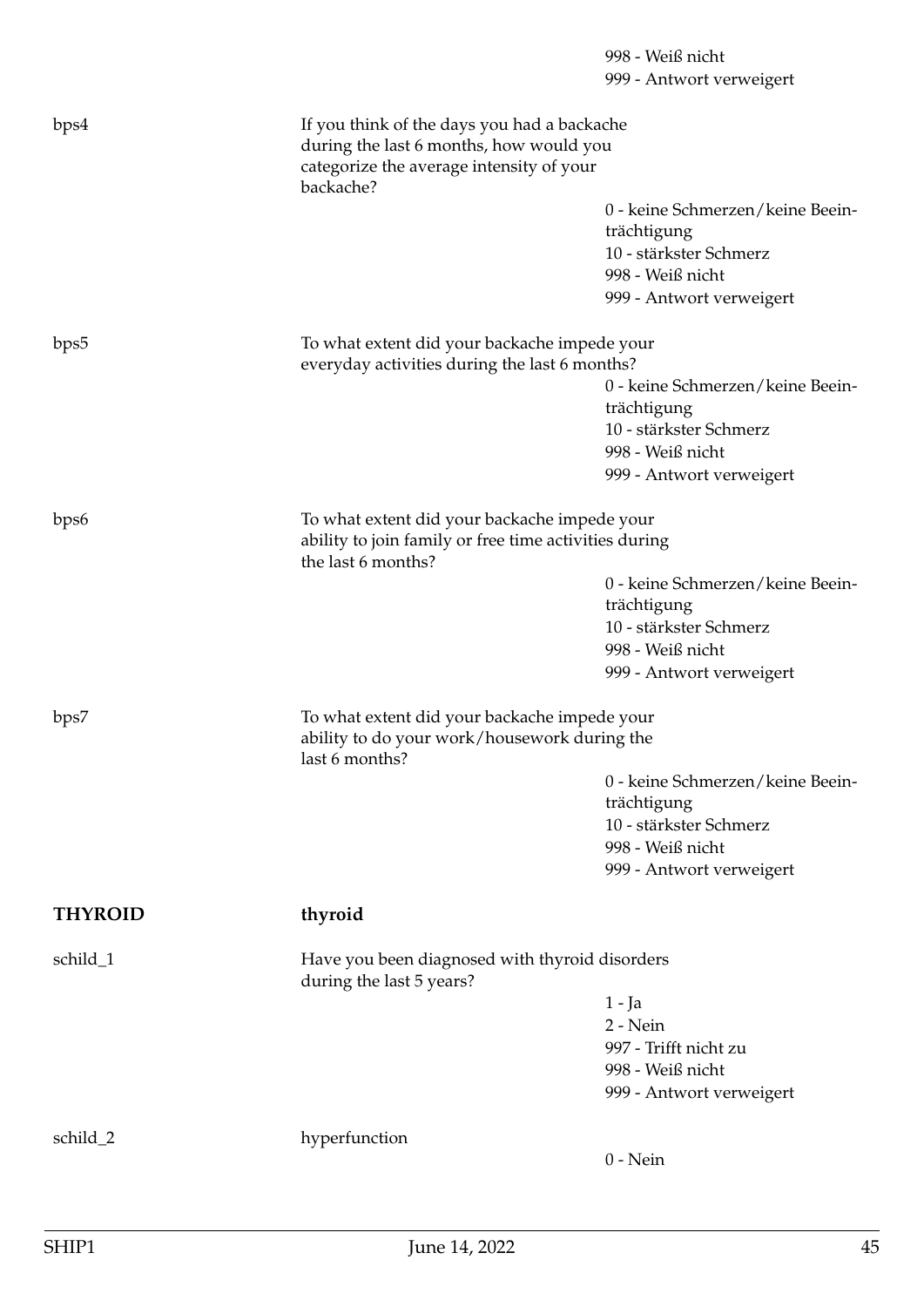## 998 - Weiß nicht 999 - Antwort verweigert bps4 If you think of the days you had a backache during the last 6 months, how would you categorize the average intensity of your backache? 0 - keine Schmerzen/keine Beeinträchtigung 10 - stärkster Schmerz 998 - Weiß nicht 999 - Antwort verweigert bps5 To what extent did your backache impede your everyday activities during the last 6 months? 0 - keine Schmerzen/keine Beeinträchtigung 10 - stärkster Schmerz 998 - Weiß nicht 999 - Antwort verweigert bps6 To what extent did your backache impede your ability to join family or free time activities during the last 6 months? 0 - keine Schmerzen/keine Beeinträchtigung 10 - stärkster Schmerz 998 - Weiß nicht 999 - Antwort verweigert bps7 To what extent did your backache impede your ability to do your work/housework during the last 6 months? 0 - keine Schmerzen/keine Beeinträchtigung 10 - stärkster Schmerz 998 - Weiß nicht 999 - Antwort verweigert **THYROID thyroid** schild 1 Have you been diagnosed with thyroid disorders during the last 5 years? 1 - Ja 2 - Nein 997 - Trifft nicht zu 998 - Weiß nicht 999 - Antwort verweigert schild\_2 hyperfunction 0 - Nein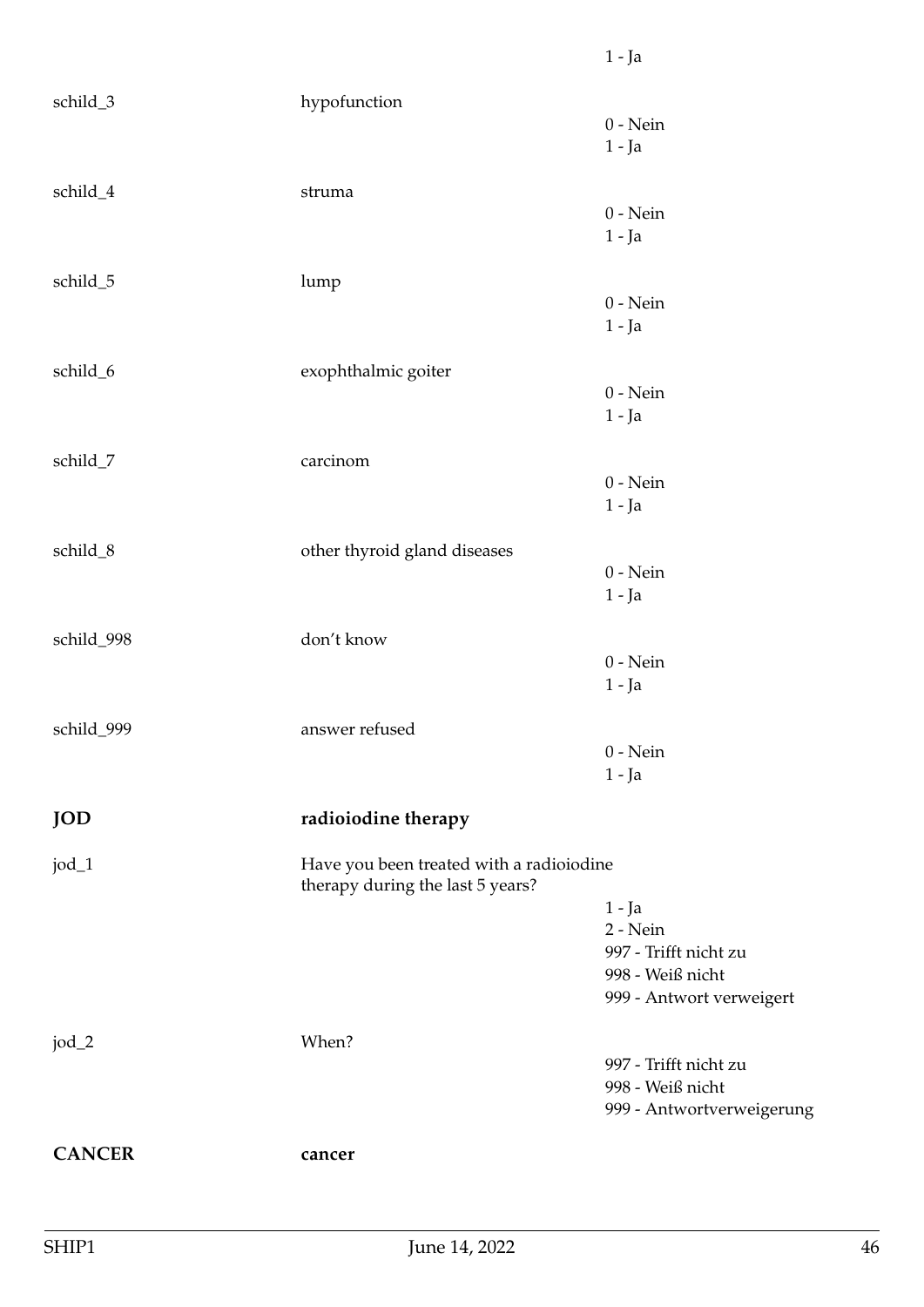| schild_3      | hypofunction                                                                 | $0$ - Nein                |
|---------------|------------------------------------------------------------------------------|---------------------------|
|               |                                                                              | $1 - Ja$                  |
|               |                                                                              |                           |
| schild_4      | struma                                                                       | $0$ - Nein                |
|               |                                                                              | $1 - Ja$                  |
|               |                                                                              |                           |
| schild_5      | lump                                                                         |                           |
|               |                                                                              | $0$ - Nein                |
|               |                                                                              | $1 - Ja$                  |
| schild_6      | exophthalmic goiter                                                          |                           |
|               |                                                                              | $0$ - Nein                |
|               |                                                                              | $1 - Ja$                  |
|               |                                                                              |                           |
| schild_7      | carcinom                                                                     | $0 - Nein$                |
|               |                                                                              | $1 - Ja$                  |
|               |                                                                              |                           |
| schild_8      | other thyroid gland diseases                                                 |                           |
|               |                                                                              | $0$ - Nein                |
|               |                                                                              | $1 - Ja$                  |
| schild_998    | don't know                                                                   |                           |
|               |                                                                              | $0$ - Nein                |
|               |                                                                              | $1 - Ja$                  |
|               |                                                                              |                           |
| schild_999    | answer refused                                                               |                           |
|               |                                                                              | $0$ - Nein<br>$1 - Ja$    |
|               |                                                                              |                           |
| <b>JOD</b>    | radioiodine therapy                                                          |                           |
| jod_1         | Have you been treated with a radioiodine<br>therapy during the last 5 years? |                           |
|               |                                                                              | $1 - Ja$                  |
|               |                                                                              | $2 - Nein$                |
|               |                                                                              | 997 - Trifft nicht zu     |
|               |                                                                              | 998 - Weiß nicht          |
|               |                                                                              | 999 - Antwort verweigert  |
| jod_2         | When?                                                                        |                           |
|               |                                                                              | 997 - Trifft nicht zu     |
|               |                                                                              | 998 - Weiß nicht          |
|               |                                                                              | 999 - Antwortverweigerung |
| <b>CANCER</b> | cancer                                                                       |                           |
|               |                                                                              |                           |

1 - Ja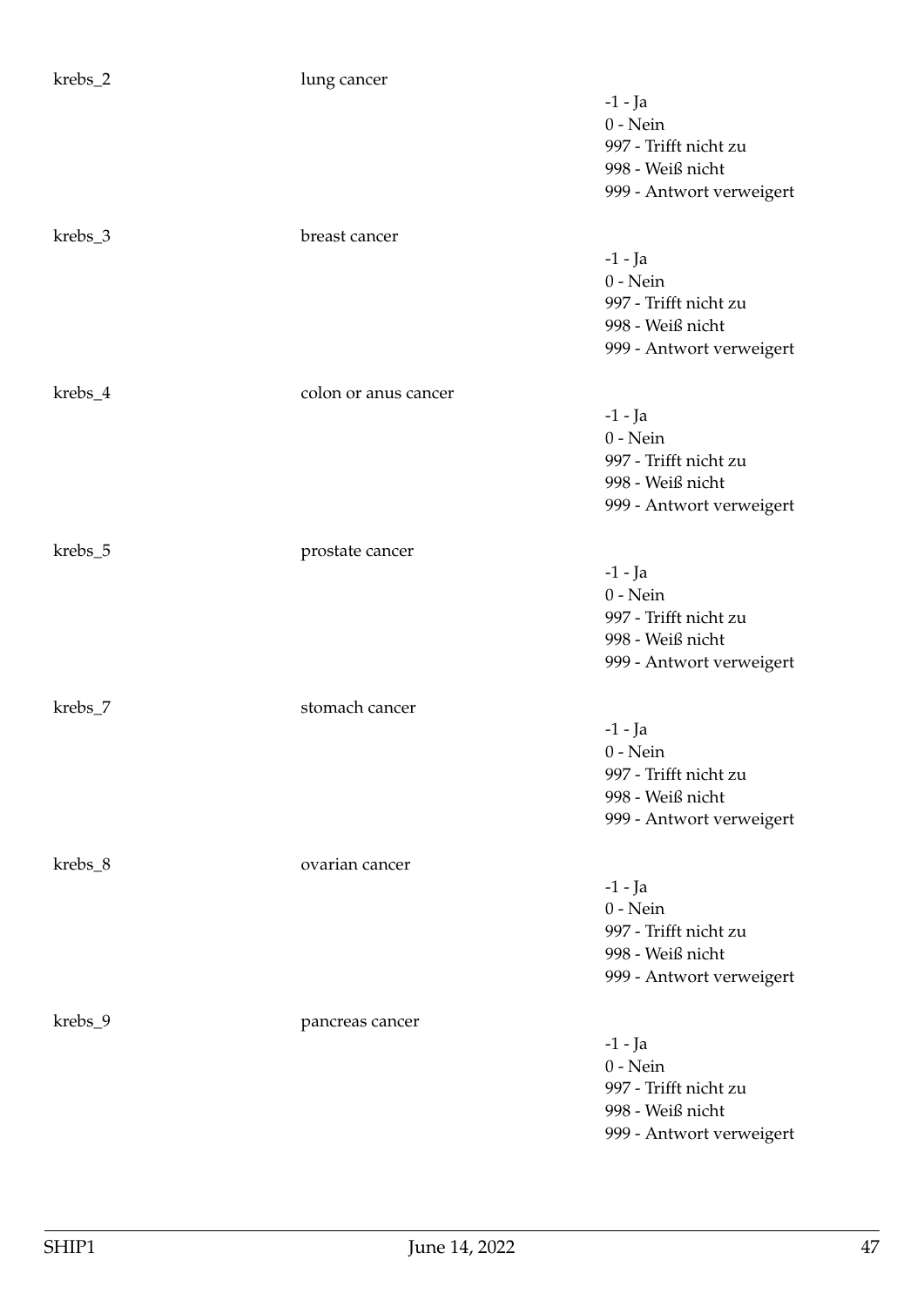| krebs_2 | lung cancer          |                                                                                                  |
|---------|----------------------|--------------------------------------------------------------------------------------------------|
|         |                      | $-1$ - Ja<br>$0$ - Nein<br>997 - Trifft nicht zu<br>998 - Weiß nicht<br>999 - Antwort verweigert |
| krebs_3 | breast cancer        |                                                                                                  |
|         |                      | $-1$ - Ja<br>$0$ - Nein<br>997 - Trifft nicht zu<br>998 - Weiß nicht<br>999 - Antwort verweigert |
| krebs_4 | colon or anus cancer |                                                                                                  |
|         |                      | $-1$ - Ja<br>$0$ - Nein<br>997 - Trifft nicht zu<br>998 - Weiß nicht<br>999 - Antwort verweigert |
| krebs_5 | prostate cancer      |                                                                                                  |
|         |                      | $-1$ - Ja<br>$0$ - Nein<br>997 - Trifft nicht zu<br>998 - Weiß nicht<br>999 - Antwort verweigert |
| krebs_7 | stomach cancer       |                                                                                                  |
|         |                      | $-1$ - Ja<br>$0 - Nein$<br>997 - Trifft nicht zu<br>998 - Weiß nicht<br>999 - Antwort verweigert |
| krebs_8 | ovarian cancer       |                                                                                                  |
|         |                      | $-1$ - Ja<br>$0 - Nein$<br>997 - Trifft nicht zu<br>998 - Weiß nicht<br>999 - Antwort verweigert |
| krebs_9 | pancreas cancer      |                                                                                                  |
|         |                      | $-1$ - Ja<br>$0$ - Nein<br>997 - Trifft nicht zu<br>998 - Weiß nicht<br>999 - Antwort verweigert |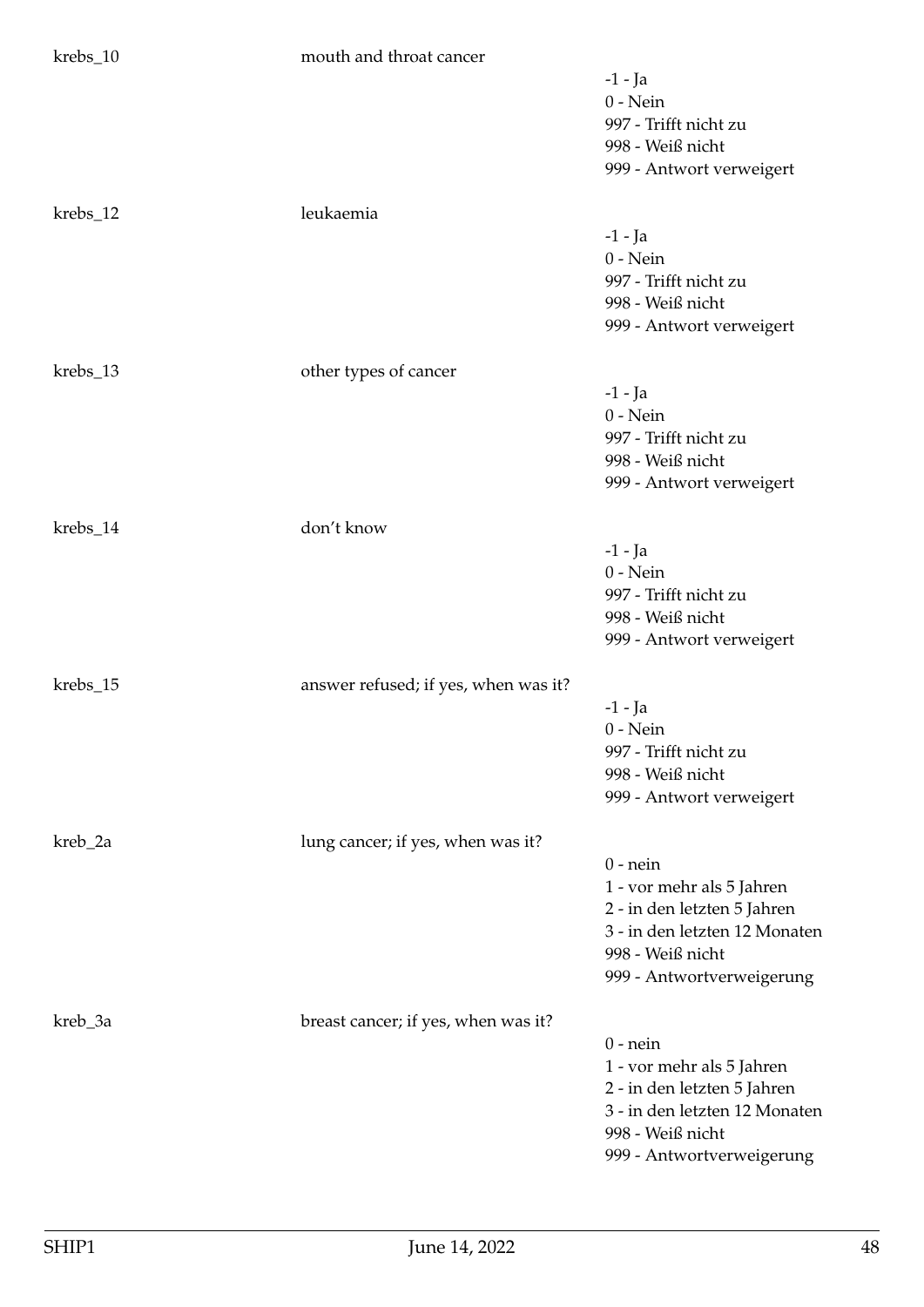| krebs_10 | mouth and throat cancer              |                                                                                                                                                          |
|----------|--------------------------------------|----------------------------------------------------------------------------------------------------------------------------------------------------------|
|          |                                      | $-1$ - Ja<br>$0$ - Nein<br>997 - Trifft nicht zu<br>998 - Weiß nicht                                                                                     |
|          |                                      | 999 - Antwort verweigert                                                                                                                                 |
| krebs_12 | leukaemia                            | $-1$ - Ja<br>$0$ - Nein<br>997 - Trifft nicht zu<br>998 - Weiß nicht<br>999 - Antwort verweigert                                                         |
| krebs_13 | other types of cancer                |                                                                                                                                                          |
|          |                                      | $-1$ - Ja<br>$0$ - Nein<br>997 - Trifft nicht zu<br>998 - Weiß nicht<br>999 - Antwort verweigert                                                         |
| krebs_14 | don't know                           |                                                                                                                                                          |
|          |                                      | $-1$ - Ja<br>$0$ - Nein<br>997 - Trifft nicht zu<br>998 - Weiß nicht<br>999 - Antwort verweigert                                                         |
| krebs_15 | answer refused; if yes, when was it? |                                                                                                                                                          |
|          |                                      | $-1$ - Ja<br>$0$ - Nein<br>997 - Trifft nicht zu<br>998 - Weiß nicht<br>999 - Antwort verweigert                                                         |
| kreb_2a  | lung cancer; if yes, when was it?    |                                                                                                                                                          |
|          |                                      | $0$ - nein<br>1 - vor mehr als 5 Jahren<br>2 - in den letzten 5 Jahren<br>3 - in den letzten 12 Monaten<br>998 - Weiß nicht<br>999 - Antwortverweigerung |
| kreb_3a  | breast cancer; if yes, when was it?  |                                                                                                                                                          |
|          |                                      | $0$ - nein<br>1 - vor mehr als 5 Jahren<br>2 - in den letzten 5 Jahren<br>3 - in den letzten 12 Monaten<br>998 - Weiß nicht<br>999 - Antwortverweigerung |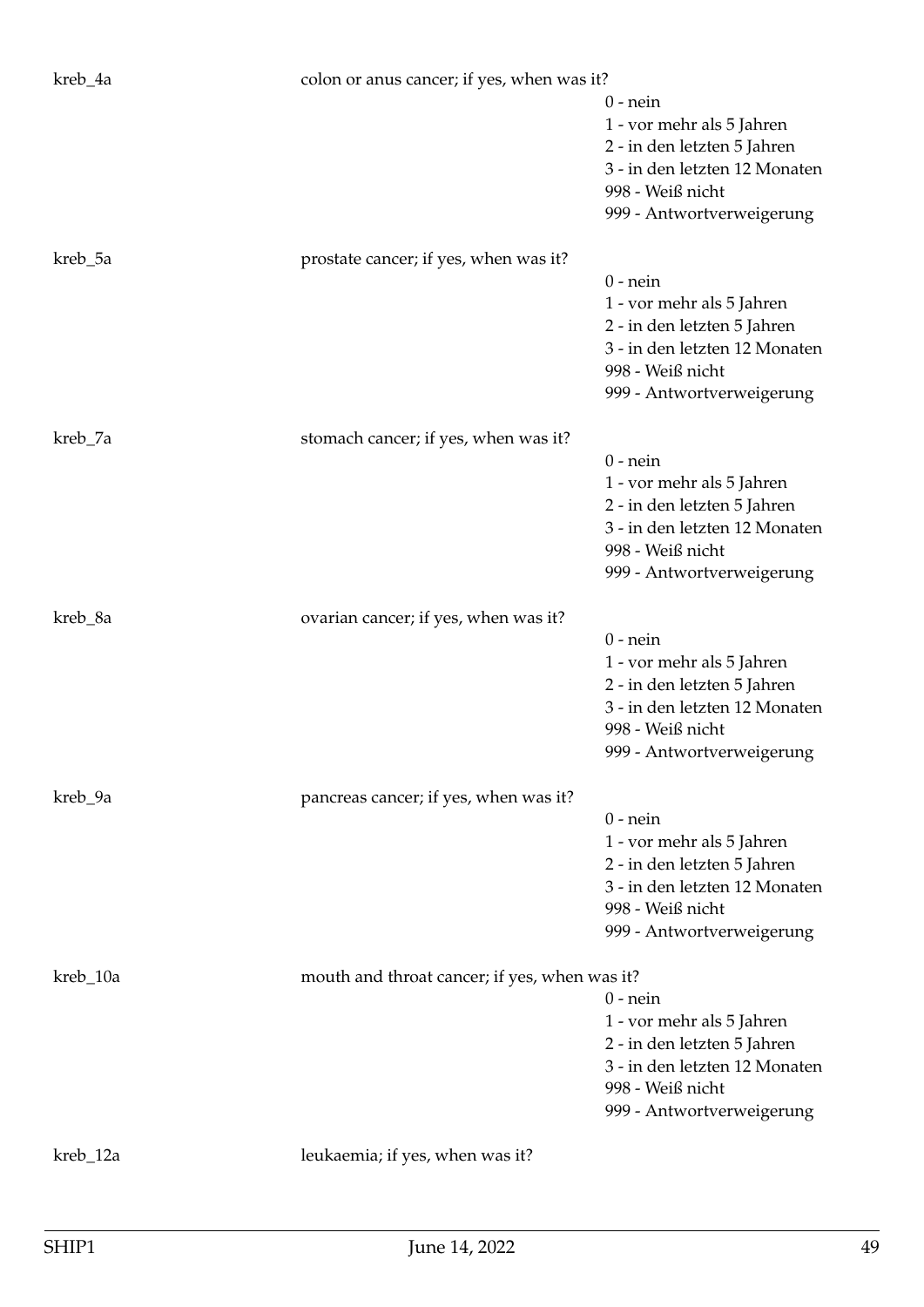| kreb_4a  | colon or anus cancer; if yes, when was it?    |                                                                                                                                                          |
|----------|-----------------------------------------------|----------------------------------------------------------------------------------------------------------------------------------------------------------|
|          |                                               | $0$ - nein<br>1 - vor mehr als 5 Jahren<br>2 - in den letzten 5 Jahren<br>3 - in den letzten 12 Monaten<br>998 - Weiß nicht<br>999 - Antwortverweigerung |
| kreb_5a  | prostate cancer; if yes, when was it?         | $0$ - nein<br>1 - vor mehr als 5 Jahren<br>2 - in den letzten 5 Jahren<br>3 - in den letzten 12 Monaten<br>998 - Weiß nicht<br>999 - Antwortverweigerung |
| kreb_7a  | stomach cancer; if yes, when was it?          | $0$ - nein<br>1 - vor mehr als 5 Jahren<br>2 - in den letzten 5 Jahren<br>3 - in den letzten 12 Monaten<br>998 - Weiß nicht<br>999 - Antwortverweigerung |
| kreb_8a  | ovarian cancer; if yes, when was it?          | $0$ - nein<br>1 - vor mehr als 5 Jahren<br>2 - in den letzten 5 Jahren<br>3 - in den letzten 12 Monaten<br>998 - Weiß nicht<br>999 - Antwortverweigerung |
| kreb_9a  | pancreas cancer; if yes, when was it?         | $0$ - nein<br>1 - vor mehr als 5 Jahren<br>2 - in den letzten 5 Jahren<br>3 - in den letzten 12 Monaten<br>998 - Weiß nicht<br>999 - Antwortverweigerung |
| kreb_10a | mouth and throat cancer; if yes, when was it? | $0$ - nein<br>1 - vor mehr als 5 Jahren<br>2 - in den letzten 5 Jahren<br>3 - in den letzten 12 Monaten<br>998 - Weiß nicht<br>999 - Antwortverweigerung |
| kreb_12a | leukaemia; if yes, when was it?               |                                                                                                                                                          |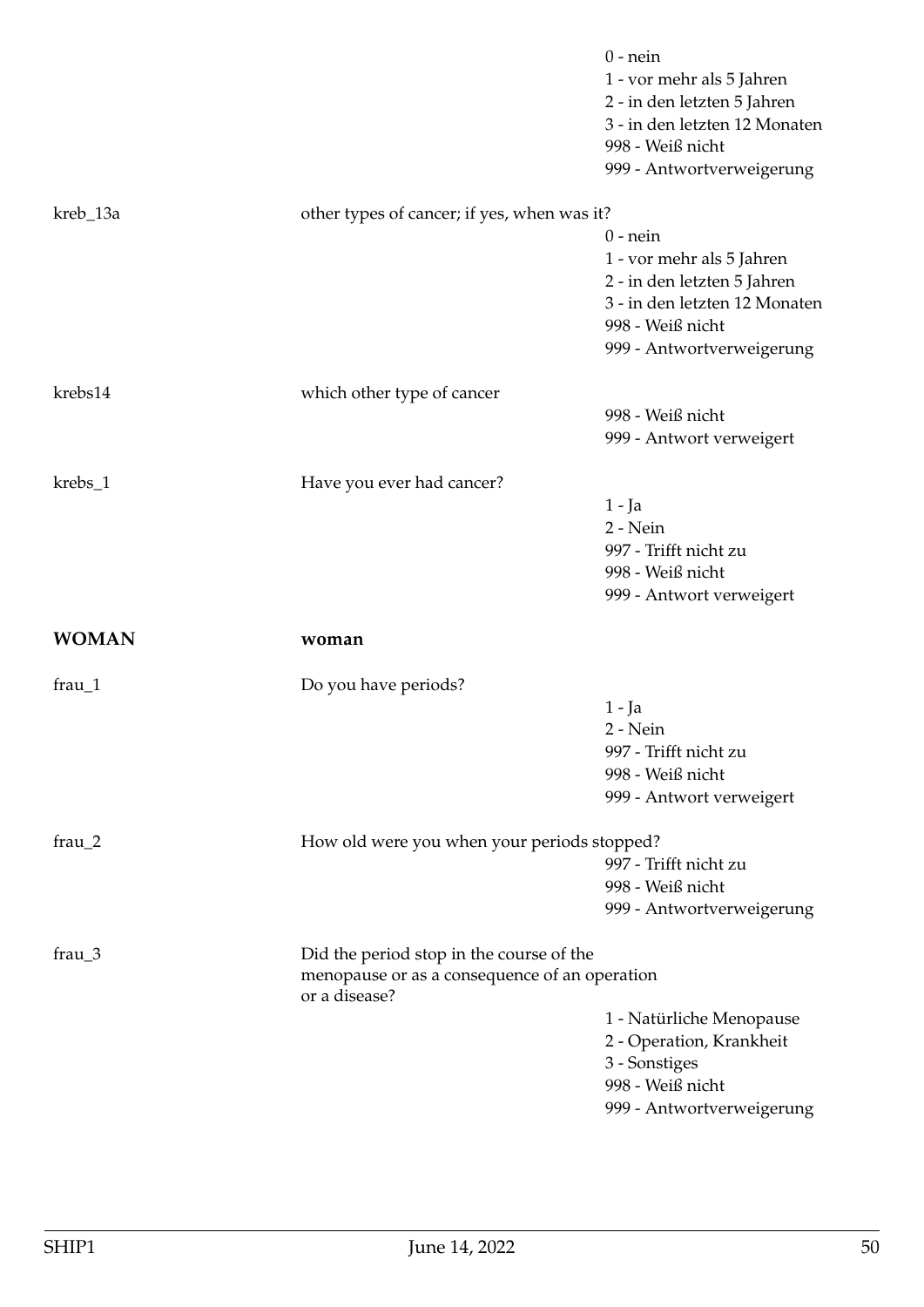|                 |                                                                                                            | $0$ - nein<br>1 - vor mehr als 5 Jahren<br>2 - in den letzten 5 Jahren<br>3 - in den letzten 12 Monaten<br>998 - Weiß nicht<br>999 - Antwortverweigerung |
|-----------------|------------------------------------------------------------------------------------------------------------|----------------------------------------------------------------------------------------------------------------------------------------------------------|
| kreb_13a        | other types of cancer; if yes, when was it?                                                                |                                                                                                                                                          |
|                 |                                                                                                            | $0$ - nein<br>1 - vor mehr als 5 Jahren<br>2 - in den letzten 5 Jahren<br>3 - in den letzten 12 Monaten<br>998 - Weiß nicht<br>999 - Antwortverweigerung |
| krebs14         | which other type of cancer                                                                                 |                                                                                                                                                          |
|                 |                                                                                                            | 998 - Weiß nicht<br>999 - Antwort verweigert                                                                                                             |
| krebs_1         | Have you ever had cancer?                                                                                  |                                                                                                                                                          |
|                 |                                                                                                            | $1 - Ja$<br>2 - Nein<br>997 - Trifft nicht zu<br>998 - Weiß nicht<br>999 - Antwort verweigert                                                            |
| <b>WOMAN</b>    | woman                                                                                                      |                                                                                                                                                          |
| $frau_1$        | Do you have periods?                                                                                       |                                                                                                                                                          |
|                 |                                                                                                            | $1 - Ja$<br>$2 - Nein$<br>997 - Trifft nicht zu<br>998 - Weiß nicht<br>999 - Antwort verweigert                                                          |
| $frau_2$        | How old were you when your periods stopped?                                                                | 997 - Trifft nicht zu<br>998 - Weiß nicht<br>999 - Antwortverweigerung                                                                                   |
| frau $\sqrt{3}$ | Did the period stop in the course of the<br>menopause or as a consequence of an operation<br>or a disease? |                                                                                                                                                          |
|                 |                                                                                                            | 1 - Natürliche Menopause<br>2 - Operation, Krankheit<br>3 - Sonstiges<br>998 - Weiß nicht<br>999 - Antwortverweigerung                                   |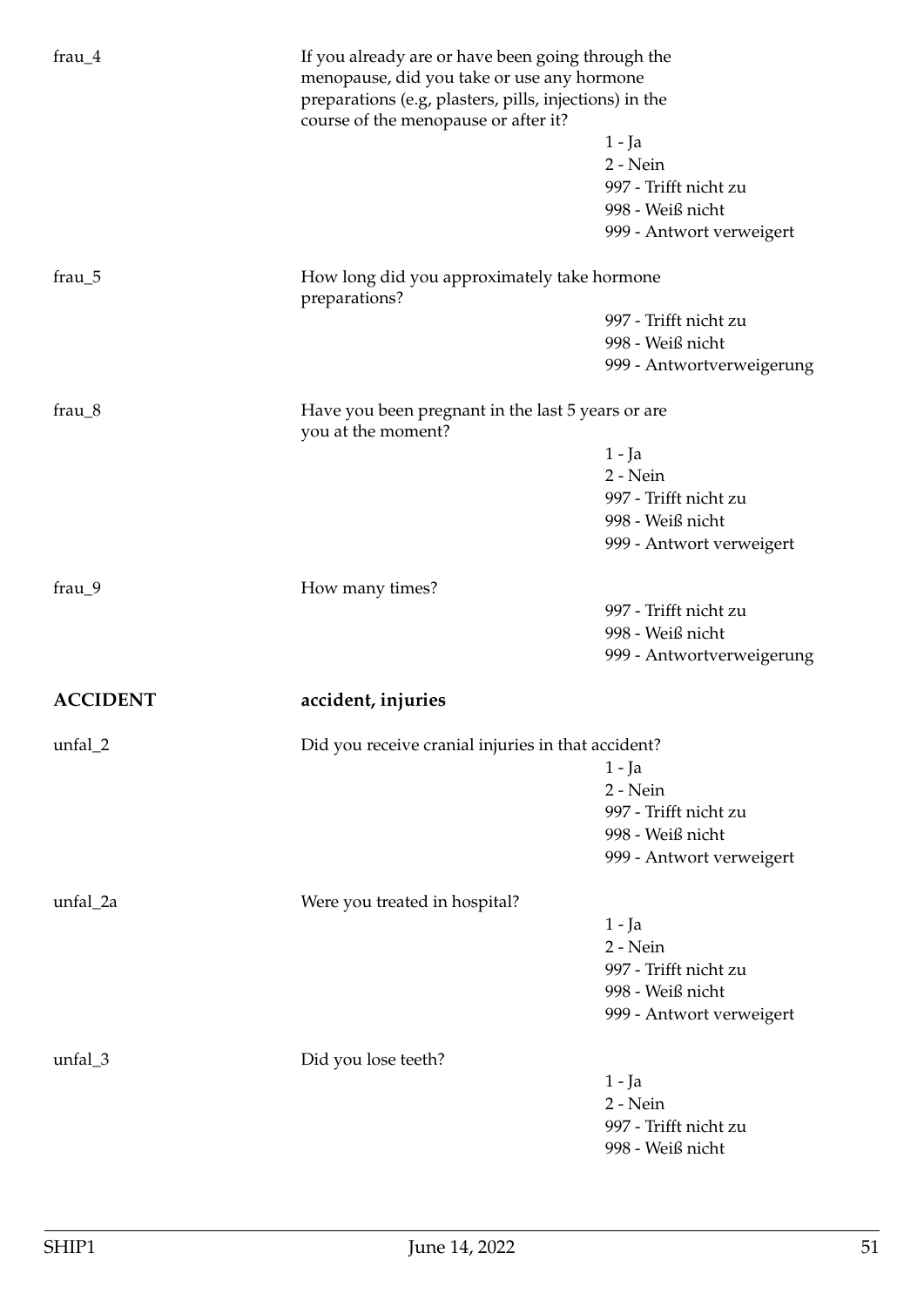| frau $_4$       | If you already are or have been going through the<br>menopause, did you take or use any hormone<br>preparations (e.g, plasters, pills, injections) in the<br>course of the menopause or after it? |                                                                                               |
|-----------------|---------------------------------------------------------------------------------------------------------------------------------------------------------------------------------------------------|-----------------------------------------------------------------------------------------------|
|                 |                                                                                                                                                                                                   | $1 - Ja$<br>2 - Nein<br>997 - Trifft nicht zu<br>998 - Weiß nicht<br>999 - Antwort verweigert |
|                 |                                                                                                                                                                                                   |                                                                                               |
| frau $_5$       | How long did you approximately take hormone<br>preparations?                                                                                                                                      |                                                                                               |
|                 |                                                                                                                                                                                                   | 997 - Trifft nicht zu                                                                         |
|                 |                                                                                                                                                                                                   | 998 - Weiß nicht                                                                              |
|                 |                                                                                                                                                                                                   | 999 - Antwortverweigerung                                                                     |
| frau $_8$       | Have you been pregnant in the last 5 years or are<br>you at the moment?                                                                                                                           |                                                                                               |
|                 |                                                                                                                                                                                                   | 1 - Ja                                                                                        |
|                 |                                                                                                                                                                                                   | $2 - Nein$                                                                                    |
|                 |                                                                                                                                                                                                   | 997 - Trifft nicht zu                                                                         |
|                 |                                                                                                                                                                                                   | 998 - Weiß nicht                                                                              |
|                 |                                                                                                                                                                                                   | 999 - Antwort verweigert                                                                      |
| $frau_9$        | How many times?                                                                                                                                                                                   |                                                                                               |
|                 |                                                                                                                                                                                                   | 997 - Trifft nicht zu                                                                         |
|                 |                                                                                                                                                                                                   | 998 - Weiß nicht                                                                              |
|                 |                                                                                                                                                                                                   | 999 - Antwortverweigerung                                                                     |
| <b>ACCIDENT</b> | accident, injuries                                                                                                                                                                                |                                                                                               |
| unfal_2         | Did you receive cranial injuries in that accident?                                                                                                                                                |                                                                                               |
|                 |                                                                                                                                                                                                   | $1 - Ja$                                                                                      |
|                 |                                                                                                                                                                                                   | 2 - Nein                                                                                      |
|                 |                                                                                                                                                                                                   | 997 - Trifft nicht zu                                                                         |
|                 |                                                                                                                                                                                                   | 998 - Weiß nicht                                                                              |
|                 |                                                                                                                                                                                                   | 999 - Antwort verweigert                                                                      |
| unfal_2a        | Were you treated in hospital?                                                                                                                                                                     |                                                                                               |
|                 |                                                                                                                                                                                                   | 1 - Ja                                                                                        |
|                 |                                                                                                                                                                                                   | 2 - Nein                                                                                      |
|                 |                                                                                                                                                                                                   | 997 - Trifft nicht zu                                                                         |
|                 |                                                                                                                                                                                                   | 998 - Weiß nicht                                                                              |
|                 |                                                                                                                                                                                                   | 999 - Antwort verweigert                                                                      |
| unfal_3         | Did you lose teeth?                                                                                                                                                                               |                                                                                               |
|                 |                                                                                                                                                                                                   | 1 - Ja                                                                                        |
|                 |                                                                                                                                                                                                   | 2 - Nein                                                                                      |
|                 |                                                                                                                                                                                                   | 997 - Trifft nicht zu                                                                         |
|                 |                                                                                                                                                                                                   | 998 - Weiß nicht                                                                              |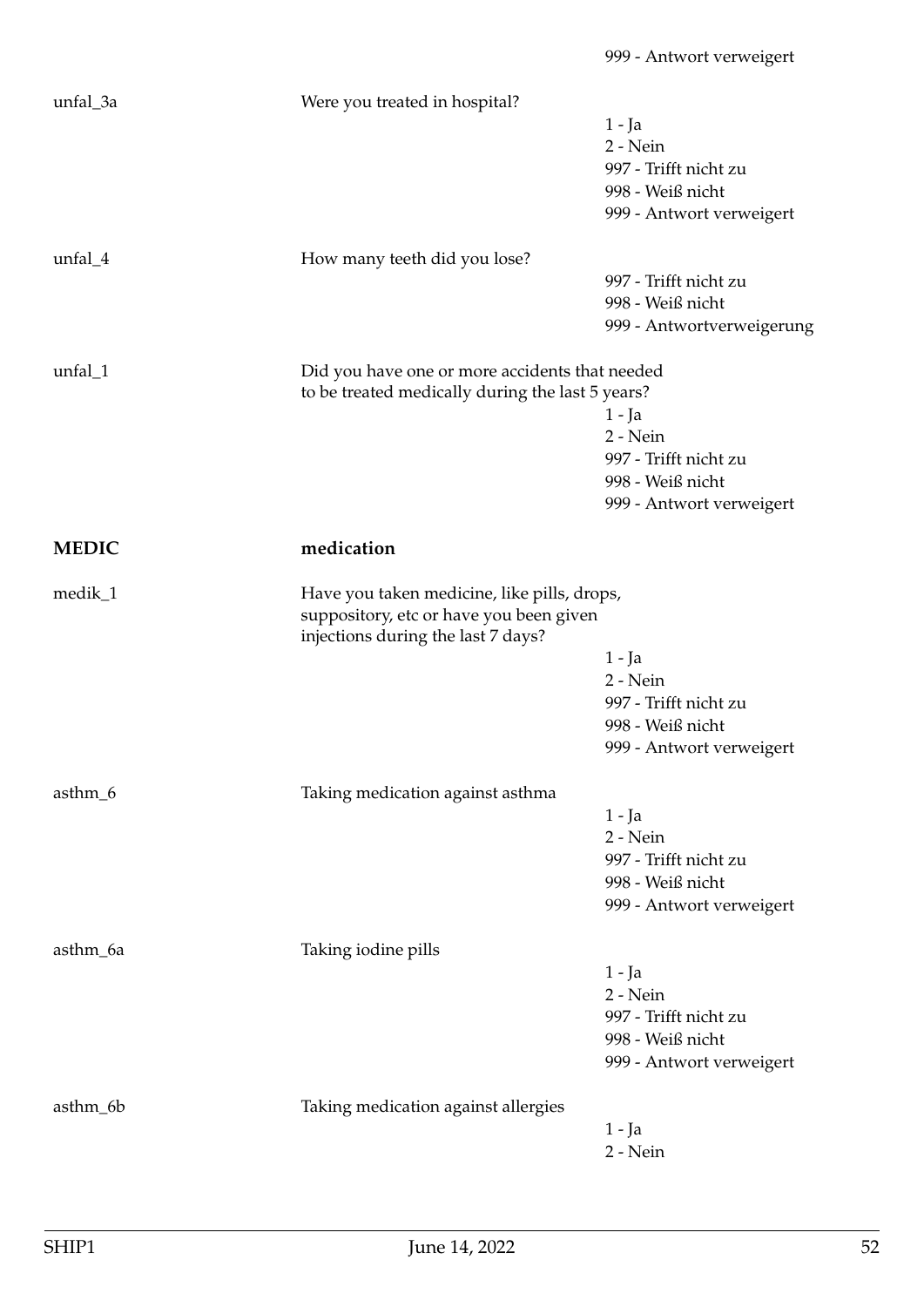| unfal_3a     | Were you treated in hospital?                                                                      |                           |
|--------------|----------------------------------------------------------------------------------------------------|---------------------------|
|              |                                                                                                    | $1 - Ja$                  |
|              |                                                                                                    | 2 - Nein                  |
|              |                                                                                                    | 997 - Trifft nicht zu     |
|              |                                                                                                    | 998 - Weiß nicht          |
|              |                                                                                                    | 999 - Antwort verweigert  |
|              |                                                                                                    |                           |
| $unfal_4$    | How many teeth did you lose?                                                                       |                           |
|              |                                                                                                    | 997 - Trifft nicht zu     |
|              |                                                                                                    | 998 - Weiß nicht          |
|              |                                                                                                    | 999 - Antwortverweigerung |
|              |                                                                                                    |                           |
| unfal_1      | Did you have one or more accidents that needed<br>to be treated medically during the last 5 years? |                           |
|              |                                                                                                    |                           |
|              |                                                                                                    | $1 - Ja$                  |
|              |                                                                                                    | 2 - Nein                  |
|              |                                                                                                    | 997 - Trifft nicht zu     |
|              |                                                                                                    | 998 - Weiß nicht          |
|              |                                                                                                    | 999 - Antwort verweigert  |
| <b>MEDIC</b> | medication                                                                                         |                           |
|              |                                                                                                    |                           |
| medik_1      | Have you taken medicine, like pills, drops,                                                        |                           |
|              | suppository, etc or have you been given                                                            |                           |
|              | injections during the last 7 days?                                                                 |                           |
|              |                                                                                                    | $1 - Ja$                  |
|              |                                                                                                    | 2 - Nein                  |
|              |                                                                                                    | 997 - Trifft nicht zu     |
|              |                                                                                                    | 998 - Weiß nicht          |
|              |                                                                                                    | 999 - Antwort verweigert  |
| asthm_6      | Taking medication against asthma                                                                   |                           |
|              |                                                                                                    | $1 - Ja$                  |
|              |                                                                                                    | 2 - Nein                  |
|              |                                                                                                    |                           |
|              |                                                                                                    | 997 - Trifft nicht zu     |
|              |                                                                                                    | 998 - Weiß nicht          |
|              |                                                                                                    | 999 - Antwort verweigert  |
| asthm_6a     | Taking iodine pills                                                                                |                           |
|              |                                                                                                    | 1 - Ja                    |
|              |                                                                                                    | 2 - Nein                  |
|              |                                                                                                    | 997 - Trifft nicht zu     |
|              |                                                                                                    | 998 - Weiß nicht          |
|              |                                                                                                    |                           |
|              |                                                                                                    | 999 - Antwort verweigert  |
| asthm_6b     | Taking medication against allergies                                                                |                           |
|              |                                                                                                    | $1 - Ja$                  |
|              |                                                                                                    | 2 - Nein                  |
|              |                                                                                                    |                           |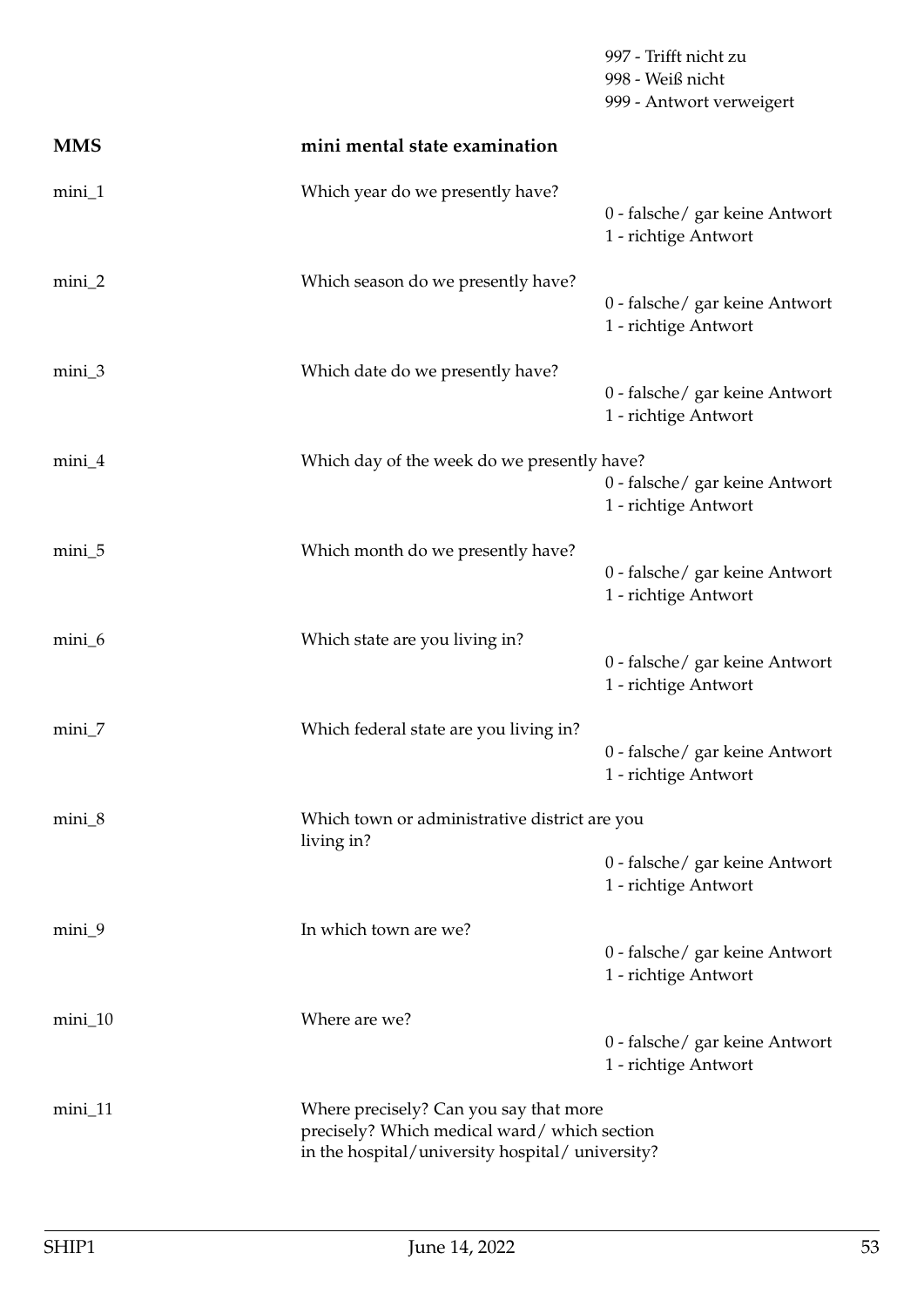|            |                                                                                                                                          | 997 - Trifft nicht zu<br>998 - Weiß nicht<br>999 - Antwort verweigert |  |
|------------|------------------------------------------------------------------------------------------------------------------------------------------|-----------------------------------------------------------------------|--|
| <b>MMS</b> | mini mental state examination                                                                                                            |                                                                       |  |
| $mini_1$   | Which year do we presently have?                                                                                                         | 0 - falsche/ gar keine Antwort<br>1 - richtige Antwort                |  |
| $mini_2$   | Which season do we presently have?                                                                                                       | 0 - falsche/ gar keine Antwort<br>1 - richtige Antwort                |  |
| $mini_3$   | Which date do we presently have?                                                                                                         | 0 - falsche/ gar keine Antwort<br>1 - richtige Antwort                |  |
| $mini_4$   | Which day of the week do we presently have?                                                                                              | 0 - falsche/ gar keine Antwort<br>1 - richtige Antwort                |  |
| mini_5     | Which month do we presently have?                                                                                                        | 0 - falsche/ gar keine Antwort<br>1 - richtige Antwort                |  |
| mini_6     | Which state are you living in?                                                                                                           | 0 - falsche/ gar keine Antwort<br>1 - richtige Antwort                |  |
| $min_7$    | Which federal state are you living in?                                                                                                   | 0 - falsche/ gar keine Antwort<br>1 - richtige Antwort                |  |
| $min_8$    | Which town or administrative district are you<br>living in?                                                                              |                                                                       |  |
|            |                                                                                                                                          | 0 - falsche/ gar keine Antwort<br>1 - richtige Antwort                |  |
| mini_9     | In which town are we?                                                                                                                    | 0 - falsche/ gar keine Antwort<br>1 - richtige Antwort                |  |
| $min\_10$  | Where are we?                                                                                                                            | 0 - falsche/ gar keine Antwort<br>1 - richtige Antwort                |  |
| $mini_1$   | Where precisely? Can you say that more<br>precisely? Which medical ward/which section<br>in the hospital/university hospital/university? |                                                                       |  |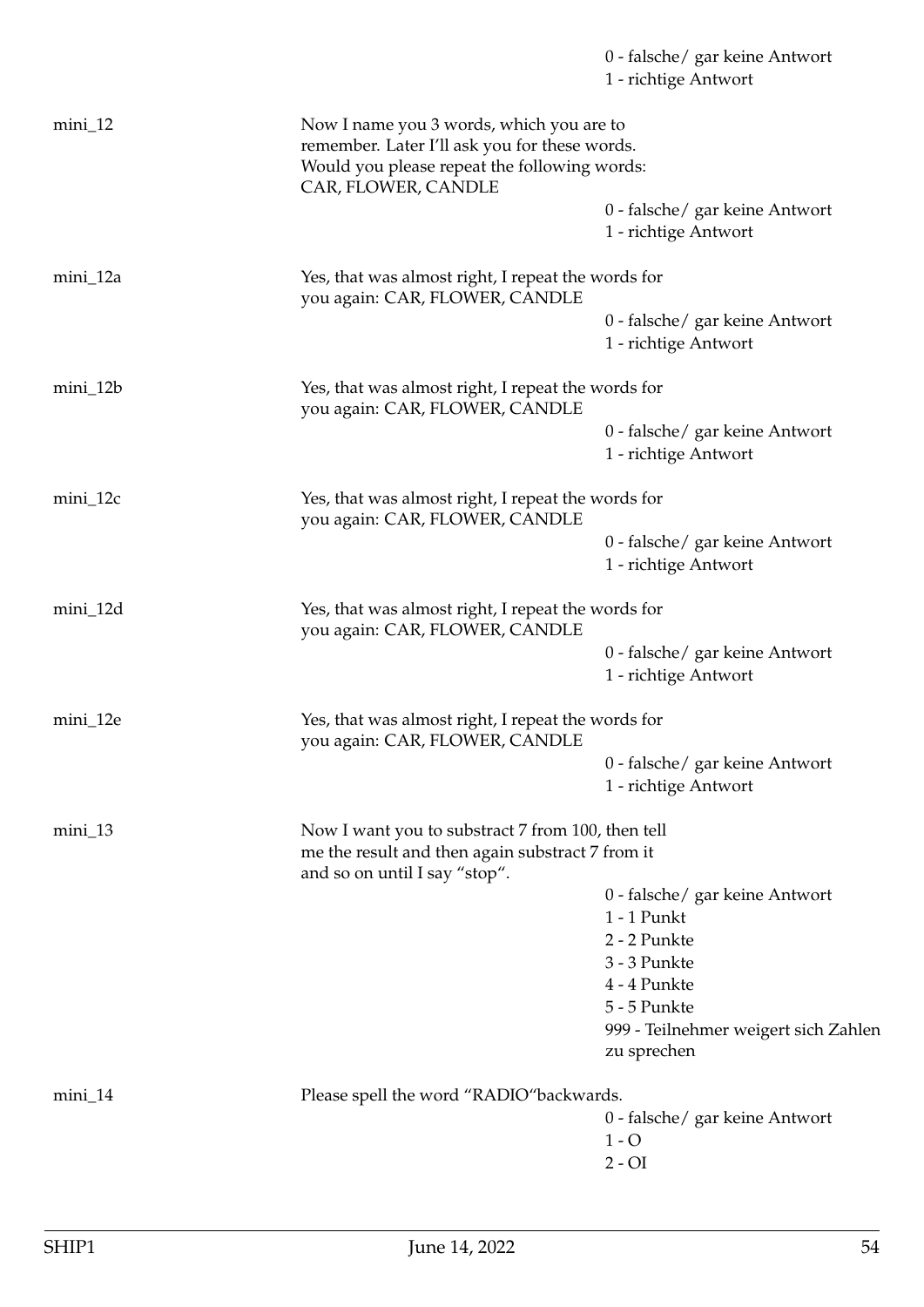|            |                                                                                                                                           | 0 - falsche/ gar keine Antwort<br>1 - richtige Antwort |
|------------|-------------------------------------------------------------------------------------------------------------------------------------------|--------------------------------------------------------|
| $min_1$ 12 | Now I name you 3 words, which you are to<br>remember. Later I'll ask you for these words.<br>Would you please repeat the following words: |                                                        |
|            | CAR, FLOWER, CANDLE                                                                                                                       | 0 - falsche/ gar keine Antwort<br>1 - richtige Antwort |
| mini_12a   | Yes, that was almost right, I repeat the words for<br>you again: CAR, FLOWER, CANDLE                                                      |                                                        |
|            |                                                                                                                                           | 0 - falsche/ gar keine Antwort<br>1 - richtige Antwort |
| mini_12b   | Yes, that was almost right, I repeat the words for<br>you again: CAR, FLOWER, CANDLE                                                      |                                                        |
|            |                                                                                                                                           | 0 - falsche/ gar keine Antwort<br>1 - richtige Antwort |
| mini_12c   | Yes, that was almost right, I repeat the words for<br>you again: CAR, FLOWER, CANDLE                                                      |                                                        |
|            |                                                                                                                                           | 0 - falsche/ gar keine Antwort<br>1 - richtige Antwort |
| mini_12d   | Yes, that was almost right, I repeat the words for<br>you again: CAR, FLOWER, CANDLE                                                      |                                                        |
|            |                                                                                                                                           | 0 - falsche/ gar keine Antwort<br>1 - richtige Antwort |
| mini_12e   | Yes, that was almost right, I repeat the words for<br>you again: CAR, FLOWER, CANDLE                                                      |                                                        |
|            |                                                                                                                                           | 0 - falsche/ gar keine Antwort<br>1 - richtige Antwort |
| $min_1$    | Now I want you to substract 7 from 100, then tell<br>me the result and then again substract 7 from it<br>and so on until I say "stop".    |                                                        |
|            |                                                                                                                                           | 0 - falsche/ gar keine Antwort                         |
|            |                                                                                                                                           | $1 - 1$ Punkt<br>2 - 2 Punkte                          |
|            |                                                                                                                                           | 3 - 3 Punkte                                           |
|            |                                                                                                                                           | 4 - 4 Punkte                                           |
|            |                                                                                                                                           | 5 - 5 Punkte                                           |
|            |                                                                                                                                           | 999 - Teilnehmer weigert sich Zahlen<br>zu sprechen    |
| $min_1$ 14 | Please spell the word "RADIO" backwards.                                                                                                  |                                                        |
|            |                                                                                                                                           | 0 - falsche/ gar keine Antwort<br>$1 - O$              |
|            |                                                                                                                                           | $2 - OI$                                               |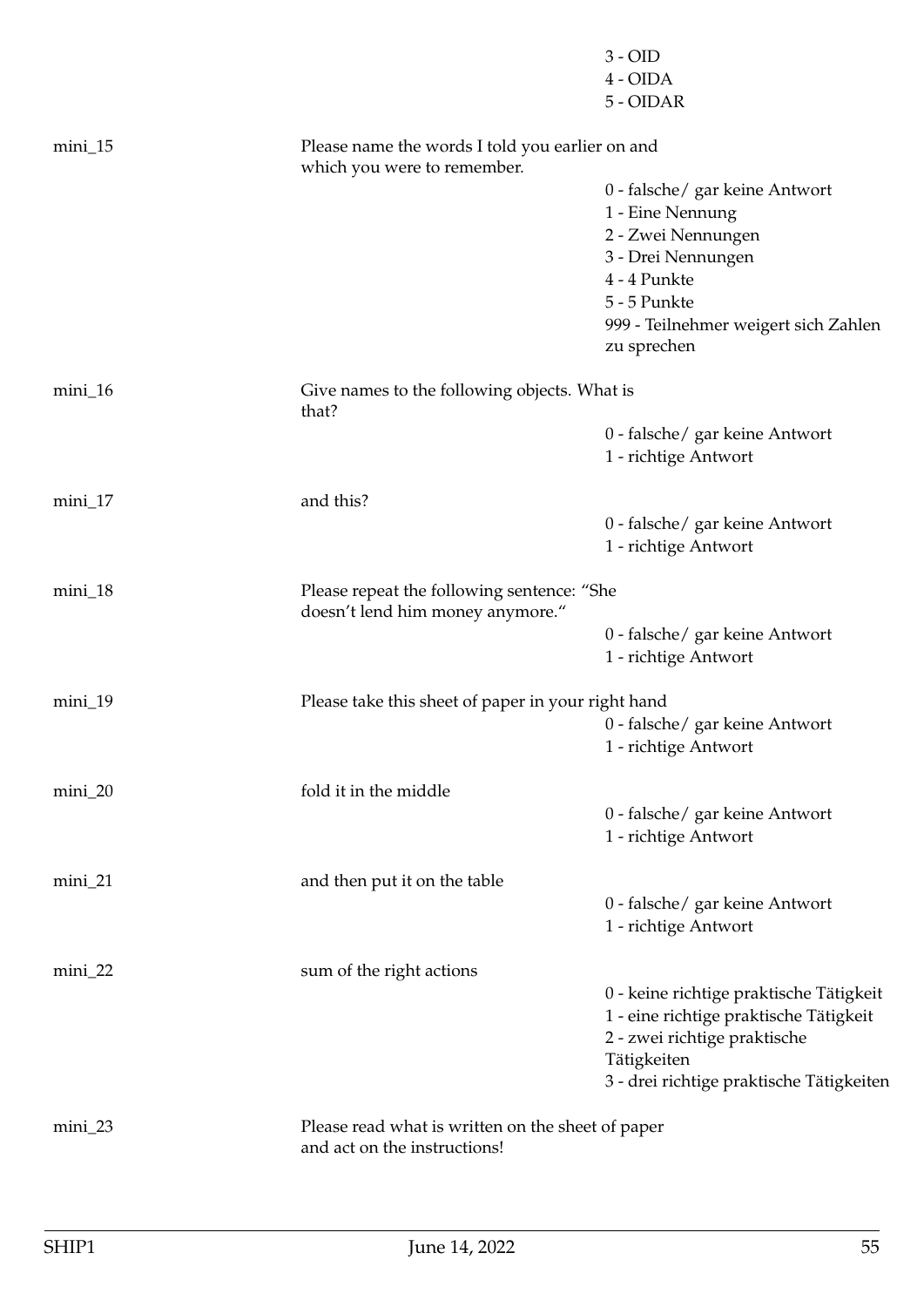|                                                                                           |                                                                                   | $3 - OID$<br>4 - OIDA<br>5 - OIDAR                                                |  |  |
|-------------------------------------------------------------------------------------------|-----------------------------------------------------------------------------------|-----------------------------------------------------------------------------------|--|--|
| $mini_15$                                                                                 | which you were to remember.                                                       | Please name the words I told you earlier on and                                   |  |  |
|                                                                                           |                                                                                   | 0 - falsche/ gar keine Antwort                                                    |  |  |
|                                                                                           |                                                                                   | 1 - Eine Nennung                                                                  |  |  |
|                                                                                           |                                                                                   | 2 - Zwei Nennungen                                                                |  |  |
|                                                                                           |                                                                                   | 3 - Drei Nennungen                                                                |  |  |
|                                                                                           |                                                                                   | 4 - 4 Punkte<br>5 - 5 Punkte                                                      |  |  |
|                                                                                           |                                                                                   | 999 - Teilnehmer weigert sich Zahlen                                              |  |  |
|                                                                                           |                                                                                   | zu sprechen                                                                       |  |  |
| $mini_16$                                                                                 | Give names to the following objects. What is<br>that?                             |                                                                                   |  |  |
|                                                                                           |                                                                                   | 0 - falsche/ gar keine Antwort<br>1 - richtige Antwort                            |  |  |
| $min_1 17$                                                                                | and this?                                                                         |                                                                                   |  |  |
|                                                                                           |                                                                                   | 0 - falsche/ gar keine Antwort<br>1 - richtige Antwort                            |  |  |
| mini_18<br>Please repeat the following sentence: "She<br>doesn't lend him money anymore." |                                                                                   |                                                                                   |  |  |
|                                                                                           |                                                                                   | 0 - falsche/ gar keine Antwort<br>1 - richtige Antwort                            |  |  |
| $min_1$ 19                                                                                | Please take this sheet of paper in your right hand                                |                                                                                   |  |  |
|                                                                                           |                                                                                   | 0 - falsche/ gar keine Antwort<br>1 - richtige Antwort                            |  |  |
| mini_20                                                                                   | fold it in the middle                                                             |                                                                                   |  |  |
|                                                                                           |                                                                                   | 0 - falsche/ gar keine Antwort<br>1 - richtige Antwort                            |  |  |
| $min_2$                                                                                   | and then put it on the table                                                      |                                                                                   |  |  |
|                                                                                           |                                                                                   | 0 - falsche/ gar keine Antwort<br>1 - richtige Antwort                            |  |  |
| mini_22                                                                                   | sum of the right actions                                                          |                                                                                   |  |  |
|                                                                                           |                                                                                   | 0 - keine richtige praktische Tätigkeit<br>1 - eine richtige praktische Tätigkeit |  |  |
|                                                                                           |                                                                                   | 2 - zwei richtige praktische<br>Tätigkeiten                                       |  |  |
|                                                                                           |                                                                                   | 3 - drei richtige praktische Tätigkeiten                                          |  |  |
| $min_2$                                                                                   | Please read what is written on the sheet of paper<br>and act on the instructions! |                                                                                   |  |  |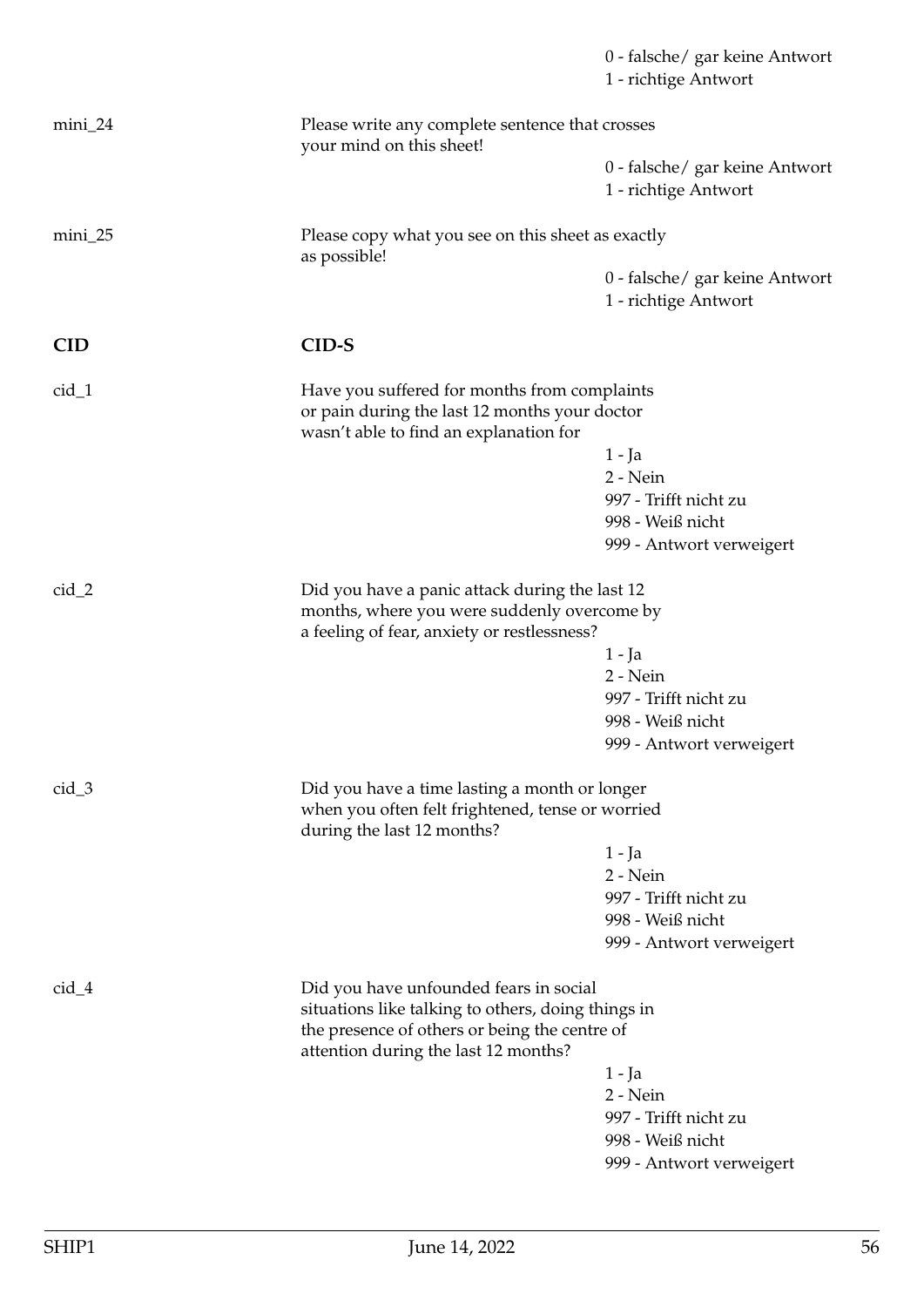|            |                                                                                                                                         | 0 - falsche/ gar keine Antwort<br>1 - richtige Antwort                                     |  |  |
|------------|-----------------------------------------------------------------------------------------------------------------------------------------|--------------------------------------------------------------------------------------------|--|--|
| $min_2$    | Please write any complete sentence that crosses<br>your mind on this sheet!                                                             |                                                                                            |  |  |
|            |                                                                                                                                         | 0 - falsche/ gar keine Antwort<br>1 - richtige Antwort                                     |  |  |
| $min_2$    | Please copy what you see on this sheet as exactly<br>as possible!                                                                       |                                                                                            |  |  |
|            |                                                                                                                                         | 0 - falsche/ gar keine Antwort<br>1 - richtige Antwort                                     |  |  |
| <b>CID</b> | CID-S                                                                                                                                   |                                                                                            |  |  |
| $cid_1$    | Have you suffered for months from complaints<br>or pain during the last 12 months your doctor<br>wasn't able to find an explanation for |                                                                                            |  |  |
|            |                                                                                                                                         | 1 - Ja                                                                                     |  |  |
|            |                                                                                                                                         | 2 - Nein                                                                                   |  |  |
|            |                                                                                                                                         | 997 - Trifft nicht zu                                                                      |  |  |
|            |                                                                                                                                         | 998 - Weiß nicht                                                                           |  |  |
|            |                                                                                                                                         | 999 - Antwort verweigert                                                                   |  |  |
| $cid_2$    |                                                                                                                                         | Did you have a panic attack during the last 12                                             |  |  |
|            |                                                                                                                                         | months, where you were suddenly overcome by<br>a feeling of fear, anxiety or restlessness? |  |  |
|            |                                                                                                                                         | 1 - Ja                                                                                     |  |  |
|            |                                                                                                                                         | $2 - Nein$                                                                                 |  |  |
|            |                                                                                                                                         | 997 - Trifft nicht zu                                                                      |  |  |
|            |                                                                                                                                         | 998 - Weiß nicht                                                                           |  |  |
|            |                                                                                                                                         | 999 - Antwort verweigert                                                                   |  |  |
| $cid_3$    | Did you have a time lasting a month or longer<br>when you often felt frightened, tense or worried<br>during the last 12 months?         |                                                                                            |  |  |
|            |                                                                                                                                         | 1 - Ja                                                                                     |  |  |
|            |                                                                                                                                         | 2 - Nein                                                                                   |  |  |
|            |                                                                                                                                         | 997 - Trifft nicht zu                                                                      |  |  |
|            |                                                                                                                                         | 998 - Weiß nicht                                                                           |  |  |
|            |                                                                                                                                         | 999 - Antwort verweigert                                                                   |  |  |
| $cid_4$    | Did you have unfounded fears in social<br>situations like talking to others, doing things in                                            |                                                                                            |  |  |
|            | the presence of others or being the centre of<br>attention during the last 12 months?                                                   |                                                                                            |  |  |
|            |                                                                                                                                         | 1 - Ja                                                                                     |  |  |
|            |                                                                                                                                         | 2 - Nein                                                                                   |  |  |
|            |                                                                                                                                         | 997 - Trifft nicht zu                                                                      |  |  |
|            |                                                                                                                                         | 998 - Weiß nicht                                                                           |  |  |
|            |                                                                                                                                         | 999 - Antwort verweigert                                                                   |  |  |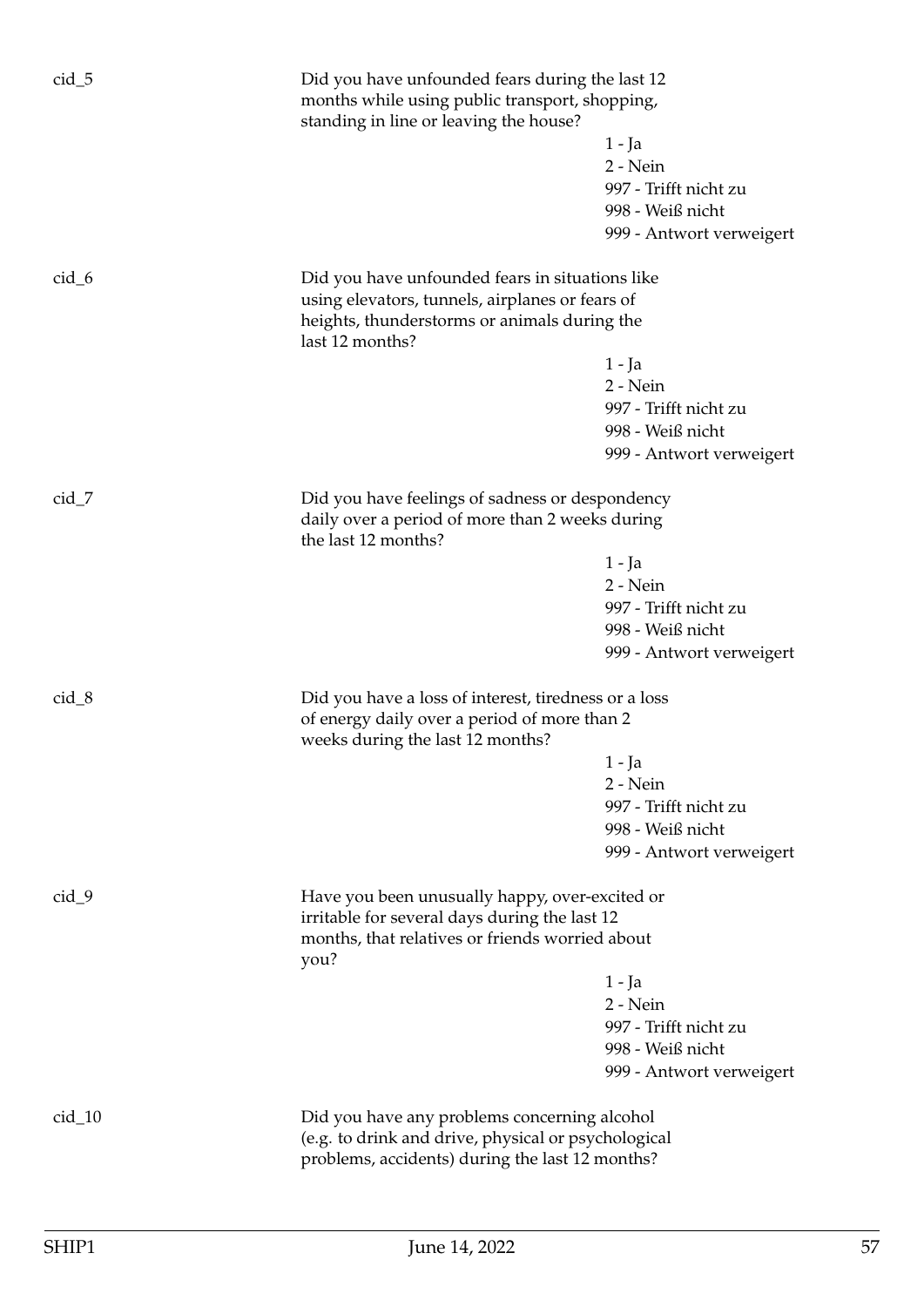| $cid_5$  | Did you have unfounded fears during the last 12<br>months while using public transport, shopping,<br>standing in line or leaving the house?                           | $1 - Ja$<br>2 - Nein<br>997 - Trifft nicht zu<br>998 - Weiß nicht<br>999 - Antwort verweigert |  |
|----------|-----------------------------------------------------------------------------------------------------------------------------------------------------------------------|-----------------------------------------------------------------------------------------------|--|
| $cid_6$  | Did you have unfounded fears in situations like<br>using elevators, tunnels, airplanes or fears of<br>heights, thunderstorms or animals during the<br>last 12 months? |                                                                                               |  |
|          |                                                                                                                                                                       | 1 - Ja<br>2 - Nein<br>997 - Trifft nicht zu<br>998 - Weiß nicht<br>999 - Antwort verweigert   |  |
| $cid_7$  | Did you have feelings of sadness or despondency<br>daily over a period of more than 2 weeks during<br>the last 12 months?                                             |                                                                                               |  |
|          |                                                                                                                                                                       | 1 - Ja<br>2 - Nein<br>997 - Trifft nicht zu<br>998 - Weiß nicht<br>999 - Antwort verweigert   |  |
| $cid_8$  | Did you have a loss of interest, tiredness or a loss<br>of energy daily over a period of more than 2<br>weeks during the last 12 months?                              |                                                                                               |  |
|          |                                                                                                                                                                       | 1 - Ja<br>2 - Nein<br>997 - Trifft nicht zu<br>998 - Weiß nicht<br>999 - Antwort verweigert   |  |
| $cid_9$  | Have you been unusually happy, over-excited or<br>irritable for several days during the last 12<br>months, that relatives or friends worried about<br>you?            |                                                                                               |  |
|          |                                                                                                                                                                       | 1 - Ja<br>2 - Nein<br>997 - Trifft nicht zu<br>998 - Weiß nicht<br>999 - Antwort verweigert   |  |
| $cid_10$ | Did you have any problems concerning alcohol<br>(e.g. to drink and drive, physical or psychological<br>problems, accidents) during the last 12 months?                |                                                                                               |  |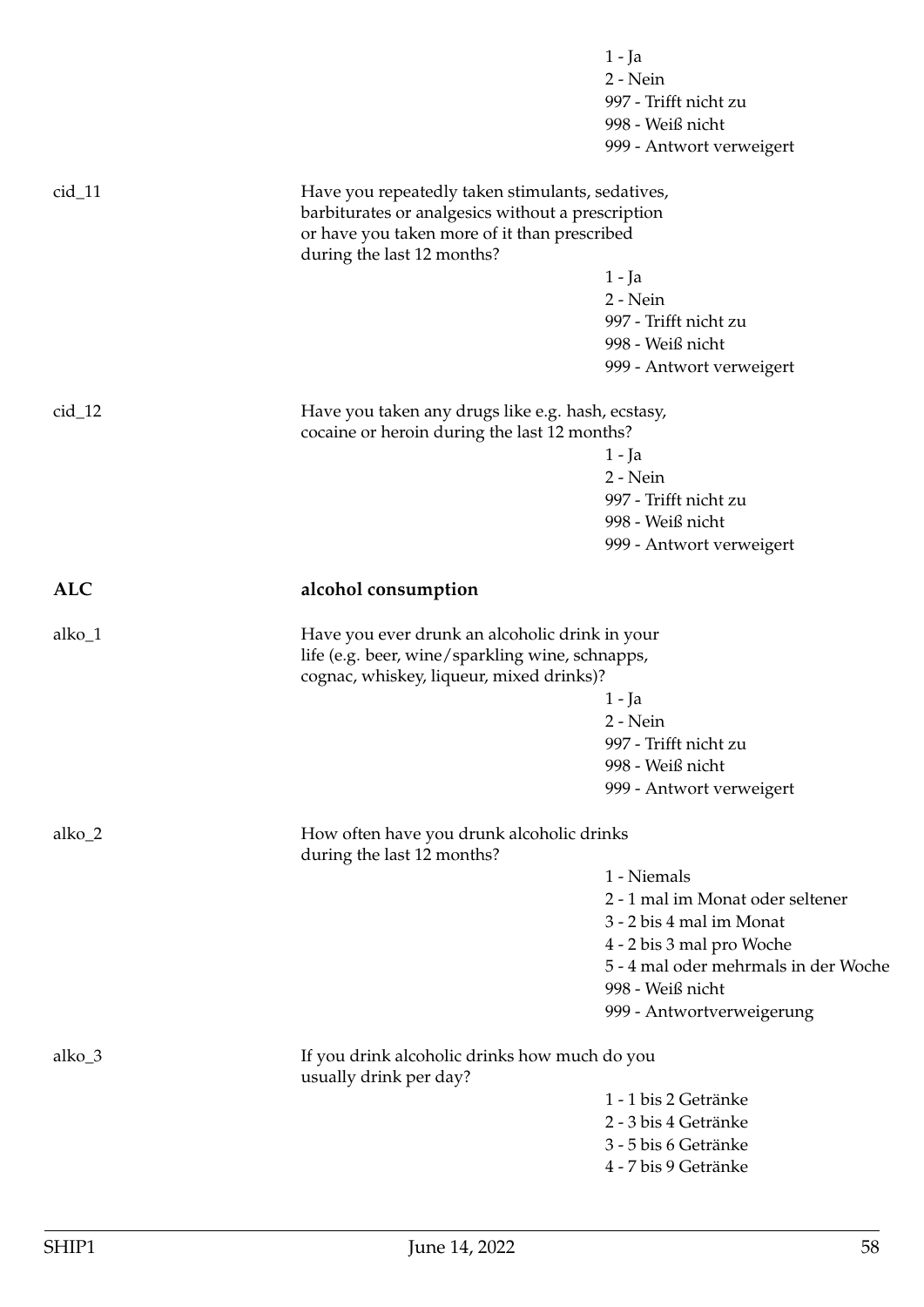|            |                                                                                                                                                                                     | 1 - Ja<br>2 - Nein<br>997 - Trifft nicht zu<br>998 - Weiß nicht<br>999 - Antwort verweigert |
|------------|-------------------------------------------------------------------------------------------------------------------------------------------------------------------------------------|---------------------------------------------------------------------------------------------|
| $cid_11$   | Have you repeatedly taken stimulants, sedatives,<br>barbiturates or analgesics without a prescription<br>or have you taken more of it than prescribed<br>during the last 12 months? |                                                                                             |
|            |                                                                                                                                                                                     | $1 - Ja$                                                                                    |
|            |                                                                                                                                                                                     | 2 - Nein                                                                                    |
|            |                                                                                                                                                                                     | 997 - Trifft nicht zu                                                                       |
|            |                                                                                                                                                                                     | 998 - Weiß nicht                                                                            |
|            |                                                                                                                                                                                     | 999 - Antwort verweigert                                                                    |
| $cid_12$   | Have you taken any drugs like e.g. hash, ecstasy,                                                                                                                                   |                                                                                             |
|            | cocaine or heroin during the last 12 months?                                                                                                                                        |                                                                                             |
|            |                                                                                                                                                                                     | 1 - Ja                                                                                      |
|            |                                                                                                                                                                                     | 2 - Nein                                                                                    |
|            |                                                                                                                                                                                     | 997 - Trifft nicht zu                                                                       |
|            |                                                                                                                                                                                     | 998 - Weiß nicht<br>999 - Antwort verweigert                                                |
| <b>ALC</b> | alcohol consumption                                                                                                                                                                 |                                                                                             |
| alko_1     | Have you ever drunk an alcoholic drink in your                                                                                                                                      |                                                                                             |
|            | life (e.g. beer, wine/sparkling wine, schnapps,<br>cognac, whiskey, liqueur, mixed drinks)?                                                                                         |                                                                                             |
|            |                                                                                                                                                                                     | $1 - Ja$                                                                                    |
|            |                                                                                                                                                                                     | 2 - Nein                                                                                    |
|            |                                                                                                                                                                                     | 997 - Trifft nicht zu                                                                       |
|            |                                                                                                                                                                                     | 998 - Weiß nicht                                                                            |
|            |                                                                                                                                                                                     | 999 - Antwort verweigert                                                                    |
| alko_2     | How often have you drunk alcoholic drinks<br>during the last 12 months?                                                                                                             |                                                                                             |
|            |                                                                                                                                                                                     | 1 - Niemals                                                                                 |
|            |                                                                                                                                                                                     | 2 - 1 mal im Monat oder seltener                                                            |
|            |                                                                                                                                                                                     | 3 - 2 bis 4 mal im Monat                                                                    |
|            |                                                                                                                                                                                     | 4 - 2 bis 3 mal pro Woche                                                                   |
|            |                                                                                                                                                                                     | 5 - 4 mal oder mehrmals in der Woche                                                        |
|            |                                                                                                                                                                                     | 998 - Weiß nicht                                                                            |
|            |                                                                                                                                                                                     | 999 - Antwortverweigerung                                                                   |
| alko_3     | If you drink alcoholic drinks how much do you<br>usually drink per day?                                                                                                             |                                                                                             |
|            |                                                                                                                                                                                     | 1 - 1 bis 2 Getränke                                                                        |
|            |                                                                                                                                                                                     | 2 - 3 bis 4 Getränke                                                                        |
|            |                                                                                                                                                                                     | 3 - 5 bis 6 Getränke                                                                        |
|            |                                                                                                                                                                                     | 4 - 7 bis 9 Getränke                                                                        |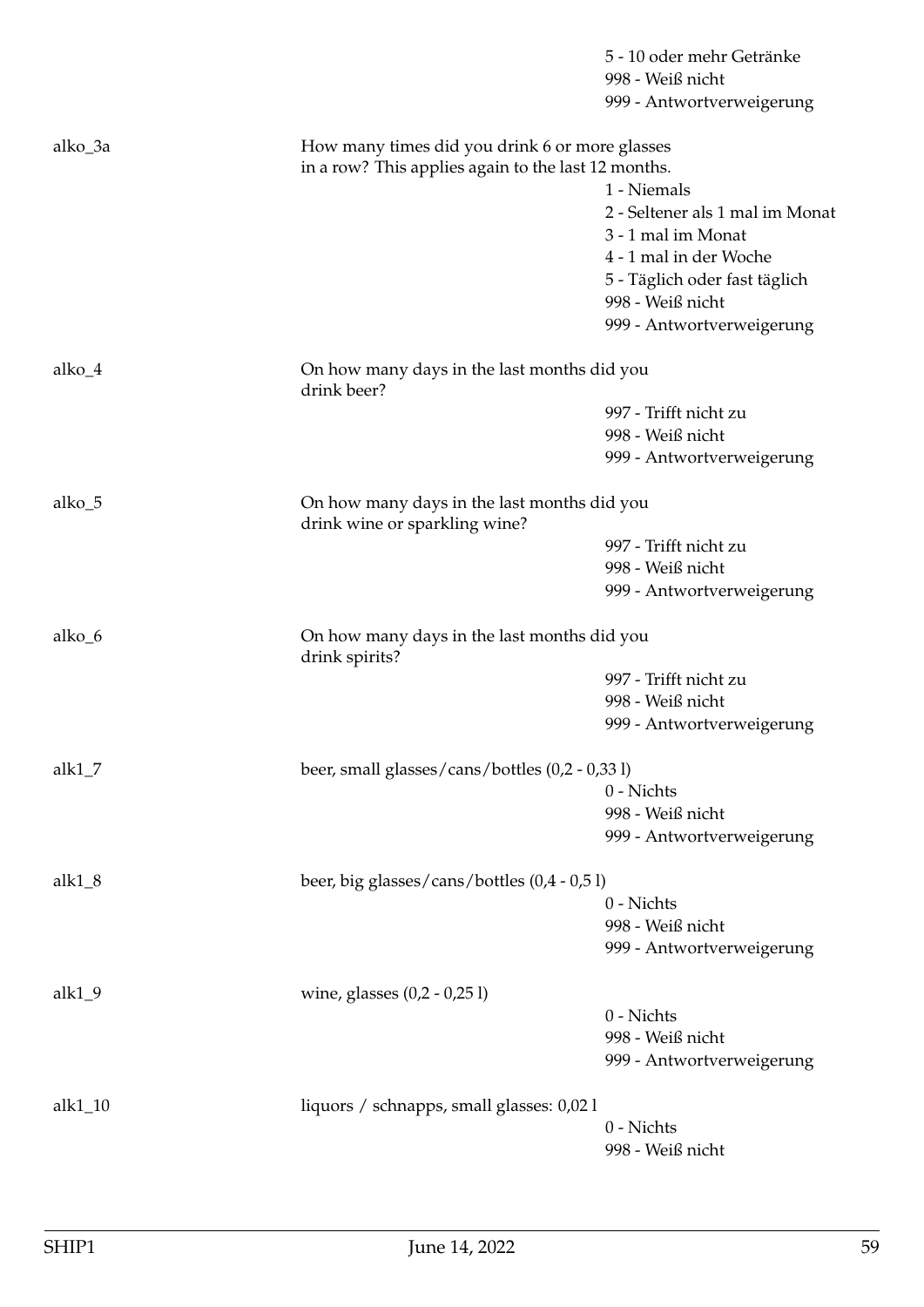|                                                           |                                                               | 5 - 10 oder mehr Getränke<br>998 - Weiß nicht<br>999 - Antwortverweigerung |  |
|-----------------------------------------------------------|---------------------------------------------------------------|----------------------------------------------------------------------------|--|
|                                                           |                                                               |                                                                            |  |
| alko_3a                                                   | How many times did you drink 6 or more glasses                |                                                                            |  |
|                                                           | in a row? This applies again to the last 12 months.           |                                                                            |  |
|                                                           |                                                               | 1 - Niemals<br>2 - Seltener als 1 mal im Monat                             |  |
|                                                           |                                                               | 3 - 1 mal im Monat                                                         |  |
|                                                           |                                                               | 4 - 1 mal in der Woche                                                     |  |
|                                                           |                                                               | 5 - Täglich oder fast täglich                                              |  |
|                                                           |                                                               | 998 - Weiß nicht                                                           |  |
|                                                           |                                                               | 999 - Antwortverweigerung                                                  |  |
| alko_4                                                    | On how many days in the last months did you<br>drink beer?    |                                                                            |  |
|                                                           |                                                               | 997 - Trifft nicht zu                                                      |  |
|                                                           |                                                               | 998 - Weiß nicht                                                           |  |
|                                                           |                                                               | 999 - Antwortverweigerung                                                  |  |
| alko_5                                                    | drink wine or sparkling wine?                                 | On how many days in the last months did you                                |  |
|                                                           |                                                               | 997 - Trifft nicht zu                                                      |  |
|                                                           |                                                               | 998 - Weiß nicht                                                           |  |
|                                                           |                                                               | 999 - Antwortverweigerung                                                  |  |
| alko_6                                                    | On how many days in the last months did you<br>drink spirits? |                                                                            |  |
|                                                           |                                                               | 997 - Trifft nicht zu                                                      |  |
|                                                           |                                                               | 998 - Weiß nicht                                                           |  |
|                                                           |                                                               | 999 - Antwortverweigerung                                                  |  |
| alk $1_7$                                                 | beer, small glasses/cans/bottles (0,2 - 0,33 l)               |                                                                            |  |
|                                                           |                                                               | 0 - Nichts                                                                 |  |
|                                                           |                                                               | 998 - Weiß nicht                                                           |  |
|                                                           |                                                               | 999 - Antwortverweigerung                                                  |  |
| beer, big glasses/cans/bottles (0,4 - 0,5 l)<br>alk $1_8$ |                                                               |                                                                            |  |
|                                                           |                                                               | 0 - Nichts                                                                 |  |
|                                                           |                                                               | 998 - Weiß nicht<br>999 - Antwortverweigerung                              |  |
|                                                           |                                                               |                                                                            |  |
| $alk1_9$                                                  | wine, glasses $(0,2 - 0,251)$                                 |                                                                            |  |
|                                                           |                                                               | 0 - Nichts<br>998 - Weiß nicht                                             |  |
|                                                           |                                                               | 999 - Antwortverweigerung                                                  |  |
| alk1_10                                                   | liquors / schnapps, small glasses: 0,02 l                     |                                                                            |  |
|                                                           |                                                               | 0 - Nichts                                                                 |  |
|                                                           |                                                               | 998 - Weiß nicht                                                           |  |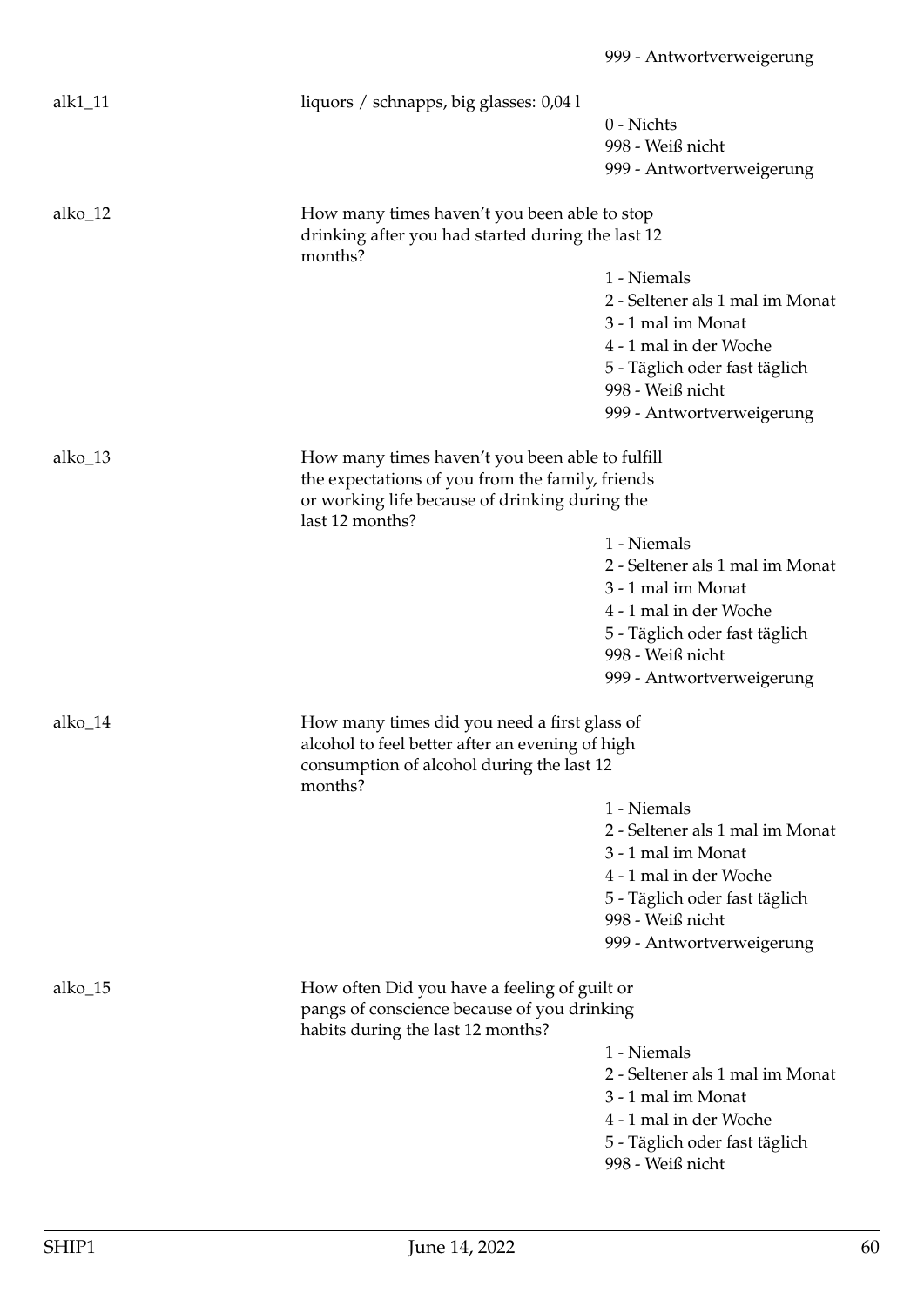| alk $1$ _11 | liquors / schnapps, big glasses: 0,041                       |                                 |
|-------------|--------------------------------------------------------------|---------------------------------|
|             |                                                              | 0 - Nichts                      |
|             |                                                              | 998 - Weiß nicht                |
|             |                                                              | 999 - Antwortverweigerung       |
|             |                                                              |                                 |
| alko_12     | How many times haven't you been able to stop                 |                                 |
|             | drinking after you had started during the last 12<br>months? |                                 |
|             |                                                              | 1 - Niemals                     |
|             |                                                              | 2 - Seltener als 1 mal im Monat |
|             |                                                              | 3 - 1 mal im Monat              |
|             |                                                              | 4 - 1 mal in der Woche          |
|             |                                                              | 5 - Täglich oder fast täglich   |
|             |                                                              | 998 - Weiß nicht                |
|             |                                                              | 999 - Antwortverweigerung       |
|             |                                                              |                                 |
| alko_13     | How many times haven't you been able to fulfill              |                                 |
|             | the expectations of you from the family, friends             |                                 |
|             | or working life because of drinking during the               |                                 |
|             | last 12 months?                                              |                                 |
|             |                                                              | 1 - Niemals                     |
|             |                                                              | 2 - Seltener als 1 mal im Monat |
|             |                                                              | 3 - 1 mal im Monat              |
|             |                                                              | 4 - 1 mal in der Woche          |
|             |                                                              | 5 - Täglich oder fast täglich   |
|             |                                                              | 998 - Weiß nicht                |
|             |                                                              | 999 - Antwortverweigerung       |
| alko_14     | How many times did you need a first glass of                 |                                 |
|             | alcohol to feel better after an evening of high              |                                 |
|             | consumption of alcohol during the last 12                    |                                 |
|             | months?                                                      | 1 - Niemals                     |
|             |                                                              | 2 - Seltener als 1 mal im Monat |
|             |                                                              | 3 - 1 mal im Monat              |
|             |                                                              | 4 - 1 mal in der Woche          |
|             |                                                              | 5 - Täglich oder fast täglich   |
|             |                                                              | 998 - Weiß nicht                |
|             |                                                              |                                 |
|             |                                                              | 999 - Antwortverweigerung       |
| alko_15     | How often Did you have a feeling of guilt or                 |                                 |
|             | pangs of conscience because of you drinking                  |                                 |
|             | habits during the last 12 months?                            |                                 |
|             |                                                              | 1 - Niemals                     |
|             |                                                              | 2 - Seltener als 1 mal im Monat |
|             |                                                              | 3 - 1 mal im Monat              |
|             |                                                              | 4 - 1 mal in der Woche          |
|             |                                                              | 5 - Täglich oder fast täglich   |
|             |                                                              | 998 - Weiß nicht                |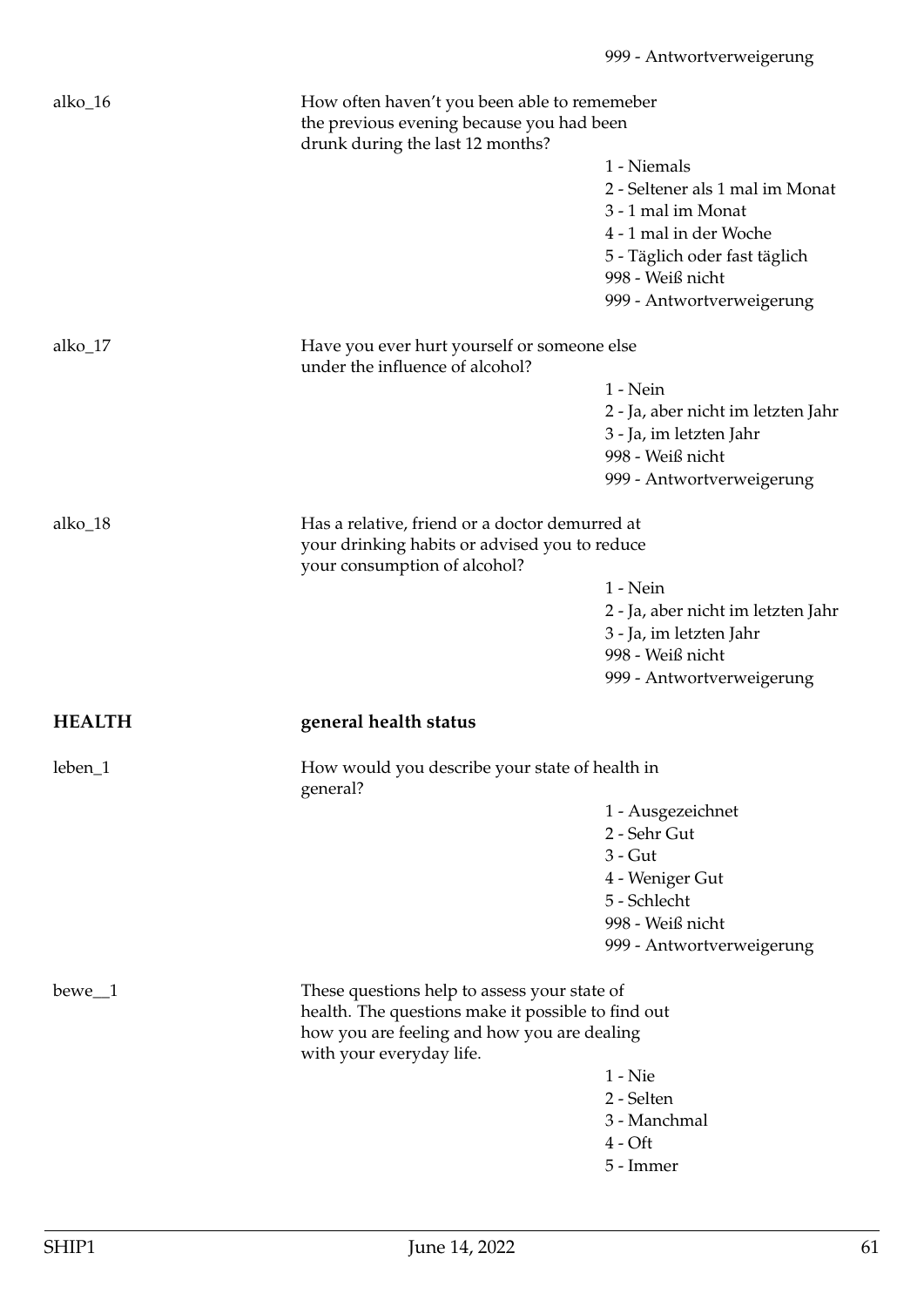| alko_16       | How often haven't you been able to rememeber<br>the previous evening because you had been |                                    |
|---------------|-------------------------------------------------------------------------------------------|------------------------------------|
|               | drunk during the last 12 months?                                                          | 1 - Niemals                        |
|               |                                                                                           |                                    |
|               |                                                                                           | 2 - Seltener als 1 mal im Monat    |
|               |                                                                                           | 3 - 1 mal im Monat                 |
|               |                                                                                           | 4 - 1 mal in der Woche             |
|               |                                                                                           | 5 - Täglich oder fast täglich      |
|               |                                                                                           | 998 - Weiß nicht                   |
|               |                                                                                           | 999 - Antwortverweigerung          |
| alko_17       | Have you ever hurt yourself or someone else                                               |                                    |
|               | under the influence of alcohol?                                                           |                                    |
|               |                                                                                           | $1 - Nein$                         |
|               |                                                                                           | 2 - Ja, aber nicht im letzten Jahr |
|               |                                                                                           | 3 - Ja, im letzten Jahr            |
|               |                                                                                           | 998 - Weiß nicht                   |
|               |                                                                                           | 999 - Antwortverweigerung          |
|               |                                                                                           |                                    |
| alko_18       | Has a relative, friend or a doctor demurred at                                            |                                    |
|               | your drinking habits or advised you to reduce                                             |                                    |
|               | your consumption of alcohol?                                                              |                                    |
|               |                                                                                           | $1 - Nein$                         |
|               |                                                                                           | 2 - Ja, aber nicht im letzten Jahr |
|               |                                                                                           | 3 - Ja, im letzten Jahr            |
|               |                                                                                           | 998 - Weiß nicht                   |
|               |                                                                                           | 999 - Antwortverweigerung          |
| <b>HEALTH</b> | general health status                                                                     |                                    |
| leben_1       | How would you describe your state of health in<br>general?                                |                                    |
|               |                                                                                           | 1 - Ausgezeichnet                  |
|               |                                                                                           | 2 - Sehr Gut                       |
|               |                                                                                           | $3 - G$ ut                         |
|               |                                                                                           |                                    |
|               |                                                                                           | 4 - Weniger Gut<br>5 - Schlecht    |
|               |                                                                                           |                                    |
|               |                                                                                           | 998 - Weiß nicht                   |
|               |                                                                                           | 999 - Antwortverweigerung          |
| $bewe_1$      | These questions help to assess your state of                                              |                                    |
|               | health. The questions make it possible to find out                                        |                                    |
|               | how you are feeling and how you are dealing                                               |                                    |
|               | with your everyday life.                                                                  |                                    |
|               |                                                                                           | $1 -$ Nie                          |
|               |                                                                                           | 2 - Selten                         |
|               |                                                                                           | 3 - Manchmal                       |
|               |                                                                                           | $4 - Oft$                          |
|               |                                                                                           | 5 - Immer                          |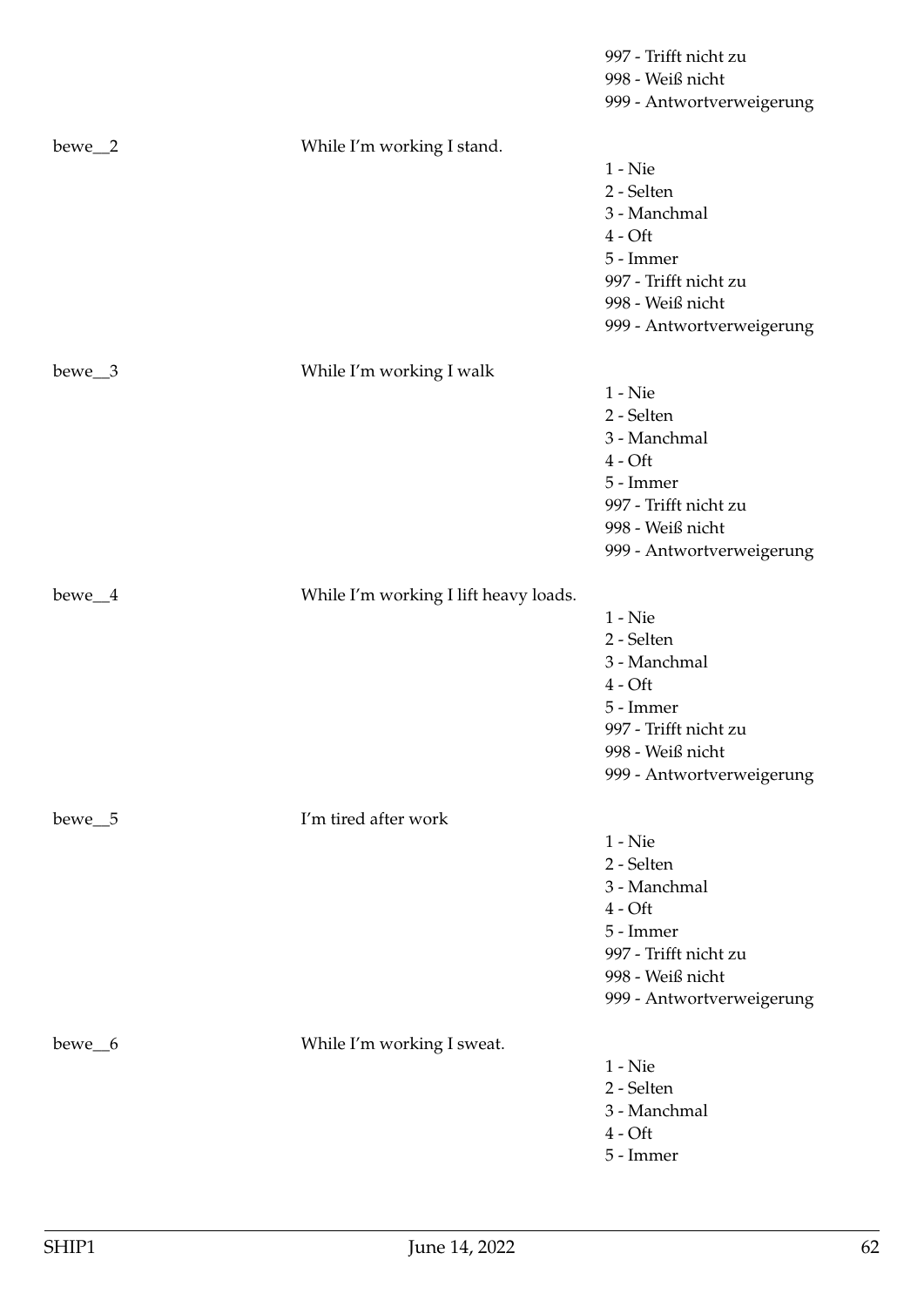|                    |                                       | 997 - Trifft nicht zu     |
|--------------------|---------------------------------------|---------------------------|
|                    |                                       | 998 - Weiß nicht          |
|                    |                                       | 999 - Antwortverweigerung |
| bewe_2             | While I'm working I stand.            |                           |
|                    |                                       | $1$ - $\mathrm{Nie}$      |
|                    |                                       | 2 - Selten                |
|                    |                                       | 3 - Manchmal              |
|                    |                                       | $4 - Off$                 |
|                    |                                       | 5 - Immer                 |
|                    |                                       | 997 - Trifft nicht zu     |
|                    |                                       | 998 - Weiß nicht          |
|                    |                                       | 999 - Antwortverweigerung |
| $bewe_3$           | While I'm working I walk              |                           |
|                    |                                       | $1 -$ Nie                 |
|                    |                                       | 2 - Selten                |
|                    |                                       | 3 - Manchmal              |
|                    |                                       | $4 - Off$                 |
|                    |                                       | 5 - Immer                 |
|                    |                                       | 997 - Trifft nicht zu     |
|                    |                                       | 998 - Weiß nicht          |
|                    |                                       | 999 - Antwortverweigerung |
| bewe <sub>4</sub>  | While I'm working I lift heavy loads. |                           |
|                    |                                       | $1 -$ Nie                 |
|                    |                                       | 2 - Selten                |
|                    |                                       | 3 - Manchmal              |
|                    |                                       | $4 - Off$                 |
|                    |                                       | 5 - Immer                 |
|                    |                                       | 997 - Trifft nicht zu     |
|                    |                                       | 998 - Weiß nicht          |
|                    |                                       | 999 - Antwortverweigerung |
| bewe <sub>-5</sub> | I'm tired after work                  |                           |
|                    |                                       | $1 -$ Nie                 |
|                    |                                       | 2 - Selten                |
|                    |                                       | 3 - Manchmal              |
|                    |                                       | $4 - Oft$                 |
|                    |                                       | 5 - Immer                 |
|                    |                                       | 997 - Trifft nicht zu     |
|                    |                                       | 998 - Weiß nicht          |
|                    |                                       | 999 - Antwortverweigerung |
| bewe_6             | While I'm working I sweat.            |                           |
|                    |                                       | $1 -$ Nie                 |
|                    |                                       | 2 - Selten                |
|                    |                                       | 3 - Manchmal              |
|                    |                                       | $4 - Oft$                 |
|                    |                                       | 5 - Immer                 |
|                    |                                       |                           |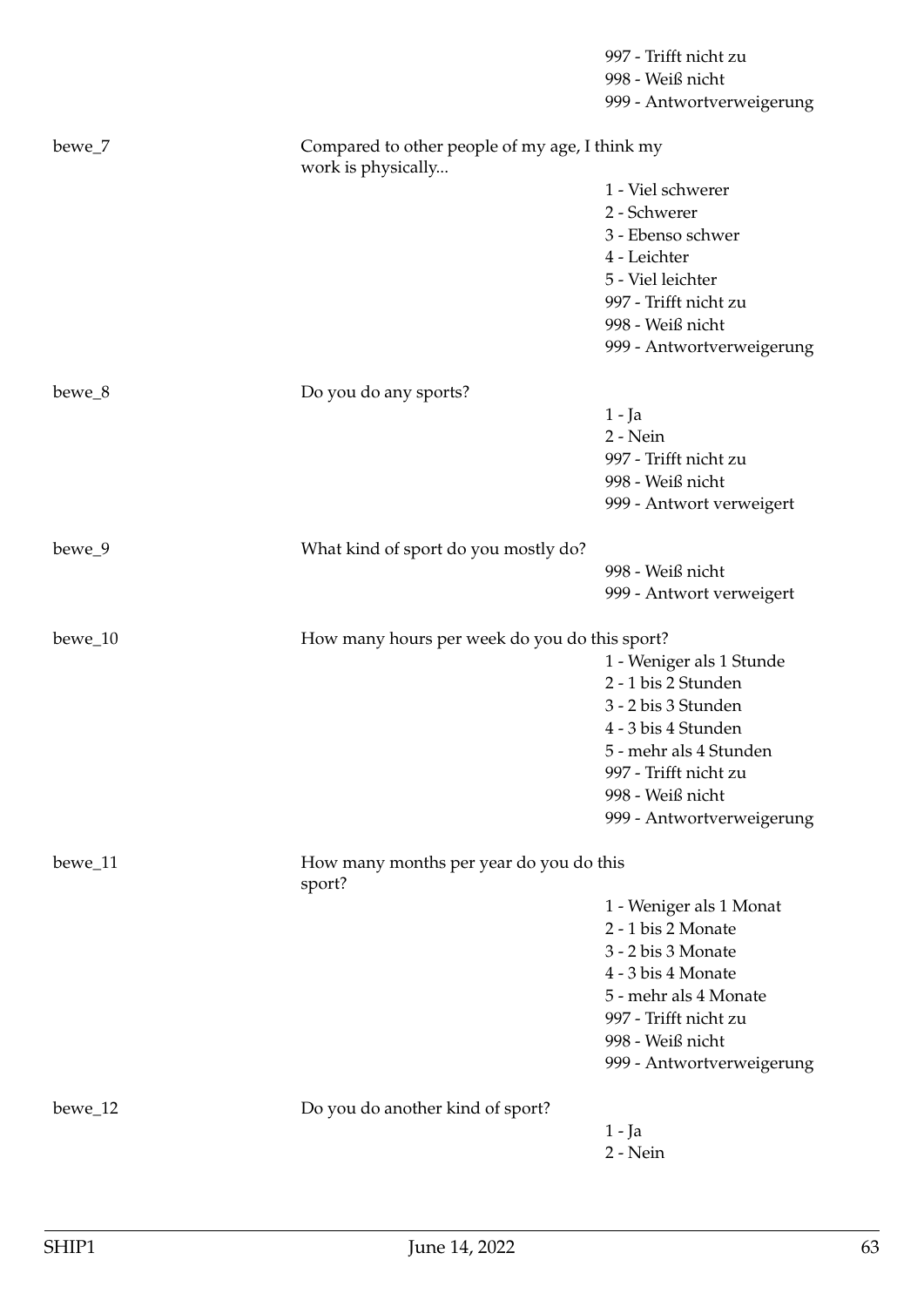|         |                                                                      | 997 - Trifft nicht zu     |
|---------|----------------------------------------------------------------------|---------------------------|
|         |                                                                      | 998 - Weiß nicht          |
|         |                                                                      | 999 - Antwortverweigerung |
| bewe_7  | Compared to other people of my age, I think my<br>work is physically |                           |
|         |                                                                      | 1 - Viel schwerer         |
|         |                                                                      | 2 - Schwerer              |
|         |                                                                      | 3 - Ebenso schwer         |
|         |                                                                      | 4 - Leichter              |
|         |                                                                      | 5 - Viel leichter         |
|         |                                                                      | 997 - Trifft nicht zu     |
|         |                                                                      | 998 - Weiß nicht          |
|         |                                                                      | 999 - Antwortverweigerung |
| bewe_8  | Do you do any sports?                                                |                           |
|         |                                                                      | $1 - Ja$                  |
|         |                                                                      | 2 - Nein                  |
|         |                                                                      | 997 - Trifft nicht zu     |
|         |                                                                      | 998 - Weiß nicht          |
|         |                                                                      | 999 - Antwort verweigert  |
| bewe_9  | What kind of sport do you mostly do?                                 |                           |
|         |                                                                      | 998 - Weiß nicht          |
|         |                                                                      | 999 - Antwort verweigert  |
| bewe_10 | How many hours per week do you do this sport?                        |                           |
|         |                                                                      | 1 - Weniger als 1 Stunde  |
|         |                                                                      | 2 - 1 bis 2 Stunden       |
|         |                                                                      | 3 - 2 bis 3 Stunden       |
|         |                                                                      | 4 - 3 bis 4 Stunden       |
|         |                                                                      | 5 - mehr als 4 Stunden    |
|         |                                                                      | 997 - Trifft nicht zu     |
|         |                                                                      | 998 - Weiß nicht          |
|         |                                                                      | 999 - Antwortverweigerung |
| bewe_11 | How many months per year do you do this<br>sport?                    |                           |
|         |                                                                      | 1 - Weniger als 1 Monat   |
|         |                                                                      | 2 - 1 bis 2 Monate        |
|         |                                                                      | 3 - 2 bis 3 Monate        |
|         |                                                                      | 4 - 3 bis 4 Monate        |
|         |                                                                      | 5 - mehr als 4 Monate     |
|         |                                                                      | 997 - Trifft nicht zu     |
|         |                                                                      | 998 - Weiß nicht          |
|         |                                                                      | 999 - Antwortverweigerung |
| bewe_12 | Do you do another kind of sport?                                     |                           |
|         |                                                                      | $1 - Ja$                  |
|         |                                                                      | 2 - Nein                  |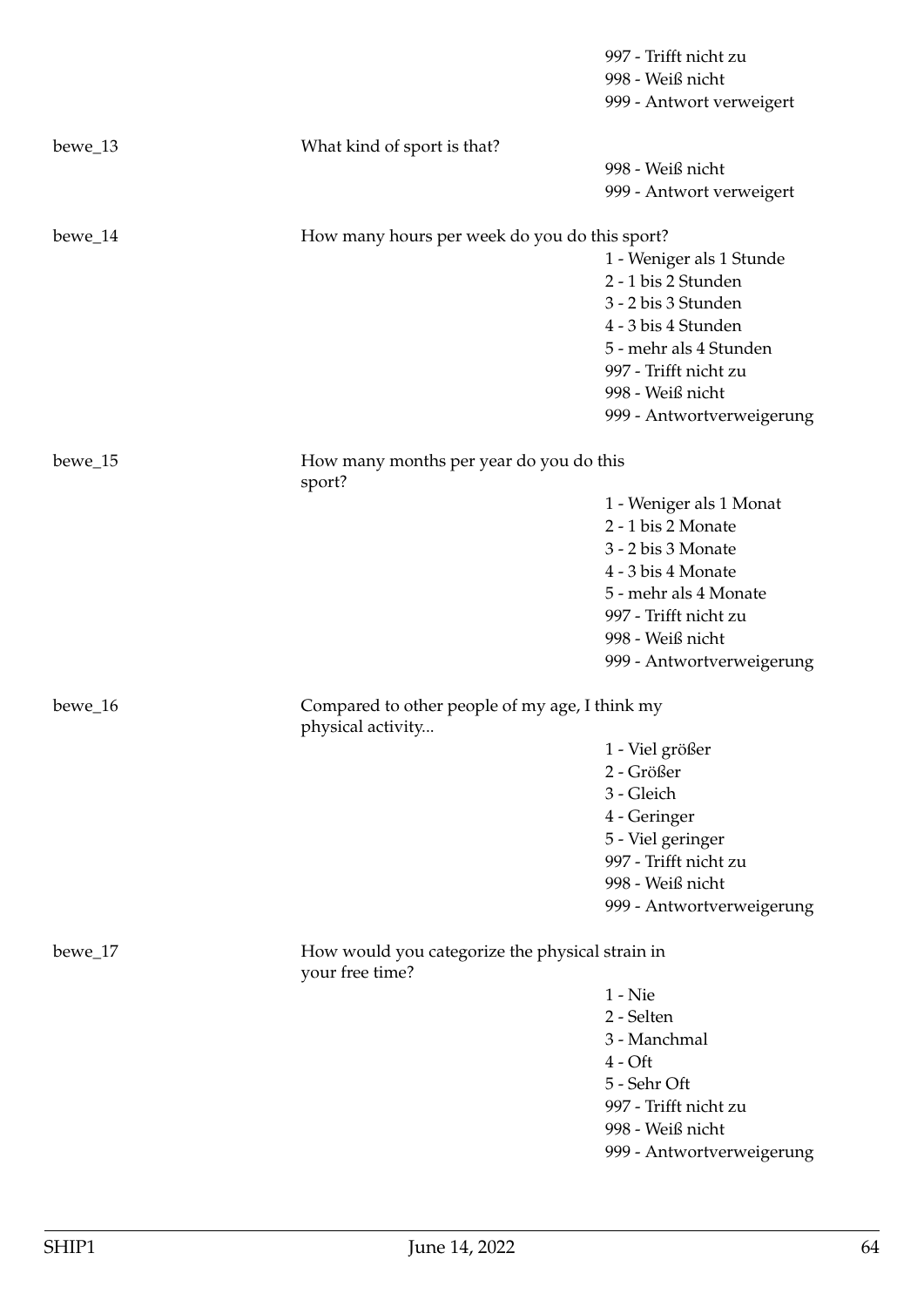|         |                                                                    | 997 - Trifft nicht zu     |
|---------|--------------------------------------------------------------------|---------------------------|
|         |                                                                    | 998 - Weiß nicht          |
|         |                                                                    | 999 - Antwort verweigert  |
| bewe_13 | What kind of sport is that?                                        |                           |
|         |                                                                    | 998 - Weiß nicht          |
|         |                                                                    | 999 - Antwort verweigert  |
| bewe_14 | How many hours per week do you do this sport?                      |                           |
|         |                                                                    | 1 - Weniger als 1 Stunde  |
|         |                                                                    | 2 - 1 bis 2 Stunden       |
|         |                                                                    | 3 - 2 bis 3 Stunden       |
|         |                                                                    | 4 - 3 bis 4 Stunden       |
|         |                                                                    | 5 - mehr als 4 Stunden    |
|         |                                                                    | 997 - Trifft nicht zu     |
|         |                                                                    | 998 - Weiß nicht          |
|         |                                                                    | 999 - Antwortverweigerung |
| bewe_15 | How many months per year do you do this<br>sport?                  |                           |
|         |                                                                    | 1 - Weniger als 1 Monat   |
|         |                                                                    | 2 - 1 bis 2 Monate        |
|         |                                                                    | 3 - 2 bis 3 Monate        |
|         |                                                                    | 4 - 3 bis 4 Monate        |
|         |                                                                    | 5 - mehr als 4 Monate     |
|         |                                                                    | 997 - Trifft nicht zu     |
|         |                                                                    | 998 - Weiß nicht          |
|         |                                                                    | 999 - Antwortverweigerung |
| bewe_16 | Compared to other people of my age, I think my                     |                           |
|         | physical activity                                                  | 1 - Viel größer           |
|         |                                                                    | 2 - Größer                |
|         |                                                                    | 3 - Gleich                |
|         |                                                                    | 4 - Geringer              |
|         |                                                                    | 5 - Viel geringer         |
|         |                                                                    | 997 - Trifft nicht zu     |
|         |                                                                    | 998 - Weiß nicht          |
|         |                                                                    | 999 - Antwortverweigerung |
|         |                                                                    |                           |
| bewe_17 | How would you categorize the physical strain in<br>your free time? |                           |
|         |                                                                    | $1 -$ Nie                 |
|         |                                                                    | 2 - Selten                |
|         |                                                                    | 3 - Manchmal              |
|         |                                                                    | $4 - Oft$                 |
|         |                                                                    | 5 - Sehr Oft              |
|         |                                                                    | 997 - Trifft nicht zu     |
|         |                                                                    | 998 - Weiß nicht          |
|         |                                                                    | 999 - Antwortverweigerung |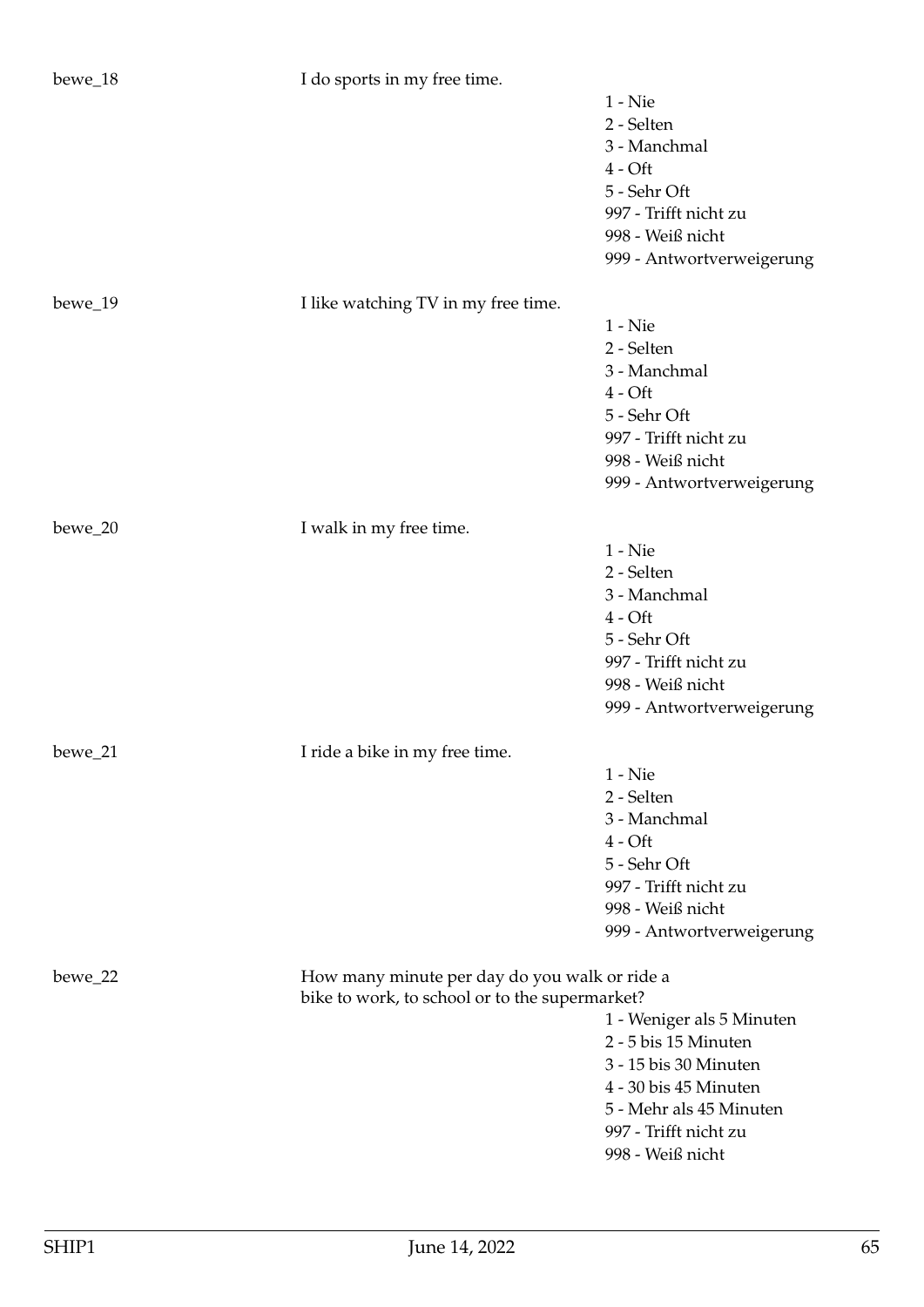| bewe_18   | I do sports in my free time.                   |                           |
|-----------|------------------------------------------------|---------------------------|
|           |                                                | $1 -$ Nie                 |
|           |                                                | 2 - Selten                |
|           |                                                | 3 - Manchmal              |
|           |                                                | $4 - Oft$                 |
|           |                                                | 5 - Sehr Oft              |
|           |                                                | 997 - Trifft nicht zu     |
|           |                                                | 998 - Weiß nicht          |
|           |                                                |                           |
|           |                                                | 999 - Antwortverweigerung |
| bewe_19   | I like watching TV in my free time.            |                           |
|           |                                                | $1 -$ Nie                 |
|           |                                                | 2 - Selten                |
|           |                                                | 3 - Manchmal              |
|           |                                                | $4 - Oft$                 |
|           |                                                | 5 - Sehr Oft              |
|           |                                                | 997 - Trifft nicht zu     |
|           |                                                | 998 - Weiß nicht          |
|           |                                                |                           |
|           |                                                | 999 - Antwortverweigerung |
| bewe_20   | I walk in my free time.                        |                           |
|           |                                                | $1 -$ Nie                 |
|           |                                                | 2 - Selten                |
|           |                                                | 3 - Manchmal              |
|           |                                                | $4 - Oft$                 |
|           |                                                | 5 - Sehr Oft              |
|           |                                                | 997 - Trifft nicht zu     |
|           |                                                | 998 - Weiß nicht          |
|           |                                                | 999 - Antwortverweigerung |
|           |                                                |                           |
| $bewe_21$ | I ride a bike in my free time.                 |                           |
|           |                                                | $1 -$ Nie                 |
|           |                                                | 2 - Selten                |
|           |                                                | 3 - Manchmal              |
|           |                                                | $4 - Oft$                 |
|           |                                                | 5 - Sehr Oft              |
|           |                                                | 997 - Trifft nicht zu     |
|           |                                                | 998 - Weiß nicht          |
|           |                                                | 999 - Antwortverweigerung |
|           |                                                |                           |
| bewe_22   | How many minute per day do you walk or ride a  |                           |
|           | bike to work, to school or to the supermarket? |                           |
|           |                                                | 1 - Weniger als 5 Minuten |
|           |                                                | 2 - 5 bis 15 Minuten      |
|           |                                                | 3 - 15 bis 30 Minuten     |
|           |                                                | 4 - 30 bis 45 Minuten     |
|           |                                                | 5 - Mehr als 45 Minuten   |
|           |                                                | 997 - Trifft nicht zu     |
|           |                                                | 998 - Weiß nicht          |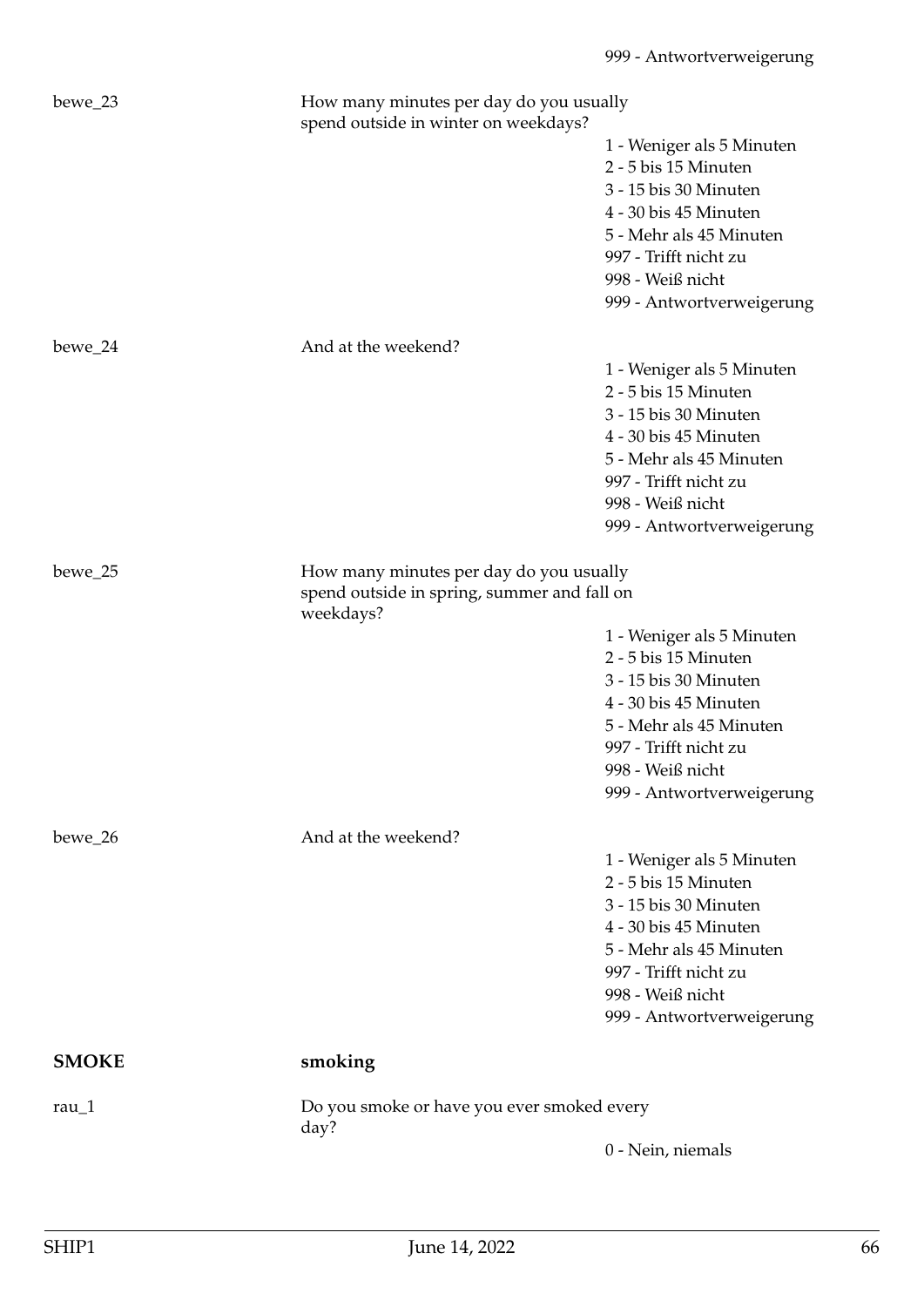| bewe_23         | How many minutes per day do you usually<br>spend outside in winter on weekdays?        |                                                                                                                                                                                                          |
|-----------------|----------------------------------------------------------------------------------------|----------------------------------------------------------------------------------------------------------------------------------------------------------------------------------------------------------|
|                 |                                                                                        | 1 - Weniger als 5 Minuten<br>2 - 5 bis 15 Minuten<br>3 - 15 bis 30 Minuten<br>4 - 30 bis 45 Minuten<br>5 - Mehr als 45 Minuten<br>997 - Trifft nicht zu<br>998 - Weiß nicht<br>999 - Antwortverweigerung |
| bewe_24         | And at the weekend?                                                                    |                                                                                                                                                                                                          |
|                 |                                                                                        | 1 - Weniger als 5 Minuten<br>2 - 5 bis 15 Minuten<br>3 - 15 bis 30 Minuten<br>4 - 30 bis 45 Minuten<br>5 - Mehr als 45 Minuten<br>997 - Trifft nicht zu<br>998 - Weiß nicht<br>999 - Antwortverweigerung |
| bewe_25         | How many minutes per day do you usually<br>spend outside in spring, summer and fall on |                                                                                                                                                                                                          |
|                 | weekdays?                                                                              |                                                                                                                                                                                                          |
|                 |                                                                                        | 1 - Weniger als 5 Minuten<br>2 - 5 bis 15 Minuten<br>3 - 15 bis 30 Minuten<br>4 - 30 bis 45 Minuten<br>5 - Mehr als 45 Minuten<br>997 - Trifft nicht zu<br>998 - Weiß nicht<br>999 - Antwortverweigerung |
| bewe 26         | And at the weekend?                                                                    |                                                                                                                                                                                                          |
|                 |                                                                                        | 1 - Weniger als 5 Minuten<br>2 - 5 bis 15 Minuten<br>3 - 15 bis 30 Minuten<br>4 - 30 bis 45 Minuten<br>5 - Mehr als 45 Minuten<br>997 - Trifft nicht zu<br>998 - Weiß nicht<br>999 - Antwortverweigerung |
| <b>SMOKE</b>    | smoking                                                                                |                                                                                                                                                                                                          |
| rau $\lfloor$ 1 | Do you smoke or have you ever smoked every<br>day?                                     |                                                                                                                                                                                                          |
|                 |                                                                                        | 0 - Nein, niemals                                                                                                                                                                                        |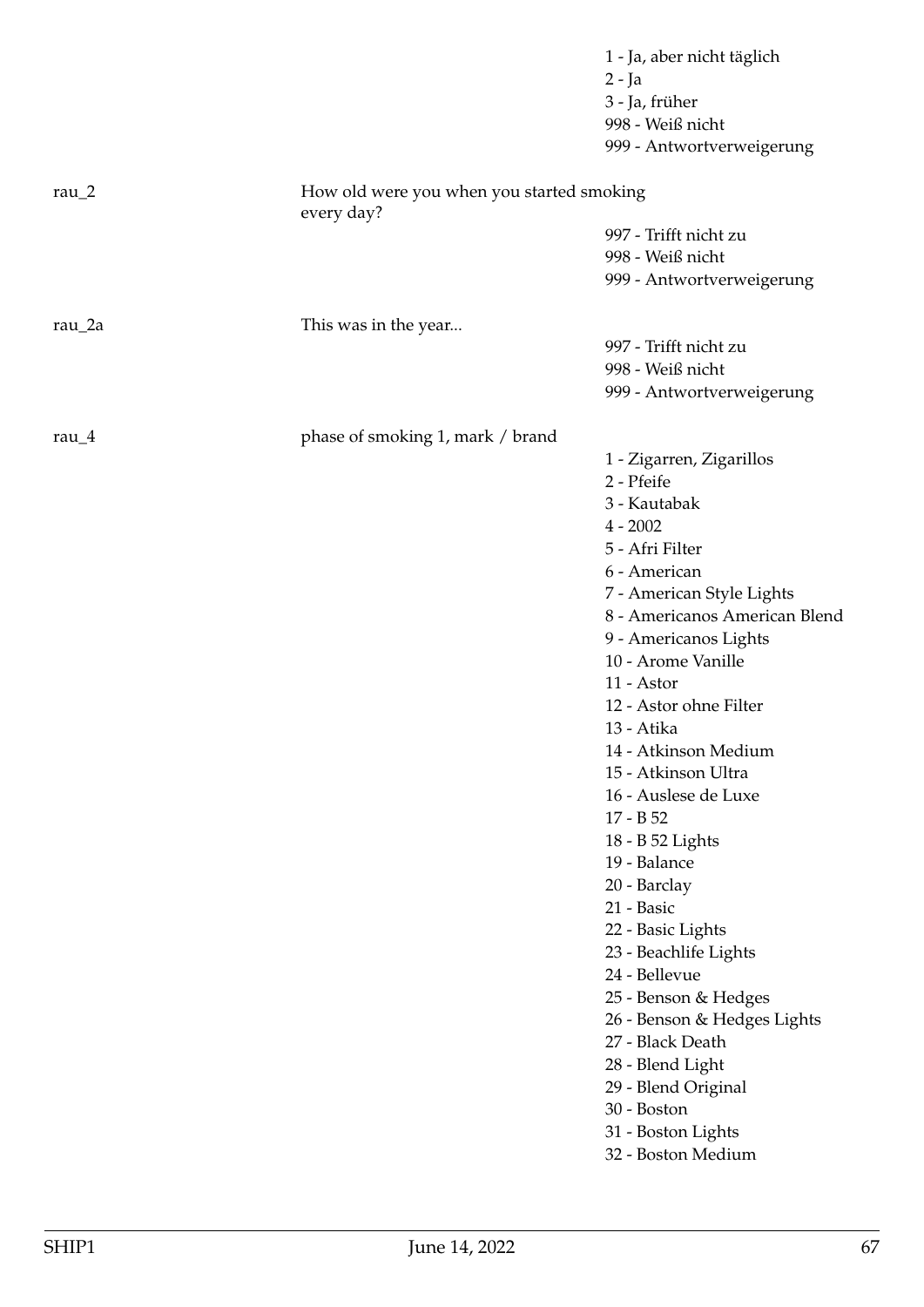|                |                                                         | 1 - Ja, aber nicht täglich<br>$2 - Ja$   |
|----------------|---------------------------------------------------------|------------------------------------------|
|                |                                                         | 3 - Ja, früher                           |
|                |                                                         | 998 - Weiß nicht                         |
|                |                                                         | 999 - Antwortverweigerung                |
| rau $\sqrt{2}$ | How old were you when you started smoking<br>every day? |                                          |
|                |                                                         | 997 - Trifft nicht zu                    |
|                |                                                         | 998 - Weiß nicht                         |
|                |                                                         | 999 - Antwortverweigerung                |
| rau_2a         | This was in the year                                    |                                          |
|                |                                                         | 997 - Trifft nicht zu                    |
|                |                                                         | 998 - Weiß nicht                         |
|                |                                                         | 999 - Antwortverweigerung                |
| rau $_4$       | phase of smoking 1, mark / brand                        |                                          |
|                |                                                         | 1 - Zigarren, Zigarillos                 |
|                |                                                         | 2 - Pfeife                               |
|                |                                                         | 3 - Kautabak                             |
|                |                                                         | $4 - 2002$                               |
|                |                                                         | 5 - Afri Filter                          |
|                |                                                         | 6 - American                             |
|                |                                                         | 7 - American Style Lights                |
|                |                                                         | 8 - Americanos American Blend            |
|                |                                                         | 9 - Americanos Lights                    |
|                |                                                         | 10 - Arome Vanille                       |
|                |                                                         | 11 - Astor                               |
|                |                                                         | 12 - Astor ohne Filter                   |
|                |                                                         | 13 - Atika                               |
|                |                                                         | 14 - Atkinson Medium                     |
|                |                                                         | 15 - Atkinson Ultra                      |
|                |                                                         | 16 - Auslese de Luxe                     |
|                |                                                         | 17 - B 52                                |
|                |                                                         | 18 - B 52 Lights                         |
|                |                                                         | 19 - Balance                             |
|                |                                                         | 20 - Barclay                             |
|                |                                                         | 21 - Basic                               |
|                |                                                         | 22 - Basic Lights                        |
|                |                                                         | 23 - Beachlife Lights                    |
|                |                                                         | 24 - Bellevue                            |
|                |                                                         | 25 - Benson & Hedges                     |
|                |                                                         | 26 - Benson & Hedges Lights              |
|                |                                                         | 27 - Black Death                         |
|                |                                                         | 28 - Blend Light                         |
|                |                                                         | 29 - Blend Original<br>30 - Boston       |
|                |                                                         |                                          |
|                |                                                         | 31 - Boston Lights<br>32 - Boston Medium |
|                |                                                         |                                          |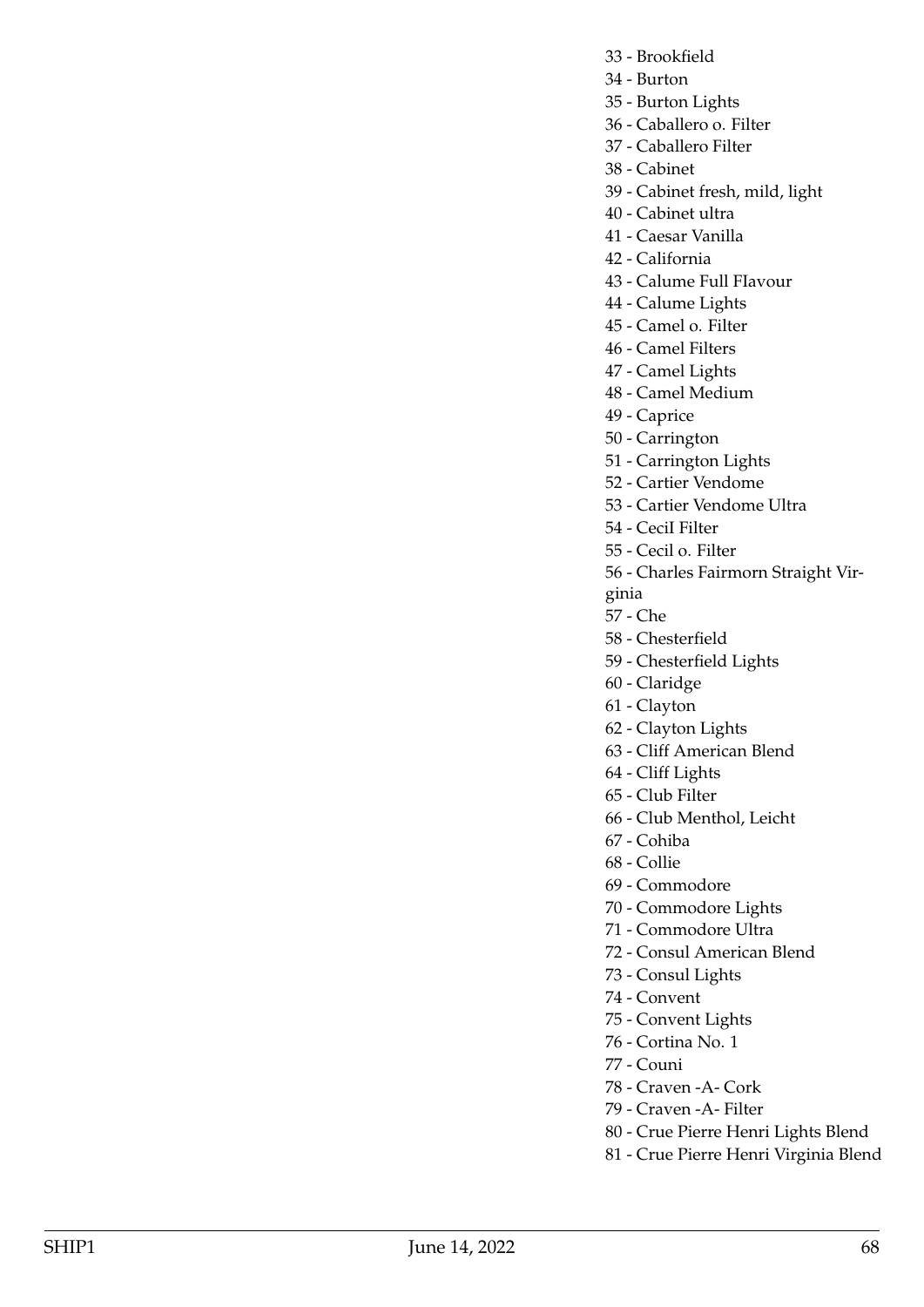- 33 Brookfield
- 34 Burton
- 35 Burton Lights
- 36 Caballero o. Filter
- 37 Caballero Filter
- 38 Cabinet
- 39 Cabinet fresh, mild, light
- 40 Cabinet ultra
- 41 Caesar Vanilla
- 42 California
- 43 Calume Full FIavour
- 44 Calume Lights
- 45 Camel o. Filter
- 46 Camel Filters
- 47 Camel Lights
- 48 Camel Medium
- 49 Caprice
- 50 Carrington
- 51 Carrington Lights
- 52 Cartier Vendome
- 53 Cartier Vendome Ultra
- 54 CeciI Filter
- 55 Cecil o. Filter
- 56 Charles Fairmorn Straight Vir-
- ginia
- 57 Che
- 58 Chesterfield
- 59 Chesterfield Lights
- 60 Claridge
- 61 Clayton
- 62 Clayton Lights
- 63 Cliff American Blend
- 64 Cliff Lights
- 65 Club Filter
- 66 Club Menthol, Leicht
- 67 Cohiba
- 68 Collie
- 69 Commodore
- 70 Commodore Lights
- 71 Commodore Ultra
- 72 Consul American Blend
- 73 Consul Lights
- 74 Convent
- 75 Convent Lights
- 76 Cortina No. 1
- 77 Couni
- 78 Craven -A- Cork
- 79 Craven -A- Filter
- 80 Crue Pierre Henri Lights Blend
- 81 Crue Pierre Henri Virginia Blend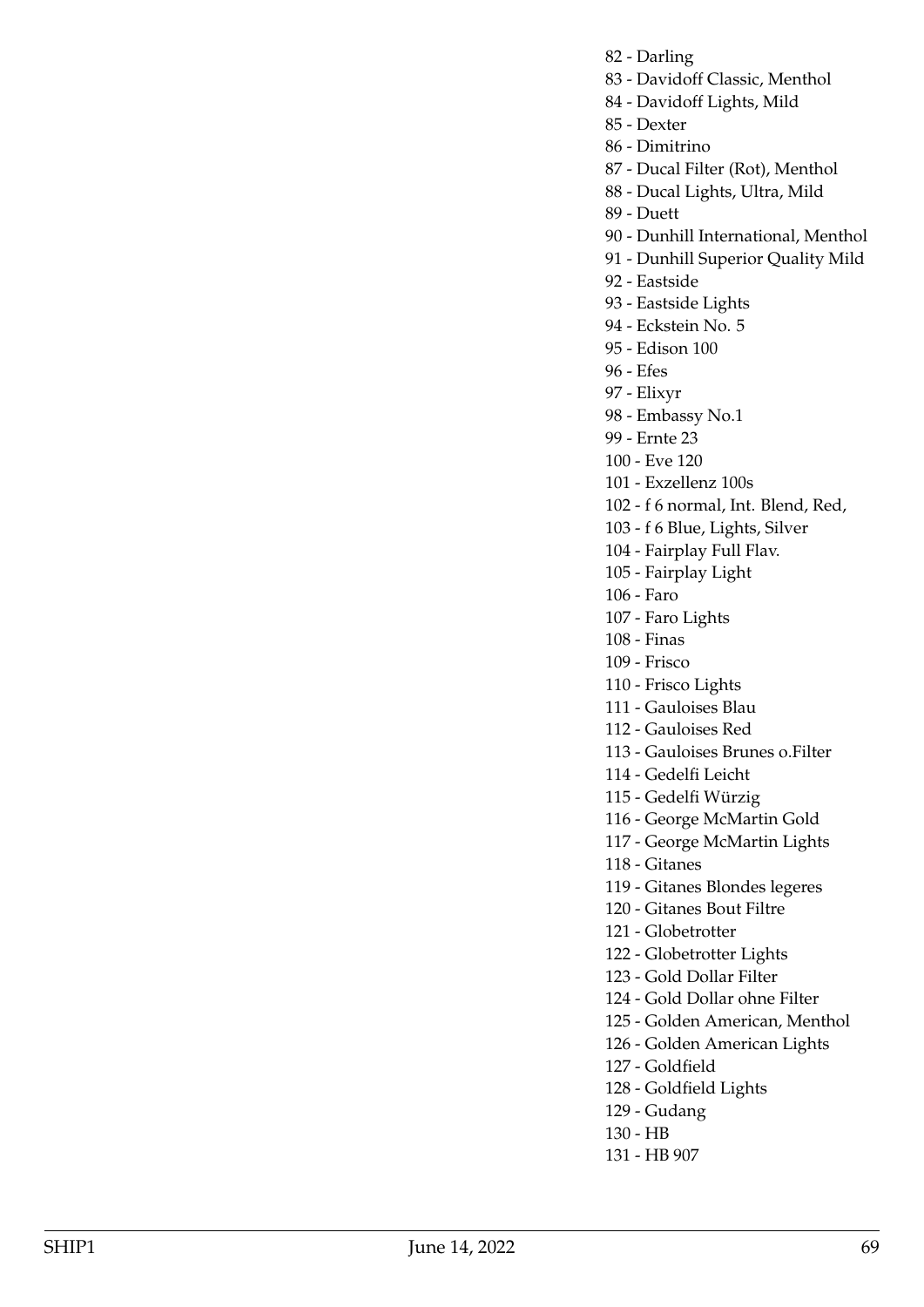- 82 Darling
- 83 Davidoff Classic, Menthol
- 84 Davidoff Lights, Mild
- 85 Dexter
- 86 Dimitrino
- 87 Ducal Filter (Rot), Menthol
- 88 Ducal Lights, Ultra, Mild
- 89 Duett
- 90 Dunhill International, Menthol
- 91 Dunhill Superior Quality Mild
- 92 Eastside
- 93 Eastside Lights
- 94 Eckstein No. 5
- 95 Edison 100
- 96 Efes
- 97 Elixyr
- 98 Embassy No.1
- 99 Ernte 23
- 100 Eve 120
- 101 Exzellenz 100s
- 102 f 6 normal, Int. Blend, Red,
- 103 f 6 Blue, Lights, Silver
- 104 Fairplay Full Flav.
- 105 Fairplay Light
- 106 Faro
- 107 Faro Lights
- 108 Finas
- 109 Frisco
- 110 Frisco Lights
- 111 Gauloises Blau
- 112 Gauloises Red
- 113 Gauloises Brunes o.Filter
- 114 Gedelfi Leicht
- 115 Gedelfi Würzig
- 116 George McMartin Gold
- 117 George McMartin Lights
- 118 Gitanes
- 119 Gitanes Blondes legeres
- 120 Gitanes Bout Filtre
- 121 Globetrotter
- 122 Globetrotter Lights
- 123 Gold Dollar Filter
- 124 Gold Dollar ohne Filter
- 125 Golden American, Menthol
- 126 Golden American Lights
- 127 Goldfield
- 128 Goldfield Lights
- 129 Gudang
- 130 HB
- 131 HB 907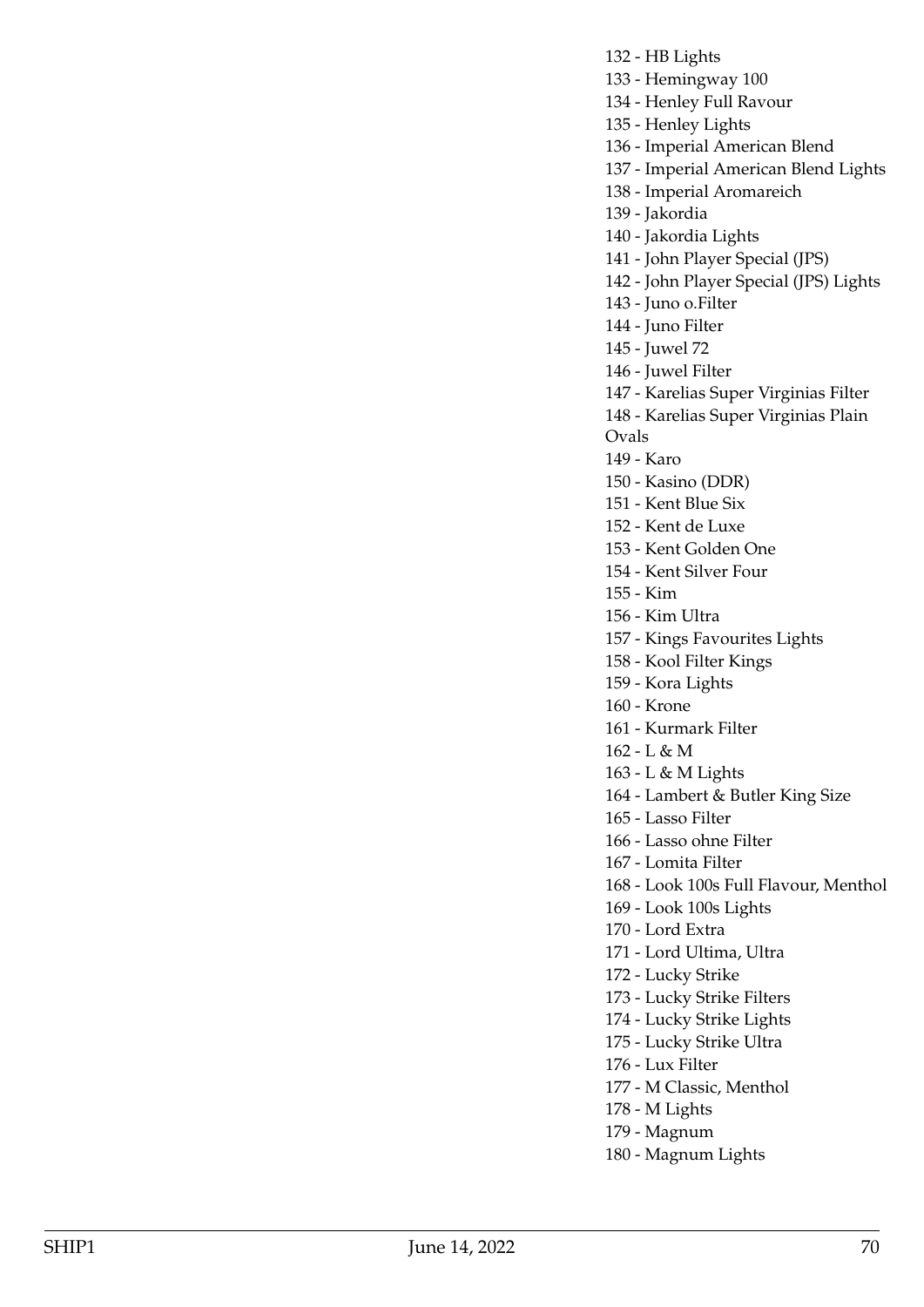132 - HB Lights

133 - Hemingway 100

134 - Henley Full Ravour

135 - Henley Lights

136 - Imperial American Blend

137 - Imperial American Blend Lights

138 - Imperial Aromareich

139 - Jakordia

140 - Jakordia Lights

141 - John Player Special (JPS)

142 - John Player Special (JPS) Lights

143 - Juno o.Filter

144 - Juno Filter

145 - Juwel 72

146 - Juwel Filter

147 - Karelias Super Virginias Filter

148 - Karelias Super Virginias Plain

Ovals

149 - Karo

150 - Kasino (DDR)

151 - Kent Blue Six

152 - Kent de Luxe

153 - Kent Golden One

154 - Kent Silver Four

155 - Kim

156 - Kim Ultra

157 - Kings Favourites Lights

158 - Kool Filter Kings

159 - Kora Lights

160 - Krone

161 - Kurmark Filter

162 - L & M

163 - L & M Lights

164 - Lambert & Butler King Size

165 - Lasso Filter

166 - Lasso ohne Filter

167 - Lomita Filter

168 - Look 100s Full Flavour, Menthol

169 - Look 100s Lights

170 - Lord Extra

171 - Lord Ultima, Ultra

172 - Lucky Strike

- 173 Lucky Strike Filters
- 174 Lucky Strike Lights
- 175 Lucky Strike Ultra
- 176 Lux Filter
- 177 M Classic, Menthol
- 178 M Lights
- 179 Magnum
- 180 Magnum Lights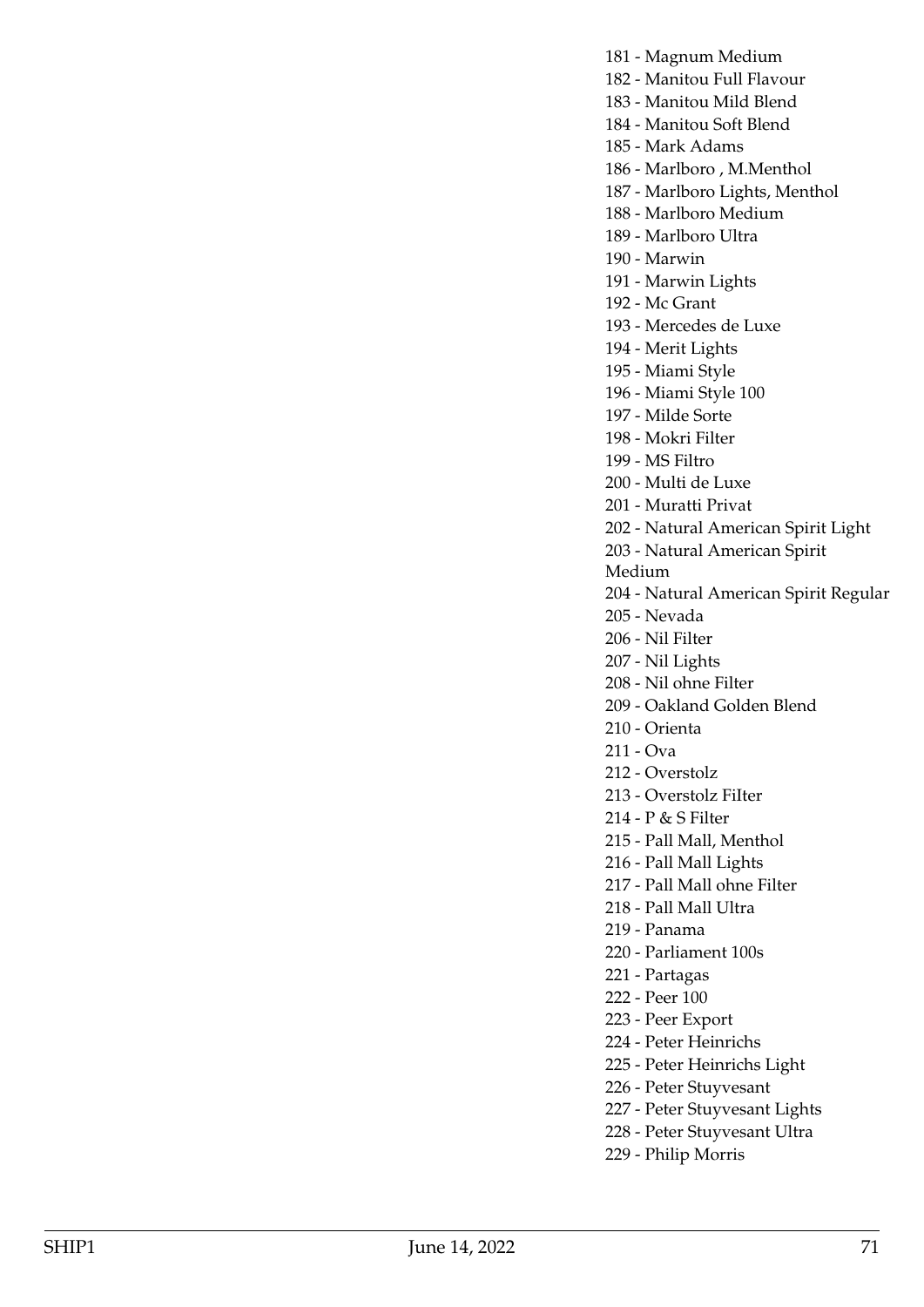181 - Magnum Medium

182 - Manitou Full Flavour

183 - Manitou Mild Blend

184 - Manitou Soft Blend

185 - Mark Adams

186 - Marlboro , M.Menthol

187 - Marlboro Lights, Menthol

188 - Marlboro Medium

189 - Marlboro Ultra

190 - Marwin

191 - Marwin Lights

192 - Mc Grant

193 - Mercedes de Luxe

194 - Merit Lights

195 - Miami Style

196 - Miami Style 100

197 - Milde Sorte

198 - Mokri Filter

199 - MS Filtro

200 - Multi de Luxe

201 - Muratti Privat

202 - Natural American Spirit Light

203 - Natural American Spirit

Medium

204 - Natural American Spirit Regular

205 - Nevada

206 - Nil Filter

207 - Nil Lights

208 - Nil ohne Filter

209 - Oakland Golden Blend

210 - Orienta

211 - Ova

212 - Overstolz

213 - Overstolz FiIter

214 - P & S Filter

215 - Pall Mall, Menthol

216 - Pall Mall Lights

217 - Pall Mall ohne Filter

218 - Pall Mall Ultra

219 - Panama

220 - Parliament 100s

221 - Partagas

222 - Peer 100

223 - Peer Export

224 - Peter Heinrichs

225 - Peter Heinrichs Light

226 - Peter Stuyvesant

227 - Peter Stuyvesant Lights

228 - Peter Stuyvesant Ultra

229 - Philip Morris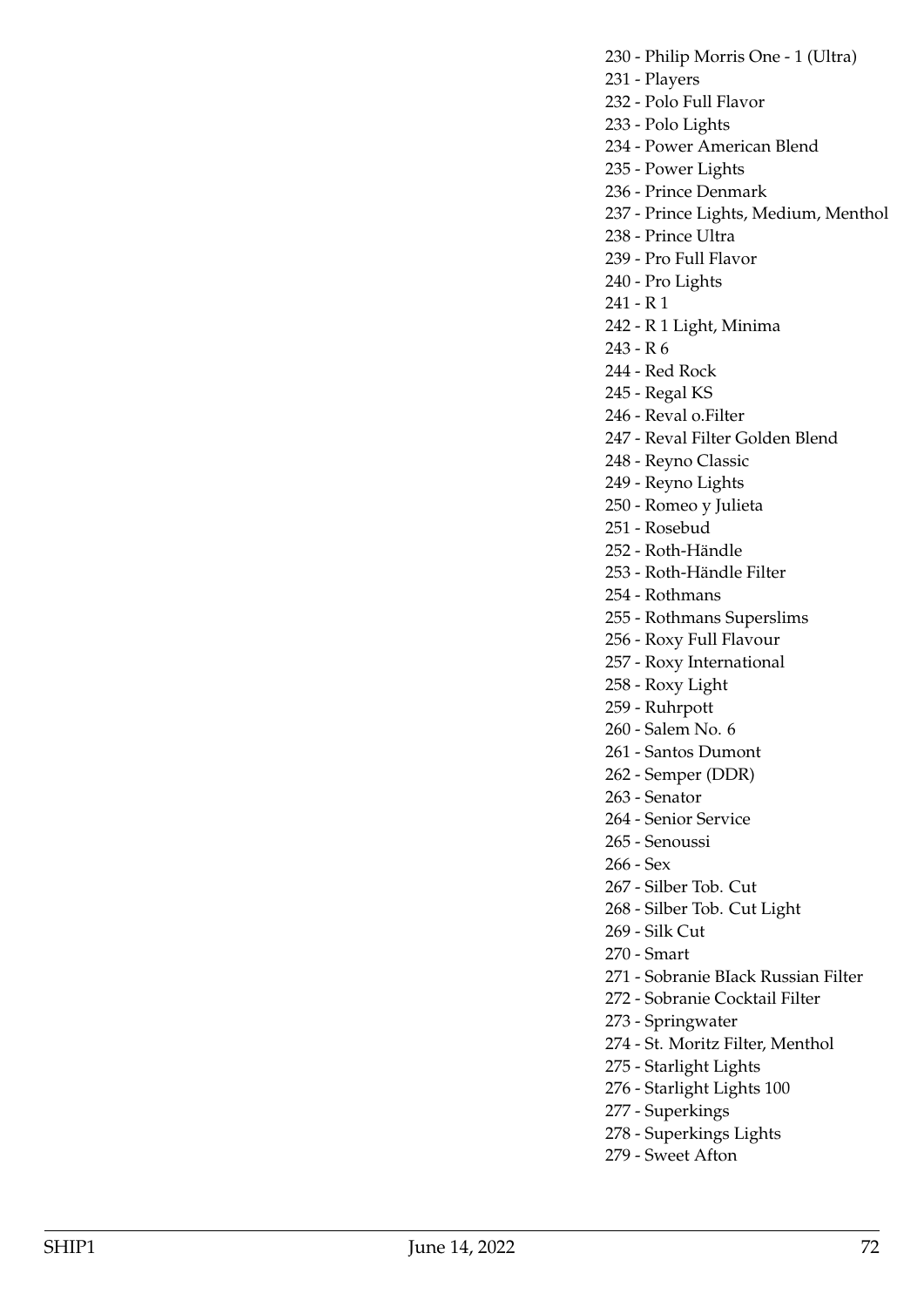230 - Philip Morris One - 1 (Ultra)

- 231 Players
- 232 Polo Full Flavor
- 233 Polo Lights
- 234 Power American Blend
- 235 Power Lights
- 236 Prince Denmark
- 237 Prince Lights, Medium, Menthol
- 238 Prince Ultra
- 239 Pro Full Flavor
- 240 Pro Lights
- 241 R 1
- 242 R 1 Light, Minima
- 243 R 6
- 244 Red Rock
- 245 Regal KS
- 246 Reval o.Filter
- 247 Reval Filter Golden Blend
- 248 Reyno Classic
- 249 Reyno Lights
- 250 Romeo y Julieta
- 251 Rosebud
- 252 Roth-Händle
- 253 Roth-Händle Filter
- 254 Rothmans
- 255 Rothmans Superslims
- 256 Roxy Full Flavour
- 257 Roxy International
- 258 Roxy Light
- 259 Ruhrpott
- 260 Salem No. 6
- 261 Santos Dumont
- 262 Semper (DDR)
- 263 Senator
- 264 Senior Service
- 265 Senoussi
- 266 Sex
- 267 Silber Tob. Cut
- 268 Silber Tob. Cut Light
- 269 Silk Cut
- 270 Smart
- 271 Sobranie BIack Russian Filter
- 272 Sobranie Cocktail Filter
- 273 Springwater
- 274 St. Moritz Filter, Menthol
- 275 Starlight Lights
- 276 Starlight Lights 100
- 277 Superkings
- 278 Superkings Lights
- 279 Sweet Afton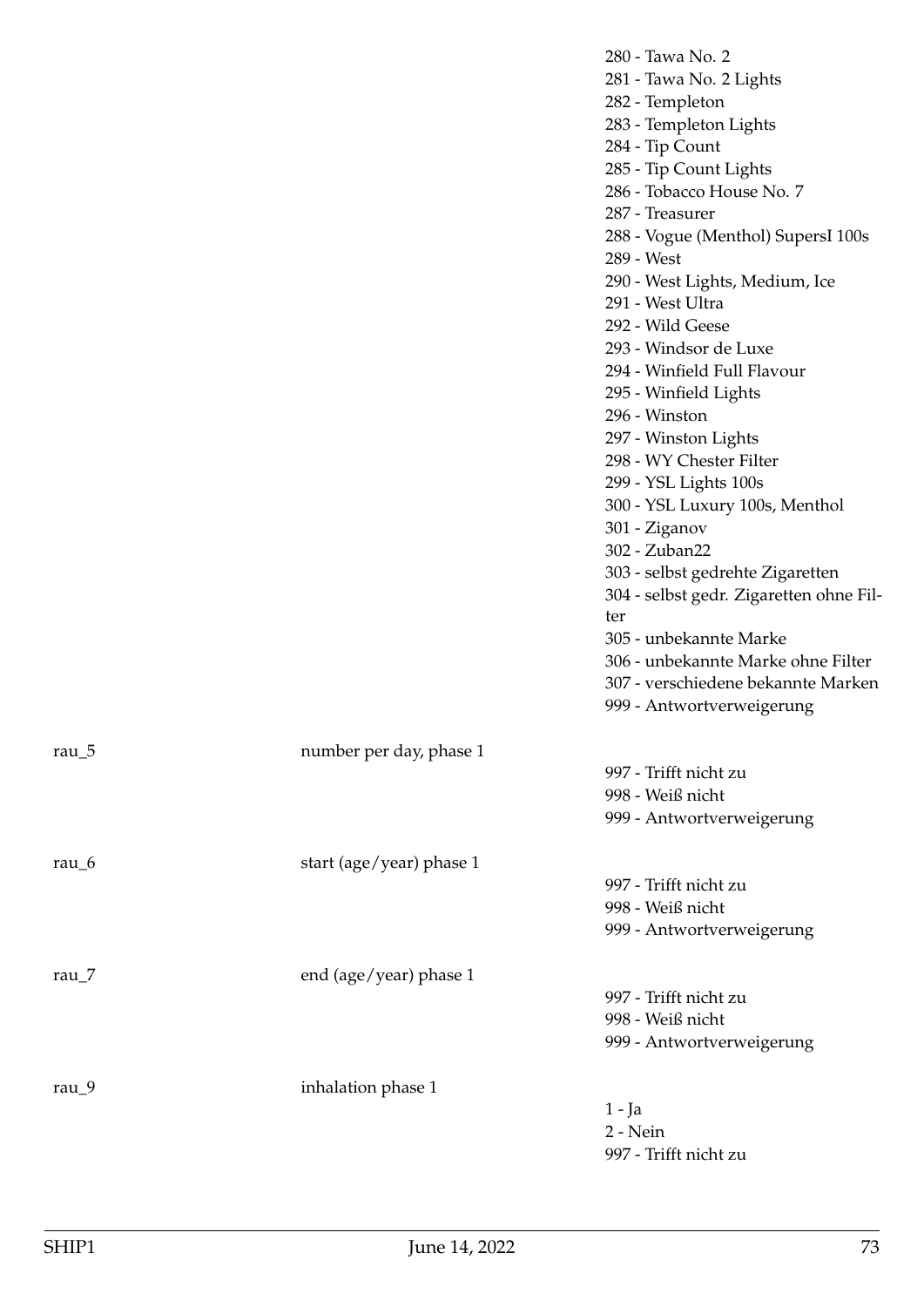|                    |                          | 280 - Tawa No. 2<br>281 - Tawa No. 2 Lights<br>282 - Templeton<br>283 - Templeton Lights<br>284 - Tip Count<br>285 - Tip Count Lights<br>286 - Tobacco House No. 7<br>287 - Treasurer<br>288 - Vogue (Menthol) SupersI 100s<br>289 - West<br>290 - West Lights, Medium, Ice<br>291 - West Ultra<br>292 - Wild Geese<br>293 - Windsor de Luxe<br>294 - Winfield Full Flavour<br>295 - Winfield Lights<br>296 - Winston<br>297 - Winston Lights<br>298 - WY Chester Filter<br>299 - YSL Lights 100s<br>300 - YSL Luxury 100s, Menthol<br>301 - Ziganov<br>302 - Zuban22<br>303 - selbst gedrehte Zigaretten<br>304 - selbst gedr. Zigaretten ohne Fil-<br>ter<br>305 - unbekannte Marke<br>306 - unbekannte Marke ohne Filter<br>307 - verschiedene bekannte Marken<br>999 - Antwortverweigerung |
|--------------------|--------------------------|------------------------------------------------------------------------------------------------------------------------------------------------------------------------------------------------------------------------------------------------------------------------------------------------------------------------------------------------------------------------------------------------------------------------------------------------------------------------------------------------------------------------------------------------------------------------------------------------------------------------------------------------------------------------------------------------------------------------------------------------------------------------------------------------|
| rau $\overline{5}$ | number per day, phase 1  | 997 - Trifft nicht zu<br>998 - Weiß nicht<br>999 - Antwortverweigerung                                                                                                                                                                                                                                                                                                                                                                                                                                                                                                                                                                                                                                                                                                                         |
| rau_6              | start (age/year) phase 1 | 997 - Trifft nicht zu<br>998 - Weiß nicht<br>999 - Antwortverweigerung                                                                                                                                                                                                                                                                                                                                                                                                                                                                                                                                                                                                                                                                                                                         |
| rau $_7$           | end (age/year) phase 1   | 997 - Trifft nicht zu<br>998 - Weiß nicht<br>999 - Antwortverweigerung                                                                                                                                                                                                                                                                                                                                                                                                                                                                                                                                                                                                                                                                                                                         |
| rau $_9$           | inhalation phase 1       | $1 - Ja$<br>2 - Nein<br>997 - Trifft nicht zu                                                                                                                                                                                                                                                                                                                                                                                                                                                                                                                                                                                                                                                                                                                                                  |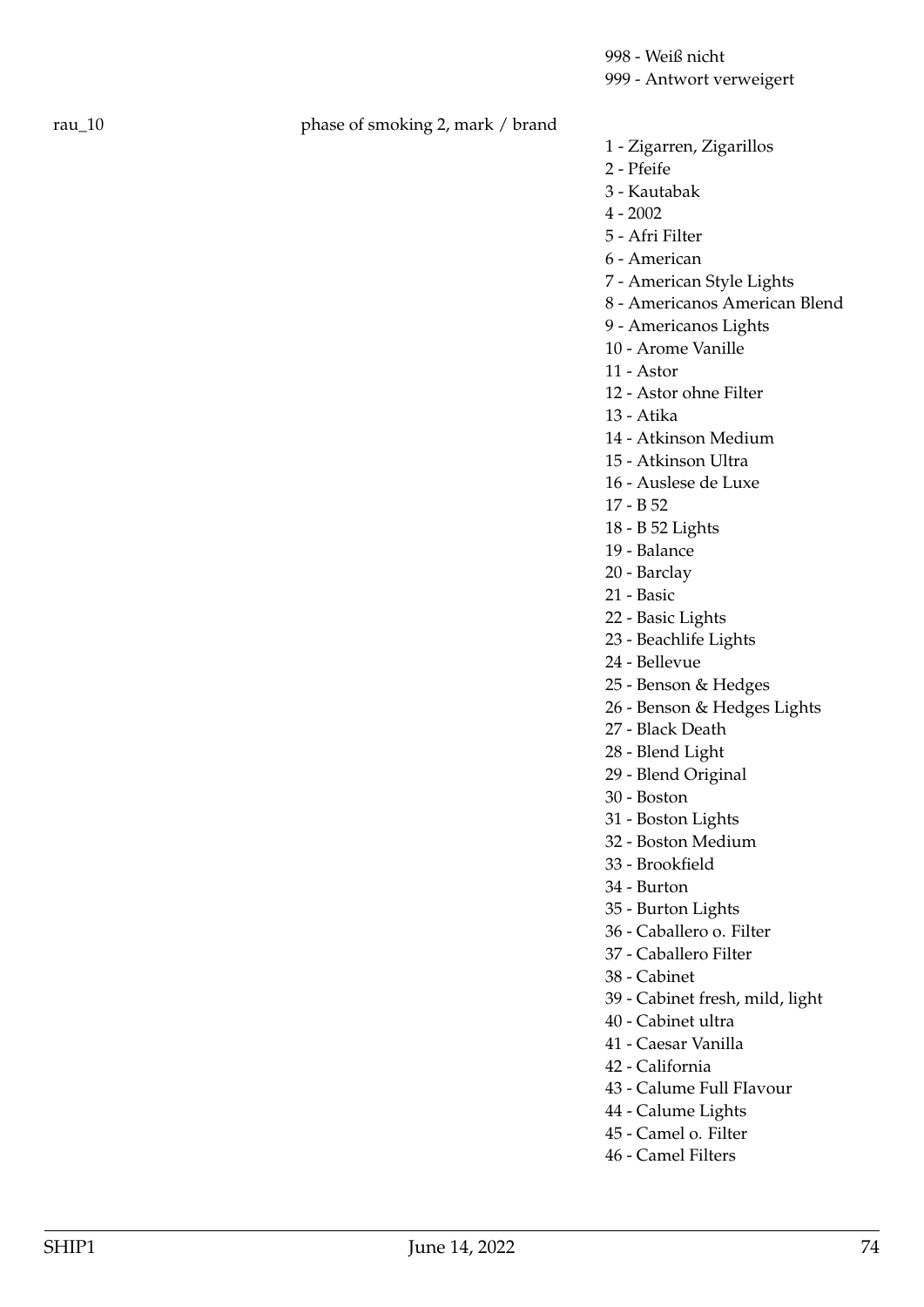998 - Weiß nicht 999 - Antwort verweigert

## rau\_10 phase of smoking 2, mark / brand

- 1 Zigarren, Zigarillos
- 2 Pfeife
- 3 Kautabak
- 4 2002
- 5 Afri Filter
- 6 American
- 7 American Style Lights
- 8 Americanos American Blend
- 9 Americanos Lights
- 10 Arome Vanille
- 11 Astor
- 12 Astor ohne Filter
- 13 Atika
- 14 Atkinson Medium
- 15 Atkinson Ultra
- 16 Auslese de Luxe
- 17 B 52
- 18 B 52 Lights
- 19 Balance
- 20 Barclay
- 21 Basic
- 22 Basic Lights
- 23 Beachlife Lights
- 24 Bellevue
- 25 Benson & Hedges
- 26 Benson & Hedges Lights
- 27 Black Death
- 28 Blend Light
- 29 Blend Original
- 30 Boston
- 31 Boston Lights
- 32 Boston Medium
- 33 Brookfield
- 34 Burton
- 35 Burton Lights
- 36 Caballero o. Filter
- 37 Caballero Filter
- 38 Cabinet
- 39 Cabinet fresh, mild, light
- 40 Cabinet ultra
- 41 Caesar Vanilla
- 42 California
- 43 Calume Full FIavour
- 44 Calume Lights
- 45 Camel o. Filter
- 46 Camel Filters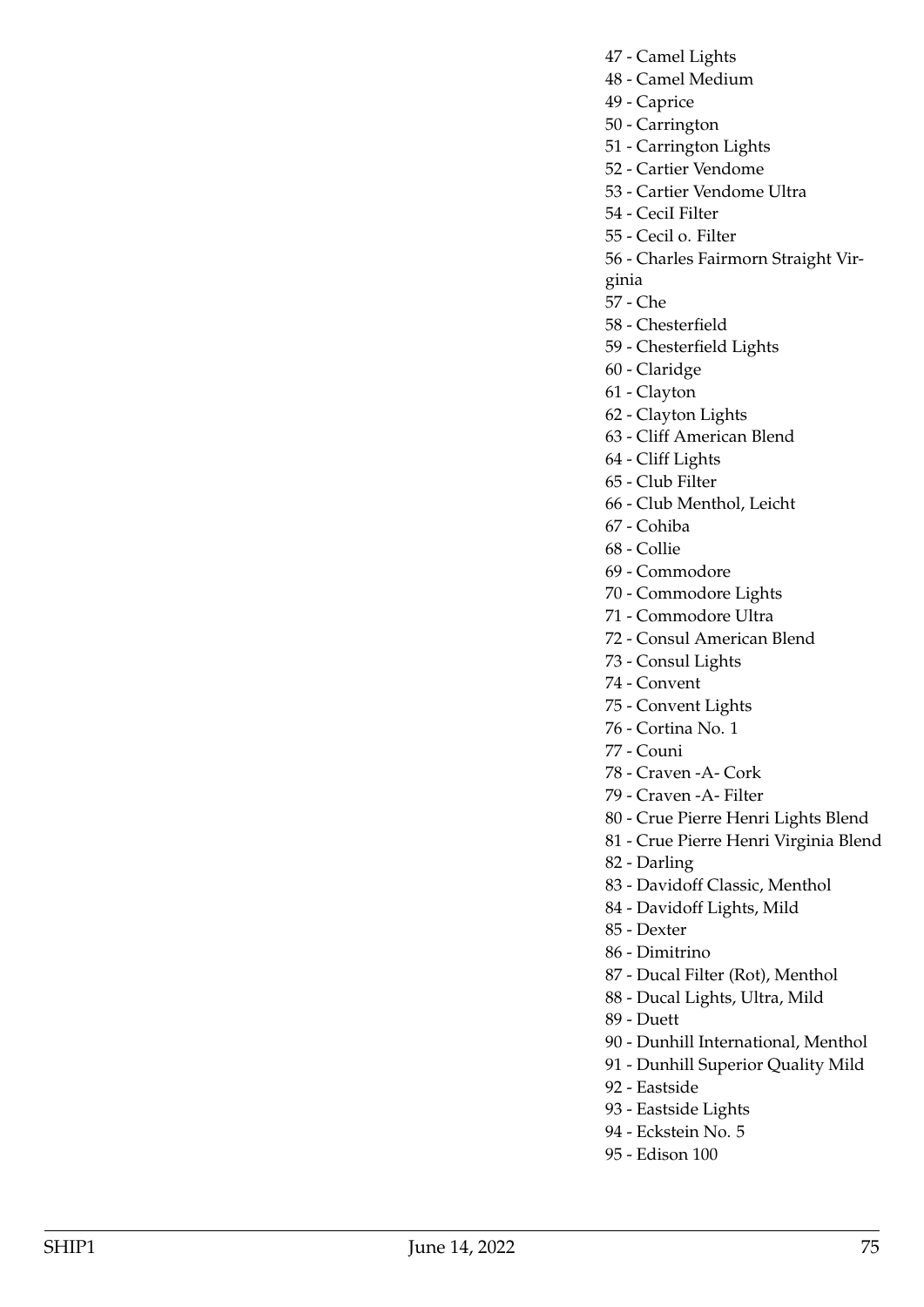- 47 Camel Lights
- 48 Camel Medium
- 49 Caprice
- 50 Carrington
- 51 Carrington Lights
- 52 Cartier Vendome
- 53 Cartier Vendome Ultra
- 54 CeciI Filter
- 55 Cecil o. Filter
- 56 Charles Fairmorn Straight Vir-
- ginia
- 57 Che
- 58 Chesterfield
- 59 Chesterfield Lights
- 60 Claridge
- 61 Clayton
- 62 Clayton Lights
- 63 Cliff American Blend
- 64 Cliff Lights
- 65 Club Filter
- 66 Club Menthol, Leicht
- 67 Cohiba
- 68 Collie
- 69 Commodore
- 70 Commodore Lights
- 71 Commodore Ultra
- 72 Consul American Blend
- 73 Consul Lights
- 74 Convent
- 75 Convent Lights
- 76 Cortina No. 1
- 77 Couni
- 78 Craven -A- Cork
- 79 Craven -A- Filter
- 80 Crue Pierre Henri Lights Blend
- 81 Crue Pierre Henri Virginia Blend
- 82 Darling
- 83 Davidoff Classic, Menthol
- 84 Davidoff Lights, Mild
- 85 Dexter
- 86 Dimitrino
- 87 Ducal Filter (Rot), Menthol
- 88 Ducal Lights, Ultra, Mild
- 89 Duett
- 90 Dunhill International, Menthol
- 91 Dunhill Superior Quality Mild
- 92 Eastside
- 93 Eastside Lights
- 94 Eckstein No. 5
- 95 Edison 100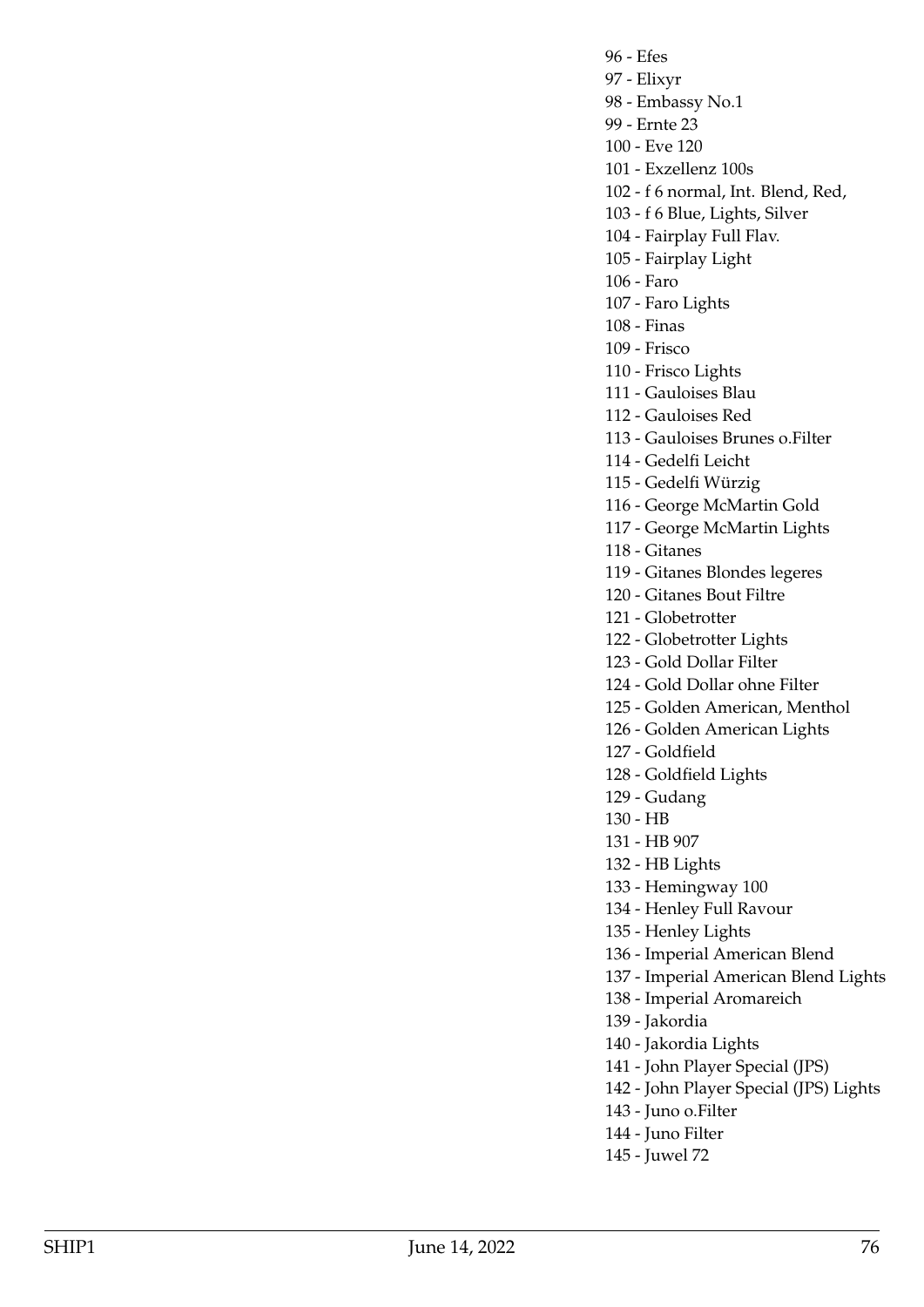96 - Efes 97 - Elixyr 98 - Embassy No.1 99 - Ernte 23 100 - Eve 120 101 - Exzellenz 100s 102 - f 6 normal, Int. Blend, Red,

103 - f 6 Blue, Lights, Silver

104 - Fairplay Full Flav. 105 - Fairplay Light

106 - Faro

107 - Faro Lights

108 - Finas

109 - Frisco

110 - Frisco Lights

111 - Gauloises Blau

112 - Gauloises Red

113 - Gauloises Brunes o.Filter

114 - Gedelfi Leicht

115 - Gedelfi Würzig

116 - George McMartin Gold

117 - George McMartin Lights

118 - Gitanes

119 - Gitanes Blondes legeres

120 - Gitanes Bout Filtre

121 - Globetrotter

122 - Globetrotter Lights

123 - Gold Dollar Filter

124 - Gold Dollar ohne Filter

125 - Golden American, Menthol

126 - Golden American Lights

127 - Goldfield

128 - Goldfield Lights

129 - Gudang

130 - HB

131 - HB 907

132 - HB Lights

133 - Hemingway 100

134 - Henley Full Ravour

135 - Henley Lights

136 - Imperial American Blend

137 - Imperial American Blend Lights

138 - Imperial Aromareich

139 - Jakordia

140 - Jakordia Lights

141 - John Player Special (JPS)

142 - John Player Special (JPS) Lights

143 - Juno o.Filter

144 - Juno Filter

145 - Juwel 72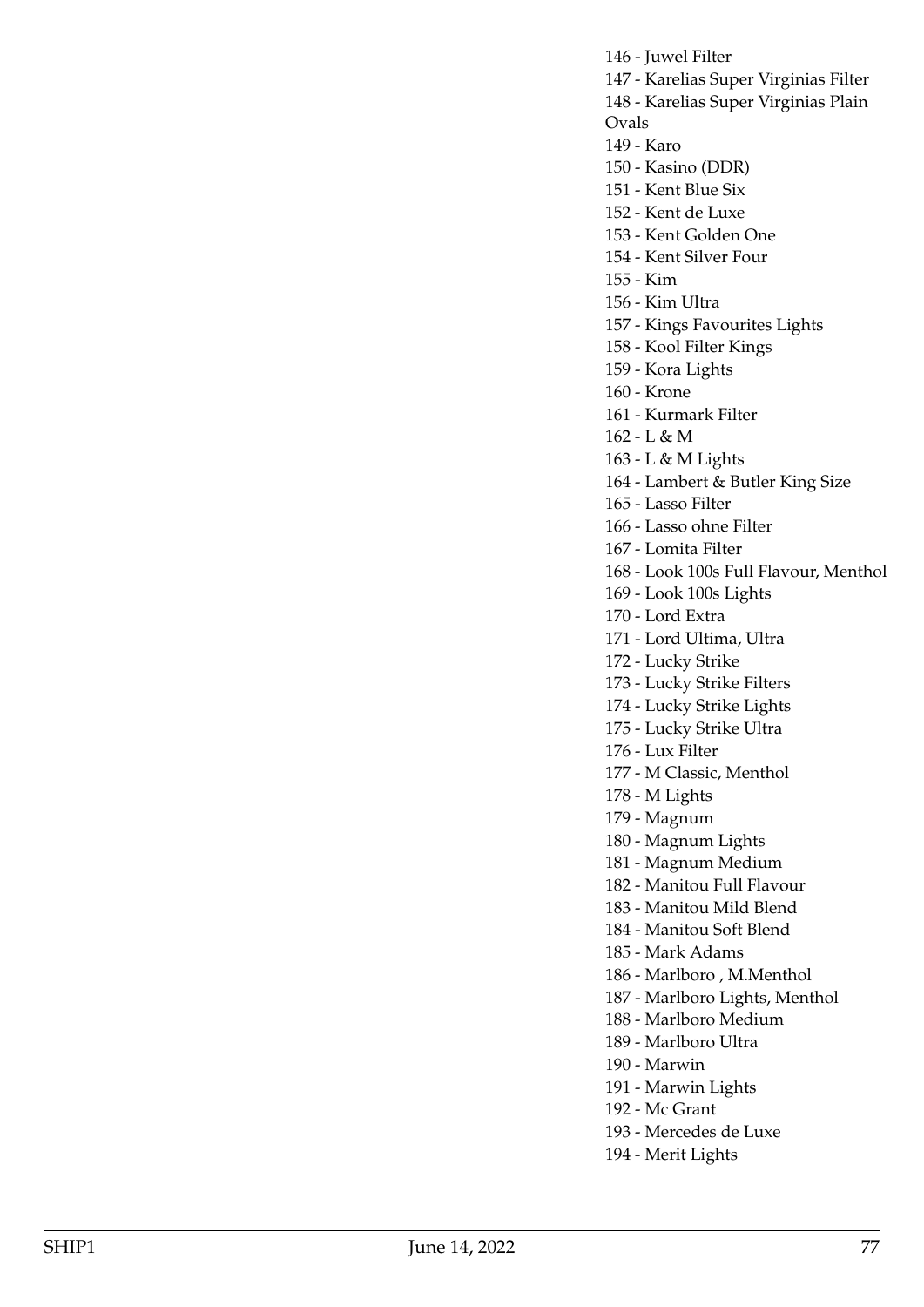146 - Juwel Filter 147 - Karelias Super Virginias Filter 148 - Karelias Super Virginias Plain Ovals 149 - Karo 150 - Kasino (DDR) 151 - Kent Blue Six 152 - Kent de Luxe 153 - Kent Golden One 154 - Kent Silver Four 155 - Kim 156 - Kim Ultra 157 - Kings Favourites Lights 158 - Kool Filter Kings 159 - Kora Lights 160 - Krone 161 - Kurmark Filter 162 - L & M 163 - L & M Lights 164 - Lambert & Butler King Size 165 - Lasso Filter 166 - Lasso ohne Filter 167 - Lomita Filter 168 - Look 100s Full Flavour, Menthol 169 - Look 100s Lights 170 - Lord Extra 171 - Lord Ultima, Ultra 172 - Lucky Strike 173 - Lucky Strike Filters 174 - Lucky Strike Lights 175 - Lucky Strike Ultra 176 - Lux Filter 177 - M Classic, Menthol 178 - M Lights 179 - Magnum 180 - Magnum Lights 181 - Magnum Medium 182 - Manitou Full Flavour 183 - Manitou Mild Blend 184 - Manitou Soft Blend 185 - Mark Adams 186 - Marlboro , M.Menthol 187 - Marlboro Lights, Menthol 188 - Marlboro Medium 189 - Marlboro Ultra 190 - Marwin 191 - Marwin Lights 192 - Mc Grant

- 193 Mercedes de Luxe
- 194 Merit Lights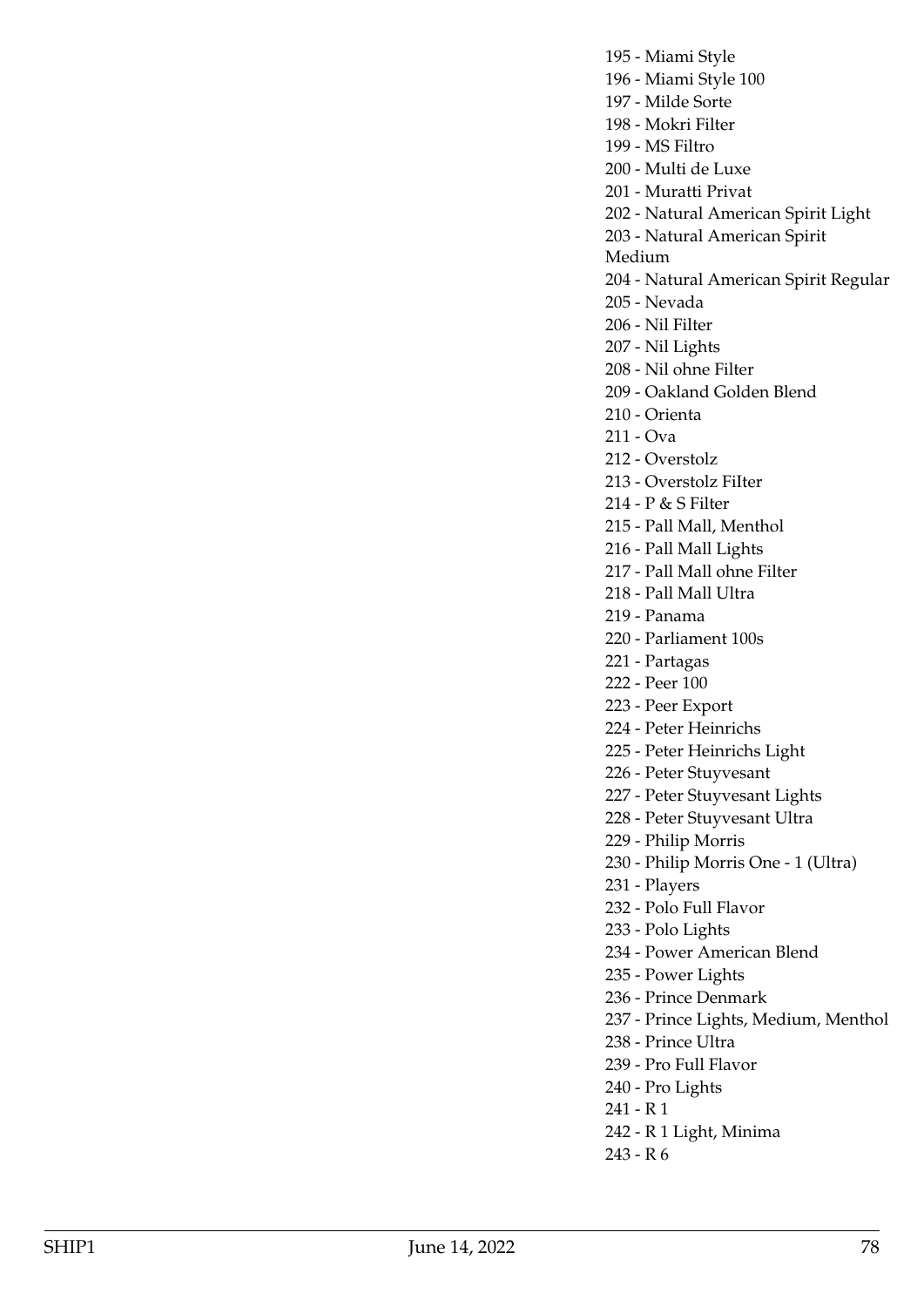196 - Miami Style 100 197 - Milde Sorte

198 - Mokri Filter

195 - Miami Style

199 - MS Filtro

200 - Multi de Luxe

201 - Muratti Privat

202 - Natural American Spirit Light

203 - Natural American Spirit

Medium

204 - Natural American Spirit Regular

205 - Nevada

206 - Nil Filter

207 - Nil Lights

208 - Nil ohne Filter

209 - Oakland Golden Blend

210 - Orienta

211 - Ova

212 - Overstolz

213 - Overstolz FiIter

214 - P & S Filter

215 - Pall Mall, Menthol

216 - Pall Mall Lights

217 - Pall Mall ohne Filter

218 - Pall Mall Ultra

219 - Panama

220 - Parliament 100s

221 - Partagas

222 - Peer 100

223 - Peer Export

224 - Peter Heinrichs

225 - Peter Heinrichs Light

226 - Peter Stuyvesant

227 - Peter Stuyvesant Lights

228 - Peter Stuyvesant Ultra

229 - Philip Morris

230 - Philip Morris One - 1 (Ultra)

231 - Players

232 - Polo Full Flavor

233 - Polo Lights

234 - Power American Blend

235 - Power Lights

236 - Prince Denmark

237 - Prince Lights, Medium, Menthol

238 - Prince Ultra

239 - Pro Full Flavor

240 - Pro Lights

241 - R 1

242 - R 1 Light, Minima

243 - R 6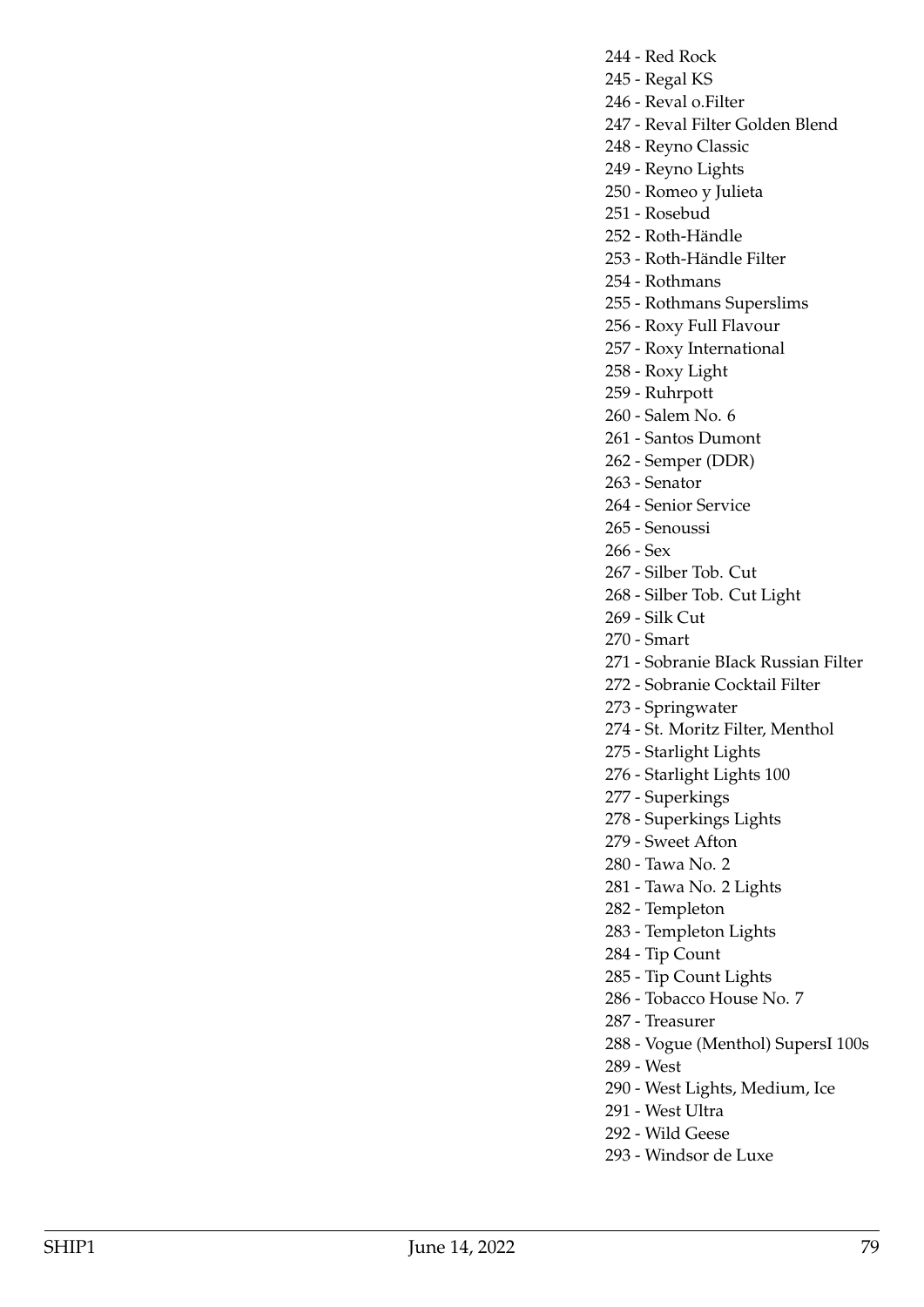- 244 Red Rock
- 245 Regal KS
- 246 Reval o.Filter
- 247 Reval Filter Golden Blend
- 248 Reyno Classic
- 249 Reyno Lights
- 250 Romeo y Julieta
- 251 Rosebud
- 252 Roth-Händle
- 253 Roth-Händle Filter
- 254 Rothmans
- 255 Rothmans Superslims
- 256 Roxy Full Flavour
- 257 Roxy International
- 258 Roxy Light
- 259 Ruhrpott
- 260 Salem No. 6
- 261 Santos Dumont
- 262 Semper (DDR)
- 263 Senator
	- 264 Senior Service
	- 265 Senoussi
	- 266 Sex
	- 267 Silber Tob. Cut
	- 268 Silber Tob. Cut Light
	- 269 Silk Cut
	- 270 Smart
	- 271 Sobranie BIack Russian Filter
	- 272 Sobranie Cocktail Filter
	- 273 Springwater
	- 274 St. Moritz Filter, Menthol
	- 275 Starlight Lights
	- 276 Starlight Lights 100
	- 277 Superkings
	- 278 Superkings Lights
	- 279 Sweet Afton
	- 280 Tawa No. 2
	- 281 Tawa No. 2 Lights
	- 282 Templeton
- 283 Templeton Lights
- 284 Tip Count
- 285 Tip Count Lights
- 286 Tobacco House No. 7
- 287 Treasurer
- 288 Vogue (Menthol) SupersI 100s
- 289 West
- 290 West Lights, Medium, Ice
- 291 West Ultra
- 292 Wild Geese
- 293 Windsor de Luxe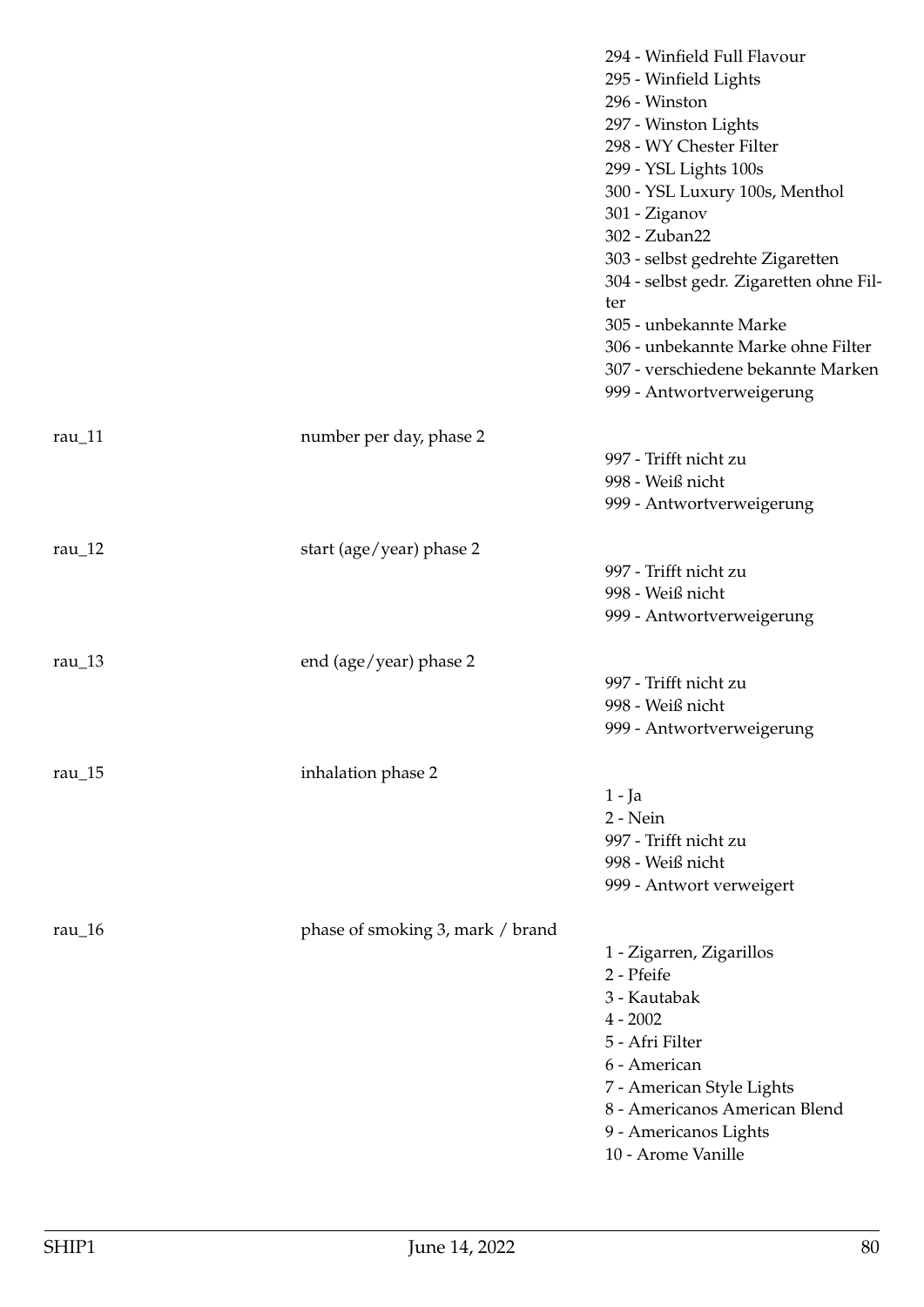|                    |                                  | 294 - Winfield Full Flavour<br>295 - Winfield Lights<br>296 - Winston<br>297 - Winston Lights<br>298 - WY Chester Filter<br>299 - YSL Lights 100s<br>300 - YSL Luxury 100s, Menthol<br>301 - Ziganov<br>302 - Zuban22<br>303 - selbst gedrehte Zigaretten<br>304 - selbst gedr. Zigaretten ohne Fil-<br>ter<br>305 - unbekannte Marke<br>306 - unbekannte Marke ohne Filter<br>307 - verschiedene bekannte Marken<br>999 - Antwortverweigerung |
|--------------------|----------------------------------|------------------------------------------------------------------------------------------------------------------------------------------------------------------------------------------------------------------------------------------------------------------------------------------------------------------------------------------------------------------------------------------------------------------------------------------------|
| rau $11$           | number per day, phase 2          |                                                                                                                                                                                                                                                                                                                                                                                                                                                |
|                    |                                  | 997 - Trifft nicht zu                                                                                                                                                                                                                                                                                                                                                                                                                          |
|                    |                                  | 998 - Weiß nicht                                                                                                                                                                                                                                                                                                                                                                                                                               |
|                    |                                  | 999 - Antwortverweigerung                                                                                                                                                                                                                                                                                                                                                                                                                      |
| rau $_12$          | start (age/year) phase 2         |                                                                                                                                                                                                                                                                                                                                                                                                                                                |
|                    |                                  | 997 - Trifft nicht zu                                                                                                                                                                                                                                                                                                                                                                                                                          |
|                    |                                  | 998 - Weiß nicht                                                                                                                                                                                                                                                                                                                                                                                                                               |
|                    |                                  | 999 - Antwortverweigerung                                                                                                                                                                                                                                                                                                                                                                                                                      |
| rau $\sqrt{13}$    | end (age/year) phase 2           |                                                                                                                                                                                                                                                                                                                                                                                                                                                |
|                    |                                  | 997 - Trifft nicht zu                                                                                                                                                                                                                                                                                                                                                                                                                          |
|                    |                                  | 998 - Weiß nicht                                                                                                                                                                                                                                                                                                                                                                                                                               |
|                    |                                  | 999 - Antwortverweigerung                                                                                                                                                                                                                                                                                                                                                                                                                      |
| rau $\frac{15}{ }$ | inhalation phase 2               |                                                                                                                                                                                                                                                                                                                                                                                                                                                |
|                    |                                  | $1 - Ja$                                                                                                                                                                                                                                                                                                                                                                                                                                       |
|                    |                                  | 2 - Nein                                                                                                                                                                                                                                                                                                                                                                                                                                       |
|                    |                                  | 997 - Trifft nicht zu                                                                                                                                                                                                                                                                                                                                                                                                                          |
|                    |                                  | 998 - Weiß nicht                                                                                                                                                                                                                                                                                                                                                                                                                               |
|                    |                                  | 999 - Antwort verweigert                                                                                                                                                                                                                                                                                                                                                                                                                       |
| rau_16             | phase of smoking 3, mark / brand |                                                                                                                                                                                                                                                                                                                                                                                                                                                |
|                    |                                  | 1 - Zigarren, Zigarillos                                                                                                                                                                                                                                                                                                                                                                                                                       |
|                    |                                  | 2 - Pfeife                                                                                                                                                                                                                                                                                                                                                                                                                                     |
|                    |                                  | 3 - Kautabak                                                                                                                                                                                                                                                                                                                                                                                                                                   |
|                    |                                  | $4 - 2002$<br>5 - Afri Filter                                                                                                                                                                                                                                                                                                                                                                                                                  |
|                    |                                  | 6 - American                                                                                                                                                                                                                                                                                                                                                                                                                                   |
|                    |                                  | 7 - American Style Lights                                                                                                                                                                                                                                                                                                                                                                                                                      |
|                    |                                  | 8 - Americanos American Blend                                                                                                                                                                                                                                                                                                                                                                                                                  |
|                    |                                  | 9 - Americanos Lights                                                                                                                                                                                                                                                                                                                                                                                                                          |
|                    |                                  | 10 - Arome Vanille                                                                                                                                                                                                                                                                                                                                                                                                                             |
|                    |                                  |                                                                                                                                                                                                                                                                                                                                                                                                                                                |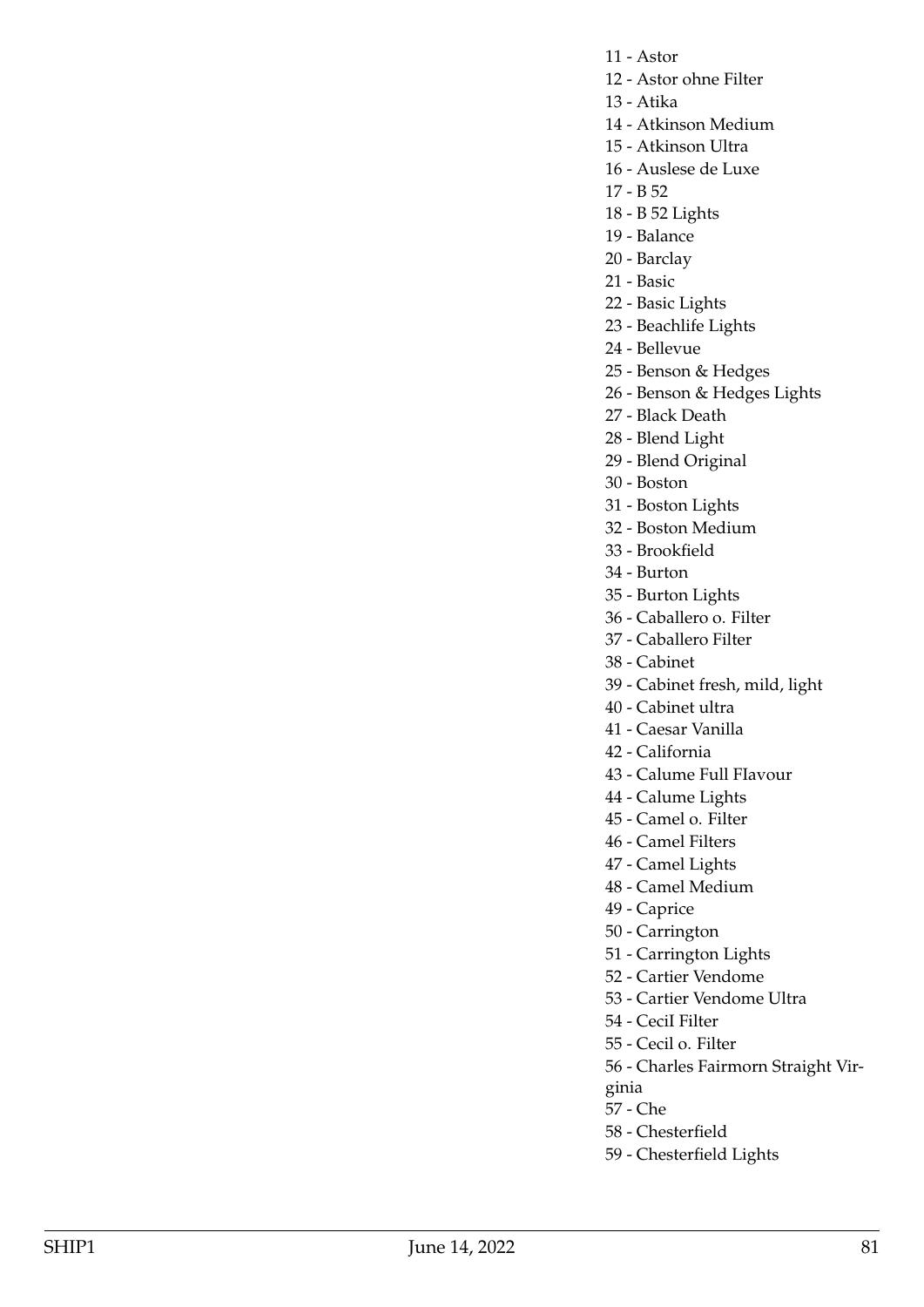- 11 Astor
- 12 Astor ohne Filter
- 13 Atika

14 - Atkinson Medium

- 15 Atkinson Ultra
- 16 Auslese de Luxe
- 17 B 52
- 18 B 52 Lights
- 19 Balance
- 20 Barclay
- 21 Basic
- 22 Basic Lights
- 23 Beachlife Lights
- 24 Bellevue
- 25 Benson & Hedges
- 26 Benson & Hedges Lights
- 27 Black Death
- 28 Blend Light
- 29 Blend Original
- 30 Boston
- 31 Boston Lights
- 32 Boston Medium
- 33 Brookfield
- 34 Burton
- 35 Burton Lights
- 36 Caballero o. Filter
- 37 Caballero Filter
- 38 Cabinet
- 39 Cabinet fresh, mild, light
- 40 Cabinet ultra
- 41 Caesar Vanilla
- 42 California
- 43 Calume Full FIavour
- 44 Calume Lights
- 45 Camel o. Filter
- 46 Camel Filters
- 47 Camel Lights
- 48 Camel Medium
- 49 Caprice
- 50 Carrington
- 51 Carrington Lights
- 52 Cartier Vendome
- 53 Cartier Vendome Ultra
- 54 CeciI Filter
- 55 Cecil o. Filter
- 56 Charles Fairmorn Straight Vir-
- ginia
- 57 Che
- 58 Chesterfield
- 59 Chesterfield Lights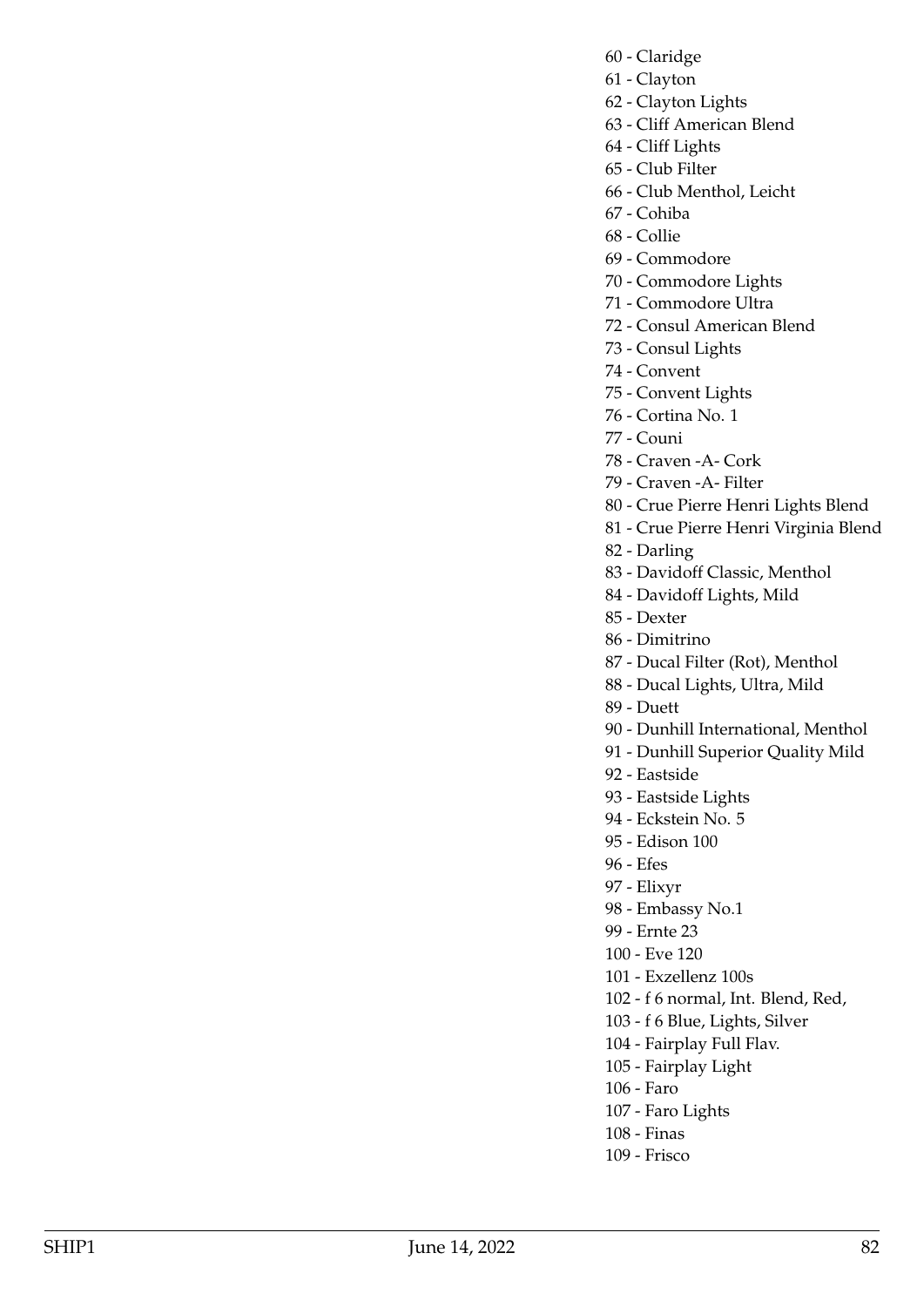- 60 Claridge
- 61 Clayton
- 62 Clayton Lights
- 63 Cliff American Blend
- 64 Cliff Lights
- 65 Club Filter
- 66 Club Menthol, Leicht
- 67 Cohiba
- 68 Collie
- 69 Commodore
- 70 Commodore Lights
- 71 Commodore Ultra
- 72 Consul American Blend
- 73 Consul Lights
- 74 Convent
- 75 Convent Lights
- 76 Cortina No. 1
- 77 Couni
- 78 Craven -A- Cork
- 79 Craven -A- Filter
- 80 Crue Pierre Henri Lights Blend
- 81 Crue Pierre Henri Virginia Blend
- 82 Darling
- 83 Davidoff Classic, Menthol
- 84 Davidoff Lights, Mild
- 85 Dexter
- 86 Dimitrino
- 87 Ducal Filter (Rot), Menthol
- 88 Ducal Lights, Ultra, Mild
- 89 Duett
- 90 Dunhill International, Menthol
- 91 Dunhill Superior Quality Mild
- 92 Eastside
- 93 Eastside Lights
- 94 Eckstein No. 5
- 95 Edison 100
- 96 Efes
- 97 Elixyr
- 98 Embassy No.1
- 99 Ernte 23
- 100 Eve 120
- 101 Exzellenz 100s
- 102 f 6 normal, Int. Blend, Red,
- 103 f 6 Blue, Lights, Silver
- 104 Fairplay Full Flav.
- 105 Fairplay Light
- 106 Faro
- 107 Faro Lights
- 108 Finas
- 109 Frisco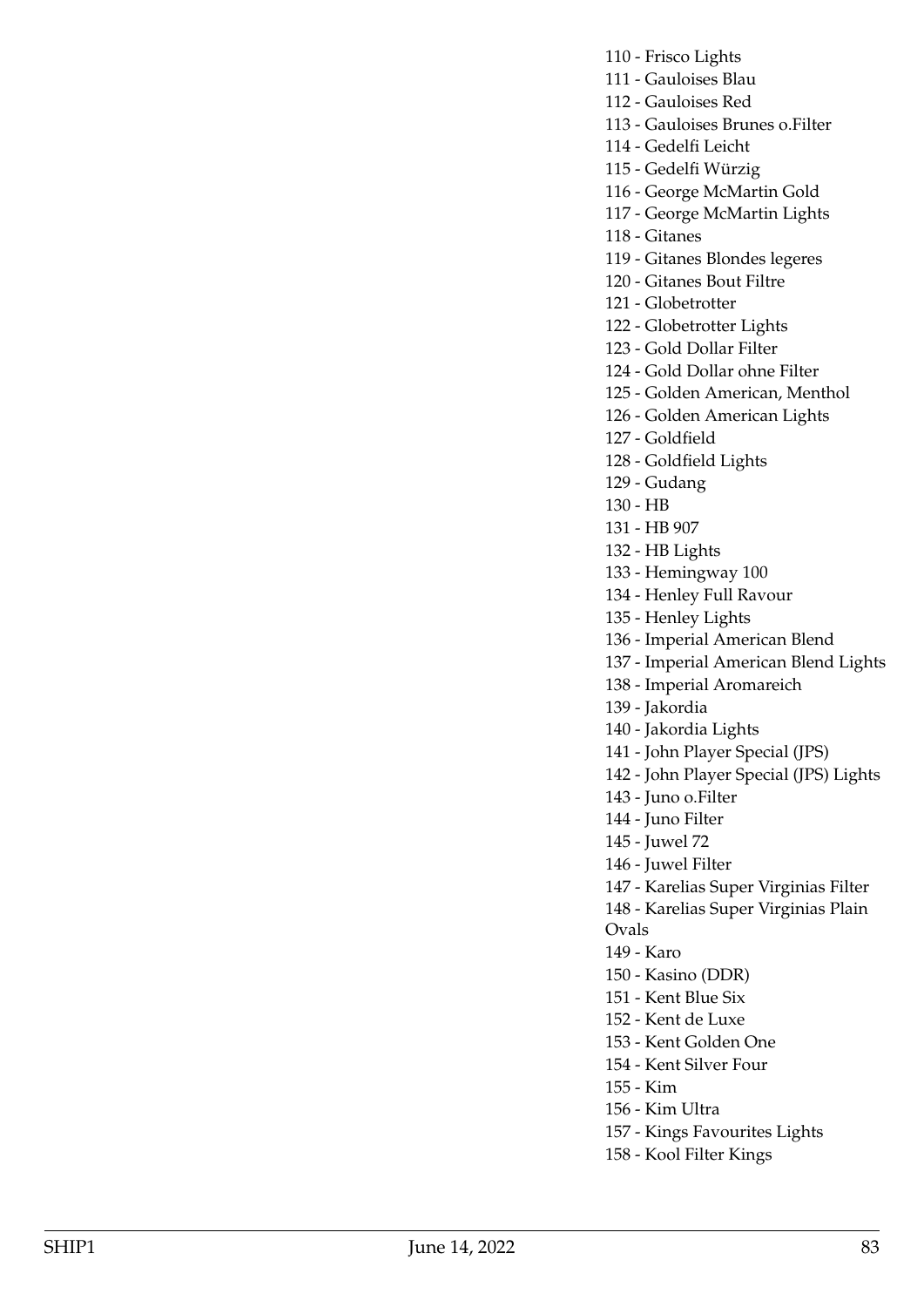- 110 Frisco Lights
- 111 Gauloises Blau
- 112 Gauloises Red
- 113 Gauloises Brunes o.Filter
- 114 Gedelfi Leicht
- 115 Gedelfi Würzig
- 116 George McMartin Gold
- 117 George McMartin Lights
- 118 Gitanes
- 119 Gitanes Blondes legeres
- 120 Gitanes Bout Filtre
- 121 Globetrotter
- 122 Globetrotter Lights
- 123 Gold Dollar Filter
- 124 Gold Dollar ohne Filter
- 125 Golden American, Menthol
- 126 Golden American Lights
- 127 Goldfield
- 128 Goldfield Lights
- 129 Gudang
- 130 HB
- 131 HB 907
- 132 HB Lights
- 133 Hemingway 100
- 134 Henley Full Ravour
- 135 Henley Lights
- 136 Imperial American Blend
- 137 Imperial American Blend Lights
- 138 Imperial Aromareich
- 139 Jakordia
- 140 Jakordia Lights
- 141 John Player Special (JPS)
- 142 John Player Special (JPS) Lights
- 143 Juno o.Filter
- 144 Juno Filter
- 145 Juwel 72
- 146 Juwel Filter
- 147 Karelias Super Virginias Filter
- 148 Karelias Super Virginias Plain
- Ovals
- 149 Karo
- 150 Kasino (DDR)
- 151 Kent Blue Six
- 152 Kent de Luxe
- 153 Kent Golden One
- 154 Kent Silver Four
- 155 Kim
- 156 Kim Ultra
- 157 Kings Favourites Lights
- 158 Kool Filter Kings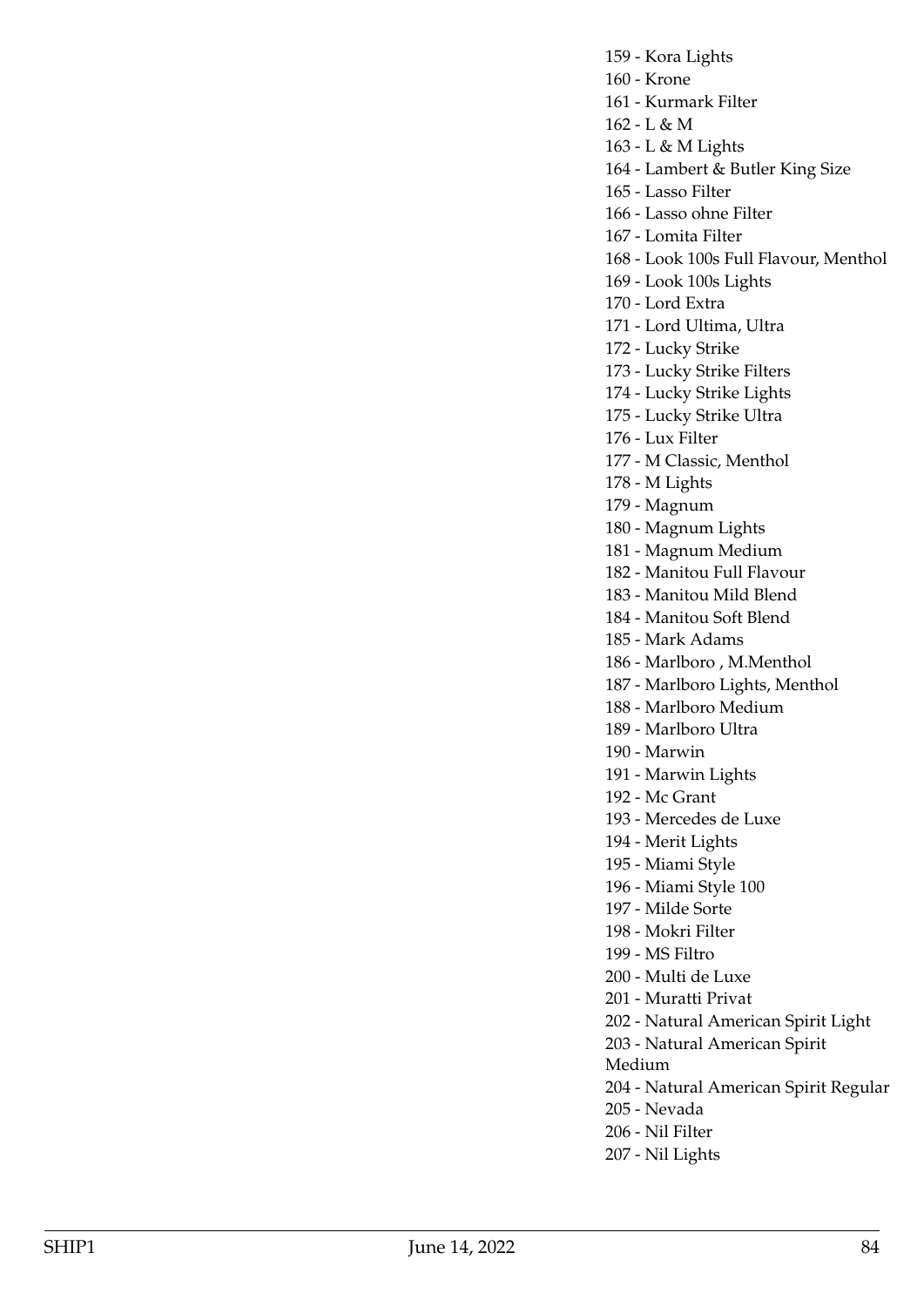159 - Kora Lights

160 - Krone

161 - Kurmark Filter

162 - L & M

163 - L & M Lights

164 - Lambert & Butler King Size

165 - Lasso Filter

166 - Lasso ohne Filter

167 - Lomita Filter

168 - Look 100s Full Flavour, Menthol

169 - Look 100s Lights

170 - Lord Extra

171 - Lord Ultima, Ultra

172 - Lucky Strike

173 - Lucky Strike Filters

174 - Lucky Strike Lights

175 - Lucky Strike Ultra

176 - Lux Filter

177 - M Classic, Menthol

178 - M Lights

179 - Magnum

180 - Magnum Lights

181 - Magnum Medium

182 - Manitou Full Flavour

183 - Manitou Mild Blend

184 - Manitou Soft Blend

185 - Mark Adams

186 - Marlboro , M.Menthol

187 - Marlboro Lights, Menthol

188 - Marlboro Medium

189 - Marlboro Ultra

190 - Marwin

191 - Marwin Lights

192 - Mc Grant

193 - Mercedes de Luxe

194 - Merit Lights

195 - Miami Style

196 - Miami Style 100

197 - Milde Sorte

198 - Mokri Filter

199 - MS Filtro

200 - Multi de Luxe

201 - Muratti Privat

202 - Natural American Spirit Light

203 - Natural American Spirit

Medium

204 - Natural American Spirit Regular

205 - Nevada

206 - Nil Filter

207 - Nil Lights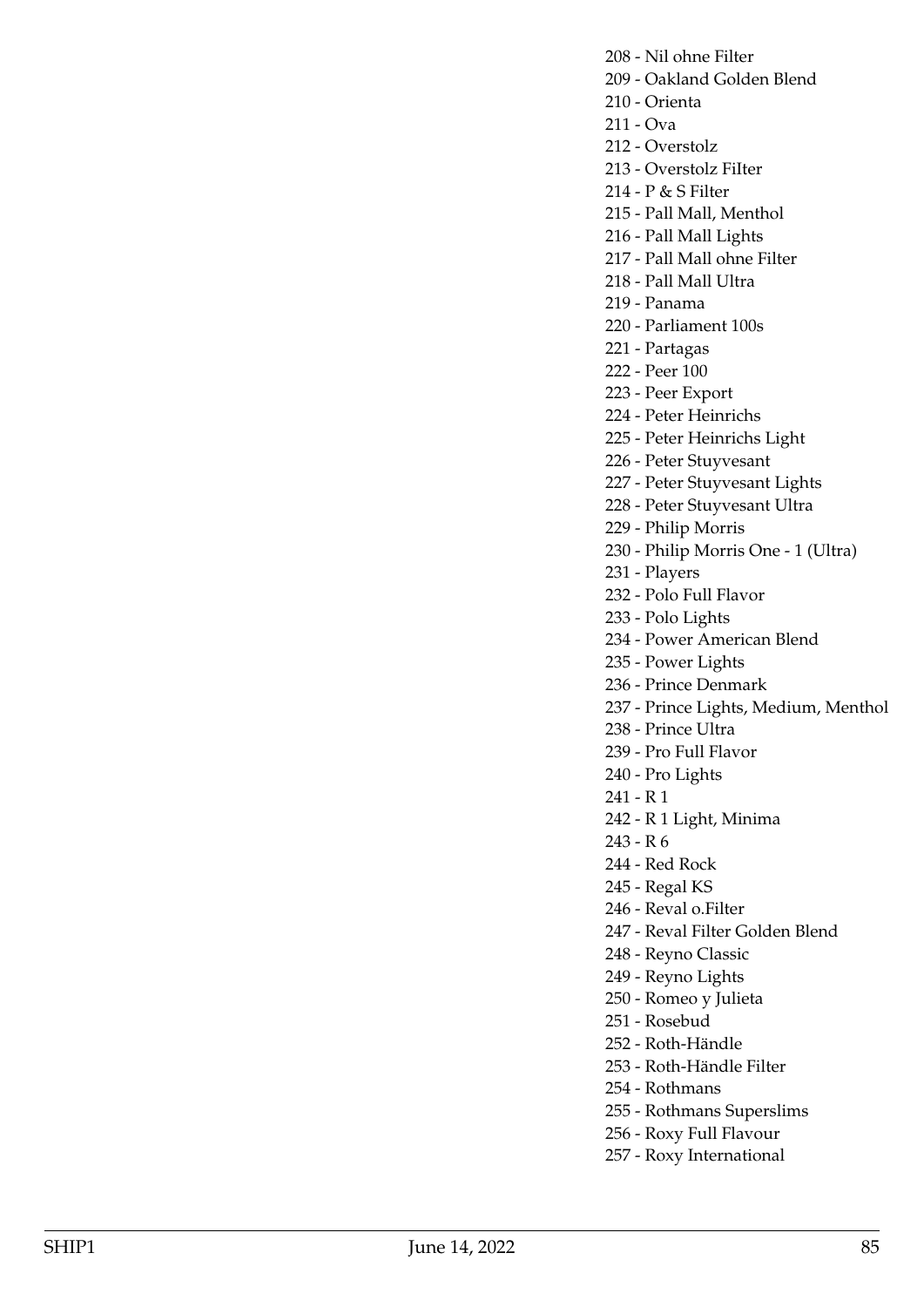208 - Nil ohne Filter

- 209 Oakland Golden Blend
- 210 Orienta
- 211 Ova

212 - Overstolz

- 213 Overstolz FiIter
- 214 P & S Filter
- 215 Pall Mall, Menthol
- 216 Pall Mall Lights
- 217 Pall Mall ohne Filter
- 218 Pall Mall Ultra
- 219 Panama
- 220 Parliament 100s
- 221 Partagas
- 222 Peer 100
- 223 Peer Export
- 224 Peter Heinrichs
- 225 Peter Heinrichs Light
- 226 Peter Stuyvesant
- 227 Peter Stuyvesant Lights
- 228 Peter Stuyvesant Ultra
- 229 Philip Morris
- 230 Philip Morris One 1 (Ultra)
- 231 Players
- 232 Polo Full Flavor
- 233 Polo Lights
- 234 Power American Blend
- 235 Power Lights
- 236 Prince Denmark
- 237 Prince Lights, Medium, Menthol
- 238 Prince Ultra
- 239 Pro Full Flavor
- 240 Pro Lights
- 241 R 1
- 242 R 1 Light, Minima
- 243 R 6
- 244 Red Rock
- 245 Regal KS
- 246 Reval o.Filter
- 247 Reval Filter Golden Blend
- 248 Reyno Classic
- 249 Reyno Lights
- 250 Romeo y Julieta
- 251 Rosebud
- 252 Roth-Händle
- 253 Roth-Händle Filter
- 254 Rothmans
- 255 Rothmans Superslims
- 256 Roxy Full Flavour
- 257 Roxy International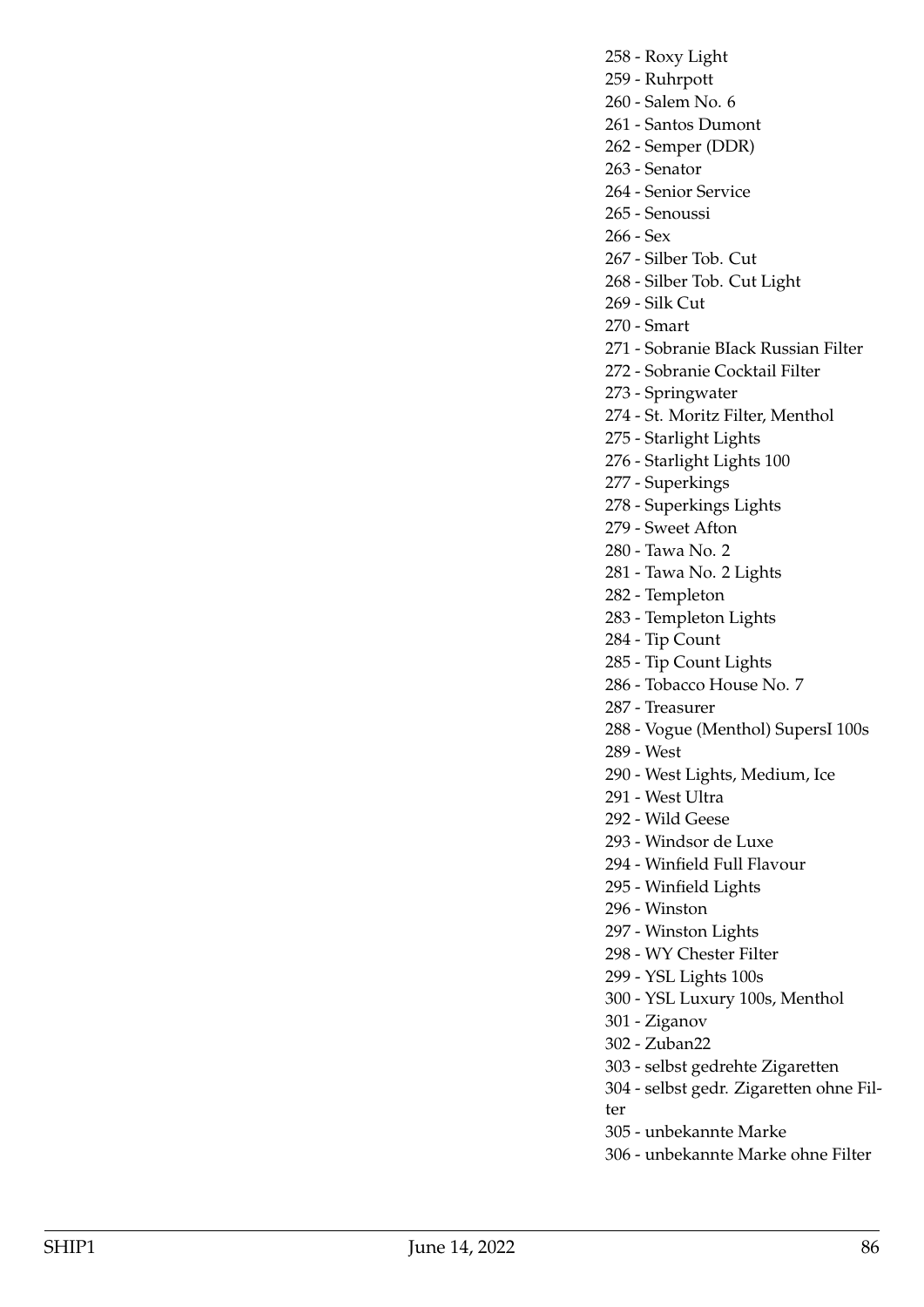- 258 Roxy Light
- 259 Ruhrpott
- 260 Salem No. 6
- 261 Santos Dumont
- 262 Semper (DDR)
- 263 Senator
- 264 Senior Service
- 265 Senoussi
- 266 Sex
- 267 Silber Tob. Cut
- 268 Silber Tob. Cut Light
- 269 Silk Cut
- 270 Smart
- 271 Sobranie BIack Russian Filter
- 272 Sobranie Cocktail Filter
- 273 Springwater
- 274 St. Moritz Filter, Menthol
- 275 Starlight Lights
- 276 Starlight Lights 100
- 277 Superkings
- 278 Superkings Lights
- 279 Sweet Afton
- 280 Tawa No. 2
- 281 Tawa No. 2 Lights
- 282 Templeton
- 283 Templeton Lights
- 284 Tip Count
- 285 Tip Count Lights
- 286 Tobacco House No. 7
- 287 Treasurer
- 288 Vogue (Menthol) SupersI 100s
- 289 West
- 290 West Lights, Medium, Ice
- 291 West Ultra
- 292 Wild Geese
- 293 Windsor de Luxe
- 294 Winfield Full Flavour
- 295 Winfield Lights
- 296 Winston
- 297 Winston Lights
- 298 WY Chester Filter
- 299 YSL Lights 100s
- 300 YSL Luxury 100s, Menthol
- 301 Ziganov
- 302 Zuban22
- 303 selbst gedrehte Zigaretten
- 304 selbst gedr. Zigaretten ohne Filter
- 305 unbekannte Marke
- 306 unbekannte Marke ohne Filter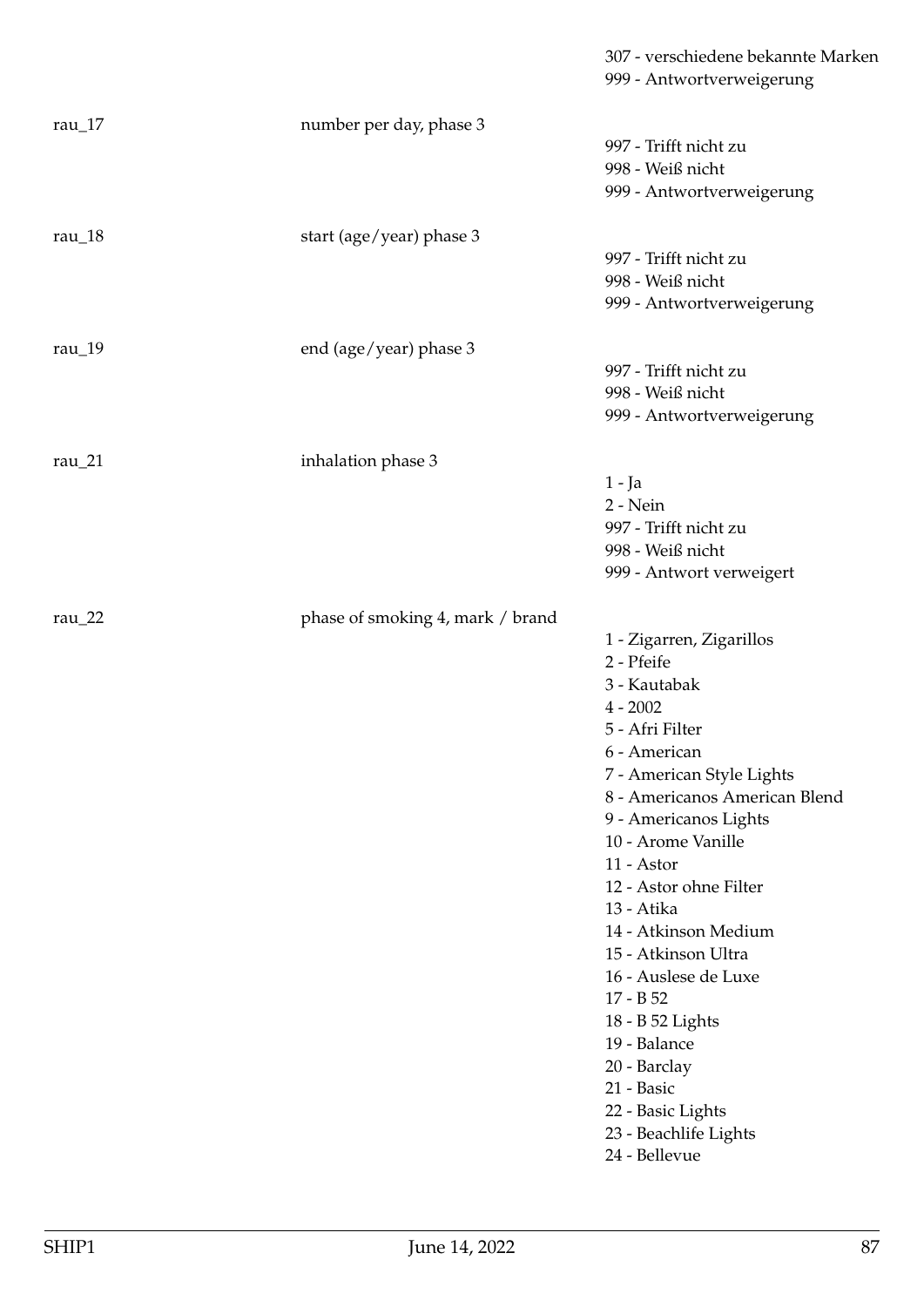|             |                                  | 307 - verschiedene bekannte Marken<br>999 - Antwortverweigerung                                                                                                                                                                                                                                                                                                                                                                                                                                 |
|-------------|----------------------------------|-------------------------------------------------------------------------------------------------------------------------------------------------------------------------------------------------------------------------------------------------------------------------------------------------------------------------------------------------------------------------------------------------------------------------------------------------------------------------------------------------|
| rau $17$    | number per day, phase 3          | 997 - Trifft nicht zu<br>998 - Weiß nicht<br>999 - Antwortverweigerung                                                                                                                                                                                                                                                                                                                                                                                                                          |
| rau $_18$   | start (age/year) phase 3         | 997 - Trifft nicht zu<br>998 - Weiß nicht<br>999 - Antwortverweigerung                                                                                                                                                                                                                                                                                                                                                                                                                          |
| rau $_19$   | end (age/year) phase 3           | 997 - Trifft nicht zu<br>998 - Weiß nicht<br>999 - Antwortverweigerung                                                                                                                                                                                                                                                                                                                                                                                                                          |
| rau $_2$ 1  | inhalation phase 3               | $1 - Ja$<br>$2 - Nein$<br>997 - Trifft nicht zu<br>998 - Weiß nicht<br>999 - Antwort verweigert                                                                                                                                                                                                                                                                                                                                                                                                 |
| rau $_2$ 22 | phase of smoking 4, mark / brand | 1 - Zigarren, Zigarillos<br>2 - Pfeife<br>3 - Kautabak<br>$4 - 2002$<br>5 - Afri Filter<br>6 - American<br>7 - American Style Lights<br>8 - Americanos American Blend<br>9 - Americanos Lights<br>10 - Arome Vanille<br>11 - Astor<br>12 - Astor ohne Filter<br>13 - Atika<br>14 - Atkinson Medium<br>15 - Atkinson Ultra<br>16 - Auslese de Luxe<br>17 - B 52<br>18 - B 52 Lights<br>19 - Balance<br>20 - Barclay<br>21 - Basic<br>22 - Basic Lights<br>23 - Beachlife Lights<br>24 - Bellevue |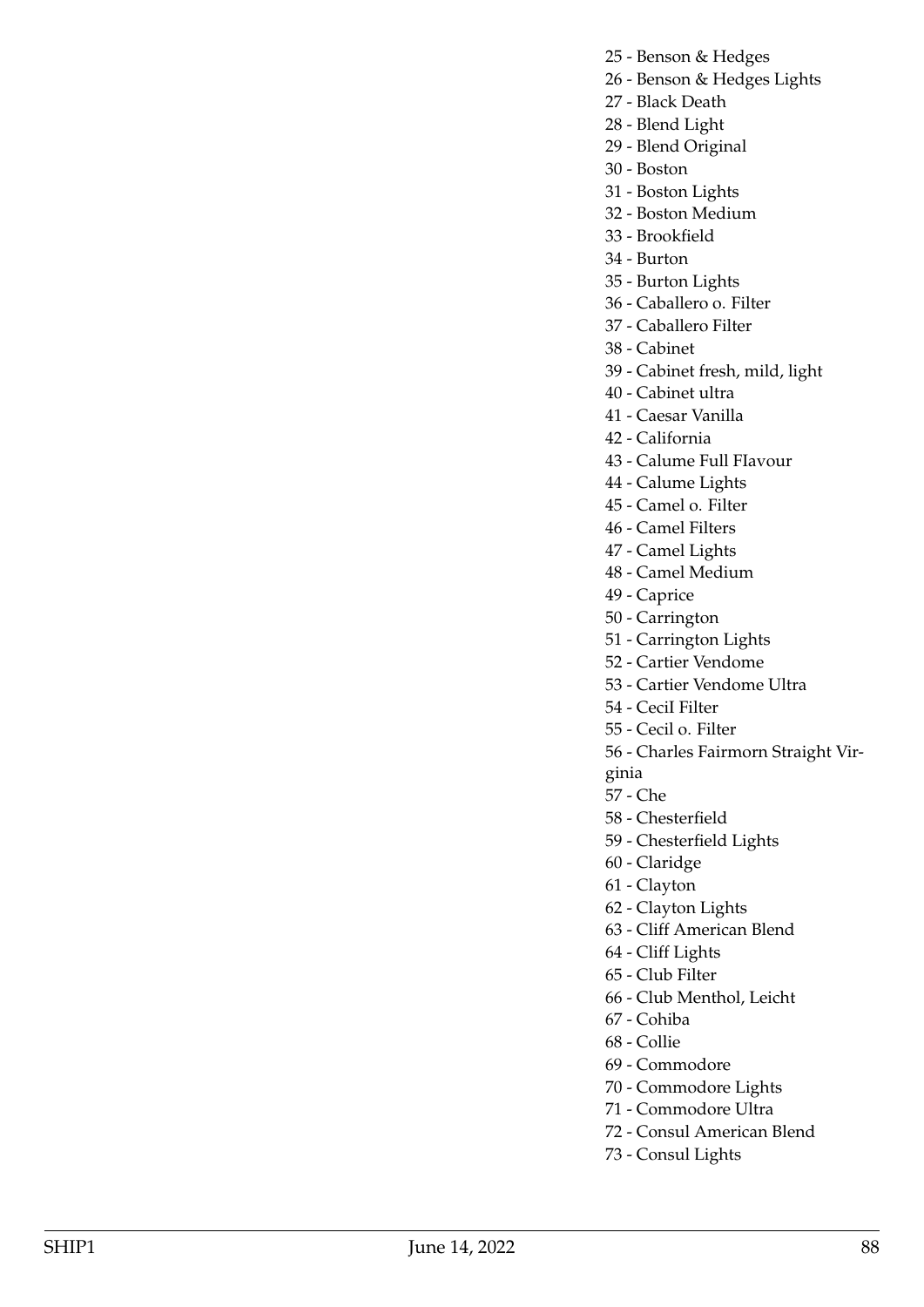- 25 Benson & Hedges
- 26 Benson & Hedges Lights
- 27 Black Death
- 28 Blend Light
- 29 Blend Original
- 30 Boston
- 31 Boston Lights
- 32 Boston Medium
- 33 Brookfield
- 34 Burton
- 35 Burton Lights
- 36 Caballero o. Filter
- 37 Caballero Filter
- 38 Cabinet
- 39 Cabinet fresh, mild, light
- 40 Cabinet ultra
- 41 Caesar Vanilla
- 42 California
- 43 Calume Full FIavour
- 44 Calume Lights
- 45 Camel o. Filter
- 46 Camel Filters
- 47 Camel Lights
- 48 Camel Medium
- 49 Caprice
- 50 Carrington
- 51 Carrington Lights
- 52 Cartier Vendome
- 53 Cartier Vendome Ultra
- 54 CeciI Filter
- 55 Cecil o. Filter
- 56 Charles Fairmorn Straight Vir-
- ginia
- 57 Che
- 58 Chesterfield
- 59 Chesterfield Lights
- 60 Claridge
- 61 Clayton
- 62 Clayton Lights
- 63 Cliff American Blend
- 64 Cliff Lights
- 65 Club Filter
- 66 Club Menthol, Leicht
- 67 Cohiba
- 68 Collie
- 69 Commodore
- 70 Commodore Lights
- 71 Commodore Ultra
- 72 Consul American Blend
- 73 Consul Lights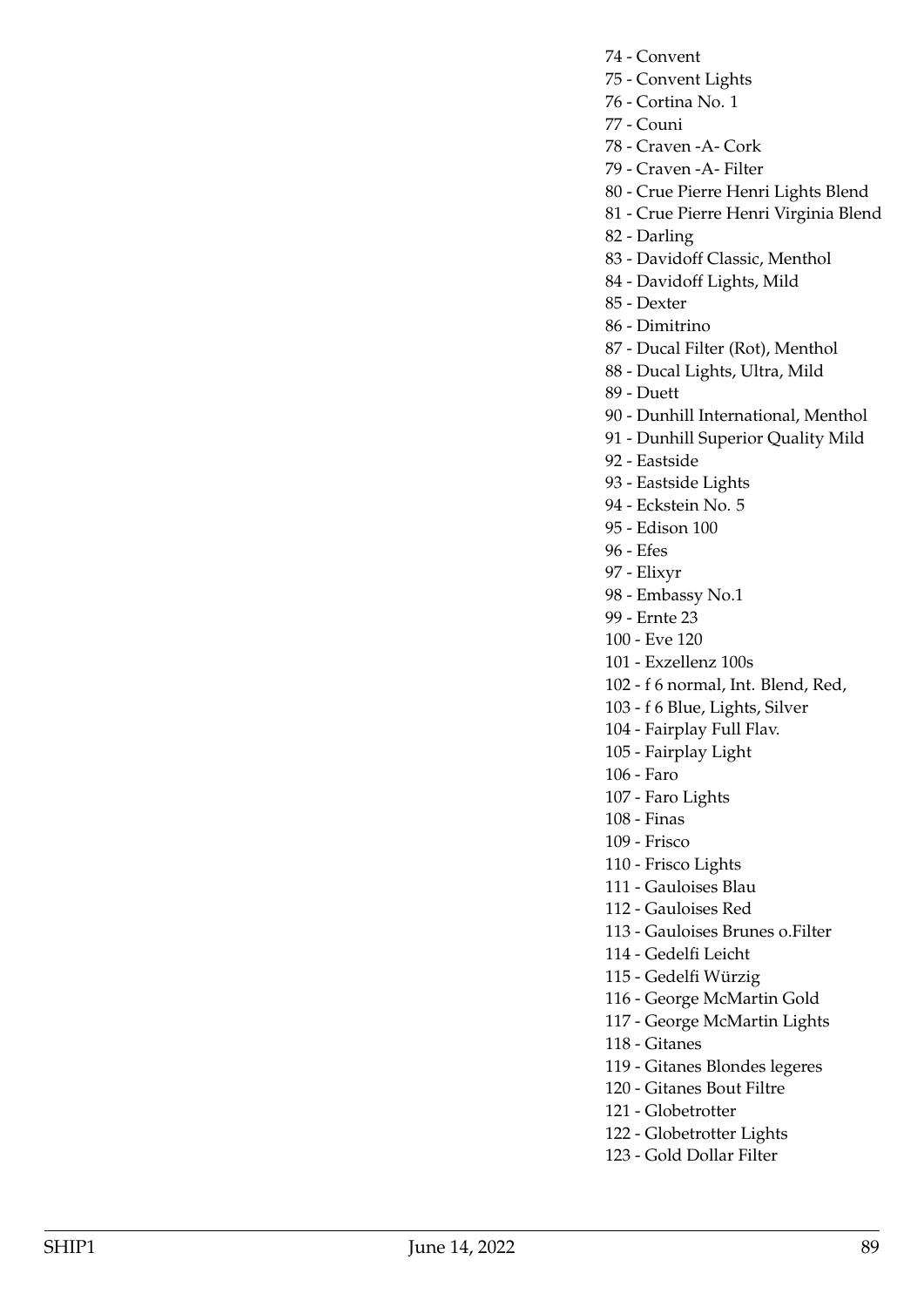- 74 Convent
- 75 Convent Lights
- 76 Cortina No. 1
- 77 Couni
- 78 Craven -A- Cork
- 79 Craven -A- Filter
- 80 Crue Pierre Henri Lights Blend
- 81 Crue Pierre Henri Virginia Blend
- 82 Darling
- 83 Davidoff Classic, Menthol
- 84 Davidoff Lights, Mild
- 85 Dexter
- 86 Dimitrino
- 87 Ducal Filter (Rot), Menthol
- 88 Ducal Lights, Ultra, Mild
- 89 Duett
- 90 Dunhill International, Menthol
- 91 Dunhill Superior Quality Mild
- 92 Eastside
- 93 Eastside Lights
- 94 Eckstein No. 5
- 95 Edison 100
- 96 Efes
- 97 Elixyr
- 98 Embassy No.1
- 99 Ernte 23
- 100 Eve 120
- 101 Exzellenz 100s
- 102 f 6 normal, Int. Blend, Red,
- 103 f 6 Blue, Lights, Silver
- 104 Fairplay Full Flav.
- 105 Fairplay Light
- 106 Faro
- 107 Faro Lights
- 108 Finas
- 109 Frisco
- 110 Frisco Lights
- 111 Gauloises Blau
- 112 Gauloises Red
- 113 Gauloises Brunes o.Filter
- 114 Gedelfi Leicht
- 115 Gedelfi Würzig
- 116 George McMartin Gold
- 117 George McMartin Lights
- 118 Gitanes
- 119 Gitanes Blondes legeres
- 120 Gitanes Bout Filtre
- 121 Globetrotter
- 122 Globetrotter Lights
- 123 Gold Dollar Filter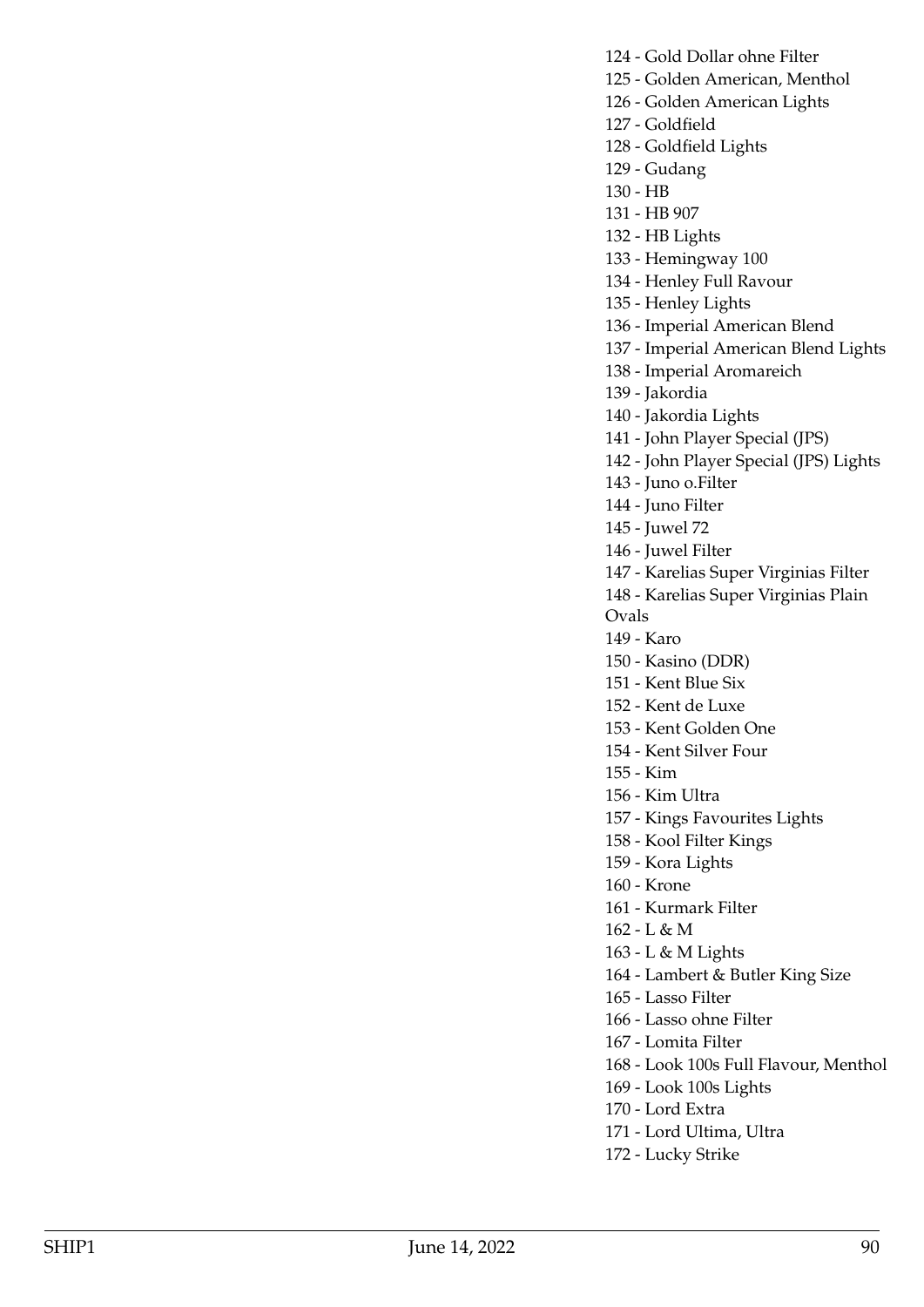124 - Gold Dollar ohne Filter 125 - Golden American, Menthol 126 - Golden American Lights 127 - Goldfield 128 - Goldfield Lights 129 - Gudang 130 - HB 131 - HB 907 132 - HB Lights 133 - Hemingway 100 134 - Henley Full Ravour 135 - Henley Lights 136 - Imperial American Blend 137 - Imperial American Blend Lights 138 - Imperial Aromareich 139 - Jakordia 140 - Jakordia Lights 141 - John Player Special (JPS) 142 - John Player Special (JPS) Lights 143 - Juno o.Filter 144 - Juno Filter 145 - Juwel 72 146 - Juwel Filter 147 - Karelias Super Virginias Filter 148 - Karelias Super Virginias Plain Ovals 149 - Karo 150 - Kasino (DDR) 151 - Kent Blue Six 152 - Kent de Luxe 153 - Kent Golden One 154 - Kent Silver Four 155 - Kim 156 - Kim Ultra 157 - Kings Favourites Lights 158 - Kool Filter Kings 159 - Kora Lights 160 - Krone 161 - Kurmark Filter 162 - L & M 163 - L & M Lights 164 - Lambert & Butler King Size 165 - Lasso Filter 166 - Lasso ohne Filter 167 - Lomita Filter 168 - Look 100s Full Flavour, Menthol 169 - Look 100s Lights 170 - Lord Extra 171 - Lord Ultima, Ultra 172 - Lucky Strike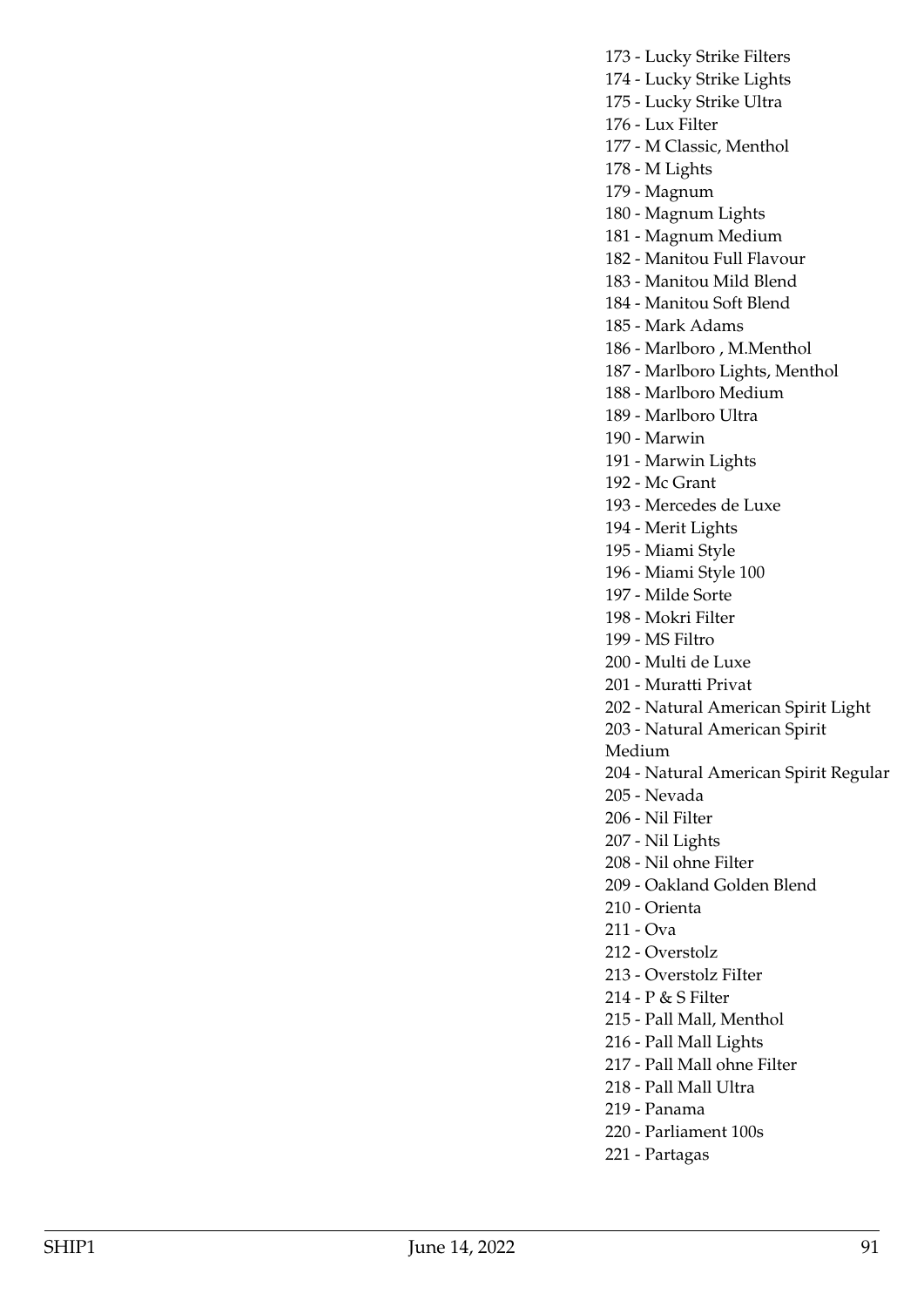173 - Lucky Strike Filters

174 - Lucky Strike Lights

175 - Lucky Strike Ultra

176 - Lux Filter

177 - M Classic, Menthol

178 - M Lights

179 - Magnum

180 - Magnum Lights

181 - Magnum Medium

182 - Manitou Full Flavour

183 - Manitou Mild Blend

184 - Manitou Soft Blend

185 - Mark Adams

186 - Marlboro , M.Menthol

187 - Marlboro Lights, Menthol

188 - Marlboro Medium

189 - Marlboro Ultra

190 - Marwin

191 - Marwin Lights

192 - Mc Grant

193 - Mercedes de Luxe

194 - Merit Lights

195 - Miami Style

196 - Miami Style 100

197 - Milde Sorte

198 - Mokri Filter

199 - MS Filtro

200 - Multi de Luxe

201 - Muratti Privat

202 - Natural American Spirit Light

203 - Natural American Spirit

Medium

204 - Natural American Spirit Regular

205 - Nevada

206 - Nil Filter

207 - Nil Lights

208 - Nil ohne Filter

209 - Oakland Golden Blend

210 - Orienta

211 - Ova

212 - Overstolz

213 - Overstolz FiIter

214 - P & S Filter

215 - Pall Mall, Menthol

216 - Pall Mall Lights

217 - Pall Mall ohne Filter

218 - Pall Mall Ultra

219 - Panama

220 - Parliament 100s

221 - Partagas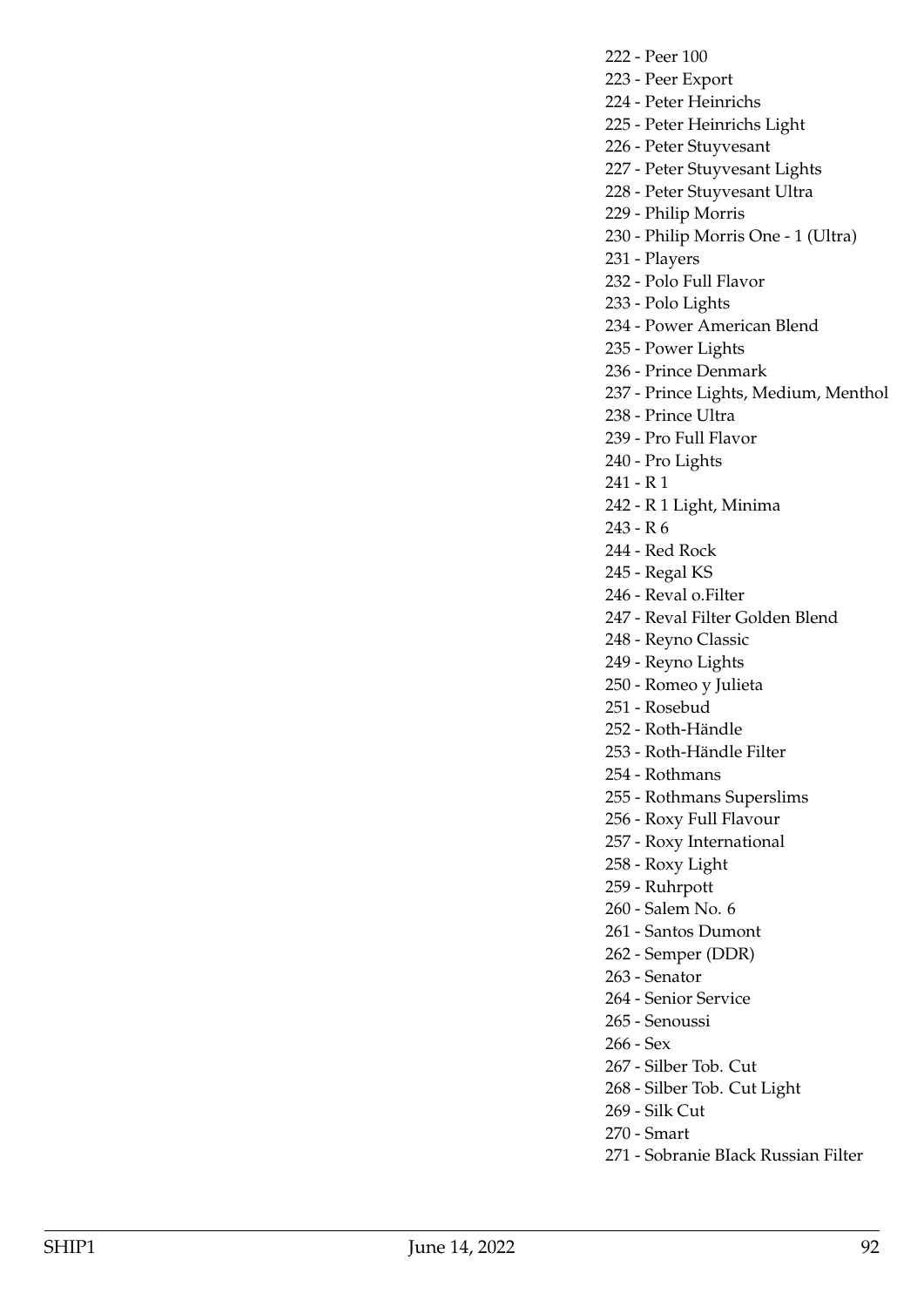222 - Peer 100

- 223 Peer Export
- 224 Peter Heinrichs
- 225 Peter Heinrichs Light
- 226 Peter Stuyvesant
- 227 Peter Stuyvesant Lights
- 228 Peter Stuyvesant Ultra
- 229 Philip Morris
- 230 Philip Morris One 1 (Ultra)
- 231 Players
- 232 Polo Full Flavor
- 233 Polo Lights
- 234 Power American Blend
- 235 Power Lights
- 236 Prince Denmark
- 237 Prince Lights, Medium, Menthol
- 238 Prince Ultra
- 239 Pro Full Flavor
- 240 Pro Lights
- 241 R 1
- 242 R 1 Light, Minima
- 243 R 6
- 244 Red Rock
- 245 Regal KS
- 246 Reval o.Filter
- 247 Reval Filter Golden Blend
- 248 Reyno Classic
- 249 Reyno Lights
- 250 Romeo y Julieta
- 251 Rosebud
- 252 Roth-Händle
- 253 Roth-Händle Filter
- 254 Rothmans
- 255 Rothmans Superslims
- 256 Roxy Full Flavour
- 257 Roxy International
- 258 Roxy Light
- 259 Ruhrpott
- 260 Salem No. 6
- 261 Santos Dumont
- 262 Semper (DDR)
- 263 Senator
- 264 Senior Service
- 265 Senoussi
- 266 Sex
- 267 Silber Tob. Cut
- 268 Silber Tob. Cut Light
- 269 Silk Cut
- 270 Smart
- 271 Sobranie BIack Russian Filter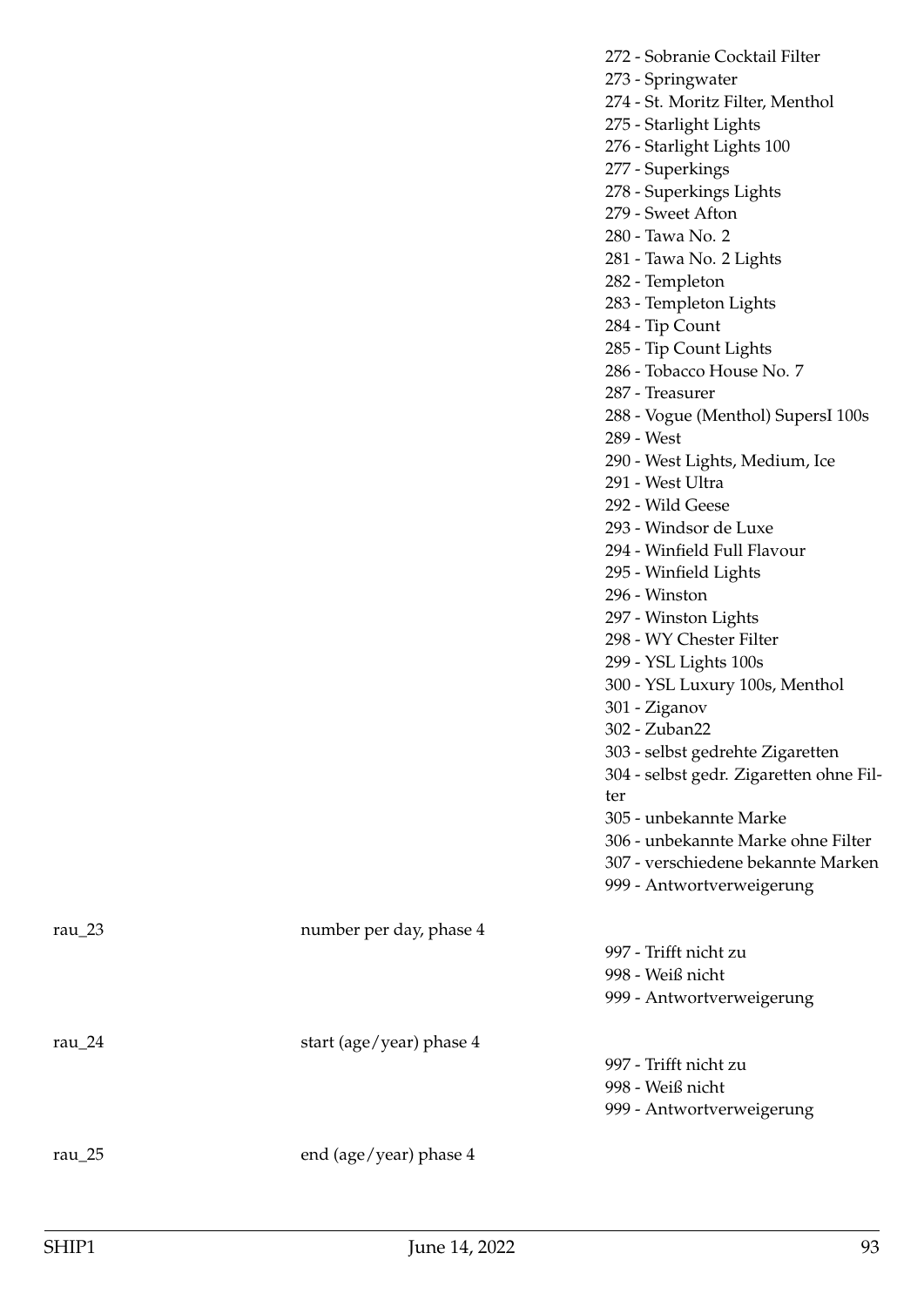- 273 Springwater
- 274 St. Moritz Filter, Menthol
- 275 Starlight Lights
- 276 Starlight Lights 100
- 277 Superkings
- 278 Superkings Lights
- 279 Sweet Afton
- 280 Tawa No. 2
- 281 Tawa No. 2 Lights
- 282 Templeton
- 283 Templeton Lights
- 284 Tip Count
- 285 Tip Count Lights
- 286 Tobacco House No. 7
- 287 Treasurer
- 288 Vogue (Menthol) SupersI 100s
- 289 West
- 290 West Lights, Medium, Ice
- 291 West Ultra
- 292 Wild Geese
- 293 Windsor de Luxe
- 294 Winfield Full Flavour
- 295 Winfield Lights
- 296 Winston
- 297 Winston Lights
- 298 WY Chester Filter
- 299 YSL Lights 100s
- 300 YSL Luxury 100s, Menthol
- 301 Ziganov
- 302 Zuban22
- 303 selbst gedrehte Zigaretten
- 304 selbst gedr. Zigaretten ohne Filter
- 305 unbekannte Marke
- 306 unbekannte Marke ohne Filter
- 307 verschiedene bekannte Marken
- 999 Antwortverweigerung

| rau $23$   | number per day, phase 4  |                           |
|------------|--------------------------|---------------------------|
|            |                          | 997 - Trifft nicht zu     |
|            |                          | 998 - Weiß nicht          |
|            |                          | 999 - Antwortverweigerung |
| rau $_2$ 4 | start (age/year) phase 4 |                           |
|            |                          | 997 - Trifft nicht zu     |
|            |                          | 998 - Weiß nicht          |
|            |                          | 999 - Antwortverweigerung |
|            |                          |                           |

rau\_25 end (age/year) phase 4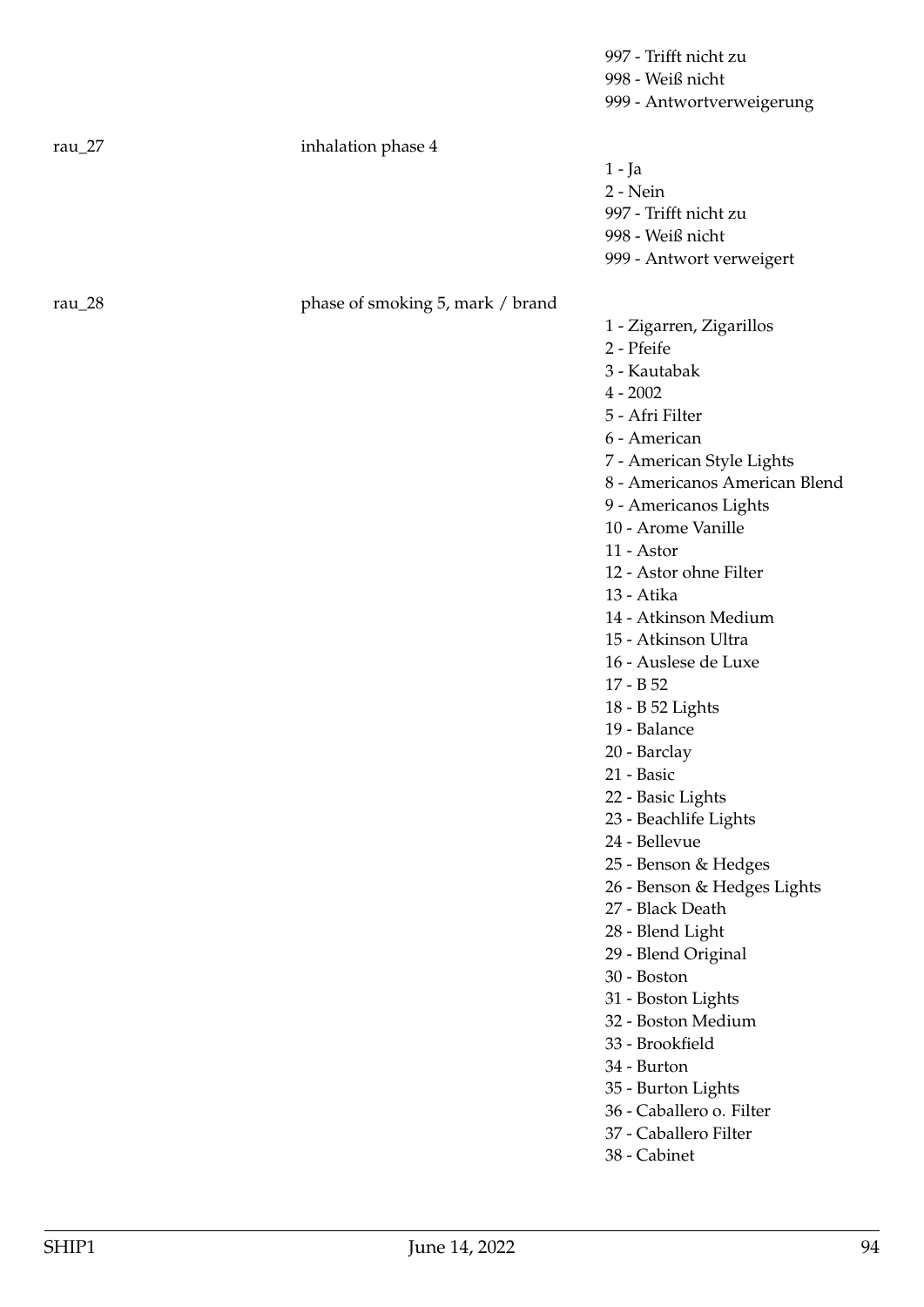|          |                    | 997 - Trifft nicht zu     |
|----------|--------------------|---------------------------|
|          |                    | 998 - Weiß nicht          |
|          |                    | 999 - Antwortverweigerung |
| rau $27$ | inhalation phase 4 |                           |
|          |                    | $1 - Ja$                  |
|          |                    | $2 - Nein$                |
|          |                    | 997 - Trifft nicht zu     |
|          |                    | 998 - Weiß nicht          |
|          |                    | 999 - Antwort verweigert  |
|          |                    |                           |
|          |                    |                           |

rau\_28 phase of smoking 5, mark / brand

1 - Zigarren, Zigarillos

2 - Pfeife

3 - Kautabak

 $4 - 2002$ 

5 - Afri Filter

6 - American

7 - American Style Lights

- 8 Americanos American Blend
- 9 Americanos Lights

10 - Arome Vanille

- 11 Astor
- 12 Astor ohne Filter
- 13 Atika

14 - Atkinson Medium

- 15 Atkinson Ultra
- 16 Auslese de Luxe
- 17 B 52
- 18 B 52 Lights
- 19 Balance
- 20 Barclay
- 21 Basic
- 22 Basic Lights
- 23 Beachlife Lights
- 24 Bellevue
- 25 Benson & Hedges

26 - Benson & Hedges Lights

- 27 Black Death
- 28 Blend Light
- 29 Blend Original
- 30 Boston
- 31 Boston Lights
- 32 Boston Medium
- 33 Brookfield
- 34 Burton
- 35 Burton Lights
- 36 Caballero o. Filter
- 37 Caballero Filter
- 38 Cabinet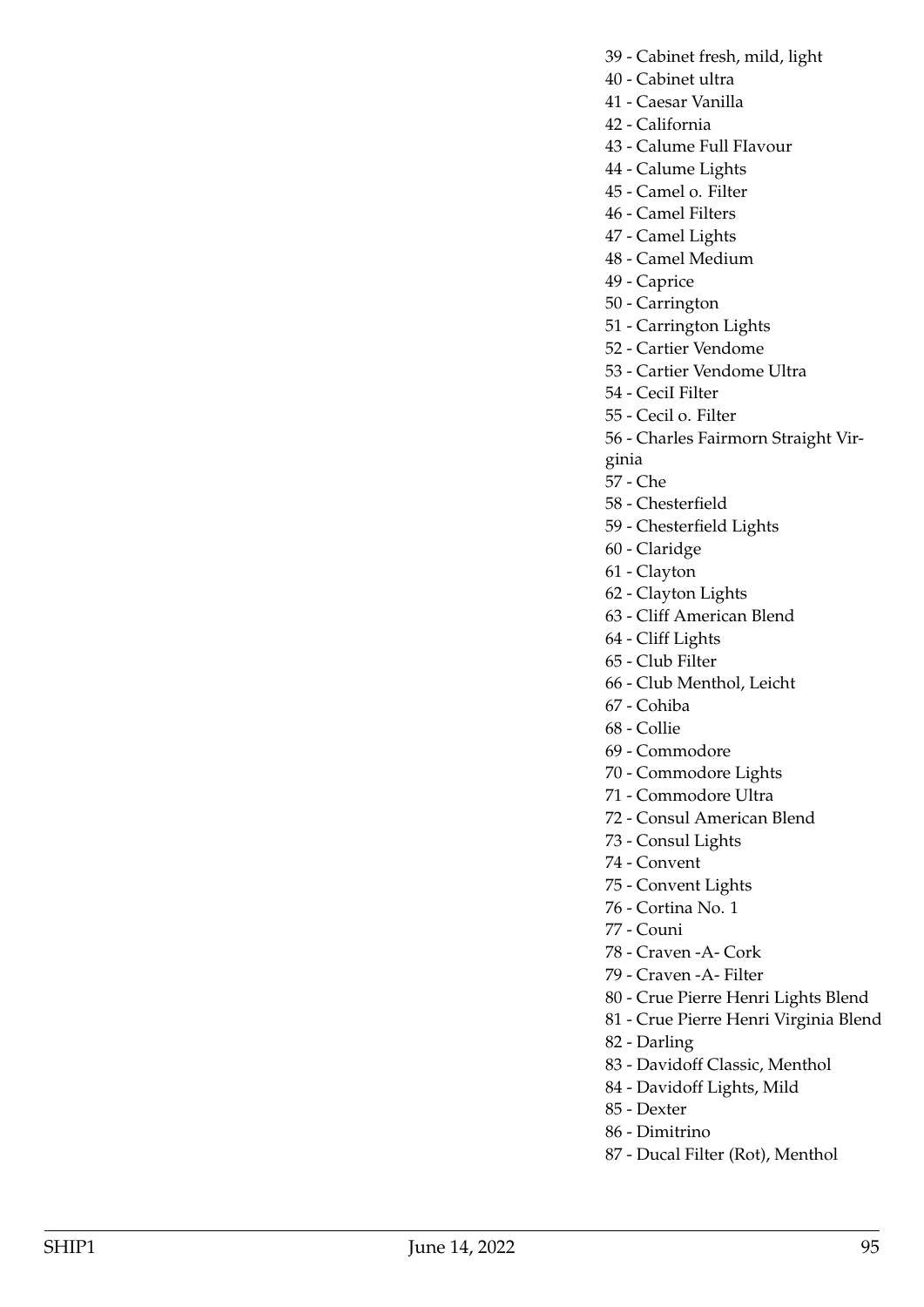- 39 Cabinet fresh, mild, light
- 40 Cabinet ultra
- 41 Caesar Vanilla
- 42 California

43 - Calume Full FIavour

- 44 Calume Lights
- 45 Camel o. Filter
- 46 Camel Filters
- 47 Camel Lights
- 48 Camel Medium
- 49 Caprice
- 50 Carrington
- 51 Carrington Lights
- 52 Cartier Vendome
- 53 Cartier Vendome Ultra
- 54 CeciI Filter
- 55 Cecil o. Filter
- 56 Charles Fairmorn Straight Vir-
- ginia
- 57 Che
- 58 Chesterfield
- 59 Chesterfield Lights
- 60 Claridge
- 61 Clayton
- 62 Clayton Lights
- 63 Cliff American Blend
- 64 Cliff Lights
- 65 Club Filter
- 66 Club Menthol, Leicht
- 67 Cohiba
- 68 Collie
- 69 Commodore
- 70 Commodore Lights
- 71 Commodore Ultra
- 72 Consul American Blend
- 73 Consul Lights
- 74 Convent
- 75 Convent Lights
- 76 Cortina No. 1
- 77 Couni
- 78 Craven -A- Cork
- 79 Craven -A- Filter
- 80 Crue Pierre Henri Lights Blend
- 81 Crue Pierre Henri Virginia Blend
- 82 Darling
- 83 Davidoff Classic, Menthol
- 84 Davidoff Lights, Mild
- 85 Dexter
- 86 Dimitrino
- 87 Ducal Filter (Rot), Menthol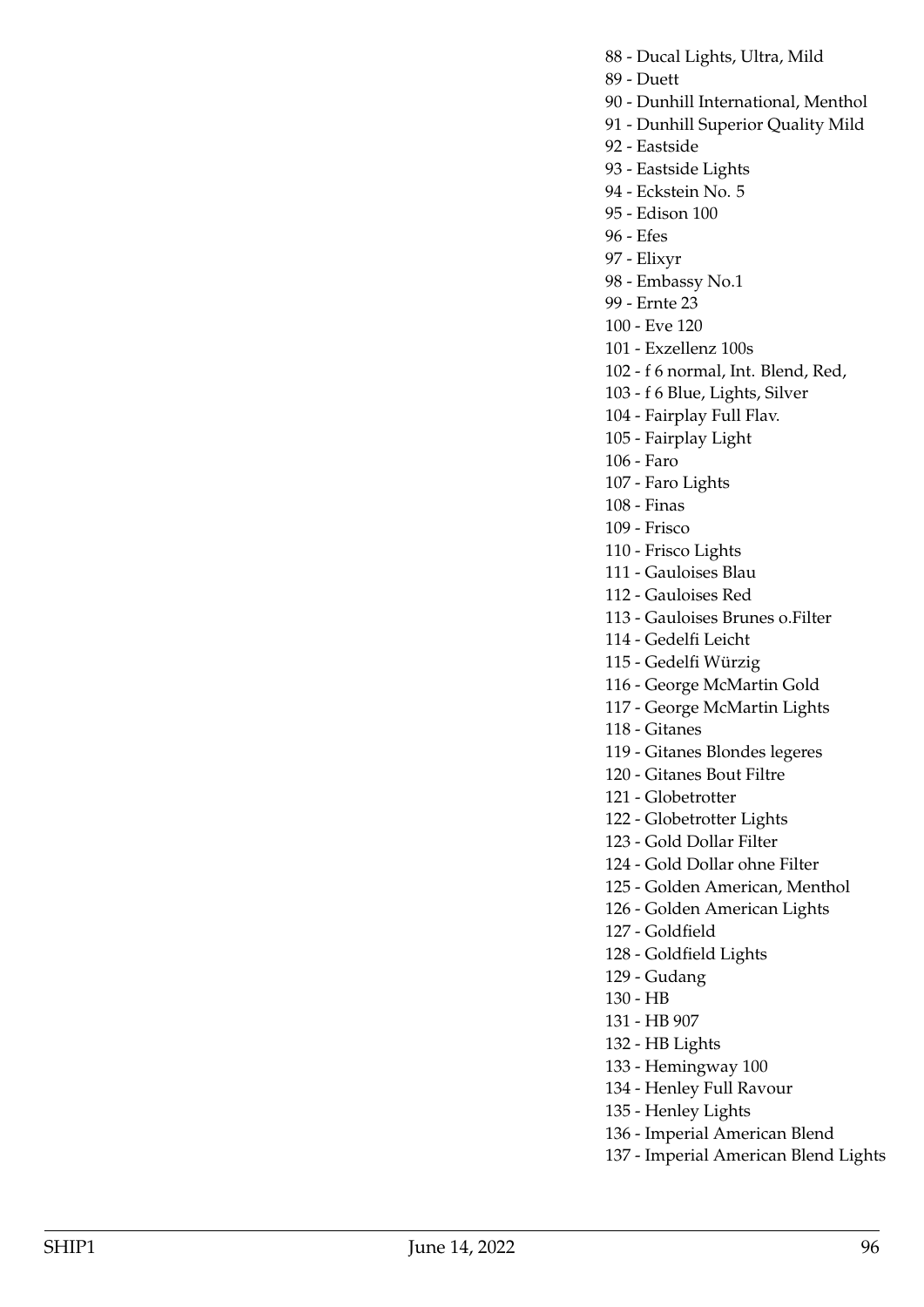- 88 Ducal Lights, Ultra, Mild
- 89 Duett
- 90 Dunhill International, Menthol
- 91 Dunhill Superior Quality Mild
- 92 Eastside
- 93 Eastside Lights
- 94 Eckstein No. 5
- 95 Edison 100
- 96 Efes
- 97 Elixyr
- 98 Embassy No.1
- 99 Ernte 23
- 100 Eve 120
- 101 Exzellenz 100s
- 102 f 6 normal, Int. Blend, Red,
- 103 f 6 Blue, Lights, Silver
- 104 Fairplay Full Flav.
- 105 Fairplay Light
- 106 Faro
- 107 Faro Lights
- 108 Finas
- 109 Frisco
- 110 Frisco Lights
- 111 Gauloises Blau
- 112 Gauloises Red
- 113 Gauloises Brunes o.Filter
- 114 Gedelfi Leicht
- 115 Gedelfi Würzig
- 116 George McMartin Gold
- 117 George McMartin Lights
- 118 Gitanes
- 119 Gitanes Blondes legeres
- 120 Gitanes Bout Filtre
- 121 Globetrotter
- 122 Globetrotter Lights
- 123 Gold Dollar Filter
- 124 Gold Dollar ohne Filter
- 125 Golden American, Menthol
- 126 Golden American Lights
- 127 Goldfield
- 128 Goldfield Lights
- 129 Gudang
- 130 HB
- 131 HB 907
- 132 HB Lights
- 133 Hemingway 100
- 134 Henley Full Ravour
- 135 Henley Lights
- 136 Imperial American Blend
- 137 Imperial American Blend Lights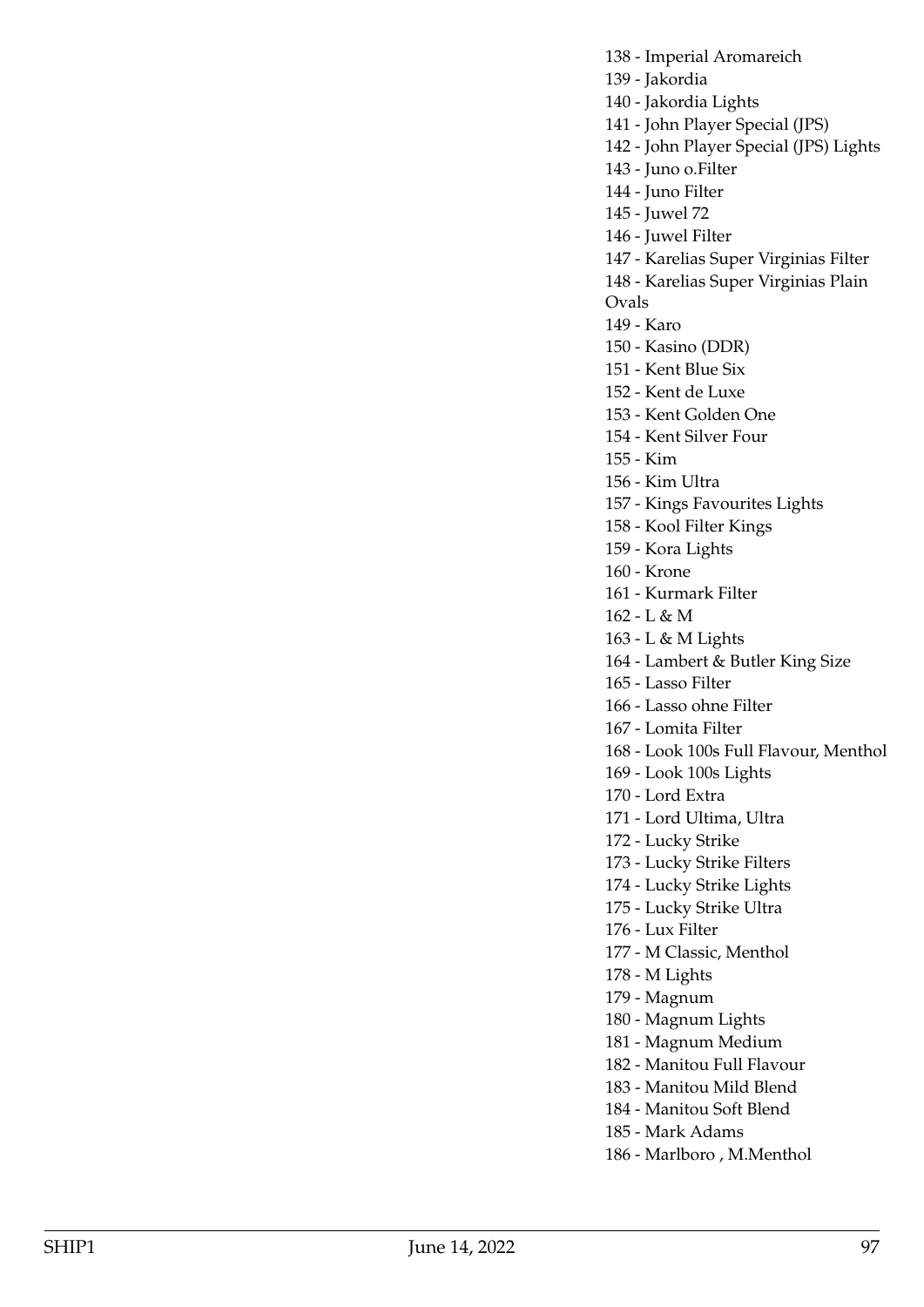138 - Imperial Aromareich 139 - Jakordia 140 - Jakordia Lights 141 - John Player Special (JPS) 142 - John Player Special (JPS) Lights 143 - Juno o.Filter 144 - Juno Filter 145 - Juwel 72 146 - Juwel Filter 147 - Karelias Super Virginias Filter 148 - Karelias Super Virginias Plain Ovals 149 - Karo 150 - Kasino (DDR) 151 - Kent Blue Six 152 - Kent de Luxe 153 - Kent Golden One 154 - Kent Silver Four 155 - Kim 156 - Kim Ultra 157 - Kings Favourites Lights 158 - Kool Filter Kings 159 - Kora Lights 160 - Krone 161 - Kurmark Filter 162 - L & M 163 - L & M Lights 164 - Lambert & Butler King Size 165 - Lasso Filter 166 - Lasso ohne Filter 167 - Lomita Filter 168 - Look 100s Full Flavour, Menthol 169 - Look 100s Lights 170 - Lord Extra 171 - Lord Ultima, Ultra 172 - Lucky Strike 173 - Lucky Strike Filters 174 - Lucky Strike Lights 175 - Lucky Strike Ultra 176 - Lux Filter 177 - M Classic, Menthol 178 - M Lights 179 - Magnum 180 - Magnum Lights 181 - Magnum Medium 182 - Manitou Full Flavour 183 - Manitou Mild Blend 184 - Manitou Soft Blend 185 - Mark Adams

186 - Marlboro , M.Menthol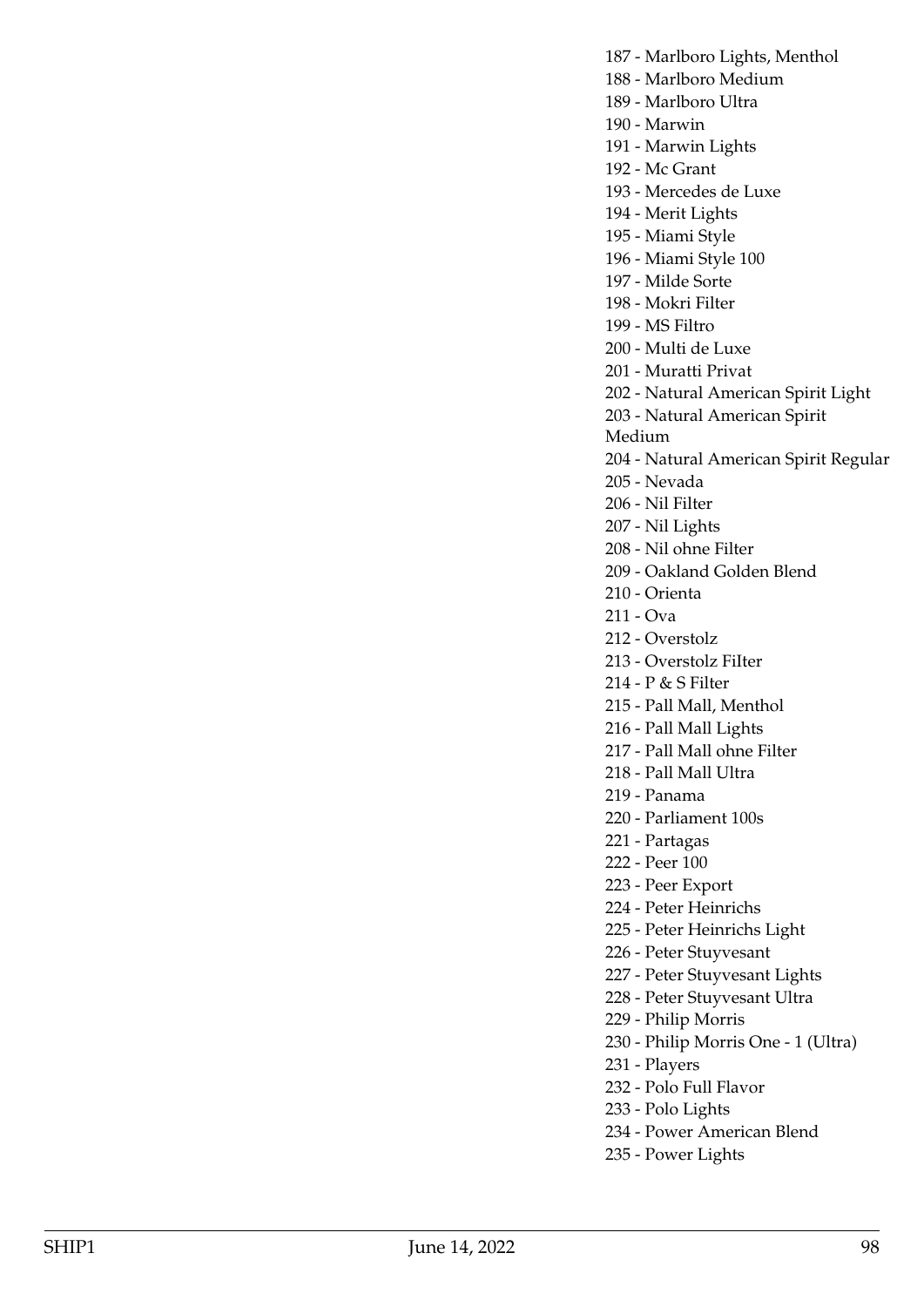187 - Marlboro Lights, Menthol

188 - Marlboro Medium

189 - Marlboro Ultra

190 - Marwin

191 - Marwin Lights

192 - Mc Grant

193 - Mercedes de Luxe

194 - Merit Lights

195 - Miami Style

196 - Miami Style 100

197 - Milde Sorte

198 - Mokri Filter

199 - MS Filtro

200 - Multi de Luxe

201 - Muratti Privat

202 - Natural American Spirit Light

203 - Natural American Spirit

Medium

204 - Natural American Spirit Regular

205 - Nevada

206 - Nil Filter

207 - Nil Lights

208 - Nil ohne Filter

209 - Oakland Golden Blend

210 - Orienta

211 - Ova

212 - Overstolz

213 - Overstolz FiIter

214 - P & S Filter

215 - Pall Mall, Menthol

216 - Pall Mall Lights

217 - Pall Mall ohne Filter

218 - Pall Mall Ultra

219 - Panama

220 - Parliament 100s

221 - Partagas

222 - Peer 100

223 - Peer Export

224 - Peter Heinrichs

225 - Peter Heinrichs Light

226 - Peter Stuyvesant

227 - Peter Stuyvesant Lights

228 - Peter Stuyvesant Ultra

229 - Philip Morris

230 - Philip Morris One - 1 (Ultra)

231 - Players

232 - Polo Full Flavor

233 - Polo Lights

234 - Power American Blend

235 - Power Lights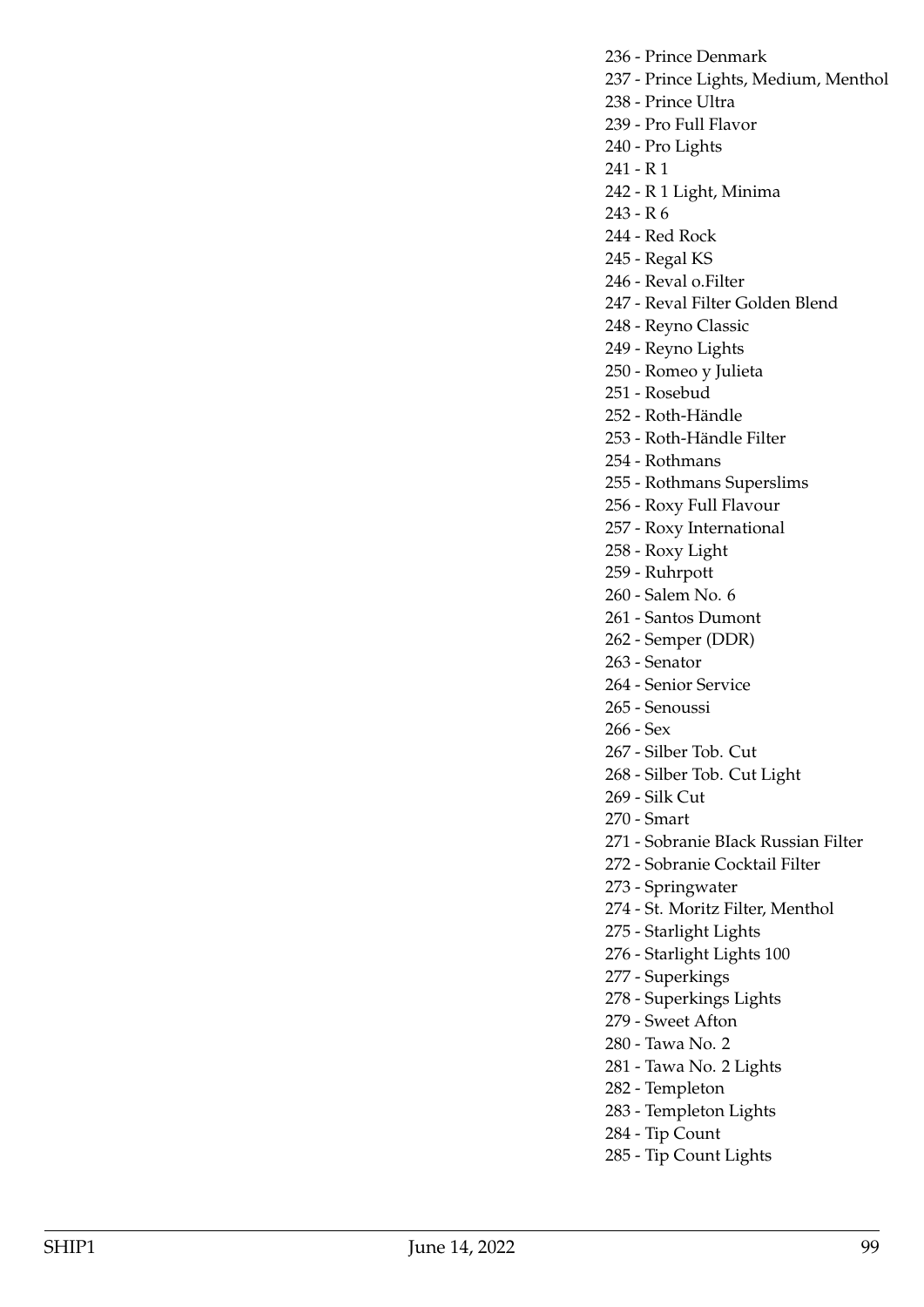236 - Prince Denmark

- 237 Prince Lights, Medium, Menthol
- 238 Prince Ultra
- 239 Pro Full Flavor
- 240 Pro Lights
- 241 R 1
- 242 R 1 Light, Minima
- 243 R 6
- 244 Red Rock
- 245 Regal KS
- 246 Reval o.Filter
- 247 Reval Filter Golden Blend
- 248 Reyno Classic
- 249 Reyno Lights
- 250 Romeo y Julieta
- 251 Rosebud
- 252 Roth-Händle
- 253 Roth-Händle Filter
- 254 Rothmans
- 255 Rothmans Superslims
- 256 Roxy Full Flavour
- 257 Roxy International
- 258 Roxy Light
- 259 Ruhrpott
- 260 Salem No. 6
- 261 Santos Dumont
- 262 Semper (DDR)
- 263 Senator
- 264 Senior Service
- 265 Senoussi
- 266 Sex
- 267 Silber Tob. Cut
- 268 Silber Tob. Cut Light
- 269 Silk Cut
- 270 Smart
- 271 Sobranie BIack Russian Filter
- 272 Sobranie Cocktail Filter
- 273 Springwater
- 274 St. Moritz Filter, Menthol
- 275 Starlight Lights
- 276 Starlight Lights 100
- 277 Superkings
- 278 Superkings Lights
- 279 Sweet Afton
- 280 Tawa No. 2
- 281 Tawa No. 2 Lights
- 282 Templeton
- 283 Templeton Lights
- 284 Tip Count
- 285 Tip Count Lights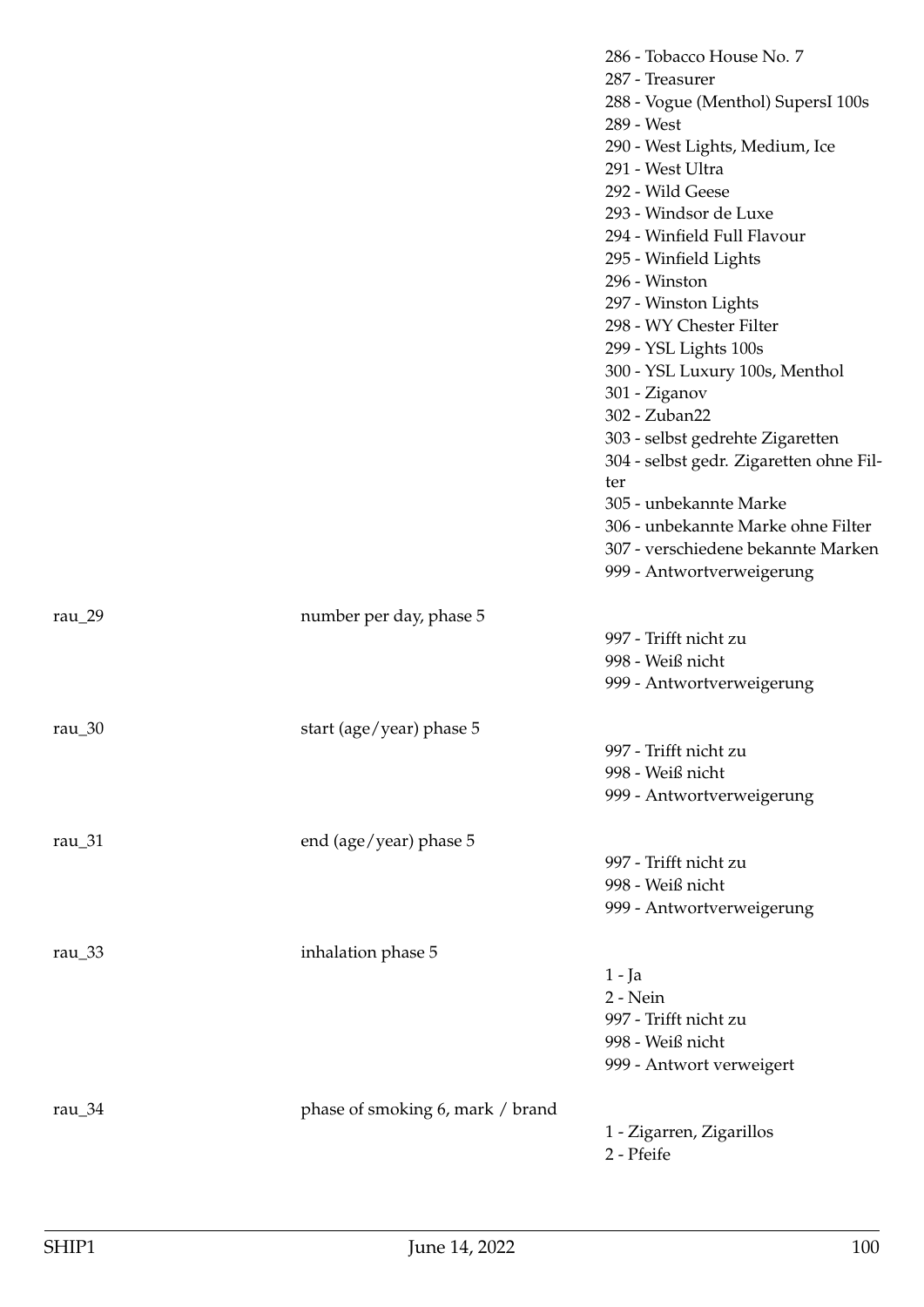|                    |                                  | 286 - Tobacco House No. 7                        |
|--------------------|----------------------------------|--------------------------------------------------|
|                    |                                  | 287 - Treasurer                                  |
|                    |                                  | 288 - Vogue (Menthol) SupersI 100s<br>289 - West |
|                    |                                  | 290 - West Lights, Medium, Ice                   |
|                    |                                  | 291 - West Ultra                                 |
|                    |                                  | 292 - Wild Geese                                 |
|                    |                                  | 293 - Windsor de Luxe                            |
|                    |                                  | 294 - Winfield Full Flavour                      |
|                    |                                  | 295 - Winfield Lights                            |
|                    |                                  | 296 - Winston                                    |
|                    |                                  | 297 - Winston Lights                             |
|                    |                                  | 298 - WY Chester Filter                          |
|                    |                                  | 299 - YSL Lights 100s                            |
|                    |                                  | 300 - YSL Luxury 100s, Menthol                   |
|                    |                                  | 301 - Ziganov                                    |
|                    |                                  | 302 - Zuban22                                    |
|                    |                                  | 303 - selbst gedrehte Zigaretten                 |
|                    |                                  | 304 - selbst gedr. Zigaretten ohne Fil-          |
|                    |                                  | ter                                              |
|                    |                                  | 305 - unbekannte Marke                           |
|                    |                                  | 306 - unbekannte Marke ohne Filter               |
|                    |                                  | 307 - verschiedene bekannte Marken               |
|                    |                                  | 999 - Antwortverweigerung                        |
|                    |                                  |                                                  |
| rau $_2$ 9         | number per day, phase 5          | 997 - Trifft nicht zu                            |
|                    |                                  | 998 - Weiß nicht                                 |
|                    |                                  | 999 - Antwortverweigerung                        |
|                    |                                  |                                                  |
| rau $\frac{30}{ }$ | start (age/year) phase 5         |                                                  |
|                    |                                  | 997 - Trifft nicht zu                            |
|                    |                                  | 998 - Weiß nicht                                 |
|                    |                                  | 999 - Antwortverweigerung                        |
|                    |                                  |                                                  |
| rau_31             | end (age/year) phase 5           |                                                  |
|                    |                                  | 997 - Trifft nicht zu                            |
|                    |                                  | 998 - Weiß nicht                                 |
|                    |                                  | 999 - Antwortverweigerung                        |
|                    |                                  |                                                  |
| rau $_3$ 33        | inhalation phase 5               |                                                  |
|                    |                                  | $1 - Ja$<br>2 - Nein                             |
|                    |                                  | 997 - Trifft nicht zu                            |
|                    |                                  | 998 - Weiß nicht                                 |
|                    |                                  | 999 - Antwort verweigert                         |
|                    |                                  |                                                  |
| rau $_34$          | phase of smoking 6, mark / brand |                                                  |
|                    |                                  | 1 - Zigarren, Zigarillos                         |
|                    |                                  | 2 - Pfeife                                       |
|                    |                                  |                                                  |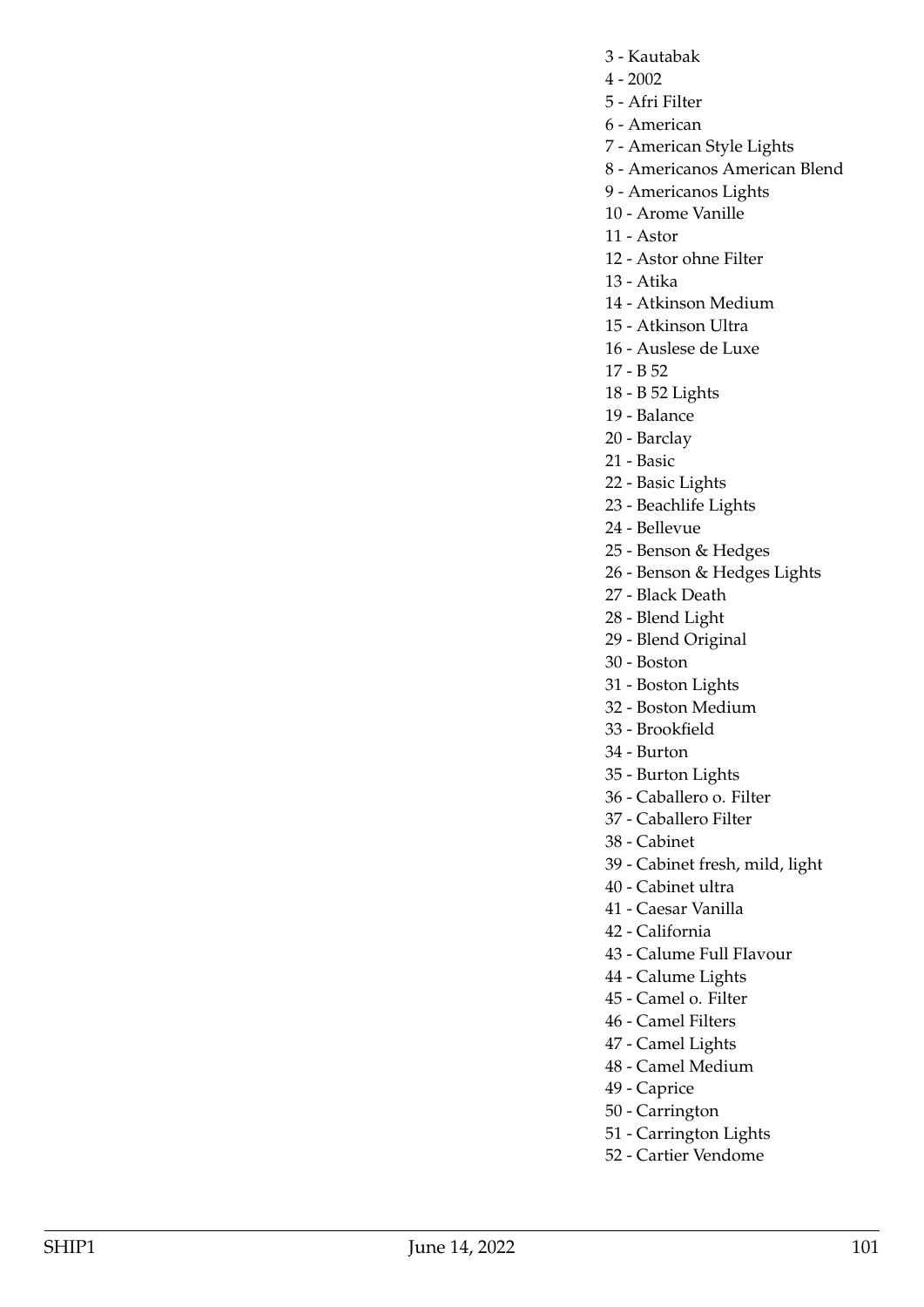- 3 Kautabak
- $4 2002$
- 5 Afri Filter
- 6 American
- 7 American Style Lights
- 8 Americanos American Blend
- 9 Americanos Lights
- 10 Arome Vanille
- 11 Astor
- 12 Astor ohne Filter
- 13 Atika
- 14 Atkinson Medium
- 15 Atkinson Ultra
- 16 Auslese de Luxe
- 17 B 52
- 18 B 52 Lights
- 19 Balance
- 20 Barclay
- 21 Basic
- 22 Basic Lights
- 23 Beachlife Lights
- 24 Bellevue
- 25 Benson & Hedges
- 26 Benson & Hedges Lights
- 27 Black Death
- 28 Blend Light
- 29 Blend Original
- 30 Boston
- 31 Boston Lights
- 32 Boston Medium
- 33 Brookfield
- 34 Burton
- 35 Burton Lights
- 36 Caballero o. Filter
- 37 Caballero Filter
- 38 Cabinet
- 39 Cabinet fresh, mild, light
- 40 Cabinet ultra
- 41 Caesar Vanilla
- 42 California
- 43 Calume Full FIavour
- 44 Calume Lights
- 45 Camel o. Filter
- 46 Camel Filters
- 47 Camel Lights
- 48 Camel Medium
- 49 Caprice
- 50 Carrington
- 51 Carrington Lights
- 52 Cartier Vendome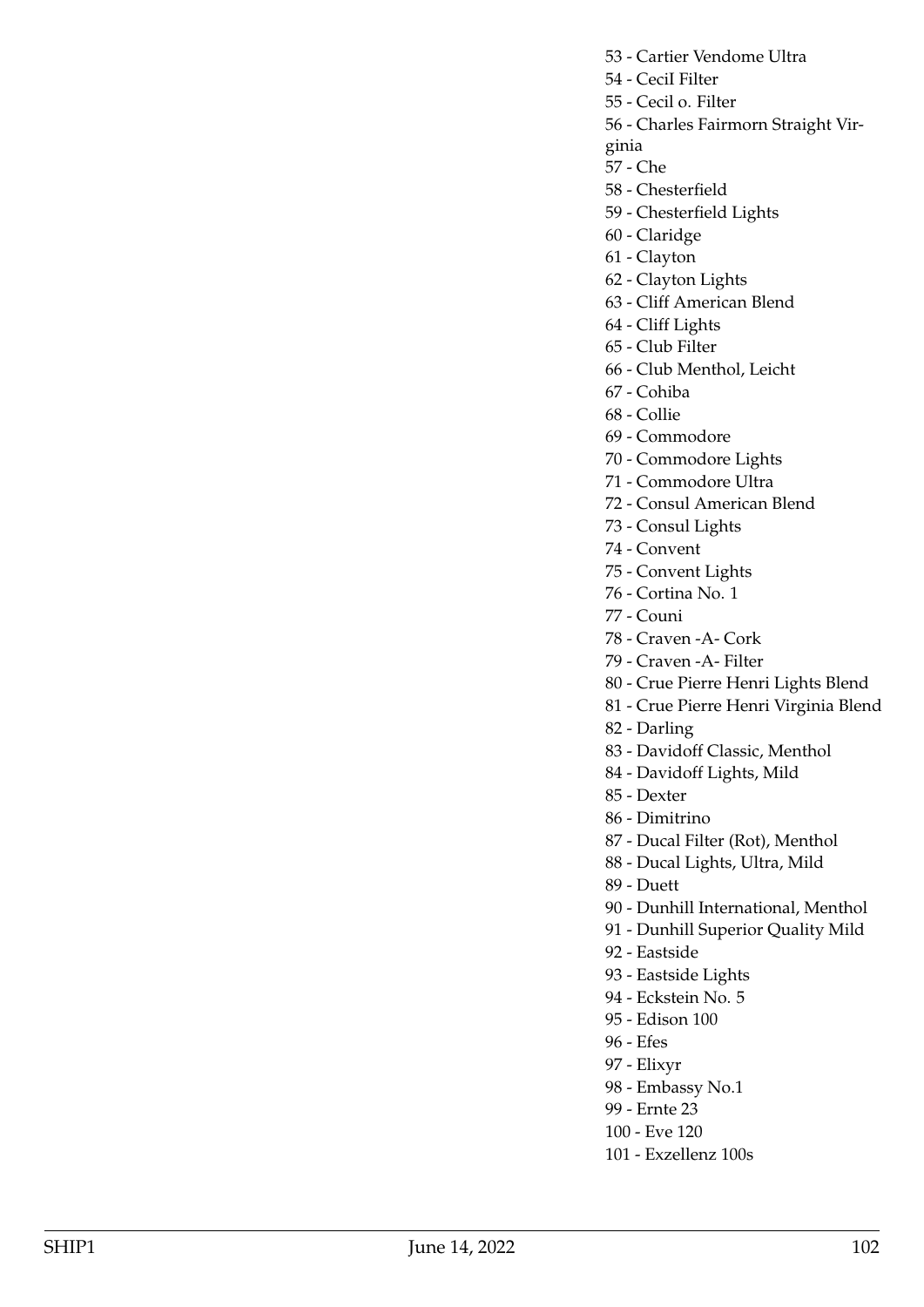- 53 Cartier Vendome Ultra
- 54 CeciI Filter
- 55 Cecil o. Filter

56 - Charles Fairmorn Straight Vir-

- ginia
- 57 Che
- 58 Chesterfield
- 59 Chesterfield Lights
- 60 Claridge
- 61 Clayton
- 62 Clayton Lights
- 63 Cliff American Blend
- 64 Cliff Lights
- 65 Club Filter
- 66 Club Menthol, Leicht
- 67 Cohiba
- 68 Collie
- 69 Commodore
- 70 Commodore Lights
- 71 Commodore Ultra
- 72 Consul American Blend
- 73 Consul Lights
- 74 Convent
- 75 Convent Lights
- 76 Cortina No. 1
- 77 Couni
- 78 Craven -A- Cork
- 79 Craven -A- Filter
- 80 Crue Pierre Henri Lights Blend
- 81 Crue Pierre Henri Virginia Blend
- 82 Darling
- 83 Davidoff Classic, Menthol
- 84 Davidoff Lights, Mild
- 85 Dexter
- 86 Dimitrino
- 87 Ducal Filter (Rot), Menthol
- 88 Ducal Lights, Ultra, Mild
- 89 Duett
- 90 Dunhill International, Menthol
- 91 Dunhill Superior Quality Mild
- 92 Eastside
- 93 Eastside Lights
- 94 Eckstein No. 5
- 95 Edison 100
- 96 Efes
- 97 Elixyr
- 98 Embassy No.1
- 99 Ernte 23
- 100 Eve 120
- 101 Exzellenz 100s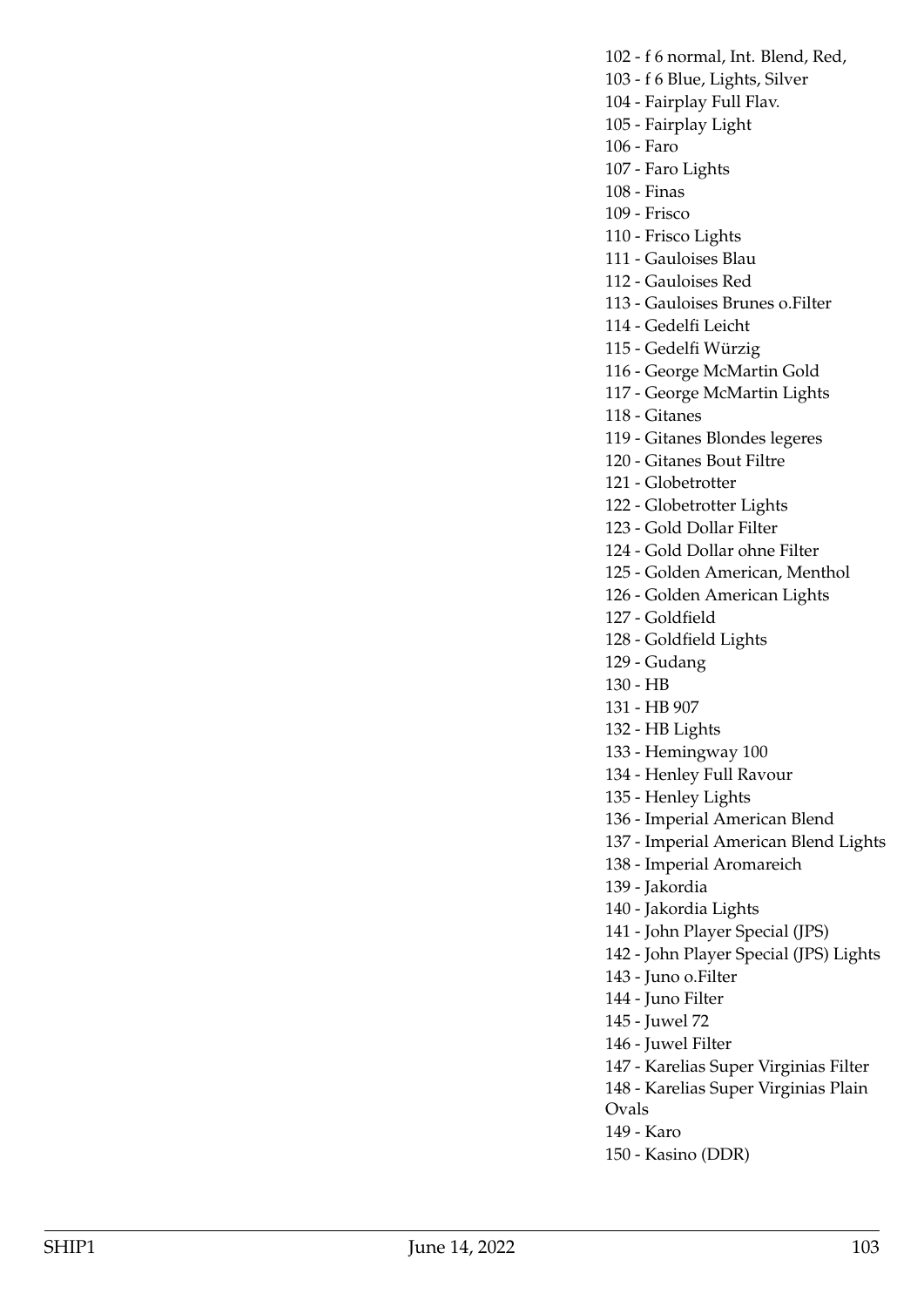102 - f 6 normal, Int. Blend, Red,

- 103 f 6 Blue, Lights, Silver
- 104 Fairplay Full Flav.
- 105 Fairplay Light
- 106 Faro
- 107 Faro Lights
- 108 Finas
- 109 Frisco
- 110 Frisco Lights
- 111 Gauloises Blau
- 112 Gauloises Red
- 113 Gauloises Brunes o.Filter
- 114 Gedelfi Leicht
- 115 Gedelfi Würzig
- 116 George McMartin Gold
- 117 George McMartin Lights
- 118 Gitanes
- 119 Gitanes Blondes legeres
- 120 Gitanes Bout Filtre
- 121 Globetrotter
- 122 Globetrotter Lights
- 123 Gold Dollar Filter
- 124 Gold Dollar ohne Filter
- 125 Golden American, Menthol
- 126 Golden American Lights
- 127 Goldfield
- 128 Goldfield Lights
- 129 Gudang
- 130 HB
- 131 HB 907
- 132 HB Lights
- 133 Hemingway 100
- 134 Henley Full Ravour
- 135 Henley Lights
- 136 Imperial American Blend
- 137 Imperial American Blend Lights
- 138 Imperial Aromareich
- 139 Jakordia
- 140 Jakordia Lights
- 141 John Player Special (JPS)
- 142 John Player Special (JPS) Lights
- 143 Juno o.Filter
- 144 Juno Filter
- 145 Juwel 72
- 146 Juwel Filter
- 147 Karelias Super Virginias Filter

148 - Karelias Super Virginias Plain

- Ovals 149 - Karo
- 
- 150 Kasino (DDR)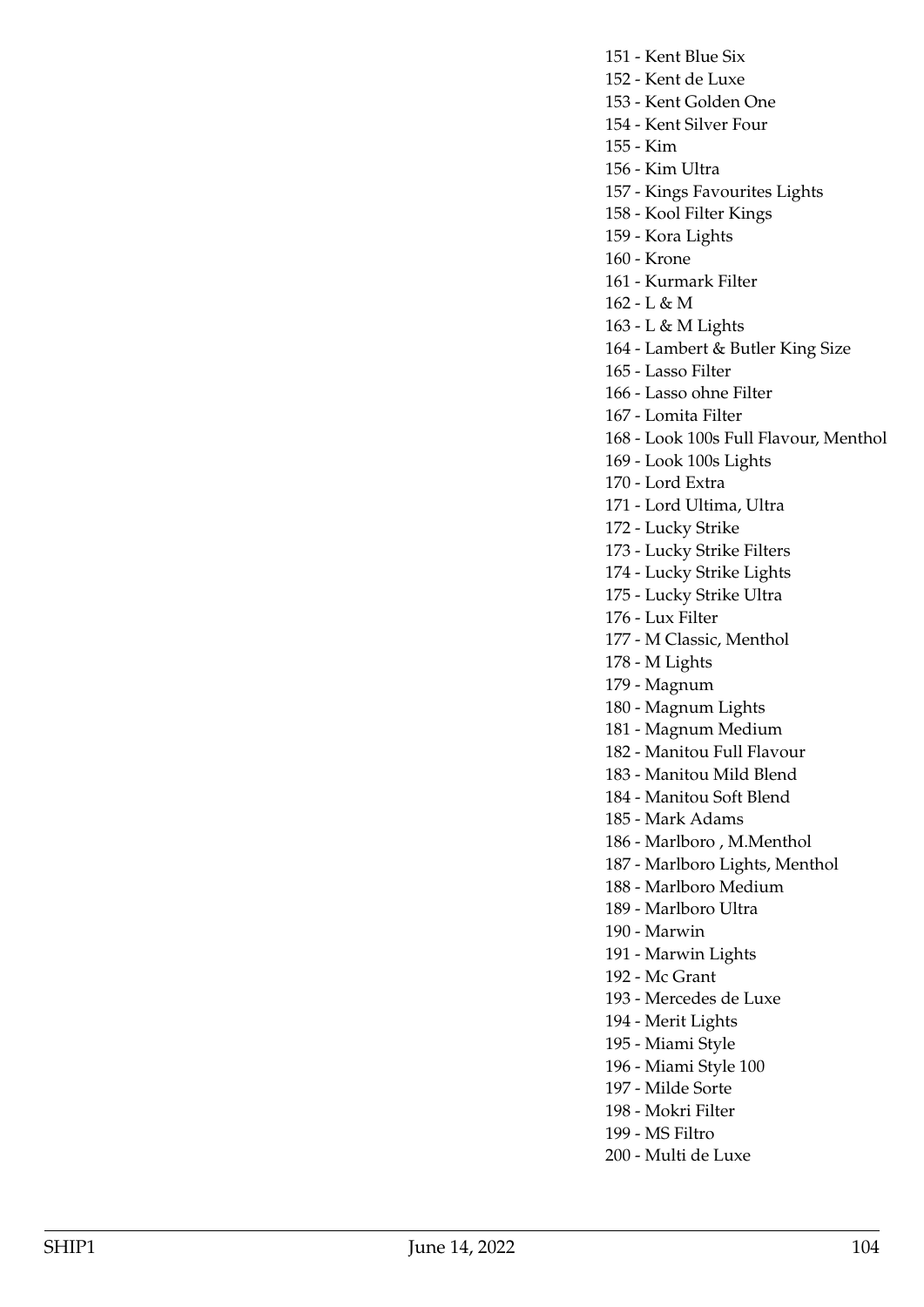151 - Kent Blue Six 152 - Kent de Luxe 153 - Kent Golden One 154 - Kent Silver Four 155 - Kim 156 - Kim Ultra 157 - Kings Favourites Lights 158 - Kool Filter Kings 159 - Kora Lights 160 - Krone 161 - Kurmark Filter 162 - L & M 163 - L & M Lights 164 - Lambert & Butler King Size 165 - Lasso Filter 166 - Lasso ohne Filter 167 - Lomita Filter 168 - Look 100s Full Flavour, Menthol 169 - Look 100s Lights 170 - Lord Extra 171 - Lord Ultima, Ultra 172 - Lucky Strike 173 - Lucky Strike Filters 174 - Lucky Strike Lights 175 - Lucky Strike Ultra

176 - Lux Filter

177 - M Classic, Menthol

178 - M Lights

179 - Magnum

180 - Magnum Lights

181 - Magnum Medium

182 - Manitou Full Flavour

183 - Manitou Mild Blend

184 - Manitou Soft Blend

185 - Mark Adams

186 - Marlboro , M.Menthol

187 - Marlboro Lights, Menthol

188 - Marlboro Medium

189 - Marlboro Ultra

190 - Marwin

191 - Marwin Lights

192 - Mc Grant

193 - Mercedes de Luxe

194 - Merit Lights

195 - Miami Style

196 - Miami Style 100

197 - Milde Sorte

198 - Mokri Filter

199 - MS Filtro

200 - Multi de Luxe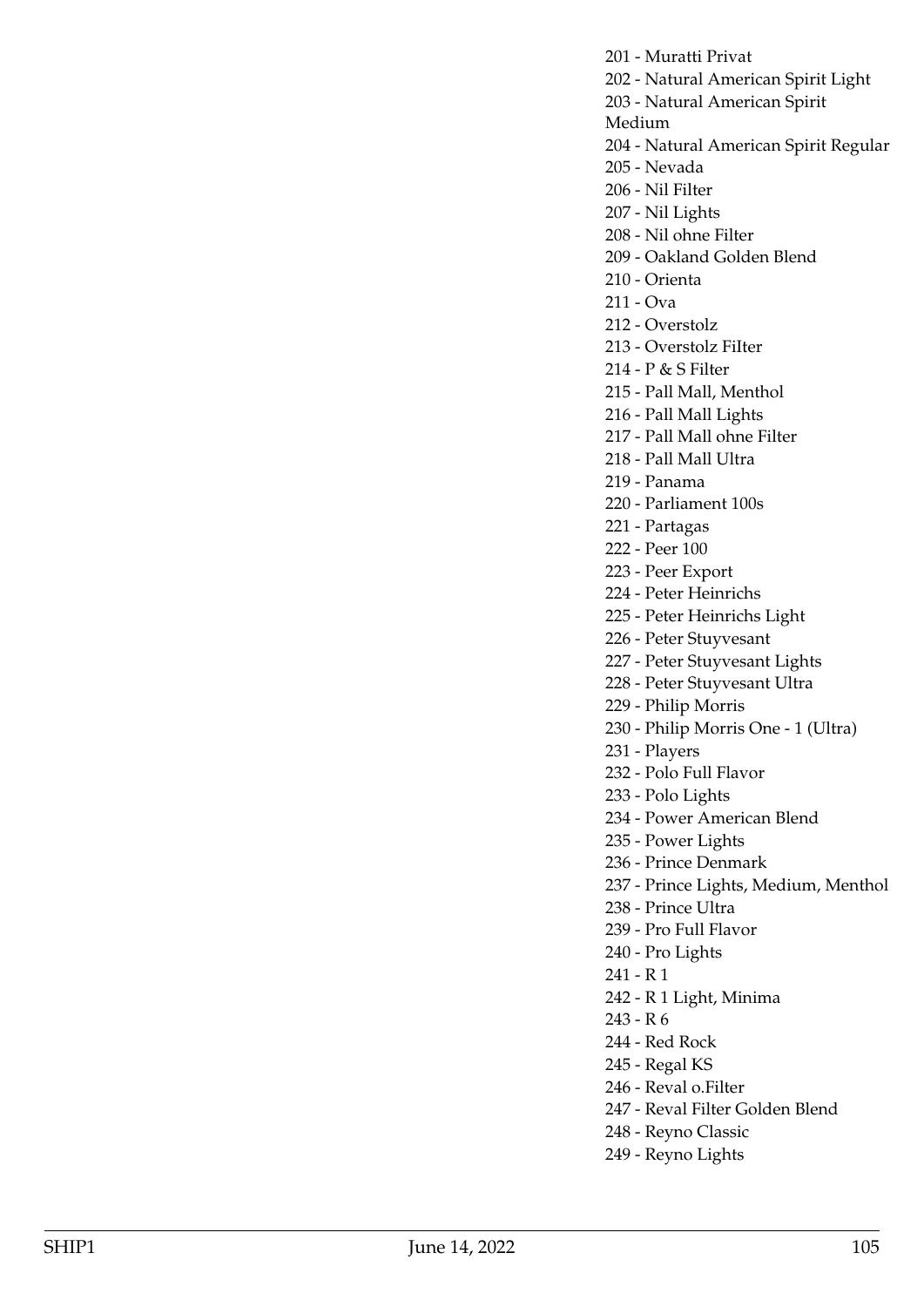201 - Muratti Privat

- 202 Natural American Spirit Light
- 203 Natural American Spirit
- Medium
- 204 Natural American Spirit Regular
- 205 Nevada
- 206 Nil Filter
- 207 Nil Lights
- 208 Nil ohne Filter
- 209 Oakland Golden Blend
- 210 Orienta
- 211 Ova
- 212 Overstolz
- 213 Overstolz FiIter
- 214 P & S Filter
- 215 Pall Mall, Menthol
- 216 Pall Mall Lights
- 217 Pall Mall ohne Filter
- 218 Pall Mall Ultra
- 219 Panama
- 220 Parliament 100s
- 221 Partagas
- 222 Peer 100
- 223 Peer Export
- 224 Peter Heinrichs
- 225 Peter Heinrichs Light
- 226 Peter Stuyvesant
- 227 Peter Stuyvesant Lights
- 228 Peter Stuyvesant Ultra
- 229 Philip Morris
- 230 Philip Morris One 1 (Ultra)
- 231 Players
- 232 Polo Full Flavor
- 233 Polo Lights
- 234 Power American Blend
- 235 Power Lights
- 236 Prince Denmark

237 - Prince Lights, Medium, Menthol

- 238 Prince Ultra
- 239 Pro Full Flavor
- 240 Pro Lights
- 241 R 1
- 242 R 1 Light, Minima
- 243 R 6
- 244 Red Rock
- 245 Regal KS
- 246 Reval o.Filter
- 247 Reval Filter Golden Blend
- 248 Reyno Classic
- 249 Reyno Lights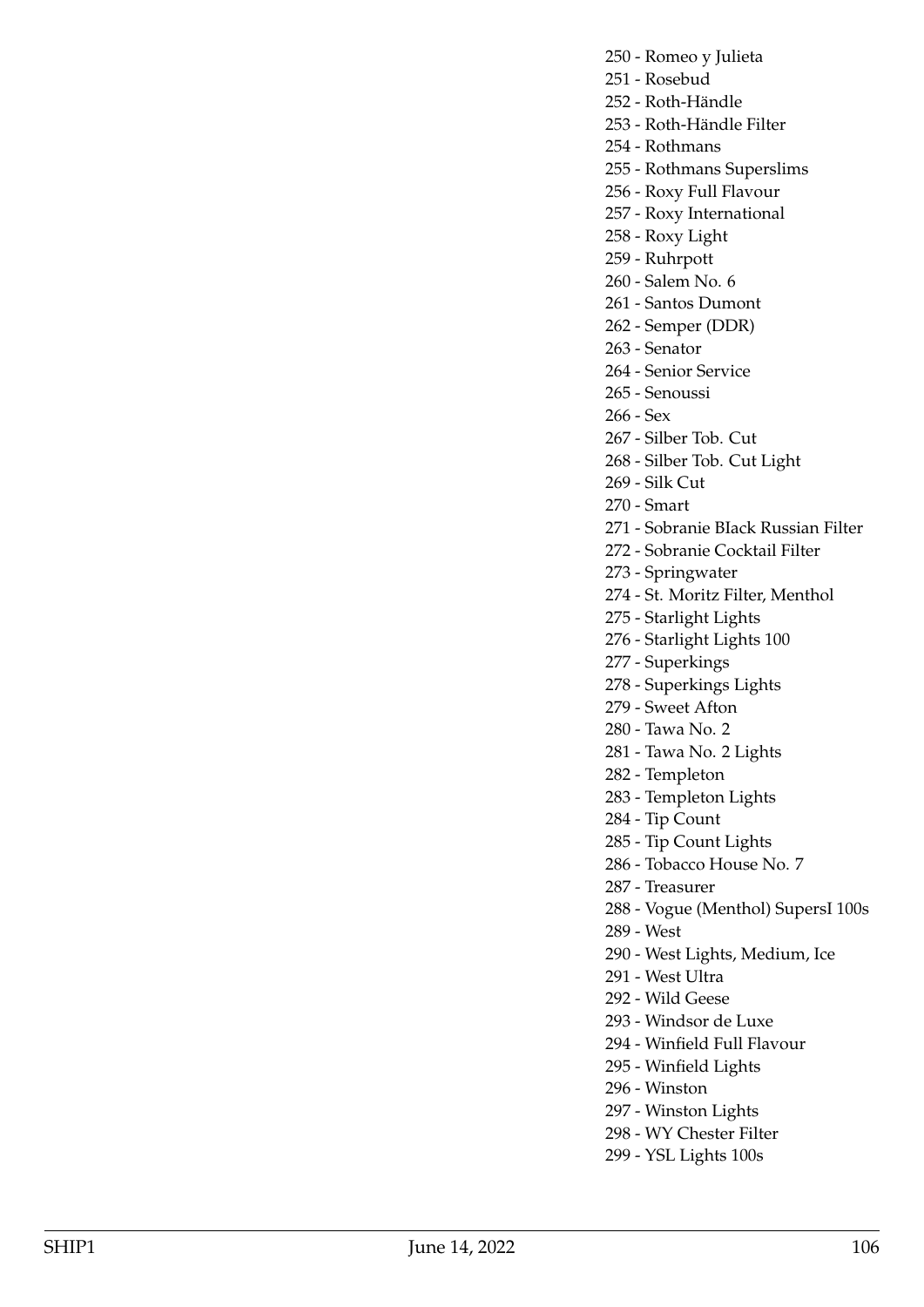250 - Romeo y Julieta

- 251 Rosebud
- 252 Roth-Händle

253 - Roth-Händle Filter

254 - Rothmans

255 - Rothmans Superslims

256 - Roxy Full Flavour

257 - Roxy International

- 258 Roxy Light
- 259 Ruhrpott
- 260 Salem No. 6

261 - Santos Dumont

- 262 Semper (DDR)
- 263 Senator

264 - Senior Service

265 - Senoussi

- 266 Sex
- 267 Silber Tob. Cut
- 268 Silber Tob. Cut Light
- 269 Silk Cut
- 270 Smart
- 271 Sobranie BIack Russian Filter
- 272 Sobranie Cocktail Filter
- 273 Springwater
- 274 St. Moritz Filter, Menthol
- 275 Starlight Lights
- 276 Starlight Lights 100
- 277 Superkings
- 278 Superkings Lights
- 279 Sweet Afton
- 280 Tawa No. 2
- 281 Tawa No. 2 Lights
- 282 Templeton
- 283 Templeton Lights
- 284 Tip Count
- 285 Tip Count Lights
- 286 Tobacco House No. 7
- 287 Treasurer
- 288 Vogue (Menthol) SupersI 100s
- 289 West
- 290 West Lights, Medium, Ice
- 291 West Ultra
- 292 Wild Geese
- 293 Windsor de Luxe
- 294 Winfield Full Flavour
- 295 Winfield Lights
- 296 Winston
- 297 Winston Lights
- 298 WY Chester Filter
- 299 YSL Lights 100s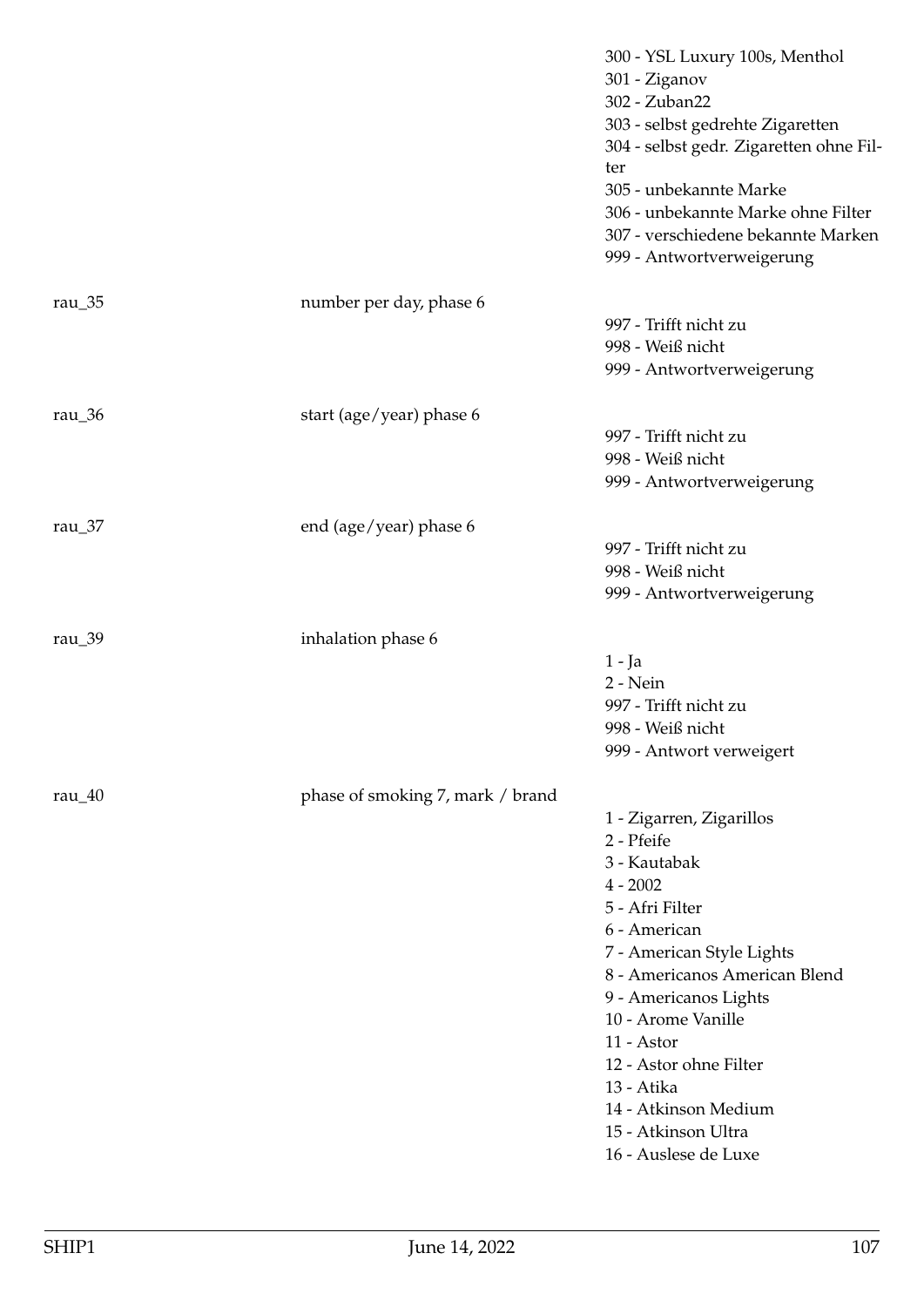|                      |                                  | 300 - YSL Luxury 100s, Menthol<br>301 - Ziganov<br>302 - Zuban22<br>303 - selbst gedrehte Zigaretten<br>304 - selbst gedr. Zigaretten ohne Fil-<br>ter<br>305 - unbekannte Marke<br>306 - unbekannte Marke ohne Filter<br>307 - verschiedene bekannte Marken<br>999 - Antwortverweigerung                                                         |
|----------------------|----------------------------------|---------------------------------------------------------------------------------------------------------------------------------------------------------------------------------------------------------------------------------------------------------------------------------------------------------------------------------------------------|
| rau $\_\frac{35}{3}$ | number per day, phase 6          | 997 - Trifft nicht zu<br>998 - Weiß nicht<br>999 - Antwortverweigerung                                                                                                                                                                                                                                                                            |
| rau_36               | start (age/year) phase 6         | 997 - Trifft nicht zu<br>998 - Weiß nicht<br>999 - Antwortverweigerung                                                                                                                                                                                                                                                                            |
| rau $\frac{37}{ }$   | end (age/year) phase 6           | 997 - Trifft nicht zu<br>998 - Weiß nicht<br>999 - Antwortverweigerung                                                                                                                                                                                                                                                                            |
| rau_39               | inhalation phase 6               | 1 - Ja<br>2 - Nein<br>997 - Trifft nicht zu<br>998 - Weiß nicht<br>999 - Antwort verweigert                                                                                                                                                                                                                                                       |
| rau $\frac{40}{ }$   | phase of smoking 7, mark / brand | 1 - Zigarren, Zigarillos<br>2 - Pfeife<br>3 - Kautabak<br>$4 - 2002$<br>5 - Afri Filter<br>6 - American<br>7 - American Style Lights<br>8 - Americanos American Blend<br>9 - Americanos Lights<br>10 - Arome Vanille<br>11 - Astor<br>12 - Astor ohne Filter<br>13 - Atika<br>14 - Atkinson Medium<br>15 - Atkinson Ultra<br>16 - Auslese de Luxe |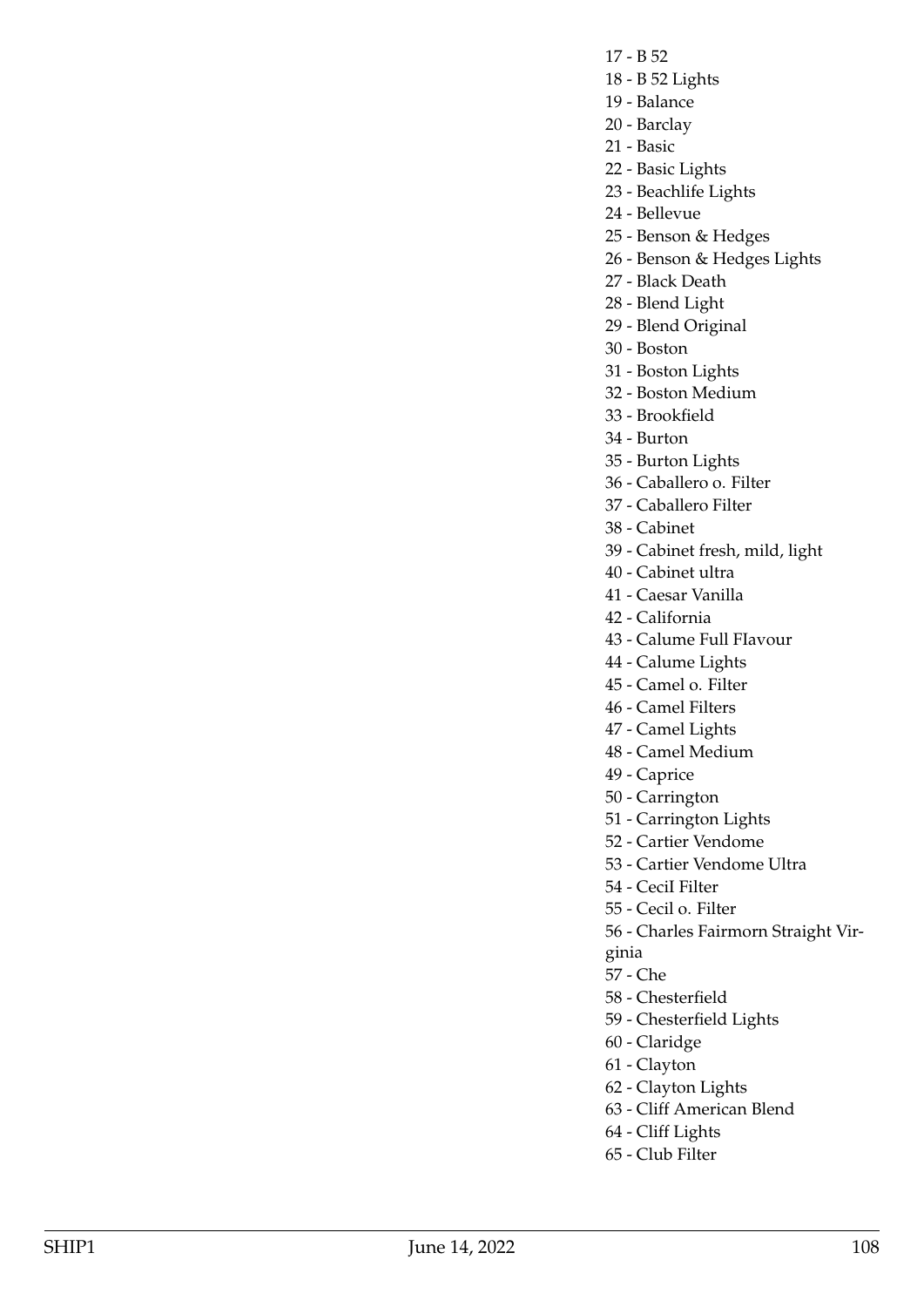- 17 B 52
- 18 B 52 Lights
- 19 Balance
- 20 Barclay
- 21 Basic
- 22 Basic Lights
- 23 Beachlife Lights
- 24 Bellevue
- 25 Benson & Hedges
- 26 Benson & Hedges Lights
- 27 Black Death
- 28 Blend Light
- 29 Blend Original
- 30 Boston
- 31 Boston Lights
- 32 Boston Medium
- 33 Brookfield
- 34 Burton
- 35 Burton Lights
- 36 Caballero o. Filter
- 37 Caballero Filter
- 38 Cabinet
- 39 Cabinet fresh, mild, light
- 40 Cabinet ultra
- 41 Caesar Vanilla
- 42 California
- 43 Calume Full FIavour
- 44 Calume Lights
- 45 Camel o. Filter
- 46 Camel Filters
- 47 Camel Lights
- 48 Camel Medium
- 49 Caprice
- 50 Carrington
- 51 Carrington Lights
- 52 Cartier Vendome
- 53 Cartier Vendome Ultra
- 54 CeciI Filter
- 55 Cecil o. Filter
- 56 Charles Fairmorn Straight Vir-
- ginia
- 57 Che
- 58 Chesterfield
- 59 Chesterfield Lights
- 60 Claridge
- 61 Clayton
- 62 Clayton Lights
- 63 Cliff American Blend
- 64 Cliff Lights
- 65 Club Filter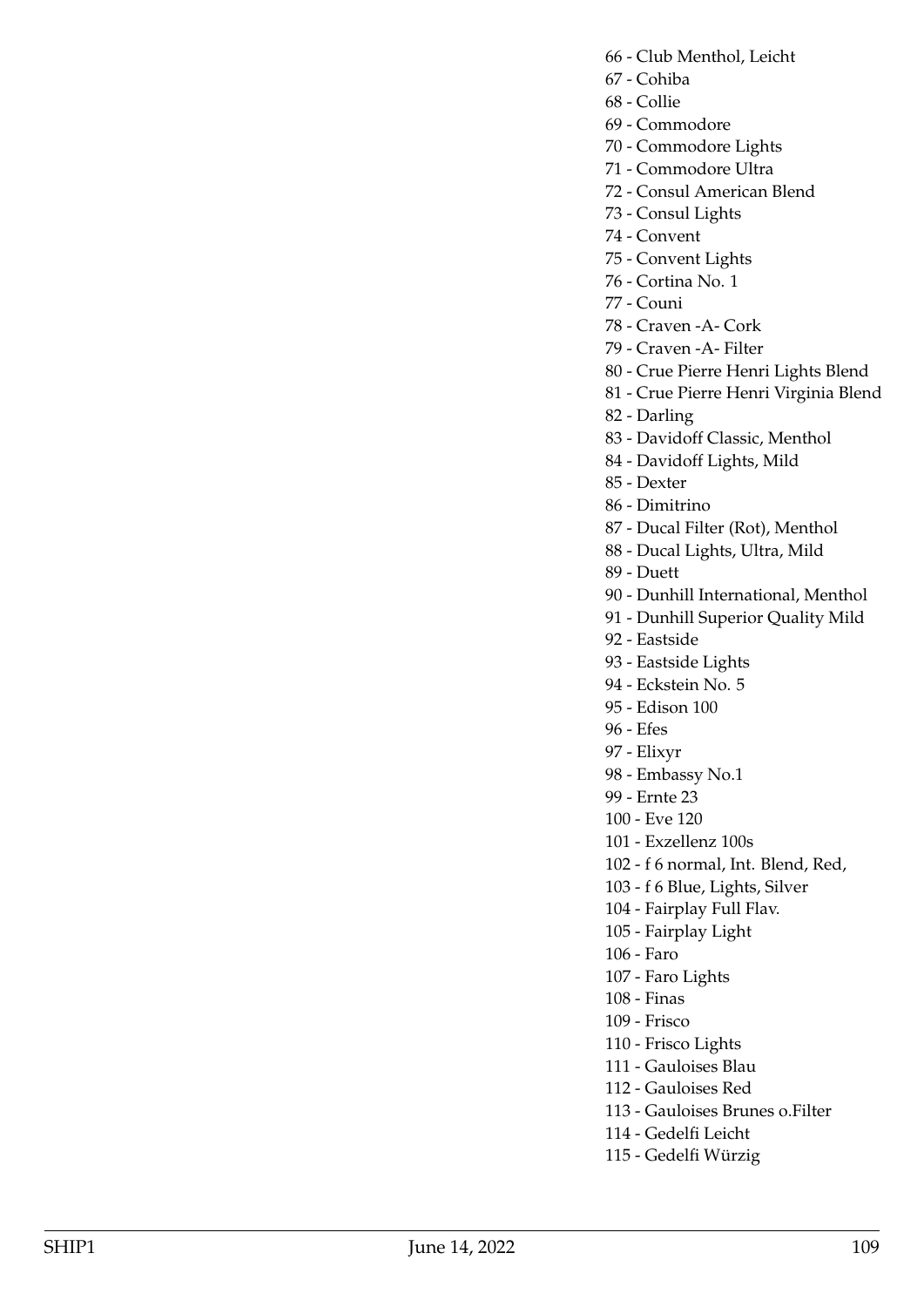- 66 Club Menthol, Leicht
- 67 Cohiba
- 68 Collie
- 69 Commodore
- 70 Commodore Lights
- 71 Commodore Ultra
- 72 Consul American Blend
- 73 Consul Lights
- 74 Convent
- 75 Convent Lights
- 76 Cortina No. 1
- 77 Couni
- 78 Craven -A- Cork
- 79 Craven -A- Filter
- 80 Crue Pierre Henri Lights Blend
- 81 Crue Pierre Henri Virginia Blend
- 82 Darling
- 83 Davidoff Classic, Menthol
- 84 Davidoff Lights, Mild
- 85 Dexter
- 86 Dimitrino
- 87 Ducal Filter (Rot), Menthol
- 88 Ducal Lights, Ultra, Mild
- 89 Duett
- 90 Dunhill International, Menthol
- 91 Dunhill Superior Quality Mild
- 92 Eastside
- 93 Eastside Lights
- 94 Eckstein No. 5
- 95 Edison 100
- 96 Efes
- 97 Elixyr
- 98 Embassy No.1
- 99 Ernte 23
- 100 Eve 120
- 101 Exzellenz 100s
- 102 f 6 normal, Int. Blend, Red,
- 103 f 6 Blue, Lights, Silver
- 104 Fairplay Full Flav.
- 105 Fairplay Light
- 106 Faro
- 107 Faro Lights
- 108 Finas
- 109 Frisco
- 110 Frisco Lights
- 111 Gauloises Blau
- 112 Gauloises Red
- 113 Gauloises Brunes o.Filter
- 114 Gedelfi Leicht
- 115 Gedelfi Würzig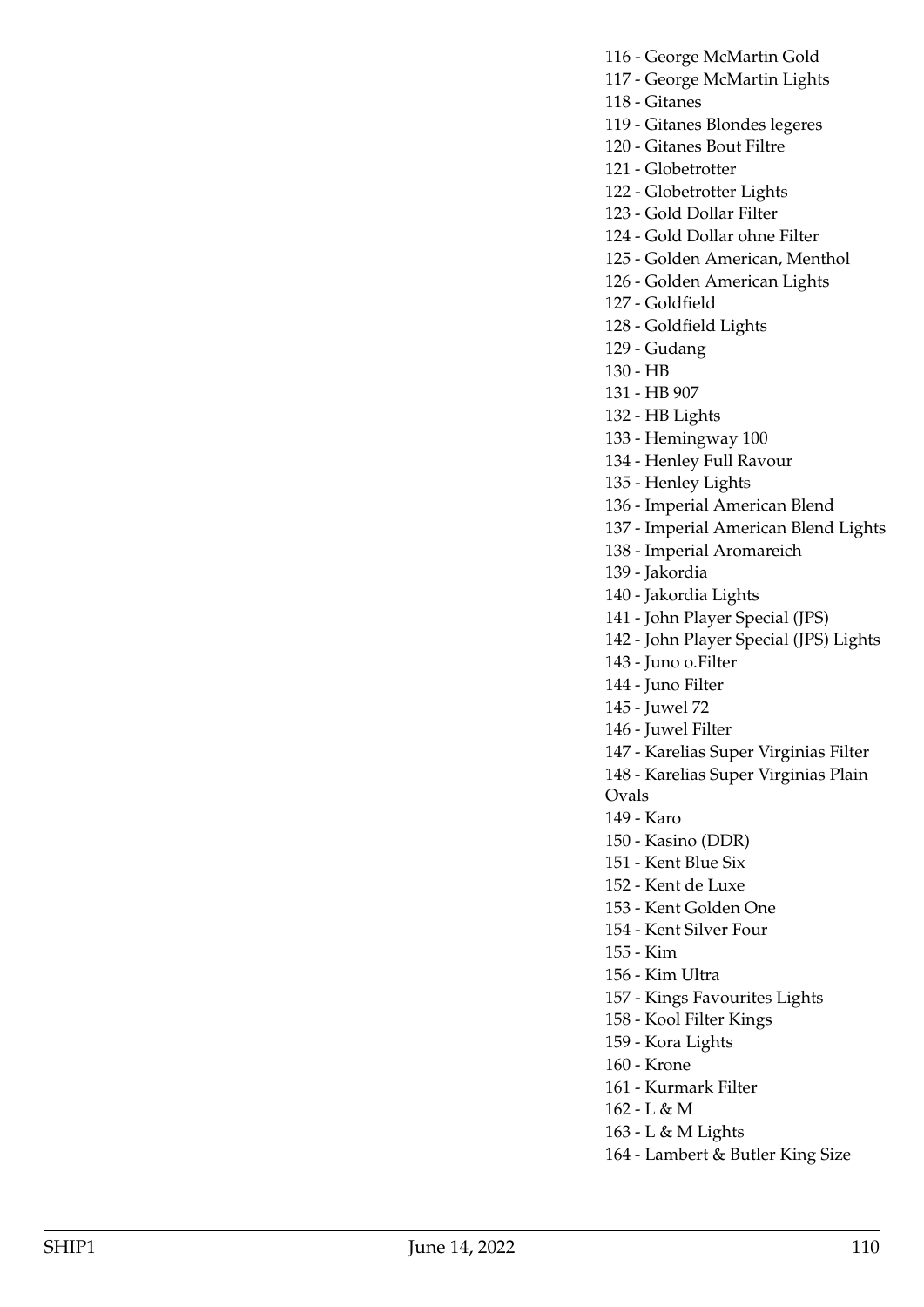116 - George McMartin Gold

- 117 George McMartin Lights
- 118 Gitanes

119 - Gitanes Blondes legeres

- 120 Gitanes Bout Filtre
- 121 Globetrotter
- 122 Globetrotter Lights
- 123 Gold Dollar Filter
- 124 Gold Dollar ohne Filter
- 125 Golden American, Menthol
- 126 Golden American Lights
- 127 Goldfield
- 128 Goldfield Lights
- 129 Gudang
- 130 HB
- 131 HB 907
- 132 HB Lights
- 133 Hemingway 100
- 134 Henley Full Ravour
- 135 Henley Lights
- 136 Imperial American Blend
- 137 Imperial American Blend Lights
- 138 Imperial Aromareich
- 139 Jakordia
- 140 Jakordia Lights
- 141 John Player Special (JPS)
- 142 John Player Special (JPS) Lights
- 143 Juno o.Filter
- 144 Juno Filter
- 145 Juwel 72
- 146 Juwel Filter
- 147 Karelias Super Virginias Filter
- 148 Karelias Super Virginias Plain
- Ovals
- 149 Karo
- 150 Kasino (DDR)
- 151 Kent Blue Six
- 152 Kent de Luxe
- 153 Kent Golden One
- 154 Kent Silver Four
- 155 Kim
- 156 Kim Ultra
- 157 Kings Favourites Lights
- 158 Kool Filter Kings
- 159 Kora Lights
- 160 Krone
- 161 Kurmark Filter
- 162 L & M
- 163 L & M Lights
- 164 Lambert & Butler King Size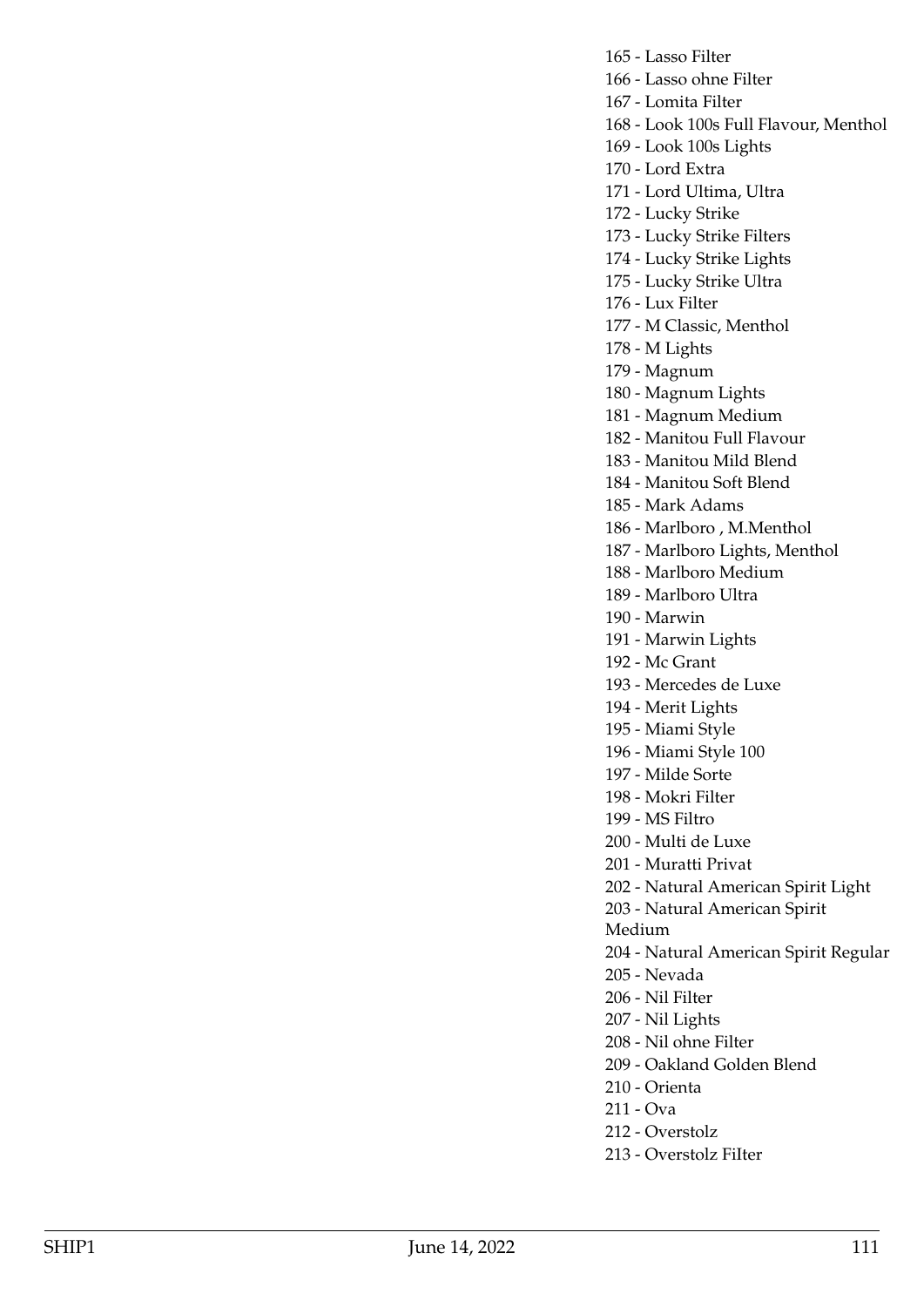165 - Lasso Filter 166 - Lasso ohne Filter 167 - Lomita Filter 168 - Look 100s Full Flavour, Menthol 169 - Look 100s Lights 170 - Lord Extra 171 - Lord Ultima, Ultra 172 - Lucky Strike 173 - Lucky Strike Filters 174 - Lucky Strike Lights 175 - Lucky Strike Ultra 176 - Lux Filter 177 - M Classic, Menthol 178 - M Lights 179 - Magnum 180 - Magnum Lights 181 - Magnum Medium 182 - Manitou Full Flavour 183 - Manitou Mild Blend 184 - Manitou Soft Blend 185 - Mark Adams 186 - Marlboro , M.Menthol 187 - Marlboro Lights, Menthol 188 - Marlboro Medium 189 - Marlboro Ultra 190 - Marwin 191 - Marwin Lights 192 - Mc Grant 193 - Mercedes de Luxe 194 - Merit Lights 195 - Miami Style 196 - Miami Style 100 197 - Milde Sorte 198 - Mokri Filter 199 - MS Filtro 200 - Multi de Luxe 201 - Muratti Privat 202 - Natural American Spirit Light 203 - Natural American Spirit Medium 204 - Natural American Spirit Regular 205 - Nevada 206 - Nil Filter 207 - Nil Lights 208 - Nil ohne Filter 209 - Oakland Golden Blend 210 - Orienta 211 - Ova 212 - Overstolz

213 - Overstolz FiIter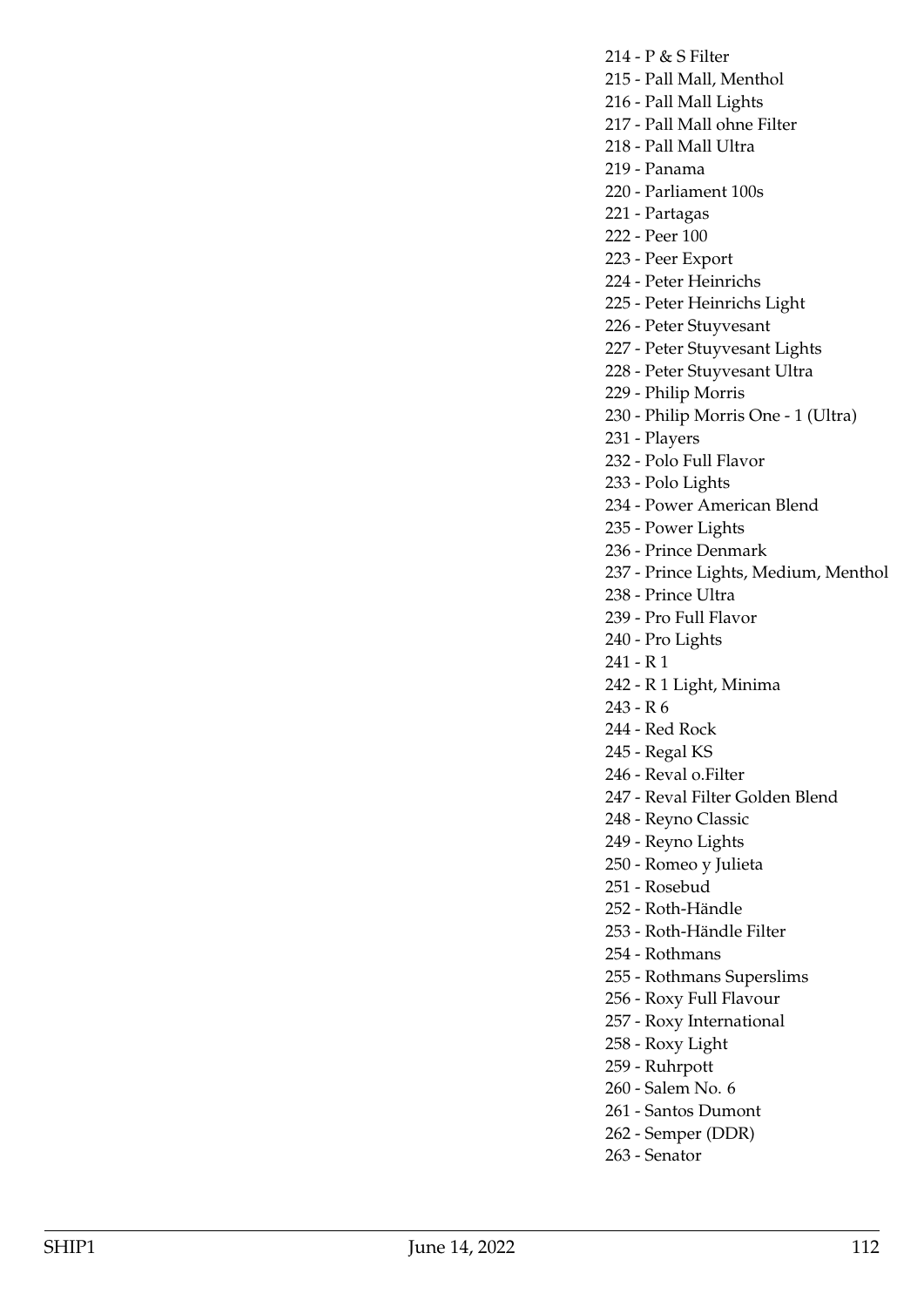- 214 P & S Filter
- 215 Pall Mall, Menthol
- 216 Pall Mall Lights
- 217 Pall Mall ohne Filter
- 218 Pall Mall Ultra
- 219 Panama
- 220 Parliament 100s
- 221 Partagas
- 222 Peer 100
- 223 Peer Export
- 224 Peter Heinrichs
- 225 Peter Heinrichs Light
- 226 Peter Stuyvesant
- 227 Peter Stuyvesant Lights
- 228 Peter Stuyvesant Ultra
- 229 Philip Morris
- 230 Philip Morris One 1 (Ultra)
- 231 Players
- 232 Polo Full Flavor
- 233 Polo Lights
- 234 Power American Blend
- 235 Power Lights
- 236 Prince Denmark
- 237 Prince Lights, Medium, Menthol
- 238 Prince Ultra
- 239 Pro Full Flavor
- 240 Pro Lights
- 241 R 1
- 242 R 1 Light, Minima
- 243 R 6
- 244 Red Rock
- 245 Regal KS
- 246 Reval o.Filter
- 247 Reval Filter Golden Blend
- 248 Reyno Classic
- 249 Reyno Lights
- 250 Romeo y Julieta
- 251 Rosebud
- 252 Roth-Händle
- 253 Roth-Händle Filter
- 254 Rothmans
- 255 Rothmans Superslims
- 256 Roxy Full Flavour
- 257 Roxy International
- 258 Roxy Light
- 259 Ruhrpott
- 260 Salem No. 6
- 261 Santos Dumont
- 262 Semper (DDR)
- 263 Senator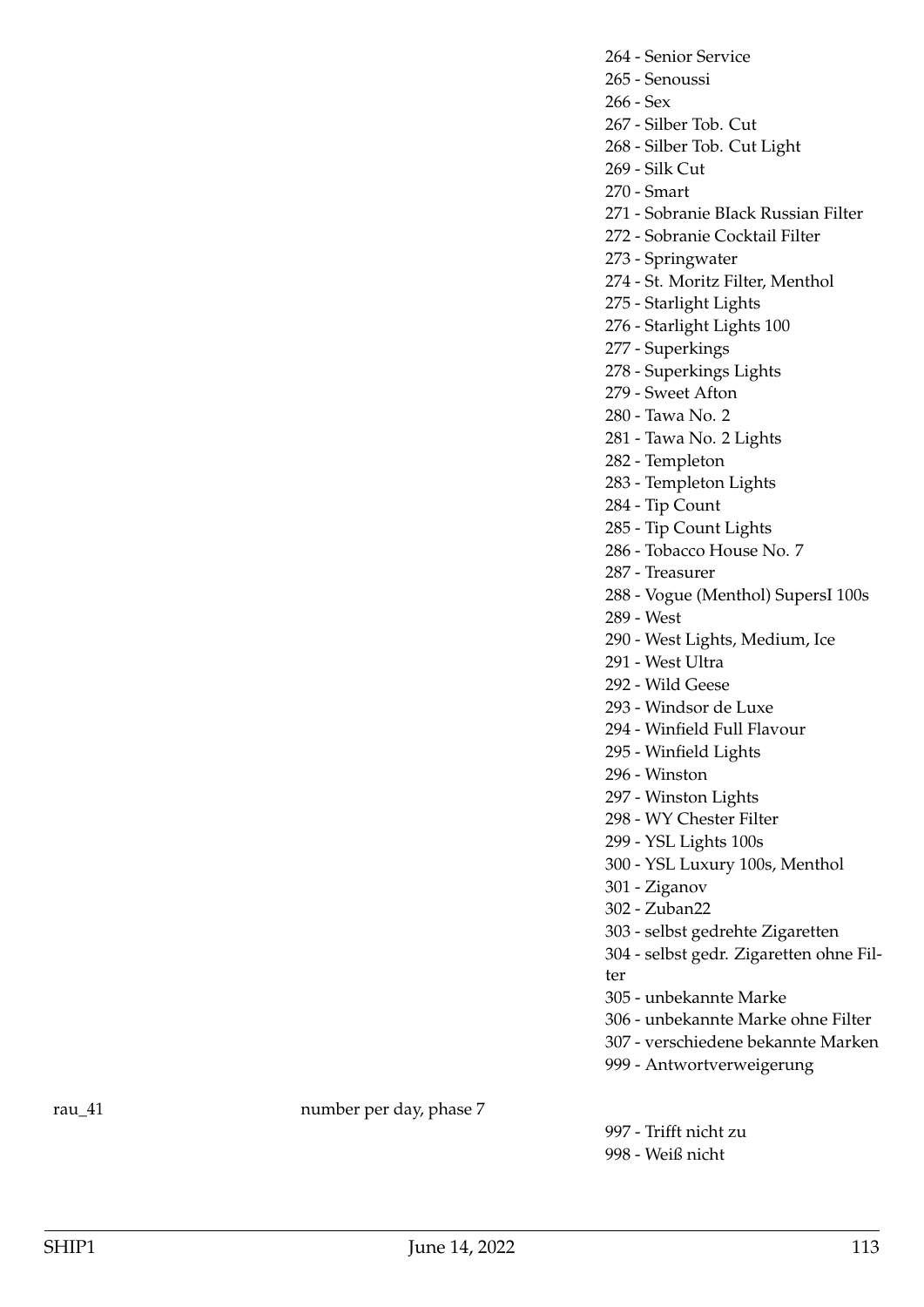264 - Senior Service

- 265 Senoussi
- 266 Sex

267 - Silber Tob. Cut

268 - Silber Tob. Cut Light

- 269 Silk Cut
- 270 Smart

271 - Sobranie BIack Russian Filter

272 - Sobranie Cocktail Filter

273 - Springwater

274 - St. Moritz Filter, Menthol

275 - Starlight Lights

276 - Starlight Lights 100

277 - Superkings

278 - Superkings Lights

279 - Sweet Afton

- 280 Tawa No. 2
- 281 Tawa No. 2 Lights
- 282 Templeton
- 283 Templeton Lights
- 284 Tip Count
- 285 Tip Count Lights
- 286 Tobacco House No. 7
- 287 Treasurer
- 288 Vogue (Menthol) SupersI 100s
- 289 West
- 290 West Lights, Medium, Ice
- 291 West Ultra
- 292 Wild Geese
- 293 Windsor de Luxe
- 294 Winfield Full Flavour
- 295 Winfield Lights
- 296 Winston
- 297 Winston Lights
- 298 WY Chester Filter
- 299 YSL Lights 100s
- 300 YSL Luxury 100s, Menthol
- 301 Ziganov
- 302 Zuban22
- 303 selbst gedrehte Zigaretten
- 304 selbst gedr. Zigaretten ohne Fil-
- ter
- 305 unbekannte Marke
- 306 unbekannte Marke ohne Filter
- 307 verschiedene bekannte Marken
- 999 Antwortverweigerung

rau<sub>\_41</sub> number per day, phase 7

997 - Trifft nicht zu 998 - Weiß nicht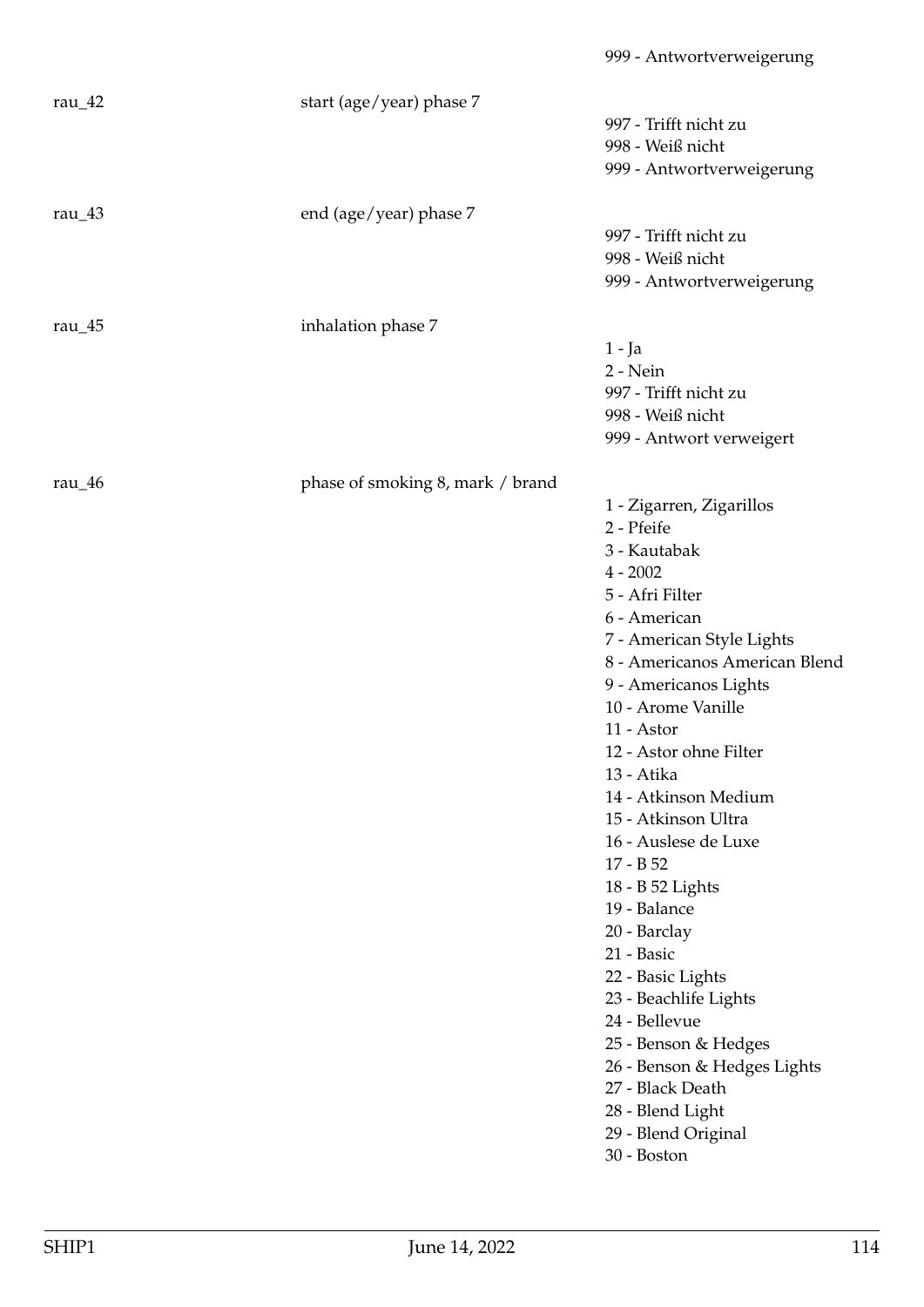| rau $\frac{42}{ }$ | start (age/year) phase 7         |                               |
|--------------------|----------------------------------|-------------------------------|
|                    |                                  | 997 - Trifft nicht zu         |
|                    |                                  | 998 - Weiß nicht              |
|                    |                                  | 999 - Antwortverweigerung     |
| rau $\_\$ 43       | end (age/year) phase 7           |                               |
|                    |                                  | 997 - Trifft nicht zu         |
|                    |                                  | 998 - Weiß nicht              |
|                    |                                  | 999 - Antwortverweigerung     |
| rau $\_\$ {45}     | inhalation phase 7               |                               |
|                    |                                  | $1 - Ja$                      |
|                    |                                  | 2 - Nein                      |
|                    |                                  | 997 - Trifft nicht zu         |
|                    |                                  | 998 - Weiß nicht              |
|                    |                                  | 999 - Antwort verweigert      |
|                    |                                  |                               |
| rau $_4$ 6         | phase of smoking 8, mark / brand |                               |
|                    |                                  | 1 - Zigarren, Zigarillos      |
|                    |                                  | 2 - Pfeife                    |
|                    |                                  | 3 - Kautabak                  |
|                    |                                  | $4 - 2002$                    |
|                    |                                  | 5 - Afri Filter               |
|                    |                                  | 6 - American                  |
|                    |                                  | 7 - American Style Lights     |
|                    |                                  | 8 - Americanos American Blend |
|                    |                                  | 9 - Americanos Lights         |
|                    |                                  | 10 - Arome Vanille            |
|                    |                                  | 11 - Astor                    |
|                    |                                  | 12 - Astor ohne Filter        |
|                    |                                  | 13 - Atika                    |
|                    |                                  | 14 - Atkinson Medium          |
|                    |                                  | 15 - Atkinson Ultra           |
|                    |                                  | 16 - Auslese de Luxe          |
|                    |                                  | $17 - B52$                    |
|                    |                                  | 18 - B 52 Lights              |
|                    |                                  | 19 - Balance                  |
|                    |                                  | 20 - Barclay                  |
|                    |                                  | 21 - Basic                    |
|                    |                                  | 22 - Basic Lights             |
|                    |                                  | 23 - Beachlife Lights         |
|                    |                                  | 24 - Bellevue                 |
|                    |                                  | 25 - Benson & Hedges          |
|                    |                                  | 26 - Benson & Hedges Lights   |
|                    |                                  | 27 - Black Death              |
|                    |                                  | 28 - Blend Light              |
|                    |                                  | 29 - Blend Original           |
|                    |                                  | 30 - Boston                   |
|                    |                                  |                               |

999 - Antwortverweigerung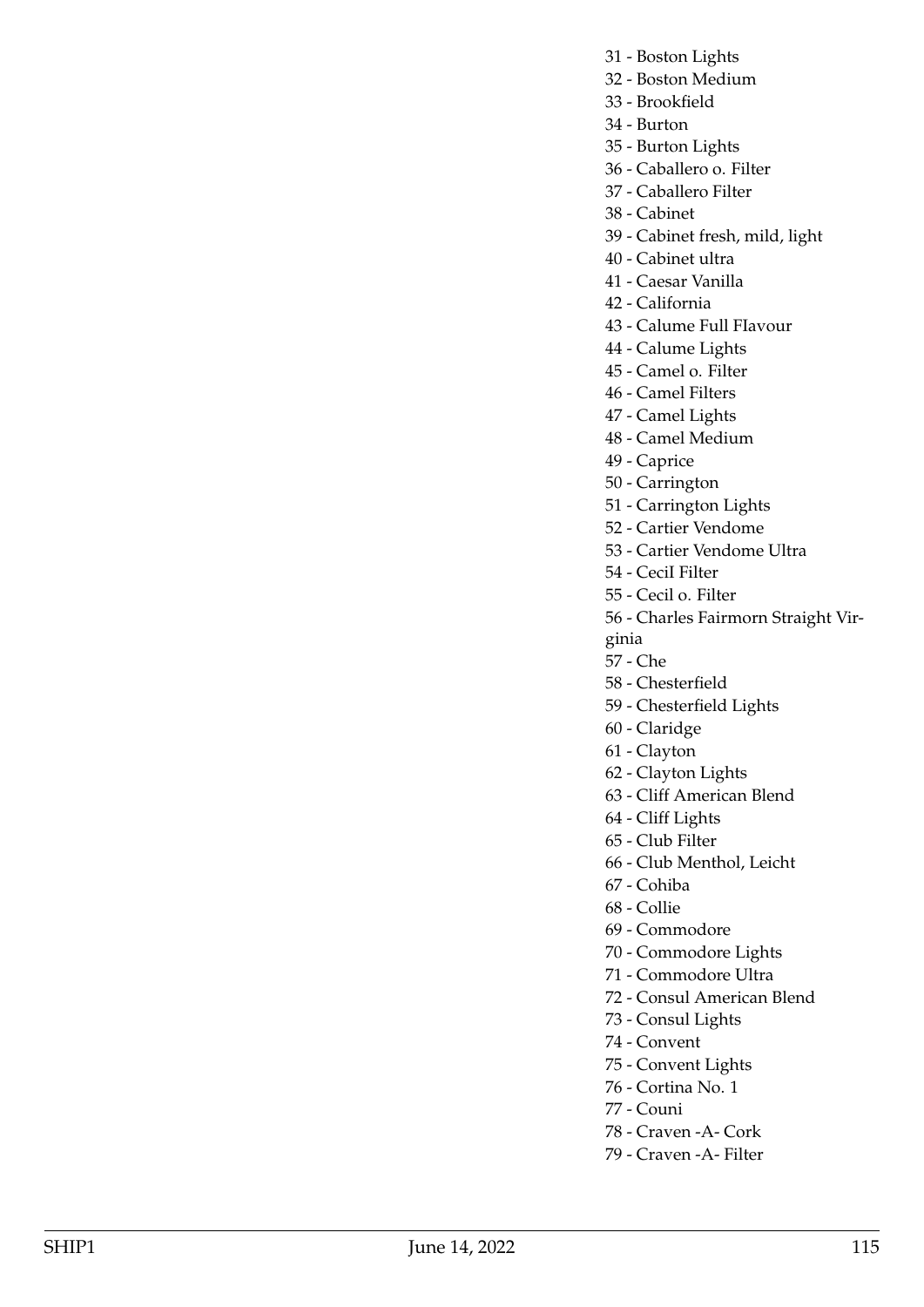- 31 Boston Lights
- 32 Boston Medium
- 33 Brookfield
- 34 Burton
- 35 Burton Lights
- 36 Caballero o. Filter
- 37 Caballero Filter
- 38 Cabinet
- 39 Cabinet fresh, mild, light
- 40 Cabinet ultra
- 41 Caesar Vanilla
- 42 California
- 43 Calume Full FIavour
- 44 Calume Lights
- 45 Camel o. Filter
- 46 Camel Filters
- 47 Camel Lights
- 48 Camel Medium
- 49 Caprice
- 50 Carrington
- 51 Carrington Lights
- 52 Cartier Vendome
- 53 Cartier Vendome Ultra
- 54 CeciI Filter
- 55 Cecil o. Filter
- 56 Charles Fairmorn Straight Vir-
- ginia
- 57 Che
- 58 Chesterfield
- 59 Chesterfield Lights
- 60 Claridge
- 61 Clayton
- 62 Clayton Lights
- 63 Cliff American Blend
- 64 Cliff Lights
- 65 Club Filter
- 66 Club Menthol, Leicht
- 67 Cohiba
- 68 Collie
- 69 Commodore
- 70 Commodore Lights
- 71 Commodore Ultra
- 72 Consul American Blend
- 73 Consul Lights
- 74 Convent
- 75 Convent Lights
- 76 Cortina No. 1
- 77 Couni
- 78 Craven -A- Cork
- 79 Craven -A- Filter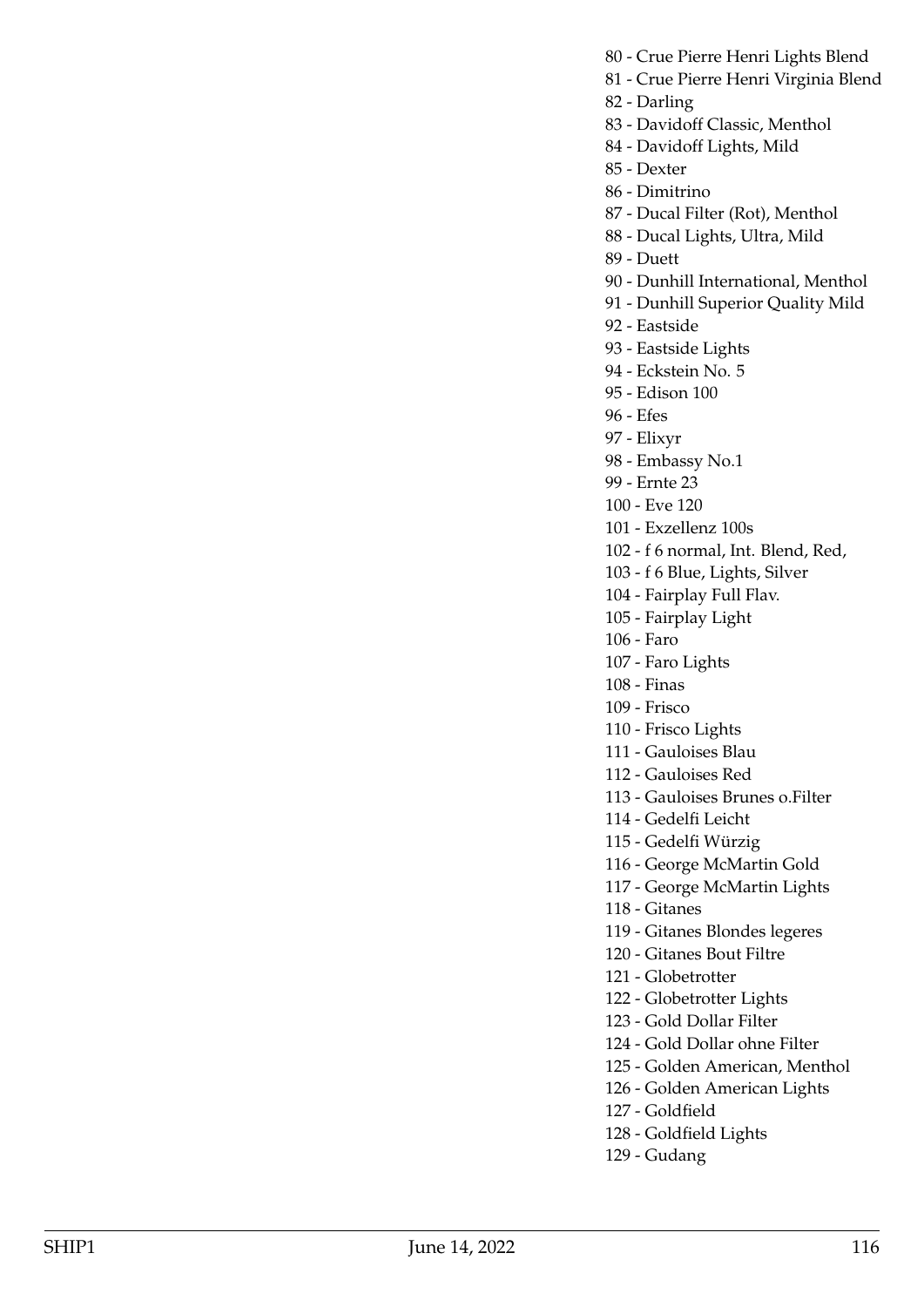- 80 Crue Pierre Henri Lights Blend
- 81 Crue Pierre Henri Virginia Blend
- 82 Darling
- 83 Davidoff Classic, Menthol
- 84 Davidoff Lights, Mild
- 85 Dexter
- 86 Dimitrino
- 87 Ducal Filter (Rot), Menthol
- 88 Ducal Lights, Ultra, Mild
- 89 Duett
- 90 Dunhill International, Menthol
- 91 Dunhill Superior Quality Mild
- 92 Eastside
- 93 Eastside Lights
- 94 Eckstein No. 5
- 95 Edison 100
- 96 Efes
- 97 Elixyr
- 98 Embassy No.1
- 99 Ernte 23
- 100 Eve 120
- 101 Exzellenz 100s
- 102 f 6 normal, Int. Blend, Red,
- 103 f 6 Blue, Lights, Silver
- 104 Fairplay Full Flav.
- 105 Fairplay Light
- 106 Faro
- 107 Faro Lights
- 108 Finas
- 109 Frisco
- 110 Frisco Lights
- 111 Gauloises Blau
- 112 Gauloises Red
- 113 Gauloises Brunes o.Filter
- 114 Gedelfi Leicht
- 115 Gedelfi Würzig
- 116 George McMartin Gold
- 117 George McMartin Lights
- 118 Gitanes
- 119 Gitanes Blondes legeres
- 120 Gitanes Bout Filtre
- 121 Globetrotter
- 122 Globetrotter Lights
- 123 Gold Dollar Filter
- 124 Gold Dollar ohne Filter
- 125 Golden American, Menthol
- 126 Golden American Lights
- 127 Goldfield
- 128 Goldfield Lights
- 129 Gudang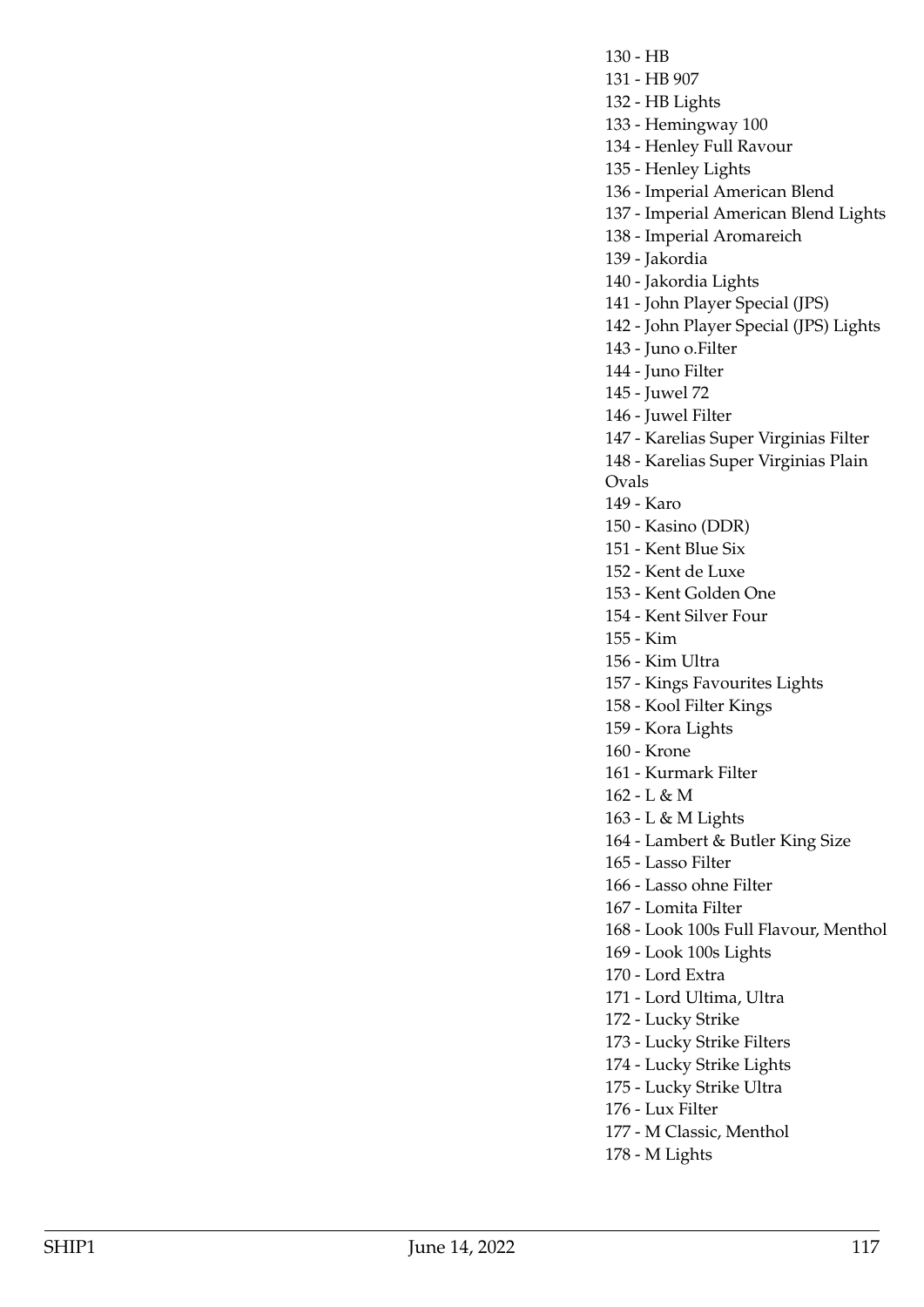130 - HB

- 131 HB 907
- 132 HB Lights
- 133 Hemingway 100

134 - Henley Full Ravour

- 135 Henley Lights
- 136 Imperial American Blend
- 137 Imperial American Blend Lights
- 138 Imperial Aromareich
- 139 Jakordia
- 140 Jakordia Lights
- 141 John Player Special (JPS)
- 142 John Player Special (JPS) Lights
- 143 Juno o.Filter
- 144 Juno Filter
- 145 Juwel 72
- 146 Juwel Filter
- 147 Karelias Super Virginias Filter
- 148 Karelias Super Virginias Plain
- Ovals
	- 149 Karo
	- 150 Kasino (DDR)
	- 151 Kent Blue Six
	- 152 Kent de Luxe
	- 153 Kent Golden One
	- 154 Kent Silver Four
	- 155 Kim
	- 156 Kim Ultra
	- 157 Kings Favourites Lights
	- 158 Kool Filter Kings
	- 159 Kora Lights
	- 160 Krone
	- 161 Kurmark Filter
	- 162 L & M
	- 163 L & M Lights
	- 164 Lambert & Butler King Size
- 165 Lasso Filter
- 166 Lasso ohne Filter
- 167 Lomita Filter
- 168 Look 100s Full Flavour, Menthol
- 169 Look 100s Lights
- 170 Lord Extra
- 171 Lord Ultima, Ultra
- 172 Lucky Strike
- 173 Lucky Strike Filters
- 174 Lucky Strike Lights
- 175 Lucky Strike Ultra
- 176 Lux Filter
- 177 M Classic, Menthol
- 178 M Lights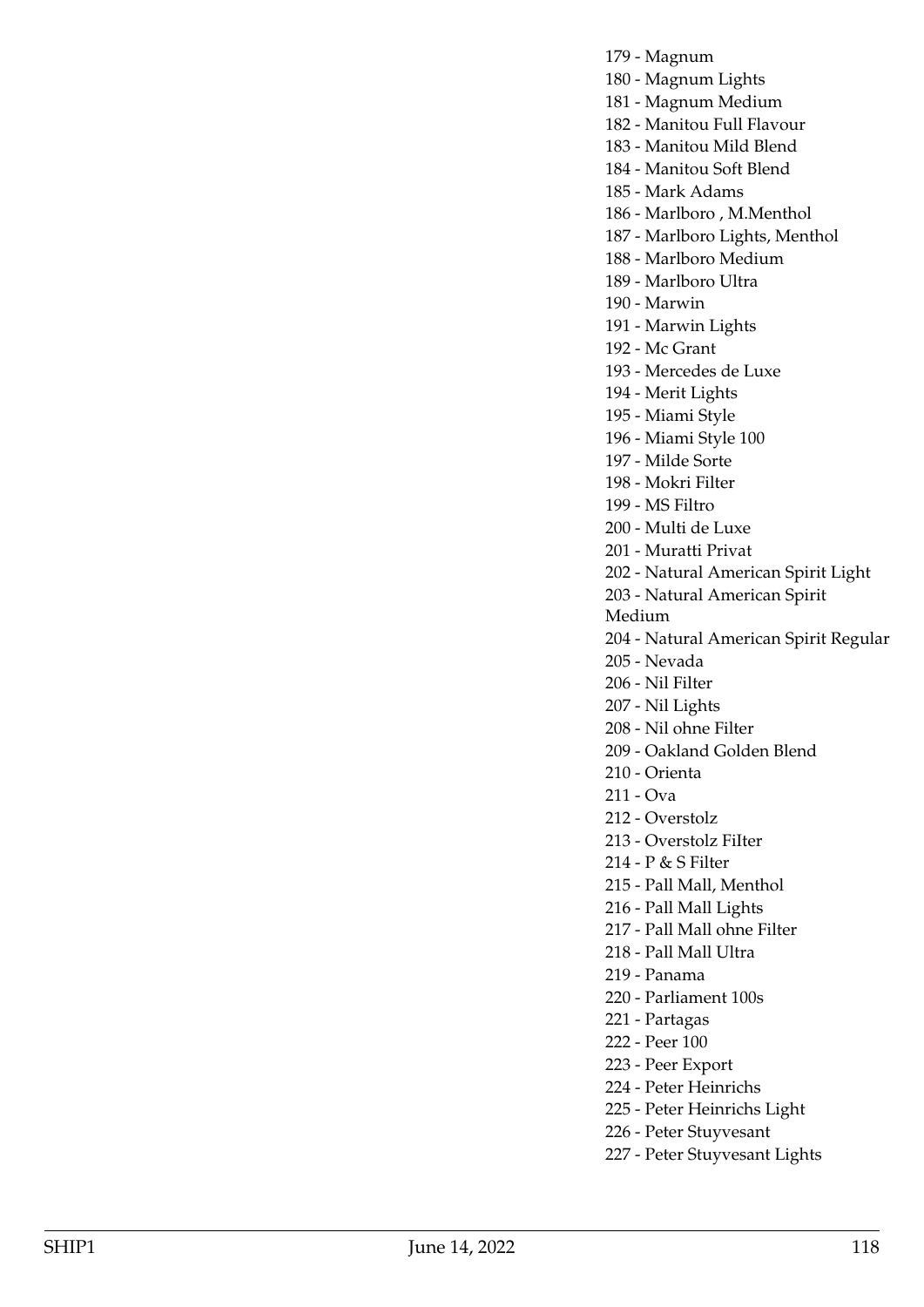179 - Magnum

180 - Magnum Lights

181 - Magnum Medium

182 - Manitou Full Flavour

183 - Manitou Mild Blend

184 - Manitou Soft Blend

185 - Mark Adams

186 - Marlboro , M.Menthol

187 - Marlboro Lights, Menthol

188 - Marlboro Medium

189 - Marlboro Ultra

190 - Marwin

191 - Marwin Lights

192 - Mc Grant

193 - Mercedes de Luxe

194 - Merit Lights

195 - Miami Style

196 - Miami Style 100

197 - Milde Sorte

198 - Mokri Filter

199 - MS Filtro

200 - Multi de Luxe

201 - Muratti Privat

202 - Natural American Spirit Light

203 - Natural American Spirit

Medium

204 - Natural American Spirit Regular

205 - Nevada

206 - Nil Filter

207 - Nil Lights

208 - Nil ohne Filter

209 - Oakland Golden Blend

210 - Orienta

211 - Ova

212 - Overstolz

213 - Overstolz FiIter

214 - P & S Filter

215 - Pall Mall, Menthol

216 - Pall Mall Lights

217 - Pall Mall ohne Filter

218 - Pall Mall Ultra

219 - Panama

220 - Parliament 100s

221 - Partagas

222 - Peer 100

223 - Peer Export

224 - Peter Heinrichs

225 - Peter Heinrichs Light

226 - Peter Stuyvesant

227 - Peter Stuyvesant Lights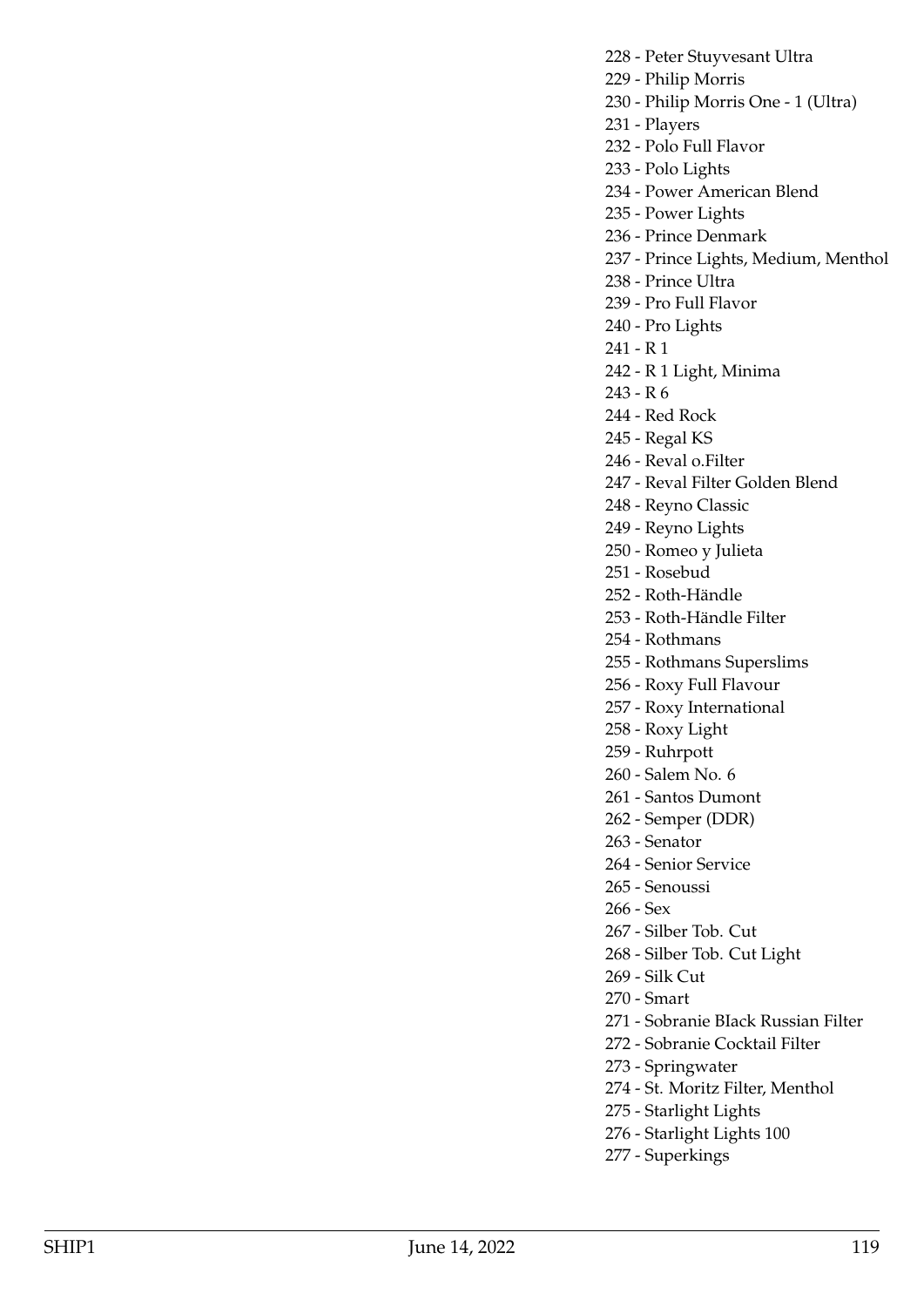228 - Peter Stuyvesant Ultra

229 - Philip Morris

230 - Philip Morris One - 1 (Ultra)

231 - Players

232 - Polo Full Flavor

233 - Polo Lights

234 - Power American Blend

235 - Power Lights

236 - Prince Denmark

237 - Prince Lights, Medium, Menthol

238 - Prince Ultra

239 - Pro Full Flavor

240 - Pro Lights

241 - R 1

242 - R 1 Light, Minima

243 - R 6

244 - Red Rock

245 - Regal KS

246 - Reval o.Filter

247 - Reval Filter Golden Blend

248 - Reyno Classic

249 - Reyno Lights

250 - Romeo y Julieta

251 - Rosebud

252 - Roth-Händle

253 - Roth-Händle Filter

254 - Rothmans

255 - Rothmans Superslims

256 - Roxy Full Flavour

257 - Roxy International

258 - Roxy Light

259 - Ruhrpott

260 - Salem No. 6

261 - Santos Dumont

262 - Semper (DDR)

263 - Senator

264 - Senior Service

265 - Senoussi

266 - Sex

267 - Silber Tob. Cut

268 - Silber Tob. Cut Light

269 - Silk Cut

270 - Smart

271 - Sobranie BIack Russian Filter

272 - Sobranie Cocktail Filter

273 - Springwater

274 - St. Moritz Filter, Menthol

275 - Starlight Lights

276 - Starlight Lights 100

277 - Superkings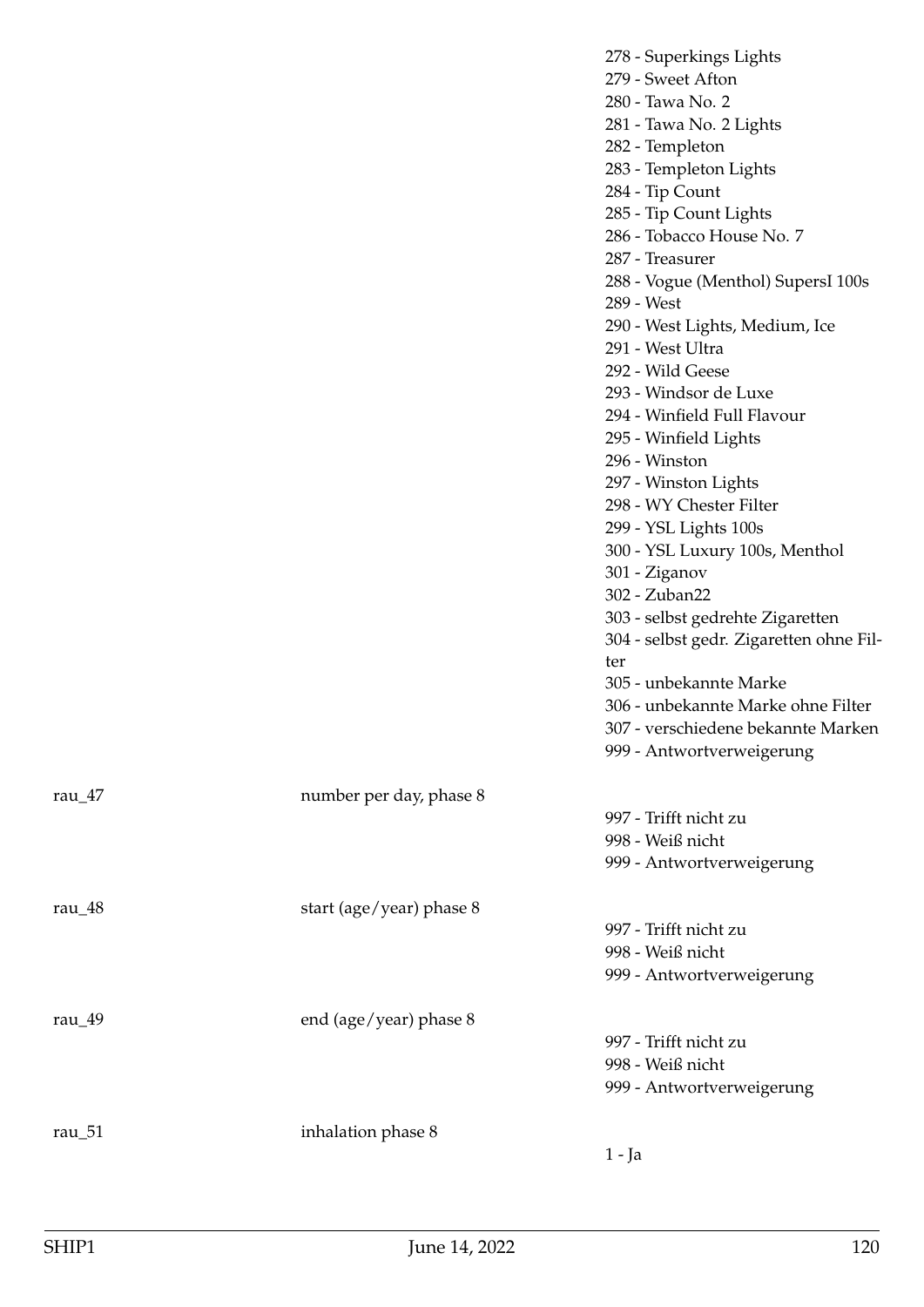| 304 - selbst gedr. Zigaretten ohne Fil-<br>ter<br>305 - unbekannte Marke<br>306 - unbekannte Marke ohne Filter<br>307 - verschiedene bekannte Marken<br>999 - Antwortverweigerung<br>number per day, phase 8<br>rau $\frac{47}{ }$<br>997 - Trifft nicht zu<br>998 - Weiß nicht<br>999 - Antwortverweigerung<br>start (age/year) phase 8<br>rau_48<br>997 - Trifft nicht zu<br>998 - Weiß nicht<br>999 - Antwortverweigerung<br>end (age/year) phase 8<br>rau_49<br>997 - Trifft nicht zu<br>998 - Weiß nicht<br>999 - Antwortverweigerung<br>inhalation phase 8<br>rau_51<br>$1 - Ja$ |  | 278 - Superkings Lights<br>279 - Sweet Afton<br>280 - Tawa No. 2<br>281 - Tawa No. 2 Lights<br>282 - Templeton<br>283 - Templeton Lights<br>284 - Tip Count<br>285 - Tip Count Lights<br>286 - Tobacco House No. 7<br>287 - Treasurer<br>288 - Vogue (Menthol) SupersI 100s<br>289 - West<br>290 - West Lights, Medium, Ice<br>291 - West Ultra<br>292 - Wild Geese<br>293 - Windsor de Luxe<br>294 - Winfield Full Flavour<br>295 - Winfield Lights<br>296 - Winston<br>297 - Winston Lights<br>298 - WY Chester Filter<br>299 - YSL Lights 100s<br>300 - YSL Luxury 100s, Menthol<br>301 - Ziganov<br>302 - Zuban22<br>303 - selbst gedrehte Zigaretten |
|----------------------------------------------------------------------------------------------------------------------------------------------------------------------------------------------------------------------------------------------------------------------------------------------------------------------------------------------------------------------------------------------------------------------------------------------------------------------------------------------------------------------------------------------------------------------------------------|--|-----------------------------------------------------------------------------------------------------------------------------------------------------------------------------------------------------------------------------------------------------------------------------------------------------------------------------------------------------------------------------------------------------------------------------------------------------------------------------------------------------------------------------------------------------------------------------------------------------------------------------------------------------------|
|                                                                                                                                                                                                                                                                                                                                                                                                                                                                                                                                                                                        |  |                                                                                                                                                                                                                                                                                                                                                                                                                                                                                                                                                                                                                                                           |
|                                                                                                                                                                                                                                                                                                                                                                                                                                                                                                                                                                                        |  |                                                                                                                                                                                                                                                                                                                                                                                                                                                                                                                                                                                                                                                           |
|                                                                                                                                                                                                                                                                                                                                                                                                                                                                                                                                                                                        |  |                                                                                                                                                                                                                                                                                                                                                                                                                                                                                                                                                                                                                                                           |
|                                                                                                                                                                                                                                                                                                                                                                                                                                                                                                                                                                                        |  |                                                                                                                                                                                                                                                                                                                                                                                                                                                                                                                                                                                                                                                           |
|                                                                                                                                                                                                                                                                                                                                                                                                                                                                                                                                                                                        |  |                                                                                                                                                                                                                                                                                                                                                                                                                                                                                                                                                                                                                                                           |
|                                                                                                                                                                                                                                                                                                                                                                                                                                                                                                                                                                                        |  |                                                                                                                                                                                                                                                                                                                                                                                                                                                                                                                                                                                                                                                           |
|                                                                                                                                                                                                                                                                                                                                                                                                                                                                                                                                                                                        |  |                                                                                                                                                                                                                                                                                                                                                                                                                                                                                                                                                                                                                                                           |
|                                                                                                                                                                                                                                                                                                                                                                                                                                                                                                                                                                                        |  |                                                                                                                                                                                                                                                                                                                                                                                                                                                                                                                                                                                                                                                           |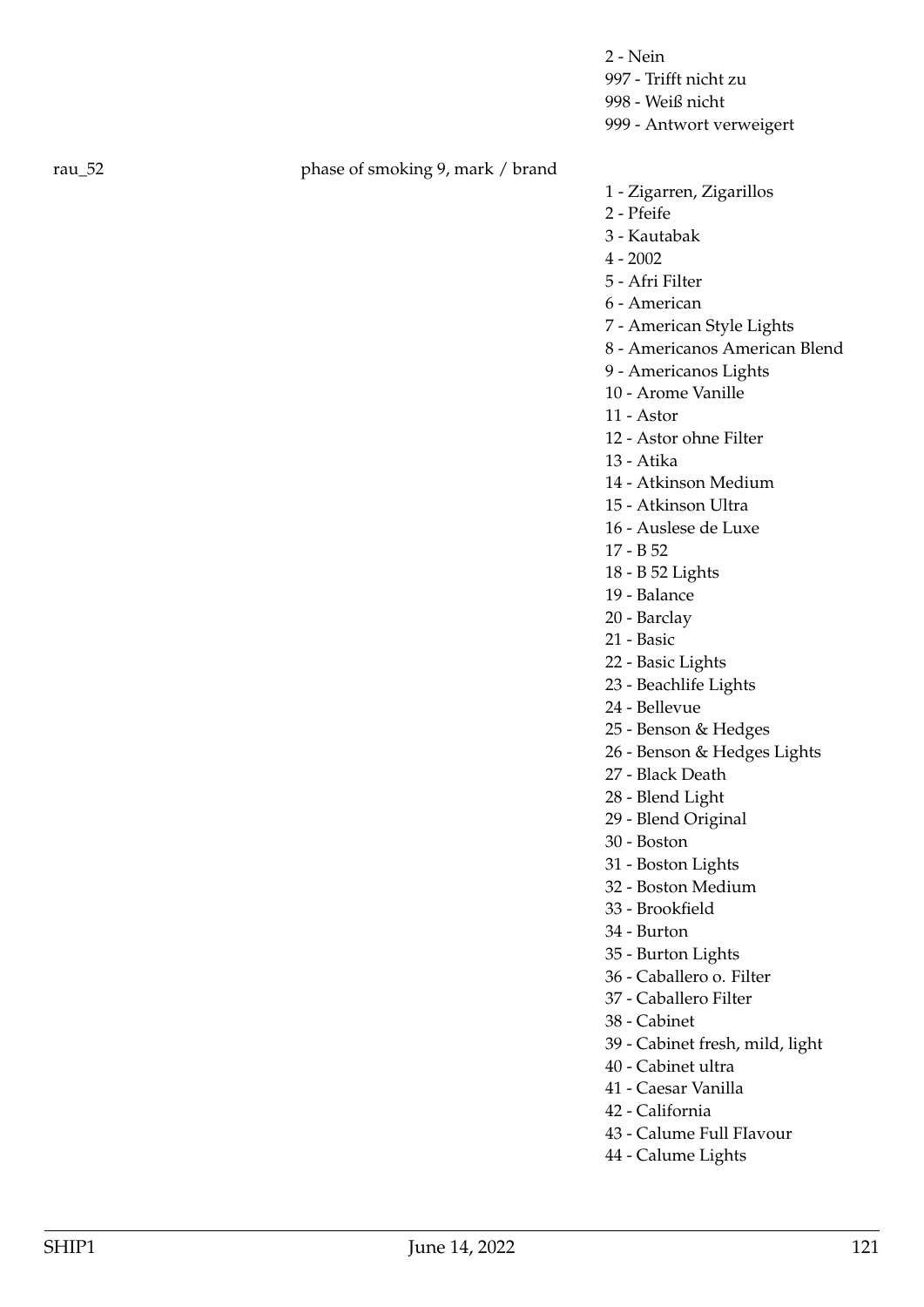2 - Nein 997 - Trifft nicht zu 998 - Weiß nicht 999 - Antwort verweigert

## rau\_52 phase of smoking 9, mark / brand

- 1 Zigarren, Zigarillos
- 2 Pfeife
- 3 Kautabak
- 4 2002
- 5 Afri Filter
- 6 American
- 7 American Style Lights
- 8 Americanos American Blend
- 9 Americanos Lights
- 10 Arome Vanille
- 11 Astor
- 12 Astor ohne Filter
- 13 Atika
- 14 Atkinson Medium
- 15 Atkinson Ultra
- 16 Auslese de Luxe
- 17 B 52
- 18 B 52 Lights
- 19 Balance
- 20 Barclay
- 21 Basic
- 22 Basic Lights
- 23 Beachlife Lights
- 24 Bellevue
- 25 Benson & Hedges
- 26 Benson & Hedges Lights
- 27 Black Death
- 28 Blend Light
- 29 Blend Original
- 30 Boston
- 31 Boston Lights
- 32 Boston Medium
- 33 Brookfield
- 34 Burton
- 35 Burton Lights
- 36 Caballero o. Filter
- 37 Caballero Filter
- 38 Cabinet
- 39 Cabinet fresh, mild, light
- 40 Cabinet ultra
- 41 Caesar Vanilla
- 42 California
- 43 Calume Full FIavour
- 44 Calume Lights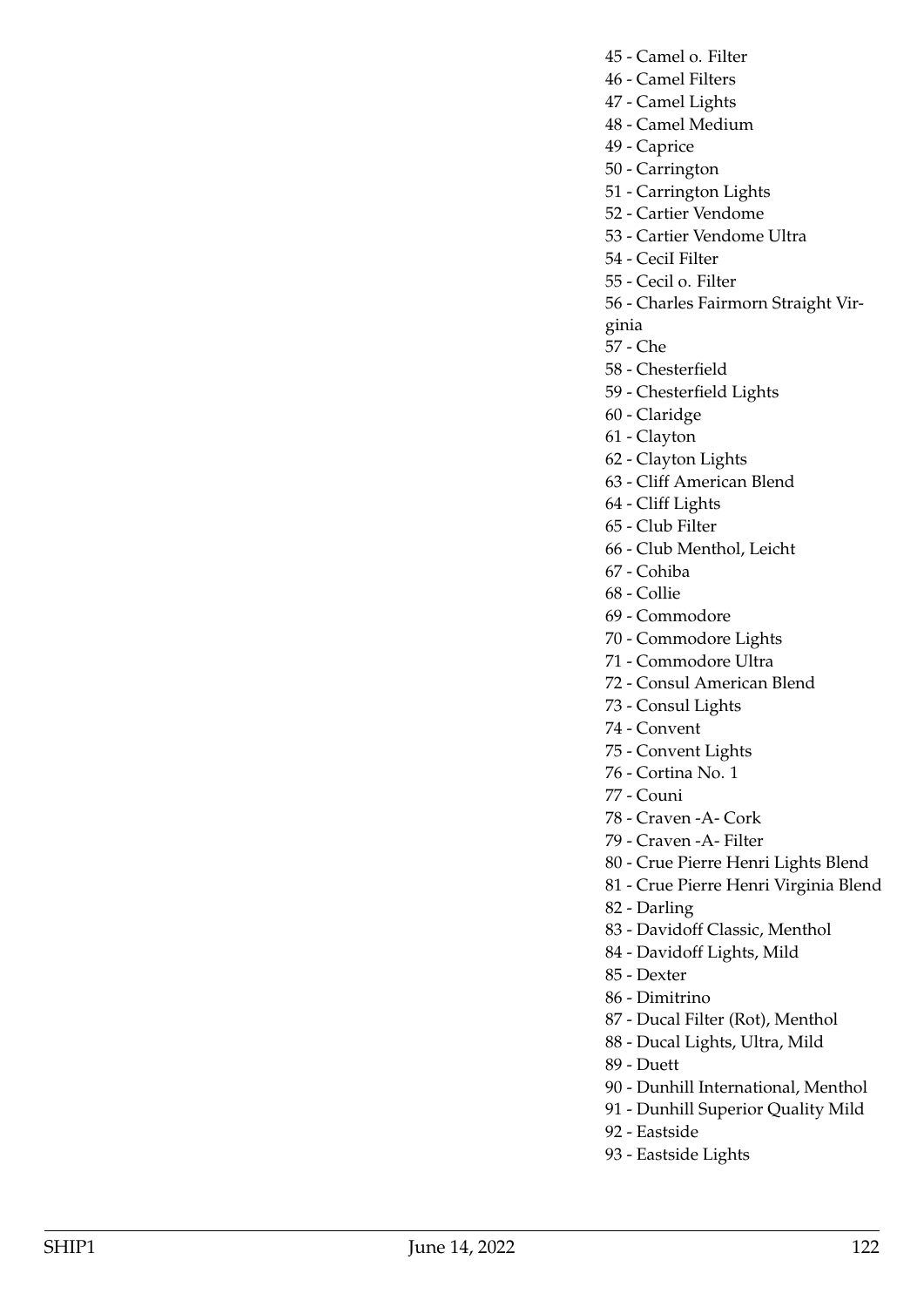- 45 Camel o. Filter
- 46 Camel Filters
- 47 Camel Lights 48 - Camel Medium
- 49 Caprice
- 50 Carrington
- 51 Carrington Lights
- 52 Cartier Vendome
- 53 Cartier Vendome Ultra
- 54 CeciI Filter
- 55 Cecil o. Filter
- 56 Charles Fairmorn Straight Vir-
- ginia
- 57 Che
- 58 Chesterfield
- 59 Chesterfield Lights
- 60 Claridge
- 61 Clayton
- 62 Clayton Lights
- 63 Cliff American Blend
- 64 Cliff Lights
- 65 Club Filter
- 66 Club Menthol, Leicht
- 67 Cohiba
- 68 Collie
- 69 Commodore
- 70 Commodore Lights
- 71 Commodore Ultra
- 72 Consul American Blend
- 73 Consul Lights
- 74 Convent
- 75 Convent Lights
- 76 Cortina No. 1
- 77 Couni
- 78 Craven -A- Cork
- 79 Craven -A- Filter
- 80 Crue Pierre Henri Lights Blend

81 - Crue Pierre Henri Virginia Blend

- 82 Darling
- 83 Davidoff Classic, Menthol
- 84 Davidoff Lights, Mild
- 85 Dexter
- 86 Dimitrino
- 87 Ducal Filter (Rot), Menthol
- 88 Ducal Lights, Ultra, Mild
- 89 Duett
- 90 Dunhill International, Menthol
- 91 Dunhill Superior Quality Mild
- 92 Eastside
- 93 Eastside Lights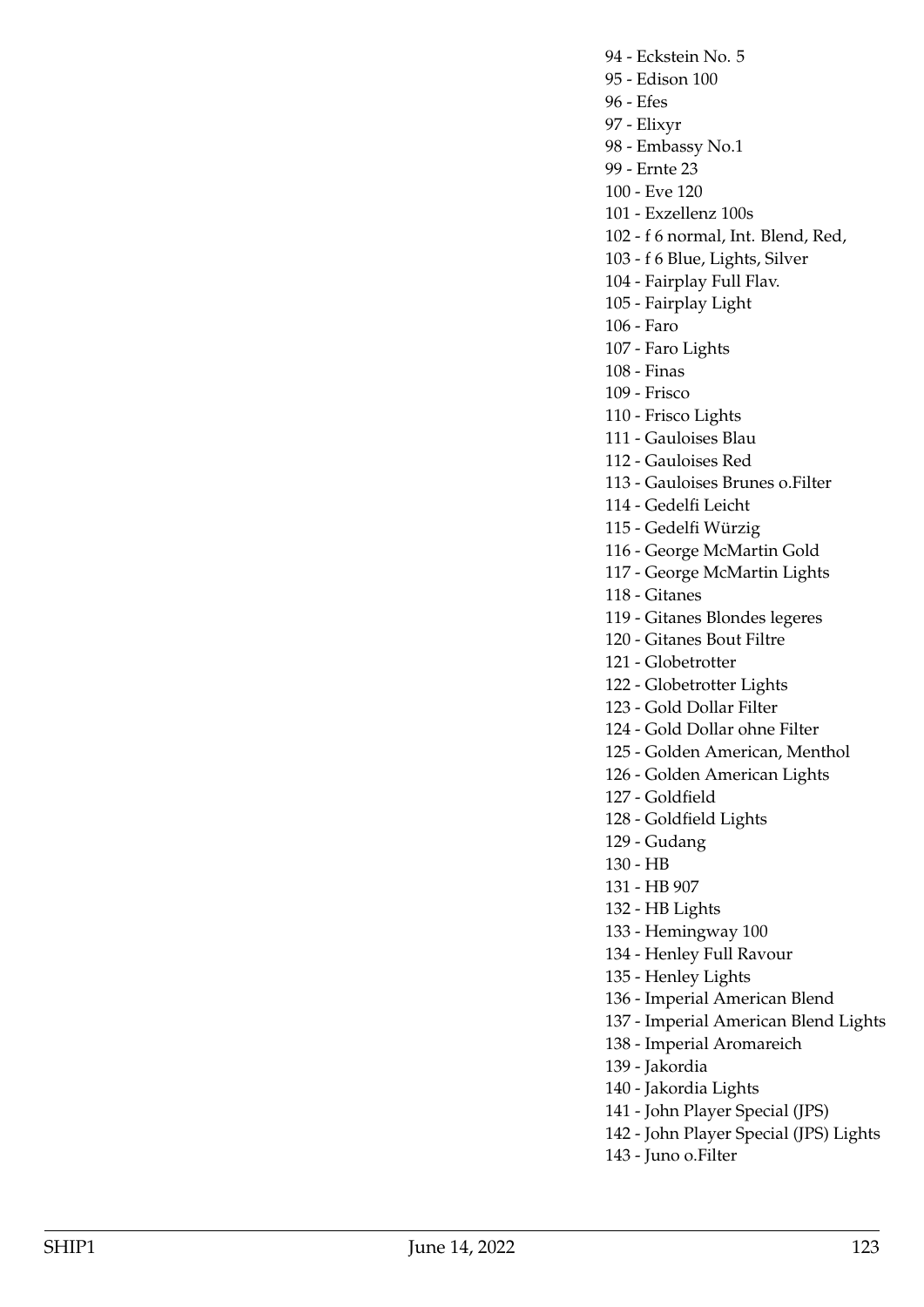94 - Eckstein No. 5 95 - Edison 100 96 - Efes 97 - Elixyr 98 - Embassy No.1 99 - Ernte 23 100 - Eve 120 101 - Exzellenz 100s 102 - f 6 normal, Int. Blend, Red, 103 - f 6 Blue, Lights, Silver 104 - Fairplay Full Flav. 105 - Fairplay Light 106 - Faro 107 - Faro Lights 108 - Finas 109 - Frisco 110 - Frisco Lights 111 - Gauloises Blau 112 - Gauloises Red 113 - Gauloises Brunes o.Filter 114 - Gedelfi Leicht 115 - Gedelfi Würzig 116 - George McMartin Gold 117 - George McMartin Lights 118 - Gitanes 119 - Gitanes Blondes legeres 120 - Gitanes Bout Filtre 121 - Globetrotter 122 - Globetrotter Lights 123 - Gold Dollar Filter 124 - Gold Dollar ohne Filter

- 125 Golden American, Menthol
- 126 Golden American Lights
- 127 Goldfield
- 
- 128 Goldfield Lights
- 129 Gudang
- 130 HB
- 131 HB 907
- 132 HB Lights
- 133 Hemingway 100
- 134 Henley Full Ravour
- 135 Henley Lights
- 136 Imperial American Blend
- 137 Imperial American Blend Lights
- 138 Imperial Aromareich
- 139 Jakordia
- 140 Jakordia Lights
- 141 John Player Special (JPS)
- 142 John Player Special (JPS) Lights
- 143 Juno o.Filter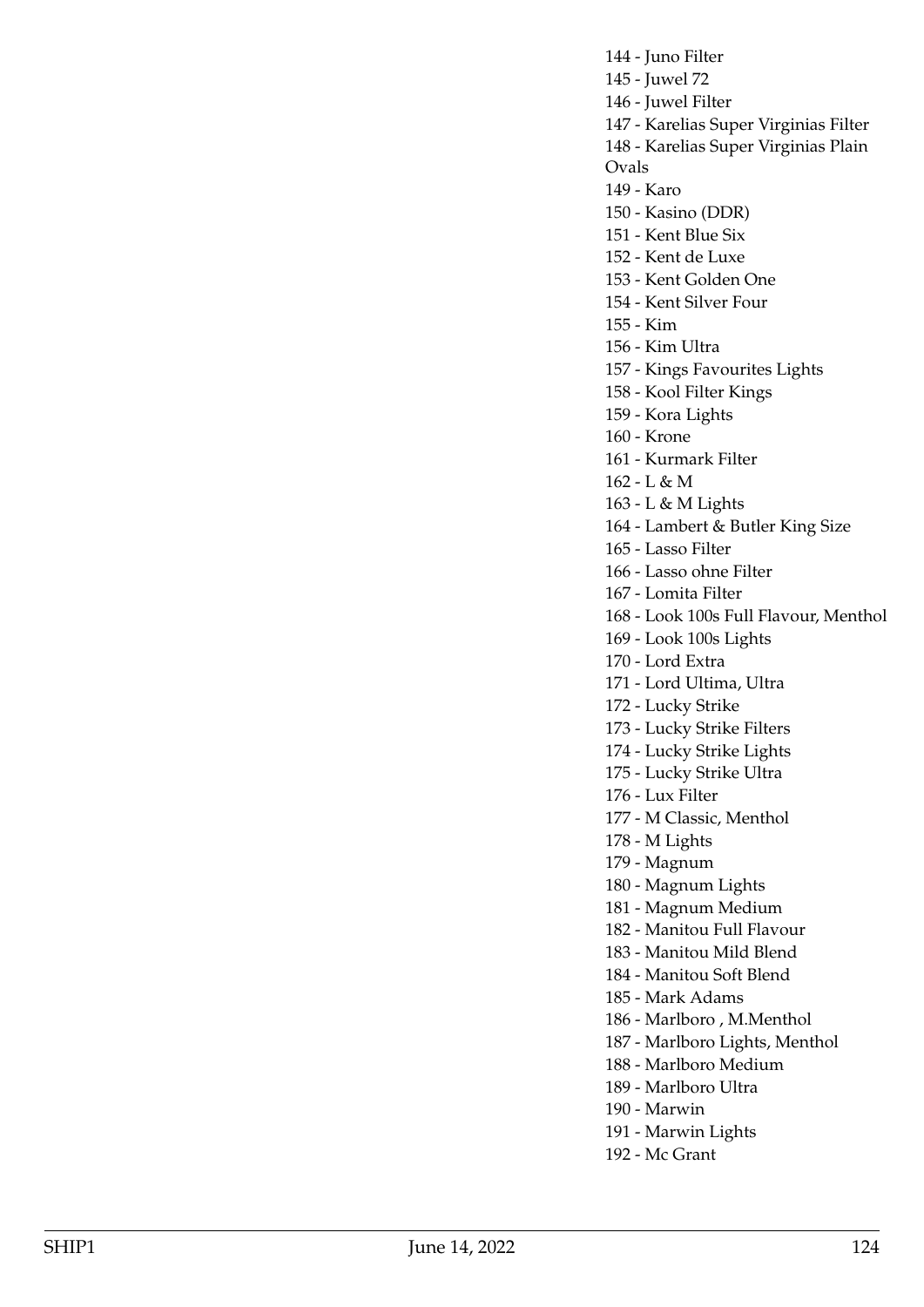144 - Juno Filter 145 - Juwel 72 146 - Juwel Filter 147 - Karelias Super Virginias Filter 148 - Karelias Super Virginias Plain Ovals 149 - Karo 150 - Kasino (DDR) 151 - Kent Blue Six 152 - Kent de Luxe 153 - Kent Golden One 154 - Kent Silver Four 155 - Kim 156 - Kim Ultra 157 - Kings Favourites Lights 158 - Kool Filter Kings 159 - Kora Lights 160 - Krone 161 - Kurmark Filter 162 - L & M 163 - L & M Lights 164 - Lambert & Butler King Size 165 - Lasso Filter 166 - Lasso ohne Filter 167 - Lomita Filter 168 - Look 100s Full Flavour, Menthol 169 - Look 100s Lights 170 - Lord Extra 171 - Lord Ultima, Ultra 172 - Lucky Strike 173 - Lucky Strike Filters 174 - Lucky Strike Lights 175 - Lucky Strike Ultra 176 - Lux Filter 177 - M Classic, Menthol 178 - M Lights 179 - Magnum 180 - Magnum Lights 181 - Magnum Medium 182 - Manitou Full Flavour 183 - Manitou Mild Blend 184 - Manitou Soft Blend 185 - Mark Adams 186 - Marlboro , M.Menthol 187 - Marlboro Lights, Menthol 188 - Marlboro Medium 189 - Marlboro Ultra 190 - Marwin 191 - Marwin Lights

192 - Mc Grant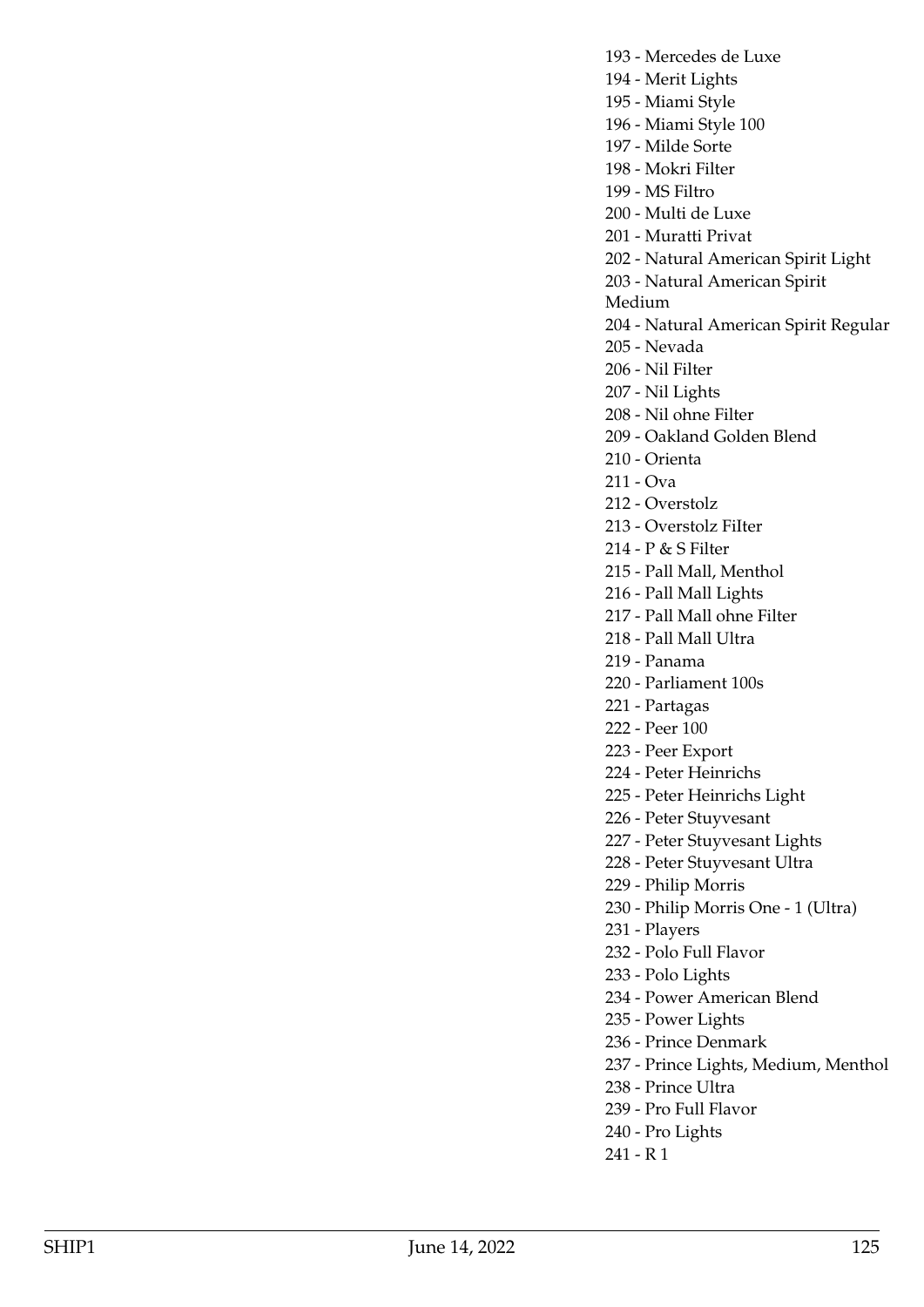- 193 Mercedes de Luxe 194 - Merit Lights 195 - Miami Style 196 - Miami Style 100 197 - Milde Sorte 198 - Mokri Filter 199 - MS Filtro 200 - Multi de Luxe 201 - Muratti Privat 202 - Natural American Spirit Light 203 - Natural American Spirit Medium 204 - Natural American Spirit Regular 205 - Nevada 206 - Nil Filter 207 - Nil Lights 208 - Nil ohne Filter 209 - Oakland Golden Blend 210 - Orienta 211 - Ova 212 - Overstolz 213 - Overstolz FiIter 214 - P & S Filter 215 - Pall Mall, Menthol 216 - Pall Mall Lights 217 - Pall Mall ohne Filter 218 - Pall Mall Ultra 219 - Panama 220 - Parliament 100s 221 - Partagas 222 - Peer 100 223 - Peer Export 224 - Peter Heinrichs 225 - Peter Heinrichs Light 226 - Peter Stuyvesant 227 - Peter Stuyvesant Lights 228 - Peter Stuyvesant Ultra 229 - Philip Morris
- 230 Philip Morris One 1 (Ultra)
- 231 Players
- 232 Polo Full Flavor
- 233 Polo Lights
- 234 Power American Blend
- 235 Power Lights
- 236 Prince Denmark
- 237 Prince Lights, Medium, Menthol
- 238 Prince Ultra
- 239 Pro Full Flavor
- 240 Pro Lights
- 241 R 1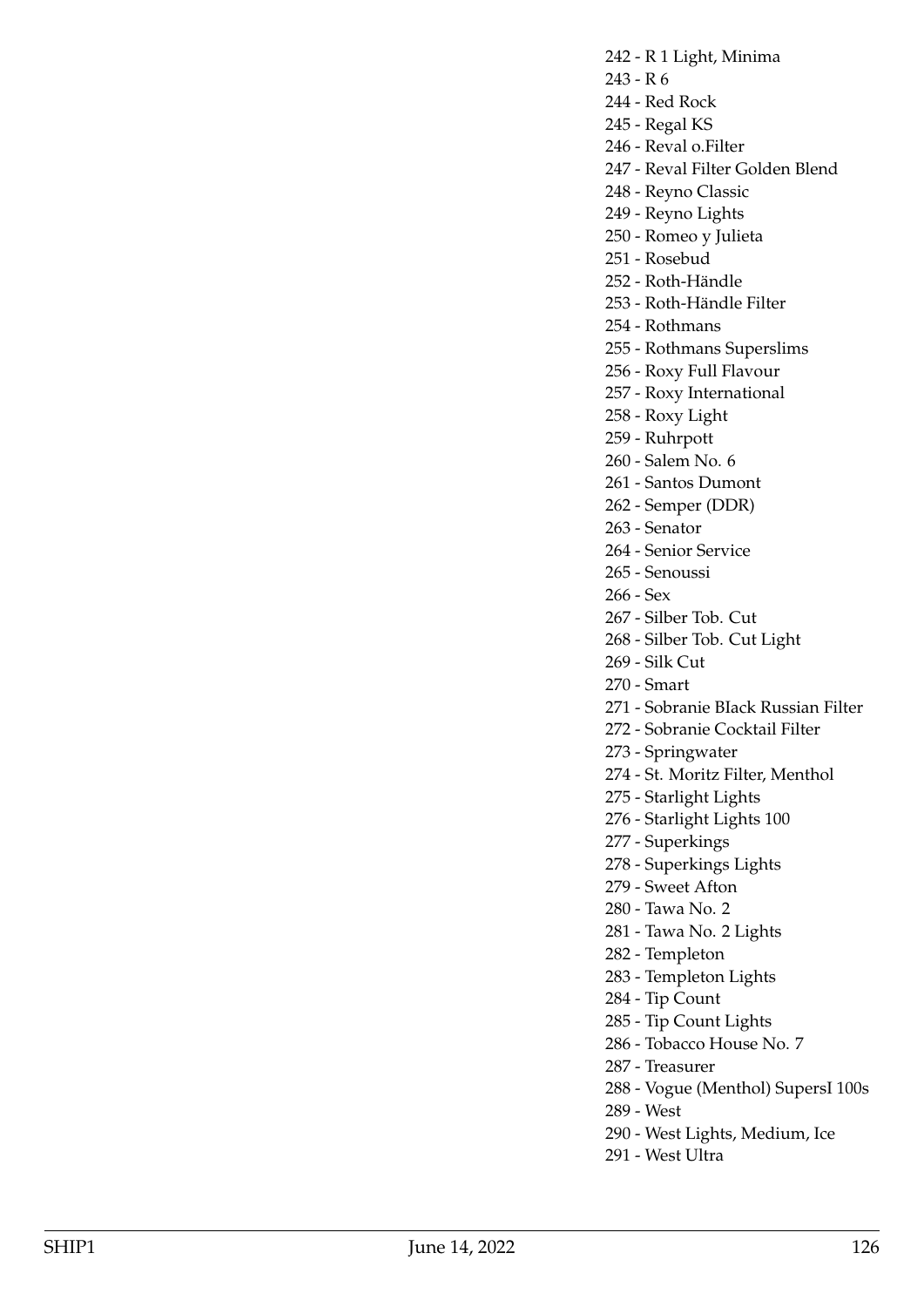- 242 R 1 Light, Minima
- 243 R 6
- 244 Red Rock
- 245 Regal KS
- 246 Reval o.Filter
- 247 Reval Filter Golden Blend
- 248 Reyno Classic
- 249 Reyno Lights
- 250 Romeo y Julieta
- 251 Rosebud
- 252 Roth-Händle
- 253 Roth-Händle Filter
- 254 Rothmans
- 255 Rothmans Superslims
- 256 Roxy Full Flavour
- 257 Roxy International
- 258 Roxy Light
- 259 Ruhrpott
- 260 Salem No. 6
- 261 Santos Dumont
- 262 Semper (DDR)
- 263 Senator
- 264 Senior Service
- 265 Senoussi
- 266 Sex
- 267 Silber Tob. Cut
- 268 Silber Tob. Cut Light
- 269 Silk Cut
- 270 Smart
- 271 Sobranie BIack Russian Filter
- 272 Sobranie Cocktail Filter
- 273 Springwater
- 274 St. Moritz Filter, Menthol
- 275 Starlight Lights
- 276 Starlight Lights 100
- 277 Superkings
- 278 Superkings Lights
- 279 Sweet Afton
- 280 Tawa No. 2
- 281 Tawa No. 2 Lights
- 282 Templeton
- 283 Templeton Lights
- 284 Tip Count
- 285 Tip Count Lights
- 286 Tobacco House No. 7
- 287 Treasurer
- 288 Vogue (Menthol) SupersI 100s
- 289 West
- 290 West Lights, Medium, Ice
- 291 West Ultra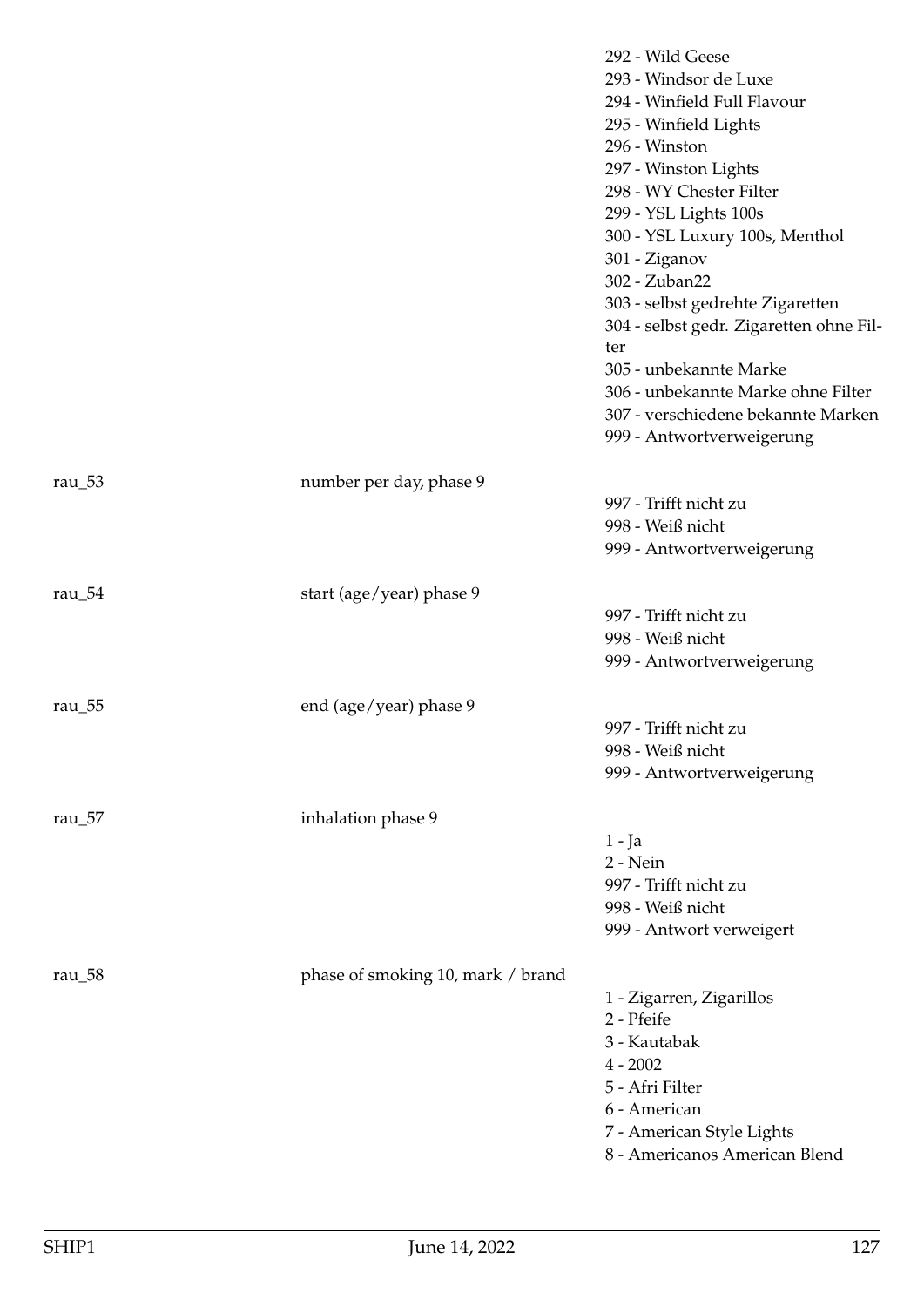|            |                                   | 292 - Wild Geese<br>293 - Windsor de Luxe<br>294 - Winfield Full Flavour<br>295 - Winfield Lights<br>296 - Winston<br>297 - Winston Lights<br>298 - WY Chester Filter<br>299 - YSL Lights 100s<br>300 - YSL Luxury 100s, Menthol<br>301 - Ziganov<br>302 - Zuban22<br>303 - selbst gedrehte Zigaretten<br>304 - selbst gedr. Zigaretten ohne Fil-<br>ter<br>305 - unbekannte Marke<br>306 - unbekannte Marke ohne Filter<br>307 - verschiedene bekannte Marken<br>999 - Antwortverweigerung |
|------------|-----------------------------------|---------------------------------------------------------------------------------------------------------------------------------------------------------------------------------------------------------------------------------------------------------------------------------------------------------------------------------------------------------------------------------------------------------------------------------------------------------------------------------------------|
| rau $\_53$ | number per day, phase 9           |                                                                                                                                                                                                                                                                                                                                                                                                                                                                                             |
|            |                                   | 997 - Trifft nicht zu                                                                                                                                                                                                                                                                                                                                                                                                                                                                       |
|            |                                   | 998 - Weiß nicht                                                                                                                                                                                                                                                                                                                                                                                                                                                                            |
|            |                                   | 999 - Antwortverweigerung                                                                                                                                                                                                                                                                                                                                                                                                                                                                   |
| rau $\_54$ | start (age/year) phase 9          |                                                                                                                                                                                                                                                                                                                                                                                                                                                                                             |
|            |                                   | 997 - Trifft nicht zu                                                                                                                                                                                                                                                                                                                                                                                                                                                                       |
|            |                                   | 998 - Weiß nicht                                                                                                                                                                                                                                                                                                                                                                                                                                                                            |
|            |                                   | 999 - Antwortverweigerung                                                                                                                                                                                                                                                                                                                                                                                                                                                                   |
| rau $\_55$ | end (age/year) phase 9            |                                                                                                                                                                                                                                                                                                                                                                                                                                                                                             |
|            |                                   | 997 - Trifft nicht zu                                                                                                                                                                                                                                                                                                                                                                                                                                                                       |
|            |                                   | 998 - Weiß nicht                                                                                                                                                                                                                                                                                                                                                                                                                                                                            |
|            |                                   | 999 - Antwortverweigerung                                                                                                                                                                                                                                                                                                                                                                                                                                                                   |
|            |                                   |                                                                                                                                                                                                                                                                                                                                                                                                                                                                                             |
| rau $\_57$ | inhalation phase 9                | $1 - Ja$                                                                                                                                                                                                                                                                                                                                                                                                                                                                                    |
|            |                                   | 2 - Nein                                                                                                                                                                                                                                                                                                                                                                                                                                                                                    |
|            |                                   | 997 - Trifft nicht zu                                                                                                                                                                                                                                                                                                                                                                                                                                                                       |
|            |                                   | 998 - Weiß nicht                                                                                                                                                                                                                                                                                                                                                                                                                                                                            |
|            |                                   | 999 - Antwort verweigert                                                                                                                                                                                                                                                                                                                                                                                                                                                                    |
| rau $_58$  | phase of smoking 10, mark / brand |                                                                                                                                                                                                                                                                                                                                                                                                                                                                                             |
|            |                                   | 1 - Zigarren, Zigarillos                                                                                                                                                                                                                                                                                                                                                                                                                                                                    |
|            |                                   | 2 - Pfeife                                                                                                                                                                                                                                                                                                                                                                                                                                                                                  |
|            |                                   | 3 - Kautabak                                                                                                                                                                                                                                                                                                                                                                                                                                                                                |
|            |                                   | $4 - 2002$                                                                                                                                                                                                                                                                                                                                                                                                                                                                                  |
|            |                                   | 5 - Afri Filter                                                                                                                                                                                                                                                                                                                                                                                                                                                                             |
|            |                                   | 6 - American                                                                                                                                                                                                                                                                                                                                                                                                                                                                                |
|            |                                   | 7 - American Style Lights                                                                                                                                                                                                                                                                                                                                                                                                                                                                   |
|            |                                   | 8 - Americanos American Blend                                                                                                                                                                                                                                                                                                                                                                                                                                                               |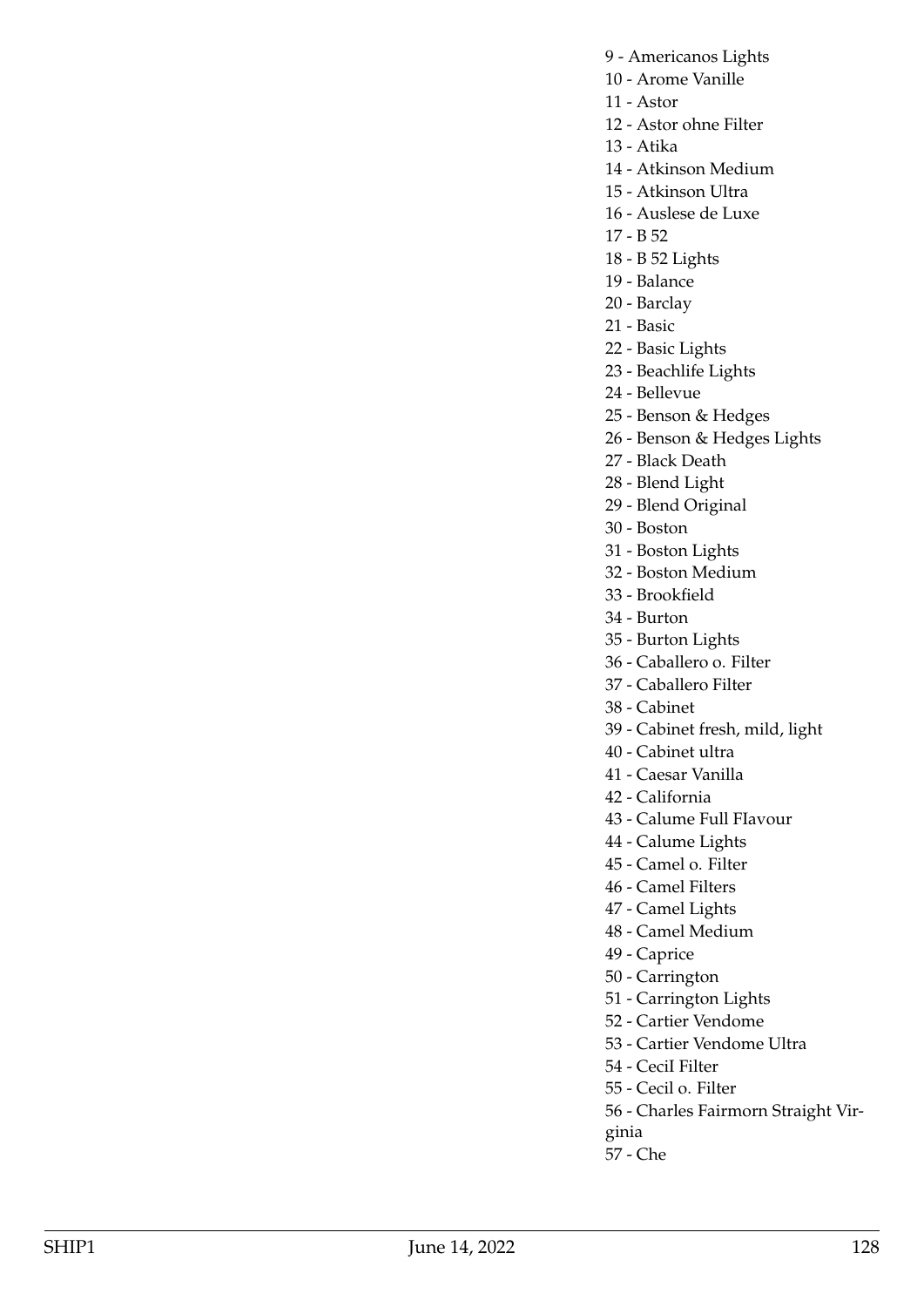- 9 Americanos Lights
- 10 Arome Vanille
- 11 Astor

12 - Astor ohne Filter

13 - Atika

14 - Atkinson Medium

- 15 Atkinson Ultra
- 16 Auslese de Luxe
- 17 B 52
- 18 B 52 Lights
- 19 Balance
- 20 Barclay
- 21 Basic
- 22 Basic Lights
- 23 Beachlife Lights
- 24 Bellevue
- 25 Benson & Hedges
- 26 Benson & Hedges Lights
- 27 Black Death
- 28 Blend Light
- 29 Blend Original
- 30 Boston
- 31 Boston Lights
- 32 Boston Medium
- 33 Brookfield
- 34 Burton
- 35 Burton Lights
- 36 Caballero o. Filter
- 37 Caballero Filter
- 38 Cabinet
- 39 Cabinet fresh, mild, light
- 40 Cabinet ultra
- 41 Caesar Vanilla
- 42 California
- 43 Calume Full FIavour
- 44 Calume Lights
- 45 Camel o. Filter
- 46 Camel Filters
- 47 Camel Lights
- 48 Camel Medium
- 49 Caprice
- 50 Carrington
- 51 Carrington Lights
- 52 Cartier Vendome
- 53 Cartier Vendome Ultra
- 54 CeciI Filter
- 55 Cecil o. Filter
- 56 Charles Fairmorn Straight Vir-
- ginia
- 57 Che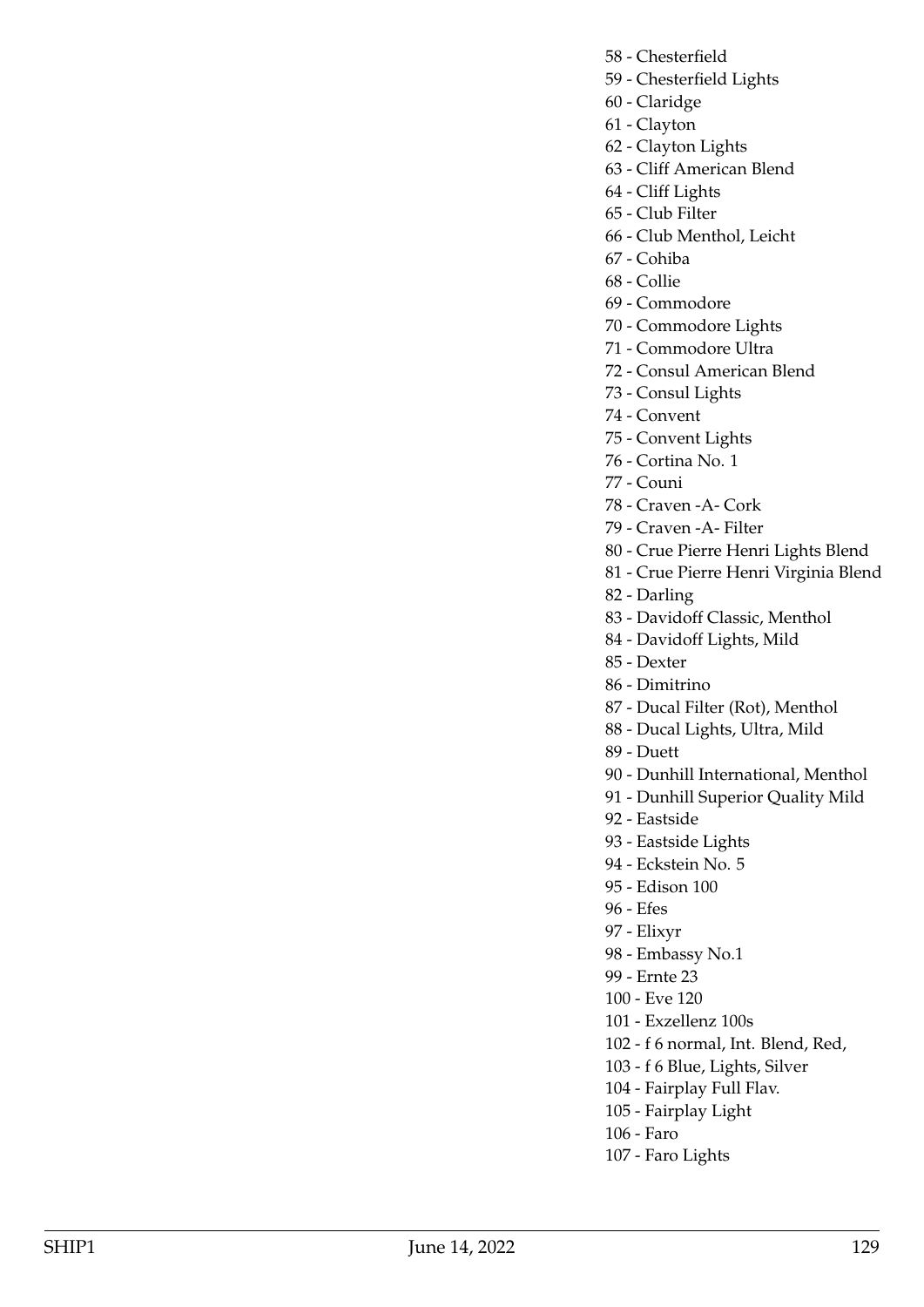- 58 Chesterfield
- 59 Chesterfield Lights
- 60 Claridge
- 61 Clayton
- 62 Clayton Lights
- 63 Cliff American Blend
- 64 Cliff Lights
- 65 Club Filter
- 66 Club Menthol, Leicht
- 67 Cohiba
- 68 Collie
- 69 Commodore
- 70 Commodore Lights
- 71 Commodore Ultra
- 72 Consul American Blend
- 73 Consul Lights
- 74 Convent
- 75 Convent Lights
- 76 Cortina No. 1
- 77 Couni
- 78 Craven -A- Cork
- 79 Craven -A- Filter
- 80 Crue Pierre Henri Lights Blend
- 81 Crue Pierre Henri Virginia Blend
- 82 Darling
- 83 Davidoff Classic, Menthol
- 84 Davidoff Lights, Mild
- 85 Dexter
- 86 Dimitrino
- 87 Ducal Filter (Rot), Menthol
- 88 Ducal Lights, Ultra, Mild
- 89 Duett
- 90 Dunhill International, Menthol
- 91 Dunhill Superior Quality Mild
- 92 Eastside
- 93 Eastside Lights
- 94 Eckstein No. 5
- 95 Edison 100
- 96 Efes
- 97 Elixyr
- 98 Embassy No.1
- 99 Ernte 23
- 100 Eve 120
- 101 Exzellenz 100s
- 102 f 6 normal, Int. Blend, Red,
- 103 f 6 Blue, Lights, Silver
- 104 Fairplay Full Flav.
- 105 Fairplay Light
- 106 Faro
- 107 Faro Lights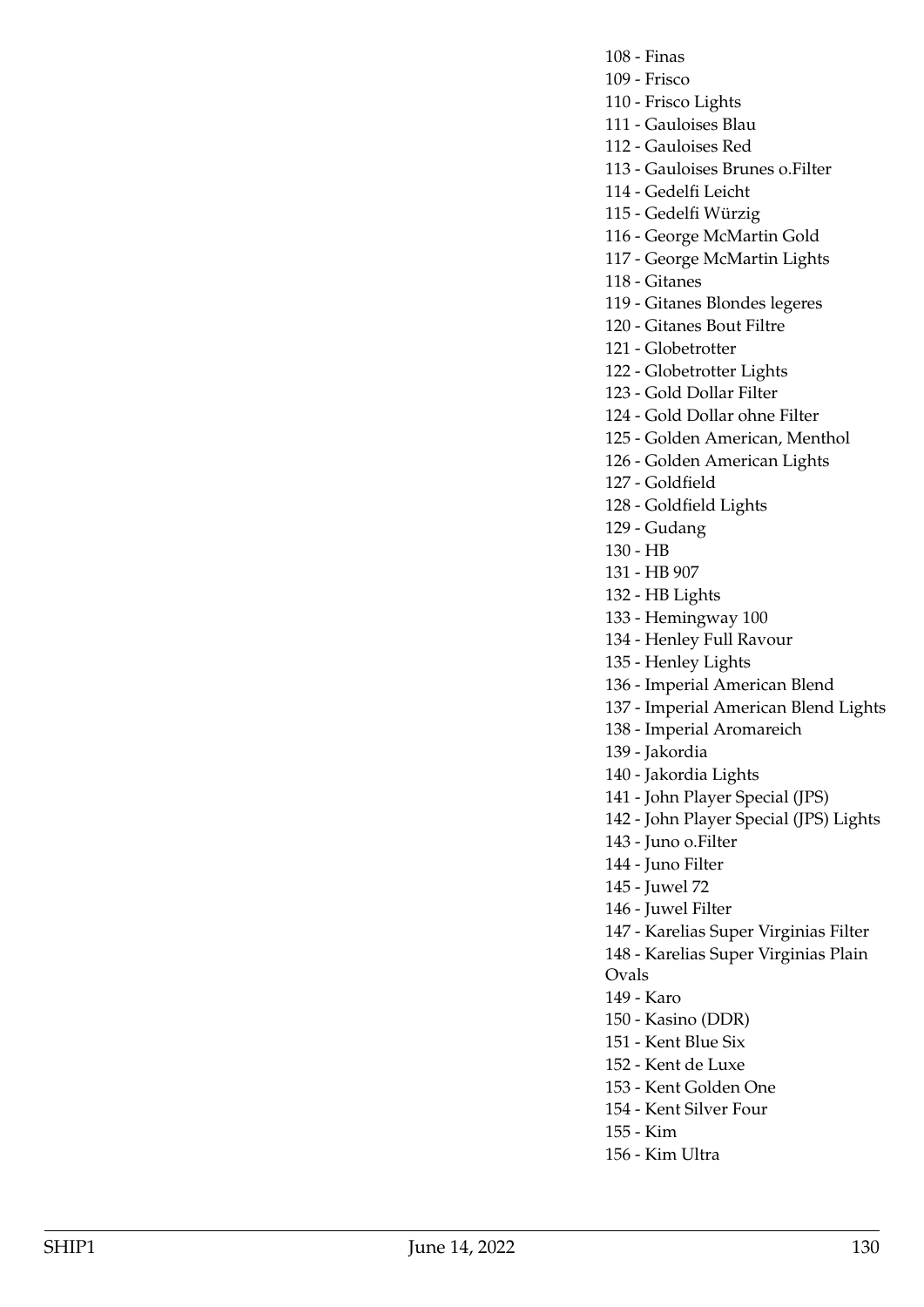- 108 Finas
- 109 Frisco
- 110 Frisco Lights
- 111 Gauloises Blau
- 112 Gauloises Red
- 113 Gauloises Brunes o.Filter
- 114 Gedelfi Leicht
- 115 Gedelfi Würzig
- 116 George McMartin Gold
- 117 George McMartin Lights
- 118 Gitanes
- 119 Gitanes Blondes legeres
- 120 Gitanes Bout Filtre
- 121 Globetrotter
- 122 Globetrotter Lights
- 123 Gold Dollar Filter
- 124 Gold Dollar ohne Filter
- 125 Golden American, Menthol
- 126 Golden American Lights
- 127 Goldfield
- 128 Goldfield Lights
- 129 Gudang
- 130 HB
- 131 HB 907
- 132 HB Lights
- 133 Hemingway 100
- 134 Henley Full Ravour
- 135 Henley Lights
- 136 Imperial American Blend
- 137 Imperial American Blend Lights
- 138 Imperial Aromareich
- 139 Jakordia
- 140 Jakordia Lights
- 141 John Player Special (JPS)
- 142 John Player Special (JPS) Lights
- 143 Juno o.Filter
- 144 Juno Filter
- 145 Juwel 72
- 146 Juwel Filter
- 147 Karelias Super Virginias Filter
- 148 Karelias Super Virginias Plain
- Ovals
	- 149 Karo
	- 150 Kasino (DDR)
	- 151 Kent Blue Six
	- 152 Kent de Luxe
	- 153 Kent Golden One
	- 154 Kent Silver Four
- 155 Kim
- 156 Kim Ultra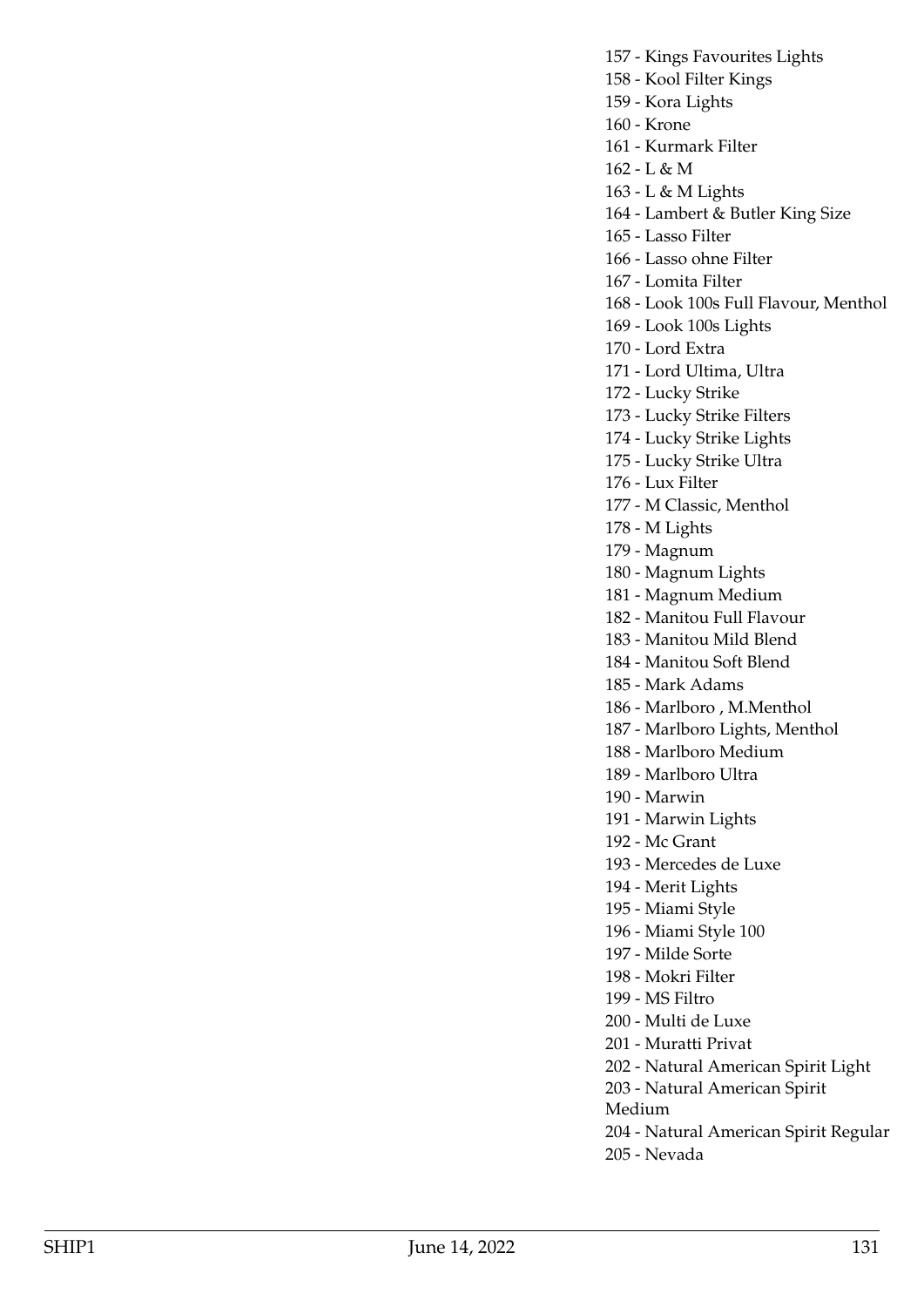157 - Kings Favourites Lights 158 - Kool Filter Kings 159 - Kora Lights 160 - Krone 161 - Kurmark Filter 162 - L & M 163 - L & M Lights 164 - Lambert & Butler King Size 165 - Lasso Filter 166 - Lasso ohne Filter 167 - Lomita Filter 168 - Look 100s Full Flavour, Menthol 169 - Look 100s Lights 170 - Lord Extra 171 - Lord Ultima, Ultra 172 - Lucky Strike 173 - Lucky Strike Filters 174 - Lucky Strike Lights 175 - Lucky Strike Ultra 176 - Lux Filter 177 - M Classic, Menthol 178 - M Lights 179 - Magnum 180 - Magnum Lights 181 - Magnum Medium 182 - Manitou Full Flavour 183 - Manitou Mild Blend 184 - Manitou Soft Blend 185 - Mark Adams 186 - Marlboro , M.Menthol 187 - Marlboro Lights, Menthol 188 - Marlboro Medium 189 - Marlboro Ultra 190 - Marwin 191 - Marwin Lights 192 - Mc Grant 193 - Mercedes de Luxe 194 - Merit Lights 195 - Miami Style 196 - Miami Style 100 197 - Milde Sorte 198 - Mokri Filter 199 - MS Filtro 200 - Multi de Luxe 201 - Muratti Privat 202 - Natural American Spirit Light 203 - Natural American Spirit Medium 204 - Natural American Spirit Regular

205 - Nevada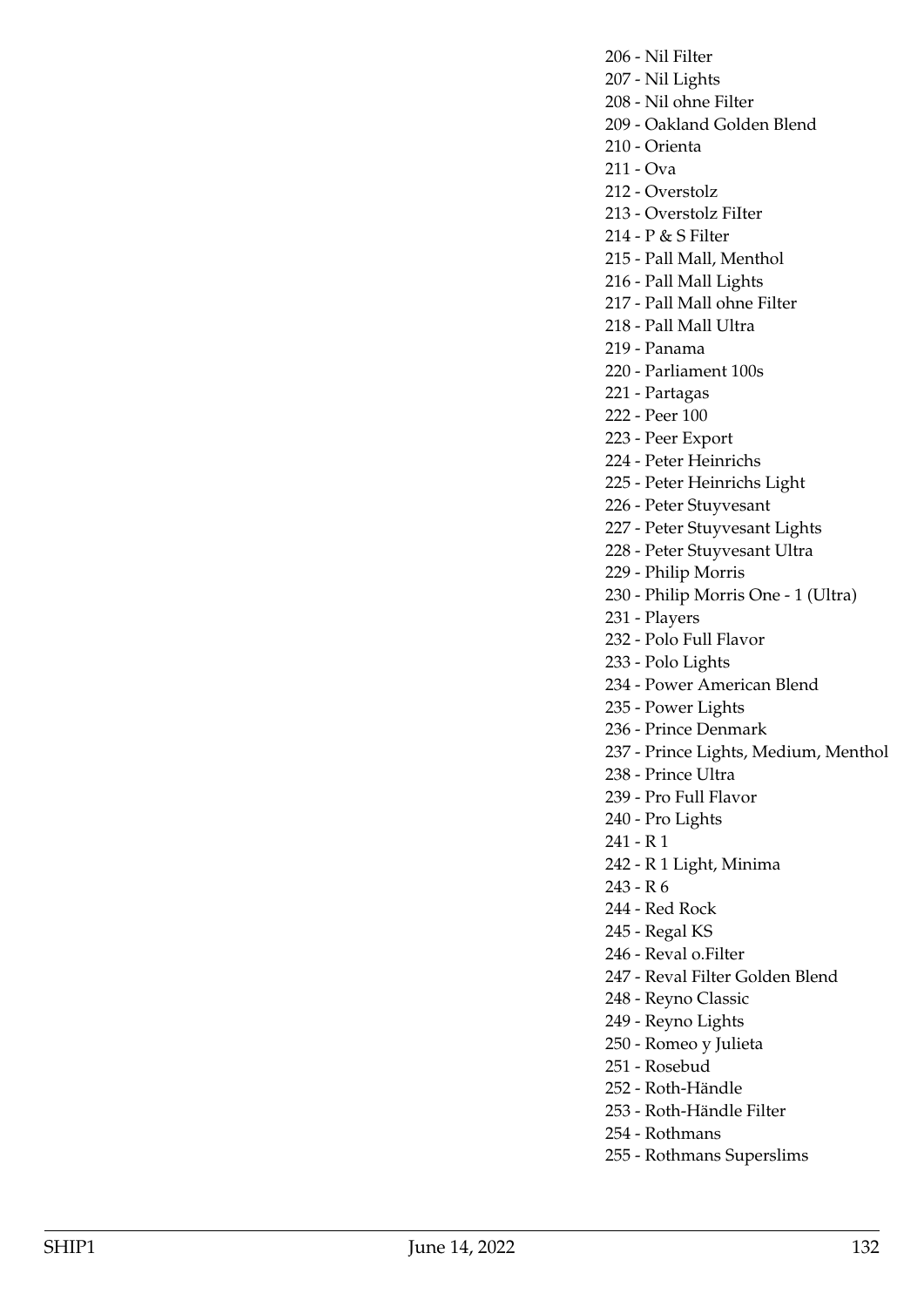206 - Nil Filter

- 207 Nil Lights
- 208 Nil ohne Filter
- 209 Oakland Golden Blend
- 210 Orienta
- 211 Ova
- 212 Overstolz
- 213 Overstolz FiIter
- 214 P & S Filter
- 215 Pall Mall, Menthol
- 216 Pall Mall Lights
- 217 Pall Mall ohne Filter
- 218 Pall Mall Ultra
- 219 Panama

220 - Parliament 100s

- 221 Partagas
- 222 Peer 100
- 223 Peer Export
- 224 Peter Heinrichs
- 225 Peter Heinrichs Light
- 226 Peter Stuyvesant
- 227 Peter Stuyvesant Lights
- 228 Peter Stuyvesant Ultra
- 229 Philip Morris
- 230 Philip Morris One 1 (Ultra)
- 231 Players
- 232 Polo Full Flavor
- 233 Polo Lights
- 234 Power American Blend
- 235 Power Lights
- 236 Prince Denmark
- 237 Prince Lights, Medium, Menthol
- 238 Prince Ultra
- 239 Pro Full Flavor
- 240 Pro Lights
- 241 R 1
- 242 R 1 Light, Minima
- 243 R 6
- 244 Red Rock
- 245 Regal KS
- 246 Reval o.Filter
- 247 Reval Filter Golden Blend
- 248 Reyno Classic
- 249 Reyno Lights
- 250 Romeo y Julieta
- 251 Rosebud
- 252 Roth-Händle
- 253 Roth-Händle Filter
- 254 Rothmans
- 255 Rothmans Superslims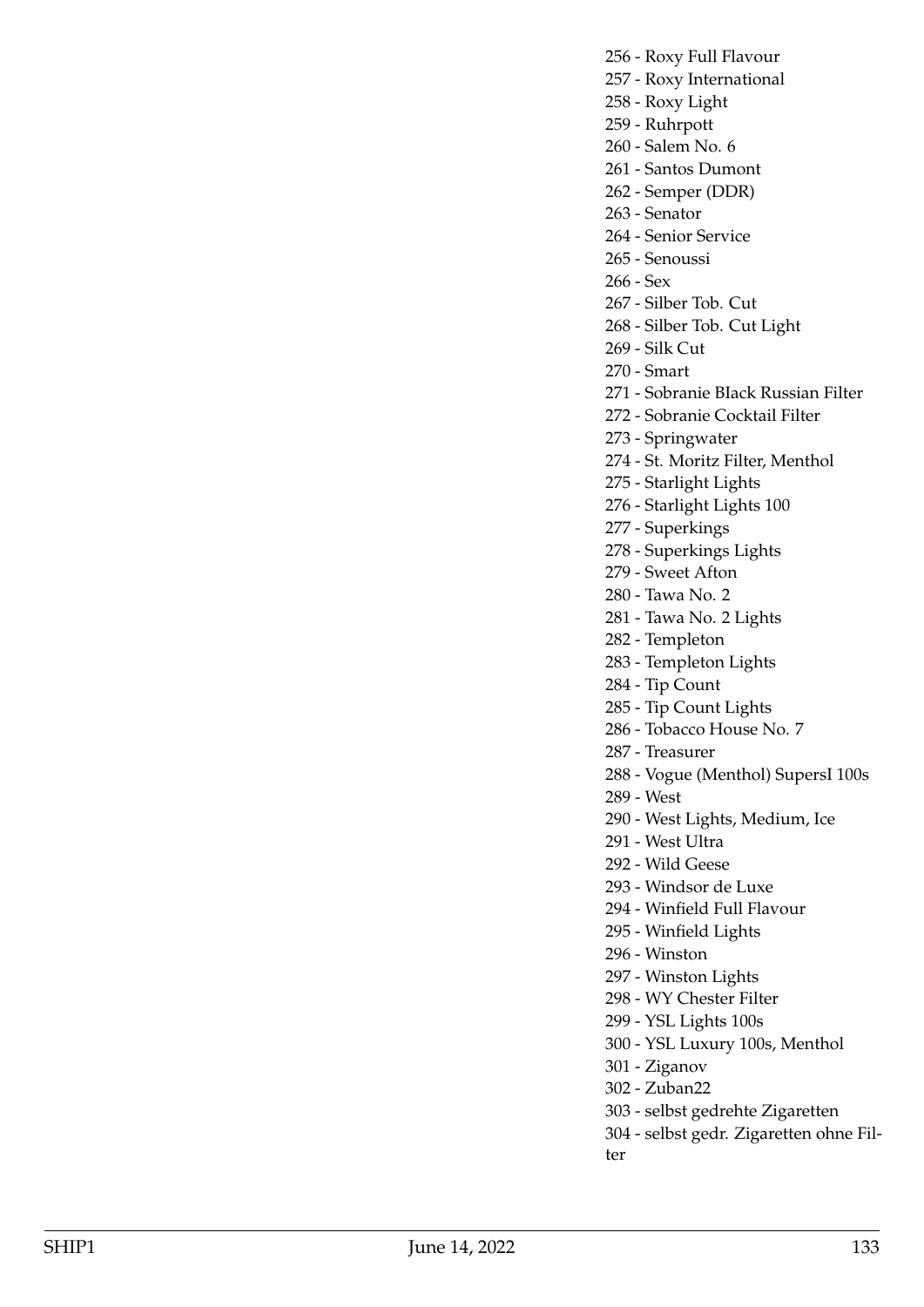256 - Roxy Full Flavour

- 257 Roxy International
- 258 Roxy Light
- 259 Ruhrpott
- 260 Salem No. 6
- 261 Santos Dumont
- 262 Semper (DDR)
- 263 Senator
- 264 Senior Service
- 265 Senoussi
- 266 Sex
- 267 Silber Tob. Cut
- 268 Silber Tob. Cut Light
- 269 Silk Cut
- 270 Smart
- 271 Sobranie BIack Russian Filter
- 272 Sobranie Cocktail Filter
- 273 Springwater
- 274 St. Moritz Filter, Menthol
- 275 Starlight Lights
- 276 Starlight Lights 100
- 277 Superkings
- 278 Superkings Lights
- 279 Sweet Afton
- 280 Tawa No. 2
- 281 Tawa No. 2 Lights
- 282 Templeton
- 283 Templeton Lights
- 284 Tip Count
- 285 Tip Count Lights
- 286 Tobacco House No. 7
- 287 Treasurer
- 288 Vogue (Menthol) SupersI 100s
- 289 West
- 290 West Lights, Medium, Ice
- 291 West Ultra
- 292 Wild Geese
- 293 Windsor de Luxe
- 294 Winfield Full Flavour
- 295 Winfield Lights
- 296 Winston
- 297 Winston Lights
- 298 WY Chester Filter
- 299 YSL Lights 100s
- 300 YSL Luxury 100s, Menthol
- 301 Ziganov
- 302 Zuban22
- 303 selbst gedrehte Zigaretten
- 304 selbst gedr. Zigaretten ohne Filter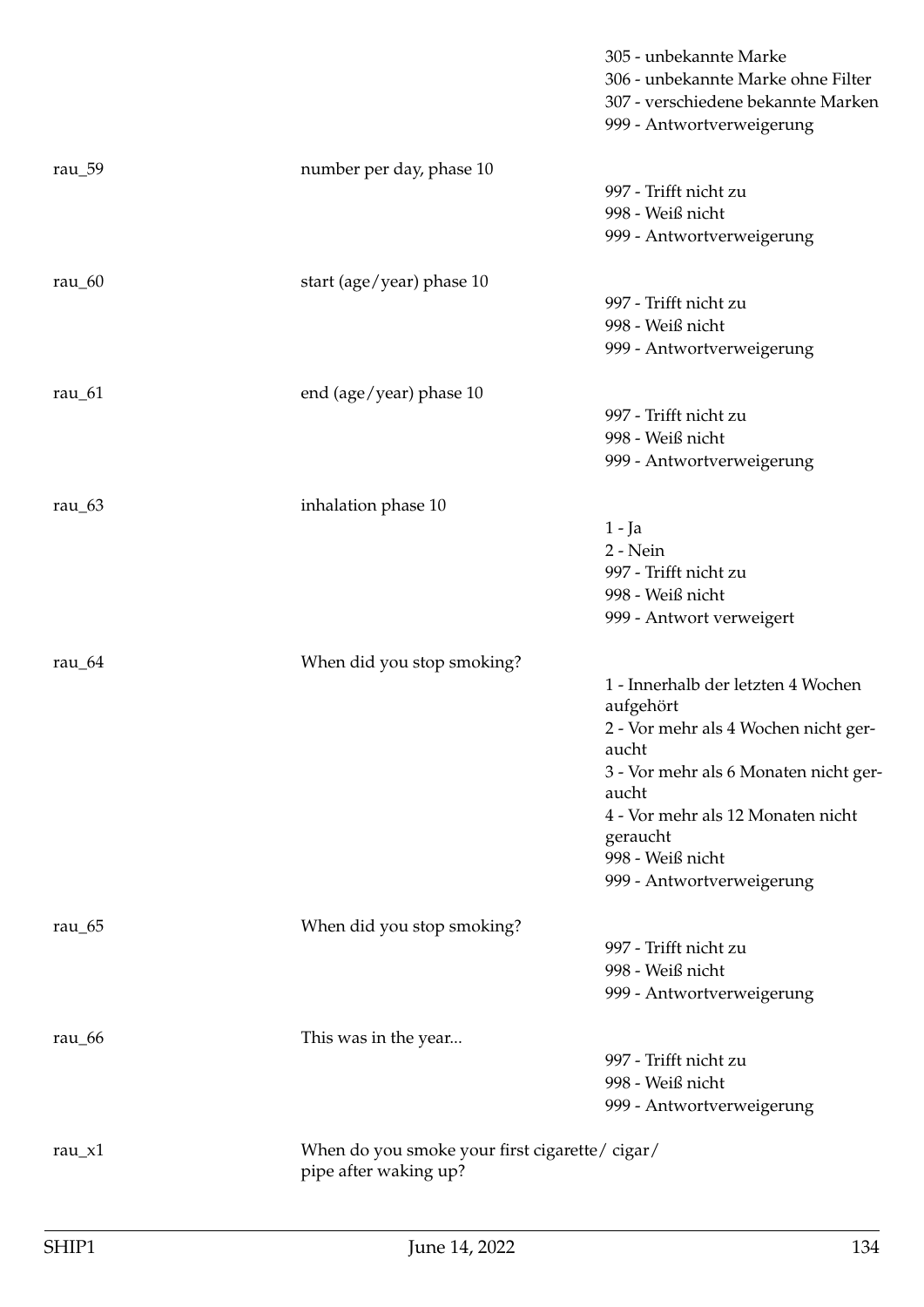|            |                                                                        | 305 - unbekannte Marke<br>306 - unbekannte Marke ohne Filter<br>307 - verschiedene bekannte Marken<br>999 - Antwortverweigerung |
|------------|------------------------------------------------------------------------|---------------------------------------------------------------------------------------------------------------------------------|
| rau $\_59$ | number per day, phase 10                                               |                                                                                                                                 |
|            |                                                                        | 997 - Trifft nicht zu                                                                                                           |
|            |                                                                        | 998 - Weiß nicht                                                                                                                |
|            |                                                                        | 999 - Antwortverweigerung                                                                                                       |
| rau $_60$  | start (age/year) phase 10                                              |                                                                                                                                 |
|            |                                                                        | 997 - Trifft nicht zu                                                                                                           |
|            |                                                                        | 998 - Weiß nicht                                                                                                                |
|            |                                                                        | 999 - Antwortverweigerung                                                                                                       |
| rau $_61$  | end (age/year) phase 10                                                |                                                                                                                                 |
|            |                                                                        | 997 - Trifft nicht zu                                                                                                           |
|            |                                                                        | 998 - Weiß nicht                                                                                                                |
|            |                                                                        | 999 - Antwortverweigerung                                                                                                       |
| rau $\_63$ | inhalation phase 10                                                    |                                                                                                                                 |
|            |                                                                        | $1 - Ja$                                                                                                                        |
|            |                                                                        | $2 - Nein$                                                                                                                      |
|            |                                                                        | 997 - Trifft nicht zu                                                                                                           |
|            |                                                                        | 998 - Weiß nicht                                                                                                                |
|            |                                                                        | 999 - Antwort verweigert                                                                                                        |
| rau $_64$  | When did you stop smoking?                                             |                                                                                                                                 |
|            |                                                                        | 1 - Innerhalb der letzten 4 Wochen                                                                                              |
|            |                                                                        | aufgehört                                                                                                                       |
|            |                                                                        | 2 - Vor mehr als 4 Wochen nicht ger-<br>aucht                                                                                   |
|            |                                                                        | 3 - Vor mehr als 6 Monaten nicht ger-<br>aucht                                                                                  |
|            |                                                                        | 4 - Vor mehr als 12 Monaten nicht                                                                                               |
|            |                                                                        | geraucht                                                                                                                        |
|            |                                                                        | 998 - Weiß nicht                                                                                                                |
|            |                                                                        | 999 - Antwortverweigerung                                                                                                       |
| rau $\_65$ | When did you stop smoking?                                             |                                                                                                                                 |
|            |                                                                        | 997 - Trifft nicht zu                                                                                                           |
|            |                                                                        | 998 - Weiß nicht                                                                                                                |
|            |                                                                        | 999 - Antwortverweigerung                                                                                                       |
|            |                                                                        |                                                                                                                                 |
| rau_66     | This was in the year                                                   | 997 - Trifft nicht zu                                                                                                           |
|            |                                                                        | 998 - Weiß nicht                                                                                                                |
|            |                                                                        | 999 - Antwortverweigerung                                                                                                       |
|            |                                                                        |                                                                                                                                 |
| rau_ $x1$  | When do you smoke your first cigarette/cigar/<br>pipe after waking up? |                                                                                                                                 |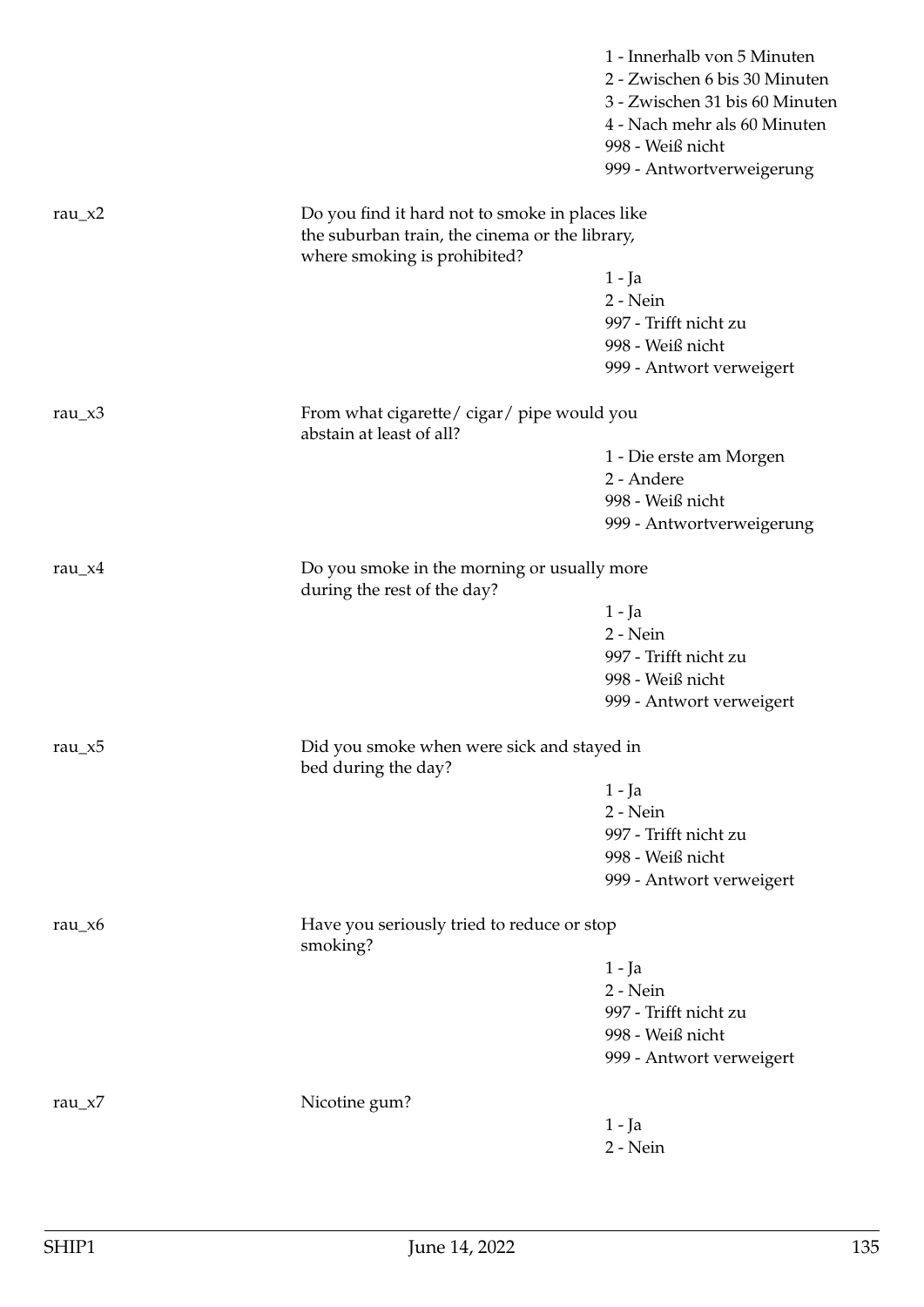|            |                                                                                                   | 1 - Innerhalb von 5 Minuten<br>2 - Zwischen 6 bis 30 Minuten<br>3 - Zwischen 31 bis 60 Minuten<br>4 - Nach mehr als 60 Minuten<br>998 - Weiß nicht<br>999 - Antwortverweigerung |
|------------|---------------------------------------------------------------------------------------------------|---------------------------------------------------------------------------------------------------------------------------------------------------------------------------------|
| rau_ $x2$  | Do you find it hard not to smoke in places like<br>the suburban train, the cinema or the library, |                                                                                                                                                                                 |
|            | where smoking is prohibited?                                                                      | 1 - Ja                                                                                                                                                                          |
|            |                                                                                                   | 2 - Nein                                                                                                                                                                        |
|            |                                                                                                   | 997 - Trifft nicht zu                                                                                                                                                           |
|            |                                                                                                   | 998 - Weiß nicht                                                                                                                                                                |
|            |                                                                                                   | 999 - Antwort verweigert                                                                                                                                                        |
| rau_ $x3$  | From what cigarette/cigar/pipe would you<br>abstain at least of all?                              |                                                                                                                                                                                 |
|            |                                                                                                   | 1 - Die erste am Morgen                                                                                                                                                         |
|            |                                                                                                   | 2 - Andere                                                                                                                                                                      |
|            |                                                                                                   | 998 - Weiß nicht                                                                                                                                                                |
|            |                                                                                                   | 999 - Antwortverweigerung                                                                                                                                                       |
| rau_ $x4$  | Do you smoke in the morning or usually more<br>during the rest of the day?                        |                                                                                                                                                                                 |
|            |                                                                                                   | 1 - Ja                                                                                                                                                                          |
|            |                                                                                                   | 2 - Nein                                                                                                                                                                        |
|            |                                                                                                   | 997 - Trifft nicht zu                                                                                                                                                           |
|            |                                                                                                   | 998 - Weiß nicht                                                                                                                                                                |
|            |                                                                                                   | 999 - Antwort verweigert                                                                                                                                                        |
| rau_x5     | Did you smoke when were sick and stayed in<br>bed during the day?                                 |                                                                                                                                                                                 |
|            |                                                                                                   | $1 - Ja$                                                                                                                                                                        |
|            |                                                                                                   | 2 - Nein                                                                                                                                                                        |
|            |                                                                                                   | 997 - Trifft nicht zu                                                                                                                                                           |
|            |                                                                                                   | 998 - Weiß nicht                                                                                                                                                                |
|            |                                                                                                   | 999 - Antwort verweigert                                                                                                                                                        |
| rau_ $x6$  | Have you seriously tried to reduce or stop<br>smoking?                                            |                                                                                                                                                                                 |
|            |                                                                                                   | $1 - Ja$                                                                                                                                                                        |
|            |                                                                                                   | 2 - Nein                                                                                                                                                                        |
|            |                                                                                                   | 997 - Trifft nicht zu                                                                                                                                                           |
|            |                                                                                                   | 998 - Weiß nicht                                                                                                                                                                |
|            |                                                                                                   | 999 - Antwort verweigert                                                                                                                                                        |
| rau $_x$ 7 | Nicotine gum?                                                                                     |                                                                                                                                                                                 |
|            |                                                                                                   | $1 - Ja$                                                                                                                                                                        |
|            |                                                                                                   | 2 - Nein                                                                                                                                                                        |
|            |                                                                                                   |                                                                                                                                                                                 |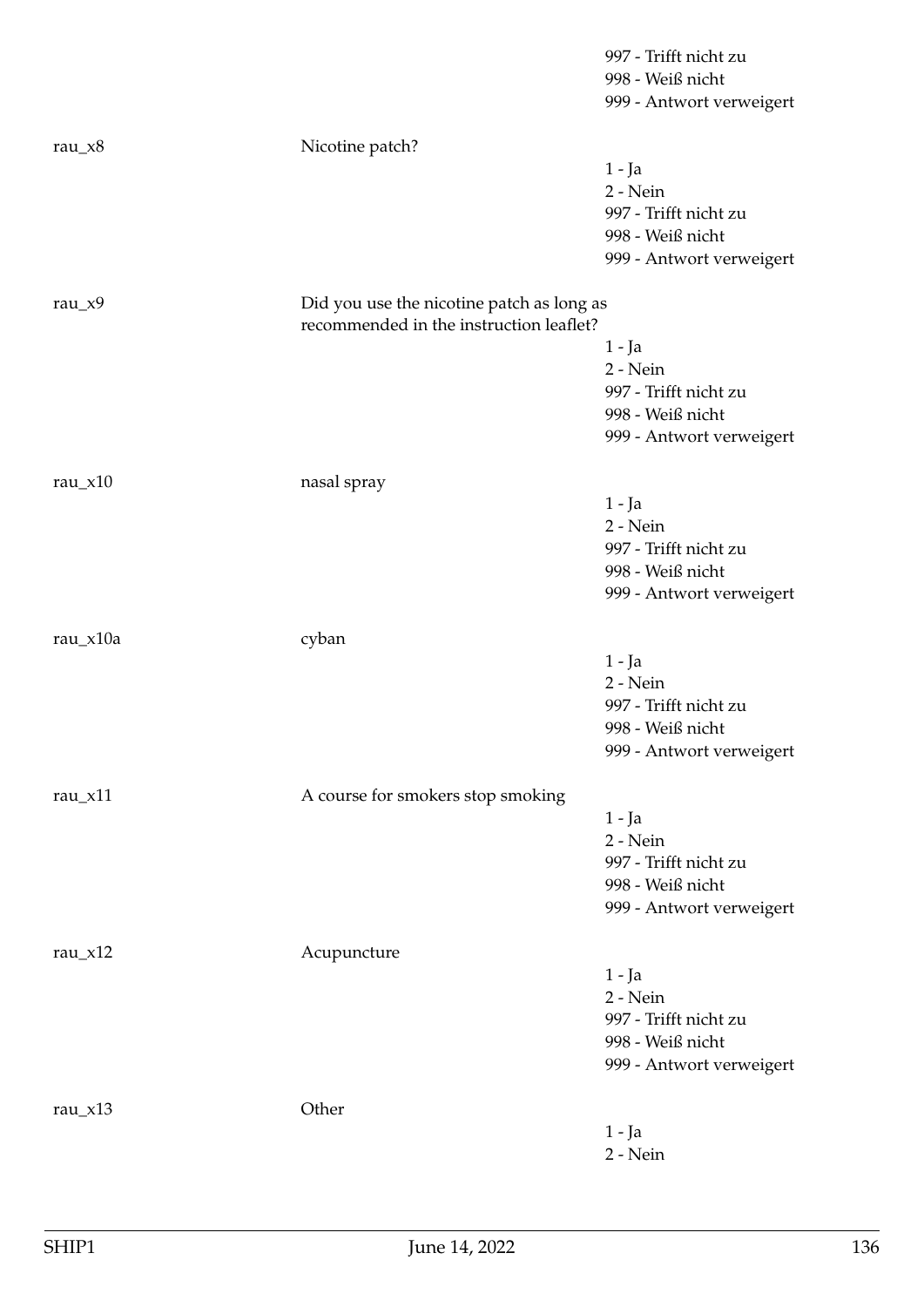|            |                                                                                      | 997 - Trifft nicht zu    |
|------------|--------------------------------------------------------------------------------------|--------------------------|
|            |                                                                                      | 998 - Weiß nicht         |
|            |                                                                                      | 999 - Antwort verweigert |
| rau_ $x8$  | Nicotine patch?                                                                      |                          |
|            |                                                                                      | 1 - Ja                   |
|            |                                                                                      | 2 - Nein                 |
|            |                                                                                      | 997 - Trifft nicht zu    |
|            |                                                                                      | 998 - Weiß nicht         |
|            |                                                                                      | 999 - Antwort verweigert |
| rau_ $x9$  | Did you use the nicotine patch as long as<br>recommended in the instruction leaflet? |                          |
|            |                                                                                      | $1 - Ja$                 |
|            |                                                                                      | 2 - Nein                 |
|            |                                                                                      | 997 - Trifft nicht zu    |
|            |                                                                                      | 998 - Weiß nicht         |
|            |                                                                                      | 999 - Antwort verweigert |
| rau_ $x10$ | nasal spray                                                                          |                          |
|            |                                                                                      | $1 - Ja$                 |
|            |                                                                                      | 2 - Nein                 |
|            |                                                                                      | 997 - Trifft nicht zu    |
|            |                                                                                      | 998 - Weiß nicht         |
|            |                                                                                      | 999 - Antwort verweigert |
| rau_x10a   | cyban                                                                                |                          |
|            |                                                                                      | $1 - Ja$                 |
|            |                                                                                      | 2 - Nein                 |
|            |                                                                                      | 997 - Trifft nicht zu    |
|            |                                                                                      | 998 - Weiß nicht         |
|            |                                                                                      | 999 - Antwort verweigert |
| rau $x$ 11 | A course for smokers stop smoking                                                    |                          |
|            |                                                                                      | $1 - Ja$                 |
|            |                                                                                      | 2 - Nein                 |
|            |                                                                                      | 997 - Trifft nicht zu    |
|            |                                                                                      | 998 - Weiß nicht         |
|            |                                                                                      | 999 - Antwort verweigert |
|            |                                                                                      |                          |
| rau $_x12$ | Acupuncture                                                                          |                          |
|            |                                                                                      | $1 - Ja$<br>2 - Nein     |
|            |                                                                                      | 997 - Trifft nicht zu    |
|            |                                                                                      | 998 - Weiß nicht         |
|            |                                                                                      | 999 - Antwort verweigert |
|            |                                                                                      |                          |
| rau_ $x13$ | Other                                                                                |                          |
|            |                                                                                      |                          |
|            |                                                                                      | $1 - Ja$<br>$2 - Nein$   |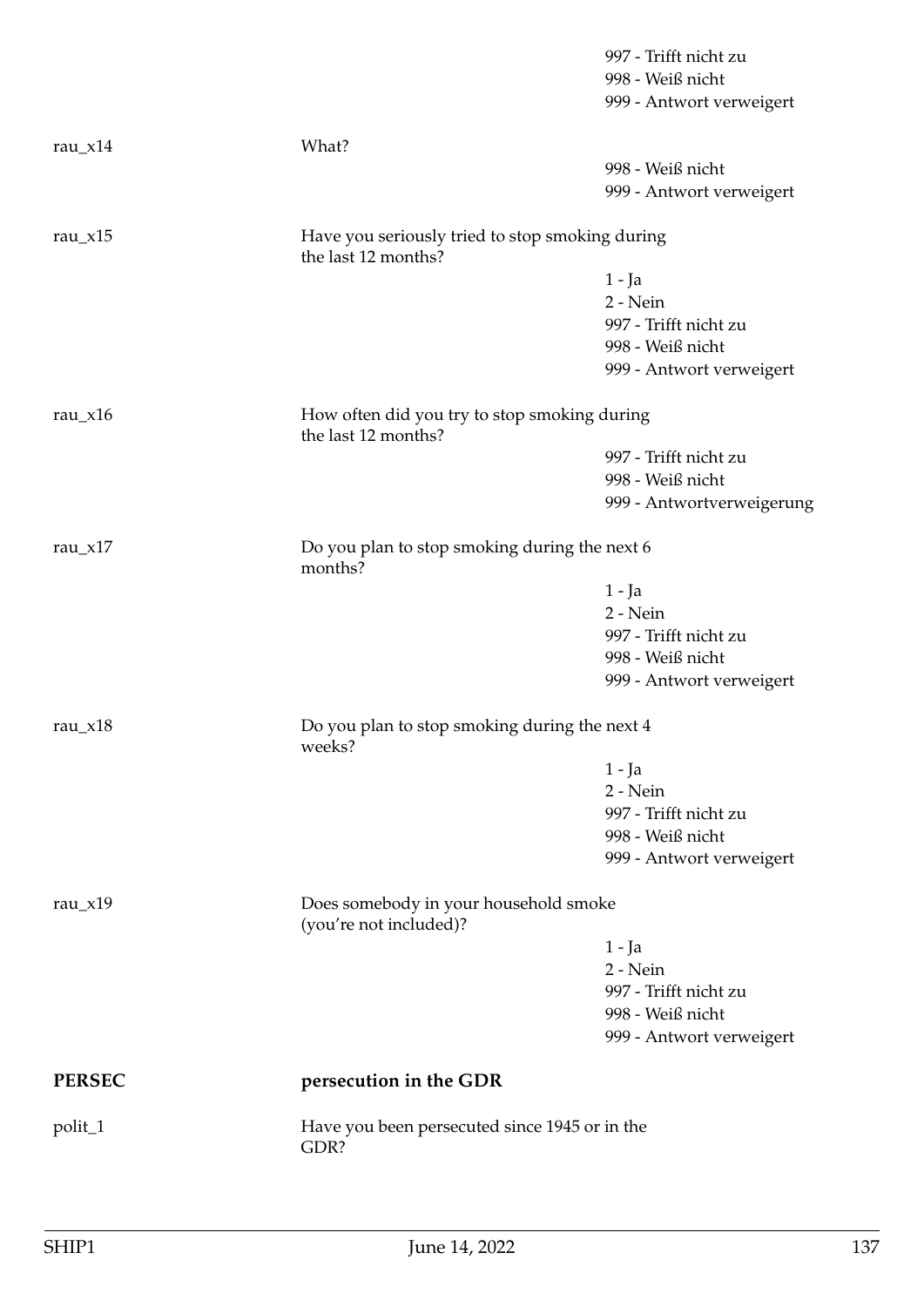|               |                                                                        | 997 - Trifft nicht zu<br>998 - Weiß nicht<br>999 - Antwort verweigert |
|---------------|------------------------------------------------------------------------|-----------------------------------------------------------------------|
| rau_ $x$ 14   | What?                                                                  |                                                                       |
|               |                                                                        | 998 - Weiß nicht                                                      |
|               |                                                                        | 999 - Antwort verweigert                                              |
| rau_ $x15$    | Have you seriously tried to stop smoking during<br>the last 12 months? |                                                                       |
|               |                                                                        | $1 - Ja$                                                              |
|               |                                                                        | 2 - Nein                                                              |
|               |                                                                        | 997 - Trifft nicht zu                                                 |
|               |                                                                        | 998 - Weiß nicht                                                      |
|               |                                                                        | 999 - Antwort verweigert                                              |
| rau_ $x16$    | How often did you try to stop smoking during<br>the last 12 months?    |                                                                       |
|               |                                                                        | 997 - Trifft nicht zu                                                 |
|               |                                                                        | 998 - Weiß nicht                                                      |
|               |                                                                        | 999 - Antwortverweigerung                                             |
| rau $_x17$    | Do you plan to stop smoking during the next 6<br>months?               |                                                                       |
|               |                                                                        | $1 - Ja$                                                              |
|               |                                                                        | 2 - Nein                                                              |
|               |                                                                        | 997 - Trifft nicht zu                                                 |
|               |                                                                        | 998 - Weiß nicht                                                      |
|               |                                                                        | 999 - Antwort verweigert                                              |
| rau_ $x18$    | Do you plan to stop smoking during the next 4<br>weeks?                |                                                                       |
|               |                                                                        | $1 - Ja$                                                              |
|               |                                                                        | 2 - Nein                                                              |
|               |                                                                        | 997 - Trifft nicht zu                                                 |
|               |                                                                        | 998 - Weiß nicht                                                      |
|               |                                                                        | 999 - Antwort verweigert                                              |
| rau $x19$     | Does somebody in your household smoke<br>(you're not included)?        |                                                                       |
|               |                                                                        | $1 - Ja$                                                              |
|               |                                                                        | $2 - Nein$                                                            |
|               |                                                                        | 997 - Trifft nicht zu                                                 |
|               |                                                                        | 998 - Weiß nicht                                                      |
|               |                                                                        | 999 - Antwort verweigert                                              |
| <b>PERSEC</b> | persecution in the GDR                                                 |                                                                       |
| polit_1       | Have you been persecuted since 1945 or in the<br>GDR?                  |                                                                       |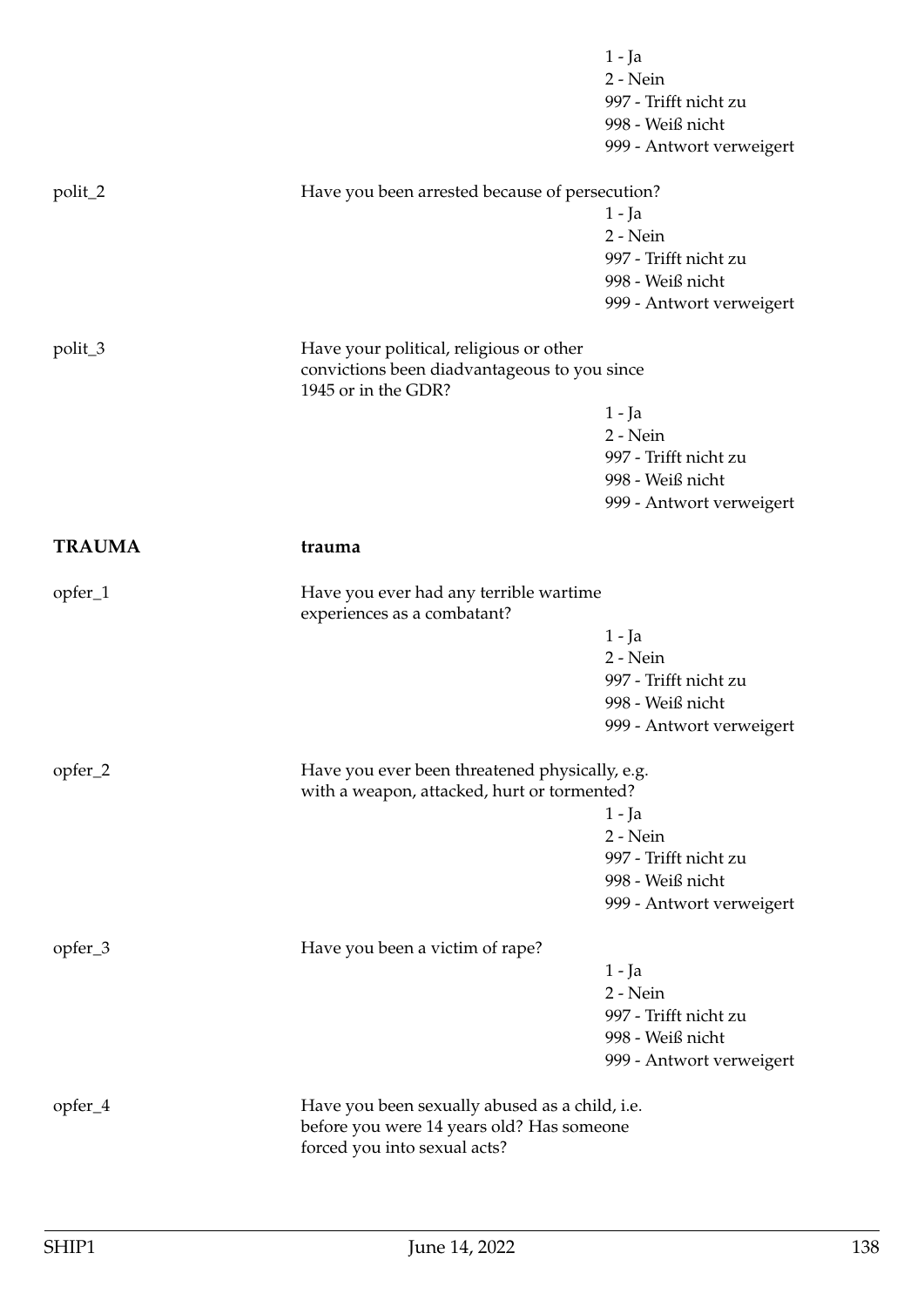|               |                                                                                               | $1 - Ja$<br>2 - Nein<br>997 - Trifft nicht zu<br>998 - Weiß nicht |
|---------------|-----------------------------------------------------------------------------------------------|-------------------------------------------------------------------|
|               |                                                                                               | 999 - Antwort verweigert                                          |
| polit_2       | Have you been arrested because of persecution?                                                |                                                                   |
|               |                                                                                               | 1 - Ja                                                            |
|               |                                                                                               | 2 - Nein<br>997 - Trifft nicht zu                                 |
|               |                                                                                               | 998 - Weiß nicht                                                  |
|               |                                                                                               | 999 - Antwort verweigert                                          |
| polit_3       | Have your political, religious or other                                                       |                                                                   |
|               | convictions been diadvantageous to you since<br>1945 or in the GDR?                           |                                                                   |
|               |                                                                                               | 1 - Ja                                                            |
|               |                                                                                               | 2 - Nein                                                          |
|               |                                                                                               | 997 - Trifft nicht zu<br>998 - Weiß nicht                         |
|               |                                                                                               | 999 - Antwort verweigert                                          |
| <b>TRAUMA</b> | trauma                                                                                        |                                                                   |
| opfer_1       | Have you ever had any terrible wartime                                                        |                                                                   |
|               | experiences as a combatant?                                                                   | 1 - Ja                                                            |
|               |                                                                                               | $2 - Nein$                                                        |
|               |                                                                                               | 997 - Trifft nicht zu                                             |
|               |                                                                                               | 998 - Weiß nicht                                                  |
|               |                                                                                               | 999 - Antwort verweigert                                          |
| opfer_2       | Have you ever been threatened physically, e.g.<br>with a weapon, attacked, hurt or tormented? |                                                                   |
|               |                                                                                               | $1 - Ja$                                                          |
|               |                                                                                               | 2 - Nein                                                          |
|               |                                                                                               | 997 - Trifft nicht zu                                             |
|               |                                                                                               | 998 - Weiß nicht                                                  |
|               |                                                                                               | 999 - Antwort verweigert                                          |
| opfer_3       | Have you been a victim of rape?                                                               | 1 - Ja                                                            |
|               |                                                                                               | 2 - Nein                                                          |
|               |                                                                                               | 997 - Trifft nicht zu                                             |
|               |                                                                                               | 998 - Weiß nicht                                                  |
|               |                                                                                               | 999 - Antwort verweigert                                          |
| opfer_4       | Have you been sexually abused as a child, i.e.                                                |                                                                   |
|               | before you were 14 years old? Has someone                                                     |                                                                   |
|               | forced you into sexual acts?                                                                  |                                                                   |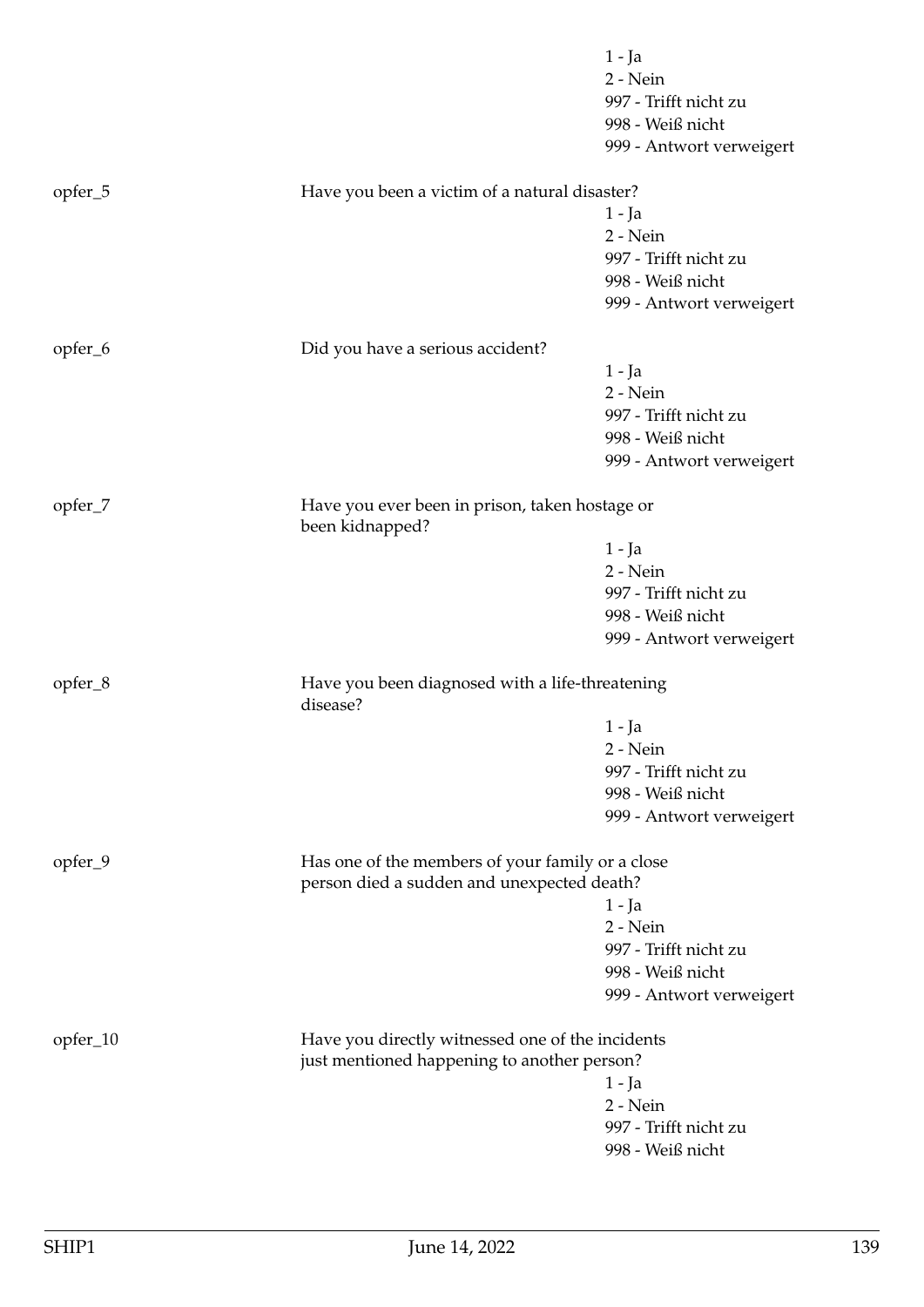|          |                                                             | 1 - Ja                   |
|----------|-------------------------------------------------------------|--------------------------|
|          |                                                             | $2 - Nein$               |
|          |                                                             | 997 - Trifft nicht zu    |
|          |                                                             | 998 - Weiß nicht         |
|          |                                                             | 999 - Antwort verweigert |
| opfer_5  | Have you been a victim of a natural disaster?               |                          |
|          |                                                             | 1 - Ja                   |
|          |                                                             | 2 - Nein                 |
|          |                                                             | 997 - Trifft nicht zu    |
|          |                                                             | 998 - Weiß nicht         |
|          |                                                             | 999 - Antwort verweigert |
| opfer_6  | Did you have a serious accident?                            |                          |
|          |                                                             | 1 - Ja                   |
|          |                                                             | 2 - Nein                 |
|          |                                                             | 997 - Trifft nicht zu    |
|          |                                                             | 998 - Weiß nicht         |
|          |                                                             | 999 - Antwort verweigert |
| opfer_7  | Have you ever been in prison, taken hostage or              |                          |
|          | been kidnapped?                                             |                          |
|          |                                                             | 1 - Ja                   |
|          |                                                             | 2 - Nein                 |
|          |                                                             | 997 - Trifft nicht zu    |
|          |                                                             | 998 - Weiß nicht         |
|          |                                                             | 999 - Antwort verweigert |
| opfer_8  | Have you been diagnosed with a life-threatening<br>disease? |                          |
|          |                                                             | 1 - Ja                   |
|          |                                                             | 2 - Nein                 |
|          |                                                             | 997 - Trifft nicht zu    |
|          |                                                             | 998 - Weiß nicht         |
|          |                                                             | 999 - Antwort verweigert |
| opfer_9  | Has one of the members of your family or a close            |                          |
|          | person died a sudden and unexpected death?                  |                          |
|          |                                                             | 1 - Ja                   |
|          |                                                             | 2 - Nein                 |
|          |                                                             | 997 - Trifft nicht zu    |
|          |                                                             | 998 - Weiß nicht         |
|          |                                                             | 999 - Antwort verweigert |
| opfer_10 | Have you directly witnessed one of the incidents            |                          |
|          | just mentioned happening to another person?                 |                          |
|          |                                                             | $1 - Ja$                 |
|          |                                                             | 2 - Nein                 |
|          |                                                             | 997 - Trifft nicht zu    |
|          |                                                             | 998 - Weiß nicht         |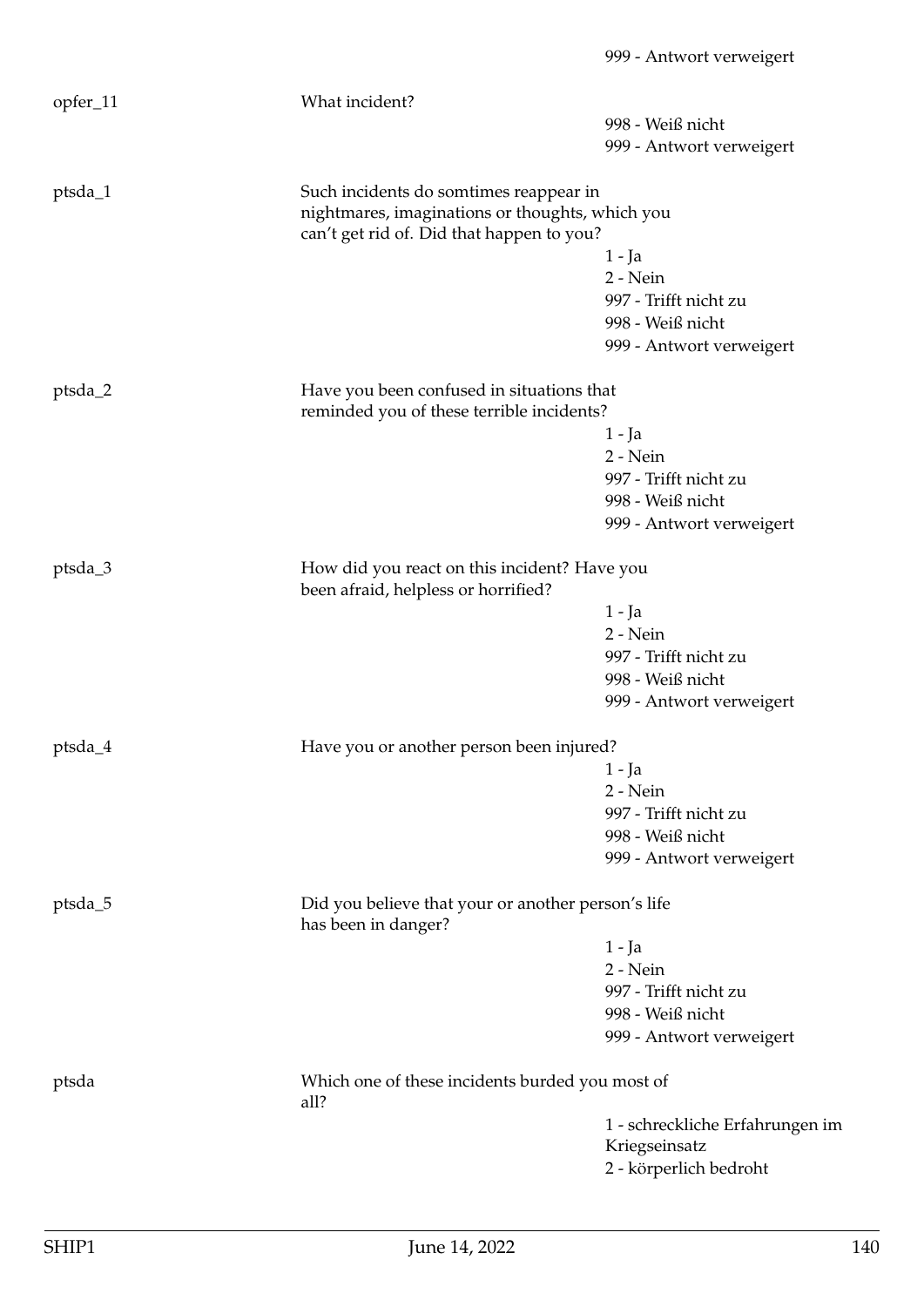| 998 - Weiß nicht<br>999 - Antwort verweigert<br>Such incidents do somtimes reappear in<br>ptsda_1<br>nightmares, imaginations or thoughts, which you<br>can't get rid of. Did that happen to you?<br>1 - Ja<br>2 - Nein<br>997 - Trifft nicht zu<br>998 - Weiß nicht<br>999 - Antwort verweigert<br>ptsda_2<br>Have you been confused in situations that<br>reminded you of these terrible incidents?<br>$1 - Ja$<br>2 - Nein<br>997 - Trifft nicht zu<br>998 - Weiß nicht<br>999 - Antwort verweigert<br>How did you react on this incident? Have you<br>ptsda_3<br>been afraid, helpless or horrified?<br>1 - Ja<br>2 - Nein<br>997 - Trifft nicht zu<br>998 - Weiß nicht<br>999 - Antwort verweigert<br>ptsda_4<br>Have you or another person been injured?<br>1 - Ja<br>2 - Nein<br>997 - Trifft nicht zu<br>998 - Weiß nicht<br>999 - Antwort verweigert<br>ptsda_5<br>Did you believe that your or another person's life<br>has been in danger?<br>1 - Ja<br>2 - Nein<br>997 - Trifft nicht zu<br>998 - Weiß nicht<br>999 - Antwort verweigert<br>Which one of these incidents burded you most of<br>ptsda<br>all?<br>Kriegseinsatz | opfer_11 | What incident? |                                 |
|-------------------------------------------------------------------------------------------------------------------------------------------------------------------------------------------------------------------------------------------------------------------------------------------------------------------------------------------------------------------------------------------------------------------------------------------------------------------------------------------------------------------------------------------------------------------------------------------------------------------------------------------------------------------------------------------------------------------------------------------------------------------------------------------------------------------------------------------------------------------------------------------------------------------------------------------------------------------------------------------------------------------------------------------------------------------------------------------------------------------------------------------|----------|----------------|---------------------------------|
|                                                                                                                                                                                                                                                                                                                                                                                                                                                                                                                                                                                                                                                                                                                                                                                                                                                                                                                                                                                                                                                                                                                                           |          |                |                                 |
|                                                                                                                                                                                                                                                                                                                                                                                                                                                                                                                                                                                                                                                                                                                                                                                                                                                                                                                                                                                                                                                                                                                                           |          |                |                                 |
|                                                                                                                                                                                                                                                                                                                                                                                                                                                                                                                                                                                                                                                                                                                                                                                                                                                                                                                                                                                                                                                                                                                                           |          |                |                                 |
|                                                                                                                                                                                                                                                                                                                                                                                                                                                                                                                                                                                                                                                                                                                                                                                                                                                                                                                                                                                                                                                                                                                                           |          |                |                                 |
|                                                                                                                                                                                                                                                                                                                                                                                                                                                                                                                                                                                                                                                                                                                                                                                                                                                                                                                                                                                                                                                                                                                                           |          |                |                                 |
|                                                                                                                                                                                                                                                                                                                                                                                                                                                                                                                                                                                                                                                                                                                                                                                                                                                                                                                                                                                                                                                                                                                                           |          |                |                                 |
|                                                                                                                                                                                                                                                                                                                                                                                                                                                                                                                                                                                                                                                                                                                                                                                                                                                                                                                                                                                                                                                                                                                                           |          |                |                                 |
|                                                                                                                                                                                                                                                                                                                                                                                                                                                                                                                                                                                                                                                                                                                                                                                                                                                                                                                                                                                                                                                                                                                                           |          |                |                                 |
|                                                                                                                                                                                                                                                                                                                                                                                                                                                                                                                                                                                                                                                                                                                                                                                                                                                                                                                                                                                                                                                                                                                                           |          |                |                                 |
|                                                                                                                                                                                                                                                                                                                                                                                                                                                                                                                                                                                                                                                                                                                                                                                                                                                                                                                                                                                                                                                                                                                                           |          |                |                                 |
|                                                                                                                                                                                                                                                                                                                                                                                                                                                                                                                                                                                                                                                                                                                                                                                                                                                                                                                                                                                                                                                                                                                                           |          |                |                                 |
|                                                                                                                                                                                                                                                                                                                                                                                                                                                                                                                                                                                                                                                                                                                                                                                                                                                                                                                                                                                                                                                                                                                                           |          |                |                                 |
|                                                                                                                                                                                                                                                                                                                                                                                                                                                                                                                                                                                                                                                                                                                                                                                                                                                                                                                                                                                                                                                                                                                                           |          |                |                                 |
|                                                                                                                                                                                                                                                                                                                                                                                                                                                                                                                                                                                                                                                                                                                                                                                                                                                                                                                                                                                                                                                                                                                                           |          |                |                                 |
|                                                                                                                                                                                                                                                                                                                                                                                                                                                                                                                                                                                                                                                                                                                                                                                                                                                                                                                                                                                                                                                                                                                                           |          |                |                                 |
|                                                                                                                                                                                                                                                                                                                                                                                                                                                                                                                                                                                                                                                                                                                                                                                                                                                                                                                                                                                                                                                                                                                                           |          |                |                                 |
|                                                                                                                                                                                                                                                                                                                                                                                                                                                                                                                                                                                                                                                                                                                                                                                                                                                                                                                                                                                                                                                                                                                                           |          |                |                                 |
|                                                                                                                                                                                                                                                                                                                                                                                                                                                                                                                                                                                                                                                                                                                                                                                                                                                                                                                                                                                                                                                                                                                                           |          |                |                                 |
|                                                                                                                                                                                                                                                                                                                                                                                                                                                                                                                                                                                                                                                                                                                                                                                                                                                                                                                                                                                                                                                                                                                                           |          |                |                                 |
|                                                                                                                                                                                                                                                                                                                                                                                                                                                                                                                                                                                                                                                                                                                                                                                                                                                                                                                                                                                                                                                                                                                                           |          |                |                                 |
|                                                                                                                                                                                                                                                                                                                                                                                                                                                                                                                                                                                                                                                                                                                                                                                                                                                                                                                                                                                                                                                                                                                                           |          |                |                                 |
|                                                                                                                                                                                                                                                                                                                                                                                                                                                                                                                                                                                                                                                                                                                                                                                                                                                                                                                                                                                                                                                                                                                                           |          |                |                                 |
|                                                                                                                                                                                                                                                                                                                                                                                                                                                                                                                                                                                                                                                                                                                                                                                                                                                                                                                                                                                                                                                                                                                                           |          |                |                                 |
|                                                                                                                                                                                                                                                                                                                                                                                                                                                                                                                                                                                                                                                                                                                                                                                                                                                                                                                                                                                                                                                                                                                                           |          |                |                                 |
|                                                                                                                                                                                                                                                                                                                                                                                                                                                                                                                                                                                                                                                                                                                                                                                                                                                                                                                                                                                                                                                                                                                                           |          |                |                                 |
|                                                                                                                                                                                                                                                                                                                                                                                                                                                                                                                                                                                                                                                                                                                                                                                                                                                                                                                                                                                                                                                                                                                                           |          |                |                                 |
|                                                                                                                                                                                                                                                                                                                                                                                                                                                                                                                                                                                                                                                                                                                                                                                                                                                                                                                                                                                                                                                                                                                                           |          |                |                                 |
|                                                                                                                                                                                                                                                                                                                                                                                                                                                                                                                                                                                                                                                                                                                                                                                                                                                                                                                                                                                                                                                                                                                                           |          |                |                                 |
|                                                                                                                                                                                                                                                                                                                                                                                                                                                                                                                                                                                                                                                                                                                                                                                                                                                                                                                                                                                                                                                                                                                                           |          |                |                                 |
|                                                                                                                                                                                                                                                                                                                                                                                                                                                                                                                                                                                                                                                                                                                                                                                                                                                                                                                                                                                                                                                                                                                                           |          |                |                                 |
|                                                                                                                                                                                                                                                                                                                                                                                                                                                                                                                                                                                                                                                                                                                                                                                                                                                                                                                                                                                                                                                                                                                                           |          |                |                                 |
|                                                                                                                                                                                                                                                                                                                                                                                                                                                                                                                                                                                                                                                                                                                                                                                                                                                                                                                                                                                                                                                                                                                                           |          |                |                                 |
|                                                                                                                                                                                                                                                                                                                                                                                                                                                                                                                                                                                                                                                                                                                                                                                                                                                                                                                                                                                                                                                                                                                                           |          |                |                                 |
|                                                                                                                                                                                                                                                                                                                                                                                                                                                                                                                                                                                                                                                                                                                                                                                                                                                                                                                                                                                                                                                                                                                                           |          |                |                                 |
|                                                                                                                                                                                                                                                                                                                                                                                                                                                                                                                                                                                                                                                                                                                                                                                                                                                                                                                                                                                                                                                                                                                                           |          |                | 1 - schreckliche Erfahrungen im |
|                                                                                                                                                                                                                                                                                                                                                                                                                                                                                                                                                                                                                                                                                                                                                                                                                                                                                                                                                                                                                                                                                                                                           |          |                |                                 |
| 2 - körperlich bedroht                                                                                                                                                                                                                                                                                                                                                                                                                                                                                                                                                                                                                                                                                                                                                                                                                                                                                                                                                                                                                                                                                                                    |          |                |                                 |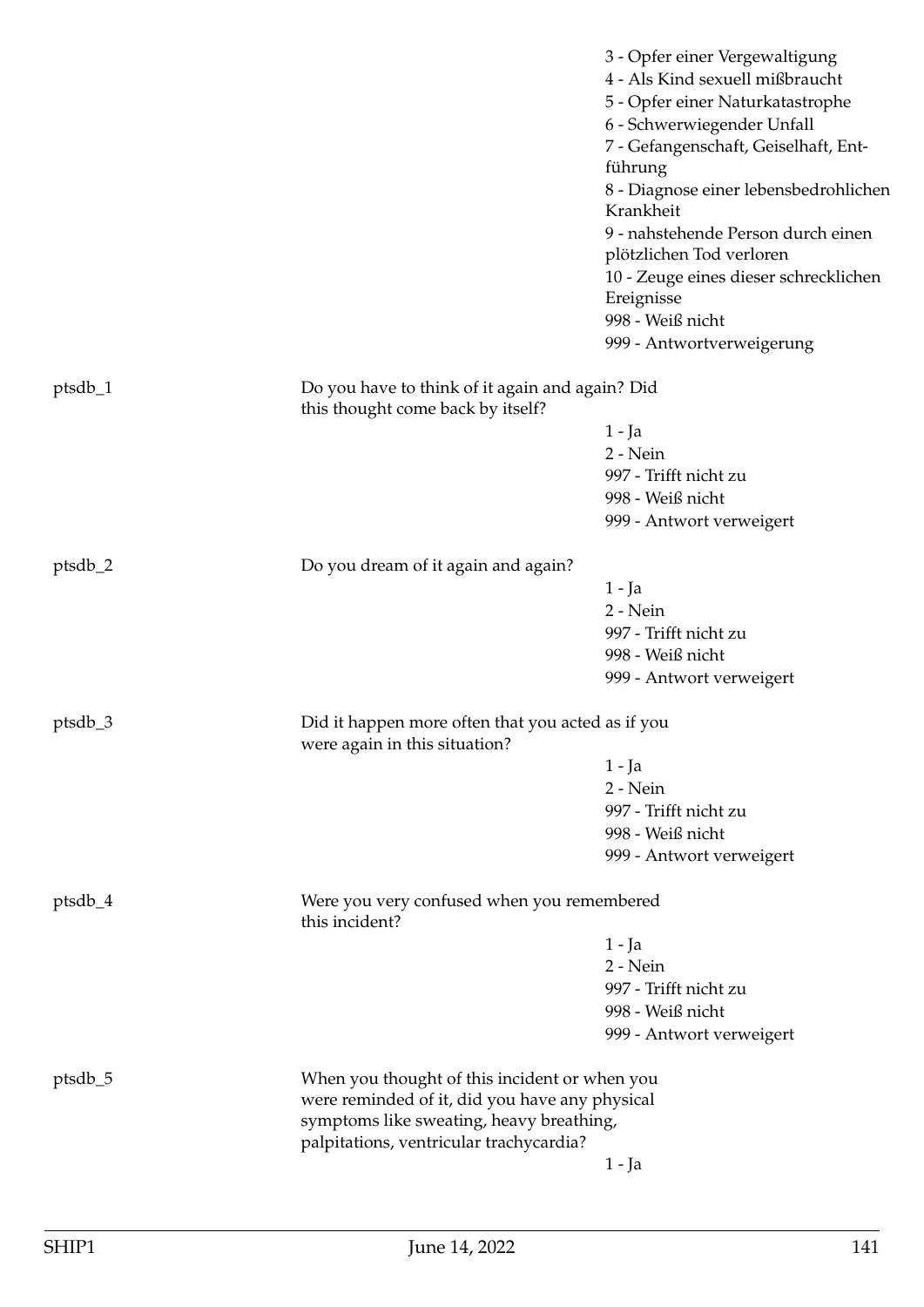|           |                                                                                      | 3 - Opfer einer Vergewaltigung<br>4 - Als Kind sexuell mißbraucht<br>5 - Opfer einer Naturkatastrophe<br>6 - Schwerwiegender Unfall<br>7 - Gefangenschaft, Geiselhaft, Ent- |
|-----------|--------------------------------------------------------------------------------------|-----------------------------------------------------------------------------------------------------------------------------------------------------------------------------|
|           |                                                                                      | führung<br>8 - Diagnose einer lebensbedrohlichen                                                                                                                            |
|           |                                                                                      | Krankheit<br>9 - nahstehende Person durch einen<br>plötzlichen Tod verloren                                                                                                 |
|           |                                                                                      | 10 - Zeuge eines dieser schrecklichen<br>Ereignisse                                                                                                                         |
|           |                                                                                      | 998 - Weiß nicht<br>999 - Antwortverweigerung                                                                                                                               |
| $ptsdb_1$ | Do you have to think of it again and again? Did<br>this thought come back by itself? |                                                                                                                                                                             |
|           |                                                                                      | 1 - Ja                                                                                                                                                                      |
|           |                                                                                      | 2 - Nein                                                                                                                                                                    |
|           |                                                                                      | 997 - Trifft nicht zu                                                                                                                                                       |
|           |                                                                                      | 998 - Weiß nicht                                                                                                                                                            |
|           |                                                                                      | 999 - Antwort verweigert                                                                                                                                                    |
| $ptsdb_2$ | Do you dream of it again and again?                                                  |                                                                                                                                                                             |
|           |                                                                                      | 1 - Ja                                                                                                                                                                      |
|           |                                                                                      | 2 - Nein                                                                                                                                                                    |
|           |                                                                                      | 997 - Trifft nicht zu                                                                                                                                                       |
|           |                                                                                      | 998 - Weiß nicht                                                                                                                                                            |
|           |                                                                                      | 999 - Antwort verweigert                                                                                                                                                    |
| $ptsdb_3$ | Did it happen more often that you acted as if you<br>were again in this situation?   |                                                                                                                                                                             |
|           |                                                                                      | 1 - Ja                                                                                                                                                                      |
|           |                                                                                      | 2 - Nein                                                                                                                                                                    |
|           |                                                                                      | 997 - Trifft nicht zu                                                                                                                                                       |
|           |                                                                                      | 998 - Weiß nicht                                                                                                                                                            |
|           |                                                                                      | 999 - Antwort verweigert                                                                                                                                                    |
| ptsdb_4   | Were you very confused when you remembered<br>this incident?                         |                                                                                                                                                                             |
|           |                                                                                      | 1 - Ja                                                                                                                                                                      |
|           |                                                                                      | 2 - Nein                                                                                                                                                                    |
|           |                                                                                      | 997 - Trifft nicht zu                                                                                                                                                       |
|           |                                                                                      | 998 - Weiß nicht                                                                                                                                                            |
|           |                                                                                      | 999 - Antwort verweigert                                                                                                                                                    |
| ptsdb_5   | When you thought of this incident or when you                                        |                                                                                                                                                                             |
|           | were reminded of it, did you have any physical                                       |                                                                                                                                                                             |
|           | symptoms like sweating, heavy breathing,                                             |                                                                                                                                                                             |
|           | palpitations, ventricular trachycardia?                                              |                                                                                                                                                                             |
|           |                                                                                      | $1 - Ja$                                                                                                                                                                    |
|           |                                                                                      |                                                                                                                                                                             |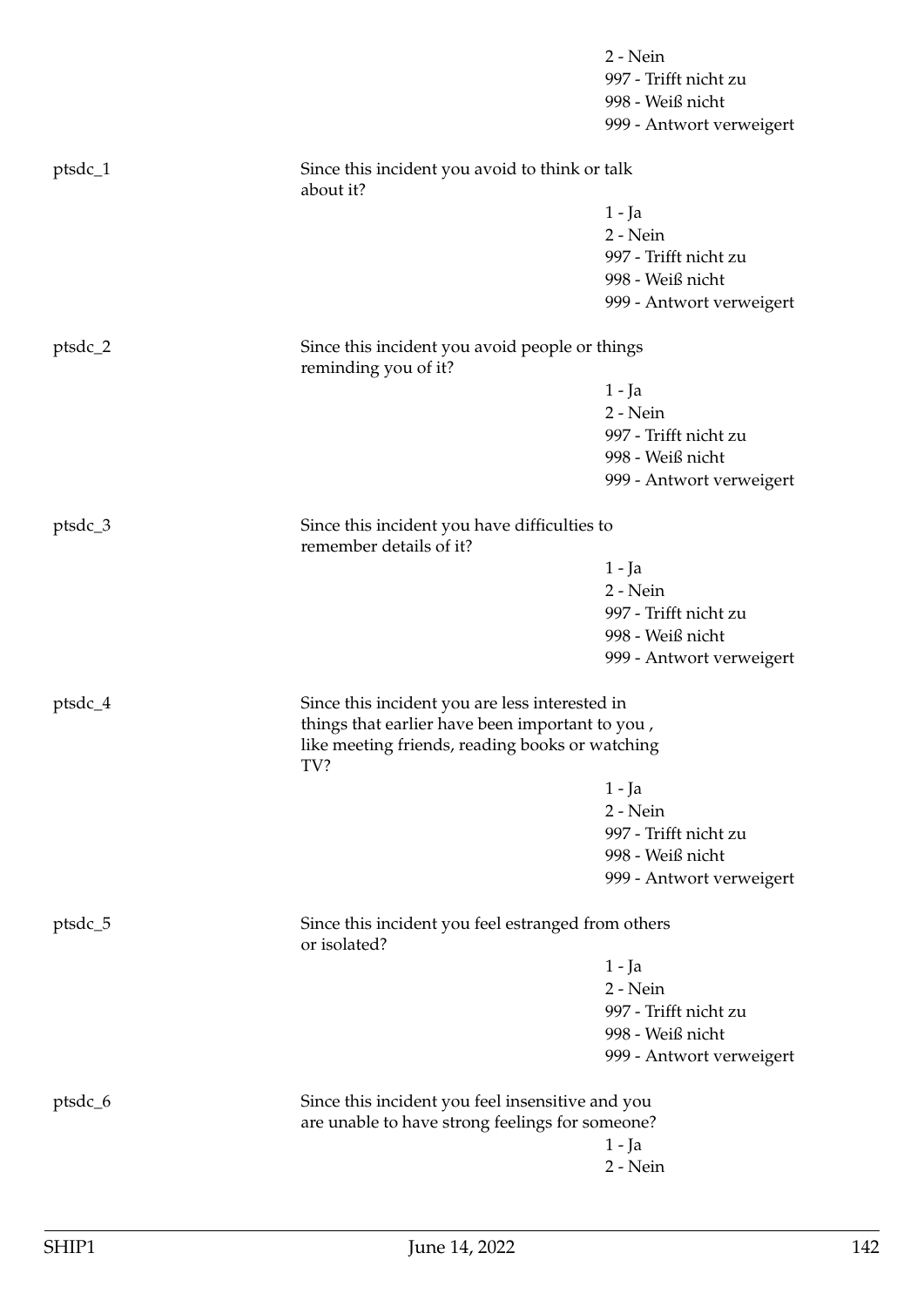|         |                                                                         | 2 - Nein                 |
|---------|-------------------------------------------------------------------------|--------------------------|
|         |                                                                         | 997 - Trifft nicht zu    |
|         |                                                                         | 998 - Weiß nicht         |
|         |                                                                         | 999 - Antwort verweigert |
| ptsdc_1 | Since this incident you avoid to think or talk<br>about it?             |                          |
|         |                                                                         | $1 - Ja$                 |
|         |                                                                         | 2 - Nein                 |
|         |                                                                         | 997 - Trifft nicht zu    |
|         |                                                                         | 998 - Weiß nicht         |
|         |                                                                         | 999 - Antwort verweigert |
| ptsdc_2 | Since this incident you avoid people or things<br>reminding you of it?  |                          |
|         |                                                                         | 1 - Ja                   |
|         |                                                                         | 2 - Nein                 |
|         |                                                                         | 997 - Trifft nicht zu    |
|         |                                                                         | 998 - Weiß nicht         |
|         |                                                                         | 999 - Antwort verweigert |
| ptsdc_3 | Since this incident you have difficulties to<br>remember details of it? |                          |
|         |                                                                         | 1 - Ja                   |
|         |                                                                         | 2 - Nein                 |
|         |                                                                         | 997 - Trifft nicht zu    |
|         |                                                                         | 998 - Weiß nicht         |
|         |                                                                         | 999 - Antwort verweigert |
| ptsdc_4 | Since this incident you are less interested in                          |                          |
|         | things that earlier have been important to you,                         |                          |
|         | like meeting friends, reading books or watching<br>TV?                  |                          |
|         |                                                                         | $1 - Ja$                 |
|         |                                                                         | 2 - Nein                 |
|         |                                                                         | 997 - Trifft nicht zu    |
|         |                                                                         | 998 - Weiß nicht         |
|         |                                                                         | 999 - Antwort verweigert |
| ptsdc_5 | Since this incident you feel estranged from others<br>or isolated?      |                          |
|         |                                                                         | $1 - Ja$                 |
|         |                                                                         | 2 - Nein                 |
|         |                                                                         | 997 - Trifft nicht zu    |
|         |                                                                         | 998 - Weiß nicht         |
|         |                                                                         | 999 - Antwort verweigert |
| ptsdc_6 | Since this incident you feel insensitive and you                        |                          |
|         | are unable to have strong feelings for someone?                         |                          |
|         |                                                                         | $1 - Ja$                 |
|         |                                                                         | 2 - Nein                 |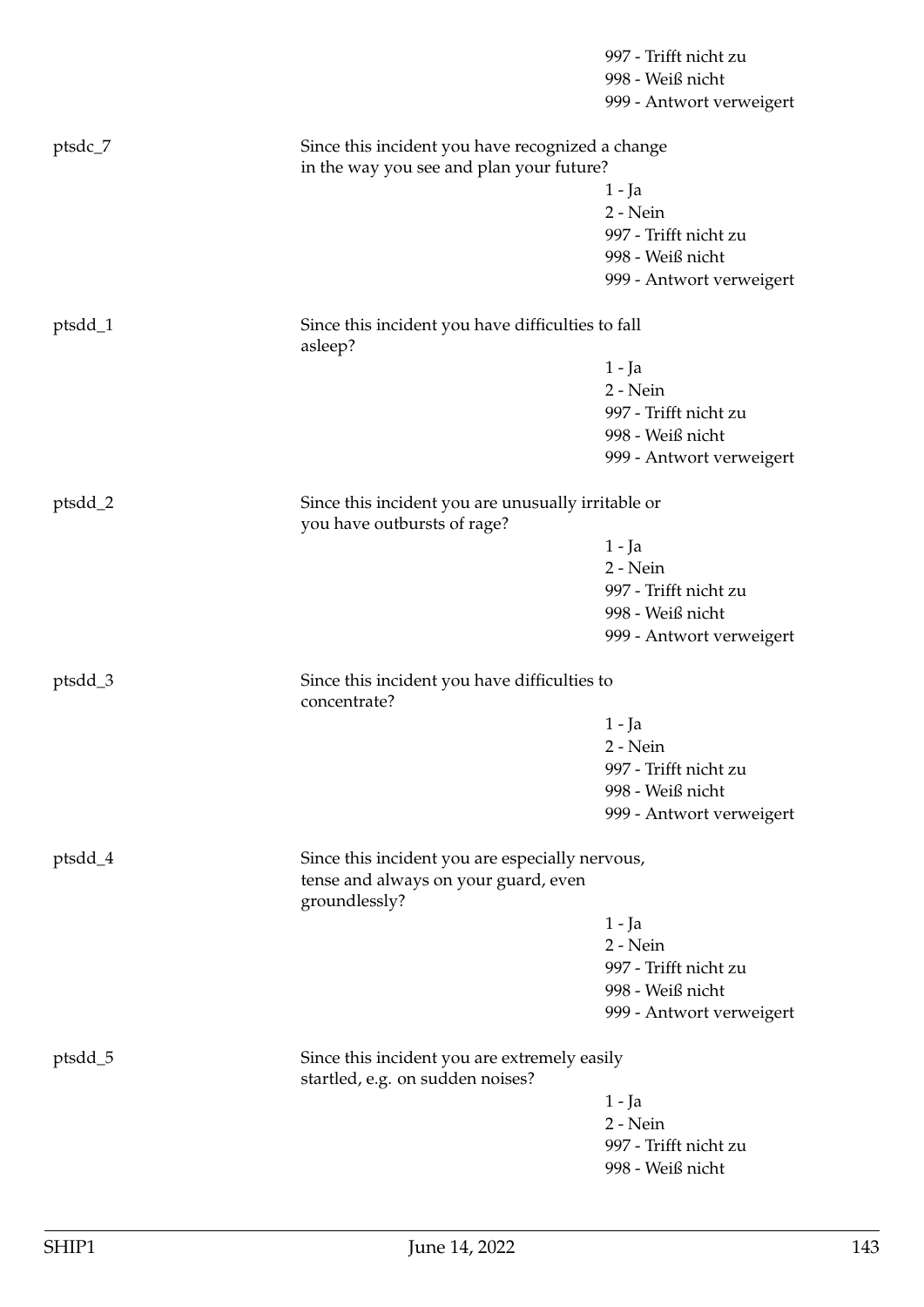|         |                                                                                                          | 997 - Trifft nicht zu    |  |
|---------|----------------------------------------------------------------------------------------------------------|--------------------------|--|
|         |                                                                                                          | 998 - Weiß nicht         |  |
|         |                                                                                                          | 999 - Antwort verweigert |  |
| ptsdc_7 | Since this incident you have recognized a change<br>in the way you see and plan your future?             |                          |  |
|         |                                                                                                          | 1 - Ja                   |  |
|         |                                                                                                          | 2 - Nein                 |  |
|         |                                                                                                          | 997 - Trifft nicht zu    |  |
|         |                                                                                                          | 998 - Weiß nicht         |  |
|         |                                                                                                          | 999 - Antwort verweigert |  |
| ptsdd_1 | Since this incident you have difficulties to fall<br>asleep?                                             |                          |  |
|         |                                                                                                          | 1 - Ja                   |  |
|         |                                                                                                          | 2 - Nein                 |  |
|         |                                                                                                          | 997 - Trifft nicht zu    |  |
|         |                                                                                                          | 998 - Weiß nicht         |  |
|         |                                                                                                          | 999 - Antwort verweigert |  |
| ptsdd_2 | Since this incident you are unusually irritable or<br>you have outbursts of rage?                        |                          |  |
|         |                                                                                                          | $1 - Ja$                 |  |
|         |                                                                                                          | 2 - Nein                 |  |
|         |                                                                                                          | 997 - Trifft nicht zu    |  |
|         |                                                                                                          | 998 - Weiß nicht         |  |
|         |                                                                                                          | 999 - Antwort verweigert |  |
| ptsdd_3 | Since this incident you have difficulties to<br>concentrate?                                             |                          |  |
|         |                                                                                                          | 1 - Ja                   |  |
|         |                                                                                                          | $2 - Nein$               |  |
|         |                                                                                                          | 997 - Trifft nicht zu    |  |
|         |                                                                                                          | 998 - Weiß nicht         |  |
|         |                                                                                                          | 999 - Antwort verweigert |  |
| ptsdd_4 | Since this incident you are especially nervous,<br>tense and always on your guard, even<br>groundlessly? |                          |  |
|         |                                                                                                          | 1 - Ja                   |  |
|         |                                                                                                          | 2 - Nein                 |  |
|         |                                                                                                          | 997 - Trifft nicht zu    |  |
|         |                                                                                                          | 998 - Weiß nicht         |  |
|         |                                                                                                          | 999 - Antwort verweigert |  |
| ptsdd_5 | Since this incident you are extremely easily<br>startled, e.g. on sudden noises?                         |                          |  |
|         |                                                                                                          | 1 - Ja                   |  |
|         |                                                                                                          | 2 - Nein                 |  |
|         |                                                                                                          | 997 - Trifft nicht zu    |  |
|         |                                                                                                          | 998 - Weiß nicht         |  |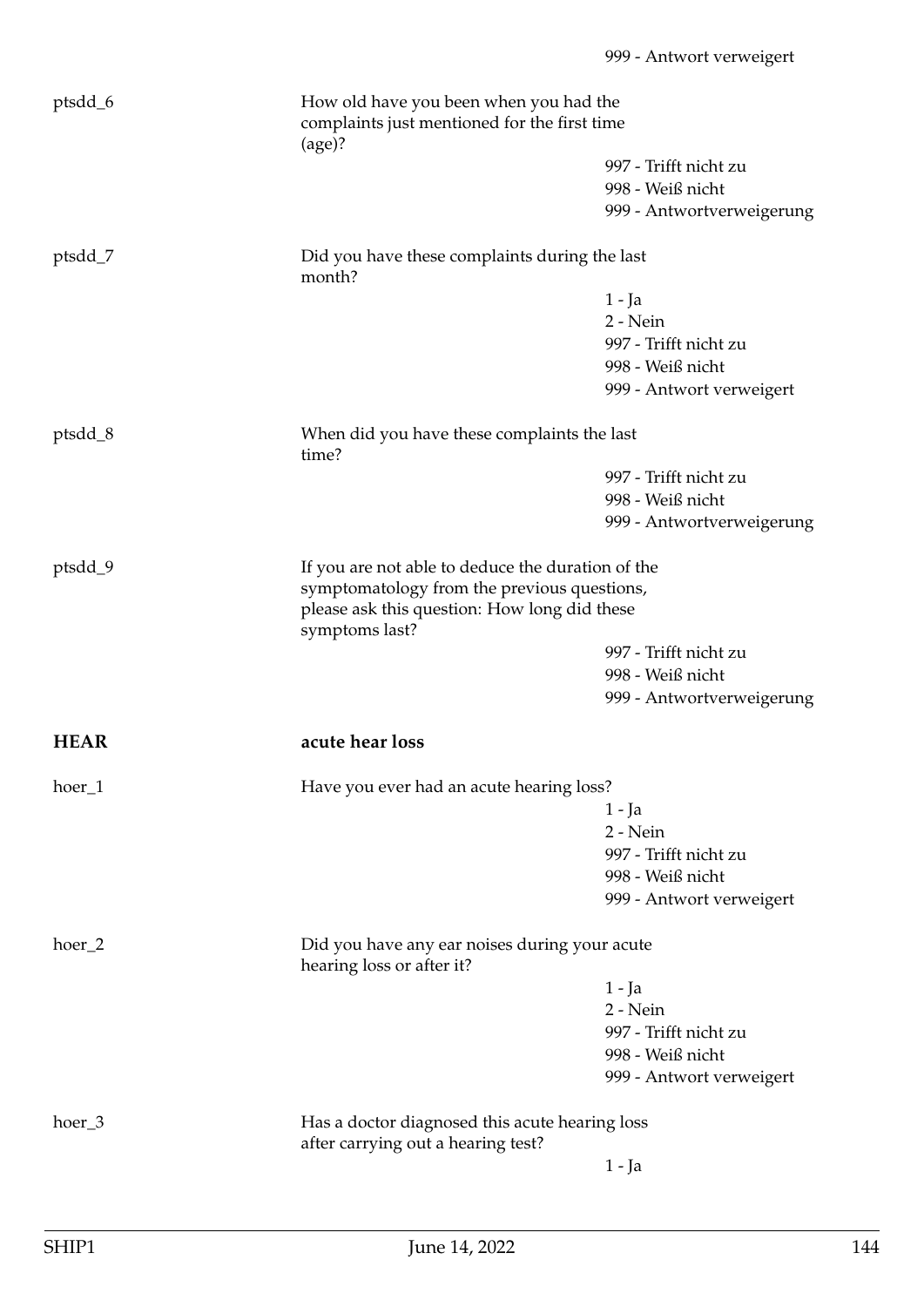| ptsdd_6     | How old have you been when you had the<br>complaints just mentioned for the first time<br>$\frac{1}{2}$ |                           |  |
|-------------|---------------------------------------------------------------------------------------------------------|---------------------------|--|
|             |                                                                                                         | 997 - Trifft nicht zu     |  |
|             |                                                                                                         | 998 - Weiß nicht          |  |
|             |                                                                                                         | 999 - Antwortverweigerung |  |
|             |                                                                                                         |                           |  |
| ptsdd_7     | Did you have these complaints during the last<br>month?                                                 |                           |  |
|             |                                                                                                         | $1 - Ja$                  |  |
|             |                                                                                                         | $2 - Nein$                |  |
|             |                                                                                                         | 997 - Trifft nicht zu     |  |
|             |                                                                                                         | 998 - Weiß nicht          |  |
|             |                                                                                                         | 999 - Antwort verweigert  |  |
|             |                                                                                                         |                           |  |
| ptsdd_8     | When did you have these complaints the last<br>time?                                                    |                           |  |
|             |                                                                                                         | 997 - Trifft nicht zu     |  |
|             |                                                                                                         | 998 - Weiß nicht          |  |
|             |                                                                                                         | 999 - Antwortverweigerung |  |
|             |                                                                                                         |                           |  |
| ptsdd_9     | If you are not able to deduce the duration of the                                                       |                           |  |
|             | symptomatology from the previous questions,                                                             |                           |  |
|             | please ask this question: How long did these<br>symptoms last?                                          |                           |  |
|             |                                                                                                         | 997 - Trifft nicht zu     |  |
|             |                                                                                                         | 998 - Weiß nicht          |  |
|             |                                                                                                         | 999 - Antwortverweigerung |  |
| <b>HEAR</b> | acute hear loss                                                                                         |                           |  |
|             |                                                                                                         |                           |  |
| hoer_1      | Have you ever had an acute hearing loss?                                                                |                           |  |
|             |                                                                                                         | 1 - Ja                    |  |
|             |                                                                                                         | 2 - Nein                  |  |
|             |                                                                                                         | 997 - Trifft nicht zu     |  |
|             |                                                                                                         | 998 - Weiß nicht          |  |
|             |                                                                                                         | 999 - Antwort verweigert  |  |
| hoer_2      | Did you have any ear noises during your acute<br>hearing loss or after it?                              |                           |  |
|             |                                                                                                         | 1 - Ja                    |  |
|             |                                                                                                         | 2 - Nein                  |  |
|             |                                                                                                         | 997 - Trifft nicht zu     |  |
|             |                                                                                                         | 998 - Weiß nicht          |  |
|             |                                                                                                         | 999 - Antwort verweigert  |  |
|             |                                                                                                         |                           |  |
| hoer_3      | Has a doctor diagnosed this acute hearing loss                                                          |                           |  |
|             | after carrying out a hearing test?                                                                      |                           |  |
|             |                                                                                                         | $1 - Ja$                  |  |
|             |                                                                                                         |                           |  |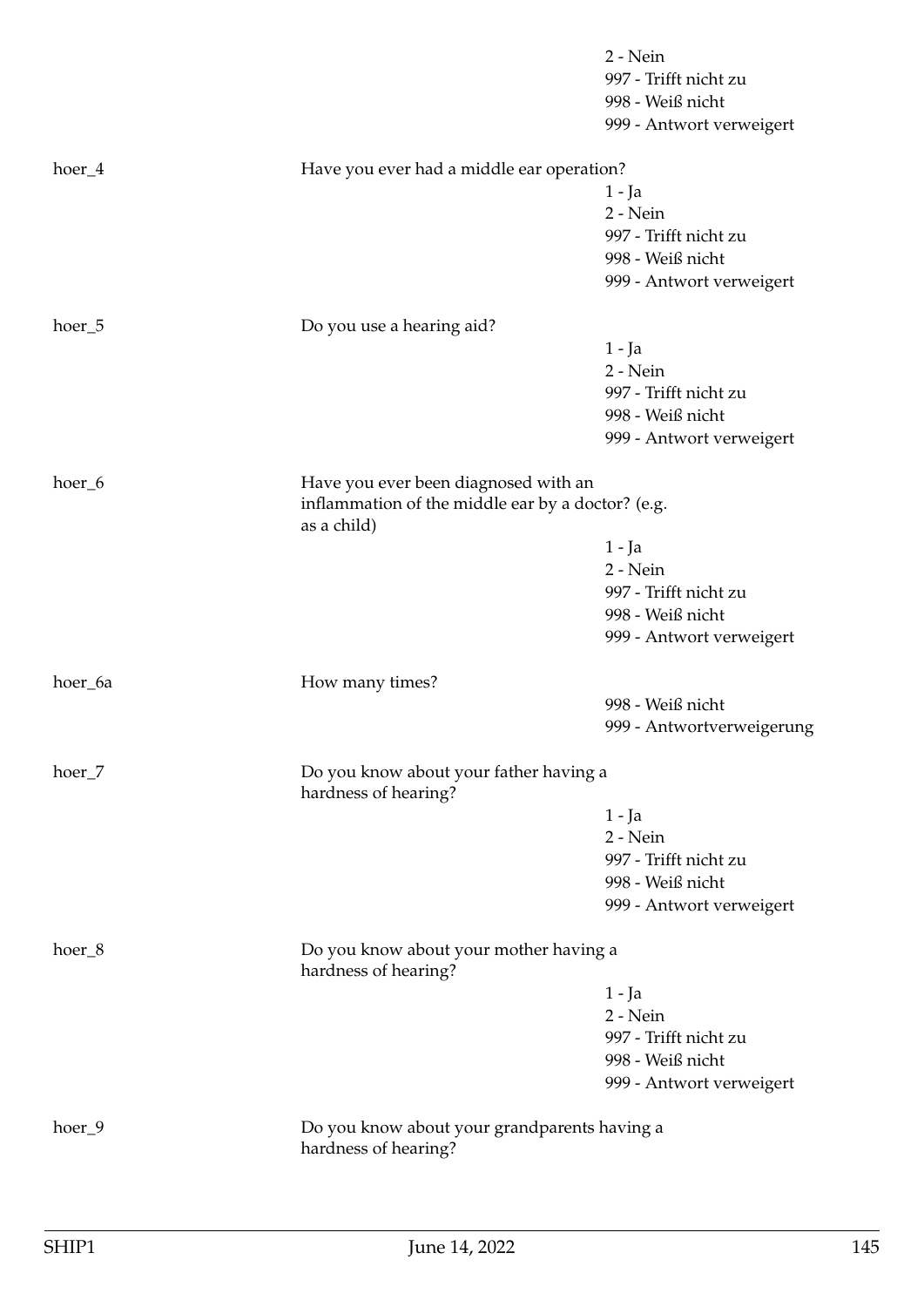|          |                                                                                                          | 2 - Nein<br>997 - Trifft nicht zu<br>998 - Weiß nicht<br>999 - Antwort verweigert |
|----------|----------------------------------------------------------------------------------------------------------|-----------------------------------------------------------------------------------|
| $hoer_4$ | Have you ever had a middle ear operation?                                                                |                                                                                   |
|          |                                                                                                          | 1 - Ja<br>2 - Nein<br>997 - Trifft nicht zu                                       |
|          |                                                                                                          | 998 - Weiß nicht<br>999 - Antwort verweigert                                      |
| hoer_5   | Do you use a hearing aid?                                                                                |                                                                                   |
|          |                                                                                                          | 1 - Ja<br>2 - Nein<br>997 - Trifft nicht zu                                       |
|          |                                                                                                          | 998 - Weiß nicht<br>999 - Antwort verweigert                                      |
| hoer_6   | Have you ever been diagnosed with an<br>inflammation of the middle ear by a doctor? (e.g.<br>as a child) |                                                                                   |
|          |                                                                                                          | $1 - Ja$                                                                          |
|          |                                                                                                          | 2 - Nein<br>997 - Trifft nicht zu                                                 |
|          |                                                                                                          | 998 - Weiß nicht                                                                  |
|          |                                                                                                          | 999 - Antwort verweigert                                                          |
| hoer_6a  | How many times?                                                                                          |                                                                                   |
|          |                                                                                                          | 998 - Weiß nicht<br>999 - Antwortverweigerung                                     |
| hoer_7   | Do you know about your father having a<br>hardness of hearing?                                           |                                                                                   |
|          |                                                                                                          | $1 - Ja$                                                                          |
|          |                                                                                                          | 2 - Nein<br>997 - Trifft nicht zu                                                 |
|          |                                                                                                          | 998 - Weiß nicht                                                                  |
|          |                                                                                                          | 999 - Antwort verweigert                                                          |
| hoer_8   | Do you know about your mother having a<br>hardness of hearing?                                           |                                                                                   |
|          |                                                                                                          | 1 - Ja                                                                            |
|          |                                                                                                          | 2 - Nein<br>997 - Trifft nicht zu                                                 |
|          |                                                                                                          | 998 - Weiß nicht                                                                  |
|          |                                                                                                          | 999 - Antwort verweigert                                                          |
| hoer_9   | Do you know about your grandparents having a<br>hardness of hearing?                                     |                                                                                   |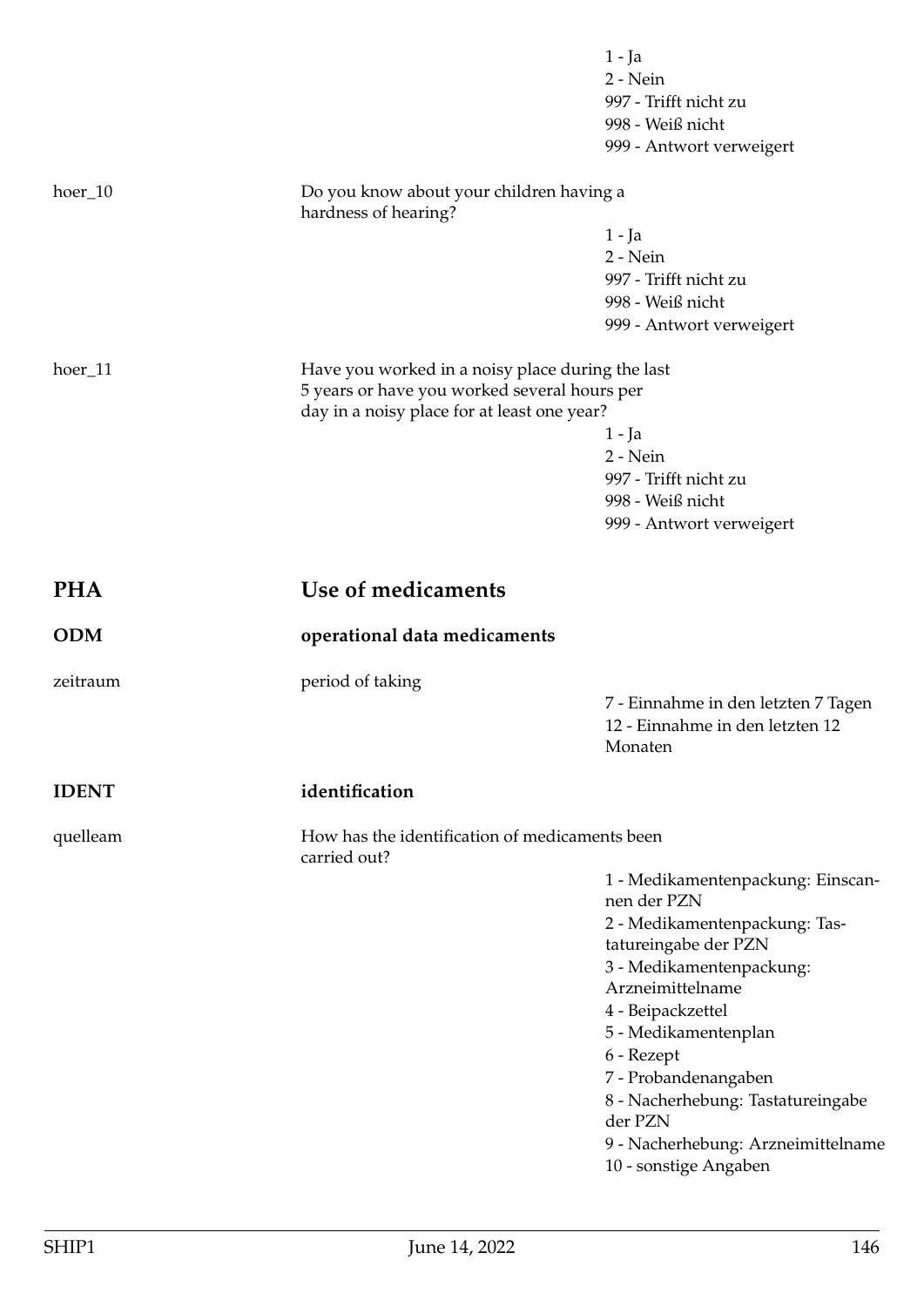|              |                                                  | $1 - Ja$<br>2 - Nein<br>997 - Trifft nicht zu<br>998 - Weiß nicht<br>999 - Antwort verweigert |
|--------------|--------------------------------------------------|-----------------------------------------------------------------------------------------------|
| $hoer_10$    | Do you know about your children having a         |                                                                                               |
|              | hardness of hearing?                             |                                                                                               |
|              |                                                  | 1 - Ja<br>2 - Nein                                                                            |
|              |                                                  | 997 - Trifft nicht zu                                                                         |
|              |                                                  | 998 - Weiß nicht                                                                              |
|              |                                                  | 999 - Antwort verweigert                                                                      |
| hoer_11      | Have you worked in a noisy place during the last |                                                                                               |
|              | 5 years or have you worked several hours per     |                                                                                               |
|              | day in a noisy place for at least one year?      |                                                                                               |
|              |                                                  | $1 - Ja$                                                                                      |
|              |                                                  | 2 - Nein                                                                                      |
|              |                                                  | 997 - Trifft nicht zu                                                                         |
|              |                                                  | 998 - Weiß nicht                                                                              |
|              |                                                  | 999 - Antwort verweigert                                                                      |
| <b>PHA</b>   | Use of medicaments                               |                                                                                               |
| <b>ODM</b>   | operational data medicaments                     |                                                                                               |
| zeitraum     | period of taking                                 |                                                                                               |
|              |                                                  | 7 - Einnahme in den letzten 7 Tagen                                                           |
|              |                                                  | 12 - Einnahme in den letzten 12<br>Monaten                                                    |
| <b>IDENT</b> | identification                                   |                                                                                               |
| quelleam     | How has the identification of medicaments been   |                                                                                               |
|              | carried out?                                     |                                                                                               |
|              |                                                  | 1 - Medikamentenpackung: Einscan-<br>nen der PZN                                              |
|              |                                                  |                                                                                               |
|              |                                                  | 2 - Medikamentenpackung: Tas-<br>tatureingabe der PZN                                         |
|              |                                                  | 3 - Medikamentenpackung:                                                                      |
|              |                                                  | Arzneimittelname                                                                              |
|              |                                                  | 4 - Beipackzettel                                                                             |
|              |                                                  | 5 - Medikamentenplan                                                                          |
|              |                                                  | 6 - Rezept                                                                                    |
|              |                                                  | 7 - Probandenangaben                                                                          |
|              |                                                  | 8 - Nacherhebung: Tastatureingabe                                                             |
|              |                                                  | der PZN                                                                                       |
|              |                                                  | 9 - Nacherhebung: Arzneimittelname                                                            |
|              |                                                  | 10 - sonstige Angaben                                                                         |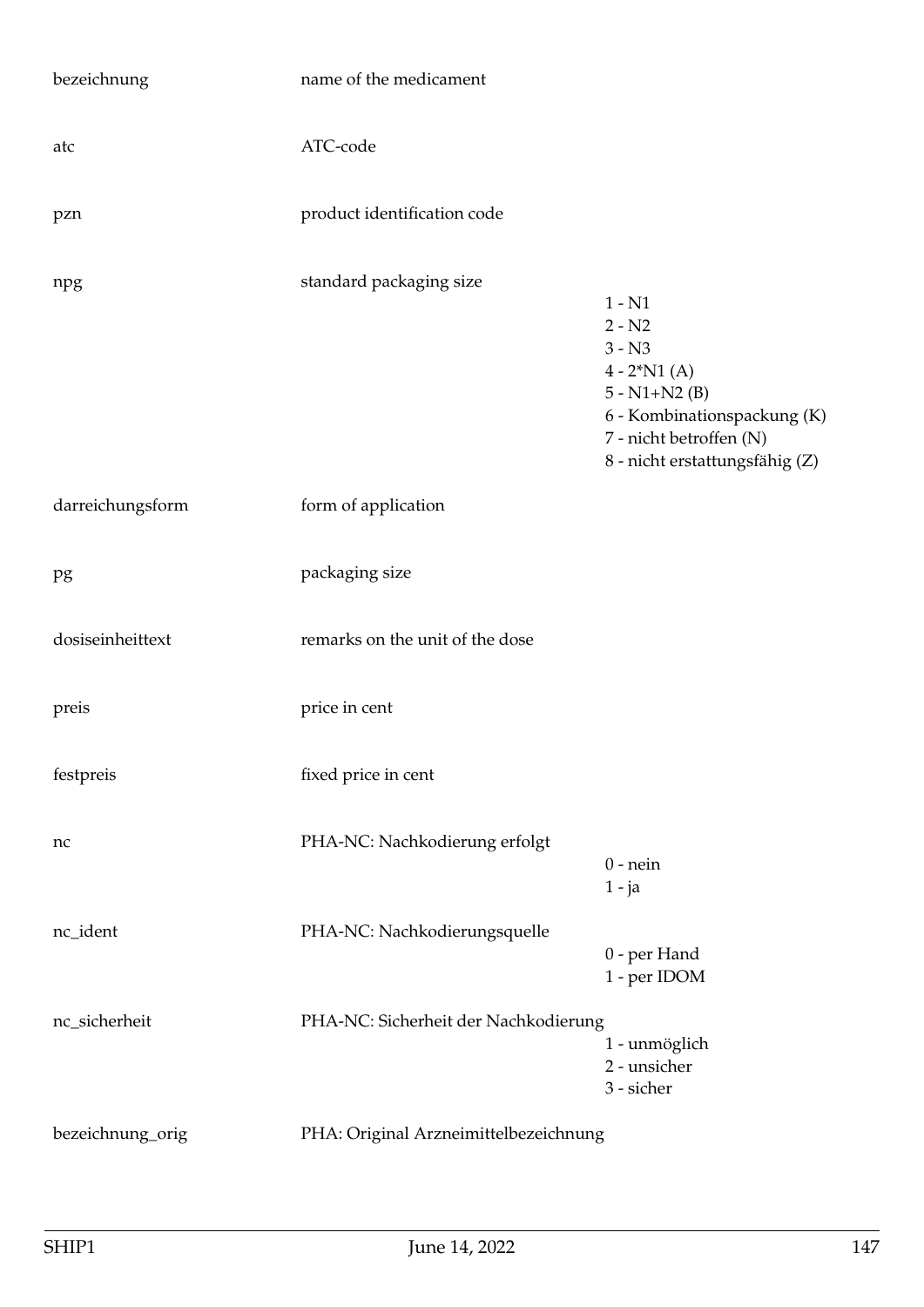| bezeichnung      | name of the medicament                |                                                                                                                                                                     |
|------------------|---------------------------------------|---------------------------------------------------------------------------------------------------------------------------------------------------------------------|
| atc              | ATC-code                              |                                                                                                                                                                     |
| pzn              | product identification code           |                                                                                                                                                                     |
| npg              | standard packaging size               | $1 - N1$<br>$2 - N2$<br>$3 - N3$<br>$4 - 2^*N1(A)$<br>$5 - N1 + N2$ (B)<br>6 - Kombinationspackung (K)<br>7 - nicht betroffen (N)<br>8 - nicht erstattungsfähig (Z) |
| darreichungsform | form of application                   |                                                                                                                                                                     |
| pg               | packaging size                        |                                                                                                                                                                     |
| dosiseinheittext | remarks on the unit of the dose       |                                                                                                                                                                     |
| preis            | price in cent                         |                                                                                                                                                                     |
| festpreis        | fixed price in cent                   |                                                                                                                                                                     |
| nc               | PHA-NC: Nachkodierung erfolgt         | $0$ - nein<br>$1 - ja$                                                                                                                                              |
| nc_ident         | PHA-NC: Nachkodierungsquelle          | 0 - per Hand<br>1 - per IDOM                                                                                                                                        |
| nc_sicherheit    | PHA-NC: Sicherheit der Nachkodierung  | 1 - unmöglich<br>2 - unsicher<br>3 - sicher                                                                                                                         |
| bezeichnung_orig | PHA: Original Arzneimittelbezeichnung |                                                                                                                                                                     |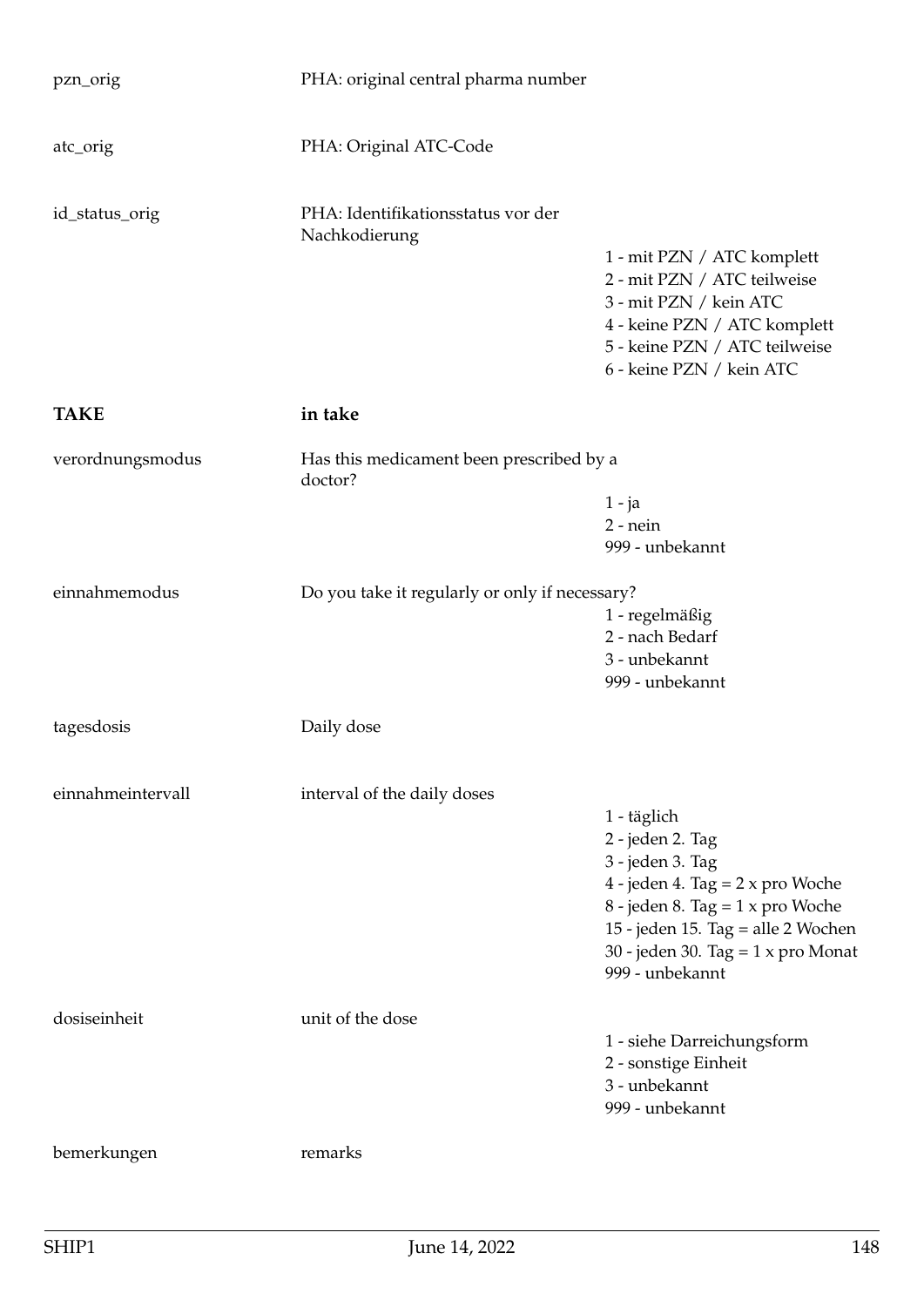| pzn_orig          | PHA: original central pharma number                 |                                                                                                                                                                                                                                                 |
|-------------------|-----------------------------------------------------|-------------------------------------------------------------------------------------------------------------------------------------------------------------------------------------------------------------------------------------------------|
| atc_orig          | PHA: Original ATC-Code                              |                                                                                                                                                                                                                                                 |
| id_status_orig    | PHA: Identifikationsstatus vor der<br>Nachkodierung |                                                                                                                                                                                                                                                 |
|                   |                                                     | 1 - mit PZN / ATC komplett<br>2 - mit PZN / ATC teilweise<br>3 - mit PZN / kein ATC<br>4 - keine PZN / ATC komplett<br>5 - keine PZN / ATC teilweise                                                                                            |
|                   |                                                     | 6 - keine PZN / kein ATC                                                                                                                                                                                                                        |
| <b>TAKE</b>       | in take                                             |                                                                                                                                                                                                                                                 |
| verordnungsmodus  | Has this medicament been prescribed by a<br>doctor? |                                                                                                                                                                                                                                                 |
|                   |                                                     | $1 - ja$<br>$2$ - nein<br>999 - unbekannt                                                                                                                                                                                                       |
| einnahmemodus     | Do you take it regularly or only if necessary?      |                                                                                                                                                                                                                                                 |
|                   |                                                     | 1 - regelmäßig<br>2 - nach Bedarf<br>3 - unbekannt<br>999 - unbekannt                                                                                                                                                                           |
| tagesdosis        | Daily dose                                          |                                                                                                                                                                                                                                                 |
| einnahmeintervall | interval of the daily doses                         |                                                                                                                                                                                                                                                 |
|                   |                                                     | 1 - täglich<br>2 - jeden 2. Tag<br>3 - jeden 3. Tag<br>4 - jeden 4. Tag = $2 \times pro$ Woche<br>8 - jeden 8. Tag = $1 \times pro$ Woche<br>15 - jeden 15. Tag = alle 2 Wochen<br>30 - jeden 30. Tag = $1 \times pro$ Monat<br>999 - unbekannt |
| dosiseinheit      | unit of the dose                                    | 1 - siehe Darreichungsform<br>2 - sonstige Einheit<br>3 - unbekannt<br>999 - unbekannt                                                                                                                                                          |
| bemerkungen       | remarks                                             |                                                                                                                                                                                                                                                 |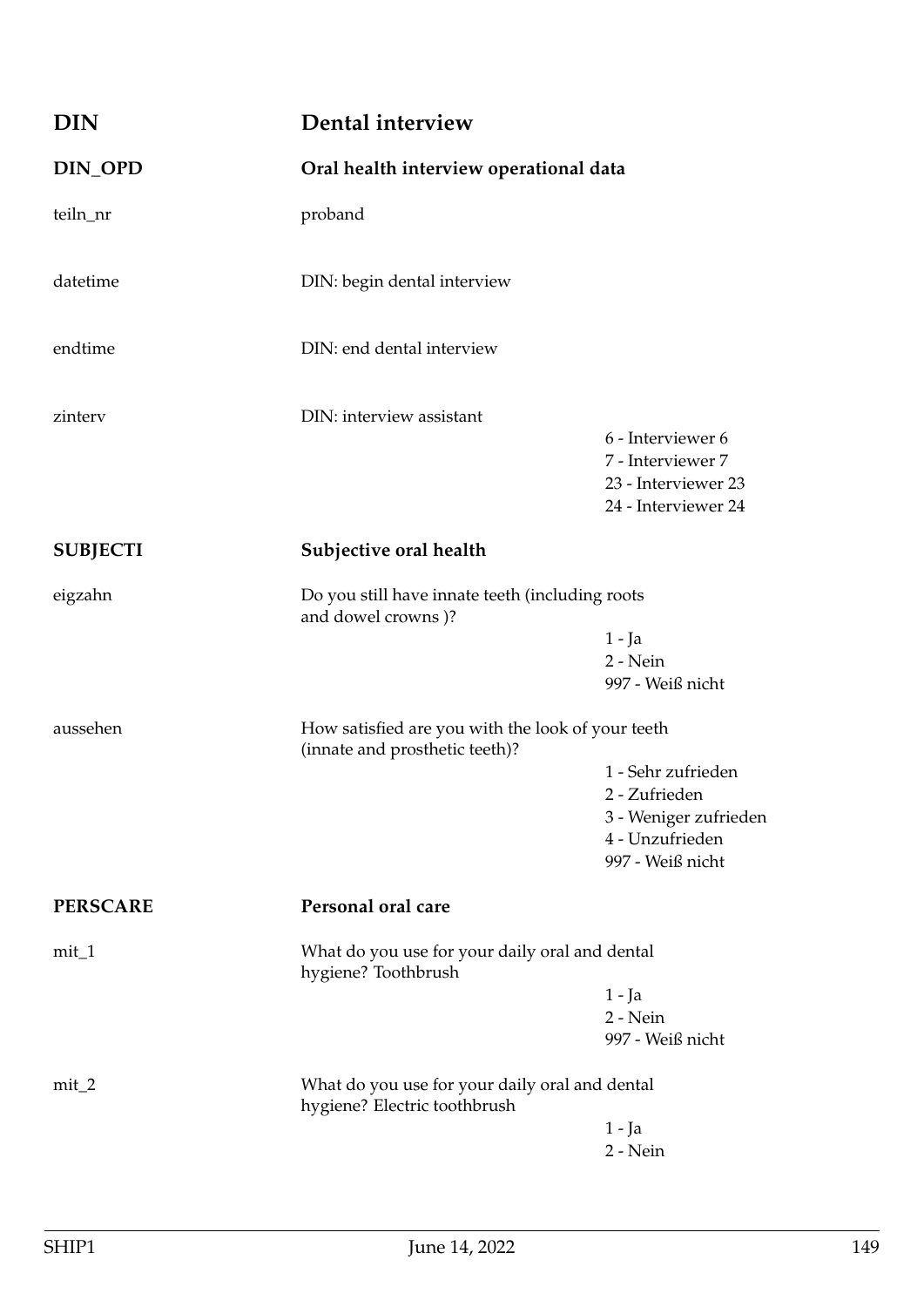| <b>DIN</b>      | Dental interview                                                                    |                                                                                                     |
|-----------------|-------------------------------------------------------------------------------------|-----------------------------------------------------------------------------------------------------|
| DIN_OPD         | Oral health interview operational data                                              |                                                                                                     |
| teiln_nr        | proband                                                                             |                                                                                                     |
| datetime        | DIN: begin dental interview                                                         |                                                                                                     |
| endtime         | DIN: end dental interview                                                           |                                                                                                     |
| zinterv         | DIN: interview assistant                                                            | 6 - Interviewer 6<br>7 - Interviewer 7<br>23 - Interviewer 23<br>24 - Interviewer 24                |
| <b>SUBJECTI</b> | Subjective oral health                                                              |                                                                                                     |
| eigzahn         | Do you still have innate teeth (including roots<br>and dowel crowns)?               | $1 - Ja$<br>2 - Nein<br>997 - Weiß nicht                                                            |
| aussehen        | How satisfied are you with the look of your teeth<br>(innate and prosthetic teeth)? |                                                                                                     |
|                 |                                                                                     | 1 - Sehr zufrieden<br>2 - Zufrieden<br>3 - Weniger zufrieden<br>4 - Unzufrieden<br>997 - Weiß nicht |
| <b>PERSCARE</b> | Personal oral care                                                                  |                                                                                                     |
| $mit_1$         | What do you use for your daily oral and dental<br>hygiene? Toothbrush               |                                                                                                     |
|                 |                                                                                     | 1 - Ja<br>2 - Nein<br>997 - Weiß nicht                                                              |
| $mit_2$         | What do you use for your daily oral and dental<br>hygiene? Electric toothbrush      |                                                                                                     |
|                 |                                                                                     | $1 - Ja$<br>2 - Nein                                                                                |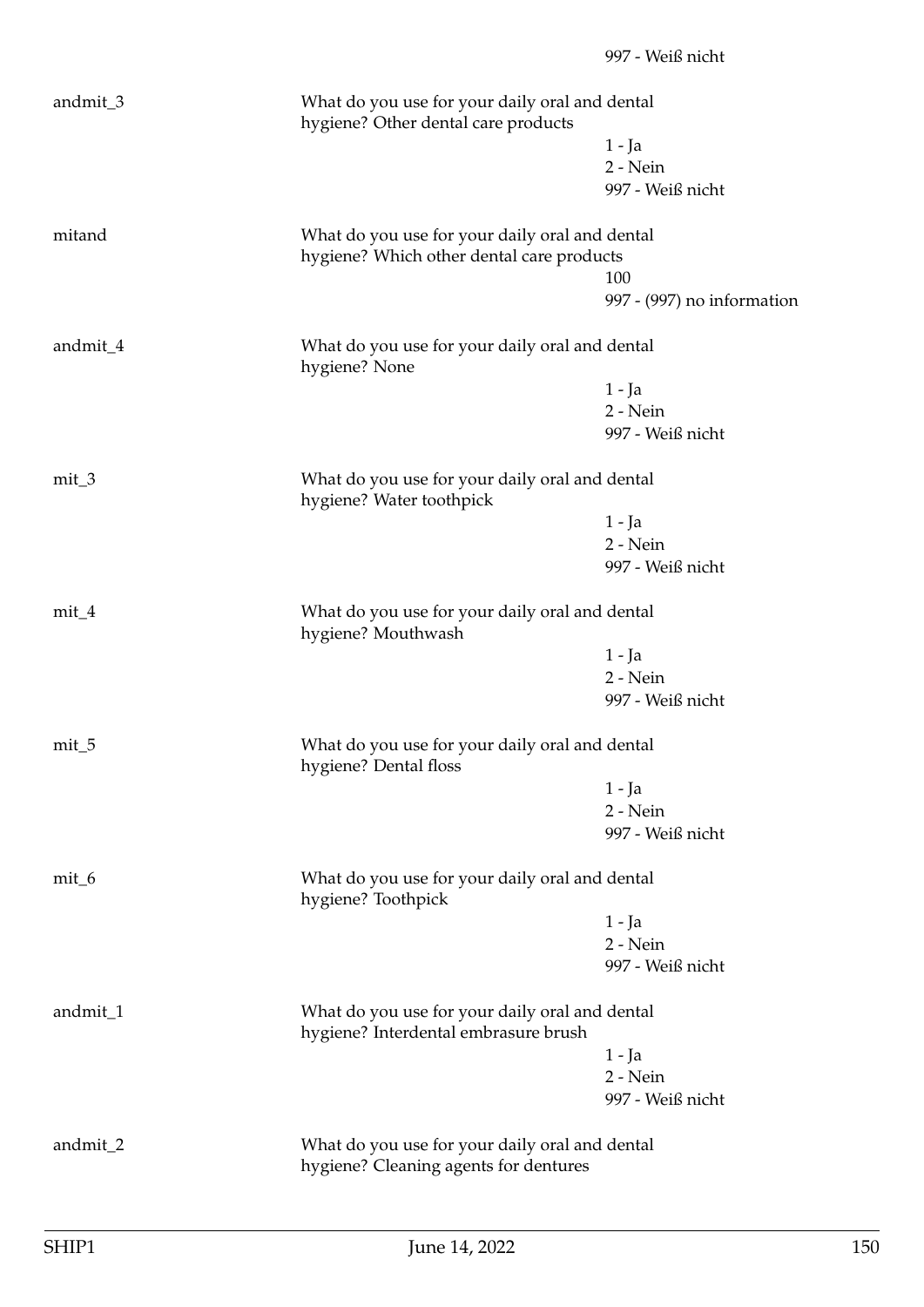| andmit_3 | What do you use for your daily oral and dental<br>hygiene? Other dental care products   |                                   |
|----------|-----------------------------------------------------------------------------------------|-----------------------------------|
|          |                                                                                         | $1 - Ja$                          |
|          |                                                                                         | 2 - Nein                          |
|          |                                                                                         | 997 - Weiß nicht                  |
| mitand   | What do you use for your daily oral and dental                                          |                                   |
|          | hygiene? Which other dental care products                                               |                                   |
|          |                                                                                         | 100<br>997 - (997) no information |
| andmit_4 | What do you use for your daily oral and dental<br>hygiene? None                         |                                   |
|          |                                                                                         | $1 - Ja$                          |
|          |                                                                                         | 2 - Nein                          |
|          |                                                                                         | 997 - Weiß nicht                  |
| $mit_3$  | What do you use for your daily oral and dental<br>hygiene? Water toothpick              |                                   |
|          |                                                                                         | $1 - Ja$                          |
|          |                                                                                         | 2 - Nein                          |
|          |                                                                                         | 997 - Weiß nicht                  |
| $mit_4$  | What do you use for your daily oral and dental<br>hygiene? Mouthwash                    |                                   |
|          |                                                                                         | $1 - Ja$                          |
|          |                                                                                         | 2 - Nein                          |
|          |                                                                                         | 997 - Weiß nicht                  |
| $mit_5$  | What do you use for your daily oral and dental<br>hygiene? Dental floss                 |                                   |
|          |                                                                                         | 1 - Ja                            |
|          |                                                                                         | 2 - Nein                          |
|          |                                                                                         | 997 - Weiß nicht                  |
| $mit_6$  | What do you use for your daily oral and dental<br>hygiene? Toothpick                    |                                   |
|          |                                                                                         | $1 - Ja$                          |
|          |                                                                                         | 2 - Nein                          |
|          |                                                                                         | 997 - Weiß nicht                  |
| andmit_1 | What do you use for your daily oral and dental<br>hygiene? Interdental embrasure brush  |                                   |
|          |                                                                                         | $1 - Ja$                          |
|          |                                                                                         | 2 - Nein                          |
|          |                                                                                         | 997 - Weiß nicht                  |
| andmit_2 | What do you use for your daily oral and dental<br>hygiene? Cleaning agents for dentures |                                   |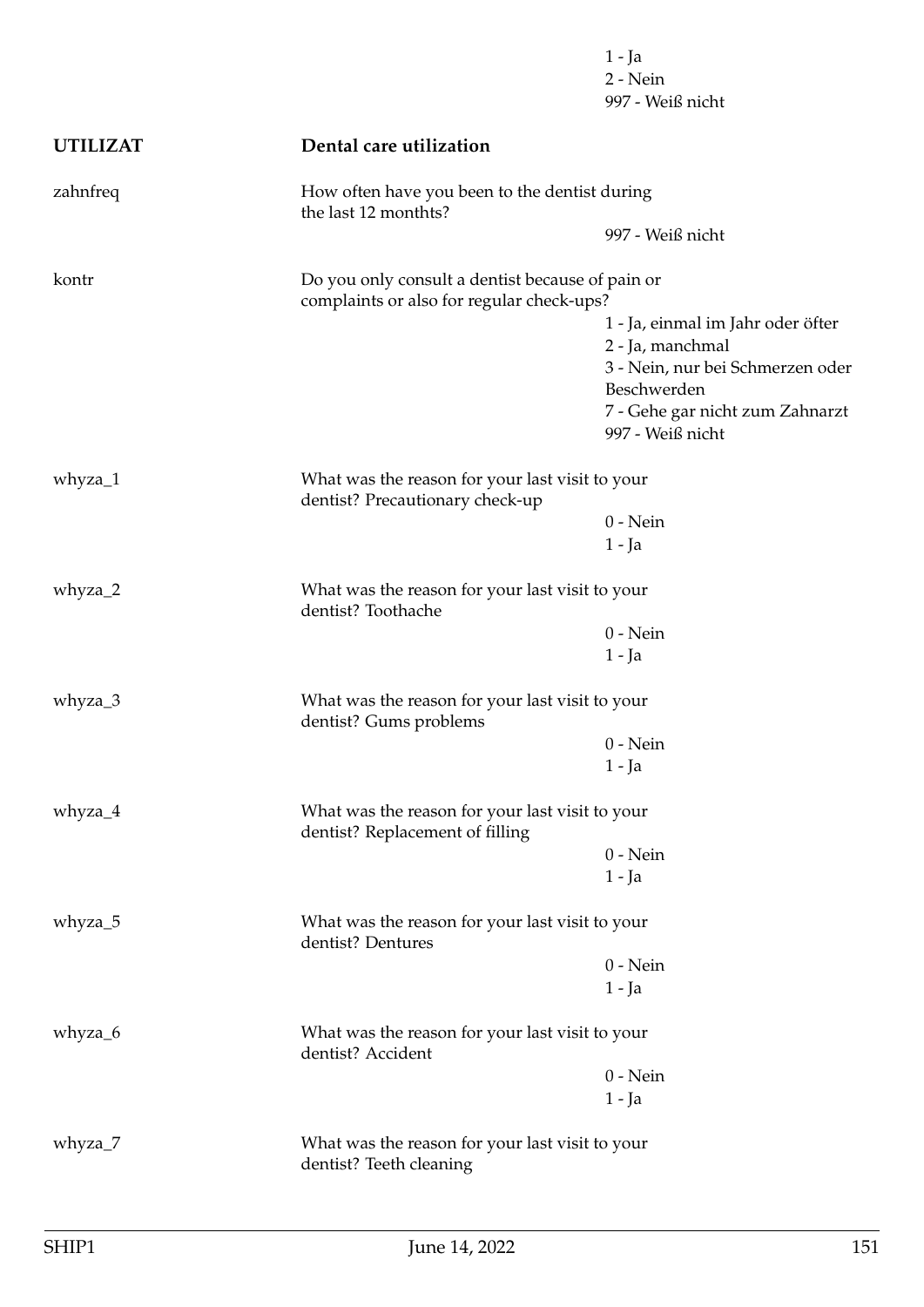|                 |                                                                                               | 1 - Ja<br>2 - Nein<br>997 - Weiß nicht              |
|-----------------|-----------------------------------------------------------------------------------------------|-----------------------------------------------------|
| <b>UTILIZAT</b> | Dental care utilization                                                                       |                                                     |
| zahnfreq        | How often have you been to the dentist during<br>the last 12 monthts?                         |                                                     |
|                 |                                                                                               | 997 - Weiß nicht                                    |
| kontr           | Do you only consult a dentist because of pain or<br>complaints or also for regular check-ups? |                                                     |
|                 |                                                                                               | 1 - Ja, einmal im Jahr oder öfter                   |
|                 |                                                                                               | 2 - Ja, manchmal                                    |
|                 |                                                                                               | 3 - Nein, nur bei Schmerzen oder                    |
|                 |                                                                                               | Beschwerden                                         |
|                 |                                                                                               | 7 - Gehe gar nicht zum Zahnarzt<br>997 - Weiß nicht |
| whyza_1         | What was the reason for your last visit to your<br>dentist? Precautionary check-up            |                                                     |
|                 |                                                                                               | $0$ - Nein                                          |
|                 |                                                                                               | $1 - Ja$                                            |
| whyza_2         | What was the reason for your last visit to your<br>dentist? Toothache                         |                                                     |
|                 |                                                                                               | $0$ - Nein                                          |
|                 |                                                                                               | 1 - Ja                                              |
| whyza_3         | What was the reason for your last visit to your<br>dentist? Gums problems                     |                                                     |
|                 |                                                                                               | $0$ - Nein                                          |
|                 |                                                                                               | 1 - Ja                                              |
| whyza_4         | What was the reason for your last visit to your<br>dentist? Replacement of filling            |                                                     |
|                 |                                                                                               | $0$ - Nein                                          |
|                 |                                                                                               | $1 - Ja$                                            |
| whyza_5         | What was the reason for your last visit to your<br>dentist? Dentures                          |                                                     |
|                 |                                                                                               | $0$ - Nein                                          |
|                 |                                                                                               | $1 - Ja$                                            |
| whyza_6         | What was the reason for your last visit to your<br>dentist? Accident                          |                                                     |
|                 |                                                                                               | $0$ - Nein                                          |
|                 |                                                                                               | $1 - Ja$                                            |
| whyza_7         | What was the reason for your last visit to your<br>dentist? Teeth cleaning                    |                                                     |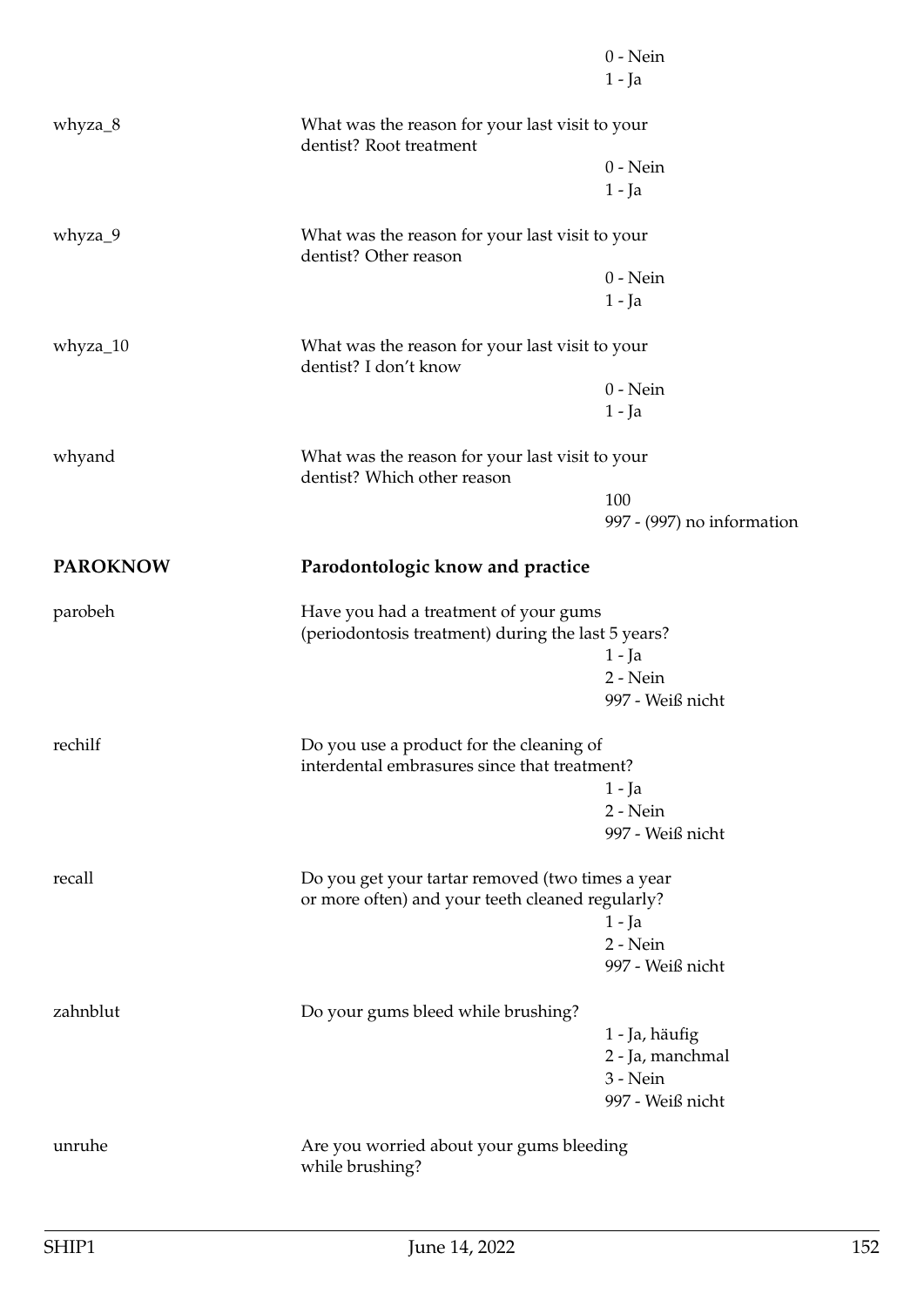|                 |                                                                                                      | $0$ - Nein                                                                               |  |
|-----------------|------------------------------------------------------------------------------------------------------|------------------------------------------------------------------------------------------|--|
|                 |                                                                                                      | $1 - Ja$                                                                                 |  |
| whyza_8         | What was the reason for your last visit to your<br>dentist? Root treatment                           |                                                                                          |  |
|                 |                                                                                                      | $0$ - Nein                                                                               |  |
|                 |                                                                                                      | $1 - Ja$                                                                                 |  |
| whyza_9         | What was the reason for your last visit to your<br>dentist? Other reason                             |                                                                                          |  |
|                 |                                                                                                      | $0$ - Nein                                                                               |  |
|                 |                                                                                                      | $1 - Ja$                                                                                 |  |
| whyza_10        | What was the reason for your last visit to your<br>dentist? I don't know                             |                                                                                          |  |
|                 |                                                                                                      | $0$ - Nein                                                                               |  |
|                 |                                                                                                      | 1 - Ja                                                                                   |  |
| whyand          | What was the reason for your last visit to your<br>dentist? Which other reason                       |                                                                                          |  |
|                 |                                                                                                      | 100                                                                                      |  |
|                 |                                                                                                      | 997 - (997) no information                                                               |  |
| <b>PAROKNOW</b> | Parodontologic know and practice                                                                     |                                                                                          |  |
| parobeh         | Have you had a treatment of your gums<br>(periodontosis treatment) during the last 5 years?          |                                                                                          |  |
|                 |                                                                                                      | $1 - Ja$                                                                                 |  |
|                 |                                                                                                      | 2 - Nein                                                                                 |  |
|                 |                                                                                                      | 997 - Weiß nicht                                                                         |  |
| rechilf         |                                                                                                      | Do you use a product for the cleaning of<br>interdental embrasures since that treatment? |  |
|                 |                                                                                                      | $1 - Ja$                                                                                 |  |
|                 |                                                                                                      | 2 - Nein                                                                                 |  |
|                 |                                                                                                      | 997 - Weiß nicht                                                                         |  |
| recall          | Do you get your tartar removed (two times a year<br>or more often) and your teeth cleaned regularly? |                                                                                          |  |
|                 |                                                                                                      | $1 - Ja$                                                                                 |  |
|                 |                                                                                                      | 2 - Nein                                                                                 |  |
|                 |                                                                                                      | 997 - Weiß nicht                                                                         |  |
| zahnblut        | Do your gums bleed while brushing?                                                                   |                                                                                          |  |
|                 |                                                                                                      | 1 - Ja, häufig                                                                           |  |
|                 |                                                                                                      | 2 - Ja, manchmal                                                                         |  |
|                 |                                                                                                      | 3 - Nein<br>997 - Weiß nicht                                                             |  |
| unruhe          | Are you worried about your gums bleeding<br>while brushing?                                          |                                                                                          |  |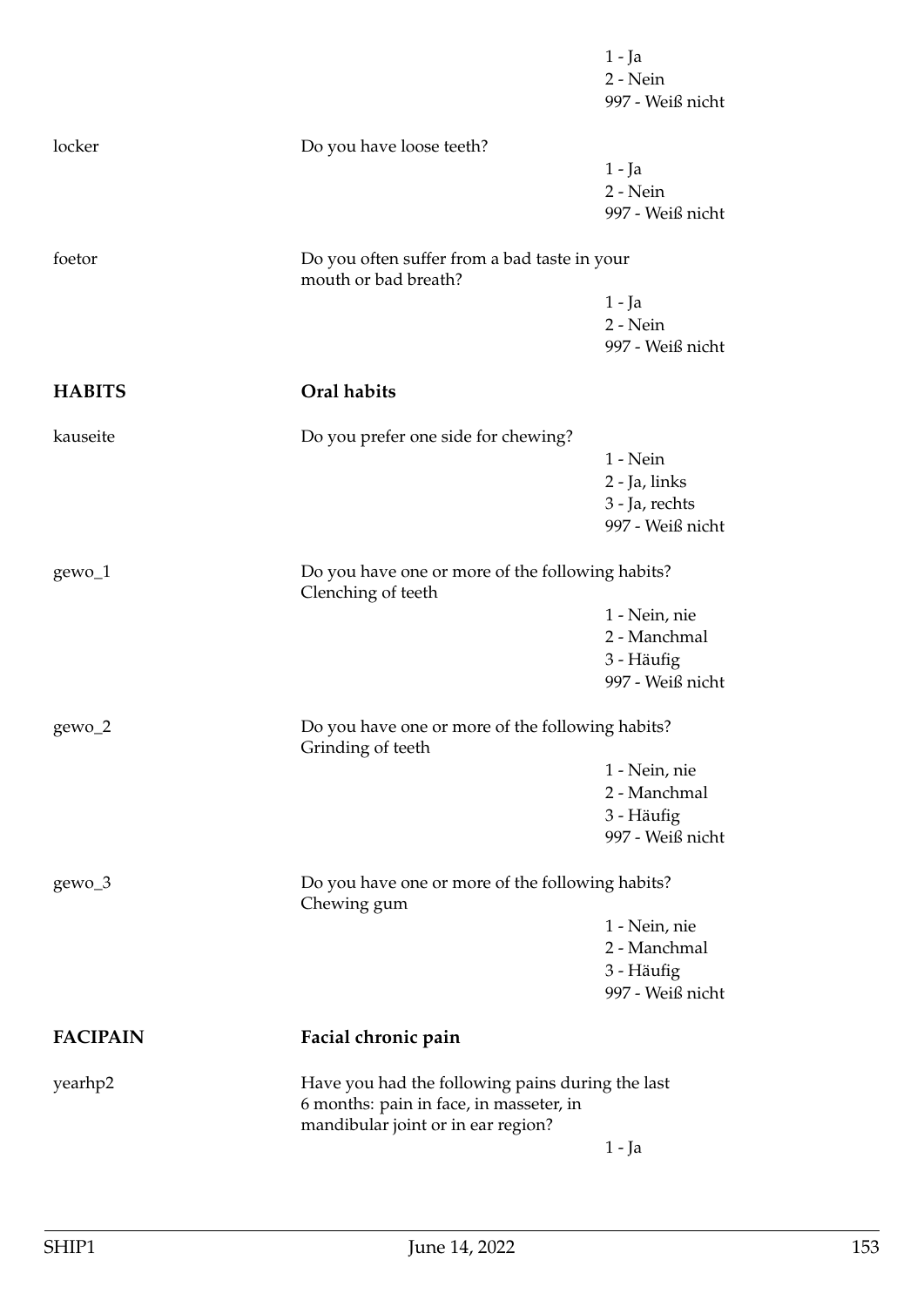|                 |                                                                                                                                   | 1 - Ja<br>2 - Nein<br>997 - Weiß nicht |
|-----------------|-----------------------------------------------------------------------------------------------------------------------------------|----------------------------------------|
| locker          | Do you have loose teeth?                                                                                                          |                                        |
|                 |                                                                                                                                   | 1 - Ja                                 |
|                 |                                                                                                                                   | 2 - Nein<br>997 - Weiß nicht           |
|                 |                                                                                                                                   |                                        |
| foetor          | Do you often suffer from a bad taste in your<br>mouth or bad breath?                                                              |                                        |
|                 |                                                                                                                                   | $1 - Ja$                               |
|                 |                                                                                                                                   | 2 - Nein<br>997 - Weiß nicht           |
|                 |                                                                                                                                   |                                        |
| <b>HABITS</b>   | Oral habits                                                                                                                       |                                        |
| kauseite        | Do you prefer one side for chewing?                                                                                               |                                        |
|                 |                                                                                                                                   | $1 - Nein$                             |
|                 |                                                                                                                                   | 2 - Ja, links                          |
|                 |                                                                                                                                   | 3 - Ja, rechts<br>997 - Weiß nicht     |
|                 |                                                                                                                                   |                                        |
| $gewo_1$        | Do you have one or more of the following habits?<br>Clenching of teeth                                                            |                                        |
|                 |                                                                                                                                   | 1 - Nein, nie                          |
|                 |                                                                                                                                   | 2 - Manchmal                           |
|                 |                                                                                                                                   | 3 - Häufig<br>997 - Weiß nicht         |
|                 |                                                                                                                                   |                                        |
| gewo_2          | Do you have one or more of the following habits?<br>Grinding of teeth                                                             |                                        |
|                 |                                                                                                                                   | 1 - Nein, nie                          |
|                 |                                                                                                                                   | 2 - Manchmal                           |
|                 |                                                                                                                                   | 3 - Häufig<br>997 - Weiß nicht         |
|                 |                                                                                                                                   |                                        |
| gewo_3          | Do you have one or more of the following habits?<br>Chewing gum                                                                   |                                        |
|                 |                                                                                                                                   | 1 - Nein, nie                          |
|                 |                                                                                                                                   | 2 - Manchmal                           |
|                 |                                                                                                                                   | 3 - Häufig<br>997 - Weiß nicht         |
|                 |                                                                                                                                   |                                        |
| <b>FACIPAIN</b> | Facial chronic pain                                                                                                               |                                        |
| yearhp2         | Have you had the following pains during the last<br>6 months: pain in face, in masseter, in<br>mandibular joint or in ear region? |                                        |
|                 |                                                                                                                                   | $1 - Ja$                               |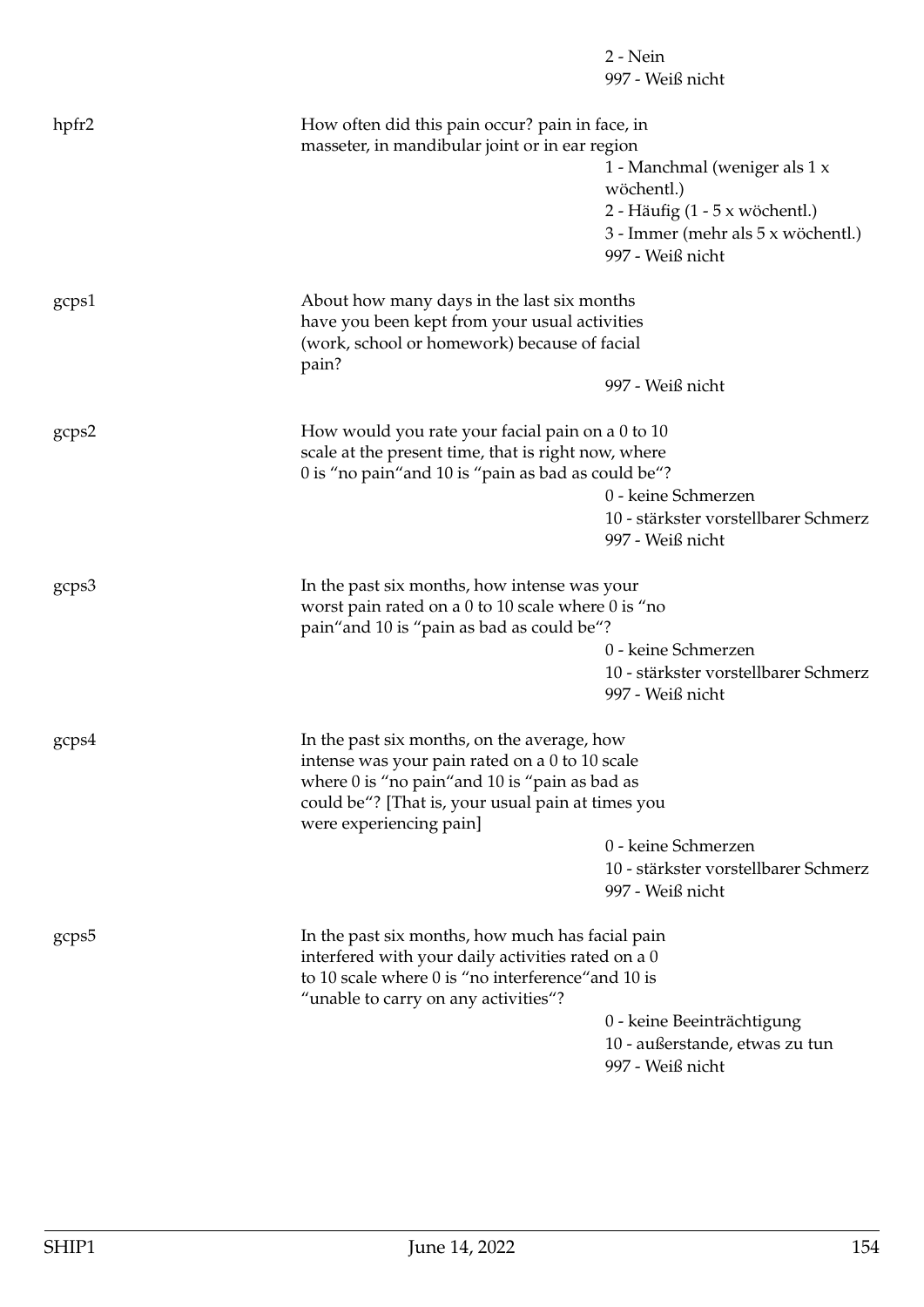|       |                                                                                                     | $2 - Nein$                                               |
|-------|-----------------------------------------------------------------------------------------------------|----------------------------------------------------------|
|       |                                                                                                     | 997 - Weiß nicht                                         |
| hpfr2 | How often did this pain occur? pain in face, in                                                     |                                                          |
|       | masseter, in mandibular joint or in ear region                                                      |                                                          |
|       |                                                                                                     | 1 - Manchmal (weniger als 1 x                            |
|       |                                                                                                     | wöchentl.)                                               |
|       |                                                                                                     | 2 - Häufig $(1 - 5 \times w$ öchentl.)                   |
|       |                                                                                                     | 3 - Immer (mehr als 5 x wöchentl.)                       |
|       |                                                                                                     | 997 - Weiß nicht                                         |
| gcps1 | About how many days in the last six months                                                          |                                                          |
|       | have you been kept from your usual activities                                                       |                                                          |
|       | (work, school or homework) because of facial<br>pain?                                               |                                                          |
|       |                                                                                                     | 997 - Weiß nicht                                         |
| gcps2 | How would you rate your facial pain on a 0 to 10                                                    |                                                          |
|       | scale at the present time, that is right now, where                                                 |                                                          |
|       | 0 is "no pain" and 10 is "pain as bad as could be"?                                                 |                                                          |
|       |                                                                                                     | 0 - keine Schmerzen                                      |
|       |                                                                                                     | 10 - stärkster vorstellbarer Schmerz                     |
|       |                                                                                                     | 997 - Weiß nicht                                         |
| gcps3 | In the past six months, how intense was your                                                        |                                                          |
|       | worst pain rated on a 0 to 10 scale where 0 is "no                                                  |                                                          |
|       | pain" and 10 is "pain as bad as could be"?                                                          |                                                          |
|       |                                                                                                     | 0 - keine Schmerzen                                      |
|       |                                                                                                     | 10 - stärkster vorstellbarer Schmerz<br>997 - Weiß nicht |
|       |                                                                                                     |                                                          |
| gcps4 | In the past six months, on the average, how                                                         |                                                          |
|       | intense was your pain rated on a 0 to 10 scale                                                      |                                                          |
|       | where 0 is "no pain" and 10 is "pain as bad as<br>could be"? [That is, your usual pain at times you |                                                          |
|       | were experiencing pain]                                                                             |                                                          |
|       |                                                                                                     | 0 - keine Schmerzen                                      |
|       |                                                                                                     | 10 - stärkster vorstellbarer Schmerz                     |
|       |                                                                                                     | 997 - Weiß nicht                                         |
| gcps5 | In the past six months, how much has facial pain                                                    |                                                          |
|       | interfered with your daily activities rated on a 0                                                  |                                                          |
|       | to 10 scale where 0 is "no interference" and 10 is<br>"unable to carry on any activities"?          |                                                          |
|       |                                                                                                     | 0 - keine Beeinträchtigung                               |
|       |                                                                                                     | 10 - außerstande, etwas zu tun                           |
|       |                                                                                                     | 997 - Weiß nicht                                         |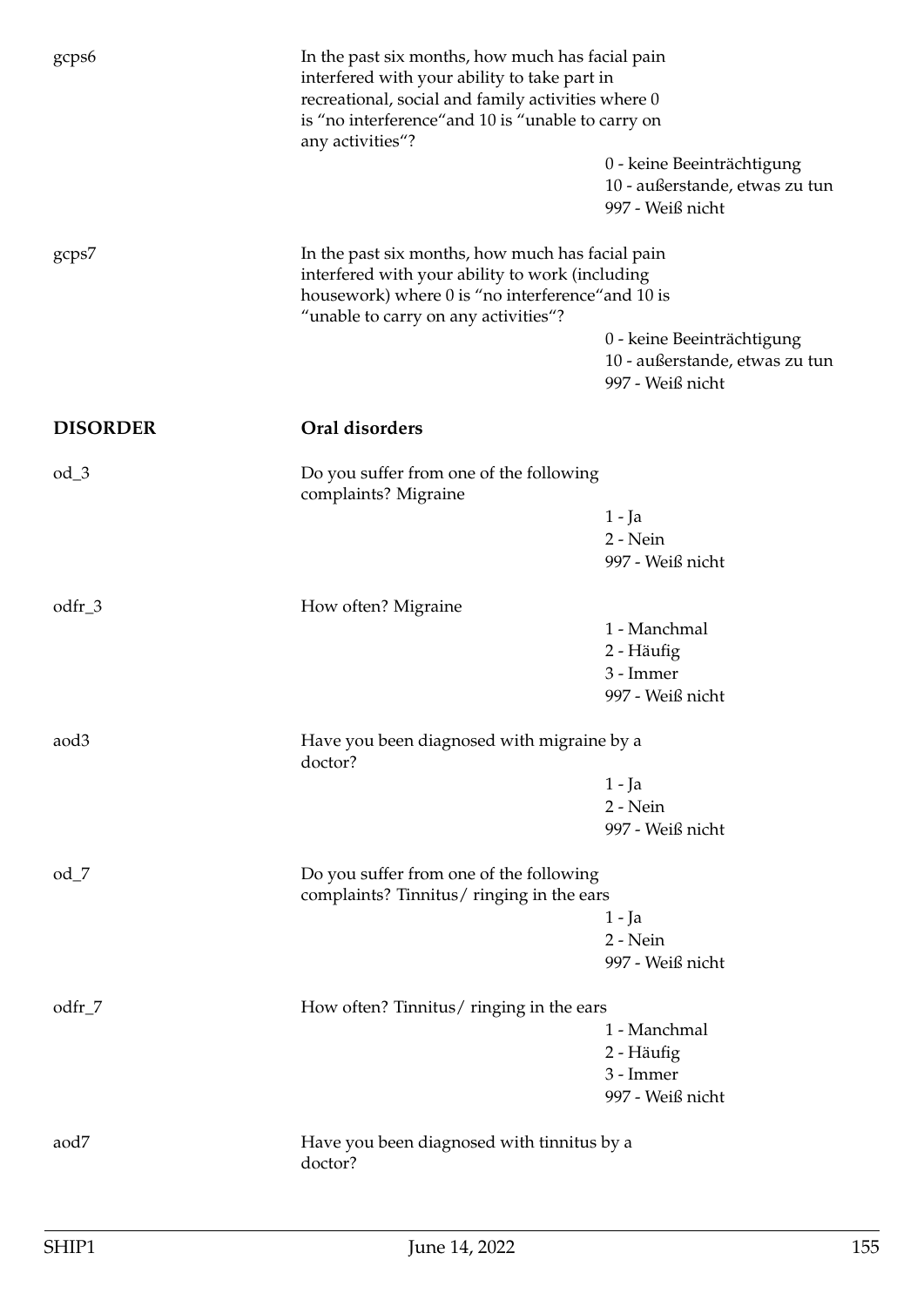| gcps6            | In the past six months, how much has facial pain<br>interfered with your ability to take part in<br>recreational, social and family activities where 0<br>is "no interference" and 10 is "unable to carry on<br>any activities"? |                                                                                  |
|------------------|----------------------------------------------------------------------------------------------------------------------------------------------------------------------------------------------------------------------------------|----------------------------------------------------------------------------------|
|                  |                                                                                                                                                                                                                                  | 0 - keine Beeinträchtigung<br>10 - außerstande, etwas zu tun<br>997 - Weiß nicht |
| gcps7            | In the past six months, how much has facial pain<br>interfered with your ability to work (including<br>housework) where 0 is "no interference" and 10 is<br>"unable to carry on any activities"?                                 |                                                                                  |
|                  |                                                                                                                                                                                                                                  | 0 - keine Beeinträchtigung<br>10 - außerstande, etwas zu tun<br>997 - Weiß nicht |
| <b>DISORDER</b>  | Oral disorders                                                                                                                                                                                                                   |                                                                                  |
| $od_3$           | Do you suffer from one of the following<br>complaints? Migraine                                                                                                                                                                  | $1 - Ja$<br>2 - Nein<br>997 - Weiß nicht                                         |
| odfr_3           | How often? Migraine                                                                                                                                                                                                              |                                                                                  |
|                  |                                                                                                                                                                                                                                  | 1 - Manchmal<br>2 - Häufig<br>3 - Immer<br>997 - Weiß nicht                      |
| aod <sub>3</sub> | Have you been diagnosed with migraine by a<br>doctor?                                                                                                                                                                            |                                                                                  |
|                  |                                                                                                                                                                                                                                  | $1 - Ja$                                                                         |
|                  |                                                                                                                                                                                                                                  | 2 - Nein<br>997 - Weiß nicht                                                     |
| $od_7$           | Do you suffer from one of the following<br>complaints? Tinnitus/ringing in the ears                                                                                                                                              |                                                                                  |
|                  |                                                                                                                                                                                                                                  | $1 - Ja$<br>2 - Nein<br>997 - Weiß nicht                                         |
| odfr_7           | How often? Tinnitus/ringing in the ears                                                                                                                                                                                          |                                                                                  |
|                  |                                                                                                                                                                                                                                  | 1 - Manchmal                                                                     |
|                  |                                                                                                                                                                                                                                  | 2 - Häufig<br>3 - Immer                                                          |
|                  |                                                                                                                                                                                                                                  | 997 - Weiß nicht                                                                 |
| aod7             | Have you been diagnosed with tinnitus by a<br>doctor?                                                                                                                                                                            |                                                                                  |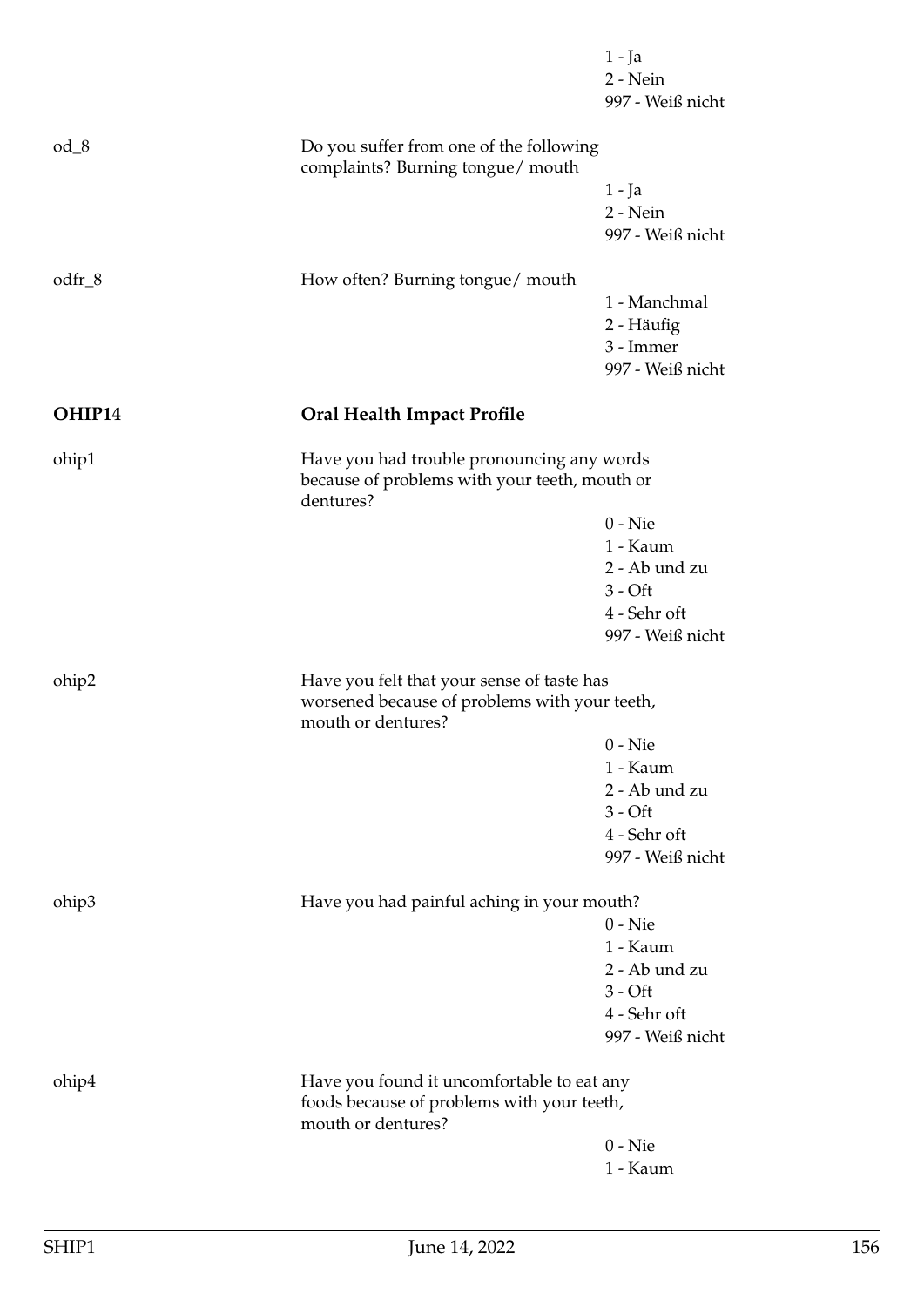|          |                                                                                                                   | 1 - Ja<br>2 - Nein<br>997 - Weiß nicht                      |
|----------|-------------------------------------------------------------------------------------------------------------------|-------------------------------------------------------------|
| $od_8$   | Do you suffer from one of the following<br>complaints? Burning tongue/ mouth                                      |                                                             |
|          |                                                                                                                   | $1 - Ja$<br>2 - Nein<br>997 - Weiß nicht                    |
| $odfr_8$ | How often? Burning tongue/ mouth                                                                                  |                                                             |
|          |                                                                                                                   | 1 - Manchmal<br>2 - Häufig<br>3 - Immer<br>997 - Weiß nicht |
| OHIP14   | <b>Oral Health Impact Profile</b>                                                                                 |                                                             |
| ohip1    | Have you had trouble pronouncing any words<br>because of problems with your teeth, mouth or<br>dentures?          |                                                             |
|          |                                                                                                                   | $0 -$ Nie                                                   |
|          |                                                                                                                   | 1 - Kaum<br>2 - Ab und zu                                   |
|          |                                                                                                                   | $3 - Off$                                                   |
|          |                                                                                                                   | 4 - Sehr oft<br>997 - Weiß nicht                            |
| ohip2    | Have you felt that your sense of taste has<br>worsened because of problems with your teeth,<br>mouth or dentures? |                                                             |
|          |                                                                                                                   | $0 -$ Nie                                                   |
|          |                                                                                                                   | 1 - Kaum<br>2 - Ab und zu                                   |
|          |                                                                                                                   | $3 - Off$                                                   |
|          |                                                                                                                   | 4 - Sehr oft                                                |
|          |                                                                                                                   | 997 - Weiß nicht                                            |
| ohip3    | Have you had painful aching in your mouth?                                                                        |                                                             |
|          |                                                                                                                   | $0 -$ Nie<br>1 - Kaum                                       |
|          |                                                                                                                   | 2 - Ab und zu                                               |
|          |                                                                                                                   | $3 - Off$                                                   |
|          |                                                                                                                   | 4 - Sehr oft<br>997 - Weiß nicht                            |
| ohip4    | Have you found it uncomfortable to eat any<br>foods because of problems with your teeth,                          |                                                             |
|          | mouth or dentures?                                                                                                | $0 -$ Nie                                                   |
|          |                                                                                                                   | 1 - Kaum                                                    |
|          |                                                                                                                   |                                                             |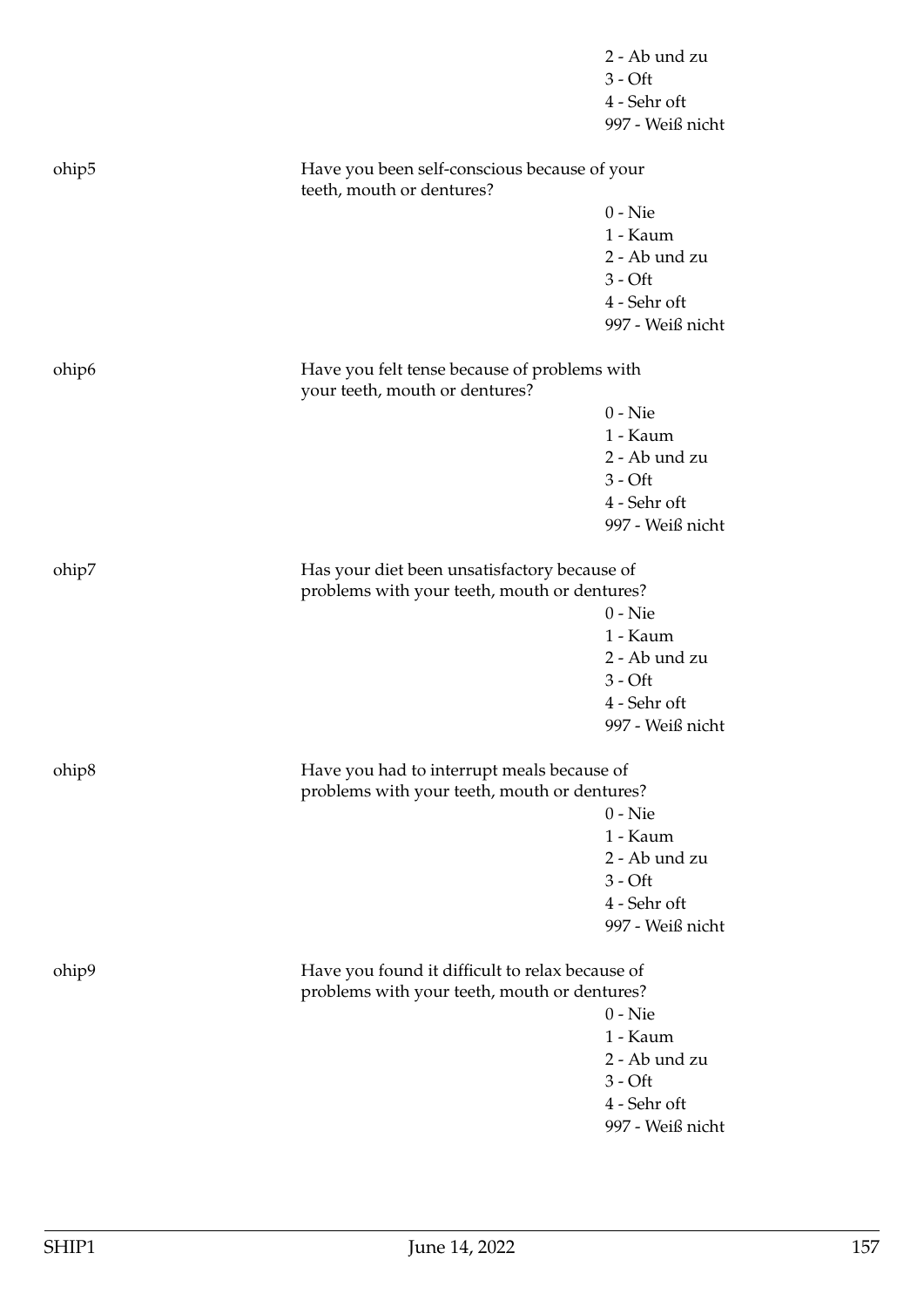|                   |                                                                                            | 2 - Ab und zu<br>$3 - Off$<br>4 - Sehr oft<br>997 - Weiß nicht |
|-------------------|--------------------------------------------------------------------------------------------|----------------------------------------------------------------|
| ohip <sub>5</sub> | Have you been self-conscious because of your<br>teeth, mouth or dentures?                  |                                                                |
|                   |                                                                                            | $0 -$ Nie                                                      |
|                   |                                                                                            | 1 - Kaum                                                       |
|                   |                                                                                            | 2 - Ab und zu                                                  |
|                   |                                                                                            | $3 - Off$                                                      |
|                   |                                                                                            | 4 - Sehr oft                                                   |
|                   |                                                                                            | 997 - Weiß nicht                                               |
| ohip <sub>6</sub> | Have you felt tense because of problems with<br>your teeth, mouth or dentures?             |                                                                |
|                   |                                                                                            | $0 -$ Nie                                                      |
|                   |                                                                                            | 1 - Kaum                                                       |
|                   |                                                                                            | 2 - Ab und zu                                                  |
|                   |                                                                                            | $3 - Off$                                                      |
|                   |                                                                                            | 4 - Sehr oft                                                   |
|                   |                                                                                            | 997 - Weiß nicht                                               |
| ohip7             | Has your diet been unsatisfactory because of                                               |                                                                |
|                   | problems with your teeth, mouth or dentures?                                               |                                                                |
|                   |                                                                                            | $0 -$ Nie                                                      |
|                   |                                                                                            | 1 - Kaum                                                       |
|                   |                                                                                            | 2 - Ab und zu                                                  |
|                   |                                                                                            | $3 - Off$                                                      |
|                   |                                                                                            | 4 - Sehr oft<br>997 - Weiß nicht                               |
|                   |                                                                                            |                                                                |
| ohip <sup>8</sup> | Have you had to interrupt meals because of<br>problems with your teeth, mouth or dentures? |                                                                |
|                   |                                                                                            | $0 -$ Nie                                                      |
|                   |                                                                                            | 1 - Kaum                                                       |
|                   |                                                                                            | 2 - Ab und zu                                                  |
|                   |                                                                                            | $3 - Off$                                                      |
|                   |                                                                                            | 4 - Sehr oft                                                   |
|                   |                                                                                            | 997 - Weiß nicht                                               |
| ohip9             | Have you found it difficult to relax because of                                            |                                                                |
|                   | problems with your teeth, mouth or dentures?                                               |                                                                |
|                   |                                                                                            | $0 -$ Nie                                                      |
|                   |                                                                                            | 1 - Kaum                                                       |
|                   |                                                                                            | 2 - Ab und zu                                                  |
|                   |                                                                                            | $3 - Off$                                                      |
|                   |                                                                                            | 4 - Sehr oft                                                   |
|                   |                                                                                            | 997 - Weiß nicht                                               |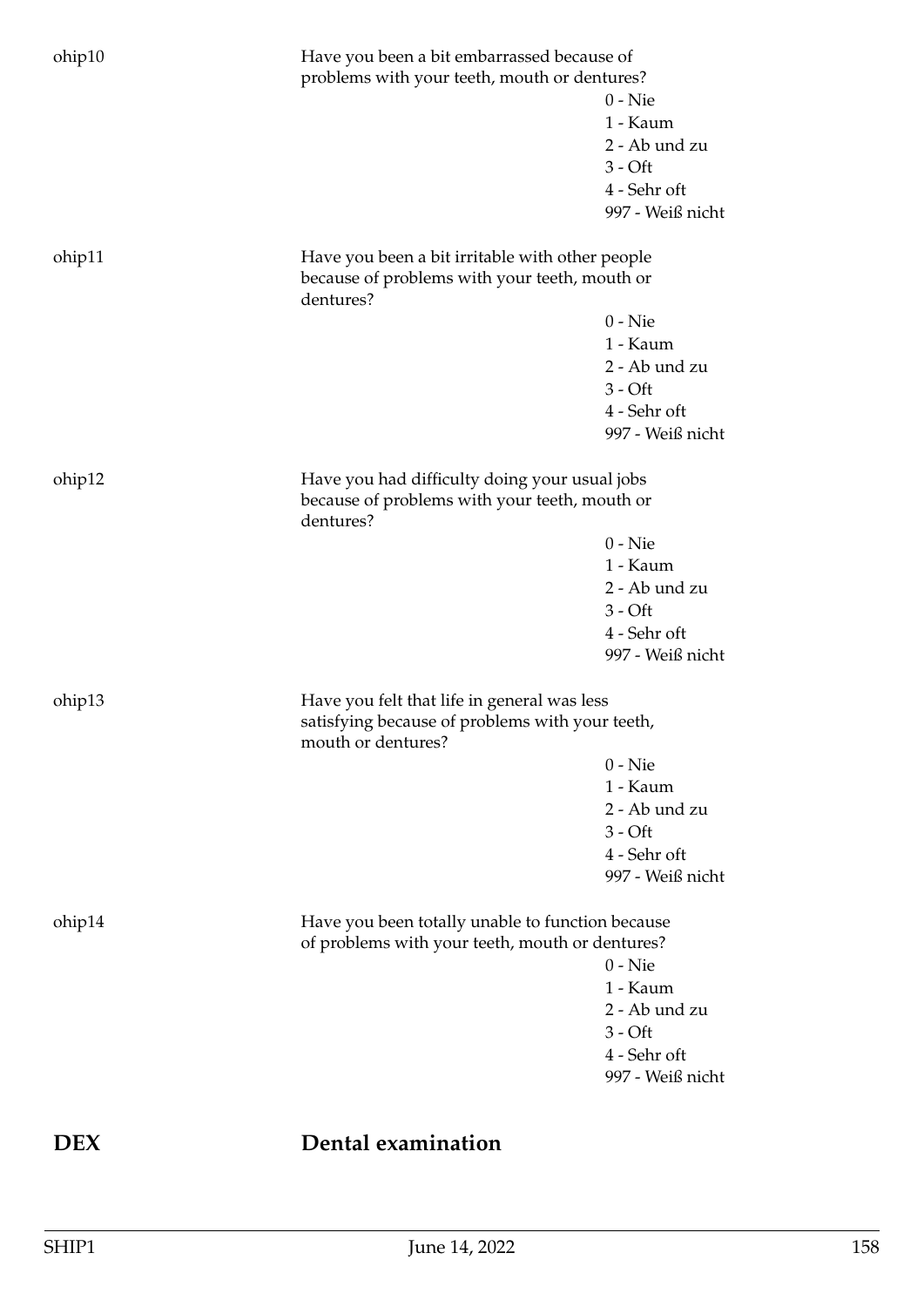| ohip10 | Have you been a bit embarrassed because of<br>problems with your teeth, mouth or dentures?                           | $0 -$ Nie<br>1 - Kaum<br>2 - Ab und zu<br>$3 - Off$<br>4 - Sehr oft<br>997 - Weiß nicht |
|--------|----------------------------------------------------------------------------------------------------------------------|-----------------------------------------------------------------------------------------|
| ohip11 | Have you been a bit irritable with other people<br>because of problems with your teeth, mouth or<br>dentures?        |                                                                                         |
|        |                                                                                                                      | $0 -$ Nie<br>1 - Kaum<br>2 - Ab und zu<br>$3 - Off$<br>4 - Sehr oft<br>997 - Weiß nicht |
| ohip12 | Have you had difficulty doing your usual jobs<br>because of problems with your teeth, mouth or<br>dentures?          |                                                                                         |
|        |                                                                                                                      | $0 -$ Nie<br>1 - Kaum<br>2 - Ab und zu<br>$3 - Off$<br>4 - Sehr oft<br>997 - Weiß nicht |
| ohip13 | Have you felt that life in general was less<br>satisfying because of problems with your teeth,<br>mouth or dentures? |                                                                                         |
|        |                                                                                                                      | $0 -$ Nie<br>1 - Kaum<br>2 - Ab und zu<br>$3 - Off$<br>4 - Sehr oft<br>997 - Weiß nicht |
| ohip14 | Have you been totally unable to function because<br>of problems with your teeth, mouth or dentures?                  |                                                                                         |
|        |                                                                                                                      | $0 -$ Nie<br>1 - Kaum<br>2 - Ab und zu<br>$3 - Off$<br>4 - Sehr oft<br>997 - Weiß nicht |

# **DEX Dental examination**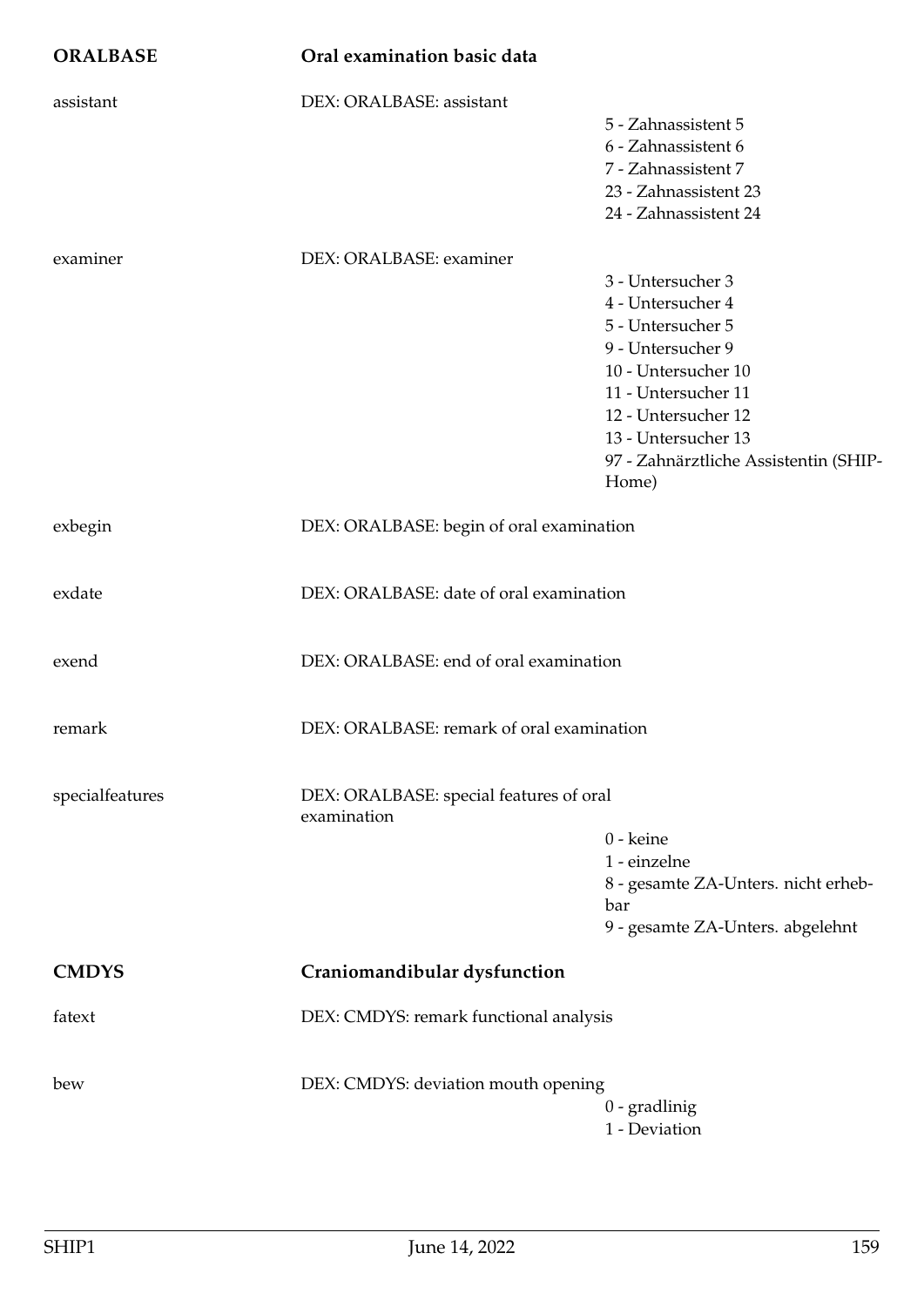| <b>ORALBASE</b> | Oral examination basic data                            |                                                                                                                                                                                                                                |
|-----------------|--------------------------------------------------------|--------------------------------------------------------------------------------------------------------------------------------------------------------------------------------------------------------------------------------|
| assistant       | DEX: ORALBASE: assistant                               | 5 - Zahnassistent 5<br>6 - Zahnassistent 6<br>7 - Zahnassistent 7<br>23 - Zahnassistent 23<br>24 - Zahnassistent 24                                                                                                            |
| examiner        | DEX: ORALBASE: examiner                                | 3 - Untersucher 3<br>4 - Untersucher 4<br>5 - Untersucher 5<br>9 - Untersucher 9<br>10 - Untersucher 10<br>11 - Untersucher 11<br>12 - Untersucher 12<br>13 - Untersucher 13<br>97 - Zahnärztliche Assistentin (SHIP-<br>Home) |
| exbegin         | DEX: ORALBASE: begin of oral examination               |                                                                                                                                                                                                                                |
| exdate          | DEX: ORALBASE: date of oral examination                |                                                                                                                                                                                                                                |
| exend           | DEX: ORALBASE: end of oral examination                 |                                                                                                                                                                                                                                |
| remark          | DEX: ORALBASE: remark of oral examination              |                                                                                                                                                                                                                                |
| specialfeatures | DEX: ORALBASE: special features of oral<br>examination | 0 - keine<br>1 - einzelne<br>8 - gesamte ZA-Unters. nicht erheb-<br>bar<br>9 - gesamte ZA-Unters. abgelehnt                                                                                                                    |
| <b>CMDYS</b>    | Craniomandibular dysfunction                           |                                                                                                                                                                                                                                |
| fatext          | DEX: CMDYS: remark functional analysis                 |                                                                                                                                                                                                                                |
| bew             | DEX: CMDYS: deviation mouth opening                    | $0$ - gradlinig<br>1 - Deviation                                                                                                                                                                                               |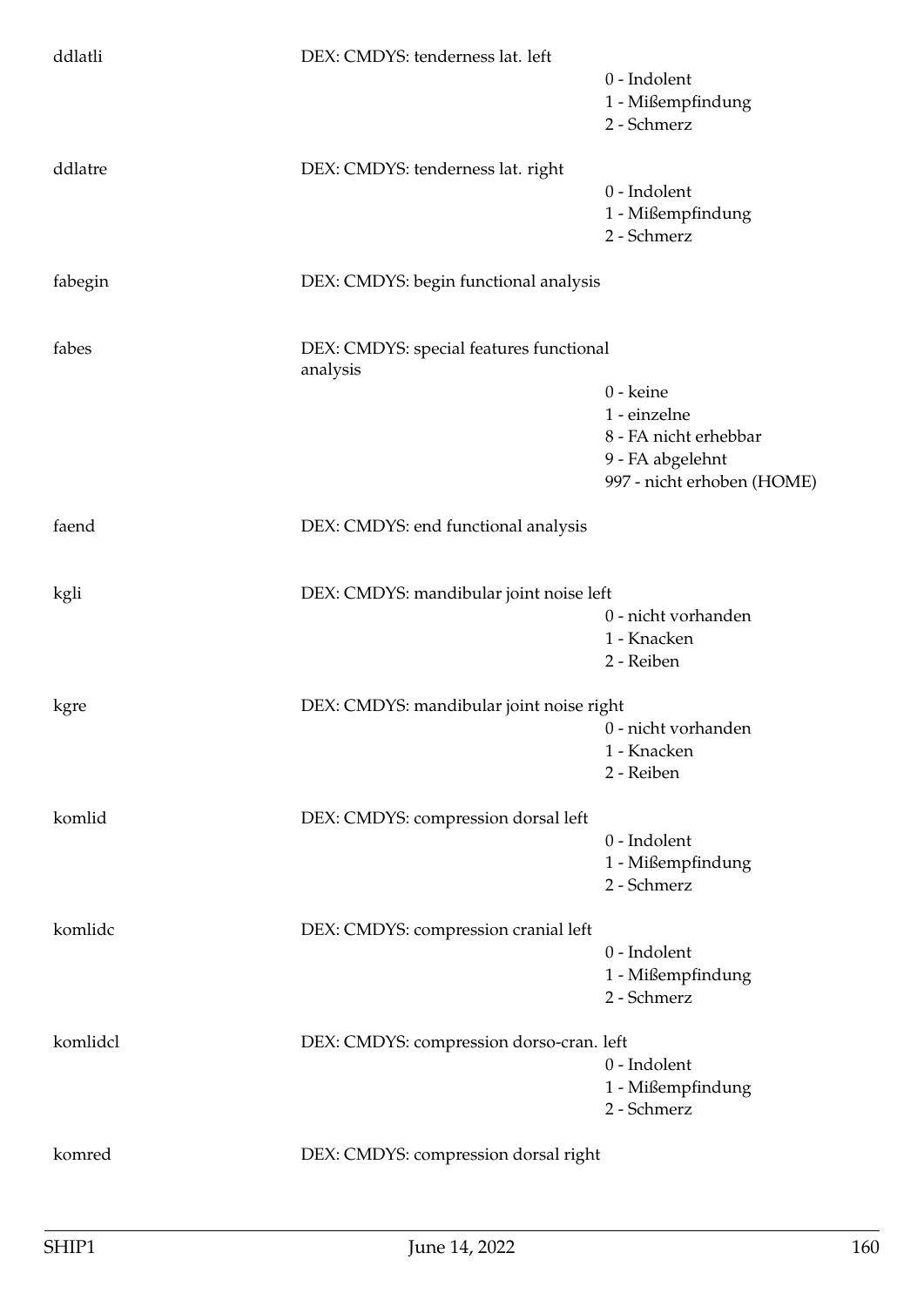| ddlatli  | DEX: CMDYS: tenderness lat. left         |                                                |
|----------|------------------------------------------|------------------------------------------------|
|          |                                          | 0 - Indolent<br>1 - Mißempfindung              |
|          |                                          | 2 - Schmerz                                    |
| ddlatre  | DEX: CMDYS: tenderness lat. right        |                                                |
|          |                                          | 0 - Indolent                                   |
|          |                                          | 1 - Mißempfindung<br>2 - Schmerz               |
|          |                                          |                                                |
| fabegin  | DEX: CMDYS: begin functional analysis    |                                                |
| fabes    | DEX: CMDYS: special features functional  |                                                |
|          | analysis                                 |                                                |
|          |                                          | 0 - keine                                      |
|          |                                          | 1 - einzelne                                   |
|          |                                          | 8 - FA nicht erhebbar                          |
|          |                                          | 9 - FA abgelehnt<br>997 - nicht erhoben (HOME) |
|          |                                          |                                                |
| faend    | DEX: CMDYS: end functional analysis      |                                                |
| kgli     | DEX: CMDYS: mandibular joint noise left  |                                                |
|          |                                          | 0 - nicht vorhanden                            |
|          |                                          | 1 - Knacken                                    |
|          |                                          | 2 - Reiben                                     |
| kgre     | DEX: CMDYS: mandibular joint noise right |                                                |
|          |                                          | 0 - nicht vorhanden                            |
|          |                                          | 1 - Knacken                                    |
|          |                                          | 2 - Reiben                                     |
| komlid   | DEX: CMDYS: compression dorsal left      |                                                |
|          |                                          | 0 - Indolent                                   |
|          |                                          | 1 - Mißempfindung                              |
|          |                                          | 2 - Schmerz                                    |
| komlidc  | DEX: CMDYS: compression cranial left     |                                                |
|          |                                          | 0 - Indolent                                   |
|          |                                          | 1 - Mißempfindung                              |
|          |                                          | 2 - Schmerz                                    |
| komlidcl | DEX: CMDYS: compression dorso-cran. left |                                                |
|          |                                          | 0 - Indolent                                   |
|          |                                          | 1 - Mißempfindung                              |
|          |                                          | 2 - Schmerz                                    |
| komred   | DEX: CMDYS: compression dorsal right     |                                                |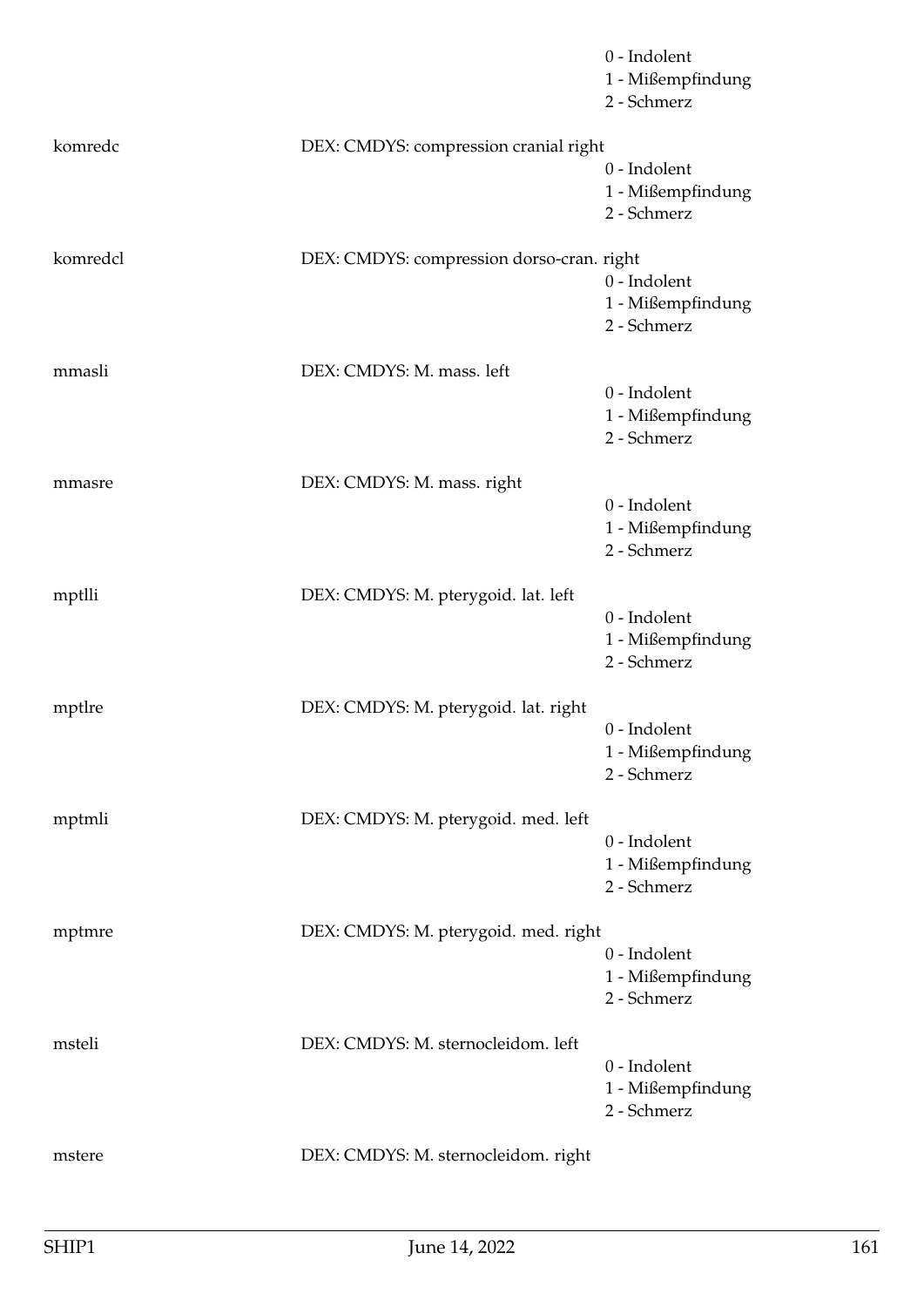|                                      | 0 - Indolent<br>1 - Mißempfindung<br>2 - Schmerz                                                                                                         |
|--------------------------------------|----------------------------------------------------------------------------------------------------------------------------------------------------------|
|                                      |                                                                                                                                                          |
|                                      | 0 - Indolent<br>1 - Mißempfindung<br>2 - Schmerz                                                                                                         |
|                                      | 0 - Indolent<br>1 - Mißempfindung<br>2 - Schmerz                                                                                                         |
| DEX: CMDYS: M. mass. left            |                                                                                                                                                          |
|                                      | 0 - Indolent<br>1 - Mißempfindung<br>2 - Schmerz                                                                                                         |
|                                      |                                                                                                                                                          |
|                                      | 0 - Indolent<br>1 - Mißempfindung<br>2 - Schmerz                                                                                                         |
| DEX: CMDYS: M. pterygoid. lat. left  |                                                                                                                                                          |
|                                      | 0 - Indolent<br>1 - Mißempfindung<br>2 - Schmerz                                                                                                         |
| DEX: CMDYS: M. pterygoid. lat. right |                                                                                                                                                          |
|                                      | 0 - Indolent<br>1 - Mißempfindung<br>2 - Schmerz                                                                                                         |
| DEX: CMDYS: M. pterygoid. med. left  |                                                                                                                                                          |
|                                      | 0 - Indolent<br>1 - Mißempfindung<br>2 - Schmerz                                                                                                         |
|                                      |                                                                                                                                                          |
|                                      | 0 - Indolent<br>1 - Mißempfindung<br>2 - Schmerz                                                                                                         |
| DEX: CMDYS: M. sternocleidom. left   |                                                                                                                                                          |
|                                      | 0 - Indolent<br>1 - Mißempfindung<br>2 - Schmerz                                                                                                         |
| DEX: CMDYS: M. sternocleidom. right  |                                                                                                                                                          |
|                                      | DEX: CMDYS: compression cranial right<br>DEX: CMDYS: compression dorso-cran. right<br>DEX: CMDYS: M. mass. right<br>DEX: CMDYS: M. pterygoid. med. right |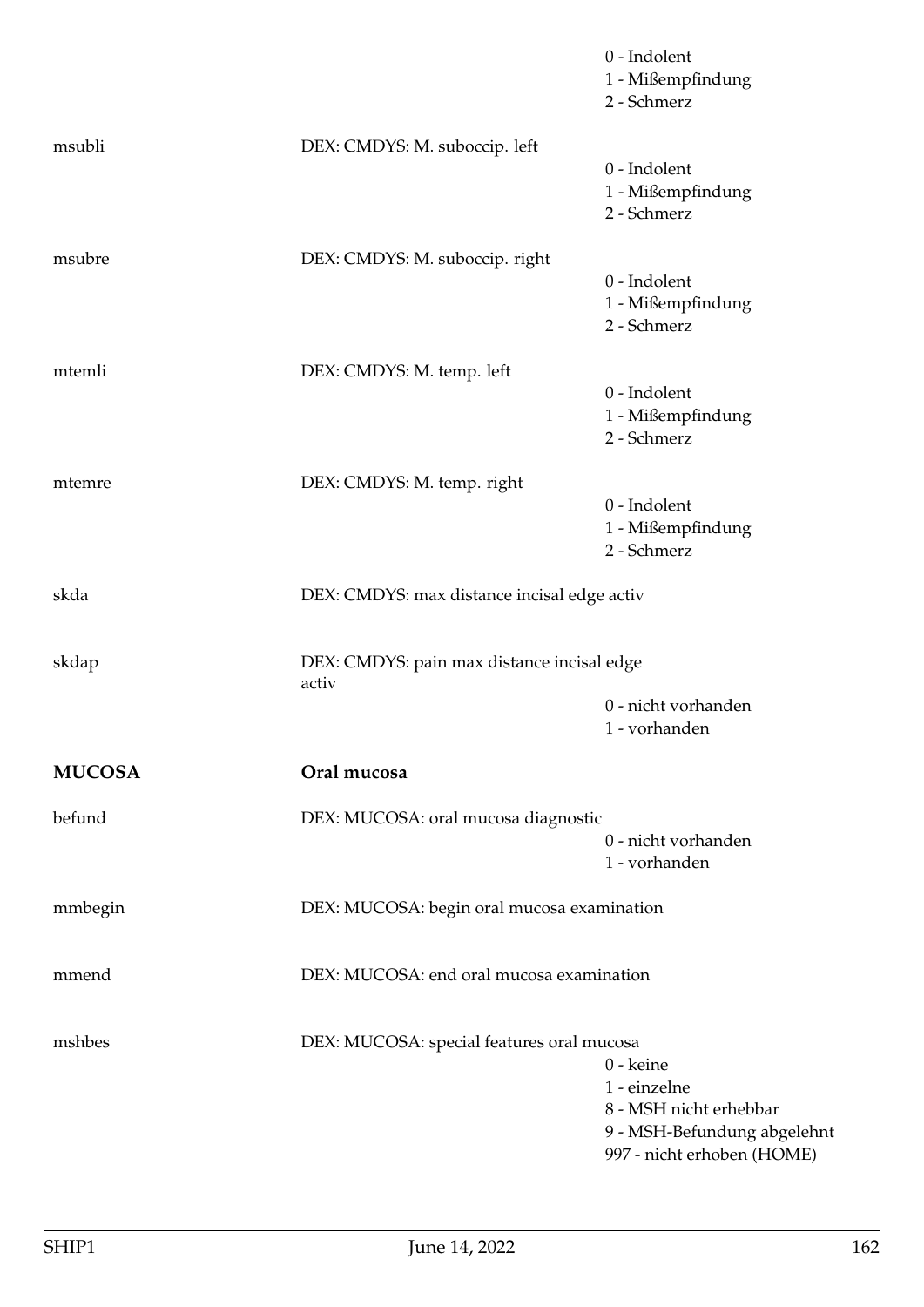|               |                                                     | 0 - Indolent<br>1 - Mißempfindung<br>2 - Schmerz                                                                 |
|---------------|-----------------------------------------------------|------------------------------------------------------------------------------------------------------------------|
| msubli        | DEX: CMDYS: M. suboccip. left                       | 0 - Indolent<br>1 - Mißempfindung<br>2 - Schmerz                                                                 |
| msubre        | DEX: CMDYS: M. suboccip. right                      | 0 - Indolent<br>1 - Mißempfindung<br>2 - Schmerz                                                                 |
| mtemli        | DEX: CMDYS: M. temp. left                           | 0 - Indolent<br>1 - Mißempfindung<br>2 - Schmerz                                                                 |
| mtemre        | DEX: CMDYS: M. temp. right                          | 0 - Indolent<br>1 - Mißempfindung<br>2 - Schmerz                                                                 |
| skda          | DEX: CMDYS: max distance incisal edge activ         |                                                                                                                  |
| skdap         | DEX: CMDYS: pain max distance incisal edge<br>activ | 0 - nicht vorhanden<br>1 - vorhanden                                                                             |
| <b>MUCOSA</b> | Oral mucosa                                         |                                                                                                                  |
| befund        | DEX: MUCOSA: oral mucosa diagnostic                 | 0 - nicht vorhanden<br>1 - vorhanden                                                                             |
| mmbegin       | DEX: MUCOSA: begin oral mucosa examination          |                                                                                                                  |
| mmend         | DEX: MUCOSA: end oral mucosa examination            |                                                                                                                  |
| mshbes        | DEX: MUCOSA: special features oral mucosa           | 0 - keine<br>1 - einzelne<br>8 - MSH nicht erhebbar<br>9 - MSH-Befundung abgelehnt<br>997 - nicht erhoben (HOME) |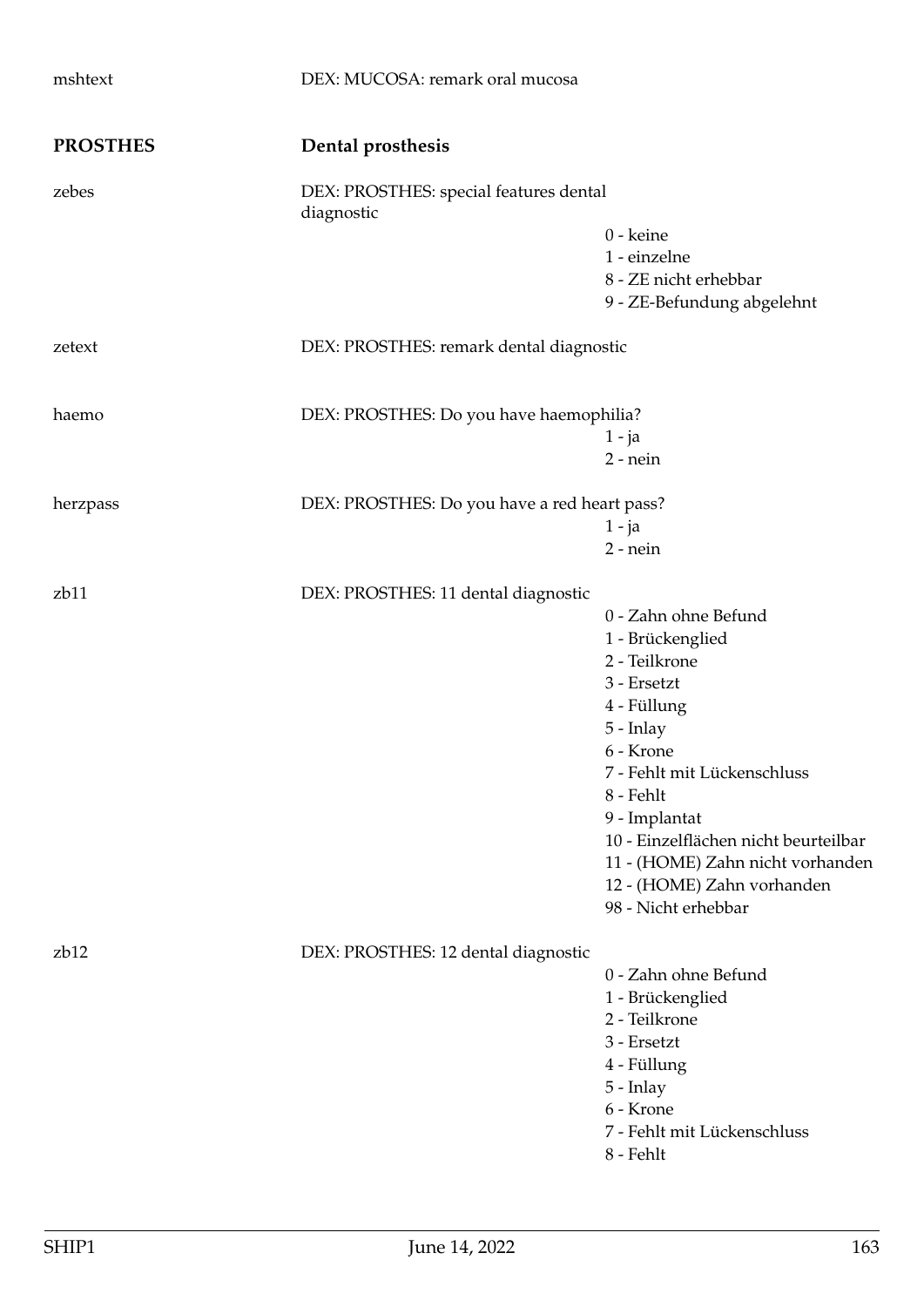| mshtext          | DEX: MUCOSA: remark oral mucosa                      |                                                                                                                                                                                                                                                                                                                 |
|------------------|------------------------------------------------------|-----------------------------------------------------------------------------------------------------------------------------------------------------------------------------------------------------------------------------------------------------------------------------------------------------------------|
| <b>PROSTHES</b>  | Dental prosthesis                                    |                                                                                                                                                                                                                                                                                                                 |
| zebes            | DEX: PROSTHES: special features dental<br>diagnostic |                                                                                                                                                                                                                                                                                                                 |
|                  |                                                      | 0 - keine<br>1 - einzelne<br>8 - ZE nicht erhebbar<br>9 - ZE-Befundung abgelehnt                                                                                                                                                                                                                                |
| zetext           | DEX: PROSTHES: remark dental diagnostic              |                                                                                                                                                                                                                                                                                                                 |
| haemo            | DEX: PROSTHES: Do you have haemophilia?              | $1 - ja$<br>$2$ - nein                                                                                                                                                                                                                                                                                          |
| herzpass         | DEX: PROSTHES: Do you have a red heart pass?         | $1 - ja$<br>$2$ - nein                                                                                                                                                                                                                                                                                          |
| z <sub>b11</sub> | DEX: PROSTHES: 11 dental diagnostic                  | 0 - Zahn ohne Befund<br>1 - Brückenglied<br>2 - Teilkrone<br>3 - Ersetzt<br>4 - Füllung<br>5 - Inlay<br>6 - Krone<br>7 - Fehlt mit Lückenschluss<br>8 - Fehlt<br>9 - Implantat<br>10 - Einzelflächen nicht beurteilbar<br>11 - (HOME) Zahn nicht vorhanden<br>12 - (HOME) Zahn vorhanden<br>98 - Nicht erhebbar |
| z <sub>b12</sub> | DEX: PROSTHES: 12 dental diagnostic                  | 0 - Zahn ohne Befund<br>1 - Brückenglied<br>2 - Teilkrone<br>3 - Ersetzt<br>4 - Füllung<br>$5$ - Inlay<br>6 - Krone<br>7 - Fehlt mit Lückenschluss<br>8 - Fehlt                                                                                                                                                 |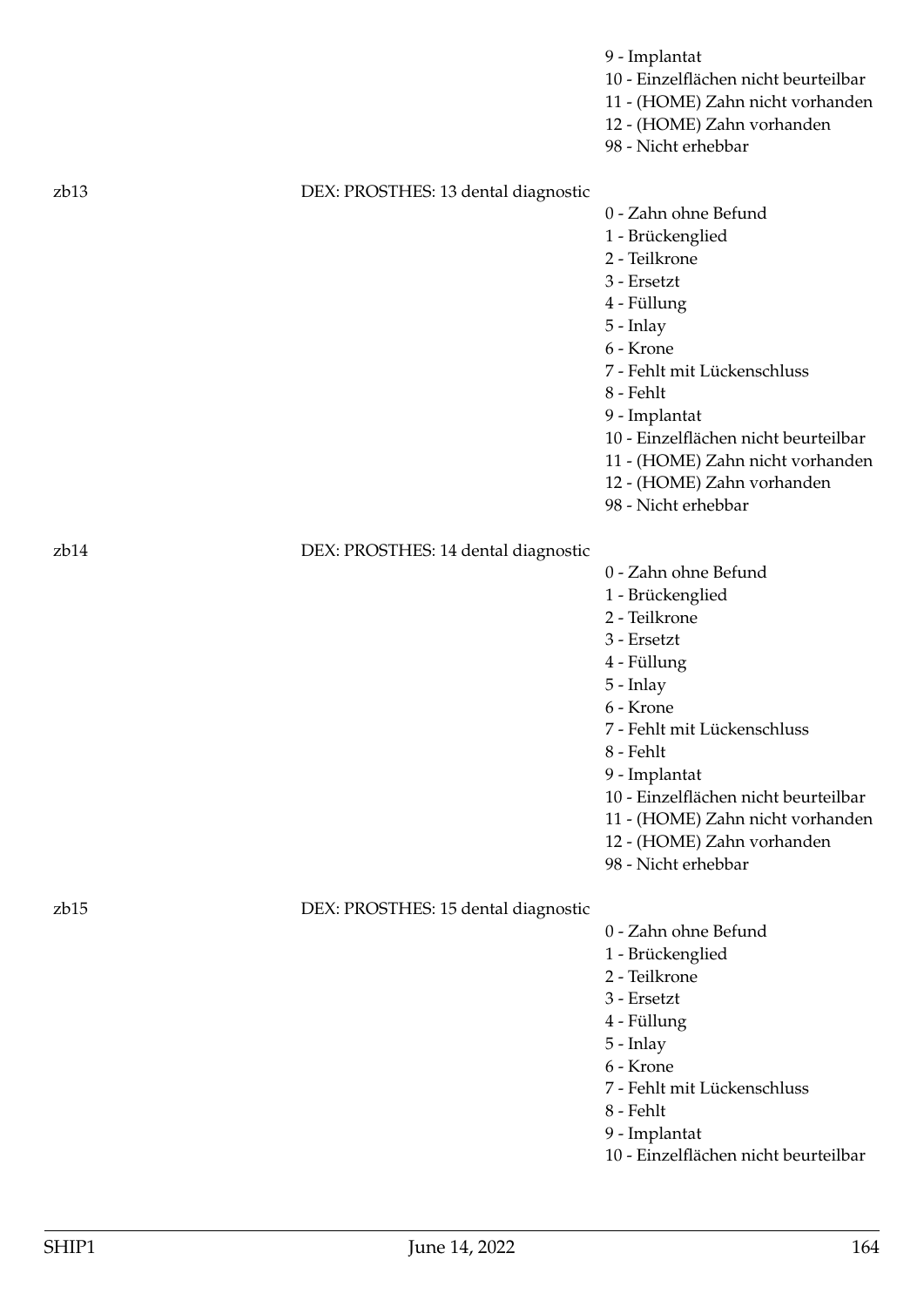|                  |                                     | 9 - Implantat<br>10 - Einzelflächen nicht beurteilbar<br>11 - (HOME) Zahn nicht vorhanden<br>12 - (HOME) Zahn vorhanden<br>98 - Nicht erhebbar                                                                                                                                                                    |
|------------------|-------------------------------------|-------------------------------------------------------------------------------------------------------------------------------------------------------------------------------------------------------------------------------------------------------------------------------------------------------------------|
|                  |                                     |                                                                                                                                                                                                                                                                                                                   |
| z <sub>b13</sub> | DEX: PROSTHES: 13 dental diagnostic | 0 - Zahn ohne Befund<br>1 - Brückenglied<br>2 - Teilkrone<br>3 - Ersetzt<br>4 - Füllung<br>5 - Inlay<br>6 - Krone<br>7 - Fehlt mit Lückenschluss<br>8 - Fehlt<br>9 - Implantat<br>10 - Einzelflächen nicht beurteilbar<br>11 - (HOME) Zahn nicht vorhanden<br>12 - (HOME) Zahn vorhanden                          |
|                  |                                     | 98 - Nicht erhebbar                                                                                                                                                                                                                                                                                               |
| z <sub>b14</sub> | DEX: PROSTHES: 14 dental diagnostic |                                                                                                                                                                                                                                                                                                                   |
|                  |                                     | 0 - Zahn ohne Befund<br>1 - Brückenglied<br>2 - Teilkrone<br>3 - Ersetzt<br>4 - Füllung<br>$5$ - Inlay<br>6 - Krone<br>7 - Fehlt mit Lückenschluss<br>8 - Fehlt<br>9 - Implantat<br>10 - Einzelflächen nicht beurteilbar<br>11 - (HOME) Zahn nicht vorhanden<br>12 - (HOME) Zahn vorhanden<br>98 - Nicht erhebbar |
| z <sub>b15</sub> | DEX: PROSTHES: 15 dental diagnostic |                                                                                                                                                                                                                                                                                                                   |
|                  |                                     | 0 - Zahn ohne Befund<br>1 - Brückenglied<br>2 - Teilkrone<br>3 - Ersetzt<br>4 - Füllung<br>5 - Inlay<br>6 - Krone<br>7 - Fehlt mit Lückenschluss<br>8 - Fehlt<br>9 - Implantat<br>10 - Einzelflächen nicht beurteilbar                                                                                            |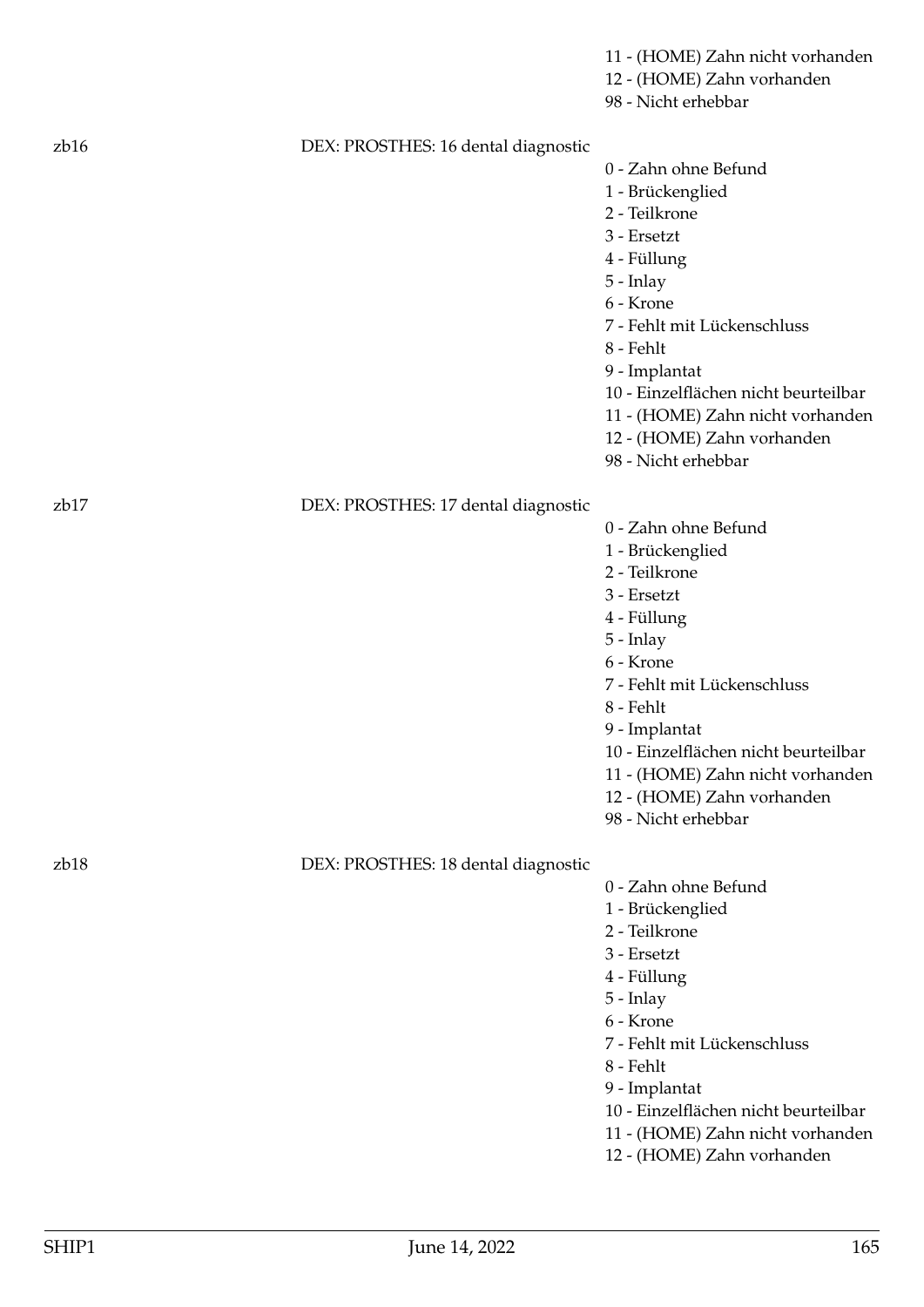|                  |                                     | 11 - (HOME) Zahn nicht vorhanden<br>12 - (HOME) Zahn vorhanden<br>98 - Nicht erhebbar |
|------------------|-------------------------------------|---------------------------------------------------------------------------------------|
| z <sub>b16</sub> | DEX: PROSTHES: 16 dental diagnostic |                                                                                       |
|                  |                                     | 0 - Zahn ohne Befund                                                                  |
|                  |                                     | 1 - Brückenglied                                                                      |
|                  |                                     | 2 - Teilkrone                                                                         |
|                  |                                     | 3 - Ersetzt                                                                           |
|                  |                                     | 4 - Füllung                                                                           |
|                  |                                     | $5$ - Inlay                                                                           |
|                  |                                     | 6 - Krone                                                                             |
|                  |                                     | 7 - Fehlt mit Lückenschluss                                                           |
|                  |                                     | 8 - Fehlt                                                                             |
|                  |                                     | 9 - Implantat                                                                         |
|                  |                                     | 10 - Einzelflächen nicht beurteilbar                                                  |
|                  |                                     | 11 - (HOME) Zahn nicht vorhanden                                                      |
|                  |                                     | 12 - (HOME) Zahn vorhanden                                                            |
|                  |                                     | 98 - Nicht erhebbar                                                                   |
| z <sub>b17</sub> | DEX: PROSTHES: 17 dental diagnostic |                                                                                       |
|                  |                                     | 0 - Zahn ohne Befund                                                                  |
|                  |                                     | 1 - Brückenglied                                                                      |
|                  |                                     | 2 - Teilkrone                                                                         |
|                  |                                     | 3 - Ersetzt                                                                           |
|                  |                                     | 4 - Füllung                                                                           |
|                  |                                     | $5$ - Inlay                                                                           |
|                  |                                     | 6 - Krone                                                                             |
|                  |                                     | 7 - Fehlt mit Lückenschluss                                                           |
|                  |                                     | 8 - Fehlt                                                                             |
|                  |                                     | 9 - Implantat                                                                         |
|                  |                                     | 10 - Einzelflächen nicht beurteilbar                                                  |
|                  |                                     | 11 - (HOME) Zahn nicht vorhanden                                                      |
|                  |                                     | 12 - (HOME) Zahn vorhanden<br>98 - Nicht erhebbar                                     |
|                  |                                     |                                                                                       |
| z <sub>b18</sub> | DEX: PROSTHES: 18 dental diagnostic |                                                                                       |
|                  |                                     | 0 - Zahn ohne Befund                                                                  |
|                  |                                     | 1 - Brückenglied                                                                      |
|                  |                                     | 2 - Teilkrone                                                                         |
|                  |                                     | 3 - Ersetzt                                                                           |
|                  |                                     | 4 - Füllung                                                                           |
|                  |                                     | 5 - Inlay                                                                             |
|                  |                                     | 6 - Krone                                                                             |
|                  |                                     | 7 - Fehlt mit Lückenschluss                                                           |
|                  |                                     | 8 - Fehlt                                                                             |
|                  |                                     | 9 - Implantat                                                                         |
|                  |                                     | 10 - Einzelflächen nicht beurteilbar                                                  |
|                  |                                     | 11 - (HOME) Zahn nicht vorhanden<br>12 - (HOME) Zahn vorhanden                        |
|                  |                                     |                                                                                       |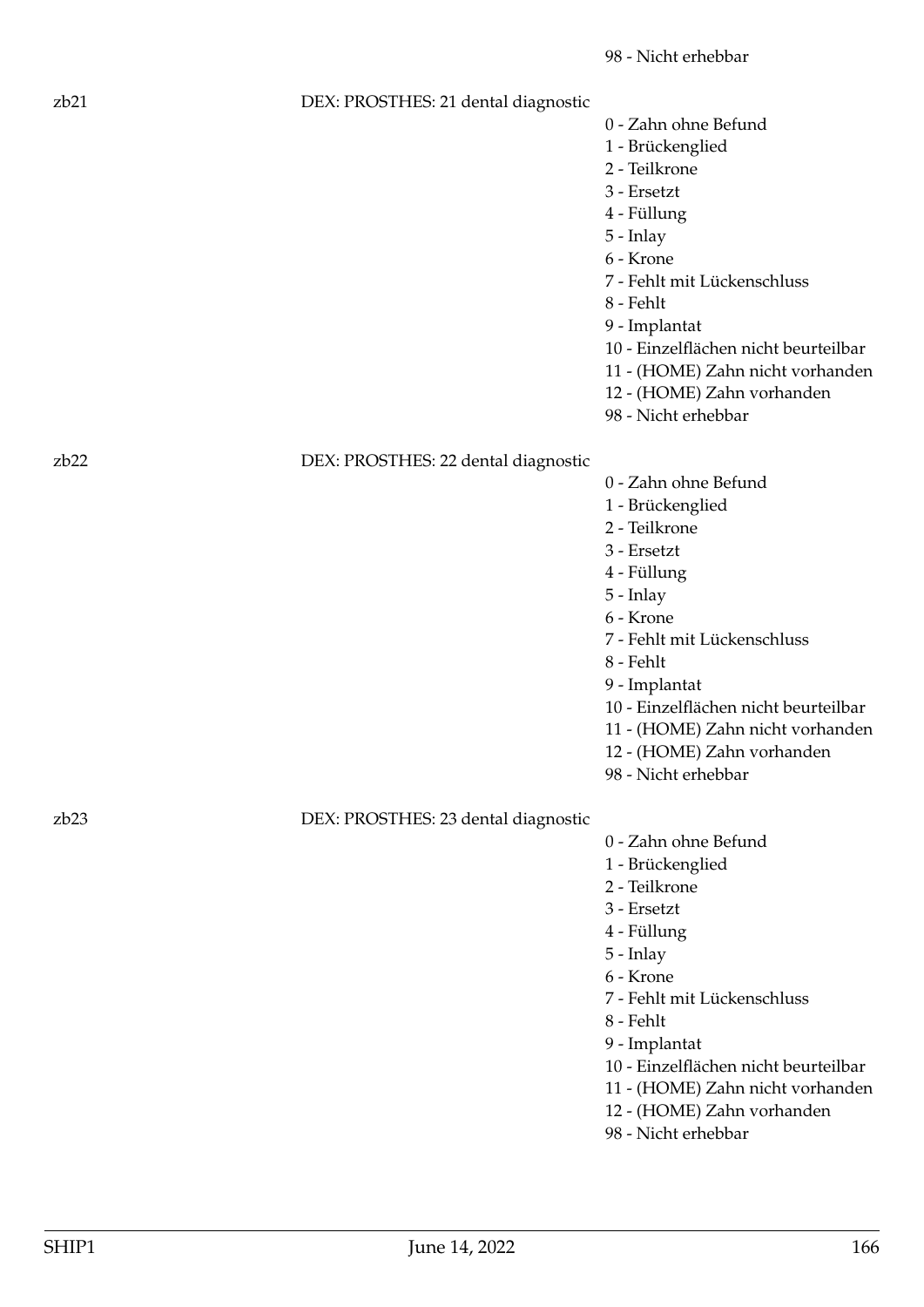# zb21 DEX: PROSTHES: 21 dental diagnostic

- 0 Zahn ohne Befund
- 1 Brückenglied
- 2 Teilkrone
- 3 Ersetzt
- 4 Füllung
- 5 Inlay
- 6 Krone
- 7 Fehlt mit Lückenschluss
- 8 Fehlt
- 9 Implantat
- 10 Einzelflächen nicht beurteilbar
- 11 (HOME) Zahn nicht vorhanden
- 12 (HOME) Zahn vorhanden
- 98 Nicht erhebbar

# zb22 DEX: PROSTHES: 22 dental diagnostic

- 0 Zahn ohne Befund
- 1 Brückenglied
- 2 Teilkrone
- 3 Ersetzt
- 4 Füllung
- 5 Inlay
- 6 Krone
- 7 Fehlt mit Lückenschluss
- 8 Fehlt
- 9 Implantat
- 10 Einzelflächen nicht beurteilbar
- 11 (HOME) Zahn nicht vorhanden
- 12 (HOME) Zahn vorhanden
- 98 Nicht erhebbar

zb23 DEX: PROSTHES: 23 dental diagnostic

- 0 Zahn ohne Befund
- 1 Brückenglied
- 2 Teilkrone
- 3 Ersetzt
- 4 Füllung
- 5 Inlay
- 6 Krone
- 7 Fehlt mit Lückenschluss
- 8 Fehlt
- 9 Implantat
- 10 Einzelflächen nicht beurteilbar
- 11 (HOME) Zahn nicht vorhanden
- 12 (HOME) Zahn vorhanden
- 98 Nicht erhebbar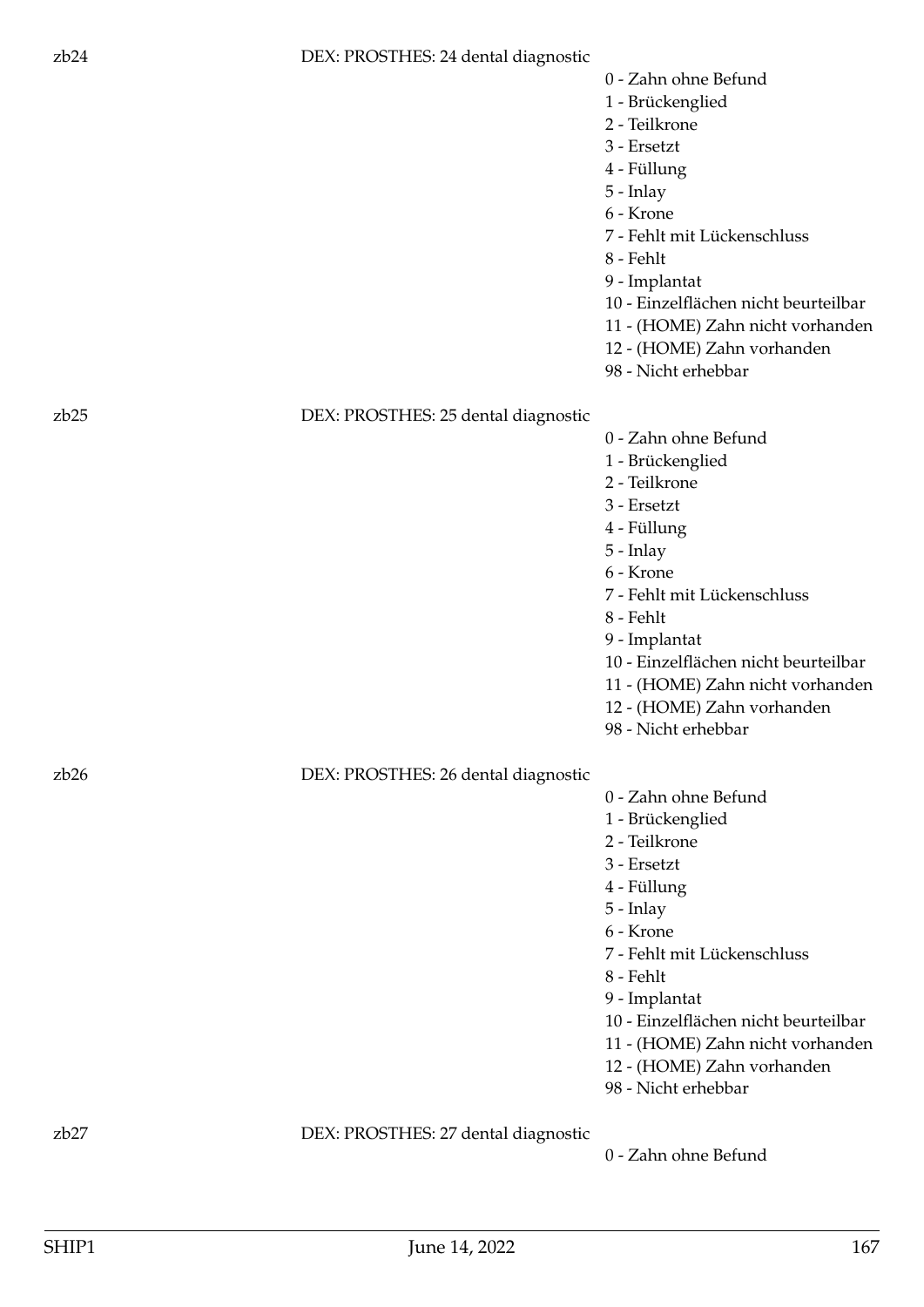#### zb24 DEX: PROSTHES: 24 dental diagnostic

- 0 Zahn ohne Befund
- 1 Brückenglied
- 2 Teilkrone
- 3 Ersetzt
- 4 Füllung
- 5 Inlay
- 6 Krone
- 7 Fehlt mit Lückenschluss
- 8 Fehlt
- 9 Implantat
- 10 Einzelflächen nicht beurteilbar
- 11 (HOME) Zahn nicht vorhanden
- 12 (HOME) Zahn vorhanden
- 98 Nicht erhebbar

#### zb25 DEX: PROSTHES: 25 dental diagnostic

- 0 Zahn ohne Befund
- 1 Brückenglied
- 2 Teilkrone
- 3 Ersetzt
- 4 Füllung
- 5 Inlay
- 6 Krone
- 7 Fehlt mit Lückenschluss
- 8 Fehlt
- 9 Implantat
- 10 Einzelflächen nicht beurteilbar
- 11 (HOME) Zahn nicht vorhanden
- 12 (HOME) Zahn vorhanden
- 98 Nicht erhebbar

# zb26 DEX: PROSTHES: 26 dental diagnostic

- 0 Zahn ohne Befund
- 1 Brückenglied
- 2 Teilkrone
- 3 Ersetzt
- 4 Füllung
- 5 Inlay
- 6 Krone
- 7 Fehlt mit Lückenschluss
- 8 Fehlt
- 9 Implantat
- 10 Einzelflächen nicht beurteilbar
- 11 (HOME) Zahn nicht vorhanden
- 12 (HOME) Zahn vorhanden
- 98 Nicht erhebbar

zb27 DEX: PROSTHES: 27 dental diagnostic

0 - Zahn ohne Befund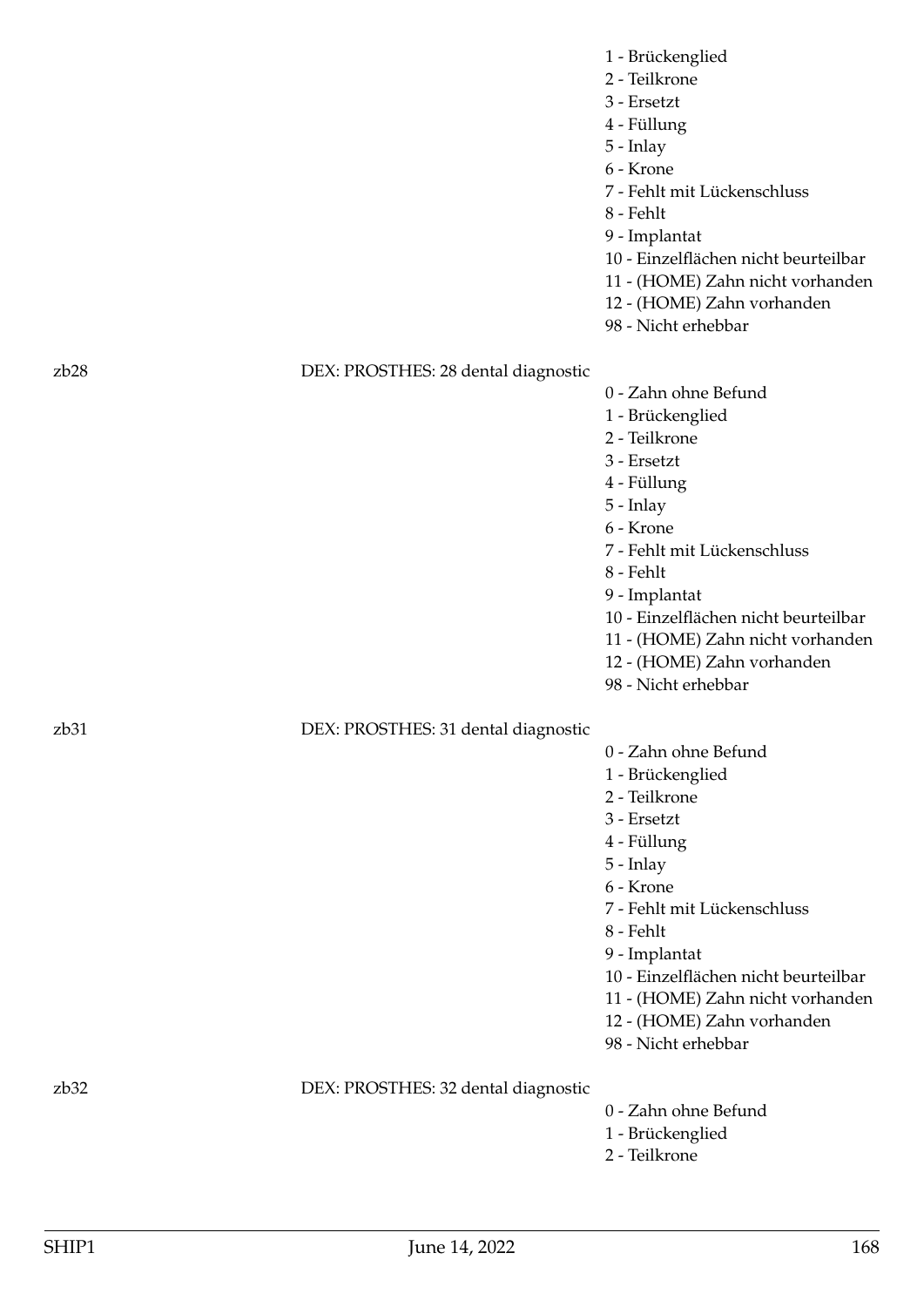|                  |                                     | 1 - Brückenglied<br>2 - Teilkrone<br>3 - Ersetzt<br>4 - Füllung<br>$5$ - Inlay<br>6 - Krone<br>7 - Fehlt mit Lückenschluss<br>8 - Fehlt<br>9 - Implantat<br>10 - Einzelflächen nicht beurteilbar<br>11 - (HOME) Zahn nicht vorhanden<br>12 - (HOME) Zahn vorhanden<br>98 - Nicht erhebbar                         |
|------------------|-------------------------------------|-------------------------------------------------------------------------------------------------------------------------------------------------------------------------------------------------------------------------------------------------------------------------------------------------------------------|
| zb28             | DEX: PROSTHES: 28 dental diagnostic |                                                                                                                                                                                                                                                                                                                   |
|                  |                                     | 0 - Zahn ohne Befund<br>1 - Brückenglied<br>2 - Teilkrone<br>$3$ - Ersetzt<br>4 - Füllung<br>5 - Inlay<br>6 - Krone<br>7 - Fehlt mit Lückenschluss<br>8 - Fehlt<br>9 - Implantat<br>10 - Einzelflächen nicht beurteilbar<br>11 - (HOME) Zahn nicht vorhanden<br>12 - (HOME) Zahn vorhanden<br>98 - Nicht erhebbar |
| z <sub>b31</sub> | DEX: PROSTHES: 31 dental diagnostic | 0 - Zahn ohne Befund<br>1 - Brückenglied<br>2 - Teilkrone<br>3 - Ersetzt<br>4 - Füllung<br>$5$ - Inlay<br>6 - Krone<br>7 - Fehlt mit Lückenschluss<br>8 - Fehlt<br>9 - Implantat<br>10 - Einzelflächen nicht beurteilbar<br>11 - (HOME) Zahn nicht vorhanden<br>12 - (HOME) Zahn vorhanden<br>98 - Nicht erhebbar |
| zb32             | DEX: PROSTHES: 32 dental diagnostic | 0 - Zahn ohne Befund<br>1 - Brückenglied<br>2 - Teilkrone                                                                                                                                                                                                                                                         |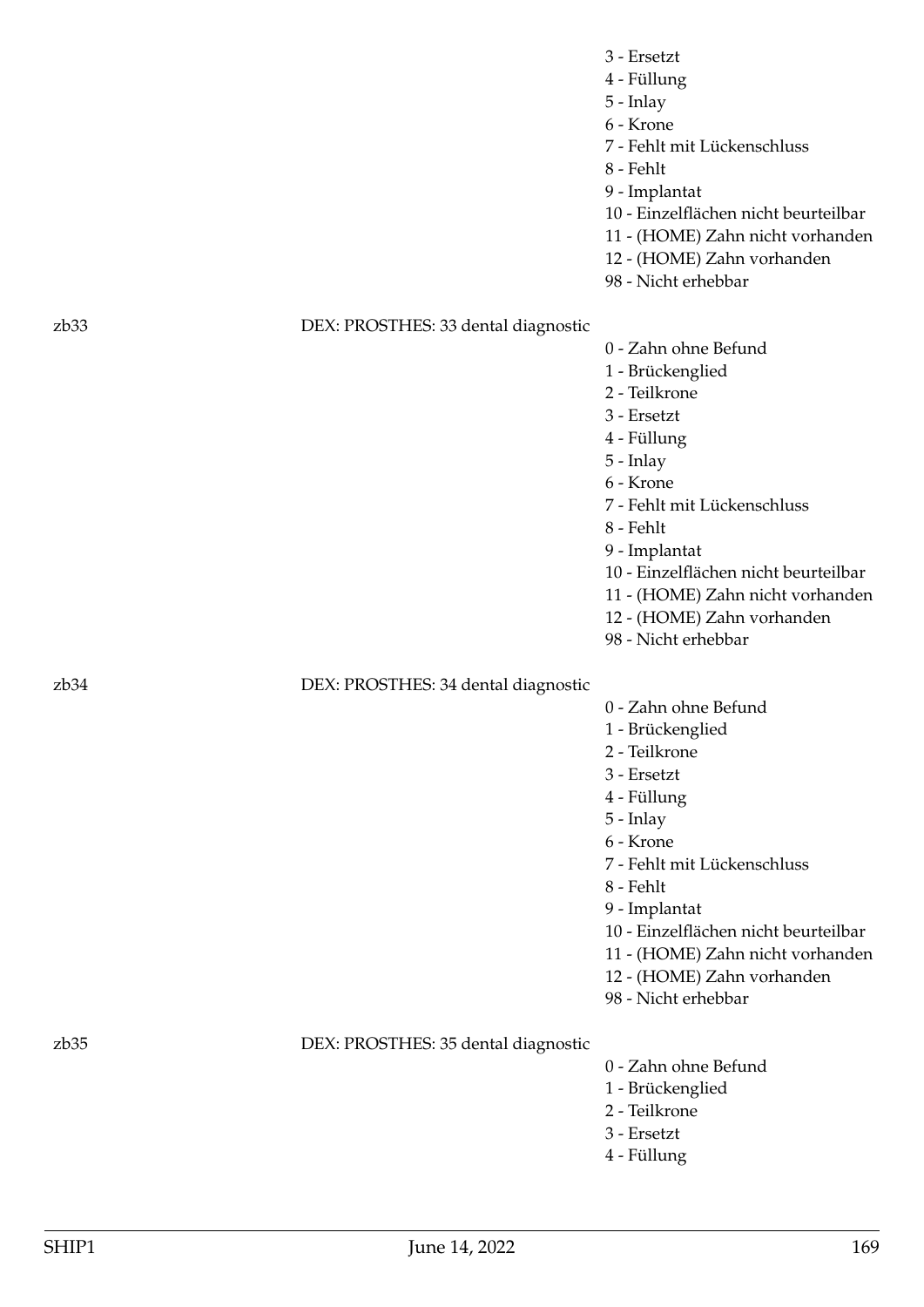- 4 Füllung
- 5 Inlay
- 6 Krone

7 - Fehlt mit Lückenschluss

- 8 Fehlt
- 9 Implantat
- 10 Einzelflächen nicht beurteilbar
- 11 (HOME) Zahn nicht vorhanden
- 12 (HOME) Zahn vorhanden
- 98 Nicht erhebbar

# zb33 DEX: PROSTHES: 33 dental diagnostic

0 - Zahn ohne Befund

- 1 Brückenglied
- 2 Teilkrone
- 3 Ersetzt
- 4 Füllung
- 5 Inlay
- 6 Krone
- 7 Fehlt mit Lückenschluss
- 8 Fehlt
- 9 Implantat
- 10 Einzelflächen nicht beurteilbar
- 11 (HOME) Zahn nicht vorhanden
- 12 (HOME) Zahn vorhanden
- 98 Nicht erhebbar

# zb34 DEX: PROSTHES: 34 dental diagnostic

- 0 Zahn ohne Befund
- 1 Brückenglied
- 2 Teilkrone
- 3 Ersetzt
- 4 Füllung
- 5 Inlay
- 6 Krone
- 7 Fehlt mit Lückenschluss
- 8 Fehlt
- 9 Implantat

10 - Einzelflächen nicht beurteilbar

- 11 (HOME) Zahn nicht vorhanden
- 12 (HOME) Zahn vorhanden
- 98 Nicht erhebbar

zb35 DEX: PROSTHES: 35 dental diagnostic

0 - Zahn ohne Befund

- 1 Brückenglied
- 2 Teilkrone
- 3 Ersetzt
- 4 Füllung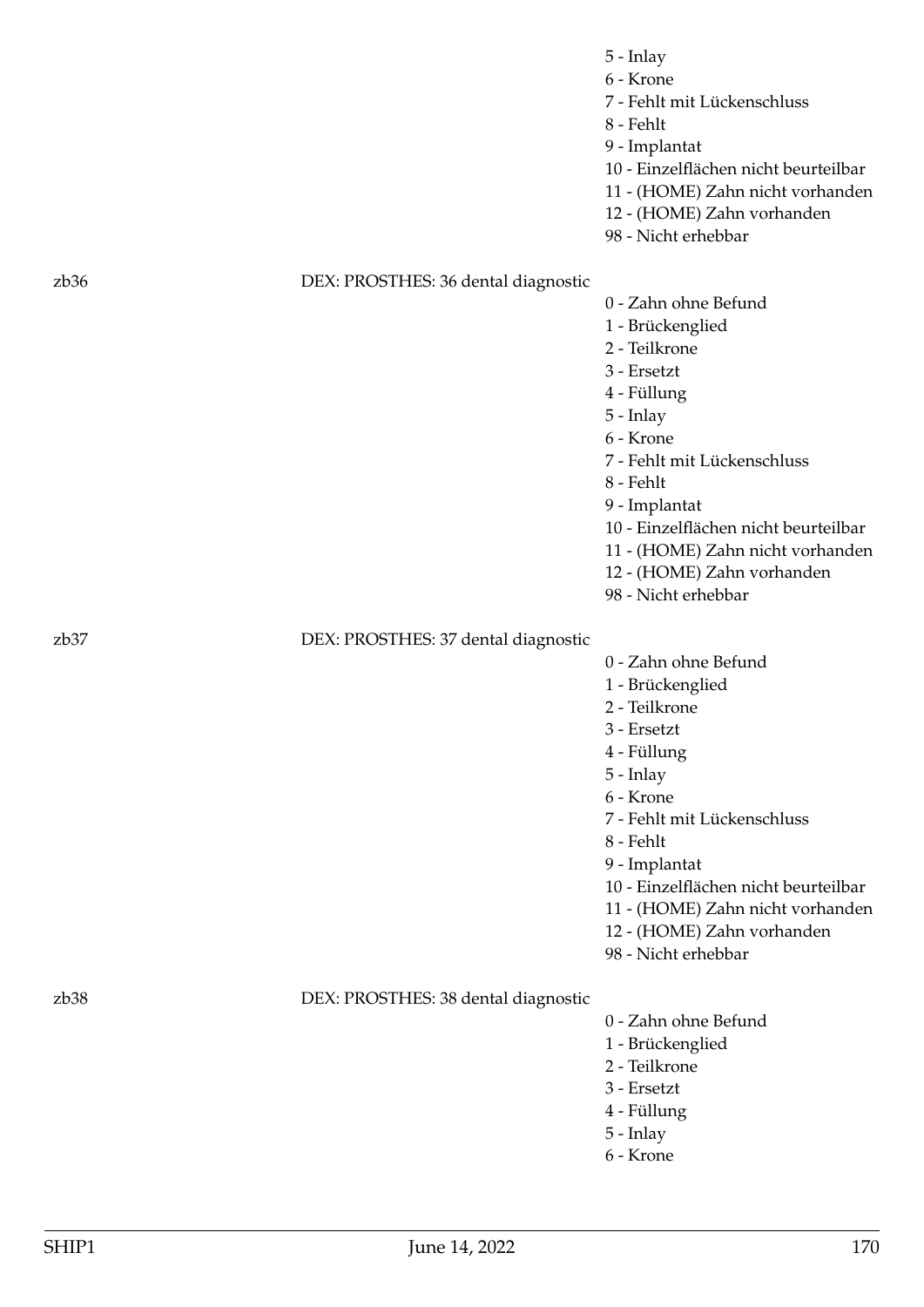| mia |  |
|-----|--|
|-----|--|

- 6 Krone
- 7 Fehlt mit Lückenschluss
- 8 Fehlt
- 9 Implantat
- 10 Einzelflächen nicht beurteilbar
- 11 (HOME) Zahn nicht vorhanden
- 12 (HOME) Zahn vorhanden
- 98 Nicht erhebbar

#### zb36 DEX: PROSTHES: 36 dental diagnostic

- 0 Zahn ohne Befund
- 1 Brückenglied
- 2 Teilkrone
- 3 Ersetzt
- 4 Füllung
- 5 Inlay
- 6 Krone
- 7 Fehlt mit Lückenschluss
- 8 Fehlt
- 9 Implantat
- 10 Einzelflächen nicht beurteilbar
- 11 (HOME) Zahn nicht vorhanden
- 12 (HOME) Zahn vorhanden
- 98 Nicht erhebbar

#### zb37 DEX: PROSTHES: 37 dental diagnostic

- 0 Zahn ohne Befund
- 1 Brückenglied
- 2 Teilkrone
- 3 Ersetzt
- 4 Füllung
- 5 Inlay
- 6 Krone
- 7 Fehlt mit Lückenschluss
- 8 Fehlt
- 9 Implantat

10 - Einzelflächen nicht beurteilbar

- 11 (HOME) Zahn nicht vorhanden
- 12 (HOME) Zahn vorhanden
- 98 Nicht erhebbar

#### zb38 DEX: PROSTHES: 38 dental diagnostic

- 0 Zahn ohne Befund
- 1 Brückenglied
- 2 Teilkrone
- 3 Ersetzt
- 4 Füllung
- 5 Inlay
- 6 Krone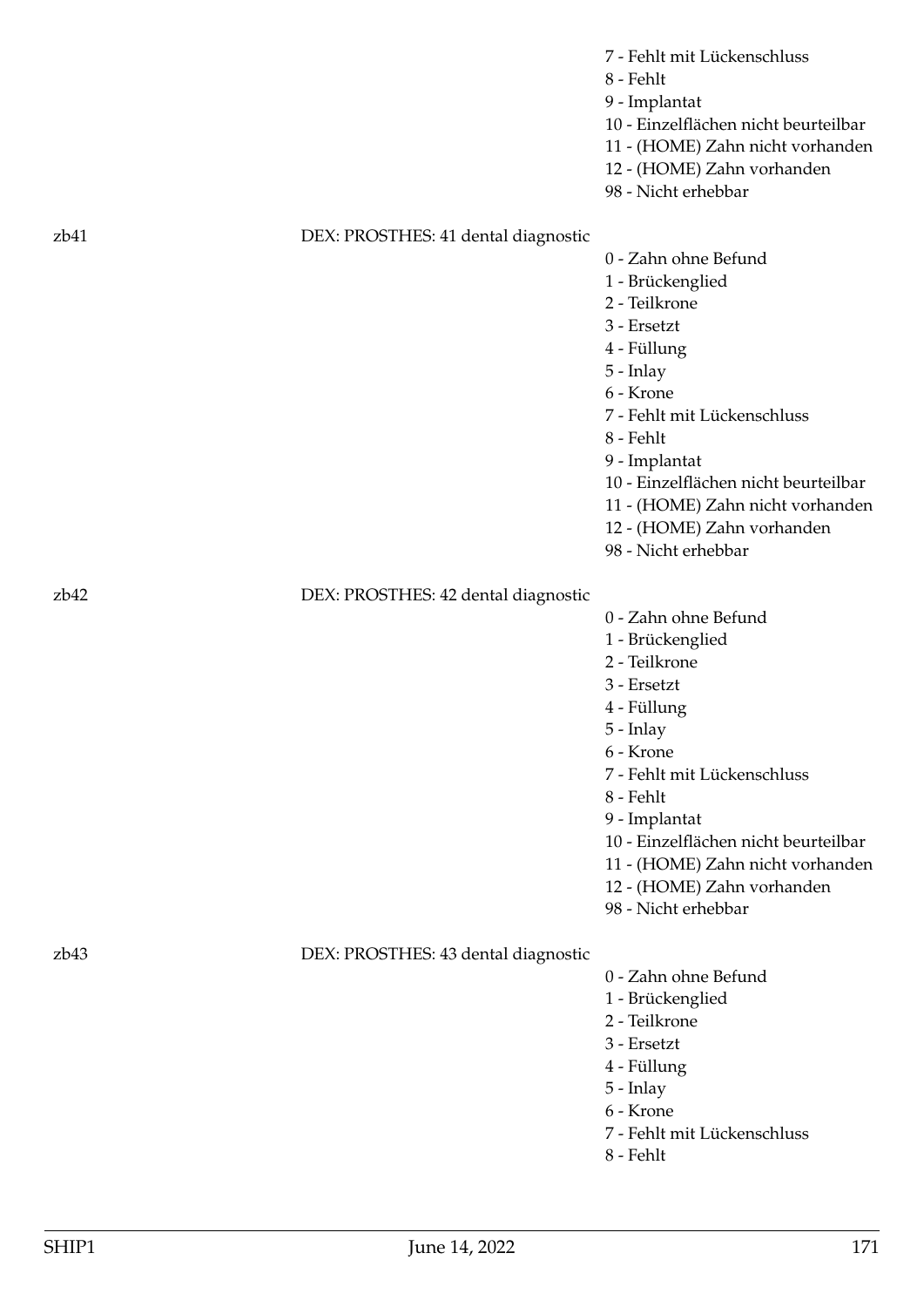|                  |                                     | 7 - Fehlt mit Lückenschluss<br>8 - Fehlt<br>9 - Implantat<br>10 - Einzelflächen nicht beurteilbar<br>11 - (HOME) Zahn nicht vorhanden<br>12 - (HOME) Zahn vorhanden<br>98 - Nicht erhebbar |
|------------------|-------------------------------------|--------------------------------------------------------------------------------------------------------------------------------------------------------------------------------------------|
| zb41             | DEX: PROSTHES: 41 dental diagnostic | 0 - Zahn ohne Befund                                                                                                                                                                       |
|                  |                                     | 1 - Brückenglied<br>2 - Teilkrone                                                                                                                                                          |
|                  |                                     | 3 - Ersetzt                                                                                                                                                                                |
|                  |                                     | 4 - Füllung<br>5 - Inlay                                                                                                                                                                   |
|                  |                                     | 6 - Krone                                                                                                                                                                                  |
|                  |                                     | 7 - Fehlt mit Lückenschluss                                                                                                                                                                |
|                  |                                     | 8 - Fehlt<br>9 - Implantat                                                                                                                                                                 |
|                  |                                     | 10 - Einzelflächen nicht beurteilbar                                                                                                                                                       |
|                  |                                     | 11 - (HOME) Zahn nicht vorhanden                                                                                                                                                           |
|                  |                                     | 12 - (HOME) Zahn vorhanden<br>98 - Nicht erhebbar                                                                                                                                          |
| z <sub>b42</sub> | DEX: PROSTHES: 42 dental diagnostic |                                                                                                                                                                                            |
|                  |                                     | 0 - Zahn ohne Befund<br>1 - Brückenglied                                                                                                                                                   |
|                  |                                     | 2 - Teilkrone                                                                                                                                                                              |
|                  |                                     | 3 - Ersetzt                                                                                                                                                                                |
|                  |                                     | 4 - Füllung                                                                                                                                                                                |
|                  |                                     | 5 - Inlay<br>6 - Krone                                                                                                                                                                     |
|                  |                                     | 7 - Fehlt mit Lückenschluss                                                                                                                                                                |
|                  |                                     | 8 - Fehlt                                                                                                                                                                                  |
|                  |                                     | 9 - Implantat<br>10 - Einzelflächen nicht beurteilbar                                                                                                                                      |
|                  |                                     | 11 - (HOME) Zahn nicht vorhanden                                                                                                                                                           |
|                  |                                     | 12 - (HOME) Zahn vorhanden                                                                                                                                                                 |
|                  |                                     | 98 - Nicht erhebbar                                                                                                                                                                        |
| z <sub>b43</sub> | DEX: PROSTHES: 43 dental diagnostic |                                                                                                                                                                                            |
|                  |                                     | 0 - Zahn ohne Befund                                                                                                                                                                       |
|                  |                                     | 1 - Brückenglied<br>2 - Teilkrone                                                                                                                                                          |
|                  |                                     | 3 - Ersetzt                                                                                                                                                                                |
|                  |                                     | 4 - Füllung                                                                                                                                                                                |
|                  |                                     | 5 - Inlay<br>6 - Krone                                                                                                                                                                     |
|                  |                                     | 7 - Fehlt mit Lückenschluss                                                                                                                                                                |
|                  |                                     | 8 - Fehlt                                                                                                                                                                                  |
|                  |                                     |                                                                                                                                                                                            |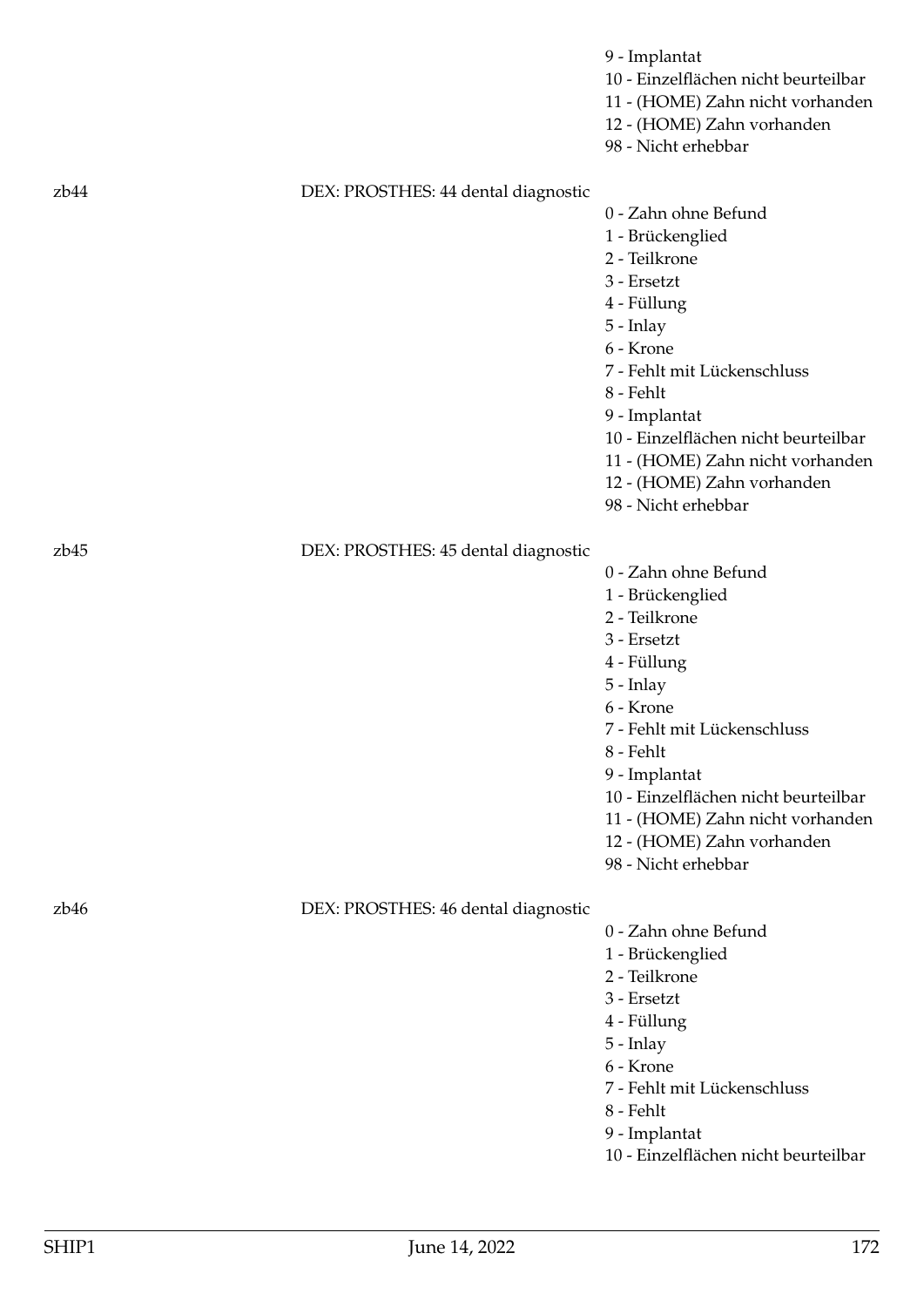|                  |                                     | 9 - Implantat<br>10 - Einzelflächen nicht beurteilbar<br>11 - (HOME) Zahn nicht vorhanden<br>12 - (HOME) Zahn vorhanden<br>98 - Nicht erhebbar                                                                                                                                                                    |
|------------------|-------------------------------------|-------------------------------------------------------------------------------------------------------------------------------------------------------------------------------------------------------------------------------------------------------------------------------------------------------------------|
| zb44             | DEX: PROSTHES: 44 dental diagnostic | 0 - Zahn ohne Befund<br>1 - Brückenglied<br>2 - Teilkrone<br>3 - Ersetzt<br>4 - Füllung<br>$5$ - Inlay<br>6 - Krone<br>7 - Fehlt mit Lückenschluss<br>8 - Fehlt<br>9 - Implantat<br>10 - Einzelflächen nicht beurteilbar<br>11 - (HOME) Zahn nicht vorhanden<br>12 - (HOME) Zahn vorhanden<br>98 - Nicht erhebbar |
| z <sub>b45</sub> | DEX: PROSTHES: 45 dental diagnostic | 0 - Zahn ohne Befund<br>1 - Brückenglied<br>2 - Teilkrone<br>3 - Ersetzt<br>4 - Füllung<br>5 - Inlay<br>6 - Krone<br>7 - Fehlt mit Lückenschluss<br>8 - Fehlt<br>9 - Implantat<br>10 - Einzelflächen nicht beurteilbar<br>11 - (HOME) Zahn nicht vorhanden<br>12 - (HOME) Zahn vorhanden<br>98 - Nicht erhebbar   |
| z <sub>b46</sub> | DEX: PROSTHES: 46 dental diagnostic | 0 - Zahn ohne Befund<br>1 - Brückenglied<br>2 - Teilkrone<br>3 - Ersetzt<br>4 - Füllung<br>5 - Inlay<br>6 - Krone<br>7 - Fehlt mit Lückenschluss<br>8 - Fehlt<br>9 - Implantat<br>10 - Einzelflächen nicht beurteilbar                                                                                            |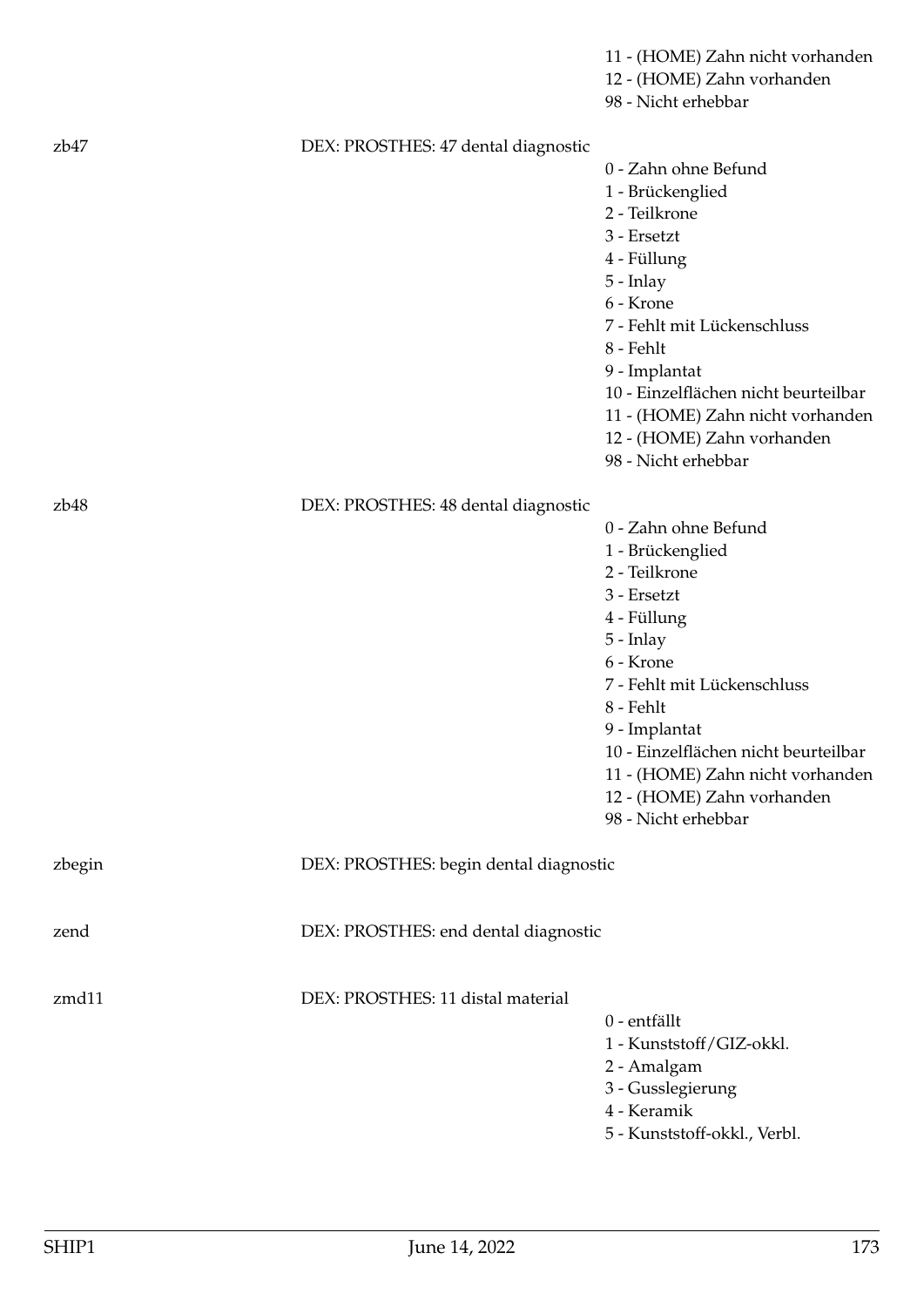|        |                                        | 11 - (HOME) Zahn nicht vorhanden<br>12 - (HOME) Zahn vorhanden<br>98 - Nicht erhebbar                                                                                                                                                                                                                             |
|--------|----------------------------------------|-------------------------------------------------------------------------------------------------------------------------------------------------------------------------------------------------------------------------------------------------------------------------------------------------------------------|
| zb47   | DEX: PROSTHES: 47 dental diagnostic    | 0 - Zahn ohne Befund<br>1 - Brückenglied<br>2 - Teilkrone<br>3 - Ersetzt<br>4 - Füllung<br>$5$ - Inlay<br>6 - Krone<br>7 - Fehlt mit Lückenschluss<br>8 - Fehlt<br>9 - Implantat<br>10 - Einzelflächen nicht beurteilbar<br>11 - (HOME) Zahn nicht vorhanden<br>12 - (HOME) Zahn vorhanden<br>98 - Nicht erhebbar |
| zb48   | DEX: PROSTHES: 48 dental diagnostic    | 0 - Zahn ohne Befund<br>1 - Brückenglied<br>2 - Teilkrone<br>3 - Ersetzt<br>4 - Füllung<br>$5$ - Inlay<br>6 - Krone<br>7 - Fehlt mit Lückenschluss<br>8 - Fehlt<br>9 - Implantat<br>10 - Einzelflächen nicht beurteilbar<br>11 - (HOME) Zahn nicht vorhanden<br>12 - (HOME) Zahn vorhanden<br>98 - Nicht erhebbar |
| zbegin | DEX: PROSTHES: begin dental diagnostic |                                                                                                                                                                                                                                                                                                                   |
| zend   | DEX: PROSTHES: end dental diagnostic   |                                                                                                                                                                                                                                                                                                                   |
| zmd11  | DEX: PROSTHES: 11 distal material      | 0 - entfällt<br>1 - Kunststoff/GIZ-okkl.<br>2 - Amalgam<br>3 - Gusslegierung<br>4 - Keramik<br>5 - Kunststoff-okkl., Verbl.                                                                                                                                                                                       |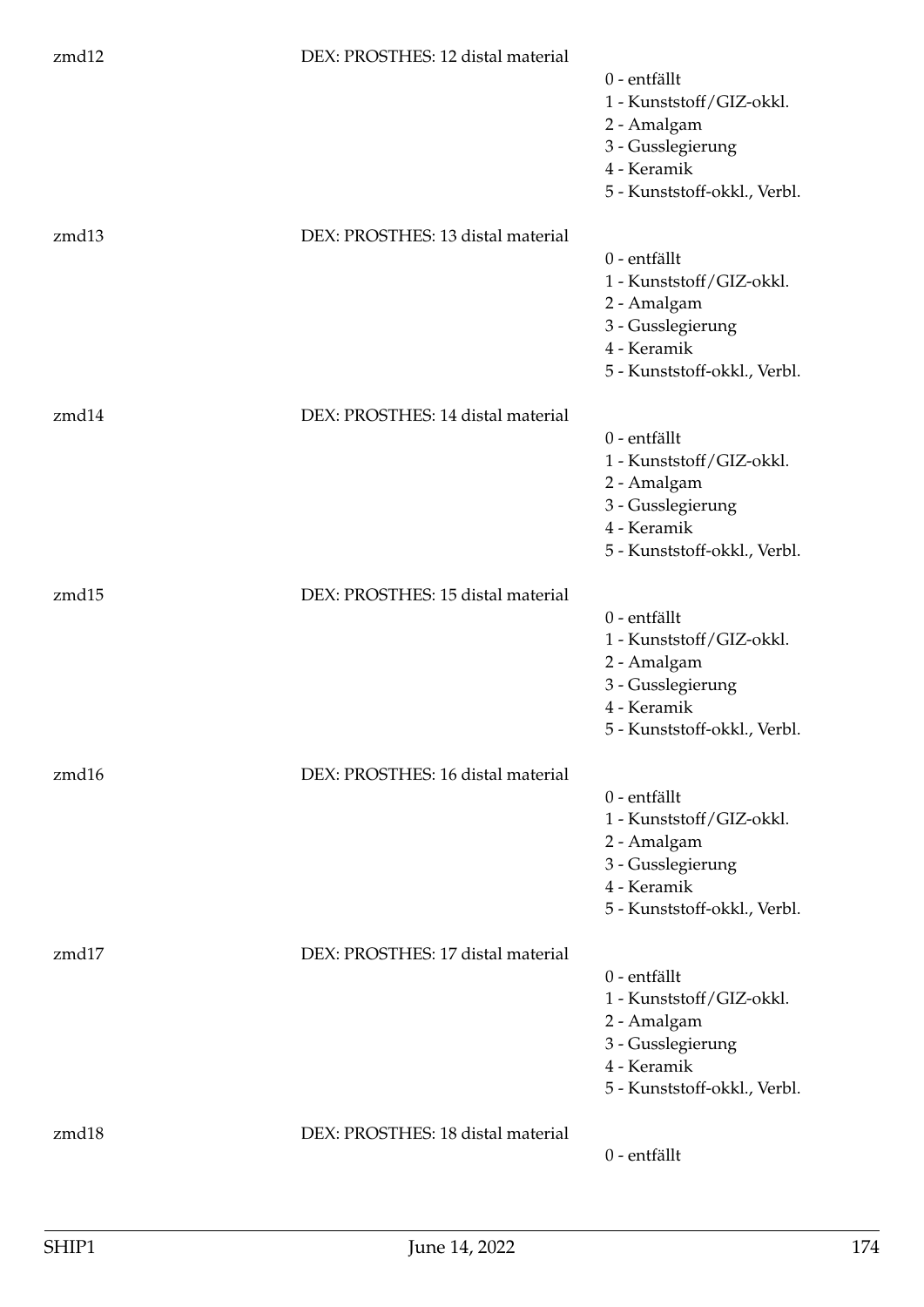| zmd12 | DEX: PROSTHES: 12 distal material |                                             |
|-------|-----------------------------------|---------------------------------------------|
|       |                                   | 0 - entfällt<br>1 - Kunststoff/GIZ-okkl.    |
|       |                                   | 2 - Amalgam                                 |
|       |                                   | 3 - Gusslegierung<br>4 - Keramik            |
|       |                                   | 5 - Kunststoff-okkl., Verbl.                |
| zmd13 | DEX: PROSTHES: 13 distal material |                                             |
|       |                                   | 0 - entfällt<br>1 - Kunststoff/GIZ-okkl.    |
|       |                                   | 2 - Amalgam                                 |
|       |                                   | 3 - Gusslegierung<br>4 - Keramik            |
|       |                                   | 5 - Kunststoff-okkl., Verbl.                |
| zmd14 | DEX: PROSTHES: 14 distal material |                                             |
|       |                                   | 0 - entfällt                                |
|       |                                   | 1 - Kunststoff/GIZ-okkl.                    |
|       |                                   | 2 - Amalgam<br>3 - Gusslegierung            |
|       |                                   | 4 - Keramik                                 |
|       |                                   | 5 - Kunststoff-okkl., Verbl.                |
| zmd15 | DEX: PROSTHES: 15 distal material |                                             |
|       |                                   | 0 - entfällt<br>1 - Kunststoff/GIZ-okkl.    |
|       |                                   | 2 - Amalgam                                 |
|       |                                   | 3 - Gusslegierung                           |
|       |                                   | 4 - Keramik<br>5 - Kunststoff-okkl., Verbl. |
| zmd16 | DEX: PROSTHES: 16 distal material |                                             |
|       |                                   | 0 - entfällt                                |
|       |                                   | 1 - Kunststoff/GIZ-okkl.<br>2 - Amalgam     |
|       |                                   | 3 - Gusslegierung                           |
|       |                                   | 4 - Keramik                                 |
|       |                                   | 5 - Kunststoff-okkl., Verbl.                |
| zmd17 | DEX: PROSTHES: 17 distal material |                                             |
|       |                                   | 0 - entfällt<br>1 - Kunststoff/GIZ-okkl.    |
|       |                                   | 2 - Amalgam                                 |
|       |                                   | 3 - Gusslegierung<br>4 - Keramik            |
|       |                                   | 5 - Kunststoff-okkl., Verbl.                |
| zmd18 | DEX: PROSTHES: 18 distal material |                                             |
|       |                                   | 0 - entfällt                                |
|       |                                   |                                             |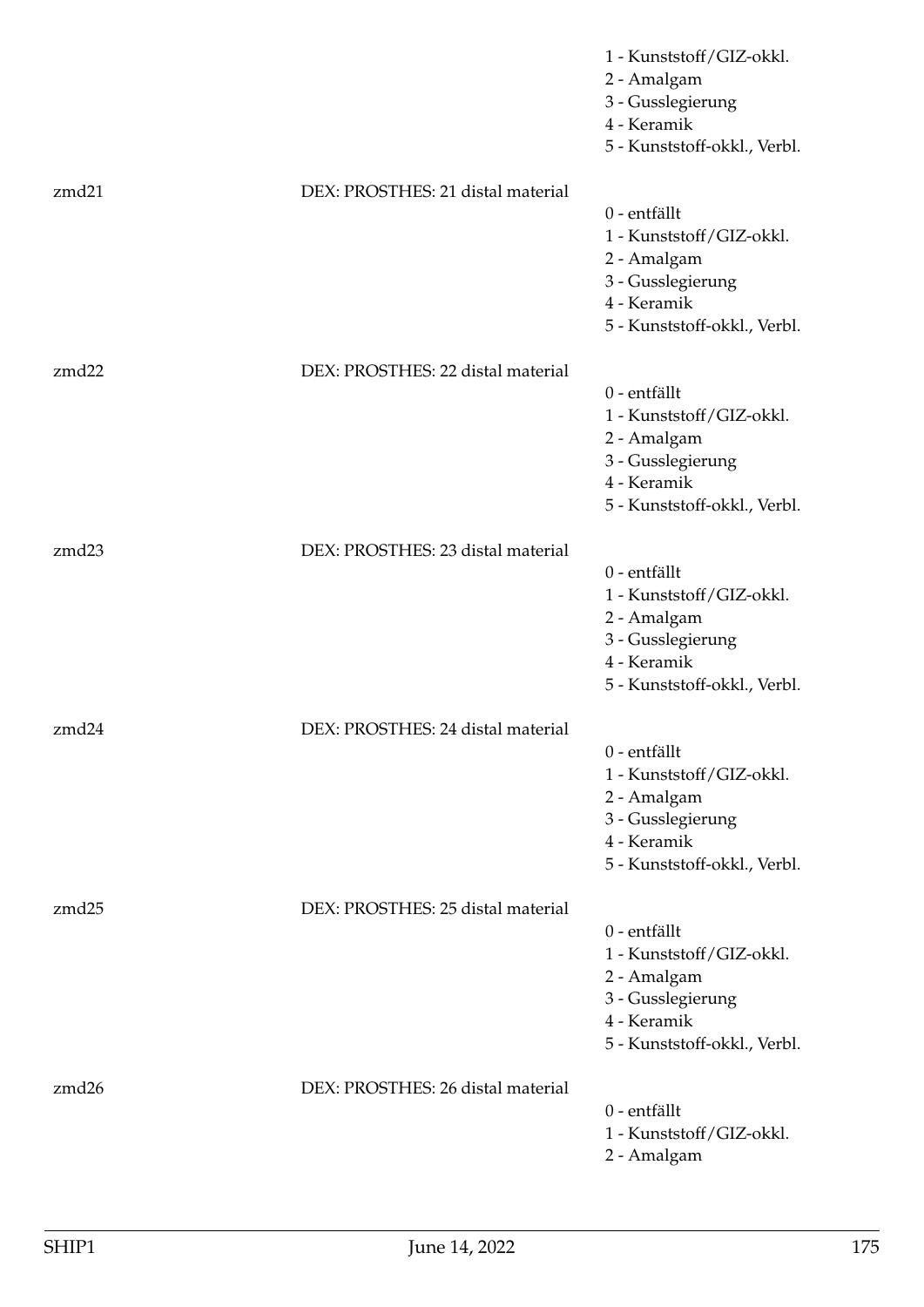|       |                                   | 1 - Kunststoff/GIZ-okkl.<br>2 - Amalgam<br>3 - Gusslegierung<br>4 - Keramik<br>5 - Kunststoff-okkl., Verbl.                 |
|-------|-----------------------------------|-----------------------------------------------------------------------------------------------------------------------------|
| zmd21 | DEX: PROSTHES: 21 distal material | 0 - entfällt<br>1 - Kunststoff/GIZ-okkl.<br>2 - Amalgam<br>3 - Gusslegierung<br>4 - Keramik<br>5 - Kunststoff-okkl., Verbl. |
| zmd22 | DEX: PROSTHES: 22 distal material | 0 - entfällt<br>1 - Kunststoff/GIZ-okkl.<br>2 - Amalgam<br>3 - Gusslegierung<br>4 - Keramik<br>5 - Kunststoff-okkl., Verbl. |
| zmd23 | DEX: PROSTHES: 23 distal material | 0 - entfällt<br>1 - Kunststoff/GIZ-okkl.<br>2 - Amalgam<br>3 - Gusslegierung<br>4 - Keramik<br>5 - Kunststoff-okkl., Verbl. |
| zmd24 | DEX: PROSTHES: 24 distal material | 0 - entfällt<br>1 - Kunststoff/GIZ-okkl.<br>2 - Amalgam<br>3 - Gusslegierung<br>4 - Keramik<br>5 - Kunststoff-okkl., Verbl. |
| zmd25 | DEX: PROSTHES: 25 distal material | 0 - entfällt<br>1 - Kunststoff/GIZ-okkl.<br>2 - Amalgam<br>3 - Gusslegierung<br>4 - Keramik<br>5 - Kunststoff-okkl., Verbl. |
| zmd26 | DEX: PROSTHES: 26 distal material | 0 - entfällt<br>1 - Kunststoff/GIZ-okkl.<br>2 - Amalgam                                                                     |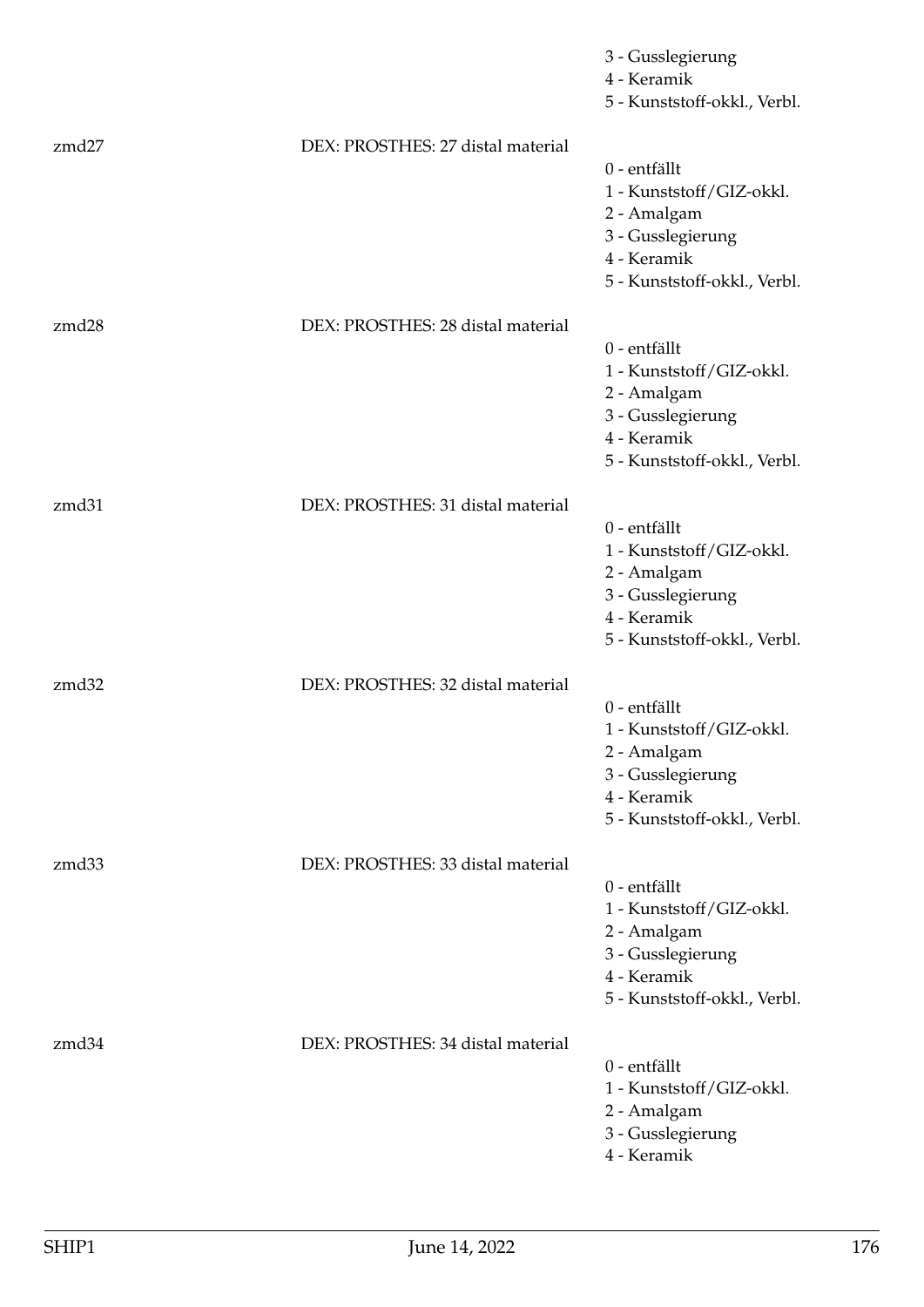|       |                                   | 3 - Gusslegierung<br>4 - Keramik<br>5 - Kunststoff-okkl., Verbl.                                                            |
|-------|-----------------------------------|-----------------------------------------------------------------------------------------------------------------------------|
| zmd27 | DEX: PROSTHES: 27 distal material | 0 - entfällt<br>1 - Kunststoff/GIZ-okkl.<br>2 - Amalgam<br>3 - Gusslegierung<br>4 - Keramik<br>5 - Kunststoff-okkl., Verbl. |
| zmd28 | DEX: PROSTHES: 28 distal material | 0 - entfällt<br>1 - Kunststoff/GIZ-okkl.<br>2 - Amalgam<br>3 - Gusslegierung<br>4 - Keramik<br>5 - Kunststoff-okkl., Verbl. |
| zmd31 | DEX: PROSTHES: 31 distal material | 0 - entfällt<br>1 - Kunststoff/GIZ-okkl.<br>2 - Amalgam<br>3 - Gusslegierung<br>4 - Keramik<br>5 - Kunststoff-okkl., Verbl. |
| zmd32 | DEX: PROSTHES: 32 distal material | 0 - entfällt<br>1 - Kunststoff/GIZ-okkl.<br>2 - Amalgam<br>3 - Gusslegierung<br>4 - Keramik<br>5 - Kunststoff-okkl., Verbl. |
| zmd33 | DEX: PROSTHES: 33 distal material | 0 - entfällt<br>1 - Kunststoff/GIZ-okkl.<br>2 - Amalgam<br>3 - Gusslegierung<br>4 - Keramik<br>5 - Kunststoff-okkl., Verbl. |
| zmd34 | DEX: PROSTHES: 34 distal material | 0 - entfällt<br>1 - Kunststoff/GIZ-okkl.<br>2 - Amalgam<br>3 - Gusslegierung<br>4 - Keramik                                 |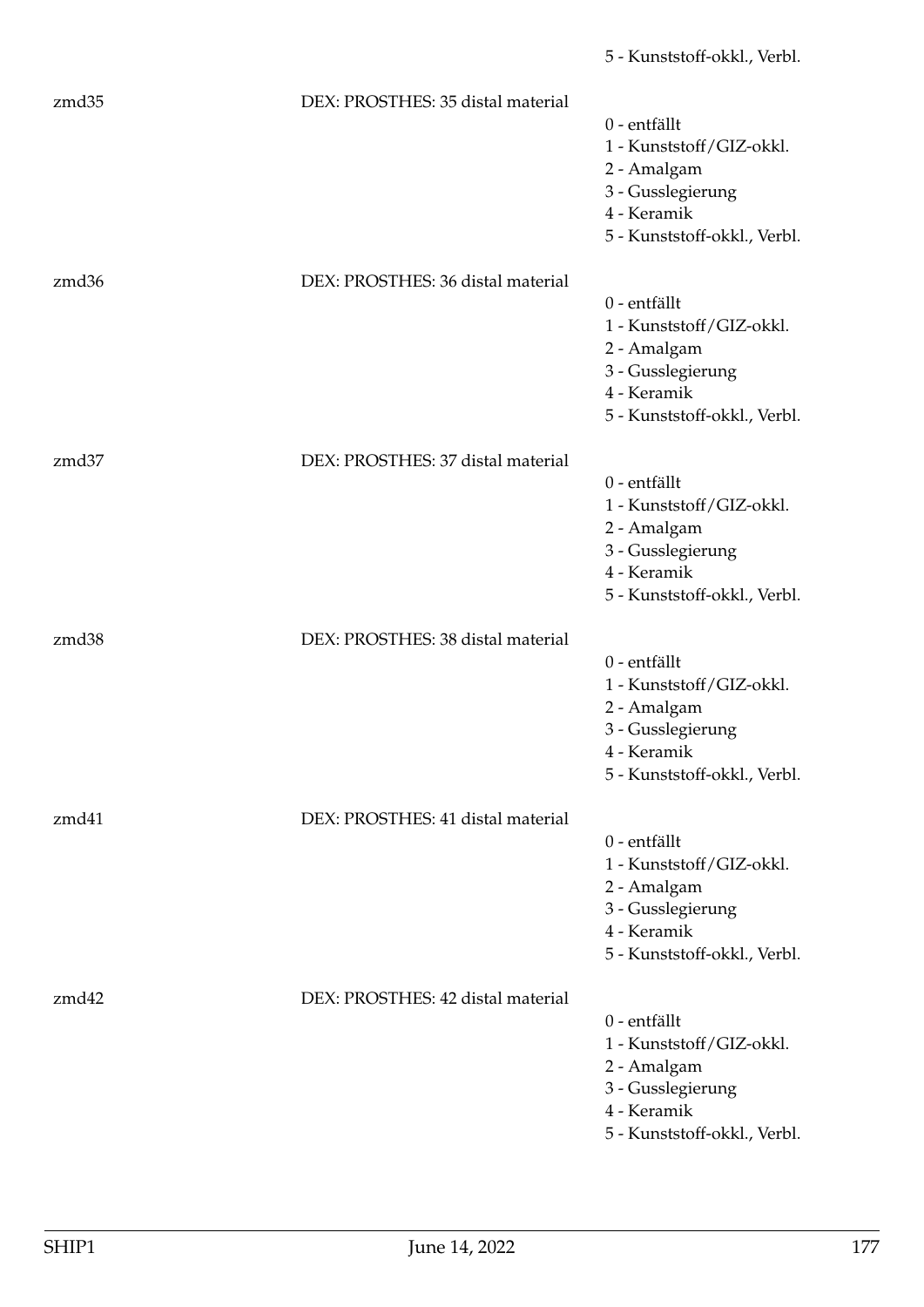| zmd35             | DEX: PROSTHES: 35 distal material | 0 - entfällt<br>1 - Kunststoff/GIZ-okkl.<br>2 - Amalgam<br>3 - Gusslegierung<br>4 - Keramik<br>5 - Kunststoff-okkl., Verbl.   |
|-------------------|-----------------------------------|-------------------------------------------------------------------------------------------------------------------------------|
| zmd36             | DEX: PROSTHES: 36 distal material | 0 - entfällt<br>1 - Kunststoff/GIZ-okkl.<br>2 - Amalgam<br>3 - Gusslegierung<br>4 - Keramik<br>5 - Kunststoff-okkl., Verbl.   |
| zmd37             | DEX: PROSTHES: 37 distal material | 0 - entfällt<br>1 - Kunststoff/GIZ-okkl.<br>2 - Amalgam<br>3 - Gusslegierung<br>4 - Keramik<br>5 - Kunststoff-okkl., Verbl.   |
| zmd <sub>38</sub> | DEX: PROSTHES: 38 distal material | 0 - entfällt<br>1 - Kunststoff/GIZ-okkl.<br>2 - Amalgam<br>3 - Gusslegierung<br>4 - Keramik<br>5 - Kunststoff-okkl., Verbl.   |
| zmd41             | DEX: PROSTHES: 41 distal material | $0$ - entfällt<br>1 - Kunststoff/GIZ-okkl.<br>2 - Amalgam<br>3 - Gusslegierung<br>4 - Keramik<br>5 - Kunststoff-okkl., Verbl. |
| zmd42             | DEX: PROSTHES: 42 distal material | 0 - entfällt<br>1 - Kunststoff/GIZ-okkl.<br>2 - Amalgam<br>3 - Gusslegierung<br>4 - Keramik<br>5 - Kunststoff-okkl., Verbl.   |

5 - Kunststoff-okkl., Verbl.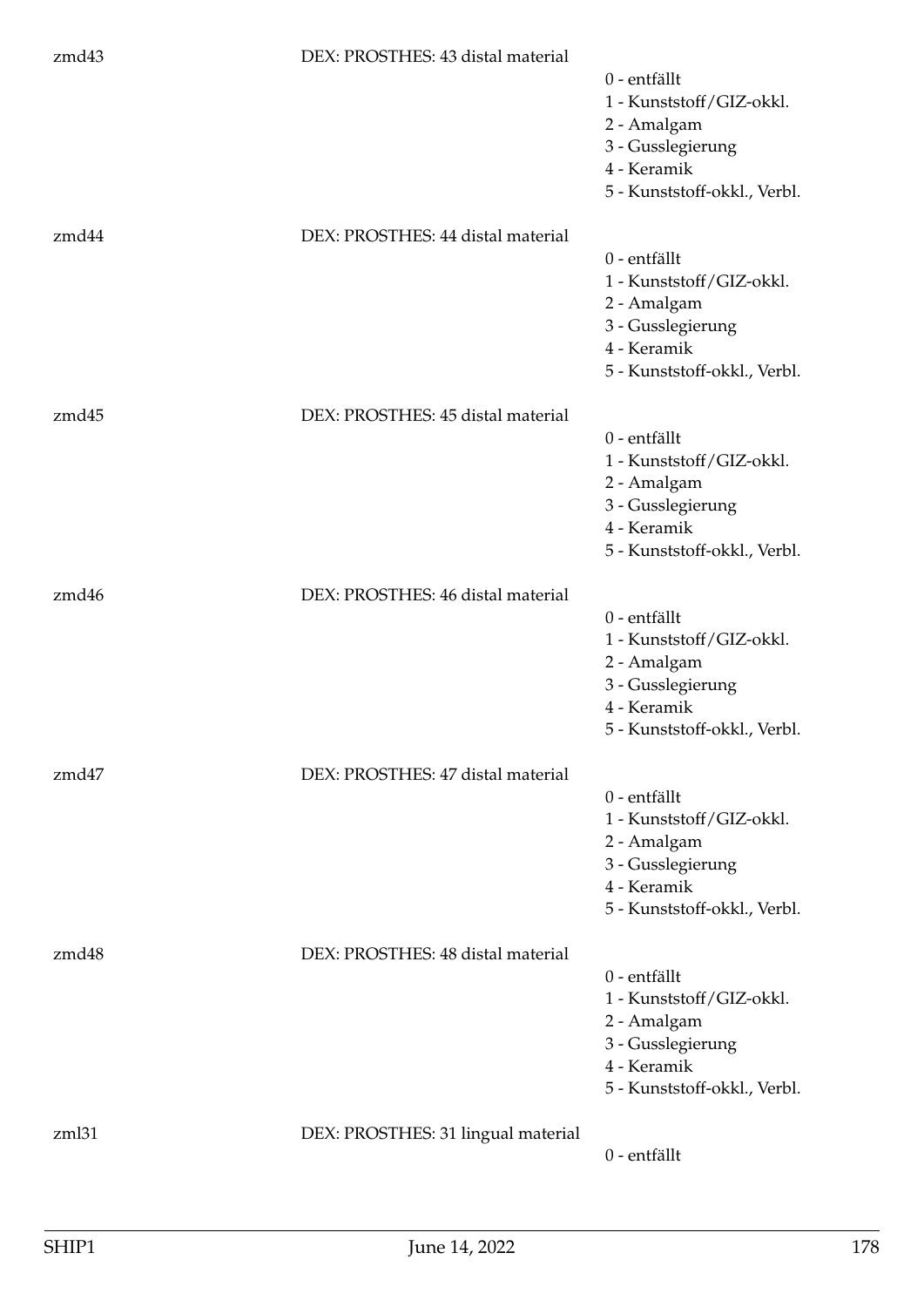| zmd43 | DEX: PROSTHES: 43 distal material  | 0 - entfällt<br>1 - Kunststoff/GIZ-okkl.<br>2 - Amalgam<br>3 - Gusslegierung<br>4 - Keramik<br>5 - Kunststoff-okkl., Verbl. |
|-------|------------------------------------|-----------------------------------------------------------------------------------------------------------------------------|
| zmd44 | DEX: PROSTHES: 44 distal material  | 0 - entfällt<br>1 - Kunststoff/GIZ-okkl.<br>2 - Amalgam<br>3 - Gusslegierung<br>4 - Keramik<br>5 - Kunststoff-okkl., Verbl. |
| zmd45 | DEX: PROSTHES: 45 distal material  | 0 - entfällt<br>1 - Kunststoff/GIZ-okkl.<br>2 - Amalgam<br>3 - Gusslegierung<br>4 - Keramik<br>5 - Kunststoff-okkl., Verbl. |
| zmd46 | DEX: PROSTHES: 46 distal material  | 0 - entfällt<br>1 - Kunststoff/GIZ-okkl.<br>2 - Amalgam<br>3 - Gusslegierung<br>4 - Keramik<br>5 - Kunststoff-okkl., Verbl. |
| zmd47 | DEX: PROSTHES: 47 distal material  | 0 - entfällt<br>1 - Kunststoff/GIZ-okkl.<br>2 - Amalgam<br>3 - Gusslegierung<br>4 - Keramik<br>5 - Kunststoff-okkl., Verbl. |
| zmd48 | DEX: PROSTHES: 48 distal material  | 0 - entfällt<br>1 - Kunststoff/GIZ-okkl.<br>2 - Amalgam<br>3 - Gusslegierung<br>4 - Keramik<br>5 - Kunststoff-okkl., Verbl. |
| zml31 | DEX: PROSTHES: 31 lingual material | 0 - entfällt                                                                                                                |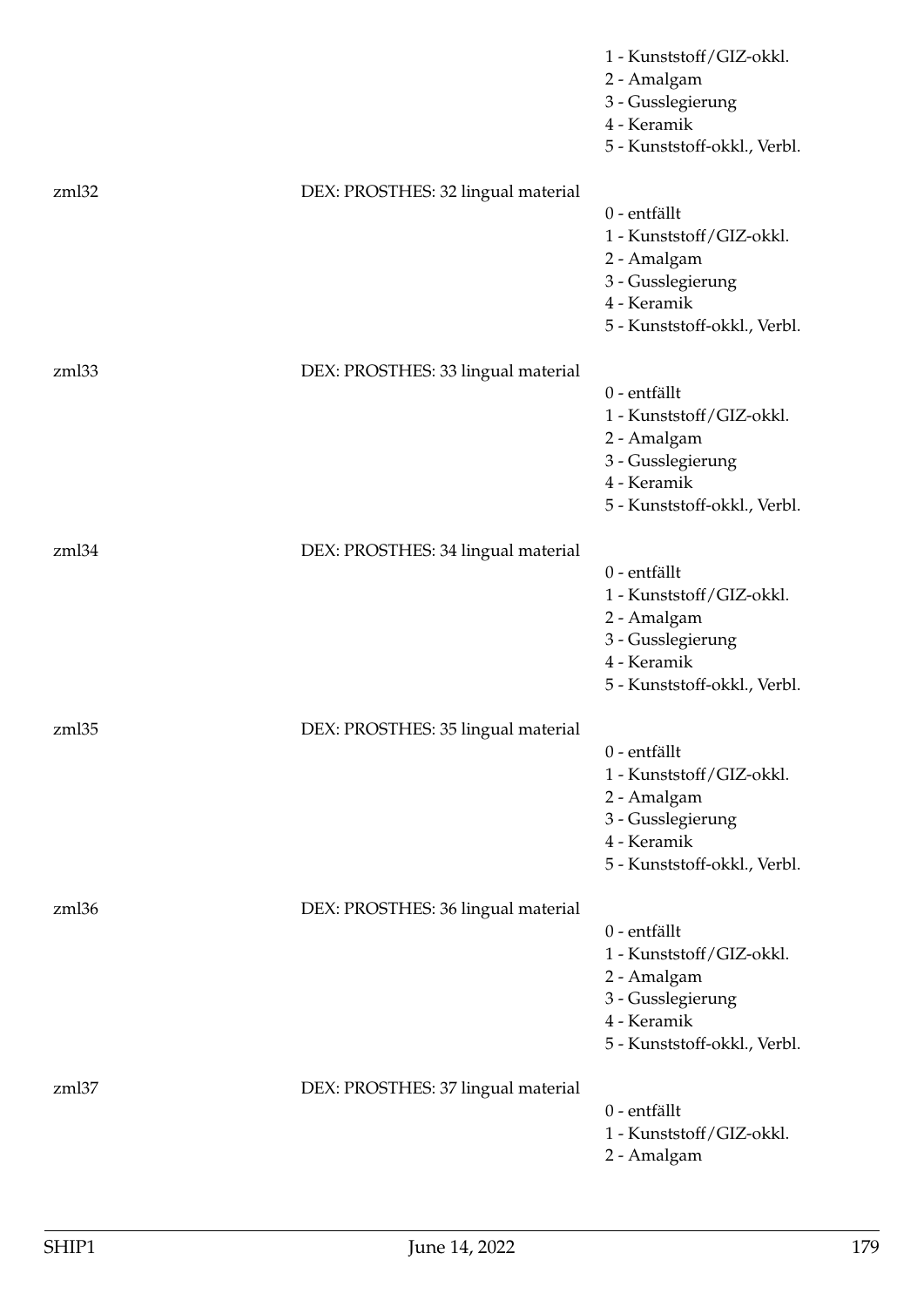|       |                                    | 1 - Kunststoff/GIZ-okkl.<br>2 - Amalgam<br>3 - Gusslegierung<br>4 - Keramik<br>5 - Kunststoff-okkl., Verbl.                 |
|-------|------------------------------------|-----------------------------------------------------------------------------------------------------------------------------|
| zml32 | DEX: PROSTHES: 32 lingual material | 0 - entfällt<br>1 - Kunststoff/GIZ-okkl.<br>2 - Amalgam<br>3 - Gusslegierung<br>4 - Keramik<br>5 - Kunststoff-okkl., Verbl. |
| zml33 | DEX: PROSTHES: 33 lingual material | 0 - entfällt<br>1 - Kunststoff/GIZ-okkl.<br>2 - Amalgam<br>3 - Gusslegierung<br>4 - Keramik<br>5 - Kunststoff-okkl., Verbl. |
| zml34 | DEX: PROSTHES: 34 lingual material | 0 - entfällt<br>1 - Kunststoff/GIZ-okkl.<br>2 - Amalgam<br>3 - Gusslegierung<br>4 - Keramik<br>5 - Kunststoff-okkl., Verbl. |
| zml35 | DEX: PROSTHES: 35 lingual material | 0 - entfällt<br>1 - Kunststoff/GIZ-okkl.<br>2 - Amalgam<br>3 - Gusslegierung<br>4 - Keramik<br>5 - Kunststoff-okkl., Verbl. |
| zml36 | DEX: PROSTHES: 36 lingual material | 0 - entfällt<br>1 - Kunststoff/GIZ-okkl.<br>2 - Amalgam<br>3 - Gusslegierung<br>4 - Keramik<br>5 - Kunststoff-okkl., Verbl. |
| zml37 | DEX: PROSTHES: 37 lingual material | 0 - entfällt<br>1 - Kunststoff/GIZ-okkl.<br>2 - Amalgam                                                                     |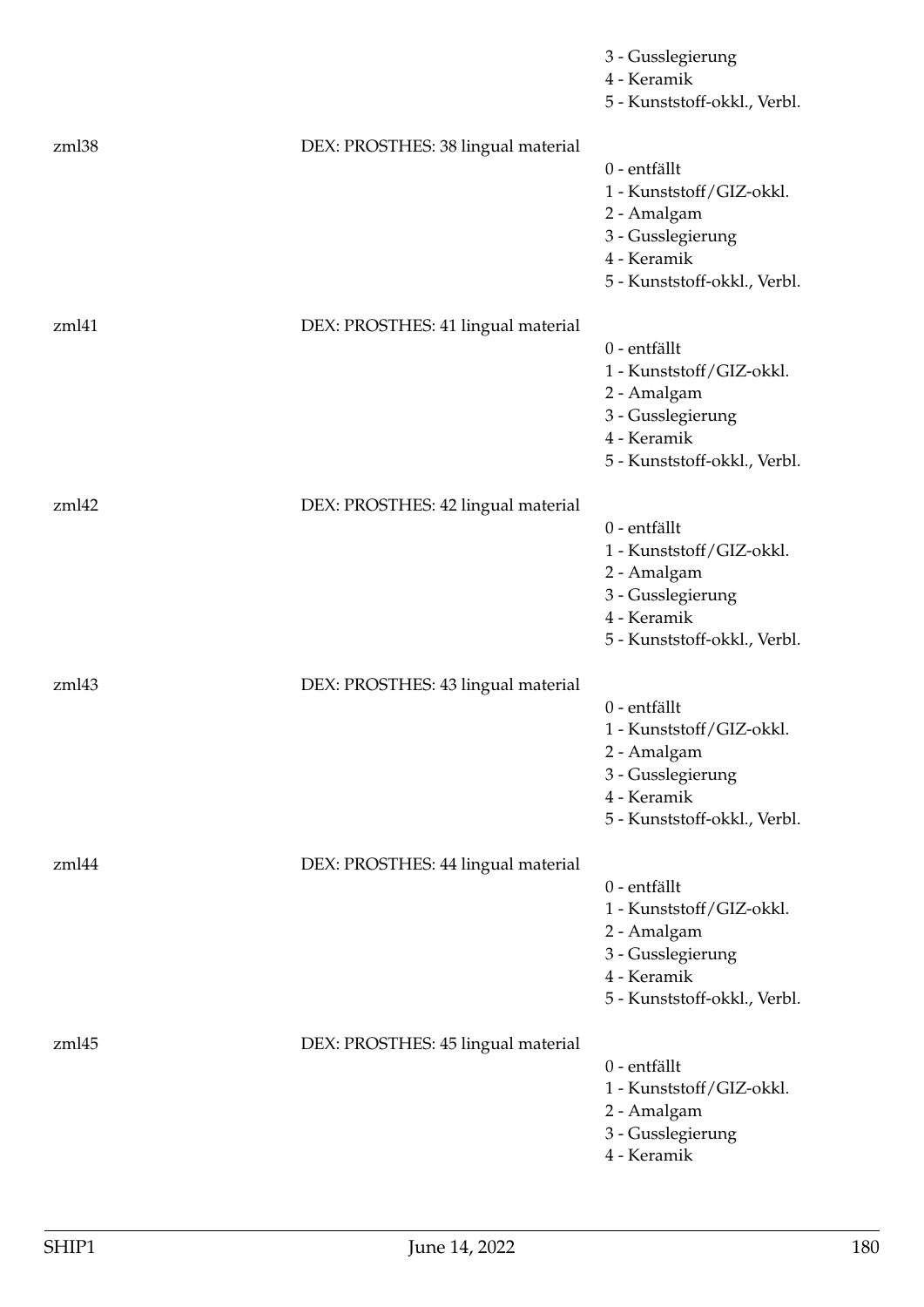|       |                                    | 3 - Gusslegierung<br>4 - Keramik<br>5 - Kunststoff-okkl., Verbl.                                                            |
|-------|------------------------------------|-----------------------------------------------------------------------------------------------------------------------------|
| zml38 | DEX: PROSTHES: 38 lingual material | 0 - entfällt<br>1 - Kunststoff/GIZ-okkl.<br>2 - Amalgam<br>3 - Gusslegierung<br>4 - Keramik<br>5 - Kunststoff-okkl., Verbl. |
| zml41 | DEX: PROSTHES: 41 lingual material | 0 - entfällt<br>1 - Kunststoff/GIZ-okkl.<br>2 - Amalgam<br>3 - Gusslegierung<br>4 - Keramik<br>5 - Kunststoff-okkl., Verbl. |
| zml42 | DEX: PROSTHES: 42 lingual material | 0 - entfällt<br>1 - Kunststoff/GIZ-okkl.<br>2 - Amalgam<br>3 - Gusslegierung<br>4 - Keramik<br>5 - Kunststoff-okkl., Verbl. |
| zml43 | DEX: PROSTHES: 43 lingual material | 0 - entfällt<br>1 - Kunststoff/GIZ-okkl.<br>2 - Amalgam<br>3 - Gusslegierung<br>4 - Keramik<br>5 - Kunststoff-okkl., Verbl. |
| zml44 | DEX: PROSTHES: 44 lingual material | 0 - entfällt<br>1 - Kunststoff/GIZ-okkl.<br>2 - Amalgam<br>3 - Gusslegierung<br>4 - Keramik<br>5 - Kunststoff-okkl., Verbl. |
| zml45 | DEX: PROSTHES: 45 lingual material | 0 - entfällt<br>1 - Kunststoff/GIZ-okkl.<br>2 - Amalgam<br>3 - Gusslegierung<br>4 - Keramik                                 |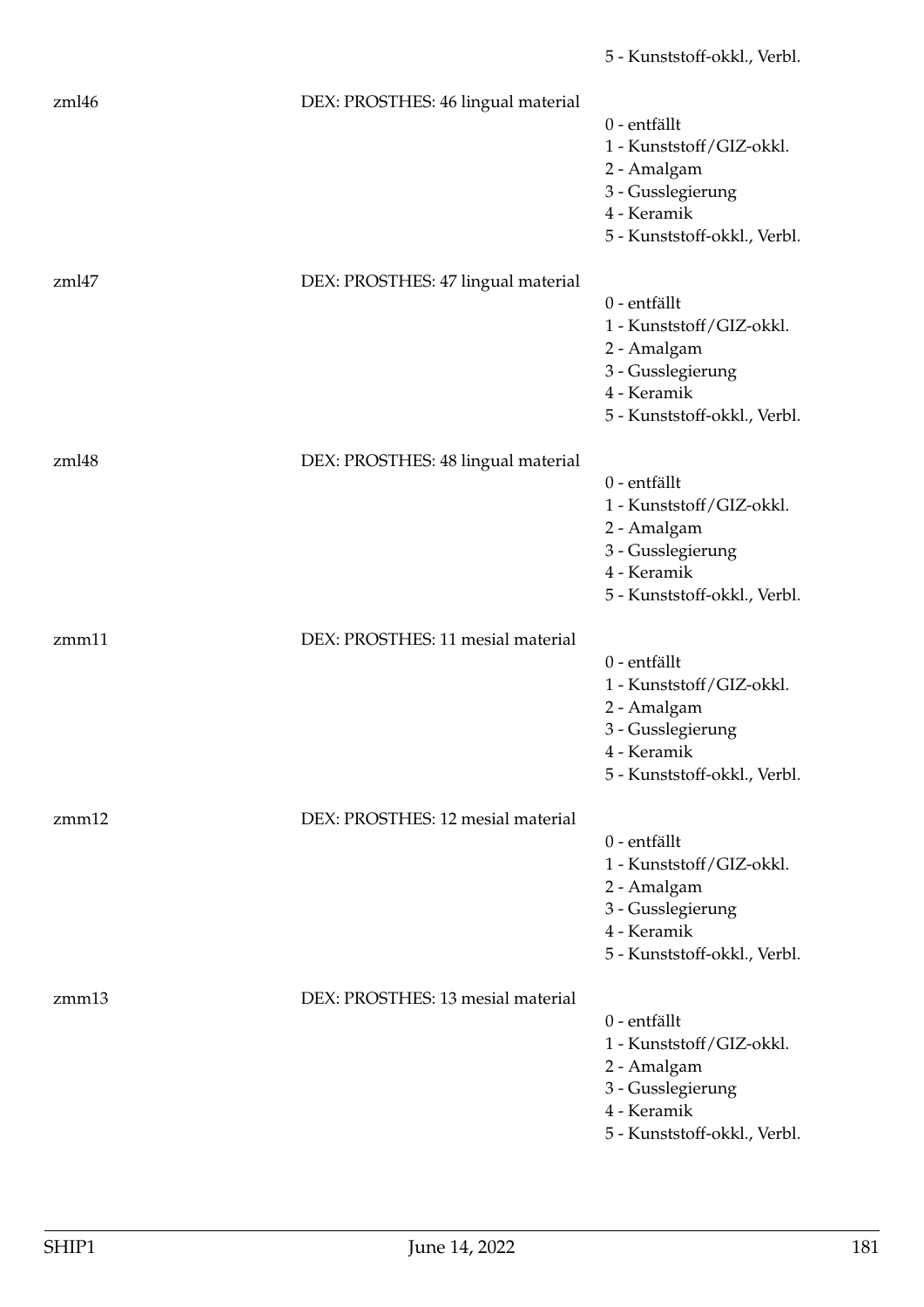| zml46 | DEX: PROSTHES: 46 lingual material | 0 - entfällt<br>1 - Kunststoff/GIZ-okkl.<br>2 - Amalgam<br>3 - Gusslegierung<br>4 - Keramik<br>5 - Kunststoff-okkl., Verbl. |
|-------|------------------------------------|-----------------------------------------------------------------------------------------------------------------------------|
| zml47 | DEX: PROSTHES: 47 lingual material | 0 - entfällt<br>1 - Kunststoff/GIZ-okkl.<br>2 - Amalgam<br>3 - Gusslegierung<br>4 - Keramik<br>5 - Kunststoff-okkl., Verbl. |
| zml48 | DEX: PROSTHES: 48 lingual material | 0 - entfällt<br>1 - Kunststoff/GIZ-okkl.<br>2 - Amalgam<br>3 - Gusslegierung<br>4 - Keramik<br>5 - Kunststoff-okkl., Verbl. |
| zmm11 | DEX: PROSTHES: 11 mesial material  | 0 - entfällt<br>1 - Kunststoff/GIZ-okkl.<br>2 - Amalgam<br>3 - Gusslegierung<br>4 - Keramik<br>5 - Kunststoff-okkl., Verbl. |
| zmm12 | DEX: PROSTHES: 12 mesial material  | 0 - entfällt<br>1 - Kunststoff/GIZ-okkl.<br>2 - Amalgam<br>3 - Gusslegierung<br>4 - Keramik<br>5 - Kunststoff-okkl., Verbl. |
| zmm13 | DEX: PROSTHES: 13 mesial material  | 0 - entfällt<br>1 - Kunststoff/GIZ-okkl.<br>2 - Amalgam<br>3 - Gusslegierung<br>4 - Keramik<br>5 - Kunststoff-okkl., Verbl. |

5 - Kunststoff-okkl., Verbl.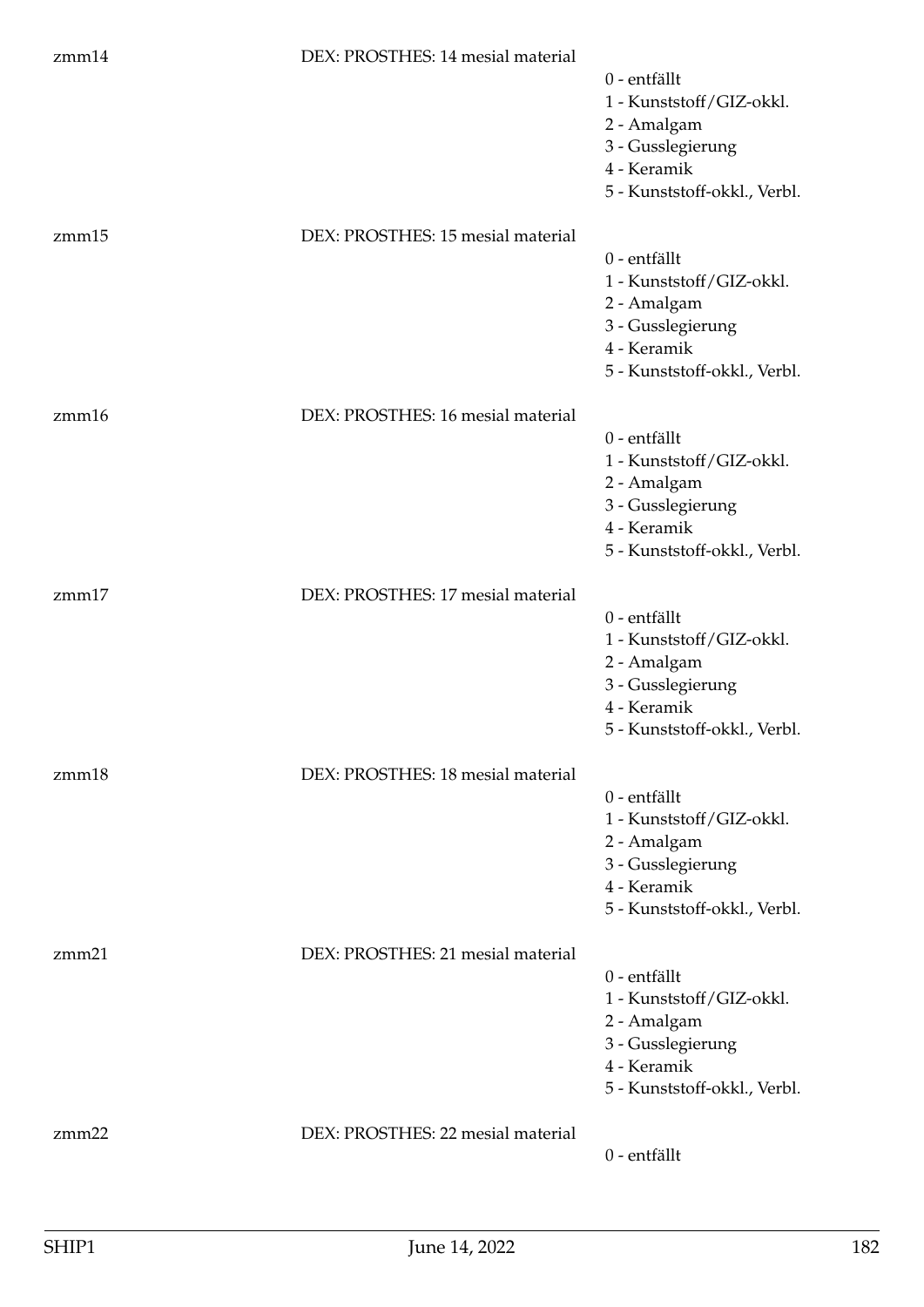| zmm14 | DEX: PROSTHES: 14 mesial material | 0 - entfällt<br>1 - Kunststoff/GIZ-okkl.<br>2 - Amalgam<br>3 - Gusslegierung<br>4 - Keramik<br>5 - Kunststoff-okkl., Verbl. |
|-------|-----------------------------------|-----------------------------------------------------------------------------------------------------------------------------|
| zmm15 | DEX: PROSTHES: 15 mesial material | 0 - entfällt<br>1 - Kunststoff/GIZ-okkl.<br>2 - Amalgam<br>3 - Gusslegierung<br>4 - Keramik<br>5 - Kunststoff-okkl., Verbl. |
| zmm16 | DEX: PROSTHES: 16 mesial material | 0 - entfällt<br>1 - Kunststoff/GIZ-okkl.<br>2 - Amalgam<br>3 - Gusslegierung<br>4 - Keramik<br>5 - Kunststoff-okkl., Verbl. |
| zmm17 | DEX: PROSTHES: 17 mesial material | 0 - entfällt<br>1 - Kunststoff/GIZ-okkl.<br>2 - Amalgam<br>3 - Gusslegierung<br>4 - Keramik<br>5 - Kunststoff-okkl., Verbl. |
| zmm18 | DEX: PROSTHES: 18 mesial material | 0 - entfällt<br>1 - Kunststoff/GIZ-okkl.<br>2 - Amalgam<br>3 - Gusslegierung<br>4 - Keramik<br>5 - Kunststoff-okkl., Verbl. |
| zmm21 | DEX: PROSTHES: 21 mesial material | 0 - entfällt<br>1 - Kunststoff/GIZ-okkl.<br>2 - Amalgam<br>3 - Gusslegierung<br>4 - Keramik<br>5 - Kunststoff-okkl., Verbl. |
| zmm22 | DEX: PROSTHES: 22 mesial material | 0 - entfällt                                                                                                                |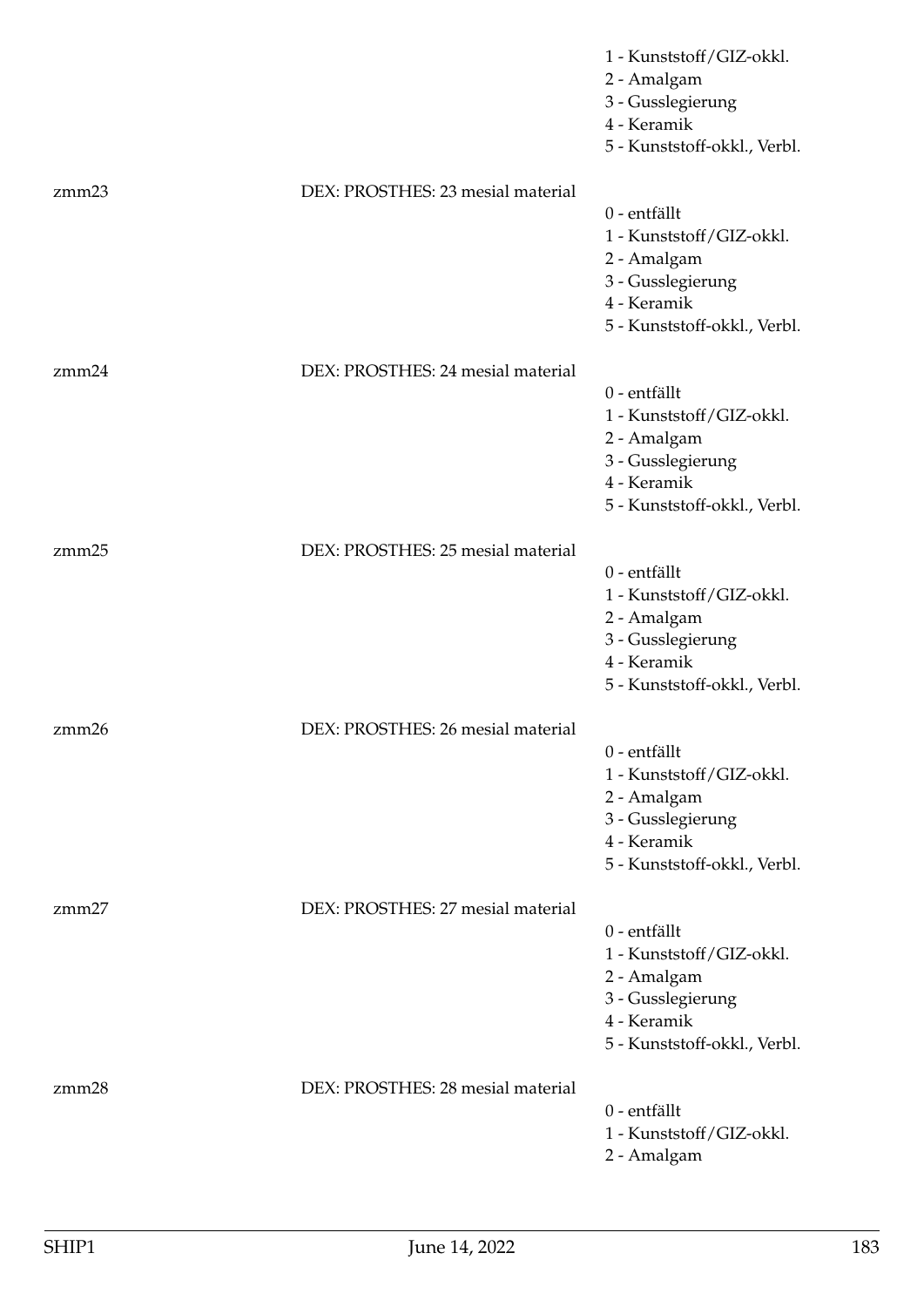|       |                                   | 1 - Kunststoff/GIZ-okkl.<br>2 - Amalgam<br>3 - Gusslegierung<br>4 - Keramik<br>5 - Kunststoff-okkl., Verbl.                   |
|-------|-----------------------------------|-------------------------------------------------------------------------------------------------------------------------------|
| zmm23 | DEX: PROSTHES: 23 mesial material | $0$ - entfällt<br>1 - Kunststoff/GIZ-okkl.<br>2 - Amalgam<br>3 - Gusslegierung<br>4 - Keramik<br>5 - Kunststoff-okkl., Verbl. |
| zmm24 | DEX: PROSTHES: 24 mesial material | 0 - entfällt<br>1 - Kunststoff/GIZ-okkl.<br>2 - Amalgam<br>3 - Gusslegierung<br>4 - Keramik<br>5 - Kunststoff-okkl., Verbl.   |
| zmm25 | DEX: PROSTHES: 25 mesial material | 0 - entfällt<br>1 - Kunststoff/GIZ-okkl.<br>2 - Amalgam<br>3 - Gusslegierung<br>4 - Keramik<br>5 - Kunststoff-okkl., Verbl.   |
| zmm26 | DEX: PROSTHES: 26 mesial material | 0 - entfällt<br>1 - Kunststoff/GIZ-okkl.<br>2 - Amalgam<br>3 - Gusslegierung<br>4 - Keramik<br>5 - Kunststoff-okkl., Verbl.   |
| zmm27 | DEX: PROSTHES: 27 mesial material | 0 - entfällt<br>1 - Kunststoff/GIZ-okkl.<br>2 - Amalgam<br>3 - Gusslegierung<br>4 - Keramik<br>5 - Kunststoff-okkl., Verbl.   |
| zmm28 | DEX: PROSTHES: 28 mesial material | 0 - entfällt<br>1 - Kunststoff/GIZ-okkl.<br>2 - Amalgam                                                                       |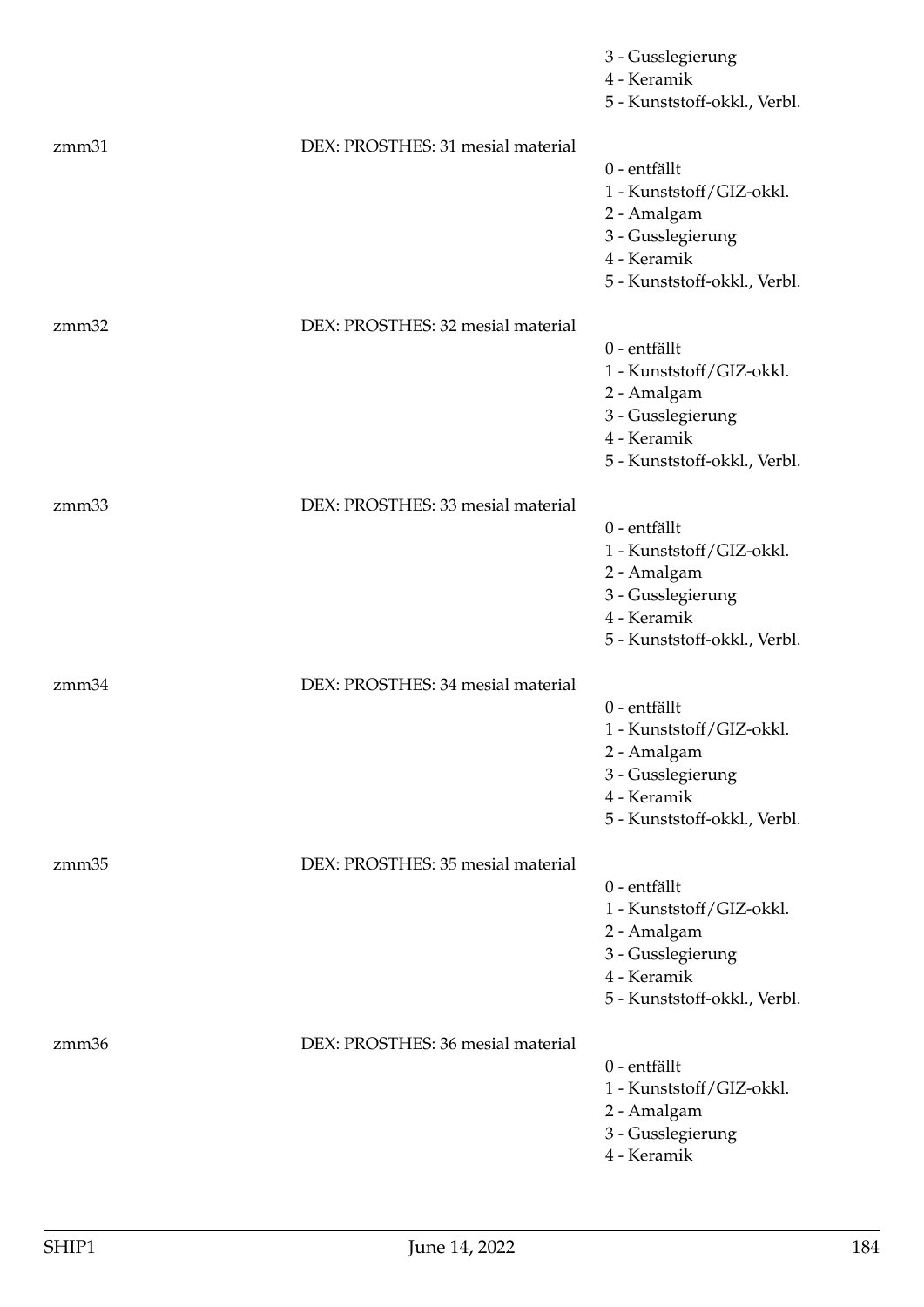|       |                                   | 3 - Gusslegierung<br>4 - Keramik<br>5 - Kunststoff-okkl., Verbl.                                                            |
|-------|-----------------------------------|-----------------------------------------------------------------------------------------------------------------------------|
| zmm31 | DEX: PROSTHES: 31 mesial material | 0 - entfällt<br>1 - Kunststoff/GIZ-okkl.<br>2 - Amalgam<br>3 - Gusslegierung<br>4 - Keramik<br>5 - Kunststoff-okkl., Verbl. |
| zmm32 | DEX: PROSTHES: 32 mesial material | 0 - entfällt<br>1 - Kunststoff/GIZ-okkl.<br>2 - Amalgam<br>3 - Gusslegierung<br>4 - Keramik<br>5 - Kunststoff-okkl., Verbl. |
| zmm33 | DEX: PROSTHES: 33 mesial material | 0 - entfällt<br>1 - Kunststoff/GIZ-okkl.<br>2 - Amalgam<br>3 - Gusslegierung<br>4 - Keramik<br>5 - Kunststoff-okkl., Verbl. |
| zmm34 | DEX: PROSTHES: 34 mesial material | 0 - entfällt<br>1 - Kunststoff/GIZ-okkl.<br>2 - Amalgam<br>3 - Gusslegierung<br>4 - Keramik<br>5 - Kunststoff-okkl., Verbl. |
| zmm35 | DEX: PROSTHES: 35 mesial material | 0 - entfällt<br>1 - Kunststoff/GIZ-okkl.<br>2 - Amalgam<br>3 - Gusslegierung<br>4 - Keramik<br>5 - Kunststoff-okkl., Verbl. |
| zmm36 | DEX: PROSTHES: 36 mesial material | 0 - entfällt<br>1 - Kunststoff/GIZ-okkl.<br>2 - Amalgam<br>3 - Gusslegierung<br>4 - Keramik                                 |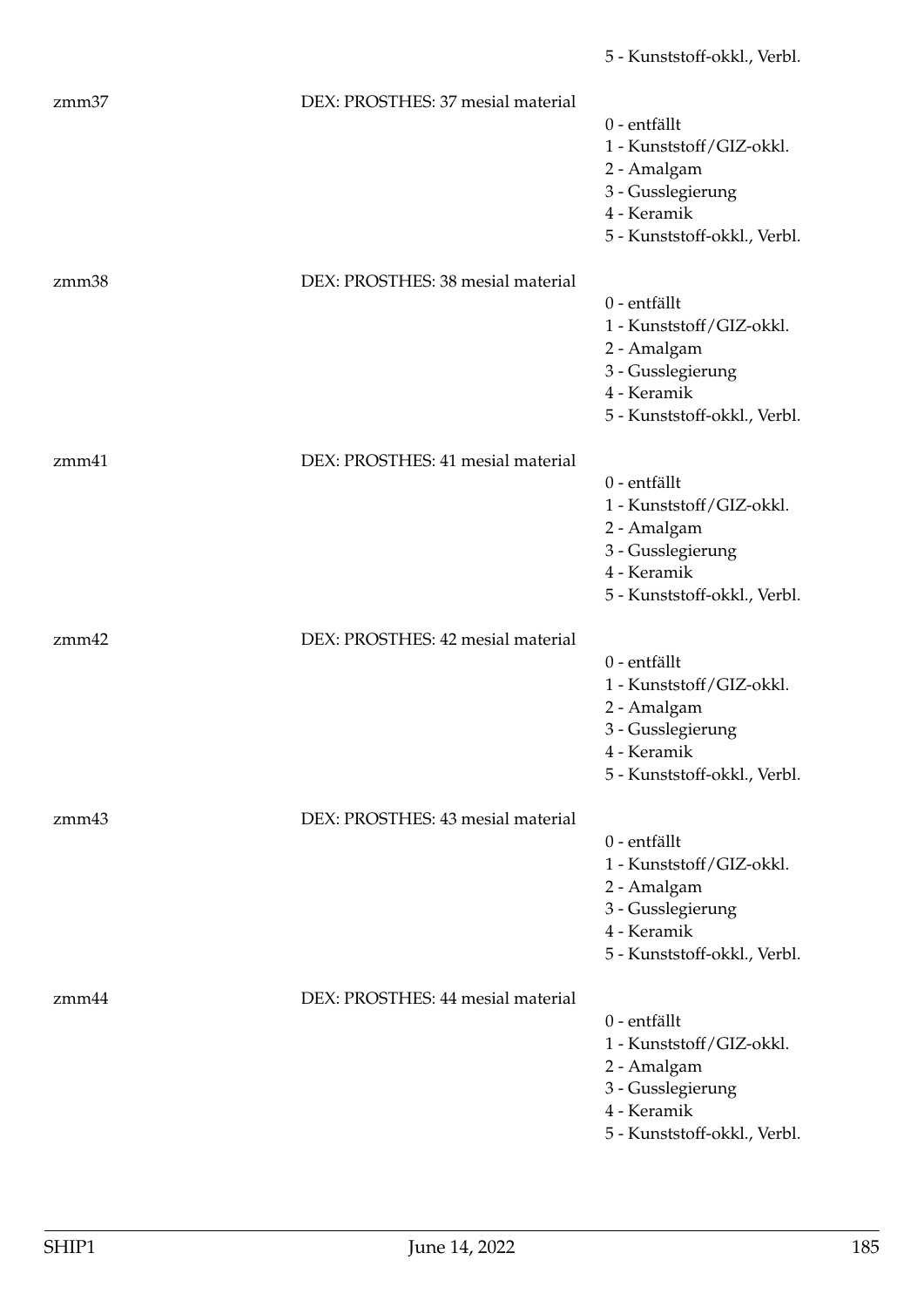| zmm37 | DEX: PROSTHES: 37 mesial material | 0 - entfällt<br>1 - Kunststoff/GIZ-okkl.<br>2 - Amalgam<br>3 - Gusslegierung<br>4 - Keramik<br>5 - Kunststoff-okkl., Verbl. |
|-------|-----------------------------------|-----------------------------------------------------------------------------------------------------------------------------|
| zmm38 | DEX: PROSTHES: 38 mesial material | 0 - entfällt<br>1 - Kunststoff/GIZ-okkl.<br>2 - Amalgam<br>3 - Gusslegierung<br>4 - Keramik<br>5 - Kunststoff-okkl., Verbl. |
| zmm41 | DEX: PROSTHES: 41 mesial material | 0 - entfällt<br>1 - Kunststoff/GIZ-okkl.<br>2 - Amalgam<br>3 - Gusslegierung<br>4 - Keramik<br>5 - Kunststoff-okkl., Verbl. |
| zmm42 | DEX: PROSTHES: 42 mesial material | 0 - entfällt<br>1 - Kunststoff/GIZ-okkl.<br>2 - Amalgam<br>3 - Gusslegierung<br>4 - Keramik<br>5 - Kunststoff-okkl., Verbl. |
| zmm43 | DEX: PROSTHES: 43 mesial material | 0 - entfällt<br>1 - Kunststoff/GIZ-okkl.<br>2 - Amalgam<br>3 - Gusslegierung<br>4 - Keramik<br>5 - Kunststoff-okkl., Verbl. |
| zmm44 | DEX: PROSTHES: 44 mesial material | 0 - entfällt<br>1 - Kunststoff/GIZ-okkl.<br>2 - Amalgam<br>3 - Gusslegierung<br>4 - Keramik<br>5 - Kunststoff-okkl., Verbl. |

5 - Kunststoff-okkl., Verbl.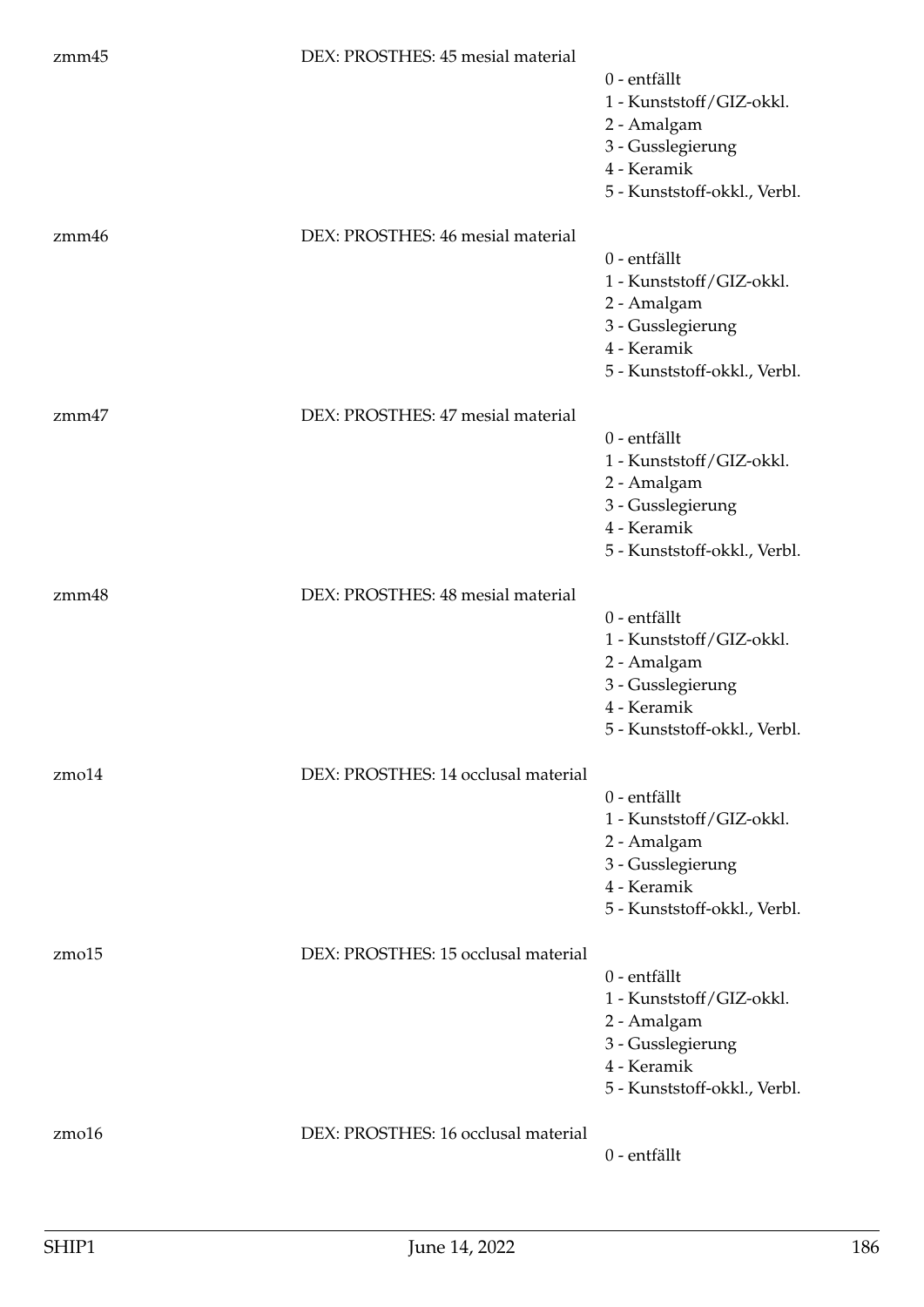| zmm45       | DEX: PROSTHES: 45 mesial material   | 0 - entfällt<br>1 - Kunststoff/GIZ-okkl.<br>2 - Amalgam<br>3 - Gusslegierung<br>4 - Keramik<br>5 - Kunststoff-okkl., Verbl. |
|-------------|-------------------------------------|-----------------------------------------------------------------------------------------------------------------------------|
| zmm46       | DEX: PROSTHES: 46 mesial material   | 0 - entfällt<br>1 - Kunststoff/GIZ-okkl.<br>2 - Amalgam<br>3 - Gusslegierung<br>4 - Keramik<br>5 - Kunststoff-okkl., Verbl. |
| zmm47       | DEX: PROSTHES: 47 mesial material   | 0 - entfällt<br>1 - Kunststoff/GIZ-okkl.<br>2 - Amalgam<br>3 - Gusslegierung<br>4 - Keramik<br>5 - Kunststoff-okkl., Verbl. |
| zmm48       | DEX: PROSTHES: 48 mesial material   | 0 - entfällt<br>1 - Kunststoff/GIZ-okkl.<br>2 - Amalgam<br>3 - Gusslegierung<br>4 - Keramik<br>5 - Kunststoff-okkl., Verbl. |
| $z$ mo $14$ | DEX: PROSTHES: 14 occlusal material | 0 - entfällt<br>1 - Kunststoff/GIZ-okkl.<br>2 - Amalgam<br>3 - Gusslegierung<br>4 - Keramik<br>5 - Kunststoff-okkl., Verbl. |
| $z$ mo $15$ | DEX: PROSTHES: 15 occlusal material | 0 - entfällt<br>1 - Kunststoff/GIZ-okkl.<br>2 - Amalgam<br>3 - Gusslegierung<br>4 - Keramik<br>5 - Kunststoff-okkl., Verbl. |
| $z$ mo $16$ | DEX: PROSTHES: 16 occlusal material | 0 - entfällt                                                                                                                |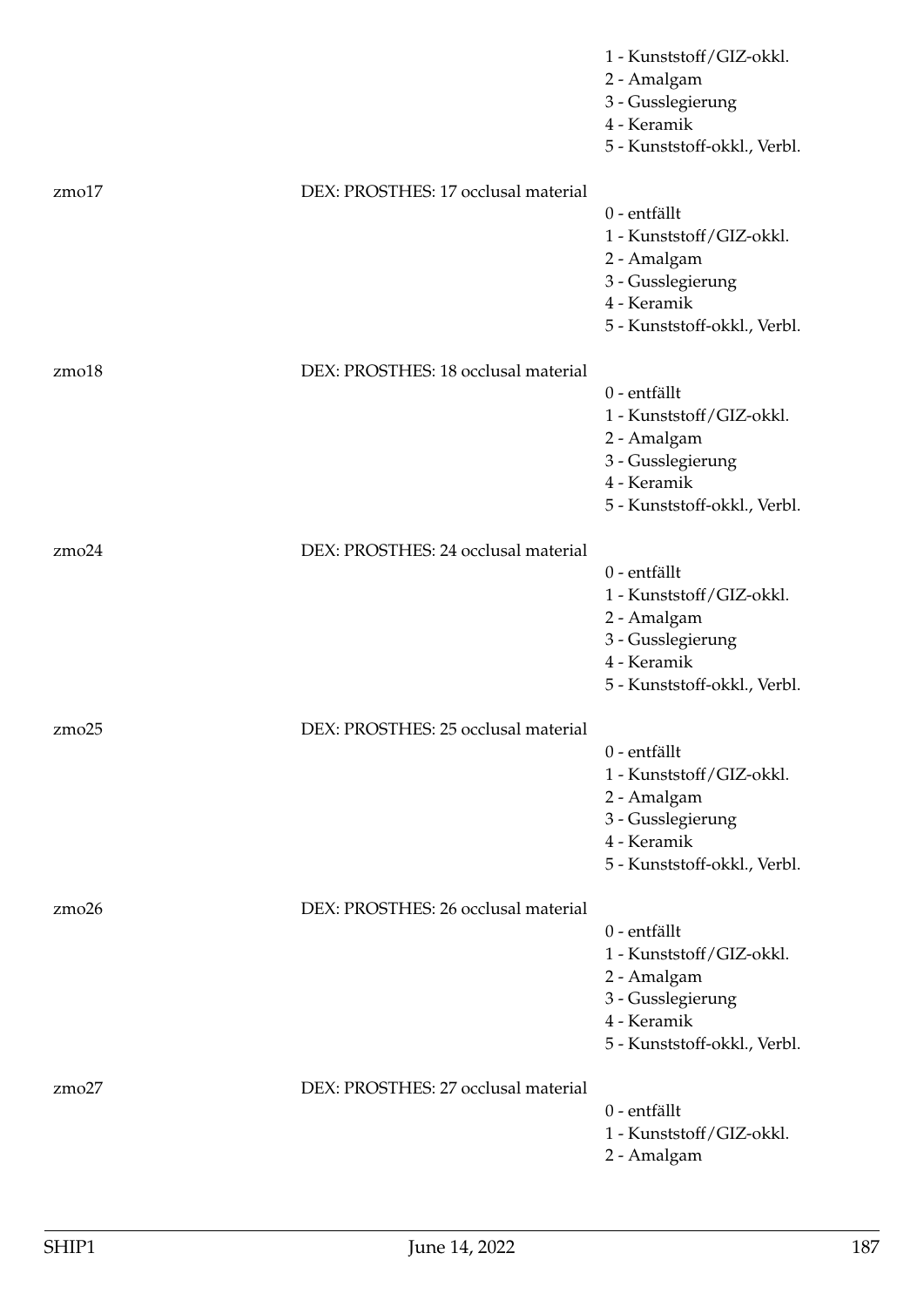|             |                                     | 1 - Kunststoff/GIZ-okkl.<br>2 - Amalgam<br>3 - Gusslegierung<br>4 - Keramik<br>5 - Kunststoff-okkl., Verbl.                 |
|-------------|-------------------------------------|-----------------------------------------------------------------------------------------------------------------------------|
| $z$ mo $17$ | DEX: PROSTHES: 17 occlusal material | 0 - entfällt<br>1 - Kunststoff/GIZ-okkl.<br>2 - Amalgam<br>3 - Gusslegierung<br>4 - Keramik<br>5 - Kunststoff-okkl., Verbl. |
| zmo18       | DEX: PROSTHES: 18 occlusal material | 0 - entfällt<br>1 - Kunststoff/GIZ-okkl.<br>2 - Amalgam<br>3 - Gusslegierung<br>4 - Keramik<br>5 - Kunststoff-okkl., Verbl. |
| $z$ mo $24$ | DEX: PROSTHES: 24 occlusal material | 0 - entfällt<br>1 - Kunststoff/GIZ-okkl.<br>2 - Amalgam<br>3 - Gusslegierung<br>4 - Keramik<br>5 - Kunststoff-okkl., Verbl. |
| zmo25       | DEX: PROSTHES: 25 occlusal material | 0 - entfällt<br>1 - Kunststoff/GIZ-okkl.<br>2 - Amalgam<br>3 - Gusslegierung<br>4 - Keramik<br>5 - Kunststoff-okkl., Verbl. |
| $z$ mo $26$ | DEX: PROSTHES: 26 occlusal material | 0 - entfällt<br>1 - Kunststoff/GIZ-okkl.<br>2 - Amalgam<br>3 - Gusslegierung<br>4 - Keramik<br>5 - Kunststoff-okkl., Verbl. |
| zmo27       | DEX: PROSTHES: 27 occlusal material | 0 - entfällt<br>1 - Kunststoff/GIZ-okkl.<br>2 - Amalgam                                                                     |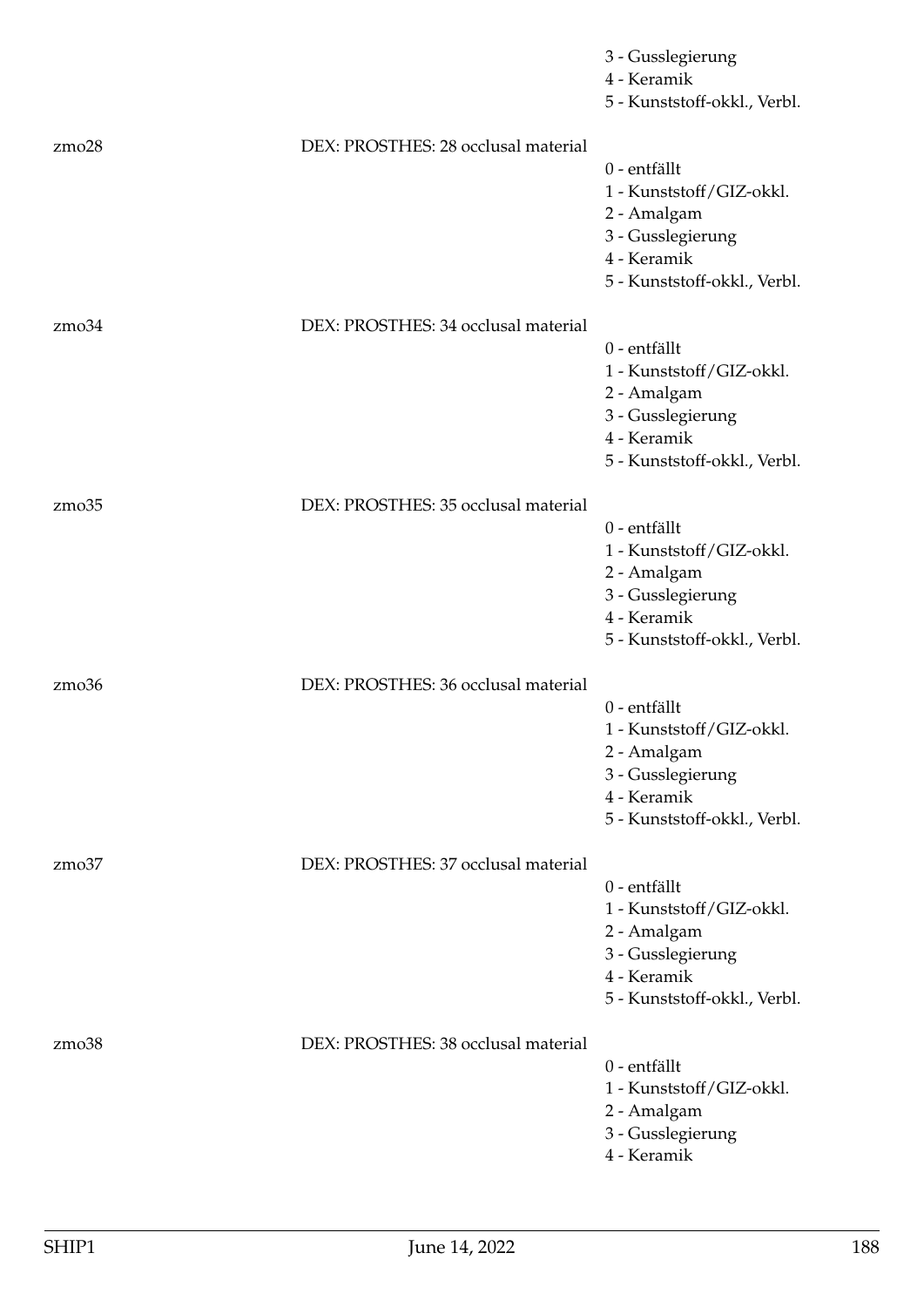|             |                                     | 3 - Gusslegierung<br>4 - Keramik<br>5 - Kunststoff-okkl., Verbl.                                                            |
|-------------|-------------------------------------|-----------------------------------------------------------------------------------------------------------------------------|
| $z$ mo $28$ | DEX: PROSTHES: 28 occlusal material | 0 - entfällt<br>1 - Kunststoff/GIZ-okkl.<br>2 - Amalgam<br>3 - Gusslegierung<br>4 - Keramik<br>5 - Kunststoff-okkl., Verbl. |
| $z$ mo $34$ | DEX: PROSTHES: 34 occlusal material | 0 - entfällt<br>1 - Kunststoff/GIZ-okkl.<br>2 - Amalgam<br>3 - Gusslegierung<br>4 - Keramik<br>5 - Kunststoff-okkl., Verbl. |
| zmo35       | DEX: PROSTHES: 35 occlusal material | 0 - entfällt<br>1 - Kunststoff/GIZ-okkl.<br>2 - Amalgam<br>3 - Gusslegierung<br>4 - Keramik<br>5 - Kunststoff-okkl., Verbl. |
| zmo36       | DEX: PROSTHES: 36 occlusal material | 0 - entfällt<br>1 - Kunststoff/GIZ-okkl.<br>2 - Amalgam<br>3 - Gusslegierung<br>4 - Keramik<br>5 - Kunststoff-okkl., Verbl. |
| zmo37       | DEX: PROSTHES: 37 occlusal material | 0 - entfällt<br>1 - Kunststoff/GIZ-okkl.<br>2 - Amalgam<br>3 - Gusslegierung<br>4 - Keramik<br>5 - Kunststoff-okkl., Verbl. |
| $z$ mo $38$ | DEX: PROSTHES: 38 occlusal material | 0 - entfällt<br>1 - Kunststoff/GIZ-okkl.<br>2 - Amalgam<br>3 - Gusslegierung<br>4 - Keramik                                 |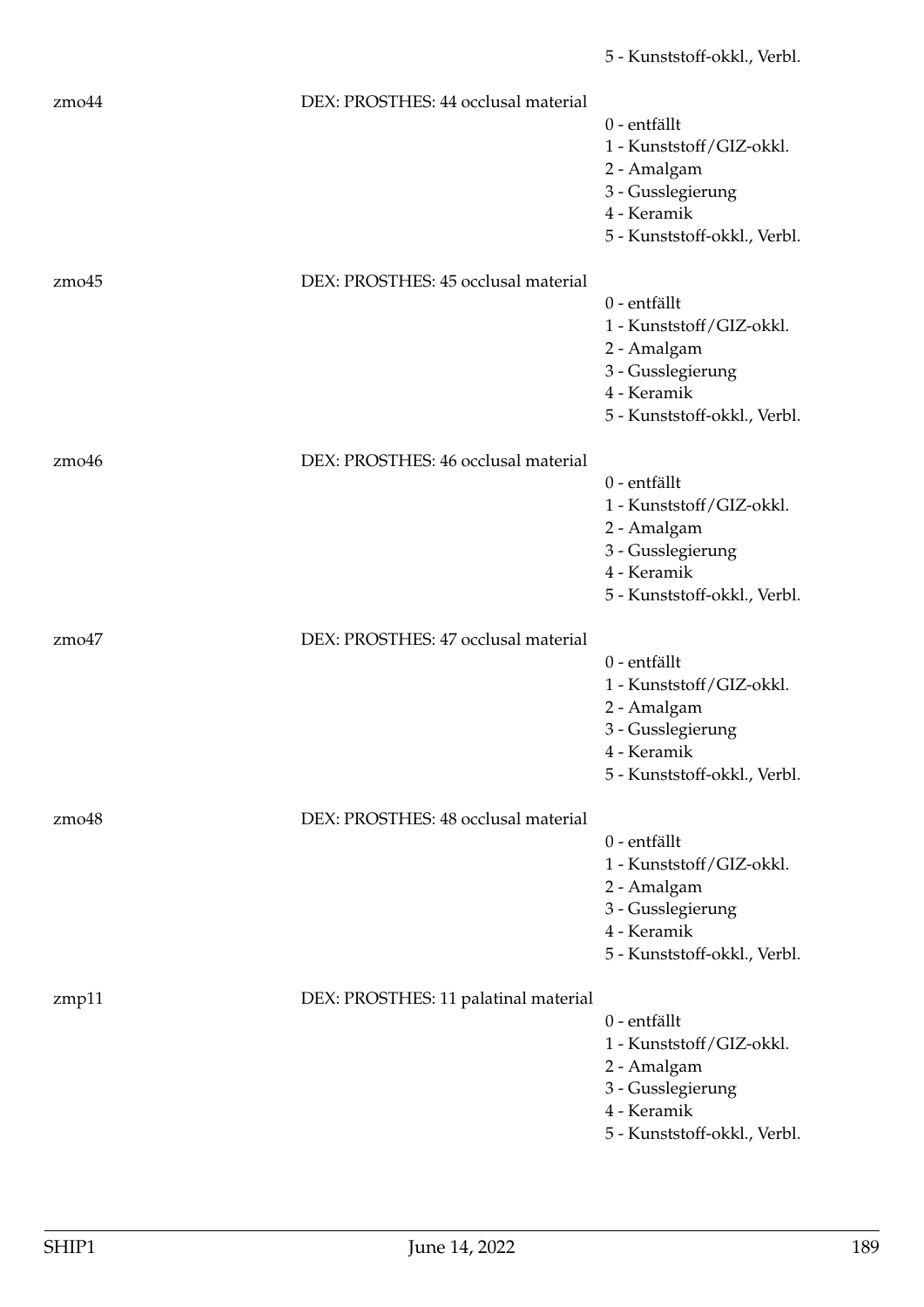| $z$ mo $44$        | DEX: PROSTHES: 44 occlusal material  | 0 - entfällt<br>1 - Kunststoff/GIZ-okkl.<br>2 - Amalgam<br>3 - Gusslegierung<br>4 - Keramik<br>5 - Kunststoff-okkl., Verbl. |
|--------------------|--------------------------------------|-----------------------------------------------------------------------------------------------------------------------------|
| $z$ mo $45$        | DEX: PROSTHES: 45 occlusal material  | 0 - entfällt<br>1 - Kunststoff/GIZ-okkl.<br>2 - Amalgam<br>3 - Gusslegierung<br>4 - Keramik<br>5 - Kunststoff-okkl., Verbl. |
| zm <sub>0</sub> 46 | DEX: PROSTHES: 46 occlusal material  | 0 - entfällt<br>1 - Kunststoff/GIZ-okkl.<br>2 - Amalgam<br>3 - Gusslegierung<br>4 - Keramik<br>5 - Kunststoff-okkl., Verbl. |
| zmo47              | DEX: PROSTHES: 47 occlusal material  | 0 - entfällt<br>1 - Kunststoff/GIZ-okkl.<br>2 - Amalgam<br>3 - Gusslegierung<br>4 - Keramik<br>5 - Kunststoff-okkl., Verbl. |
| $z$ mo $48$        | DEX: PROSTHES: 48 occlusal material  | 0 - entfällt<br>1 - Kunststoff/GIZ-okkl.<br>2 - Amalgam<br>3 - Gusslegierung<br>4 - Keramik<br>5 - Kunststoff-okkl., Verbl. |
| zmp11              | DEX: PROSTHES: 11 palatinal material | 0 - entfällt<br>1 - Kunststoff/GIZ-okkl.<br>2 - Amalgam<br>3 - Gusslegierung<br>4 - Keramik<br>5 - Kunststoff-okkl., Verbl. |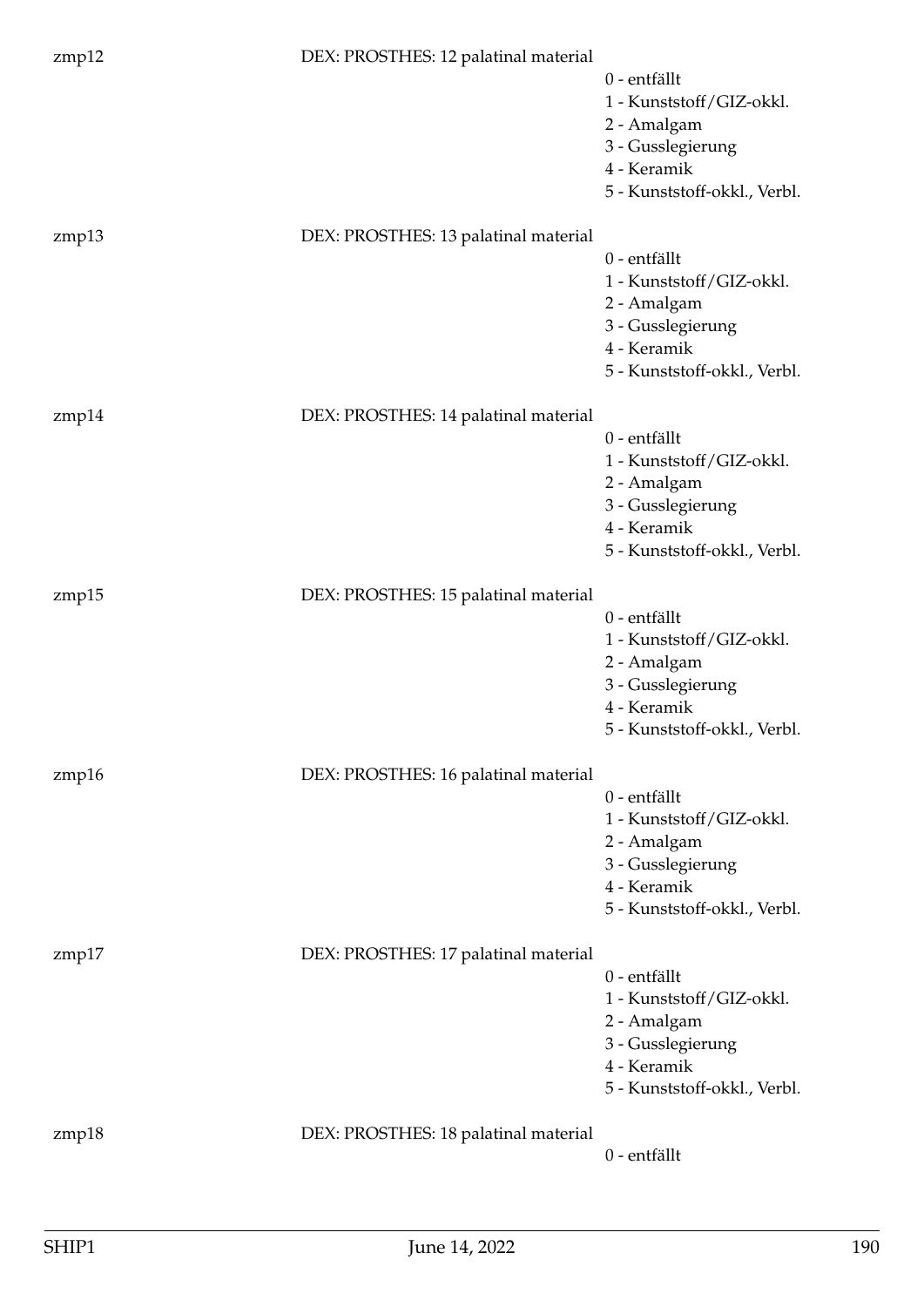| zmp12 | DEX: PROSTHES: 12 palatinal material | 0 - entfällt<br>1 - Kunststoff/GIZ-okkl.<br>2 - Amalgam<br>3 - Gusslegierung<br>4 - Keramik<br>5 - Kunststoff-okkl., Verbl.         |
|-------|--------------------------------------|-------------------------------------------------------------------------------------------------------------------------------------|
| zmp13 | DEX: PROSTHES: 13 palatinal material | 0 - entfällt<br>1 - Kunststoff/GIZ-okkl.<br>2 - Amalgam<br>3 - Gusslegierung<br>4 - Keramik<br>5 - Kunststoff-okkl., Verbl.         |
| zmp14 | DEX: PROSTHES: 14 palatinal material | 0 - entfällt<br>1 - Kunststoff/GIZ-okkl.<br>2 - Amalgam<br>3 - Gusslegierung<br>4 - Keramik<br>5 - Kunststoff-okkl., Verbl.         |
| zmp15 | DEX: PROSTHES: 15 palatinal material | 0 - entfällt<br>1 - Kunststoff/GIZ-okkl.<br>2 - Amalgam<br>3 - Gusslegierung<br>4 - Keramik<br>5 - Kunststoff-okkl. <i>,</i> Verbl. |
| zmp16 | DEX: PROSTHES: 16 palatinal material | 0 - entfällt<br>1 - Kunststoff/GIZ-okkl.<br>2 - Amalgam<br>3 - Gusslegierung<br>4 - Keramik<br>5 - Kunststoff-okkl., Verbl.         |
| zmp17 | DEX: PROSTHES: 17 palatinal material | 0 - entfällt<br>1 - Kunststoff/GIZ-okkl.<br>2 - Amalgam<br>3 - Gusslegierung<br>4 - Keramik<br>5 - Kunststoff-okkl., Verbl.         |
| zmp18 | DEX: PROSTHES: 18 palatinal material | 0 - entfällt                                                                                                                        |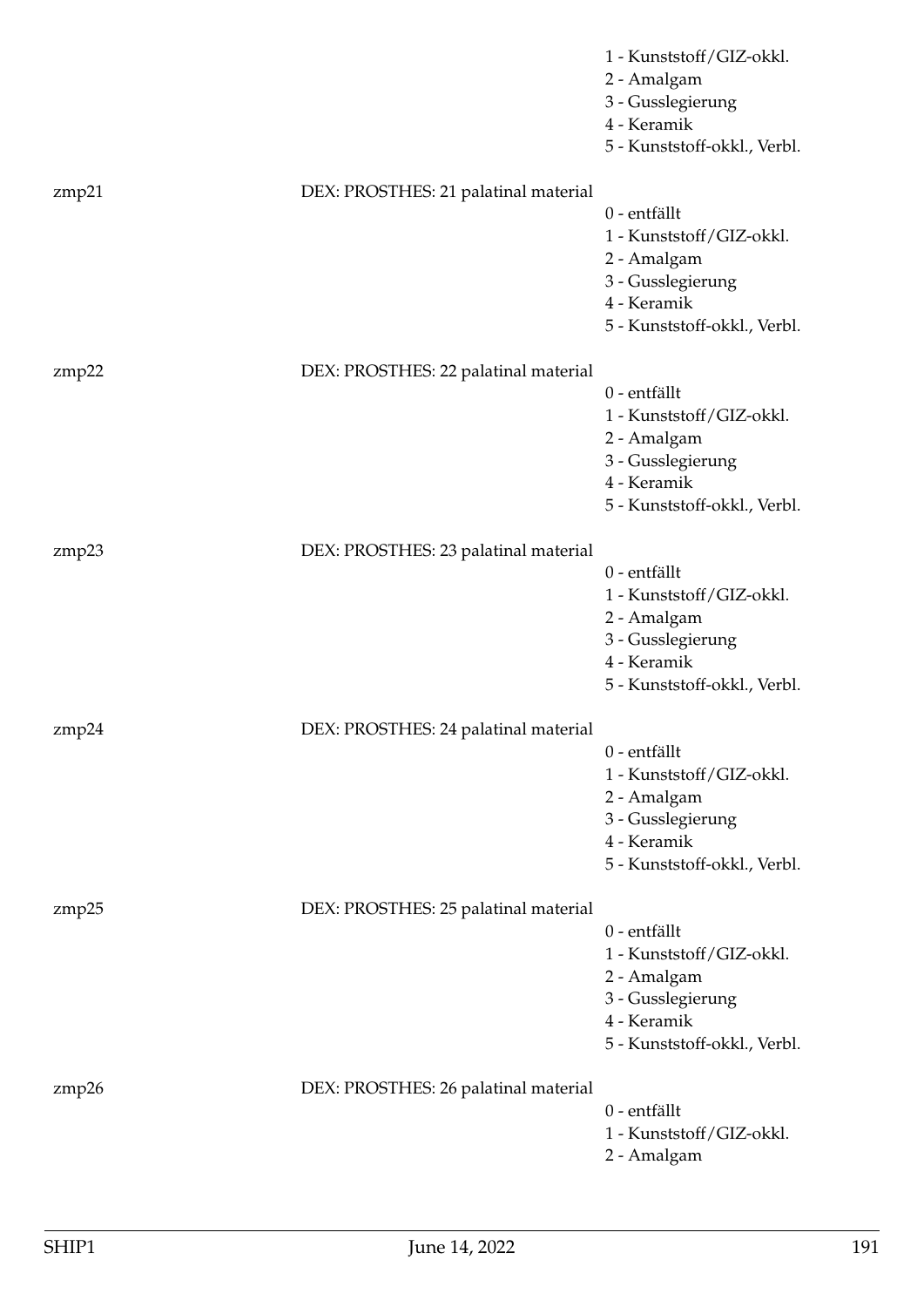|       |                                      | 1 - Kunststoff/GIZ-okkl.<br>2 - Amalgam<br>3 - Gusslegierung<br>4 - Keramik<br>5 - Kunststoff-okkl., Verbl.                 |
|-------|--------------------------------------|-----------------------------------------------------------------------------------------------------------------------------|
| zmp21 | DEX: PROSTHES: 21 palatinal material | 0 - entfällt<br>1 - Kunststoff/GIZ-okkl.<br>2 - Amalgam<br>3 - Gusslegierung<br>4 - Keramik<br>5 - Kunststoff-okkl., Verbl. |
| zmp22 | DEX: PROSTHES: 22 palatinal material | 0 - entfällt<br>1 - Kunststoff/GIZ-okkl.<br>2 - Amalgam<br>3 - Gusslegierung<br>4 - Keramik<br>5 - Kunststoff-okkl., Verbl. |
| zmp23 | DEX: PROSTHES: 23 palatinal material | 0 - entfällt<br>1 - Kunststoff/GIZ-okkl.<br>2 - Amalgam<br>3 - Gusslegierung<br>4 - Keramik<br>5 - Kunststoff-okkl., Verbl. |
| zmp24 | DEX: PROSTHES: 24 palatinal material | 0 - entfällt<br>1 - Kunststoff/GIZ-okkl.<br>2 - Amalgam<br>3 - Gusslegierung<br>4 - Keramik<br>5 - Kunststoff-okkl., Verbl. |
| zmp25 | DEX: PROSTHES: 25 palatinal material | 0 - entfällt<br>1 - Kunststoff/GIZ-okkl.<br>2 - Amalgam<br>3 - Gusslegierung<br>4 - Keramik<br>5 - Kunststoff-okkl., Verbl. |
| zmp26 | DEX: PROSTHES: 26 palatinal material | 0 - entfällt<br>1 - Kunststoff/GIZ-okkl.<br>2 - Amalgam                                                                     |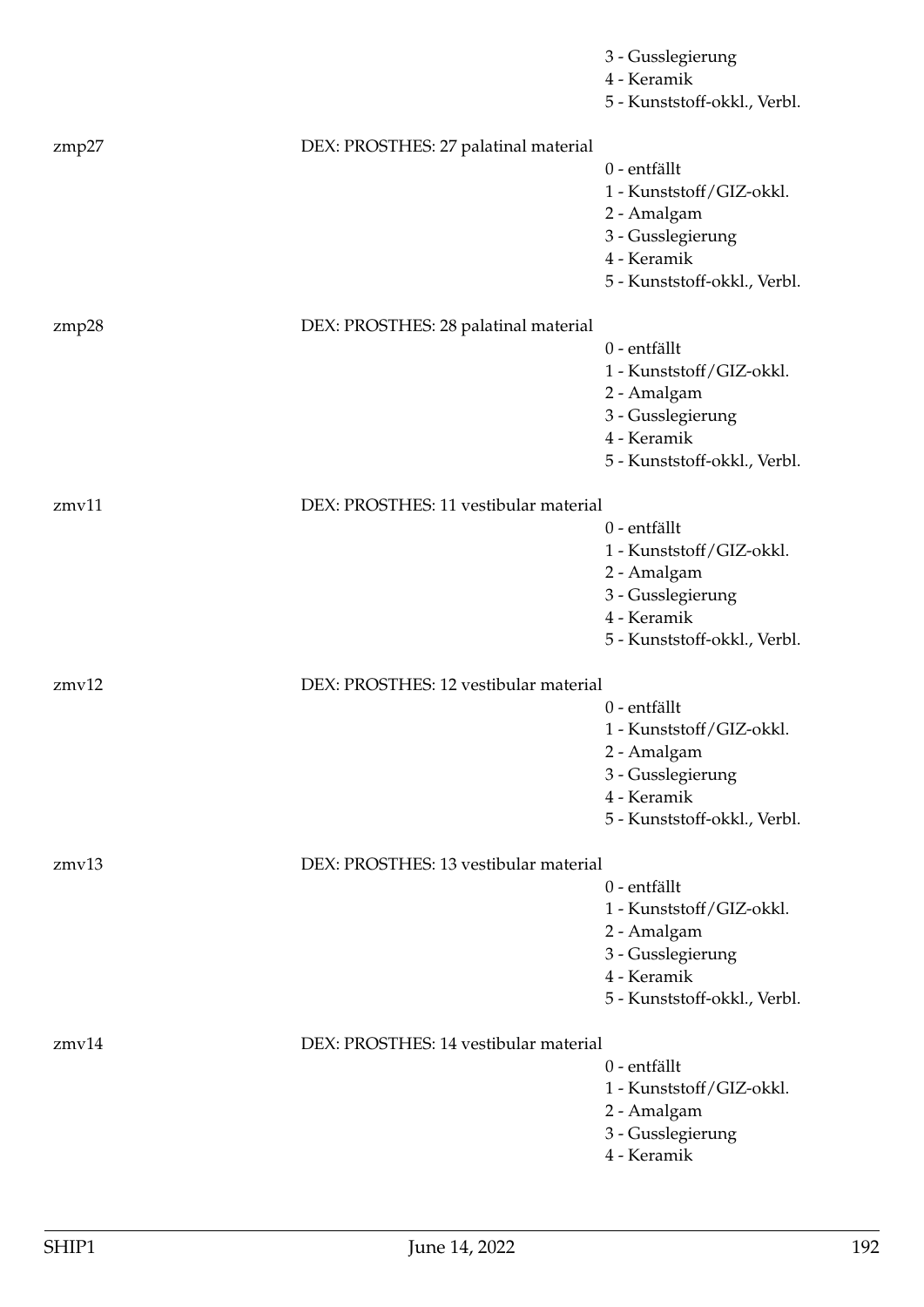|       |                                       | 3 - Gusslegierung<br>4 - Keramik<br>5 - Kunststoff-okkl., Verbl.                                                            |
|-------|---------------------------------------|-----------------------------------------------------------------------------------------------------------------------------|
| zmp27 | DEX: PROSTHES: 27 palatinal material  | 0 - entfällt<br>1 - Kunststoff/GIZ-okkl.<br>2 - Amalgam<br>3 - Gusslegierung<br>4 - Keramik<br>5 - Kunststoff-okkl., Verbl. |
| zmp28 | DEX: PROSTHES: 28 palatinal material  |                                                                                                                             |
|       |                                       | 0 - entfällt<br>1 - Kunststoff/GIZ-okkl.<br>2 - Amalgam<br>3 - Gusslegierung<br>4 - Keramik<br>5 - Kunststoff-okkl., Verbl. |
| zmv11 | DEX: PROSTHES: 11 vestibular material |                                                                                                                             |
|       |                                       | 0 - entfällt<br>1 - Kunststoff/GIZ-okkl.<br>2 - Amalgam<br>3 - Gusslegierung<br>4 - Keramik<br>5 - Kunststoff-okkl., Verbl. |
| zmv12 | DEX: PROSTHES: 12 vestibular material |                                                                                                                             |
|       |                                       | 0 - entfällt<br>1 - Kunststoff/GIZ-okkl.<br>2 - Amalgam<br>3 - Gusslegierung<br>4 - Keramik<br>5 - Kunststoff-okkl., Verbl. |
| zmv13 | DEX: PROSTHES: 13 vestibular material |                                                                                                                             |
|       |                                       | 0 - entfällt<br>1 - Kunststoff/GIZ-okkl.<br>2 - Amalgam<br>3 - Gusslegierung<br>4 - Keramik<br>5 - Kunststoff-okkl., Verbl. |
| zmv14 | DEX: PROSTHES: 14 vestibular material |                                                                                                                             |
|       |                                       | 0 - entfällt<br>1 - Kunststoff/GIZ-okkl.<br>2 - Amalgam<br>3 - Gusslegierung<br>4 - Keramik                                 |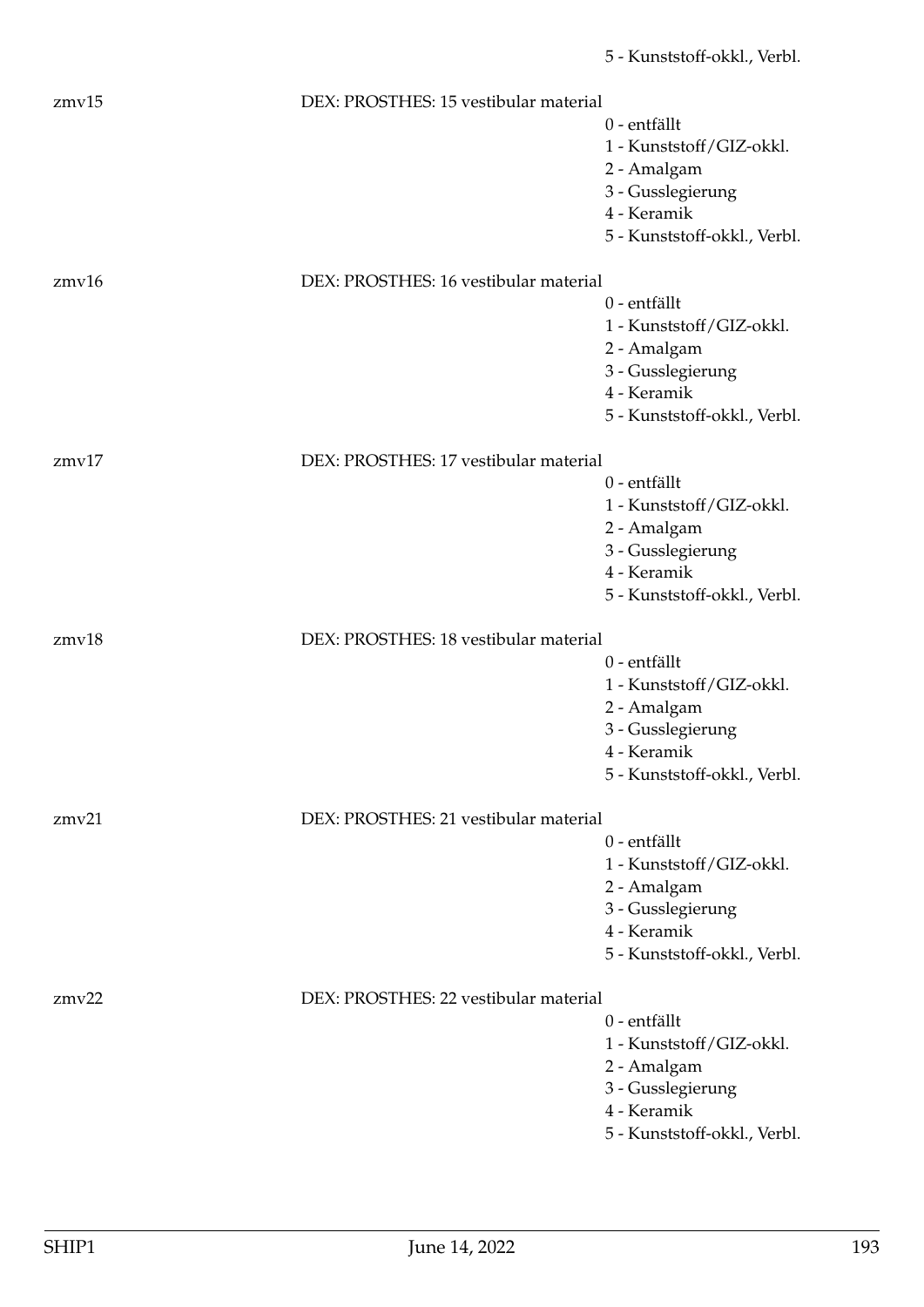| zmv15 | DEX: PROSTHES: 15 vestibular material |                              |
|-------|---------------------------------------|------------------------------|
|       |                                       | 0 - entfällt                 |
|       |                                       | 1 - Kunststoff/GIZ-okkl.     |
|       |                                       | 2 - Amalgam                  |
|       |                                       | 3 - Gusslegierung            |
|       |                                       | 4 - Keramik                  |
|       |                                       | 5 - Kunststoff-okkl., Verbl. |
| zmv16 | DEX: PROSTHES: 16 vestibular material |                              |
|       |                                       | 0 - entfällt                 |
|       |                                       | 1 - Kunststoff/GIZ-okkl.     |
|       |                                       | 2 - Amalgam                  |
|       |                                       | 3 - Gusslegierung            |
|       |                                       | 4 - Keramik                  |
|       |                                       | 5 - Kunststoff-okkl., Verbl. |
| zmv17 | DEX: PROSTHES: 17 vestibular material |                              |
|       |                                       | 0 - entfällt                 |
|       |                                       | 1 - Kunststoff/GIZ-okkl.     |
|       |                                       | 2 - Amalgam                  |
|       |                                       | 3 - Gusslegierung            |
|       |                                       | 4 - Keramik                  |
|       |                                       | 5 - Kunststoff-okkl., Verbl. |
| zmv18 | DEX: PROSTHES: 18 vestibular material |                              |
|       |                                       | 0 - entfällt                 |
|       |                                       | 1 - Kunststoff/GIZ-okkl.     |
|       |                                       | 2 - Amalgam                  |
|       |                                       | 3 - Gusslegierung            |
|       |                                       | 4 - Keramik                  |
|       |                                       | 5 - Kunststoff-okkl., Verbl. |
| zmv21 | DEX: PROSTHES: 21 vestibular material |                              |
|       |                                       | 0 - entfällt                 |
|       |                                       | 1 - Kunststoff/GIZ-okkl.     |
|       |                                       | 2 - Amalgam                  |
|       |                                       | 3 - Gusslegierung            |
|       |                                       | 4 - Keramik                  |
|       |                                       | 5 - Kunststoff-okkl., Verbl. |
| zmv22 | DEX: PROSTHES: 22 vestibular material |                              |
|       |                                       | 0 - entfällt                 |
|       |                                       | 1 - Kunststoff/GIZ-okkl.     |
|       |                                       | 2 - Amalgam                  |
|       |                                       | 3 - Gusslegierung            |
|       |                                       | 4 - Keramik                  |
|       |                                       | 5 - Kunststoff-okkl., Verbl. |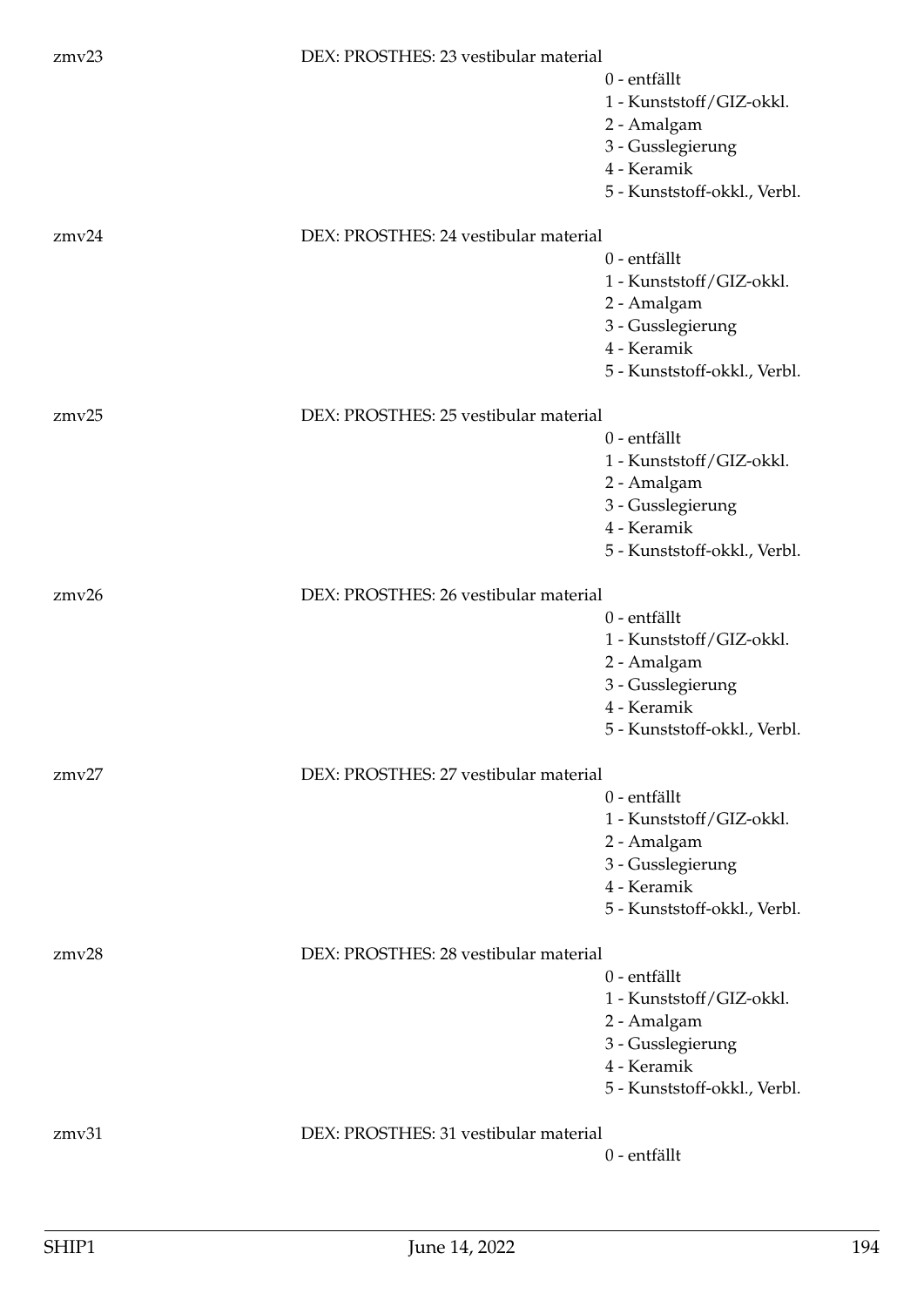| zmv23 | DEX: PROSTHES: 23 vestibular material |                              |
|-------|---------------------------------------|------------------------------|
|       |                                       | 0 - entfällt                 |
|       |                                       | 1 - Kunststoff/GIZ-okkl.     |
|       |                                       | 2 - Amalgam                  |
|       |                                       | 3 - Gusslegierung            |
|       |                                       | 4 - Keramik                  |
|       |                                       | 5 - Kunststoff-okkl., Verbl. |
| zmv24 | DEX: PROSTHES: 24 vestibular material |                              |
|       |                                       | 0 - entfällt                 |
|       |                                       | 1 - Kunststoff/GIZ-okkl.     |
|       |                                       | 2 - Amalgam                  |
|       |                                       | 3 - Gusslegierung            |
|       |                                       | 4 - Keramik                  |
|       |                                       | 5 - Kunststoff-okkl., Verbl. |
| zmv25 | DEX: PROSTHES: 25 vestibular material |                              |
|       |                                       | 0 - entfällt                 |
|       |                                       | 1 - Kunststoff/GIZ-okkl.     |
|       |                                       | 2 - Amalgam                  |
|       |                                       | 3 - Gusslegierung            |
|       |                                       | 4 - Keramik                  |
|       |                                       | 5 - Kunststoff-okkl., Verbl. |
| zmv26 | DEX: PROSTHES: 26 vestibular material |                              |
|       |                                       | 0 - entfällt                 |
|       |                                       | 1 - Kunststoff/GIZ-okkl.     |
|       |                                       | 2 - Amalgam                  |
|       |                                       | 3 - Gusslegierung            |
|       |                                       | 4 - Keramik                  |
|       |                                       | 5 - Kunststoff-okkl., Verbl. |
| zmv27 | DEX: PROSTHES: 27 vestibular material |                              |
|       |                                       | 0 - entfällt                 |
|       |                                       | 1 - Kunststoff/GIZ-okkl.     |
|       |                                       | 2 - Amalgam                  |
|       |                                       | 3 - Gusslegierung            |
|       |                                       | 4 - Keramik                  |
|       |                                       | 5 - Kunststoff-okkl., Verbl. |
| zmv28 | DEX: PROSTHES: 28 vestibular material |                              |
|       |                                       | 0 - entfällt                 |
|       |                                       | 1 - Kunststoff/GIZ-okkl.     |
|       |                                       | 2 - Amalgam                  |
|       |                                       | 3 - Gusslegierung            |
|       |                                       | 4 - Keramik                  |
|       |                                       | 5 - Kunststoff-okkl., Verbl. |
| zmv31 | DEX: PROSTHES: 31 vestibular material |                              |
|       |                                       | 0 - entfällt                 |
|       |                                       |                              |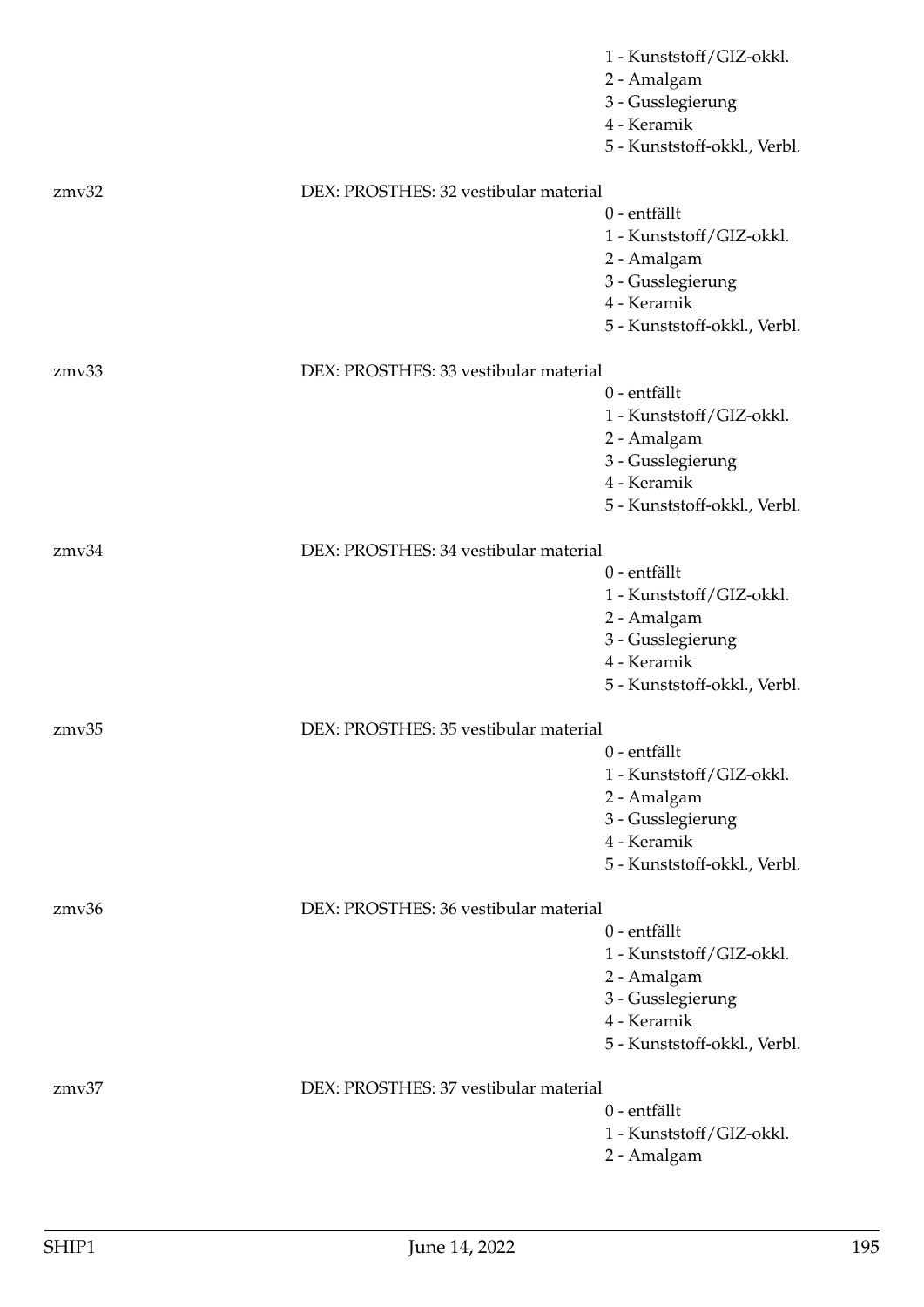|       |                                       | 1 - Kunststoff/GIZ-okkl.     |
|-------|---------------------------------------|------------------------------|
|       |                                       | 2 - Amalgam                  |
|       |                                       | 3 - Gusslegierung            |
|       |                                       | 4 - Keramik                  |
|       |                                       | 5 - Kunststoff-okkl., Verbl. |
| zmv32 | DEX: PROSTHES: 32 vestibular material |                              |
|       |                                       | 0 - entfällt                 |
|       |                                       | 1 - Kunststoff/GIZ-okkl.     |
|       |                                       | 2 - Amalgam                  |
|       |                                       | 3 - Gusslegierung            |
|       |                                       | 4 - Keramik                  |
|       |                                       | 5 - Kunststoff-okkl., Verbl. |
| zmv33 | DEX: PROSTHES: 33 vestibular material |                              |
|       |                                       | 0 - entfällt                 |
|       |                                       | 1 - Kunststoff/GIZ-okkl.     |
|       |                                       | 2 - Amalgam                  |
|       |                                       | 3 - Gusslegierung            |
|       |                                       | 4 - Keramik                  |
|       |                                       | 5 - Kunststoff-okkl., Verbl. |
| zmv34 | DEX: PROSTHES: 34 vestibular material |                              |
|       |                                       | 0 - entfällt                 |
|       |                                       | 1 - Kunststoff/GIZ-okkl.     |
|       |                                       | 2 - Amalgam                  |
|       |                                       | 3 - Gusslegierung            |
|       |                                       | 4 - Keramik                  |
|       |                                       | 5 - Kunststoff-okkl., Verbl. |
| zmv35 | DEX: PROSTHES: 35 vestibular material |                              |
|       |                                       | 0 - entfällt                 |
|       |                                       | 1 - Kunststoff/GIZ-okkl.     |
|       |                                       | 2 - Amalgam                  |
|       |                                       | 3 - Gusslegierung            |
|       |                                       | 4 - Keramik                  |
|       |                                       | 5 - Kunststoff-okkl., Verbl. |
| zmv36 | DEX: PROSTHES: 36 vestibular material |                              |
|       |                                       | 0 - entfällt                 |
|       |                                       | 1 - Kunststoff/GIZ-okkl.     |
|       |                                       | 2 - Amalgam                  |
|       |                                       | 3 - Gusslegierung            |
|       |                                       | 4 - Keramik                  |
|       |                                       | 5 - Kunststoff-okkl., Verbl. |
| zmv37 | DEX: PROSTHES: 37 vestibular material |                              |
|       |                                       | 0 - entfällt                 |
|       |                                       | 1 - Kunststoff/GIZ-okkl.     |
|       |                                       | 2 - Amalgam                  |
|       |                                       |                              |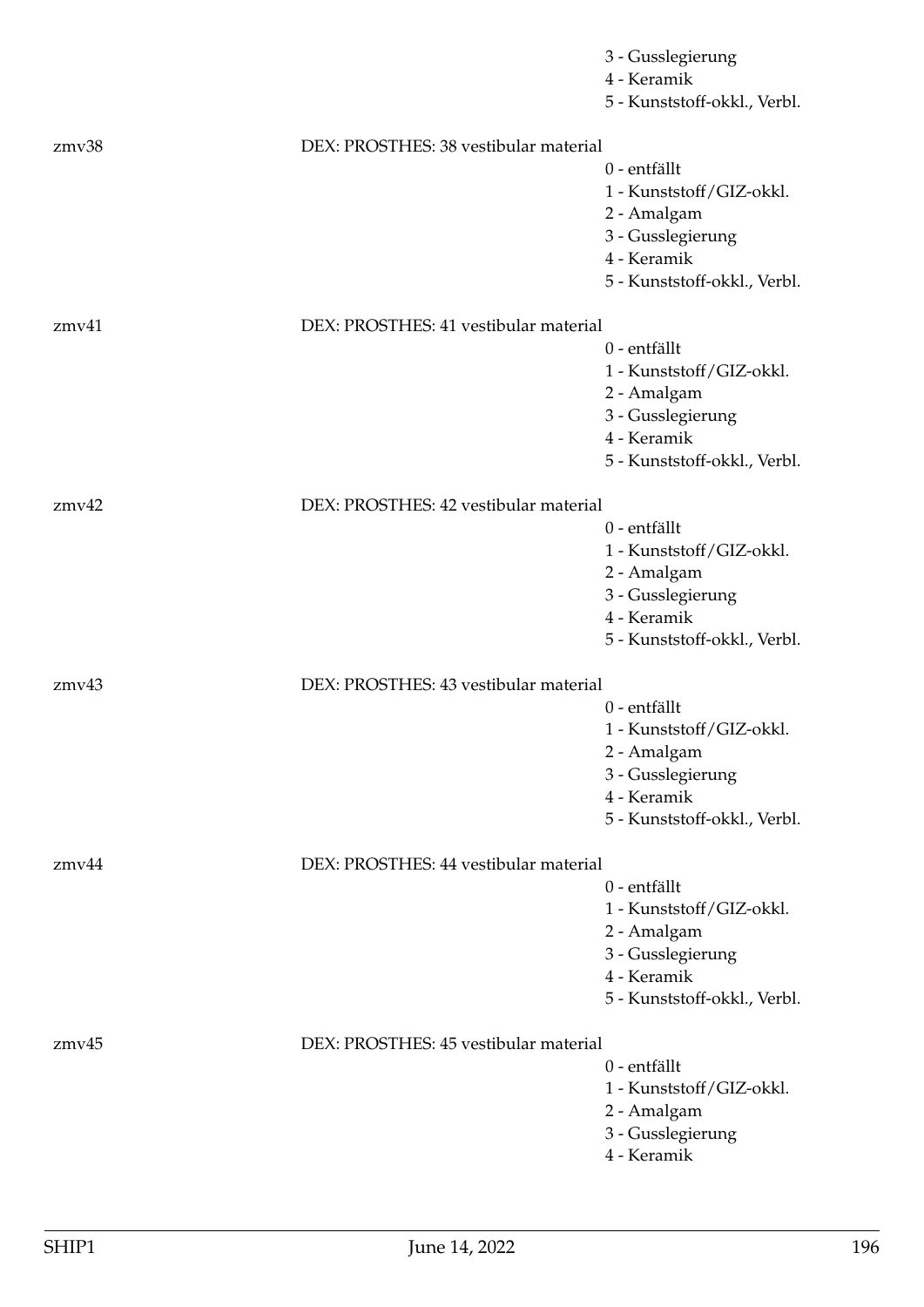|             |                                       | 3 - Gusslegierung<br>4 - Keramik<br>5 - Kunststoff-okkl., Verbl. |
|-------------|---------------------------------------|------------------------------------------------------------------|
| zmv38       | DEX: PROSTHES: 38 vestibular material |                                                                  |
|             |                                       | 0 - entfällt                                                     |
|             |                                       | 1 - Kunststoff/GIZ-okkl.                                         |
|             |                                       | 2 - Amalgam<br>3 - Gusslegierung                                 |
|             |                                       | 4 - Keramik                                                      |
|             |                                       | 5 - Kunststoff-okkl., Verbl.                                     |
| $z$ mv $41$ | DEX: PROSTHES: 41 vestibular material |                                                                  |
|             |                                       | 0 - entfällt                                                     |
|             |                                       | 1 - Kunststoff/GIZ-okkl.                                         |
|             |                                       | 2 - Amalgam<br>3 - Gusslegierung                                 |
|             |                                       | 4 - Keramik                                                      |
|             |                                       | 5 - Kunststoff-okkl., Verbl.                                     |
| zmv42       | DEX: PROSTHES: 42 vestibular material |                                                                  |
|             |                                       | 0 - entfällt                                                     |
|             |                                       | 1 - Kunststoff/GIZ-okkl.                                         |
|             |                                       | 2 - Amalgam                                                      |
|             |                                       | 3 - Gusslegierung<br>4 - Keramik                                 |
|             |                                       | 5 - Kunststoff-okkl., Verbl.                                     |
| zmv43       | DEX: PROSTHES: 43 vestibular material |                                                                  |
|             |                                       | 0 - entfällt                                                     |
|             |                                       | 1 - Kunststoff/GIZ-okkl.                                         |
|             |                                       | 2 - Amalgam                                                      |
|             |                                       | 3 - Gusslegierung<br>4 - Keramik                                 |
|             |                                       | 5 - Kunststoff-okkl., Verbl.                                     |
| zmv44       | DEX: PROSTHES: 44 vestibular material |                                                                  |
|             |                                       | 0 - entfällt                                                     |
|             |                                       | 1 - Kunststoff/GIZ-okkl.                                         |
|             |                                       | 2 - Amalgam                                                      |
|             |                                       | 3 - Gusslegierung                                                |
|             |                                       | 4 - Keramik                                                      |
|             |                                       | 5 - Kunststoff-okkl., Verbl.                                     |
| zmv45       | DEX: PROSTHES: 45 vestibular material | 0 - entfällt                                                     |
|             |                                       | 1 - Kunststoff/GIZ-okkl.                                         |
|             |                                       | 2 - Amalgam                                                      |
|             |                                       | 3 - Gusslegierung                                                |
|             |                                       | 4 - Keramik                                                      |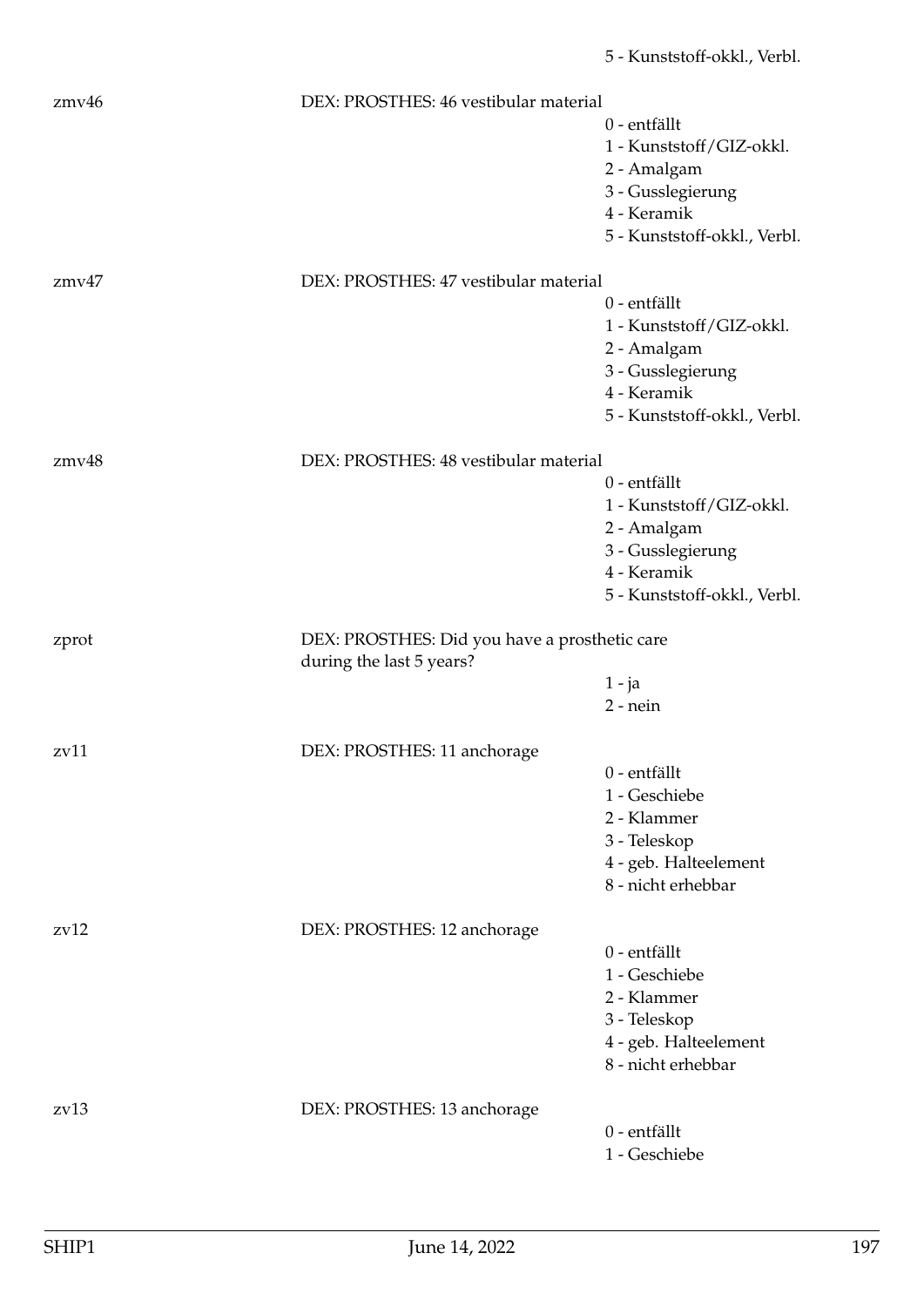| zmv46             | DEX: PROSTHES: 46 vestibular material                                     |                              |
|-------------------|---------------------------------------------------------------------------|------------------------------|
|                   |                                                                           | 0 - entfällt                 |
|                   |                                                                           | 1 - Kunststoff/GIZ-okkl.     |
|                   |                                                                           | 2 - Amalgam                  |
|                   |                                                                           | 3 - Gusslegierung            |
|                   |                                                                           | 4 - Keramik                  |
|                   |                                                                           | 5 - Kunststoff-okkl., Verbl. |
|                   |                                                                           |                              |
| zmv47             | DEX: PROSTHES: 47 vestibular material                                     |                              |
|                   |                                                                           | 0 - entfällt                 |
|                   |                                                                           | 1 - Kunststoff/GIZ-okkl.     |
|                   |                                                                           | 2 - Amalgam                  |
|                   |                                                                           | 3 - Gusslegierung            |
|                   |                                                                           | 4 - Keramik                  |
|                   |                                                                           | 5 - Kunststoff-okkl., Verbl. |
| zmv48             | DEX: PROSTHES: 48 vestibular material                                     |                              |
|                   |                                                                           | 0 - entfällt                 |
|                   |                                                                           | 1 - Kunststoff/GIZ-okkl.     |
|                   |                                                                           | 2 - Amalgam                  |
|                   |                                                                           | 3 - Gusslegierung            |
|                   |                                                                           | 4 - Keramik                  |
|                   |                                                                           | 5 - Kunststoff-okkl., Verbl. |
|                   |                                                                           |                              |
| zprot             | DEX: PROSTHES: Did you have a prosthetic care<br>during the last 5 years? |                              |
|                   |                                                                           | $1 - ja$                     |
|                   |                                                                           | $2$ - nein                   |
| z <sub>v</sub> 11 | DEX: PROSTHES: 11 anchorage                                               |                              |
|                   |                                                                           | 0 - entfällt                 |
|                   |                                                                           | 1 - Geschiebe                |
|                   |                                                                           | 2 - Klammer                  |
|                   |                                                                           | 3 - Teleskop                 |
|                   |                                                                           | 4 - geb. Halteelement        |
|                   |                                                                           | 8 - nicht erhebbar           |
|                   |                                                                           |                              |
| zv12              | DEX: PROSTHES: 12 anchorage                                               |                              |
|                   |                                                                           | 0 - entfällt                 |
|                   |                                                                           | 1 - Geschiebe                |
|                   |                                                                           | 2 - Klammer                  |
|                   |                                                                           | 3 - Teleskop                 |
|                   |                                                                           | 4 - geb. Halteelement        |
|                   |                                                                           | 8 - nicht erhebbar           |
| z <sub>v</sub> 13 | DEX: PROSTHES: 13 anchorage                                               |                              |
|                   |                                                                           | 0 - entfällt                 |
|                   |                                                                           | 1 - Geschiebe                |
|                   |                                                                           |                              |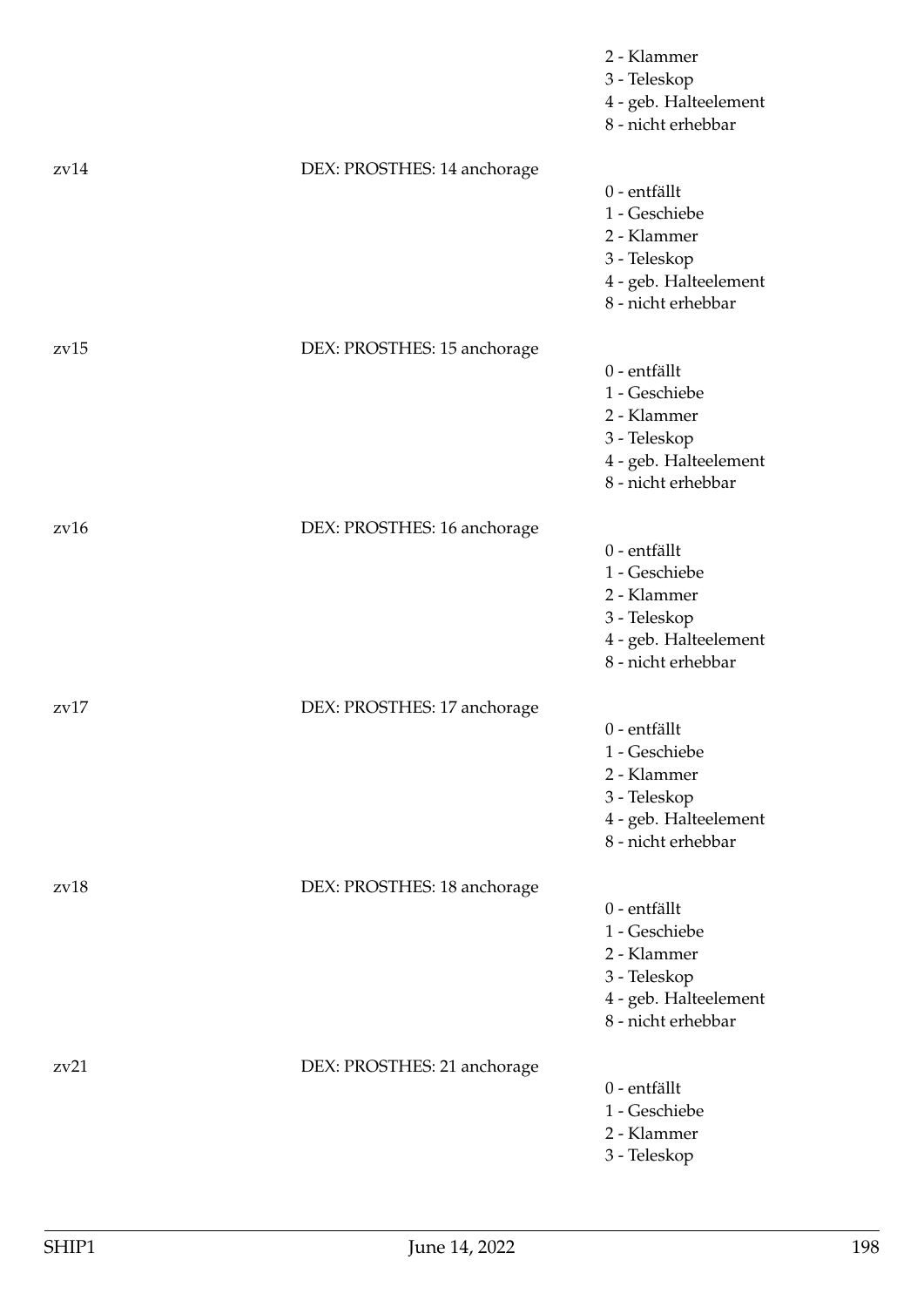|                   |                             | 2 - Klammer<br>3 - Teleskop<br>4 - geb. Halteelement<br>8 - nicht erhebbar                                  |
|-------------------|-----------------------------|-------------------------------------------------------------------------------------------------------------|
| z <sub>v</sub> 14 | DEX: PROSTHES: 14 anchorage | 0 - entfällt<br>1 - Geschiebe<br>2 - Klammer<br>3 - Teleskop<br>4 - geb. Halteelement<br>8 - nicht erhebbar |
| zv15              | DEX: PROSTHES: 15 anchorage | 0 - entfällt<br>1 - Geschiebe<br>2 - Klammer<br>3 - Teleskop<br>4 - geb. Halteelement<br>8 - nicht erhebbar |
| zv16              | DEX: PROSTHES: 16 anchorage | 0 - entfällt<br>1 - Geschiebe<br>2 - Klammer<br>3 - Teleskop<br>4 - geb. Halteelement<br>8 - nicht erhebbar |
| z <sub>V</sub> 17 | DEX: PROSTHES: 17 anchorage | 0 - entfällt<br>1 - Geschiebe<br>2 - Klammer<br>3 - Teleskop<br>4 - geb. Halteelement<br>8 - nicht erhebbar |
| zv18              | DEX: PROSTHES: 18 anchorage | 0 - entfällt<br>1 - Geschiebe<br>2 - Klammer<br>3 - Teleskop<br>4 - geb. Halteelement<br>8 - nicht erhebbar |
| zv21              | DEX: PROSTHES: 21 anchorage | 0 - entfällt<br>1 - Geschiebe<br>2 - Klammer<br>3 - Teleskop                                                |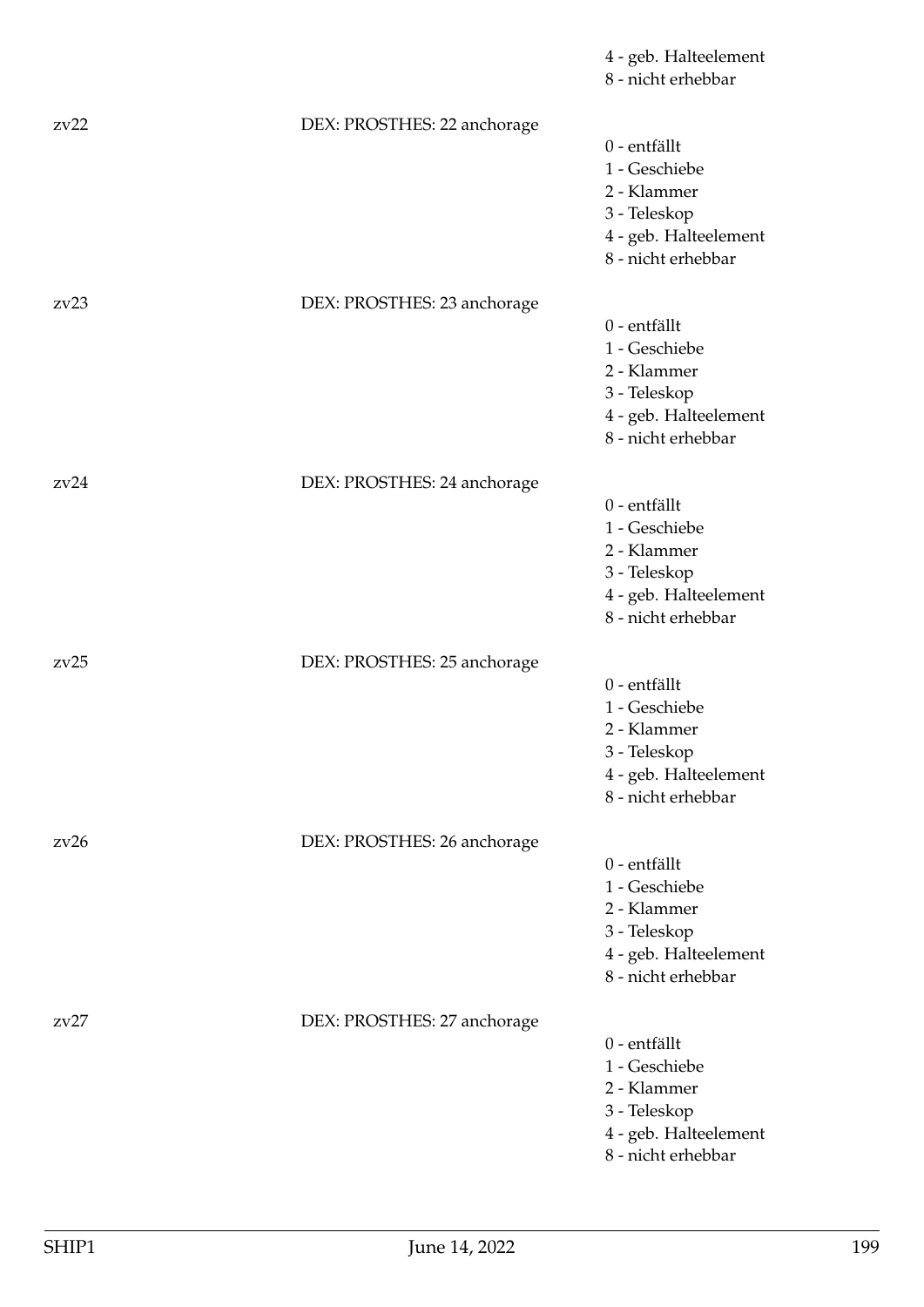|      |                             | 4 - geb. Halteelement<br>8 - nicht erhebbar                                                                 |
|------|-----------------------------|-------------------------------------------------------------------------------------------------------------|
| zv22 | DEX: PROSTHES: 22 anchorage | 0 - entfällt<br>1 - Geschiebe<br>2 - Klammer<br>3 - Teleskop<br>4 - geb. Halteelement<br>8 - nicht erhebbar |
| zv23 | DEX: PROSTHES: 23 anchorage | 0 - entfällt<br>1 - Geschiebe<br>2 - Klammer<br>3 - Teleskop<br>4 - geb. Halteelement<br>8 - nicht erhebbar |
| zv24 | DEX: PROSTHES: 24 anchorage | 0 - entfällt<br>1 - Geschiebe<br>2 - Klammer<br>3 - Teleskop<br>4 - geb. Halteelement<br>8 - nicht erhebbar |
| zv25 | DEX: PROSTHES: 25 anchorage | 0 - entfällt<br>1 - Geschiebe<br>2 - Klammer<br>3 - Teleskop<br>4 - geb. Halteelement<br>8 - nicht erhebbar |
| zv26 | DEX: PROSTHES: 26 anchorage | 0 - entfällt<br>1 - Geschiebe<br>2 - Klammer<br>3 - Teleskop<br>4 - geb. Halteelement<br>8 - nicht erhebbar |
| zv27 | DEX: PROSTHES: 27 anchorage | 0 - entfällt<br>1 - Geschiebe<br>2 - Klammer<br>3 - Teleskop<br>4 - geb. Halteelement<br>8 - nicht erhebbar |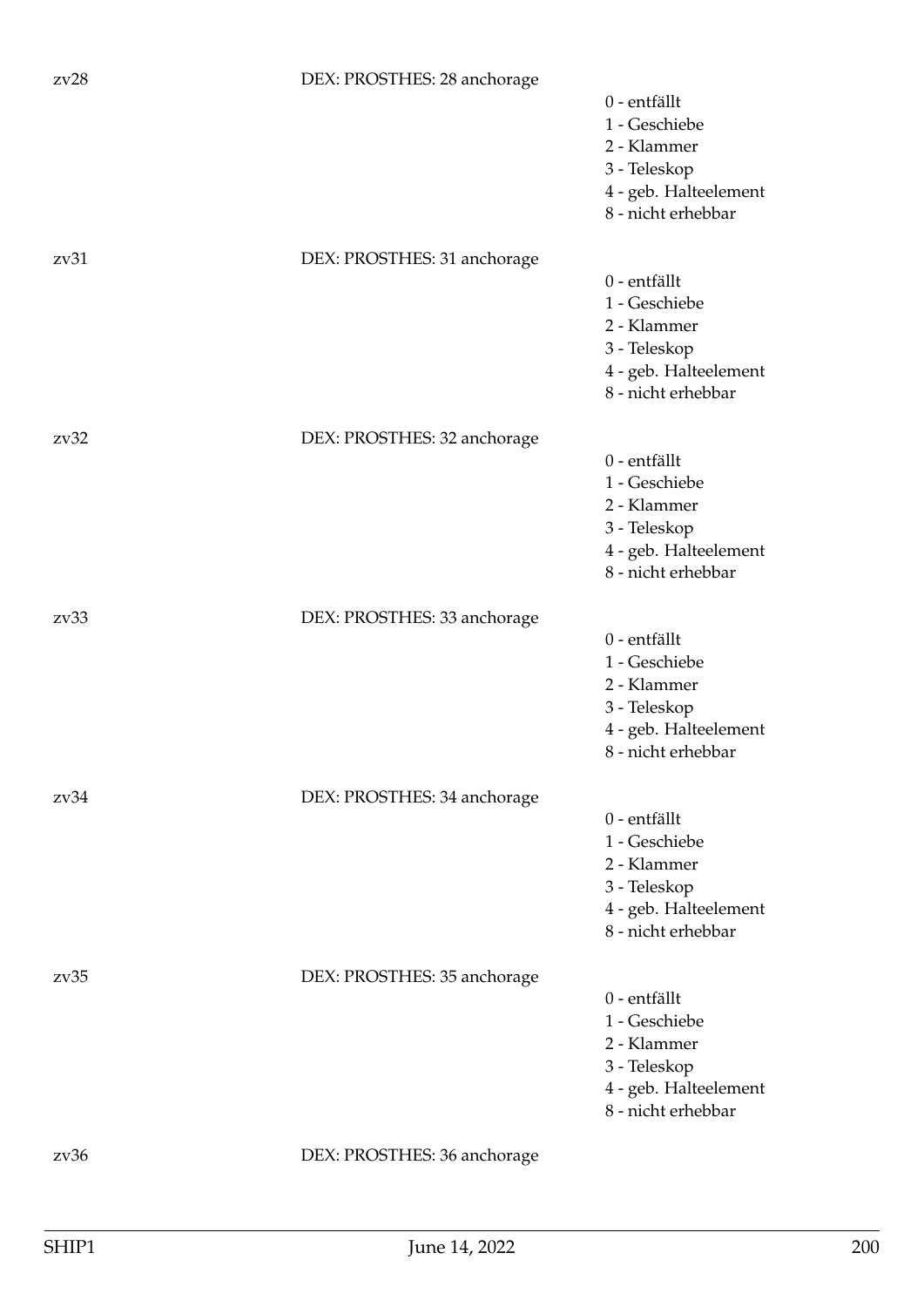| zv28 | DEX: PROSTHES: 28 anchorage | 0 - entfällt<br>1 - Geschiebe<br>2 - Klammer<br>3 - Teleskop<br>4 - geb. Halteelement<br>8 - nicht erhebbar |
|------|-----------------------------|-------------------------------------------------------------------------------------------------------------|
| zv31 | DEX: PROSTHES: 31 anchorage | 0 - entfällt<br>1 - Geschiebe<br>2 - Klammer<br>3 - Teleskop<br>4 - geb. Halteelement<br>8 - nicht erhebbar |
| zv32 | DEX: PROSTHES: 32 anchorage | 0 - entfällt<br>1 - Geschiebe<br>2 - Klammer<br>3 - Teleskop<br>4 - geb. Halteelement<br>8 - nicht erhebbar |
| zv33 | DEX: PROSTHES: 33 anchorage | 0 - entfällt<br>1 - Geschiebe<br>2 - Klammer<br>3 - Teleskop<br>4 - geb. Halteelement<br>8 - nicht erhebbar |
| zv34 | DEX: PROSTHES: 34 anchorage | 0 - entfällt<br>1 - Geschiebe<br>2 - Klammer<br>3 - Teleskop<br>4 - geb. Halteelement<br>8 - nicht erhebbar |
| zv35 | DEX: PROSTHES: 35 anchorage | 0 - entfällt<br>1 - Geschiebe<br>2 - Klammer<br>3 - Teleskop<br>4 - geb. Halteelement<br>8 - nicht erhebbar |
| zv36 | DEX: PROSTHES: 36 anchorage |                                                                                                             |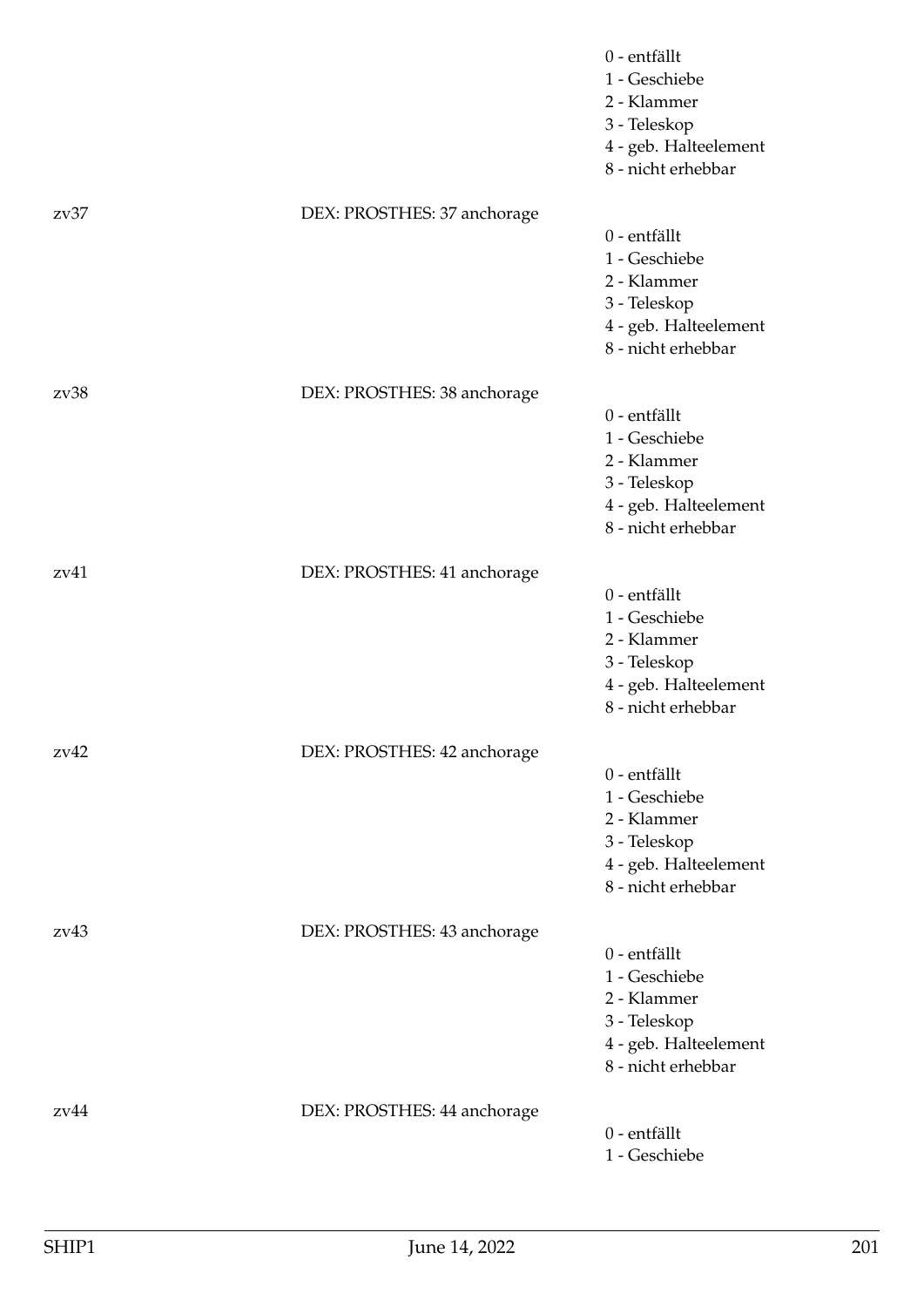|      |                             | 0 - entfällt<br>1 - Geschiebe<br>2 - Klammer<br>3 - Teleskop<br>4 - geb. Halteelement<br>8 - nicht erhebbar |
|------|-----------------------------|-------------------------------------------------------------------------------------------------------------|
| 2v37 | DEX: PROSTHES: 37 anchorage | 0 - entfällt<br>1 - Geschiebe<br>2 - Klammer<br>3 - Teleskop<br>4 - geb. Halteelement<br>8 - nicht erhebbar |
| zv38 | DEX: PROSTHES: 38 anchorage | 0 - entfällt<br>1 - Geschiebe<br>2 - Klammer<br>3 - Teleskop<br>4 - geb. Halteelement<br>8 - nicht erhebbar |
| zv41 | DEX: PROSTHES: 41 anchorage | 0 - entfällt<br>1 - Geschiebe<br>2 - Klammer<br>3 - Teleskop<br>4 - geb. Halteelement<br>8 - nicht erhebbar |
| zv42 | DEX: PROSTHES: 42 anchorage | 0 - entfällt<br>1 - Geschiebe<br>2 - Klammer<br>3 - Teleskop<br>4 - geb. Halteelement<br>8 - nicht erhebbar |
| zv43 | DEX: PROSTHES: 43 anchorage | 0 - entfällt<br>1 - Geschiebe<br>2 - Klammer<br>3 - Teleskop<br>4 - geb. Halteelement<br>8 - nicht erhebbar |
| zv44 | DEX: PROSTHES: 44 anchorage | 0 - entfällt<br>1 - Geschiebe                                                                               |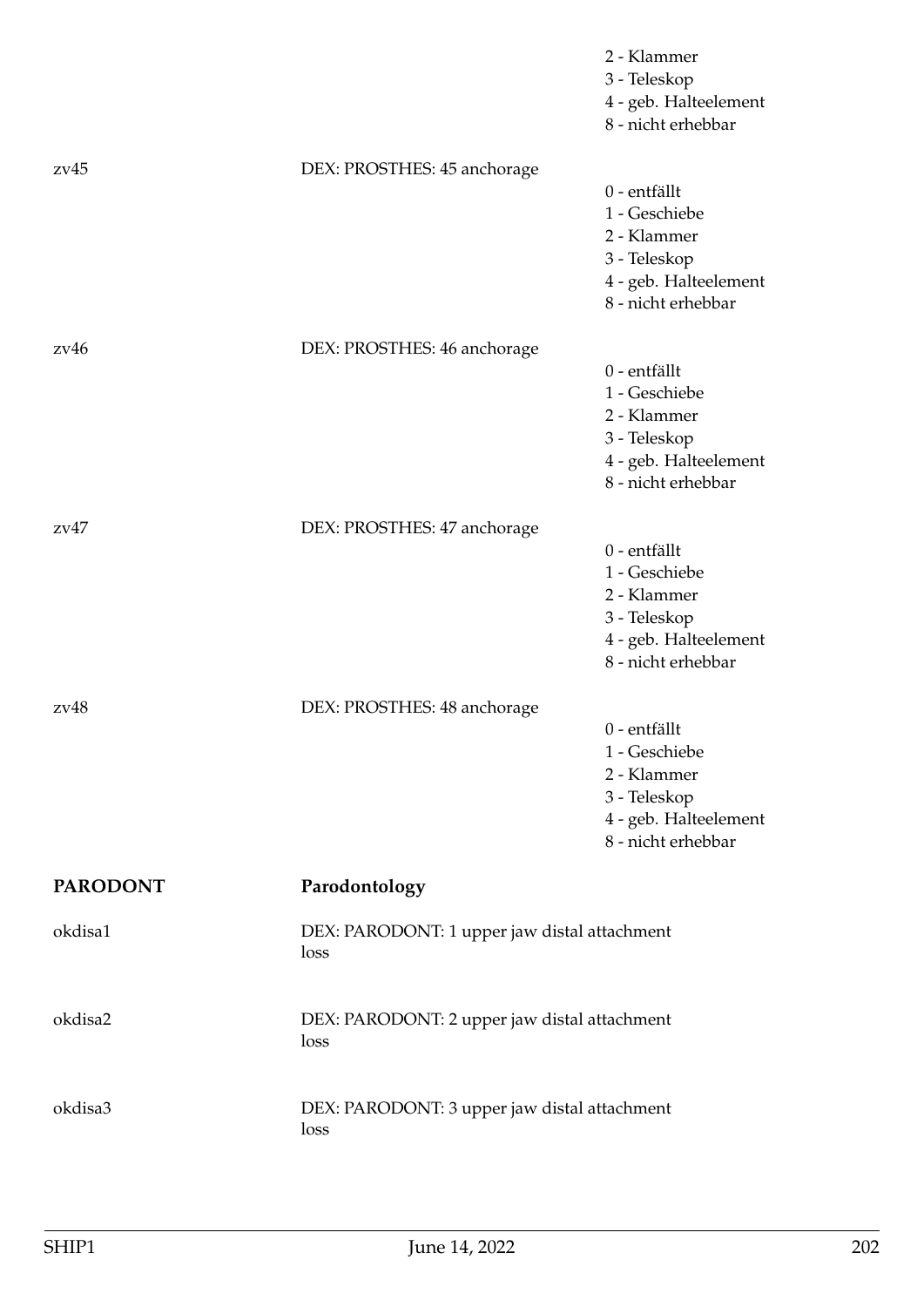|                 |                                                      | 2 - Klammer<br>3 - Teleskop<br>4 - geb. Halteelement<br>8 - nicht erhebbar                                  |
|-----------------|------------------------------------------------------|-------------------------------------------------------------------------------------------------------------|
| zv45            | DEX: PROSTHES: 45 anchorage                          | 0 - entfällt<br>1 - Geschiebe<br>2 - Klammer<br>3 - Teleskop<br>4 - geb. Halteelement<br>8 - nicht erhebbar |
| 2v46            | DEX: PROSTHES: 46 anchorage                          | 0 - entfällt<br>1 - Geschiebe<br>2 - Klammer<br>3 - Teleskop<br>4 - geb. Halteelement<br>8 - nicht erhebbar |
| zv47            | DEX: PROSTHES: 47 anchorage                          | 0 - entfällt<br>1 - Geschiebe<br>2 - Klammer<br>3 - Teleskop<br>4 - geb. Halteelement<br>8 - nicht erhebbar |
| zv48            | DEX: PROSTHES: 48 anchorage                          | 0 - entfällt<br>1 - Geschiebe<br>2 - Klammer<br>3 - Teleskop<br>4 - geb. Halteelement<br>8 - nicht erhebbar |
| <b>PARODONT</b> | Parodontology                                        |                                                                                                             |
| okdisa1         | DEX: PARODONT: 1 upper jaw distal attachment<br>loss |                                                                                                             |
| okdisa2         | DEX: PARODONT: 2 upper jaw distal attachment<br>loss |                                                                                                             |
| okdisa3         | DEX: PARODONT: 3 upper jaw distal attachment<br>loss |                                                                                                             |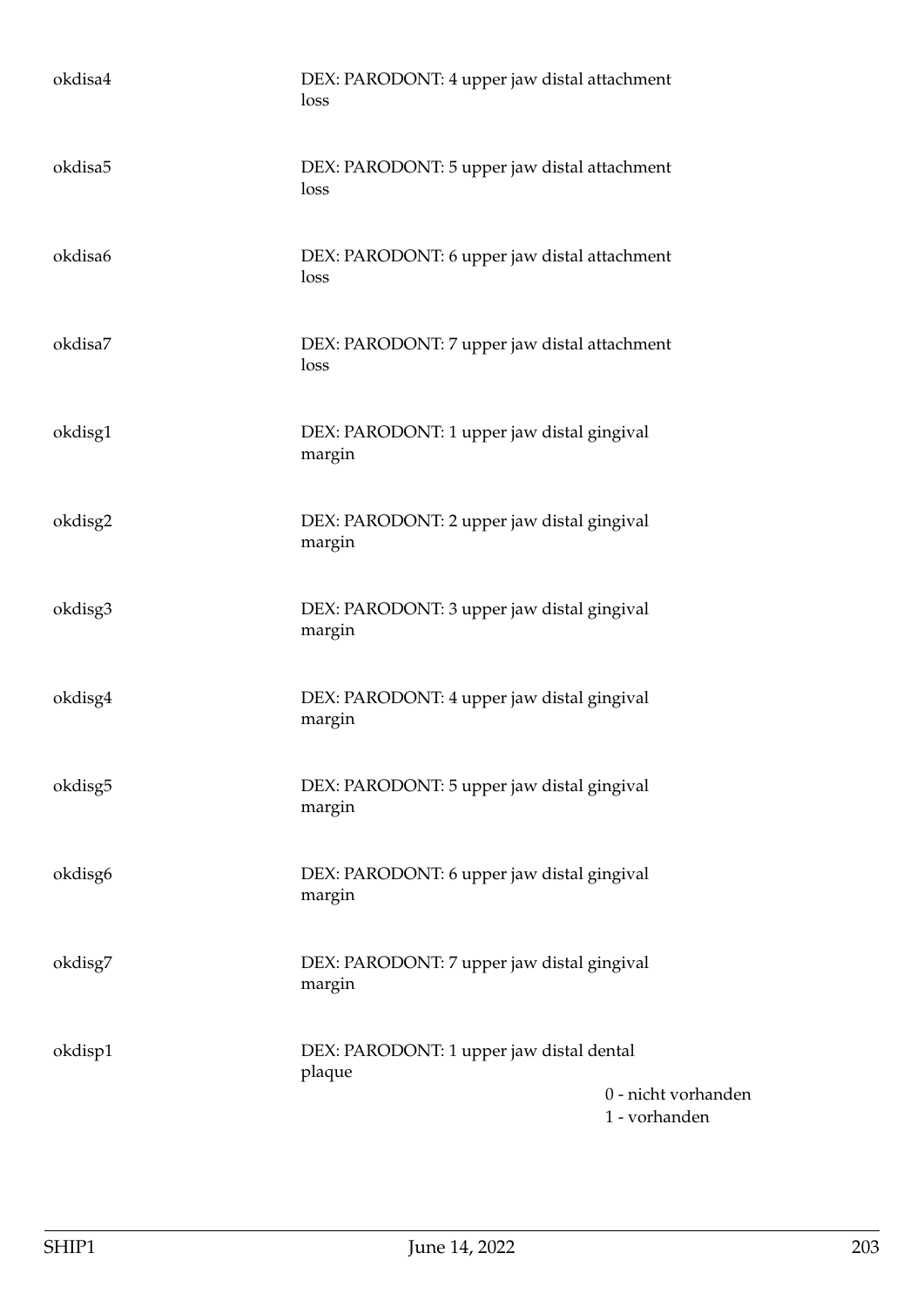| okdisa4 | DEX: PARODONT: 4 upper jaw distal attachment<br>loss                                       |
|---------|--------------------------------------------------------------------------------------------|
| okdisa5 | DEX: PARODONT: 5 upper jaw distal attachment<br>loss                                       |
| okdisa6 | DEX: PARODONT: 6 upper jaw distal attachment<br>loss                                       |
| okdisa7 | DEX: PARODONT: 7 upper jaw distal attachment<br>loss                                       |
| okdisg1 | DEX: PARODONT: 1 upper jaw distal gingival<br>margin                                       |
| okdisg2 | DEX: PARODONT: 2 upper jaw distal gingival<br>margin                                       |
| okdisg3 | DEX: PARODONT: 3 upper jaw distal gingival<br>margin                                       |
| okdisg4 | DEX: PARODONT: 4 upper jaw distal gingival<br>margin                                       |
| okdisg5 | DEX: PARODONT: 5 upper jaw distal gingival<br>margin                                       |
| okdisg6 | DEX: PARODONT: 6 upper jaw distal gingival<br>margin                                       |
| okdisg7 | DEX: PARODONT: 7 upper jaw distal gingival<br>margin                                       |
| okdisp1 | DEX: PARODONT: 1 upper jaw distal dental<br>plaque<br>0 - nicht vorhanden<br>1 - vorhanden |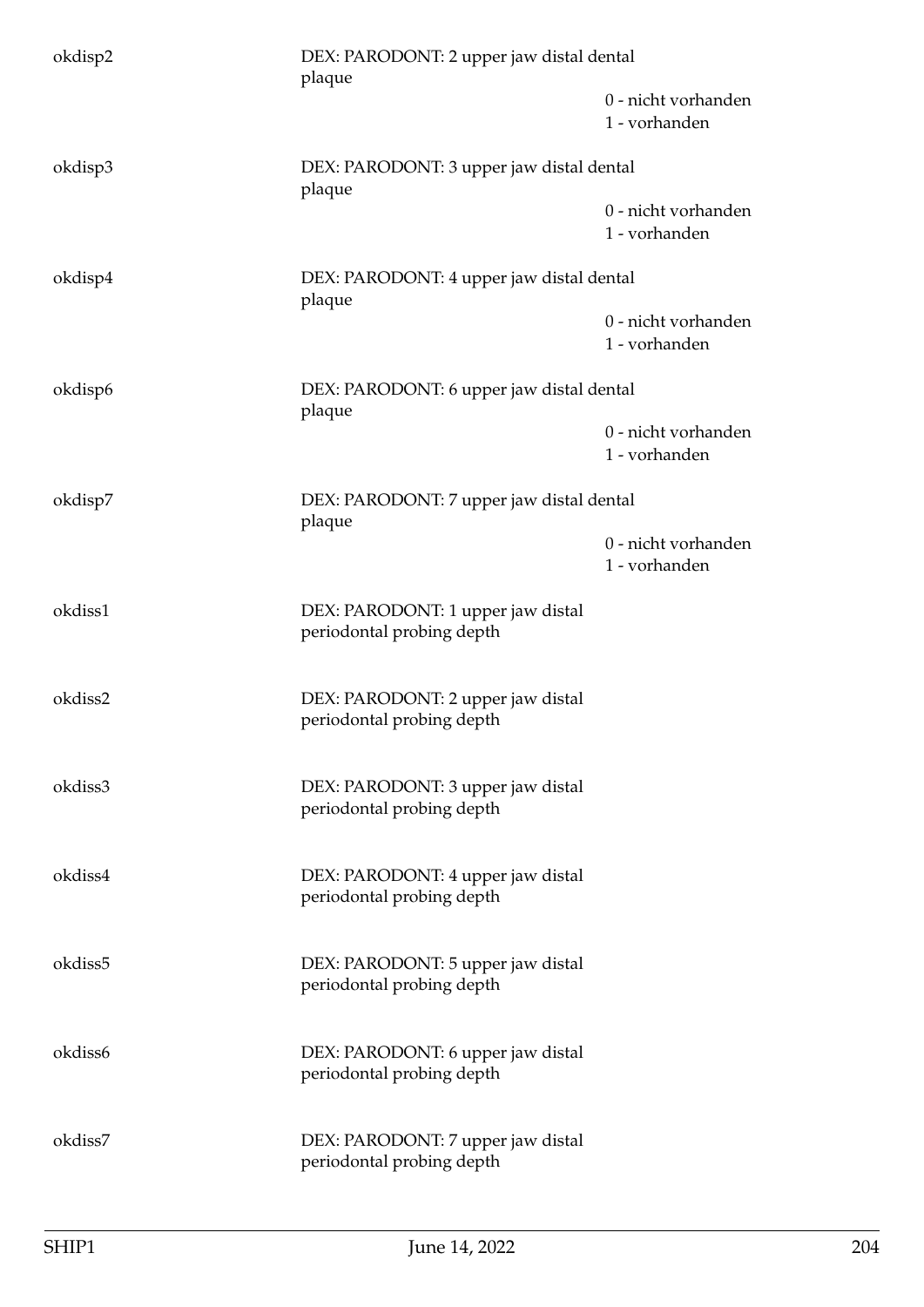| okdisp2 | DEX: PARODONT: 2 upper jaw distal dental<br>plaque             |                                      |
|---------|----------------------------------------------------------------|--------------------------------------|
|         |                                                                | 0 - nicht vorhanden<br>1 - vorhanden |
| okdisp3 | DEX: PARODONT: 3 upper jaw distal dental<br>plaque             |                                      |
|         |                                                                | 0 - nicht vorhanden<br>1 - vorhanden |
| okdisp4 | DEX: PARODONT: 4 upper jaw distal dental<br>plaque             |                                      |
|         |                                                                | 0 - nicht vorhanden<br>1 - vorhanden |
| okdisp6 | DEX: PARODONT: 6 upper jaw distal dental<br>plaque             |                                      |
|         |                                                                | 0 - nicht vorhanden<br>1 - vorhanden |
| okdisp7 | DEX: PARODONT: 7 upper jaw distal dental<br>plaque             |                                      |
|         |                                                                | 0 - nicht vorhanden<br>1 - vorhanden |
| okdiss1 | DEX: PARODONT: 1 upper jaw distal<br>periodontal probing depth |                                      |
| okdiss2 | DEX: PARODONT: 2 upper jaw distal<br>periodontal probing depth |                                      |
| okdiss3 | DEX: PARODONT: 3 upper jaw distal<br>periodontal probing depth |                                      |
| okdiss4 | DEX: PARODONT: 4 upper jaw distal<br>periodontal probing depth |                                      |
| okdiss5 | DEX: PARODONT: 5 upper jaw distal<br>periodontal probing depth |                                      |
| okdiss6 | DEX: PARODONT: 6 upper jaw distal<br>periodontal probing depth |                                      |
| okdiss7 | DEX: PARODONT: 7 upper jaw distal<br>periodontal probing depth |                                      |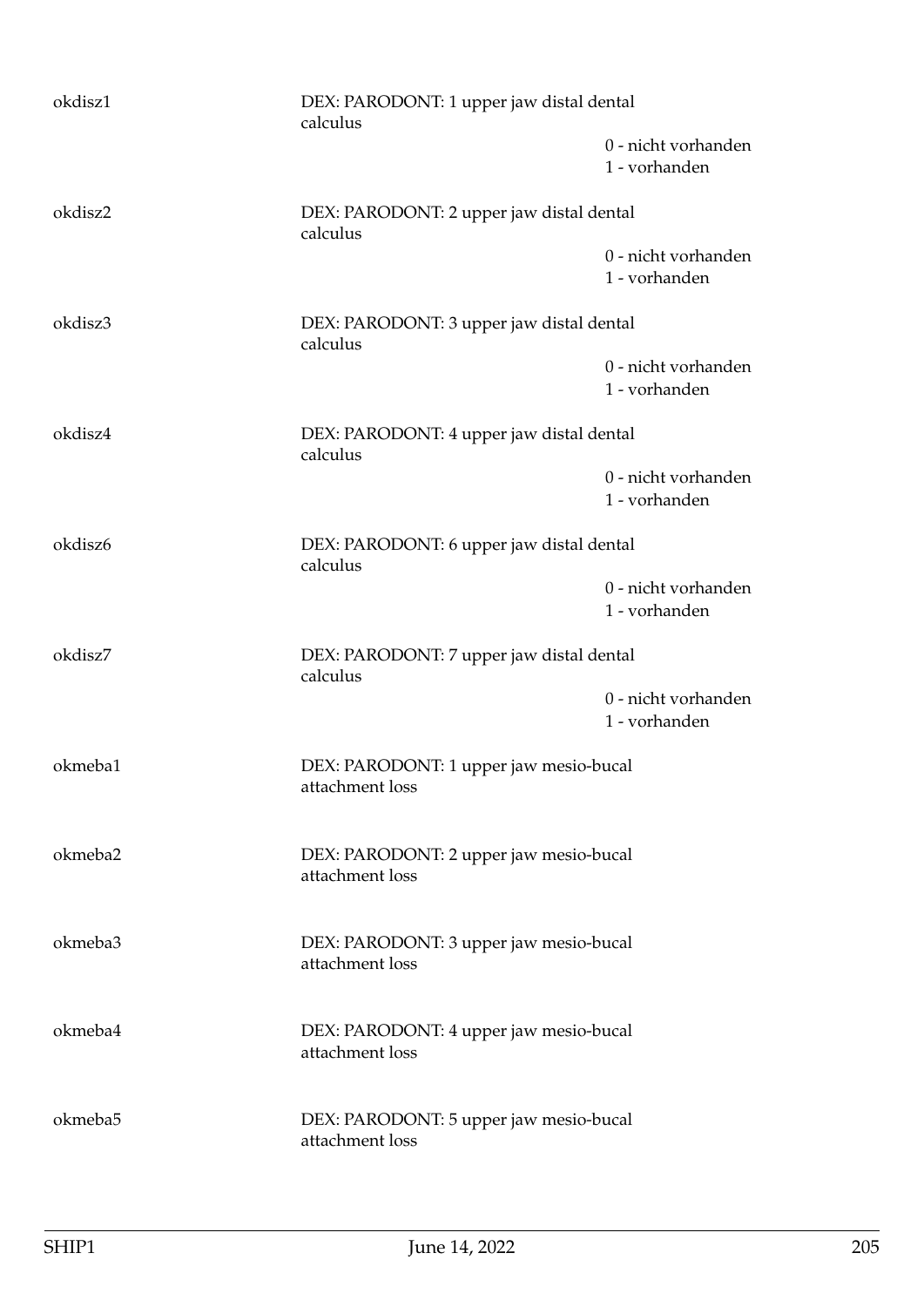| okdisz1 | DEX: PARODONT: 1 upper jaw distal dental<br>calculus      |                                      |
|---------|-----------------------------------------------------------|--------------------------------------|
|         |                                                           | 0 - nicht vorhanden<br>1 - vorhanden |
| okdisz2 | DEX: PARODONT: 2 upper jaw distal dental<br>calculus      |                                      |
|         |                                                           | 0 - nicht vorhanden<br>1 - vorhanden |
| okdisz3 | DEX: PARODONT: 3 upper jaw distal dental<br>calculus      |                                      |
|         |                                                           | 0 - nicht vorhanden<br>1 - vorhanden |
| okdisz4 | DEX: PARODONT: 4 upper jaw distal dental<br>calculus      |                                      |
|         |                                                           | 0 - nicht vorhanden<br>1 - vorhanden |
| okdisz6 | DEX: PARODONT: 6 upper jaw distal dental<br>calculus      |                                      |
|         |                                                           | 0 - nicht vorhanden<br>1 - vorhanden |
| okdisz7 | DEX: PARODONT: 7 upper jaw distal dental<br>calculus      |                                      |
|         |                                                           | 0 - nicht vorhanden<br>1 - vorhanden |
| okmeba1 | DEX: PARODONT: 1 upper jaw mesio-bucal<br>attachment loss |                                      |
| okmeba2 | DEX: PARODONT: 2 upper jaw mesio-bucal<br>attachment loss |                                      |
| okmeba3 | DEX: PARODONT: 3 upper jaw mesio-bucal<br>attachment loss |                                      |
| okmeba4 | DEX: PARODONT: 4 upper jaw mesio-bucal<br>attachment loss |                                      |
| okmeba5 | DEX: PARODONT: 5 upper jaw mesio-bucal<br>attachment loss |                                      |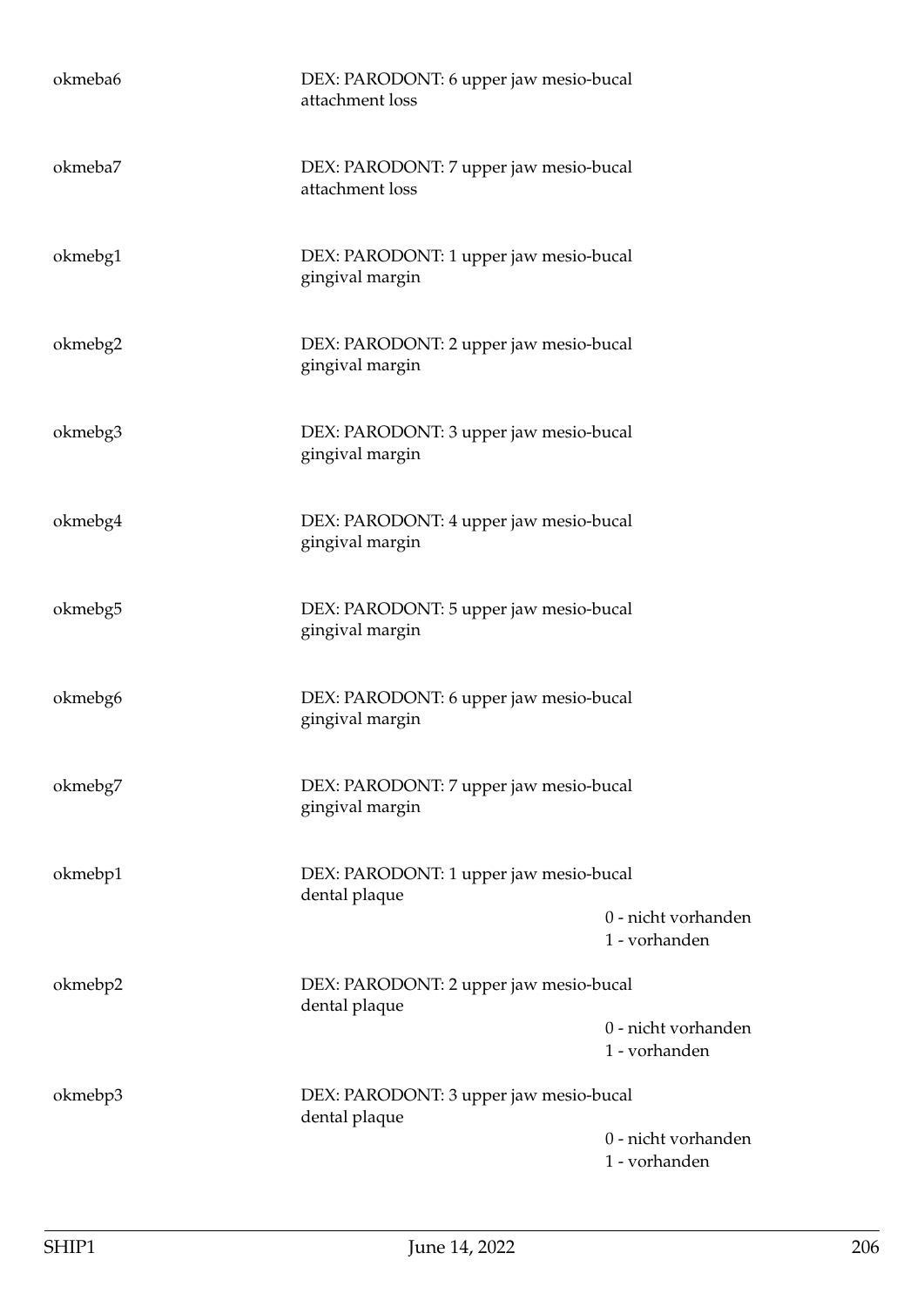| okmeba6 | DEX: PARODONT: 6 upper jaw mesio-bucal<br>attachment loss |                                      |
|---------|-----------------------------------------------------------|--------------------------------------|
| okmeba7 | DEX: PARODONT: 7 upper jaw mesio-bucal<br>attachment loss |                                      |
| okmebg1 | DEX: PARODONT: 1 upper jaw mesio-bucal<br>gingival margin |                                      |
| okmebg2 | DEX: PARODONT: 2 upper jaw mesio-bucal<br>gingival margin |                                      |
| okmebg3 | DEX: PARODONT: 3 upper jaw mesio-bucal<br>gingival margin |                                      |
| okmebg4 | DEX: PARODONT: 4 upper jaw mesio-bucal<br>gingival margin |                                      |
| okmebg5 | DEX: PARODONT: 5 upper jaw mesio-bucal<br>gingival margin |                                      |
| okmebg6 | DEX: PARODONT: 6 upper jaw mesio-bucal<br>gingival margin |                                      |
| okmebg7 | DEX: PARODONT: 7 upper jaw mesio-bucal<br>gingival margin |                                      |
| okmebp1 | DEX: PARODONT: 1 upper jaw mesio-bucal<br>dental plaque   |                                      |
|         |                                                           | 0 - nicht vorhanden<br>1 - vorhanden |
| okmebp2 | DEX: PARODONT: 2 upper jaw mesio-bucal<br>dental plaque   |                                      |
|         |                                                           | 0 - nicht vorhanden<br>1 - vorhanden |
| okmebp3 | DEX: PARODONT: 3 upper jaw mesio-bucal<br>dental plaque   |                                      |
|         |                                                           | 0 - nicht vorhanden<br>1 - vorhanden |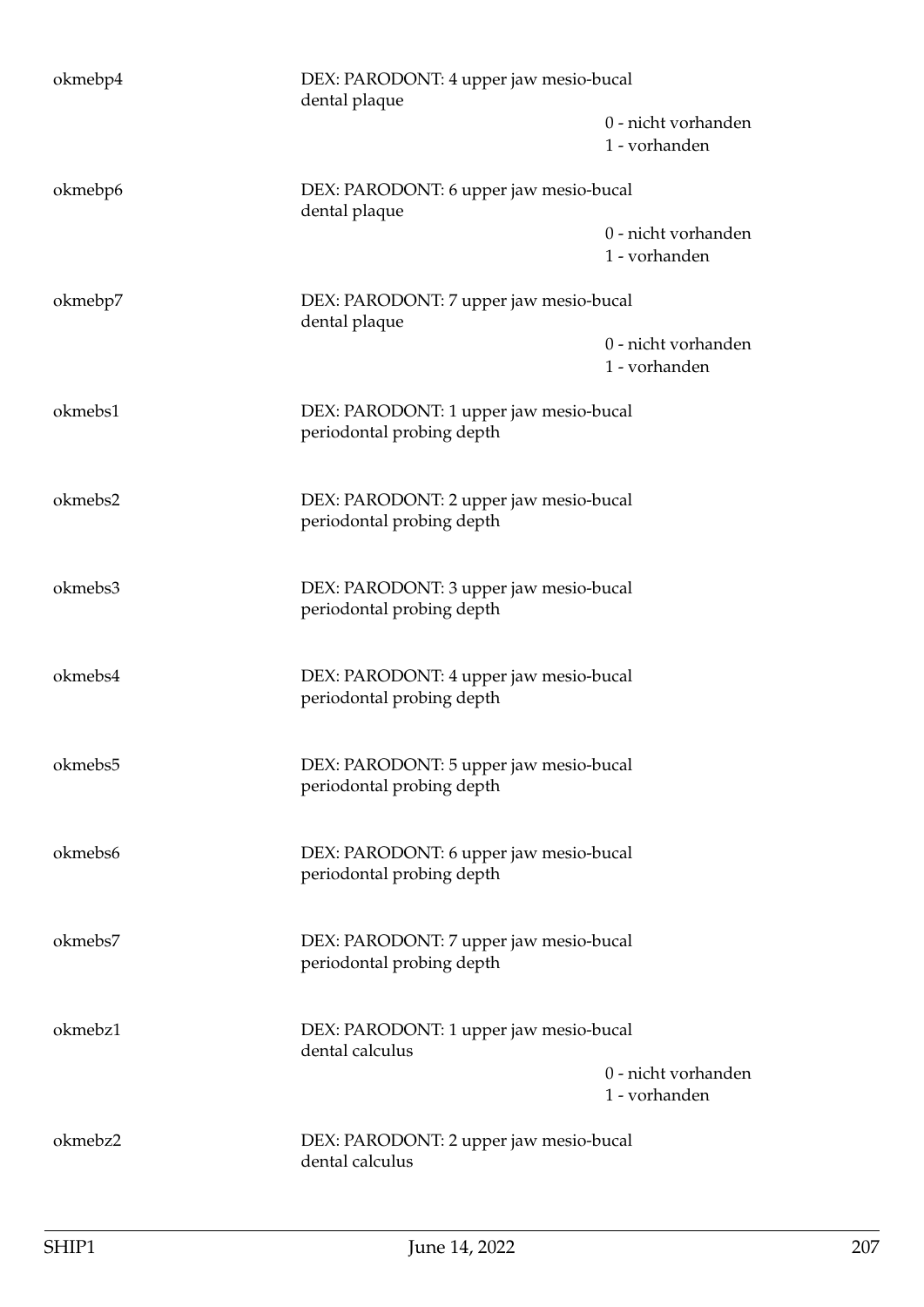| okmebp4 | DEX: PARODONT: 4 upper jaw mesio-bucal<br>dental plaque             |                                      |
|---------|---------------------------------------------------------------------|--------------------------------------|
|         |                                                                     | 0 - nicht vorhanden<br>1 - vorhanden |
| okmebp6 | DEX: PARODONT: 6 upper jaw mesio-bucal                              |                                      |
|         | dental plaque                                                       | 0 - nicht vorhanden<br>1 - vorhanden |
| okmebp7 | DEX: PARODONT: 7 upper jaw mesio-bucal<br>dental plaque             |                                      |
|         |                                                                     | 0 - nicht vorhanden<br>1 - vorhanden |
| okmebs1 | DEX: PARODONT: 1 upper jaw mesio-bucal<br>periodontal probing depth |                                      |
| okmebs2 | DEX: PARODONT: 2 upper jaw mesio-bucal<br>periodontal probing depth |                                      |
| okmebs3 | DEX: PARODONT: 3 upper jaw mesio-bucal<br>periodontal probing depth |                                      |
| okmebs4 | DEX: PARODONT: 4 upper jaw mesio-bucal<br>periodontal probing depth |                                      |
| okmebs5 | DEX: PARODONT: 5 upper jaw mesio-bucal<br>periodontal probing depth |                                      |
| okmebs6 | DEX: PARODONT: 6 upper jaw mesio-bucal<br>periodontal probing depth |                                      |
| okmebs7 | DEX: PARODONT: 7 upper jaw mesio-bucal<br>periodontal probing depth |                                      |
| okmebz1 | DEX: PARODONT: 1 upper jaw mesio-bucal<br>dental calculus           |                                      |
|         |                                                                     | 0 - nicht vorhanden<br>1 - vorhanden |
| okmebz2 | DEX: PARODONT: 2 upper jaw mesio-bucal<br>dental calculus           |                                      |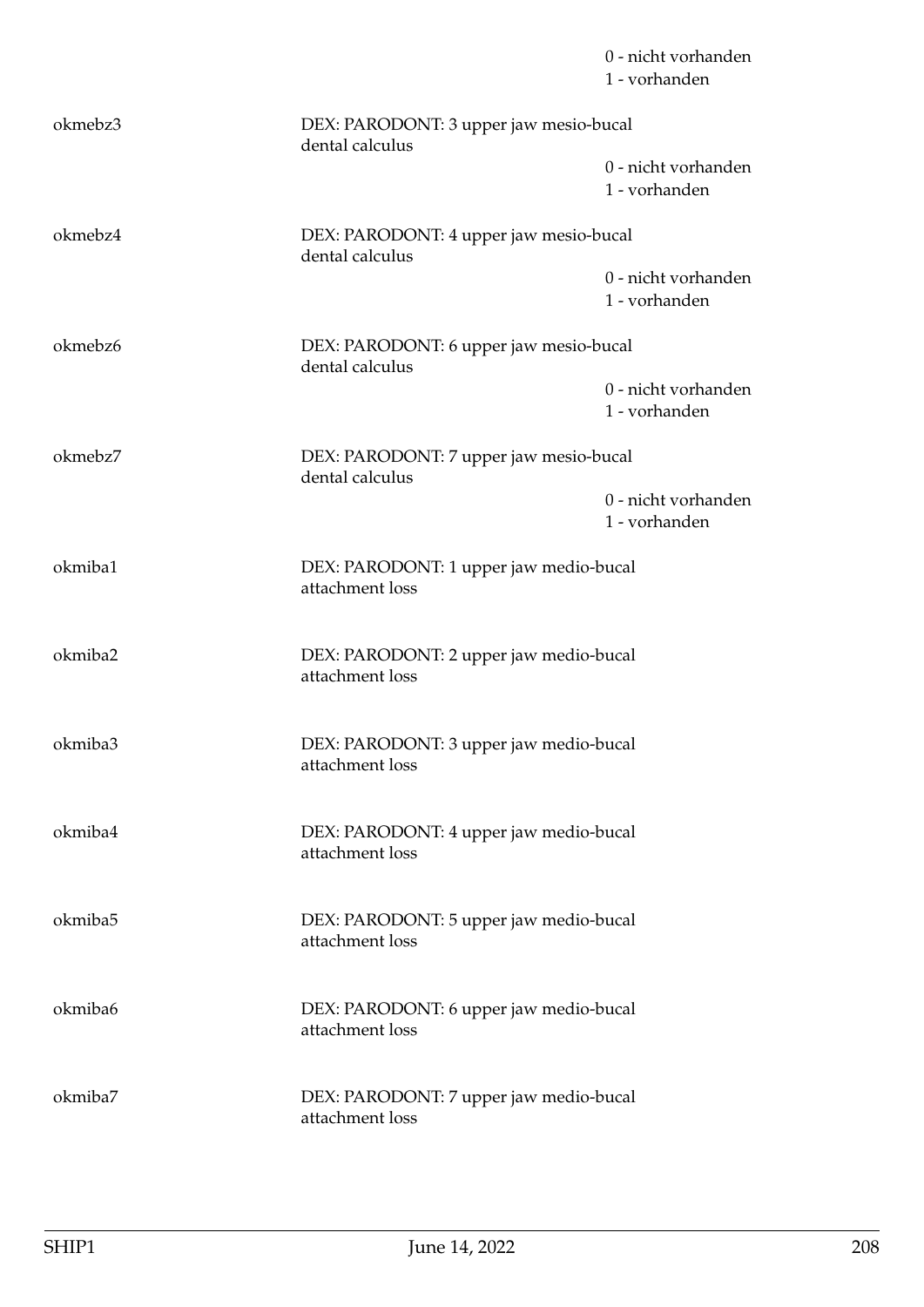|         |                                                           | 0 - nicht vorhanden<br>1 - vorhanden |
|---------|-----------------------------------------------------------|--------------------------------------|
| okmebz3 | DEX: PARODONT: 3 upper jaw mesio-bucal<br>dental calculus |                                      |
|         |                                                           | 0 - nicht vorhanden<br>1 - vorhanden |
| okmebz4 | DEX: PARODONT: 4 upper jaw mesio-bucal<br>dental calculus |                                      |
|         |                                                           | 0 - nicht vorhanden<br>1 - vorhanden |
| okmebz6 | DEX: PARODONT: 6 upper jaw mesio-bucal<br>dental calculus |                                      |
|         |                                                           | 0 - nicht vorhanden<br>1 - vorhanden |
| okmebz7 | DEX: PARODONT: 7 upper jaw mesio-bucal<br>dental calculus |                                      |
|         |                                                           | 0 - nicht vorhanden<br>1 - vorhanden |
| okmiba1 | DEX: PARODONT: 1 upper jaw medio-bucal<br>attachment loss |                                      |
| okmiba2 | DEX: PARODONT: 2 upper jaw medio-bucal<br>attachment loss |                                      |
| okmiba3 | DEX: PARODONT: 3 upper jaw medio-bucal<br>attachment loss |                                      |
| okmiba4 | DEX: PARODONT: 4 upper jaw medio-bucal<br>attachment loss |                                      |
| okmiba5 | DEX: PARODONT: 5 upper jaw medio-bucal<br>attachment loss |                                      |
| okmiba6 | DEX: PARODONT: 6 upper jaw medio-bucal<br>attachment loss |                                      |
| okmiba7 | DEX: PARODONT: 7 upper jaw medio-bucal<br>attachment loss |                                      |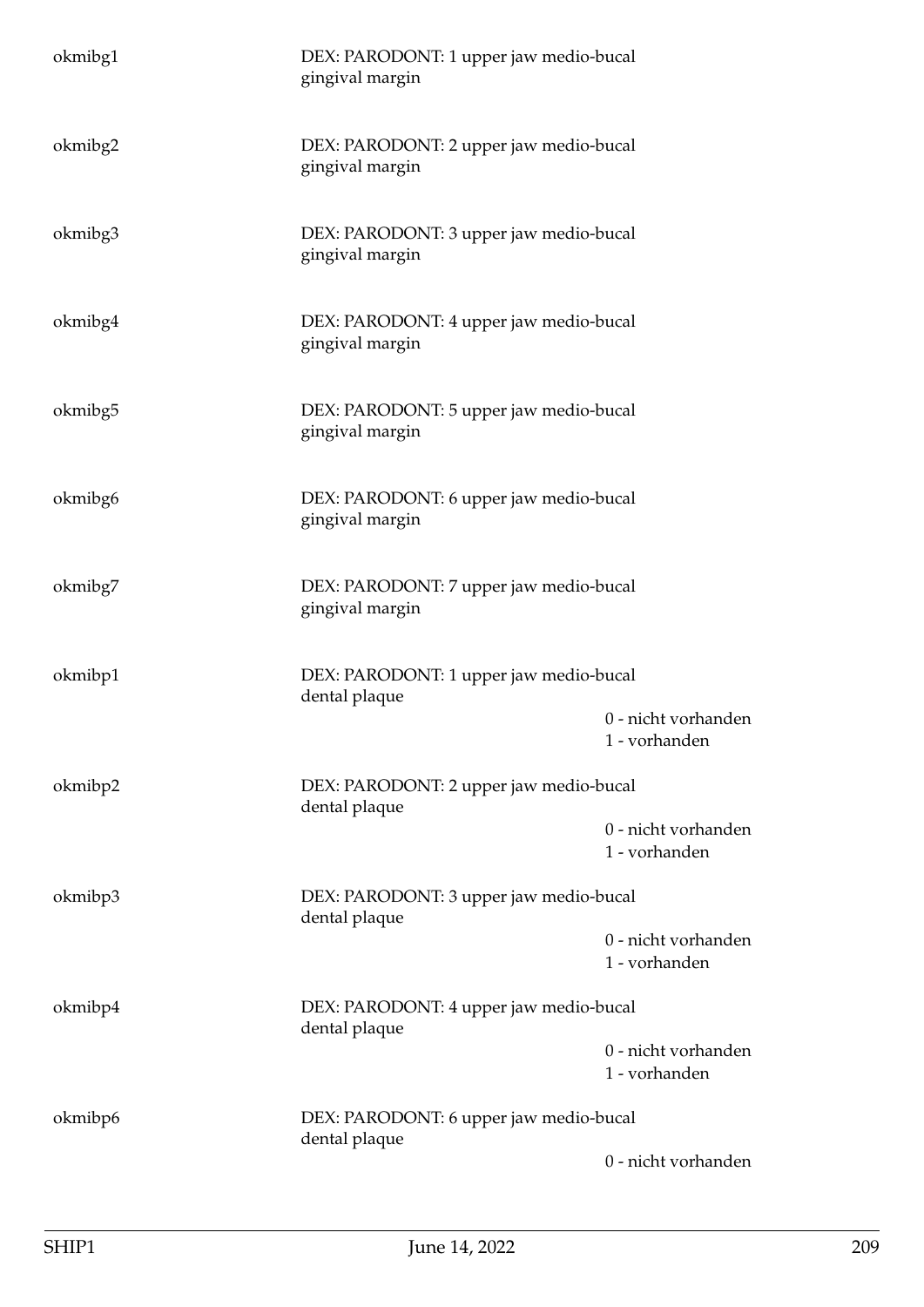| okmibg1 | DEX: PARODONT: 1 upper jaw medio-bucal<br>gingival margin |                                      |
|---------|-----------------------------------------------------------|--------------------------------------|
| okmibg2 | DEX: PARODONT: 2 upper jaw medio-bucal<br>gingival margin |                                      |
| okmibg3 | DEX: PARODONT: 3 upper jaw medio-bucal<br>gingival margin |                                      |
| okmibg4 | DEX: PARODONT: 4 upper jaw medio-bucal<br>gingival margin |                                      |
| okmibg5 | DEX: PARODONT: 5 upper jaw medio-bucal<br>gingival margin |                                      |
| okmibg6 | DEX: PARODONT: 6 upper jaw medio-bucal<br>gingival margin |                                      |
| okmibg7 | DEX: PARODONT: 7 upper jaw medio-bucal<br>gingival margin |                                      |
| okmibp1 | DEX: PARODONT: 1 upper jaw medio-bucal<br>dental plaque   |                                      |
|         |                                                           | 0 - nicht vorhanden<br>1 - vorhanden |
| okmibp2 | DEX: PARODONT: 2 upper jaw medio-bucal<br>dental plaque   |                                      |
|         |                                                           | 0 - nicht vorhanden<br>1 - vorhanden |
| okmibp3 | DEX: PARODONT: 3 upper jaw medio-bucal<br>dental plaque   |                                      |
|         |                                                           | 0 - nicht vorhanden<br>1 - vorhanden |
| okmibp4 | DEX: PARODONT: 4 upper jaw medio-bucal<br>dental plaque   |                                      |
|         |                                                           | 0 - nicht vorhanden<br>1 - vorhanden |
| okmibp6 | DEX: PARODONT: 6 upper jaw medio-bucal<br>dental plaque   |                                      |
|         |                                                           | 0 - nicht vorhanden                  |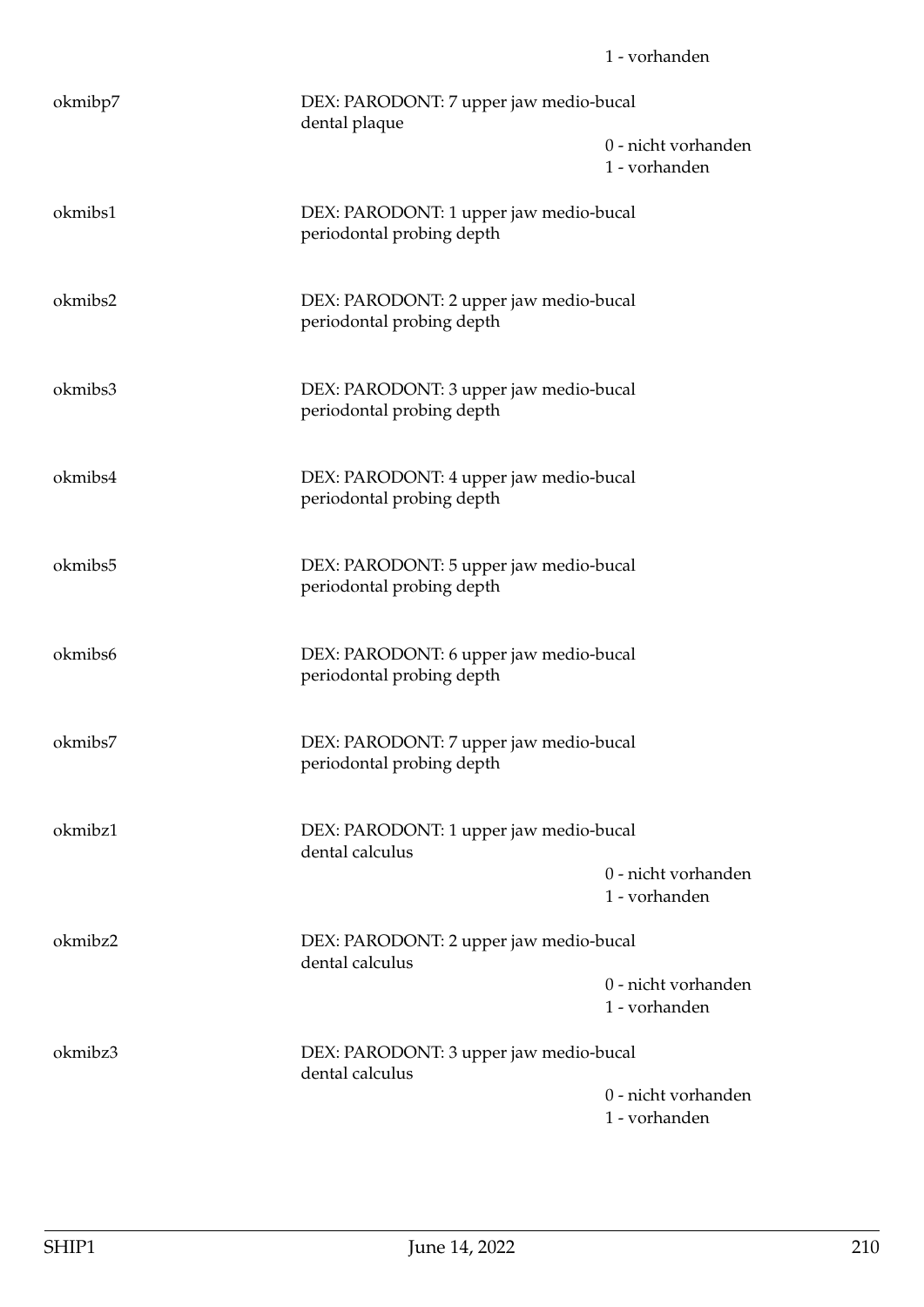| okmibp7 | DEX: PARODONT: 7 upper jaw medio-bucal<br>dental plaque             | 0 - nicht vorhanden<br>1 - vorhanden |
|---------|---------------------------------------------------------------------|--------------------------------------|
| okmibs1 | DEX: PARODONT: 1 upper jaw medio-bucal<br>periodontal probing depth |                                      |
| okmibs2 | DEX: PARODONT: 2 upper jaw medio-bucal<br>periodontal probing depth |                                      |
| okmibs3 | DEX: PARODONT: 3 upper jaw medio-bucal<br>periodontal probing depth |                                      |
| okmibs4 | DEX: PARODONT: 4 upper jaw medio-bucal<br>periodontal probing depth |                                      |
| okmibs5 | DEX: PARODONT: 5 upper jaw medio-bucal<br>periodontal probing depth |                                      |
| okmibs6 | DEX: PARODONT: 6 upper jaw medio-bucal<br>periodontal probing depth |                                      |
| okmibs7 | DEX: PARODONT: 7 upper jaw medio-bucal<br>periodontal probing depth |                                      |
| okmibz1 | DEX: PARODONT: 1 upper jaw medio-bucal<br>dental calculus           |                                      |
|         |                                                                     | 0 - nicht vorhanden<br>1 - vorhanden |
| okmibz2 | DEX: PARODONT: 2 upper jaw medio-bucal<br>dental calculus           |                                      |
|         |                                                                     | 0 - nicht vorhanden<br>1 - vorhanden |
| okmibz3 | DEX: PARODONT: 3 upper jaw medio-bucal<br>dental calculus           |                                      |
|         |                                                                     | 0 - nicht vorhanden<br>1 - vorhanden |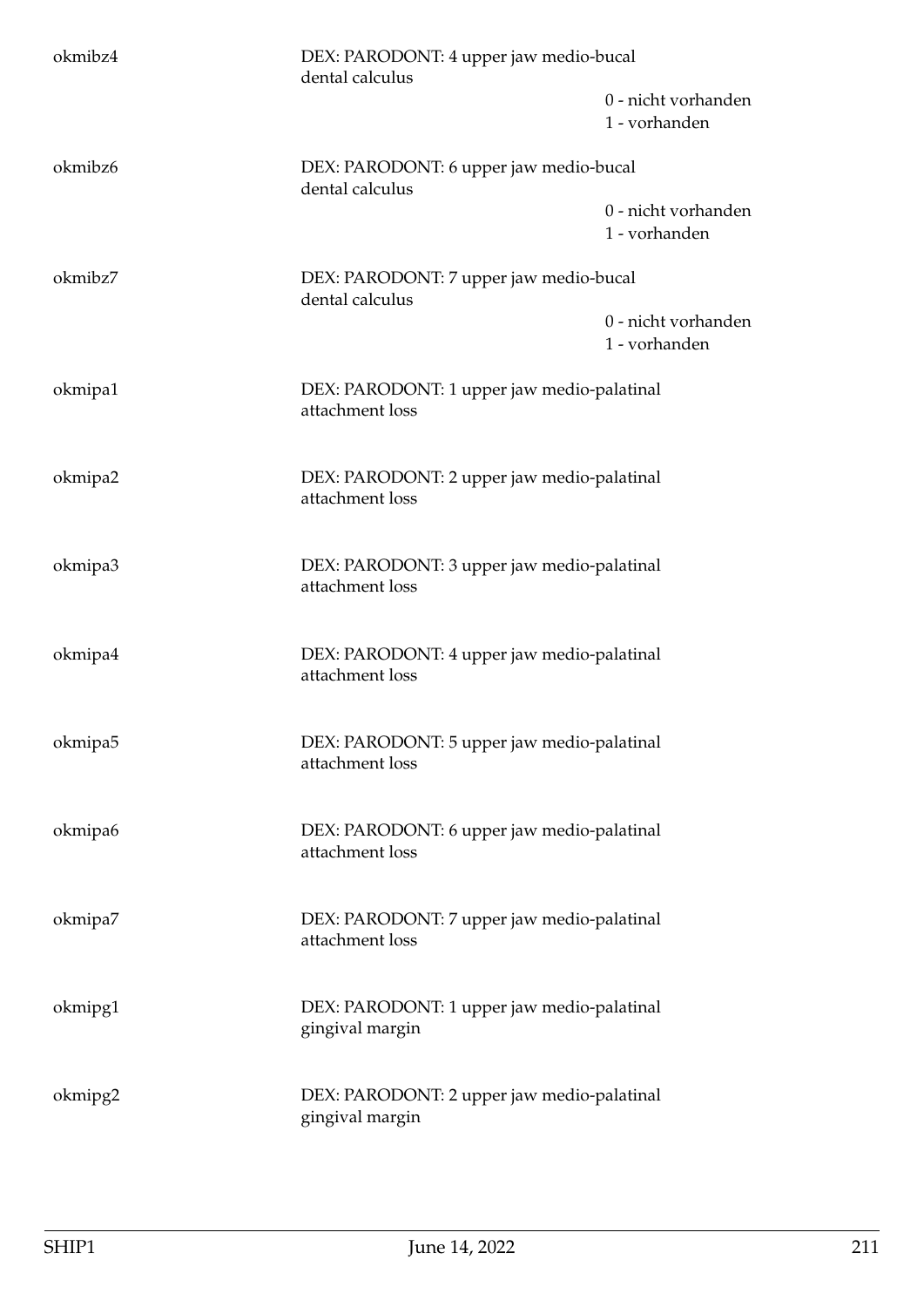| okmibz4 | DEX: PARODONT: 4 upper jaw medio-bucal<br>dental calculus     |                                      |
|---------|---------------------------------------------------------------|--------------------------------------|
|         |                                                               | 0 - nicht vorhanden<br>1 - vorhanden |
| okmibz6 | DEX: PARODONT: 6 upper jaw medio-bucal<br>dental calculus     |                                      |
|         |                                                               | 0 - nicht vorhanden<br>1 - vorhanden |
| okmibz7 | DEX: PARODONT: 7 upper jaw medio-bucal<br>dental calculus     |                                      |
|         |                                                               | 0 - nicht vorhanden<br>1 - vorhanden |
| okmipa1 | DEX: PARODONT: 1 upper jaw medio-palatinal<br>attachment loss |                                      |
| okmipa2 | DEX: PARODONT: 2 upper jaw medio-palatinal<br>attachment loss |                                      |
| okmipa3 | DEX: PARODONT: 3 upper jaw medio-palatinal<br>attachment loss |                                      |
| okmipa4 | DEX: PARODONT: 4 upper jaw medio-palatinal<br>attachment loss |                                      |
| okmipa5 | DEX: PARODONT: 5 upper jaw medio-palatinal<br>attachment loss |                                      |
| okmipa6 | DEX: PARODONT: 6 upper jaw medio-palatinal<br>attachment loss |                                      |
| okmipa7 | DEX: PARODONT: 7 upper jaw medio-palatinal<br>attachment loss |                                      |
| okmipg1 | DEX: PARODONT: 1 upper jaw medio-palatinal<br>gingival margin |                                      |
| okmipg2 | DEX: PARODONT: 2 upper jaw medio-palatinal<br>gingival margin |                                      |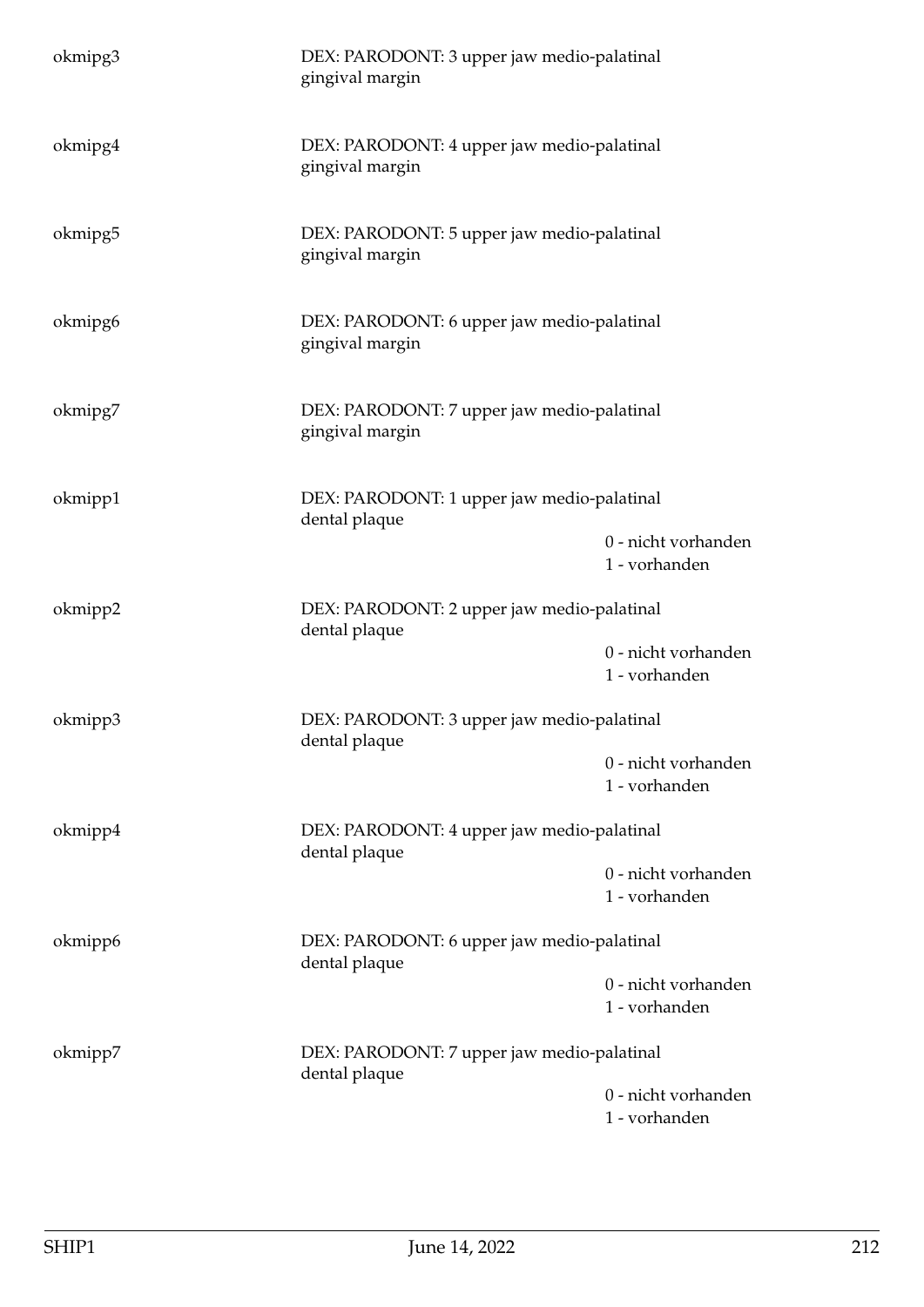| okmipg3 | DEX: PARODONT: 3 upper jaw medio-palatinal<br>gingival margin |                                      |
|---------|---------------------------------------------------------------|--------------------------------------|
| okmipg4 | DEX: PARODONT: 4 upper jaw medio-palatinal<br>gingival margin |                                      |
| okmipg5 | DEX: PARODONT: 5 upper jaw medio-palatinal<br>gingival margin |                                      |
| okmipg6 | DEX: PARODONT: 6 upper jaw medio-palatinal<br>gingival margin |                                      |
| okmipg7 | DEX: PARODONT: 7 upper jaw medio-palatinal<br>gingival margin |                                      |
| okmipp1 | DEX: PARODONT: 1 upper jaw medio-palatinal<br>dental plaque   |                                      |
|         |                                                               | 0 - nicht vorhanden<br>1 - vorhanden |
| okmipp2 | DEX: PARODONT: 2 upper jaw medio-palatinal<br>dental plaque   |                                      |
|         |                                                               | 0 - nicht vorhanden<br>1 - vorhanden |
| okmipp3 | DEX: PARODONT: 3 upper jaw medio-palatinal<br>dental plaque   |                                      |
|         |                                                               | 0 - nicht vorhanden<br>1 - vorhanden |
| okmipp4 | DEX: PARODONT: 4 upper jaw medio-palatinal<br>dental plaque   |                                      |
|         |                                                               | 0 - nicht vorhanden<br>1 - vorhanden |
| okmipp6 | DEX: PARODONT: 6 upper jaw medio-palatinal<br>dental plaque   |                                      |
|         |                                                               | 0 - nicht vorhanden<br>1 - vorhanden |
| okmipp7 | DEX: PARODONT: 7 upper jaw medio-palatinal<br>dental plaque   |                                      |
|         |                                                               | 0 - nicht vorhanden<br>1 - vorhanden |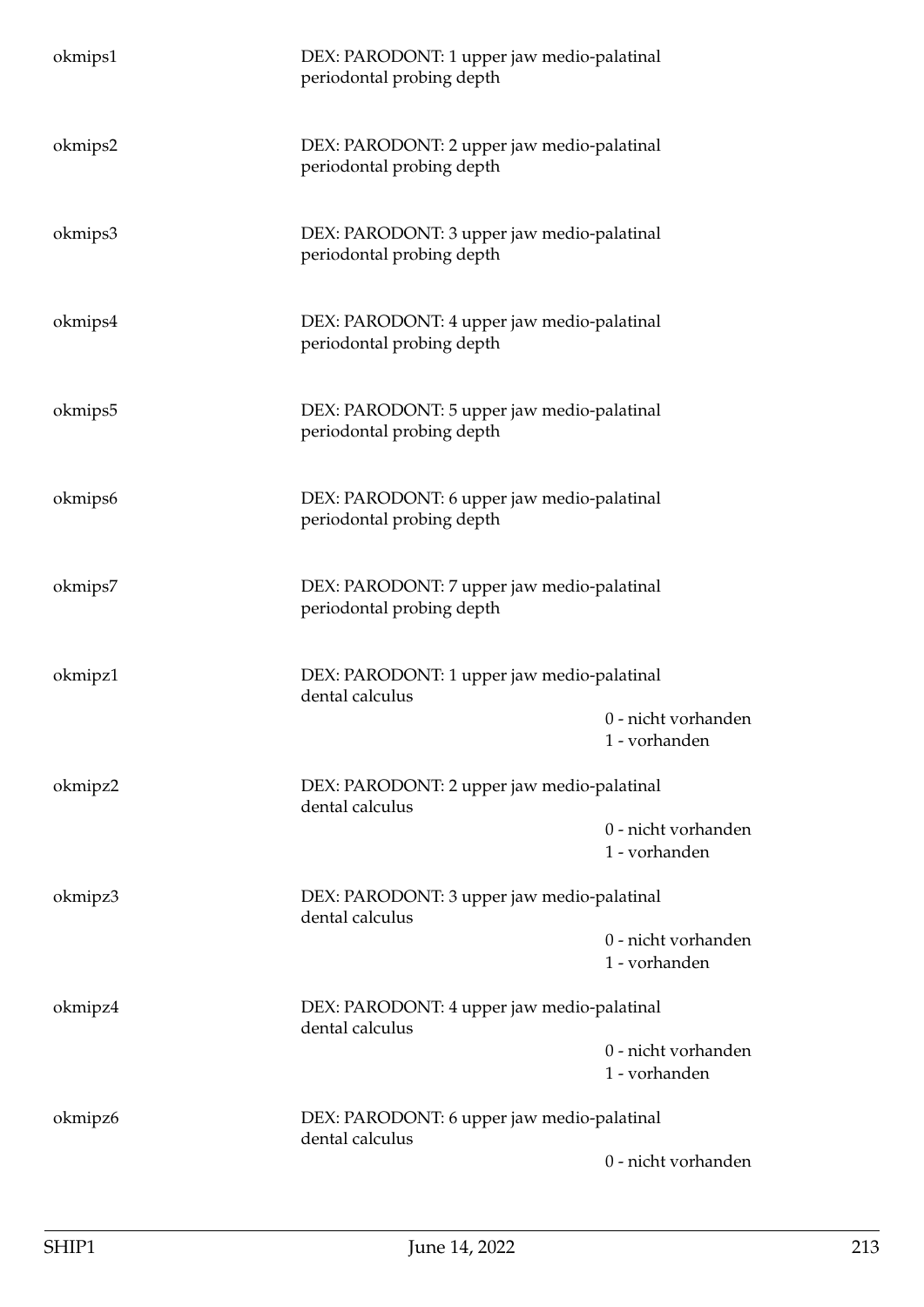| okmips1             | DEX: PARODONT: 1 upper jaw medio-palatinal<br>periodontal probing depth |                                      |
|---------------------|-------------------------------------------------------------------------|--------------------------------------|
| okmips2             | DEX: PARODONT: 2 upper jaw medio-palatinal<br>periodontal probing depth |                                      |
| okmips3             | DEX: PARODONT: 3 upper jaw medio-palatinal<br>periodontal probing depth |                                      |
| okmips4             | DEX: PARODONT: 4 upper jaw medio-palatinal<br>periodontal probing depth |                                      |
| okmips <sub>5</sub> | DEX: PARODONT: 5 upper jaw medio-palatinal<br>periodontal probing depth |                                      |
| okmips6             | DEX: PARODONT: 6 upper jaw medio-palatinal<br>periodontal probing depth |                                      |
| okmips7             | DEX: PARODONT: 7 upper jaw medio-palatinal<br>periodontal probing depth |                                      |
| okmipz1             | DEX: PARODONT: 1 upper jaw medio-palatinal<br>dental calculus           |                                      |
|                     |                                                                         | 0 - nicht vorhanden<br>1 - vorhanden |
| okmipz2             | DEX: PARODONT: 2 upper jaw medio-palatinal<br>dental calculus           |                                      |
|                     |                                                                         | 0 - nicht vorhanden<br>1 - vorhanden |
| okmipz3             | DEX: PARODONT: 3 upper jaw medio-palatinal<br>dental calculus           |                                      |
|                     |                                                                         | 0 - nicht vorhanden<br>1 - vorhanden |
| okmipz4             | DEX: PARODONT: 4 upper jaw medio-palatinal<br>dental calculus           |                                      |
|                     |                                                                         | 0 - nicht vorhanden<br>1 - vorhanden |
| okmipz6             | DEX: PARODONT: 6 upper jaw medio-palatinal<br>dental calculus           |                                      |
|                     |                                                                         | 0 - nicht vorhanden                  |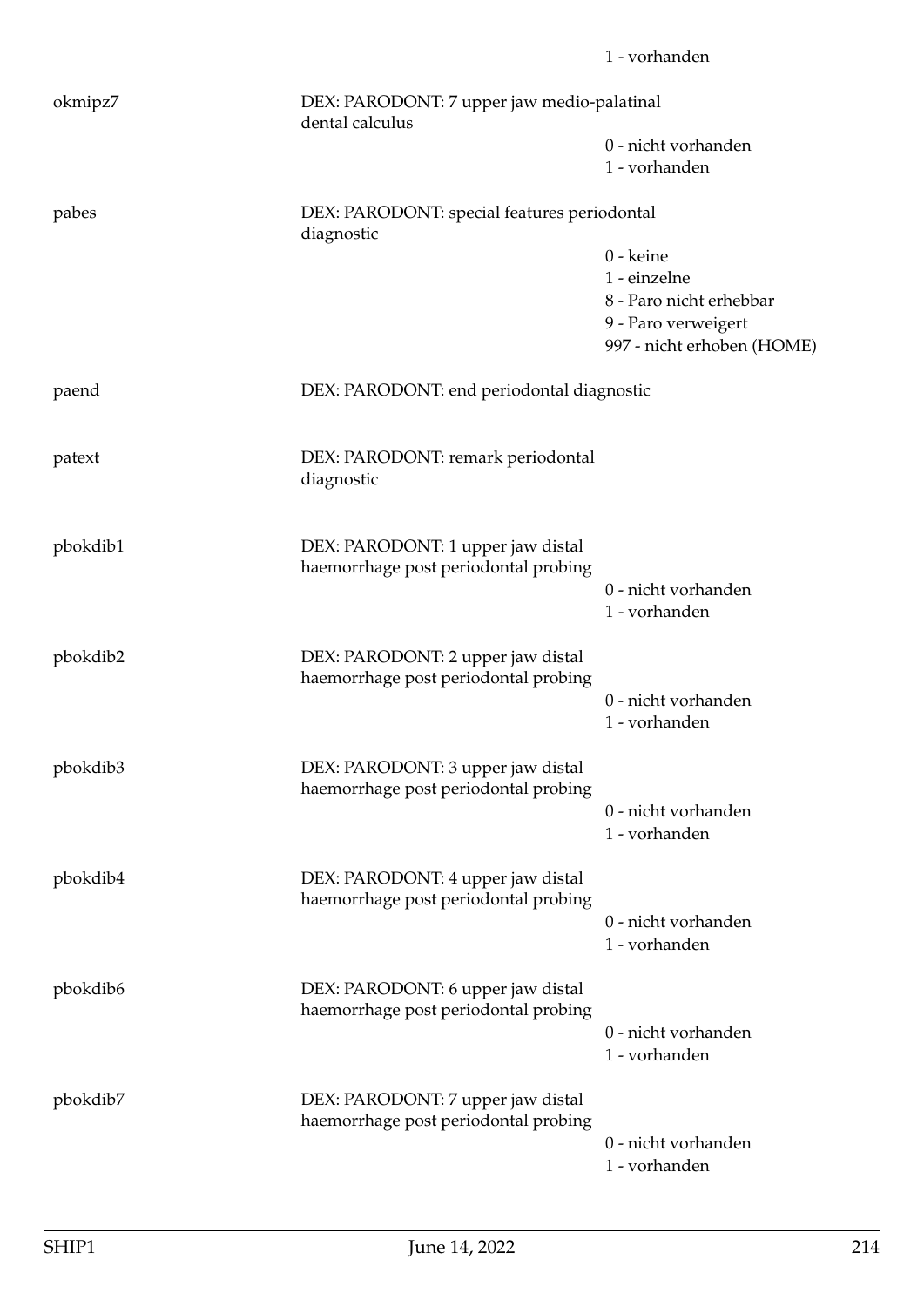|          |                                                                           | 1 - vorhanden                                                                |
|----------|---------------------------------------------------------------------------|------------------------------------------------------------------------------|
| okmipz7  | DEX: PARODONT: 7 upper jaw medio-palatinal<br>dental calculus             |                                                                              |
|          |                                                                           | 0 - nicht vorhanden<br>1 - vorhanden                                         |
| pabes    | DEX: PARODONT: special features periodontal<br>diagnostic                 |                                                                              |
|          |                                                                           | 0 - keine                                                                    |
|          |                                                                           | 1 - einzelne                                                                 |
|          |                                                                           | 8 - Paro nicht erhebbar<br>9 - Paro verweigert<br>997 - nicht erhoben (HOME) |
| paend    | DEX: PARODONT: end periodontal diagnostic                                 |                                                                              |
| patext   | DEX: PARODONT: remark periodontal<br>diagnostic                           |                                                                              |
| pbokdib1 | DEX: PARODONT: 1 upper jaw distal<br>haemorrhage post periodontal probing |                                                                              |
|          |                                                                           | 0 - nicht vorhanden<br>1 - vorhanden                                         |
| pbokdib2 | DEX: PARODONT: 2 upper jaw distal<br>haemorrhage post periodontal probing |                                                                              |
|          |                                                                           | 0 - nicht vorhanden<br>1 - vorhanden                                         |
| pbokdib3 | DEX: PARODONT: 3 upper jaw distal<br>haemorrhage post periodontal probing |                                                                              |
|          |                                                                           | 0 - nicht vorhanden<br>1 - vorhanden                                         |
| pbokdib4 | DEX: PARODONT: 4 upper jaw distal<br>haemorrhage post periodontal probing |                                                                              |
|          |                                                                           | 0 - nicht vorhanden<br>1 - vorhanden                                         |
| pbokdib6 | DEX: PARODONT: 6 upper jaw distal<br>haemorrhage post periodontal probing |                                                                              |
|          |                                                                           | 0 - nicht vorhanden<br>1 - vorhanden                                         |
| pbokdib7 | DEX: PARODONT: 7 upper jaw distal<br>haemorrhage post periodontal probing |                                                                              |
|          |                                                                           | 0 - nicht vorhanden<br>1 - vorhanden                                         |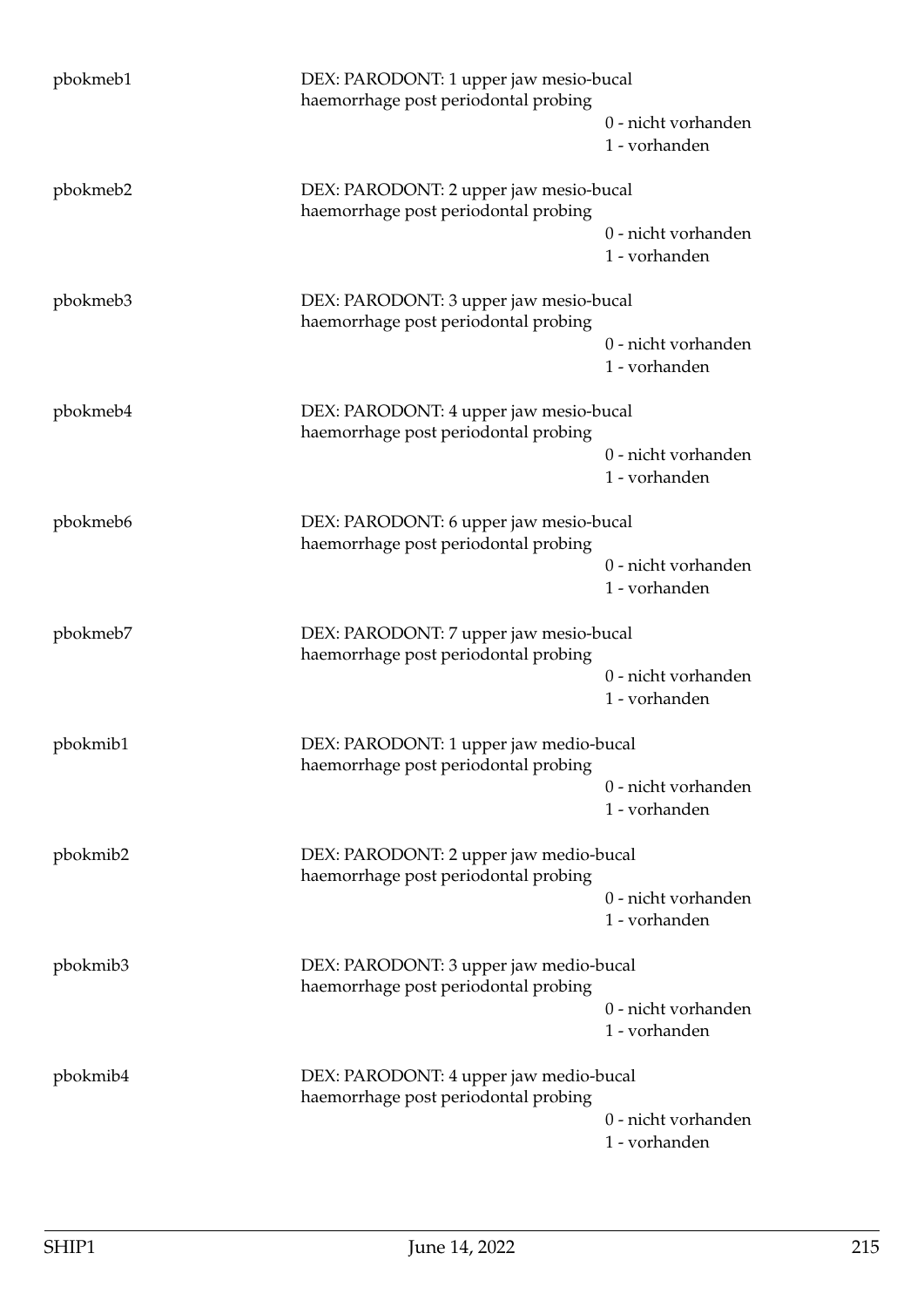| pbokmeb1 | DEX: PARODONT: 1 upper jaw mesio-bucal<br>haemorrhage post periodontal probing |                                      |
|----------|--------------------------------------------------------------------------------|--------------------------------------|
|          |                                                                                | 0 - nicht vorhanden<br>1 - vorhanden |
| pbokmeb2 | DEX: PARODONT: 2 upper jaw mesio-bucal<br>haemorrhage post periodontal probing |                                      |
|          |                                                                                | 0 - nicht vorhanden<br>1 - vorhanden |
| pbokmeb3 | DEX: PARODONT: 3 upper jaw mesio-bucal<br>haemorrhage post periodontal probing |                                      |
|          |                                                                                | 0 - nicht vorhanden<br>1 - vorhanden |
| pbokmeb4 | DEX: PARODONT: 4 upper jaw mesio-bucal<br>haemorrhage post periodontal probing |                                      |
|          |                                                                                | 0 - nicht vorhanden<br>1 - vorhanden |
| pbokmeb6 | DEX: PARODONT: 6 upper jaw mesio-bucal<br>haemorrhage post periodontal probing |                                      |
|          |                                                                                | 0 - nicht vorhanden<br>1 - vorhanden |
| pbokmeb7 | DEX: PARODONT: 7 upper jaw mesio-bucal<br>haemorrhage post periodontal probing |                                      |
|          |                                                                                | 0 - nicht vorhanden<br>1 - vorhanden |
| pbokmib1 | DEX: PARODONT: 1 upper jaw medio-bucal<br>haemorrhage post periodontal probing |                                      |
|          |                                                                                | 0 - nicht vorhanden<br>1 - vorhanden |
| pbokmib2 | DEX: PARODONT: 2 upper jaw medio-bucal<br>haemorrhage post periodontal probing |                                      |
|          |                                                                                | 0 - nicht vorhanden<br>1 - vorhanden |
| pbokmib3 | DEX: PARODONT: 3 upper jaw medio-bucal<br>haemorrhage post periodontal probing |                                      |
|          |                                                                                | 0 - nicht vorhanden<br>1 - vorhanden |
| pbokmib4 | DEX: PARODONT: 4 upper jaw medio-bucal<br>haemorrhage post periodontal probing |                                      |
|          |                                                                                | 0 - nicht vorhanden<br>1 - vorhanden |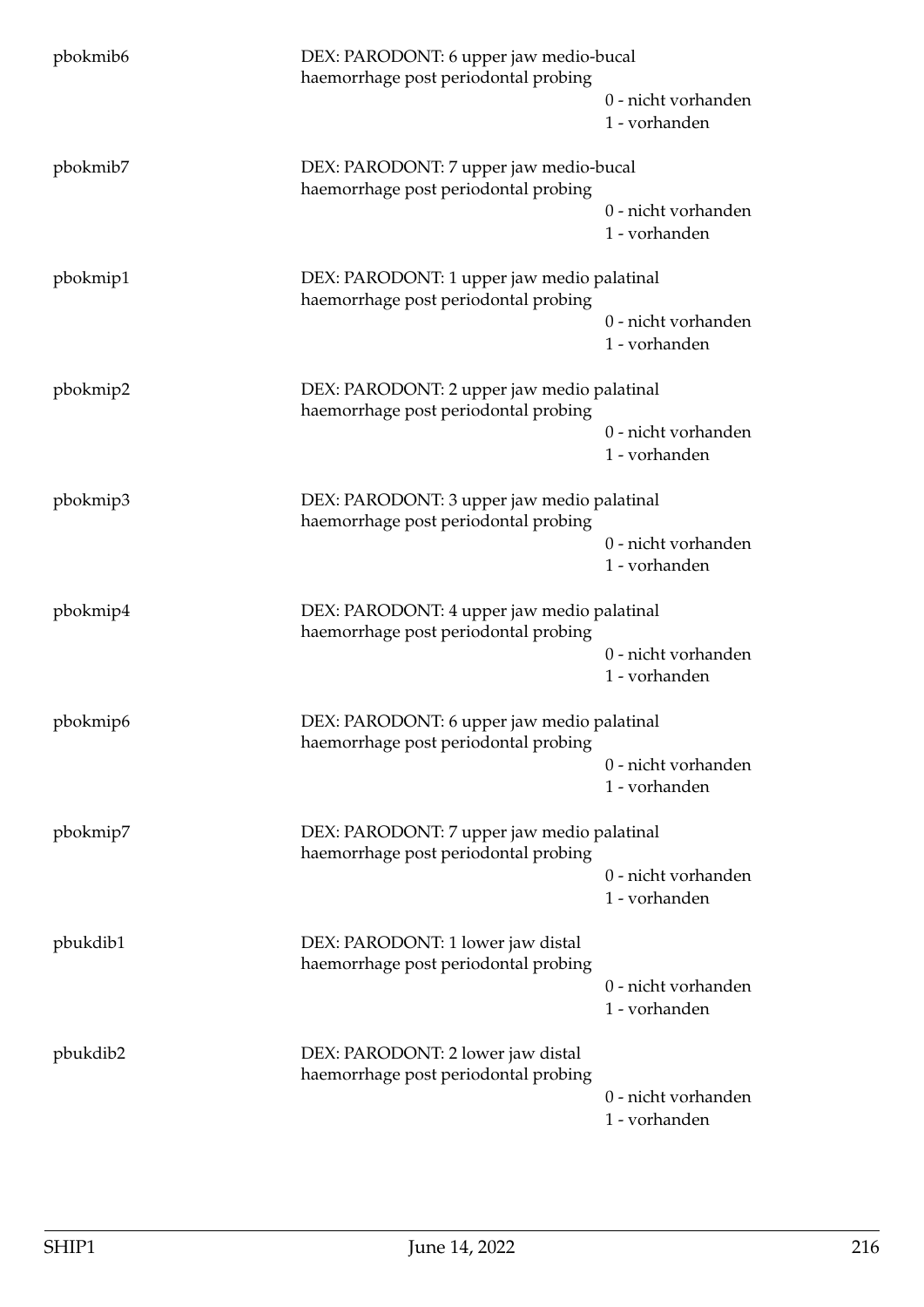| pbokmib <sub>6</sub>                                                                           | DEX: PARODONT: 6 upper jaw medio-bucal<br>haemorrhage post periodontal probing     |                                      |
|------------------------------------------------------------------------------------------------|------------------------------------------------------------------------------------|--------------------------------------|
|                                                                                                |                                                                                    | 0 - nicht vorhanden<br>1 - vorhanden |
| pbokmib7                                                                                       | DEX: PARODONT: 7 upper jaw medio-bucal<br>haemorrhage post periodontal probing     |                                      |
|                                                                                                |                                                                                    | 0 - nicht vorhanden<br>1 - vorhanden |
| pbokmip1                                                                                       | DEX: PARODONT: 1 upper jaw medio palatinal<br>haemorrhage post periodontal probing |                                      |
|                                                                                                |                                                                                    | 0 - nicht vorhanden<br>1 - vorhanden |
| pbokmip2                                                                                       | DEX: PARODONT: 2 upper jaw medio palatinal<br>haemorrhage post periodontal probing |                                      |
|                                                                                                |                                                                                    | 0 - nicht vorhanden<br>1 - vorhanden |
| pbokmip3                                                                                       | DEX: PARODONT: 3 upper jaw medio palatinal<br>haemorrhage post periodontal probing |                                      |
|                                                                                                |                                                                                    | 0 - nicht vorhanden<br>1 - vorhanden |
| pbokmip4<br>DEX: PARODONT: 4 upper jaw medio palatinal<br>haemorrhage post periodontal probing |                                                                                    |                                      |
|                                                                                                |                                                                                    | 0 - nicht vorhanden<br>1 - vorhanden |
| pbokmip6                                                                                       | DEX: PARODONT: 6 upper jaw medio palatinal<br>haemorrhage post periodontal probing |                                      |
|                                                                                                |                                                                                    | 0 - nicht vorhanden<br>1 - vorhanden |
| pbokmip7                                                                                       | DEX: PARODONT: 7 upper jaw medio palatinal<br>haemorrhage post periodontal probing |                                      |
|                                                                                                |                                                                                    | 0 - nicht vorhanden<br>1 - vorhanden |
| pbukdib1                                                                                       | DEX: PARODONT: 1 lower jaw distal<br>haemorrhage post periodontal probing          |                                      |
|                                                                                                |                                                                                    | 0 - nicht vorhanden<br>1 - vorhanden |
| pbukdib2                                                                                       | DEX: PARODONT: 2 lower jaw distal<br>haemorrhage post periodontal probing          |                                      |
|                                                                                                |                                                                                    | 0 - nicht vorhanden<br>1 - vorhanden |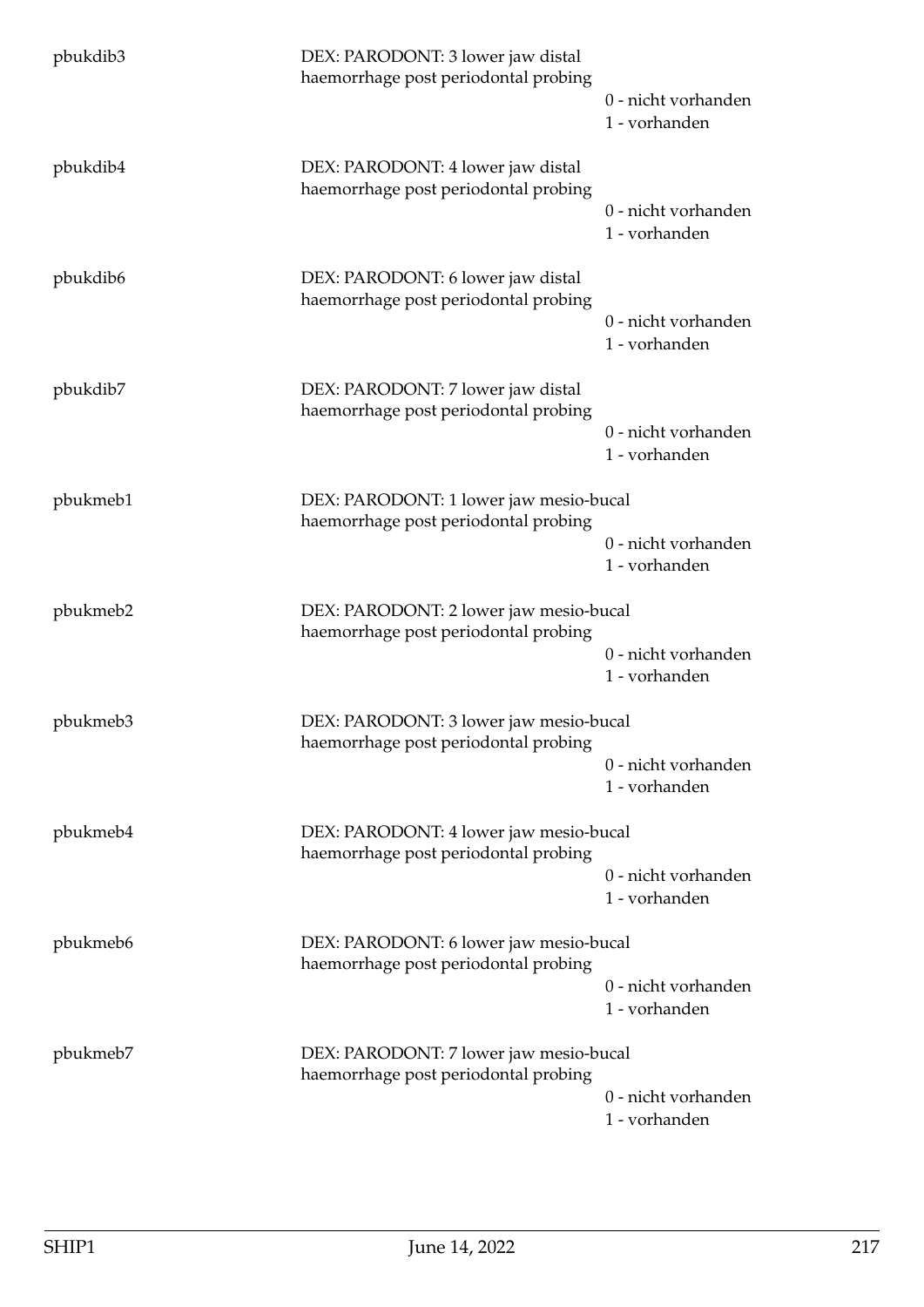| pbukdib3 | DEX: PARODONT: 3 lower jaw distal<br>haemorrhage post periodontal probing      | 0 - nicht vorhanden<br>1 - vorhanden |
|----------|--------------------------------------------------------------------------------|--------------------------------------|
| pbukdib4 | DEX: PARODONT: 4 lower jaw distal<br>haemorrhage post periodontal probing      | 0 - nicht vorhanden<br>1 - vorhanden |
| pbukdib6 | DEX: PARODONT: 6 lower jaw distal<br>haemorrhage post periodontal probing      | 0 - nicht vorhanden<br>1 - vorhanden |
| pbukdib7 | DEX: PARODONT: 7 lower jaw distal<br>haemorrhage post periodontal probing      | 0 - nicht vorhanden<br>1 - vorhanden |
| pbukmeb1 | DEX: PARODONT: 1 lower jaw mesio-bucal<br>haemorrhage post periodontal probing | 0 - nicht vorhanden<br>1 - vorhanden |
| pbukmeb2 | DEX: PARODONT: 2 lower jaw mesio-bucal<br>haemorrhage post periodontal probing | 0 - nicht vorhanden<br>1 - vorhanden |
| pbukmeb3 | DEX: PARODONT: 3 lower jaw mesio-bucal<br>haemorrhage post periodontal probing | 0 - nicht vorhanden<br>1 - vorhanden |
| pbukmeb4 | DEX: PARODONT: 4 lower jaw mesio-bucal<br>haemorrhage post periodontal probing | 0 - nicht vorhanden<br>1 - vorhanden |
| pbukmeb6 | DEX: PARODONT: 6 lower jaw mesio-bucal<br>haemorrhage post periodontal probing | 0 - nicht vorhanden<br>1 - vorhanden |
| pbukmeb7 | DEX: PARODONT: 7 lower jaw mesio-bucal<br>haemorrhage post periodontal probing | 0 - nicht vorhanden<br>1 - vorhanden |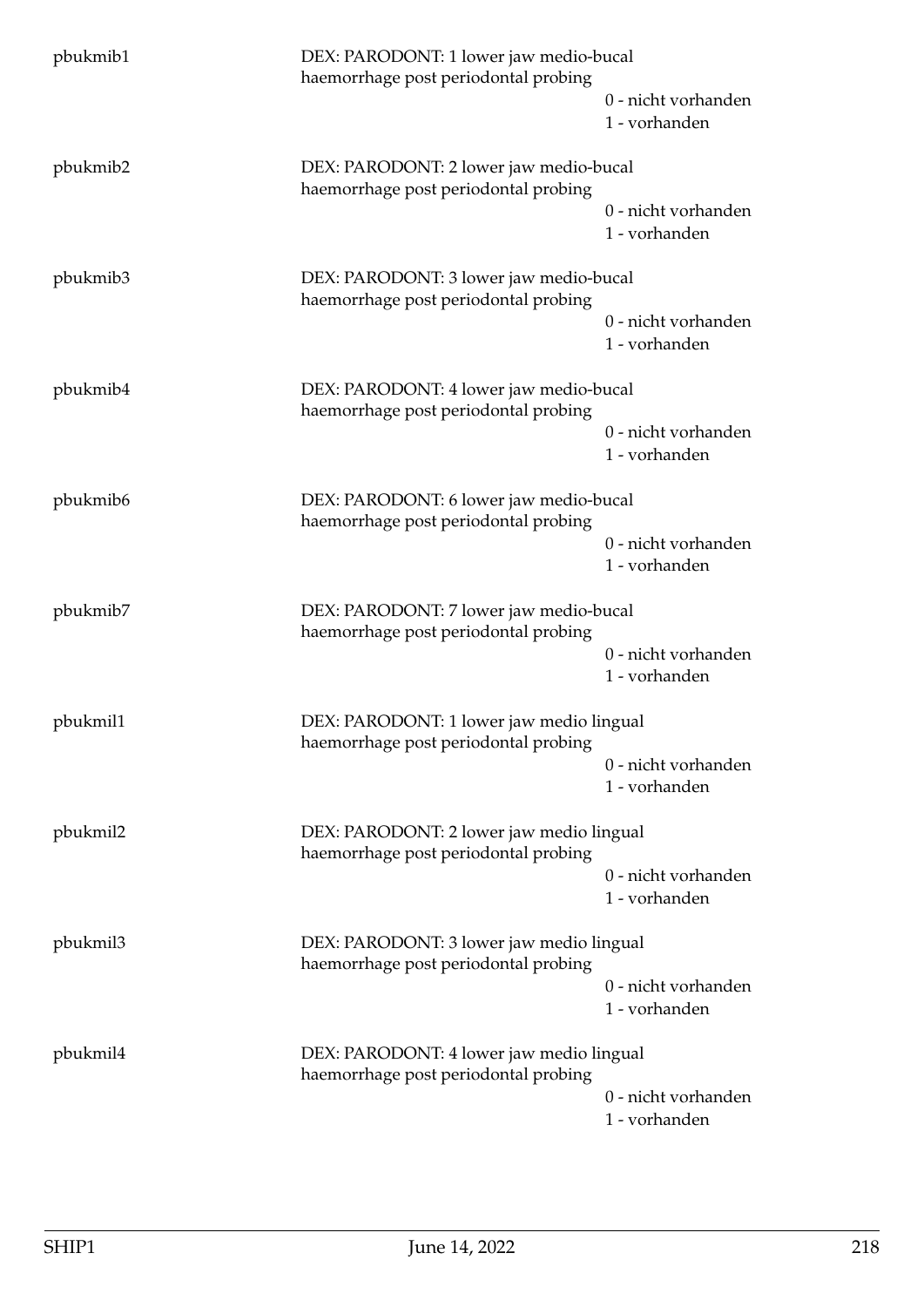| pbukmib1                                                                                   | DEX: PARODONT: 1 lower jaw medio-bucal<br>haemorrhage post periodontal probing   |                                      |
|--------------------------------------------------------------------------------------------|----------------------------------------------------------------------------------|--------------------------------------|
|                                                                                            |                                                                                  | 0 - nicht vorhanden<br>1 - vorhanden |
| pbukmib2                                                                                   | DEX: PARODONT: 2 lower jaw medio-bucal<br>haemorrhage post periodontal probing   |                                      |
|                                                                                            |                                                                                  | 0 - nicht vorhanden<br>1 - vorhanden |
| pbukmib3                                                                                   | DEX: PARODONT: 3 lower jaw medio-bucal<br>haemorrhage post periodontal probing   |                                      |
|                                                                                            |                                                                                  | 0 - nicht vorhanden<br>1 - vorhanden |
| pbukmib4                                                                                   | DEX: PARODONT: 4 lower jaw medio-bucal<br>haemorrhage post periodontal probing   |                                      |
|                                                                                            |                                                                                  | 0 - nicht vorhanden<br>1 - vorhanden |
| pbukmib6                                                                                   | DEX: PARODONT: 6 lower jaw medio-bucal<br>haemorrhage post periodontal probing   |                                      |
|                                                                                            |                                                                                  | 0 - nicht vorhanden<br>1 - vorhanden |
| pbukmib7<br>DEX: PARODONT: 7 lower jaw medio-bucal<br>haemorrhage post periodontal probing |                                                                                  |                                      |
|                                                                                            |                                                                                  | 0 - nicht vorhanden<br>1 - vorhanden |
| pbukmil1                                                                                   | DEX: PARODONT: 1 lower jaw medio lingual<br>haemorrhage post periodontal probing |                                      |
|                                                                                            |                                                                                  | 0 - nicht vorhanden<br>1 - vorhanden |
| pbukmil2                                                                                   | DEX: PARODONT: 2 lower jaw medio lingual<br>haemorrhage post periodontal probing |                                      |
|                                                                                            |                                                                                  | 0 - nicht vorhanden<br>1 - vorhanden |
| pbukmil3                                                                                   | DEX: PARODONT: 3 lower jaw medio lingual<br>haemorrhage post periodontal probing |                                      |
|                                                                                            |                                                                                  | 0 - nicht vorhanden<br>1 - vorhanden |
| pbukmil4                                                                                   | DEX: PARODONT: 4 lower jaw medio lingual<br>haemorrhage post periodontal probing |                                      |
|                                                                                            |                                                                                  | 0 - nicht vorhanden<br>1 - vorhanden |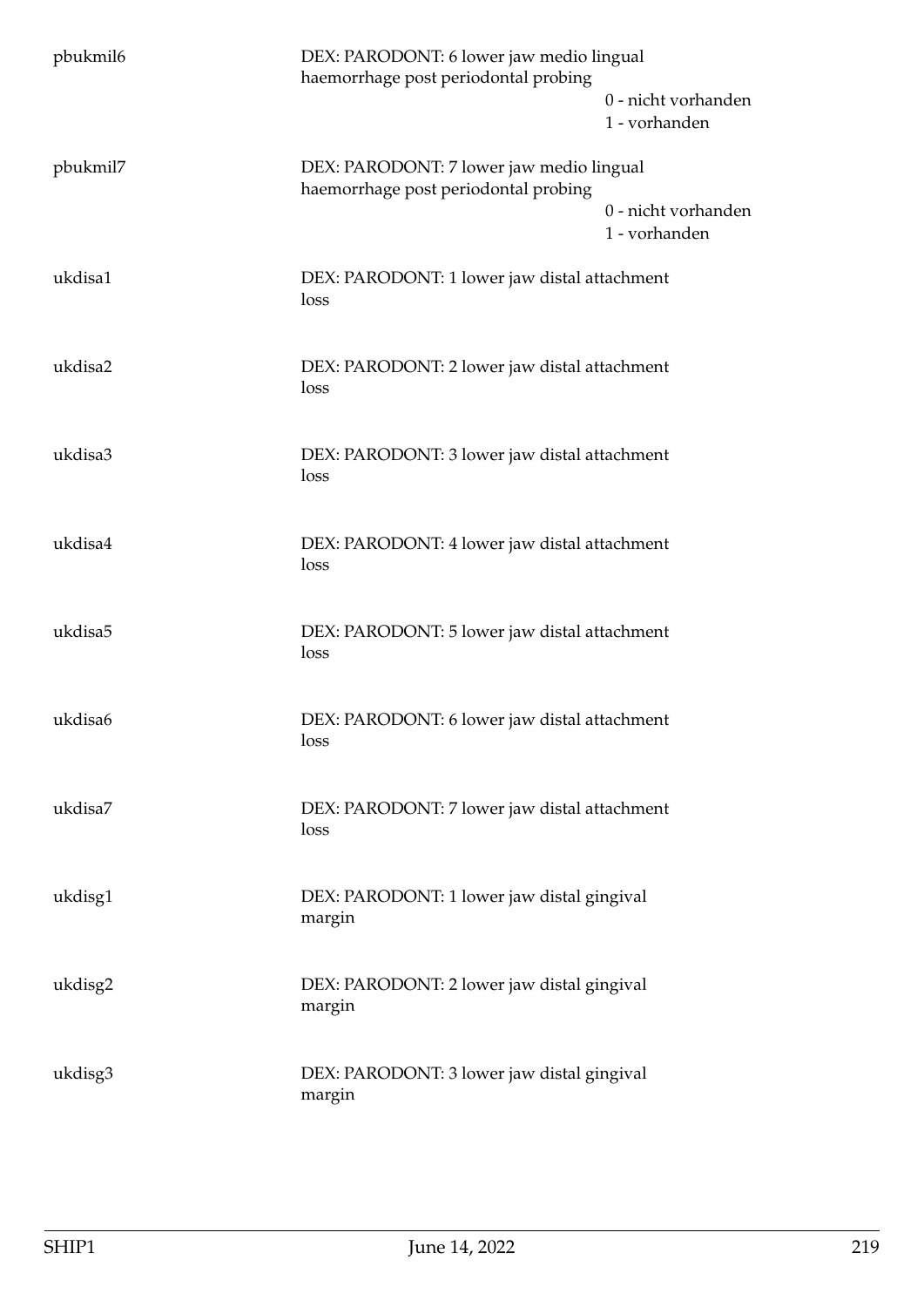| pbukmil6 | DEX: PARODONT: 6 lower jaw medio lingual<br>haemorrhage post periodontal probing |                                      |
|----------|----------------------------------------------------------------------------------|--------------------------------------|
|          |                                                                                  | 0 - nicht vorhanden<br>1 - vorhanden |
| pbukmil7 | DEX: PARODONT: 7 lower jaw medio lingual                                         |                                      |
|          | haemorrhage post periodontal probing                                             | 0 - nicht vorhanden<br>1 - vorhanden |
| ukdisa1  | DEX: PARODONT: 1 lower jaw distal attachment<br>loss                             |                                      |
| ukdisa2  | DEX: PARODONT: 2 lower jaw distal attachment<br>loss                             |                                      |
| ukdisa3  | DEX: PARODONT: 3 lower jaw distal attachment<br>loss                             |                                      |
| ukdisa4  | DEX: PARODONT: 4 lower jaw distal attachment<br>loss                             |                                      |
| ukdisa5  | DEX: PARODONT: 5 lower jaw distal attachment<br>loss                             |                                      |
| ukdisa6  | DEX: PARODONT: 6 lower jaw distal attachment<br>loss                             |                                      |
| ukdisa7  | DEX: PARODONT: 7 lower jaw distal attachment<br>loss                             |                                      |
| ukdisg1  | DEX: PARODONT: 1 lower jaw distal gingival<br>margin                             |                                      |
| ukdisg2  | DEX: PARODONT: 2 lower jaw distal gingival<br>margin                             |                                      |
| ukdisg3  | DEX: PARODONT: 3 lower jaw distal gingival<br>margin                             |                                      |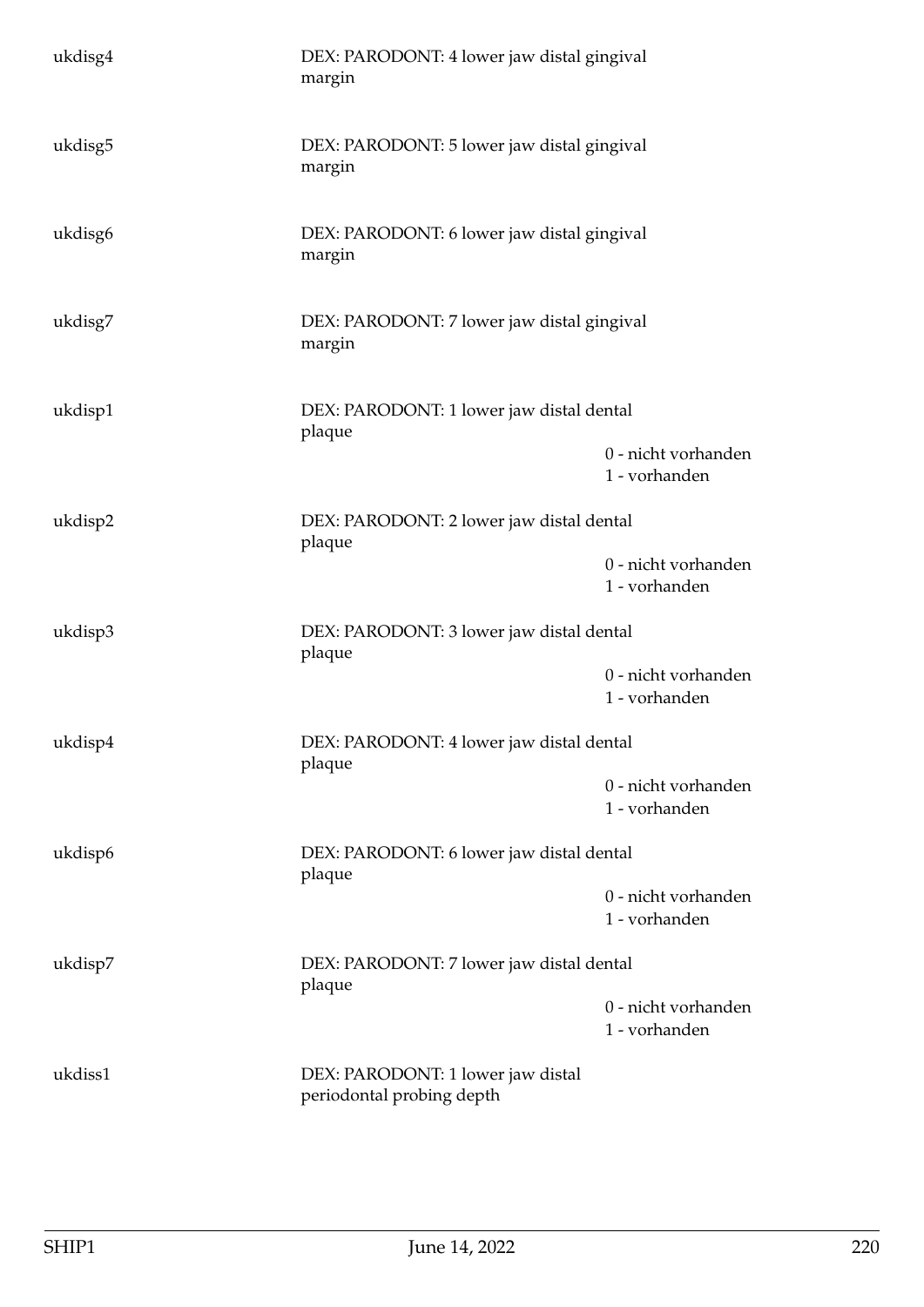| ukdisg4 | DEX: PARODONT: 4 lower jaw distal gingival<br>margin           |                                      |
|---------|----------------------------------------------------------------|--------------------------------------|
| ukdisg5 | DEX: PARODONT: 5 lower jaw distal gingival<br>margin           |                                      |
| ukdisg6 | DEX: PARODONT: 6 lower jaw distal gingival<br>margin           |                                      |
| ukdisg7 | DEX: PARODONT: 7 lower jaw distal gingival<br>margin           |                                      |
| ukdisp1 | DEX: PARODONT: 1 lower jaw distal dental<br>plaque             |                                      |
|         |                                                                | 0 - nicht vorhanden<br>1 - vorhanden |
| ukdisp2 | DEX: PARODONT: 2 lower jaw distal dental<br>plaque             |                                      |
|         |                                                                | 0 - nicht vorhanden<br>1 - vorhanden |
| ukdisp3 | DEX: PARODONT: 3 lower jaw distal dental<br>plaque             |                                      |
|         |                                                                | 0 - nicht vorhanden<br>1 - vorhanden |
| ukdisp4 | DEX: PARODONT: 4 lower jaw distal dental<br>plaque             |                                      |
|         |                                                                | 0 - nicht vorhanden<br>1 - vorhanden |
| ukdisp6 | DEX: PARODONT: 6 lower jaw distal dental<br>plaque             |                                      |
|         |                                                                | 0 - nicht vorhanden<br>1 - vorhanden |
| ukdisp7 | DEX: PARODONT: 7 lower jaw distal dental<br>plaque             |                                      |
|         |                                                                | 0 - nicht vorhanden<br>1 - vorhanden |
| ukdiss1 | DEX: PARODONT: 1 lower jaw distal<br>periodontal probing depth |                                      |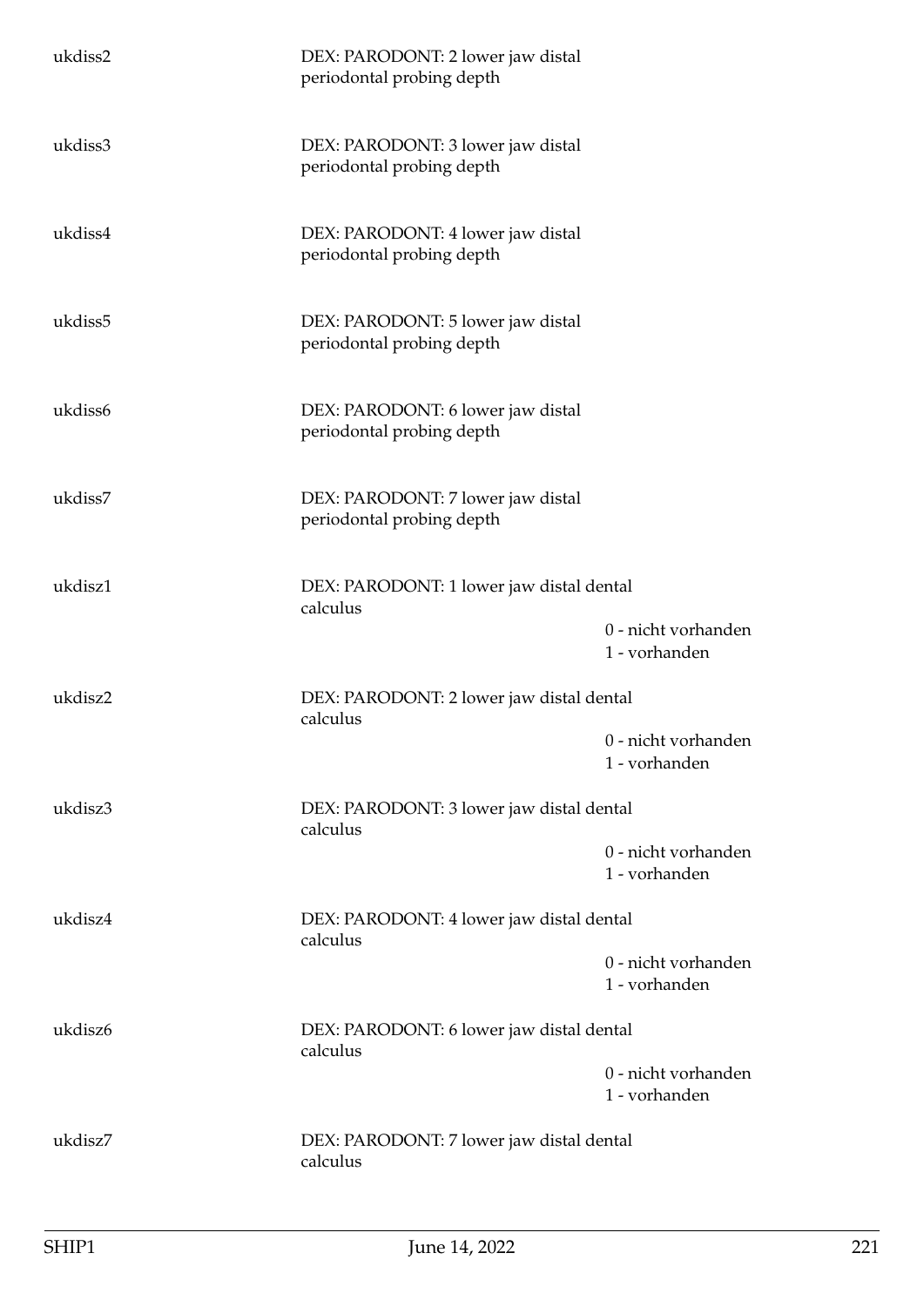| ukdiss2 | DEX: PARODONT: 2 lower jaw distal<br>periodontal probing depth |                                      |
|---------|----------------------------------------------------------------|--------------------------------------|
| ukdiss3 | DEX: PARODONT: 3 lower jaw distal<br>periodontal probing depth |                                      |
| ukdiss4 | DEX: PARODONT: 4 lower jaw distal<br>periodontal probing depth |                                      |
| ukdiss5 | DEX: PARODONT: 5 lower jaw distal<br>periodontal probing depth |                                      |
| ukdiss6 | DEX: PARODONT: 6 lower jaw distal<br>periodontal probing depth |                                      |
| ukdiss7 | DEX: PARODONT: 7 lower jaw distal<br>periodontal probing depth |                                      |
| ukdisz1 | DEX: PARODONT: 1 lower jaw distal dental<br>calculus           | 0 - nicht vorhanden                  |
|         |                                                                | 1 - vorhanden                        |
| ukdisz2 | DEX: PARODONT: 2 lower jaw distal dental<br>calculus           |                                      |
|         |                                                                | 0 - nicht vorhanden<br>1 - vorhanden |
| ukdisz3 | DEX: PARODONT: 3 lower jaw distal dental<br>calculus           |                                      |
|         |                                                                | 0 - nicht vorhanden<br>1 - vorhanden |
| ukdisz4 | DEX: PARODONT: 4 lower jaw distal dental<br>calculus           |                                      |
|         |                                                                | 0 - nicht vorhanden<br>1 - vorhanden |
| ukdisz6 | DEX: PARODONT: 6 lower jaw distal dental<br>calculus           |                                      |
|         |                                                                | 0 - nicht vorhanden<br>1 - vorhanden |
| ukdisz7 | DEX: PARODONT: 7 lower jaw distal dental<br>calculus           |                                      |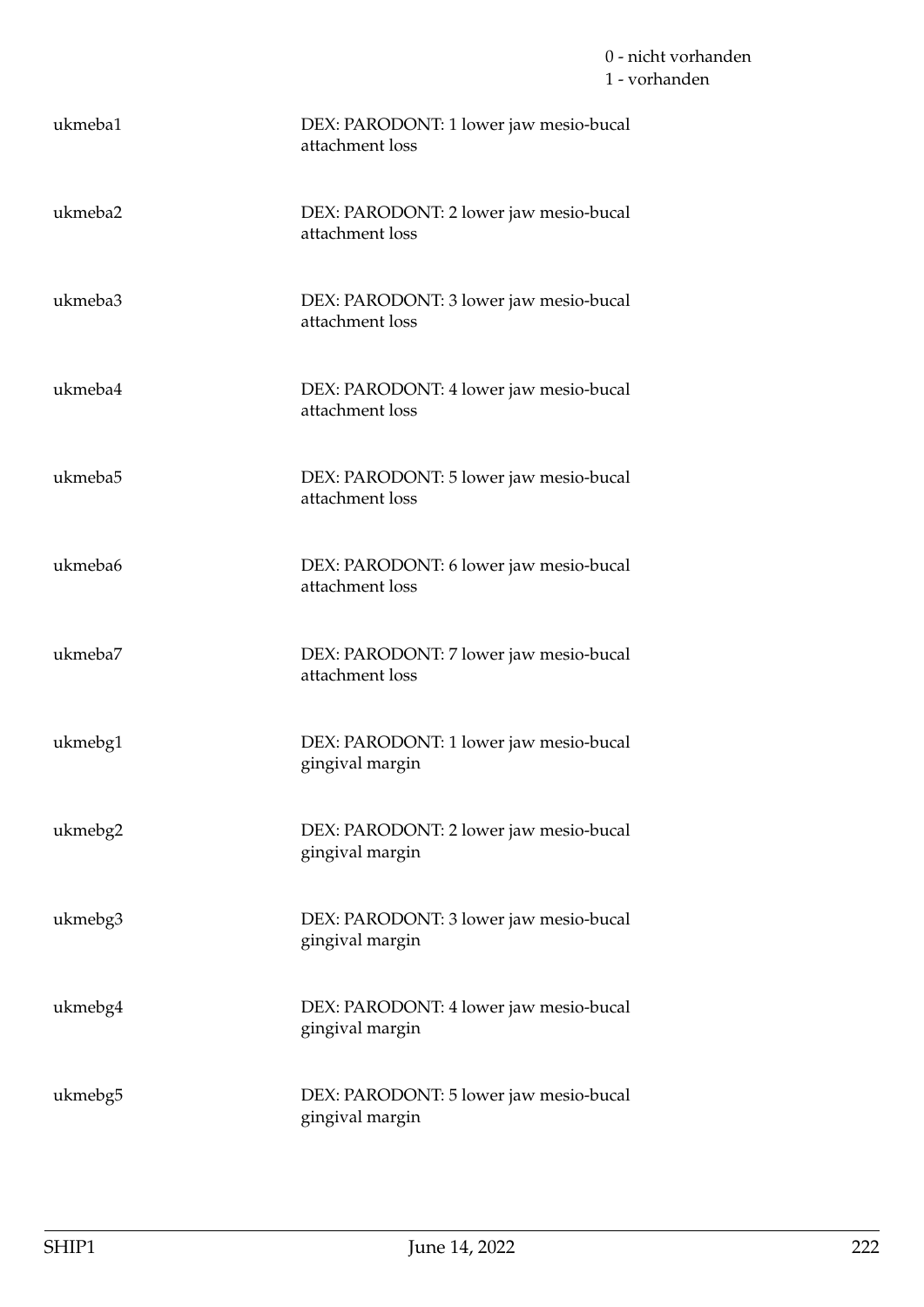| ukmeba1 | DEX: PARODONT: 1 lower jaw mesio-bucal<br>attachment loss |
|---------|-----------------------------------------------------------|
| ukmeba2 | DEX: PARODONT: 2 lower jaw mesio-bucal<br>attachment loss |
| ukmeba3 | DEX: PARODONT: 3 lower jaw mesio-bucal<br>attachment loss |
| ukmeba4 | DEX: PARODONT: 4 lower jaw mesio-bucal<br>attachment loss |
| ukmeba5 | DEX: PARODONT: 5 lower jaw mesio-bucal<br>attachment loss |
| ukmeba6 | DEX: PARODONT: 6 lower jaw mesio-bucal<br>attachment loss |
| ukmeba7 | DEX: PARODONT: 7 lower jaw mesio-bucal<br>attachment loss |
| ukmebg1 | DEX: PARODONT: 1 lower jaw mesio-bucal<br>gingival margin |
| ukmebg2 | DEX: PARODONT: 2 lower jaw mesio-bucal<br>gingival margin |
| ukmebg3 | DEX: PARODONT: 3 lower jaw mesio-bucal<br>gingival margin |
| ukmebg4 | DEX: PARODONT: 4 lower jaw mesio-bucal<br>gingival margin |
| ukmebg5 | DEX: PARODONT: 5 lower jaw mesio-bucal<br>gingival margin |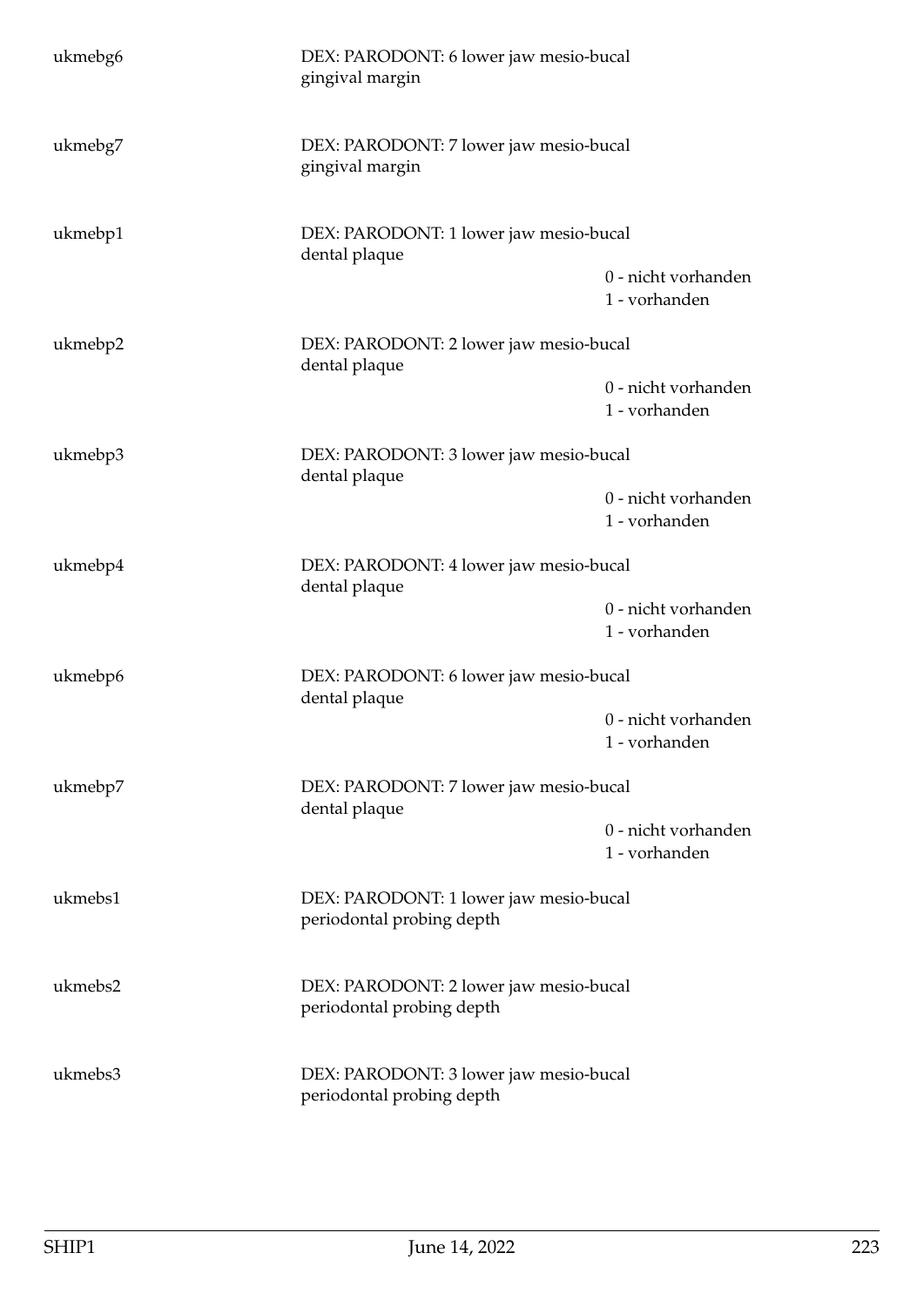| ukmebg6 | DEX: PARODONT: 6 lower jaw mesio-bucal<br>gingival margin           |                                      |  |
|---------|---------------------------------------------------------------------|--------------------------------------|--|
| ukmebg7 | DEX: PARODONT: 7 lower jaw mesio-bucal<br>gingival margin           |                                      |  |
| ukmebp1 | DEX: PARODONT: 1 lower jaw mesio-bucal<br>dental plaque             |                                      |  |
|         |                                                                     | 0 - nicht vorhanden<br>1 - vorhanden |  |
| ukmebp2 | DEX: PARODONT: 2 lower jaw mesio-bucal<br>dental plaque             |                                      |  |
|         |                                                                     | 0 - nicht vorhanden<br>1 - vorhanden |  |
| ukmebp3 | DEX: PARODONT: 3 lower jaw mesio-bucal<br>dental plaque             |                                      |  |
|         |                                                                     | 0 - nicht vorhanden<br>1 - vorhanden |  |
| ukmebp4 | DEX: PARODONT: 4 lower jaw mesio-bucal<br>dental plaque             |                                      |  |
|         |                                                                     | 0 - nicht vorhanden<br>1 - vorhanden |  |
| ukmebp6 | DEX: PARODONT: 6 lower jaw mesio-bucal<br>dental plaque             |                                      |  |
|         |                                                                     | 0 - nicht vorhanden<br>1 - vorhanden |  |
| ukmebp7 | DEX: PARODONT: 7 lower jaw mesio-bucal<br>dental plaque             |                                      |  |
|         |                                                                     | 0 - nicht vorhanden<br>1 - vorhanden |  |
| ukmebs1 | DEX: PARODONT: 1 lower jaw mesio-bucal<br>periodontal probing depth |                                      |  |
| ukmebs2 | DEX: PARODONT: 2 lower jaw mesio-bucal<br>periodontal probing depth |                                      |  |
| ukmebs3 | DEX: PARODONT: 3 lower jaw mesio-bucal<br>periodontal probing depth |                                      |  |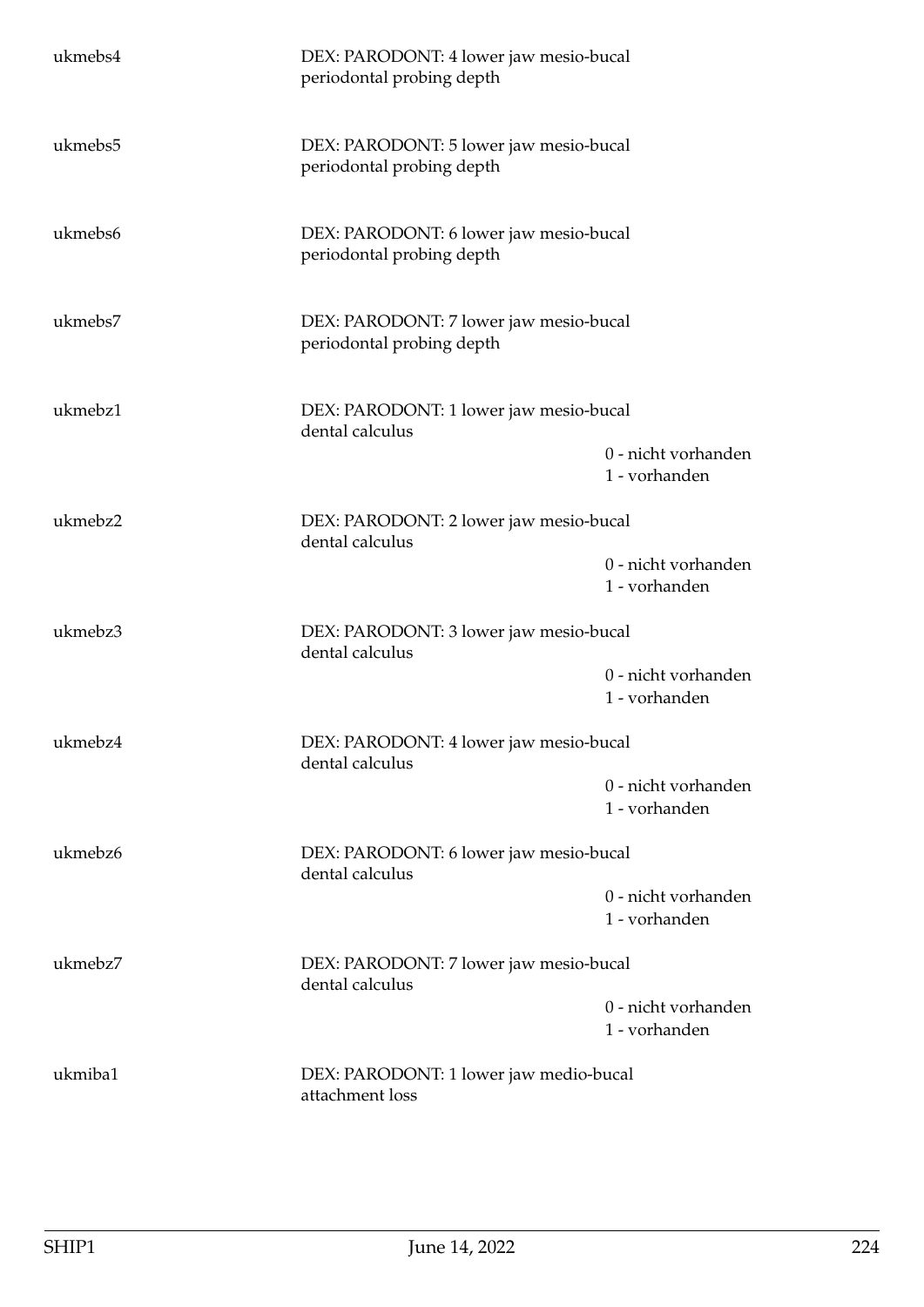| ukmebs4 | DEX: PARODONT: 4 lower jaw mesio-bucal<br>periodontal probing depth |                                      |  |
|---------|---------------------------------------------------------------------|--------------------------------------|--|
| ukmebs5 | DEX: PARODONT: 5 lower jaw mesio-bucal<br>periodontal probing depth |                                      |  |
| ukmebs6 | DEX: PARODONT: 6 lower jaw mesio-bucal<br>periodontal probing depth |                                      |  |
| ukmebs7 | DEX: PARODONT: 7 lower jaw mesio-bucal<br>periodontal probing depth |                                      |  |
| ukmebz1 | DEX: PARODONT: 1 lower jaw mesio-bucal<br>dental calculus           |                                      |  |
|         |                                                                     | 0 - nicht vorhanden<br>1 - vorhanden |  |
| ukmebz2 | DEX: PARODONT: 2 lower jaw mesio-bucal<br>dental calculus           |                                      |  |
|         |                                                                     | 0 - nicht vorhanden<br>1 - vorhanden |  |
| ukmebz3 | DEX: PARODONT: 3 lower jaw mesio-bucal<br>dental calculus           |                                      |  |
|         |                                                                     | 0 - nicht vorhanden<br>1 - vorhanden |  |
| ukmebz4 | DEX: PARODONT: 4 lower jaw mesio-bucal<br>dental calculus           |                                      |  |
|         |                                                                     | 0 - nicht vorhanden<br>1 - vorhanden |  |
| ukmebz6 | DEX: PARODONT: 6 lower jaw mesio-bucal<br>dental calculus           |                                      |  |
|         |                                                                     | 0 - nicht vorhanden<br>1 - vorhanden |  |
| ukmebz7 | DEX: PARODONT: 7 lower jaw mesio-bucal<br>dental calculus           |                                      |  |
|         |                                                                     | 0 - nicht vorhanden<br>1 - vorhanden |  |
| ukmiba1 | DEX: PARODONT: 1 lower jaw medio-bucal<br>attachment loss           |                                      |  |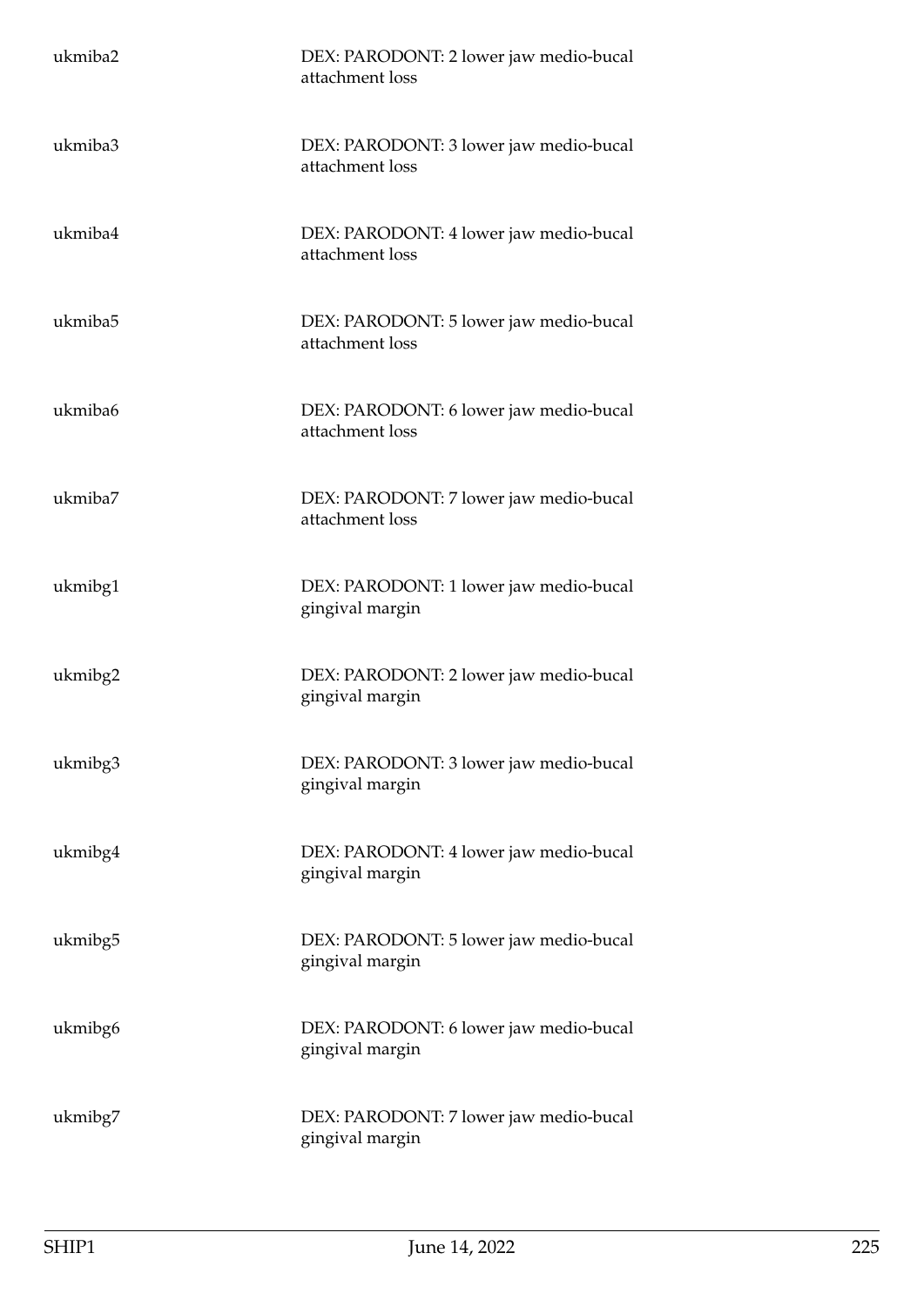| ukmiba2 | DEX: PARODONT: 2 lower jaw medio-bucal<br>attachment loss |
|---------|-----------------------------------------------------------|
| ukmiba3 | DEX: PARODONT: 3 lower jaw medio-bucal<br>attachment loss |
| ukmiba4 | DEX: PARODONT: 4 lower jaw medio-bucal<br>attachment loss |
| ukmiba5 | DEX: PARODONT: 5 lower jaw medio-bucal<br>attachment loss |
| ukmiba6 | DEX: PARODONT: 6 lower jaw medio-bucal<br>attachment loss |
| ukmiba7 | DEX: PARODONT: 7 lower jaw medio-bucal<br>attachment loss |
| ukmibg1 | DEX: PARODONT: 1 lower jaw medio-bucal<br>gingival margin |
| ukmibg2 | DEX: PARODONT: 2 lower jaw medio-bucal<br>gingival margin |
| ukmibg3 | DEX: PARODONT: 3 lower jaw medio-bucal<br>gingival margin |
| ukmibg4 | DEX: PARODONT: 4 lower jaw medio-bucal<br>gingival margin |
| ukmibg5 | DEX: PARODONT: 5 lower jaw medio-bucal<br>gingival margin |
| ukmibg6 | DEX: PARODONT: 6 lower jaw medio-bucal<br>gingival margin |
| ukmibg7 | DEX: PARODONT: 7 lower jaw medio-bucal<br>gingival margin |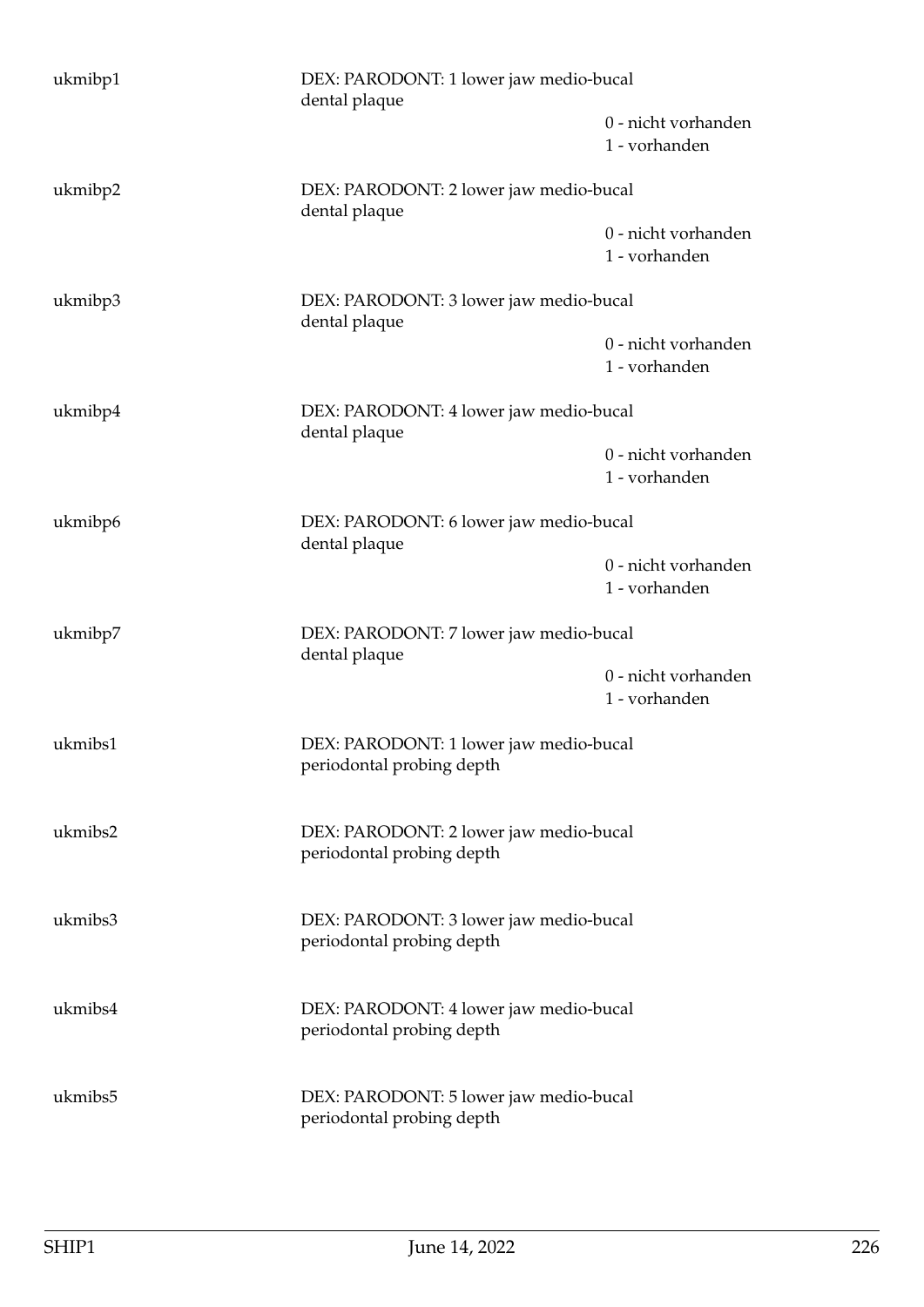| ukmibp1 | DEX: PARODONT: 1 lower jaw medio-bucal<br>dental plaque             |                                      |
|---------|---------------------------------------------------------------------|--------------------------------------|
|         |                                                                     | 0 - nicht vorhanden<br>1 - vorhanden |
| ukmibp2 | DEX: PARODONT: 2 lower jaw medio-bucal<br>dental plaque             |                                      |
|         |                                                                     | 0 - nicht vorhanden<br>1 - vorhanden |
| ukmibp3 | DEX: PARODONT: 3 lower jaw medio-bucal<br>dental plaque             |                                      |
|         |                                                                     | 0 - nicht vorhanden<br>1 - vorhanden |
| ukmibp4 | DEX: PARODONT: 4 lower jaw medio-bucal<br>dental plaque             |                                      |
|         |                                                                     | 0 - nicht vorhanden<br>1 - vorhanden |
| ukmibp6 | DEX: PARODONT: 6 lower jaw medio-bucal<br>dental plaque             |                                      |
|         |                                                                     | 0 - nicht vorhanden<br>1 - vorhanden |
| ukmibp7 | DEX: PARODONT: 7 lower jaw medio-bucal<br>dental plaque             |                                      |
|         |                                                                     | 0 - nicht vorhanden<br>1 - vorhanden |
| ukmibs1 | DEX: PARODONT: 1 lower jaw medio-bucal<br>periodontal probing depth |                                      |
| ukmibs2 | DEX: PARODONT: 2 lower jaw medio-bucal<br>periodontal probing depth |                                      |
| ukmibs3 | DEX: PARODONT: 3 lower jaw medio-bucal<br>periodontal probing depth |                                      |
| ukmibs4 | DEX: PARODONT: 4 lower jaw medio-bucal<br>periodontal probing depth |                                      |
| ukmibs5 | DEX: PARODONT: 5 lower jaw medio-bucal<br>periodontal probing depth |                                      |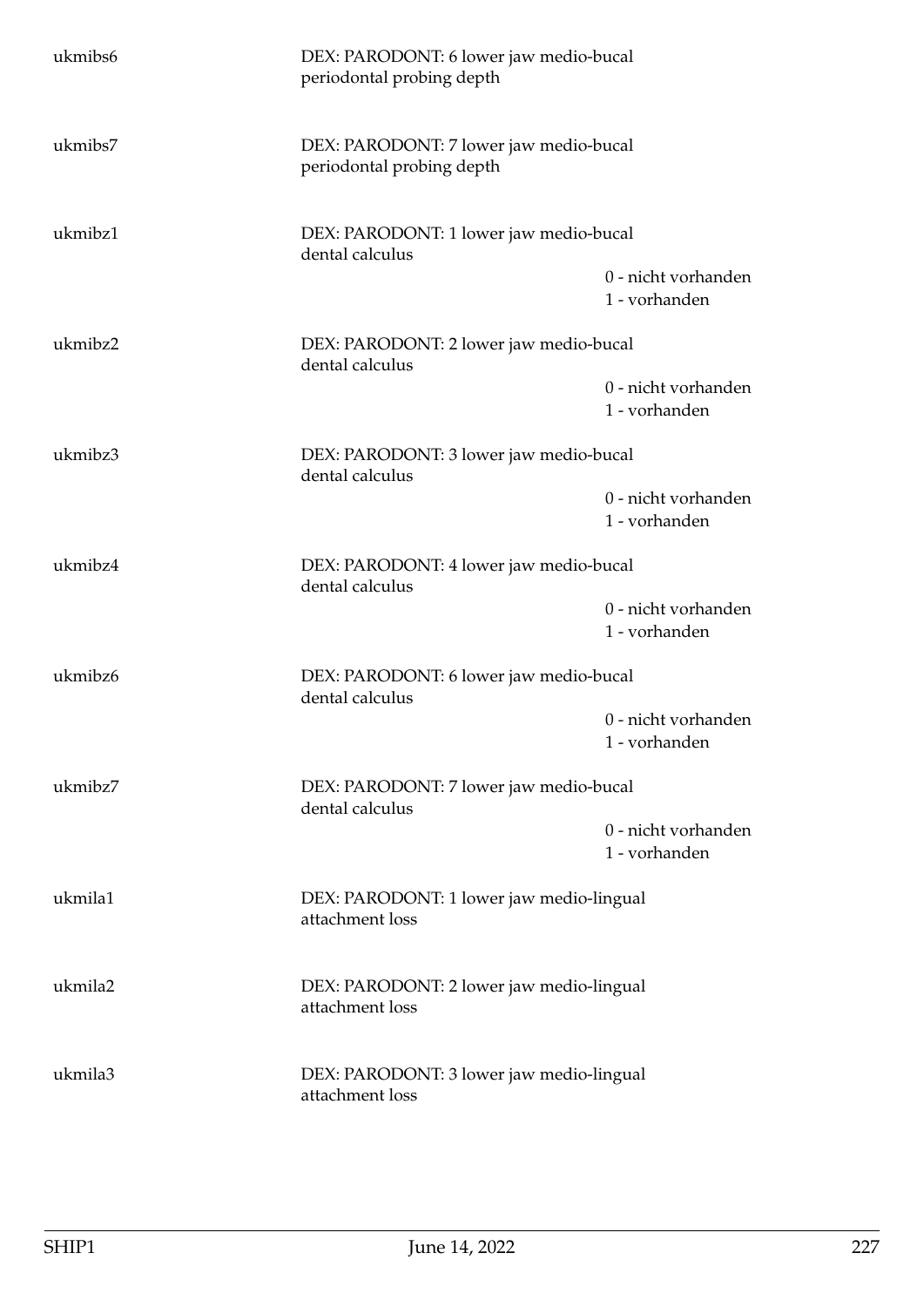| ukmibs6 | DEX: PARODONT: 6 lower jaw medio-bucal<br>periodontal probing depth |                                      |  |
|---------|---------------------------------------------------------------------|--------------------------------------|--|
| ukmibs7 | DEX: PARODONT: 7 lower jaw medio-bucal<br>periodontal probing depth |                                      |  |
| ukmibz1 | DEX: PARODONT: 1 lower jaw medio-bucal<br>dental calculus           |                                      |  |
|         |                                                                     | 0 - nicht vorhanden<br>1 - vorhanden |  |
| ukmibz2 | DEX: PARODONT: 2 lower jaw medio-bucal<br>dental calculus           |                                      |  |
|         |                                                                     | 0 - nicht vorhanden<br>1 - vorhanden |  |
| ukmibz3 | DEX: PARODONT: 3 lower jaw medio-bucal<br>dental calculus           |                                      |  |
|         |                                                                     | 0 - nicht vorhanden<br>1 - vorhanden |  |
| ukmibz4 | DEX: PARODONT: 4 lower jaw medio-bucal<br>dental calculus           |                                      |  |
|         |                                                                     | 0 - nicht vorhanden<br>1 - vorhanden |  |
| ukmibz6 | DEX: PARODONT: 6 lower jaw medio-bucal<br>dental calculus           |                                      |  |
|         |                                                                     | 0 - nicht vorhanden<br>1 - vorhanden |  |
| ukmibz7 | DEX: PARODONT: 7 lower jaw medio-bucal<br>dental calculus           |                                      |  |
|         |                                                                     | 0 - nicht vorhanden<br>1 - vorhanden |  |
| ukmila1 | DEX: PARODONT: 1 lower jaw medio-lingual<br>attachment loss         |                                      |  |
| ukmila2 | DEX: PARODONT: 2 lower jaw medio-lingual<br>attachment loss         |                                      |  |
| ukmila3 | DEX: PARODONT: 3 lower jaw medio-lingual<br>attachment loss         |                                      |  |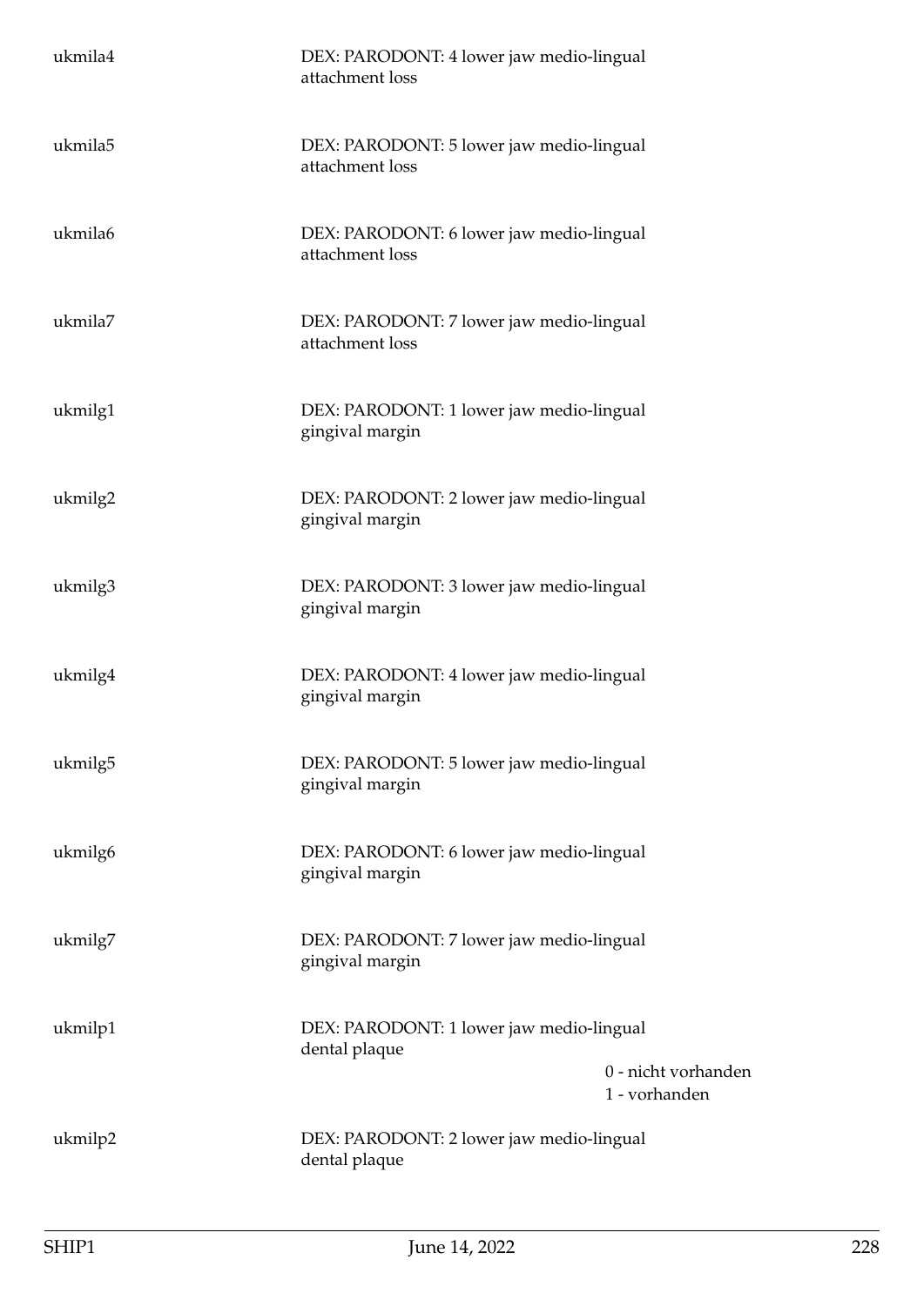| ukmila4 | DEX: PARODONT: 4 lower jaw medio-lingual<br>attachment loss |                                      |
|---------|-------------------------------------------------------------|--------------------------------------|
| ukmila5 | DEX: PARODONT: 5 lower jaw medio-lingual<br>attachment loss |                                      |
| ukmila6 | DEX: PARODONT: 6 lower jaw medio-lingual<br>attachment loss |                                      |
| ukmila7 | DEX: PARODONT: 7 lower jaw medio-lingual<br>attachment loss |                                      |
| ukmilg1 | DEX: PARODONT: 1 lower jaw medio-lingual<br>gingival margin |                                      |
| ukmilg2 | DEX: PARODONT: 2 lower jaw medio-lingual<br>gingival margin |                                      |
| ukmilg3 | DEX: PARODONT: 3 lower jaw medio-lingual<br>gingival margin |                                      |
| ukmilg4 | DEX: PARODONT: 4 lower jaw medio-lingual<br>gingival margin |                                      |
| ukmilg5 | DEX: PARODONT: 5 lower jaw medio-lingual<br>gingival margin |                                      |
| ukmilg6 | DEX: PARODONT: 6 lower jaw medio-lingual<br>gingival margin |                                      |
| ukmilg7 | DEX: PARODONT: 7 lower jaw medio-lingual<br>gingival margin |                                      |
| ukmilp1 | DEX: PARODONT: 1 lower jaw medio-lingual<br>dental plaque   | 0 - nicht vorhanden<br>1 - vorhanden |
| ukmilp2 | DEX: PARODONT: 2 lower jaw medio-lingual<br>dental plaque   |                                      |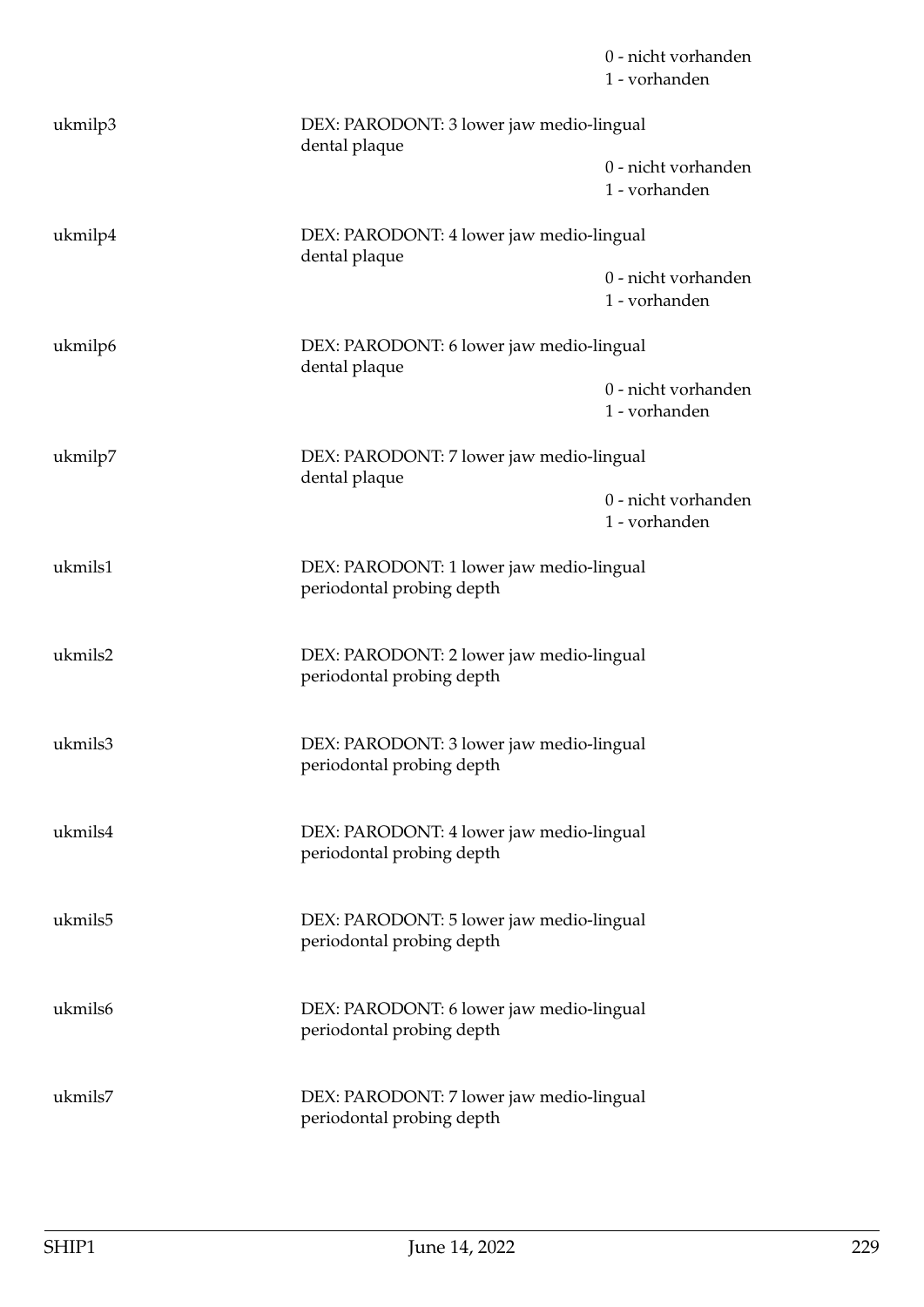|         |                                                                       | 0 - nicht vorhanden<br>1 - vorhanden |
|---------|-----------------------------------------------------------------------|--------------------------------------|
| ukmilp3 | DEX: PARODONT: 3 lower jaw medio-lingual<br>dental plaque             |                                      |
|         |                                                                       | 0 - nicht vorhanden<br>1 - vorhanden |
| ukmilp4 | DEX: PARODONT: 4 lower jaw medio-lingual<br>dental plaque             |                                      |
|         |                                                                       | 0 - nicht vorhanden<br>1 - vorhanden |
| ukmilp6 | DEX: PARODONT: 6 lower jaw medio-lingual<br>dental plaque             |                                      |
|         |                                                                       | 0 - nicht vorhanden<br>1 - vorhanden |
| ukmilp7 | DEX: PARODONT: 7 lower jaw medio-lingual<br>dental plaque             |                                      |
|         |                                                                       | 0 - nicht vorhanden<br>1 - vorhanden |
| ukmils1 | DEX: PARODONT: 1 lower jaw medio-lingual<br>periodontal probing depth |                                      |
| ukmils2 | DEX: PARODONT: 2 lower jaw medio-lingual<br>periodontal probing depth |                                      |
| ukmils3 | DEX: PARODONT: 3 lower jaw medio-lingual<br>periodontal probing depth |                                      |
| ukmils4 | DEX: PARODONT: 4 lower jaw medio-lingual<br>periodontal probing depth |                                      |
| ukmils5 | DEX: PARODONT: 5 lower jaw medio-lingual<br>periodontal probing depth |                                      |
| ukmils6 | DEX: PARODONT: 6 lower jaw medio-lingual<br>periodontal probing depth |                                      |
| ukmils7 | DEX: PARODONT: 7 lower jaw medio-lingual<br>periodontal probing depth |                                      |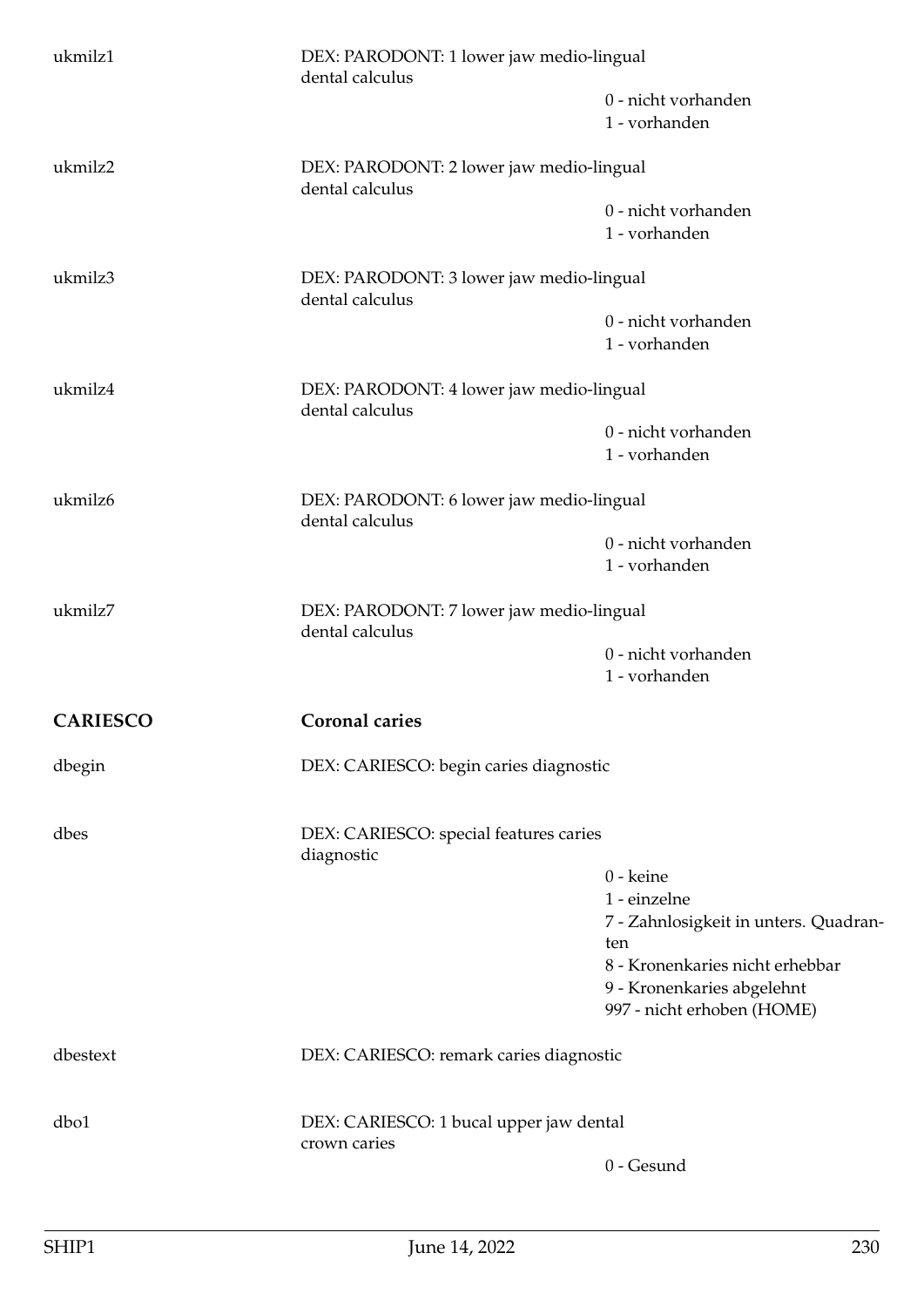| ukmilz1         | DEX: PARODONT: 1 lower jaw medio-lingual<br>dental calculus |                                              |
|-----------------|-------------------------------------------------------------|----------------------------------------------|
|                 |                                                             | 0 - nicht vorhanden<br>1 - vorhanden         |
| ukmilz2         | DEX: PARODONT: 2 lower jaw medio-lingual<br>dental calculus |                                              |
|                 |                                                             | 0 - nicht vorhanden<br>1 - vorhanden         |
| ukmilz3         | DEX: PARODONT: 3 lower jaw medio-lingual<br>dental calculus |                                              |
|                 |                                                             | 0 - nicht vorhanden<br>1 - vorhanden         |
| ukmilz4         | DEX: PARODONT: 4 lower jaw medio-lingual<br>dental calculus |                                              |
|                 |                                                             | 0 - nicht vorhanden<br>1 - vorhanden         |
| ukmilz6         | DEX: PARODONT: 6 lower jaw medio-lingual<br>dental calculus |                                              |
|                 |                                                             | 0 - nicht vorhanden<br>1 - vorhanden         |
| ukmilz7         | DEX: PARODONT: 7 lower jaw medio-lingual<br>dental calculus |                                              |
|                 |                                                             | 0 - nicht vorhanden<br>1 - vorhanden         |
| <b>CARIESCO</b> | <b>Coronal caries</b>                                       |                                              |
| dbegin          | DEX: CARIESCO: begin caries diagnostic                      |                                              |
| dbes            | DEX: CARIESCO: special features caries<br>diagnostic        |                                              |
|                 |                                                             | 0 - keine                                    |
|                 |                                                             | 1 - einzelne                                 |
|                 |                                                             | 7 - Zahnlosigkeit in unters. Quadran-<br>ten |
|                 |                                                             | 8 - Kronenkaries nicht erhebbar              |
|                 |                                                             | 9 - Kronenkaries abgelehnt                   |
|                 |                                                             | 997 - nicht erhoben (HOME)                   |
| dbestext        | DEX: CARIESCO: remark caries diagnostic                     |                                              |
| dbo1            | DEX: CARIESCO: 1 bucal upper jaw dental                     |                                              |
|                 | crown caries                                                | 0 - Gesund                                   |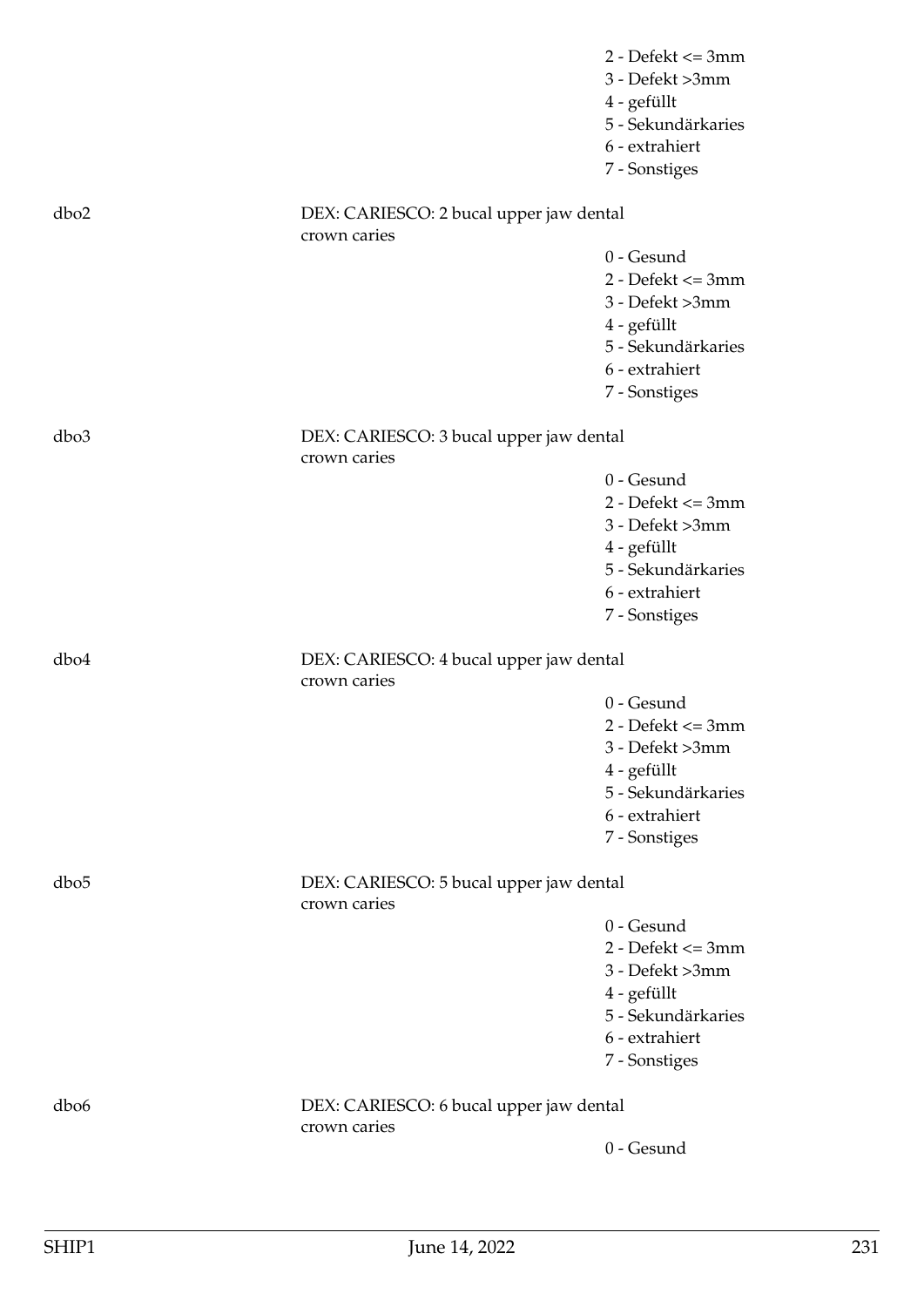|                  |                                                         | $2 - Defekt \leq 3mm$ |
|------------------|---------------------------------------------------------|-----------------------|
|                  |                                                         | 3 - Defekt >3mm       |
|                  |                                                         | 4 - gefüllt           |
|                  |                                                         | 5 - Sekundärkaries    |
|                  |                                                         | 6 - extrahiert        |
|                  |                                                         | 7 - Sonstiges         |
| dbo <sub>2</sub> | DEX: CARIESCO: 2 bucal upper jaw dental<br>crown caries |                       |
|                  |                                                         | 0 - Gesund            |
|                  |                                                         | $2 - Defekt \leq 3mm$ |
|                  |                                                         | 3 - Defekt >3mm       |
|                  |                                                         | 4 - gefüllt           |
|                  |                                                         | 5 - Sekundärkaries    |
|                  |                                                         | 6 - extrahiert        |
|                  |                                                         | 7 - Sonstiges         |
| dbo <sub>3</sub> | DEX: CARIESCO: 3 bucal upper jaw dental                 |                       |
|                  | crown caries                                            |                       |
|                  |                                                         | 0 - Gesund            |
|                  |                                                         | $2 - Defekt \leq 3mm$ |
|                  |                                                         | 3 - Defekt >3mm       |
|                  |                                                         | 4 - gefüllt           |
|                  |                                                         | 5 - Sekundärkaries    |
|                  |                                                         | 6 - extrahiert        |
|                  |                                                         | 7 - Sonstiges         |
| dbo4             | DEX: CARIESCO: 4 bucal upper jaw dental<br>crown caries |                       |
|                  |                                                         | 0 - Gesund            |
|                  |                                                         | $2 - Defekt \leq 3mm$ |
|                  |                                                         | 3 - Defekt >3mm       |
|                  |                                                         | 4 - gefüllt           |
|                  |                                                         | 5 - Sekundärkaries    |
|                  |                                                         | 6 - extrahiert        |
|                  |                                                         | 7 - Sonstiges         |
| dbo <sub>5</sub> | DEX: CARIESCO: 5 bucal upper jaw dental<br>crown caries |                       |
|                  |                                                         | 0 - Gesund            |
|                  |                                                         | $2 - Defekt \leq 3mm$ |
|                  |                                                         | 3 - Defekt >3mm       |
|                  |                                                         | 4 - gefüllt           |
|                  |                                                         | 5 - Sekundärkaries    |
|                  |                                                         | 6 - extrahiert        |
|                  |                                                         | 7 - Sonstiges         |
| dbo6             | DEX: CARIESCO: 6 bucal upper jaw dental<br>crown caries |                       |
|                  |                                                         | 0 - Gesund            |
|                  |                                                         |                       |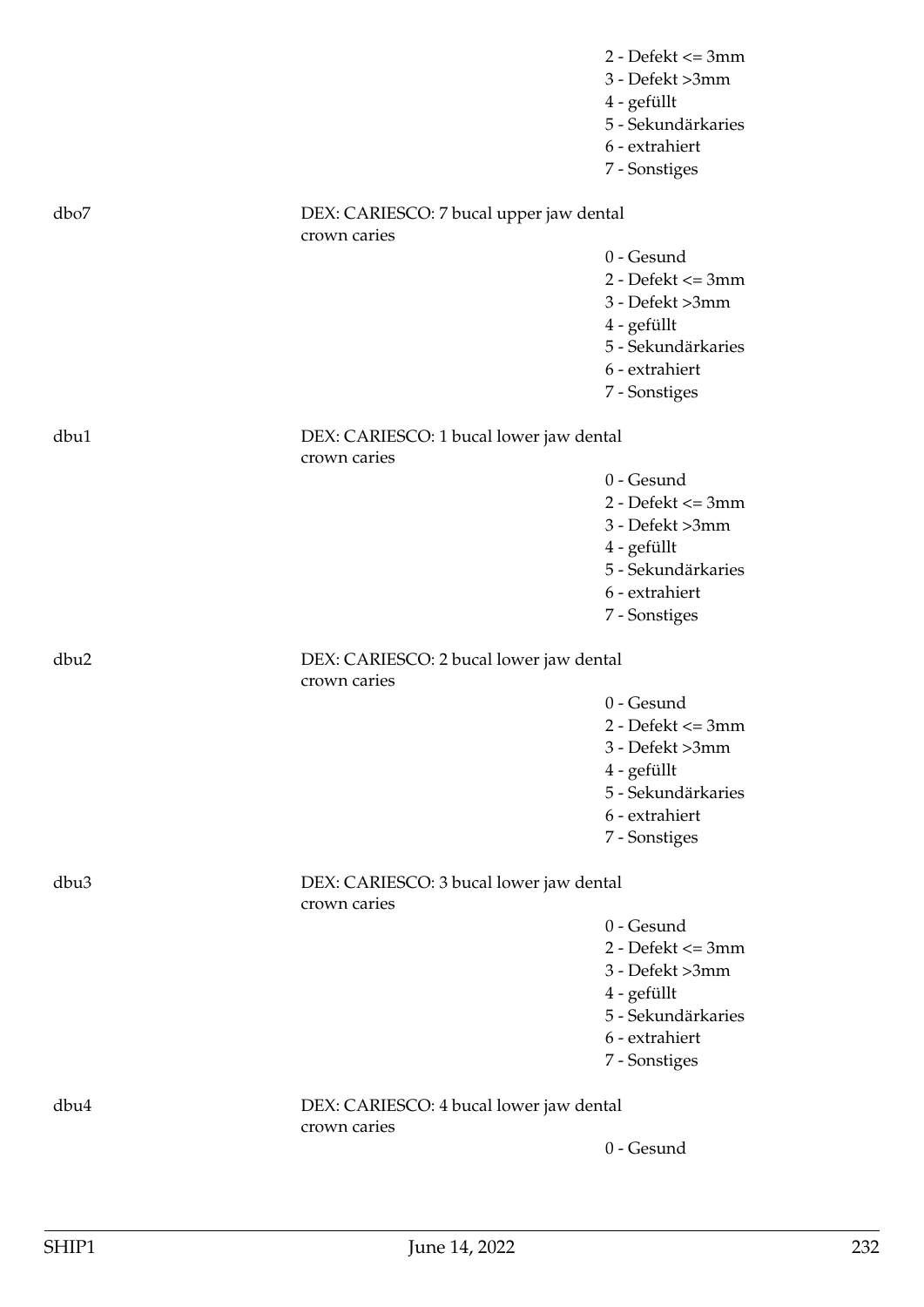|                  |                                                         | $2$ - Defekt $\leq$ 3mm<br>3 - Defekt >3mm<br>4 - gefüllt<br>5 - Sekundärkaries |
|------------------|---------------------------------------------------------|---------------------------------------------------------------------------------|
|                  |                                                         | 6 - extrahiert<br>7 - Sonstiges                                                 |
| dbo7             | DEX: CARIESCO: 7 bucal upper jaw dental<br>crown caries |                                                                                 |
|                  |                                                         | $0 -$ Gesund                                                                    |
|                  |                                                         | $2 - Defekt \leq 3mm$                                                           |
|                  |                                                         | 3 - Defekt >3mm                                                                 |
|                  |                                                         | 4 - gefüllt                                                                     |
|                  |                                                         | 5 - Sekundärkaries                                                              |
|                  |                                                         | 6 - extrahiert                                                                  |
|                  |                                                         | 7 - Sonstiges                                                                   |
| dbu1             | DEX: CARIESCO: 1 bucal lower jaw dental<br>crown caries |                                                                                 |
|                  |                                                         | 0 - Gesund                                                                      |
|                  |                                                         | $2 - Defekt \leq 3mm$                                                           |
|                  |                                                         | 3 - Defekt >3mm                                                                 |
|                  |                                                         | 4 - gefüllt                                                                     |
|                  |                                                         | 5 - Sekundärkaries                                                              |
|                  |                                                         | 6 - extrahiert                                                                  |
|                  |                                                         | 7 - Sonstiges                                                                   |
| dbu2             | DEX: CARIESCO: 2 bucal lower jaw dental<br>crown caries |                                                                                 |
|                  |                                                         | $0$ - Gesund                                                                    |
|                  |                                                         | $2$ - Defekt $\leq$ 3mm                                                         |
|                  |                                                         | 3 - Defekt >3mm                                                                 |
|                  |                                                         | 4 - gefüllt                                                                     |
|                  |                                                         | 5 - Sekundärkaries                                                              |
|                  |                                                         | 6 - extrahiert                                                                  |
|                  |                                                         | 7 - Sonstiges                                                                   |
| dbu <sub>3</sub> | DEX: CARIESCO: 3 bucal lower jaw dental<br>crown caries |                                                                                 |
|                  |                                                         | 0 - Gesund                                                                      |
|                  |                                                         | $2$ - Defekt $\leq$ 3mm                                                         |
|                  |                                                         | 3 - Defekt >3mm                                                                 |
|                  |                                                         | 4 - gefüllt                                                                     |
|                  |                                                         | 5 - Sekundärkaries                                                              |
|                  |                                                         | 6 - extrahiert                                                                  |
|                  |                                                         | 7 - Sonstiges                                                                   |
| dbu4             | DEX: CARIESCO: 4 bucal lower jaw dental<br>crown caries |                                                                                 |
|                  |                                                         | 0 - Gesund                                                                      |
|                  |                                                         |                                                                                 |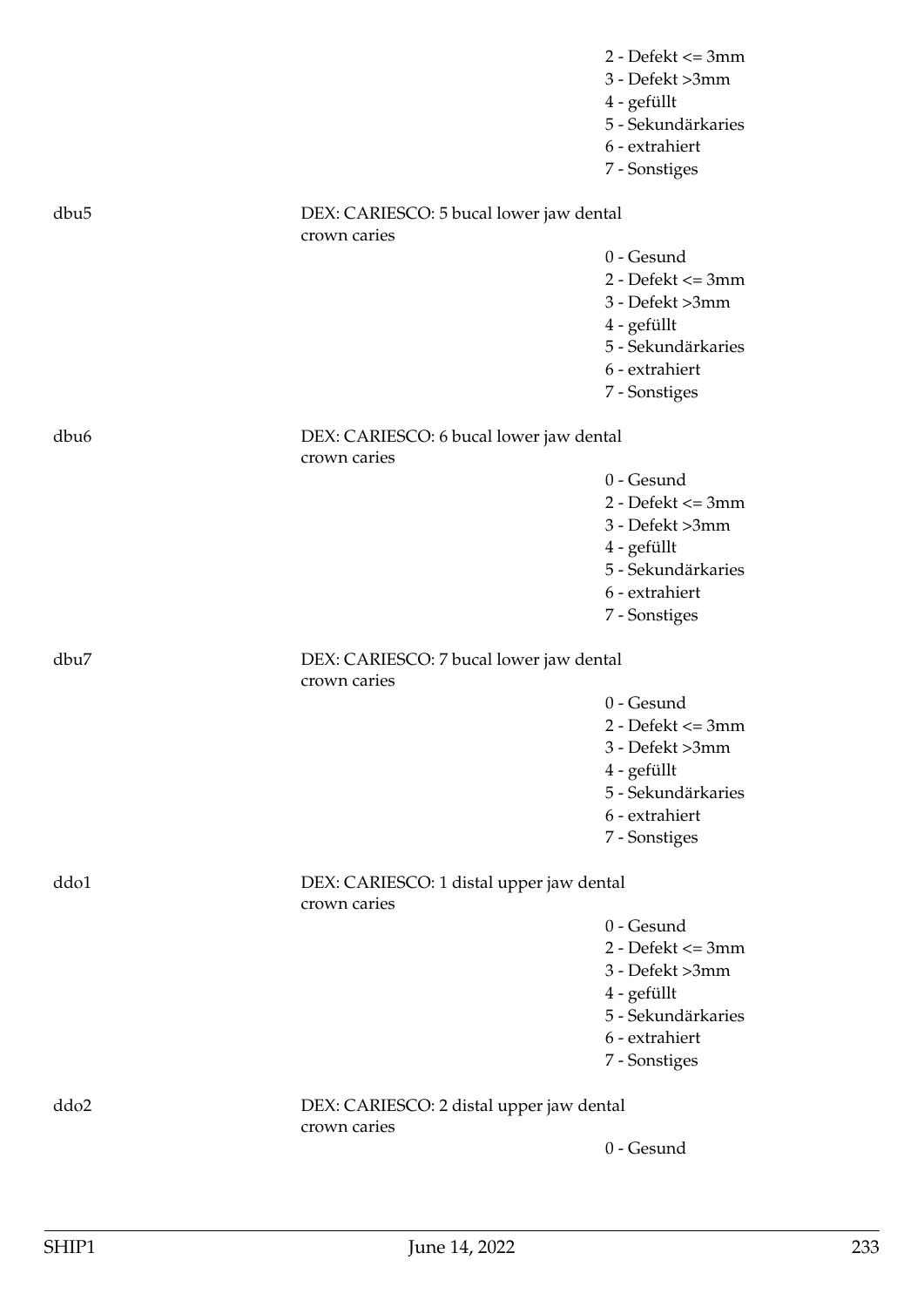|                  |                                                          | $2$ - Defekt $\leq$ 3mm<br>3 - Defekt >3mm<br>4 - gefüllt<br>5 - Sekundärkaries |
|------------------|----------------------------------------------------------|---------------------------------------------------------------------------------|
|                  |                                                          | 6 - extrahiert<br>7 - Sonstiges                                                 |
| dbu <sub>5</sub> | DEX: CARIESCO: 5 bucal lower jaw dental<br>crown caries  |                                                                                 |
|                  |                                                          | $0 -$ Gesund                                                                    |
|                  |                                                          | $2 - Defekt \leq 3mm$                                                           |
|                  |                                                          | 3 - Defekt >3mm                                                                 |
|                  |                                                          | 4 - gefüllt                                                                     |
|                  |                                                          | 5 - Sekundärkaries                                                              |
|                  |                                                          | 6 - extrahiert                                                                  |
|                  |                                                          | 7 - Sonstiges                                                                   |
| dbu <sub>6</sub> | DEX: CARIESCO: 6 bucal lower jaw dental<br>crown caries  |                                                                                 |
|                  |                                                          | 0 - Gesund                                                                      |
|                  |                                                          | $2 - Defekt \leq 3mm$                                                           |
|                  |                                                          | 3 - Defekt >3mm                                                                 |
|                  |                                                          | 4 - gefüllt                                                                     |
|                  |                                                          | 5 - Sekundärkaries                                                              |
|                  |                                                          | 6 - extrahiert                                                                  |
|                  |                                                          | 7 - Sonstiges                                                                   |
| dbu7             | DEX: CARIESCO: 7 bucal lower jaw dental<br>crown caries  |                                                                                 |
|                  |                                                          | 0 - Gesund                                                                      |
|                  |                                                          | $2 - Defekt \leq 3mm$                                                           |
|                  |                                                          | 3 - Defekt >3mm                                                                 |
|                  |                                                          | 4 - gefüllt                                                                     |
|                  |                                                          | 5 - Sekundärkaries                                                              |
|                  |                                                          | 6 - extrahiert                                                                  |
|                  |                                                          | 7 - Sonstiges                                                                   |
| ddo1             | DEX: CARIESCO: 1 distal upper jaw dental<br>crown caries |                                                                                 |
|                  |                                                          | 0 - Gesund                                                                      |
|                  |                                                          | $2 - Defekt \leq 3mm$                                                           |
|                  |                                                          | 3 - Defekt >3mm                                                                 |
|                  |                                                          | 4 - gefüllt                                                                     |
|                  |                                                          | 5 - Sekundärkaries                                                              |
|                  |                                                          | 6 - extrahiert                                                                  |
|                  |                                                          | 7 - Sonstiges                                                                   |
| ddo2             | DEX: CARIESCO: 2 distal upper jaw dental<br>crown caries |                                                                                 |
|                  |                                                          | 0 - Gesund                                                                      |
|                  |                                                          |                                                                                 |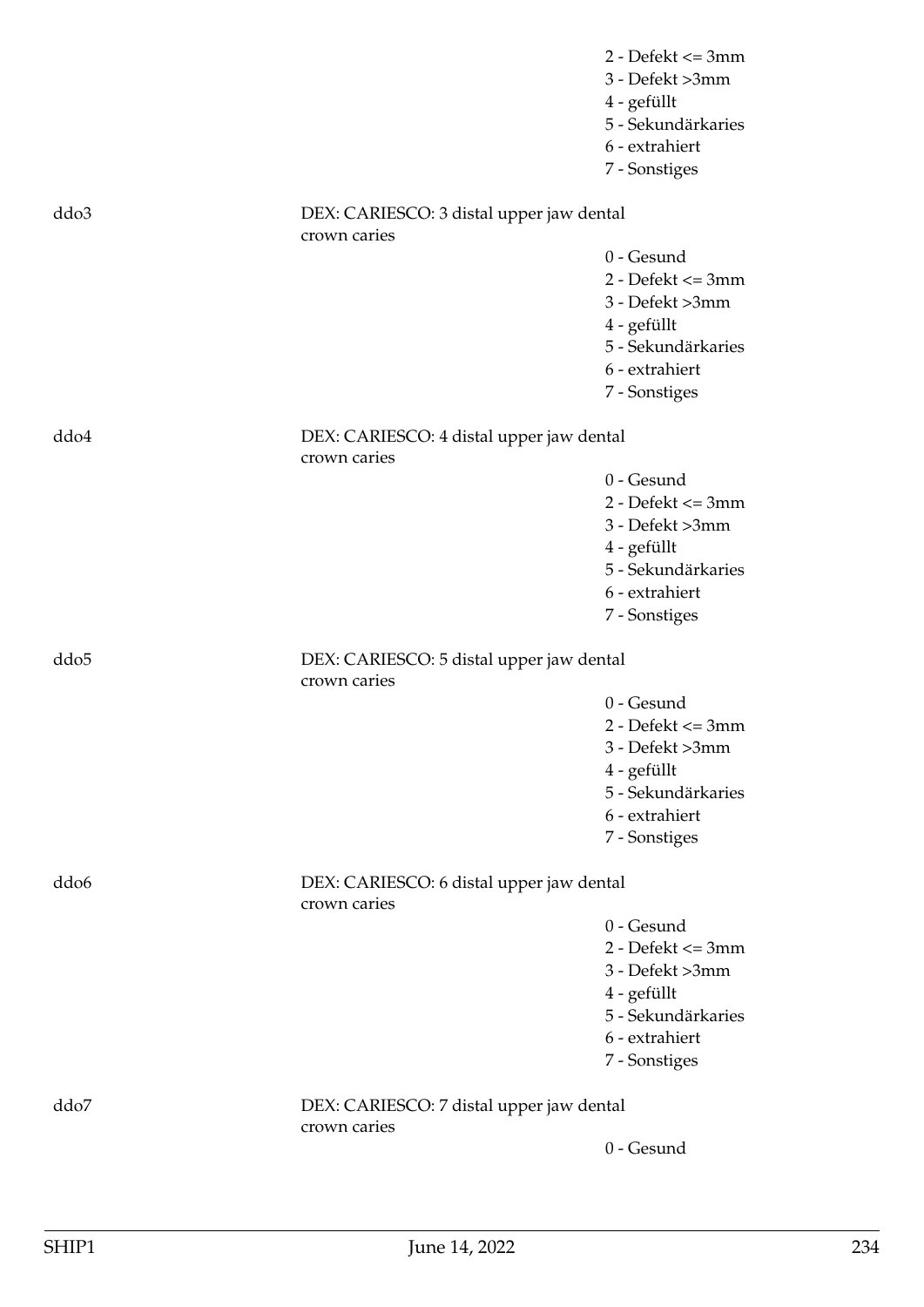|                  |                                                          | $2 - Defekt \leq 3mm$<br>3 - Defekt >3mm<br>4 - gefüllt<br>5 - Sekundärkaries |
|------------------|----------------------------------------------------------|-------------------------------------------------------------------------------|
|                  |                                                          | 6 - extrahiert<br>7 - Sonstiges                                               |
| ddo3             | DEX: CARIESCO: 3 distal upper jaw dental<br>crown caries |                                                                               |
|                  |                                                          | 0 - Gesund                                                                    |
|                  |                                                          | $2 - Defekt \leq 3mm$                                                         |
|                  |                                                          | 3 - Defekt >3mm                                                               |
|                  |                                                          | 4 - gefüllt<br>5 - Sekundärkaries                                             |
|                  |                                                          | 6 - extrahiert                                                                |
|                  |                                                          | 7 - Sonstiges                                                                 |
| ddo4             | DEX: CARIESCO: 4 distal upper jaw dental                 |                                                                               |
|                  | crown caries                                             | 0 - Gesund                                                                    |
|                  |                                                          | $2 - Defekt \leq 3mm$                                                         |
|                  |                                                          | 3 - Defekt >3mm                                                               |
|                  |                                                          | 4 - gefüllt                                                                   |
|                  |                                                          | 5 - Sekundärkaries                                                            |
|                  |                                                          | 6 - extrahiert                                                                |
|                  |                                                          | 7 - Sonstiges                                                                 |
| ddo <sub>5</sub> | DEX: CARIESCO: 5 distal upper jaw dental<br>crown caries |                                                                               |
|                  |                                                          | 0 - Gesund                                                                    |
|                  |                                                          | $2 - Defekt \leq 3mm$                                                         |
|                  |                                                          | 3 - Defekt >3mm                                                               |
|                  |                                                          | 4 - gefüllt                                                                   |
|                  |                                                          | 5 - Sekundärkaries<br>6 - extrahiert                                          |
|                  |                                                          | 7 - Sonstiges                                                                 |
| ddo <sub>6</sub> | DEX: CARIESCO: 6 distal upper jaw dental<br>crown caries |                                                                               |
|                  |                                                          | 0 - Gesund                                                                    |
|                  |                                                          | $2 - Defekt \leq 3mm$                                                         |
|                  |                                                          | 3 - Defekt >3mm                                                               |
|                  |                                                          | 4 - gefüllt                                                                   |
|                  |                                                          | 5 - Sekundärkaries                                                            |
|                  |                                                          | 6 - extrahiert                                                                |
|                  |                                                          | 7 - Sonstiges                                                                 |
| ddo7             | DEX: CARIESCO: 7 distal upper jaw dental<br>crown caries |                                                                               |
|                  |                                                          | 0 - Gesund                                                                    |
|                  |                                                          |                                                                               |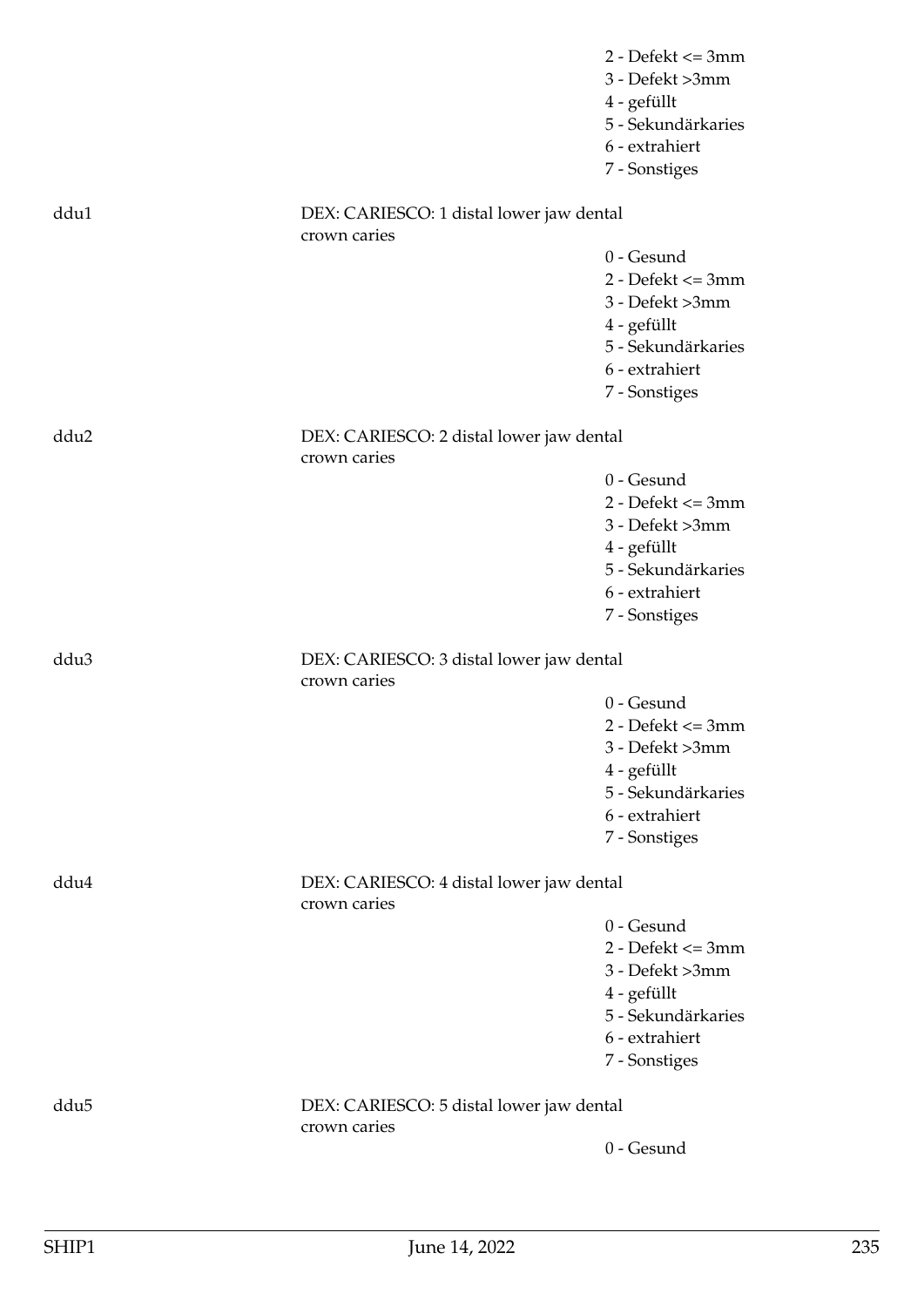|                  |                                                          | $2 - Defekt \leq 3mm$<br>3 - Defekt >3mm<br>4 - gefüllt<br>5 - Sekundärkaries<br>6 - extrahiert<br>7 - Sonstiges |
|------------------|----------------------------------------------------------|------------------------------------------------------------------------------------------------------------------|
| ddu1             | DEX: CARIESCO: 1 distal lower jaw dental                 |                                                                                                                  |
|                  | crown caries                                             | 0 - Gesund                                                                                                       |
|                  |                                                          | $2 - Defekt \leq 3mm$                                                                                            |
|                  |                                                          | 3 - Defekt >3mm                                                                                                  |
|                  |                                                          | 4 - gefüllt                                                                                                      |
|                  |                                                          | 5 - Sekundärkaries                                                                                               |
|                  |                                                          | 6 - extrahiert                                                                                                   |
|                  |                                                          | 7 - Sonstiges                                                                                                    |
| ddu2             | DEX: CARIESCO: 2 distal lower jaw dental<br>crown caries |                                                                                                                  |
|                  |                                                          | 0 - Gesund                                                                                                       |
|                  |                                                          | $2 - Defekt \leq 3mm$                                                                                            |
|                  |                                                          | 3 - Defekt >3mm                                                                                                  |
|                  |                                                          | 4 - gefüllt                                                                                                      |
|                  |                                                          | 5 - Sekundärkaries                                                                                               |
|                  |                                                          | 6 - extrahiert                                                                                                   |
|                  |                                                          | 7 - Sonstiges                                                                                                    |
| ddu <sub>3</sub> | DEX: CARIESCO: 3 distal lower jaw dental<br>crown caries |                                                                                                                  |
|                  |                                                          | 0 - Gesund                                                                                                       |
|                  |                                                          | $2 - Defekt \leq 3mm$                                                                                            |
|                  |                                                          | 3 - Defekt >3mm                                                                                                  |
|                  |                                                          | 4 - gefüllt                                                                                                      |
|                  |                                                          | 5 - Sekundärkaries                                                                                               |
|                  |                                                          | 6 - extrahiert                                                                                                   |
|                  |                                                          | 7 - Sonstiges                                                                                                    |
| ddu4             | DEX: CARIESCO: 4 distal lower jaw dental<br>crown caries |                                                                                                                  |
|                  |                                                          | 0 - Gesund                                                                                                       |
|                  |                                                          | $2 - Defekt \leq 3mm$                                                                                            |
|                  |                                                          | 3 - Defekt >3mm                                                                                                  |
|                  |                                                          | 4 - gefüllt                                                                                                      |
|                  |                                                          | 5 - Sekundärkaries                                                                                               |
|                  |                                                          | 6 - extrahiert                                                                                                   |
|                  |                                                          | 7 - Sonstiges                                                                                                    |
| ddu <sub>5</sub> | DEX: CARIESCO: 5 distal lower jaw dental<br>crown caries |                                                                                                                  |
|                  |                                                          | 0 - Gesund                                                                                                       |
|                  |                                                          |                                                                                                                  |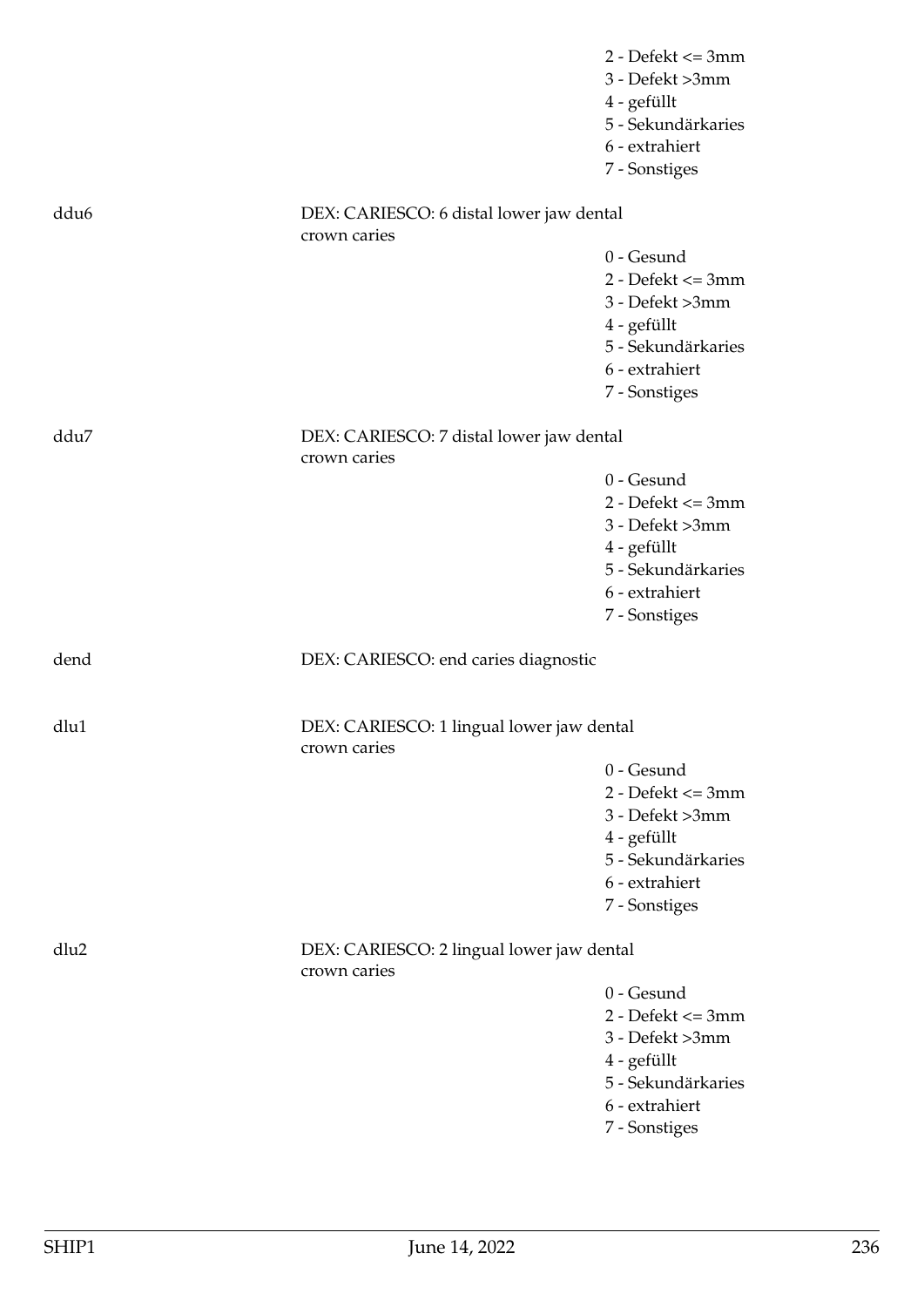|                  |                                                           | $2 - Defekt \leq 3mm$ |
|------------------|-----------------------------------------------------------|-----------------------|
|                  |                                                           | 3 - Defekt >3mm       |
|                  |                                                           | 4 - gefüllt           |
|                  |                                                           | 5 - Sekundärkaries    |
|                  |                                                           | 6 - extrahiert        |
|                  |                                                           | 7 - Sonstiges         |
|                  |                                                           |                       |
| ddu <sub>6</sub> | DEX: CARIESCO: 6 distal lower jaw dental                  |                       |
|                  | crown caries                                              |                       |
|                  |                                                           | 0 - Gesund            |
|                  |                                                           | $2 - Defekt \leq 3mm$ |
|                  |                                                           | 3 - Defekt >3mm       |
|                  |                                                           | 4 - gefüllt           |
|                  |                                                           | 5 - Sekundärkaries    |
|                  |                                                           | 6 - extrahiert        |
|                  |                                                           | 7 - Sonstiges         |
| ddu7             | DEX: CARIESCO: 7 distal lower jaw dental                  |                       |
|                  | crown caries                                              |                       |
|                  |                                                           | 0 - Gesund            |
|                  |                                                           | $2 - Defekt \leq 3mm$ |
|                  |                                                           | 3 - Defekt >3mm       |
|                  |                                                           | 4 - gefüllt           |
|                  |                                                           | 5 - Sekundärkaries    |
|                  |                                                           | 6 - extrahiert        |
|                  |                                                           | 7 - Sonstiges         |
| dend             | DEX: CARIESCO: end caries diagnostic                      |                       |
| dlu1             | DEX: CARIESCO: 1 lingual lower jaw dental                 |                       |
|                  | crown caries                                              |                       |
|                  |                                                           | 0 - Gesund            |
|                  |                                                           | $2 - Defekt \leq 3mm$ |
|                  |                                                           | 3 - Defekt >3mm       |
|                  |                                                           | 4 - gefüllt           |
|                  |                                                           | 5 - Sekundärkaries    |
|                  |                                                           | 6 - extrahiert        |
|                  |                                                           | 7 - Sonstiges         |
| dlu2             | DEX: CARIESCO: 2 lingual lower jaw dental<br>crown caries |                       |
|                  |                                                           | 0 - Gesund            |
|                  |                                                           | $2 - Defekt \leq 3mm$ |
|                  |                                                           |                       |
|                  |                                                           | 3 - Defekt >3mm       |
|                  |                                                           | 4 - gefüllt           |
|                  |                                                           | 5 - Sekundärkaries    |
|                  |                                                           | 6 - extrahiert        |
|                  |                                                           | 7 - Sonstiges         |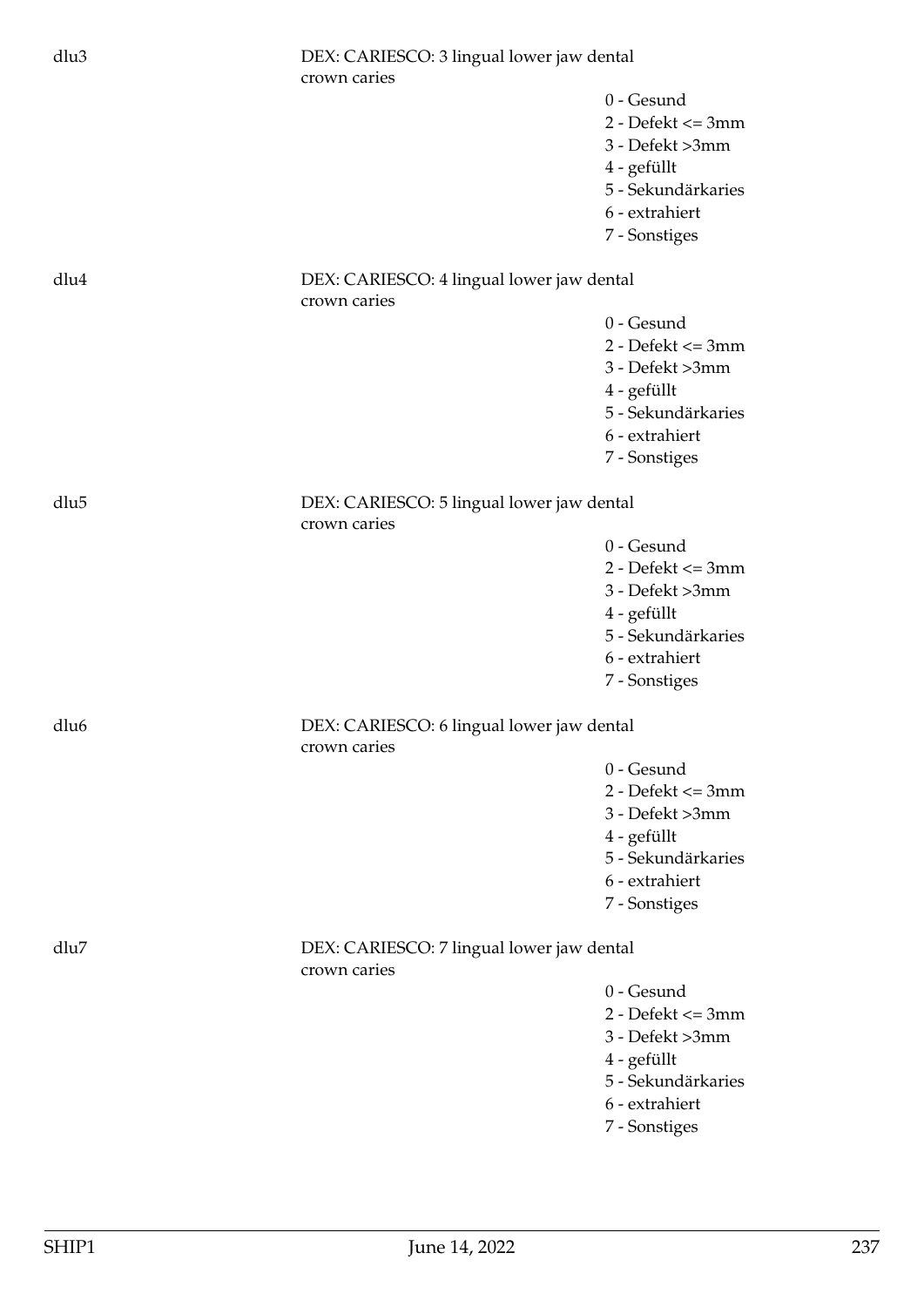| dlu3             | DEX: CARIESCO: 3 lingual lower jaw dental<br>crown caries |                                     |
|------------------|-----------------------------------------------------------|-------------------------------------|
|                  |                                                           | 0 - Gesund<br>$2 - Defekt \leq 3mm$ |
|                  |                                                           | 3 - Defekt >3mm                     |
|                  |                                                           | 4 - gefüllt                         |
|                  |                                                           | 5 - Sekundärkaries                  |
|                  |                                                           | 6 - extrahiert                      |
|                  |                                                           | 7 - Sonstiges                       |
| dlu4             | DEX: CARIESCO: 4 lingual lower jaw dental<br>crown caries |                                     |
|                  |                                                           | 0 - Gesund                          |
|                  |                                                           | $2 - Defekt \leq 3mm$               |
|                  |                                                           | 3 - Defekt >3mm                     |
|                  |                                                           | 4 - gefüllt                         |
|                  |                                                           | 5 - Sekundärkaries                  |
|                  |                                                           | 6 - extrahiert                      |
|                  |                                                           | 7 - Sonstiges                       |
| dlu5             | DEX: CARIESCO: 5 lingual lower jaw dental<br>crown caries |                                     |
|                  |                                                           | 0 - Gesund                          |
|                  |                                                           | $2 - Defekt \leq 3mm$               |
|                  |                                                           | 3 - Defekt >3mm                     |
|                  |                                                           | 4 - gefüllt                         |
|                  |                                                           | 5 - Sekundärkaries                  |
|                  |                                                           | 6 - extrahiert                      |
|                  |                                                           | 7 - Sonstiges                       |
| dlu <sub>6</sub> | DEX: CARIESCO: 6 lingual lower jaw dental<br>crown caries |                                     |
|                  |                                                           | 0 - Gesund                          |
|                  |                                                           | $2 - Defekt \leq 3mm$               |
|                  |                                                           | 3 - Defekt >3mm                     |
|                  |                                                           | 4 - gefüllt                         |
|                  |                                                           | 5 - Sekundärkaries                  |
|                  |                                                           | 6 - extrahiert                      |
|                  |                                                           | 7 - Sonstiges                       |
| dlu7             | DEX: CARIESCO: 7 lingual lower jaw dental<br>crown caries |                                     |
|                  |                                                           | 0 - Gesund                          |
|                  |                                                           | $2 - Defekt \leq 3mm$               |
|                  |                                                           | 3 - Defekt >3mm                     |
|                  |                                                           | 4 - gefüllt                         |
|                  |                                                           | 5 - Sekundärkaries                  |
|                  |                                                           | 6 - extrahiert                      |
|                  |                                                           | 7 - Sonstiges                       |
|                  |                                                           |                                     |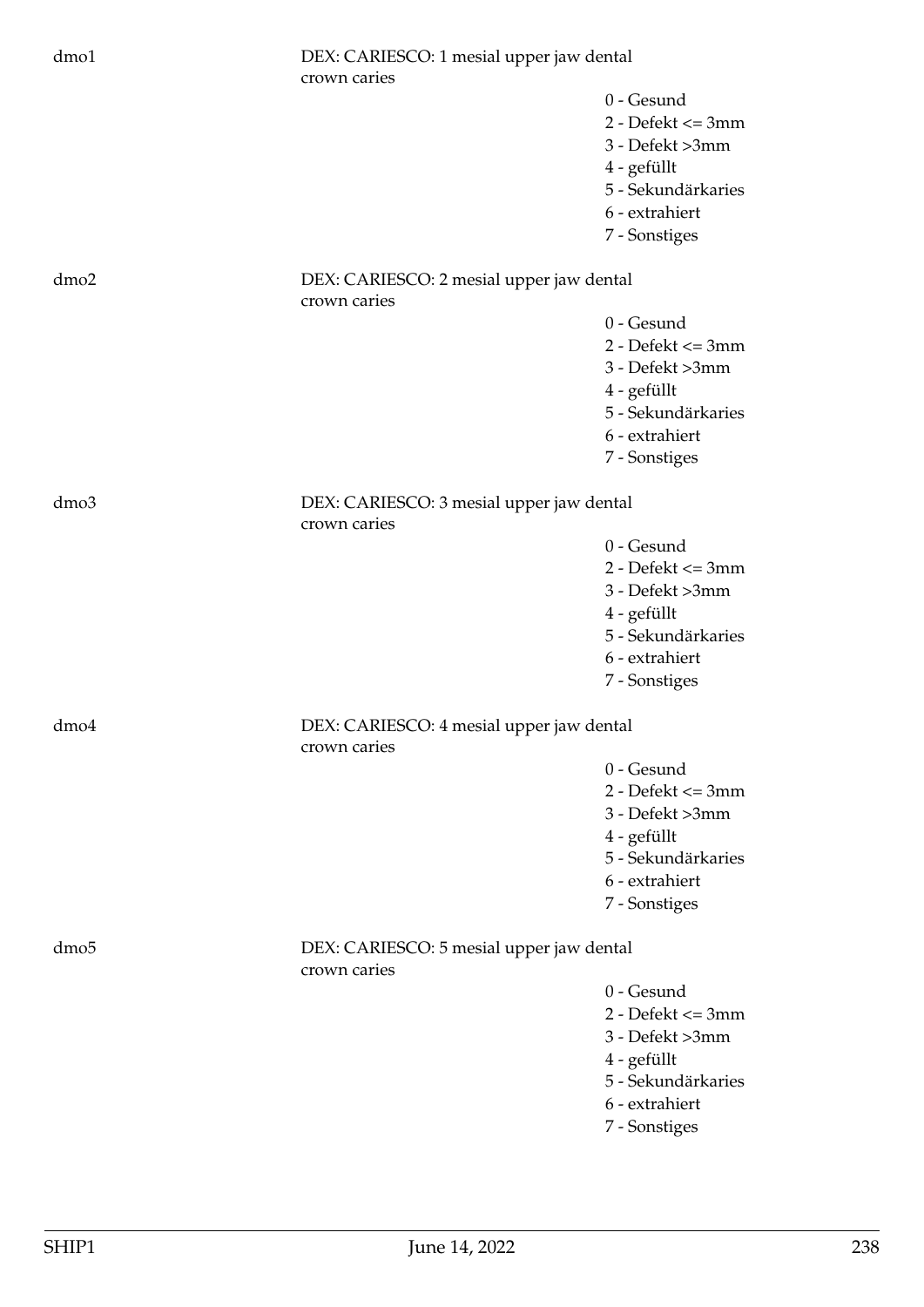| dmo1             | DEX: CARIESCO: 1 mesial upper jaw dental<br>crown caries |                                                                                                                                |
|------------------|----------------------------------------------------------|--------------------------------------------------------------------------------------------------------------------------------|
|                  |                                                          | 0 - Gesund<br>$2 - Defekt \leq 3mm$<br>3 - Defekt >3mm<br>4 - gefüllt<br>5 - Sekundärkaries<br>6 - extrahiert<br>7 - Sonstiges |
| dmo <sub>2</sub> | DEX: CARIESCO: 2 mesial upper jaw dental<br>crown caries |                                                                                                                                |
|                  |                                                          | 0 - Gesund<br>$2 - Defekt \leq 3mm$<br>3 - Defekt >3mm<br>4 - gefüllt<br>5 - Sekundärkaries<br>6 - extrahiert<br>7 - Sonstiges |
| dmo3             | DEX: CARIESCO: 3 mesial upper jaw dental<br>crown caries |                                                                                                                                |
|                  |                                                          | 0 - Gesund<br>$2 - Defekt \leq 3mm$<br>3 - Defekt >3mm<br>4 - gefüllt<br>5 - Sekundärkaries<br>6 - extrahiert<br>7 - Sonstiges |
| dmo4             | DEX: CARIESCO: 4 mesial upper jaw dental<br>crown caries |                                                                                                                                |
|                  |                                                          | 0 - Gesund<br>$2 - Defekt \leq 3mm$<br>3 - Defekt >3mm<br>4 - gefüllt<br>5 - Sekundärkaries<br>6 - extrahiert<br>7 - Sonstiges |
| dmo <sub>5</sub> | DEX: CARIESCO: 5 mesial upper jaw dental<br>crown caries |                                                                                                                                |
|                  |                                                          | 0 - Gesund<br>$2 - Defekt \leq 3mm$<br>3 - Defekt >3mm<br>4 - gefüllt<br>5 - Sekundärkaries<br>6 - extrahiert<br>7 - Sonstiges |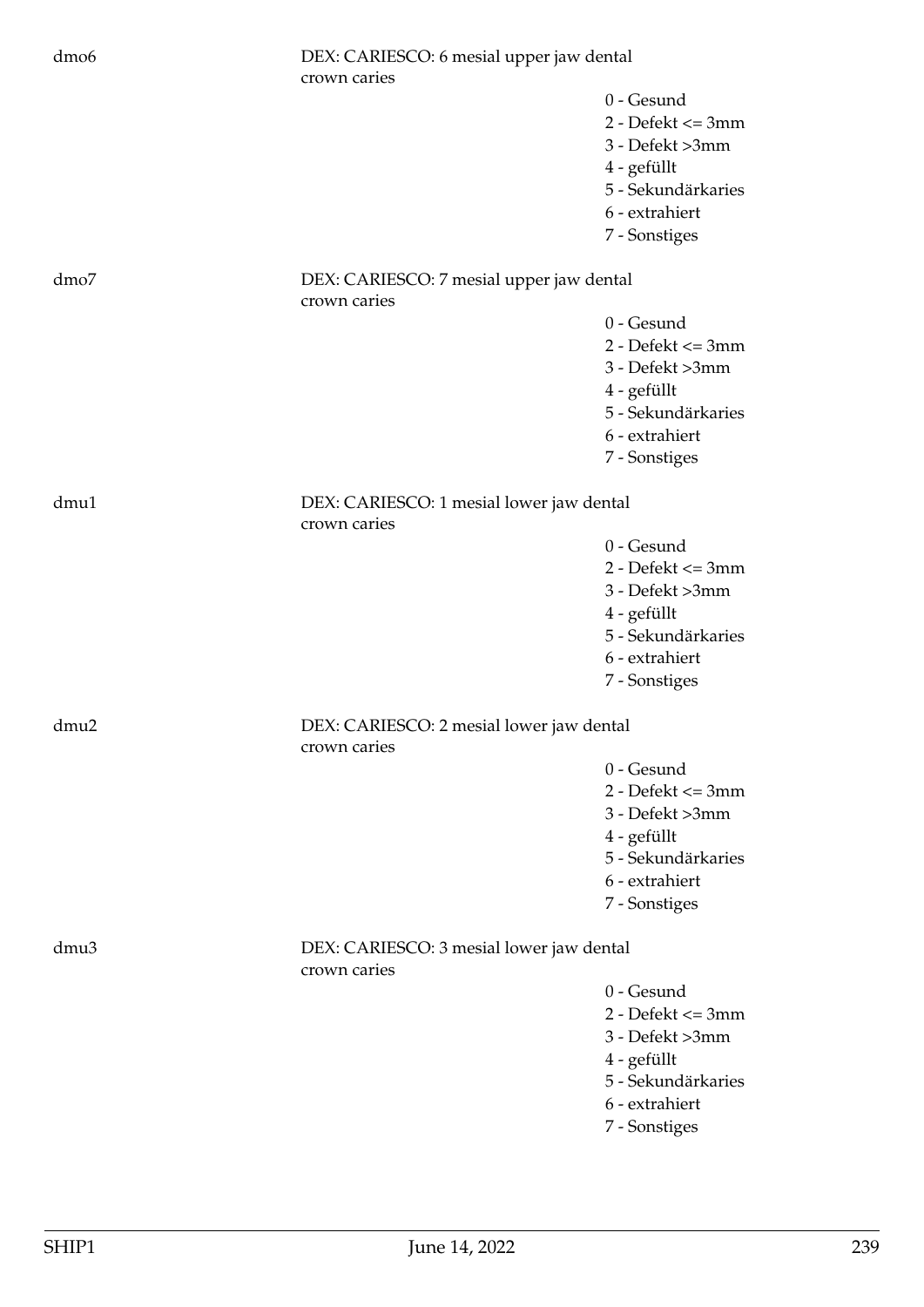| dmo <sub>6</sub> | DEX: CARIESCO: 6 mesial upper jaw dental<br>crown caries |                                                                                                                                  |
|------------------|----------------------------------------------------------|----------------------------------------------------------------------------------------------------------------------------------|
|                  |                                                          | 0 - Gesund<br>$2 - Defekt \leq 3mm$<br>3 - Defekt >3mm<br>4 - gefüllt<br>5 - Sekundärkaries<br>6 - extrahiert<br>7 - Sonstiges   |
| dmo7             | DEX: CARIESCO: 7 mesial upper jaw dental<br>crown caries |                                                                                                                                  |
|                  |                                                          | 0 - Gesund<br>$2 - Defekt \leq 3mm$<br>3 - Defekt >3mm<br>4 - gefüllt<br>5 - Sekundärkaries<br>6 - extrahiert<br>7 - Sonstiges   |
| dmu1             | DEX: CARIESCO: 1 mesial lower jaw dental<br>crown caries |                                                                                                                                  |
|                  |                                                          | 0 - Gesund<br>$2 - Defekt \leq 3mm$<br>3 - Defekt >3mm<br>4 - gefüllt<br>5 - Sekundärkaries<br>6 - extrahiert<br>7 - Sonstiges   |
| dmu2             | DEX: CARIESCO: 2 mesial lower jaw dental<br>crown caries |                                                                                                                                  |
|                  |                                                          | $0 -$ Gesund<br>$2 - Defekt \leq 3mm$<br>3 - Defekt >3mm<br>4 - gefüllt<br>5 - Sekundärkaries<br>6 - extrahiert<br>7 - Sonstiges |
| dmu3             | DEX: CARIESCO: 3 mesial lower jaw dental<br>crown caries |                                                                                                                                  |
|                  |                                                          | 0 - Gesund<br>$2 - Defekt \leq 3mm$<br>3 - Defekt >3mm<br>4 - gefüllt<br>5 - Sekundärkaries<br>6 - extrahiert<br>7 - Sonstiges   |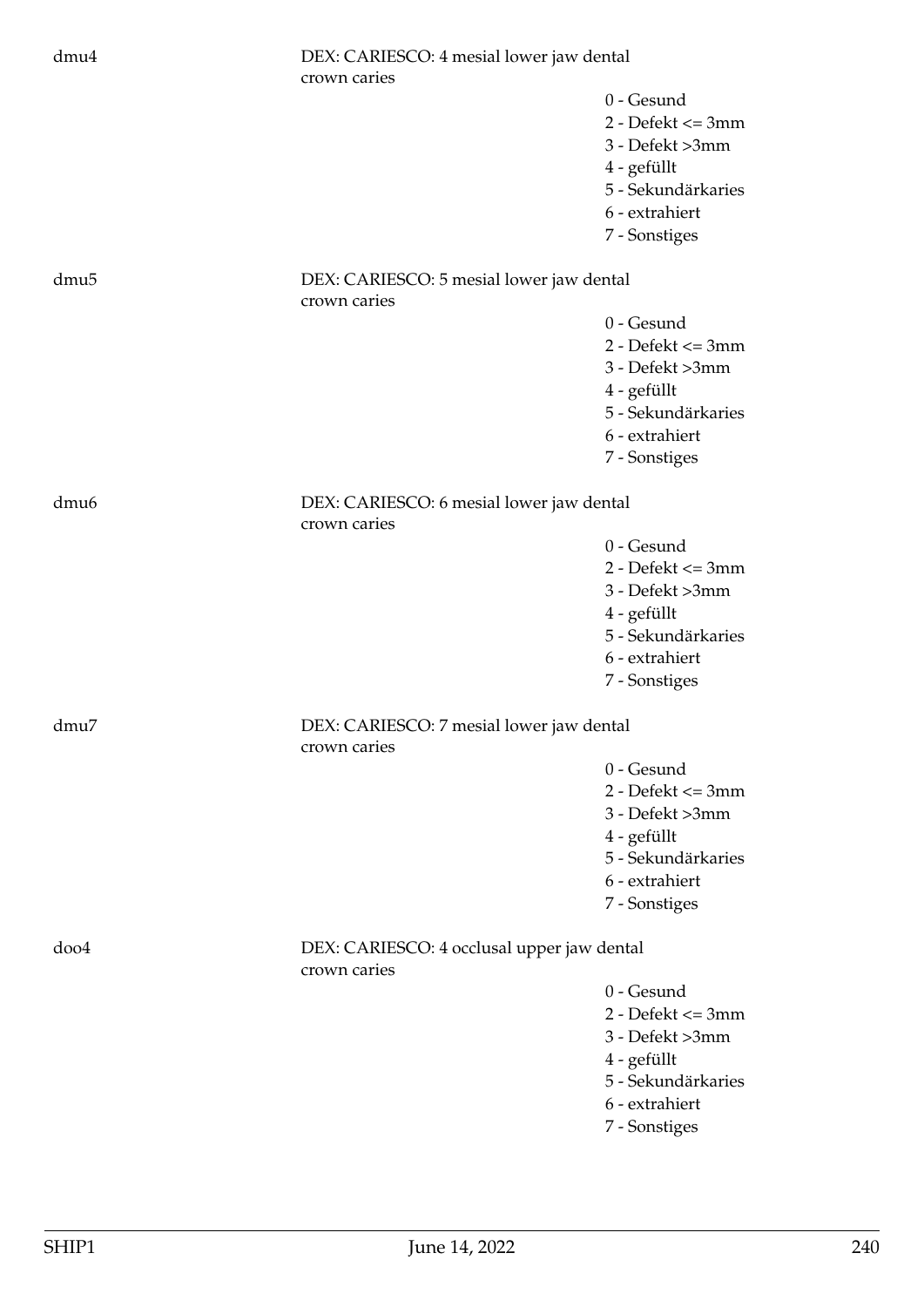| dmu4             | DEX: CARIESCO: 4 mesial lower jaw dental<br>crown caries |                                                                                                                                  |
|------------------|----------------------------------------------------------|----------------------------------------------------------------------------------------------------------------------------------|
|                  |                                                          | $0 -$ Gesund<br>$2 - Defekt \leq 3mm$<br>3 - Defekt >3mm<br>4 - gefüllt<br>5 - Sekundärkaries<br>6 - extrahiert<br>7 - Sonstiges |
| dmu <sub>5</sub> | DEX: CARIESCO: 5 mesial lower jaw dental<br>crown caries |                                                                                                                                  |
|                  |                                                          | 0 - Gesund<br>$2 - Defekt \leq 3mm$<br>3 - Defekt >3mm<br>4 - gefüllt<br>5 - Sekundärkaries<br>6 - extrahiert<br>7 - Sonstiges   |
| dmu <sub>6</sub> | DEX: CARIESCO: 6 mesial lower jaw dental<br>crown caries |                                                                                                                                  |
|                  |                                                          | 0 - Gesund<br>$2 - Defekt \leq 3mm$<br>3 - Defekt >3mm<br>4 - gefüllt<br>5 - Sekundärkaries<br>6 - extrahiert<br>7 - Sonstiges   |
| dmu7             | DEX: CARIESCO: 7 mesial lower jaw dental<br>crown caries |                                                                                                                                  |
|                  |                                                          | 0 - Gesund<br>$2 - Defekt \leq 3mm$<br>3 - Defekt >3mm<br>4 - gefüllt<br>5 - Sekundärkaries<br>6 - extrahiert<br>7 - Sonstiges   |
| doo4             | DEX: CARIESCO: 4 occlusal upper jaw dental               |                                                                                                                                  |
|                  | crown caries                                             | 0 - Gesund<br>$2 - Defekt \leq 3mm$<br>3 - Defekt >3mm<br>4 - gefüllt<br>5 - Sekundärkaries<br>6 - extrahiert<br>7 - Sonstiges   |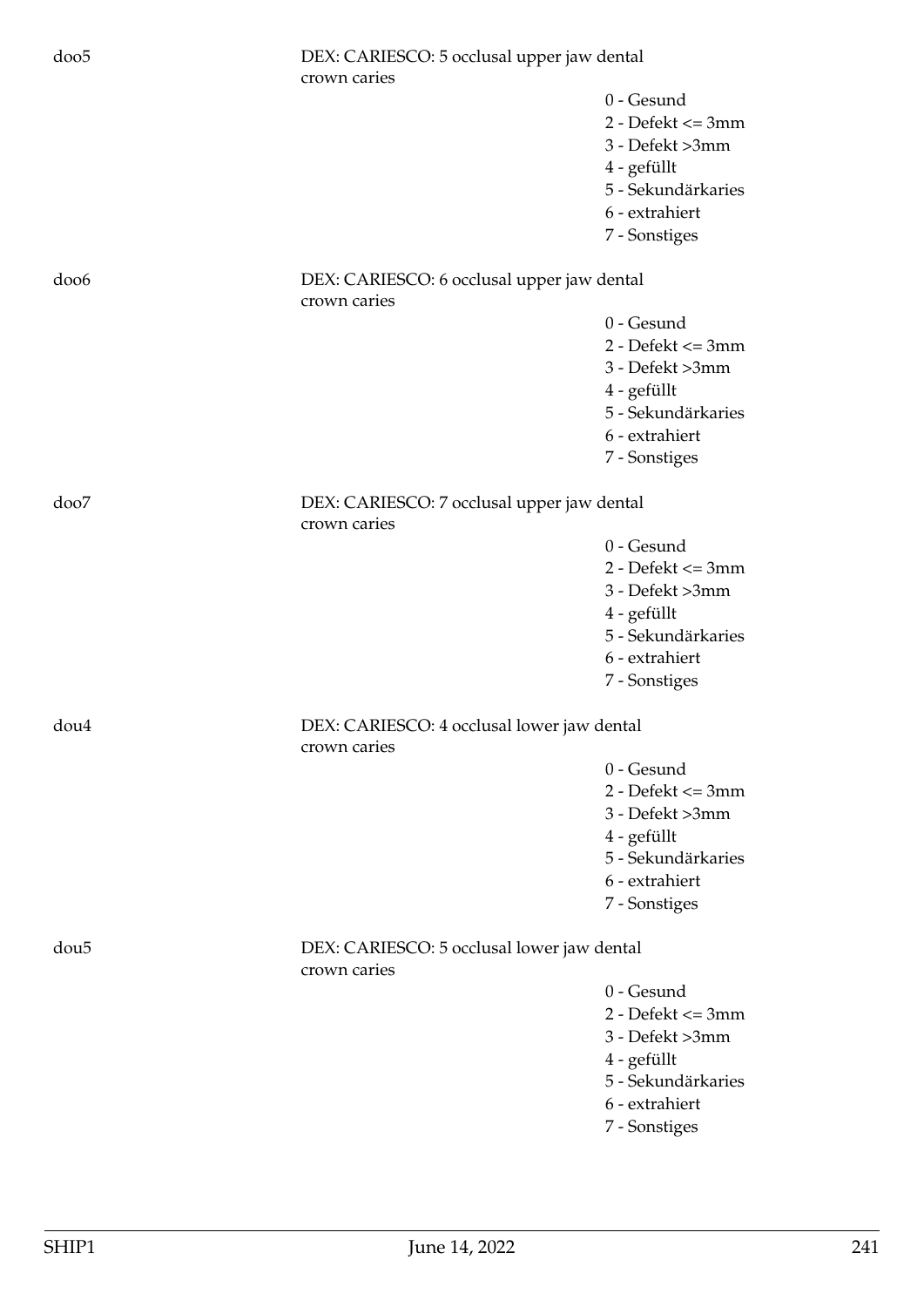| doo <sub>5</sub> | DEX: CARIESCO: 5 occlusal upper jaw dental<br>crown caries |                                                                                                                                |
|------------------|------------------------------------------------------------|--------------------------------------------------------------------------------------------------------------------------------|
|                  |                                                            | 0 - Gesund<br>$2 - Defekt \leq 3mm$<br>3 - Defekt >3mm<br>4 - gefüllt<br>5 - Sekundärkaries<br>6 - extrahiert<br>7 - Sonstiges |
| doo6             | DEX: CARIESCO: 6 occlusal upper jaw dental<br>crown caries |                                                                                                                                |
|                  |                                                            | 0 - Gesund<br>$2 - Defekt \leq 3mm$<br>3 - Defekt >3mm<br>4 - gefüllt<br>5 - Sekundärkaries<br>6 - extrahiert<br>7 - Sonstiges |
| doo7             | DEX: CARIESCO: 7 occlusal upper jaw dental<br>crown caries |                                                                                                                                |
|                  |                                                            | 0 - Gesund<br>$2 - Defekt \leq 3mm$<br>3 - Defekt >3mm<br>4 - gefüllt<br>5 - Sekundärkaries<br>6 - extrahiert<br>7 - Sonstiges |
| dou4             | DEX: CARIESCO: 4 occlusal lower jaw dental<br>crown caries |                                                                                                                                |
|                  |                                                            | 0 - Gesund<br>$2 - Defekt \leq 3mm$<br>3 - Defekt >3mm<br>4 - gefüllt<br>5 - Sekundärkaries<br>6 - extrahiert<br>7 - Sonstiges |
| dou <sub>5</sub> | DEX: CARIESCO: 5 occlusal lower jaw dental<br>crown caries |                                                                                                                                |
|                  |                                                            | 0 - Gesund<br>$2 - Defekt \leq 3mm$<br>3 - Defekt >3mm<br>4 - gefüllt<br>5 - Sekundärkaries<br>6 - extrahiert<br>7 - Sonstiges |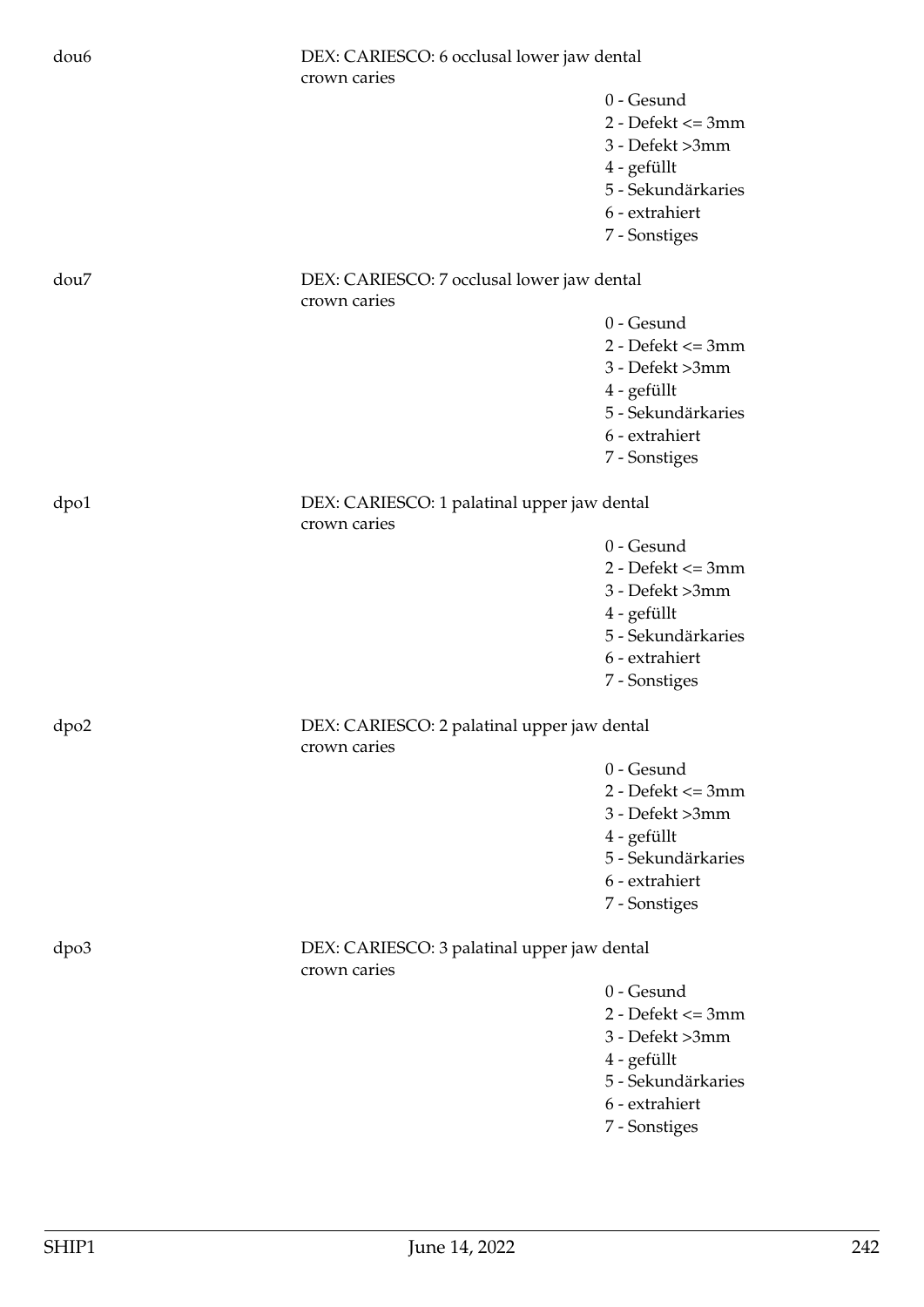| dou <sub>6</sub> | crown caries                                                | DEX: CARIESCO: 6 occlusal lower jaw dental                                                                                     |  |
|------------------|-------------------------------------------------------------|--------------------------------------------------------------------------------------------------------------------------------|--|
|                  |                                                             | 0 - Gesund<br>$2 - Defekt \leq 3mm$<br>3 - Defekt >3mm<br>4 - gefüllt<br>5 - Sekundärkaries<br>6 - extrahiert<br>7 - Sonstiges |  |
| dou7             | DEX: CARIESCO: 7 occlusal lower jaw dental<br>crown caries  |                                                                                                                                |  |
|                  |                                                             | 0 - Gesund<br>$2 - Defekt \leq 3mm$<br>3 - Defekt >3mm<br>4 - gefüllt<br>5 - Sekundärkaries<br>6 - extrahiert<br>7 - Sonstiges |  |
| dpo1             | DEX: CARIESCO: 1 palatinal upper jaw dental<br>crown caries |                                                                                                                                |  |
|                  |                                                             | 0 - Gesund<br>$2 - Defekt \leq 3mm$<br>3 - Defekt >3mm<br>4 - gefüllt<br>5 - Sekundärkaries<br>6 - extrahiert<br>7 - Sonstiges |  |
| dpo2             | DEX: CARIESCO: 2 palatinal upper jaw dental<br>crown caries |                                                                                                                                |  |
|                  |                                                             | 0 - Gesund<br>$2 - Defekt \leq 3mm$<br>3 - Defekt >3mm<br>4 - gefüllt<br>5 - Sekundärkaries<br>6 - extrahiert<br>7 - Sonstiges |  |
| dpo3             | DEX: CARIESCO: 3 palatinal upper jaw dental<br>crown caries |                                                                                                                                |  |
|                  |                                                             | 0 - Gesund<br>$2 - Defekt \leq 3mm$<br>3 - Defekt >3mm<br>4 - gefüllt<br>5 - Sekundärkaries<br>6 - extrahiert<br>7 - Sonstiges |  |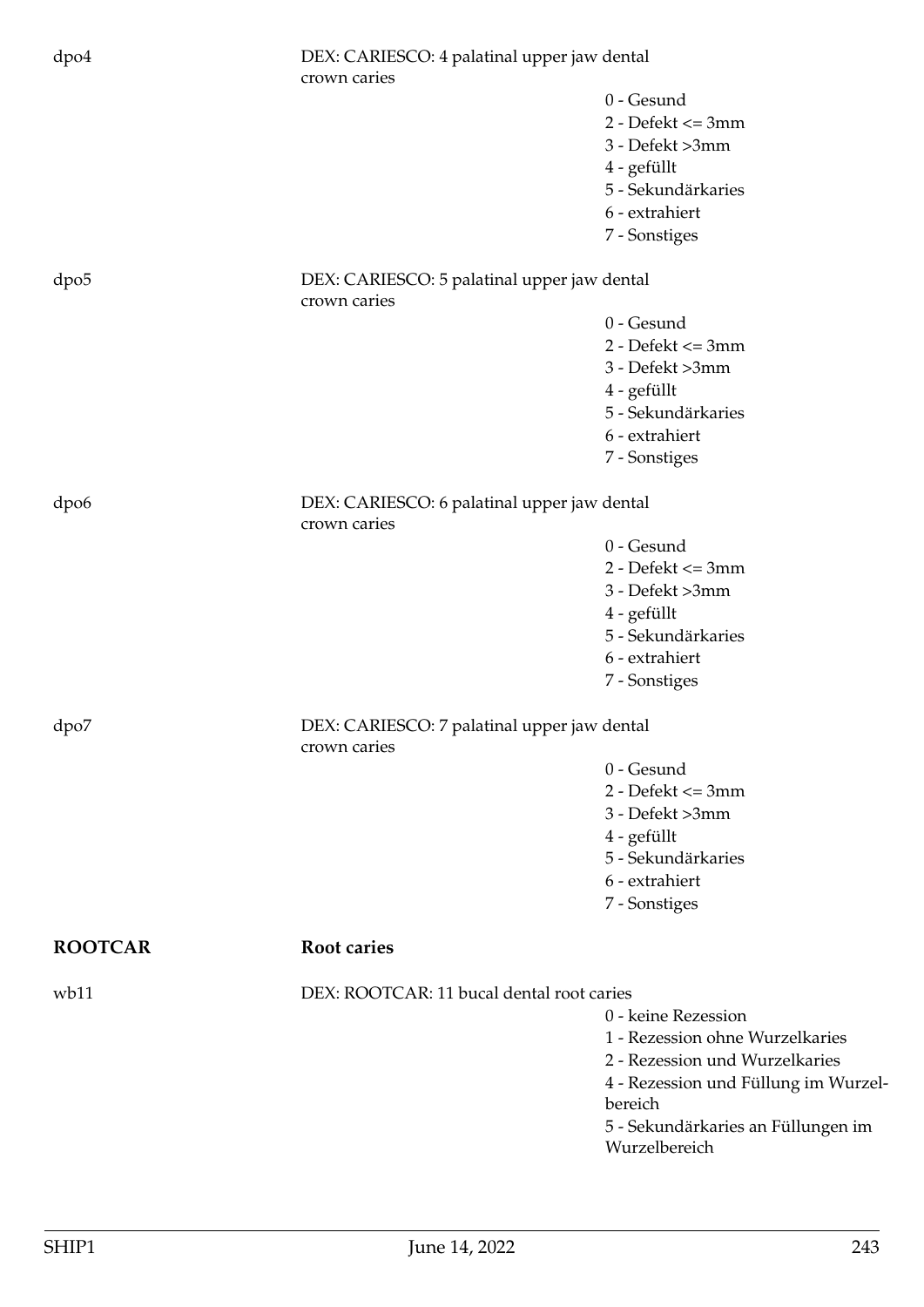| dpo4             | DEX: CARIESCO: 4 palatinal upper jaw dental<br>crown caries |                                                        |
|------------------|-------------------------------------------------------------|--------------------------------------------------------|
|                  |                                                             | 0 - Gesund<br>$2 - Defekt \leq 3mm$<br>3 - Defekt >3mm |
|                  |                                                             | 4 - gefüllt                                            |
|                  |                                                             | 5 - Sekundärkaries                                     |
|                  |                                                             | 6 - extrahiert                                         |
|                  |                                                             | 7 - Sonstiges                                          |
| dpo <sub>5</sub> | DEX: CARIESCO: 5 palatinal upper jaw dental<br>crown caries |                                                        |
|                  |                                                             | 0 - Gesund                                             |
|                  |                                                             | $2 - Defekt \leq 3mm$                                  |
|                  |                                                             | 3 - Defekt >3mm                                        |
|                  |                                                             | 4 - gefüllt                                            |
|                  |                                                             | 5 - Sekundärkaries<br>6 - extrahiert                   |
|                  |                                                             | 7 - Sonstiges                                          |
|                  |                                                             |                                                        |
| dpo6             | DEX: CARIESCO: 6 palatinal upper jaw dental<br>crown caries |                                                        |
|                  |                                                             | 0 - Gesund                                             |
|                  |                                                             | $2 - Defekt \leq 3mm$                                  |
|                  |                                                             | 3 - Defekt >3mm                                        |
|                  |                                                             | 4 - gefüllt                                            |
|                  |                                                             | 5 - Sekundärkaries                                     |
|                  |                                                             | 6 - extrahiert<br>7 - Sonstiges                        |
|                  |                                                             |                                                        |
| dpo7             | DEX: CARIESCO: 7 palatinal upper jaw dental<br>crown caries |                                                        |
|                  |                                                             | 0 - Gesund                                             |
|                  |                                                             | $2 - Defekt \leq 3mm$                                  |
|                  |                                                             | 3 - Defekt >3mm                                        |
|                  |                                                             | 4 - gefüllt                                            |
|                  |                                                             | 5 - Sekundärkaries<br>6 - extrahiert                   |
|                  |                                                             | 7 - Sonstiges                                          |
|                  |                                                             |                                                        |
| <b>ROOTCAR</b>   | Root caries                                                 |                                                        |
| wb11             | DEX: ROOTCAR: 11 bucal dental root caries                   |                                                        |
|                  |                                                             | 0 - keine Rezession                                    |
|                  |                                                             | 1 - Rezession ohne Wurzelkaries                        |
|                  |                                                             | 2 - Rezession und Wurzelkaries                         |
|                  |                                                             | 4 - Rezession und Füllung im Wurzel-                   |
|                  |                                                             | bereich<br>5 - Sekundärkaries an Füllungen im          |
|                  |                                                             | Wurzelbereich                                          |
|                  |                                                             |                                                        |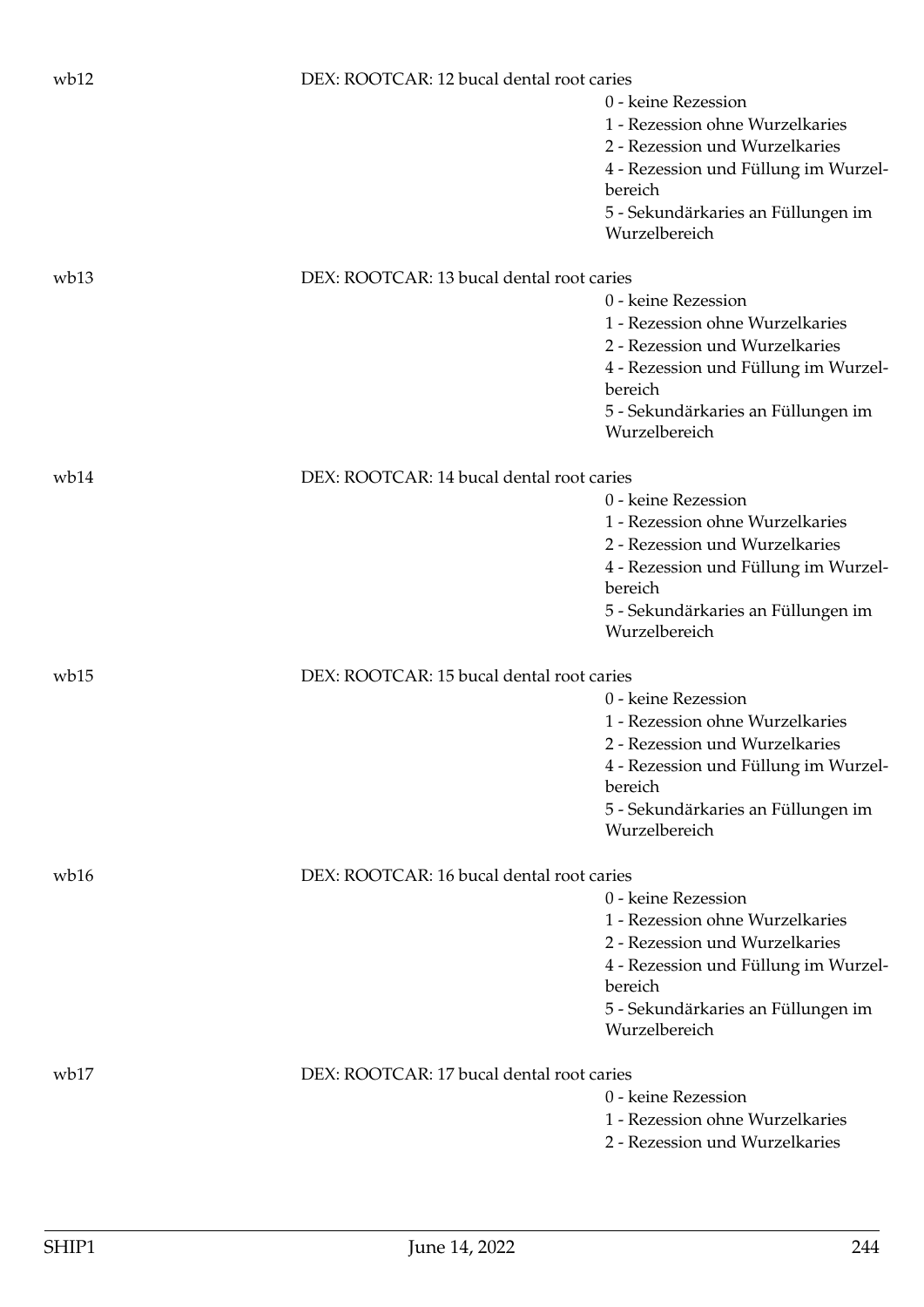| wb12 | DEX: ROOTCAR: 12 bucal dental root caries |                                                     |
|------|-------------------------------------------|-----------------------------------------------------|
|      |                                           | 0 - keine Rezession                                 |
|      |                                           | 1 - Rezession ohne Wurzelkaries                     |
|      |                                           | 2 - Rezession und Wurzelkaries                      |
|      |                                           | 4 - Rezession und Füllung im Wurzel-                |
|      |                                           | bereich                                             |
|      |                                           | 5 - Sekundärkaries an Füllungen im                  |
|      |                                           | Wurzelbereich                                       |
| wb13 | DEX: ROOTCAR: 13 bucal dental root caries |                                                     |
|      |                                           | 0 - keine Rezession                                 |
|      |                                           | 1 - Rezession ohne Wurzelkaries                     |
|      |                                           | 2 - Rezession und Wurzelkaries                      |
|      |                                           | 4 - Rezession und Füllung im Wurzel-                |
|      |                                           | bereich                                             |
|      |                                           | 5 - Sekundärkaries an Füllungen im                  |
|      |                                           | Wurzelbereich                                       |
| wb14 | DEX: ROOTCAR: 14 bucal dental root caries |                                                     |
|      |                                           | 0 - keine Rezession                                 |
|      |                                           | 1 - Rezession ohne Wurzelkaries                     |
|      |                                           | 2 - Rezession und Wurzelkaries                      |
|      |                                           | 4 - Rezession und Füllung im Wurzel-                |
|      |                                           | bereich                                             |
|      |                                           | 5 - Sekundärkaries an Füllungen im                  |
|      |                                           | Wurzelbereich                                       |
| wb15 | DEX: ROOTCAR: 15 bucal dental root caries |                                                     |
|      |                                           | 0 - keine Rezession                                 |
|      |                                           | 1 - Rezession ohne Wurzelkaries                     |
|      |                                           | 2 - Rezession und Wurzelkaries                      |
|      |                                           | 4 - Rezession und Füllung im Wurzel-                |
|      |                                           | bereich                                             |
|      |                                           | 5 - Sekundärkaries an Füllungen im<br>Wurzelbereich |
|      |                                           |                                                     |
| wb16 | DEX: ROOTCAR: 16 bucal dental root caries |                                                     |
|      |                                           | 0 - keine Rezession                                 |
|      |                                           | 1 - Rezession ohne Wurzelkaries                     |
|      |                                           | 2 - Rezession und Wurzelkaries                      |
|      |                                           | 4 - Rezession und Füllung im Wurzel-<br>bereich     |
|      |                                           | 5 - Sekundärkaries an Füllungen im                  |
|      |                                           | Wurzelbereich                                       |
| wb17 | DEX: ROOTCAR: 17 bucal dental root caries |                                                     |
|      |                                           | 0 - keine Rezession                                 |
|      |                                           | 1 - Rezession ohne Wurzelkaries                     |
|      |                                           | 2 - Rezession und Wurzelkaries                      |
|      |                                           |                                                     |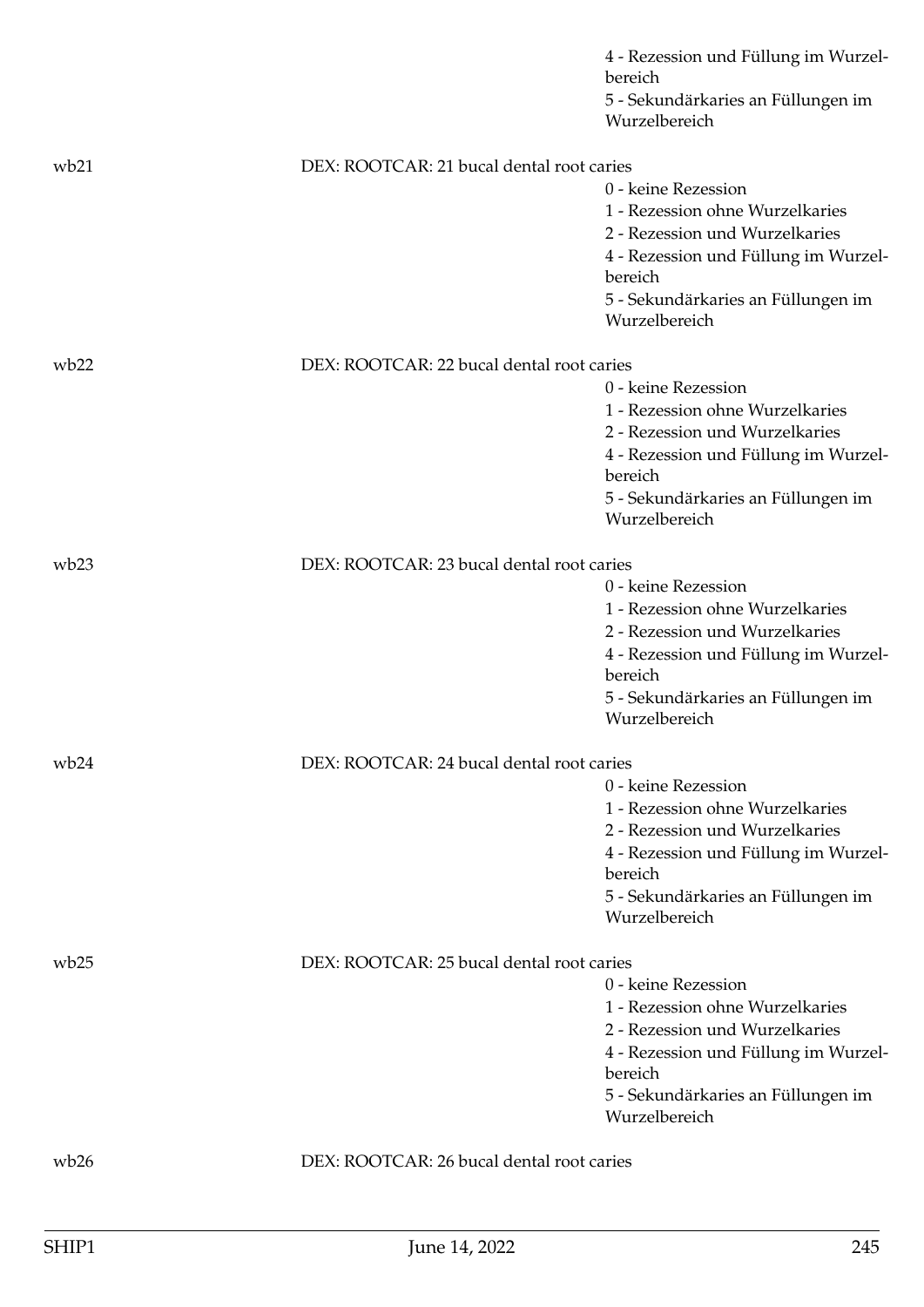|      |                                           | 4 - Rezession und Füllung im Wurzel-<br>bereich<br>5 - Sekundärkaries an Füllungen im<br>Wurzelbereich |
|------|-------------------------------------------|--------------------------------------------------------------------------------------------------------|
| wb21 | DEX: ROOTCAR: 21 bucal dental root caries |                                                                                                        |
|      |                                           | 0 - keine Rezession                                                                                    |
|      |                                           | 1 - Rezession ohne Wurzelkaries                                                                        |
|      |                                           | 2 - Rezession und Wurzelkaries                                                                         |
|      |                                           | 4 - Rezession und Füllung im Wurzel-                                                                   |
|      |                                           | bereich                                                                                                |
|      |                                           | 5 - Sekundärkaries an Füllungen im<br>Wurzelbereich                                                    |
| wb22 | DEX: ROOTCAR: 22 bucal dental root caries |                                                                                                        |
|      |                                           | 0 - keine Rezession                                                                                    |
|      |                                           | 1 - Rezession ohne Wurzelkaries                                                                        |
|      |                                           | 2 - Rezession und Wurzelkaries                                                                         |
|      |                                           | 4 - Rezession und Füllung im Wurzel-<br>bereich                                                        |
|      |                                           | 5 - Sekundärkaries an Füllungen im<br>Wurzelbereich                                                    |
| wb23 | DEX: ROOTCAR: 23 bucal dental root caries |                                                                                                        |
|      |                                           | 0 - keine Rezession                                                                                    |
|      |                                           | 1 - Rezession ohne Wurzelkaries                                                                        |
|      |                                           | 2 - Rezession und Wurzelkaries                                                                         |
|      |                                           | 4 - Rezession und Füllung im Wurzel-                                                                   |
|      |                                           | bereich                                                                                                |
|      |                                           | 5 - Sekundärkaries an Füllungen im<br>Wurzelbereich                                                    |
| wb24 | DEX: ROOTCAR: 24 bucal dental root caries |                                                                                                        |
|      |                                           | 0 - keine Rezession                                                                                    |
|      |                                           | 1 - Rezession ohne Wurzelkaries                                                                        |
|      |                                           | 2 - Rezession und Wurzelkaries                                                                         |
|      |                                           | 4 - Rezession und Füllung im Wurzel-<br>bereich                                                        |
|      |                                           | 5 - Sekundärkaries an Füllungen im                                                                     |
|      |                                           | Wurzelbereich                                                                                          |
| wb25 | DEX: ROOTCAR: 25 bucal dental root caries |                                                                                                        |
|      |                                           | 0 - keine Rezession                                                                                    |
|      |                                           | 1 - Rezession ohne Wurzelkaries                                                                        |
|      |                                           | 2 - Rezession und Wurzelkaries                                                                         |
|      |                                           | 4 - Rezession und Füllung im Wurzel-<br>bereich                                                        |
|      |                                           | 5 - Sekundärkaries an Füllungen im                                                                     |
|      |                                           | Wurzelbereich                                                                                          |
| wb26 | DEX: ROOTCAR: 26 bucal dental root caries |                                                                                                        |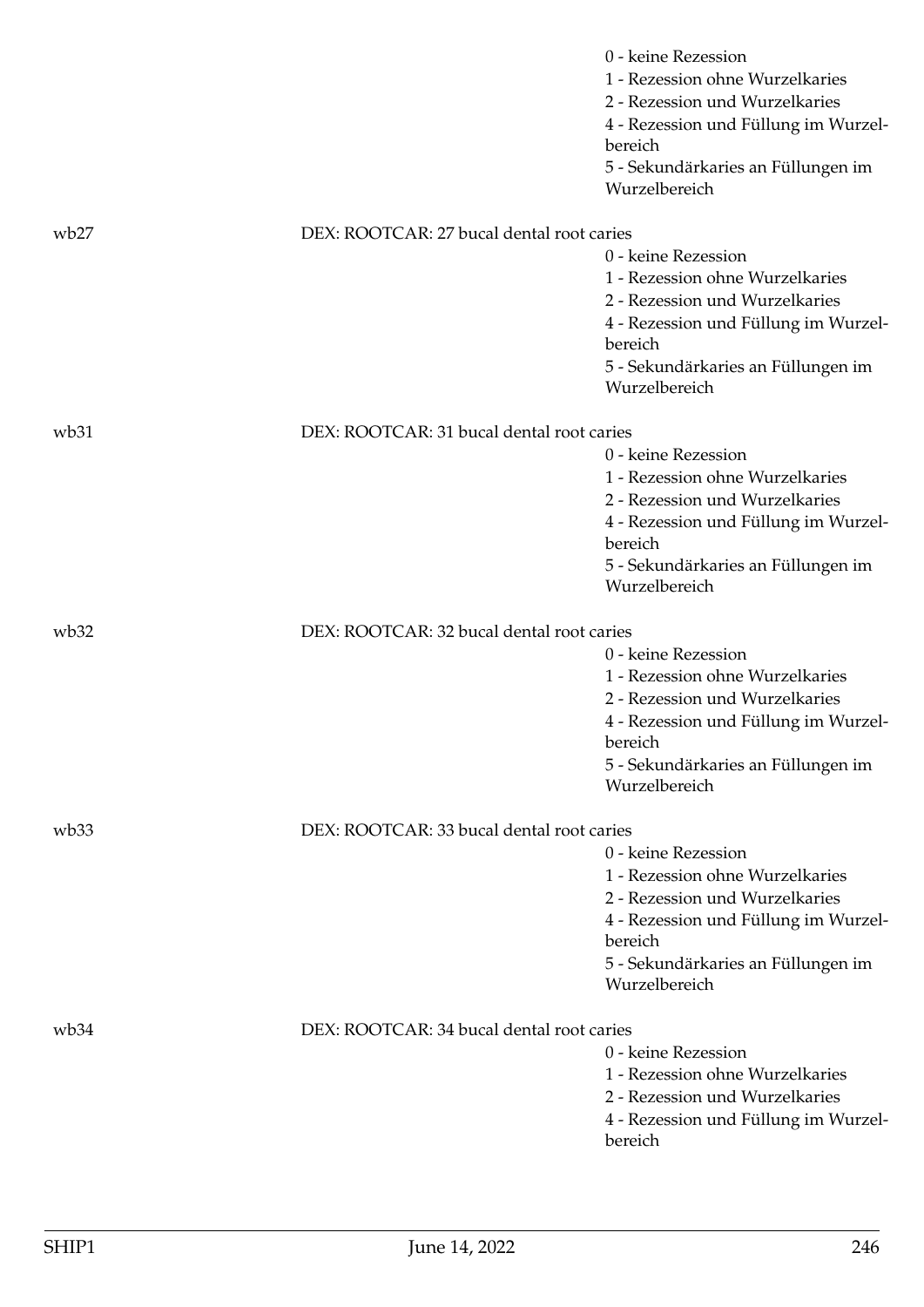|                  |                                           | 0 - keine Rezession<br>1 - Rezession ohne Wurzelkaries<br>2 - Rezession und Wurzelkaries<br>4 - Rezession und Füllung im Wurzel-<br>bereich<br>5 - Sekundärkaries an Füllungen im<br>Wurzelbereich |
|------------------|-------------------------------------------|----------------------------------------------------------------------------------------------------------------------------------------------------------------------------------------------------|
| wb27             | DEX: ROOTCAR: 27 bucal dental root caries |                                                                                                                                                                                                    |
|                  |                                           | 0 - keine Rezession<br>1 - Rezession ohne Wurzelkaries<br>2 - Rezession und Wurzelkaries<br>4 - Rezession und Füllung im Wurzel-<br>bereich<br>5 - Sekundärkaries an Füllungen im<br>Wurzelbereich |
| wb31             | DEX: ROOTCAR: 31 bucal dental root caries |                                                                                                                                                                                                    |
|                  |                                           | 0 - keine Rezession<br>1 - Rezession ohne Wurzelkaries<br>2 - Rezession und Wurzelkaries<br>4 - Rezession und Füllung im Wurzel-<br>bereich<br>5 - Sekundärkaries an Füllungen im<br>Wurzelbereich |
| wb32             | DEX: ROOTCAR: 32 bucal dental root caries |                                                                                                                                                                                                    |
|                  |                                           | 0 - keine Rezession<br>1 - Rezession ohne Wurzelkaries<br>2 - Rezession und Wurzelkaries<br>4 - Rezession und Füllung im Wurzel-<br>bereich<br>5 - Sekundärkaries an Füllungen im<br>Wurzelbereich |
| wb33             | DEX: ROOTCAR: 33 bucal dental root caries |                                                                                                                                                                                                    |
|                  |                                           | 0 - keine Rezession<br>1 - Rezession ohne Wurzelkaries<br>2 - Rezession und Wurzelkaries<br>4 - Rezession und Füllung im Wurzel-<br>bereich<br>5 - Sekundärkaries an Füllungen im<br>Wurzelbereich |
| wb <sub>34</sub> | DEX: ROOTCAR: 34 bucal dental root caries |                                                                                                                                                                                                    |
|                  |                                           | 0 - keine Rezession<br>1 - Rezession ohne Wurzelkaries<br>2 - Rezession und Wurzelkaries<br>4 - Rezession und Füllung im Wurzel-<br>bereich                                                        |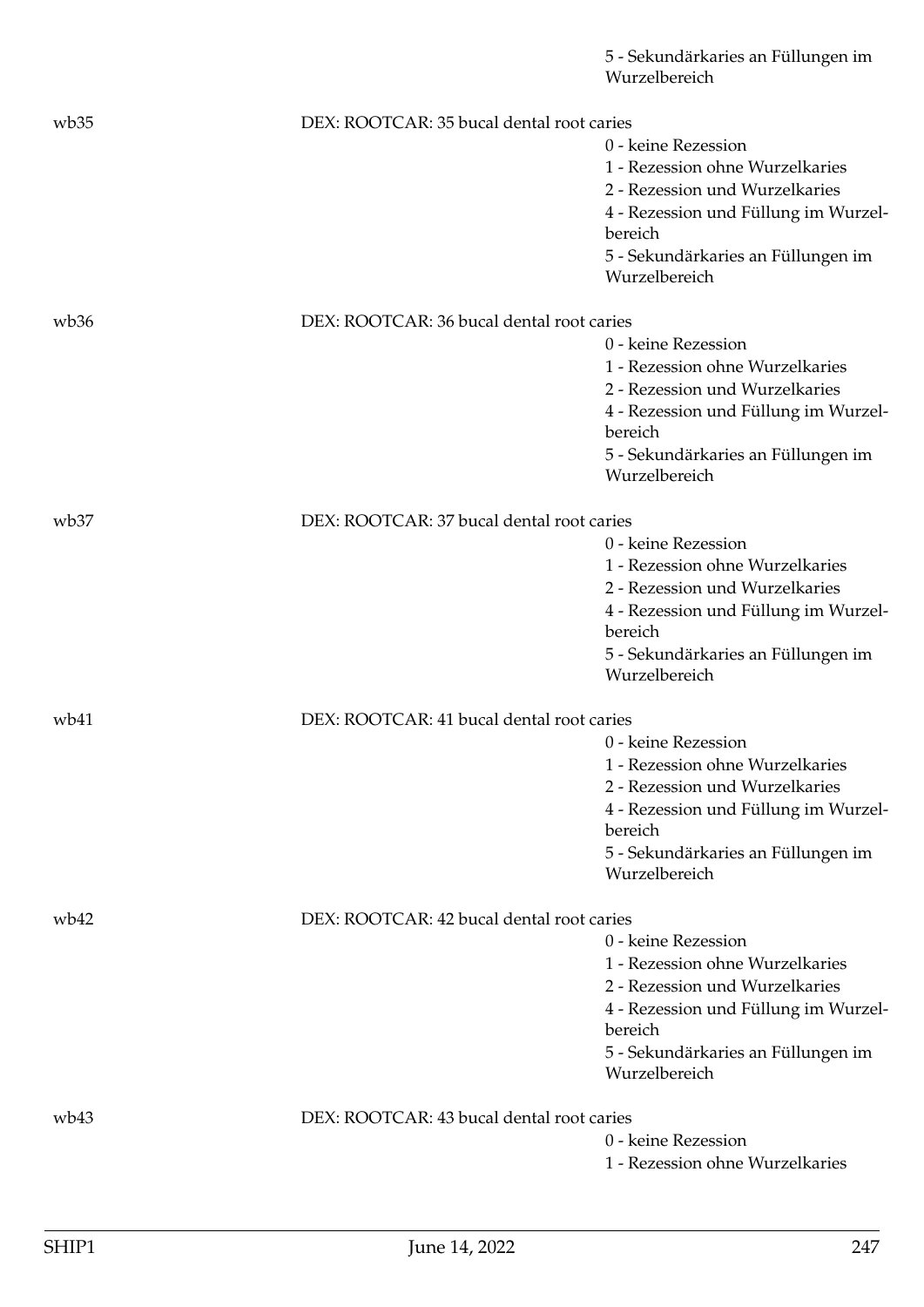|                  |                                           | 5 - Sekundärkaries an Füllungen im<br>Wurzelbereich |
|------------------|-------------------------------------------|-----------------------------------------------------|
| wb35             | DEX: ROOTCAR: 35 bucal dental root caries |                                                     |
|                  |                                           | 0 - keine Rezession                                 |
|                  |                                           | 1 - Rezession ohne Wurzelkaries                     |
|                  |                                           | 2 - Rezession und Wurzelkaries                      |
|                  |                                           | 4 - Rezession und Füllung im Wurzel-                |
|                  |                                           | bereich                                             |
|                  |                                           | 5 - Sekundärkaries an Füllungen im<br>Wurzelbereich |
| wb36             | DEX: ROOTCAR: 36 bucal dental root caries |                                                     |
|                  |                                           | 0 - keine Rezession                                 |
|                  |                                           | 1 - Rezession ohne Wurzelkaries                     |
|                  |                                           | 2 - Rezession und Wurzelkaries                      |
|                  |                                           | 4 - Rezession und Füllung im Wurzel-                |
|                  |                                           | bereich                                             |
|                  |                                           | 5 - Sekundärkaries an Füllungen im                  |
|                  |                                           | Wurzelbereich                                       |
| wb <sub>37</sub> | DEX: ROOTCAR: 37 bucal dental root caries |                                                     |
|                  |                                           | 0 - keine Rezession                                 |
|                  |                                           | 1 - Rezession ohne Wurzelkaries                     |
|                  |                                           | 2 - Rezession und Wurzelkaries                      |
|                  |                                           | 4 - Rezession und Füllung im Wurzel-<br>bereich     |
|                  |                                           | 5 - Sekundärkaries an Füllungen im                  |
|                  |                                           | Wurzelbereich                                       |
| wb41             | DEX: ROOTCAR: 41 bucal dental root caries |                                                     |
|                  |                                           | 0 - keine Rezession                                 |
|                  |                                           | 1 - Rezession ohne Wurzelkaries                     |
|                  |                                           | 2 - Rezession und Wurzelkaries                      |
|                  |                                           | 4 - Rezession und Füllung im Wurzel-                |
|                  |                                           | bereich                                             |
|                  |                                           | 5 - Sekundärkaries an Füllungen im<br>Wurzelbereich |
| wb42             | DEX: ROOTCAR: 42 bucal dental root caries |                                                     |
|                  |                                           | 0 - keine Rezession                                 |
|                  |                                           | 1 - Rezession ohne Wurzelkaries                     |
|                  |                                           | 2 - Rezession und Wurzelkaries                      |
|                  |                                           | 4 - Rezession und Füllung im Wurzel-                |
|                  |                                           | bereich                                             |
|                  |                                           | 5 - Sekundärkaries an Füllungen im<br>Wurzelbereich |
| wb43             | DEX: ROOTCAR: 43 bucal dental root caries |                                                     |
|                  |                                           | 0 - keine Rezession                                 |
|                  |                                           | 1 - Rezession ohne Wurzelkaries                     |
|                  |                                           |                                                     |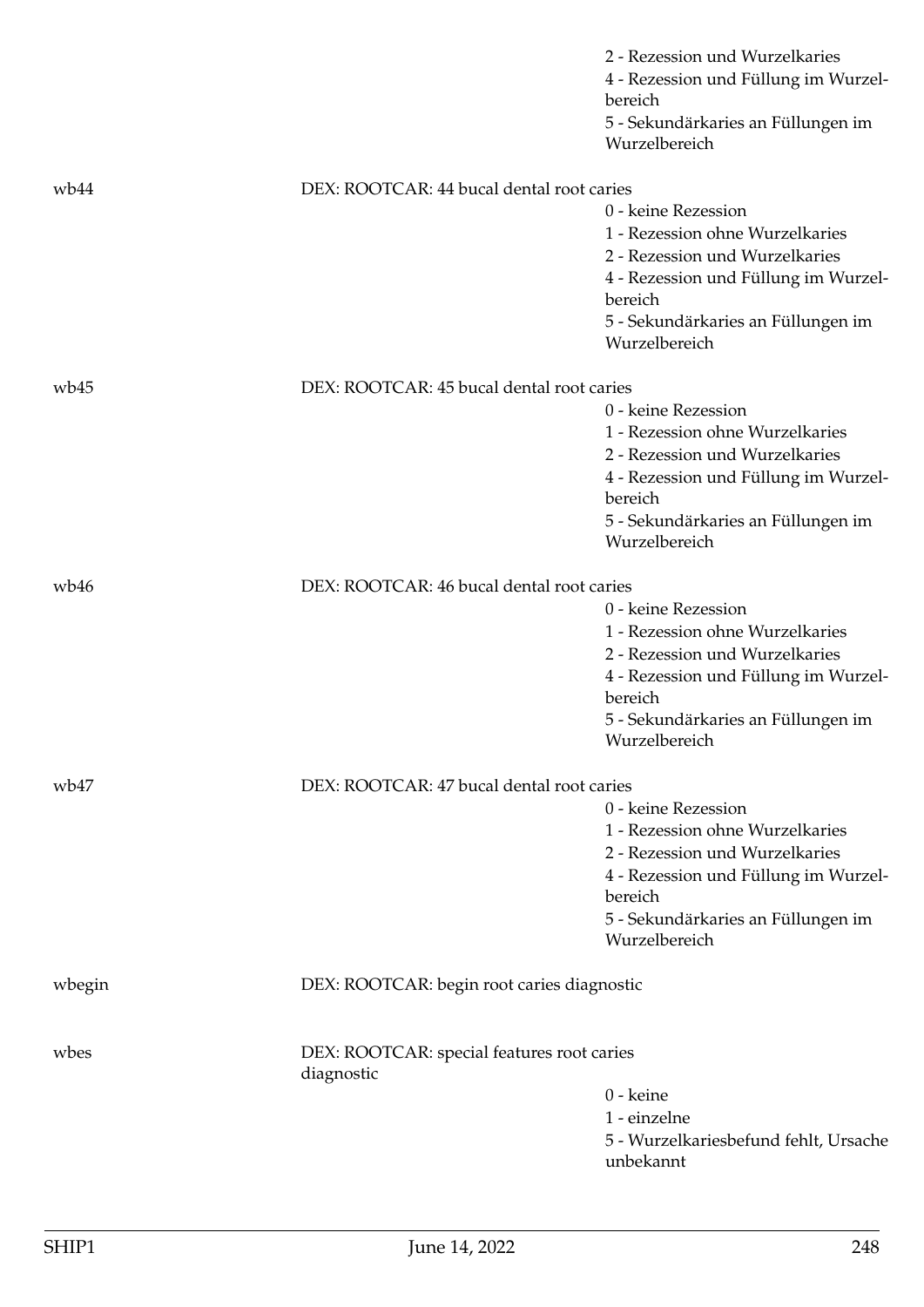|        |                                                          | 2 - Rezession und Wurzelkaries<br>4 - Rezession und Füllung im Wurzel-<br>bereich |
|--------|----------------------------------------------------------|-----------------------------------------------------------------------------------|
|        |                                                          | 5 - Sekundärkaries an Füllungen im<br>Wurzelbereich                               |
| wb44   | DEX: ROOTCAR: 44 bucal dental root caries                |                                                                                   |
|        |                                                          | 0 - keine Rezession                                                               |
|        |                                                          | 1 - Rezession ohne Wurzelkaries                                                   |
|        |                                                          | 2 - Rezession und Wurzelkaries                                                    |
|        |                                                          | 4 - Rezession und Füllung im Wurzel-                                              |
|        |                                                          | bereich                                                                           |
|        |                                                          | 5 - Sekundärkaries an Füllungen im                                                |
|        |                                                          | Wurzelbereich                                                                     |
| wb45   | DEX: ROOTCAR: 45 bucal dental root caries                |                                                                                   |
|        |                                                          | 0 - keine Rezession                                                               |
|        |                                                          | 1 - Rezession ohne Wurzelkaries                                                   |
|        |                                                          | 2 - Rezession und Wurzelkaries                                                    |
|        |                                                          | 4 - Rezession und Füllung im Wurzel-<br>bereich                                   |
|        |                                                          | 5 - Sekundärkaries an Füllungen im<br>Wurzelbereich                               |
| wb46   | DEX: ROOTCAR: 46 bucal dental root caries                |                                                                                   |
|        |                                                          | 0 - keine Rezession                                                               |
|        |                                                          | 1 - Rezession ohne Wurzelkaries                                                   |
|        |                                                          | 2 - Rezession und Wurzelkaries                                                    |
|        |                                                          | 4 - Rezession und Füllung im Wurzel-<br>bereich                                   |
|        |                                                          | 5 - Sekundärkaries an Füllungen im<br>Wurzelbereich                               |
| wb47   | DEX: ROOTCAR: 47 bucal dental root caries                |                                                                                   |
|        |                                                          | 0 - keine Rezession                                                               |
|        |                                                          | 1 - Rezession ohne Wurzelkaries                                                   |
|        |                                                          | 2 - Rezession und Wurzelkaries                                                    |
|        |                                                          | 4 - Rezession und Füllung im Wurzel-                                              |
|        |                                                          | bereich                                                                           |
|        |                                                          | 5 - Sekundärkaries an Füllungen im<br>Wurzelbereich                               |
|        |                                                          |                                                                                   |
| wbegin | DEX: ROOTCAR: begin root caries diagnostic               |                                                                                   |
| wbes   | DEX: ROOTCAR: special features root caries<br>diagnostic |                                                                                   |
|        |                                                          | 0 - keine                                                                         |
|        |                                                          | 1 - einzelne                                                                      |
|        |                                                          | 5 - Wurzelkariesbefund fehlt, Ursache<br>unbekannt                                |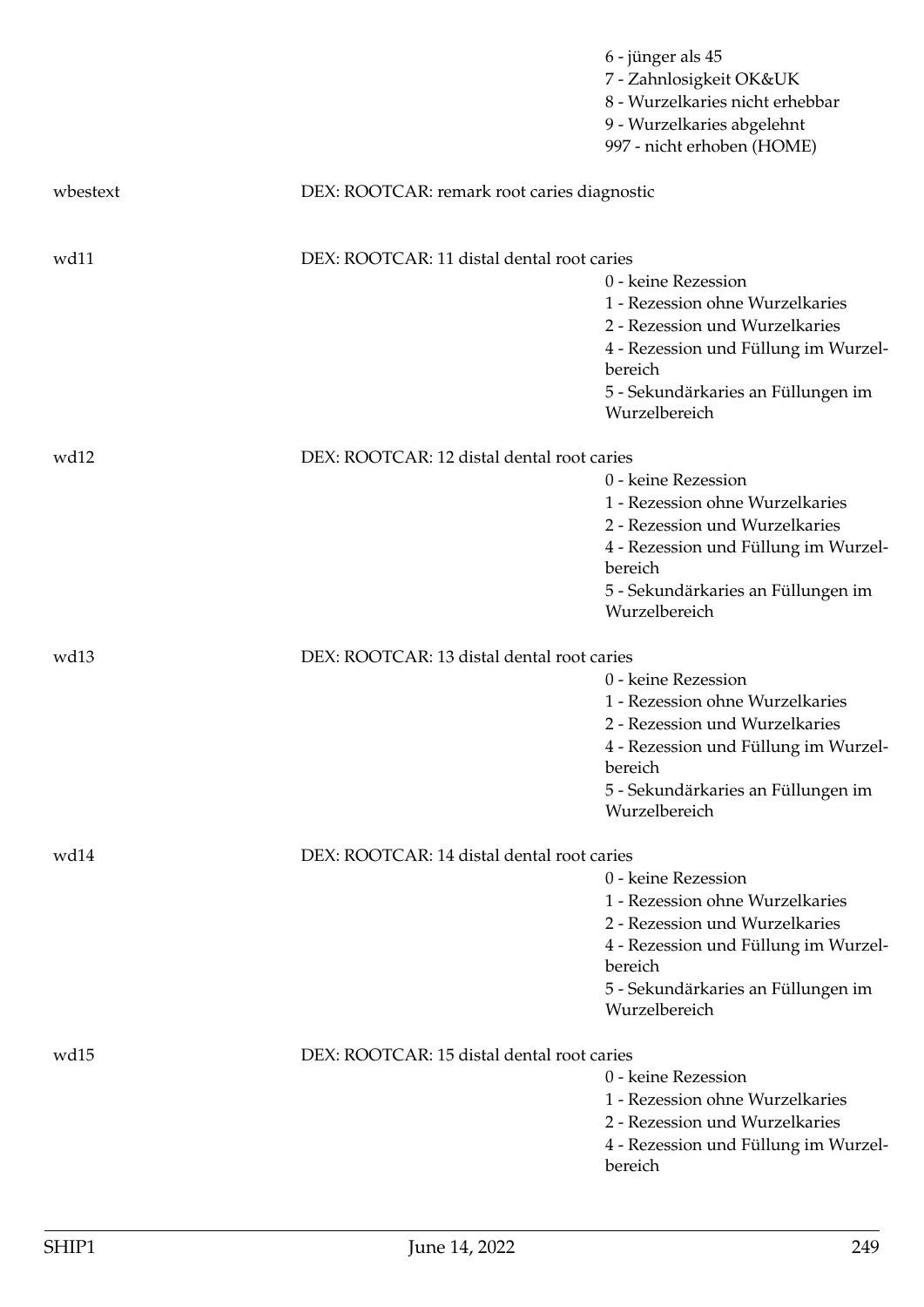|          |                                             | 6 - jünger als 45<br>7 - Zahnlosigkeit OK&UK<br>8 - Wurzelkaries nicht erhebbar<br>9 - Wurzelkaries abgelehnt<br>997 - nicht erhoben (HOME)                                                        |
|----------|---------------------------------------------|----------------------------------------------------------------------------------------------------------------------------------------------------------------------------------------------------|
| wbestext | DEX: ROOTCAR: remark root caries diagnostic |                                                                                                                                                                                                    |
| wd11     | DEX: ROOTCAR: 11 distal dental root caries  | 0 - keine Rezession<br>1 - Rezession ohne Wurzelkaries<br>2 - Rezession und Wurzelkaries<br>4 - Rezession und Füllung im Wurzel-<br>bereich<br>5 - Sekundärkaries an Füllungen im<br>Wurzelbereich |
| wd12     | DEX: ROOTCAR: 12 distal dental root caries  | 0 - keine Rezession<br>1 - Rezession ohne Wurzelkaries<br>2 - Rezession und Wurzelkaries<br>4 - Rezession und Füllung im Wurzel-<br>bereich<br>5 - Sekundärkaries an Füllungen im<br>Wurzelbereich |
| wd13     | DEX: ROOTCAR: 13 distal dental root caries  | 0 - keine Rezession<br>1 - Rezession ohne Wurzelkaries<br>2 - Rezession und Wurzelkaries<br>4 - Rezession und Füllung im Wurzel-<br>bereich<br>5 - Sekundärkaries an Füllungen im<br>Wurzelbereich |
| wd14     | DEX: ROOTCAR: 14 distal dental root caries  | 0 - keine Rezession<br>1 - Rezession ohne Wurzelkaries<br>2 - Rezession und Wurzelkaries<br>4 - Rezession und Füllung im Wurzel-<br>bereich<br>5 - Sekundärkaries an Füllungen im<br>Wurzelbereich |
| wd15     | DEX: ROOTCAR: 15 distal dental root caries  | 0 - keine Rezession<br>1 - Rezession ohne Wurzelkaries<br>2 - Rezession und Wurzelkaries<br>4 - Rezession und Füllung im Wurzel-<br>bereich                                                        |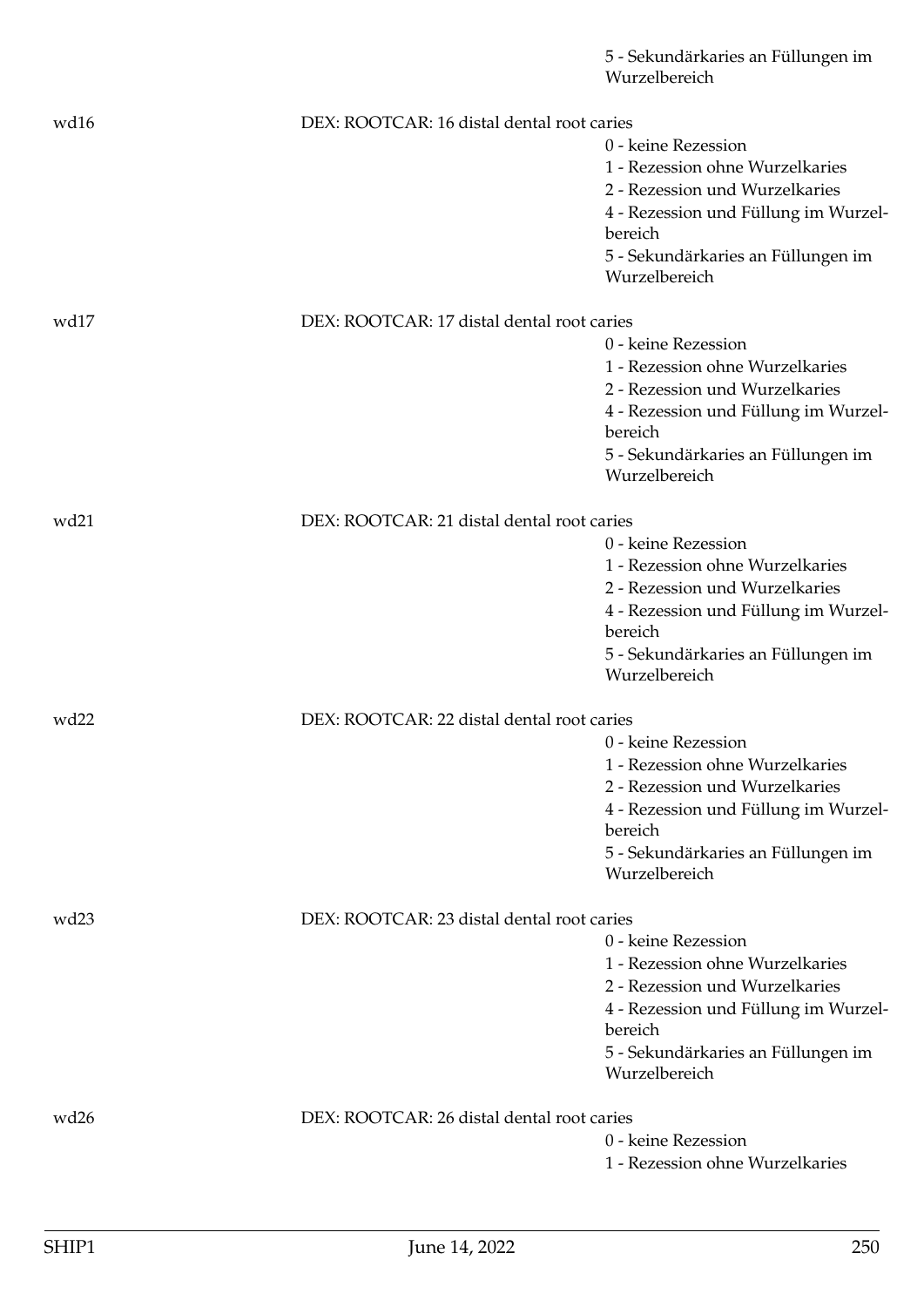|                  |                                            | 5 - Sekundärkaries an Füllungen im<br>Wurzelbereich |
|------------------|--------------------------------------------|-----------------------------------------------------|
| wd16             | DEX: ROOTCAR: 16 distal dental root caries |                                                     |
|                  |                                            | 0 - keine Rezession                                 |
|                  |                                            | 1 - Rezession ohne Wurzelkaries                     |
|                  |                                            | 2 - Rezession und Wurzelkaries                      |
|                  |                                            | 4 - Rezession und Füllung im Wurzel-<br>bereich     |
|                  |                                            | 5 - Sekundärkaries an Füllungen im                  |
|                  |                                            | Wurzelbereich                                       |
| wd17             | DEX: ROOTCAR: 17 distal dental root caries |                                                     |
|                  |                                            | 0 - keine Rezession                                 |
|                  |                                            | 1 - Rezession ohne Wurzelkaries                     |
|                  |                                            | 2 - Rezession und Wurzelkaries                      |
|                  |                                            | 4 - Rezession und Füllung im Wurzel-<br>bereich     |
|                  |                                            | 5 - Sekundärkaries an Füllungen im                  |
|                  |                                            | Wurzelbereich                                       |
| wd21             | DEX: ROOTCAR: 21 distal dental root caries |                                                     |
|                  |                                            | 0 - keine Rezession                                 |
|                  |                                            | 1 - Rezession ohne Wurzelkaries                     |
|                  |                                            | 2 - Rezession und Wurzelkaries                      |
|                  |                                            | 4 - Rezession und Füllung im Wurzel-<br>bereich     |
|                  |                                            | 5 - Sekundärkaries an Füllungen im                  |
|                  |                                            | Wurzelbereich                                       |
| wd <sub>22</sub> | DEX: ROOTCAR: 22 distal dental root caries |                                                     |
|                  |                                            | 0 - keine Rezession                                 |
|                  |                                            | 1 - Rezession ohne Wurzelkaries                     |
|                  |                                            | 2 - Rezession und Wurzelkaries                      |
|                  |                                            | 4 - Rezession und Füllung im Wurzel-                |
|                  |                                            | bereich                                             |
|                  |                                            | 5 - Sekundärkaries an Füllungen im<br>Wurzelbereich |
| wd <sub>23</sub> | DEX: ROOTCAR: 23 distal dental root caries |                                                     |
|                  |                                            | 0 - keine Rezession                                 |
|                  |                                            | 1 - Rezession ohne Wurzelkaries                     |
|                  |                                            | 2 - Rezession und Wurzelkaries                      |
|                  |                                            | 4 - Rezession und Füllung im Wurzel-                |
|                  |                                            | bereich                                             |
|                  |                                            | 5 - Sekundärkaries an Füllungen im<br>Wurzelbereich |
|                  |                                            |                                                     |
| wd26             | DEX: ROOTCAR: 26 distal dental root caries |                                                     |
|                  |                                            | 0 - keine Rezession                                 |
|                  |                                            | 1 - Rezession ohne Wurzelkaries                     |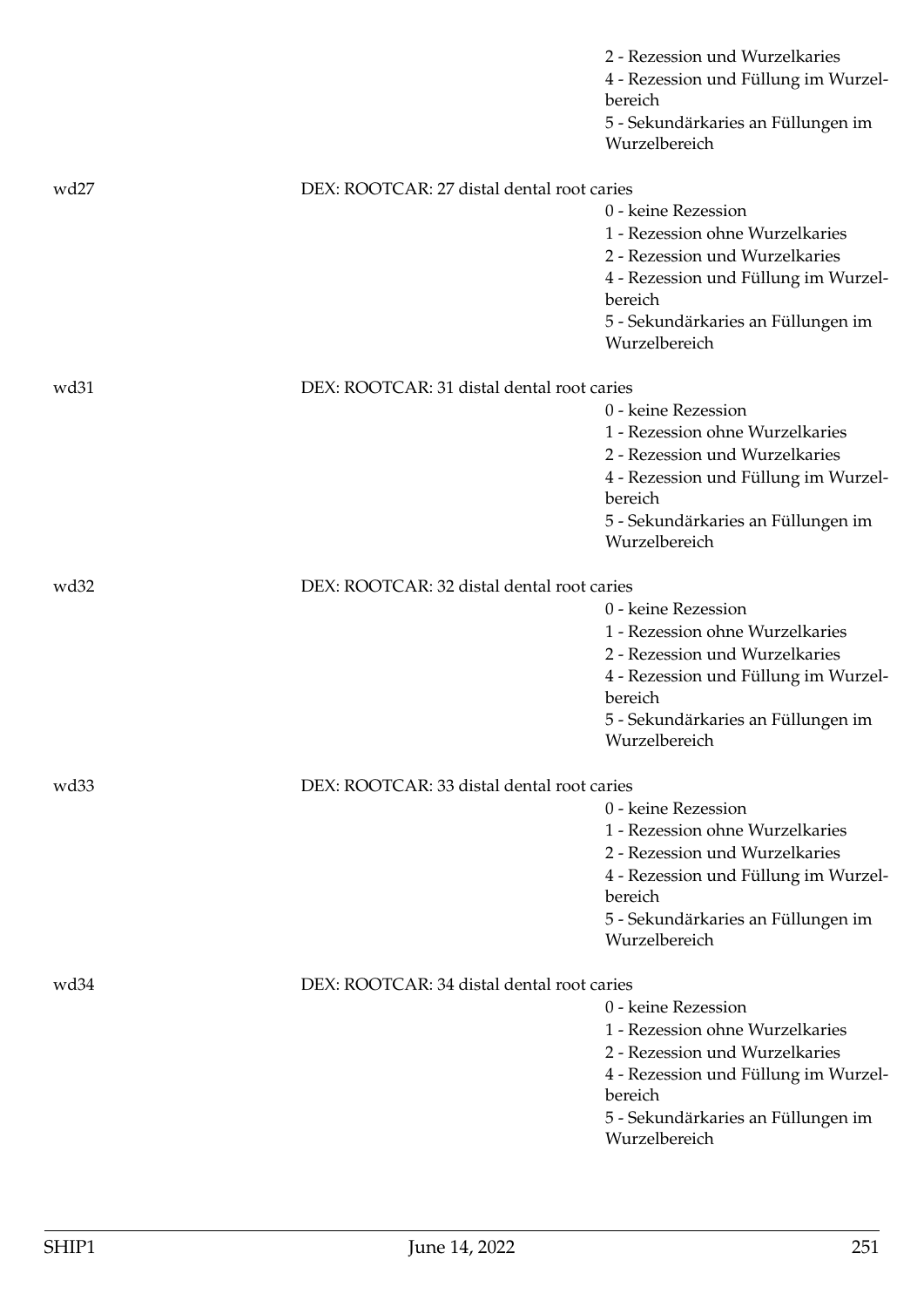|                  |                                            | 2 - Rezession und Wurzelkaries<br>4 - Rezession und Füllung im Wurzel-<br>bereich                                                                                                                  |
|------------------|--------------------------------------------|----------------------------------------------------------------------------------------------------------------------------------------------------------------------------------------------------|
|                  |                                            | 5 - Sekundärkaries an Füllungen im<br>Wurzelbereich                                                                                                                                                |
| wd27             | DEX: ROOTCAR: 27 distal dental root caries |                                                                                                                                                                                                    |
|                  |                                            | 0 - keine Rezession<br>1 - Rezession ohne Wurzelkaries<br>2 - Rezession und Wurzelkaries<br>4 - Rezession und Füllung im Wurzel-<br>bereich<br>5 - Sekundärkaries an Füllungen im<br>Wurzelbereich |
| wd31             | DEX: ROOTCAR: 31 distal dental root caries |                                                                                                                                                                                                    |
|                  |                                            | 0 - keine Rezession<br>1 - Rezession ohne Wurzelkaries<br>2 - Rezession und Wurzelkaries<br>4 - Rezession und Füllung im Wurzel-<br>bereich<br>5 - Sekundärkaries an Füllungen im<br>Wurzelbereich |
| wd <sub>32</sub> | DEX: ROOTCAR: 32 distal dental root caries |                                                                                                                                                                                                    |
|                  |                                            | 0 - keine Rezession<br>1 - Rezession ohne Wurzelkaries<br>2 - Rezession und Wurzelkaries<br>4 - Rezession und Füllung im Wurzel-<br>bereich<br>5 - Sekundärkaries an Füllungen im<br>Wurzelbereich |
| wd <sub>33</sub> | DEX: ROOTCAR: 33 distal dental root caries |                                                                                                                                                                                                    |
|                  |                                            | 0 - keine Rezession<br>1 - Rezession ohne Wurzelkaries<br>2 - Rezession und Wurzelkaries<br>4 - Rezession und Füllung im Wurzel-<br>bereich<br>5 - Sekundärkaries an Füllungen im<br>Wurzelbereich |
| wd34             | DEX: ROOTCAR: 34 distal dental root caries |                                                                                                                                                                                                    |
|                  |                                            | 0 - keine Rezession<br>1 - Rezession ohne Wurzelkaries<br>2 - Rezession und Wurzelkaries<br>4 - Rezession und Füllung im Wurzel-<br>bereich<br>5 - Sekundärkaries an Füllungen im<br>Wurzelbereich |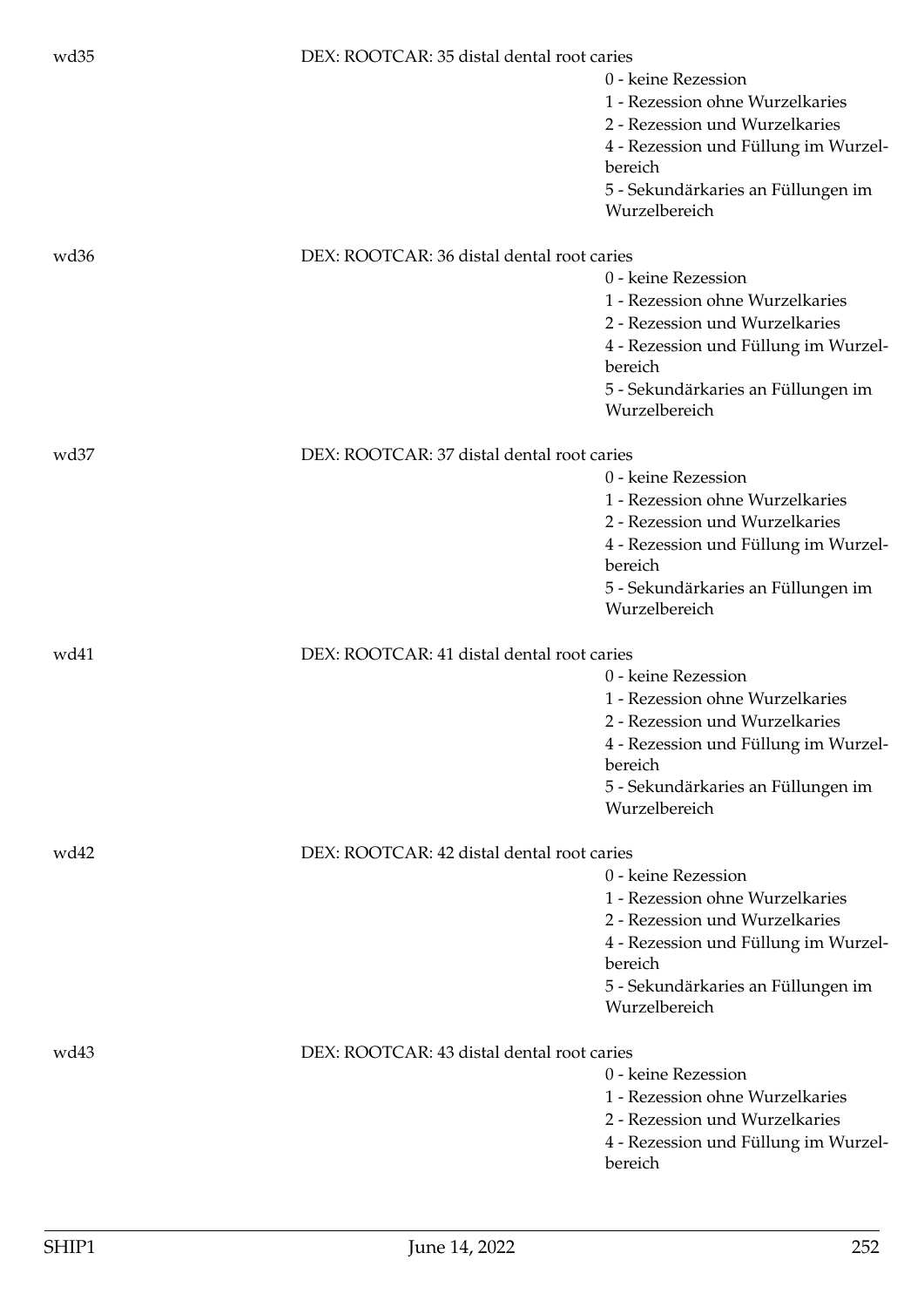| wd35             | DEX: ROOTCAR: 35 distal dental root caries | 0 - keine Rezession<br>1 - Rezession ohne Wurzelkaries<br>2 - Rezession und Wurzelkaries<br>4 - Rezession und Füllung im Wurzel-                                                                   |
|------------------|--------------------------------------------|----------------------------------------------------------------------------------------------------------------------------------------------------------------------------------------------------|
|                  |                                            | bereich<br>5 - Sekundärkaries an Füllungen im<br>Wurzelbereich                                                                                                                                     |
| wd <sub>36</sub> | DEX: ROOTCAR: 36 distal dental root caries | 0 - keine Rezession<br>1 - Rezession ohne Wurzelkaries<br>2 - Rezession und Wurzelkaries<br>4 - Rezession und Füllung im Wurzel-<br>bereich<br>5 - Sekundärkaries an Füllungen im<br>Wurzelbereich |
| wd <sub>37</sub> | DEX: ROOTCAR: 37 distal dental root caries | 0 - keine Rezession<br>1 - Rezession ohne Wurzelkaries<br>2 - Rezession und Wurzelkaries<br>4 - Rezession und Füllung im Wurzel-<br>bereich<br>5 - Sekundärkaries an Füllungen im<br>Wurzelbereich |
| wd41             | DEX: ROOTCAR: 41 distal dental root caries | 0 - keine Rezession<br>1 - Rezession ohne Wurzelkaries<br>2 - Rezession und Wurzelkaries<br>4 - Rezession und Füllung im Wurzel-<br>bereich<br>5 - Sekundärkaries an Füllungen im<br>Wurzelbereich |
| wd42             | DEX: ROOTCAR: 42 distal dental root caries | 0 - keine Rezession<br>1 - Rezession ohne Wurzelkaries<br>2 - Rezession und Wurzelkaries<br>4 - Rezession und Füllung im Wurzel-<br>bereich<br>5 - Sekundärkaries an Füllungen im<br>Wurzelbereich |
| wd43             | DEX: ROOTCAR: 43 distal dental root caries | 0 - keine Rezession<br>1 - Rezession ohne Wurzelkaries<br>2 - Rezession und Wurzelkaries<br>4 - Rezession und Füllung im Wurzel-<br>bereich                                                        |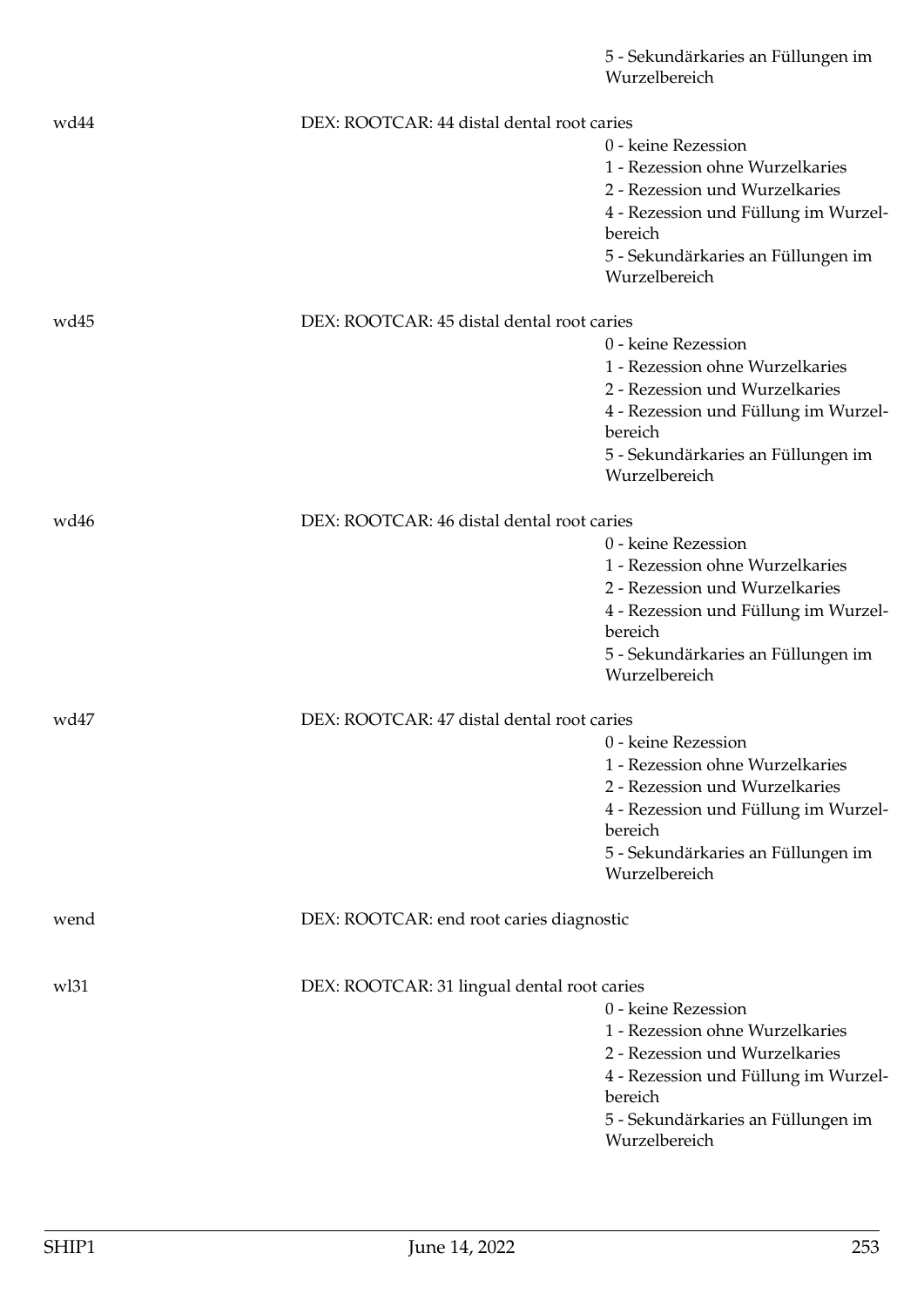|      |                                             | 5 - Sekundärkaries an Füllungen im<br>Wurzelbereich    |
|------|---------------------------------------------|--------------------------------------------------------|
| wd44 | DEX: ROOTCAR: 44 distal dental root caries  |                                                        |
|      |                                             | 0 - keine Rezession                                    |
|      |                                             | 1 - Rezession ohne Wurzelkaries                        |
|      |                                             | 2 - Rezession und Wurzelkaries                         |
|      |                                             | 4 - Rezession und Füllung im Wurzel-                   |
|      |                                             | bereich                                                |
|      |                                             | 5 - Sekundärkaries an Füllungen im                     |
|      |                                             | Wurzelbereich                                          |
| wd45 | DEX: ROOTCAR: 45 distal dental root caries  |                                                        |
|      |                                             | 0 - keine Rezession                                    |
|      |                                             | 1 - Rezession ohne Wurzelkaries                        |
|      |                                             | 2 - Rezession und Wurzelkaries                         |
|      |                                             | 4 - Rezession und Füllung im Wurzel-                   |
|      |                                             | bereich                                                |
|      |                                             | 5 - Sekundärkaries an Füllungen im                     |
|      |                                             | Wurzelbereich                                          |
| wd46 | DEX: ROOTCAR: 46 distal dental root caries  |                                                        |
|      |                                             | 0 - keine Rezession                                    |
|      |                                             | 1 - Rezession ohne Wurzelkaries                        |
|      |                                             | 2 - Rezession und Wurzelkaries                         |
|      |                                             | 4 - Rezession und Füllung im Wurzel-                   |
|      |                                             | bereich                                                |
|      |                                             | 5 - Sekundärkaries an Füllungen im<br>Wurzelbereich    |
|      |                                             |                                                        |
| wd47 | DEX: ROOTCAR: 47 distal dental root caries  |                                                        |
|      |                                             | 0 - keine Rezession<br>1 - Rezession ohne Wurzelkaries |
|      |                                             | 2 - Rezession und Wurzelkaries                         |
|      |                                             | 4 - Rezession und Füllung im Wurzel-                   |
|      |                                             | bereich                                                |
|      |                                             | 5 - Sekundärkaries an Füllungen im                     |
|      |                                             | Wurzelbereich                                          |
| wend | DEX: ROOTCAR: end root caries diagnostic    |                                                        |
|      |                                             |                                                        |
| w131 | DEX: ROOTCAR: 31 lingual dental root caries | 0 - keine Rezession                                    |
|      |                                             | 1 - Rezession ohne Wurzelkaries                        |
|      |                                             | 2 - Rezession und Wurzelkaries                         |
|      |                                             | 4 - Rezession und Füllung im Wurzel-                   |
|      |                                             | bereich                                                |
|      |                                             | 5 - Sekundärkaries an Füllungen im                     |
|      |                                             | Wurzelbereich                                          |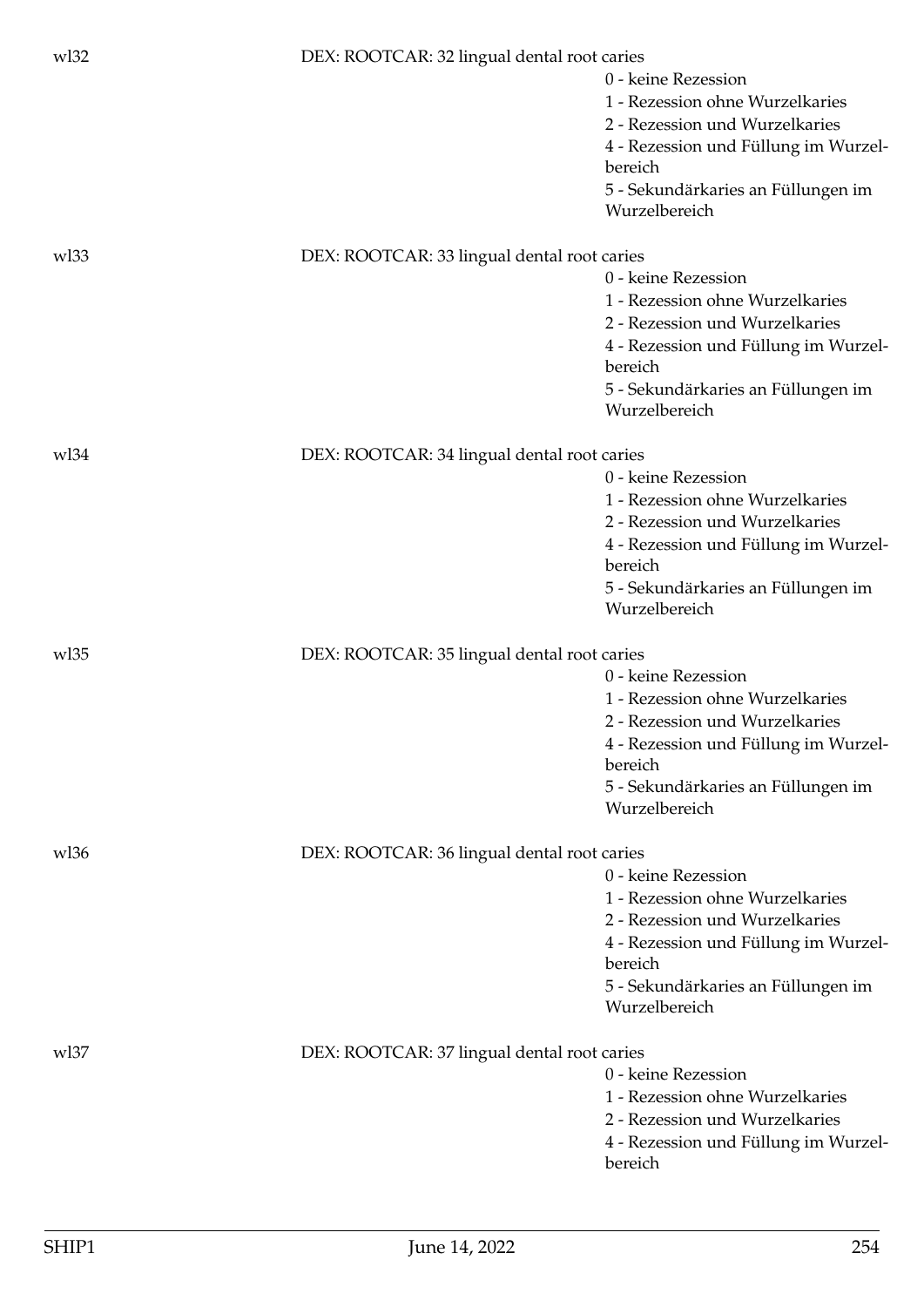| w132 | DEX: ROOTCAR: 32 lingual dental root caries |                                      |
|------|---------------------------------------------|--------------------------------------|
|      |                                             | 0 - keine Rezession                  |
|      |                                             | 1 - Rezession ohne Wurzelkaries      |
|      |                                             | 2 - Rezession und Wurzelkaries       |
|      |                                             | 4 - Rezession und Füllung im Wurzel- |
|      |                                             | bereich                              |
|      |                                             | 5 - Sekundärkaries an Füllungen im   |
|      |                                             | Wurzelbereich                        |
| wl33 | DEX: ROOTCAR: 33 lingual dental root caries |                                      |
|      |                                             | 0 - keine Rezession                  |
|      |                                             | 1 - Rezession ohne Wurzelkaries      |
|      |                                             | 2 - Rezession und Wurzelkaries       |
|      |                                             | 4 - Rezession und Füllung im Wurzel- |
|      |                                             | bereich                              |
|      |                                             | 5 - Sekundärkaries an Füllungen im   |
|      |                                             | Wurzelbereich                        |
| w134 | DEX: ROOTCAR: 34 lingual dental root caries |                                      |
|      |                                             | 0 - keine Rezession                  |
|      |                                             | 1 - Rezession ohne Wurzelkaries      |
|      |                                             | 2 - Rezession und Wurzelkaries       |
|      |                                             | 4 - Rezession und Füllung im Wurzel- |
|      |                                             | bereich                              |
|      |                                             | 5 - Sekundärkaries an Füllungen im   |
|      |                                             | Wurzelbereich                        |
| w135 | DEX: ROOTCAR: 35 lingual dental root caries |                                      |
|      |                                             | 0 - keine Rezession                  |
|      |                                             | 1 - Rezession ohne Wurzelkaries      |
|      |                                             | 2 - Rezession und Wurzelkaries       |
|      |                                             | 4 - Rezession und Füllung im Wurzel- |
|      |                                             | bereich                              |
|      |                                             | 5 - Sekundärkaries an Füllungen im   |
|      |                                             | Wurzelbereich                        |
| wl36 | DEX: ROOTCAR: 36 lingual dental root caries |                                      |
|      |                                             | 0 - keine Rezession                  |
|      |                                             | 1 - Rezession ohne Wurzelkaries      |
|      |                                             | 2 - Rezession und Wurzelkaries       |
|      |                                             | 4 - Rezession und Füllung im Wurzel- |
|      |                                             | bereich                              |
|      |                                             | 5 - Sekundärkaries an Füllungen im   |
|      |                                             | Wurzelbereich                        |
| wl37 | DEX: ROOTCAR: 37 lingual dental root caries |                                      |
|      |                                             | 0 - keine Rezession                  |
|      |                                             | 1 - Rezession ohne Wurzelkaries      |
|      |                                             | 2 - Rezession und Wurzelkaries       |
|      |                                             | 4 - Rezession und Füllung im Wurzel- |
|      |                                             | bereich                              |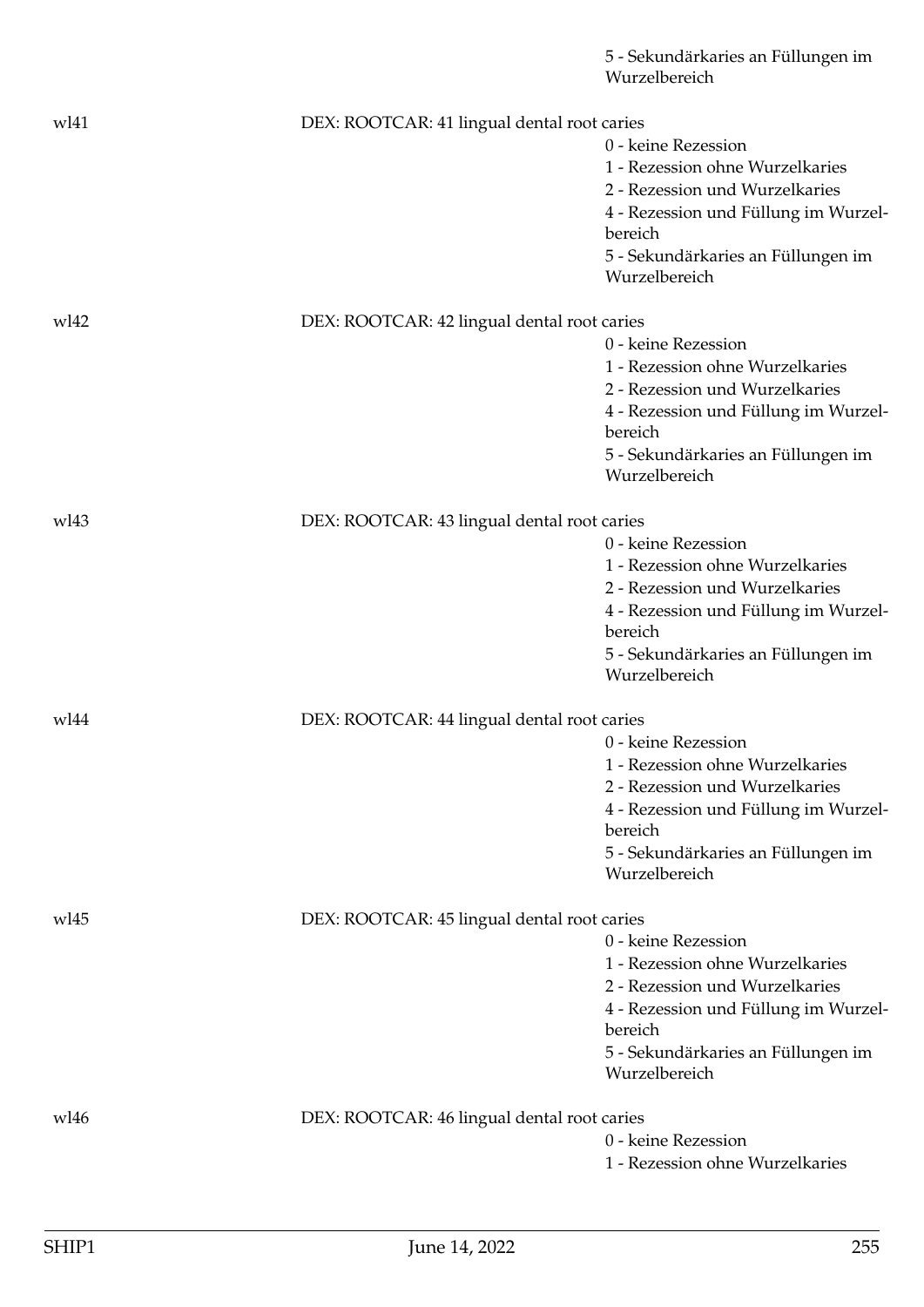|      |                                             | 5 - Sekundärkaries an Füllungen im<br>Wurzelbereich |
|------|---------------------------------------------|-----------------------------------------------------|
| wl41 | DEX: ROOTCAR: 41 lingual dental root caries |                                                     |
|      |                                             | 0 - keine Rezession                                 |
|      |                                             | 1 - Rezession ohne Wurzelkaries                     |
|      |                                             | 2 - Rezession und Wurzelkaries                      |
|      |                                             | 4 - Rezession und Füllung im Wurzel-<br>bereich     |
|      |                                             | 5 - Sekundärkaries an Füllungen im<br>Wurzelbereich |
| wl42 | DEX: ROOTCAR: 42 lingual dental root caries |                                                     |
|      |                                             | 0 - keine Rezession                                 |
|      |                                             | 1 - Rezession ohne Wurzelkaries                     |
|      |                                             | 2 - Rezession und Wurzelkaries                      |
|      |                                             | 4 - Rezession und Füllung im Wurzel-<br>bereich     |
|      |                                             | 5 - Sekundärkaries an Füllungen im<br>Wurzelbereich |
| wl43 | DEX: ROOTCAR: 43 lingual dental root caries |                                                     |
|      |                                             | 0 - keine Rezession                                 |
|      |                                             | 1 - Rezession ohne Wurzelkaries                     |
|      |                                             | 2 - Rezession und Wurzelkaries                      |
|      |                                             | 4 - Rezession und Füllung im Wurzel-<br>bereich     |
|      |                                             | 5 - Sekundärkaries an Füllungen im<br>Wurzelbereich |
| wl44 | DEX: ROOTCAR: 44 lingual dental root caries |                                                     |
|      |                                             | 0 - keine Rezession                                 |
|      |                                             | 1 - Rezession ohne Wurzelkaries                     |
|      |                                             | 2 - Rezession und Wurzelkaries                      |
|      |                                             | 4 - Rezession und Füllung im Wurzel-                |
|      |                                             | bereich                                             |
|      |                                             | 5 - Sekundärkaries an Füllungen im<br>Wurzelbereich |
| wl45 | DEX: ROOTCAR: 45 lingual dental root caries |                                                     |
|      |                                             | 0 - keine Rezession                                 |
|      |                                             | 1 - Rezession ohne Wurzelkaries                     |
|      |                                             | 2 - Rezession und Wurzelkaries                      |
|      |                                             | 4 - Rezession und Füllung im Wurzel-                |
|      |                                             | bereich                                             |
|      |                                             | 5 - Sekundärkaries an Füllungen im<br>Wurzelbereich |
| wl46 | DEX: ROOTCAR: 46 lingual dental root caries |                                                     |
|      |                                             | 0 - keine Rezession                                 |
|      |                                             | 1 - Rezession ohne Wurzelkaries                     |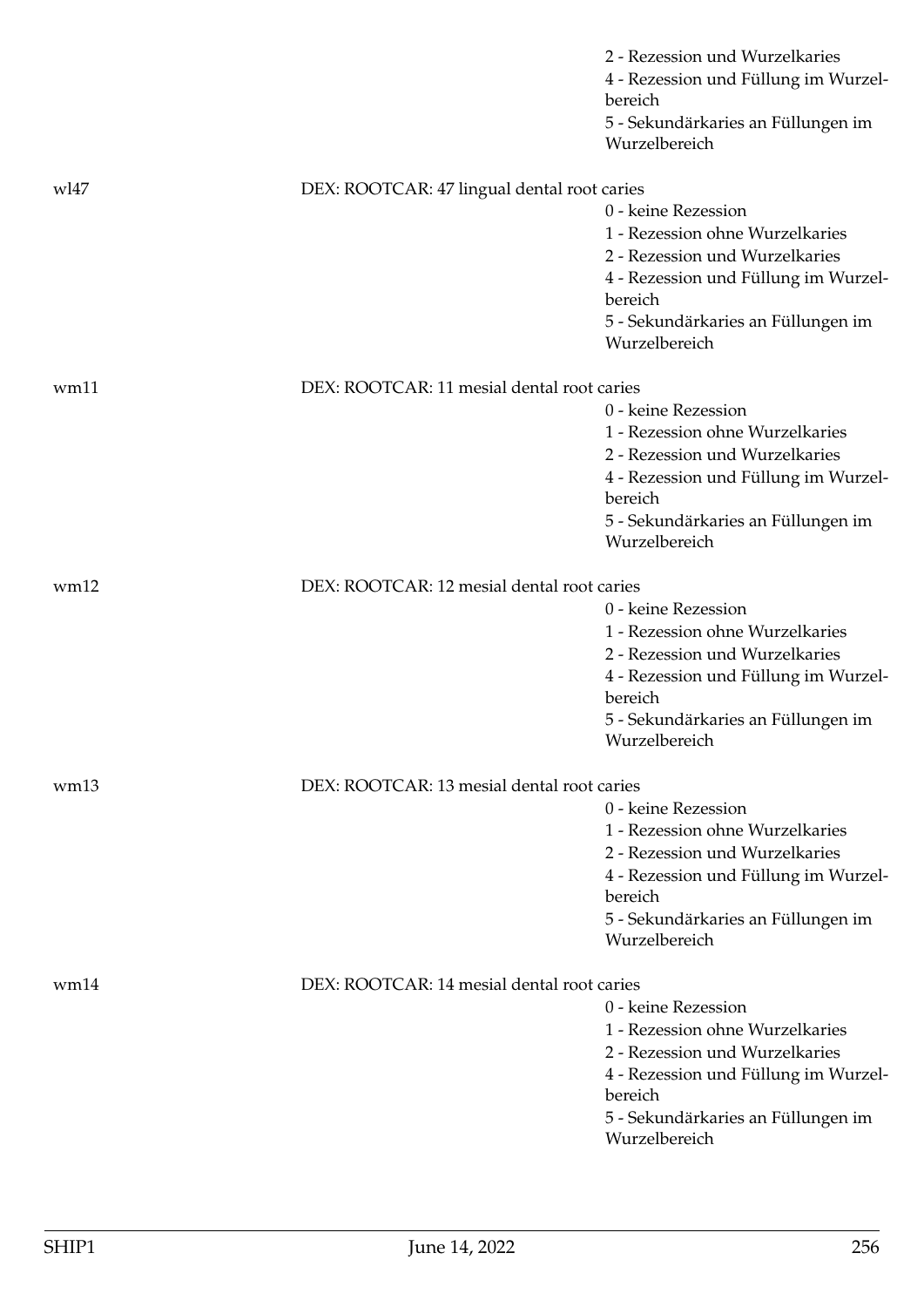|                  |                                             | 2 - Rezession und Wurzelkaries<br>4 - Rezession und Füllung im Wurzel-<br>bereich                                                                                                                  |
|------------------|---------------------------------------------|----------------------------------------------------------------------------------------------------------------------------------------------------------------------------------------------------|
|                  |                                             | 5 - Sekundärkaries an Füllungen im<br>Wurzelbereich                                                                                                                                                |
| wl47             | DEX: ROOTCAR: 47 lingual dental root caries |                                                                                                                                                                                                    |
|                  |                                             | 0 - keine Rezession<br>1 - Rezession ohne Wurzelkaries<br>2 - Rezession und Wurzelkaries<br>4 - Rezession und Füllung im Wurzel-                                                                   |
|                  |                                             | bereich<br>5 - Sekundärkaries an Füllungen im<br>Wurzelbereich                                                                                                                                     |
| wm11             | DEX: ROOTCAR: 11 mesial dental root caries  |                                                                                                                                                                                                    |
|                  |                                             | 0 - keine Rezession                                                                                                                                                                                |
|                  |                                             | 1 - Rezession ohne Wurzelkaries<br>2 - Rezession und Wurzelkaries                                                                                                                                  |
|                  |                                             | 4 - Rezession und Füllung im Wurzel-<br>bereich                                                                                                                                                    |
|                  |                                             | 5 - Sekundärkaries an Füllungen im<br>Wurzelbereich                                                                                                                                                |
| wm12             | DEX: ROOTCAR: 12 mesial dental root caries  |                                                                                                                                                                                                    |
|                  |                                             | 0 - keine Rezession                                                                                                                                                                                |
|                  |                                             | 1 - Rezession ohne Wurzelkaries<br>2 - Rezession und Wurzelkaries                                                                                                                                  |
|                  |                                             | 4 - Rezession und Füllung im Wurzel-<br>bereich                                                                                                                                                    |
|                  |                                             | 5 - Sekundärkaries an Füllungen im<br>Wurzelbereich                                                                                                                                                |
| wm <sub>13</sub> | DEX: ROOTCAR: 13 mesial dental root caries  |                                                                                                                                                                                                    |
|                  |                                             | 0 - keine Rezession                                                                                                                                                                                |
|                  |                                             | 1 - Rezession ohne Wurzelkaries<br>2 - Rezession und Wurzelkaries                                                                                                                                  |
|                  |                                             | 4 - Rezession und Füllung im Wurzel-                                                                                                                                                               |
|                  |                                             | bereich                                                                                                                                                                                            |
|                  |                                             | 5 - Sekundärkaries an Füllungen im<br>Wurzelbereich                                                                                                                                                |
| wm14             | DEX: ROOTCAR: 14 mesial dental root caries  |                                                                                                                                                                                                    |
|                  |                                             | 0 - keine Rezession<br>1 - Rezession ohne Wurzelkaries<br>2 - Rezession und Wurzelkaries<br>4 - Rezession und Füllung im Wurzel-<br>bereich<br>5 - Sekundärkaries an Füllungen im<br>Wurzelbereich |
|                  |                                             |                                                                                                                                                                                                    |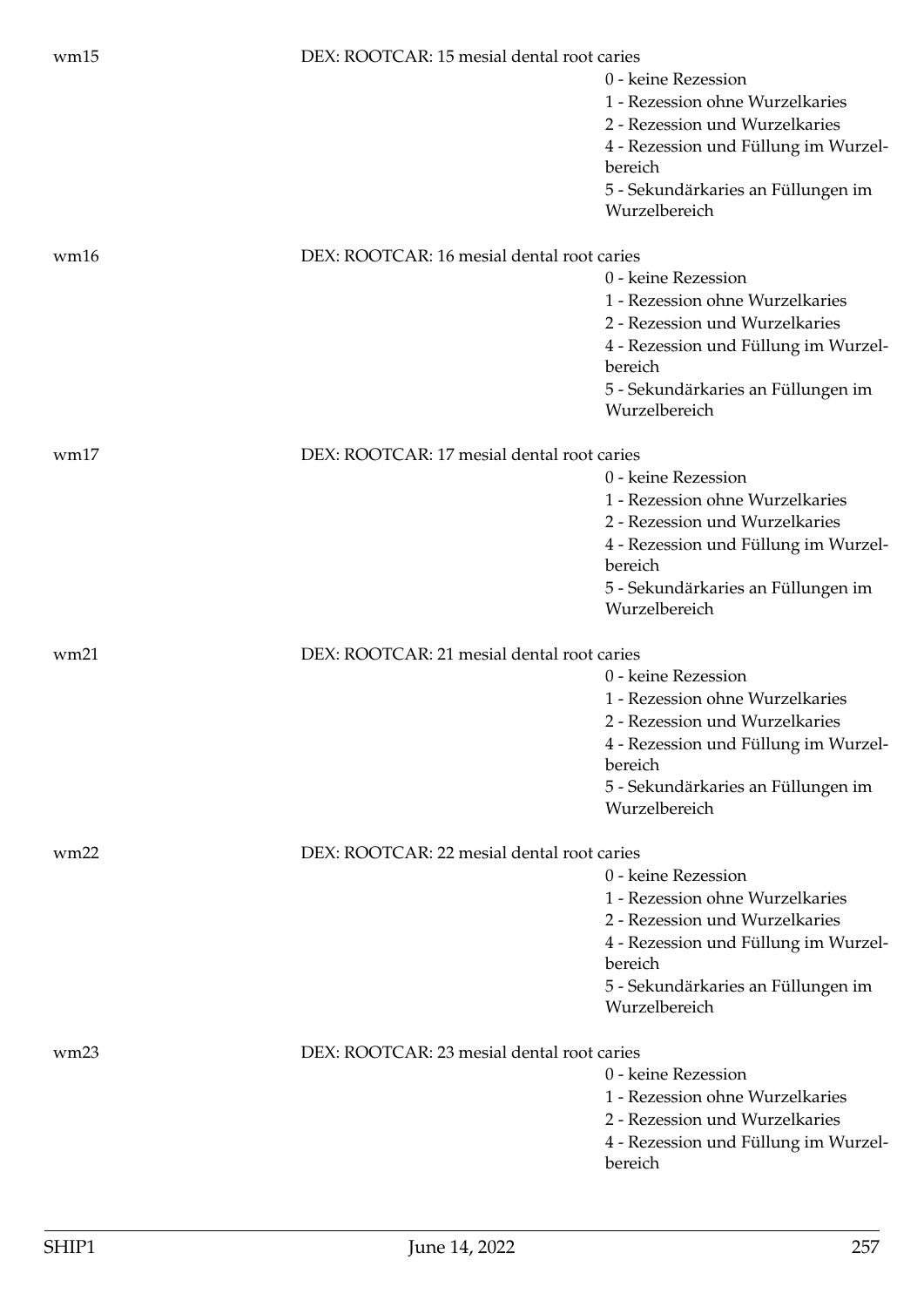| wm15 | DEX: ROOTCAR: 15 mesial dental root caries |                                                     |
|------|--------------------------------------------|-----------------------------------------------------|
|      |                                            | 0 - keine Rezession                                 |
|      |                                            | 1 - Rezession ohne Wurzelkaries                     |
|      |                                            | 2 - Rezession und Wurzelkaries                      |
|      |                                            | 4 - Rezession und Füllung im Wurzel-<br>bereich     |
|      |                                            | 5 - Sekundärkaries an Füllungen im                  |
|      |                                            | Wurzelbereich                                       |
| wm16 | DEX: ROOTCAR: 16 mesial dental root caries |                                                     |
|      |                                            | 0 - keine Rezession                                 |
|      |                                            | 1 - Rezession ohne Wurzelkaries                     |
|      |                                            | 2 - Rezession und Wurzelkaries                      |
|      |                                            | 4 - Rezession und Füllung im Wurzel-                |
|      |                                            | bereich                                             |
|      |                                            | 5 - Sekundärkaries an Füllungen im<br>Wurzelbereich |
| wm17 | DEX: ROOTCAR: 17 mesial dental root caries |                                                     |
|      |                                            | 0 - keine Rezession                                 |
|      |                                            | 1 - Rezession ohne Wurzelkaries                     |
|      |                                            | 2 - Rezession und Wurzelkaries                      |
|      |                                            | 4 - Rezession und Füllung im Wurzel-                |
|      |                                            | bereich                                             |
|      |                                            | 5 - Sekundärkaries an Füllungen im<br>Wurzelbereich |
| wm21 | DEX: ROOTCAR: 21 mesial dental root caries |                                                     |
|      |                                            | 0 - keine Rezession                                 |
|      |                                            | 1 - Rezession ohne Wurzelkaries                     |
|      |                                            | 2 - Rezession und Wurzelkaries                      |
|      |                                            | 4 - Rezession und Füllung im Wurzel-                |
|      |                                            | bereich                                             |
|      |                                            | 5 - Sekundärkaries an Füllungen im<br>Wurzelbereich |
| wm22 | DEX: ROOTCAR: 22 mesial dental root caries |                                                     |
|      |                                            | 0 - keine Rezession                                 |
|      |                                            | 1 - Rezession ohne Wurzelkaries                     |
|      |                                            | 2 - Rezession und Wurzelkaries                      |
|      |                                            | 4 - Rezession und Füllung im Wurzel-                |
|      |                                            | bereich                                             |
|      |                                            | 5 - Sekundärkaries an Füllungen im<br>Wurzelbereich |
| wm23 | DEX: ROOTCAR: 23 mesial dental root caries |                                                     |
|      |                                            | 0 - keine Rezession                                 |
|      |                                            | 1 - Rezession ohne Wurzelkaries                     |
|      |                                            | 2 - Rezession und Wurzelkaries                      |
|      |                                            | 4 - Rezession und Füllung im Wurzel-                |
|      |                                            | bereich                                             |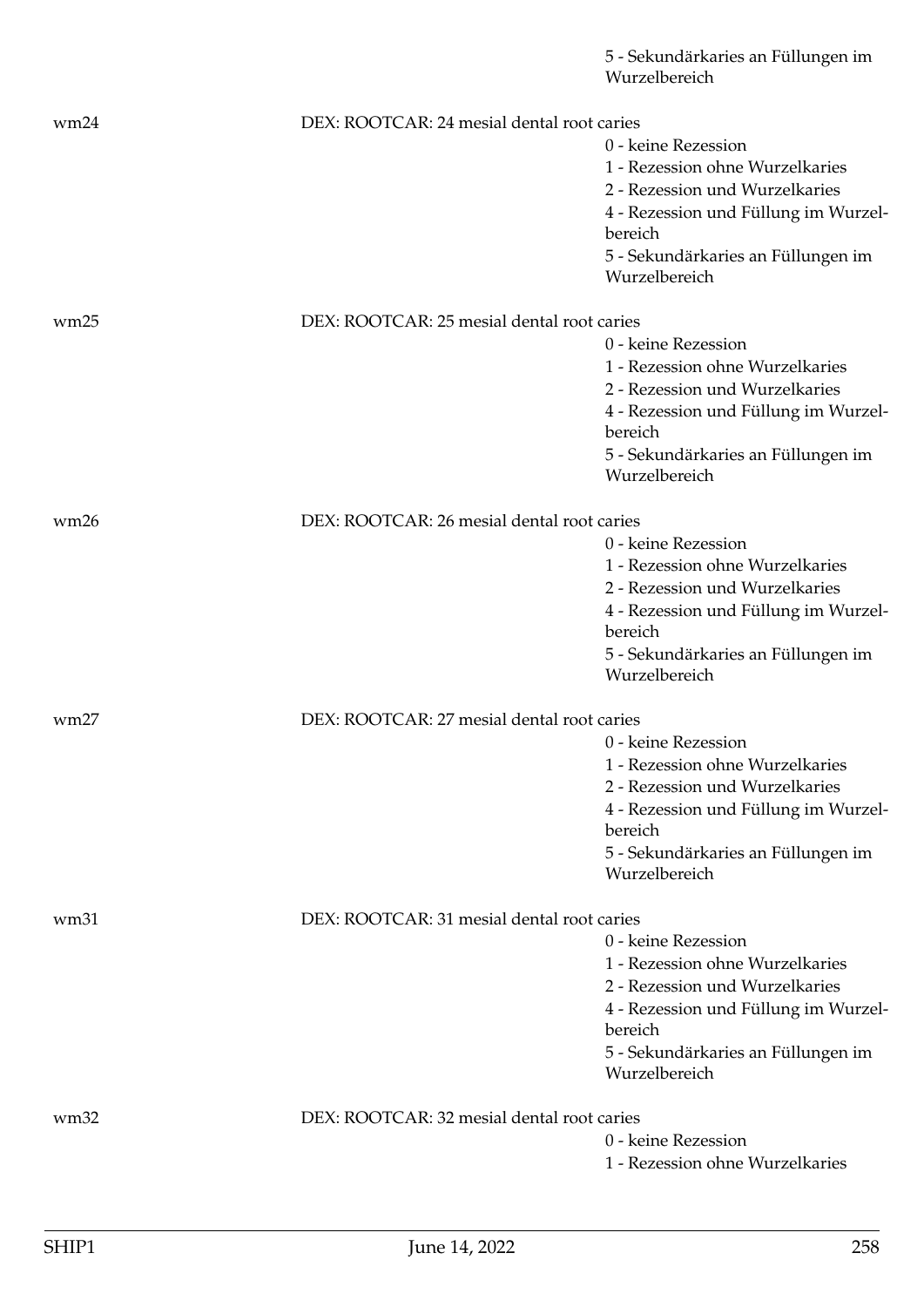|      |                                            | 5 - Sekundärkaries an Füllungen im<br>Wurzelbereich |
|------|--------------------------------------------|-----------------------------------------------------|
| wm24 | DEX: ROOTCAR: 24 mesial dental root caries |                                                     |
|      |                                            | 0 - keine Rezession                                 |
|      |                                            | 1 - Rezession ohne Wurzelkaries                     |
|      |                                            | 2 - Rezession und Wurzelkaries                      |
|      |                                            | 4 - Rezession und Füllung im Wurzel-                |
|      |                                            | bereich                                             |
|      |                                            | 5 - Sekundärkaries an Füllungen im<br>Wurzelbereich |
| wm25 | DEX: ROOTCAR: 25 mesial dental root caries |                                                     |
|      |                                            | 0 - keine Rezession                                 |
|      |                                            | 1 - Rezession ohne Wurzelkaries                     |
|      |                                            | 2 - Rezession und Wurzelkaries                      |
|      |                                            |                                                     |
|      |                                            | 4 - Rezession und Füllung im Wurzel-<br>bereich     |
|      |                                            | 5 - Sekundärkaries an Füllungen im<br>Wurzelbereich |
| wm26 | DEX: ROOTCAR: 26 mesial dental root caries |                                                     |
|      |                                            | 0 - keine Rezession                                 |
|      |                                            | 1 - Rezession ohne Wurzelkaries                     |
|      |                                            | 2 - Rezession und Wurzelkaries                      |
|      |                                            | 4 - Rezession und Füllung im Wurzel-                |
|      |                                            | bereich                                             |
|      |                                            | 5 - Sekundärkaries an Füllungen im<br>Wurzelbereich |
| wm27 | DEX: ROOTCAR: 27 mesial dental root caries |                                                     |
|      |                                            | 0 - keine Rezession                                 |
|      |                                            | 1 - Rezession ohne Wurzelkaries                     |
|      |                                            | 2 - Rezession und Wurzelkaries                      |
|      |                                            | 4 - Rezession und Füllung im Wurzel-                |
|      |                                            | bereich                                             |
|      |                                            | 5 - Sekundärkaries an Füllungen im                  |
|      |                                            | Wurzelbereich                                       |
| wm31 | DEX: ROOTCAR: 31 mesial dental root caries |                                                     |
|      |                                            | 0 - keine Rezession                                 |
|      |                                            | 1 - Rezession ohne Wurzelkaries                     |
|      |                                            | 2 - Rezession und Wurzelkaries                      |
|      |                                            | 4 - Rezession und Füllung im Wurzel-                |
|      |                                            | bereich                                             |
|      |                                            | 5 - Sekundärkaries an Füllungen im<br>Wurzelbereich |
| wm32 | DEX: ROOTCAR: 32 mesial dental root caries |                                                     |
|      |                                            | 0 - keine Rezession                                 |
|      |                                            | 1 - Rezession ohne Wurzelkaries                     |
|      |                                            |                                                     |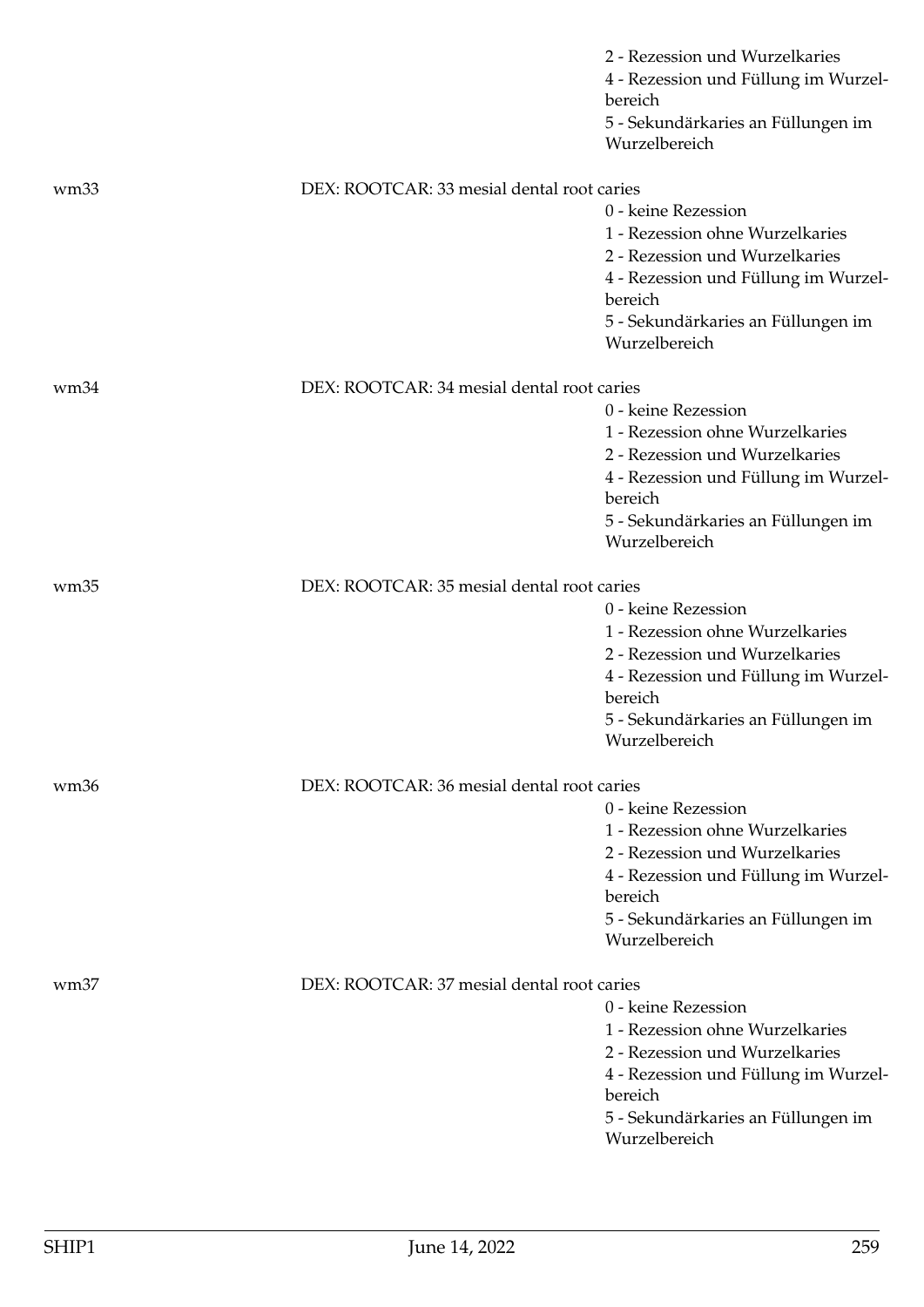|                  |                                            | 2 - Rezession und Wurzelkaries<br>4 - Rezession und Füllung im Wurzel-<br>bereich<br>5 - Sekundärkaries an Füllungen im                                                                            |
|------------------|--------------------------------------------|----------------------------------------------------------------------------------------------------------------------------------------------------------------------------------------------------|
|                  |                                            | Wurzelbereich                                                                                                                                                                                      |
| wm <sub>33</sub> | DEX: ROOTCAR: 33 mesial dental root caries |                                                                                                                                                                                                    |
|                  |                                            | 0 - keine Rezession<br>1 - Rezession ohne Wurzelkaries<br>2 - Rezession und Wurzelkaries<br>4 - Rezession und Füllung im Wurzel-<br>bereich<br>5 - Sekundärkaries an Füllungen im<br>Wurzelbereich |
| wm34             | DEX: ROOTCAR: 34 mesial dental root caries |                                                                                                                                                                                                    |
|                  |                                            | 0 - keine Rezession<br>1 - Rezession ohne Wurzelkaries<br>2 - Rezession und Wurzelkaries<br>4 - Rezession und Füllung im Wurzel-<br>bereich<br>5 - Sekundärkaries an Füllungen im<br>Wurzelbereich |
| wm35             | DEX: ROOTCAR: 35 mesial dental root caries |                                                                                                                                                                                                    |
|                  |                                            | 0 - keine Rezession<br>1 - Rezession ohne Wurzelkaries<br>2 - Rezession und Wurzelkaries<br>4 - Rezession und Füllung im Wurzel-<br>bereich<br>5 - Sekundärkaries an Füllungen im<br>Wurzelbereich |
| wm <sub>36</sub> | DEX: ROOTCAR: 36 mesial dental root caries |                                                                                                                                                                                                    |
|                  |                                            | 0 - keine Rezession<br>1 - Rezession ohne Wurzelkaries<br>2 - Rezession und Wurzelkaries<br>4 - Rezession und Füllung im Wurzel-<br>bereich<br>5 - Sekundärkaries an Füllungen im<br>Wurzelbereich |
| wm <sub>37</sub> | DEX: ROOTCAR: 37 mesial dental root caries |                                                                                                                                                                                                    |
|                  |                                            | 0 - keine Rezession<br>1 - Rezession ohne Wurzelkaries<br>2 - Rezession und Wurzelkaries<br>4 - Rezession und Füllung im Wurzel-<br>bereich<br>5 - Sekundärkaries an Füllungen im<br>Wurzelbereich |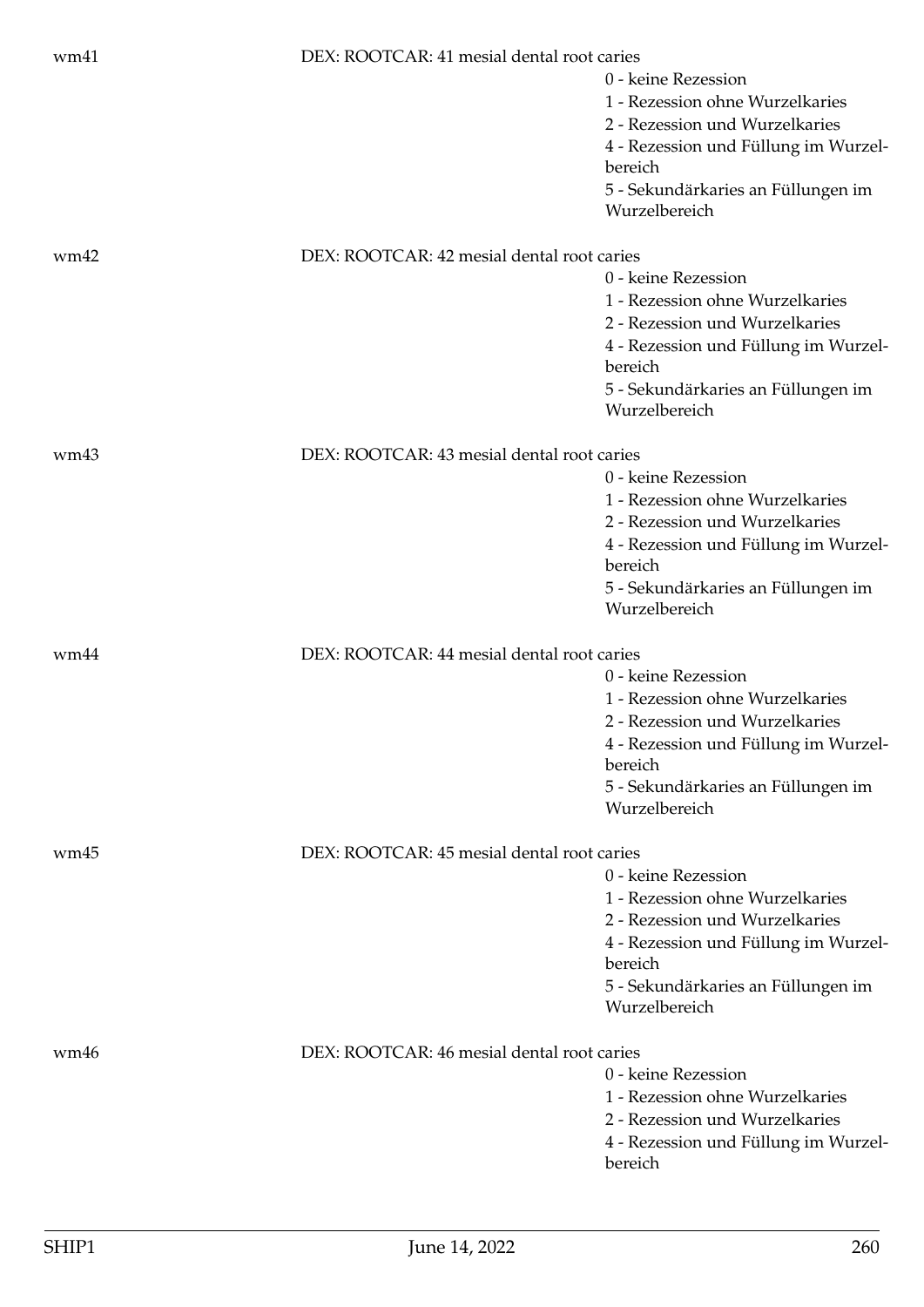| wm41 | DEX: ROOTCAR: 41 mesial dental root caries | 0 - keine Rezession<br>1 - Rezession ohne Wurzelkaries<br>2 - Rezession und Wurzelkaries<br>4 - Rezession und Füllung im Wurzel-<br>bereich<br>5 - Sekundärkaries an Füllungen im<br>Wurzelbereich |
|------|--------------------------------------------|----------------------------------------------------------------------------------------------------------------------------------------------------------------------------------------------------|
| wm42 | DEX: ROOTCAR: 42 mesial dental root caries | 0 - keine Rezession<br>1 - Rezession ohne Wurzelkaries<br>2 - Rezession und Wurzelkaries<br>4 - Rezession und Füllung im Wurzel-<br>bereich<br>5 - Sekundärkaries an Füllungen im<br>Wurzelbereich |
| wm43 | DEX: ROOTCAR: 43 mesial dental root caries | 0 - keine Rezession<br>1 - Rezession ohne Wurzelkaries<br>2 - Rezession und Wurzelkaries<br>4 - Rezession und Füllung im Wurzel-<br>bereich<br>5 - Sekundärkaries an Füllungen im<br>Wurzelbereich |
| wm44 | DEX: ROOTCAR: 44 mesial dental root caries | 0 - keine Rezession<br>1 - Rezession ohne Wurzelkaries<br>2 - Rezession und Wurzelkaries<br>4 - Rezession und Füllung im Wurzel-<br>bereich<br>5 - Sekundärkaries an Füllungen im<br>Wurzelbereich |
| wm45 | DEX: ROOTCAR: 45 mesial dental root caries | 0 - keine Rezession<br>1 - Rezession ohne Wurzelkaries<br>2 - Rezession und Wurzelkaries<br>4 - Rezession und Füllung im Wurzel-<br>bereich<br>5 - Sekundärkaries an Füllungen im<br>Wurzelbereich |
| wm46 | DEX: ROOTCAR: 46 mesial dental root caries | 0 - keine Rezession<br>1 - Rezession ohne Wurzelkaries<br>2 - Rezession und Wurzelkaries<br>4 - Rezession und Füllung im Wurzel-<br>bereich                                                        |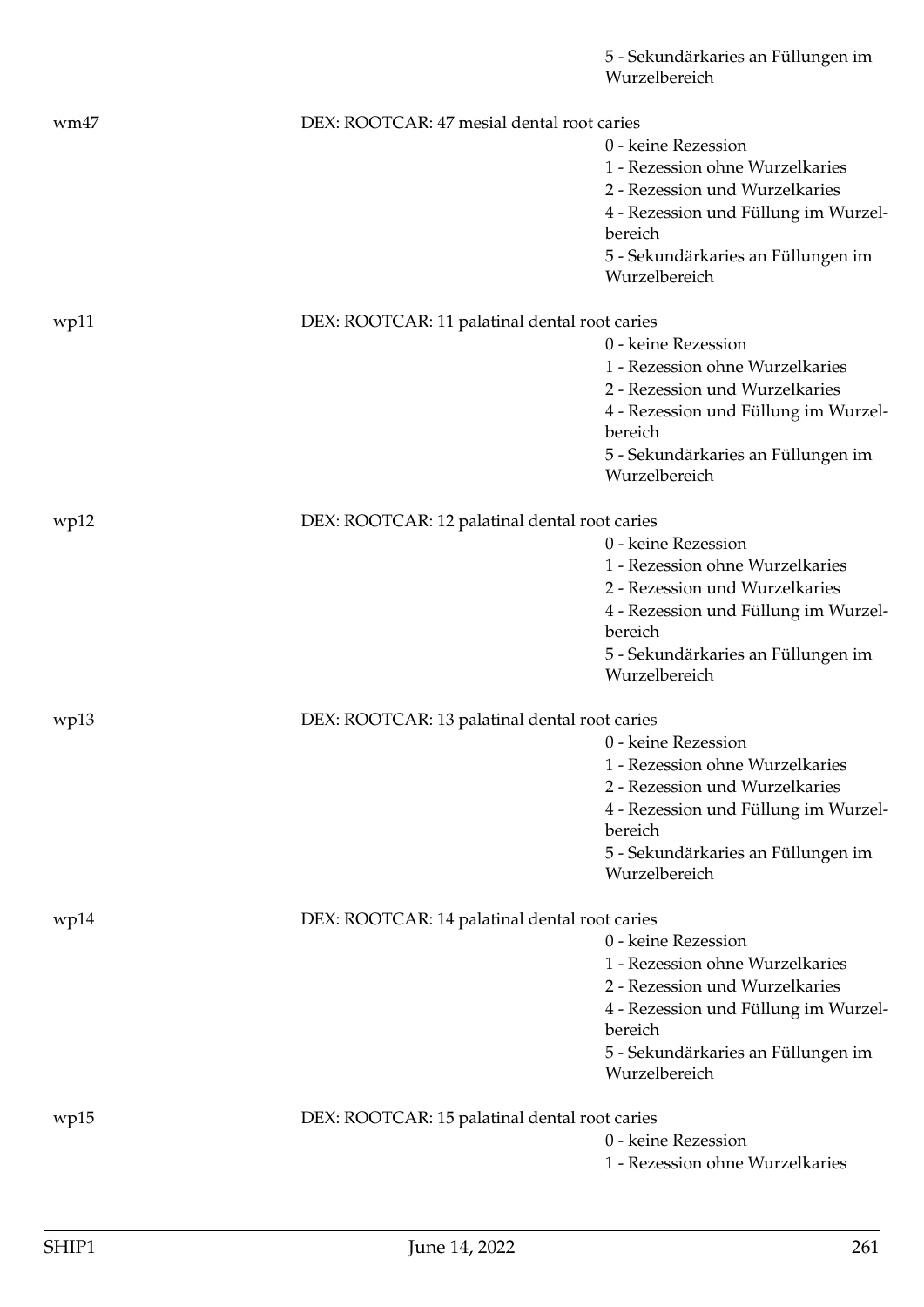|      |                                               | 5 - Sekundärkaries an Füllungen im<br>Wurzelbereich |
|------|-----------------------------------------------|-----------------------------------------------------|
| wm47 | DEX: ROOTCAR: 47 mesial dental root caries    |                                                     |
|      |                                               | 0 - keine Rezession                                 |
|      |                                               | 1 - Rezession ohne Wurzelkaries                     |
|      |                                               | 2 - Rezession und Wurzelkaries                      |
|      |                                               | 4 - Rezession und Füllung im Wurzel-                |
|      |                                               | bereich                                             |
|      |                                               | 5 - Sekundärkaries an Füllungen im<br>Wurzelbereich |
| wp11 | DEX: ROOTCAR: 11 palatinal dental root caries |                                                     |
|      |                                               | 0 - keine Rezession                                 |
|      |                                               | 1 - Rezession ohne Wurzelkaries                     |
|      |                                               | 2 - Rezession und Wurzelkaries                      |
|      |                                               | 4 - Rezession und Füllung im Wurzel-<br>bereich     |
|      |                                               | 5 - Sekundärkaries an Füllungen im<br>Wurzelbereich |
| wp12 | DEX: ROOTCAR: 12 palatinal dental root caries |                                                     |
|      |                                               | 0 - keine Rezession                                 |
|      |                                               | 1 - Rezession ohne Wurzelkaries                     |
|      |                                               | 2 - Rezession und Wurzelkaries                      |
|      |                                               | 4 - Rezession und Füllung im Wurzel-<br>bereich     |
|      |                                               | 5 - Sekundärkaries an Füllungen im<br>Wurzelbereich |
| wp13 | DEX: ROOTCAR: 13 palatinal dental root caries |                                                     |
|      |                                               | 0 - keine Rezession                                 |
|      |                                               | 1 - Rezession ohne Wurzelkaries                     |
|      |                                               | 2 - Rezession und Wurzelkaries                      |
|      |                                               | 4 - Rezession und Füllung im Wurzel-                |
|      |                                               | bereich                                             |
|      |                                               | 5 - Sekundärkaries an Füllungen im                  |
|      |                                               | Wurzelbereich                                       |
| wp14 | DEX: ROOTCAR: 14 palatinal dental root caries |                                                     |
|      |                                               | 0 - keine Rezession                                 |
|      |                                               | 1 - Rezession ohne Wurzelkaries                     |
|      |                                               | 2 - Rezession und Wurzelkaries                      |
|      |                                               | 4 - Rezession und Füllung im Wurzel-                |
|      |                                               | bereich                                             |
|      |                                               | 5 - Sekundärkaries an Füllungen im<br>Wurzelbereich |
| wp15 | DEX: ROOTCAR: 15 palatinal dental root caries |                                                     |
|      |                                               | 0 - keine Rezession                                 |
|      |                                               | 1 - Rezession ohne Wurzelkaries                     |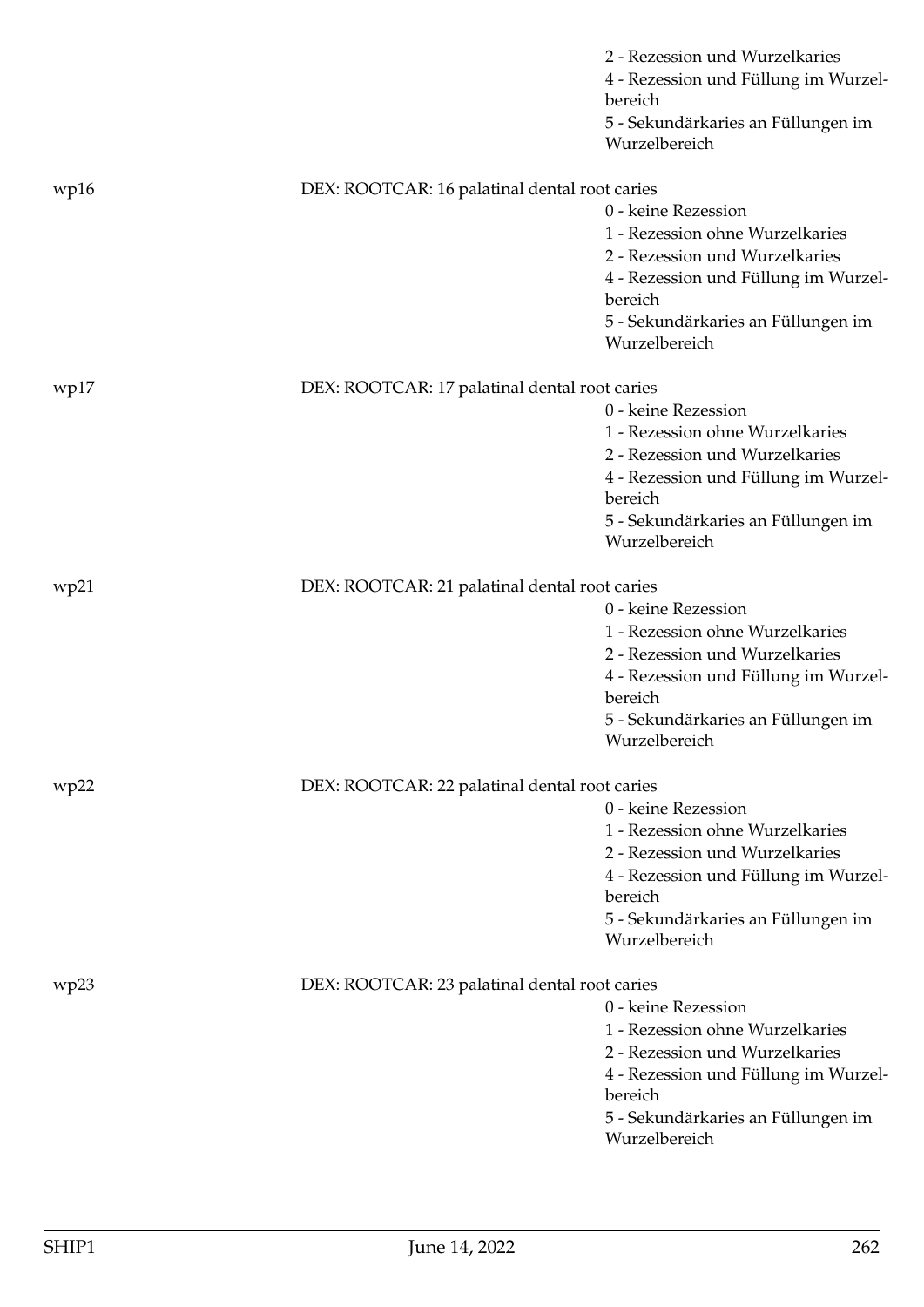|      |                                               | 2 - Rezession und Wurzelkaries<br>4 - Rezession und Füllung im Wurzel-<br>bereich<br>5 - Sekundärkaries an Füllungen im<br>Wurzelbereich                                                           |
|------|-----------------------------------------------|----------------------------------------------------------------------------------------------------------------------------------------------------------------------------------------------------|
|      |                                               |                                                                                                                                                                                                    |
| wp16 | DEX: ROOTCAR: 16 palatinal dental root caries | 0 - keine Rezession<br>1 - Rezession ohne Wurzelkaries<br>2 - Rezession und Wurzelkaries<br>4 - Rezession und Füllung im Wurzel-<br>bereich<br>5 - Sekundärkaries an Füllungen im<br>Wurzelbereich |
| wp17 | DEX: ROOTCAR: 17 palatinal dental root caries |                                                                                                                                                                                                    |
|      |                                               | 0 - keine Rezession<br>1 - Rezession ohne Wurzelkaries<br>2 - Rezession und Wurzelkaries<br>4 - Rezession und Füllung im Wurzel-<br>bereich<br>5 - Sekundärkaries an Füllungen im<br>Wurzelbereich |
| wp21 | DEX: ROOTCAR: 21 palatinal dental root caries |                                                                                                                                                                                                    |
|      |                                               | 0 - keine Rezession<br>1 - Rezession ohne Wurzelkaries<br>2 - Rezession und Wurzelkaries<br>4 - Rezession und Füllung im Wurzel-<br>bereich<br>5 - Sekundärkaries an Füllungen im<br>Wurzelbereich |
| wp22 | DEX: ROOTCAR: 22 palatinal dental root caries |                                                                                                                                                                                                    |
|      |                                               | 0 - keine Rezession<br>1 - Rezession ohne Wurzelkaries<br>2 - Rezession und Wurzelkaries<br>4 - Rezession und Füllung im Wurzel-<br>bereich<br>5 - Sekundärkaries an Füllungen im<br>Wurzelbereich |
| wp23 | DEX: ROOTCAR: 23 palatinal dental root caries |                                                                                                                                                                                                    |
|      |                                               | 0 - keine Rezession<br>1 - Rezession ohne Wurzelkaries<br>2 - Rezession und Wurzelkaries<br>4 - Rezession und Füllung im Wurzel-<br>bereich<br>5 - Sekundärkaries an Füllungen im<br>Wurzelbereich |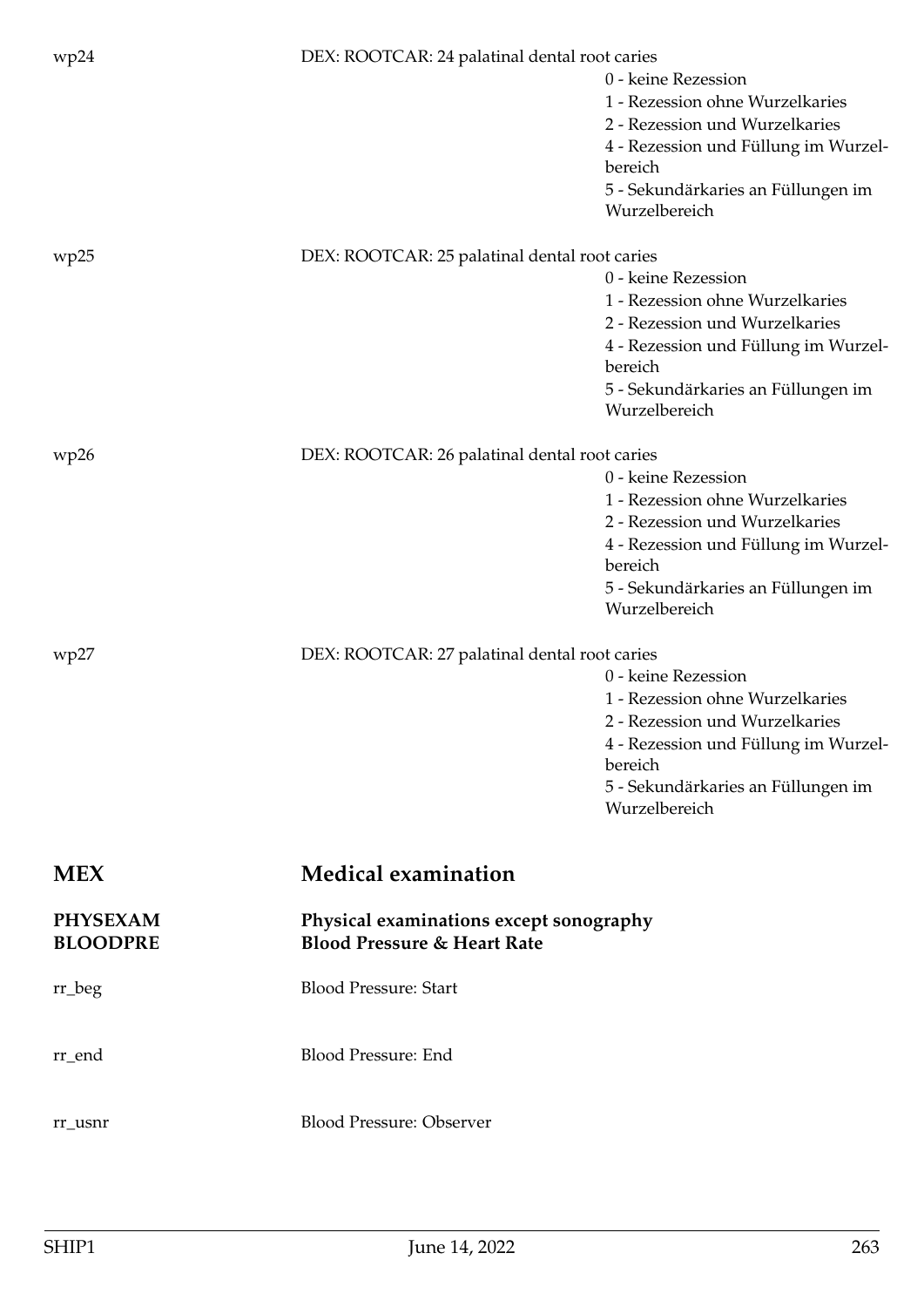| wp24            | DEX: ROOTCAR: 24 palatinal dental root caries |                                      |
|-----------------|-----------------------------------------------|--------------------------------------|
|                 |                                               | 0 - keine Rezession                  |
|                 |                                               | 1 - Rezession ohne Wurzelkaries      |
|                 |                                               | 2 - Rezession und Wurzelkaries       |
|                 |                                               | 4 - Rezession und Füllung im Wurzel- |
|                 |                                               | bereich                              |
|                 |                                               | 5 - Sekundärkaries an Füllungen im   |
|                 |                                               | Wurzelbereich                        |
| wp25            | DEX: ROOTCAR: 25 palatinal dental root caries |                                      |
|                 |                                               | 0 - keine Rezession                  |
|                 |                                               | 1 - Rezession ohne Wurzelkaries      |
|                 |                                               | 2 - Rezession und Wurzelkaries       |
|                 |                                               | 4 - Rezession und Füllung im Wurzel- |
|                 |                                               | bereich                              |
|                 |                                               | 5 - Sekundärkaries an Füllungen im   |
|                 |                                               | Wurzelbereich                        |
| wp26            | DEX: ROOTCAR: 26 palatinal dental root caries |                                      |
|                 |                                               | 0 - keine Rezession                  |
|                 |                                               | 1 - Rezession ohne Wurzelkaries      |
|                 |                                               | 2 - Rezession und Wurzelkaries       |
|                 |                                               | 4 - Rezession und Füllung im Wurzel- |
|                 |                                               | bereich                              |
|                 |                                               | 5 - Sekundärkaries an Füllungen im   |
|                 |                                               | Wurzelbereich                        |
| wp27            | DEX: ROOTCAR: 27 palatinal dental root caries |                                      |
|                 |                                               | 0 - keine Rezession                  |
|                 |                                               | 1 - Rezession ohne Wurzelkaries      |
|                 |                                               | 2 - Rezession und Wurzelkaries       |
|                 |                                               | 4 - Rezession und Füllung im Wurzel- |
|                 |                                               | bereich                              |
|                 |                                               | 5 - Sekundärkaries an Füllungen im   |
|                 |                                               | Wurzelbereich                        |
|                 |                                               |                                      |
| <b>MEX</b>      | <b>Medical examination</b>                    |                                      |
| <b>PHYSEXAM</b> | Physical examinations except sonography       |                                      |
| <b>BLOODPRE</b> | <b>Blood Pressure &amp; Heart Rate</b>        |                                      |
| $rr\_beg$       | <b>Blood Pressure: Start</b>                  |                                      |
|                 |                                               |                                      |
| rr_end          | <b>Blood Pressure: End</b>                    |                                      |
|                 |                                               |                                      |
|                 |                                               |                                      |
| rr_usnr         | <b>Blood Pressure: Observer</b>               |                                      |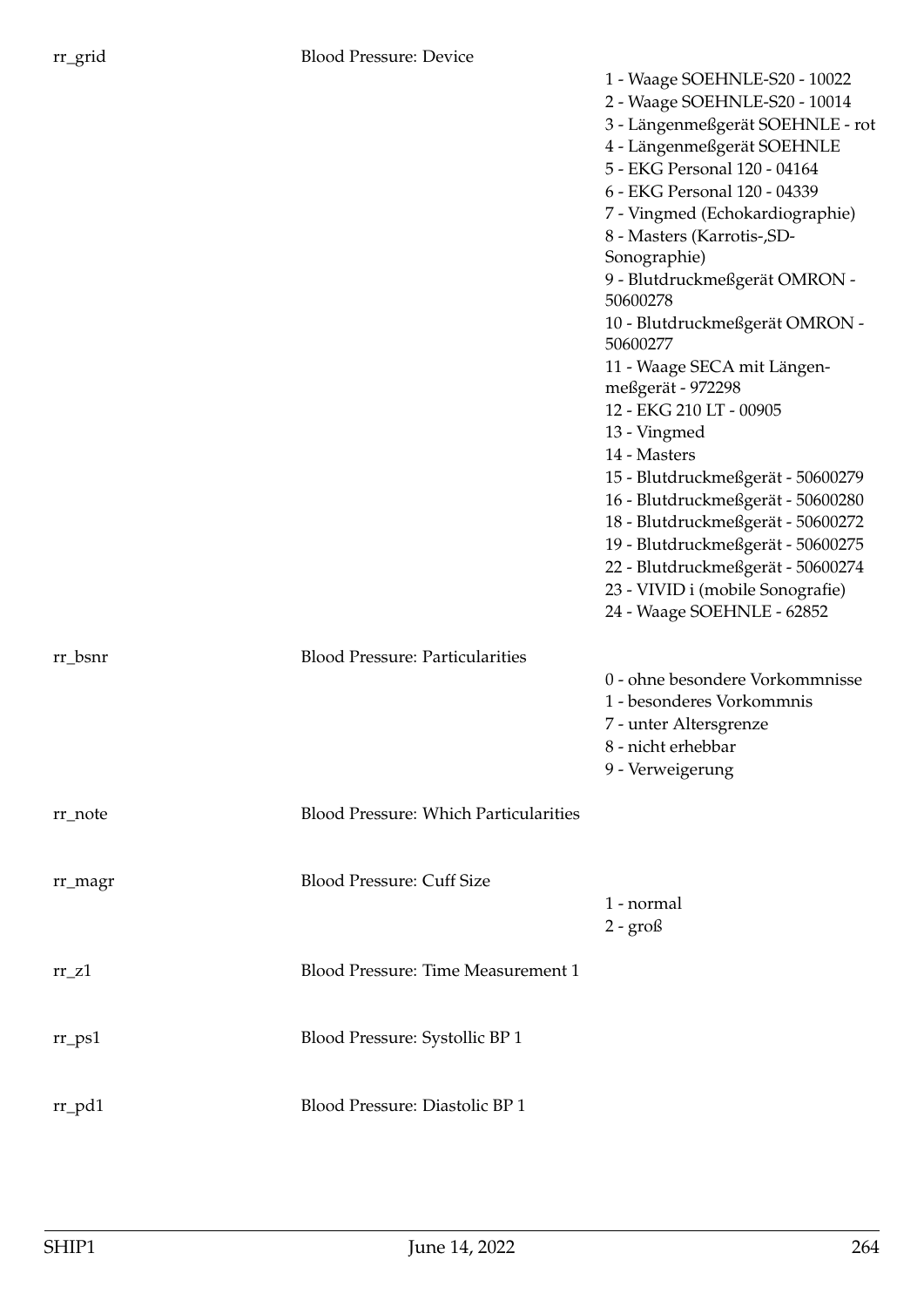| vice         |                                                        |
|--------------|--------------------------------------------------------|
|              | 1 - Waage SOEHNLE-S20 - 10022                          |
|              | 2 - Waage SOEHNLE-S20 - 10014                          |
|              | 3 - Längenmeßgerät SOEHNLE - rot                       |
|              | 4 - Längenmeßgerät SOEHNLE                             |
|              | 5 - EKG Personal 120 - 04164                           |
|              | 6 - EKG Personal 120 - 04339                           |
|              | 7 - Vingmed (Echokardiographie)                        |
|              | 8 - Masters (Karrotis-, SD-                            |
|              | Sonographie)                                           |
|              | 9 - Blutdruckmeßgerät OMRON -                          |
|              | 50600278                                               |
|              | 10 - Blutdruckmeßgerät OMRON -                         |
|              | 50600277                                               |
|              | 11 - Waage SECA mit Längen-                            |
|              | meßgerät - 972298                                      |
|              | 12 - EKG 210 LT - 00905                                |
|              | 13 - Vingmed                                           |
|              | 14 - Masters                                           |
|              | 15 - Blutdruckmeßgerät - 50600279                      |
|              | 16 - Blutdruckmeßgerät - 50600280                      |
|              | 18 - Blutdruckmeßgerät - 50600272                      |
|              | 19 - Blutdruckmeßgerät - 50600275                      |
|              | 22 - Blutdruckmeßgerät - 50600274                      |
|              | 23 - VIVID i (mobile Sonografie)                       |
|              | 24 - Waage SOEHNLE - 62852                             |
| ticularities |                                                        |
|              | $\Omega$ objects and $\Omega$ of $\Omega$ and $\Omega$ |

| $rr_bsnr$            | <b>Blood Pressure: Particularities</b>       |                                                              |
|----------------------|----------------------------------------------|--------------------------------------------------------------|
|                      |                                              | 0 - ohne besondere Vorkommnisse<br>1 - besonderes Vorkommnis |
|                      |                                              | 7 - unter Altersgrenze                                       |
|                      |                                              | 8 - nicht erhebbar                                           |
|                      |                                              | 9 - Verweigerung                                             |
| rr_note              | <b>Blood Pressure: Which Particularities</b> |                                                              |
| rr_magr              | <b>Blood Pressure: Cuff Size</b>             |                                                              |
|                      |                                              | 1 - normal                                                   |
|                      |                                              | $2 - \text{grof}$                                            |
| $rr_$ Z1             | Blood Pressure: Time Measurement 1           |                                                              |
|                      |                                              |                                                              |
| $rr$ <sub>-ps1</sub> | Blood Pressure: Systollic BP 1               |                                                              |
| $rr\_pd1$            | Blood Pressure: Diastolic BP 1               |                                                              |
|                      |                                              |                                                              |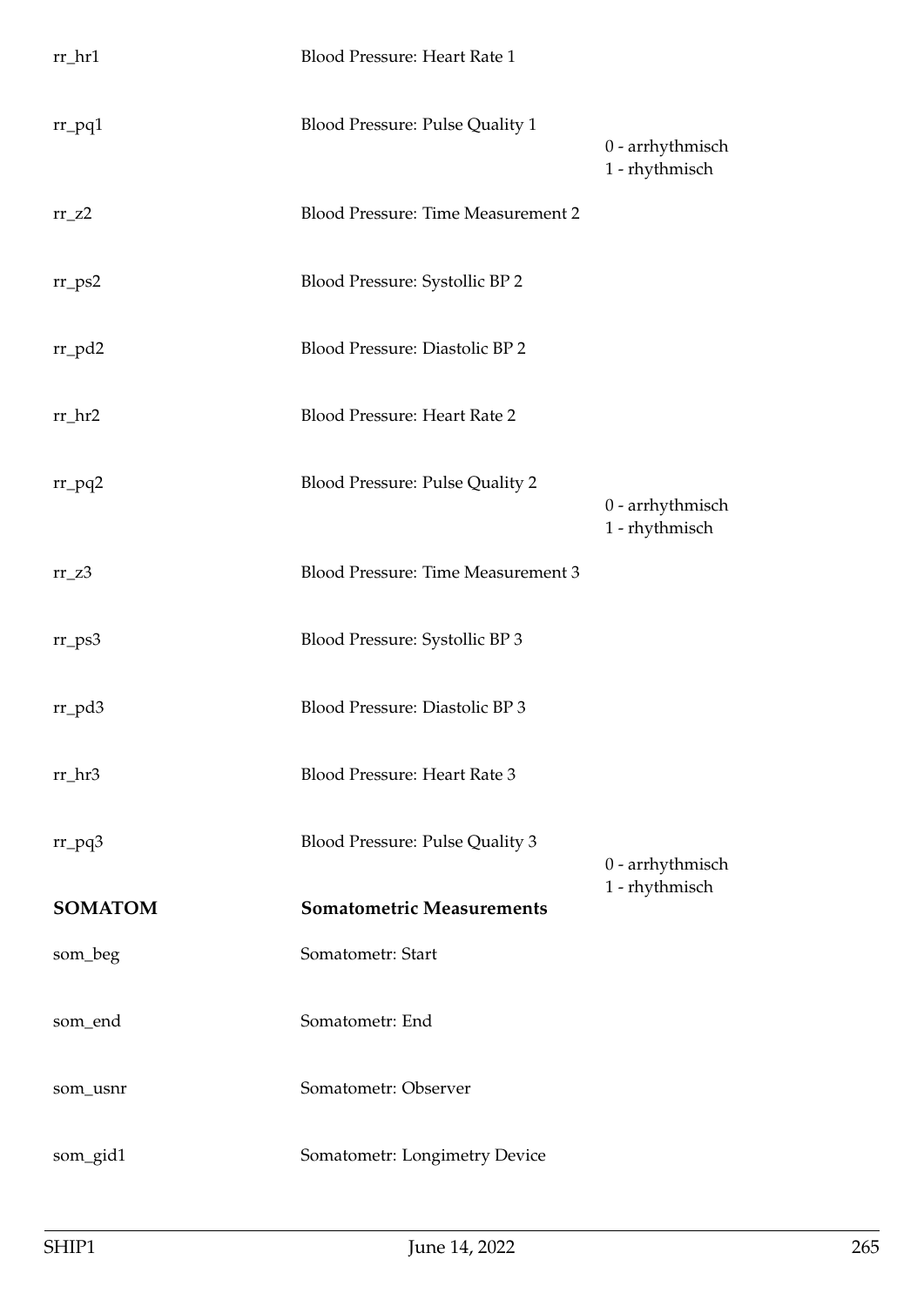| $rr_lnr1$      | Blood Pressure: Heart Rate 1           |                                    |
|----------------|----------------------------------------|------------------------------------|
| $rr\_pq1$      | Blood Pressure: Pulse Quality 1        | 0 - arrhythmisch<br>1 - rhythmisch |
| $rr_zz$        | Blood Pressure: Time Measurement 2     |                                    |
| $rr_{PS2}$     | Blood Pressure: Systollic BP 2         |                                    |
| $rr_p d2$      | Blood Pressure: Diastolic BP 2         |                                    |
| $rr_hr2$       | Blood Pressure: Heart Rate 2           |                                    |
| $rr_pq2$       | <b>Blood Pressure: Pulse Quality 2</b> | 0 - arrhythmisch<br>1 - rhythmisch |
| $rr_zz3$       | Blood Pressure: Time Measurement 3     |                                    |
| $rr_{PS}3$     | Blood Pressure: Systollic BP 3         |                                    |
| $rr$ pd3       | Blood Pressure: Diastolic BP 3         |                                    |
| $rr_hr3$       | Blood Pressure: Heart Rate 3           |                                    |
| $rr_pq3$       | Blood Pressure: Pulse Quality 3        | 0 - arrhythmisch                   |
| <b>SOMATOM</b> | <b>Somatometric Measurements</b>       | 1 - rhythmisch                     |
| som_beg        | Somatometr: Start                      |                                    |
| som_end        | Somatometr: End                        |                                    |
| som_usnr       | Somatometr: Observer                   |                                    |
| som_gid1       | Somatometr: Longimetry Device          |                                    |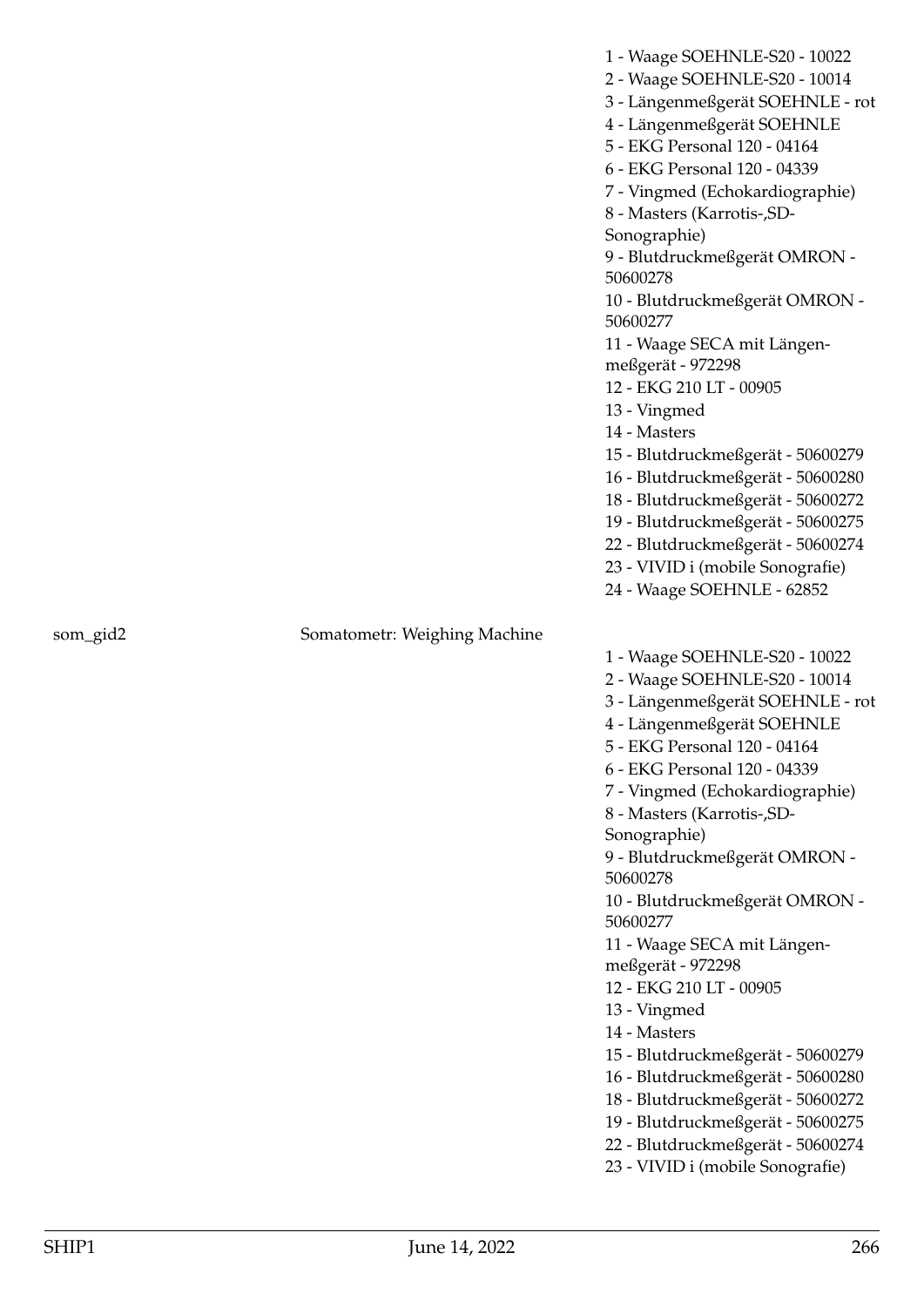|          |                              | 1 - Waage SOEHNLE-S20 - 10022<br>2 - Waage SOEHNLE-S20 - 10014<br>3 - Längenmeßgerät SOEHNLE - rot<br>4 - Längenmeßgerät SOEHNLE<br>5 - EKG Personal 120 - 04164<br>6 - EKG Personal 120 - 04339<br>7 - Vingmed (Echokardiographie)<br>8 - Masters (Karrotis-, SD-<br>Sonographie)<br>9 - Blutdruckmeßgerät OMRON -<br>50600278<br>10 - Blutdruckmeßgerät OMRON -<br>50600277<br>11 - Waage SECA mit Längen-<br>meßgerät - 972298<br>12 - EKG 210 LT - 00905<br>13 - Vingmed<br>14 - Masters<br>15 - Blutdruckmeßgerät - 50600279<br>16 - Blutdruckmeßgerät - 50600280<br>18 - Blutdruckmeßgerät - 50600272<br>19 - Blutdruckmeßgerät - 50600275<br>22 - Blutdruckmeßgerät - 50600274<br>23 - VIVID i (mobile Sonografie) |
|----------|------------------------------|---------------------------------------------------------------------------------------------------------------------------------------------------------------------------------------------------------------------------------------------------------------------------------------------------------------------------------------------------------------------------------------------------------------------------------------------------------------------------------------------------------------------------------------------------------------------------------------------------------------------------------------------------------------------------------------------------------------------------|
|          |                              | 24 - Waage SOEHNLE - 62852                                                                                                                                                                                                                                                                                                                                                                                                                                                                                                                                                                                                                                                                                                |
| som_gid2 | Somatometr: Weighing Machine |                                                                                                                                                                                                                                                                                                                                                                                                                                                                                                                                                                                                                                                                                                                           |
|          |                              | 1 - Waage SOEHNLE-S20 - 10022<br>2 - Waage SOEHNLE-S20 - 10014                                                                                                                                                                                                                                                                                                                                                                                                                                                                                                                                                                                                                                                            |
|          |                              | 3 - Längenmeßgerät SOEHNLE - rot                                                                                                                                                                                                                                                                                                                                                                                                                                                                                                                                                                                                                                                                                          |
|          |                              | 4 - Längenmeßgerät SOEHNLE                                                                                                                                                                                                                                                                                                                                                                                                                                                                                                                                                                                                                                                                                                |
|          |                              | 5 - EKG Personal 120 - 04164                                                                                                                                                                                                                                                                                                                                                                                                                                                                                                                                                                                                                                                                                              |
|          |                              | 6 - EKG Personal 120 - 04339                                                                                                                                                                                                                                                                                                                                                                                                                                                                                                                                                                                                                                                                                              |
|          |                              | 7 - Vingmed (Echokardiographie)                                                                                                                                                                                                                                                                                                                                                                                                                                                                                                                                                                                                                                                                                           |
|          |                              | 8 - Masters (Karrotis-, SD-                                                                                                                                                                                                                                                                                                                                                                                                                                                                                                                                                                                                                                                                                               |
|          |                              | Sonographie)                                                                                                                                                                                                                                                                                                                                                                                                                                                                                                                                                                                                                                                                                                              |
|          |                              | 9 - Blutdruckmeßgerät OMRON -<br>50600278                                                                                                                                                                                                                                                                                                                                                                                                                                                                                                                                                                                                                                                                                 |
|          |                              | 10 - Blutdruckmeßgerät OMRON -<br>50600277                                                                                                                                                                                                                                                                                                                                                                                                                                                                                                                                                                                                                                                                                |
|          |                              | 11 - Waage SECA mit Längen-                                                                                                                                                                                                                                                                                                                                                                                                                                                                                                                                                                                                                                                                                               |
|          |                              | meßgerät - 972298                                                                                                                                                                                                                                                                                                                                                                                                                                                                                                                                                                                                                                                                                                         |
|          |                              | 12 - EKG 210 LT - 00905                                                                                                                                                                                                                                                                                                                                                                                                                                                                                                                                                                                                                                                                                                   |
|          |                              | 13 - Vingmed                                                                                                                                                                                                                                                                                                                                                                                                                                                                                                                                                                                                                                                                                                              |
|          |                              | 14 - Masters                                                                                                                                                                                                                                                                                                                                                                                                                                                                                                                                                                                                                                                                                                              |
|          |                              | 15 - Blutdruckmeßgerät - 50600279                                                                                                                                                                                                                                                                                                                                                                                                                                                                                                                                                                                                                                                                                         |
|          |                              | 16 - Blutdruckmeßgerät - 50600280<br>18 - Blutdruckmeßgerät - 50600272                                                                                                                                                                                                                                                                                                                                                                                                                                                                                                                                                                                                                                                    |
|          |                              | 19 - Blutdruckmeßgerät - 50600275                                                                                                                                                                                                                                                                                                                                                                                                                                                                                                                                                                                                                                                                                         |
|          |                              | 22 - Blutdruckmeßgerät - 50600274                                                                                                                                                                                                                                                                                                                                                                                                                                                                                                                                                                                                                                                                                         |
|          |                              | 23 - VIVID i (mobile Sonografie)                                                                                                                                                                                                                                                                                                                                                                                                                                                                                                                                                                                                                                                                                          |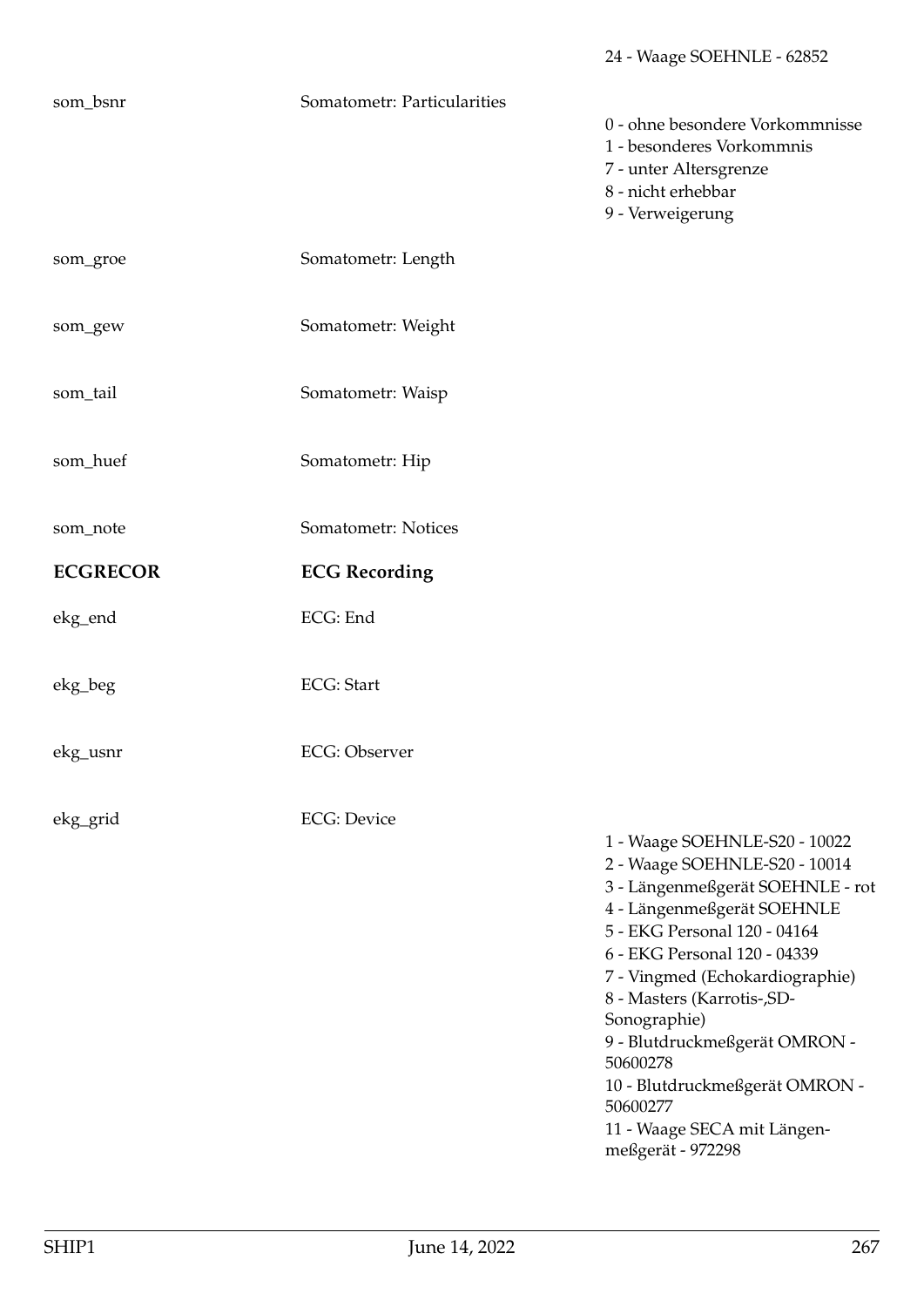## som\_bsnr Somatometr: Particularities

- 0 ohne besondere Vorkommnisse
- 1 besonderes Vorkommnis
- 7 unter Altersgrenze
- 8 nicht erhebbar
- 9 Verweigerung

| som_groe        | Somatometr: Length    |
|-----------------|-----------------------|
| som_gew         | Somatometr: Weight    |
| som_tail        | Somatometr: Waisp     |
| som_huef        | Somatometr: Hip       |
| som_note        | Somatometr: Notices   |
| <b>ECGRECOR</b> | <b>ECG Recording</b>  |
| ekg_end         | ECG: End              |
| ekg_beg         | <b>ECG: Start</b>     |
|                 |                       |
| ekg_usnr        | <b>ECG</b> : Observer |
| ekg_grid        | <b>ECG</b> : Device   |
|                 |                       |
|                 |                       |
|                 |                       |

1 - Waage SOEHNLE-S20 - 10022 2 - Waage SOEHNLE-S20 - 10014 3 - Längenmeßgerät SOEHNLE - rot 4 - Längenmeßgerät SOEHNLE 5 - EKG Personal 120 - 04164 6 - EKG Personal 120 - 04339 7 - Vingmed (Echokardiographie) 8 - Masters (Karrotis-,SD-Sonographie) 9 - Blutdruckmeßgerät OMRON - 50600278 10 - Blutdruckmeßgerät OMRON - 50600277 11 - Waage SECA mit Längenmeßgerät - 972298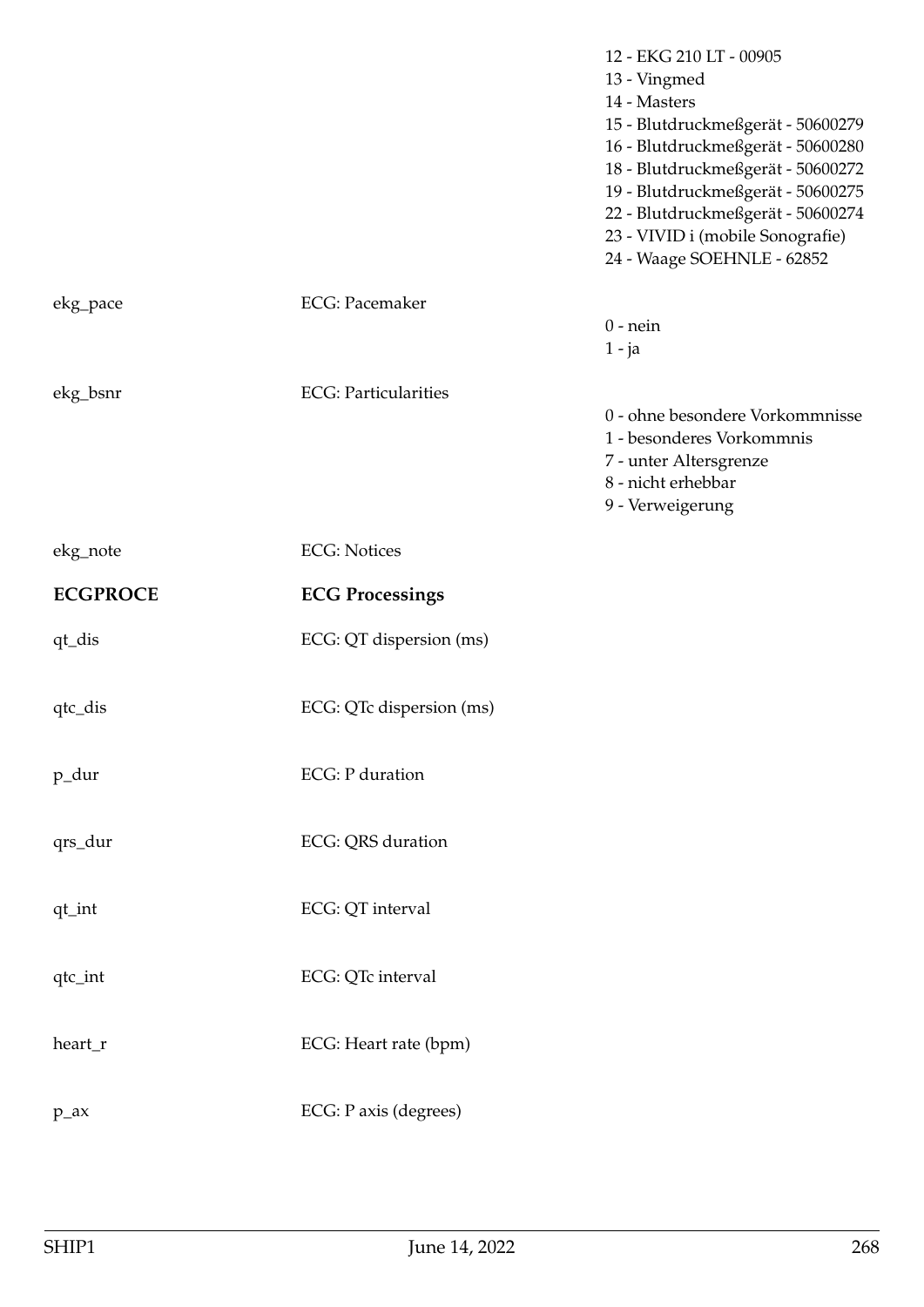|                 |                              | 12 - EKG 210 LT - 00905<br>13 - Vingmed<br>14 - Masters<br>15 - Blutdruckmeßgerät - 50600279<br>16 - Blutdruckmeßgerät - 50600280<br>18 - Blutdruckmeßgerät - 50600272<br>19 - Blutdruckmeßgerät - 50600275<br>22 - Blutdruckmeßgerät - 50600274<br>23 - VIVID i (mobile Sonografie)<br>24 - Waage SOEHNLE - 62852 |
|-----------------|------------------------------|--------------------------------------------------------------------------------------------------------------------------------------------------------------------------------------------------------------------------------------------------------------------------------------------------------------------|
| ekg_pace        | <b>ECG</b> : Pacemaker       | $0$ - nein<br>$1 - ja$                                                                                                                                                                                                                                                                                             |
| ekg_bsnr        | <b>ECG</b> : Particularities | 0 - ohne besondere Vorkommnisse<br>1 - besonderes Vorkommnis<br>7 - unter Altersgrenze<br>8 - nicht erhebbar<br>9 - Verweigerung                                                                                                                                                                                   |
| ekg_note        | <b>ECG: Notices</b>          |                                                                                                                                                                                                                                                                                                                    |
|                 |                              |                                                                                                                                                                                                                                                                                                                    |
| <b>ECGPROCE</b> | <b>ECG Processings</b>       |                                                                                                                                                                                                                                                                                                                    |
| qt_dis          | ECG: QT dispersion (ms)      |                                                                                                                                                                                                                                                                                                                    |
| qtc_dis         | ECG: QTc dispersion (ms)     |                                                                                                                                                                                                                                                                                                                    |
| p_dur           | <b>ECG</b> : P duration      |                                                                                                                                                                                                                                                                                                                    |
| qrs_dur         | ECG: QRS duration            |                                                                                                                                                                                                                                                                                                                    |
| qt_int          | ECG: QT interval             |                                                                                                                                                                                                                                                                                                                    |
| qtc_int         | ECG: QTc interval            |                                                                                                                                                                                                                                                                                                                    |
| heart_r         | ECG: Heart rate (bpm)        |                                                                                                                                                                                                                                                                                                                    |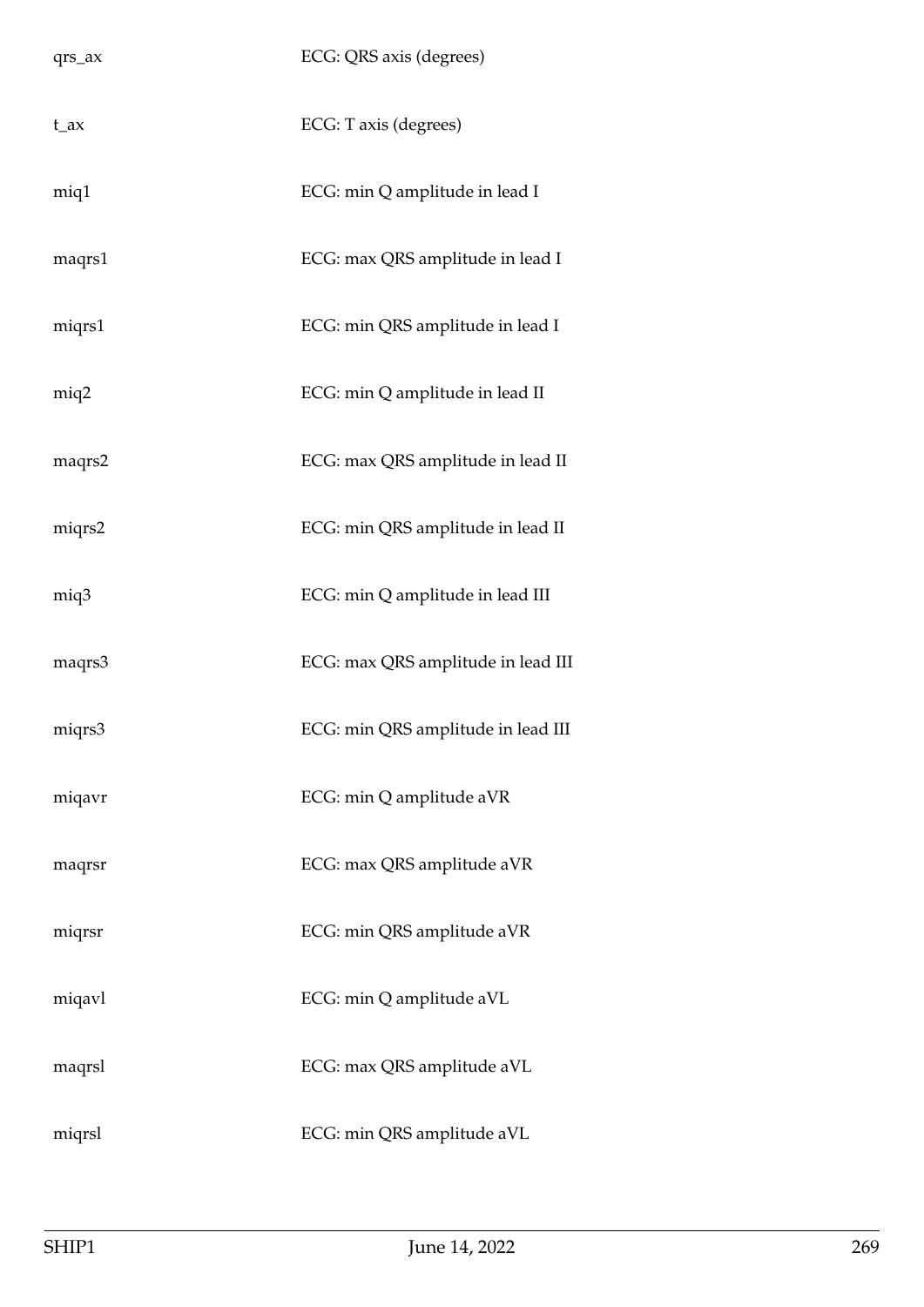| qrs_ax   | ECG: QRS axis (degrees)            |
|----------|------------------------------------|
| $t_{ax}$ | ECG: T axis (degrees)              |
| miq1     | ECG: min Q amplitude in lead I     |
| maqrs1   | ECG: max QRS amplitude in lead I   |
| miqrs1   | ECG: min QRS amplitude in lead I   |
| miq2     | ECG: min Q amplitude in lead II    |
| maqrs2   | ECG: max QRS amplitude in lead II  |
| miqrs2   | ECG: min QRS amplitude in lead II  |
| miq3     | ECG: min Q amplitude in lead III   |
| maqrs3   | ECG: max QRS amplitude in lead III |
| miqrs3   | ECG: min QRS amplitude in lead III |
| miqavr   | ECG: min Q amplitude aVR           |
| maqrsr   | ECG: max QRS amplitude aVR         |
| miqrsr   | ECG: min QRS amplitude aVR         |
| miqavl   | ECG: min Q amplitude aVL           |
| maqrsl   | ECG: max QRS amplitude aVL         |
| miqrsl   | ECG: min QRS amplitude aVL         |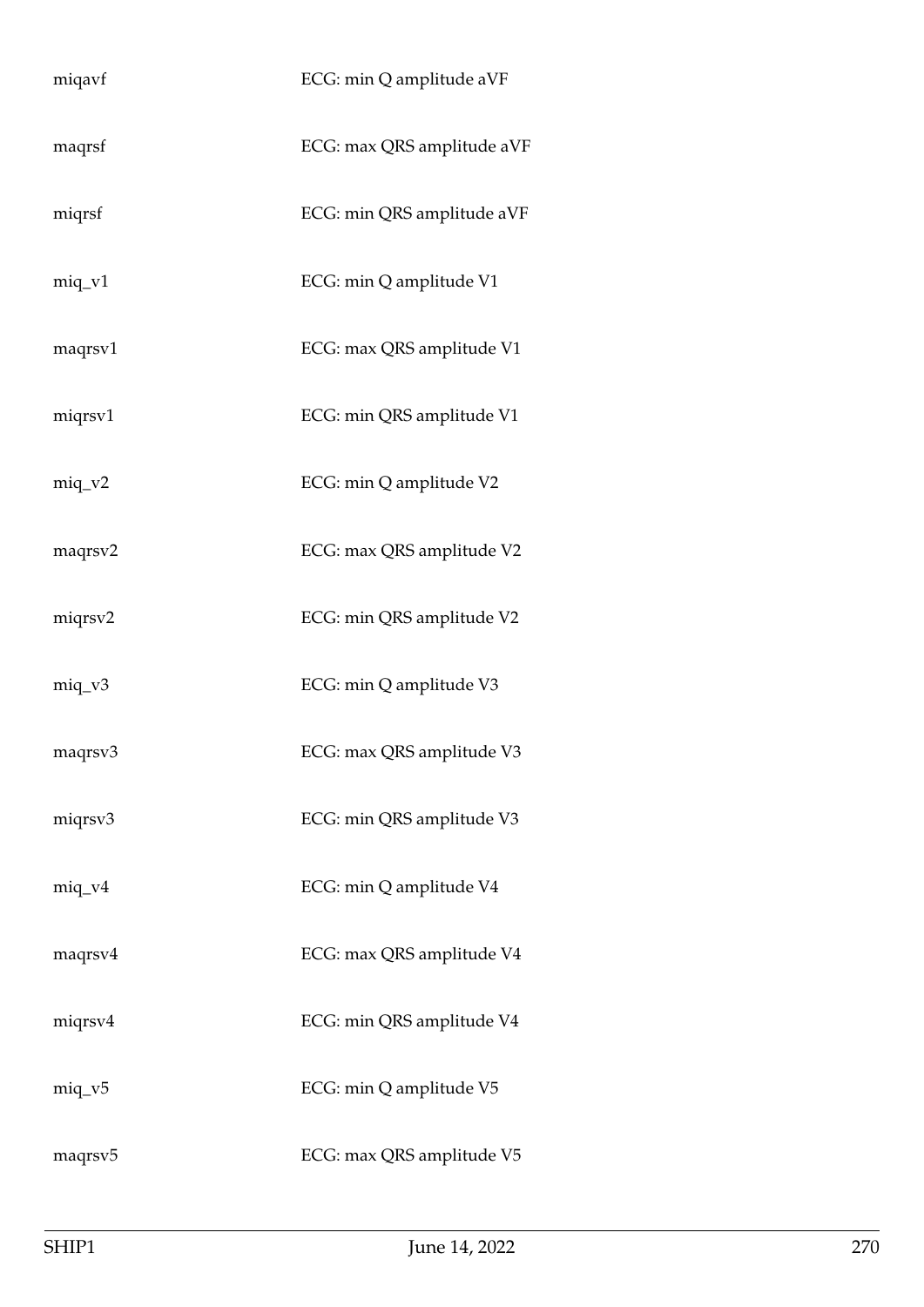| miqavf              | ECG: min Q amplitude aVF   |
|---------------------|----------------------------|
| maqrsf              | ECG: max QRS amplitude aVF |
| miqrsf              | ECG: min QRS amplitude aVF |
| $miq_v1$            | ECG: min Q amplitude V1    |
| maqrsv1             | ECG: max QRS amplitude V1  |
| miqrsv1             | ECG: min QRS amplitude V1  |
| $miq_v^2$           | ECG: min Q amplitude V2    |
| maqrsv2             | ECG: max QRS amplitude V2  |
| miqrsv2             | ECG: min QRS amplitude V2  |
| $miq_v3$            | ECG: min Q amplitude V3    |
| maqrsv3             | ECG: max QRS amplitude V3  |
| miqrsv3             | ECG: min QRS amplitude V3  |
| $miq_v4$            | ECG: min Q amplitude V4    |
| maqrsv4             | ECG: max QRS amplitude V4  |
| miqrsv4             | ECG: min QRS amplitude V4  |
| $miq_v5$            | ECG: min Q amplitude V5    |
| maqrsv <sub>5</sub> | ECG: max QRS amplitude V5  |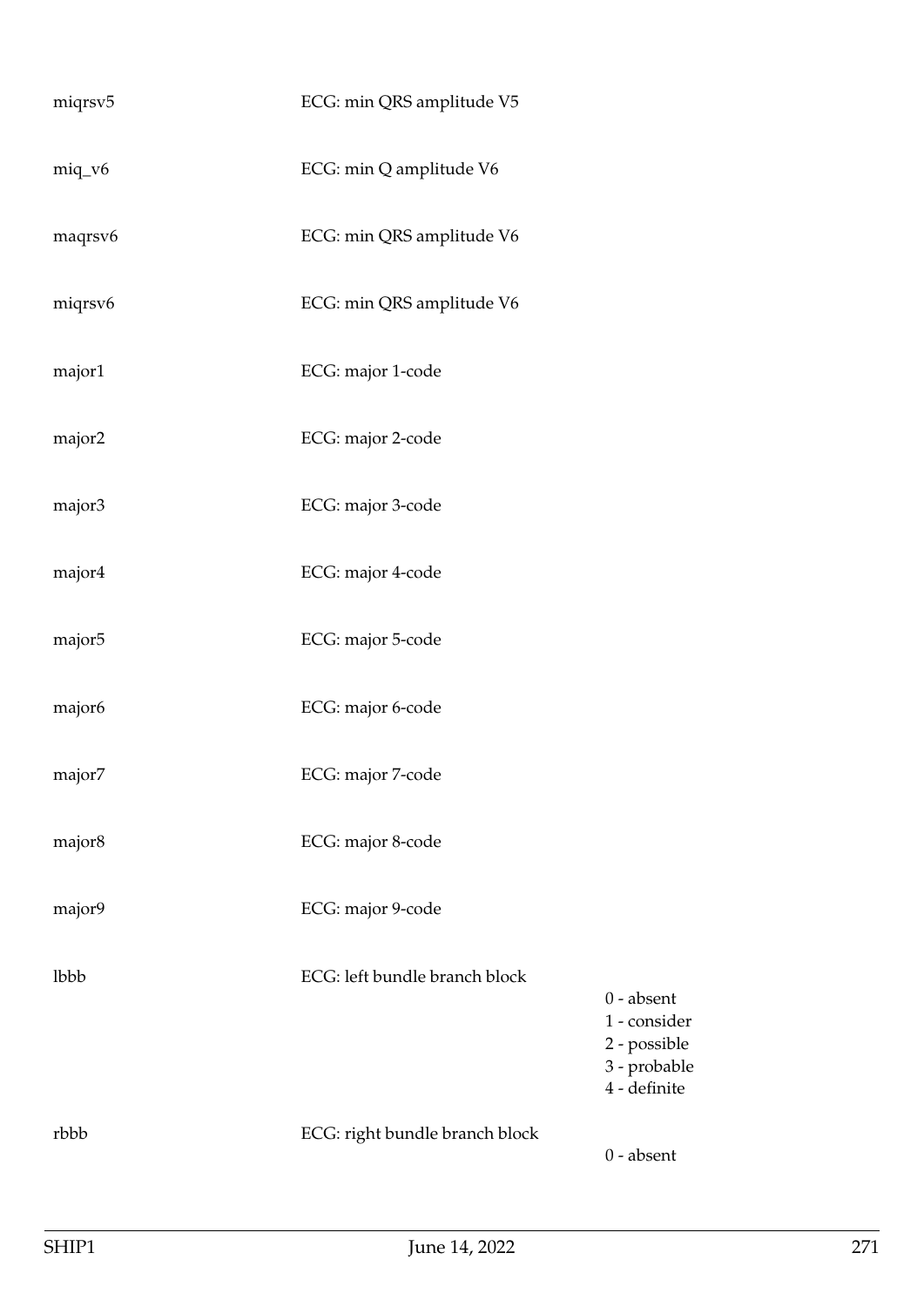| miqrsv5 | ECG: min QRS amplitude V5      |                                                                              |
|---------|--------------------------------|------------------------------------------------------------------------------|
| miq_v6  | ECG: min Q amplitude V6        |                                                                              |
| maqrsv6 | ECG: min QRS amplitude V6      |                                                                              |
| miqrsv6 | ECG: min QRS amplitude V6      |                                                                              |
| major1  | ECG: major 1-code              |                                                                              |
| major2  | ECG: major 2-code              |                                                                              |
| major3  | ECG: major 3-code              |                                                                              |
| major4  | ECG: major 4-code              |                                                                              |
| major5  | ECG: major 5-code              |                                                                              |
| major6  | ECG: major 6-code              |                                                                              |
| major7  | ECG: major 7-code              |                                                                              |
| major8  | ECG: major 8-code              |                                                                              |
| major9  | ECG: major 9-code              |                                                                              |
| lbbb    | ECG: left bundle branch block  | $0$ - absent<br>1 - consider<br>2 - possible<br>3 - probable<br>4 - definite |
| rbbb    | ECG: right bundle branch block | $0$ - absent                                                                 |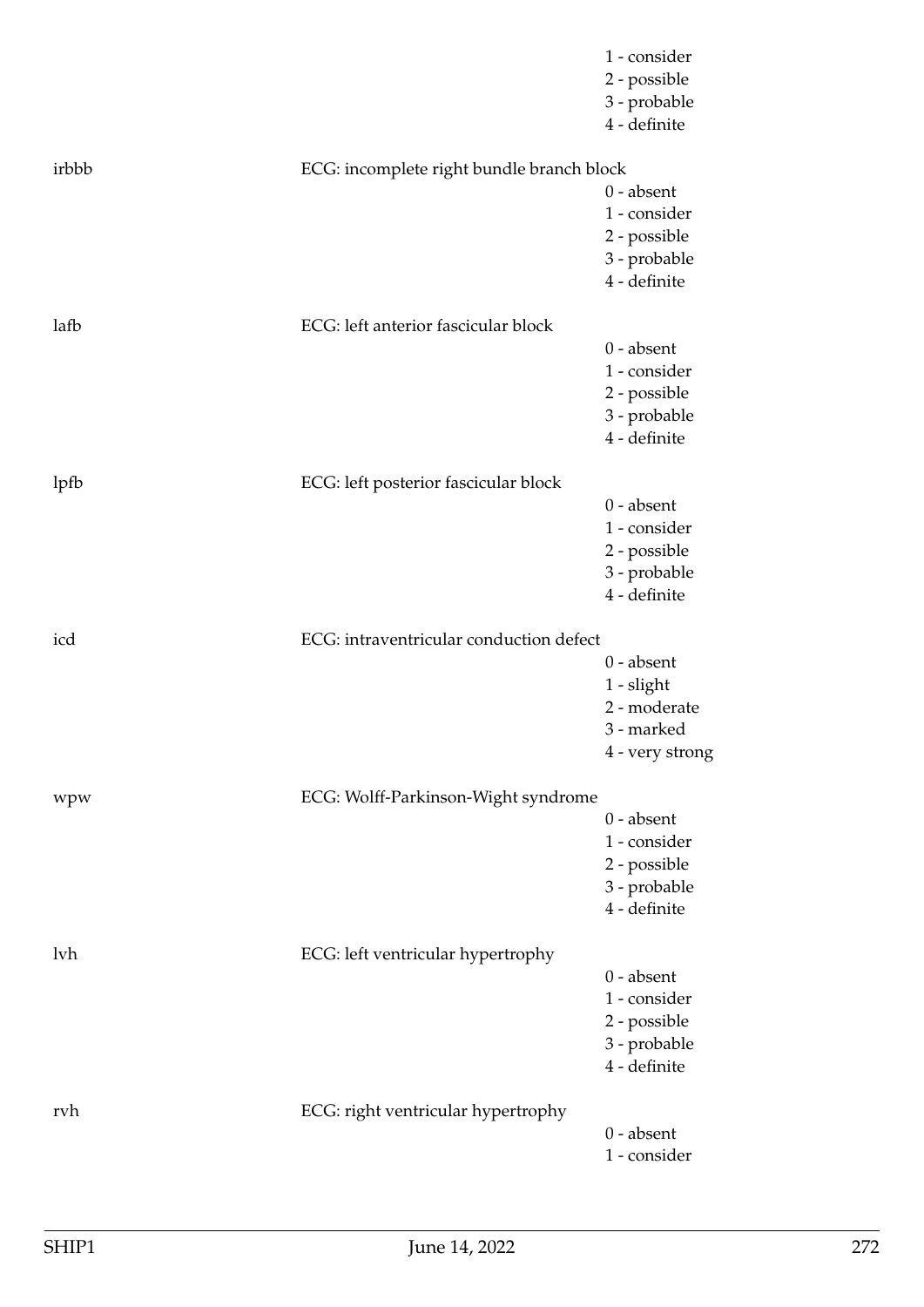|       |                                           | 1 - consider<br>2 - possible<br>3 - probable<br>4 - definite                  |
|-------|-------------------------------------------|-------------------------------------------------------------------------------|
| irbbb | ECG: incomplete right bundle branch block | $0$ - absent<br>1 - consider<br>2 - possible<br>3 - probable<br>4 - definite  |
| lafb  | ECG: left anterior fascicular block       | $0$ - absent<br>1 - consider<br>2 - possible<br>3 - probable<br>4 - definite  |
| lpfb  | ECG: left posterior fascicular block      | $0$ - absent<br>1 - consider<br>2 - possible<br>3 - probable<br>4 - definite  |
| icd   | ECG: intraventricular conduction defect   | $0$ - absent<br>$1 -$ slight<br>2 - moderate<br>3 - marked<br>4 - very strong |
| wpw   | ECG: Wolff-Parkinson-Wight syndrome       | $0$ - absent<br>1 - consider<br>2 - possible<br>3 - probable<br>4 - definite  |
| lvh   | ECG: left ventricular hypertrophy         | $0$ - absent<br>1 - consider<br>2 - possible<br>3 - probable<br>4 - definite  |
| rvh   | ECG: right ventricular hypertrophy        | $0$ - absent<br>1 - consider                                                  |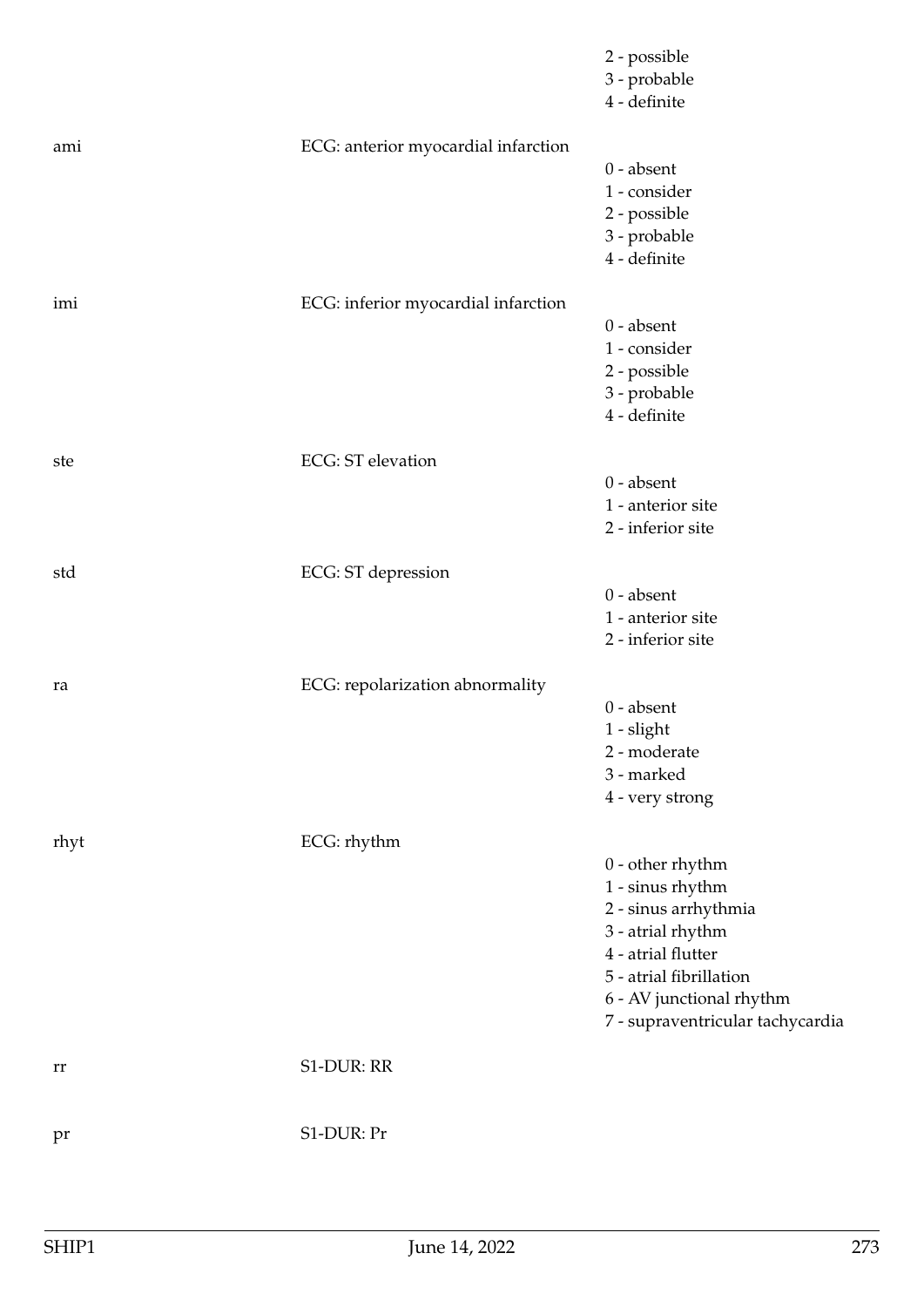|      |                                     | 2 - possible<br>3 - probable<br>4 - definite                                                                                                                                                         |
|------|-------------------------------------|------------------------------------------------------------------------------------------------------------------------------------------------------------------------------------------------------|
| ami  | ECG: anterior myocardial infarction | $0$ - absent<br>1 - consider<br>2 - possible<br>3 - probable<br>4 - definite                                                                                                                         |
| imi  | ECG: inferior myocardial infarction | $0$ - absent<br>1 - consider<br>2 - possible<br>3 - probable<br>4 - definite                                                                                                                         |
| ste  | <b>ECG</b> : ST elevation           | $0$ - absent<br>1 - anterior site<br>2 - inferior site                                                                                                                                               |
| std  | ECG: ST depression                  | $0$ - absent<br>1 - anterior site<br>2 - inferior site                                                                                                                                               |
| ra   | ECG: repolarization abnormality     | $0$ - absent<br>$1$ - slight<br>2 - moderate<br>3 - marked<br>4 - very strong                                                                                                                        |
| rhyt | ECG: rhythm                         | $0$ - other rhythm<br>1 - sinus rhythm<br>2 - sinus arrhythmia<br>3 - atrial rhythm<br>4 - atrial flutter<br>5 - atrial fibrillation<br>6 - AV junctional rhythm<br>7 - supraventricular tachycardia |
| rr   | S1-DUR: RR                          |                                                                                                                                                                                                      |
| pr   | S1-DUR: Pr                          |                                                                                                                                                                                                      |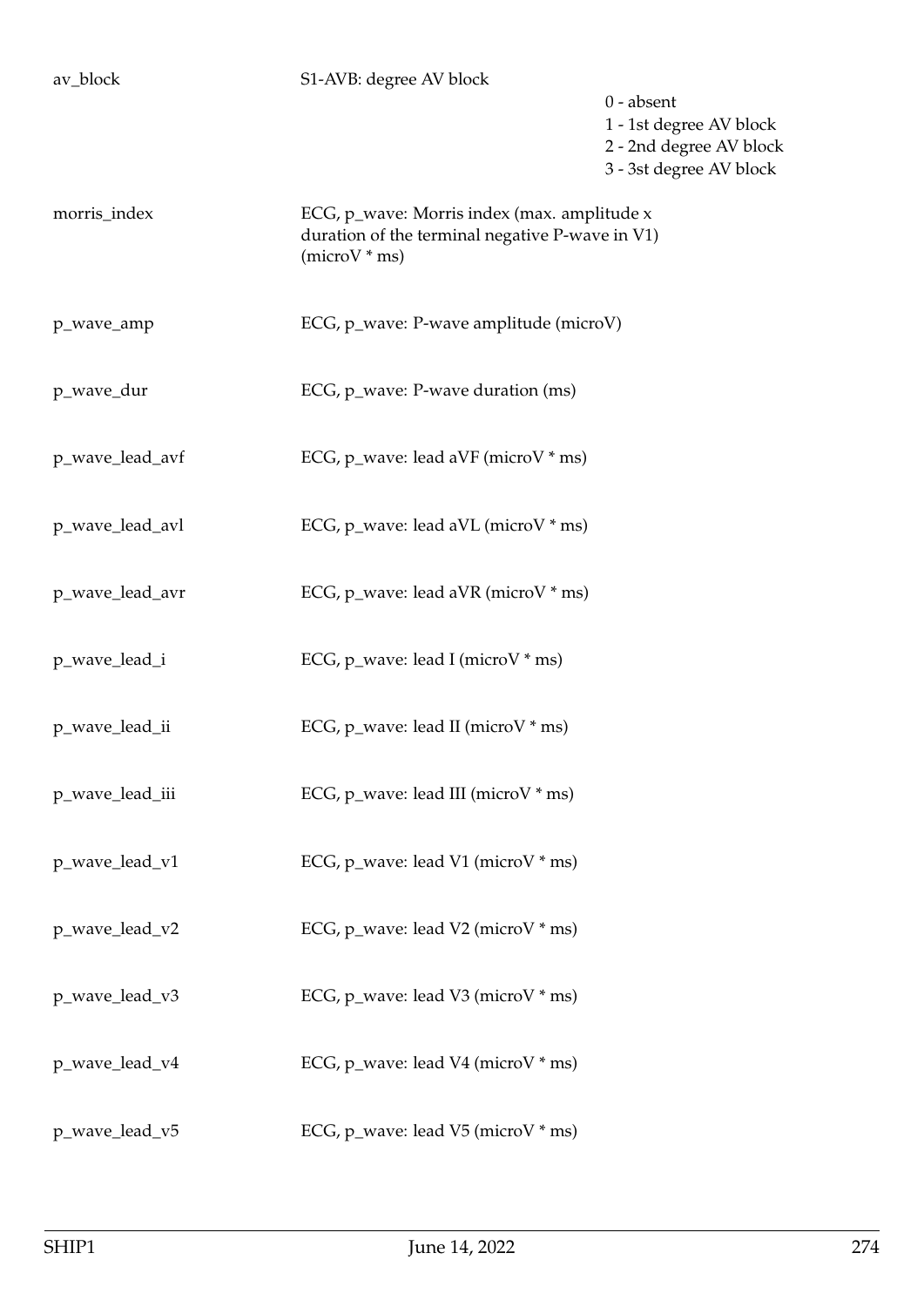## av\_block S1-AVB: degree AV block

0 - absent

1 - 1st degree AV block

2 - 2nd degree AV block

3 - 3st degree AV block

morris\_index ECG, p\_wave: Morris index (max. amplitude x duration of the terminal negative P-wave in V1) (microV \* ms)

p\_wave\_amp ECG, p\_wave: P-wave amplitude (microV)

p\_wave\_dur ECG, p\_wave: P-wave duration (ms)

p\_wave\_lead\_avf ECG, p\_wave: lead aVF (microV \* ms)

p\_wave\_lead\_avl ECG, p\_wave: lead aVL (microV \* ms)

p\_wave\_lead\_avr ECG, p\_wave: lead aVR (microV \* ms)

p\_wave\_lead\_i ECG, p\_wave: lead I (microV \* ms)

p\_wave\_lead\_ii ECG, p\_wave: lead II (microV \* ms)

p\_wave\_lead\_iii ECG, p\_wave: lead III (microV \* ms)

p\_wave\_lead\_v1 ECG, p\_wave: lead V1 (microV \* ms)

p\_wave\_lead\_v2 ECG, p\_wave: lead V2 (microV \* ms)

p\_wave\_lead\_v3 ECG, p\_wave: lead V3 (microV \* ms)

p\_wave\_lead\_v4  $ECG$ , p\_wave: lead V4 (microV \* ms)

p\_wave\_lead\_v5 ECG, p\_wave: lead V5 (microV \* ms)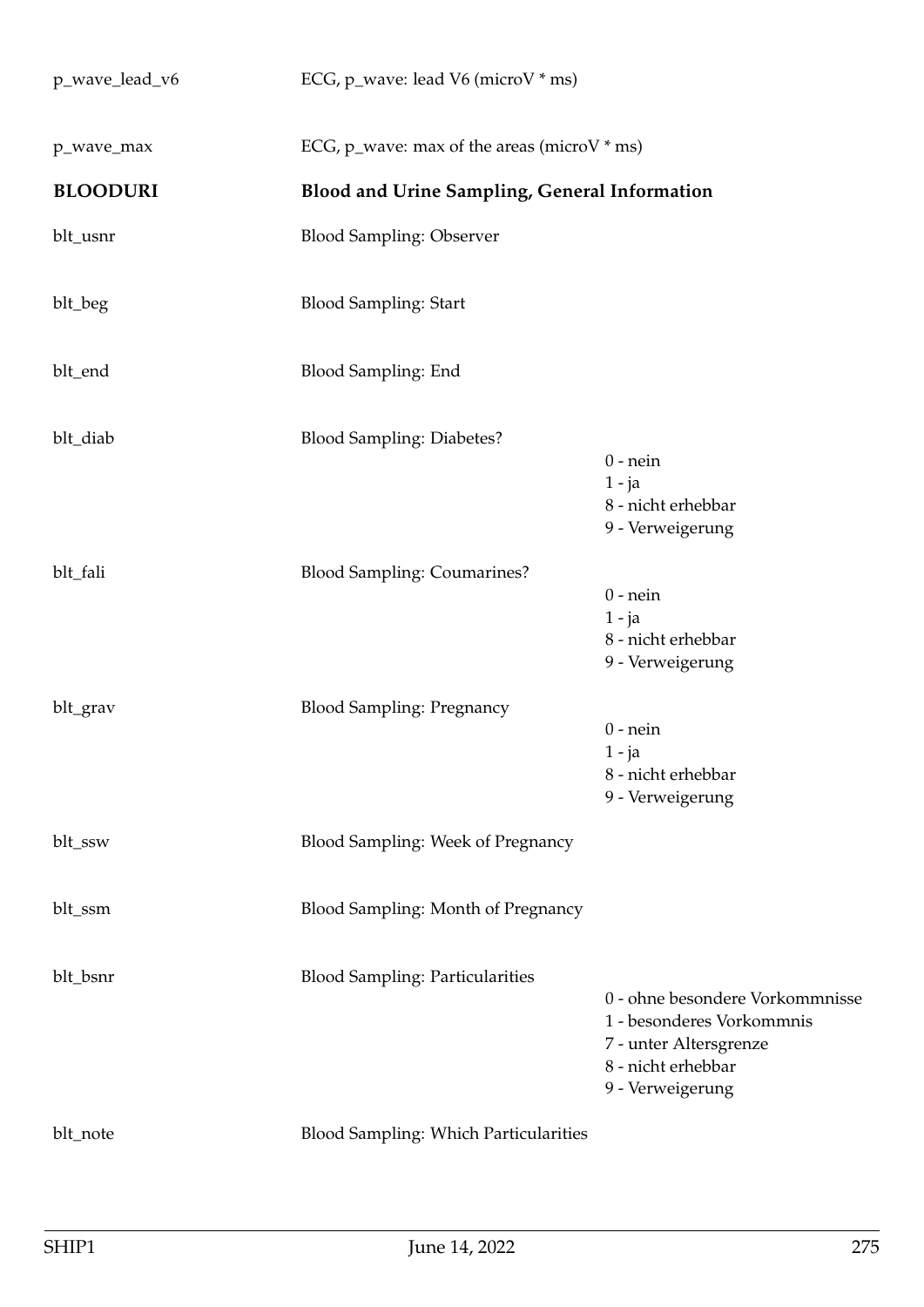| p_wave_lead_v6  | ECG, p_wave: lead V6 (microV * ms)                   |                                                                                                                                  |
|-----------------|------------------------------------------------------|----------------------------------------------------------------------------------------------------------------------------------|
| p_wave_max      | ECG, p_wave: max of the areas (microV $*$ ms)        |                                                                                                                                  |
| <b>BLOODURI</b> | <b>Blood and Urine Sampling, General Information</b> |                                                                                                                                  |
| blt_usnr        | <b>Blood Sampling: Observer</b>                      |                                                                                                                                  |
| blt_beg         | <b>Blood Sampling: Start</b>                         |                                                                                                                                  |
| blt_end         | Blood Sampling: End                                  |                                                                                                                                  |
| blt_diab        | <b>Blood Sampling: Diabetes?</b>                     | $0$ - nein<br>$1 - ja$<br>8 - nicht erhebbar<br>9 - Verweigerung                                                                 |
| blt_fali        | <b>Blood Sampling: Coumarines?</b>                   | $0$ - nein<br>$1 - ja$<br>8 - nicht erhebbar<br>9 - Verweigerung                                                                 |
| blt_grav        | <b>Blood Sampling: Pregnancy</b>                     | $0$ - nein<br>$1 - ja$<br>8 - nicht erhebbar<br>9 - Verweigerung                                                                 |
| blt_ssw         | Blood Sampling: Week of Pregnancy                    |                                                                                                                                  |
| blt_ssm         | Blood Sampling: Month of Pregnancy                   |                                                                                                                                  |
| blt_bsnr        | <b>Blood Sampling: Particularities</b>               | 0 - ohne besondere Vorkommnisse<br>1 - besonderes Vorkommnis<br>7 - unter Altersgrenze<br>8 - nicht erhebbar<br>9 - Verweigerung |
| blt_note        | <b>Blood Sampling: Which Particularities</b>         |                                                                                                                                  |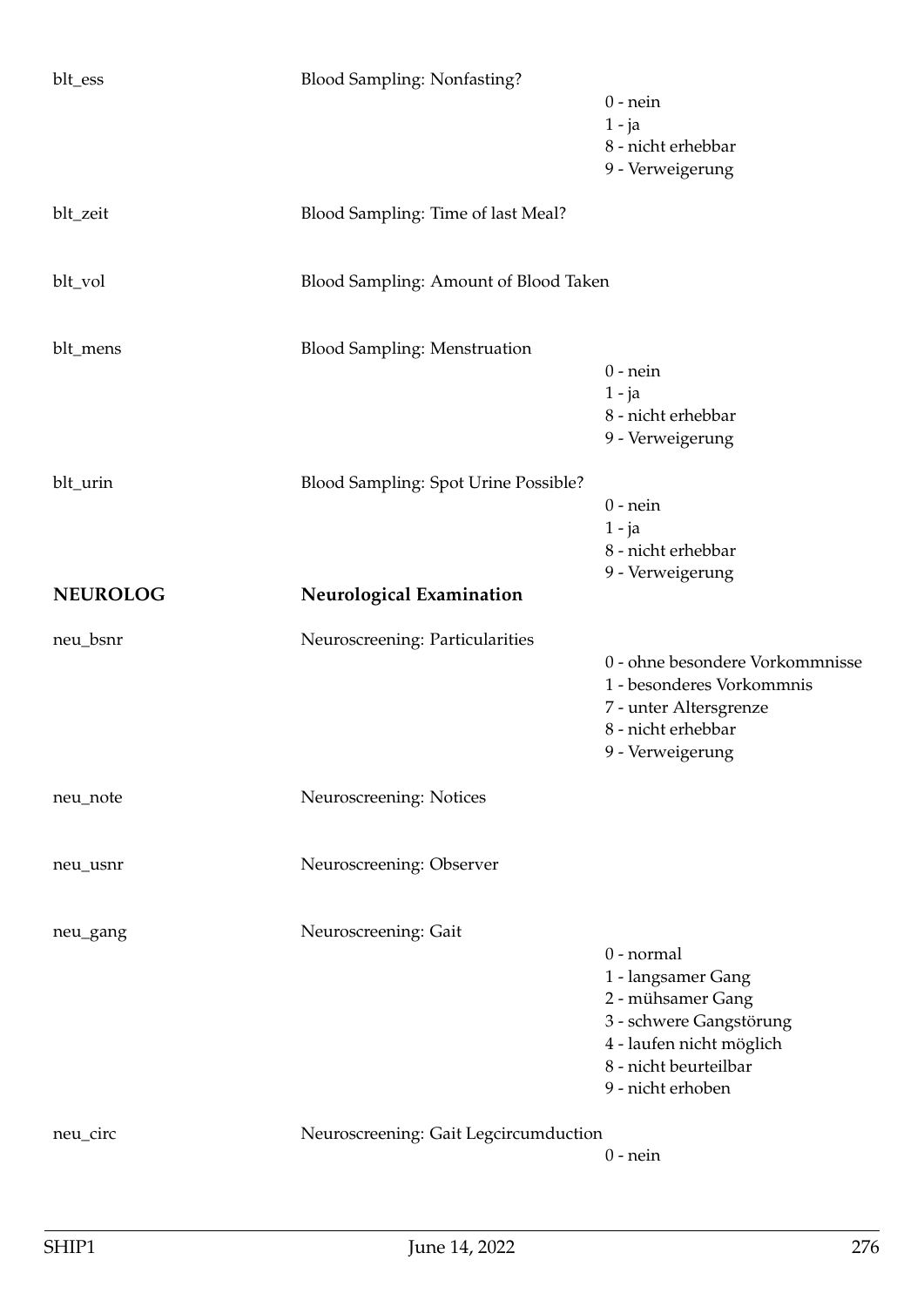| blt_ess         | <b>Blood Sampling: Nonfasting?</b>    | $0$ - nein<br>$1 - ja$<br>8 - nicht erhebbar<br>9 - Verweigerung                                                                                           |
|-----------------|---------------------------------------|------------------------------------------------------------------------------------------------------------------------------------------------------------|
| blt_zeit        | Blood Sampling: Time of last Meal?    |                                                                                                                                                            |
| blt_vol         | Blood Sampling: Amount of Blood Taken |                                                                                                                                                            |
| blt_mens        | <b>Blood Sampling: Menstruation</b>   | $0$ - nein<br>$1 - ja$<br>8 - nicht erhebbar<br>9 - Verweigerung                                                                                           |
| blt_urin        | Blood Sampling: Spot Urine Possible?  | $0$ - nein<br>$1 - ja$<br>8 - nicht erhebbar<br>9 - Verweigerung                                                                                           |
| <b>NEUROLOG</b> | <b>Neurological Examination</b>       |                                                                                                                                                            |
| neu_bsnr        | Neuroscreening: Particularities       | 0 - ohne besondere Vorkommnisse<br>1 - besonderes Vorkommnis<br>7 - unter Altersgrenze<br>8 - nicht erhebbar<br>9 - Verweigerung                           |
| neu_note        | Neuroscreening: Notices               |                                                                                                                                                            |
| neu_usnr        | Neuroscreening: Observer              |                                                                                                                                                            |
| neu_gang        | Neuroscreening: Gait                  | 0 - normal<br>1 - langsamer Gang<br>2 - mühsamer Gang<br>3 - schwere Gangstörung<br>4 - laufen nicht möglich<br>8 - nicht beurteilbar<br>9 - nicht erhoben |
| neu_circ        |                                       |                                                                                                                                                            |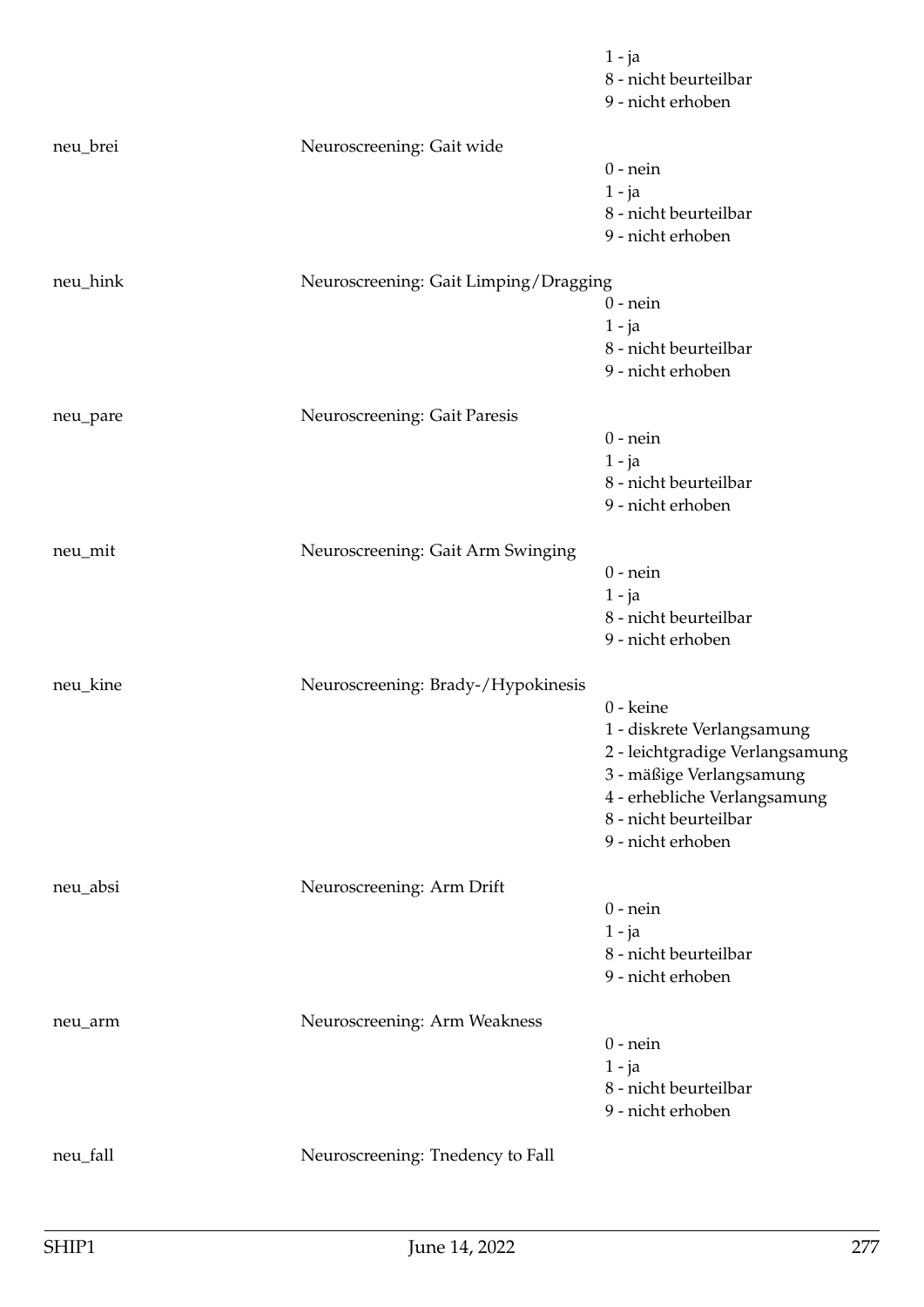|          |                                       | $1 - ja$<br>8 - nicht beurteilbar<br>9 - nicht erhoben                                                                                                                               |
|----------|---------------------------------------|--------------------------------------------------------------------------------------------------------------------------------------------------------------------------------------|
| neu_brei | Neuroscreening: Gait wide             | $0$ - nein<br>$1 - ja$<br>8 - nicht beurteilbar<br>9 - nicht erhoben                                                                                                                 |
| neu_hink | Neuroscreening: Gait Limping/Dragging | $0$ - nein<br>$1 - ja$<br>8 - nicht beurteilbar<br>9 - nicht erhoben                                                                                                                 |
| neu_pare | Neuroscreening: Gait Paresis          | $0$ - nein<br>$1 - ja$<br>8 - nicht beurteilbar<br>9 - nicht erhoben                                                                                                                 |
| neu_mit  | Neuroscreening: Gait Arm Swinging     | $0$ - nein<br>$1 - ja$<br>8 - nicht beurteilbar<br>9 - nicht erhoben                                                                                                                 |
| neu_kine | Neuroscreening: Brady-/Hypokinesis    | 0 - keine<br>1 - diskrete Verlangsamung<br>2 - leichtgradige Verlangsamung<br>3 - mäßige Verlangsamung<br>4 - erhebliche Verlangsamung<br>8 - nicht beurteilbar<br>9 - nicht erhoben |
| neu_absi | Neuroscreening: Arm Drift             | $0$ - nein<br>$1 - ja$<br>8 - nicht beurteilbar<br>9 - nicht erhoben                                                                                                                 |
| neu_arm  | Neuroscreening: Arm Weakness          | $0$ - nein<br>$1 - ja$<br>8 - nicht beurteilbar<br>9 - nicht erhoben                                                                                                                 |
| neu_fall | Neuroscreening: Tnedency to Fall      |                                                                                                                                                                                      |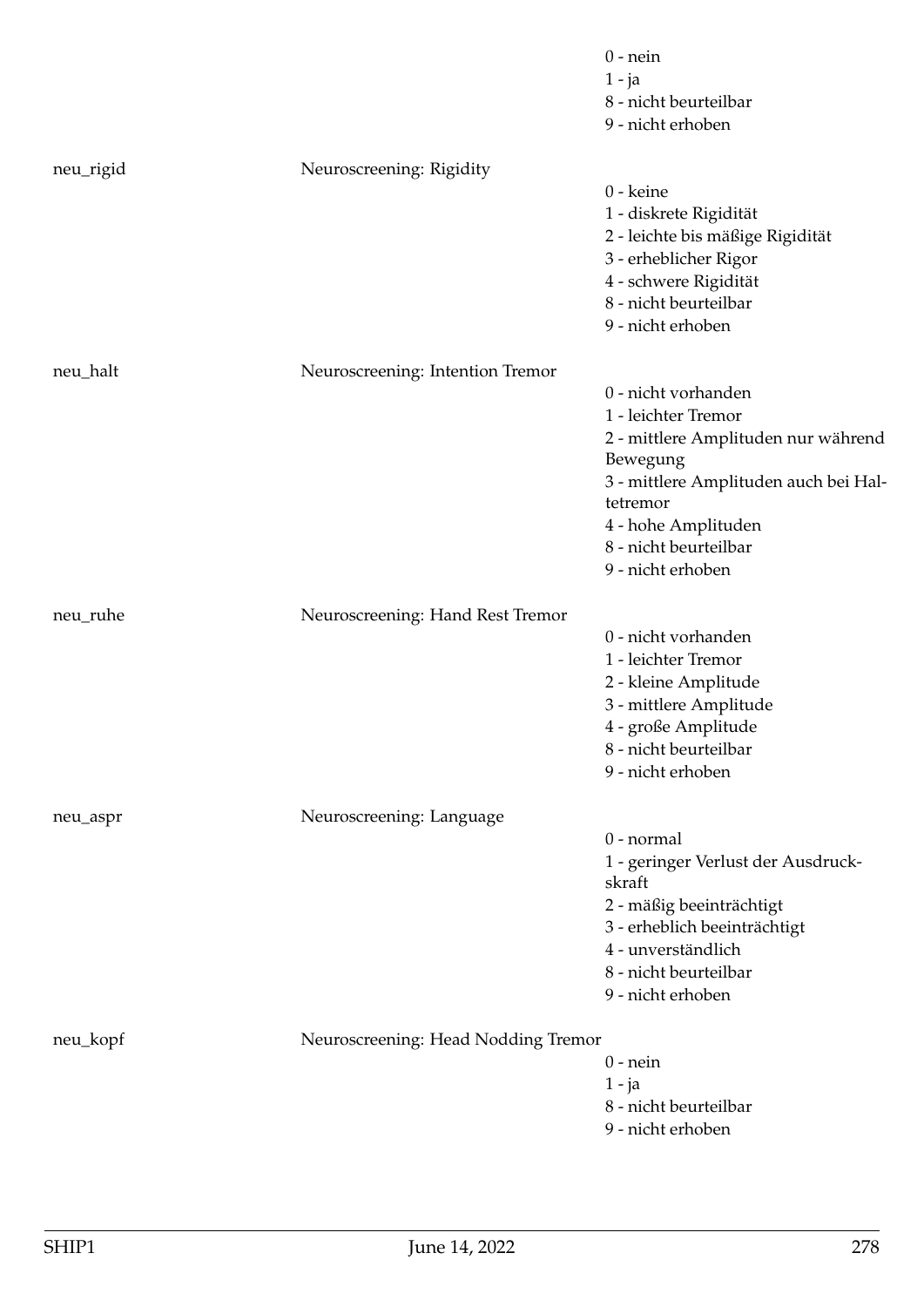|           |                                     | $0$ - nein<br>$1 - ja$<br>8 - nicht beurteilbar<br>9 - nicht erhoben                                                                                                                                                    |
|-----------|-------------------------------------|-------------------------------------------------------------------------------------------------------------------------------------------------------------------------------------------------------------------------|
| neu_rigid | Neuroscreening: Rigidity            | 0 - keine<br>1 - diskrete Rigidität<br>2 - leichte bis mäßige Rigidität<br>3 - erheblicher Rigor<br>4 - schwere Rigidität<br>8 - nicht beurteilbar<br>9 - nicht erhoben                                                 |
| neu_halt  | Neuroscreening: Intention Tremor    | 0 - nicht vorhanden<br>1 - leichter Tremor<br>2 - mittlere Amplituden nur während<br>Bewegung<br>3 - mittlere Amplituden auch bei Hal-<br>tetremor<br>4 - hohe Amplituden<br>8 - nicht beurteilbar<br>9 - nicht erhoben |
| neu_ruhe  | Neuroscreening: Hand Rest Tremor    | 0 - nicht vorhanden<br>1 - leichter Tremor<br>2 - kleine Amplitude<br>3 - mittlere Amplitude<br>4 - große Amplitude<br>8 - nicht beurteilbar<br>9 - nicht erhoben                                                       |
| neu_aspr  | Neuroscreening: Language            | $0$ - normal<br>1 - geringer Verlust der Ausdruck-<br>skraft<br>2 - mäßig beeinträchtigt<br>3 - erheblich beeinträchtigt<br>4 - unverständlich<br>8 - nicht beurteilbar<br>9 - nicht erhoben                            |
| neu_kopf  | Neuroscreening: Head Nodding Tremor | $0$ - nein<br>$1 - ja$<br>8 - nicht beurteilbar<br>9 - nicht erhoben                                                                                                                                                    |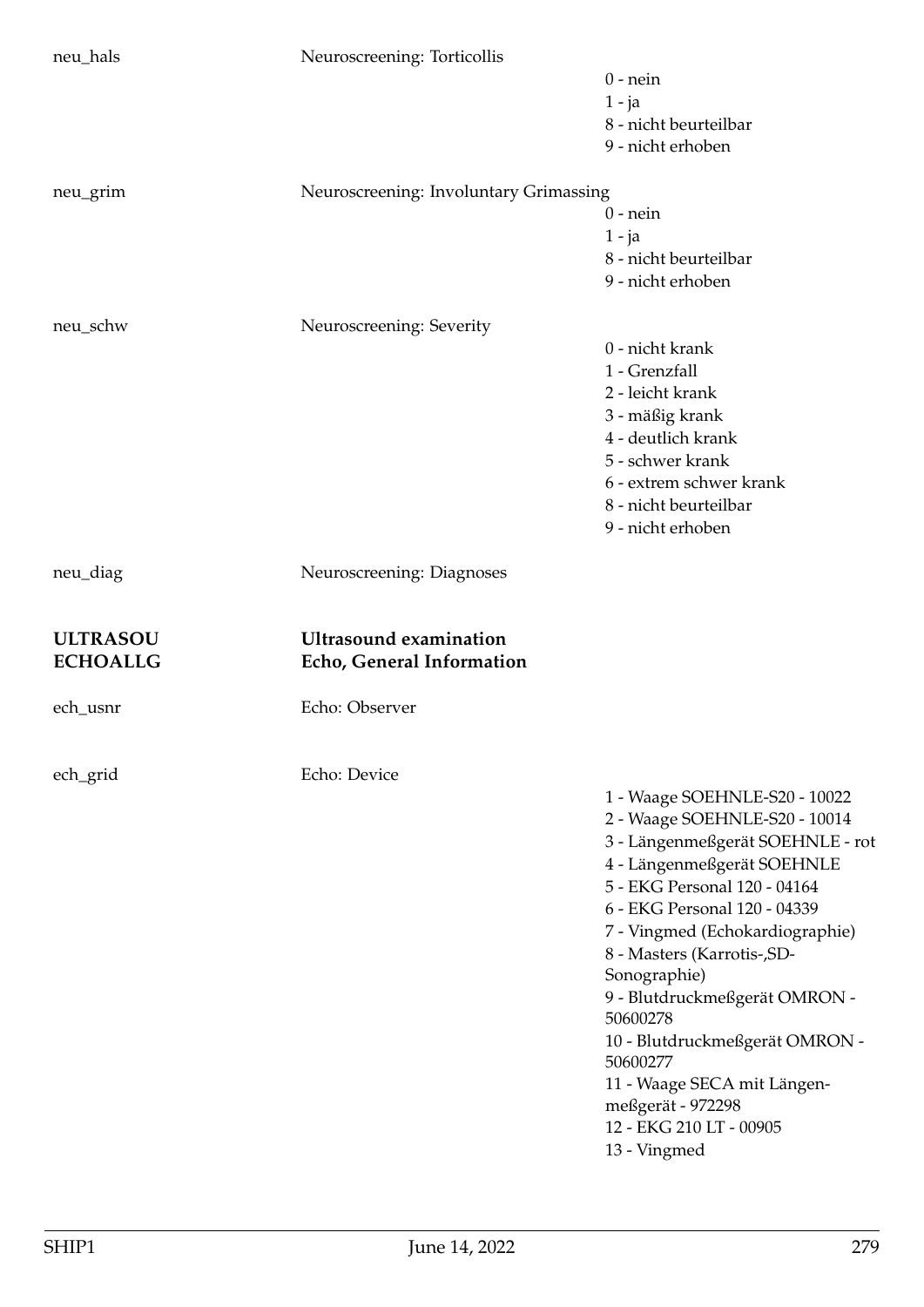|                                    | Neuroscreening: Torticollis                                |                                                                |
|------------------------------------|------------------------------------------------------------|----------------------------------------------------------------|
|                                    |                                                            | $0$ - nein<br>$1 - ja$                                         |
|                                    |                                                            | 8 - nicht beurteilbar                                          |
|                                    |                                                            | 9 - nicht erhoben                                              |
| neu_grim                           | Neuroscreening: Involuntary Grimassing                     |                                                                |
|                                    |                                                            | $0$ - nein                                                     |
|                                    |                                                            | $1 - ja$<br>8 - nicht beurteilbar                              |
|                                    |                                                            | 9 - nicht erhoben                                              |
| neu_schw                           | Neuroscreening: Severity                                   |                                                                |
|                                    |                                                            | 0 - nicht krank                                                |
|                                    |                                                            | 1 - Grenzfall                                                  |
|                                    |                                                            | 2 - leicht krank                                               |
|                                    |                                                            | 3 - mäßig krank                                                |
|                                    |                                                            | 4 - deutlich krank                                             |
|                                    |                                                            | 5 - schwer krank                                               |
|                                    |                                                            | 6 - extrem schwer krank                                        |
|                                    |                                                            | 8 - nicht beurteilbar                                          |
|                                    |                                                            | 9 - nicht erhoben                                              |
| neu_diag                           | Neuroscreening: Diagnoses                                  |                                                                |
| <b>ULTRASOU</b><br><b>ECHOALLG</b> | <b>Ultrasound examination</b><br>Echo, General Information |                                                                |
|                                    |                                                            |                                                                |
| ech_usnr                           | Echo: Observer                                             |                                                                |
|                                    |                                                            |                                                                |
| ech_grid                           | Echo: Device                                               |                                                                |
|                                    |                                                            | 1 - Waage SOEHNLE-S20 - 10022                                  |
|                                    |                                                            | 2 - Waage SOEHNLE-S20 - 10014                                  |
|                                    |                                                            | 3 - Längenmeßgerät SOEHNLE - rot<br>4 - Längenmeßgerät SOEHNLE |
|                                    |                                                            | 5 - EKG Personal 120 - 04164                                   |
|                                    |                                                            | 6 - EKG Personal 120 - 04339                                   |
|                                    |                                                            | 7 - Vingmed (Echokardiographie)                                |
|                                    |                                                            | 8 - Masters (Karrotis-, SD-                                    |
|                                    |                                                            | Sonographie)                                                   |
|                                    |                                                            | 9 - Blutdruckmeßgerät OMRON -<br>50600278                      |
|                                    |                                                            | 10 - Blutdruckmeßgerät OMRON -<br>50600277                     |
|                                    |                                                            | 11 - Waage SECA mit Längen-                                    |
|                                    |                                                            | meßgerät - 972298<br>12 - EKG 210 LT - 00905                   |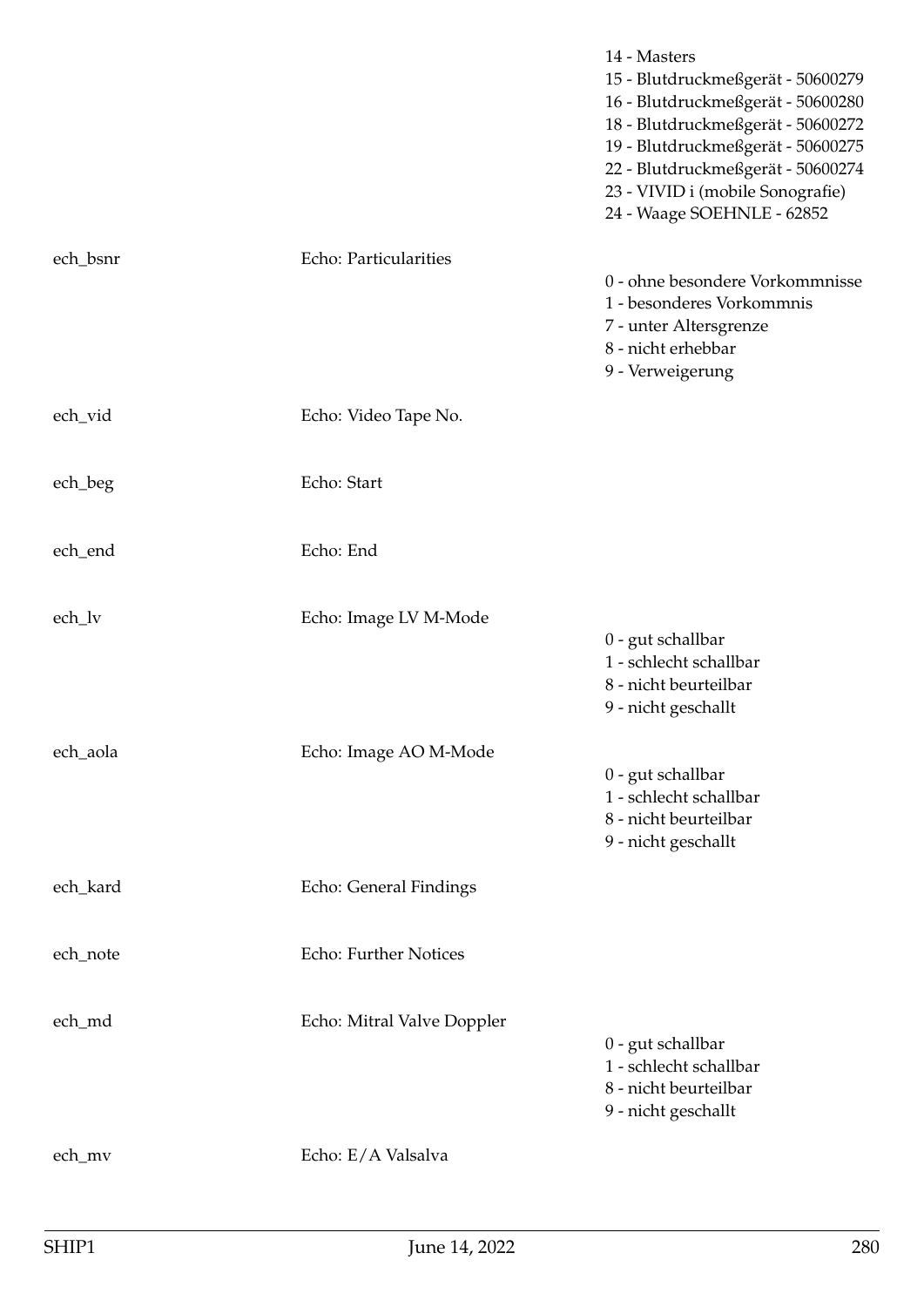|          |                            | 14 - Masters<br>15 - Blutdruckmeßgerät - 50600279<br>16 - Blutdruckmeßgerät - 50600280<br>18 - Blutdruckmeßgerät - 50600272<br>19 - Blutdruckmeßgerät - 50600275<br>22 - Blutdruckmeßgerät - 50600274<br>23 - VIVID i (mobile Sonografie)<br>24 - Waage SOEHNLE - 62852 |
|----------|----------------------------|-------------------------------------------------------------------------------------------------------------------------------------------------------------------------------------------------------------------------------------------------------------------------|
| ech_bsnr | Echo: Particularities      | 0 - ohne besondere Vorkommnisse<br>1 - besonderes Vorkommnis<br>7 - unter Altersgrenze<br>8 - nicht erhebbar<br>9 - Verweigerung                                                                                                                                        |
| ech_vid  | Echo: Video Tape No.       |                                                                                                                                                                                                                                                                         |
| ech_beg  | Echo: Start                |                                                                                                                                                                                                                                                                         |
| ech_end  | Echo: End                  |                                                                                                                                                                                                                                                                         |
| ech_lv   | Echo: Image LV M-Mode      | 0 - gut schallbar<br>1 - schlecht schallbar<br>8 - nicht beurteilbar<br>9 - nicht geschallt                                                                                                                                                                             |
| ech_aola | Echo: Image AO M-Mode      | 0 - gut schallbar<br>1 - schlecht schallbar<br>8 - nicht beurteilbar<br>9 - nicht geschallt                                                                                                                                                                             |
| ech_kard | Echo: General Findings     |                                                                                                                                                                                                                                                                         |
| ech_note | Echo: Further Notices      |                                                                                                                                                                                                                                                                         |
| ech_md   | Echo: Mitral Valve Doppler | 0 - gut schallbar<br>1 - schlecht schallbar<br>8 - nicht beurteilbar<br>9 - nicht geschallt                                                                                                                                                                             |
| ech_mv   | Echo: E/A Valsalva         |                                                                                                                                                                                                                                                                         |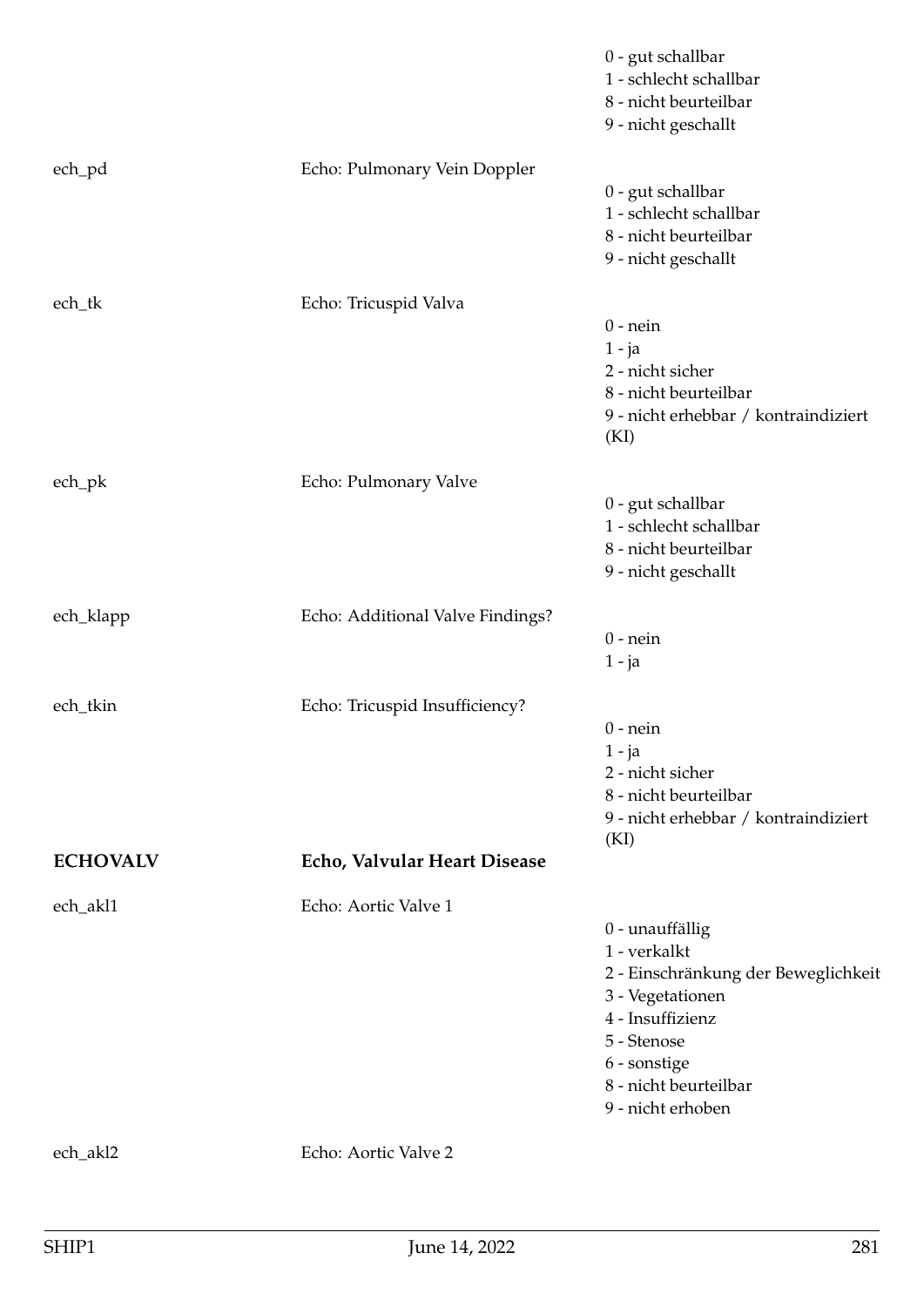|                 |                                  | 0 - gut schallbar<br>1 - schlecht schallbar<br>8 - nicht beurteilbar<br>9 - nicht geschallt                                                                                                 |
|-----------------|----------------------------------|---------------------------------------------------------------------------------------------------------------------------------------------------------------------------------------------|
| ech_pd          | Echo: Pulmonary Vein Doppler     | 0 - gut schallbar<br>1 - schlecht schallbar<br>8 - nicht beurteilbar<br>9 - nicht geschallt                                                                                                 |
| ech_tk          | Echo: Tricuspid Valva            | $0$ - nein<br>$1 - ja$<br>2 - nicht sicher<br>8 - nicht beurteilbar<br>9 - nicht erhebbar / kontraindiziert<br>(KI)                                                                         |
| ech_pk          | Echo: Pulmonary Valve            | 0 - gut schallbar<br>1 - schlecht schallbar<br>8 - nicht beurteilbar<br>9 - nicht geschallt                                                                                                 |
| ech_klapp       | Echo: Additional Valve Findings? | $0$ - nein<br>$1 - ja$                                                                                                                                                                      |
| ech_tkin        | Echo: Tricuspid Insufficiency?   | $0$ - nein<br>$1 - ja$<br>2 - nicht sicher<br>8 - nicht beurteilbar<br>9 - nicht erhebbar / kontraindiziert<br>(KI)                                                                         |
| <b>ECHOVALV</b> | Echo, Valvular Heart Disease     |                                                                                                                                                                                             |
| ech_akl1        | Echo: Aortic Valve 1             | 0 - unauffällig<br>1 - verkalkt<br>2 - Einschränkung der Beweglichkeit<br>3 - Vegetationen<br>4 - Insuffizienz<br>5 - Stenose<br>6 - sonstige<br>8 - nicht beurteilbar<br>9 - nicht erhoben |
| ech_akl2        | Echo: Aortic Valve 2             |                                                                                                                                                                                             |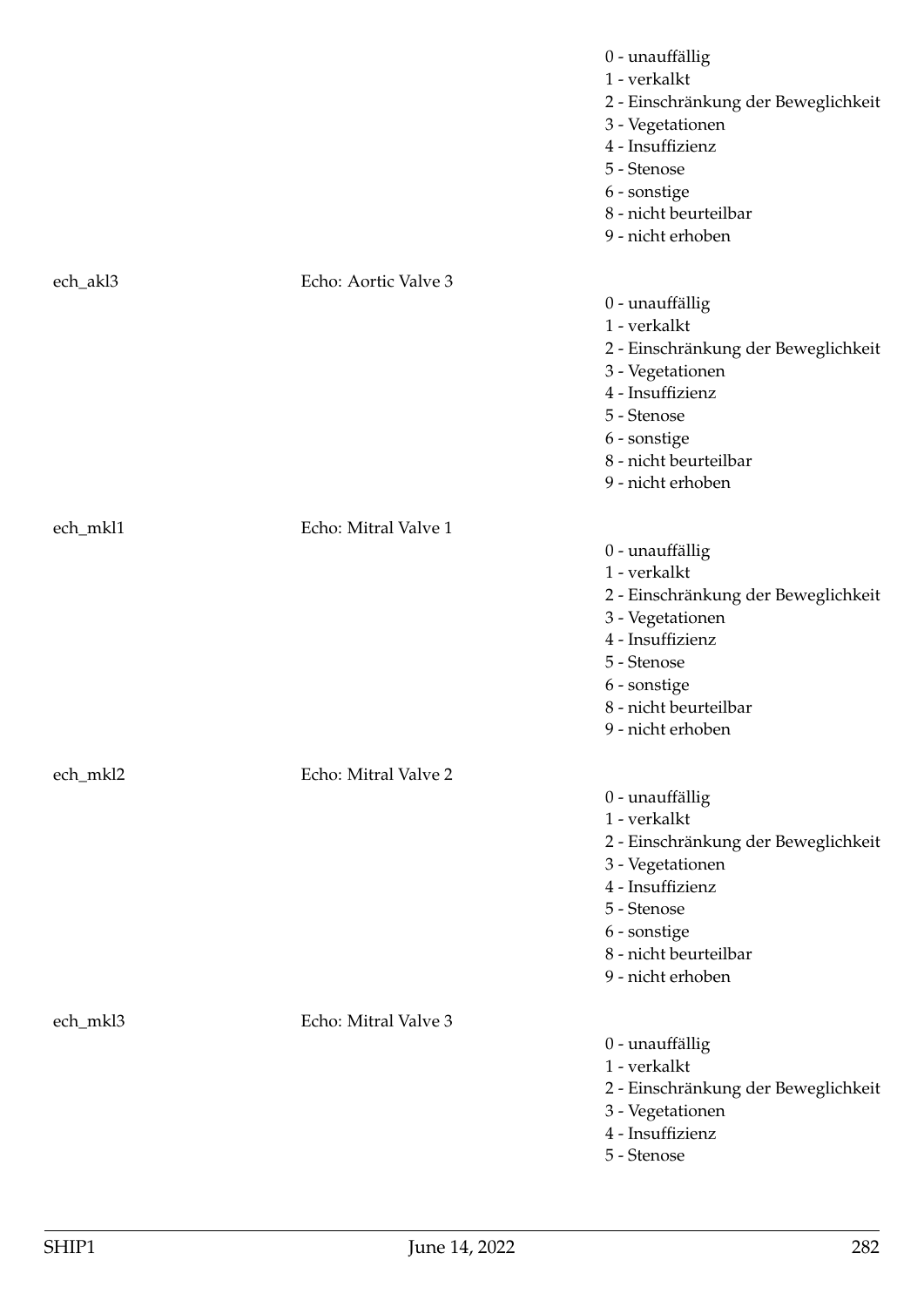|          |                      | 0 - unauffällig<br>1 - verkalkt<br>2 - Einschränkung der Beweglichkeit<br>3 - Vegetationen<br>4 - Insuffizienz<br>5 - Stenose<br>6 - sonstige<br>8 - nicht beurteilbar<br>9 - nicht erhoben |
|----------|----------------------|---------------------------------------------------------------------------------------------------------------------------------------------------------------------------------------------|
| ech_akl3 | Echo: Aortic Valve 3 |                                                                                                                                                                                             |
|          |                      | 0 - unauffällig<br>1 - verkalkt<br>2 - Einschränkung der Beweglichkeit<br>3 - Vegetationen<br>4 - Insuffizienz<br>5 - Stenose<br>6 - sonstige<br>8 - nicht beurteilbar<br>9 - nicht erhoben |
| ech_mkl1 | Echo: Mitral Valve 1 |                                                                                                                                                                                             |
|          |                      | 0 - unauffällig<br>1 - verkalkt<br>2 - Einschränkung der Beweglichkeit<br>3 - Vegetationen<br>4 - Insuffizienz<br>5 - Stenose<br>6 - sonstige<br>8 - nicht beurteilbar<br>9 - nicht erhoben |
| ech_mkl2 | Echo: Mitral Valve 2 |                                                                                                                                                                                             |
|          |                      | 0 - unauffällig<br>1 - verkalkt<br>2 - Einschränkung der Beweglichkeit<br>3 - Vegetationen<br>4 - Insuffizienz<br>5 - Stenose<br>6 - sonstige<br>8 - nicht beurteilbar<br>9 - nicht erhoben |
| ech_mkl3 | Echo: Mitral Valve 3 | 0 - unauffällig<br>1 - verkalkt<br>2 - Einschränkung der Beweglichkeit<br>3 - Vegetationen<br>4 - Insuffizienz<br>5 - Stenose                                                               |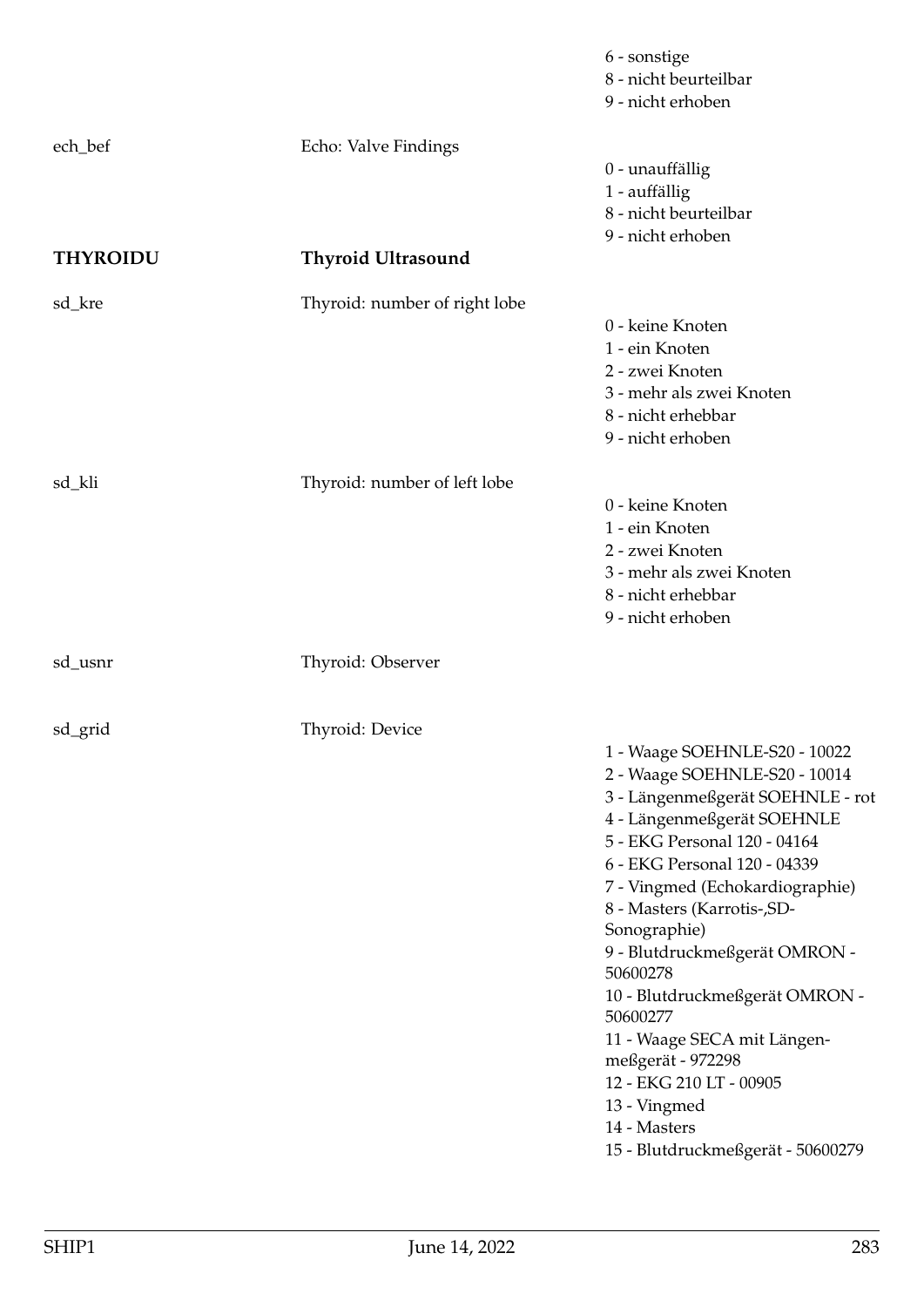|                            |                               | 6 - sonstige<br>8 - nicht beurteilbar<br>9 - nicht erhoben                                                                                                                                                                                                                                                                                                                                                                                                                                                                        |
|----------------------------|-------------------------------|-----------------------------------------------------------------------------------------------------------------------------------------------------------------------------------------------------------------------------------------------------------------------------------------------------------------------------------------------------------------------------------------------------------------------------------------------------------------------------------------------------------------------------------|
| ech_bef<br><b>THYROIDU</b> | Echo: Valve Findings          | 0 - unauffällig<br>1 - auffällig<br>8 - nicht beurteilbar<br>9 - nicht erhoben                                                                                                                                                                                                                                                                                                                                                                                                                                                    |
|                            | <b>Thyroid Ultrasound</b>     |                                                                                                                                                                                                                                                                                                                                                                                                                                                                                                                                   |
| sd_kre                     | Thyroid: number of right lobe | 0 - keine Knoten<br>1 - ein Knoten<br>2 - zwei Knoten<br>3 - mehr als zwei Knoten<br>8 - nicht erhebbar<br>9 - nicht erhoben                                                                                                                                                                                                                                                                                                                                                                                                      |
| sd_kli                     | Thyroid: number of left lobe  | 0 - keine Knoten<br>1 - ein Knoten<br>2 - zwei Knoten<br>3 - mehr als zwei Knoten<br>8 - nicht erhebbar<br>9 - nicht erhoben                                                                                                                                                                                                                                                                                                                                                                                                      |
| sd_usnr                    | Thyroid: Observer             |                                                                                                                                                                                                                                                                                                                                                                                                                                                                                                                                   |
| sd_grid                    | Thyroid: Device               | 1 - Waage SOEHNLE-S20 - 10022<br>2 - Waage SOEHNLE-S20 - 10014<br>3 - Längenmeßgerät SOEHNLE - rot<br>4 - Längenmeßgerät SOEHNLE<br>5 - EKG Personal 120 - 04164<br>6 - EKG Personal 120 - 04339<br>7 - Vingmed (Echokardiographie)<br>8 - Masters (Karrotis-, SD-<br>Sonographie)<br>9 - Blutdruckmeßgerät OMRON -<br>50600278<br>10 - Blutdruckmeßgerät OMRON -<br>50600277<br>11 - Waage SECA mit Längen-<br>meßgerät - 972298<br>12 - EKG 210 LT - 00905<br>13 - Vingmed<br>14 - Masters<br>15 - Blutdruckmeßgerät - 50600279 |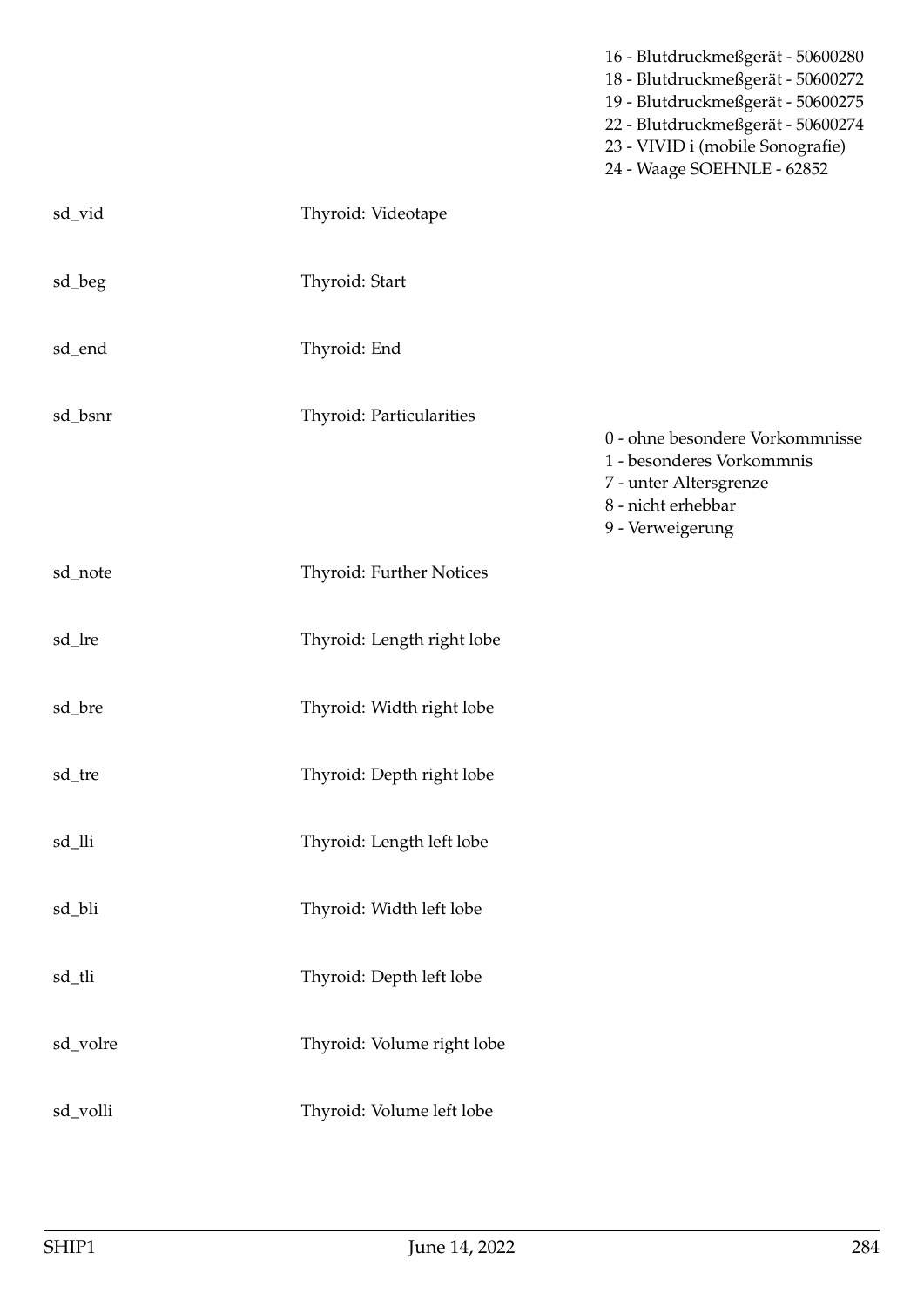|          |                            | 16 - Blutdruckmeßgerät - 50600280<br>18 - Blutdruckmeßgerät - 50600272<br>19 - Blutdruckmeßgerät - 50600275<br>22 - Blutdruckmeßgerät - 50600274<br>23 - VIVID i (mobile Sonografie)<br>24 - Waage SOEHNLE - 62852 |
|----------|----------------------------|--------------------------------------------------------------------------------------------------------------------------------------------------------------------------------------------------------------------|
| sd_vid   | Thyroid: Videotape         |                                                                                                                                                                                                                    |
| sd_beg   | Thyroid: Start             |                                                                                                                                                                                                                    |
| sd_end   | Thyroid: End               |                                                                                                                                                                                                                    |
| sd_bsnr  | Thyroid: Particularities   | 0 - ohne besondere Vorkommnisse<br>1 - besonderes Vorkommnis<br>7 - unter Altersgrenze<br>8 - nicht erhebbar<br>9 - Verweigerung                                                                                   |
| sd_note  | Thyroid: Further Notices   |                                                                                                                                                                                                                    |
| sd_lre   | Thyroid: Length right lobe |                                                                                                                                                                                                                    |
| sd_bre   | Thyroid: Width right lobe  |                                                                                                                                                                                                                    |
| sd_tre   | Thyroid: Depth right lobe  |                                                                                                                                                                                                                    |
| sd_lli   | Thyroid: Length left lobe  |                                                                                                                                                                                                                    |
| sd_bli   | Thyroid: Width left lobe   |                                                                                                                                                                                                                    |
| sd_tli   | Thyroid: Depth left lobe   |                                                                                                                                                                                                                    |
| sd_volre | Thyroid: Volume right lobe |                                                                                                                                                                                                                    |
| sd_volli | Thyroid: Volume left lobe  |                                                                                                                                                                                                                    |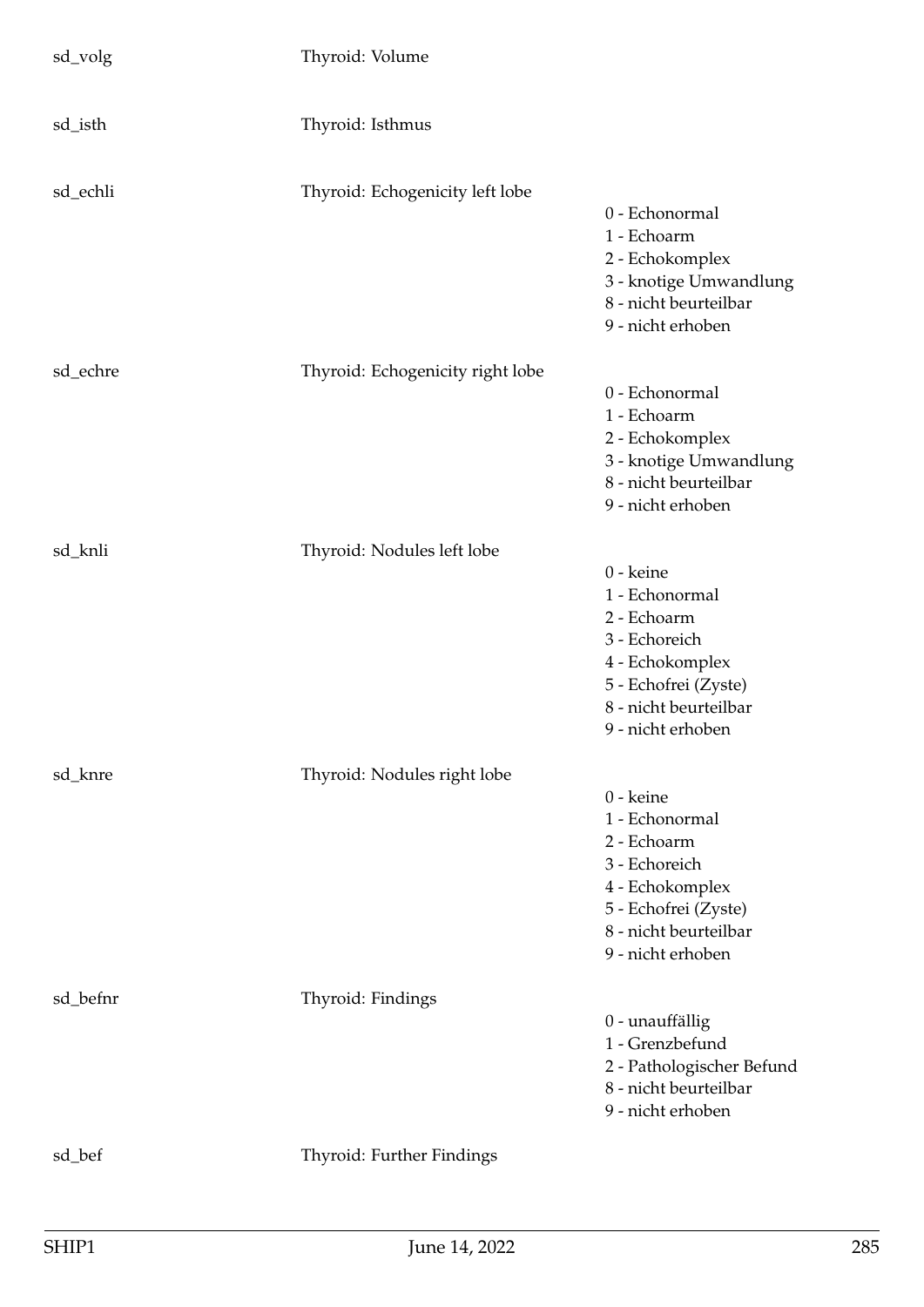| sd_volg  | Thyroid: Volume                  |                                                                                                                                                      |
|----------|----------------------------------|------------------------------------------------------------------------------------------------------------------------------------------------------|
| sd_isth  | Thyroid: Isthmus                 |                                                                                                                                                      |
| sd_echli | Thyroid: Echogenicity left lobe  | 0 - Echonormal<br>1 - Echoarm<br>2 - Echokomplex<br>3 - knotige Umwandlung<br>8 - nicht beurteilbar<br>9 - nicht erhoben                             |
| sd_echre | Thyroid: Echogenicity right lobe | 0 - Echonormal<br>1 - Echoarm<br>2 - Echokomplex<br>3 - knotige Umwandlung<br>8 - nicht beurteilbar<br>9 - nicht erhoben                             |
| sd_knli  | Thyroid: Nodules left lobe       | 0 - keine<br>1 - Echonormal<br>2 - Echoarm<br>3 - Echoreich<br>4 - Echokomplex<br>5 - Echofrei (Zyste)<br>8 - nicht beurteilbar<br>9 - nicht erhoben |
| sd_knre  | Thyroid: Nodules right lobe      | 0 - keine<br>1 - Echonormal<br>2 - Echoarm<br>3 - Echoreich<br>4 - Echokomplex<br>5 - Echofrei (Zyste)<br>8 - nicht beurteilbar<br>9 - nicht erhoben |
| sd_befnr | Thyroid: Findings                | 0 - unauffällig<br>1 - Grenzbefund<br>2 - Pathologischer Befund<br>8 - nicht beurteilbar<br>9 - nicht erhoben                                        |
| sd_bef   | Thyroid: Further Findings        |                                                                                                                                                      |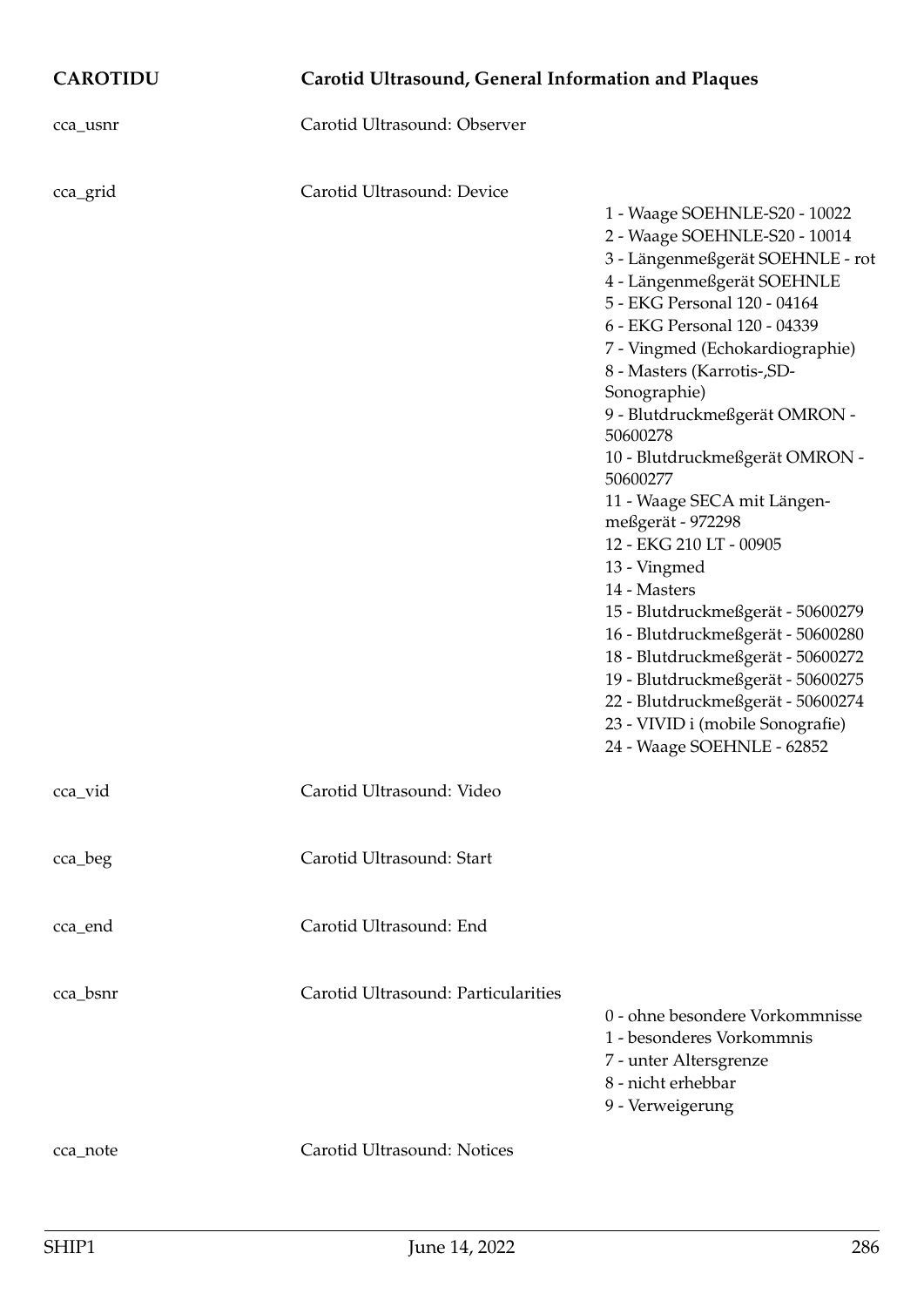| <b>CAROTIDU</b> | Carotid Ultrasound, General Information and Plaques |                                                                                                                                                                                                                                                                                                                                                                                                                                                                                                                                                                                                                                                                                                                                                         |
|-----------------|-----------------------------------------------------|---------------------------------------------------------------------------------------------------------------------------------------------------------------------------------------------------------------------------------------------------------------------------------------------------------------------------------------------------------------------------------------------------------------------------------------------------------------------------------------------------------------------------------------------------------------------------------------------------------------------------------------------------------------------------------------------------------------------------------------------------------|
| cca_usnr        | Carotid Ultrasound: Observer                        |                                                                                                                                                                                                                                                                                                                                                                                                                                                                                                                                                                                                                                                                                                                                                         |
| cca_grid        | Carotid Ultrasound: Device                          | 1 - Waage SOEHNLE-S20 - 10022<br>2 - Waage SOEHNLE-S20 - 10014<br>3 - Längenmeßgerät SOEHNLE - rot<br>4 - Längenmeßgerät SOEHNLE<br>5 - EKG Personal 120 - 04164<br>6 - EKG Personal 120 - 04339<br>7 - Vingmed (Echokardiographie)<br>8 - Masters (Karrotis-, SD-<br>Sonographie)<br>9 - Blutdruckmeßgerät OMRON -<br>50600278<br>10 - Blutdruckmeßgerät OMRON -<br>50600277<br>11 - Waage SECA mit Längen-<br>meßgerät - 972298<br>12 - EKG 210 LT - 00905<br>13 - Vingmed<br>14 - Masters<br>15 - Blutdruckmeßgerät - 50600279<br>16 - Blutdruckmeßgerät - 50600280<br>18 - Blutdruckmeßgerät - 50600272<br>19 - Blutdruckmeßgerät - 50600275<br>22 - Blutdruckmeßgerät - 50600274<br>23 - VIVID i (mobile Sonografie)<br>24 - Waage SOEHNLE - 62852 |
| cca_vid         | Carotid Ultrasound: Video                           |                                                                                                                                                                                                                                                                                                                                                                                                                                                                                                                                                                                                                                                                                                                                                         |
| cca_beg         | Carotid Ultrasound: Start                           |                                                                                                                                                                                                                                                                                                                                                                                                                                                                                                                                                                                                                                                                                                                                                         |
| cca_end         | Carotid Ultrasound: End                             |                                                                                                                                                                                                                                                                                                                                                                                                                                                                                                                                                                                                                                                                                                                                                         |
| cca_bsnr        | Carotid Ultrasound: Particularities                 | 0 - ohne besondere Vorkommnisse<br>1 - besonderes Vorkommnis<br>7 - unter Altersgrenze<br>8 - nicht erhebbar<br>9 - Verweigerung                                                                                                                                                                                                                                                                                                                                                                                                                                                                                                                                                                                                                        |
| cca_note        | Carotid Ultrasound: Notices                         |                                                                                                                                                                                                                                                                                                                                                                                                                                                                                                                                                                                                                                                                                                                                                         |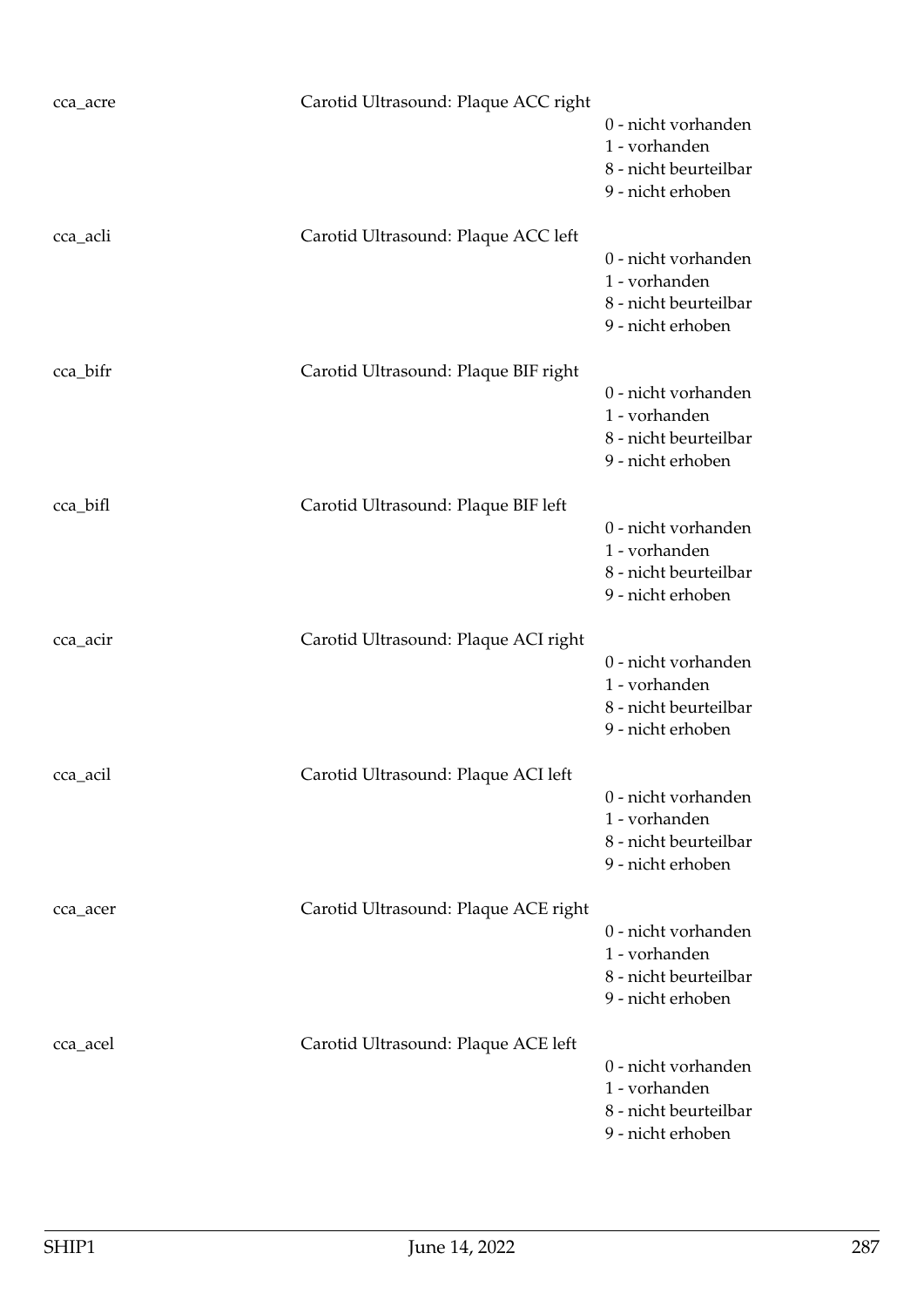| cca_acre | Carotid Ultrasound: Plaque ACC right | 0 - nicht vorhanden<br>1 - vorhanden<br>8 - nicht beurteilbar<br>9 - nicht erhoben |
|----------|--------------------------------------|------------------------------------------------------------------------------------|
| cca_acli | Carotid Ultrasound: Plaque ACC left  | 0 - nicht vorhanden<br>1 - vorhanden<br>8 - nicht beurteilbar<br>9 - nicht erhoben |
| cca_bifr | Carotid Ultrasound: Plaque BIF right | 0 - nicht vorhanden<br>1 - vorhanden<br>8 - nicht beurteilbar<br>9 - nicht erhoben |
| cca_bifl | Carotid Ultrasound: Plaque BIF left  | 0 - nicht vorhanden<br>1 - vorhanden<br>8 - nicht beurteilbar<br>9 - nicht erhoben |
| cca_acir | Carotid Ultrasound: Plaque ACI right | 0 - nicht vorhanden<br>1 - vorhanden<br>8 - nicht beurteilbar<br>9 - nicht erhoben |
| cca_acil | Carotid Ultrasound: Plaque ACI left  | 0 - nicht vorhanden<br>1 - vorhanden<br>8 - nicht beurteilbar<br>9 - nicht erhoben |
| cca_acer | Carotid Ultrasound: Plaque ACE right | 0 - nicht vorhanden<br>1 - vorhanden<br>8 - nicht beurteilbar<br>9 - nicht erhoben |
| cca_acel | Carotid Ultrasound: Plaque ACE left  | 0 - nicht vorhanden<br>1 - vorhanden<br>8 - nicht beurteilbar<br>9 - nicht erhoben |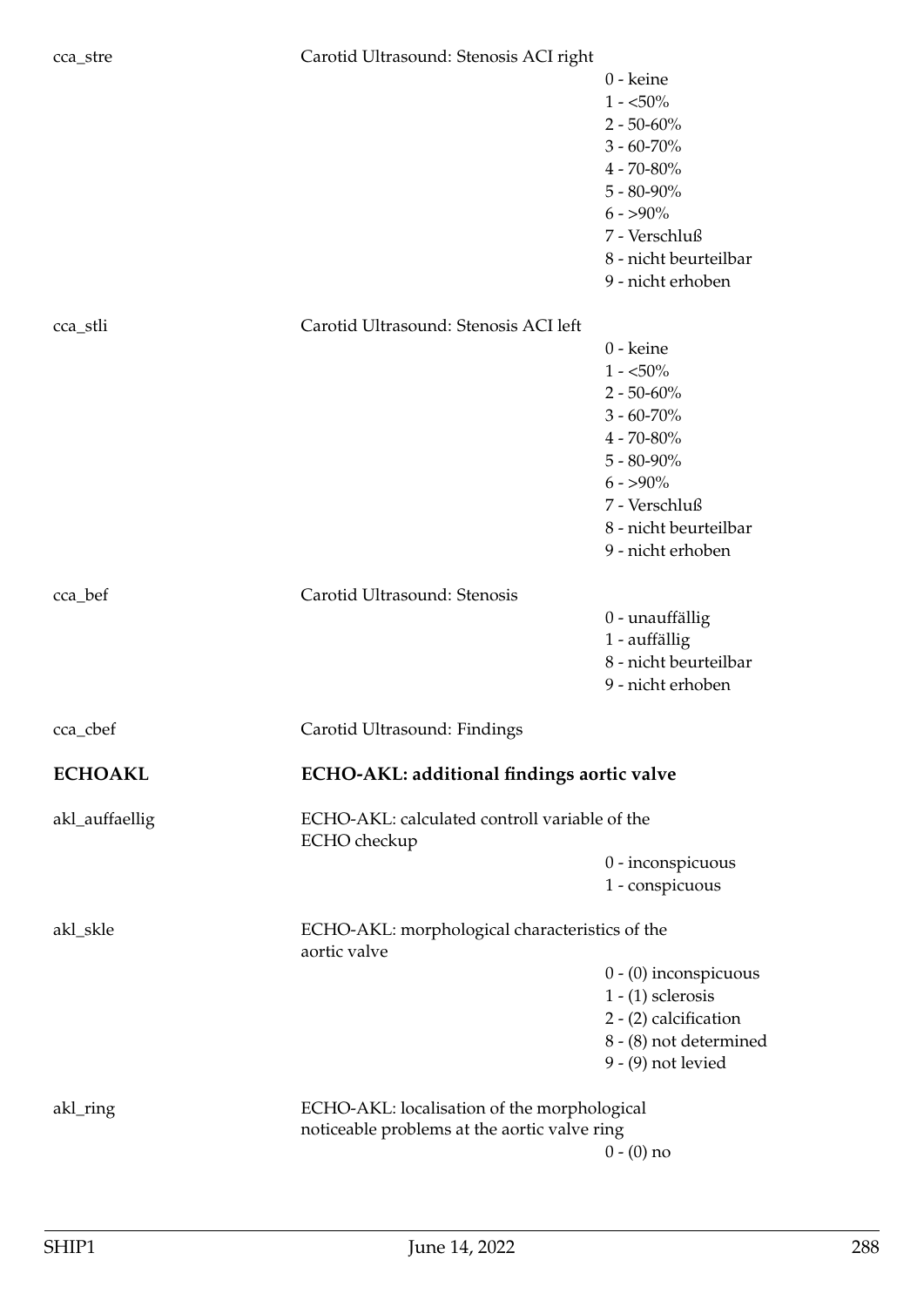## cca\_stre Carotid Ultrasound: Stenosis ACI right

|                |                                                                | 0 - keine<br>$1 - 50\%$<br>$2 - 50 - 60\%$<br>$3 - 60 - 70\%$<br>$4 - 70 - 80\%$<br>$5 - 80 - 90\%$<br>$6 - 590\%$<br>7 - Verschluß<br>8 - nicht beurteilbar<br>9 - nicht erhoben |
|----------------|----------------------------------------------------------------|-----------------------------------------------------------------------------------------------------------------------------------------------------------------------------------|
| cca_stli       | Carotid Ultrasound: Stenosis ACI left                          |                                                                                                                                                                                   |
|                |                                                                | 0 - keine                                                                                                                                                                         |
|                |                                                                | $1 - 50\%$                                                                                                                                                                        |
|                |                                                                | $2 - 50 - 60\%$                                                                                                                                                                   |
|                |                                                                | $3 - 60 - 70\%$                                                                                                                                                                   |
|                |                                                                | $4 - 70 - 80\%$<br>$5 - 80 - 90\%$                                                                                                                                                |
|                |                                                                | $6 - 590\%$                                                                                                                                                                       |
|                |                                                                | 7 - Verschluß                                                                                                                                                                     |
|                |                                                                | 8 - nicht beurteilbar                                                                                                                                                             |
|                |                                                                | 9 - nicht erhoben                                                                                                                                                                 |
| cca_bef        | Carotid Ultrasound: Stenosis                                   |                                                                                                                                                                                   |
|                |                                                                | 0 - unauffällig                                                                                                                                                                   |
|                |                                                                | 1 - auffällig                                                                                                                                                                     |
|                |                                                                | 8 - nicht beurteilbar                                                                                                                                                             |
|                |                                                                | 9 - nicht erhoben                                                                                                                                                                 |
| cca_cbef       | Carotid Ultrasound: Findings                                   |                                                                                                                                                                                   |
| <b>ECHOAKL</b> | ECHO-AKL: additional findings aortic valve                     |                                                                                                                                                                                   |
| akl_auffaellig | ECHO-AKL: calculated controll variable of the<br>ECHO checkup  |                                                                                                                                                                                   |
|                |                                                                | 0 - inconspicuous                                                                                                                                                                 |
|                |                                                                | 1 - conspicuous                                                                                                                                                                   |
| akl_skle       | ECHO-AKL: morphological characteristics of the<br>aortic valve |                                                                                                                                                                                   |
|                |                                                                | $0 - (0)$ inconspicuous                                                                                                                                                           |
|                |                                                                | $1 - (1)$ sclerosis                                                                                                                                                               |
|                |                                                                | 2 - (2) calcification                                                                                                                                                             |
|                |                                                                | 8 - (8) not determined<br>$9 - (9)$ not levied                                                                                                                                    |
|                |                                                                |                                                                                                                                                                                   |
| akl_ring       | ECHO-AKL: localisation of the morphological                    |                                                                                                                                                                                   |
|                | noticeable problems at the aortic valve ring                   |                                                                                                                                                                                   |
|                |                                                                | $0 - (0)$ no                                                                                                                                                                      |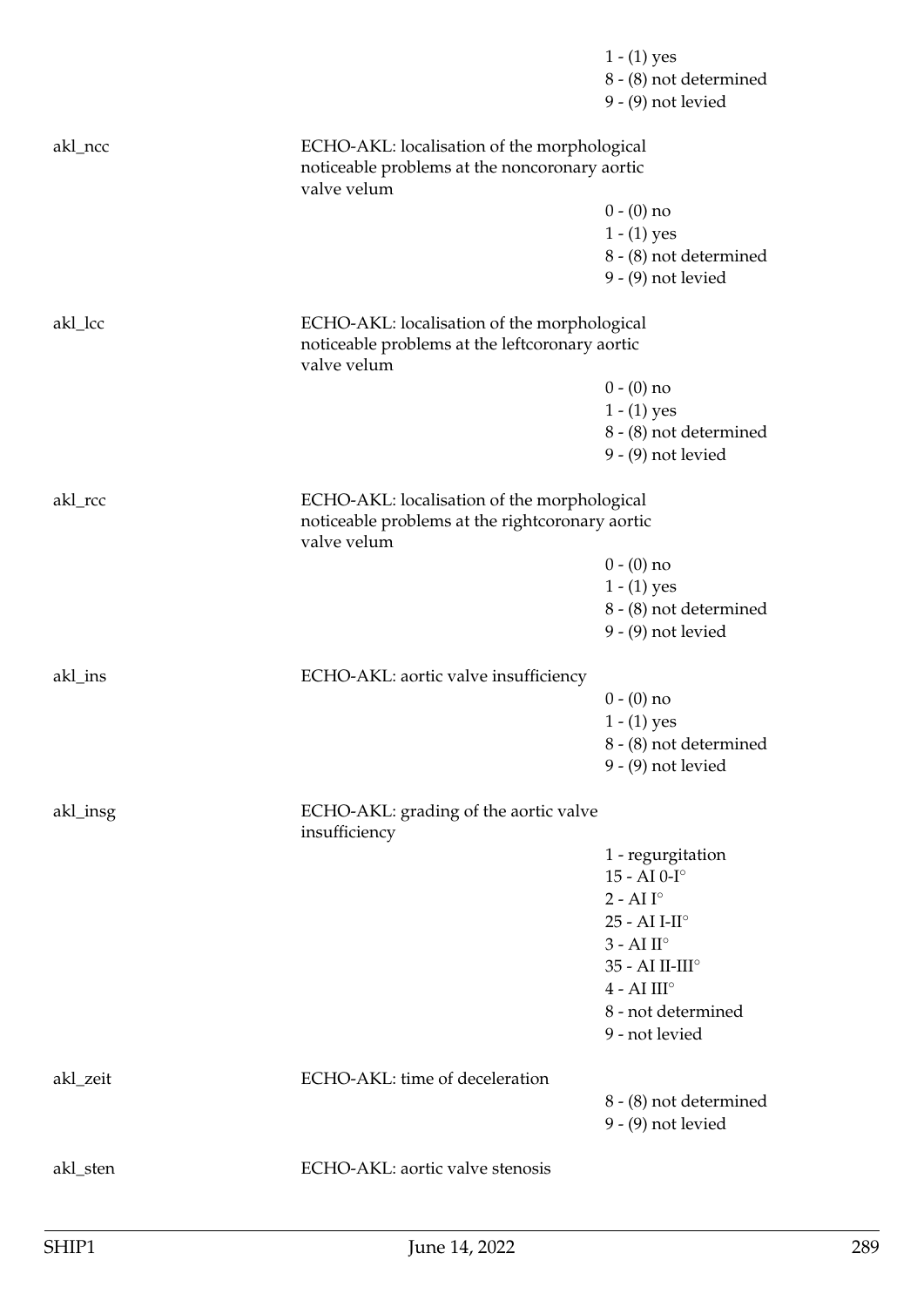|          |                                                                                                               | $1 - (1)$ yes                                  |
|----------|---------------------------------------------------------------------------------------------------------------|------------------------------------------------|
|          |                                                                                                               | 8 - (8) not determined                         |
|          |                                                                                                               | $9 - (9)$ not levied                           |
| akl_ncc  | ECHO-AKL: localisation of the morphological                                                                   |                                                |
|          | noticeable problems at the noncoronary aortic<br>valve velum                                                  |                                                |
|          |                                                                                                               | $0 - (0)$ no                                   |
|          |                                                                                                               | $1 - (1)$ yes                                  |
|          |                                                                                                               | 8 - (8) not determined<br>$9 - (9)$ not levied |
| akl_lcc  | ECHO-AKL: localisation of the morphological                                                                   |                                                |
|          | noticeable problems at the leftcoronary aortic<br>valve velum                                                 |                                                |
|          |                                                                                                               | $0 - (0)$ no                                   |
|          |                                                                                                               | $1 - (1)$ yes                                  |
|          |                                                                                                               | 8 - (8) not determined                         |
|          |                                                                                                               | $9 - (9)$ not levied                           |
| akl_rcc  | ECHO-AKL: localisation of the morphological<br>noticeable problems at the rightcoronary aortic<br>valve velum |                                                |
|          |                                                                                                               | $0 - (0)$ no                                   |
|          |                                                                                                               | $1 - (1)$ yes                                  |
|          |                                                                                                               | 8 - (8) not determined                         |
|          |                                                                                                               | $9 - (9)$ not levied                           |
| akl_ins  | ECHO-AKL: aortic valve insufficiency                                                                          |                                                |
|          |                                                                                                               | $0 - (0)$ no                                   |
|          |                                                                                                               | $1 - (1)$ yes                                  |
|          |                                                                                                               | 8 - (8) not determined<br>$9 - (9)$ not levied |
| akl_insg | ECHO-AKL: grading of the aortic valve                                                                         |                                                |
|          | insufficiency                                                                                                 |                                                |
|          |                                                                                                               | 1 - regurgitation                              |
|          |                                                                                                               | 15 - AI $0$ -I $^{\circ}$                      |
|          |                                                                                                               | $2 - AII^\circ$                                |
|          |                                                                                                               | $25 - AI I-II^{\circ}$                         |
|          |                                                                                                               | $3 - AI II^\circ$                              |
|          |                                                                                                               | 35 - AI II-III°<br>$4 - AI III^\circ$          |
|          |                                                                                                               | 8 - not determined                             |
|          |                                                                                                               | 9 - not levied                                 |
| akl_zeit | ECHO-AKL: time of deceleration                                                                                |                                                |
|          |                                                                                                               | 8 - (8) not determined                         |
|          |                                                                                                               | $9 - (9)$ not levied                           |
| akl_sten | ECHO-AKL: aortic valve stenosis                                                                               |                                                |
|          |                                                                                                               |                                                |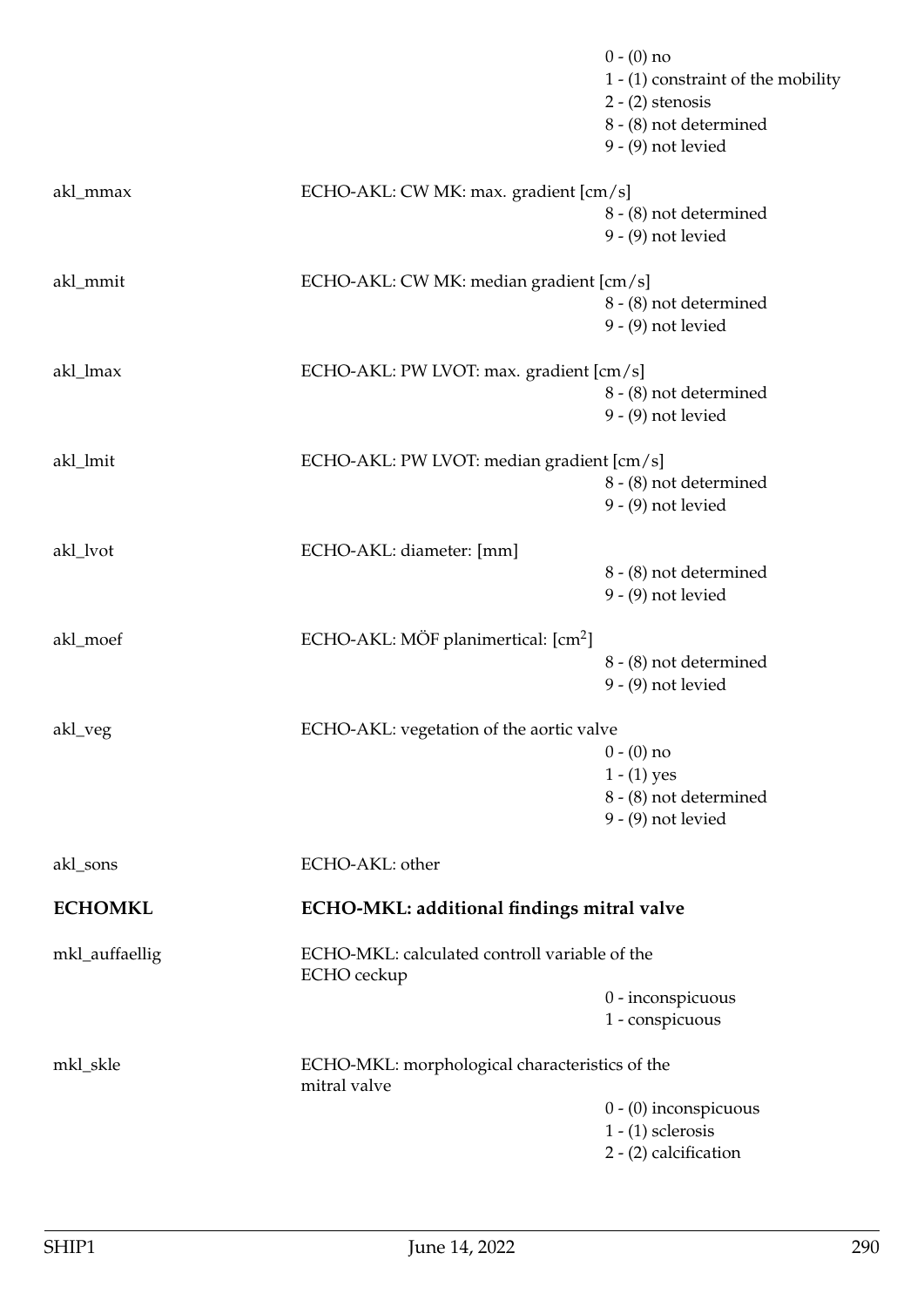|                |                                                                | $0 - (0)$ no<br>1 - (1) constraint of the mobility<br>$2 - (2)$ stenosis<br>8 - (8) not determined<br>$9 - (9)$ not levied |
|----------------|----------------------------------------------------------------|----------------------------------------------------------------------------------------------------------------------------|
| akl_mmax       | ECHO-AKL: CW MK: max. gradient [cm/s]                          | 8 - (8) not determined<br>$9 - (9)$ not levied                                                                             |
| akl_mmit       | ECHO-AKL: CW MK: median gradient [cm/s]                        | 8 - (8) not determined<br>$9 - (9)$ not levied                                                                             |
| akl_lmax       | ECHO-AKL: PW LVOT: max. gradient [cm/s]                        | 8 - (8) not determined<br>$9 - (9)$ not levied                                                                             |
| akl_lmit       | ECHO-AKL: PW LVOT: median gradient [cm/s]                      | 8 - (8) not determined<br>$9 - (9)$ not levied                                                                             |
| akl_lvot       | ECHO-AKL: diameter: [mm]                                       | 8 - (8) not determined<br>$9 - (9)$ not levied                                                                             |
| akl_moef       | ECHO-AKL: MÖF planimertical: [cm <sup>2</sup> ]                | 8 - (8) not determined<br>$9 - (9)$ not levied                                                                             |
| akl_veg        | ECHO-AKL: vegetation of the aortic valve                       | $0 - (0)$ no<br>$1 - (1)$ yes<br>8 - (8) not determined<br>$9 - (9)$ not levied                                            |
| akl_sons       | ECHO-AKL: other                                                |                                                                                                                            |
| <b>ECHOMKL</b> | ECHO-MKL: additional findings mitral valve                     |                                                                                                                            |
| mkl_auffaellig | ECHO-MKL: calculated controll variable of the<br>ECHO ceckup   | 0 - inconspicuous<br>1 - conspicuous                                                                                       |
| mkl_skle       | ECHO-MKL: morphological characteristics of the<br>mitral valve | $0 - (0)$ inconspicuous<br>$1 - (1)$ sclerosis<br>2 - (2) calcification                                                    |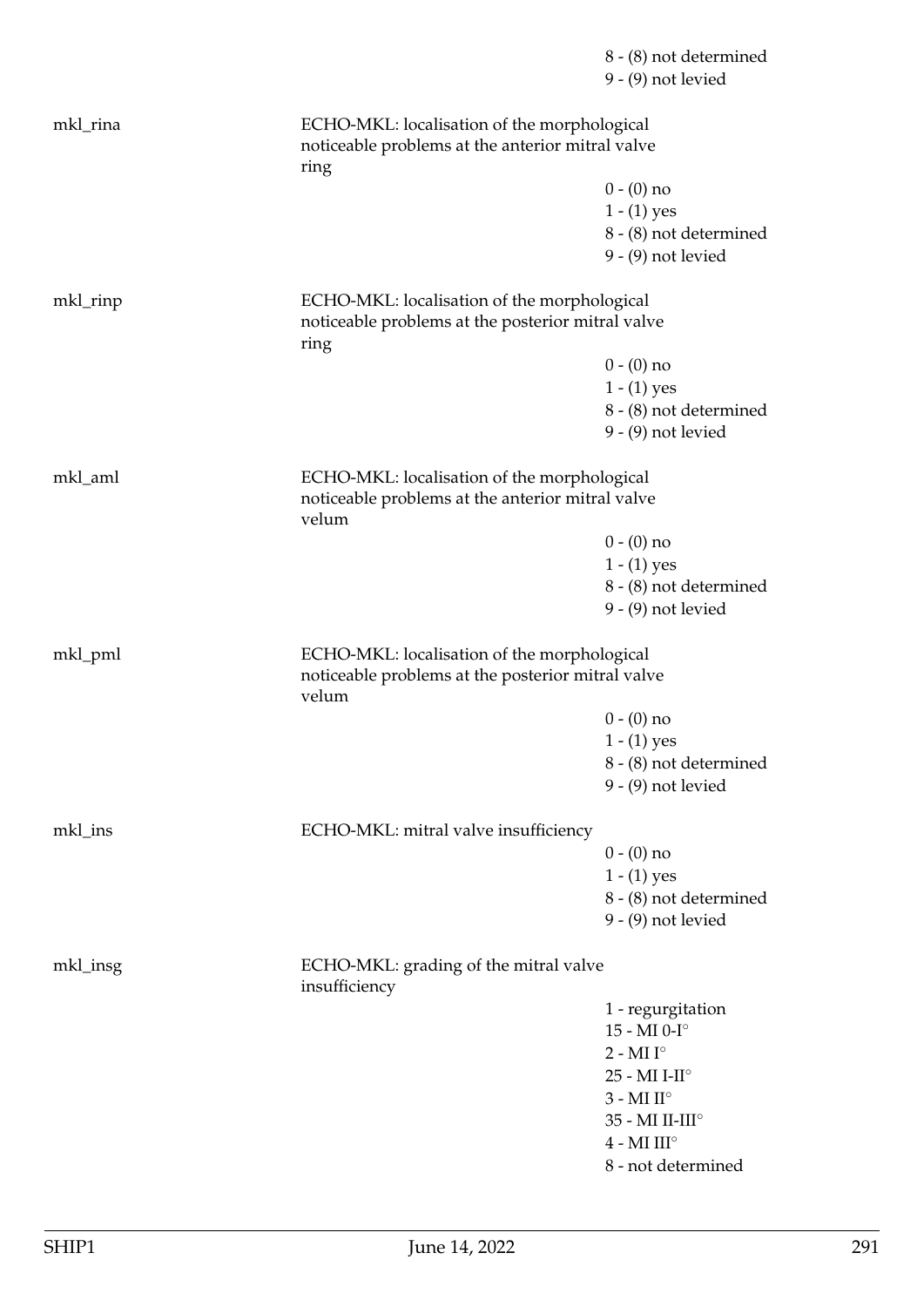|          |                                                                                                           | 8 - (8) not determined<br>$9 - (9)$ not levied |
|----------|-----------------------------------------------------------------------------------------------------------|------------------------------------------------|
| mkl_rina | ECHO-MKL: localisation of the morphological<br>noticeable problems at the anterior mitral valve<br>ring   |                                                |
|          |                                                                                                           | $0 - (0)$ no                                   |
|          |                                                                                                           | $1 - (1)$ yes                                  |
|          |                                                                                                           | 8 - (8) not determined                         |
|          |                                                                                                           | $9 - (9)$ not levied                           |
| mkl_rinp | ECHO-MKL: localisation of the morphological<br>noticeable problems at the posterior mitral valve<br>ring  |                                                |
|          |                                                                                                           | $0 - (0)$ no                                   |
|          |                                                                                                           | $1 - (1)$ yes                                  |
|          |                                                                                                           | 8 - (8) not determined                         |
|          |                                                                                                           | $9 - (9)$ not levied                           |
| mkl_aml  | ECHO-MKL: localisation of the morphological<br>noticeable problems at the anterior mitral valve<br>velum  |                                                |
|          |                                                                                                           | $0 - (0)$ no                                   |
|          |                                                                                                           | $1 - (1)$ yes                                  |
|          |                                                                                                           | 8 - (8) not determined                         |
|          |                                                                                                           | $9 - (9)$ not levied                           |
| mkl_pml  | ECHO-MKL: localisation of the morphological<br>noticeable problems at the posterior mitral valve<br>velum |                                                |
|          |                                                                                                           | $0 - (0)$ no                                   |
|          |                                                                                                           | $1 - (1)$ yes                                  |
|          |                                                                                                           | 8 - (8) not determined                         |
|          |                                                                                                           | $9 - (9)$ not levied                           |
| mkl_ins  | ECHO-MKL: mitral valve insufficiency                                                                      |                                                |
|          |                                                                                                           | $0 - (0)$ no                                   |
|          |                                                                                                           | $1 - (1)$ yes                                  |
|          |                                                                                                           | 8 - (8) not determined<br>$9 - (9)$ not levied |
| mkl_insg | ECHO-MKL: grading of the mitral valve<br>insufficiency                                                    |                                                |
|          |                                                                                                           | 1 - regurgitation                              |
|          |                                                                                                           | $15 - MI$ $0-I^\circ$                          |
|          |                                                                                                           | $2$ - MI $\mathrm{I}^\circ$                    |
|          |                                                                                                           | $25$ - MI I-II <sup>o</sup>                    |
|          |                                                                                                           | $3$ - MI $\mathrm{II}^\circ$                   |
|          |                                                                                                           | 35 - MI II-III°                                |
|          |                                                                                                           | $4$ - MI III <sup>o</sup>                      |
|          |                                                                                                           | 8 - not determined                             |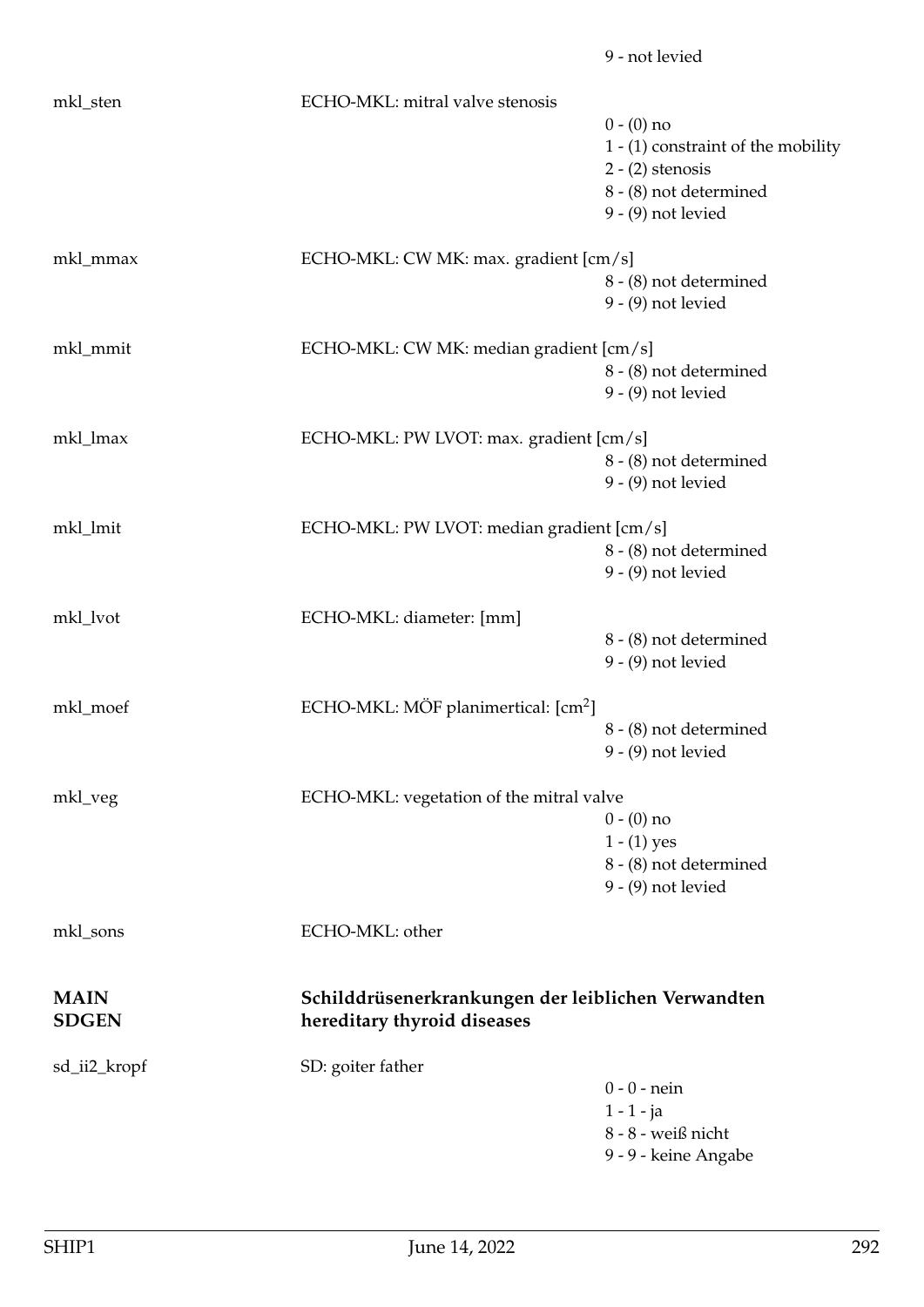|              |                                                 | 9 - not levied                                     |
|--------------|-------------------------------------------------|----------------------------------------------------|
| mkl_sten     | ECHO-MKL: mitral valve stenosis                 |                                                    |
|              |                                                 | $0 - (0)$ no                                       |
|              |                                                 | 1 - (1) constraint of the mobility                 |
|              |                                                 | $2 - (2)$ stenosis                                 |
|              |                                                 | 8 - (8) not determined                             |
|              |                                                 | $9 - (9)$ not levied                               |
|              |                                                 |                                                    |
| mkl_mmax     | ECHO-MKL: CW MK: max. gradient [cm/s]           |                                                    |
|              |                                                 | 8 - (8) not determined                             |
|              |                                                 | $9 - (9)$ not levied                               |
| mkl_mmit     | ECHO-MKL: CW MK: median gradient [cm/s]         |                                                    |
|              |                                                 | 8 - (8) not determined                             |
|              |                                                 | $9 - (9)$ not levied                               |
| mkl_lmax     | ECHO-MKL: PW LVOT: max. gradient [cm/s]         |                                                    |
|              |                                                 | 8 - (8) not determined                             |
|              |                                                 | $9 - (9)$ not levied                               |
|              |                                                 |                                                    |
| mkl_lmit     | ECHO-MKL: PW LVOT: median gradient [cm/s]       |                                                    |
|              |                                                 | 8 - (8) not determined                             |
|              |                                                 | $9 - (9)$ not levied                               |
| mkl_lvot     | ECHO-MKL: diameter: [mm]                        |                                                    |
|              |                                                 | 8 - (8) not determined                             |
|              |                                                 | $9 - (9)$ not levied                               |
|              |                                                 |                                                    |
| mkl_moef     | ECHO-MKL: MÖF planimertical: [cm <sup>2</sup> ] |                                                    |
|              |                                                 | 8 - (8) not determined                             |
|              |                                                 | $9 - (9)$ not levied                               |
| mkl_veg      | ECHO-MKL: vegetation of the mitral valve        |                                                    |
|              |                                                 | $0 - (0)$ no                                       |
|              |                                                 | $1 - (1)$ yes                                      |
|              |                                                 | 8 - (8) not determined                             |
|              |                                                 | $9 - (9)$ not levied                               |
| mkl_sons     | ECHO-MKL: other                                 |                                                    |
| <b>MAIN</b>  |                                                 | Schilddrüsenerkrankungen der leiblichen Verwandten |
| <b>SDGEN</b> | hereditary thyroid diseases                     |                                                    |
| sd_ii2_kropf | SD: goiter father                               |                                                    |
|              |                                                 | $0 - 0$ - nein                                     |
|              |                                                 | $1 - 1 - ja$                                       |
|              |                                                 | 8 - 8 - weiß nicht                                 |
|              |                                                 | 9 - 9 - keine Angabe                               |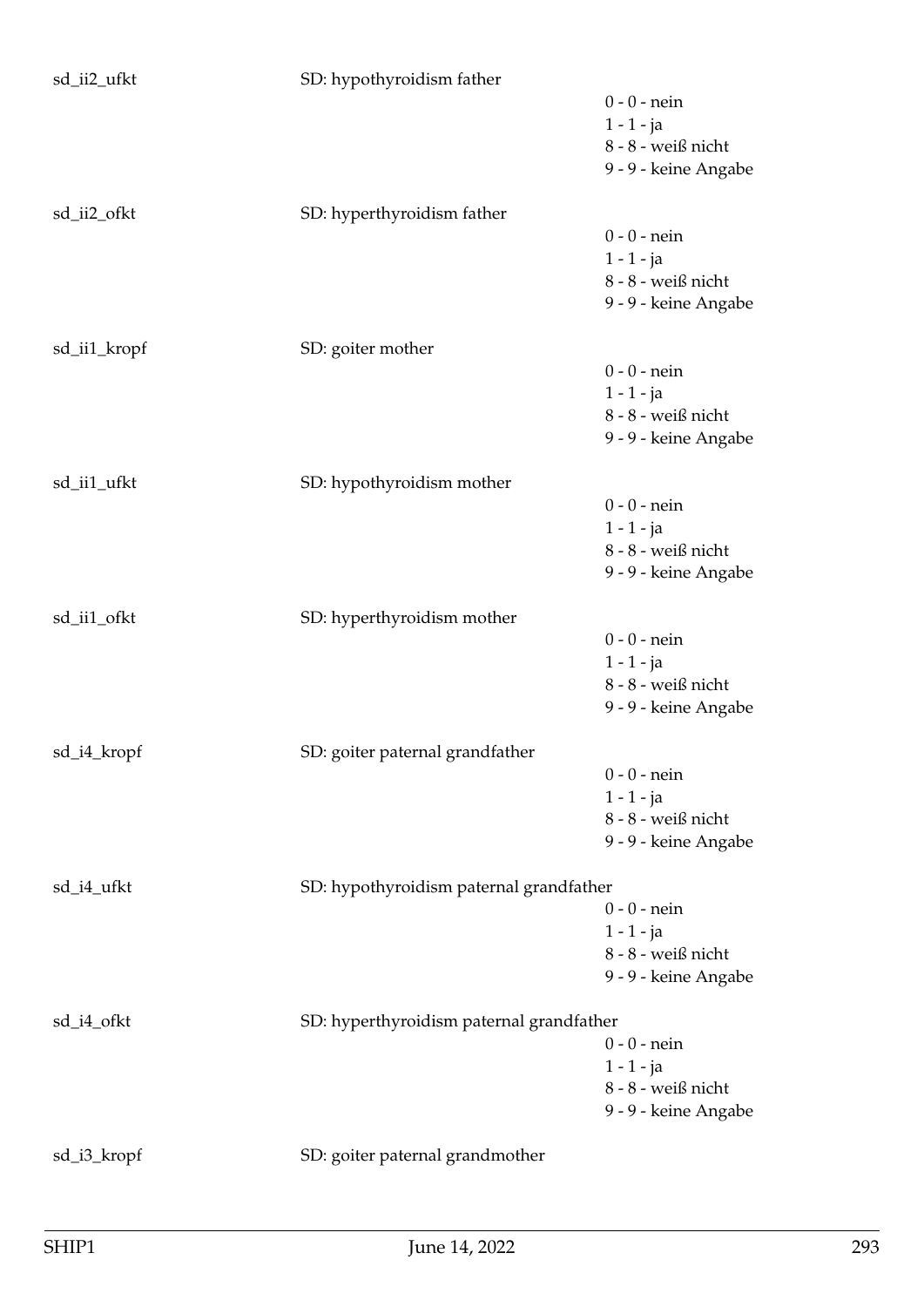| sd_ii2_ufkt                  | SD: hypothyroidism father                |                        |
|------------------------------|------------------------------------------|------------------------|
|                              |                                          | $0 - 0 -$ nein         |
|                              |                                          | $1 - 1 - ja$           |
|                              |                                          | 8 - 8 - weiß nicht     |
|                              |                                          | 9 - 9 - keine Angabe   |
|                              |                                          |                        |
| sd_ii2_ofkt                  | SD: hyperthyroidism father               |                        |
|                              |                                          | $0 - 0 -$ nein         |
|                              |                                          | $1 - 1 - ja$           |
|                              |                                          | 8 - 8 - weiß nicht     |
|                              |                                          | 9 - 9 - keine Angabe   |
| sd_ii1_kropf                 | SD: goiter mother                        |                        |
|                              |                                          | $0 - 0$ - nein         |
|                              |                                          | $1 - 1 - ja$           |
|                              |                                          | $8 - 8$ - weiß nicht   |
|                              |                                          | 9 - 9 - keine Angabe   |
|                              |                                          |                        |
| sd_ii1_ufkt                  | SD: hypothyroidism mother                |                        |
|                              |                                          | $0 - 0$ - nein         |
|                              |                                          | $1 - 1 - ja$           |
|                              |                                          | $8 - 8$ - weiß nicht   |
|                              |                                          | 9 - 9 - keine Angabe   |
| sd_ii1_ofkt                  | SD: hyperthyroidism mother               |                        |
|                              |                                          | $0 - 0$ - nein         |
|                              |                                          | $1 - 1 - ja$           |
|                              |                                          | $8$ - $8$ - weiß nicht |
|                              |                                          | 9 - 9 - keine Angabe   |
|                              |                                          |                        |
| $\mathop{\rm sd\_i4\_kropf}$ | SD: goiter paternal grandfather          | $0 - 0$ - nein         |
|                              |                                          | $1 - 1 - ja$           |
|                              |                                          | 8 - 8 - weiß nicht     |
|                              |                                          | 9 - 9 - keine Angabe   |
|                              |                                          |                        |
| sd_i4_ufkt                   | SD: hypothyroidism paternal grandfather  |                        |
|                              |                                          | $0 - 0$ - nein         |
|                              |                                          | $1 - 1 - ja$           |
|                              |                                          | 8 - 8 - weiß nicht     |
|                              |                                          | 9 - 9 - keine Angabe   |
| sd_i4_ofkt                   | SD: hyperthyroidism paternal grandfather |                        |
|                              |                                          | $0 - 0 -$ nein         |
|                              |                                          | $1 - 1 - ja$           |
|                              |                                          | 8 - 8 - weiß nicht     |
|                              |                                          | 9 - 9 - keine Angabe   |
|                              |                                          |                        |
| sd_i3_kropf                  | SD: goiter paternal grandmother          |                        |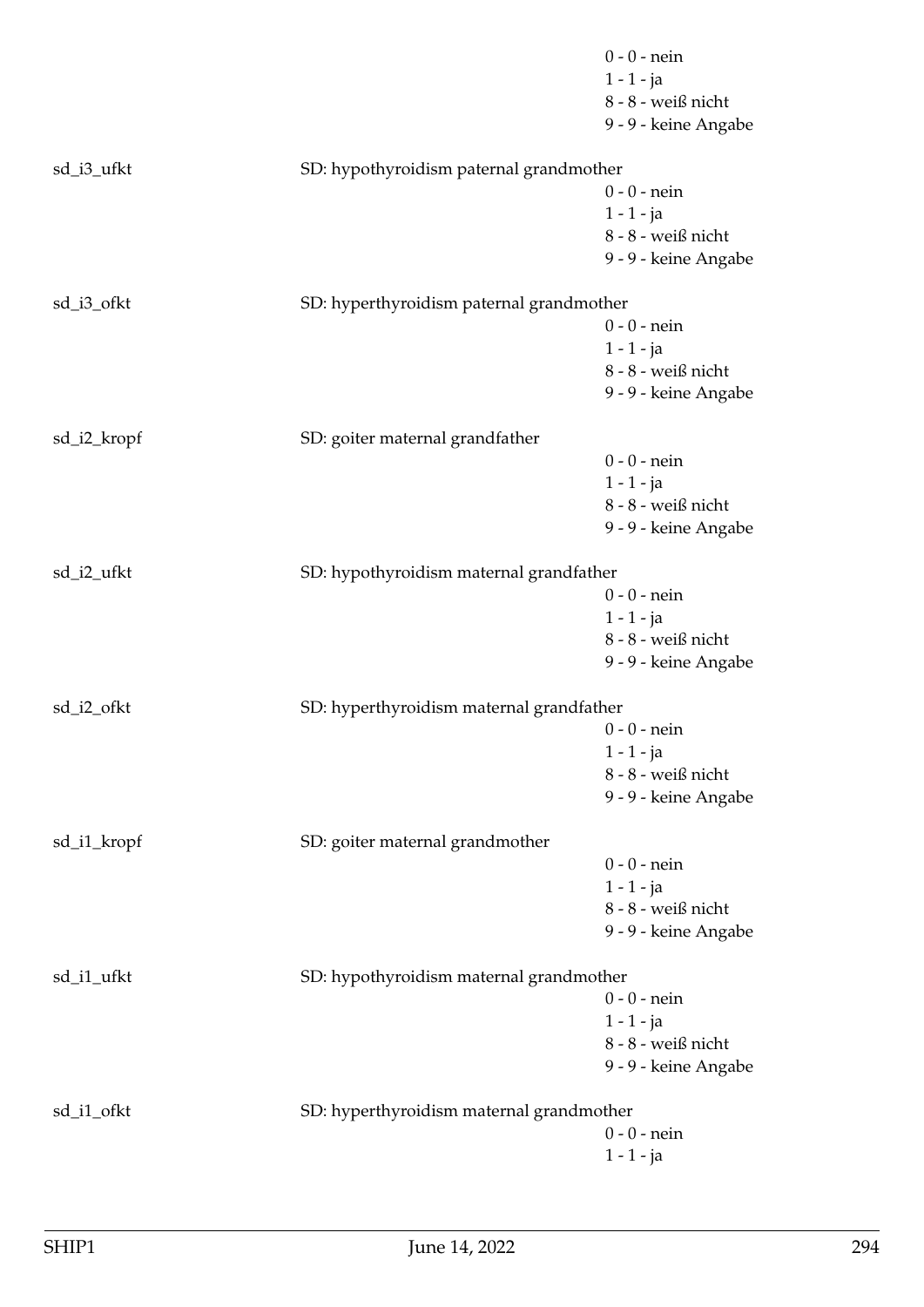|             |                                          | $0 - 0 -$ nein       |
|-------------|------------------------------------------|----------------------|
|             |                                          | $1 - 1 - ja$         |
|             |                                          | 8 - 8 - weiß nicht   |
|             |                                          | 9 - 9 - keine Angabe |
| sd_i3_ufkt  | SD: hypothyroidism paternal grandmother  |                      |
|             |                                          | $0 - 0$ - nein       |
|             |                                          | $1 - 1 - ja$         |
|             |                                          | 8 - 8 - weiß nicht   |
|             |                                          | 9 - 9 - keine Angabe |
| sd_i3_ofkt  | SD: hyperthyroidism paternal grandmother |                      |
|             |                                          | $0 - 0$ - nein       |
|             |                                          | $1 - 1 - ja$         |
|             |                                          | 8 - 8 - weiß nicht   |
|             |                                          | 9 - 9 - keine Angabe |
| sd_i2_kropf | SD: goiter maternal grandfather          |                      |
|             |                                          | $0 - 0$ - nein       |
|             |                                          | $1 - 1 - ja$         |
|             |                                          | 8 - 8 - weiß nicht   |
|             |                                          | 9 - 9 - keine Angabe |
| sd_i2_ufkt  | SD: hypothyroidism maternal grandfather  |                      |
|             |                                          | $0 - 0$ - nein       |
|             |                                          | $1 - 1 - ja$         |
|             |                                          | 8 - 8 - weiß nicht   |
|             |                                          | 9 - 9 - keine Angabe |
| sd_i2_ofkt  | SD: hyperthyroidism maternal grandfather |                      |
|             |                                          | $0 - 0$ - nein       |
|             |                                          | $1 - 1 - ja$         |
|             |                                          | 8 - 8 - weiß nicht   |
|             |                                          | 9 - 9 - keine Angabe |
| sd_i1_kropf | SD: goiter maternal grandmother          |                      |
|             |                                          | $0 - 0$ - nein       |
|             |                                          | $1 - 1 - ja$         |
|             |                                          | 8 - 8 - weiß nicht   |
|             |                                          | 9 - 9 - keine Angabe |
| sd_i1_ufkt  | SD: hypothyroidism maternal grandmother  |                      |
|             |                                          | $0 - 0$ - nein       |
|             |                                          | $1 - 1 - ja$         |
|             |                                          | 8 - 8 - weiß nicht   |
|             |                                          | 9 - 9 - keine Angabe |
| sd_i1_ofkt  | SD: hyperthyroidism maternal grandmother |                      |
|             |                                          | $0 - 0$ - nein       |
|             |                                          | $1 - 1 - ja$         |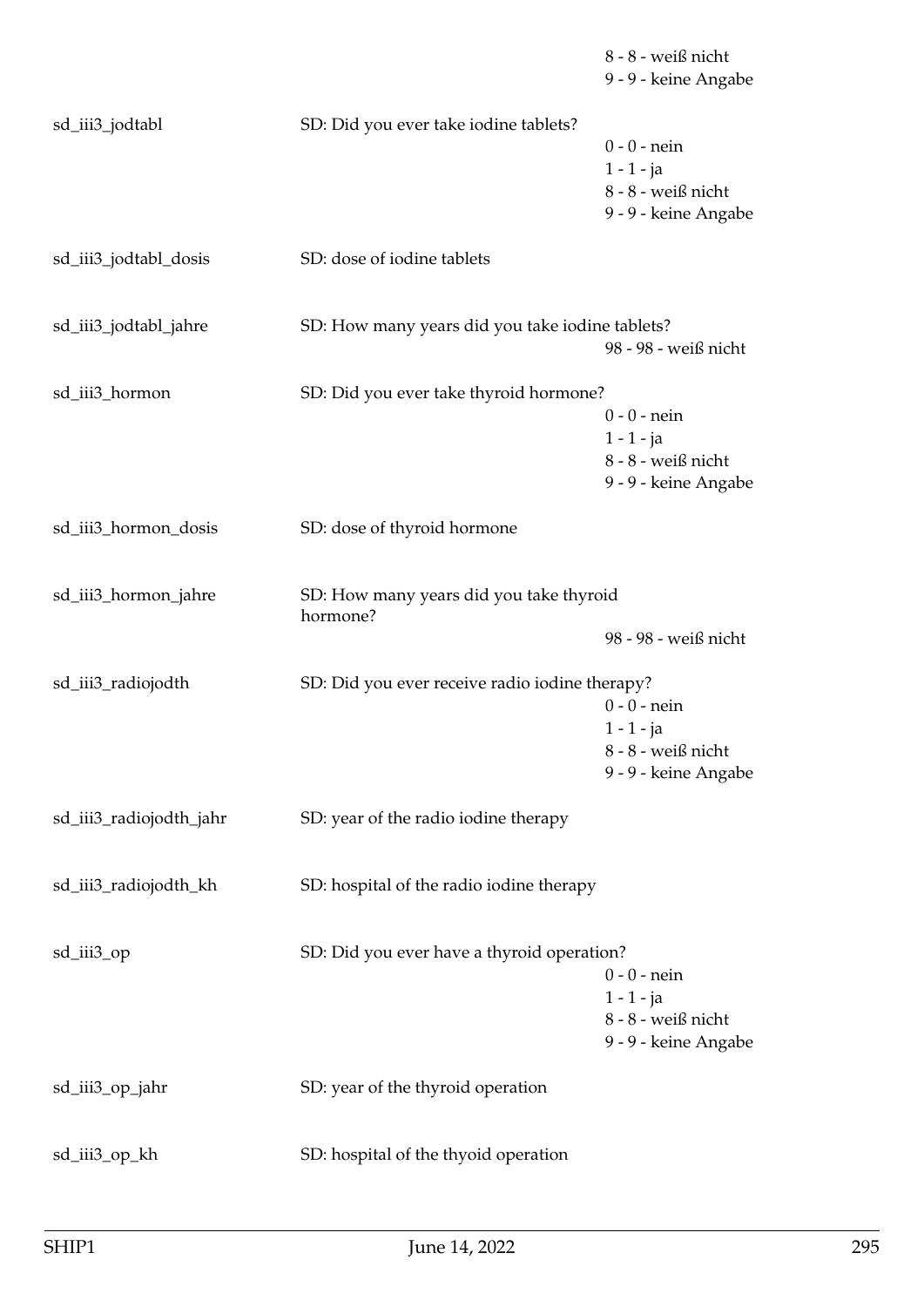|                         |                                                     | 8 - 8 - weiß nicht<br>9 - 9 - keine Angabe                                   |
|-------------------------|-----------------------------------------------------|------------------------------------------------------------------------------|
| sd_iii3_jodtabl         | SD: Did you ever take iodine tablets?               | $0 - 0$ - nein<br>$1 - 1 - ja$<br>8 - 8 - weiß nicht<br>9 - 9 - keine Angabe |
| sd_iii3_jodtabl_dosis   | SD: dose of iodine tablets                          |                                                                              |
| sd_iii3_jodtabl_jahre   | SD: How many years did you take iodine tablets?     | 98 - 98 - weiß nicht                                                         |
| sd_iii3_hormon          | SD: Did you ever take thyroid hormone?              | $0 - 0 -$ nein<br>$1 - 1 - ja$<br>8 - 8 - weiß nicht<br>9 - 9 - keine Angabe |
| sd_iii3_hormon_dosis    | SD: dose of thyroid hormone                         |                                                                              |
| sd_iii3_hormon_jahre    | SD: How many years did you take thyroid<br>hormone? | 98 - 98 - weiß nicht                                                         |
| sd_iii3_radiojodth      | SD: Did you ever receive radio iodine therapy?      | $0 - 0$ - nein<br>$1 - 1 - ja$<br>8 - 8 - weiß nicht<br>9 - 9 - keine Angabe |
| sd_iii3_radiojodth_jahr | SD: year of the radio iodine therapy                |                                                                              |
| sd_iii3_radiojodth_kh   | SD: hospital of the radio iodine therapy            |                                                                              |
| sd_iii3_op              | SD: Did you ever have a thyroid operation?          | $0 - 0$ - nein<br>$1 - 1 - ja$<br>8 - 8 - weiß nicht<br>9 - 9 - keine Angabe |
| sd_iii3_op_jahr         | SD: year of the thyroid operation                   |                                                                              |
| sd_iii3_op_kh           | SD: hospital of the thyoid operation                |                                                                              |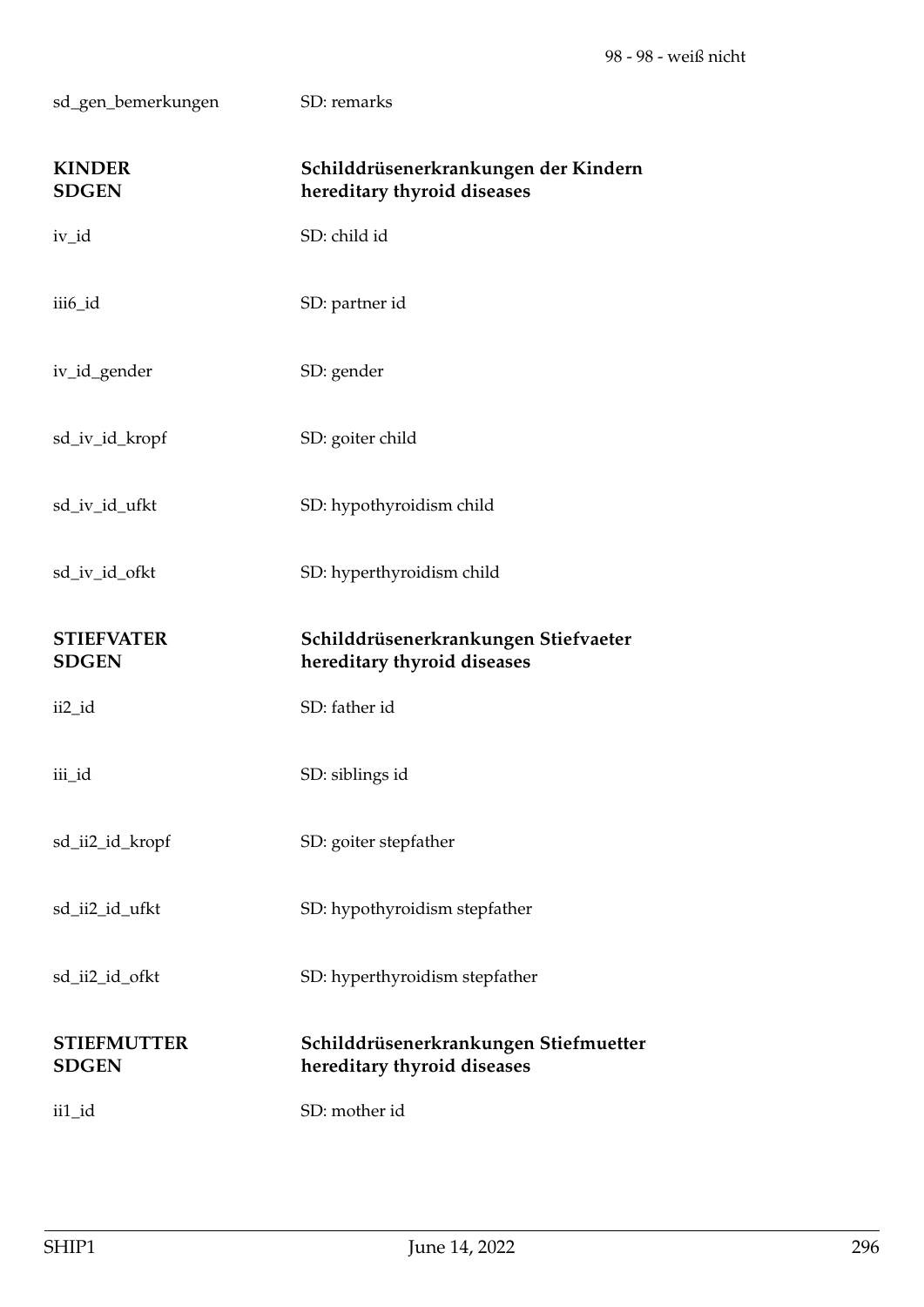sd\_gen\_bemerkungen SD: remarks **KINDER Schilddrüsenerkrankungen der Kindern SDGEN hereditary thyroid diseases** iv\_id SD: child id iii6\_id SD: partner id iv\_id\_gender SD: gender sd\_iv\_id\_kropf SD: goiter child sd\_iv\_id\_ufkt SD: hypothyroidism child sd\_iv\_id\_ofkt SD: hyperthyroidism child **STIEFVATER Schilddrüsenerkrankungen Stiefvaeter SDGEN hereditary thyroid diseases** ii2 id SD: father id iii\_id SD: siblings id sd\_ii2\_id\_kropf SD: goiter stepfather sd\_ii2\_id\_ufkt SD: hypothyroidism stepfather sd\_ii2\_id\_ofkt SD: hyperthyroidism stepfather **STIEFMUTTER Schilddrüsenerkrankungen Stiefmuetter SDGEN hereditary thyroid diseases**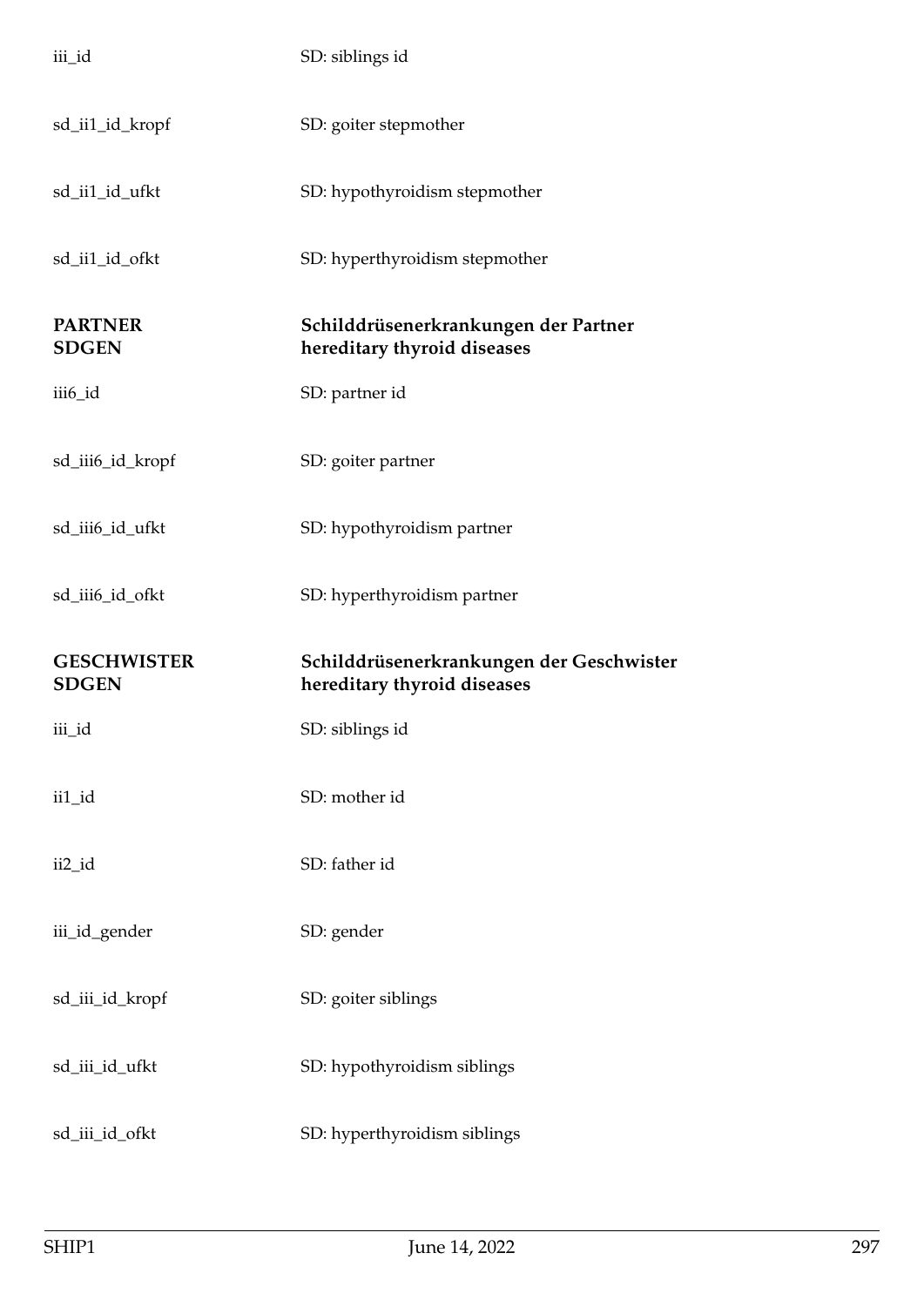| iii_id                             | SD: siblings id                                                         |
|------------------------------------|-------------------------------------------------------------------------|
| sd_ii1_id_kropf                    | SD: goiter stepmother                                                   |
| sd_ii1_id_ufkt                     | SD: hypothyroidism stepmother                                           |
| sd_ii1_id_ofkt                     | SD: hyperthyroidism stepmother                                          |
| <b>PARTNER</b><br><b>SDGEN</b>     | Schilddrüsenerkrankungen der Partner<br>hereditary thyroid diseases     |
| iii6_id                            | SD: partner id                                                          |
| sd_iii6_id_kropf                   | SD: goiter partner                                                      |
| sd_iii6_id_ufkt                    | SD: hypothyroidism partner                                              |
|                                    |                                                                         |
| sd_iii6_id_ofkt                    | SD: hyperthyroidism partner                                             |
| <b>GESCHWISTER</b><br><b>SDGEN</b> | Schilddrüsenerkrankungen der Geschwister<br>hereditary thyroid diseases |
| iii_id                             | SD: siblings id                                                         |
| ii1_id                             | SD: mother id                                                           |
| ii2_id                             | SD: father id                                                           |
| iii_id_gender                      | SD: gender                                                              |
| sd_iii_id_kropf                    | SD: goiter siblings                                                     |
| sd_iii_id_ufkt                     | SD: hypothyroidism siblings                                             |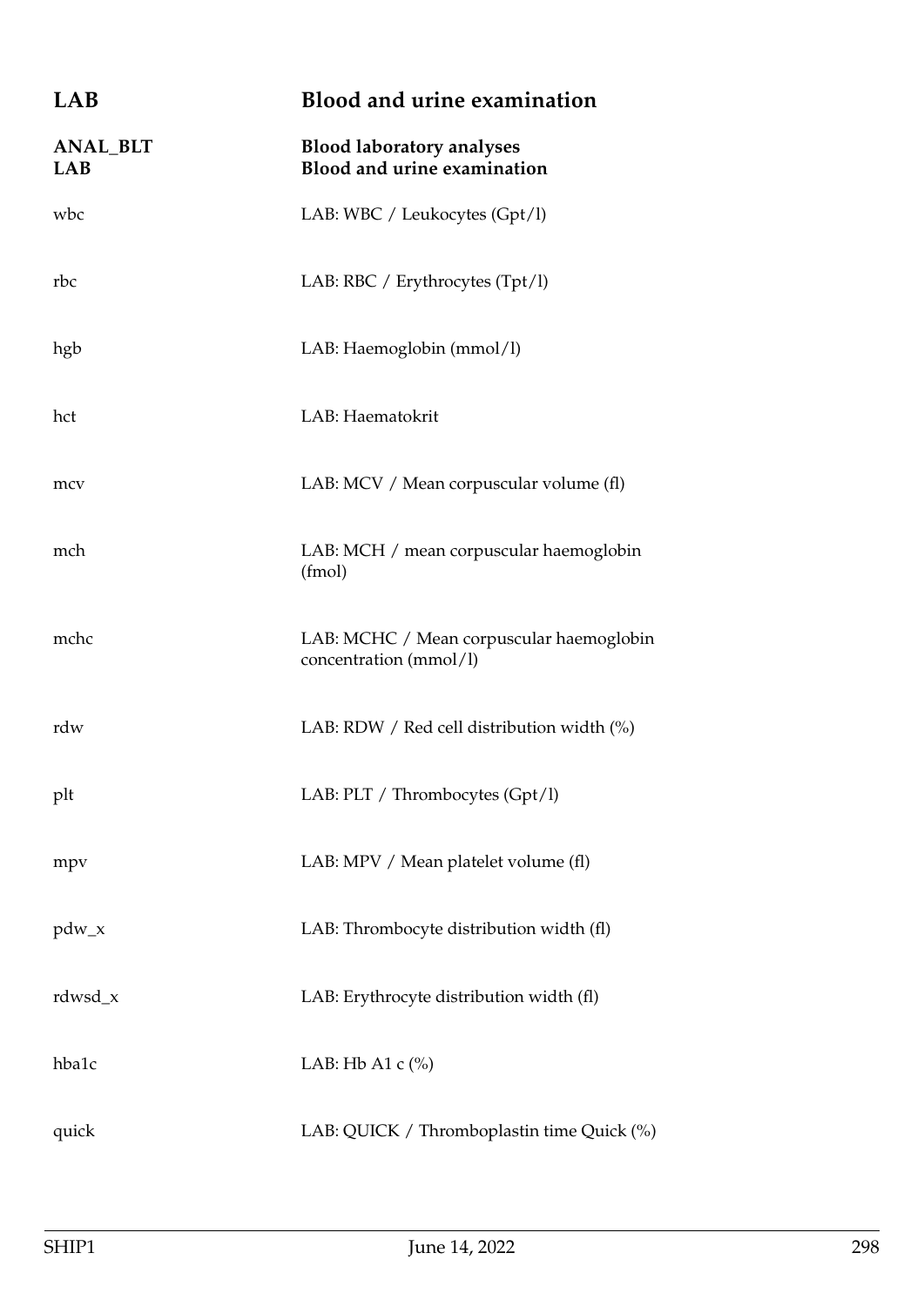| LAB                           | <b>Blood and urine examination</b>                                 |
|-------------------------------|--------------------------------------------------------------------|
| <b>ANAL_BLT</b><br><b>LAB</b> | <b>Blood laboratory analyses</b><br>Blood and urine examination    |
| wbc                           | LAB: WBC / Leukocytes (Gpt/l)                                      |
| rbc                           | LAB: RBC / Erythrocytes (Tpt/l)                                    |
| hgb                           | LAB: Haemoglobin (mmol/l)                                          |
| hct                           | LAB: Haematokrit                                                   |
| mcv                           | LAB: MCV / Mean corpuscular volume (fl)                            |
| mch                           | LAB: MCH / mean corpuscular haemoglobin<br>(fmol)                  |
| mchc                          | LAB: MCHC / Mean corpuscular haemoglobin<br>concentration (mmol/l) |
| rdw                           | LAB: RDW / Red cell distribution width $(\%)$                      |
| plt                           | LAB: PLT / Thrombocytes (Gpt/l)                                    |
| mpy                           | LAB: MPV / Mean platelet volume (fl)                               |
| $pdw_x$                       | LAB: Thrombocyte distribution width (fl)                           |
| $rdwsd_x$                     | LAB: Erythrocyte distribution width (fl)                           |
| hba1c                         | LAB: Hb A1 $c$ $%$                                                 |
| quick                         | LAB: QUICK / Thromboplastin time Quick (%)                         |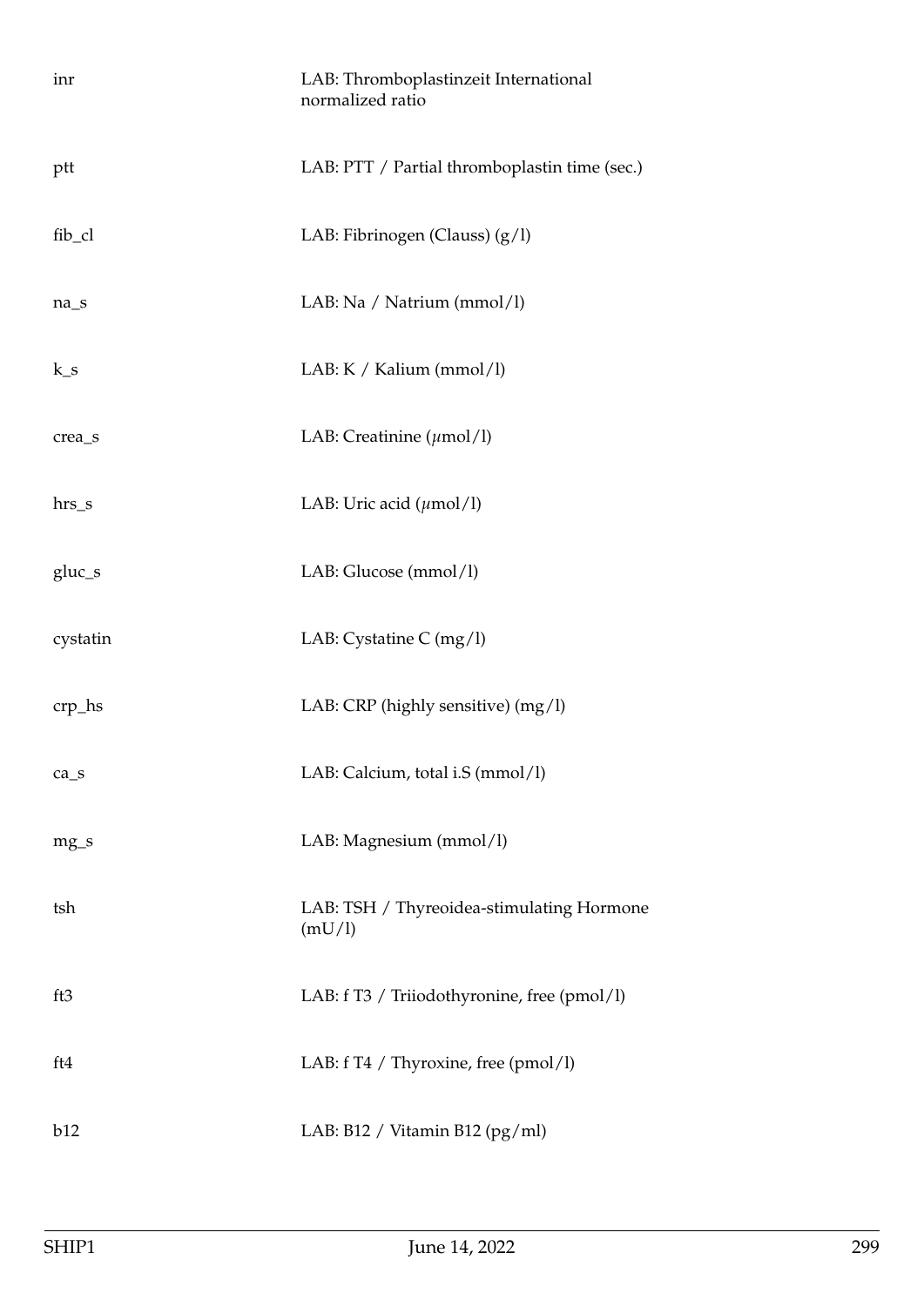| inr      | LAB: Thromboplastinzeit International<br>normalized ratio |
|----------|-----------------------------------------------------------|
| ptt      | LAB: PTT / Partial thromboplastin time (sec.)             |
| fib_cl   | LAB: Fibrinogen (Clauss) (g/l)                            |
| $na_s$   | LAB: Na / Natrium (mmol/l)                                |
| $k_s$    | LAB: K / Kalium (mmol/l)                                  |
| crea_s   | LAB: Creatinine $(\mu \text{mol/l})$                      |
| $hrs_s$  | LAB: Uric acid $(\mu \text{mol/l})$                       |
| $gluc_s$ | LAB: Glucose (mmol/l)                                     |
| cystatin | LAB: Cystatine C $(mg/l)$                                 |
| $crp_$   | LAB: CRP (highly sensitive) (mg/l)                        |
| $ca_s$   | LAB: Calcium, total i.S (mmol/l)                          |
| $mg_S$   | LAB: Magnesium (mmol/l)                                   |
| tsh      | LAB: TSH / Thyreoidea-stimulating Hormone<br>(mU/l)       |
| ft3      | LAB: f T3 / Triiodothyronine, free (pmol/l)               |
| ft4      | LAB: f T4 / Thyroxine, free (pmol/l)                      |
| b12      | LAB: B12 / Vitamin B12 (pg/ml)                            |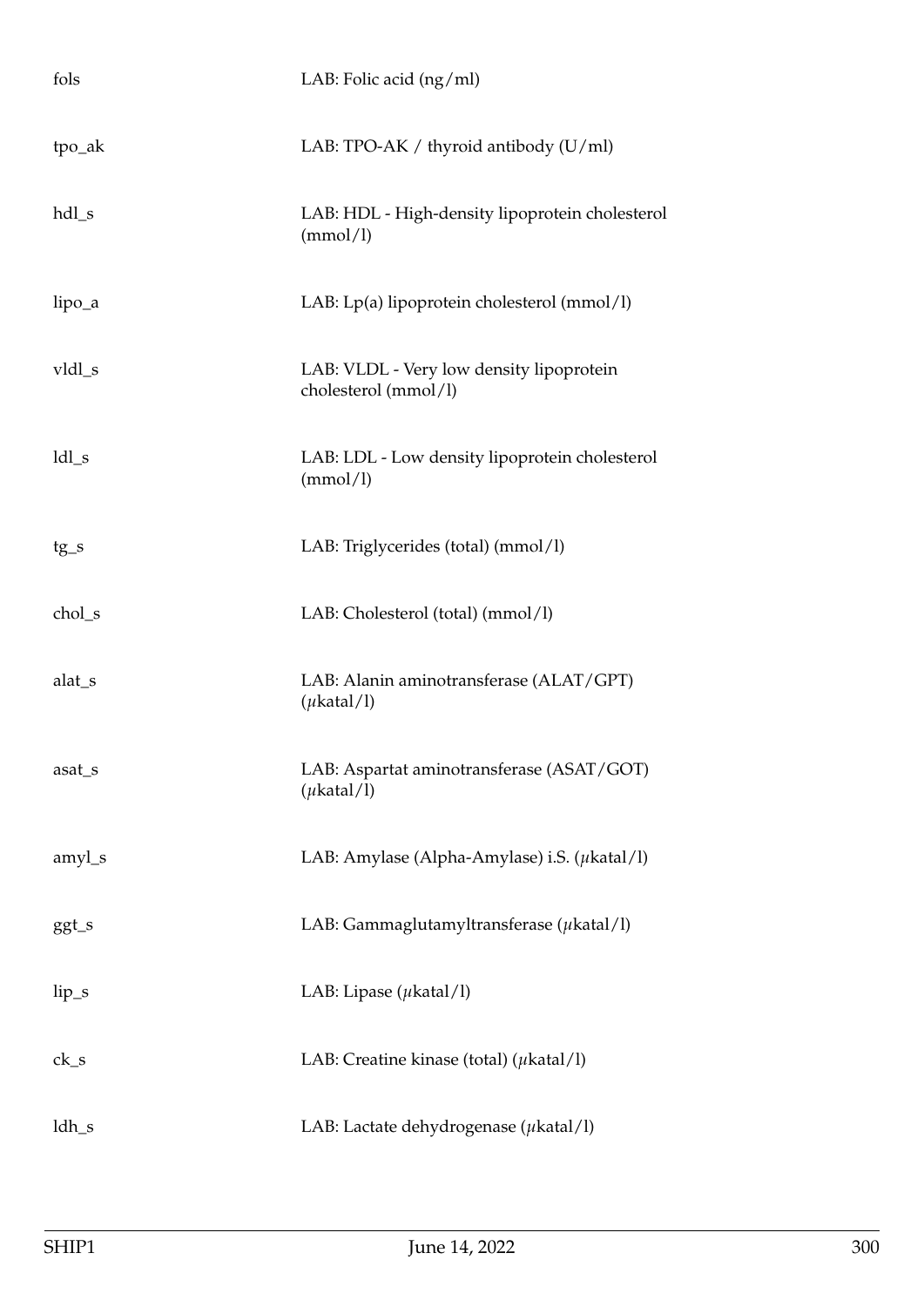| fols               | LAB: Folic acid (ng/ml)                                          |
|--------------------|------------------------------------------------------------------|
| tpo_ak             | LAB: TPO-AK / thyroid antibody (U/ml)                            |
| $hdl$ <sub>s</sub> | LAB: HDL - High-density lipoprotein cholesterol<br>(mmol/l)      |
| lipo_a             | LAB: Lp(a) lipoprotein cholesterol (mmol/l)                      |
| vldl_s             | LAB: VLDL - Very low density lipoprotein<br>cholesterol (mmol/l) |
| $ldl_s$            | LAB: LDL - Low density lipoprotein cholesterol<br>(mmol/l)       |
| tg_s               | LAB: Triglycerides (total) (mmol/l)                              |
| chol_s             | LAB: Cholesterol (total) (mmol/l)                                |
| alat_s             | LAB: Alanin aminotransferase (ALAT/GPT)<br>$(\mu$ katal/l)       |
| asat_s             | LAB: Aspartat aminotransferase (ASAT/GOT)<br>$(\mu$ katal/l)     |
| amyl_s             | LAB: Amylase (Alpha-Amylase) i.S. $(\mu$ katal/l)                |
| $ggt_s$            | LAB: Gammaglutamyltransferase $(\mu$ katal/l)                    |
| $lip_s$            | LAB: Lipase $(\mu \text{katal/l})$                               |
| $ck_s$             | LAB: Creatine kinase (total) ( $\mu$ katal/l)                    |
| ldh_s              | LAB: Lactate dehydrogenase (µkatal/l)                            |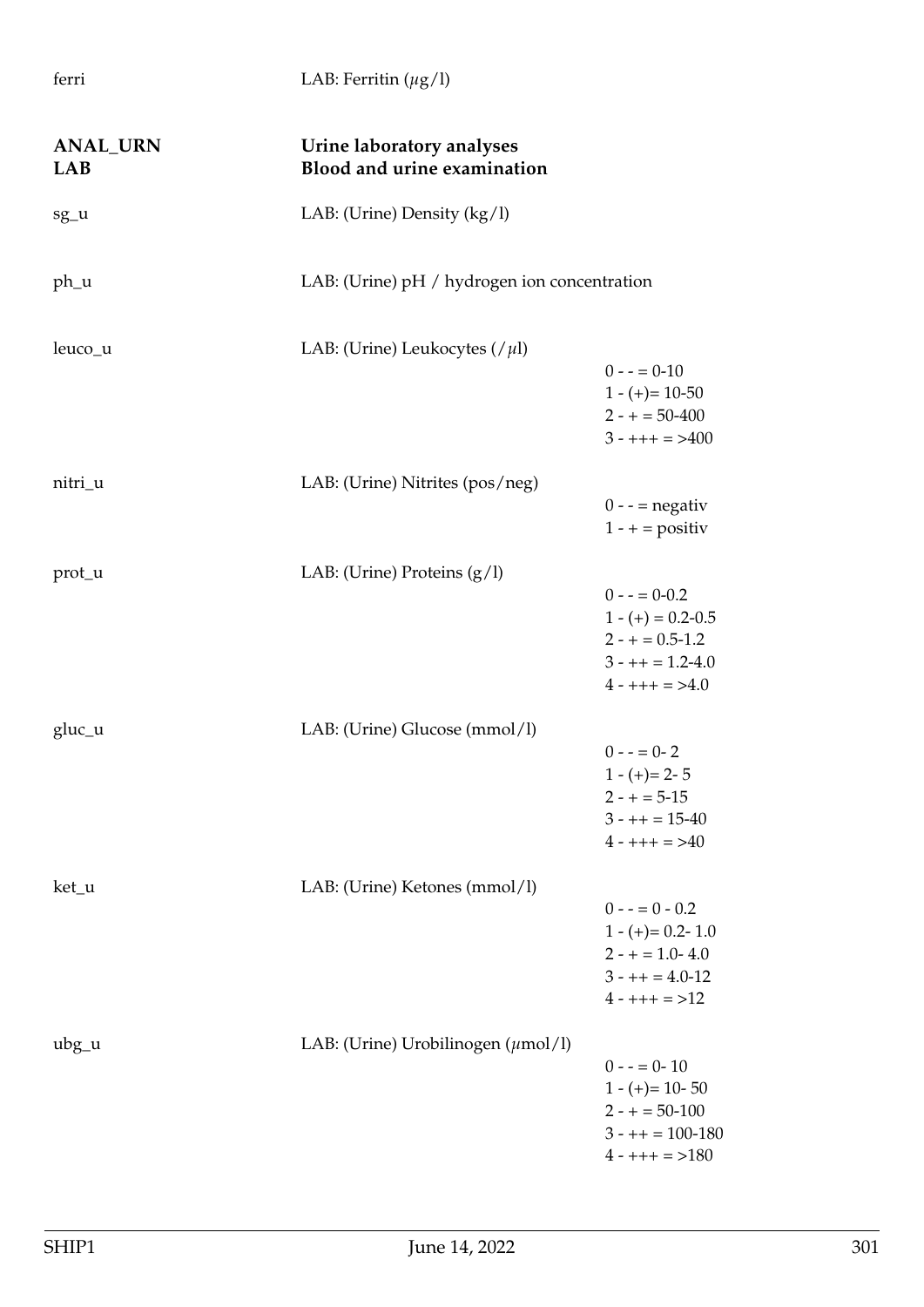**ANAL\_URN Urine laboratory analyses LAB Blood and urine examination** sg\_u LAB: (Urine) Density (kg/l) ph\_u LAB: (Urine) pH / hydrogen ion concentration leuco\_u LAB: (Urine) Leukocytes (/*µ*l)  $0 - (-10)$  $1 - (+) = 10 - 50$  $2 - + = 50 - 400$  $3 - ++ + = > 400$ nitri\_u LAB: (Urine) Nitrites (pos/neg)  $0 - -$  = negativ  $1 - +$  = positiv prot\_u LAB: (Urine) Proteins (g/l)  $0 - (-0.2)$  $1 - (+) = 0.2 - 0.5$  $2 - + = 0.5 - 1.2$  $3 - ++ = 1.2 - 4.0$  $4 - ++ + = > 4.0$ gluc\_u LAB: (Urine) Glucose (mmol/l)  $0 - (-1) - (-1) - (-1)$  $1 - (+) = 2 - 5$  $2 - + = 5 - 15$  $3 - + + = 15 - 40$  $4 - ++ + = > 40$ ket\_u LAB: (Urine) Ketones (mmol/l)  $0 - 0.2$  $1 - (+) = 0.2 - 1.0$  $2 - + = 1.0 - 4.0$  $3 - + + = 4.0 - 12$  $4 - ++ + = >12$ ubg\_u LAB: (Urine) Urobilinogen (*µ*mol/l)  $0 - - = 0 - 10$  $1 - (+) = 10 - 50$  $2 - + = 50 - 100$  $3 - + + = 100 - 180$ 

ferri LAB: Ferritin (*µ*g/l)

 $4 - ++ + = >180$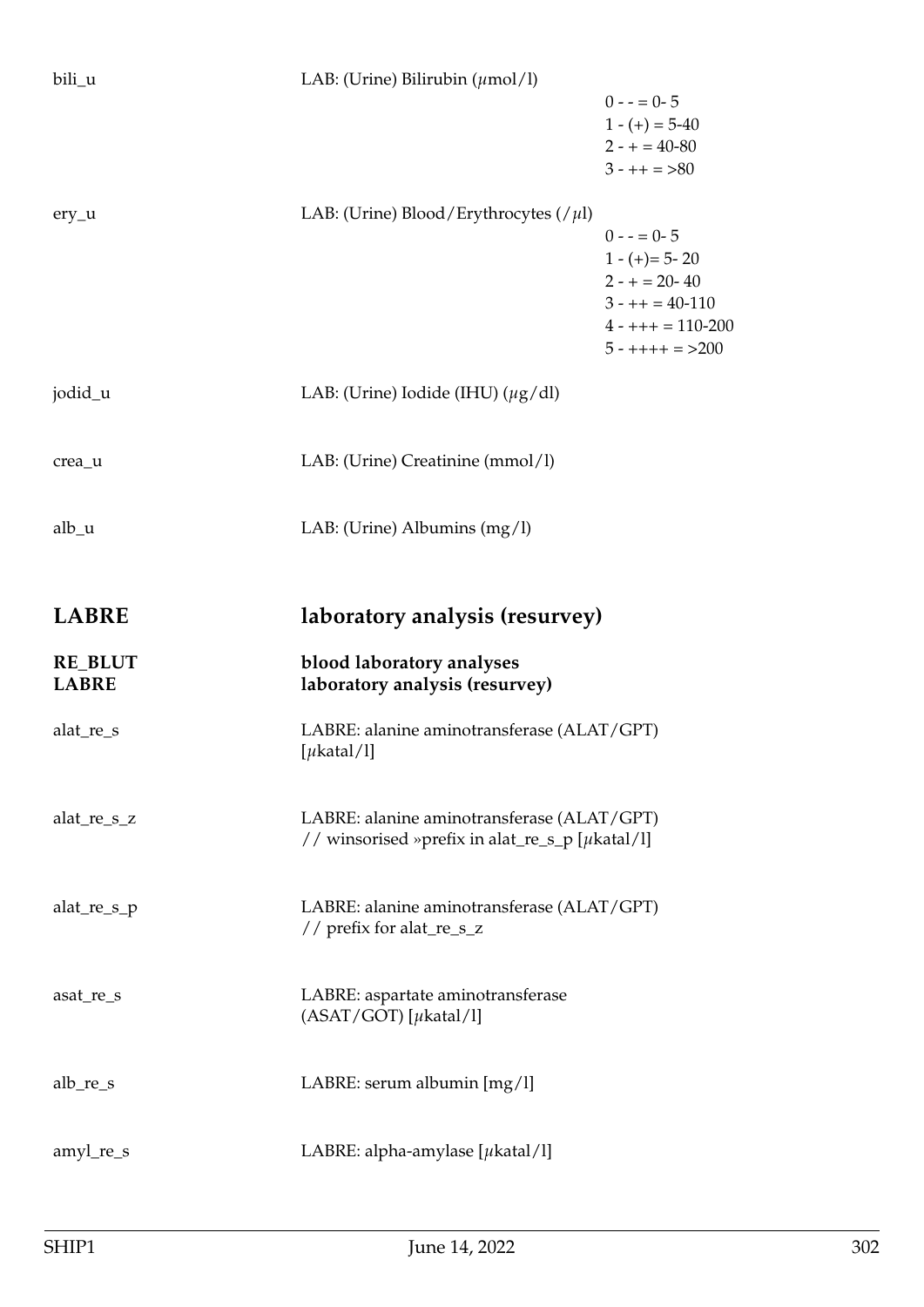| bili_u                         | LAB: (Urine) Bilirubin $(\mu \text{mol/l})$                                                         | $0 - 5 = 0 - 5$<br>$1 - (+) = 5 - 40$<br>$2 - + = 40 - 80$<br>$3 - + + = > 80$                                                        |
|--------------------------------|-----------------------------------------------------------------------------------------------------|---------------------------------------------------------------------------------------------------------------------------------------|
| $ery_u$                        | LAB: (Urine) Blood/Erythrocytes (/ $\mu$ l)                                                         | $0 - 5 = 0 - 5$<br>$1 - (+) = 5 - 20$<br>$2 - + = 20 - 40$<br>$3 - + + = 40 - 110$<br>$4 - + + + = 110 - 200$<br>$5 - + + + + = >200$ |
| jodid_u                        | LAB: (Urine) Iodide (IHU) $(\mu g/dl)$                                                              |                                                                                                                                       |
| crea_u                         | LAB: (Urine) Creatinine (mmol/l)                                                                    |                                                                                                                                       |
| alb <sub>u</sub>               | LAB: (Urine) Albumins $(mg/l)$                                                                      |                                                                                                                                       |
| <b>LABRE</b>                   | laboratory analysis (resurvey)                                                                      |                                                                                                                                       |
|                                |                                                                                                     |                                                                                                                                       |
| <b>RE_BLUT</b><br><b>LABRE</b> | blood laboratory analyses<br>laboratory analysis (resurvey)                                         |                                                                                                                                       |
| alat_re_s                      | LABRE: alanine aminotransferase (ALAT/GPT)<br>[ $\mu$ katal/l]                                      |                                                                                                                                       |
| alat_re_s_z                    | LABRE: alanine aminotransferase (ALAT/GPT)<br>// winsorised »prefix in alat_re_s_p [ $\mu$ katal/l] |                                                                                                                                       |
| alat $_re_s_p$                 | LABRE: alanine aminotransferase (ALAT/GPT)<br>// prefix for alat_re_s_z                             |                                                                                                                                       |
| asat_re_s                      | LABRE: aspartate aminotransferase<br>$(ASAT/GOT)$ [ $\mu$ katal/l]                                  |                                                                                                                                       |
| $alb_re_s$                     | LABRE: serum albumin [mg/l]                                                                         |                                                                                                                                       |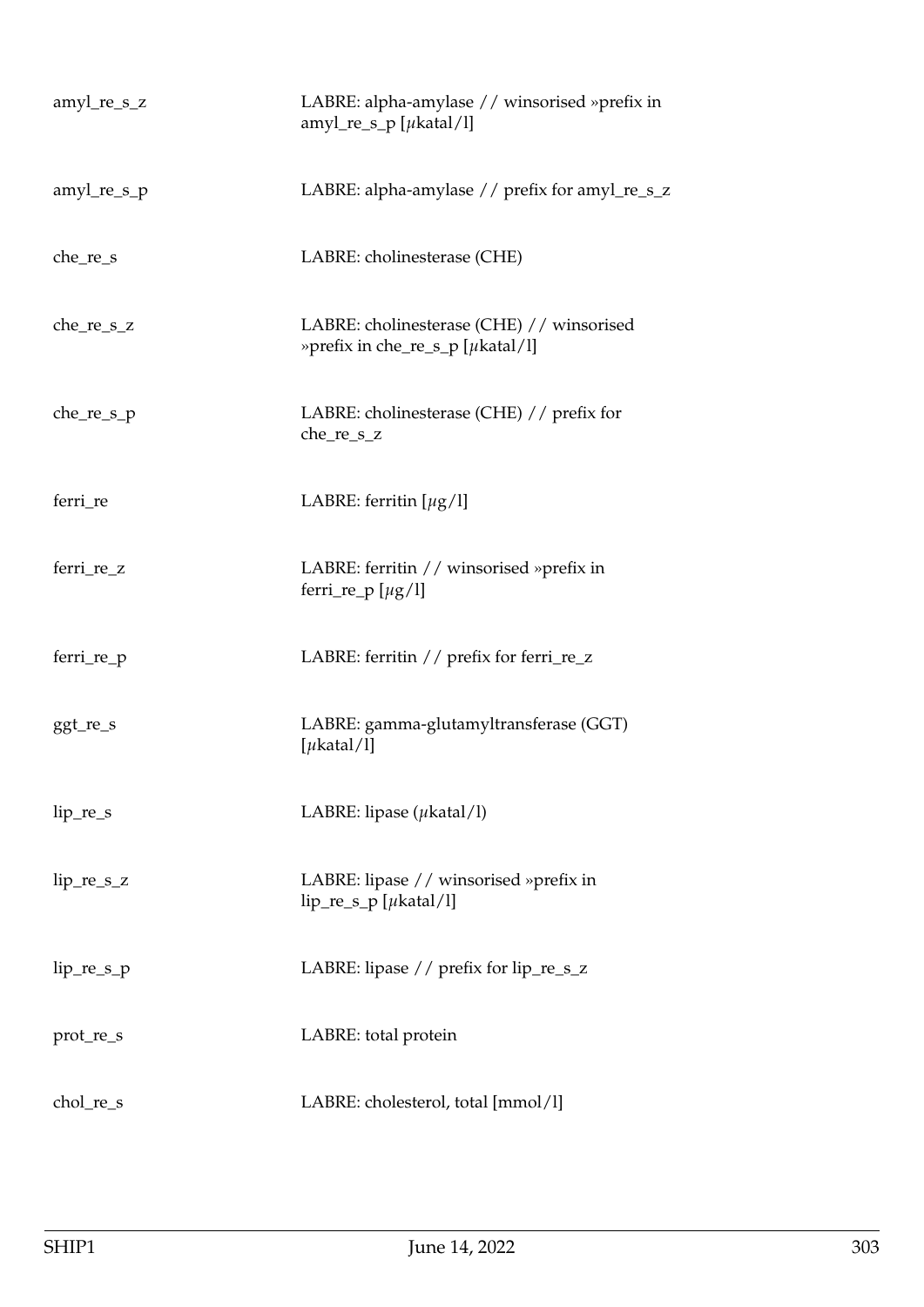| amyl_re_s_z   | LABRE: alpha-amylase // winsorised »prefix in<br>amyl_re_s_p [ $\mu$ katal/l] |
|---------------|-------------------------------------------------------------------------------|
| $amyl_re_s_p$ | LABRE: alpha-amylase // prefix for amyl_re_s_z                                |
| $che_re_s$    | LABRE: cholinesterase (CHE)                                                   |
| $che_re_s_z$  | LABRE: cholinesterase (CHE) // winsorised<br>»prefix in che_re_s_p [µkatal/l] |
| $che_re_s_p$  | LABRE: cholinesterase (CHE) // prefix for<br>che_re_s_z                       |
| ferri_re      | LABRE: ferritin $[\mu g/l]$                                                   |
| ferri_re_z    | LABRE: ferritin // winsorised »prefix in<br>ferri_re_p $[\mu g/l]$            |
| ferri_re_p    | LABRE: ferritin // prefix for ferri_re_z                                      |
| ggt_re_s      | LABRE: gamma-glutamyltransferase (GGT)<br>[ $\mu$ katal/l]                    |
| $lip_re_s$    | LABRE: lipase $(\mu$ katal/l)                                                 |
| $lip_re_s_z$  | LABRE: lipase // winsorised »prefix in<br>$lip_re_s_p$ [ $\mu$ katal/l]       |
| $lip_re_s_p$  | LABRE: lipase // prefix for lip_re_s_z                                        |
| prot_re_s     | LABRE: total protein                                                          |
| chol_re_s     | LABRE: cholesterol, total [mmol/l]                                            |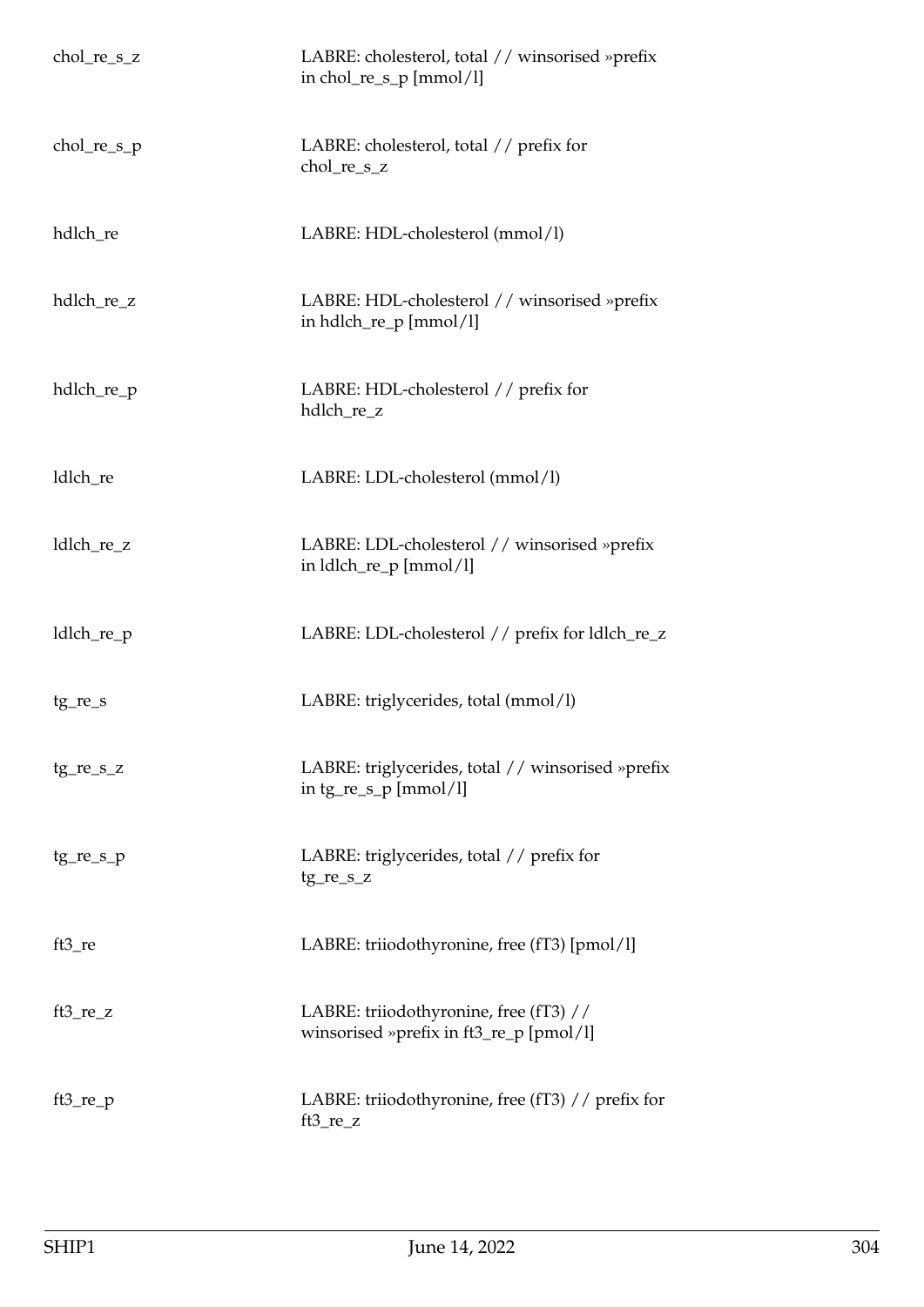| $chol_re_s_z$ | LABRE: cholesterol, total // winsorised »prefix<br>in chol_re_s_p $[mmol/l]$      |
|---------------|-----------------------------------------------------------------------------------|
| $chol_re_s_p$ | LABRE: cholesterol, total // prefix for<br>chol_re_s_z                            |
| hdlch_re      | LABRE: HDL-cholesterol (mmol/l)                                                   |
| hdlch_re_z    | LABRE: HDL-cholesterol // winsorised »prefix<br>in hdlch_re_p [mmol/l]            |
| hdlch_re_p    | LABRE: HDL-cholesterol // prefix for<br>hdlch_re_z                                |
| ldlch_re      | LABRE: LDL-cholesterol (mmol/l)                                                   |
| ldlch_re_z    | LABRE: LDL-cholesterol // winsorised »prefix<br>in ldlch_re_p [mmol/l]            |
| ldlch_re_p    | LABRE: LDL-cholesterol // prefix for ldlch_re_z                                   |
| tg_re_s       | LABRE: triglycerides, total (mmol/l)                                              |
| $tg_re_s_z$   | LABRE: triglycerides, total // winsorised »prefix<br>in $tg_re_s_p$ [mmol/l]      |
| $tg_re_s_p$   | LABRE: triglycerides, total // prefix for<br>$tg_re_s_z$                          |
| ft3_re        | LABRE: triiodothyronine, free (fT3) [pmol/l]                                      |
| $ft3_re_z$    | LABRE: triiodothyronine, free (fT3) //<br>winsorised »prefix in ft3_re_p [pmol/l] |
| $ft3_re\_p$   | LABRE: triiodothyronine, free (fT3) // prefix for<br>$ft3_re_z$                   |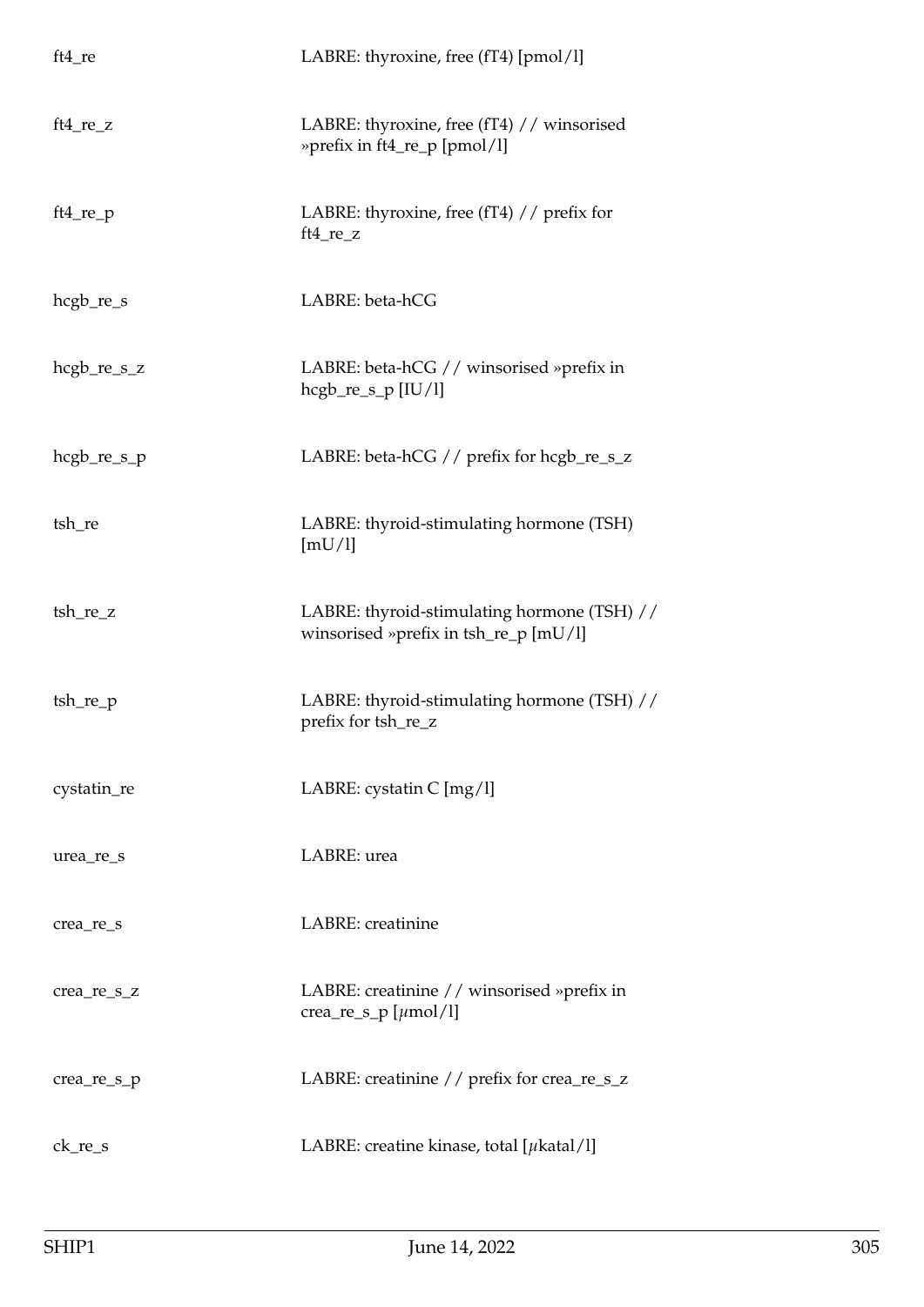| $ft4_re$      | LABRE: thyroxine, free (fT4) [pmol/l]                                                |
|---------------|--------------------------------------------------------------------------------------|
| $ft4_re_z$    | LABRE: thyroxine, free (fT4) // winsorised<br>»prefix in ft4_re_p [pmol/l]           |
| $ft4_re_p$    | LABRE: thyroxine, free (fT4) // prefix for<br>$ft4_re_z$                             |
| hcgb_re_s     | LABRE: beta-hCG                                                                      |
| $hegb_re_s_z$ | LABRE: beta-hCG // winsorised »prefix in<br>$hegb_re_s_p [IU/l]$                     |
| $hegb_re_s_p$ | LABRE: beta-hCG // prefix for hcgb_re_s_z                                            |
| tsh_re        | LABRE: thyroid-stimulating hormone (TSH)<br>[mU/l]                                   |
| tsh_re_z      | LABRE: thyroid-stimulating hormone (TSH) //<br>winsorised »prefix in tsh_re_p [mU/l] |
| tsh_re_p      | LABRE: thyroid-stimulating hormone (TSH) //<br>prefix for tsh_re_z                   |
| cystatin_re   | LABRE: cystatin C [mg/l]                                                             |
| urea_re_s     | LABRE: urea                                                                          |
| crea_re_s     | LABRE: creatinine                                                                    |
| crea_re_s_z   | LABRE: creatinine // winsorised »prefix in<br>crea_re_s_p [ $\mu$ mol/l]             |
| crea_re_s_p   | LABRE: creatinine // prefix for crea_re_s_z                                          |
| $ck_re_s$     | LABRE: creatine kinase, total [ $\mu$ katal/l]                                       |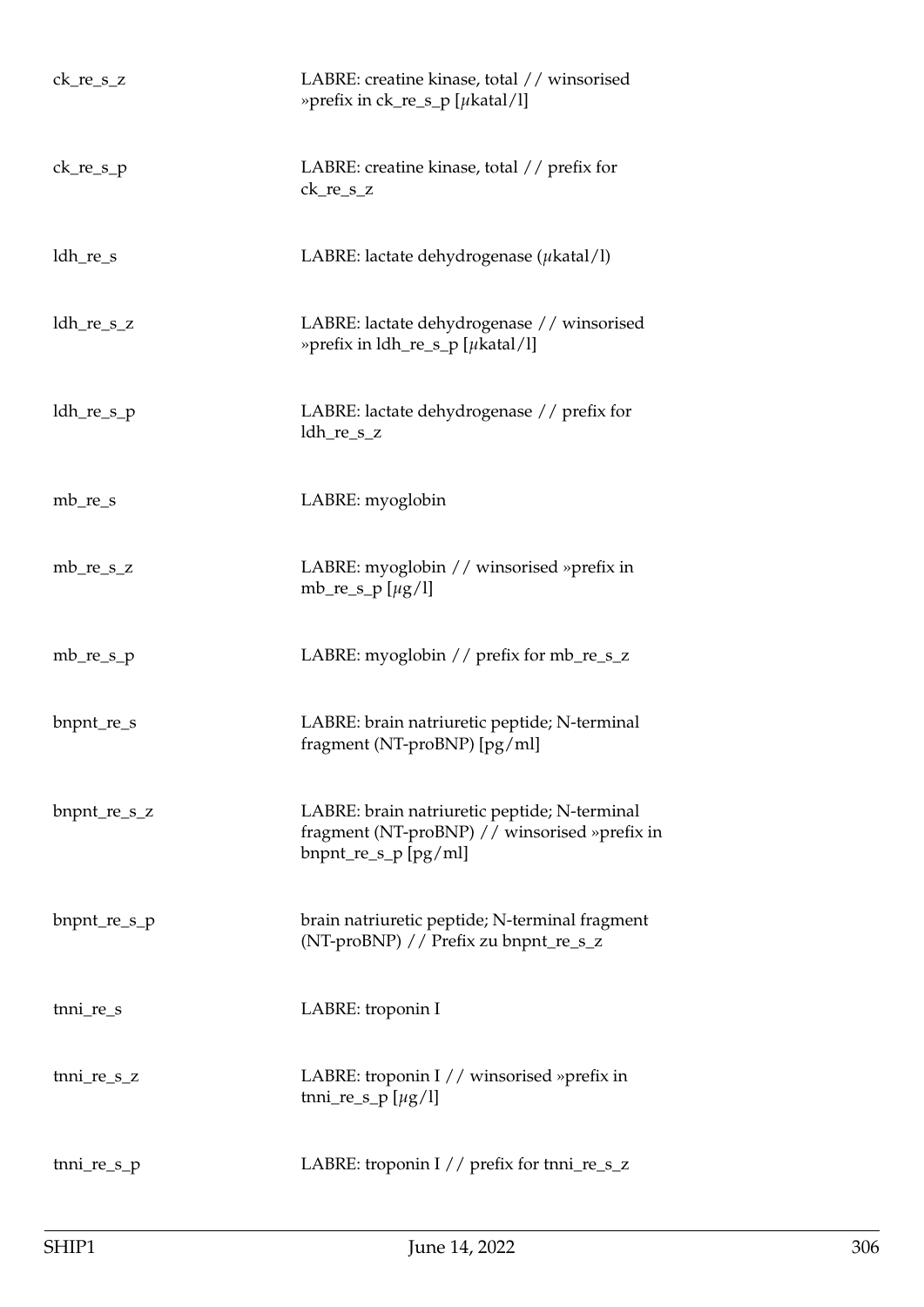| $ck_re_s_z$     | LABRE: creatine kinase, total // winsorised<br>» prefix in $ck_re_s_p$ [ $\mu$ katal/l]                               |
|-----------------|-----------------------------------------------------------------------------------------------------------------------|
| $ck_re_s_p$     | LABRE: creatine kinase, total // prefix for<br>ck_re_s_z                                                              |
| ldh_re_s        | LABRE: lactate dehydrogenase ( $\mu$ katal/l)                                                                         |
| $ldh_re_s_z$    | LABRE: lactate dehydrogenase // winsorised<br>» prefix in $ldh_re_s_p$ [ $\mu$ katal/l]                               |
| $ldh_re_s_p$    | LABRE: lactate dehydrogenase // prefix for<br>$ldh_re_s_z$                                                            |
| $mb_re_s$       | LABRE: myoglobin                                                                                                      |
| $mb_re_s_z$     | LABRE: myoglobin // winsorised »prefix in<br>mb_re_s_p [ $\mu$ g/l]                                                   |
| $mb_re_s$       | LABRE: myoglobin // prefix for mb_re_s_z                                                                              |
| bnpnt_re_s      | LABRE: brain natriuretic peptide; N-terminal<br>fragment (NT-proBNP) [pg/ml]                                          |
| bnpnt_re_s_z    | LABRE: brain natriuretic peptide; N-terminal<br>fragment (NT-proBNP) // winsorised »prefix in<br>bnpnt_re_s_p [pg/ml] |
| $b$ npnt_re_s_p | brain natriuretic peptide; N-terminal fragment<br>(NT-proBNP) // Prefix zu bnpnt_re_s_z                               |
| tnni_re_s       | LABRE: troponin I                                                                                                     |
| tnni_re_s_z     | LABRE: troponin I // winsorised »prefix in<br>tnni_re_s_p $[\mu g/l]$                                                 |
| tnni_re_s_p     | LABRE: troponin I // prefix for tnni_re_s_z                                                                           |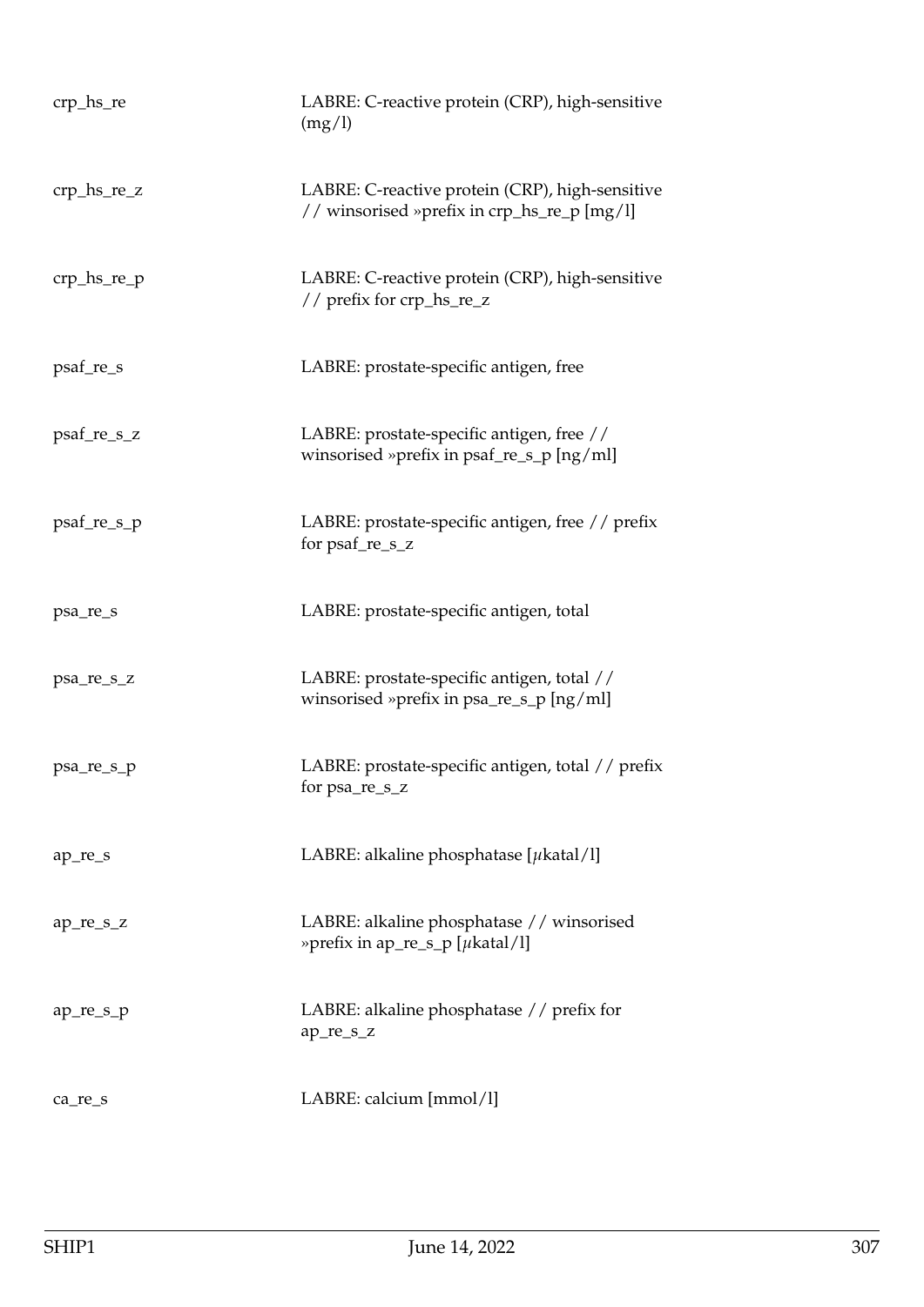| crp_hs_re     | LABRE: C-reactive protein (CRP), high-sensitive<br>(mg/l)                                      |
|---------------|------------------------------------------------------------------------------------------------|
| $crp_hs_re_2$ | LABRE: C-reactive protein (CRP), high-sensitive<br>// winsorised »prefix in crp_hs_re_p [mg/l] |
| $crp_hs_re_p$ | LABRE: C-reactive protein (CRP), high-sensitive<br>// prefix for crp_hs_re_z                   |
| psaf_re_s     | LABRE: prostate-specific antigen, free                                                         |
| psaf_re_s_z   | LABRE: prostate-specific antigen, free //<br>winsorised »prefix in psaf_re_s_p [ng/ml]         |
| psaf_re_s_p   | LABRE: prostate-specific antigen, free // prefix<br>for psaf_re_s_z                            |
| psa_re_s      | LABRE: prostate-specific antigen, total                                                        |
| psa_re_s_z    | LABRE: prostate-specific antigen, total //<br>winsorised »prefix in psa_re_s_p [ng/ml]         |
| psa_re_s_p    | LABRE: prostate-specific antigen, total // prefix<br>for psa_re_s_z                            |
| ap_re_s       | LABRE: alkaline phosphatase [ $\mu$ katal/l]                                                   |
| ap_re_s_z     | LABRE: alkaline phosphatase // winsorised<br>» prefix in ap_re_s_p [ $\mu$ katal/l]            |
| ap_re_s_p     | LABRE: alkaline phosphatase // prefix for<br>ap_re_s_z                                         |
| ca_re_s       | LABRE: calcium [mmol/l]                                                                        |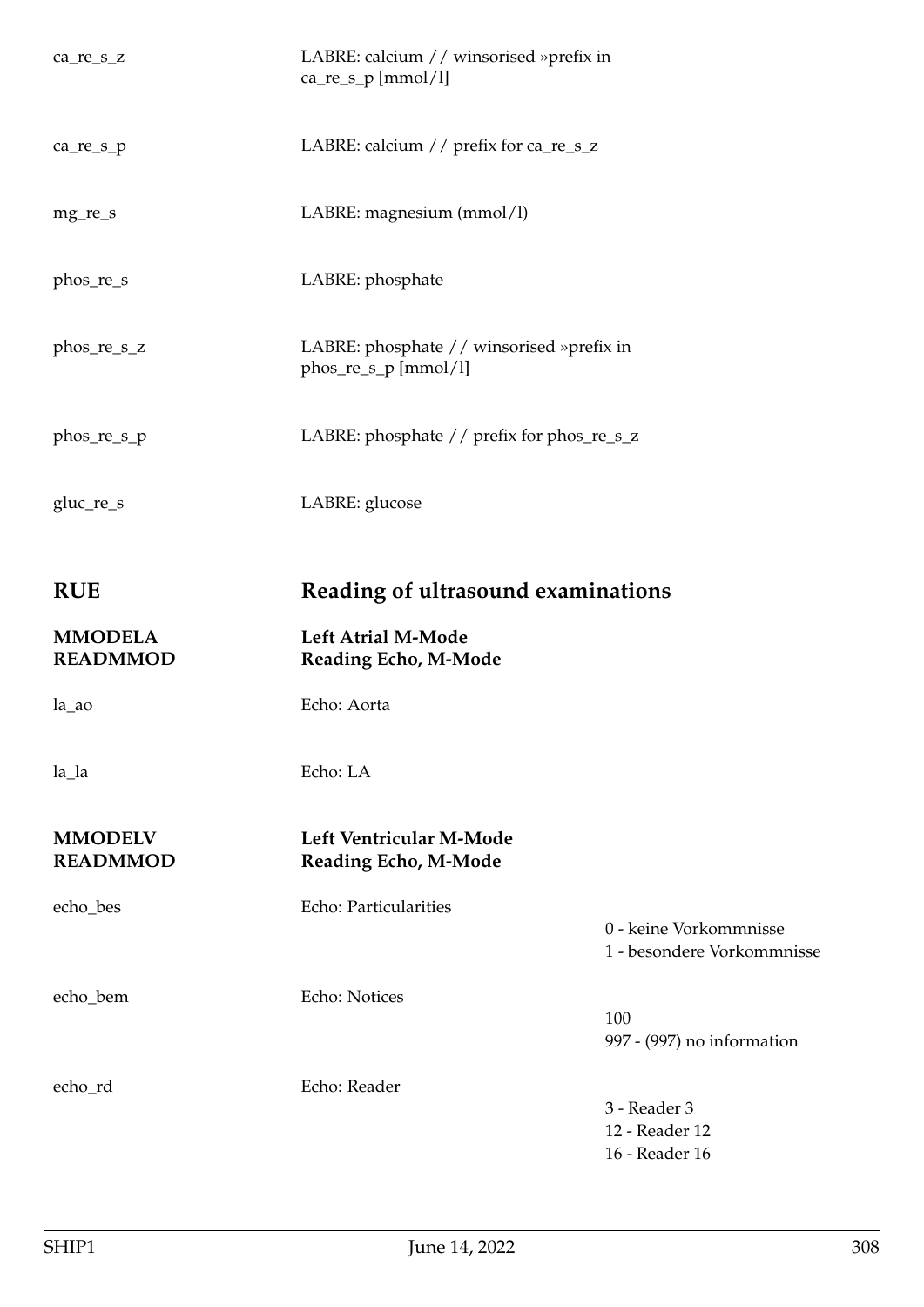| ca_re_s_z                         | LABRE: calcium // winsorised »prefix in<br>ca_re_s_p [mmol/l]     |                                                      |
|-----------------------------------|-------------------------------------------------------------------|------------------------------------------------------|
| ca_re_s_p                         | LABRE: calcium // prefix for ca_re_s_z                            |                                                      |
| mg_re_s                           | LABRE: magnesium (mmol/l)                                         |                                                      |
| phos_re_s                         | LABRE: phosphate                                                  |                                                      |
| $phos_re_s_z$                     | LABRE: phosphate // winsorised »prefix in<br>phos_re_s_p [mmol/l] |                                                      |
| phos_re_s_p                       | LABRE: phosphate // prefix for phos_re_s_z                        |                                                      |
| gluc_re_s                         | LABRE: glucose                                                    |                                                      |
| <b>RUE</b>                        | Reading of ultrasound examinations                                |                                                      |
|                                   |                                                                   |                                                      |
| <b>MMODELA</b><br><b>READMMOD</b> | <b>Left Atrial M-Mode</b><br>Reading Echo, M-Mode                 |                                                      |
| la_ao                             | Echo: Aorta                                                       |                                                      |
| la_la                             | Echo: LA                                                          |                                                      |
| <b>MMODELV</b><br><b>READMMOD</b> | Left Ventricular M-Mode<br>Reading Echo, M-Mode                   |                                                      |
| echo_bes                          | Echo: Particularities                                             | 0 - keine Vorkommnisse<br>1 - besondere Vorkommnisse |
| echo_bem                          | Echo: Notices                                                     | 100<br>997 - (997) no information                    |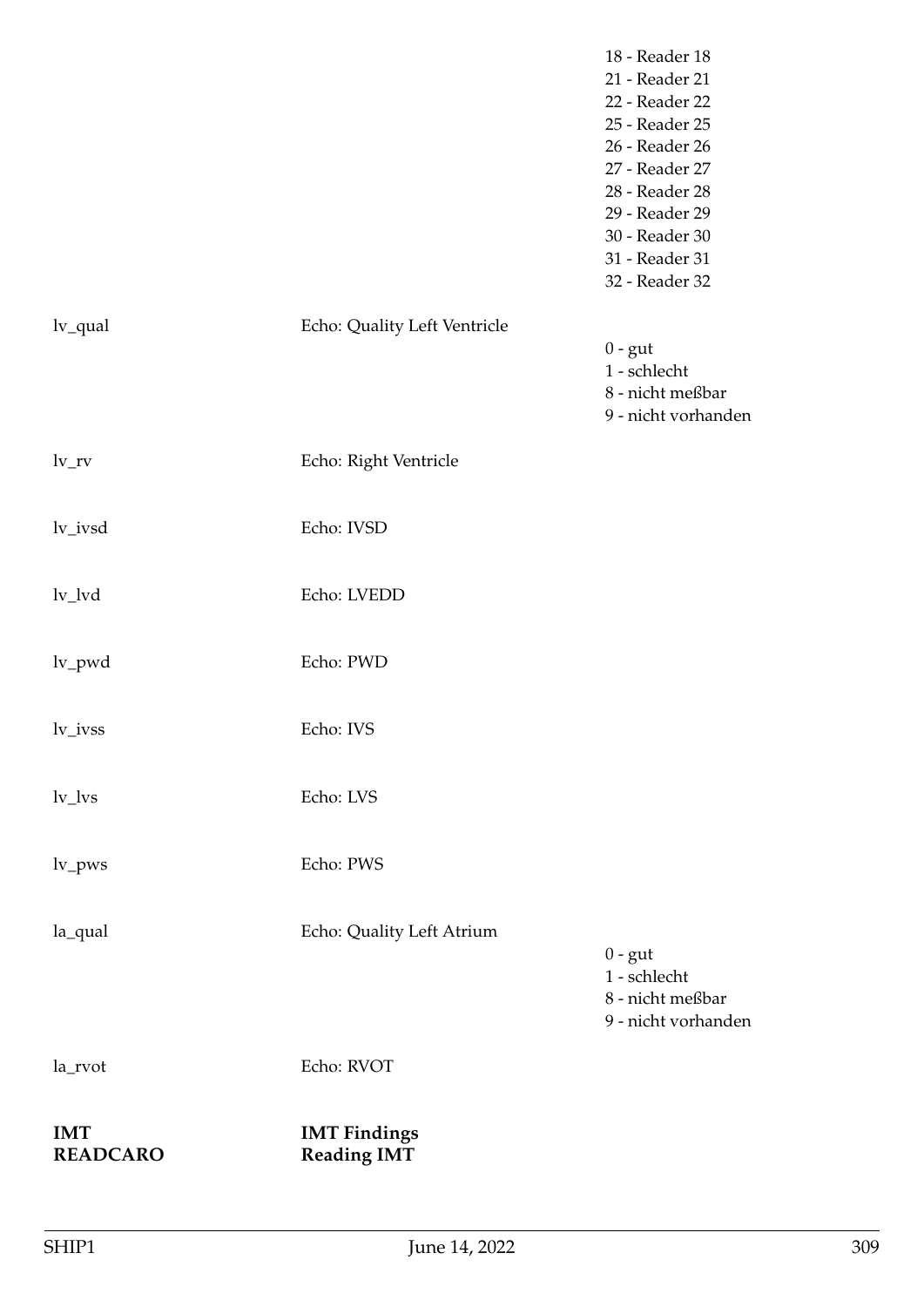| <b>IMT</b><br><b>READCARO</b> | <b>IMT Findings</b><br><b>Reading IMT</b> |                                                                      |
|-------------------------------|-------------------------------------------|----------------------------------------------------------------------|
| la_rvot                       | Echo: RVOT                                |                                                                      |
|                               |                                           | $0 - gut$<br>1 - schlecht<br>8 - nicht meßbar<br>9 - nicht vorhanden |
| la_qual                       | Echo: Quality Left Atrium                 |                                                                      |
| $lv_{\perp}$ pws              | Echo: PWS                                 |                                                                      |
| $\text{lv}\_\text{lvs}$       | Echo: LVS                                 |                                                                      |
| lv_ivss                       | Echo: IVS                                 |                                                                      |
| lv_pwd                        | Echo: PWD                                 |                                                                      |
| $lv_lvd$                      | Echo: LVEDD                               |                                                                      |
| lv_ivsd                       | Echo: IVSD                                |                                                                      |
| $lv_{rv}$                     | Echo: Right Ventricle                     |                                                                      |
|                               |                                           | $0 - gut$<br>1 - schlecht<br>8 - nicht meßbar<br>9 - nicht vorhanden |
| lv_qual                       | Echo: Quality Left Ventricle              | 30 - Reader 30<br>31 - Reader 31<br>32 - Reader 32                   |
|                               |                                           | 28 - Reader 28<br>29 - Reader 29                                     |
|                               |                                           | 25 - Reader 25<br>26 - Reader 26<br>27 - Reader 27                   |
|                               |                                           | 21 - Reader 21<br>22 - Reader 22                                     |
|                               |                                           | 18 - Reader 18                                                       |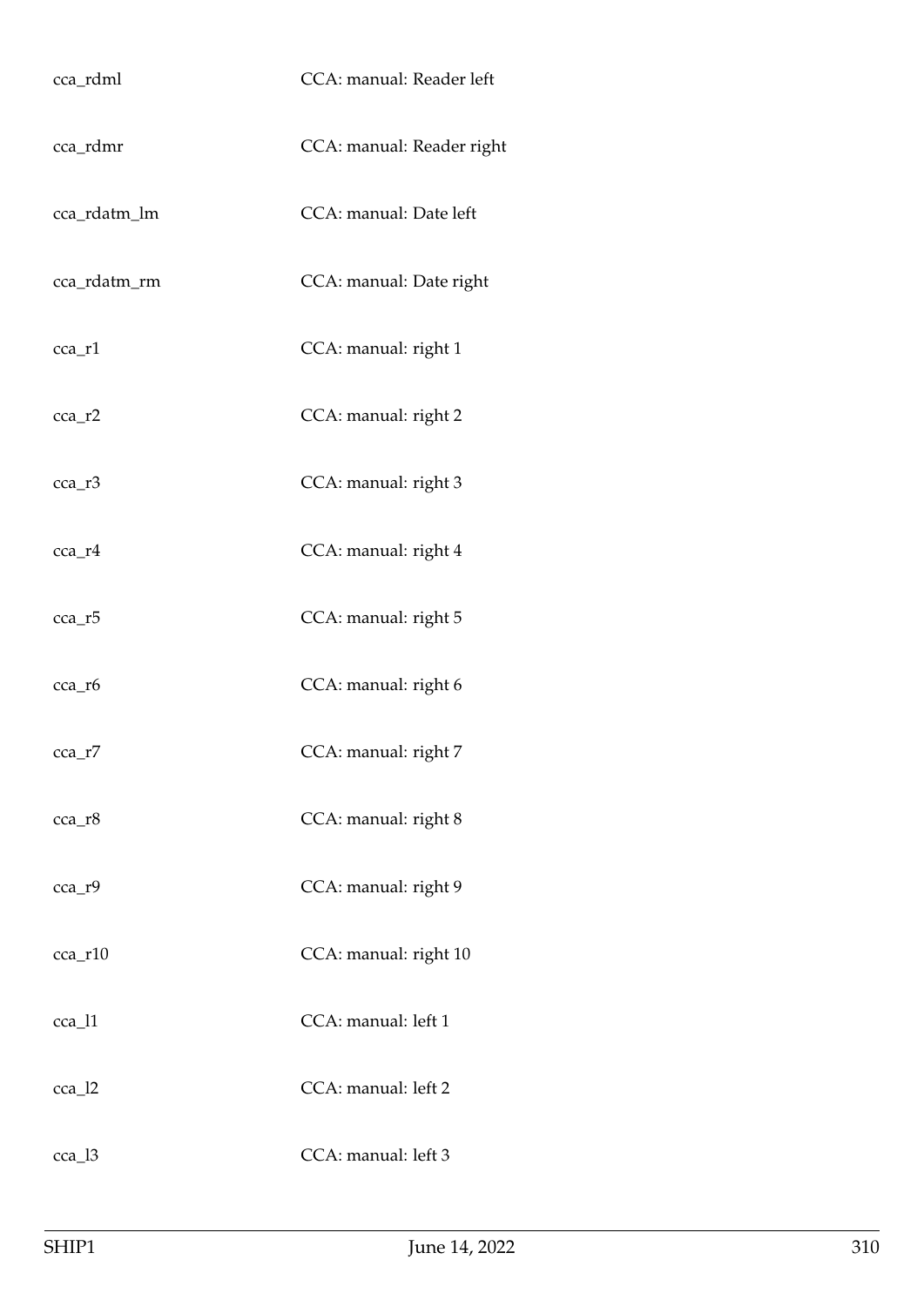| cca_rdml      | CCA: manual: Reader left  |
|---------------|---------------------------|
| cca_rdmr      | CCA: manual: Reader right |
| cca_rdatm_lm  | CCA: manual: Date left    |
| cca_rdatm_rm  | CCA: manual: Date right   |
| cca_r1        | CCA: manual: right 1      |
| $cca$ _ $r2$  | CCA: manual: right 2      |
| cca_r3        | CCA: manual: right 3      |
| cca_r4        | CCA: manual: right 4      |
| cca_r5        | CCA: manual: right 5      |
| cca_r6        | CCA: manual: right 6      |
| $cca$ _r $7$  | CCA: manual: right 7      |
| cca_r8        | CCA: manual: right 8      |
| cca_r9        | CCA: manual: right 9      |
| $cca$ _ $r10$ | CCA: manual: right 10     |
| cca_l1        | CCA: manual: left 1       |
| $cca_12$      | CCA: manual: left 2       |
| $cca_13$      | CCA: manual: left 3       |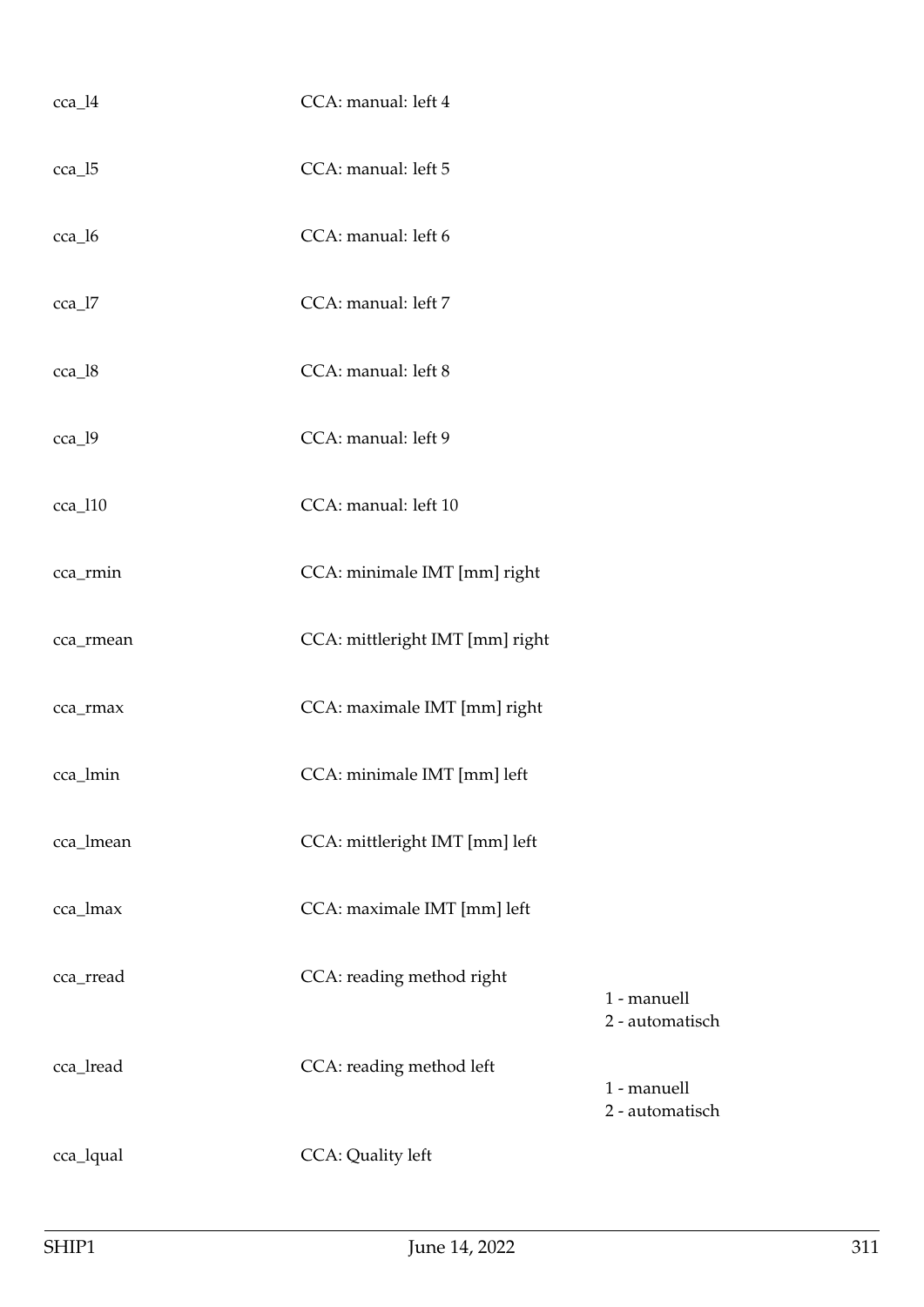| cca_l4    | CCA: manual: left 4             |                                |
|-----------|---------------------------------|--------------------------------|
| $cca_15$  | CCA: manual: left 5             |                                |
| cca_l6    | CCA: manual: left 6             |                                |
| cca_l7    | CCA: manual: left 7             |                                |
| cca_l8    | CCA: manual: left 8             |                                |
| cca_l9    | CCA: manual: left 9             |                                |
| cca_l10   | CCA: manual: left 10            |                                |
| cca_rmin  | CCA: minimale IMT [mm] right    |                                |
| cca_rmean | CCA: mittleright IMT [mm] right |                                |
| cca_rmax  | CCA: maximale IMT [mm] right    |                                |
| cca_lmin  | CCA: minimale IMT [mm] left     |                                |
| cca_lmean | CCA: mittleright IMT [mm] left  |                                |
| cca_lmax  | CCA: maximale IMT [mm] left     |                                |
| cca_rread | CCA: reading method right       | 1 - manuell<br>2 - automatisch |
| cca_lread | CCA: reading method left        | 1 - manuell<br>2 - automatisch |
| cca_lqual | CCA: Quality left               |                                |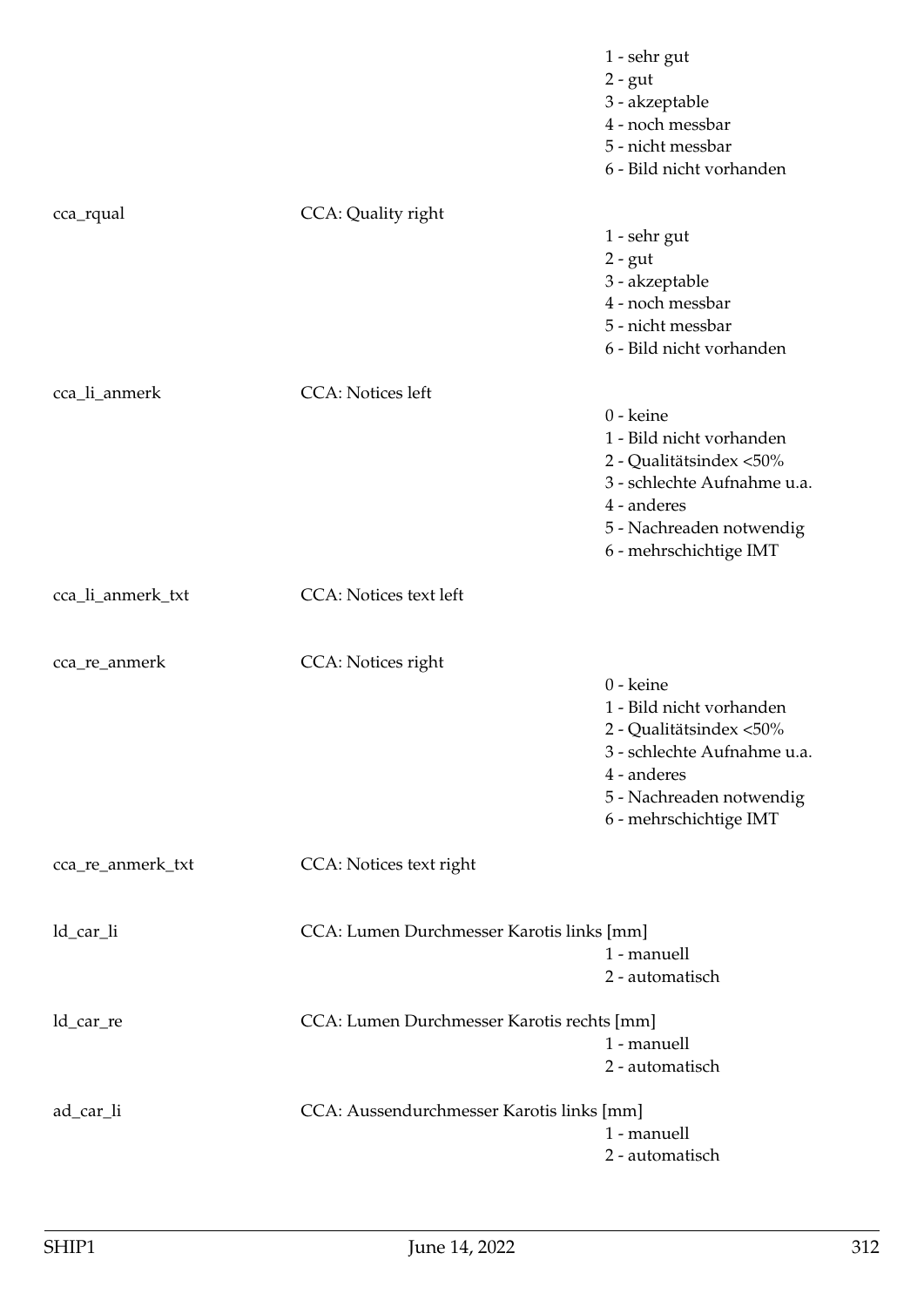|                   |                                            | 1 - sehr gut<br>$2 - gut$<br>3 - akzeptable<br>4 - noch messbar<br>5 - nicht messbar<br>6 - Bild nicht vorhanden                                                     |
|-------------------|--------------------------------------------|----------------------------------------------------------------------------------------------------------------------------------------------------------------------|
| cca_rqual         | CCA: Quality right                         | 1 - sehr gut<br>$2 - gut$<br>3 - akzeptable<br>4 - noch messbar<br>5 - nicht messbar<br>6 - Bild nicht vorhanden                                                     |
| cca_li_anmerk     | <b>CCA</b> : Notices left                  | 0 - keine<br>1 - Bild nicht vorhanden<br>2 - Qualitätsindex <50%<br>3 - schlechte Aufnahme u.a.<br>4 - anderes<br>5 - Nachreaden notwendig<br>6 - mehrschichtige IMT |
| cca_li_anmerk_txt | <b>CCA:</b> Notices text left              |                                                                                                                                                                      |
| cca_re_anmerk     | CCA: Notices right                         | 0 - keine<br>1 - Bild nicht vorhanden<br>2 - Qualitätsindex <50%<br>3 - schlechte Aufnahme u.a.<br>4 - anderes<br>5 - Nachreaden notwendig<br>6 - mehrschichtige IMT |
| cca_re_anmerk_txt | CCA: Notices text right                    |                                                                                                                                                                      |
| ld_car_li         | CCA: Lumen Durchmesser Karotis links [mm]  | 1 - manuell<br>2 - automatisch                                                                                                                                       |
| ld_car_re         | CCA: Lumen Durchmesser Karotis rechts [mm] | 1 - manuell<br>2 - automatisch                                                                                                                                       |
| ad_car_li         | CCA: Aussendurchmesser Karotis links [mm]  | 1 - manuell<br>2 - automatisch                                                                                                                                       |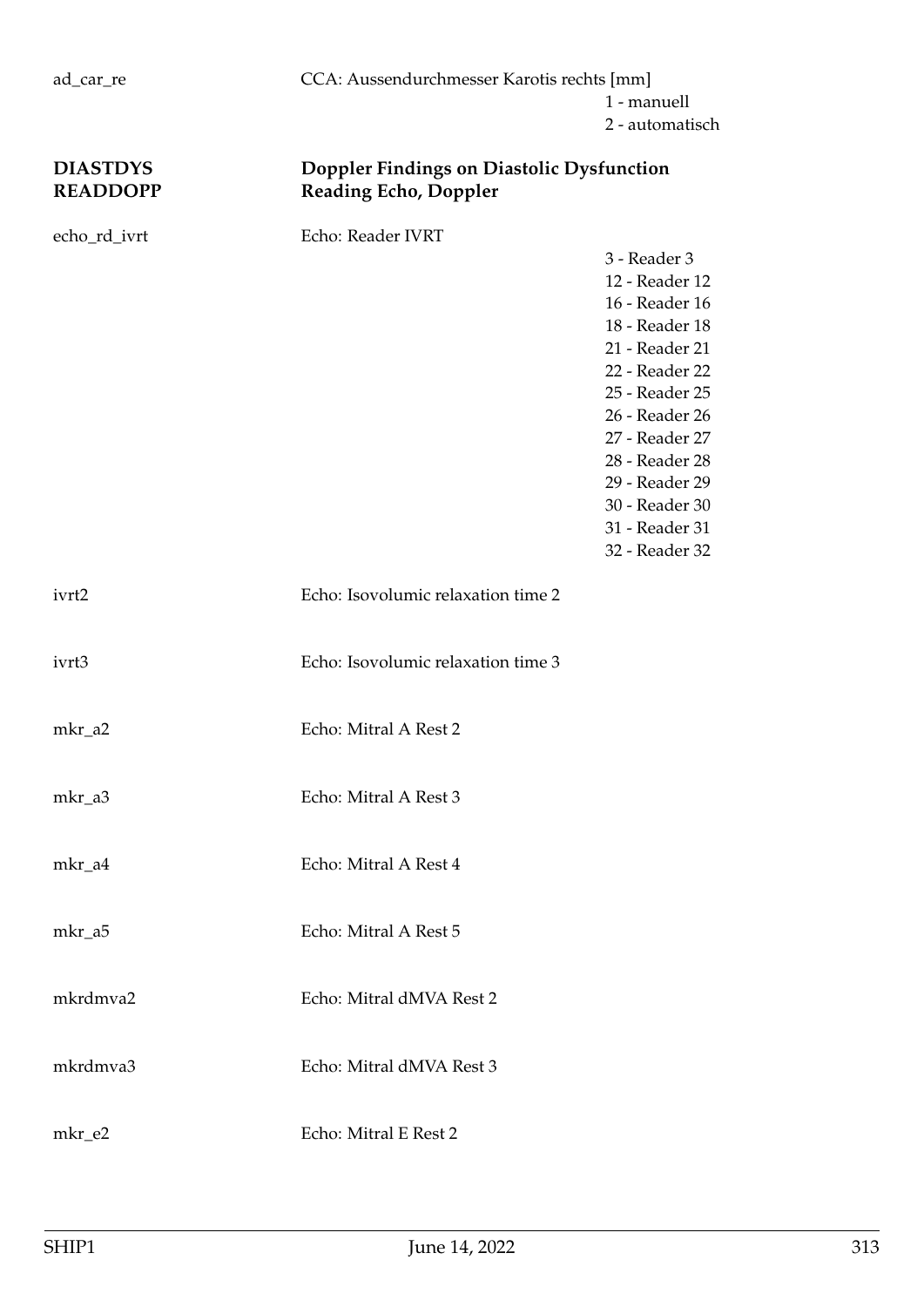3 - Reader 3

## **DIASTDYS Doppler Findings on Diastolic Dysfunction READDOPP Reading Echo, Doppler**

echo\_rd\_ivrt Echo: Reader IVRT

|          |                                    | 12 - Reader 12<br>16 - Reader 16<br>18 - Reader 18<br>21 - Reader 21<br>22 - Reader 22<br>25 - Reader 25<br>26 - Reader 26<br>27 - Reader 27<br>28 - Reader 28<br>29 - Reader 29<br>30 - Reader 30<br>31 - Reader 31<br>32 - Reader 32 |
|----------|------------------------------------|----------------------------------------------------------------------------------------------------------------------------------------------------------------------------------------------------------------------------------------|
| ivrt2    | Echo: Isovolumic relaxation time 2 |                                                                                                                                                                                                                                        |
| ivrt3    | Echo: Isovolumic relaxation time 3 |                                                                                                                                                                                                                                        |
| mkr_a2   | Echo: Mitral A Rest 2              |                                                                                                                                                                                                                                        |
| mkr_a3   | Echo: Mitral A Rest 3              |                                                                                                                                                                                                                                        |
| mkr_a4   | Echo: Mitral A Rest 4              |                                                                                                                                                                                                                                        |
| mkr_a5   | Echo: Mitral A Rest 5              |                                                                                                                                                                                                                                        |
| mkrdmva2 | Echo: Mitral dMVA Rest 2           |                                                                                                                                                                                                                                        |
| mkrdmva3 | Echo: Mitral dMVA Rest 3           |                                                                                                                                                                                                                                        |
| mkr_e2   | Echo: Mitral E Rest 2              |                                                                                                                                                                                                                                        |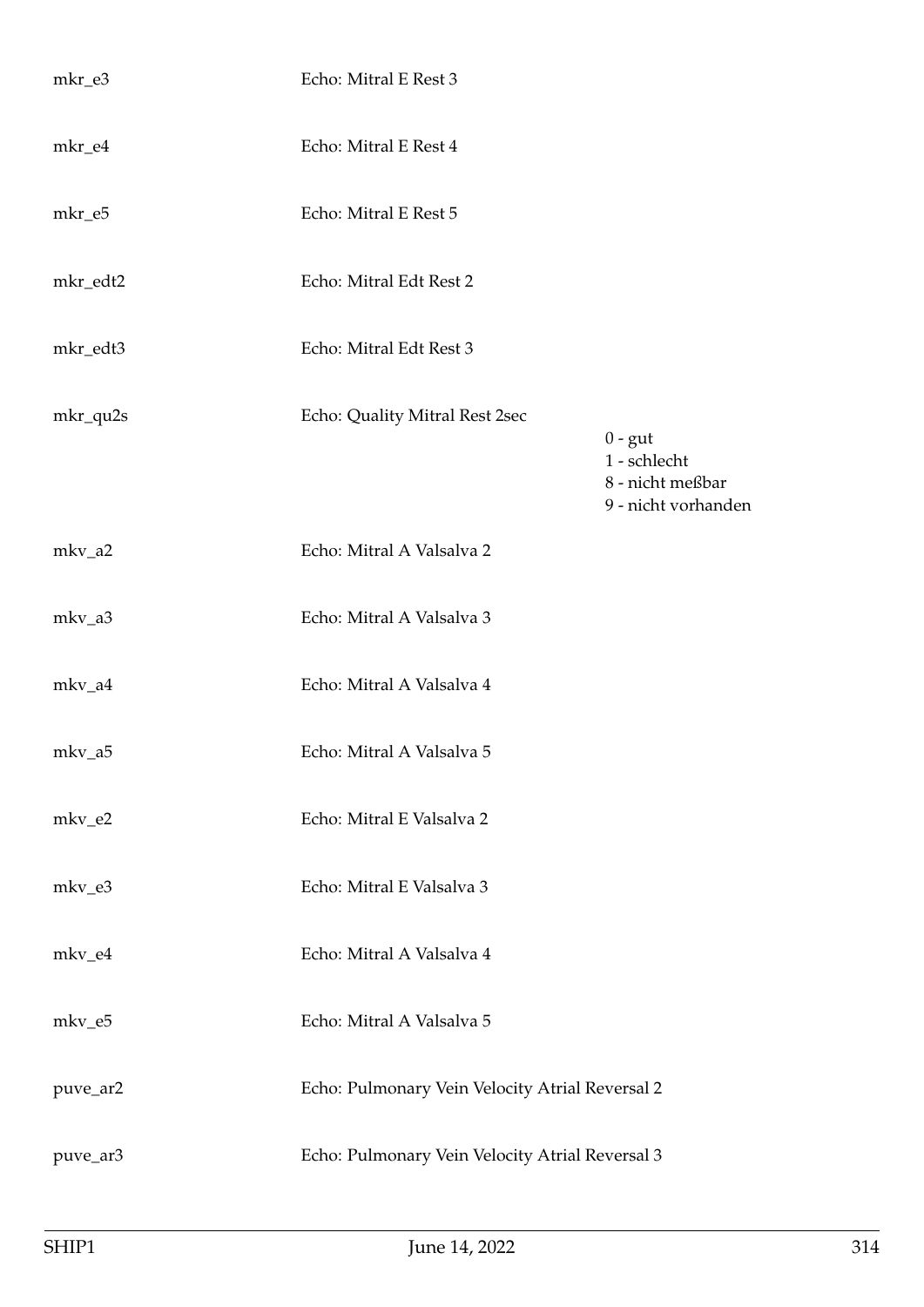| mkr_e3   | Echo: Mitral E Rest 3                           |                                                                      |
|----------|-------------------------------------------------|----------------------------------------------------------------------|
| mkr_e4   | Echo: Mitral E Rest 4                           |                                                                      |
| mkr_e5   | Echo: Mitral E Rest 5                           |                                                                      |
| mkr_edt2 | Echo: Mitral Edt Rest 2                         |                                                                      |
| mkr_edt3 | Echo: Mitral Edt Rest 3                         |                                                                      |
| mkr_qu2s | Echo: Quality Mitral Rest 2sec                  | $0 - gut$<br>1 - schlecht<br>8 - nicht meßbar<br>9 - nicht vorhanden |
| mkv_a2   | Echo: Mitral A Valsalva 2                       |                                                                      |
| mkv_a3   | Echo: Mitral A Valsalva 3                       |                                                                      |
| mkv_a4   | Echo: Mitral A Valsalva 4                       |                                                                      |
| mkv_a5   | Echo: Mitral A Valsalva 5                       |                                                                      |
| mkv_e2   | Echo: Mitral E Valsalva 2                       |                                                                      |
| mkv_e3   | Echo: Mitral E Valsalva 3                       |                                                                      |
| mkv_e4   | Echo: Mitral A Valsalva 4                       |                                                                      |
| mkv_e5   | Echo: Mitral A Valsalva 5                       |                                                                      |
| puve_ar2 | Echo: Pulmonary Vein Velocity Atrial Reversal 2 |                                                                      |
| puve_ar3 | Echo: Pulmonary Vein Velocity Atrial Reversal 3 |                                                                      |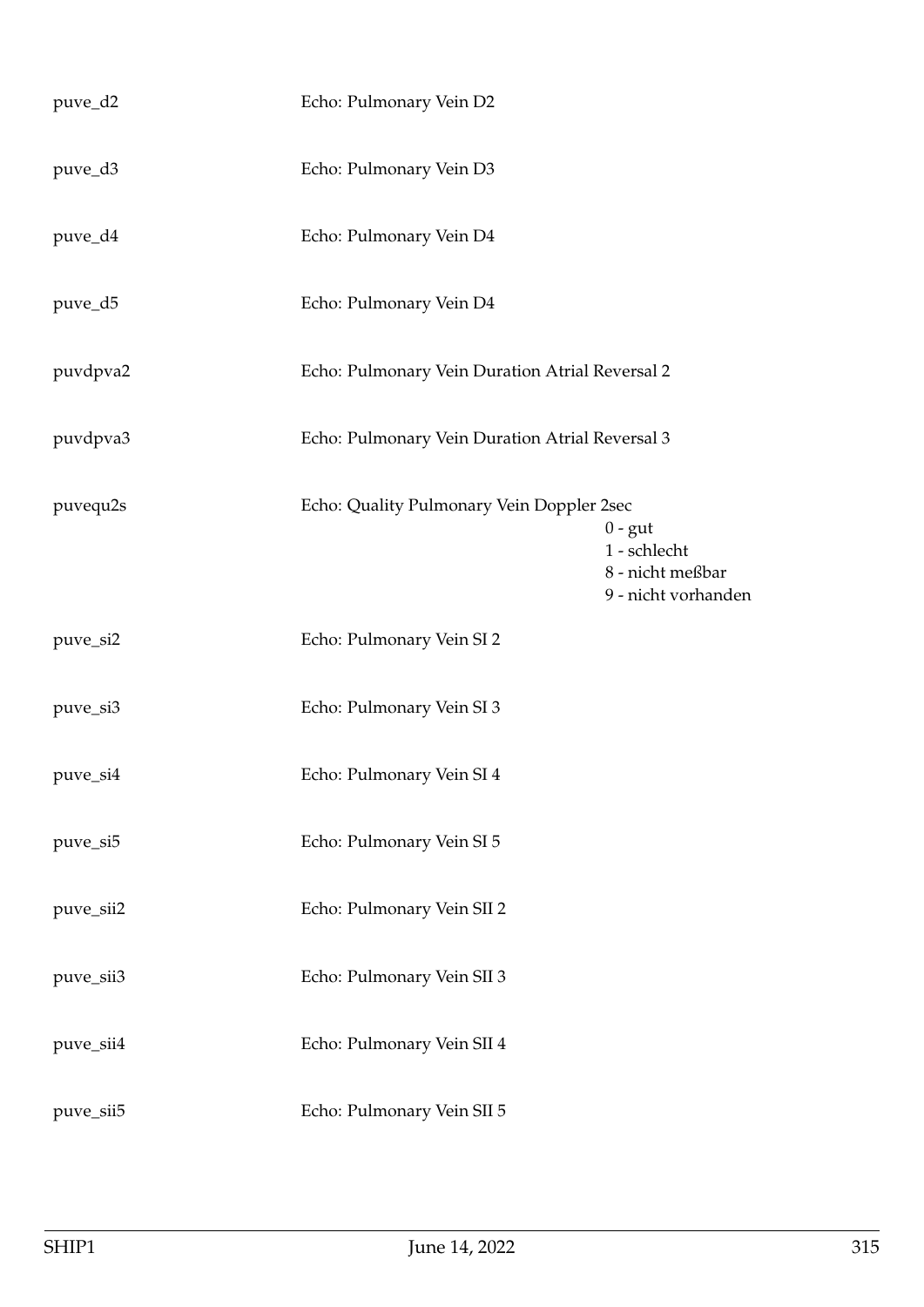| puve_d2   | Echo: Pulmonary Vein D2                         |                                                                      |
|-----------|-------------------------------------------------|----------------------------------------------------------------------|
| puve_d3   | Echo: Pulmonary Vein D3                         |                                                                      |
| puve_d4   | Echo: Pulmonary Vein D4                         |                                                                      |
| puve_d5   | Echo: Pulmonary Vein D4                         |                                                                      |
| puvdpva2  | Echo: Pulmonary Vein Duration Atrial Reversal 2 |                                                                      |
| puvdpva3  | Echo: Pulmonary Vein Duration Atrial Reversal 3 |                                                                      |
| puvequ2s  | Echo: Quality Pulmonary Vein Doppler 2sec       | $0 - gut$<br>1 - schlecht<br>8 - nicht meßbar<br>9 - nicht vorhanden |
| puve_si2  | Echo: Pulmonary Vein SI 2                       |                                                                      |
| puve_si3  | Echo: Pulmonary Vein SI 3                       |                                                                      |
| puve_si4  | Echo: Pulmonary Vein SI 4                       |                                                                      |
| puve_si5  | Echo: Pulmonary Vein SI 5                       |                                                                      |
| puve_sii2 | Echo: Pulmonary Vein SII 2                      |                                                                      |
| puve_sii3 | Echo: Pulmonary Vein SII 3                      |                                                                      |
| puve_sii4 | Echo: Pulmonary Vein SII 4                      |                                                                      |
| puve_sii5 | Echo: Pulmonary Vein SII 5                      |                                                                      |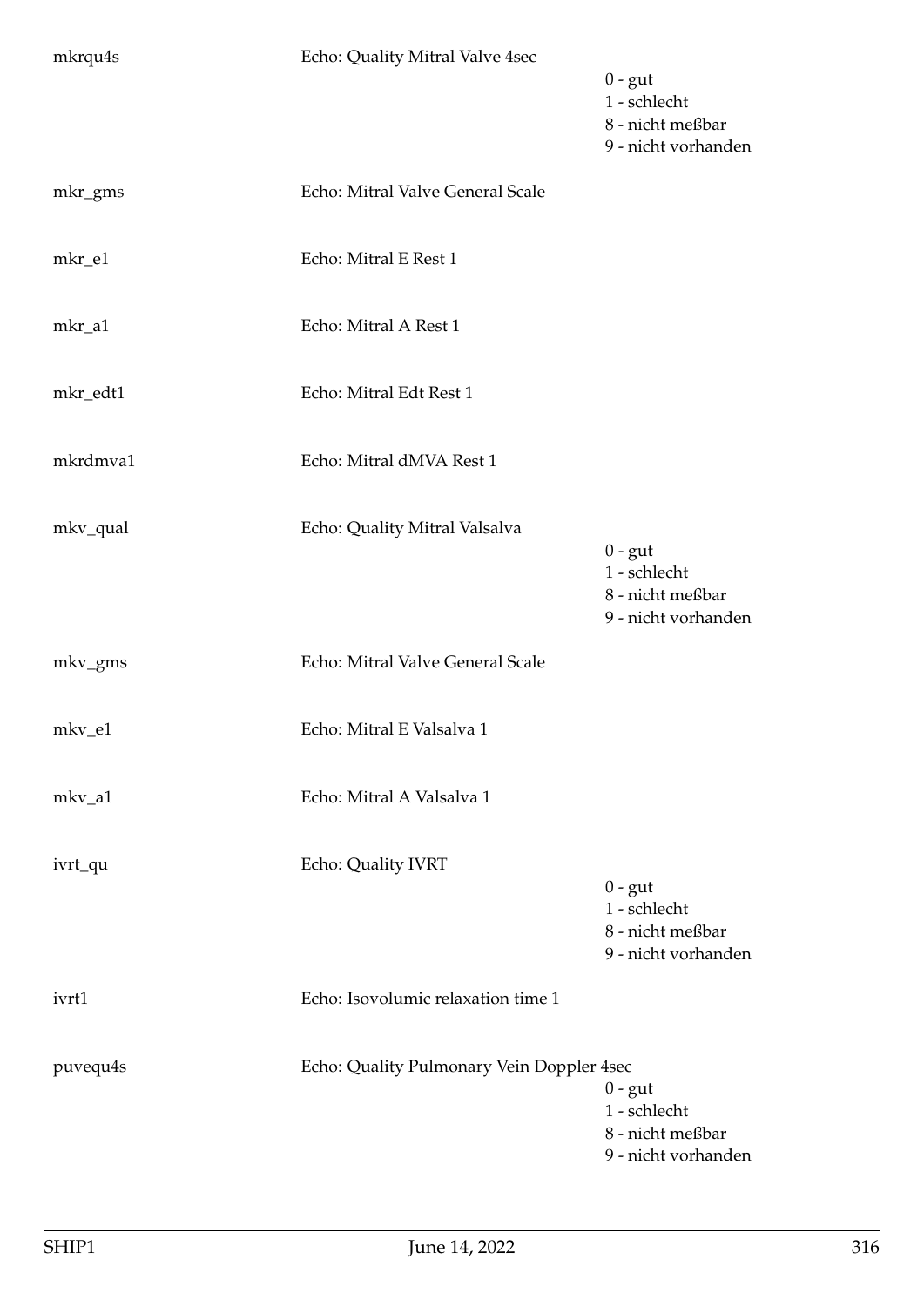| mkrqu4s  | Echo: Quality Mitral Valve 4sec           | $0 - gut$<br>1 - schlecht<br>8 - nicht meßbar<br>9 - nicht vorhanden |
|----------|-------------------------------------------|----------------------------------------------------------------------|
| mkr_gms  | Echo: Mitral Valve General Scale          |                                                                      |
| mkr_e1   | Echo: Mitral E Rest 1                     |                                                                      |
| mkr_a1   | Echo: Mitral A Rest 1                     |                                                                      |
| mkr_edt1 | Echo: Mitral Edt Rest 1                   |                                                                      |
| mkrdmva1 | Echo: Mitral dMVA Rest 1                  |                                                                      |
| mkv_qual | Echo: Quality Mitral Valsalva             | $0 - gut$<br>1 - schlecht<br>8 - nicht meßbar<br>9 - nicht vorhanden |
| mkv_gms  | Echo: Mitral Valve General Scale          |                                                                      |
| mkv_e1   | Echo: Mitral E Valsalva 1                 |                                                                      |
| mkv_a1   | Echo: Mitral A Valsalva 1                 |                                                                      |
| ivrt_qu  | Echo: Quality IVRT                        | $0 - gut$<br>1 - schlecht<br>8 - nicht meßbar<br>9 - nicht vorhanden |
| ivrt1    | Echo: Isovolumic relaxation time 1        |                                                                      |
| puvequ4s | Echo: Quality Pulmonary Vein Doppler 4sec | $0 - gut$<br>1 - schlecht<br>8 - nicht meßbar<br>9 - nicht vorhanden |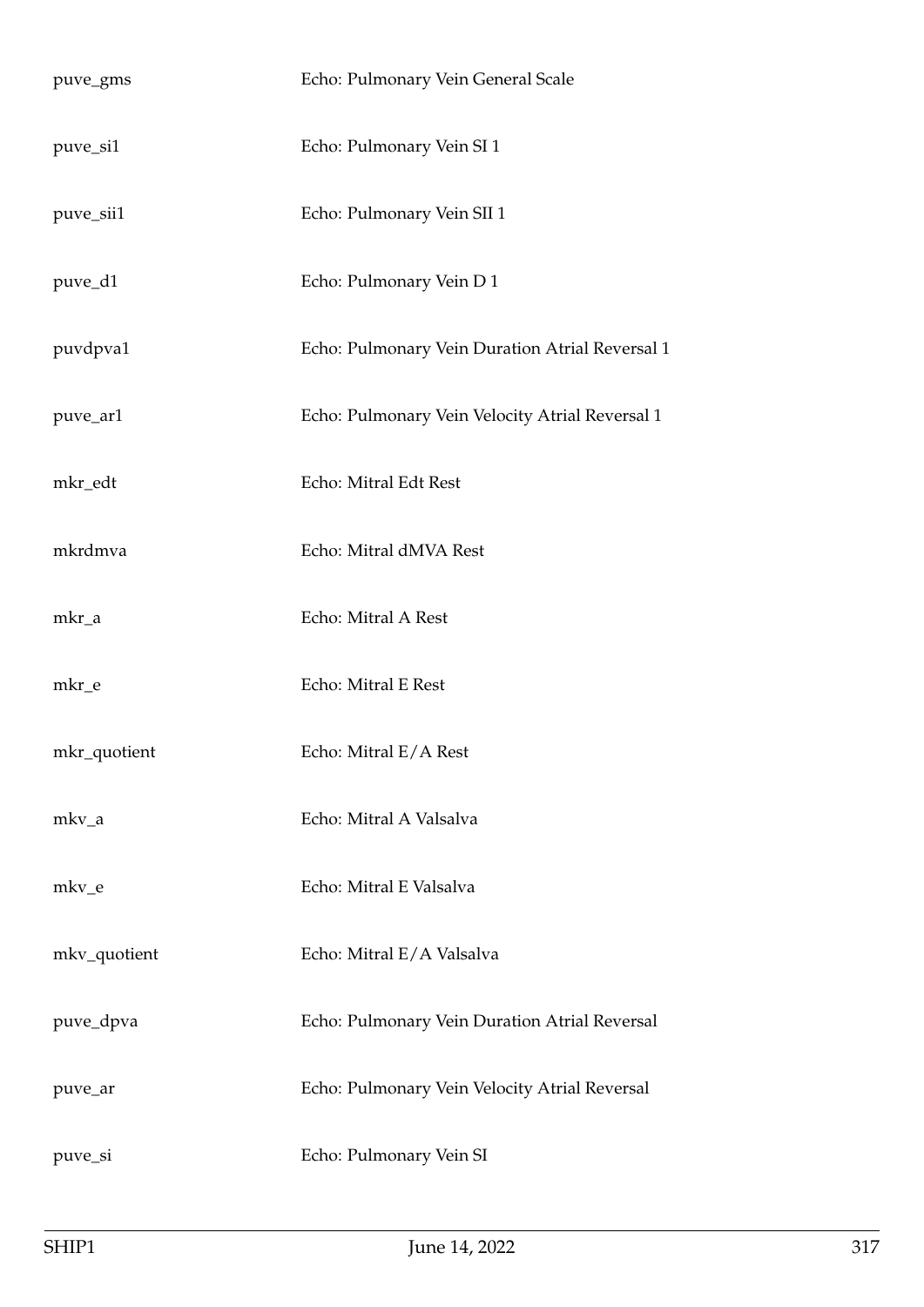| puve_gms     | Echo: Pulmonary Vein General Scale              |
|--------------|-------------------------------------------------|
| puve_si1     | Echo: Pulmonary Vein SI 1                       |
| puve_sii1    | Echo: Pulmonary Vein SII 1                      |
| puve_d1      | Echo: Pulmonary Vein D 1                        |
| puvdpva1     | Echo: Pulmonary Vein Duration Atrial Reversal 1 |
| puve_ar1     | Echo: Pulmonary Vein Velocity Atrial Reversal 1 |
| mkr_edt      | Echo: Mitral Edt Rest                           |
| mkrdmva      | Echo: Mitral dMVA Rest                          |
| mkr_a        | Echo: Mitral A Rest                             |
| mkr_e        | Echo: Mitral E Rest                             |
| mkr_quotient | Echo: Mitral E/A Rest                           |
| mkv_a        | Echo: Mitral A Valsalva                         |
| mkv_e        | Echo: Mitral E Valsalva                         |
| mkv_quotient | Echo: Mitral E/A Valsalva                       |
| puve_dpva    | Echo: Pulmonary Vein Duration Atrial Reversal   |
| puve_ar      | Echo: Pulmonary Vein Velocity Atrial Reversal   |
| puve_si      | Echo: Pulmonary Vein SI                         |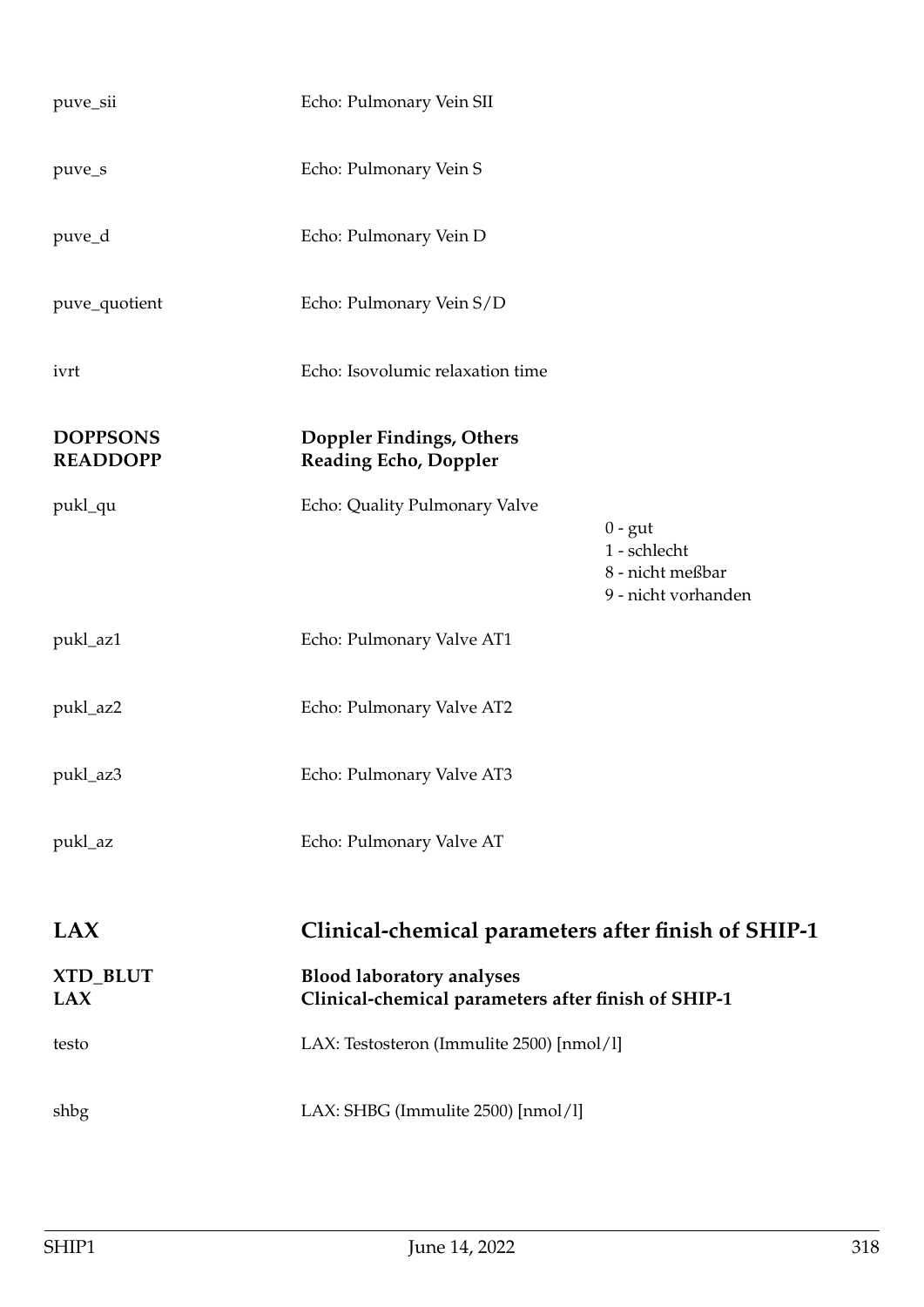| puve_sii                           | Echo: Pulmonary Vein SII                                                                |                                                                      |
|------------------------------------|-----------------------------------------------------------------------------------------|----------------------------------------------------------------------|
| puve_s                             | Echo: Pulmonary Vein S                                                                  |                                                                      |
| puve_d                             | Echo: Pulmonary Vein D                                                                  |                                                                      |
| puve_quotient                      | Echo: Pulmonary Vein S/D                                                                |                                                                      |
| ivrt                               | Echo: Isovolumic relaxation time                                                        |                                                                      |
| <b>DOPPSONS</b><br><b>READDOPP</b> | Doppler Findings, Others<br><b>Reading Echo, Doppler</b>                                |                                                                      |
| pukl_qu                            | Echo: Quality Pulmonary Valve                                                           | $0 - gut$<br>1 - schlecht<br>8 - nicht meßbar<br>9 - nicht vorhanden |
| pukl_az1                           | Echo: Pulmonary Valve AT1                                                               |                                                                      |
| pukl_az2                           | Echo: Pulmonary Valve AT2                                                               |                                                                      |
| pukl_az3                           | Echo: Pulmonary Valve AT3                                                               |                                                                      |
| pukl_az                            | Echo: Pulmonary Valve AT                                                                |                                                                      |
| LAX                                | Clinical-chemical parameters after finish of SHIP-1                                     |                                                                      |
| XTD_BLUT<br><b>LAX</b>             | <b>Blood laboratory analyses</b><br>Clinical-chemical parameters after finish of SHIP-1 |                                                                      |
| testo                              | LAX: Testosteron (Immulite 2500) [nmol/l]                                               |                                                                      |
| shbg                               | LAX: SHBG (Immulite 2500) [nmol/l]                                                      |                                                                      |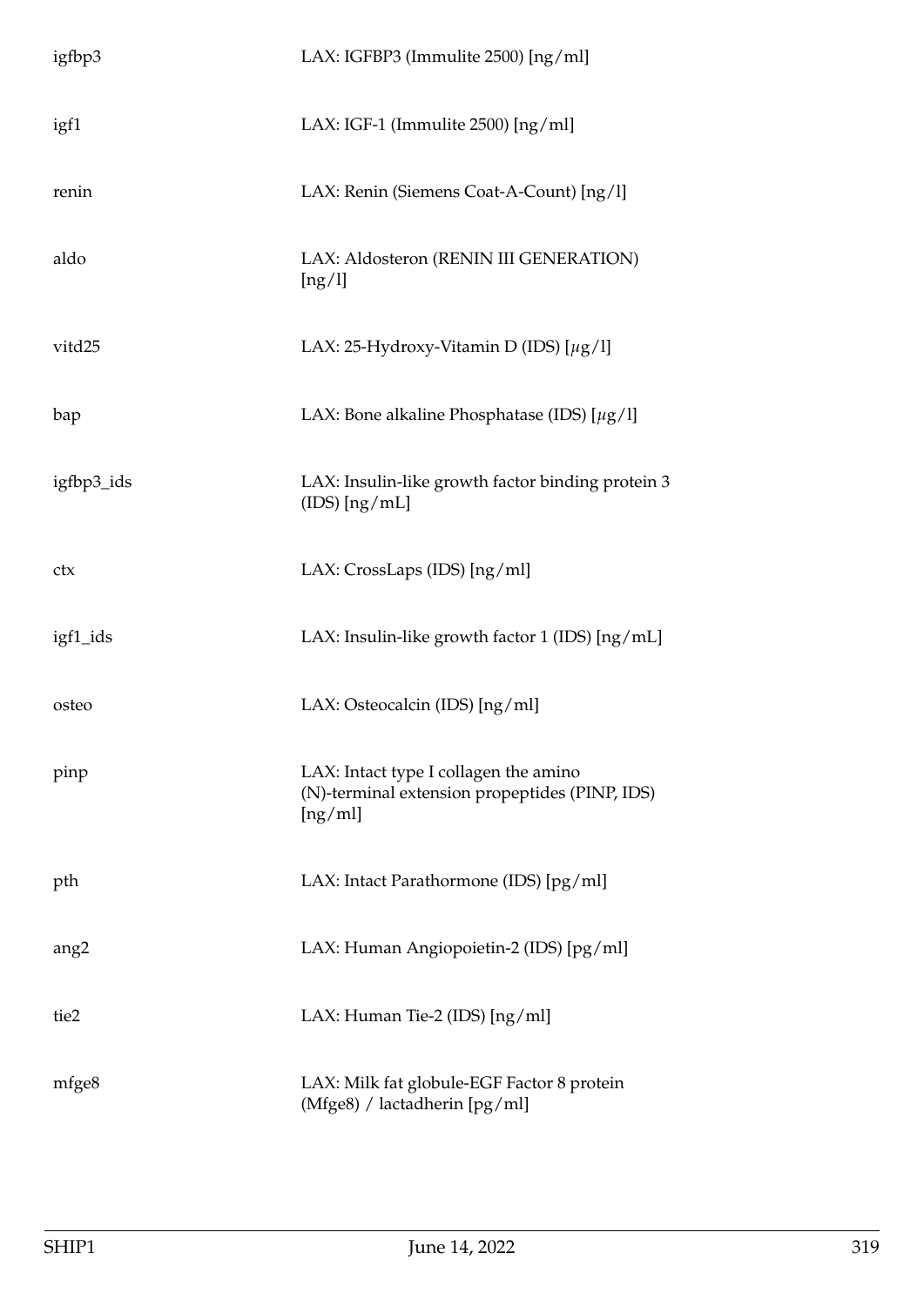| igfbp3           | LAX: IGFBP3 (Immulite 2500) [ng/ml]                                                                |  |
|------------------|----------------------------------------------------------------------------------------------------|--|
| igf1             | LAX: IGF-1 (Immulite $2500$ ) [ng/ml]                                                              |  |
| renin            | LAX: Renin (Siemens Coat-A-Count) [ng/l]                                                           |  |
| aldo             | LAX: Aldosteron (RENIN III GENERATION)<br>[ng/l]                                                   |  |
| vitd25           | LAX: 25-Hydroxy-Vitamin D (IDS) $[\mu g/l]$                                                        |  |
| bap              | LAX: Bone alkaline Phosphatase (IDS) $[\mu g/I]$                                                   |  |
| igfbp3_ids       | LAX: Insulin-like growth factor binding protein 3<br>$(IDS)$ [ng/mL]                               |  |
| ctx              | LAX: CrossLaps (IDS) [ng/ml]                                                                       |  |
| igf1_ids         | LAX: Insulin-like growth factor 1 (IDS) [ng/mL]                                                    |  |
| osteo            | LAX: Osteocalcin (IDS) [ng/ml]                                                                     |  |
| pinp             | LAX: Intact type I collagen the amino<br>(N)-terminal extension propeptides (PINP, IDS)<br>[ng/ml] |  |
| pth              | LAX: Intact Parathormone (IDS) [pg/ml]                                                             |  |
| ang <sub>2</sub> | LAX: Human Angiopoietin-2 (IDS) [pg/ml]                                                            |  |
| tie2             | LAX: Human Tie-2 (IDS) [ng/ml]                                                                     |  |
| mfge8            | LAX: Milk fat globule-EGF Factor 8 protein<br>(Mfge8) / lactadherin [pg/ml]                        |  |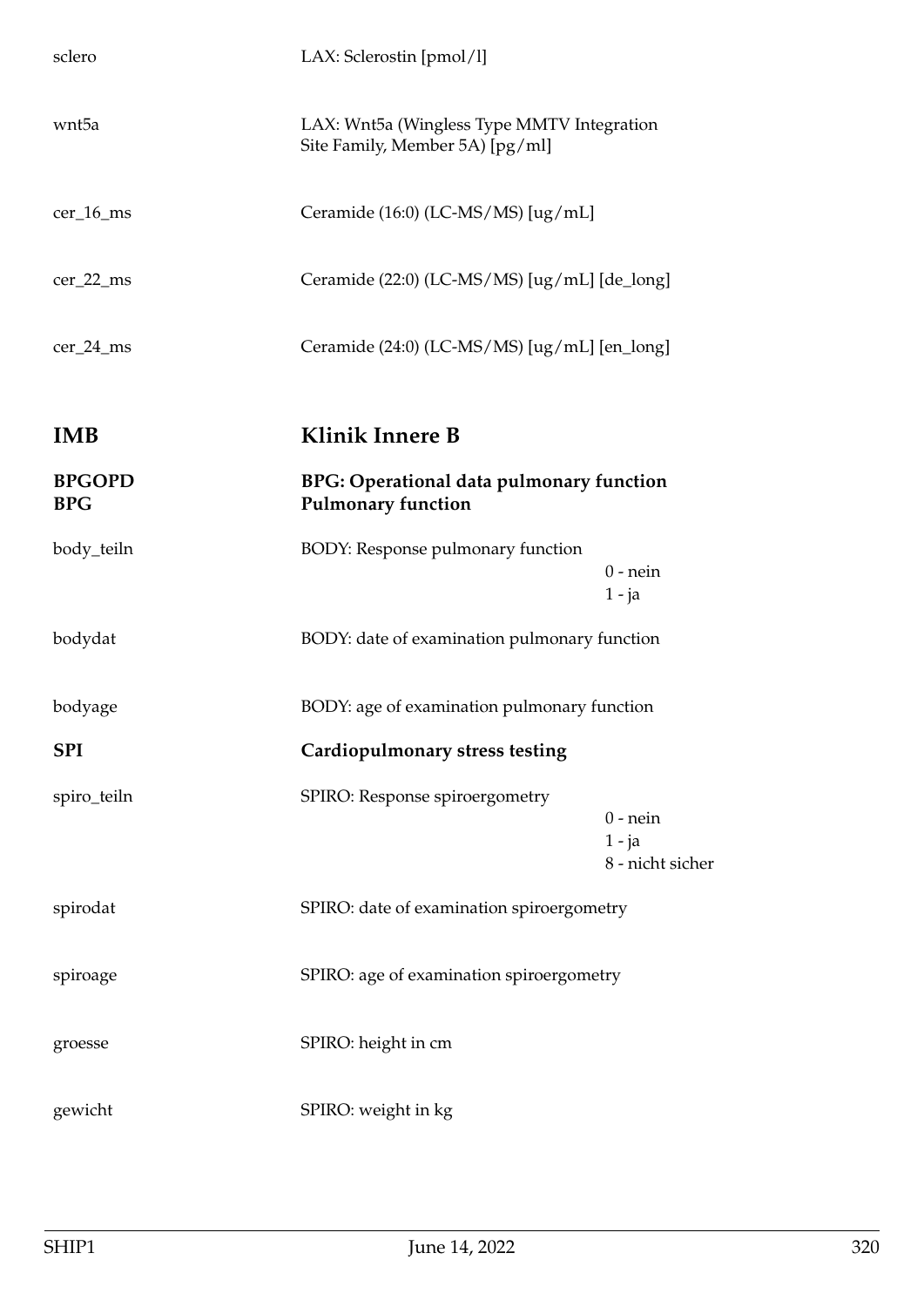| sclero                      | LAX: Sclerostin [pmol/l]                                                      |                                            |
|-----------------------------|-------------------------------------------------------------------------------|--------------------------------------------|
| wnt5a                       | LAX: Wnt5a (Wingless Type MMTV Integration<br>Site Family, Member 5A) [pg/ml] |                                            |
| cer_16_ms                   | Ceramide (16:0) (LC-MS/MS) [ug/mL]                                            |                                            |
| $cer_22_m$                  | Ceramide (22:0) (LC-MS/MS) [ug/mL] [de_long]                                  |                                            |
| $cer_24_m$ s                | Ceramide (24:0) (LC-MS/MS) [ug/mL] [en_long]                                  |                                            |
| <b>IMB</b>                  | <b>Klinik Innere B</b>                                                        |                                            |
| <b>BPGOPD</b><br><b>BPG</b> | <b>BPG: Operational data pulmonary function</b><br><b>Pulmonary function</b>  |                                            |
| body_teiln                  | BODY: Response pulmonary function                                             | $0$ - nein<br>$1 - ja$                     |
| bodydat                     | BODY: date of examination pulmonary function                                  |                                            |
| bodyage                     | BODY: age of examination pulmonary function                                   |                                            |
| <b>SPI</b>                  | Cardiopulmonary stress testing                                                |                                            |
| spiro_teiln                 | SPIRO: Response spiroergometry                                                | $0$ - nein<br>$1 - ja$<br>8 - nicht sicher |
| spirodat                    | SPIRO: date of examination spiroergometry                                     |                                            |
| spiroage                    | SPIRO: age of examination spiroergometry                                      |                                            |
| groesse                     | SPIRO: height in cm                                                           |                                            |
| gewicht                     | SPIRO: weight in kg                                                           |                                            |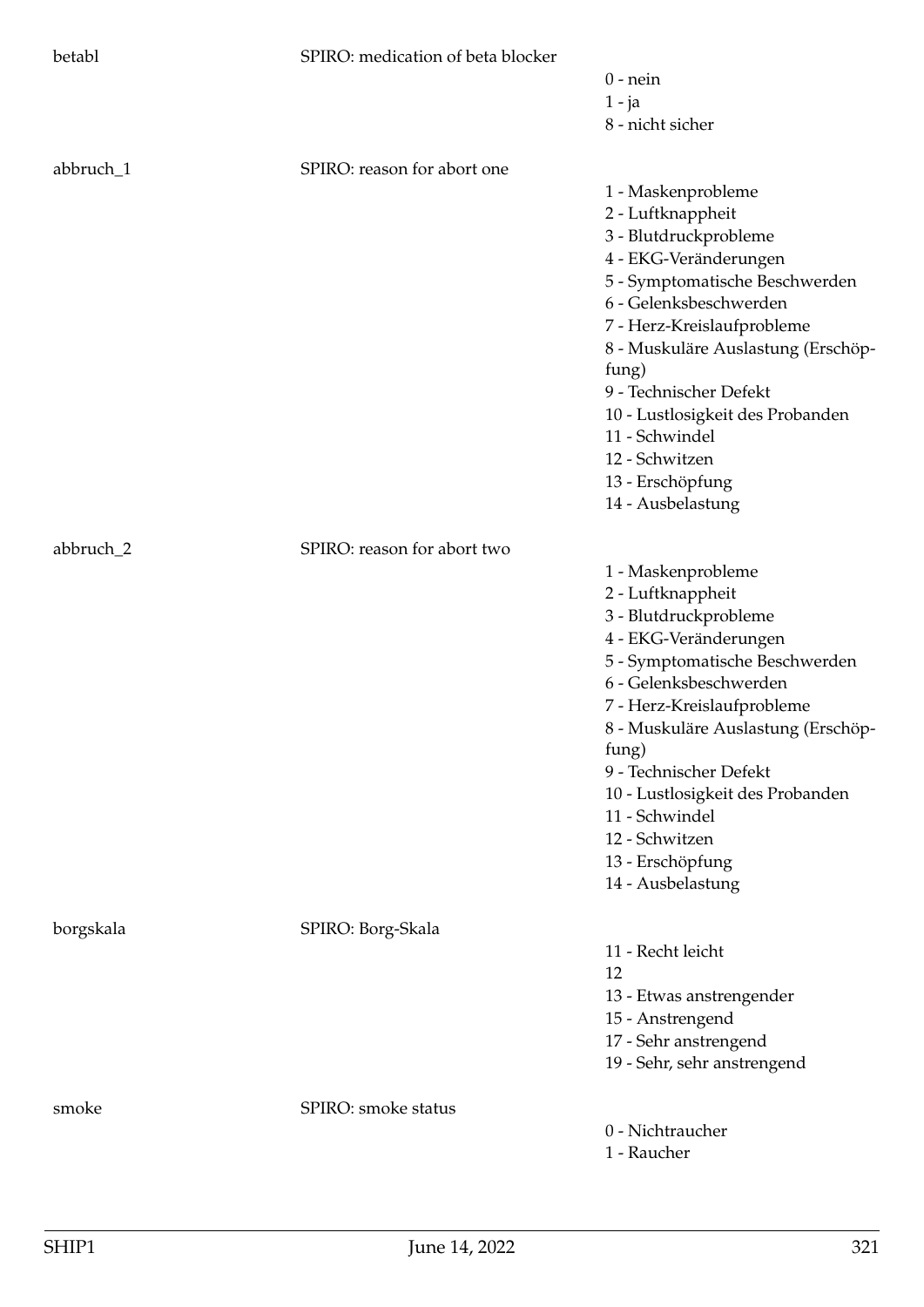| betabl    | SPIRO: medication of beta blocker |                                                          |
|-----------|-----------------------------------|----------------------------------------------------------|
|           |                                   | $0$ - nein                                               |
|           |                                   | $1 - ja$                                                 |
|           |                                   | 8 - nicht sicher                                         |
| abbruch_1 | SPIRO: reason for abort one       |                                                          |
|           |                                   | 1 - Maskenprobleme                                       |
|           |                                   | 2 - Luftknappheit                                        |
|           |                                   | 3 - Blutdruckprobleme                                    |
|           |                                   | 4 - EKG-Veränderungen                                    |
|           |                                   | 5 - Symptomatische Beschwerden                           |
|           |                                   | 6 - Gelenksbeschwerden                                   |
|           |                                   | 7 - Herz-Kreislaufprobleme                               |
|           |                                   | 8 - Muskuläre Auslastung (Erschöp-                       |
|           |                                   | fung)                                                    |
|           |                                   | 9 - Technischer Defekt                                   |
|           |                                   | 10 - Lustlosigkeit des Probanden                         |
|           |                                   | 11 - Schwindel                                           |
|           |                                   | 12 - Schwitzen                                           |
|           |                                   | 13 - Erschöpfung                                         |
|           |                                   | 14 - Ausbelastung                                        |
| abbruch_2 | SPIRO: reason for abort two       |                                                          |
|           |                                   | 1 - Maskenprobleme                                       |
|           |                                   | 2 - Luftknappheit                                        |
|           |                                   | 3 - Blutdruckprobleme                                    |
|           |                                   | 4 - EKG-Veränderungen                                    |
|           |                                   | 5 - Symptomatische Beschwerden<br>6 - Gelenksbeschwerden |
|           |                                   | 7 - Herz-Kreislaufprobleme                               |
|           |                                   | 8 - Muskuläre Auslastung (Erschöp-                       |
|           |                                   | fung)                                                    |
|           |                                   | 9 - Technischer Defekt                                   |
|           |                                   | 10 - Lustlosigkeit des Probanden                         |
|           |                                   | 11 - Schwindel                                           |
|           |                                   | 12 - Schwitzen                                           |
|           |                                   | 13 - Erschöpfung                                         |
|           |                                   | 14 - Ausbelastung                                        |
| borgskala | SPIRO: Borg-Skala                 |                                                          |
|           |                                   | 11 - Recht leicht                                        |
|           |                                   | 12                                                       |
|           |                                   | 13 - Etwas anstrengender                                 |
|           |                                   | 15 - Anstrengend                                         |
|           |                                   | 17 - Sehr anstrengend                                    |
|           |                                   | 19 - Sehr, sehr anstrengend                              |
| smoke     | SPIRO: smoke status               |                                                          |
|           |                                   | 0 - Nichtraucher                                         |
|           |                                   | 1 - Raucher                                              |
|           |                                   |                                                          |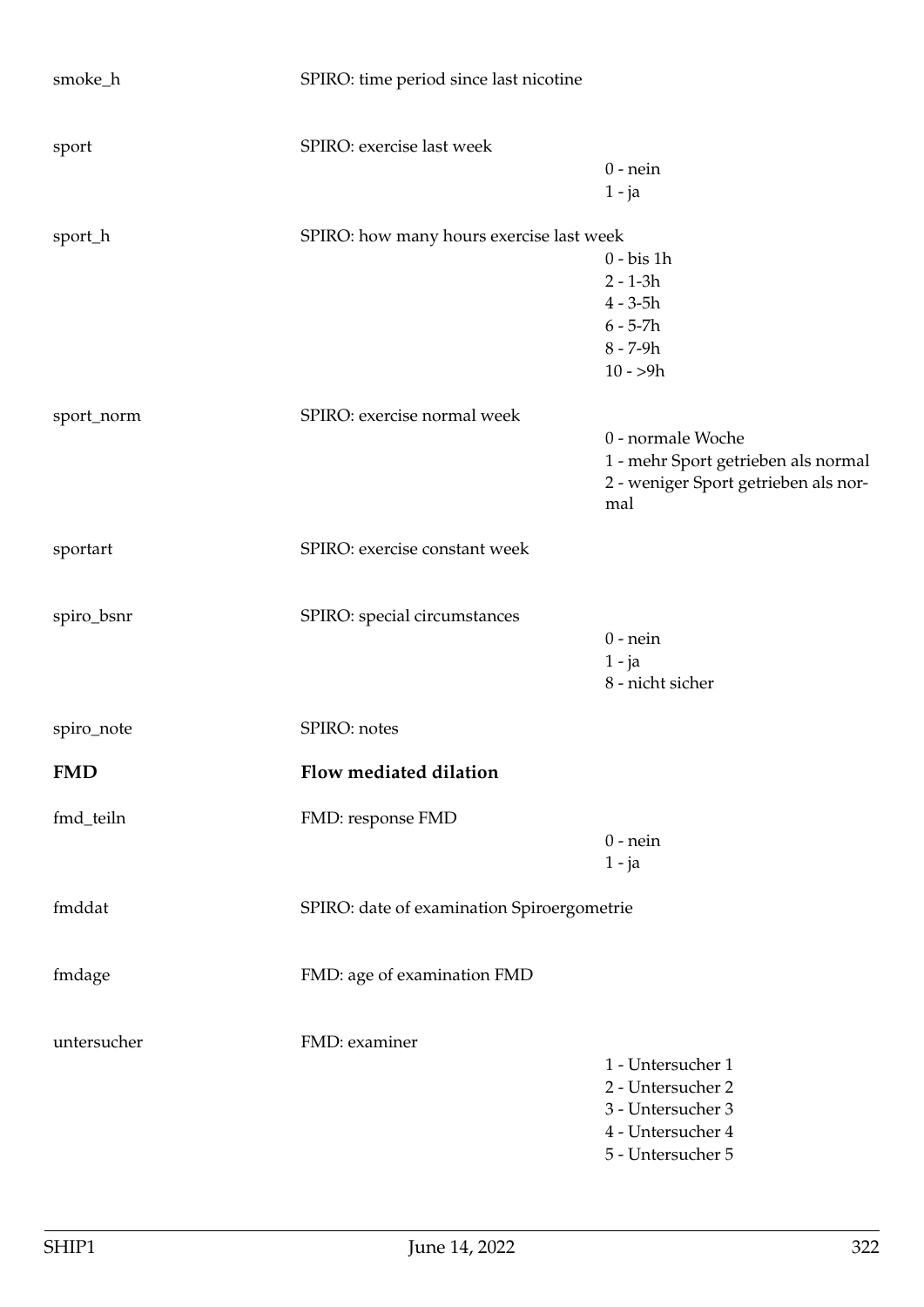| smoke_h     | SPIRO: time period since last nicotine     |                                      |
|-------------|--------------------------------------------|--------------------------------------|
| sport       | SPIRO: exercise last week                  |                                      |
|             |                                            | $0$ - nein                           |
|             |                                            | $1 - ja$                             |
| sport_h     | SPIRO: how many hours exercise last week   |                                      |
|             |                                            | $0 - bis 1h$                         |
|             |                                            | $2 - 1 - 3h$                         |
|             |                                            | $4 - 3 - 5h$                         |
|             |                                            | $6 - 5 - 7h$                         |
|             |                                            | $8 - 7 - 9h$                         |
|             |                                            | $10 - 9h$                            |
| sport_norm  | SPIRO: exercise normal week                |                                      |
|             |                                            | 0 - normale Woche                    |
|             |                                            | 1 - mehr Sport getrieben als normal  |
|             |                                            | 2 - weniger Sport getrieben als nor- |
|             |                                            | mal                                  |
| sportart    | SPIRO: exercise constant week              |                                      |
|             |                                            |                                      |
| spiro_bsnr  | SPIRO: special circumstances               |                                      |
|             |                                            | $0$ - nein                           |
|             |                                            | $1 - ja$                             |
|             |                                            | 8 - nicht sicher                     |
|             |                                            |                                      |
| spiro_note  | SPIRO: notes                               |                                      |
| <b>FMD</b>  | Flow mediated dilation                     |                                      |
| fmd_teiln   | FMD: response FMD                          |                                      |
|             |                                            | $0$ - nein                           |
|             |                                            | $1 - ja$                             |
| fmddat      | SPIRO: date of examination Spiroergometrie |                                      |
| fmdage      | FMD: age of examination FMD                |                                      |
|             |                                            |                                      |
| untersucher | FMD: examiner                              |                                      |
|             |                                            | 1 - Untersucher 1                    |
|             |                                            | 2 - Untersucher 2                    |
|             |                                            | 3 - Untersucher 3                    |
|             |                                            | 4 - Untersucher 4                    |
|             |                                            | 5 - Untersucher 5                    |
|             |                                            |                                      |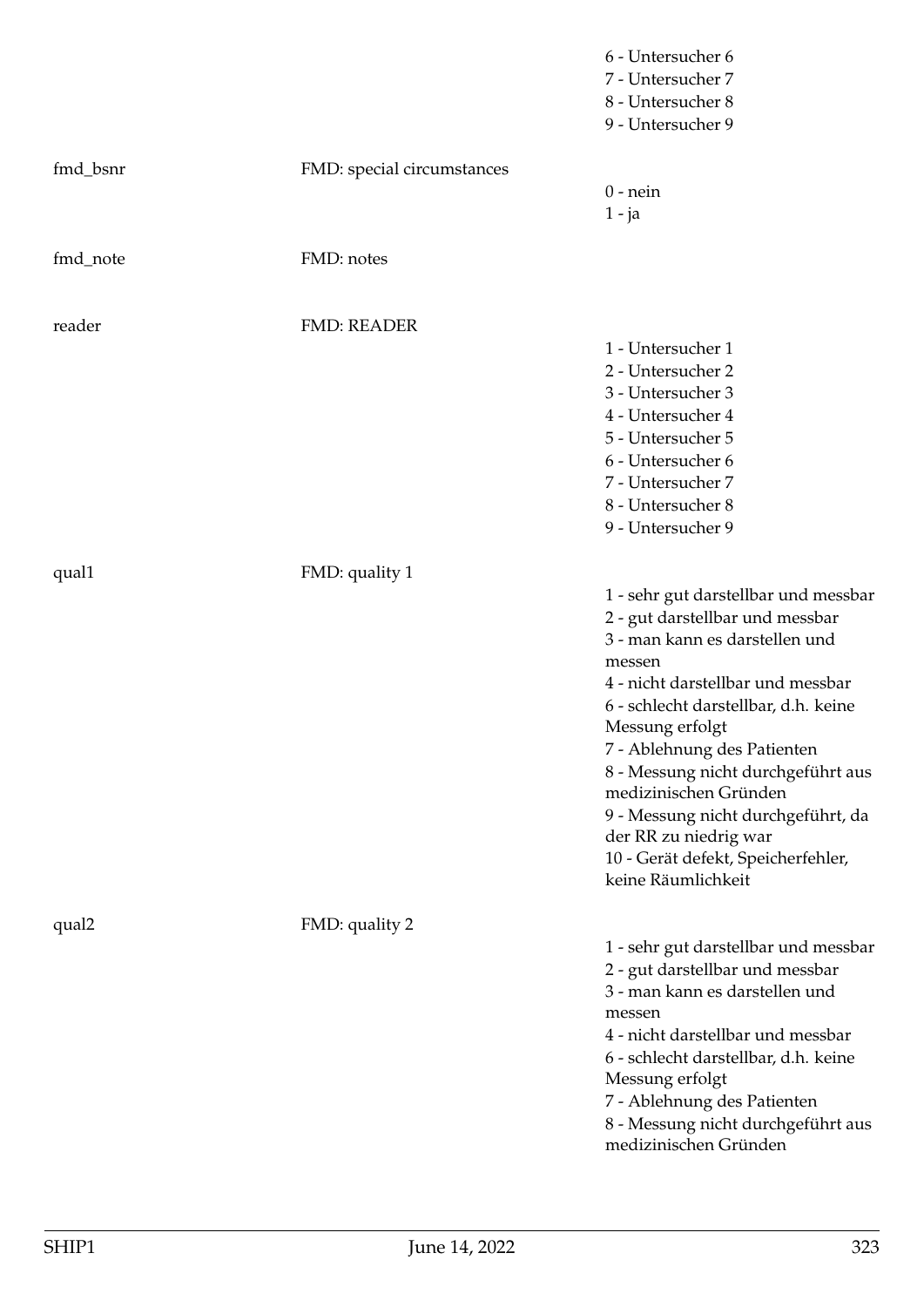|          |                            | 6 - Untersucher 6<br>7 - Untersucher 7<br>8 - Untersucher 8<br>9 - Untersucher 9                                                                                                                                                                                                                                                                                                                                                             |
|----------|----------------------------|----------------------------------------------------------------------------------------------------------------------------------------------------------------------------------------------------------------------------------------------------------------------------------------------------------------------------------------------------------------------------------------------------------------------------------------------|
| fmd_bsnr | FMD: special circumstances | $0$ - nein<br>$1 - ja$                                                                                                                                                                                                                                                                                                                                                                                                                       |
| fmd_note | FMD: notes                 |                                                                                                                                                                                                                                                                                                                                                                                                                                              |
| reader   | <b>FMD: READER</b>         | 1 - Untersucher 1<br>2 - Untersucher 2<br>3 - Untersucher 3<br>4 - Untersucher 4<br>5 - Untersucher 5<br>6 - Untersucher 6<br>7 - Untersucher 7<br>8 - Untersucher 8<br>9 - Untersucher 9                                                                                                                                                                                                                                                    |
| qual1    | FMD: quality 1             | 1 - sehr gut darstellbar und messbar<br>2 - gut darstellbar und messbar<br>3 - man kann es darstellen und<br>messen<br>4 - nicht darstellbar und messbar<br>6 - schlecht darstellbar, d.h. keine<br>Messung erfolgt<br>7 - Ablehnung des Patienten<br>8 - Messung nicht durchgeführt aus<br>medizinischen Gründen<br>9 - Messung nicht durchgeführt, da<br>der RR zu niedrig war<br>10 - Gerät defekt, Speicherfehler,<br>keine Räumlichkeit |
| qual2    | FMD: quality 2             | 1 - sehr gut darstellbar und messbar<br>2 - gut darstellbar und messbar<br>3 - man kann es darstellen und<br>messen<br>4 - nicht darstellbar und messbar<br>6 - schlecht darstellbar, d.h. keine<br>Messung erfolgt<br>7 - Ablehnung des Patienten<br>8 - Messung nicht durchgeführt aus<br>medizinischen Gründen                                                                                                                            |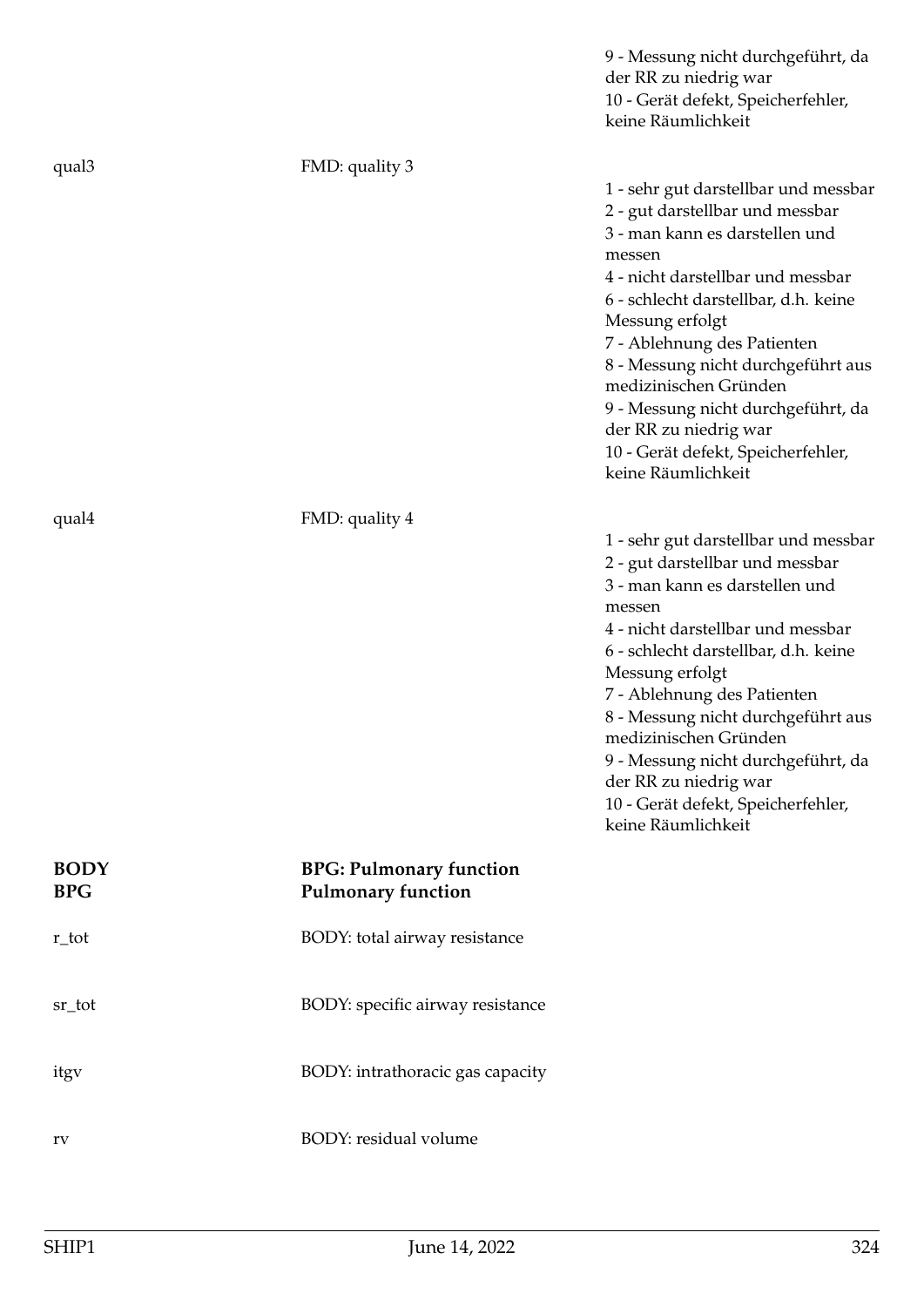|                           |                                                             | 9 - Messung nicht durchgeführt, da<br>der RR zu niedrig war<br>10 - Gerät defekt, Speicherfehler,<br>keine Räumlichkeit                                                                                                                                                                                                                                                                                                                      |
|---------------------------|-------------------------------------------------------------|----------------------------------------------------------------------------------------------------------------------------------------------------------------------------------------------------------------------------------------------------------------------------------------------------------------------------------------------------------------------------------------------------------------------------------------------|
| qual3                     | FMD: quality 3                                              | 1 - sehr gut darstellbar und messbar<br>2 - gut darstellbar und messbar<br>3 - man kann es darstellen und<br>messen<br>4 - nicht darstellbar und messbar<br>6 - schlecht darstellbar, d.h. keine<br>Messung erfolgt<br>7 - Ablehnung des Patienten<br>8 - Messung nicht durchgeführt aus<br>medizinischen Gründen<br>9 - Messung nicht durchgeführt, da<br>der RR zu niedrig war<br>10 - Gerät defekt, Speicherfehler,<br>keine Räumlichkeit |
| qual4                     | FMD: quality 4                                              | 1 - sehr gut darstellbar und messbar<br>2 - gut darstellbar und messbar<br>3 - man kann es darstellen und<br>messen<br>4 - nicht darstellbar und messbar<br>6 - schlecht darstellbar, d.h. keine<br>Messung erfolgt<br>7 - Ablehnung des Patienten<br>8 - Messung nicht durchgeführt aus<br>medizinischen Gründen<br>9 - Messung nicht durchgeführt, da<br>der RR zu niedrig war<br>10 - Gerät defekt, Speicherfehler,<br>keine Räumlichkeit |
| <b>BODY</b><br><b>BPG</b> | <b>BPG: Pulmonary function</b><br><b>Pulmonary function</b> |                                                                                                                                                                                                                                                                                                                                                                                                                                              |
| r_tot                     | BODY: total airway resistance                               |                                                                                                                                                                                                                                                                                                                                                                                                                                              |
| sr_tot                    | BODY: specific airway resistance                            |                                                                                                                                                                                                                                                                                                                                                                                                                                              |
| itgy                      | BODY: intrathoracic gas capacity                            |                                                                                                                                                                                                                                                                                                                                                                                                                                              |
| rv                        | BODY: residual volume                                       |                                                                                                                                                                                                                                                                                                                                                                                                                                              |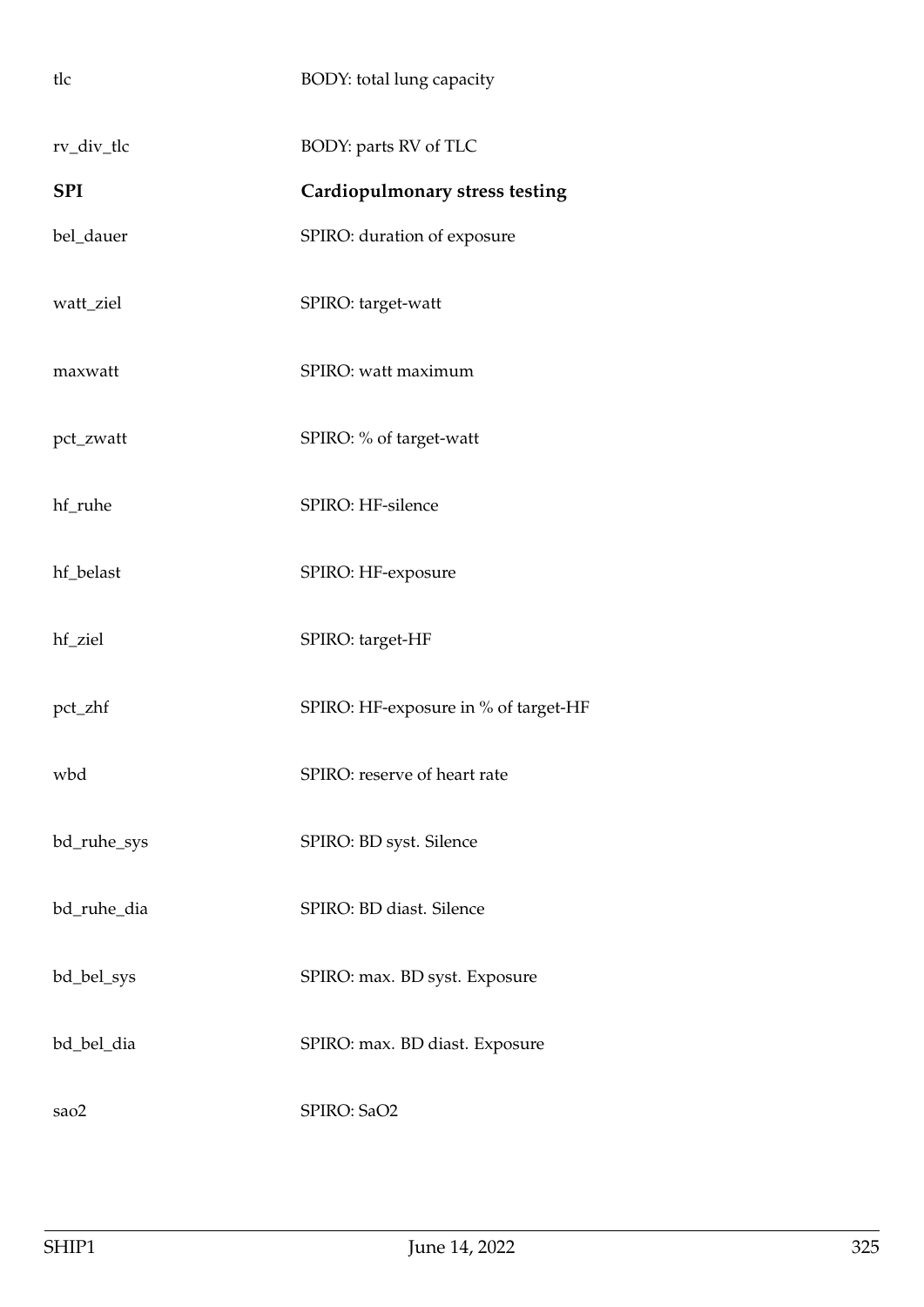| tlc         | BODY: total lung capacity            |
|-------------|--------------------------------------|
| rv_div_tlc  | BODY: parts RV of TLC                |
| <b>SPI</b>  | Cardiopulmonary stress testing       |
| bel_dauer   | SPIRO: duration of exposure          |
| watt_ziel   | SPIRO: target-watt                   |
| maxwatt     | SPIRO: watt maximum                  |
| pct_zwatt   | SPIRO: % of target-watt              |
| hf_ruhe     | SPIRO: HF-silence                    |
| hf_belast   | SPIRO: HF-exposure                   |
| hf_ziel     | SPIRO: target-HF                     |
| pct_zhf     | SPIRO: HF-exposure in % of target-HF |
| wbd         | SPIRO: reserve of heart rate         |
| bd_ruhe_sys | SPIRO: BD syst. Silence              |
| bd_ruhe_dia | SPIRO: BD diast. Silence             |
| bd_bel_sys  | SPIRO: max. BD syst. Exposure        |
| bd_bel_dia  | SPIRO: max. BD diast. Exposure       |
| sao2        | SPIRO: SaO2                          |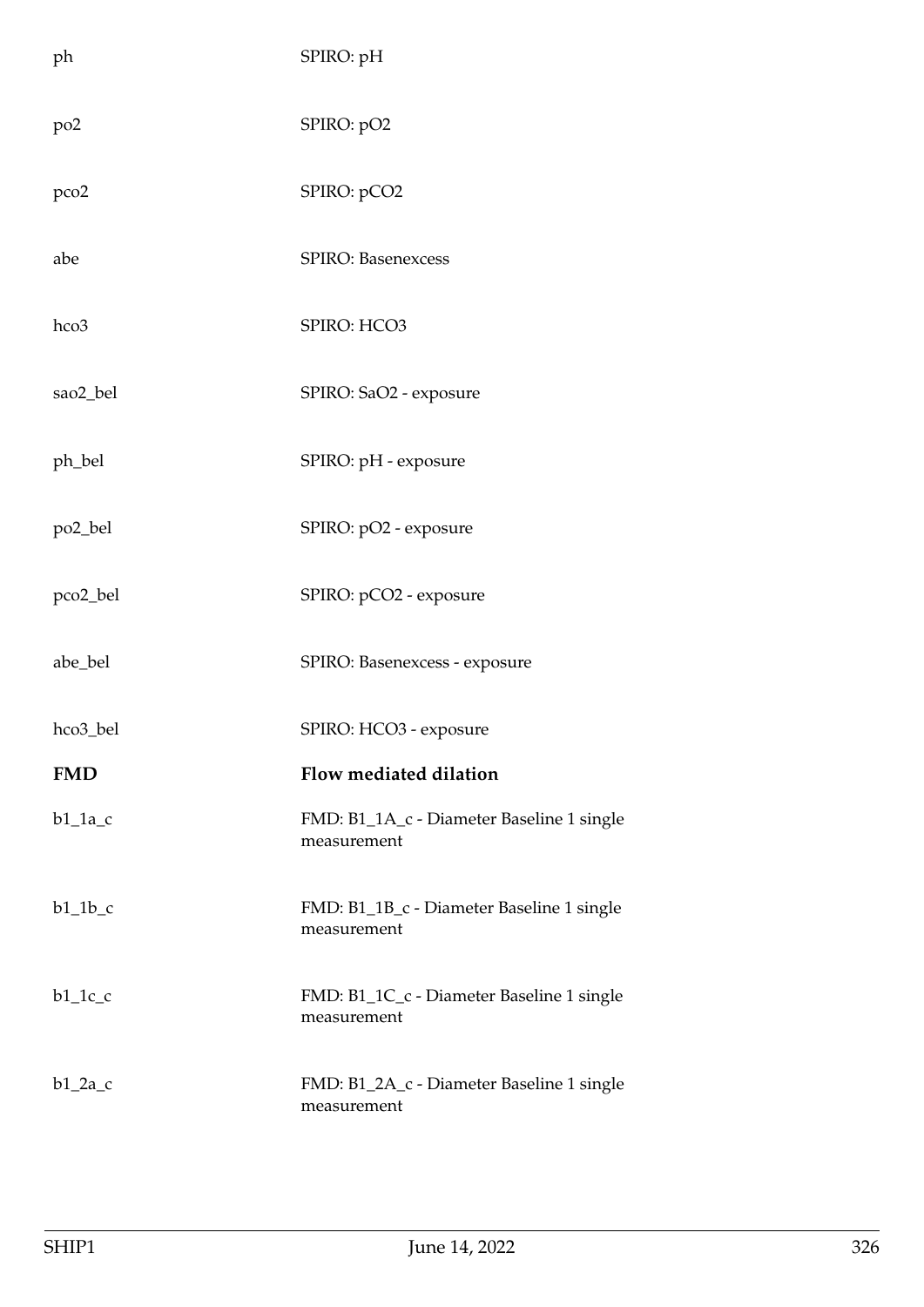| ph              | SPIRO: pH                                                |
|-----------------|----------------------------------------------------------|
| po <sub>2</sub> | SPIRO: pO2                                               |
| pco2            | SPIRO: pCO2                                              |
| abe             | SPIRO: Basenexcess                                       |
| hco3            | SPIRO: HCO3                                              |
| sao2_bel        | SPIRO: SaO2 - exposure                                   |
| ph_bel          | SPIRO: pH - exposure                                     |
| po2_bel         | SPIRO: pO2 - exposure                                    |
| pco2_bel        | SPIRO: pCO2 - exposure                                   |
| abe_bel         | SPIRO: Basenexcess - exposure                            |
| hco3_bel        | SPIRO: HCO3 - exposure                                   |
| <b>FMD</b>      | Flow mediated dilation                                   |
| $b1_1a_c$       | FMD: B1_1A_c - Diameter Baseline 1 single<br>measurement |
| $b1_1b_c$       | FMD: B1_1B_c - Diameter Baseline 1 single<br>measurement |
| $b1_1c_c$       | FMD: B1_1C_c - Diameter Baseline 1 single<br>measurement |
| $b1_2a_c$       | FMD: B1_2A_c - Diameter Baseline 1 single<br>measurement |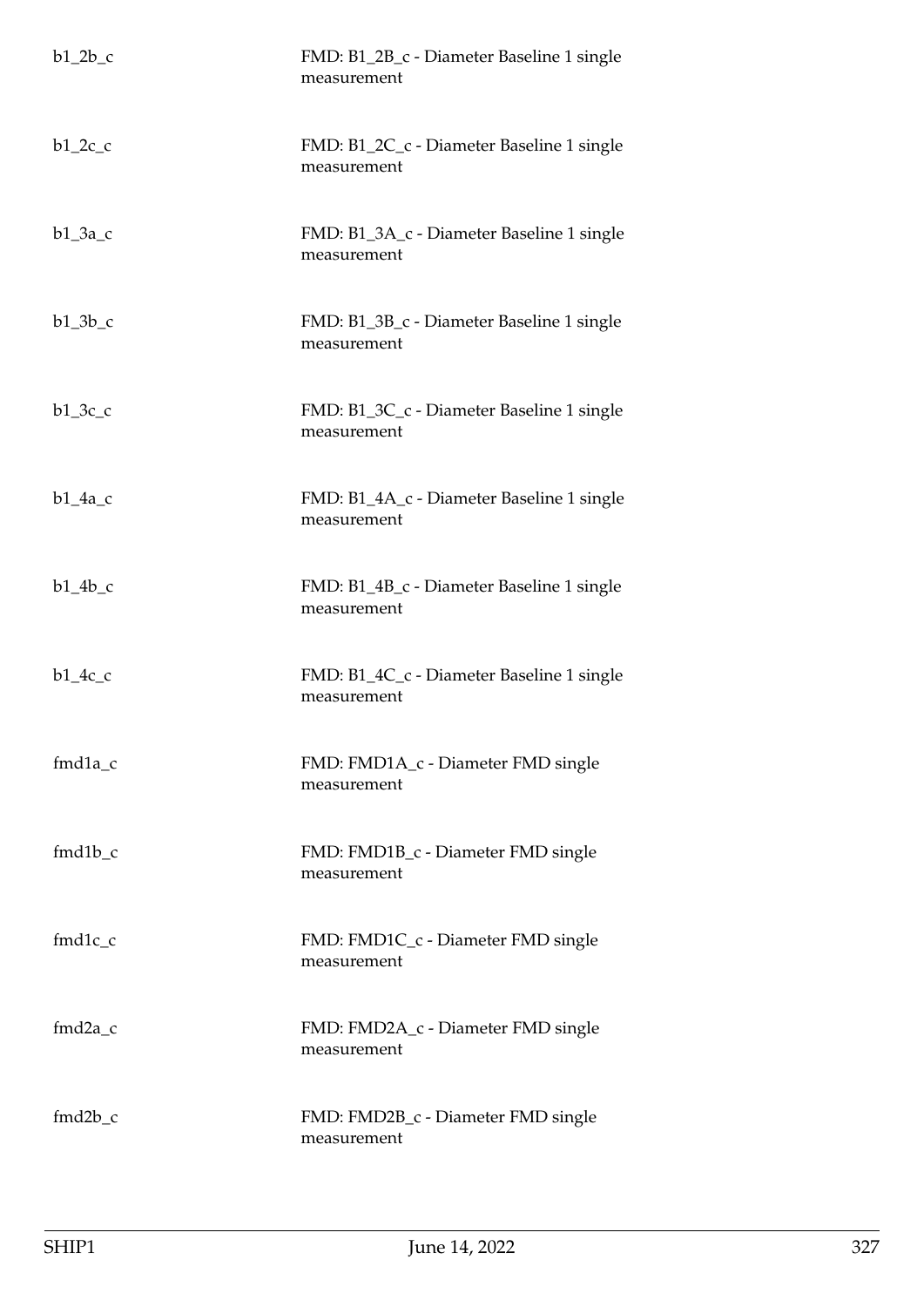| $b1_2b_c$ | FMD: B1_2B_c - Diameter Baseline 1 single<br>measurement |
|-----------|----------------------------------------------------------|
| $b1_2c_c$ | FMD: B1_2C_c - Diameter Baseline 1 single<br>measurement |
| $b1_3a_c$ | FMD: B1_3A_c - Diameter Baseline 1 single<br>measurement |
| $b1_3b_c$ | FMD: B1_3B_c - Diameter Baseline 1 single<br>measurement |
| $b1_3c_c$ | FMD: B1_3C_c - Diameter Baseline 1 single<br>measurement |
| $b1_4a_c$ | FMD: B1_4A_c - Diameter Baseline 1 single<br>measurement |
| $b1_4b_c$ | FMD: B1_4B_c - Diameter Baseline 1 single<br>measurement |
| $b1_4c_c$ | FMD: B1_4C_c - Diameter Baseline 1 single<br>measurement |
| $fmd1a_c$ | FMD: FMD1A_c - Diameter FMD single<br>measurement        |
| $fmd1b_c$ | FMD: FMD1B_c - Diameter FMD single<br>measurement        |
| $fmd1c_c$ | FMD: FMD1C_c - Diameter FMD single<br>measurement        |
| $fmd2a_c$ | FMD: FMD2A_c - Diameter FMD single<br>measurement        |
| $fmd2b_c$ | FMD: FMD2B_c - Diameter FMD single<br>measurement        |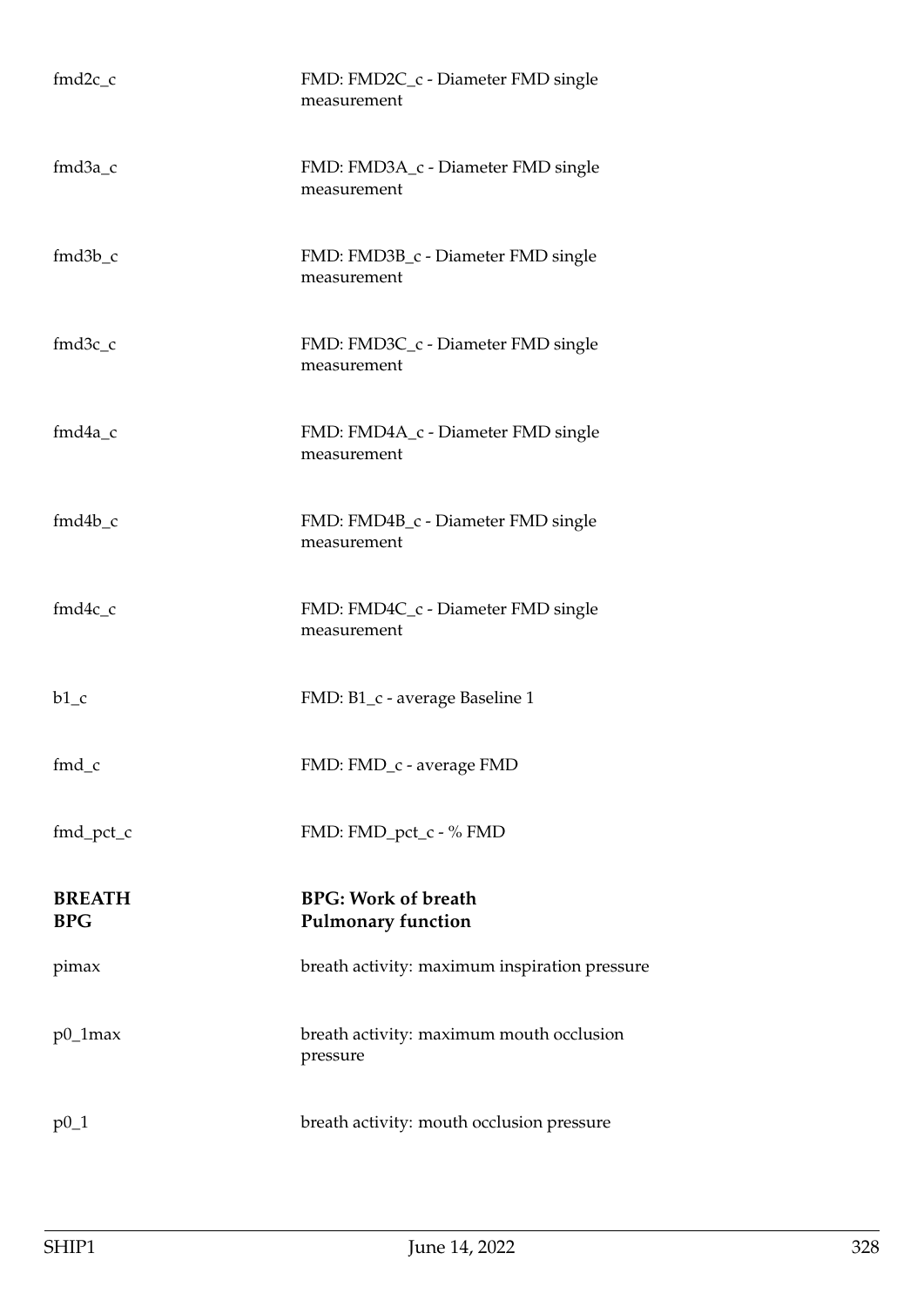| $fmd2c$ <sub>_c</sub>              | FMD: FMD2C_c - Diameter FMD single<br>measurement       |
|------------------------------------|---------------------------------------------------------|
| $fmd3a_c$                          | FMD: FMD3A_c - Diameter FMD single<br>measurement       |
| $fmd3b_c$                          | FMD: FMD3B_c - Diameter FMD single<br>measurement       |
| $fmd3c$ <sub>_<math>c</math></sub> | FMD: FMD3C_c - Diameter FMD single<br>measurement       |
| $fmd4a_c$                          | FMD: FMD4A_c - Diameter FMD single<br>measurement       |
| $fmd4b_c$                          | FMD: FMD4B_c - Diameter FMD single<br>measurement       |
| $fmd4c_c$                          | FMD: FMD4C_c - Diameter FMD single<br>measurement       |
| $b1_c$                             | FMD: B1_c - average Baseline 1                          |
| fmd_c                              | FMD: FMD_c - average FMD                                |
| fmd_pct_c                          | FMD: FMD_pct_c - % FMD                                  |
| <b>BREATH</b><br><b>BPG</b>        | <b>BPG: Work of breath</b><br><b>Pulmonary function</b> |
| pimax                              | breath activity: maximum inspiration pressure           |
| $p0_1$ max                         | breath activity: maximum mouth occlusion<br>pressure    |
| $p0_1$                             | breath activity: mouth occlusion pressure               |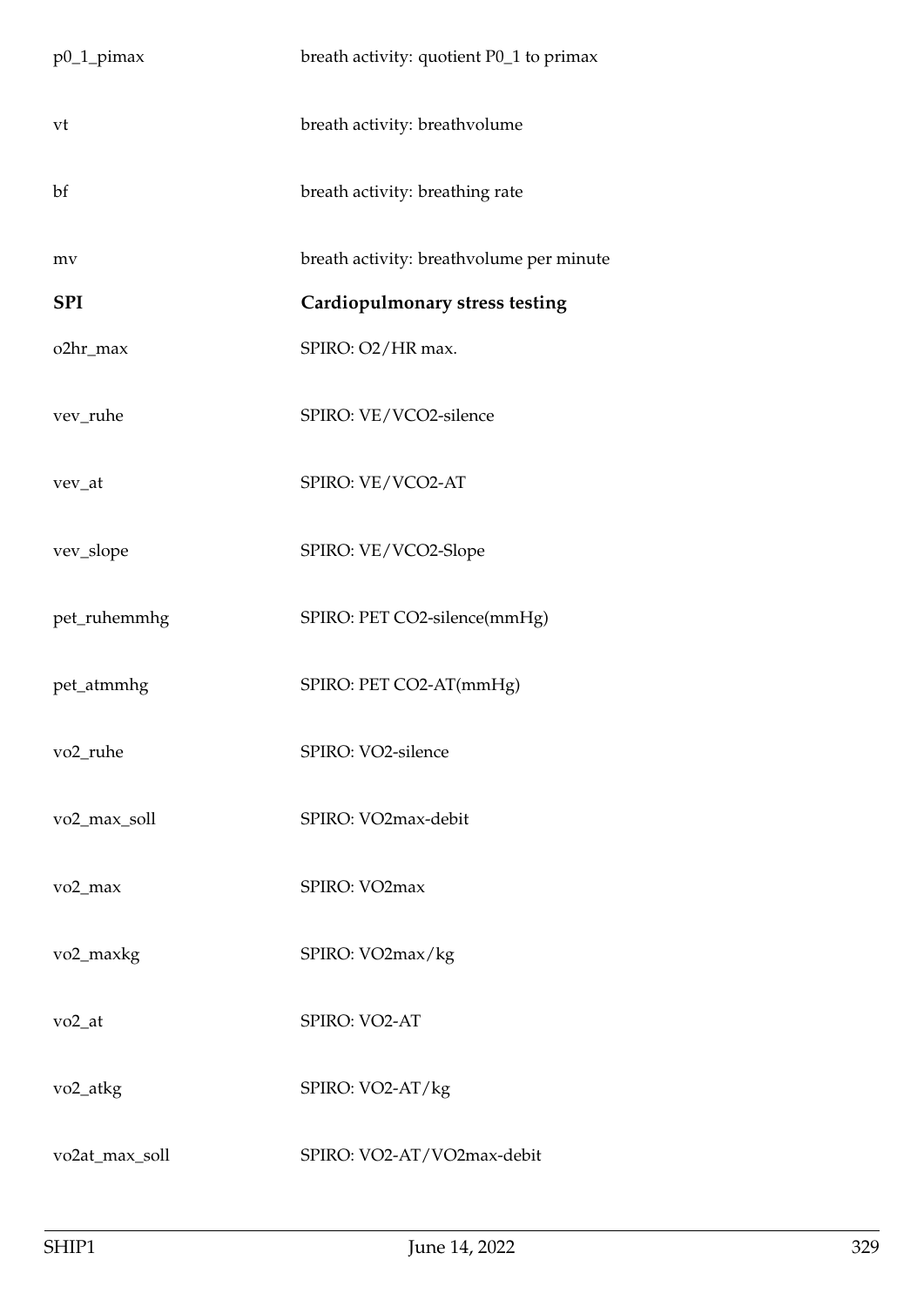| $p0_1$ _pimax         | breath activity: quotient P0_1 to primax |
|-----------------------|------------------------------------------|
| vt                    | breath activity: breathvolume            |
| bf                    | breath activity: breathing rate          |
| mv                    | breath activity: breathvolume per minute |
| <b>SPI</b>            | Cardiopulmonary stress testing           |
| o2hr_max              | SPIRO: O2/HR max.                        |
| vev_ruhe              | SPIRO: VE/VCO2-silence                   |
| vev_at                | SPIRO: VE/VCO2-AT                        |
| vev_slope             | SPIRO: VE/VCO2-Slope                     |
| pet_ruhemmhg          | SPIRO: PET CO2-silence(mmHg)             |
| pet_atmmhg            | SPIRO: PET CO2-AT(mmHg)                  |
| vo <sub>2_ruhe</sub>  | SPIRO: VO2-silence                       |
| vo2_max_soll          | SPIRO: VO2max-debit                      |
| vo <sub>2_max</sub>   | SPIRO: VO2max                            |
| vo <sub>2_maxkg</sub> | SPIRO: VO2max/kg                         |
| $vo2_at$              | SPIRO: VO2-AT                            |
| vo <sub>2_atkg</sub>  | SPIRO: VO2-AT/kg                         |
| vo2at_max_soll        | SPIRO: VO2-AT/VO2max-debit               |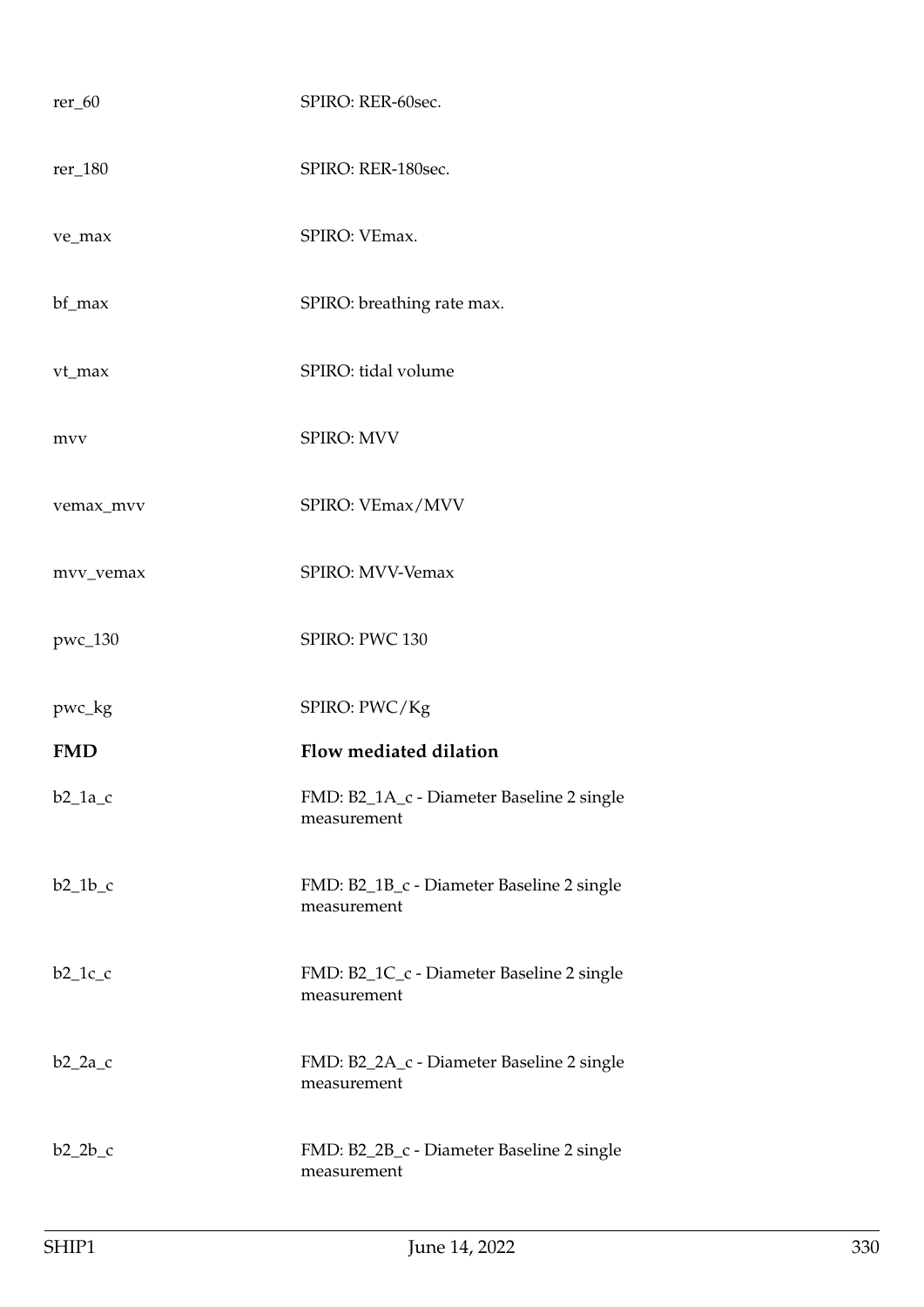| $rer_60$   | SPIRO: RER-60sec.                                        |
|------------|----------------------------------------------------------|
| rer_180    | SPIRO: RER-180sec.                                       |
| ve_max     | SPIRO: VEmax.                                            |
| bf_max     | SPIRO: breathing rate max.                               |
| vt_max     | SPIRO: tidal volume                                      |
| mvv        | SPIRO: MVV                                               |
| vemax_mvv  | SPIRO: VEmax/MVV                                         |
| mvv_vemax  | SPIRO: MVV-Vemax                                         |
| pwc_130    | SPIRO: PWC 130                                           |
| pwc_kg     | SPIRO: PWC/Kg                                            |
| <b>FMD</b> | Flow mediated dilation                                   |
| $b2_1a_c$  | FMD: B2_1A_c - Diameter Baseline 2 single<br>measurement |
| $b2_1b_c$  |                                                          |
|            | FMD: B2_1B_c - Diameter Baseline 2 single<br>measurement |
| $b2_1c_c$  | FMD: B2_1C_c - Diameter Baseline 2 single<br>measurement |
| $b2_2a_c$  | FMD: B2_2A_c - Diameter Baseline 2 single<br>measurement |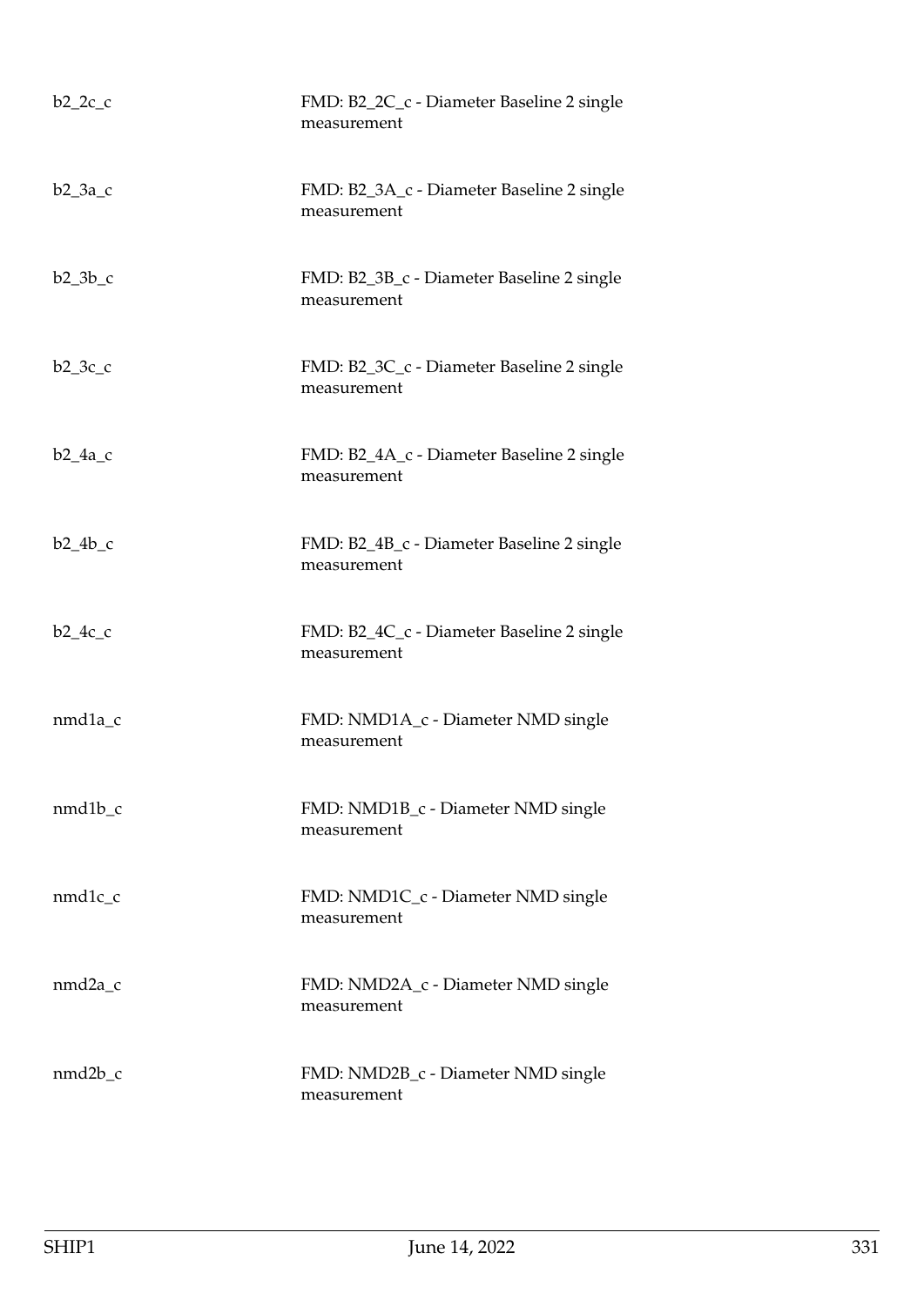| $b2_2c_c$ | FMD: B2_2C_c - Diameter Baseline 2 single<br>measurement |
|-----------|----------------------------------------------------------|
| $b2_3a_c$ | FMD: B2_3A_c - Diameter Baseline 2 single<br>measurement |
| $b2_3b_c$ | FMD: B2_3B_c - Diameter Baseline 2 single<br>measurement |
| $b2_3c_c$ | FMD: B2_3C_c - Diameter Baseline 2 single<br>measurement |
| $b2_4a_c$ | FMD: B2_4A_c - Diameter Baseline 2 single<br>measurement |
| $b2_4b_c$ | FMD: B2_4B_c - Diameter Baseline 2 single<br>measurement |
| $b2_4c_c$ | FMD: B2_4C_c - Diameter Baseline 2 single<br>measurement |
| nmd1a_c   | FMD: NMD1A_c - Diameter NMD single<br>measurement        |
| $nmd1b_c$ | FMD: NMD1B_c - Diameter NMD single<br>measurement        |
| nmd1c_c   | FMD: NMD1C_c - Diameter NMD single<br>measurement        |
| nmd2a_c   | FMD: NMD2A_c - Diameter NMD single<br>measurement        |
| nmd2b_c   | FMD: NMD2B_c - Diameter NMD single<br>measurement        |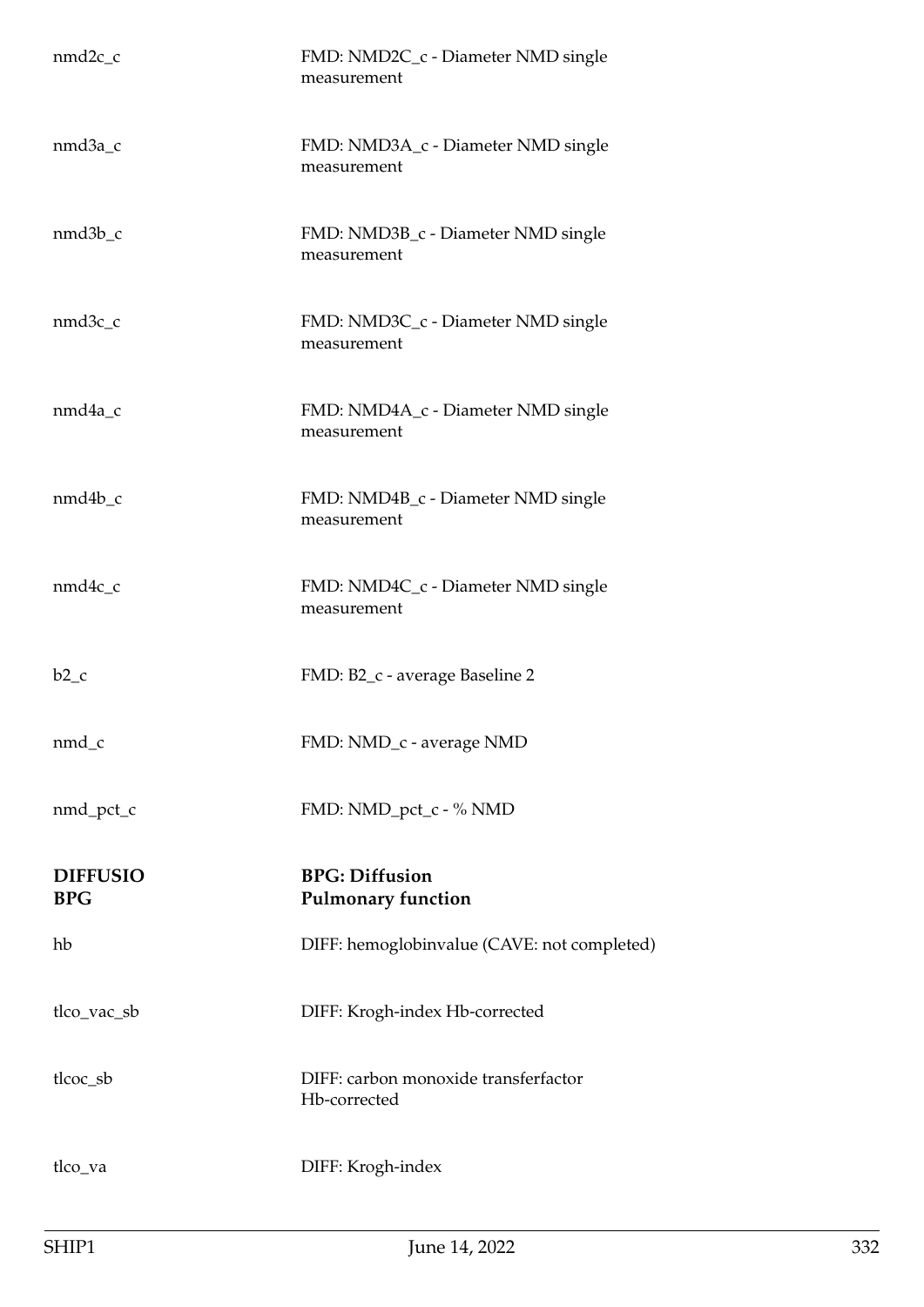| $nmd2c_c$                     | FMD: NMD2C_c - Diameter NMD single<br>measurement    |
|-------------------------------|------------------------------------------------------|
| nmd3a_c                       | FMD: NMD3A_c - Diameter NMD single<br>measurement    |
| $nmd3b_c$                     | FMD: NMD3B_c - Diameter NMD single<br>measurement    |
| nmd3c_c                       | FMD: NMD3C_c - Diameter NMD single<br>measurement    |
| nmd4a_c                       | FMD: NMD4A_c - Diameter NMD single<br>measurement    |
| nmd4b_c                       | FMD: NMD4B_c - Diameter NMD single<br>measurement    |
| $nmd4c_c$                     | FMD: NMD4C_c - Diameter NMD single<br>measurement    |
| $b2_c$                        | FMD: B2_c - average Baseline 2                       |
| nmd_c                         | FMD: NMD_c - average NMD                             |
| nmd_pct_c                     | FMD: NMD_pct_c - % NMD                               |
| <b>DIFFUSIO</b><br><b>BPG</b> | <b>BPG: Diffusion</b><br><b>Pulmonary function</b>   |
| hb                            | DIFF: hemoglobinvalue (CAVE: not completed)          |
| tlco_vac_sb                   | DIFF: Krogh-index Hb-corrected                       |
| tlcoc_sb                      | DIFF: carbon monoxide transferfactor<br>Hb-corrected |
| tlco_va                       | DIFF: Krogh-index                                    |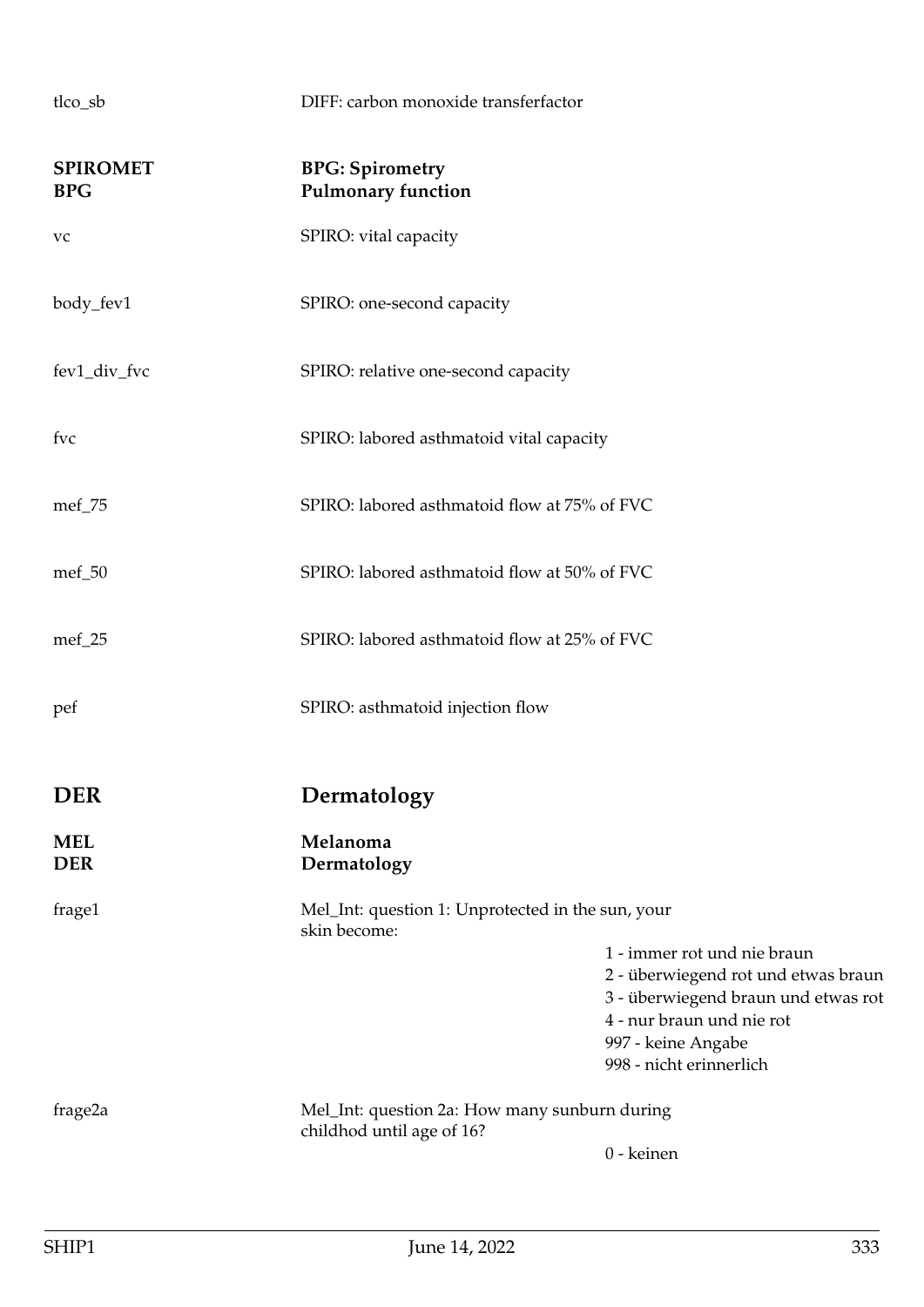| <b>SPIROMET</b><br><b>BPG</b> | <b>BPG: Spirometry</b><br><b>Pulmonary function</b>                        |                                                                                                                                        |
|-------------------------------|----------------------------------------------------------------------------|----------------------------------------------------------------------------------------------------------------------------------------|
| vc                            | SPIRO: vital capacity                                                      |                                                                                                                                        |
| body_fev1                     | SPIRO: one-second capacity                                                 |                                                                                                                                        |
| fev1_div_fvc                  | SPIRO: relative one-second capacity                                        |                                                                                                                                        |
| fvc                           | SPIRO: labored asthmatoid vital capacity                                   |                                                                                                                                        |
| $mef_75$                      | SPIRO: labored asthmatoid flow at 75% of FVC                               |                                                                                                                                        |
| $mef_50$                      | SPIRO: labored asthmatoid flow at 50% of FVC                               |                                                                                                                                        |
| mef_25                        | SPIRO: labored asthmatoid flow at 25% of FVC                               |                                                                                                                                        |
| pef                           | SPIRO: asthmatoid injection flow                                           |                                                                                                                                        |
| <b>DER</b>                    | Dermatology                                                                |                                                                                                                                        |
| <b>MEL</b><br><b>DER</b>      | Melanoma<br>Dermatology                                                    |                                                                                                                                        |
| frage1                        | Mel_Int: question 1: Unprotected in the sun, your<br>skin become:          |                                                                                                                                        |
|                               |                                                                            | 1 - immer rot und nie braun<br>2 - überwiegend rot und etwas braun<br>3 - überwiegend braun und etwas rot<br>4 - nur braun und nie rot |
|                               |                                                                            | 997 - keine Angabe<br>998 - nicht erinnerlich                                                                                          |
| frage2a                       | Mel_Int: question 2a: How many sunburn during<br>childhod until age of 16? |                                                                                                                                        |
|                               |                                                                            | 0 - keinen                                                                                                                             |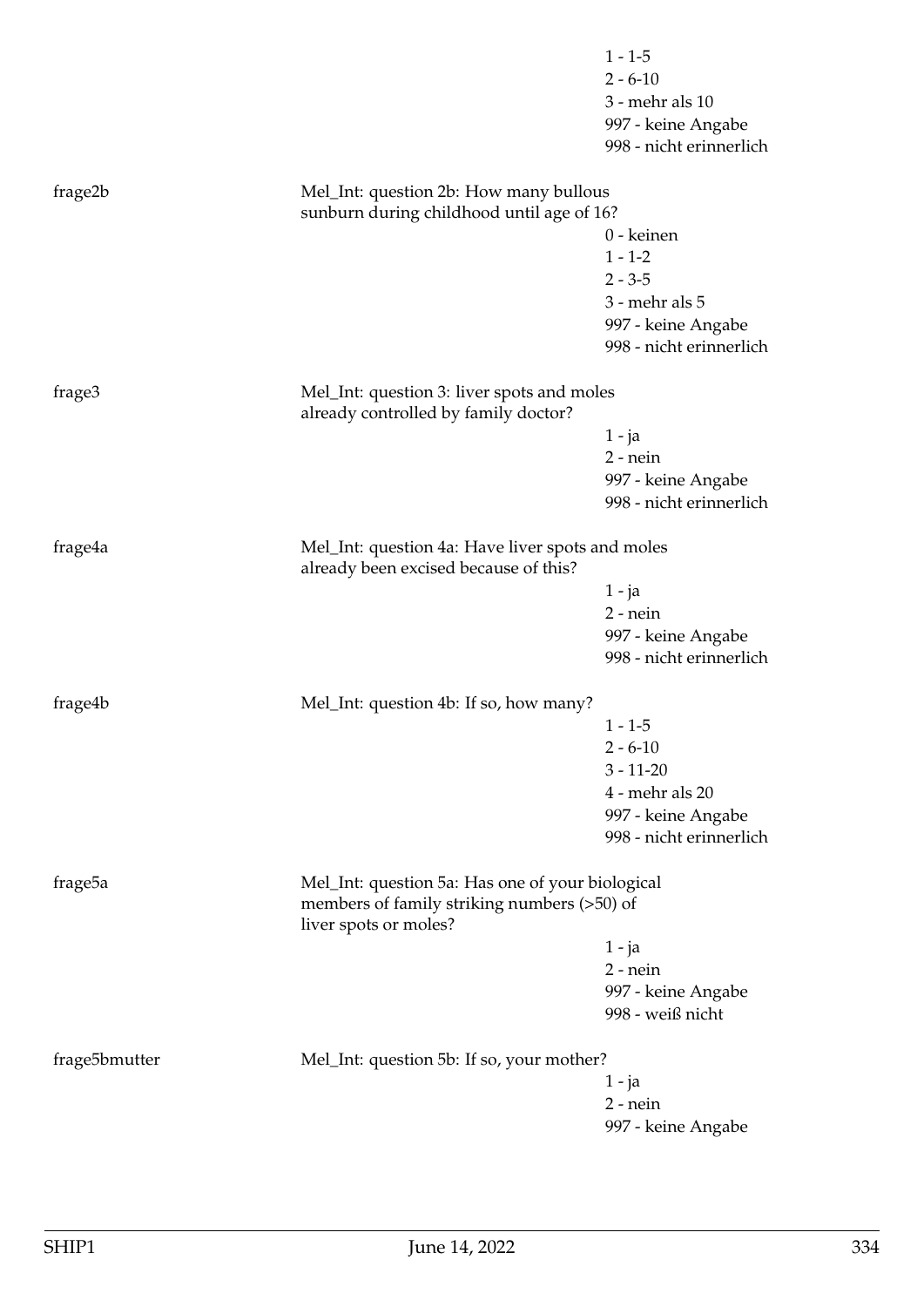|                     |                                                                                                 | $1 - 1 - 5$             |
|---------------------|-------------------------------------------------------------------------------------------------|-------------------------|
|                     |                                                                                                 | $2 - 6 - 10$            |
|                     |                                                                                                 | 3 - mehr als 10         |
|                     |                                                                                                 | 997 - keine Angabe      |
|                     |                                                                                                 | 998 - nicht erinnerlich |
| frage2b             | Mel_Int: question 2b: How many bullous                                                          |                         |
|                     | sunburn during childhood until age of 16?                                                       |                         |
|                     |                                                                                                 | 0 - keinen              |
|                     |                                                                                                 | $1 - 1 - 2$             |
|                     |                                                                                                 | $2 - 3 - 5$             |
|                     |                                                                                                 | 3 - mehr als 5          |
|                     |                                                                                                 | 997 - keine Angabe      |
|                     |                                                                                                 | 998 - nicht erinnerlich |
|                     |                                                                                                 |                         |
| frage3              | Mel_Int: question 3: liver spots and moles<br>already controlled by family doctor?              |                         |
|                     |                                                                                                 | $1 - ja$                |
|                     |                                                                                                 | $2$ - nein              |
|                     |                                                                                                 | 997 - keine Angabe      |
|                     |                                                                                                 | 998 - nicht erinnerlich |
|                     |                                                                                                 |                         |
| frage4a             | Mel_Int: question 4a: Have liver spots and moles<br>already been excised because of this?       |                         |
|                     |                                                                                                 | $1 - ja$                |
|                     |                                                                                                 | $2$ - nein              |
|                     |                                                                                                 | 997 - keine Angabe      |
|                     |                                                                                                 | 998 - nicht erinnerlich |
| frage4b             | Mel_Int: question 4b: If so, how many?                                                          |                         |
|                     |                                                                                                 | $1 - 1 - 5$             |
|                     |                                                                                                 | $2 - 6 - 10$            |
|                     |                                                                                                 | $3 - 11 - 20$           |
|                     |                                                                                                 | 4 - mehr als 20         |
|                     |                                                                                                 | 997 - keine Angabe      |
|                     |                                                                                                 | 998 - nicht erinnerlich |
|                     |                                                                                                 |                         |
| frage <sub>5a</sub> | Mel_Int: question 5a: Has one of your biological<br>members of family striking numbers (>50) of |                         |
|                     | liver spots or moles?                                                                           |                         |
|                     |                                                                                                 | $1 - ja$                |
|                     |                                                                                                 | $2$ - nein              |
|                     |                                                                                                 | 997 - keine Angabe      |
|                     |                                                                                                 | 998 - weiß nicht        |
| frage5bmutter       | Mel_Int: question 5b: If so, your mother?                                                       |                         |
|                     |                                                                                                 | $1 - ja$                |
|                     |                                                                                                 | $2$ - nein              |
|                     |                                                                                                 | 997 - keine Angabe      |
|                     |                                                                                                 |                         |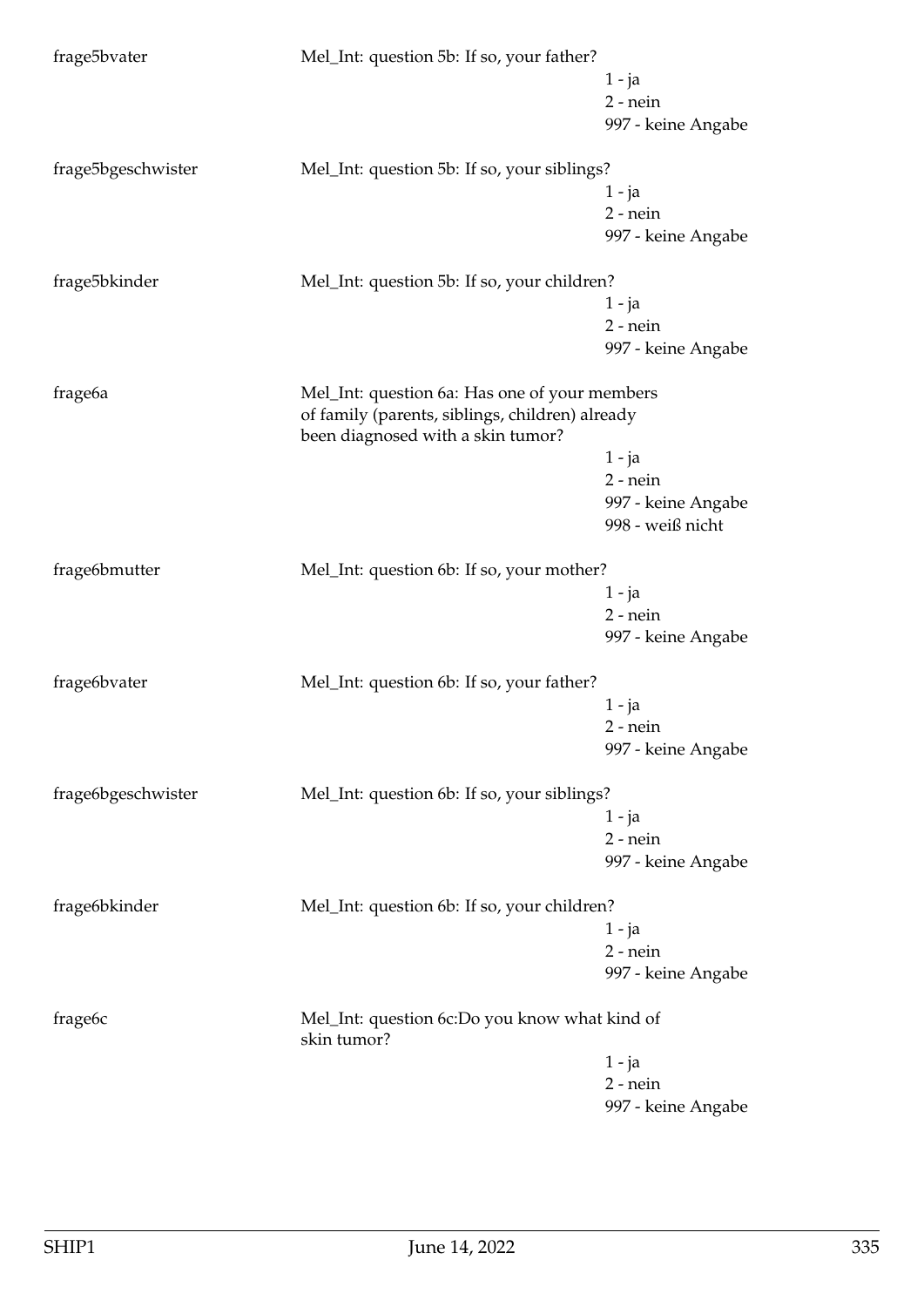| frage5bvater        | Mel_Int: question 5b: If so, your father?                                                        |                    |
|---------------------|--------------------------------------------------------------------------------------------------|--------------------|
|                     |                                                                                                  | 1 - ja             |
|                     |                                                                                                  | $2$ - nein         |
|                     |                                                                                                  | 997 - keine Angabe |
|                     |                                                                                                  |                    |
| frage5bgeschwister  | Mel_Int: question 5b: If so, your siblings?                                                      |                    |
|                     |                                                                                                  | 1 - ja             |
|                     |                                                                                                  | $2$ - nein         |
|                     |                                                                                                  | 997 - keine Angabe |
| frage5bkinder       | Mel_Int: question 5b: If so, your children?                                                      |                    |
|                     |                                                                                                  | 1 - ja             |
|                     |                                                                                                  | $2$ - nein         |
|                     |                                                                                                  | 997 - keine Angabe |
|                     |                                                                                                  |                    |
| frage <sub>6a</sub> | Mel_Int: question 6a: Has one of your members<br>of family (parents, siblings, children) already |                    |
|                     | been diagnosed with a skin tumor?                                                                |                    |
|                     |                                                                                                  | $1 - ja$           |
|                     |                                                                                                  | $2$ - nein         |
|                     |                                                                                                  | 997 - keine Angabe |
|                     |                                                                                                  | 998 - weiß nicht   |
| frage6bmutter       | Mel_Int: question 6b: If so, your mother?                                                        |                    |
|                     |                                                                                                  | 1 - ja             |
|                     |                                                                                                  | $2$ - nein         |
|                     |                                                                                                  | 997 - keine Angabe |
|                     |                                                                                                  |                    |
| frage6bvater        | Mel_Int: question 6b: If so, your father?                                                        |                    |
|                     |                                                                                                  | 1 - ja             |
|                     |                                                                                                  | $2$ - nein         |
|                     |                                                                                                  | 997 - keine Angabe |
| frage6bgeschwister  | Mel_Int: question 6b: If so, your siblings?                                                      |                    |
|                     |                                                                                                  | 1 - ja             |
|                     |                                                                                                  | $2$ - nein         |
|                     |                                                                                                  | 997 - keine Angabe |
|                     |                                                                                                  |                    |
| frage6bkinder       | Mel_Int: question 6b: If so, your children?                                                      |                    |
|                     |                                                                                                  | $1 - ja$           |
|                     |                                                                                                  | $2$ - nein         |
|                     |                                                                                                  | 997 - keine Angabe |
| frage <sub>6c</sub> | Mel_Int: question 6c:Do you know what kind of<br>skin tumor?                                     |                    |
|                     |                                                                                                  | $1 - ja$           |
|                     |                                                                                                  | $2$ - nein         |
|                     |                                                                                                  | 997 - keine Angabe |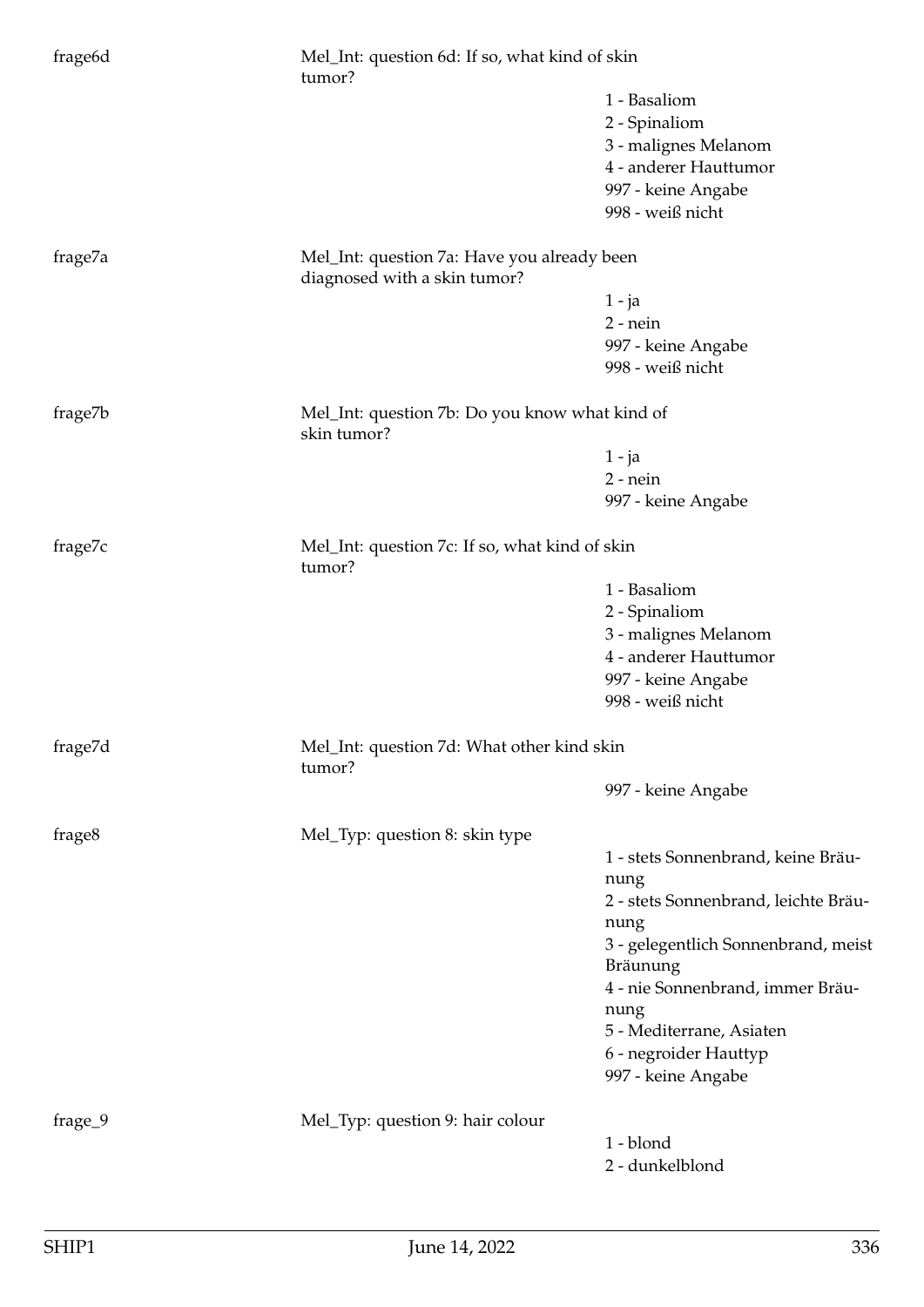| frage <sub>6d</sub> | Mel_Int: question 6d: If so, what kind of skin<br>tumor?                    |                                                 |  |
|---------------------|-----------------------------------------------------------------------------|-------------------------------------------------|--|
|                     |                                                                             | 1 - Basaliom                                    |  |
|                     |                                                                             | 2 - Spinaliom                                   |  |
|                     |                                                                             | 3 - malignes Melanom                            |  |
|                     |                                                                             | 4 - anderer Hauttumor                           |  |
|                     |                                                                             | 997 - keine Angabe                              |  |
|                     |                                                                             | 998 - weiß nicht                                |  |
| frage7a             | Mel_Int: question 7a: Have you already been<br>diagnosed with a skin tumor? |                                                 |  |
|                     |                                                                             | $1 - ja$                                        |  |
|                     |                                                                             | $2$ - nein                                      |  |
|                     |                                                                             | 997 - keine Angabe                              |  |
|                     |                                                                             | 998 - weiß nicht                                |  |
| frage7b             | Mel_Int: question 7b: Do you know what kind of<br>skin tumor?               |                                                 |  |
|                     |                                                                             | $1 - ja$                                        |  |
|                     |                                                                             | $2$ - nein                                      |  |
|                     |                                                                             | 997 - keine Angabe                              |  |
|                     |                                                                             |                                                 |  |
| frage7c             | Mel_Int: question 7c: If so, what kind of skin<br>tumor?                    |                                                 |  |
|                     |                                                                             | 1 - Basaliom                                    |  |
|                     |                                                                             | 2 - Spinaliom                                   |  |
|                     |                                                                             | 3 - malignes Melanom                            |  |
|                     |                                                                             | 4 - anderer Hauttumor                           |  |
|                     |                                                                             | 997 - keine Angabe                              |  |
|                     |                                                                             | 998 - weiß nicht                                |  |
| frage7d             | Mel_Int: question 7d: What other kind skin<br>tumor?                        |                                                 |  |
|                     |                                                                             | 997 - keine Angabe                              |  |
| frage8              | Mel_Typ: question 8: skin type                                              |                                                 |  |
|                     |                                                                             | 1 - stets Sonnenbrand, keine Bräu-              |  |
|                     |                                                                             | nung                                            |  |
|                     |                                                                             | 2 - stets Sonnenbrand, leichte Bräu-            |  |
|                     |                                                                             | nung                                            |  |
|                     |                                                                             | 3 - gelegentlich Sonnenbrand, meist<br>Bräunung |  |
|                     |                                                                             | 4 - nie Sonnenbrand, immer Bräu-                |  |
|                     |                                                                             | nung                                            |  |
|                     |                                                                             | 5 - Mediterrane, Asiaten                        |  |
|                     |                                                                             | 6 - negroider Hauttyp                           |  |
|                     |                                                                             | 997 - keine Angabe                              |  |
|                     |                                                                             |                                                 |  |
| frage_9             | Mel_Typ: question 9: hair colour                                            |                                                 |  |
|                     |                                                                             | 1 - blond                                       |  |
|                     |                                                                             | 2 - dunkelblond                                 |  |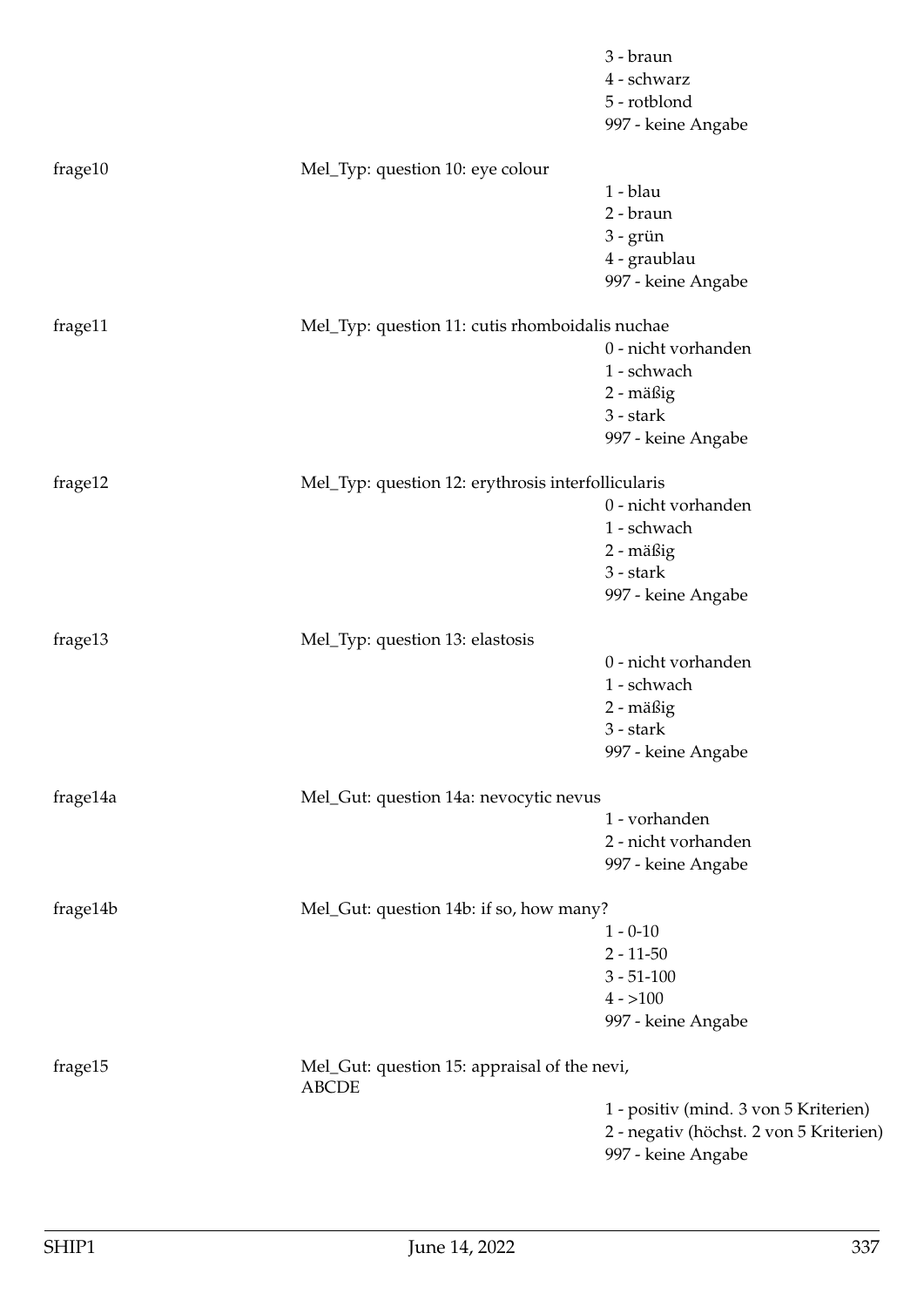|          |                                                              | 3 - braun<br>4 - schwarz<br>5 - rotblond<br>997 - keine Angabe |
|----------|--------------------------------------------------------------|----------------------------------------------------------------|
| frage10  | Mel_Typ: question 10: eye colour                             | 1 - blau                                                       |
|          |                                                              | 2 - braun                                                      |
|          |                                                              | $3 -$ grün                                                     |
|          |                                                              | 4 - graublau                                                   |
|          |                                                              | 997 - keine Angabe                                             |
| frage11  | Mel_Typ: question 11: cutis rhomboidalis nuchae              |                                                                |
|          |                                                              | 0 - nicht vorhanden                                            |
|          |                                                              | 1 - schwach                                                    |
|          |                                                              | 2 - mäßig                                                      |
|          |                                                              | 3 - stark                                                      |
|          |                                                              | 997 - keine Angabe                                             |
| frage12  | Mel_Typ: question 12: erythrosis interfollicularis           |                                                                |
|          |                                                              | 0 - nicht vorhanden                                            |
|          |                                                              | 1 - schwach                                                    |
|          |                                                              | 2 - mäßig                                                      |
|          |                                                              | $3 - stark$                                                    |
|          |                                                              | 997 - keine Angabe                                             |
| frage13  | Mel_Typ: question 13: elastosis                              |                                                                |
|          |                                                              | 0 - nicht vorhanden                                            |
|          |                                                              | 1 - schwach                                                    |
|          |                                                              | 2 - mäßig                                                      |
|          |                                                              | 3 - stark                                                      |
|          |                                                              | 997 - keine Angabe                                             |
| frage14a | Mel_Gut: question 14a: nevocytic nevus                       |                                                                |
|          |                                                              | 1 - vorhanden                                                  |
|          |                                                              | 2 - nicht vorhanden                                            |
|          |                                                              | 997 - keine Angabe                                             |
| frage14b | Mel_Gut: question 14b: if so, how many?                      |                                                                |
|          |                                                              | $1 - 0 - 10$                                                   |
|          |                                                              | $2 - 11 - 50$                                                  |
|          |                                                              | $3 - 51 - 100$                                                 |
|          |                                                              | $4 - 100$                                                      |
|          |                                                              | 997 - keine Angabe                                             |
| frage15  | Mel_Gut: question 15: appraisal of the nevi,<br><b>ABCDE</b> |                                                                |
|          |                                                              | 1 - positiv (mind. 3 von 5 Kriterien)                          |
|          |                                                              | 2 - negativ (höchst. 2 von 5 Kriterien)                        |
|          |                                                              | 997 - keine Angabe                                             |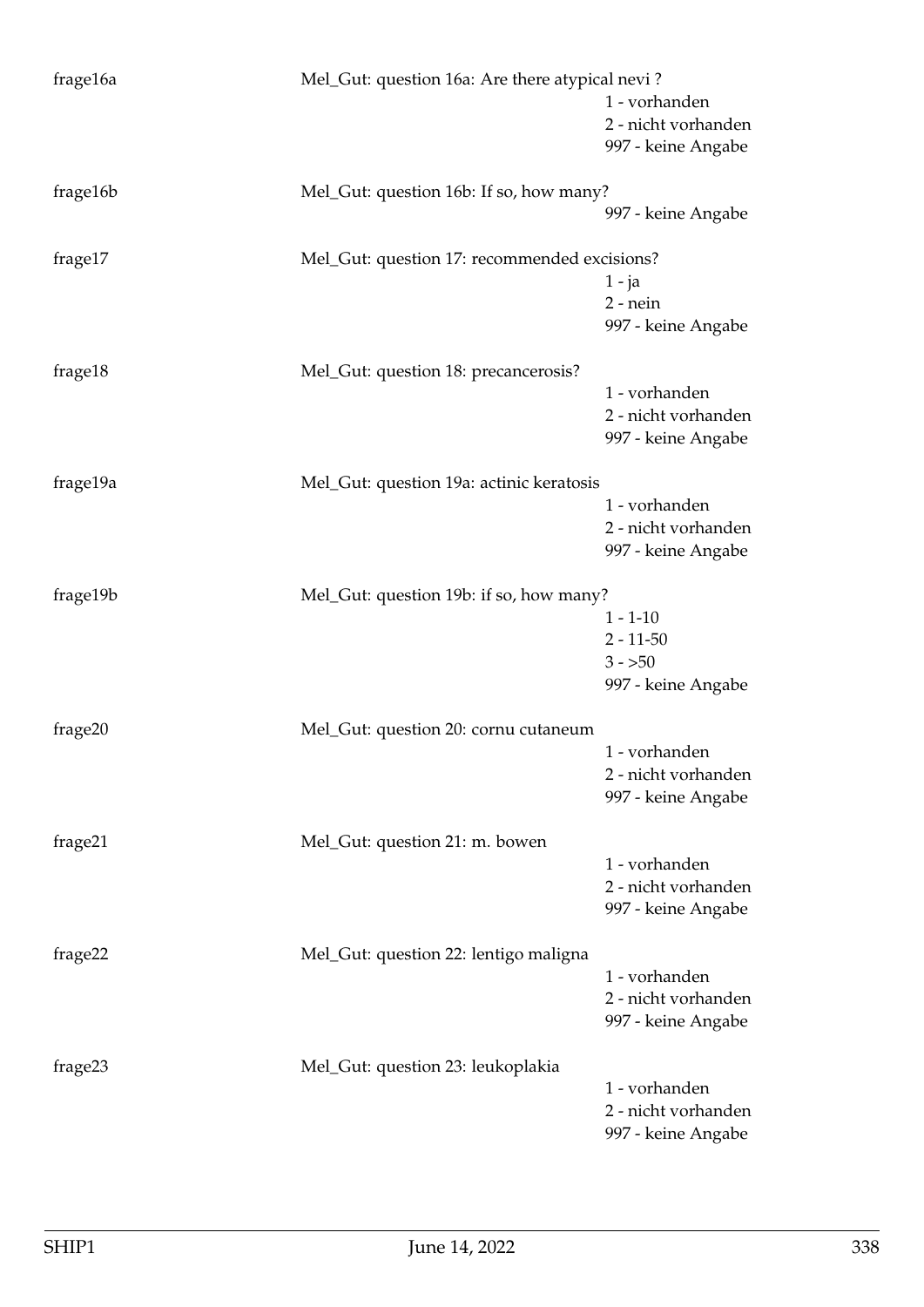| frage16a<br>Mel_Gut: question 16a: Are there atypical nevi?<br>1 - vorhanden<br>2 - nicht vorhanden<br>997 - keine Angabe<br>frage16b<br>Mel_Gut: question 16b: If so, how many?<br>997 - keine Angabe<br>frage17<br>Mel_Gut: question 17: recommended excisions?<br>$1 - ja$<br>$2$ - nein<br>997 - keine Angabe<br>frage18<br>Mel_Gut: question 18: precancerosis?<br>1 - vorhanden<br>2 - nicht vorhanden<br>997 - keine Angabe<br>frage19a<br>Mel_Gut: question 19a: actinic keratosis<br>1 - vorhanden<br>2 - nicht vorhanden<br>997 - keine Angabe<br>frage19b<br>Mel_Gut: question 19b: if so, how many?<br>$1 - 1 - 10$ |
|---------------------------------------------------------------------------------------------------------------------------------------------------------------------------------------------------------------------------------------------------------------------------------------------------------------------------------------------------------------------------------------------------------------------------------------------------------------------------------------------------------------------------------------------------------------------------------------------------------------------------------|
|                                                                                                                                                                                                                                                                                                                                                                                                                                                                                                                                                                                                                                 |
|                                                                                                                                                                                                                                                                                                                                                                                                                                                                                                                                                                                                                                 |
|                                                                                                                                                                                                                                                                                                                                                                                                                                                                                                                                                                                                                                 |
|                                                                                                                                                                                                                                                                                                                                                                                                                                                                                                                                                                                                                                 |
|                                                                                                                                                                                                                                                                                                                                                                                                                                                                                                                                                                                                                                 |
|                                                                                                                                                                                                                                                                                                                                                                                                                                                                                                                                                                                                                                 |
|                                                                                                                                                                                                                                                                                                                                                                                                                                                                                                                                                                                                                                 |
|                                                                                                                                                                                                                                                                                                                                                                                                                                                                                                                                                                                                                                 |
|                                                                                                                                                                                                                                                                                                                                                                                                                                                                                                                                                                                                                                 |
|                                                                                                                                                                                                                                                                                                                                                                                                                                                                                                                                                                                                                                 |
|                                                                                                                                                                                                                                                                                                                                                                                                                                                                                                                                                                                                                                 |
|                                                                                                                                                                                                                                                                                                                                                                                                                                                                                                                                                                                                                                 |
|                                                                                                                                                                                                                                                                                                                                                                                                                                                                                                                                                                                                                                 |
|                                                                                                                                                                                                                                                                                                                                                                                                                                                                                                                                                                                                                                 |
|                                                                                                                                                                                                                                                                                                                                                                                                                                                                                                                                                                                                                                 |
|                                                                                                                                                                                                                                                                                                                                                                                                                                                                                                                                                                                                                                 |
|                                                                                                                                                                                                                                                                                                                                                                                                                                                                                                                                                                                                                                 |
|                                                                                                                                                                                                                                                                                                                                                                                                                                                                                                                                                                                                                                 |
|                                                                                                                                                                                                                                                                                                                                                                                                                                                                                                                                                                                                                                 |
|                                                                                                                                                                                                                                                                                                                                                                                                                                                                                                                                                                                                                                 |
|                                                                                                                                                                                                                                                                                                                                                                                                                                                                                                                                                                                                                                 |
|                                                                                                                                                                                                                                                                                                                                                                                                                                                                                                                                                                                                                                 |
|                                                                                                                                                                                                                                                                                                                                                                                                                                                                                                                                                                                                                                 |
| $2 - 11 - 50$                                                                                                                                                                                                                                                                                                                                                                                                                                                                                                                                                                                                                   |
| $3 - 50$                                                                                                                                                                                                                                                                                                                                                                                                                                                                                                                                                                                                                        |
| 997 - keine Angabe                                                                                                                                                                                                                                                                                                                                                                                                                                                                                                                                                                                                              |
| frage20<br>Mel_Gut: question 20: cornu cutaneum                                                                                                                                                                                                                                                                                                                                                                                                                                                                                                                                                                                 |
| 1 - vorhanden                                                                                                                                                                                                                                                                                                                                                                                                                                                                                                                                                                                                                   |
| 2 - nicht vorhanden                                                                                                                                                                                                                                                                                                                                                                                                                                                                                                                                                                                                             |
| 997 - keine Angabe                                                                                                                                                                                                                                                                                                                                                                                                                                                                                                                                                                                                              |
|                                                                                                                                                                                                                                                                                                                                                                                                                                                                                                                                                                                                                                 |
| frage21<br>Mel_Gut: question 21: m. bowen                                                                                                                                                                                                                                                                                                                                                                                                                                                                                                                                                                                       |
| 1 - vorhanden                                                                                                                                                                                                                                                                                                                                                                                                                                                                                                                                                                                                                   |
| 2 - nicht vorhanden                                                                                                                                                                                                                                                                                                                                                                                                                                                                                                                                                                                                             |
| 997 - keine Angabe                                                                                                                                                                                                                                                                                                                                                                                                                                                                                                                                                                                                              |
|                                                                                                                                                                                                                                                                                                                                                                                                                                                                                                                                                                                                                                 |
| frage22<br>Mel_Gut: question 22: lentigo maligna<br>1 - vorhanden                                                                                                                                                                                                                                                                                                                                                                                                                                                                                                                                                               |
|                                                                                                                                                                                                                                                                                                                                                                                                                                                                                                                                                                                                                                 |
| 2 - nicht vorhanden                                                                                                                                                                                                                                                                                                                                                                                                                                                                                                                                                                                                             |
| 997 - keine Angabe                                                                                                                                                                                                                                                                                                                                                                                                                                                                                                                                                                                                              |
| frage23<br>Mel_Gut: question 23: leukoplakia                                                                                                                                                                                                                                                                                                                                                                                                                                                                                                                                                                                    |
| 1 - vorhanden                                                                                                                                                                                                                                                                                                                                                                                                                                                                                                                                                                                                                   |
| 2 - nicht vorhanden                                                                                                                                                                                                                                                                                                                                                                                                                                                                                                                                                                                                             |
| 997 - keine Angabe                                                                                                                                                                                                                                                                                                                                                                                                                                                                                                                                                                                                              |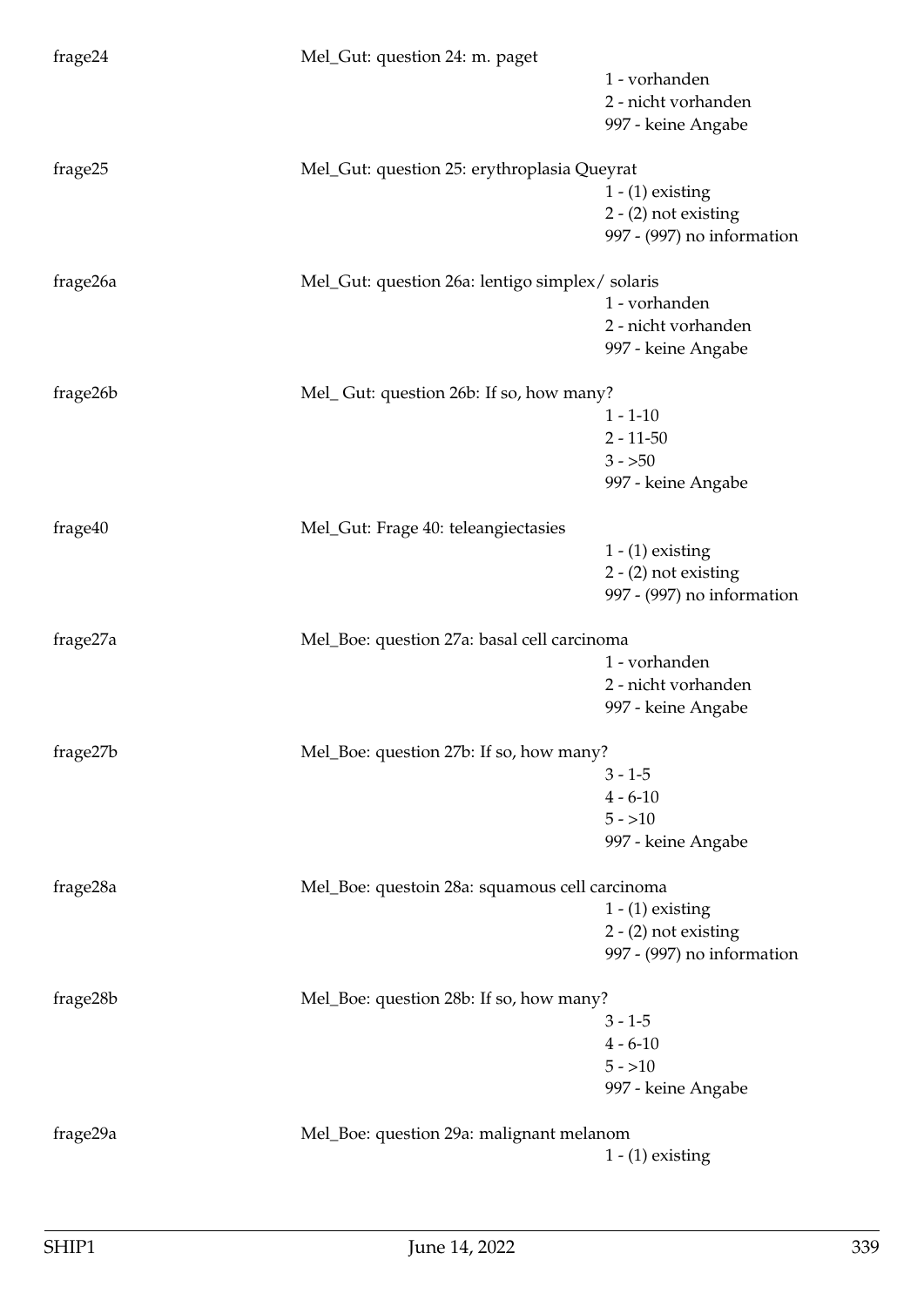| frage24  | Mel_Gut: question 24: m. paget                 |                            |
|----------|------------------------------------------------|----------------------------|
|          |                                                | 1 - vorhanden              |
|          |                                                | 2 - nicht vorhanden        |
|          |                                                | 997 - keine Angabe         |
| frage25  | Mel_Gut: question 25: erythroplasia Queyrat    |                            |
|          |                                                | $1 - (1)$ existing         |
|          |                                                | $2 - (2)$ not existing     |
|          |                                                | 997 - (997) no information |
|          |                                                |                            |
| frage26a | Mel_Gut: question 26a: lentigo simplex/solaris | 1 - vorhanden              |
|          |                                                | 2 - nicht vorhanden        |
|          |                                                | 997 - keine Angabe         |
|          |                                                |                            |
| frage26b | Mel_Gut: question 26b: If so, how many?        |                            |
|          |                                                | $1 - 1 - 10$               |
|          |                                                | $2 - 11 - 50$              |
|          |                                                | $3 - 50$                   |
|          |                                                | 997 - keine Angabe         |
| frage40  | Mel_Gut: Frage 40: teleangiectasies            |                            |
|          |                                                | $1 - (1)$ existing         |
|          |                                                | $2 - (2)$ not existing     |
|          |                                                | 997 - (997) no information |
| frage27a | Mel_Boe: question 27a: basal cell carcinoma    |                            |
|          |                                                | 1 - vorhanden              |
|          |                                                | 2 - nicht vorhanden        |
|          |                                                | 997 - keine Angabe         |
|          |                                                |                            |
| frage27b | Mel_Boe: question 27b: If so, how many?        |                            |
|          |                                                | $3 - 1 - 5$                |
|          |                                                | $4 - 6 - 10$               |
|          |                                                | $5 - 10$                   |
|          |                                                | 997 - keine Angabe         |
| frage28a | Mel_Boe: questoin 28a: squamous cell carcinoma |                            |
|          |                                                | $1 - (1)$ existing         |
|          |                                                | $2 - (2)$ not existing     |
|          |                                                | 997 - (997) no information |
| frage28b | Mel_Boe: question 28b: If so, how many?        |                            |
|          |                                                | $3 - 1 - 5$                |
|          |                                                | $4 - 6 - 10$               |
|          |                                                | $5 - 10$                   |
|          |                                                | 997 - keine Angabe         |
|          |                                                |                            |
| frage29a | Mel_Boe: question 29a: malignant melanom       |                            |
|          |                                                | $1 - (1)$ existing         |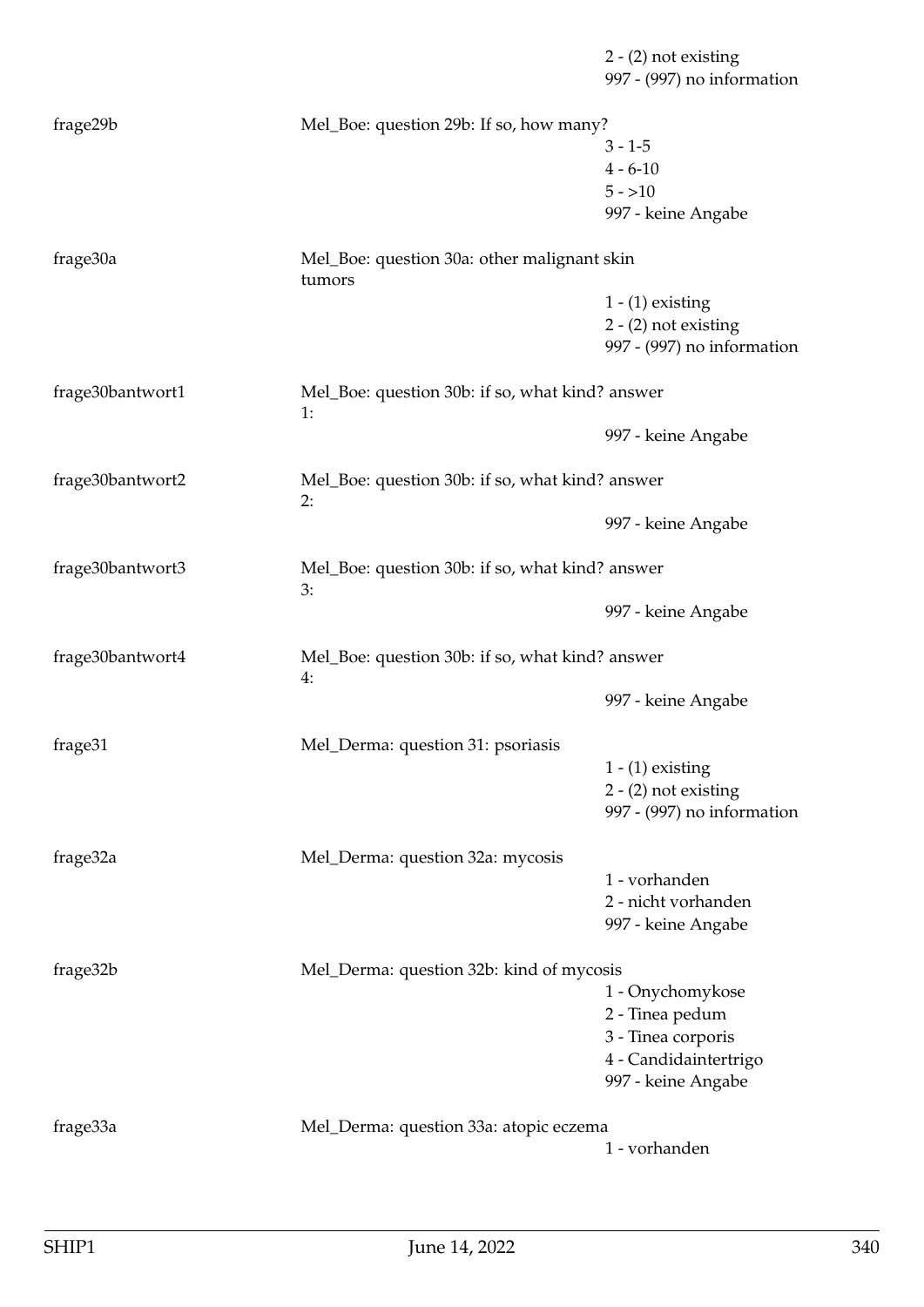2 - (2) not existing 997 - (997) no information frage29b Mel\_Boe: question 29b: If so, how many?  $3 - 1 - 5$  $4 - 6 - 10$  $5 - 10$ 997 - keine Angabe frage30a Mel\_Boe: question 30a: other malignant skin tumors 1 - (1) existing 2 - (2) not existing 997 - (997) no information frage30bantwort1 Mel\_Boe: question 30b: if so, what kind? answer 1: 997 - keine Angabe frage30bantwort2 Mel\_Boe: question 30b: if so, what kind? answer 2: 997 - keine Angabe frage30bantwort3 Mel\_Boe: question 30b: if so, what kind? answer 3: 997 - keine Angabe frage30bantwort4 Mel\_Boe: question 30b: if so, what kind? answer 4: 997 - keine Angabe frage31 Mel\_Derma: question 31: psoriasis  $1 - (1)$  existing 2 - (2) not existing 997 - (997) no information frage32a Mel\_Derma: question 32a: mycosis 1 - vorhanden 2 - nicht vorhanden 997 - keine Angabe frage32b Mel\_Derma: question 32b: kind of mycosis 1 - Onychomykose 2 - Tinea pedum 3 - Tinea corporis 4 - Candidaintertrigo 997 - keine Angabe frage33a Mel\_Derma: question 33a: atopic eczema 1 - vorhanden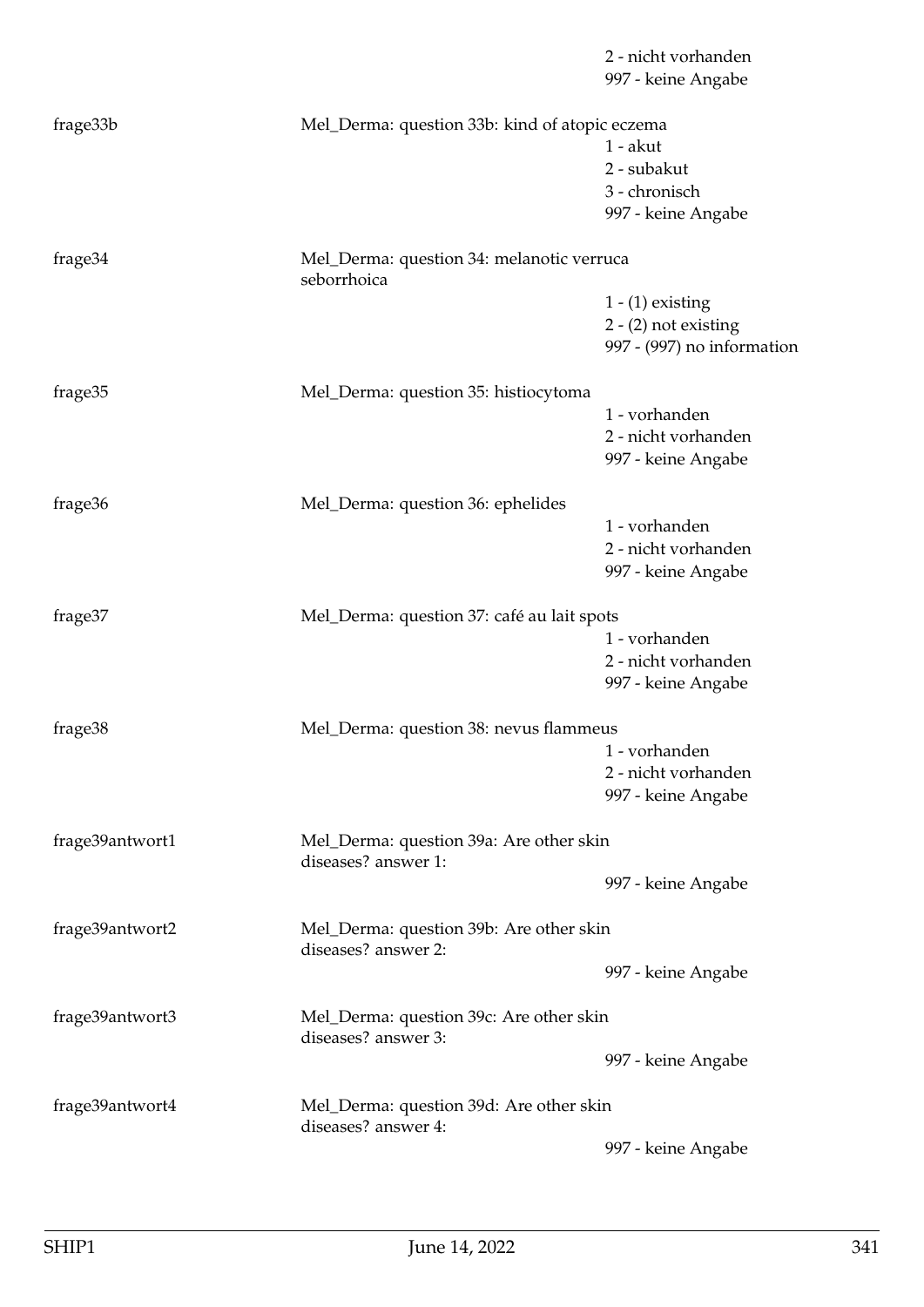|                 |                                                                | 2 - nicht vorhanden<br>997 - keine Angabe                                  |
|-----------------|----------------------------------------------------------------|----------------------------------------------------------------------------|
| frage33b        | Mel_Derma: question 33b: kind of atopic eczema                 | $1 - akut$<br>2 - subakut<br>3 - chronisch<br>997 - keine Angabe           |
| frage34         | Mel_Derma: question 34: melanotic verruca<br>seborrhoica       |                                                                            |
|                 |                                                                | $1 - (1)$ existing<br>$2 - (2)$ not existing<br>997 - (997) no information |
| frage35         | Mel_Derma: question 35: histiocytoma                           | 1 - vorhanden<br>2 - nicht vorhanden<br>997 - keine Angabe                 |
| frage36         | Mel_Derma: question 36: ephelides                              | 1 - vorhanden<br>2 - nicht vorhanden<br>997 - keine Angabe                 |
| frage37         | Mel_Derma: question 37: café au lait spots                     | 1 - vorhanden<br>2 - nicht vorhanden<br>997 - keine Angabe                 |
| frage38         | Mel_Derma: question 38: nevus flammeus                         | 1 - vorhanden<br>2 - nicht vorhanden<br>997 - keine Angabe                 |
| frage39antwort1 | Mel_Derma: question 39a: Are other skin<br>diseases? answer 1: | 997 - keine Angabe                                                         |
| frage39antwort2 | Mel_Derma: question 39b: Are other skin<br>diseases? answer 2: |                                                                            |
| frage39antwort3 | Mel_Derma: question 39c: Are other skin<br>diseases? answer 3: | 997 - keine Angabe<br>997 - keine Angabe                                   |
| frage39antwort4 | Mel_Derma: question 39d: Are other skin<br>diseases? answer 4: |                                                                            |
|                 |                                                                | 997 - keine Angabe                                                         |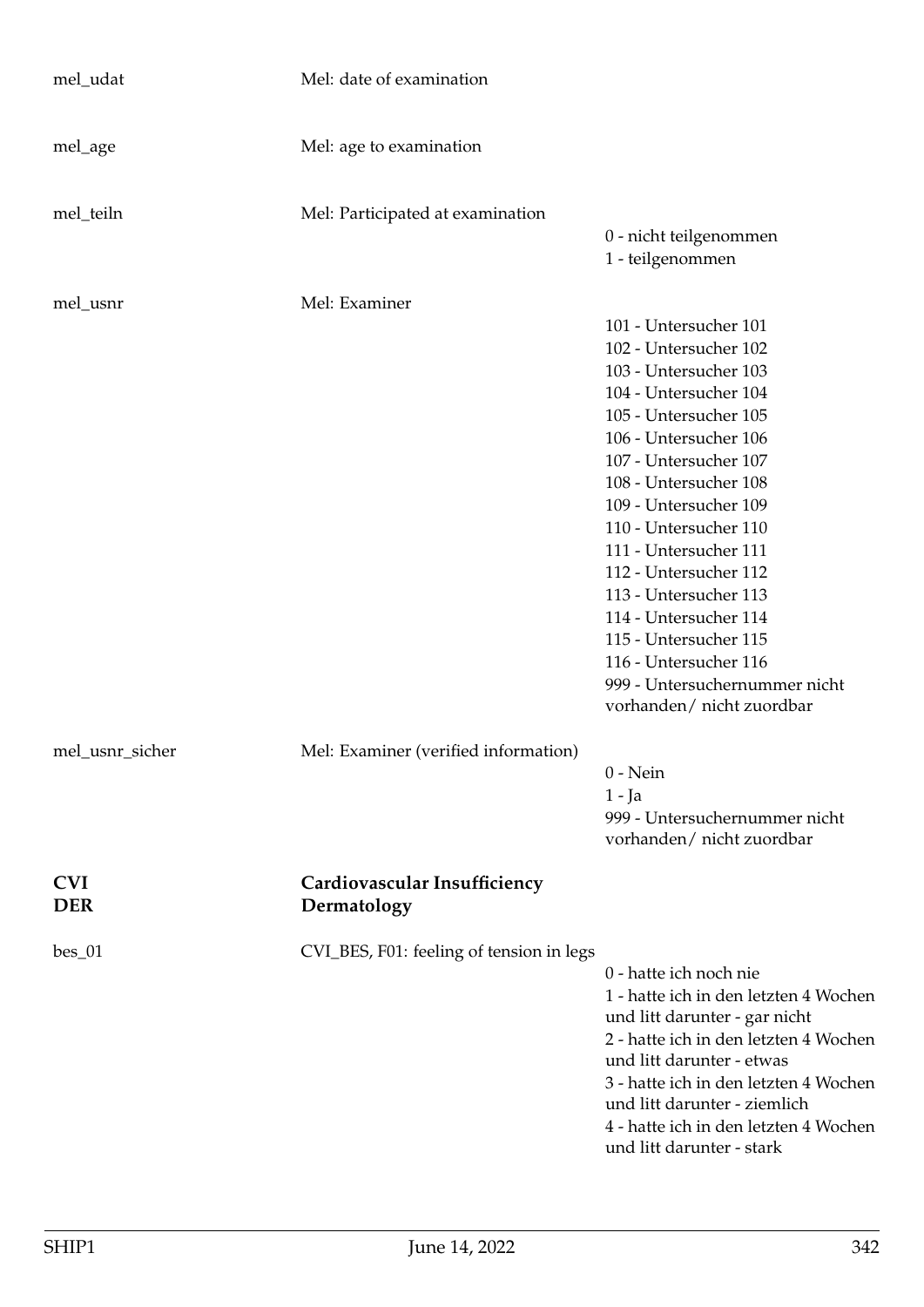| mel_udat                 | Mel: date of examination                    |                                                                                                                                                                                                                                                                                                                                                                                                                                               |
|--------------------------|---------------------------------------------|-----------------------------------------------------------------------------------------------------------------------------------------------------------------------------------------------------------------------------------------------------------------------------------------------------------------------------------------------------------------------------------------------------------------------------------------------|
| mel_age                  | Mel: age to examination                     |                                                                                                                                                                                                                                                                                                                                                                                                                                               |
| mel_teiln                | Mel: Participated at examination            | 0 - nicht teilgenommen                                                                                                                                                                                                                                                                                                                                                                                                                        |
|                          |                                             | 1 - teilgenommen                                                                                                                                                                                                                                                                                                                                                                                                                              |
| mel_usnr                 | Mel: Examiner                               | 101 - Untersucher 101<br>102 - Untersucher 102<br>103 - Untersucher 103<br>104 - Untersucher 104<br>105 - Untersucher 105<br>106 - Untersucher 106<br>107 - Untersucher 107<br>108 - Untersucher 108<br>109 - Untersucher 109<br>110 - Untersucher 110<br>111 - Untersucher 111<br>112 - Untersucher 112<br>113 - Untersucher 113<br>114 - Untersucher 114<br>115 - Untersucher 115<br>116 - Untersucher 116<br>999 - Untersuchernummer nicht |
| mel_usnr_sicher          | Mel: Examiner (verified information)        | vorhanden/ nicht zuordbar                                                                                                                                                                                                                                                                                                                                                                                                                     |
|                          |                                             | $0$ - Nein<br>$1 - Ja$<br>999 - Untersuchernummer nicht<br>vorhanden/ nicht zuordbar                                                                                                                                                                                                                                                                                                                                                          |
| <b>CVI</b><br><b>DER</b> | Cardiovascular Insufficiency<br>Dermatology |                                                                                                                                                                                                                                                                                                                                                                                                                                               |
| $bes_01$                 | CVI_BES, F01: feeling of tension in legs    | 0 - hatte ich noch nie<br>1 - hatte ich in den letzten 4 Wochen<br>und litt darunter - gar nicht<br>2 - hatte ich in den letzten 4 Wochen<br>und litt darunter - etwas<br>3 - hatte ich in den letzten 4 Wochen<br>und litt darunter - ziemlich<br>4 - hatte ich in den letzten 4 Wochen<br>und litt darunter - stark                                                                                                                         |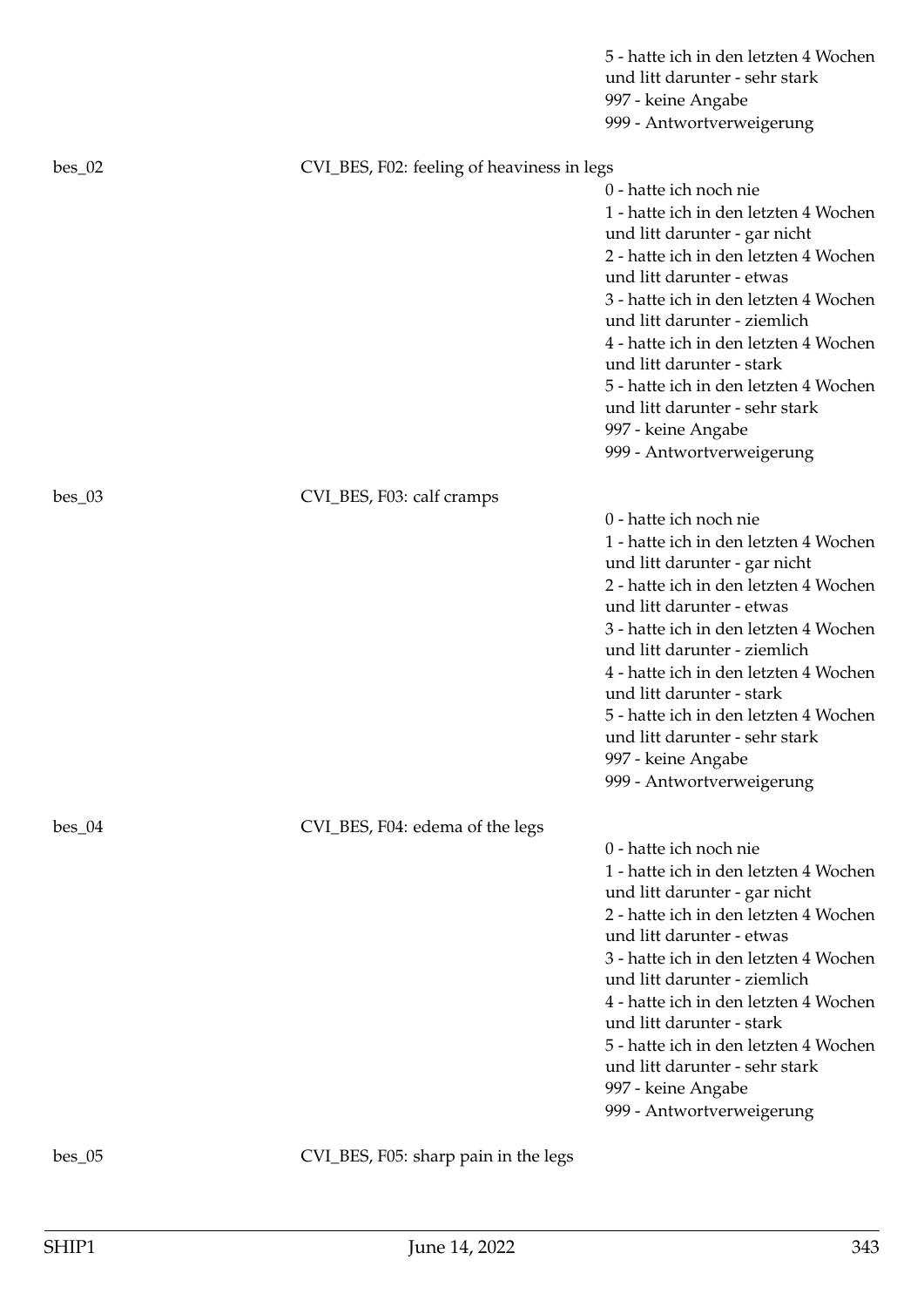|          |                                            | 5 - hatte ich in den letzten 4 Wochen<br>und litt darunter - sehr stark<br>997 - keine Angabe<br>999 - Antwortverweigerung                                                                                                                                                                                                                                                                                                                          |
|----------|--------------------------------------------|-----------------------------------------------------------------------------------------------------------------------------------------------------------------------------------------------------------------------------------------------------------------------------------------------------------------------------------------------------------------------------------------------------------------------------------------------------|
| $bes_02$ | CVI_BES, F02: feeling of heaviness in legs | 0 - hatte ich noch nie<br>1 - hatte ich in den letzten 4 Wochen<br>und litt darunter - gar nicht<br>2 - hatte ich in den letzten 4 Wochen<br>und litt darunter - etwas<br>3 - hatte ich in den letzten 4 Wochen<br>und litt darunter - ziemlich<br>4 - hatte ich in den letzten 4 Wochen<br>und litt darunter - stark<br>5 - hatte ich in den letzten 4 Wochen<br>und litt darunter - sehr stark<br>997 - keine Angabe<br>999 - Antwortverweigerung |
| $bes_03$ | CVI_BES, F03: calf cramps                  | 0 - hatte ich noch nie<br>1 - hatte ich in den letzten 4 Wochen<br>und litt darunter - gar nicht<br>2 - hatte ich in den letzten 4 Wochen<br>und litt darunter - etwas<br>3 - hatte ich in den letzten 4 Wochen<br>und litt darunter - ziemlich<br>4 - hatte ich in den letzten 4 Wochen<br>und litt darunter - stark<br>5 - hatte ich in den letzten 4 Wochen<br>und litt darunter - sehr stark<br>997 - keine Angabe<br>999 - Antwortverweigerung |
| $bes_04$ | CVI_BES, F04: edema of the legs            | 0 - hatte ich noch nie<br>1 - hatte ich in den letzten 4 Wochen<br>und litt darunter - gar nicht<br>2 - hatte ich in den letzten 4 Wochen<br>und litt darunter - etwas<br>3 - hatte ich in den letzten 4 Wochen<br>und litt darunter - ziemlich<br>4 - hatte ich in den letzten 4 Wochen<br>und litt darunter - stark<br>5 - hatte ich in den letzten 4 Wochen<br>und litt darunter - sehr stark<br>997 - keine Angabe<br>999 - Antwortverweigerung |
| $bes_05$ | CVI_BES, F05: sharp pain in the legs       |                                                                                                                                                                                                                                                                                                                                                                                                                                                     |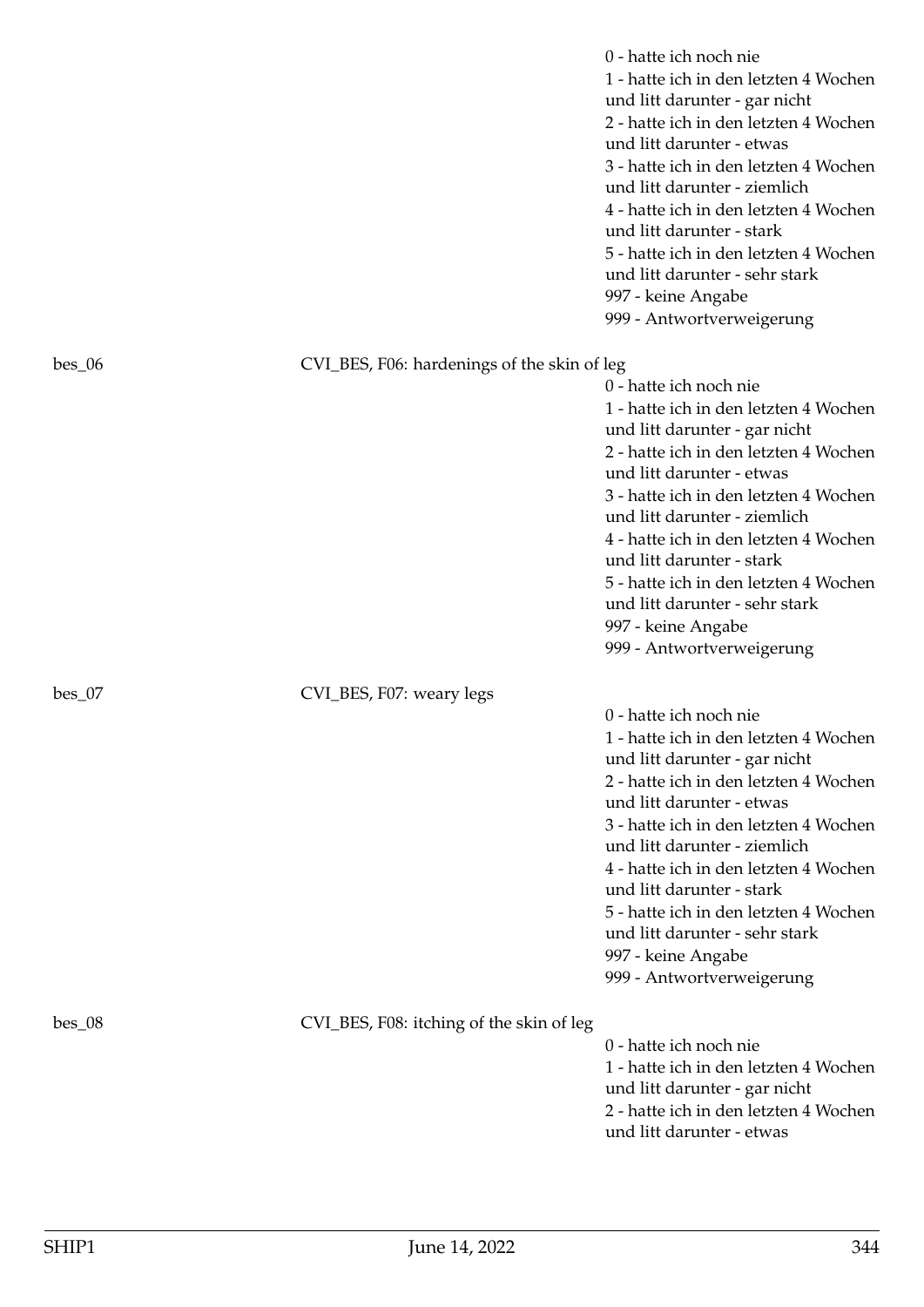|          |                                             | 0 - hatte ich noch nie<br>1 - hatte ich in den letzten 4 Wochen<br>und litt darunter - gar nicht<br>2 - hatte ich in den letzten 4 Wochen<br>und litt darunter - etwas<br>3 - hatte ich in den letzten 4 Wochen<br>und litt darunter - ziemlich<br>4 - hatte ich in den letzten 4 Wochen<br>und litt darunter - stark<br>5 - hatte ich in den letzten 4 Wochen<br>und litt darunter - sehr stark<br>997 - keine Angabe<br>999 - Antwortverweigerung |
|----------|---------------------------------------------|-----------------------------------------------------------------------------------------------------------------------------------------------------------------------------------------------------------------------------------------------------------------------------------------------------------------------------------------------------------------------------------------------------------------------------------------------------|
| $bes_06$ | CVI_BES, F06: hardenings of the skin of leg | 0 - hatte ich noch nie<br>1 - hatte ich in den letzten 4 Wochen<br>und litt darunter - gar nicht<br>2 - hatte ich in den letzten 4 Wochen<br>und litt darunter - etwas<br>3 - hatte ich in den letzten 4 Wochen<br>und litt darunter - ziemlich<br>4 - hatte ich in den letzten 4 Wochen<br>und litt darunter - stark<br>5 - hatte ich in den letzten 4 Wochen<br>und litt darunter - sehr stark<br>997 - keine Angabe<br>999 - Antwortverweigerung |
| $bes_07$ | CVI_BES, F07: weary legs                    | 0 - hatte ich noch nie<br>1 - hatte ich in den letzten 4 Wochen<br>und litt darunter - gar nicht<br>2 - hatte ich in den letzten 4 Wochen<br>und litt darunter - etwas<br>3 - hatte ich in den letzten 4 Wochen<br>und litt darunter - ziemlich<br>4 - hatte ich in den letzten 4 Wochen<br>und litt darunter - stark<br>5 - hatte ich in den letzten 4 Wochen<br>und litt darunter - sehr stark<br>997 - keine Angabe<br>999 - Antwortverweigerung |
| $bes_08$ | CVI_BES, F08: itching of the skin of leg    | 0 - hatte ich noch nie<br>1 - hatte ich in den letzten 4 Wochen<br>und litt darunter - gar nicht<br>2 - hatte ich in den letzten 4 Wochen<br>und litt darunter - etwas                                                                                                                                                                                                                                                                              |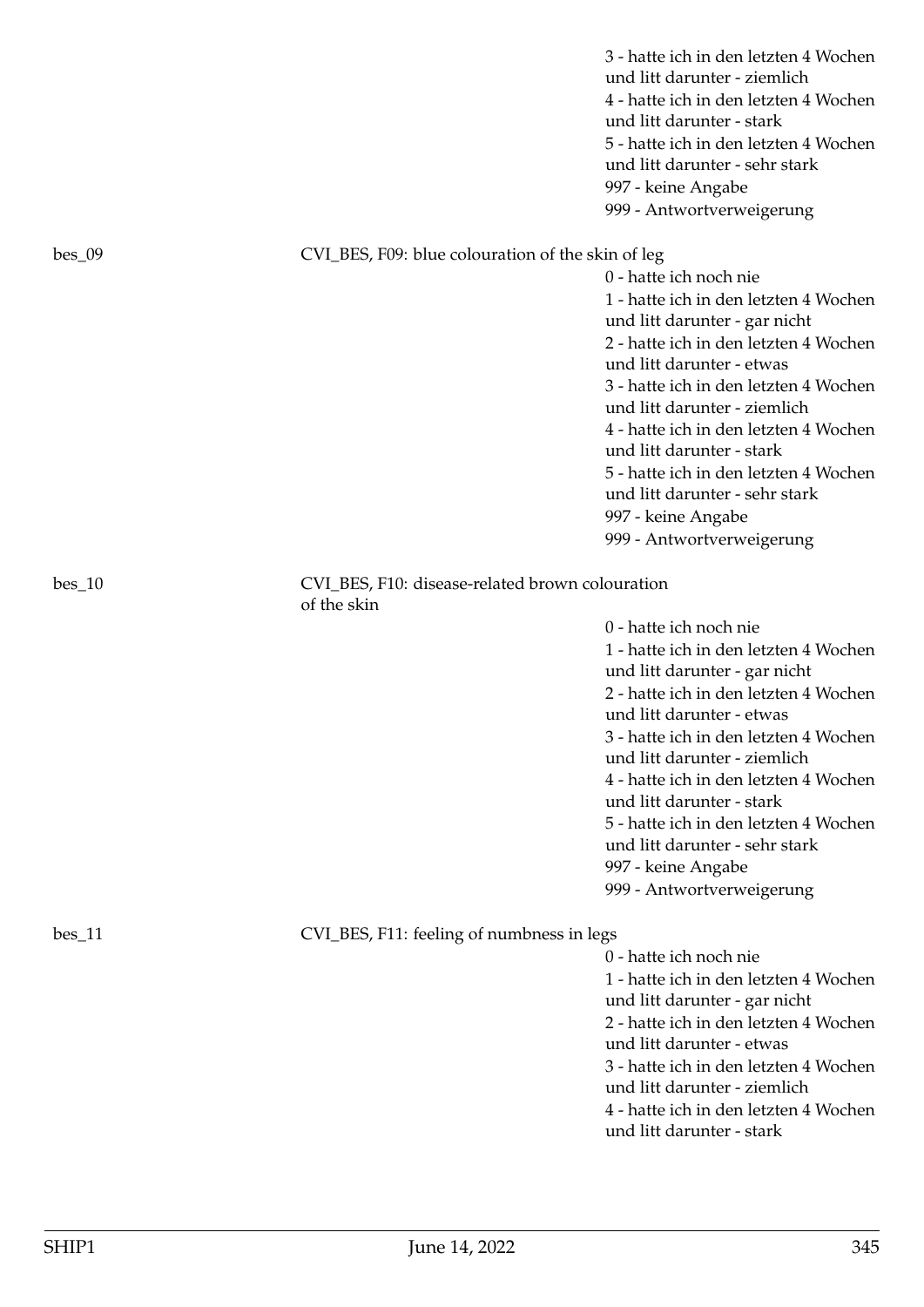|          |                                                                | 3 - hatte ich in den letzten 4 Wochen<br>und litt darunter - ziemlich<br>4 - hatte ich in den letzten 4 Wochen<br>und litt darunter - stark<br>5 - hatte ich in den letzten 4 Wochen<br>und litt darunter - sehr stark<br>997 - keine Angabe<br>999 - Antwortverweigerung                                                                                                                                                                           |
|----------|----------------------------------------------------------------|-----------------------------------------------------------------------------------------------------------------------------------------------------------------------------------------------------------------------------------------------------------------------------------------------------------------------------------------------------------------------------------------------------------------------------------------------------|
| bes_09   | CVI_BES, F09: blue colouration of the skin of leg              | 0 - hatte ich noch nie<br>1 - hatte ich in den letzten 4 Wochen<br>und litt darunter - gar nicht<br>2 - hatte ich in den letzten 4 Wochen<br>und litt darunter - etwas<br>3 - hatte ich in den letzten 4 Wochen<br>und litt darunter - ziemlich<br>4 - hatte ich in den letzten 4 Wochen<br>und litt darunter - stark<br>5 - hatte ich in den letzten 4 Wochen<br>und litt darunter - sehr stark<br>997 - keine Angabe<br>999 - Antwortverweigerung |
| $bes_10$ | CVI_BES, F10: disease-related brown colouration<br>of the skin | 0 - hatte ich noch nie<br>1 - hatte ich in den letzten 4 Wochen<br>und litt darunter - gar nicht<br>2 - hatte ich in den letzten 4 Wochen<br>und litt darunter - etwas<br>3 - hatte ich in den letzten 4 Wochen<br>und litt darunter - ziemlich<br>4 - hatte ich in den letzten 4 Wochen<br>und litt darunter - stark<br>5 - hatte ich in den letzten 4 Wochen<br>und litt darunter - sehr stark<br>997 - keine Angabe<br>999 - Antwortverweigerung |
| bes_11   | CVI_BES, F11: feeling of numbness in legs                      | 0 - hatte ich noch nie<br>1 - hatte ich in den letzten 4 Wochen<br>und litt darunter - gar nicht<br>2 - hatte ich in den letzten 4 Wochen<br>und litt darunter - etwas<br>3 - hatte ich in den letzten 4 Wochen<br>und litt darunter - ziemlich<br>4 - hatte ich in den letzten 4 Wochen<br>und litt darunter - stark                                                                                                                               |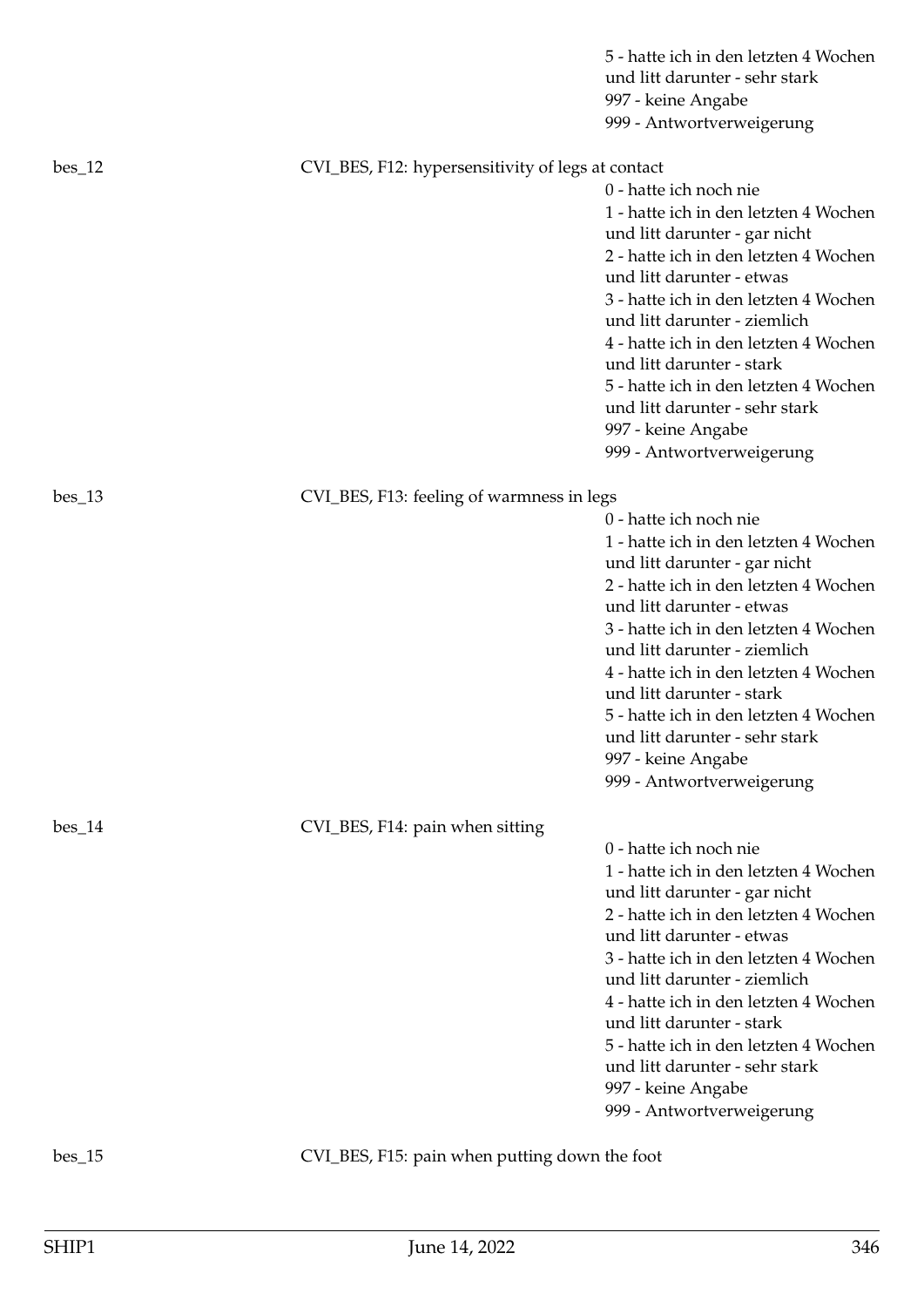|          |                                                   | 5 - hatte ich in den letzten 4 Wochen<br>und litt darunter - sehr stark<br>997 - keine Angabe<br>999 - Antwortverweigerung                                                                                                                                                                                                                                                                                                                          |
|----------|---------------------------------------------------|-----------------------------------------------------------------------------------------------------------------------------------------------------------------------------------------------------------------------------------------------------------------------------------------------------------------------------------------------------------------------------------------------------------------------------------------------------|
| $bes_12$ | CVI_BES, F12: hypersensitivity of legs at contact | 0 - hatte ich noch nie<br>1 - hatte ich in den letzten 4 Wochen<br>und litt darunter - gar nicht<br>2 - hatte ich in den letzten 4 Wochen<br>und litt darunter - etwas<br>3 - hatte ich in den letzten 4 Wochen<br>und litt darunter - ziemlich<br>4 - hatte ich in den letzten 4 Wochen<br>und litt darunter - stark<br>5 - hatte ich in den letzten 4 Wochen<br>und litt darunter - sehr stark<br>997 - keine Angabe<br>999 - Antwortverweigerung |
| bes_13   | CVI_BES, F13: feeling of warmness in legs         | 0 - hatte ich noch nie<br>1 - hatte ich in den letzten 4 Wochen<br>und litt darunter - gar nicht<br>2 - hatte ich in den letzten 4 Wochen<br>und litt darunter - etwas<br>3 - hatte ich in den letzten 4 Wochen<br>und litt darunter - ziemlich<br>4 - hatte ich in den letzten 4 Wochen<br>und litt darunter - stark<br>5 - hatte ich in den letzten 4 Wochen<br>und litt darunter - sehr stark<br>997 - keine Angabe<br>999 - Antwortverweigerung |
| $bes_14$ | CVI_BES, F14: pain when sitting                   | 0 - hatte ich noch nie<br>1 - hatte ich in den letzten 4 Wochen<br>und litt darunter - gar nicht<br>2 - hatte ich in den letzten 4 Wochen<br>und litt darunter - etwas<br>3 - hatte ich in den letzten 4 Wochen<br>und litt darunter - ziemlich<br>4 - hatte ich in den letzten 4 Wochen<br>und litt darunter - stark<br>5 - hatte ich in den letzten 4 Wochen<br>und litt darunter - sehr stark<br>997 - keine Angabe<br>999 - Antwortverweigerung |

bes\_15 CVI\_BES, F15: pain when putting down the foot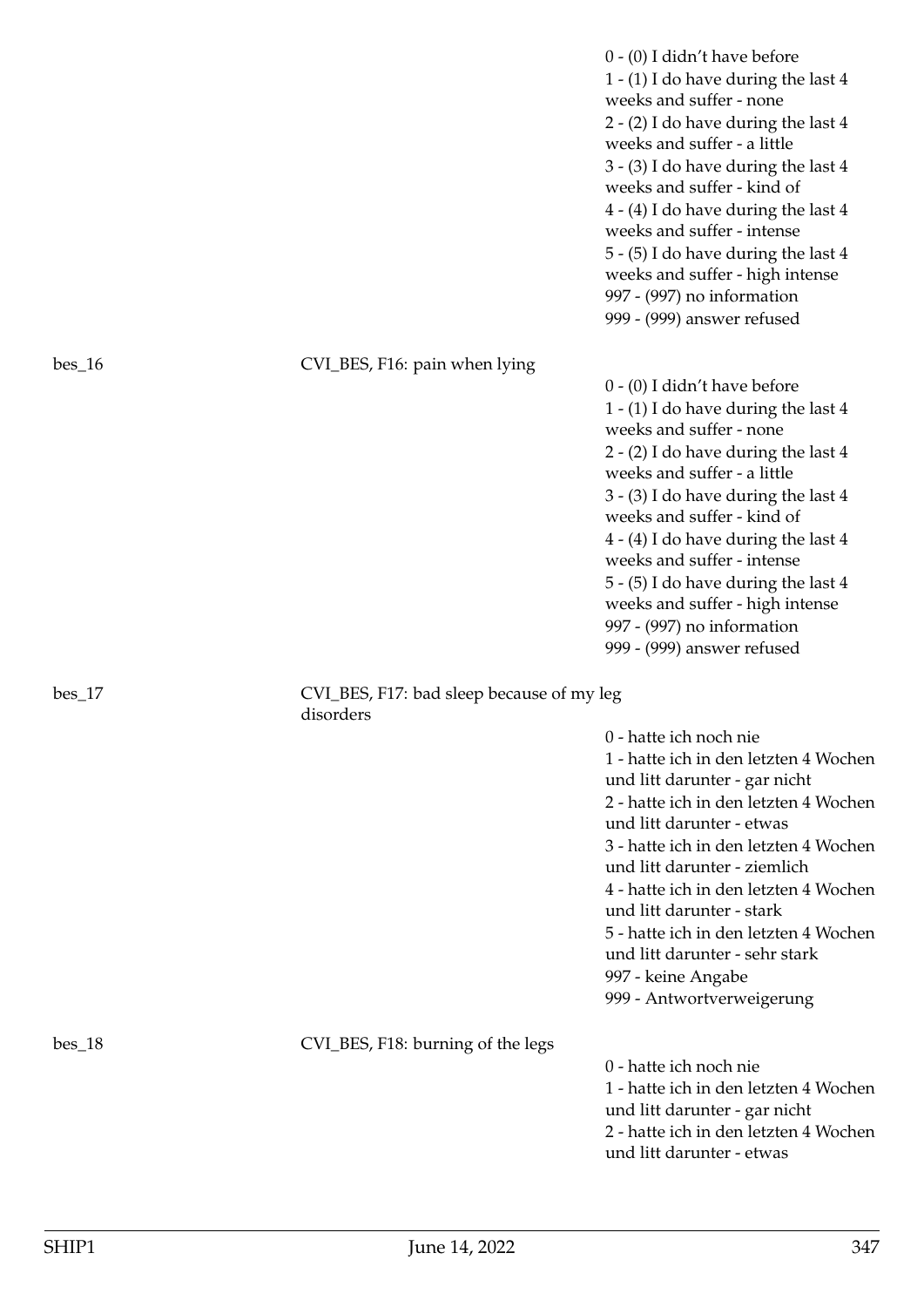|          |                                                        | $0 - (0)$ I didn't have before<br>1 - (1) I do have during the last 4<br>weeks and suffer - none<br>2 - (2) I do have during the last 4<br>weeks and suffer - a little<br>3 - (3) I do have during the last 4<br>weeks and suffer - kind of<br>$4 - (4)$ I do have during the last 4<br>weeks and suffer - intense<br>5 - (5) I do have during the last 4<br>weeks and suffer - high intense<br>997 - (997) no information<br>999 - (999) answer refused   |
|----------|--------------------------------------------------------|------------------------------------------------------------------------------------------------------------------------------------------------------------------------------------------------------------------------------------------------------------------------------------------------------------------------------------------------------------------------------------------------------------------------------------------------------------|
| $bes_16$ | CVI_BES, F16: pain when lying                          |                                                                                                                                                                                                                                                                                                                                                                                                                                                            |
|          |                                                        | $0 - (0)$ I didn't have before<br>1 - (1) I do have during the last 4<br>weeks and suffer - none<br>$2 - (2)$ I do have during the last 4<br>weeks and suffer - a little<br>3 - (3) I do have during the last 4<br>weeks and suffer - kind of<br>$4 - (4)$ I do have during the last 4<br>weeks and suffer - intense<br>5 - (5) I do have during the last 4<br>weeks and suffer - high intense<br>997 - (997) no information<br>999 - (999) answer refused |
| $bes_17$ | CVI_BES, F17: bad sleep because of my leg<br>disorders |                                                                                                                                                                                                                                                                                                                                                                                                                                                            |
|          |                                                        | 0 - hatte ich noch nie<br>1 - hatte ich in den letzten 4 Wochen<br>und litt darunter - gar nicht<br>2 - hatte ich in den letzten 4 Wochen<br>und litt darunter - etwas<br>3 - hatte ich in den letzten 4 Wochen<br>und litt darunter - ziemlich<br>4 - hatte ich in den letzten 4 Wochen<br>und litt darunter - stark<br>5 - hatte ich in den letzten 4 Wochen<br>und litt darunter - sehr stark<br>997 - keine Angabe<br>999 - Antwortverweigerung        |
| $bes_18$ | CVI_BES, F18: burning of the legs                      | 0 - hatte ich noch nie<br>1 - hatte ich in den letzten 4 Wochen<br>und litt darunter - gar nicht<br>2 - hatte ich in den letzten 4 Wochen<br>und litt darunter - etwas                                                                                                                                                                                                                                                                                     |
|          |                                                        |                                                                                                                                                                                                                                                                                                                                                                                                                                                            |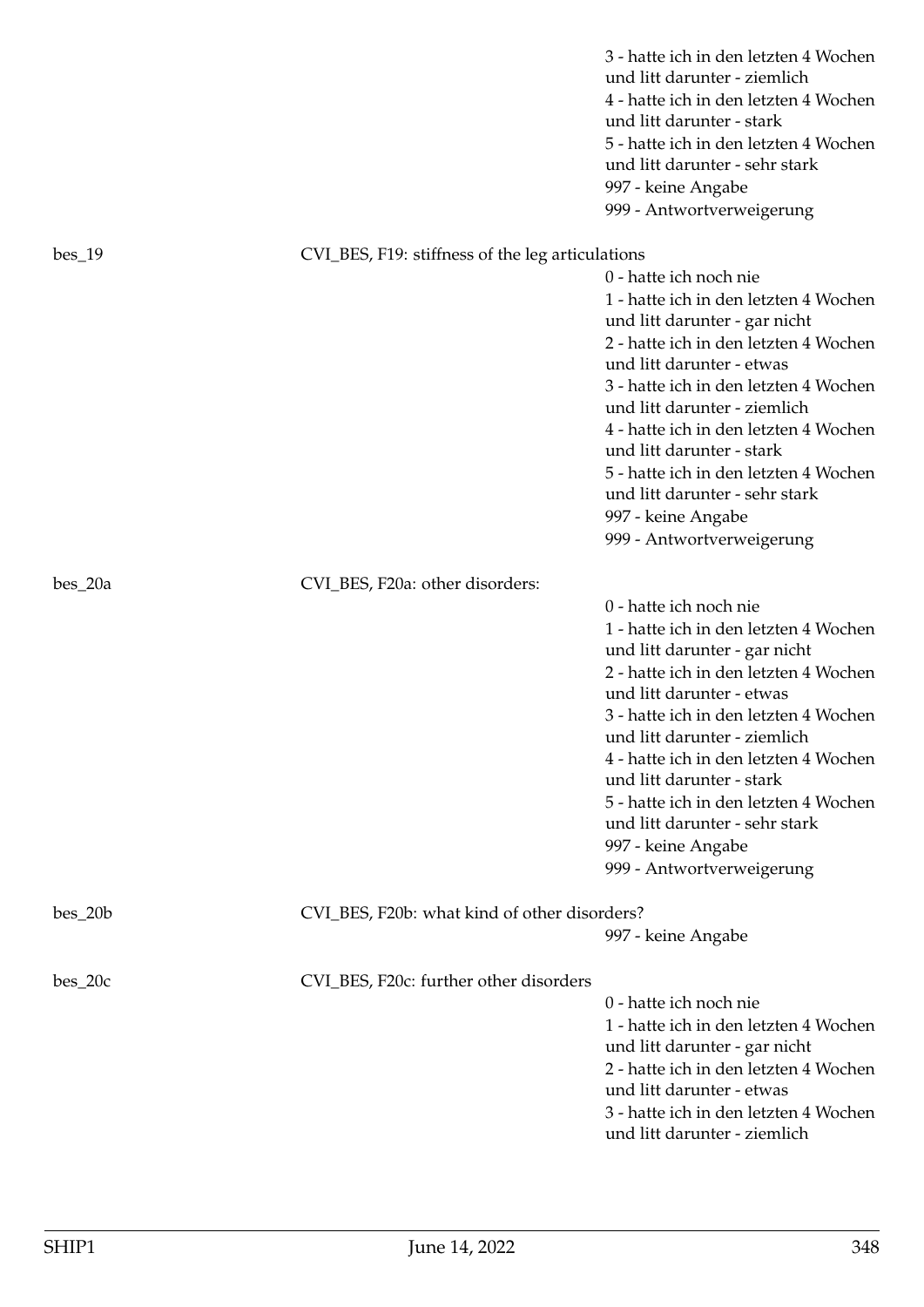|           |                                                  | 3 - hatte ich in den letzten 4 Wochen<br>und litt darunter - ziemlich<br>4 - hatte ich in den letzten 4 Wochen<br>und litt darunter - stark<br>5 - hatte ich in den letzten 4 Wochen<br>und litt darunter - sehr stark<br>997 - keine Angabe<br>999 - Antwortverweigerung                                                                                                                                                                           |
|-----------|--------------------------------------------------|-----------------------------------------------------------------------------------------------------------------------------------------------------------------------------------------------------------------------------------------------------------------------------------------------------------------------------------------------------------------------------------------------------------------------------------------------------|
| $bes_19$  | CVI_BES, F19: stiffness of the leg articulations |                                                                                                                                                                                                                                                                                                                                                                                                                                                     |
|           |                                                  | 0 - hatte ich noch nie<br>1 - hatte ich in den letzten 4 Wochen<br>und litt darunter - gar nicht<br>2 - hatte ich in den letzten 4 Wochen<br>und litt darunter - etwas<br>3 - hatte ich in den letzten 4 Wochen<br>und litt darunter - ziemlich<br>4 - hatte ich in den letzten 4 Wochen<br>und litt darunter - stark<br>5 - hatte ich in den letzten 4 Wochen<br>und litt darunter - sehr stark<br>997 - keine Angabe                              |
| $bes_20a$ | CVI_BES, F20a: other disorders:                  | 999 - Antwortverweigerung                                                                                                                                                                                                                                                                                                                                                                                                                           |
|           |                                                  | 0 - hatte ich noch nie<br>1 - hatte ich in den letzten 4 Wochen<br>und litt darunter - gar nicht<br>2 - hatte ich in den letzten 4 Wochen<br>und litt darunter - etwas<br>3 - hatte ich in den letzten 4 Wochen<br>und litt darunter - ziemlich<br>4 - hatte ich in den letzten 4 Wochen<br>und litt darunter - stark<br>5 - hatte ich in den letzten 4 Wochen<br>und litt darunter - sehr stark<br>997 - keine Angabe<br>999 - Antwortverweigerung |
| $bes_20b$ | CVI_BES, F20b: what kind of other disorders?     | 997 - keine Angabe                                                                                                                                                                                                                                                                                                                                                                                                                                  |
| $bes_20c$ | CVI_BES, F20c: further other disorders           | 0 - hatte ich noch nie<br>1 - hatte ich in den letzten 4 Wochen<br>und litt darunter - gar nicht<br>2 - hatte ich in den letzten 4 Wochen<br>und litt darunter - etwas<br>3 - hatte ich in den letzten 4 Wochen<br>und litt darunter - ziemlich                                                                                                                                                                                                     |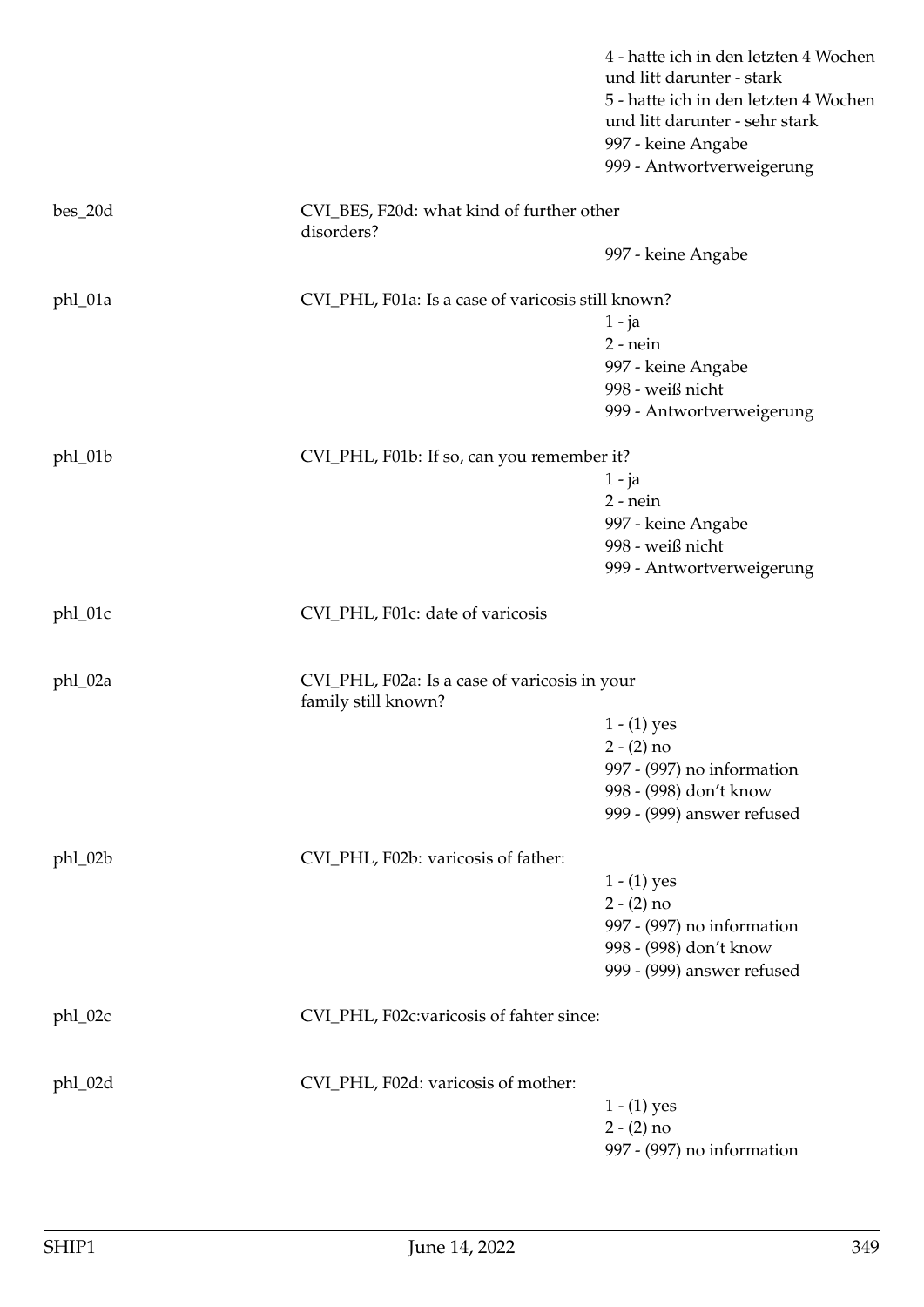|           |                                                                      | 4 - hatte ich in den letzten 4 Wochen<br>und litt darunter - stark<br>5 - hatte ich in den letzten 4 Wochen<br>und litt darunter - sehr stark<br>997 - keine Angabe<br>999 - Antwortverweigerung |
|-----------|----------------------------------------------------------------------|--------------------------------------------------------------------------------------------------------------------------------------------------------------------------------------------------|
| $bes_20d$ | CVI_BES, F20d: what kind of further other<br>disorders?              |                                                                                                                                                                                                  |
|           |                                                                      | 997 - keine Angabe                                                                                                                                                                               |
| phl_01a   | CVI_PHL, F01a: Is a case of varicosis still known?                   |                                                                                                                                                                                                  |
|           |                                                                      | $1 - ja$                                                                                                                                                                                         |
|           |                                                                      | $2$ - nein                                                                                                                                                                                       |
|           |                                                                      | 997 - keine Angabe                                                                                                                                                                               |
|           |                                                                      | 998 - weiß nicht                                                                                                                                                                                 |
|           |                                                                      | 999 - Antwortverweigerung                                                                                                                                                                        |
| phl_01b   | CVI_PHL, F01b: If so, can you remember it?                           |                                                                                                                                                                                                  |
|           |                                                                      | $1 - ja$                                                                                                                                                                                         |
|           |                                                                      | $2$ - nein                                                                                                                                                                                       |
|           |                                                                      | 997 - keine Angabe                                                                                                                                                                               |
|           |                                                                      | 998 - weiß nicht                                                                                                                                                                                 |
|           |                                                                      | 999 - Antwortverweigerung                                                                                                                                                                        |
| phl_01c   | CVI_PHL, F01c: date of varicosis                                     |                                                                                                                                                                                                  |
| phl_02a   | CVI_PHL, F02a: Is a case of varicosis in your<br>family still known? |                                                                                                                                                                                                  |
|           |                                                                      | $1 - (1)$ yes                                                                                                                                                                                    |
|           |                                                                      | $2 - (2) no$                                                                                                                                                                                     |
|           |                                                                      | 997 - (997) no information                                                                                                                                                                       |
|           |                                                                      | 998 - (998) don't know                                                                                                                                                                           |
|           |                                                                      | 999 - (999) answer refused                                                                                                                                                                       |
| phl_02b   | CVI_PHL, F02b: varicosis of father:                                  |                                                                                                                                                                                                  |
|           |                                                                      | $1 - (1)$ yes                                                                                                                                                                                    |
|           |                                                                      | $2 - (2) no$                                                                                                                                                                                     |
|           |                                                                      | 997 - (997) no information                                                                                                                                                                       |
|           |                                                                      | 998 - (998) don't know                                                                                                                                                                           |
|           |                                                                      | 999 - (999) answer refused                                                                                                                                                                       |
| phl_02c   | CVI_PHL, F02c:varicosis of fahter since:                             |                                                                                                                                                                                                  |
| phl_02d   | CVI_PHL, F02d: varicosis of mother:                                  |                                                                                                                                                                                                  |
|           |                                                                      | $1 - (1)$ yes                                                                                                                                                                                    |
|           |                                                                      | $2 - (2)$ no                                                                                                                                                                                     |
|           |                                                                      | 997 - (997) no information                                                                                                                                                                       |
|           |                                                                      |                                                                                                                                                                                                  |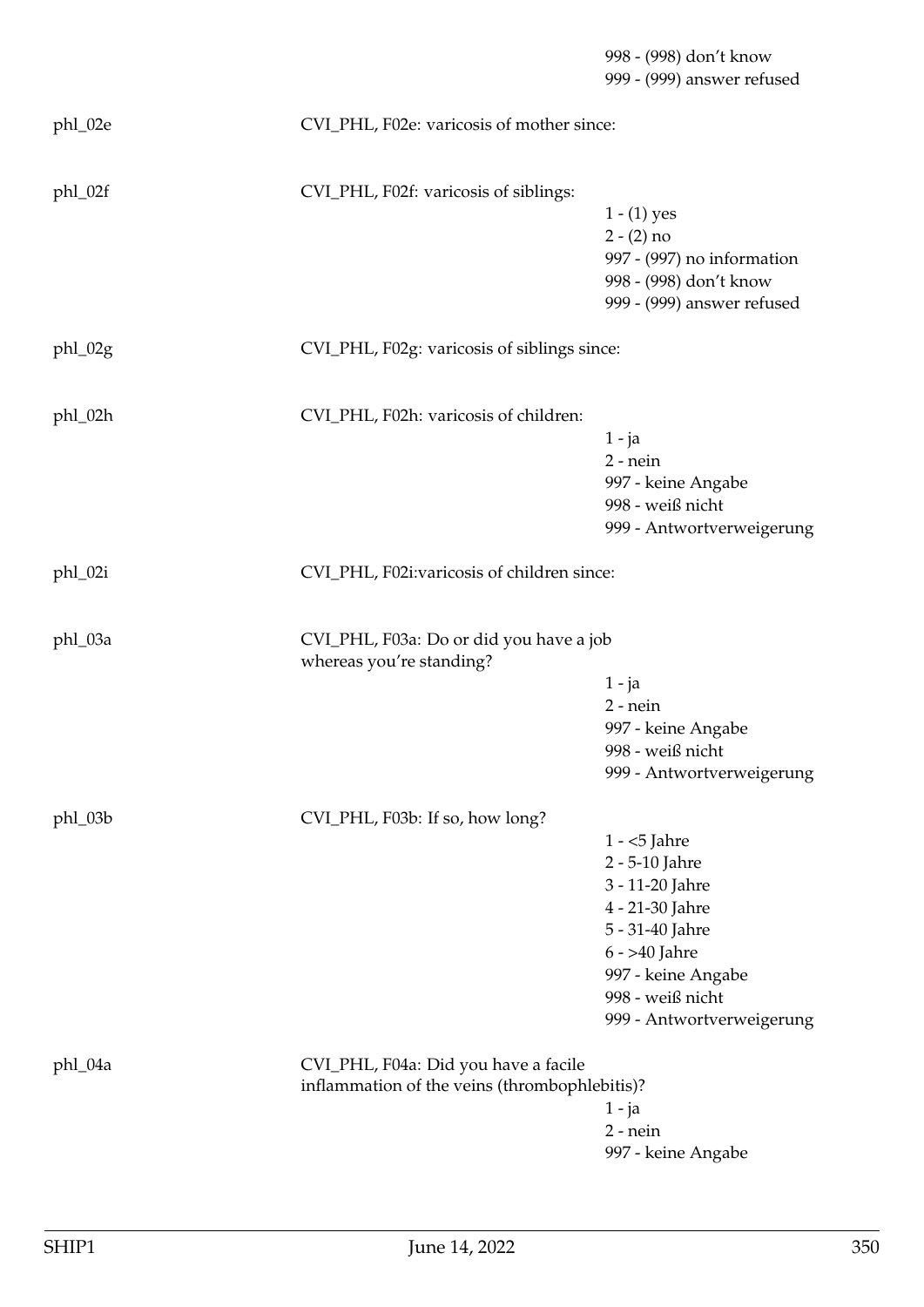998 - (998) don't know 999 - (999) answer refused phl\_02e CVI\_PHL, F02e: varicosis of mother since: phl\_02f CVI\_PHL, F02f: varicosis of siblings:  $1 - (1)$  yes  $2 - (2)$  no 997 - (997) no information 998 - (998) don't know 999 - (999) answer refused phl\_02g CVI\_PHL, F02g: varicosis of siblings since: phl\_02h CVI\_PHL, F02h: varicosis of children: 1 - ja 2 - nein 997 - keine Angabe 998 - weiß nicht 999 - Antwortverweigerung phl\_02i CVI\_PHL, F02i:varicosis of children since: phl\_03a CVI\_PHL, F03a: Do or did you have a job whereas you're standing? 1 - ja 2 - nein 997 - keine Angabe 998 - weiß nicht 999 - Antwortverweigerung phl\_03b CVI\_PHL, F03b: If so, how long? 1 - <5 Jahre 2 - 5-10 Jahre 3 - 11-20 Jahre 4 - 21-30 Jahre 5 - 31-40 Jahre 6 - >40 Jahre 997 - keine Angabe 998 - weiß nicht 999 - Antwortverweigerung phl\_04a CVI\_PHL, F04a: Did you have a facile inflammation of the veins (thrombophlebitis)? 1 - ja 2 - nein 997 - keine Angabe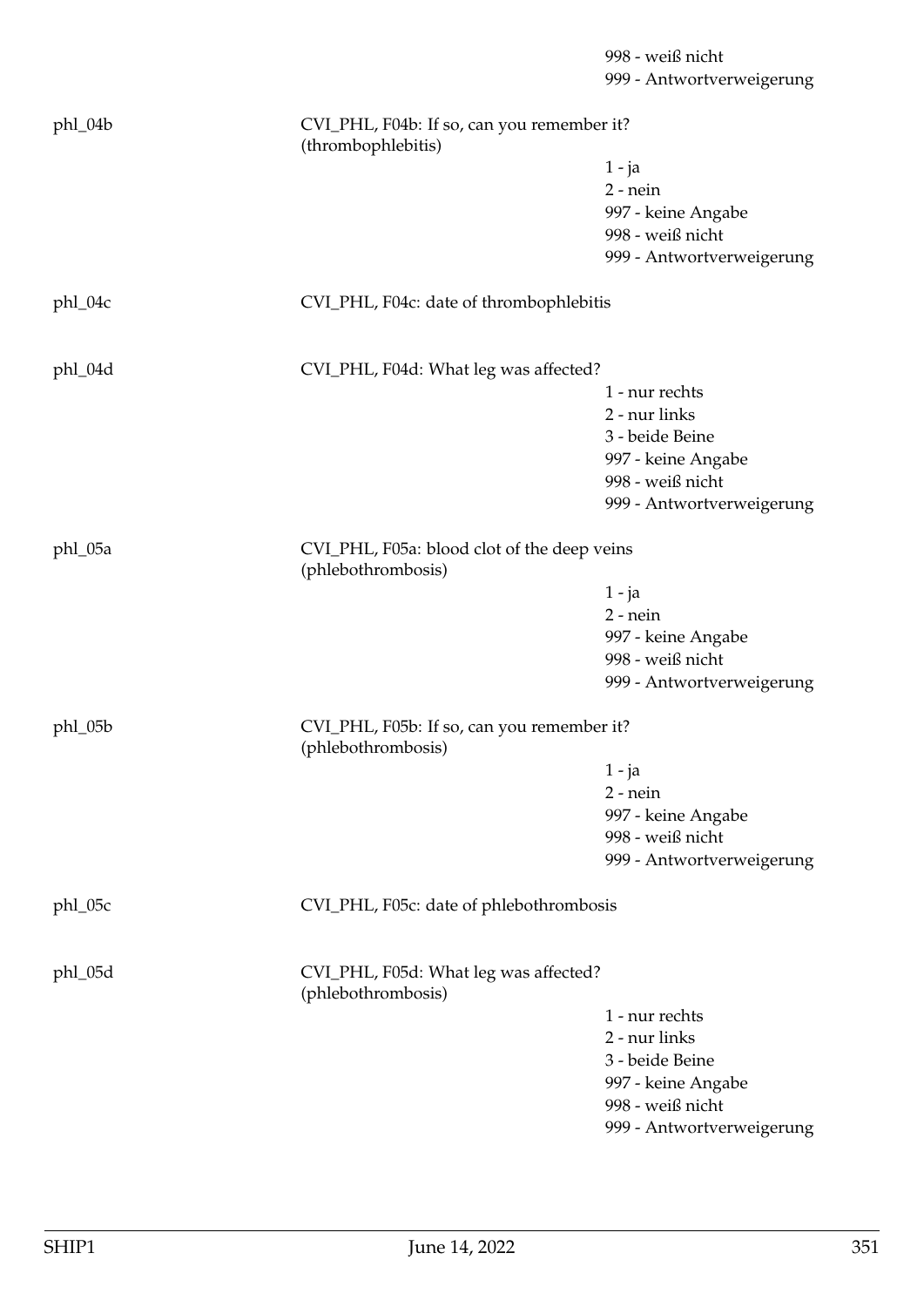|         |                                                                  | 998 - weiß nicht<br>999 - Antwortverweigerung |  |
|---------|------------------------------------------------------------------|-----------------------------------------------|--|
|         |                                                                  |                                               |  |
| phl_04b | CVI_PHL, F04b: If so, can you remember it?<br>(thrombophlebitis) |                                               |  |
|         |                                                                  | 1 - ja                                        |  |
|         |                                                                  | $2$ - nein                                    |  |
|         |                                                                  | 997 - keine Angabe                            |  |
|         |                                                                  | 998 - weiß nicht                              |  |
|         |                                                                  | 999 - Antwortverweigerung                     |  |
| phl_04c | CVI_PHL, F04c: date of thrombophlebitis                          |                                               |  |
|         |                                                                  |                                               |  |
| phl_04d | CVI_PHL, F04d: What leg was affected?                            |                                               |  |
|         |                                                                  | 1 - nur rechts                                |  |
|         |                                                                  | 2 - nur links                                 |  |
|         |                                                                  | 3 - beide Beine                               |  |
|         |                                                                  | 997 - keine Angabe                            |  |
|         |                                                                  | 998 - weiß nicht                              |  |
|         |                                                                  | 999 - Antwortverweigerung                     |  |
| phl_05a | (phlebothrombosis)                                               | CVI_PHL, F05a: blood clot of the deep veins   |  |
|         |                                                                  | 1 - ja                                        |  |
|         |                                                                  | $2$ - nein                                    |  |
|         |                                                                  | 997 - keine Angabe                            |  |
|         |                                                                  | 998 - weiß nicht                              |  |
|         |                                                                  | 999 - Antwortverweigerung                     |  |
| phl_05b | CVI_PHL, F05b: If so, can you remember it?                       |                                               |  |
|         | (phlebothrombosis)                                               |                                               |  |
|         |                                                                  | 1 - ja                                        |  |
|         |                                                                  | $2$ - nein                                    |  |
|         |                                                                  | 997 - keine Angabe                            |  |
|         |                                                                  | 998 - weiß nicht                              |  |
|         |                                                                  | 999 - Antwortverweigerung                     |  |
| phl_05c | CVI_PHL, F05c: date of phlebothrombosis                          |                                               |  |
|         |                                                                  |                                               |  |
| phl_05d | CVI_PHL, F05d: What leg was affected?<br>(phlebothrombosis)      |                                               |  |
|         |                                                                  | 1 - nur rechts                                |  |
|         |                                                                  | 2 - nur links                                 |  |
|         |                                                                  | 3 - beide Beine                               |  |
|         |                                                                  | 997 - keine Angabe                            |  |
|         |                                                                  | 998 - weiß nicht                              |  |
|         |                                                                  | 999 - Antwortverweigerung                     |  |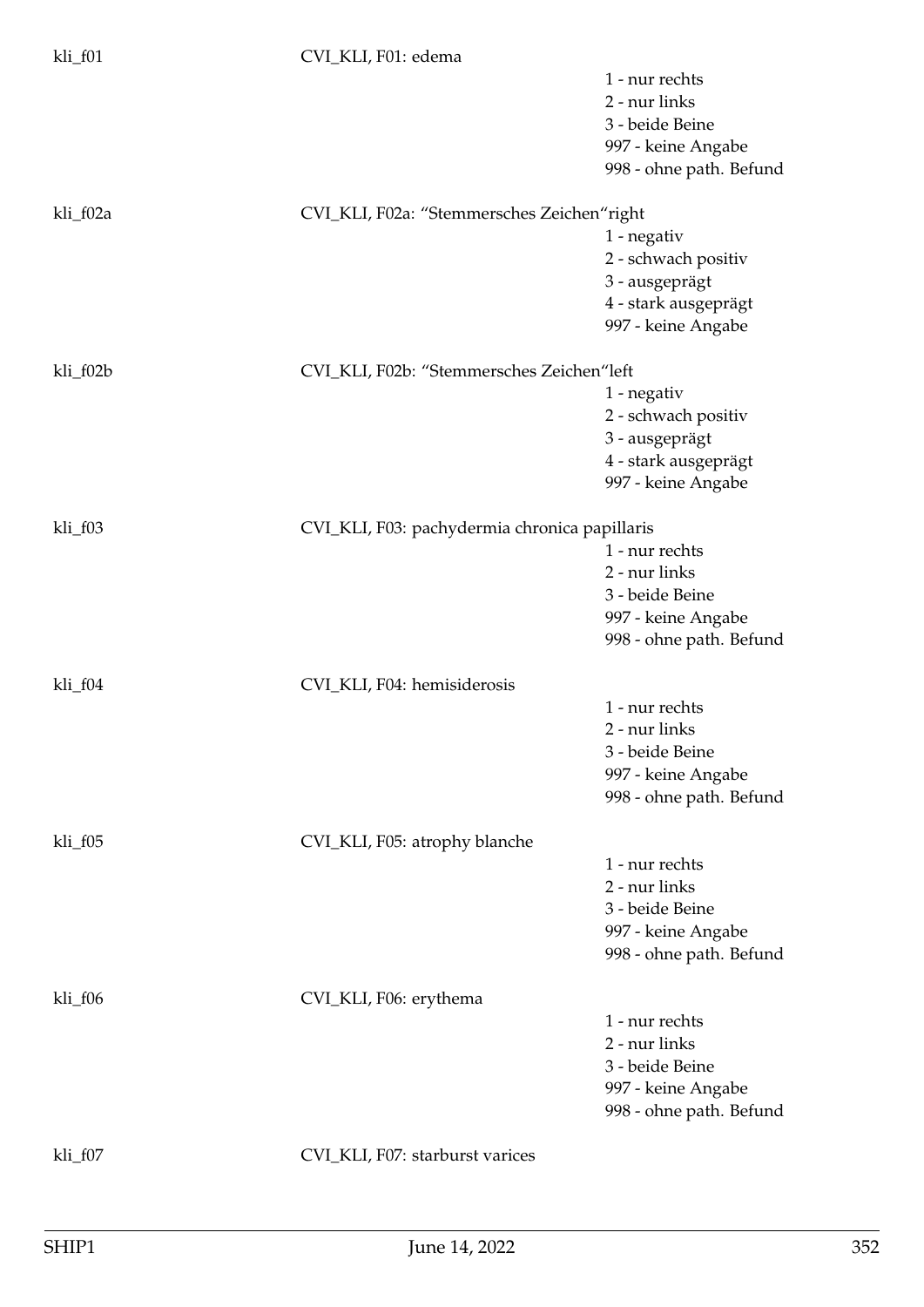| kli_f01  | CVI_KLI, F01: edema                           |                         |
|----------|-----------------------------------------------|-------------------------|
|          |                                               | 1 - nur rechts          |
|          |                                               | 2 - nur links           |
|          |                                               | 3 - beide Beine         |
|          |                                               | 997 - keine Angabe      |
|          |                                               | 998 - ohne path. Befund |
| kli_f02a | CVI_KLI, F02a: "Stemmersches Zeichen"right    |                         |
|          |                                               | 1 - negativ             |
|          |                                               | 2 - schwach positiv     |
|          |                                               | 3 - ausgeprägt          |
|          |                                               | 4 - stark ausgeprägt    |
|          |                                               | 997 - keine Angabe      |
| kli_f02b | CVI_KLI, F02b: "Stemmersches Zeichen"left     |                         |
|          |                                               | 1 - negativ             |
|          |                                               | 2 - schwach positiv     |
|          |                                               | 3 - ausgeprägt          |
|          |                                               | 4 - stark ausgeprägt    |
|          |                                               | 997 - keine Angabe      |
| kli_f03  | CVI_KLI, F03: pachydermia chronica papillaris |                         |
|          |                                               | 1 - nur rechts          |
|          |                                               | 2 - nur links           |
|          |                                               | 3 - beide Beine         |
|          |                                               | 997 - keine Angabe      |
|          |                                               | 998 - ohne path. Befund |
| kli_f04  | CVI_KLI, F04: hemisiderosis                   |                         |
|          |                                               | 1 - nur rechts          |
|          |                                               | 2 - nur links           |
|          |                                               | 3 - beide Beine         |
|          |                                               | 997 - keine Angabe      |
|          |                                               | 998 - ohne path. Befund |
| kli_f05  | CVI_KLI, F05: atrophy blanche                 |                         |
|          |                                               | 1 - nur rechts          |
|          |                                               | 2 - nur links           |
|          |                                               | 3 - beide Beine         |
|          |                                               | 997 - keine Angabe      |
|          |                                               | 998 - ohne path. Befund |
| kli_f06  | CVI_KLI, F06: erythema                        |                         |
|          |                                               | 1 - nur rechts          |
|          |                                               | 2 - nur links           |
|          |                                               | 3 - beide Beine         |
|          |                                               | 997 - keine Angabe      |
|          |                                               | 998 - ohne path. Befund |
| kli_f07  | CVI_KLI, F07: starburst varices               |                         |
|          |                                               |                         |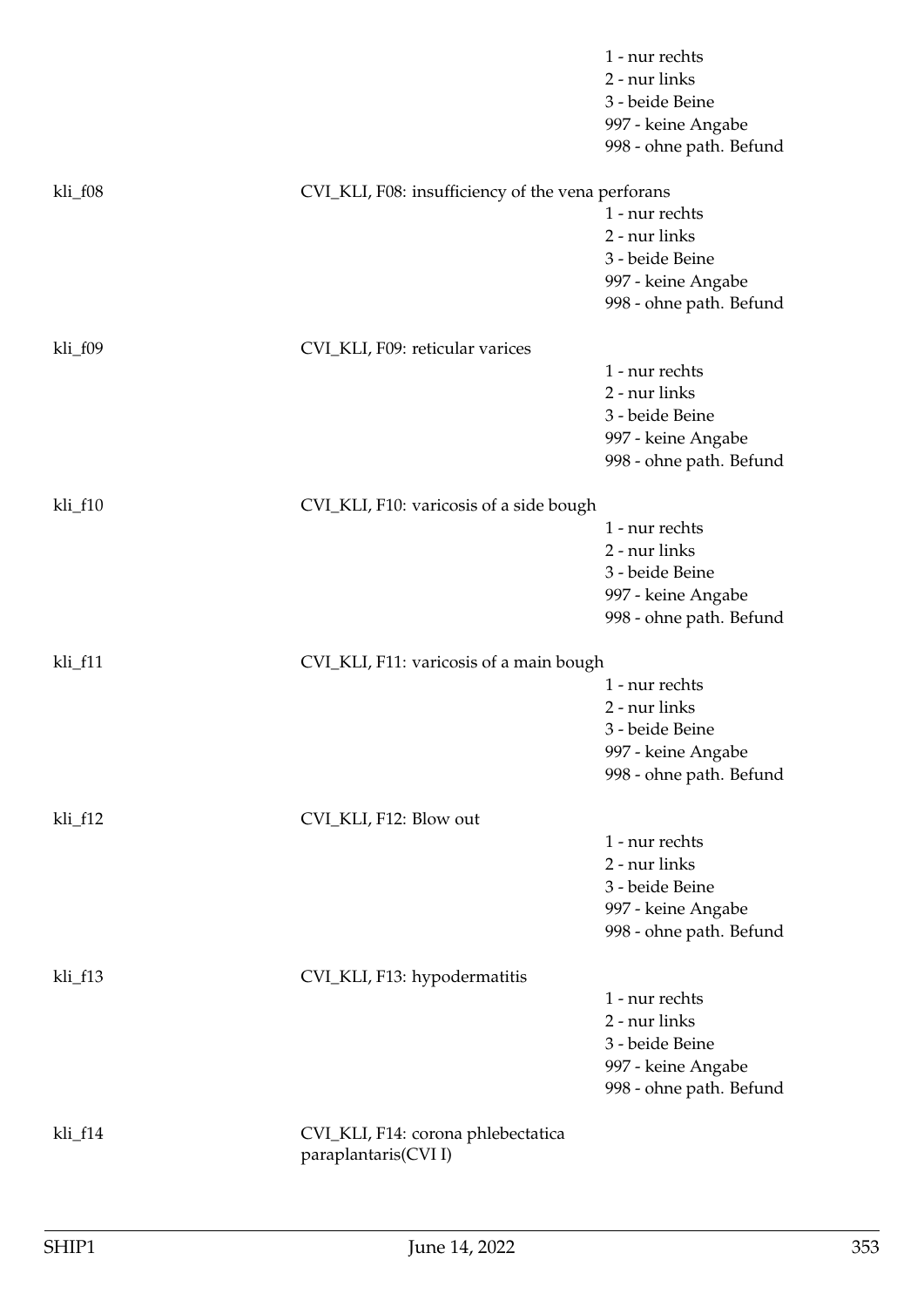|         |                                                           | 1 - nur rechts<br>2 - nur links<br>3 - beide Beine<br>997 - keine Angabe<br>998 - ohne path. Befund |
|---------|-----------------------------------------------------------|-----------------------------------------------------------------------------------------------------|
| kli_f08 | CVI_KLI, F08: insufficiency of the vena perforans         | 1 - nur rechts<br>2 - nur links                                                                     |
|         |                                                           | 3 - beide Beine<br>997 - keine Angabe<br>998 - ohne path. Befund                                    |
| kli_f09 | CVI_KLI, F09: reticular varices                           |                                                                                                     |
|         |                                                           | 1 - nur rechts<br>2 - nur links<br>3 - beide Beine<br>997 - keine Angabe<br>998 - ohne path. Befund |
| kli_f10 | CVI_KLI, F10: varicosis of a side bough                   | 1 - nur rechts<br>2 - nur links<br>3 - beide Beine<br>997 - keine Angabe<br>998 - ohne path. Befund |
| kli_f11 | CVI_KLI, F11: varicosis of a main bough                   | 1 - nur rechts<br>2 - nur links<br>3 - beide Beine<br>997 - keine Angabe<br>998 - ohne path. Befund |
| kli_f12 | CVI_KLI, F12: Blow out                                    | 1 - nur rechts                                                                                      |
|         |                                                           | 2 - nur links<br>3 - beide Beine<br>997 - keine Angabe<br>998 - ohne path. Befund                   |
| kli_f13 | CVI_KLI, F13: hypodermatitis                              | 1 - nur rechts<br>2 - nur links<br>3 - beide Beine<br>997 - keine Angabe<br>998 - ohne path. Befund |
| kli_f14 | CVI_KLI, F14: corona phlebectatica<br>paraplantaris(CVII) |                                                                                                     |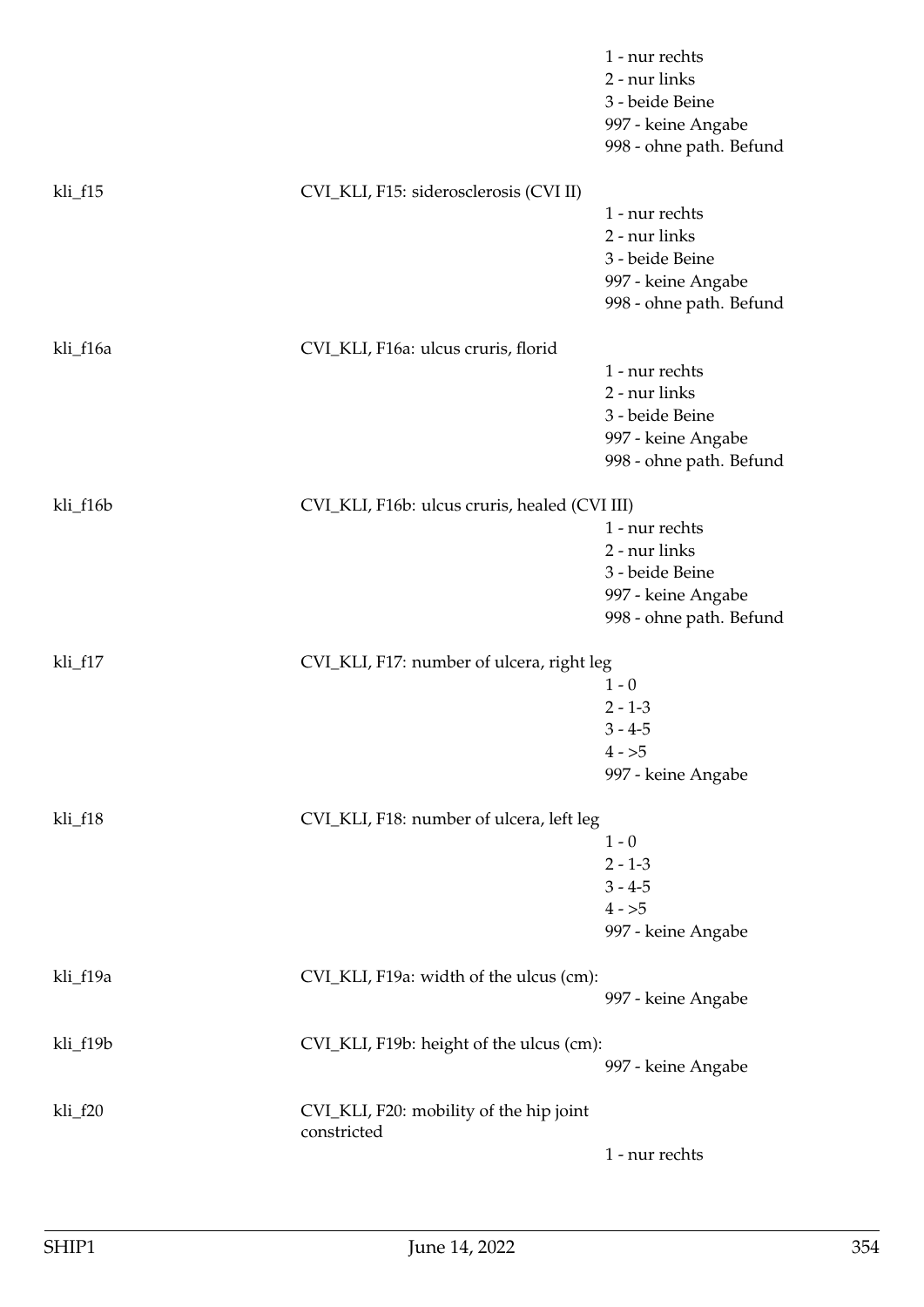|          |                                                        | 1 - nur rechts<br>2 - nur links<br>3 - beide Beine<br>997 - keine Angabe<br>998 - ohne path. Befund |
|----------|--------------------------------------------------------|-----------------------------------------------------------------------------------------------------|
| kli_f15  | CVI_KLI, F15: siderosclerosis (CVI II)                 |                                                                                                     |
|          |                                                        | 1 - nur rechts                                                                                      |
|          |                                                        | 2 - nur links                                                                                       |
|          |                                                        | 3 - beide Beine<br>997 - keine Angabe                                                               |
|          |                                                        | 998 - ohne path. Befund                                                                             |
| kli_f16a | CVI_KLI, F16a: ulcus cruris, florid                    |                                                                                                     |
|          |                                                        | 1 - nur rechts                                                                                      |
|          |                                                        | 2 - nur links                                                                                       |
|          |                                                        | 3 - beide Beine                                                                                     |
|          |                                                        | 997 - keine Angabe<br>998 - ohne path. Befund                                                       |
|          |                                                        |                                                                                                     |
| kli_f16b | CVI_KLI, F16b: ulcus cruris, healed (CVI III)          |                                                                                                     |
|          |                                                        | 1 - nur rechts                                                                                      |
|          |                                                        | 2 - nur links                                                                                       |
|          |                                                        | 3 - beide Beine<br>997 - keine Angabe                                                               |
|          |                                                        | 998 - ohne path. Befund                                                                             |
|          |                                                        |                                                                                                     |
| kli_f17  | CVI_KLI, F17: number of ulcera, right leg              |                                                                                                     |
|          |                                                        | $1 - 0$                                                                                             |
|          |                                                        | $2 - 1 - 3$                                                                                         |
|          |                                                        | $3 - 4 - 5$<br>$4 - 5$                                                                              |
|          |                                                        | 997 - keine Angabe                                                                                  |
|          |                                                        |                                                                                                     |
| kli_f18  | CVI_KLI, F18: number of ulcera, left leg               |                                                                                                     |
|          |                                                        | $1 - 0$<br>$2 - 1 - 3$                                                                              |
|          |                                                        | $3 - 4 - 5$                                                                                         |
|          |                                                        | $4 - 5$                                                                                             |
|          |                                                        | 997 - keine Angabe                                                                                  |
|          |                                                        |                                                                                                     |
| kli_f19a | CVI_KLI, F19a: width of the ulcus (cm):                |                                                                                                     |
|          |                                                        | 997 - keine Angabe                                                                                  |
| kli_f19b | CVI_KLI, F19b: height of the ulcus (cm):               |                                                                                                     |
|          |                                                        | 997 - keine Angabe                                                                                  |
| kli_f20  | CVI_KLI, F20: mobility of the hip joint<br>constricted |                                                                                                     |
|          |                                                        | 1 - nur rechts                                                                                      |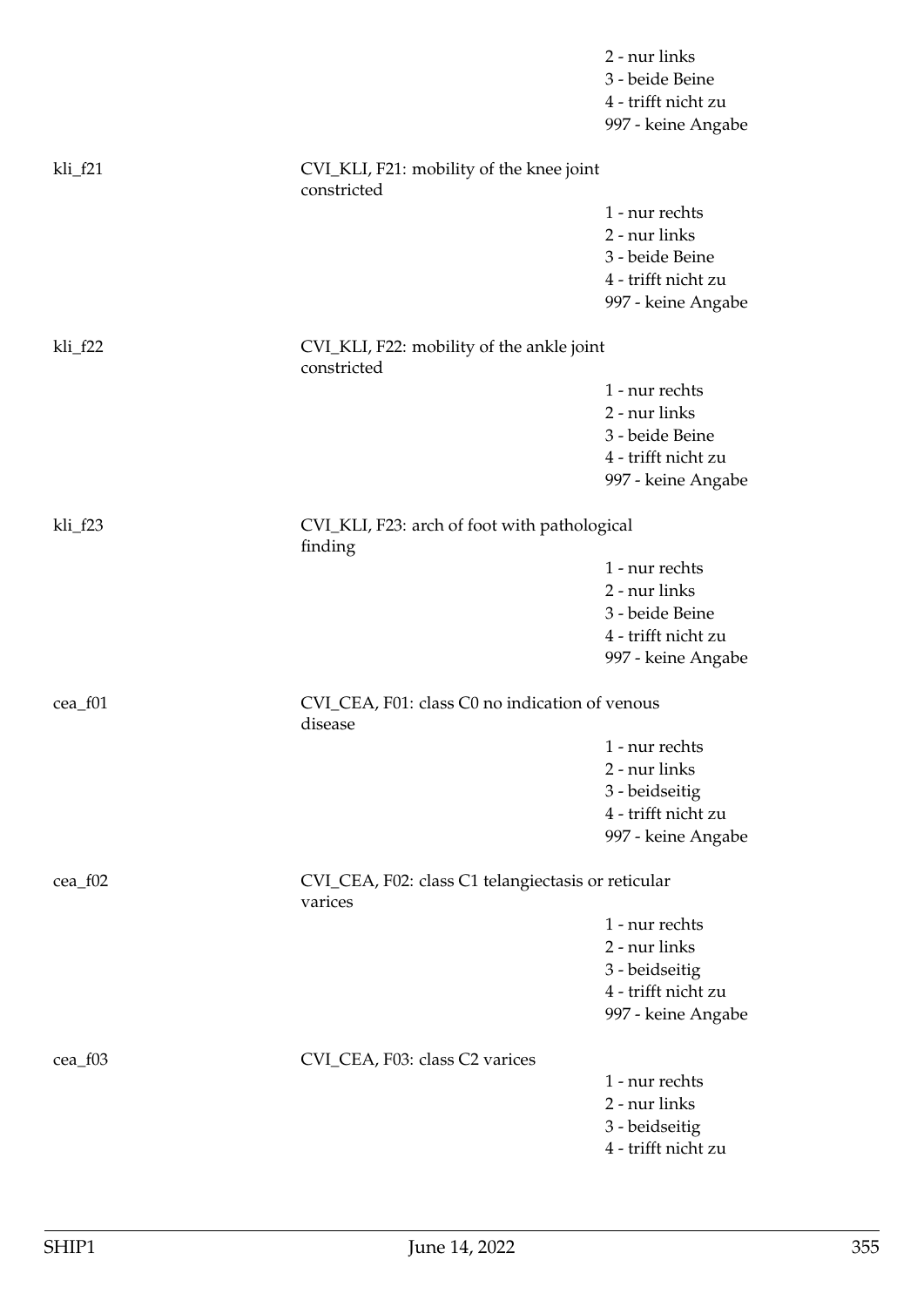|           |                                                               | 2 - nur links<br>3 - beide Beine<br>4 - trifft nicht zu<br>997 - keine Angabe |
|-----------|---------------------------------------------------------------|-------------------------------------------------------------------------------|
| $kli_f21$ | CVI_KLI, F21: mobility of the knee joint<br>constricted       |                                                                               |
|           |                                                               | 1 - nur rechts                                                                |
|           |                                                               | 2 - nur links                                                                 |
|           |                                                               | 3 - beide Beine                                                               |
|           |                                                               | 4 - trifft nicht zu                                                           |
|           |                                                               | 997 - keine Angabe                                                            |
| kli_f22   | CVI_KLI, F22: mobility of the ankle joint<br>constricted      |                                                                               |
|           |                                                               | 1 - nur rechts                                                                |
|           |                                                               | 2 - nur links                                                                 |
|           |                                                               | 3 - beide Beine                                                               |
|           |                                                               | 4 - trifft nicht zu                                                           |
|           |                                                               | 997 - keine Angabe                                                            |
| kli_f23   | CVI_KLI, F23: arch of foot with pathological<br>finding       |                                                                               |
|           |                                                               | 1 - nur rechts                                                                |
|           |                                                               | 2 - nur links                                                                 |
|           |                                                               | 3 - beide Beine                                                               |
|           |                                                               | 4 - trifft nicht zu                                                           |
|           |                                                               | 997 - keine Angabe                                                            |
| cea_f01   | CVI_CEA, F01: class C0 no indication of venous<br>disease     |                                                                               |
|           |                                                               | 1 - nur rechts                                                                |
|           |                                                               | 2 - nur links                                                                 |
|           |                                                               | 3 - beidseitig                                                                |
|           |                                                               | 4 - trifft nicht zu                                                           |
|           |                                                               | 997 - keine Angabe                                                            |
| cea_f02   | CVI_CEA, F02: class C1 telangiectasis or reticular<br>varices |                                                                               |
|           |                                                               | 1 - nur rechts                                                                |
|           |                                                               | 2 - nur links                                                                 |
|           |                                                               | 3 - beidseitig                                                                |
|           |                                                               | 4 - trifft nicht zu                                                           |
|           |                                                               | 997 - keine Angabe                                                            |
| cea_f03   | CVI_CEA, F03: class C2 varices                                |                                                                               |
|           |                                                               | 1 - nur rechts                                                                |
|           |                                                               | 2 - nur links                                                                 |
|           |                                                               | 3 - beidseitig                                                                |
|           |                                                               | 4 - trifft nicht zu                                                           |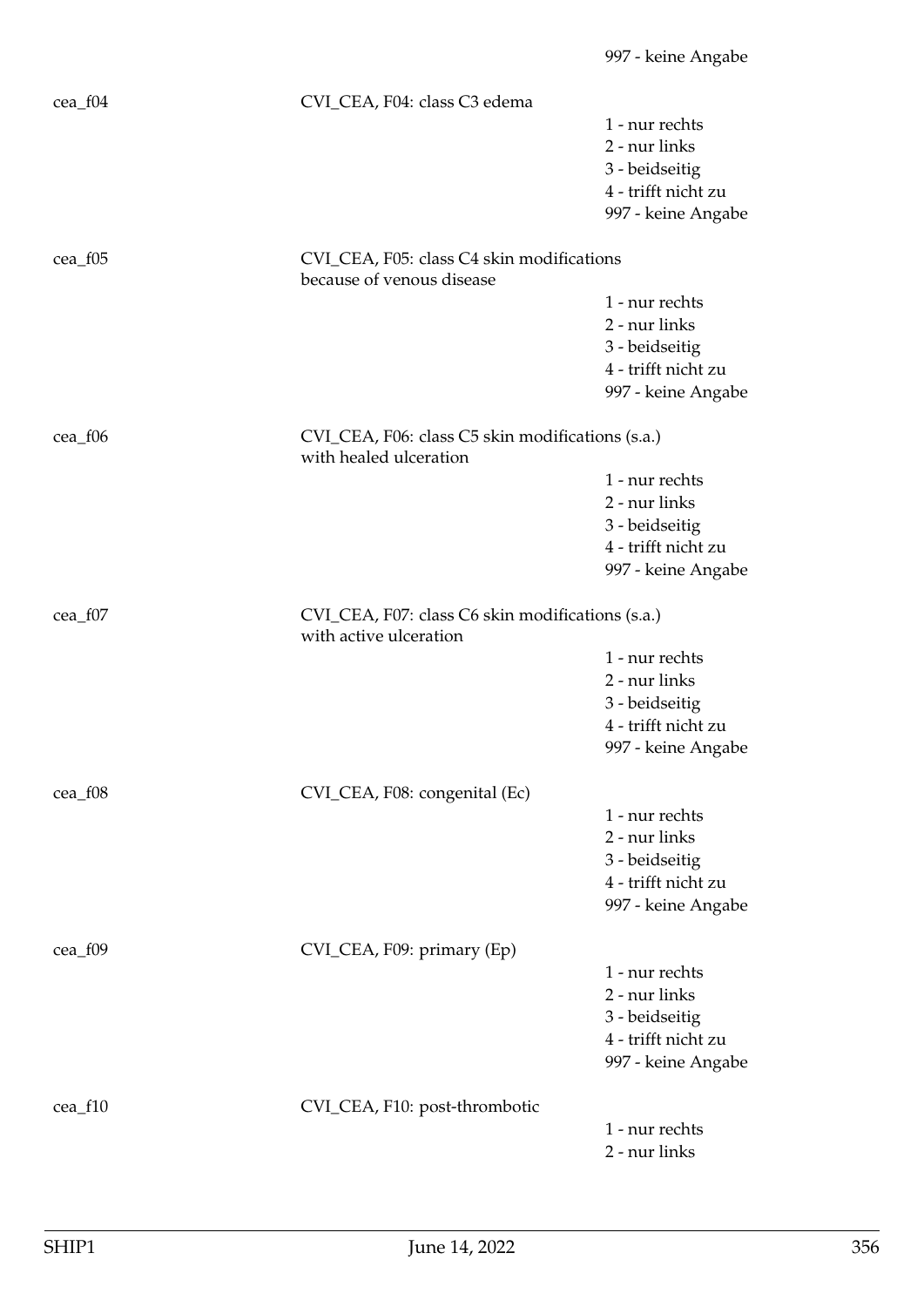| 1 - nur rechts<br>2 - nur links<br>3 - beidseitig<br>4 - trifft nicht zu<br>997 - keine Angabe<br>CVI_CEA, F05: class C4 skin modifications<br>because of venous disease<br>1 - nur rechts<br>2 - nur links<br>3 - beidseitig<br>4 - trifft nicht zu<br>997 - keine Angabe<br>CVI_CEA, F06: class C5 skin modifications (s.a.)<br>with healed ulceration<br>1 - nur rechts<br>2 - nur links<br>3 - beidseitig<br>4 - trifft nicht zu<br>997 - keine Angabe<br>CVI_CEA, F07: class C6 skin modifications (s.a.)<br>$cea_f07$<br>with active ulceration<br>1 - nur rechts<br>2 - nur links<br>3 - beidseitig<br>4 - trifft nicht zu<br>997 - keine Angabe<br>CVI_CEA, F08: congenital (Ec)<br>cea_f08<br>1 - nur rechts<br>2 - nur links<br>3 - beidseitig<br>4 - trifft nicht zu<br>997 - keine Angabe<br>cea_f09<br>CVI_CEA, F09: primary (Ep)<br>1 - nur rechts<br>2 - nur links<br>3 - beidseitig<br>4 - trifft nicht zu<br>997 - keine Angabe<br>CVI_CEA, F10: post-thrombotic<br>cea_f10<br>1 - nur rechts | cea_f04   | CVI_CEA, F04: class C3 edema |               |
|----------------------------------------------------------------------------------------------------------------------------------------------------------------------------------------------------------------------------------------------------------------------------------------------------------------------------------------------------------------------------------------------------------------------------------------------------------------------------------------------------------------------------------------------------------------------------------------------------------------------------------------------------------------------------------------------------------------------------------------------------------------------------------------------------------------------------------------------------------------------------------------------------------------------------------------------------------------------------------------------------------------|-----------|------------------------------|---------------|
|                                                                                                                                                                                                                                                                                                                                                                                                                                                                                                                                                                                                                                                                                                                                                                                                                                                                                                                                                                                                                |           |                              |               |
|                                                                                                                                                                                                                                                                                                                                                                                                                                                                                                                                                                                                                                                                                                                                                                                                                                                                                                                                                                                                                |           |                              |               |
|                                                                                                                                                                                                                                                                                                                                                                                                                                                                                                                                                                                                                                                                                                                                                                                                                                                                                                                                                                                                                |           |                              |               |
|                                                                                                                                                                                                                                                                                                                                                                                                                                                                                                                                                                                                                                                                                                                                                                                                                                                                                                                                                                                                                |           |                              |               |
|                                                                                                                                                                                                                                                                                                                                                                                                                                                                                                                                                                                                                                                                                                                                                                                                                                                                                                                                                                                                                |           |                              |               |
|                                                                                                                                                                                                                                                                                                                                                                                                                                                                                                                                                                                                                                                                                                                                                                                                                                                                                                                                                                                                                |           |                              |               |
|                                                                                                                                                                                                                                                                                                                                                                                                                                                                                                                                                                                                                                                                                                                                                                                                                                                                                                                                                                                                                | $cea_f05$ |                              |               |
|                                                                                                                                                                                                                                                                                                                                                                                                                                                                                                                                                                                                                                                                                                                                                                                                                                                                                                                                                                                                                |           |                              |               |
|                                                                                                                                                                                                                                                                                                                                                                                                                                                                                                                                                                                                                                                                                                                                                                                                                                                                                                                                                                                                                |           |                              |               |
|                                                                                                                                                                                                                                                                                                                                                                                                                                                                                                                                                                                                                                                                                                                                                                                                                                                                                                                                                                                                                |           |                              |               |
|                                                                                                                                                                                                                                                                                                                                                                                                                                                                                                                                                                                                                                                                                                                                                                                                                                                                                                                                                                                                                |           |                              |               |
|                                                                                                                                                                                                                                                                                                                                                                                                                                                                                                                                                                                                                                                                                                                                                                                                                                                                                                                                                                                                                |           |                              |               |
|                                                                                                                                                                                                                                                                                                                                                                                                                                                                                                                                                                                                                                                                                                                                                                                                                                                                                                                                                                                                                |           |                              |               |
|                                                                                                                                                                                                                                                                                                                                                                                                                                                                                                                                                                                                                                                                                                                                                                                                                                                                                                                                                                                                                | cea_f06   |                              |               |
|                                                                                                                                                                                                                                                                                                                                                                                                                                                                                                                                                                                                                                                                                                                                                                                                                                                                                                                                                                                                                |           |                              |               |
|                                                                                                                                                                                                                                                                                                                                                                                                                                                                                                                                                                                                                                                                                                                                                                                                                                                                                                                                                                                                                |           |                              |               |
|                                                                                                                                                                                                                                                                                                                                                                                                                                                                                                                                                                                                                                                                                                                                                                                                                                                                                                                                                                                                                |           |                              |               |
|                                                                                                                                                                                                                                                                                                                                                                                                                                                                                                                                                                                                                                                                                                                                                                                                                                                                                                                                                                                                                |           |                              |               |
|                                                                                                                                                                                                                                                                                                                                                                                                                                                                                                                                                                                                                                                                                                                                                                                                                                                                                                                                                                                                                |           |                              |               |
|                                                                                                                                                                                                                                                                                                                                                                                                                                                                                                                                                                                                                                                                                                                                                                                                                                                                                                                                                                                                                |           |                              |               |
|                                                                                                                                                                                                                                                                                                                                                                                                                                                                                                                                                                                                                                                                                                                                                                                                                                                                                                                                                                                                                |           |                              |               |
|                                                                                                                                                                                                                                                                                                                                                                                                                                                                                                                                                                                                                                                                                                                                                                                                                                                                                                                                                                                                                |           |                              |               |
|                                                                                                                                                                                                                                                                                                                                                                                                                                                                                                                                                                                                                                                                                                                                                                                                                                                                                                                                                                                                                |           |                              |               |
|                                                                                                                                                                                                                                                                                                                                                                                                                                                                                                                                                                                                                                                                                                                                                                                                                                                                                                                                                                                                                |           |                              |               |
|                                                                                                                                                                                                                                                                                                                                                                                                                                                                                                                                                                                                                                                                                                                                                                                                                                                                                                                                                                                                                |           |                              |               |
|                                                                                                                                                                                                                                                                                                                                                                                                                                                                                                                                                                                                                                                                                                                                                                                                                                                                                                                                                                                                                |           |                              |               |
|                                                                                                                                                                                                                                                                                                                                                                                                                                                                                                                                                                                                                                                                                                                                                                                                                                                                                                                                                                                                                |           |                              |               |
|                                                                                                                                                                                                                                                                                                                                                                                                                                                                                                                                                                                                                                                                                                                                                                                                                                                                                                                                                                                                                |           |                              |               |
|                                                                                                                                                                                                                                                                                                                                                                                                                                                                                                                                                                                                                                                                                                                                                                                                                                                                                                                                                                                                                |           |                              |               |
|                                                                                                                                                                                                                                                                                                                                                                                                                                                                                                                                                                                                                                                                                                                                                                                                                                                                                                                                                                                                                |           |                              |               |
|                                                                                                                                                                                                                                                                                                                                                                                                                                                                                                                                                                                                                                                                                                                                                                                                                                                                                                                                                                                                                |           |                              |               |
|                                                                                                                                                                                                                                                                                                                                                                                                                                                                                                                                                                                                                                                                                                                                                                                                                                                                                                                                                                                                                |           |                              |               |
|                                                                                                                                                                                                                                                                                                                                                                                                                                                                                                                                                                                                                                                                                                                                                                                                                                                                                                                                                                                                                |           |                              |               |
|                                                                                                                                                                                                                                                                                                                                                                                                                                                                                                                                                                                                                                                                                                                                                                                                                                                                                                                                                                                                                |           |                              |               |
|                                                                                                                                                                                                                                                                                                                                                                                                                                                                                                                                                                                                                                                                                                                                                                                                                                                                                                                                                                                                                |           |                              |               |
|                                                                                                                                                                                                                                                                                                                                                                                                                                                                                                                                                                                                                                                                                                                                                                                                                                                                                                                                                                                                                |           |                              |               |
|                                                                                                                                                                                                                                                                                                                                                                                                                                                                                                                                                                                                                                                                                                                                                                                                                                                                                                                                                                                                                |           |                              |               |
|                                                                                                                                                                                                                                                                                                                                                                                                                                                                                                                                                                                                                                                                                                                                                                                                                                                                                                                                                                                                                |           |                              |               |
|                                                                                                                                                                                                                                                                                                                                                                                                                                                                                                                                                                                                                                                                                                                                                                                                                                                                                                                                                                                                                |           |                              |               |
|                                                                                                                                                                                                                                                                                                                                                                                                                                                                                                                                                                                                                                                                                                                                                                                                                                                                                                                                                                                                                |           |                              |               |
|                                                                                                                                                                                                                                                                                                                                                                                                                                                                                                                                                                                                                                                                                                                                                                                                                                                                                                                                                                                                                |           |                              |               |
|                                                                                                                                                                                                                                                                                                                                                                                                                                                                                                                                                                                                                                                                                                                                                                                                                                                                                                                                                                                                                |           |                              |               |
|                                                                                                                                                                                                                                                                                                                                                                                                                                                                                                                                                                                                                                                                                                                                                                                                                                                                                                                                                                                                                |           |                              | 2 - nur links |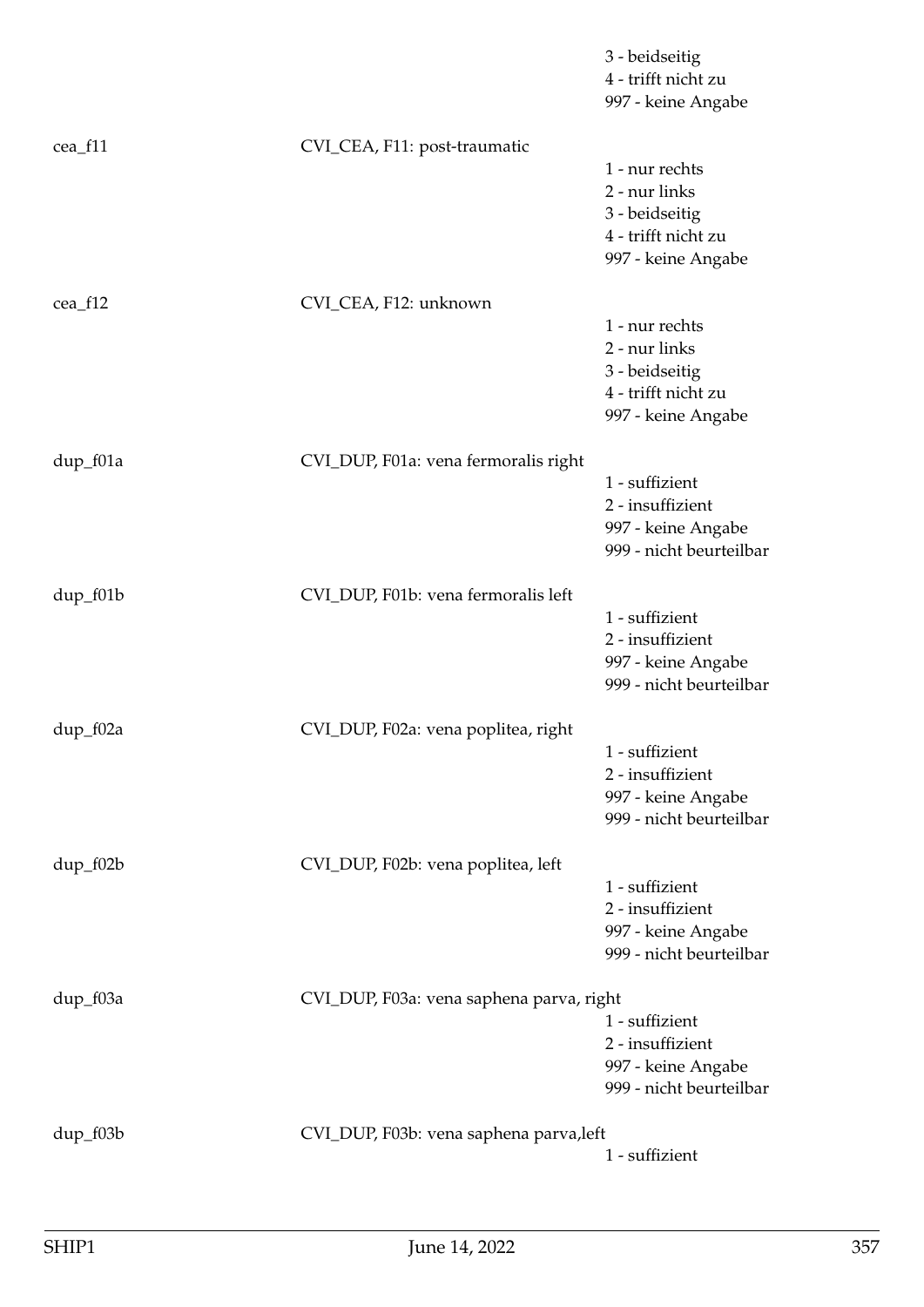|            |                                          | 3 - beidseitig<br>4 - trifft nicht zu<br>997 - keine Angabe                                    |
|------------|------------------------------------------|------------------------------------------------------------------------------------------------|
| cea_f11    | CVI_CEA, F11: post-traumatic             | 1 - nur rechts<br>2 - nur links<br>3 - beidseitig<br>4 - trifft nicht zu<br>997 - keine Angabe |
| cea_f12    | CVI_CEA, F12: unknown                    | 1 - nur rechts<br>2 - nur links<br>3 - beidseitig<br>4 - trifft nicht zu<br>997 - keine Angabe |
| dup_f01a   | CVI_DUP, F01a: vena fermoralis right     | 1 - suffizient<br>2 - insuffizient<br>997 - keine Angabe<br>999 - nicht beurteilbar            |
| dup_f01b   | CVI_DUP, F01b: vena fermoralis left      | 1 - suffizient<br>2 - insuffizient<br>997 - keine Angabe<br>999 - nicht beurteilbar            |
| dup_f02a   | CVI_DUP, F02a: vena poplitea, right      | 1 - suffizient<br>2 - insuffizient<br>997 - keine Angabe<br>999 - nicht beurteilbar            |
| dup_f02b   | CVI_DUP, F02b: vena poplitea, left       | 1 - suffizient<br>2 - insuffizient<br>997 - keine Angabe<br>999 - nicht beurteilbar            |
| dup_f03a   | CVI_DUP, F03a: vena saphena parva, right | 1 - suffizient<br>2 - insuffizient<br>997 - keine Angabe<br>999 - nicht beurteilbar            |
| $dup_f03b$ | CVI_DUP, F03b: vena saphena parva, left  | 1 - suffizient                                                                                 |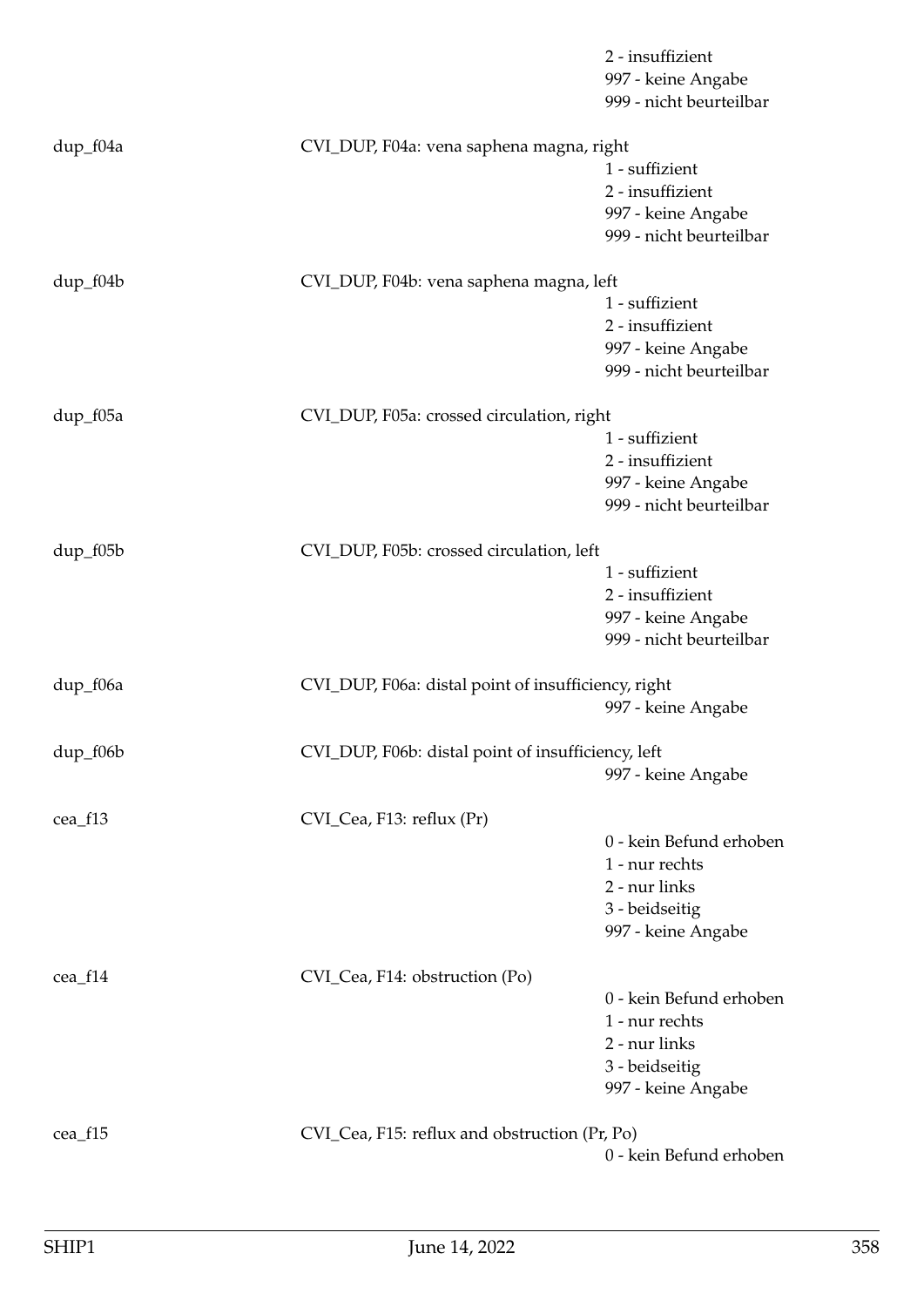|            |                                                     | 2 - insuffizient<br>997 - keine Angabe<br>999 - nicht beurteilbar |
|------------|-----------------------------------------------------|-------------------------------------------------------------------|
| dup_f04a   | CVI_DUP, F04a: vena saphena magna, right            | 1 - suffizient                                                    |
|            |                                                     | 2 - insuffizient                                                  |
|            |                                                     | 997 - keine Angabe                                                |
|            |                                                     | 999 - nicht beurteilbar                                           |
| dup_f04b   | CVI_DUP, F04b: vena saphena magna, left             |                                                                   |
|            |                                                     | 1 - suffizient                                                    |
|            |                                                     | 2 - insuffizient                                                  |
|            |                                                     | 997 - keine Angabe                                                |
|            |                                                     | 999 - nicht beurteilbar                                           |
| dup_f05a   | CVI_DUP, F05a: crossed circulation, right           |                                                                   |
|            |                                                     | 1 - suffizient                                                    |
|            |                                                     | 2 - insuffizient                                                  |
|            |                                                     | 997 - keine Angabe                                                |
|            |                                                     | 999 - nicht beurteilbar                                           |
| $dup_f05b$ | CVI_DUP, F05b: crossed circulation, left            |                                                                   |
|            |                                                     | 1 - suffizient                                                    |
|            |                                                     | 2 - insuffizient                                                  |
|            |                                                     | 997 - keine Angabe                                                |
|            |                                                     | 999 - nicht beurteilbar                                           |
| dup_f06a   | CVI_DUP, F06a: distal point of insufficiency, right |                                                                   |
|            |                                                     | 997 - keine Angabe                                                |
| dup_f06b   | CVI_DUP, F06b: distal point of insufficiency, left  |                                                                   |
|            |                                                     | 997 - keine Angabe                                                |
|            |                                                     |                                                                   |
| cea_f13    | CVI_Cea, F13: reflux (Pr)                           | 0 - kein Befund erhoben                                           |
|            |                                                     | 1 - nur rechts                                                    |
|            |                                                     | 2 - nur links                                                     |
|            |                                                     | 3 - beidseitig                                                    |
|            |                                                     | 997 - keine Angabe                                                |
|            |                                                     |                                                                   |
| cea_f14    | CVI_Cea, F14: obstruction (Po)                      |                                                                   |
|            |                                                     | 0 - kein Befund erhoben                                           |
|            |                                                     | 1 - nur rechts                                                    |
|            |                                                     | 2 - nur links<br>3 - beidseitig                                   |
|            |                                                     | 997 - keine Angabe                                                |
|            |                                                     |                                                                   |
| cea_f15    | CVI_Cea, F15: reflux and obstruction (Pr, Po)       |                                                                   |
|            |                                                     | 0 - kein Befund erhoben                                           |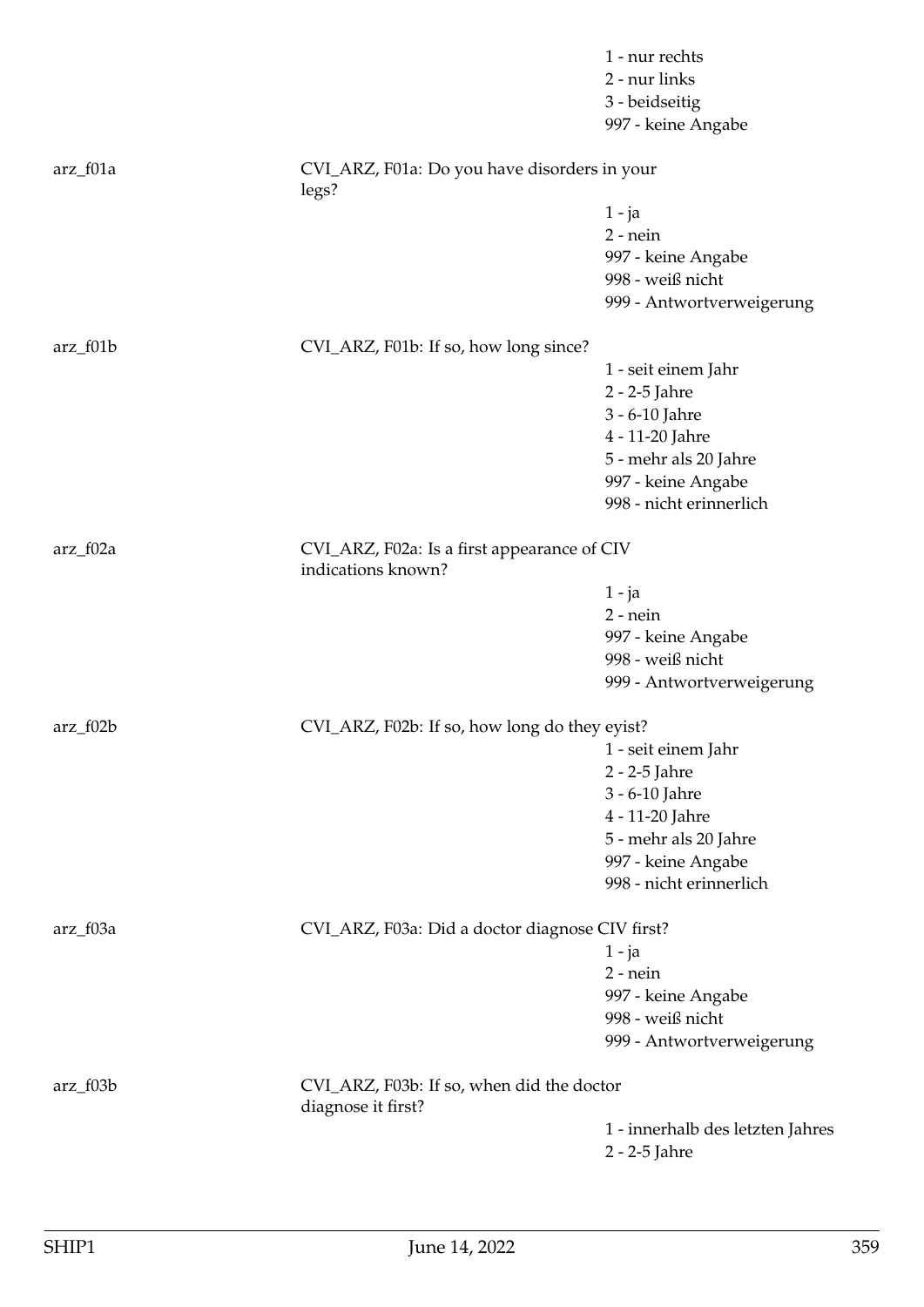|            |                                                                   | 1 - nur rechts<br>2 - nur links<br>3 - beidseitig<br>997 - keine Angabe |
|------------|-------------------------------------------------------------------|-------------------------------------------------------------------------|
| $arz_f01a$ | CVI_ARZ, F01a: Do you have disorders in your<br>legs?             |                                                                         |
|            |                                                                   | $1 - ja$                                                                |
|            |                                                                   | $2$ - nein                                                              |
|            |                                                                   | 997 - keine Angabe                                                      |
|            |                                                                   | 998 - weiß nicht                                                        |
|            |                                                                   | 999 - Antwortverweigerung                                               |
| $arz_f01b$ | CVI_ARZ, F01b: If so, how long since?                             |                                                                         |
|            |                                                                   | 1 - seit einem Jahr                                                     |
|            |                                                                   | 2 - 2-5 Jahre                                                           |
|            |                                                                   | 3 - 6-10 Jahre                                                          |
|            |                                                                   | 4 - 11-20 Jahre                                                         |
|            |                                                                   | 5 - mehr als 20 Jahre                                                   |
|            |                                                                   | 997 - keine Angabe                                                      |
|            |                                                                   | 998 - nicht erinnerlich                                                 |
| $arz_f02a$ | CVI_ARZ, F02a: Is a first appearance of CIV<br>indications known? |                                                                         |
|            |                                                                   | $1 - ja$                                                                |
|            |                                                                   | $2$ - nein                                                              |
|            |                                                                   | 997 - keine Angabe                                                      |
|            |                                                                   | 998 - weiß nicht                                                        |
|            |                                                                   | 999 - Antwortverweigerung                                               |
| $arz_f02b$ | CVI_ARZ, F02b: If so, how long do they eyist?                     |                                                                         |
|            |                                                                   | 1 - seit einem Jahr                                                     |
|            |                                                                   | 2 - 2-5 Jahre                                                           |
|            |                                                                   | 3 - 6-10 Jahre                                                          |
|            |                                                                   | 4 - 11-20 Jahre                                                         |
|            |                                                                   | 5 - mehr als 20 Jahre                                                   |
|            |                                                                   | 997 - keine Angabe                                                      |
|            |                                                                   | 998 - nicht erinnerlich                                                 |
| $arz_f03a$ | CVI_ARZ, F03a: Did a doctor diagnose CIV first?                   |                                                                         |
|            |                                                                   | $1 - ja$                                                                |
|            |                                                                   | $2$ - nein                                                              |
|            |                                                                   | 997 - keine Angabe                                                      |
|            |                                                                   | 998 - weiß nicht                                                        |
|            |                                                                   | 999 - Antwortverweigerung                                               |
| $arz_f03b$ | CVI_ARZ, F03b: If so, when did the doctor<br>diagnose it first?   |                                                                         |
|            |                                                                   | 1 - innerhalb des letzten Jahres                                        |
|            |                                                                   | 2 - 2-5 Jahre                                                           |
|            |                                                                   |                                                                         |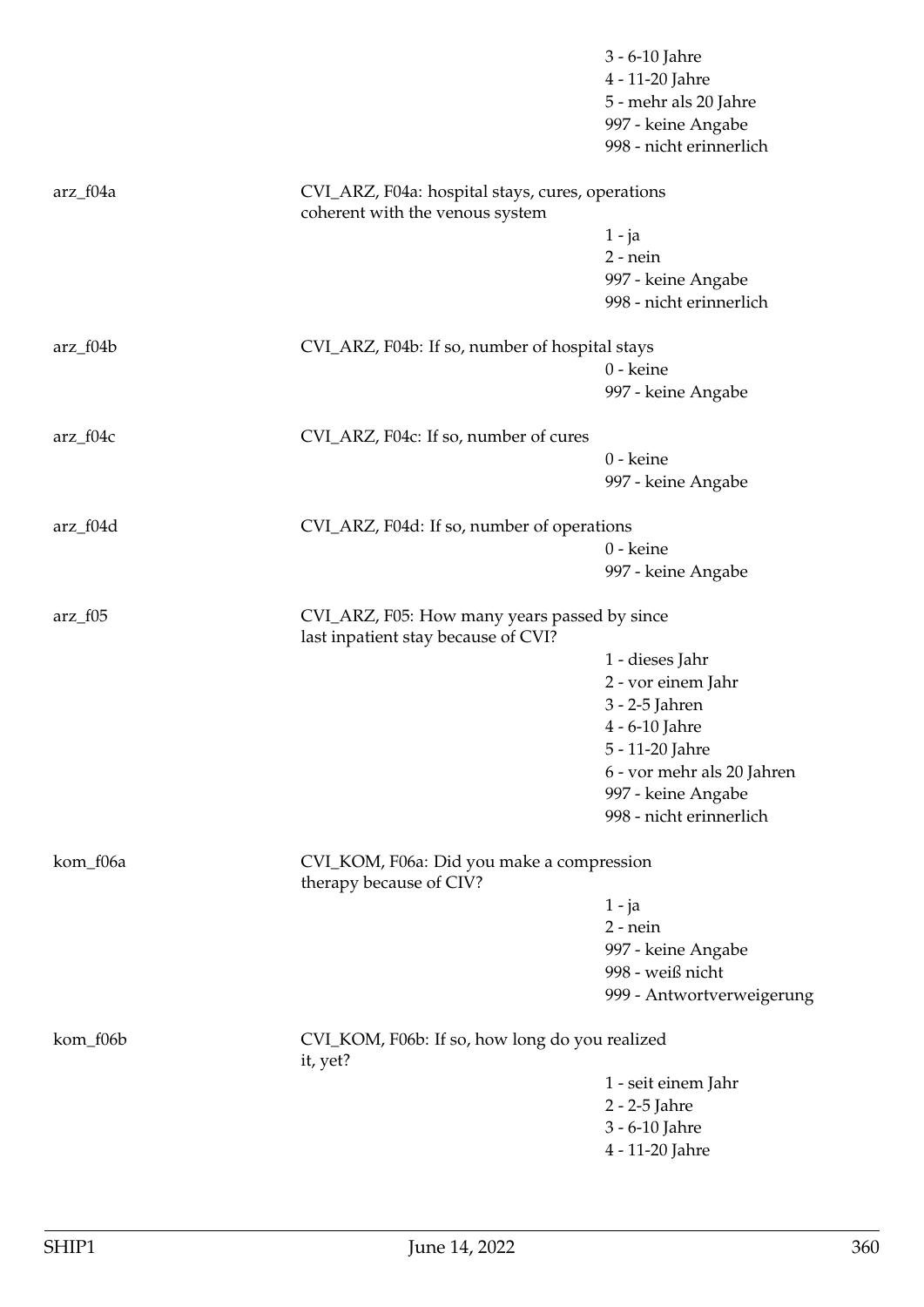|           |                                                                                     | 3 - 6-10 Jahre<br>4 - 11-20 Jahre<br>5 - mehr als 20 Jahre<br>997 - keine Angabe<br>998 - nicht erinnerlich |
|-----------|-------------------------------------------------------------------------------------|-------------------------------------------------------------------------------------------------------------|
| arz_f04a  | CVI_ARZ, F04a: hospital stays, cures, operations<br>coherent with the venous system |                                                                                                             |
|           |                                                                                     | $1 - ja$                                                                                                    |
|           |                                                                                     | $2$ - nein                                                                                                  |
|           |                                                                                     | 997 - keine Angabe                                                                                          |
|           |                                                                                     | 998 - nicht erinnerlich                                                                                     |
| arz_f04b  | CVI_ARZ, F04b: If so, number of hospital stays                                      |                                                                                                             |
|           |                                                                                     | 0 - keine                                                                                                   |
|           |                                                                                     | 997 - keine Angabe                                                                                          |
| arz_f04c  | CVI_ARZ, F04c: If so, number of cures                                               |                                                                                                             |
|           |                                                                                     | 0 - keine                                                                                                   |
|           |                                                                                     | 997 - keine Angabe                                                                                          |
| arz_f04d  | CVI_ARZ, F04d: If so, number of operations                                          |                                                                                                             |
|           |                                                                                     | 0 - keine                                                                                                   |
|           |                                                                                     | 997 - keine Angabe                                                                                          |
| $arz_f05$ | CVI_ARZ, F05: How many years passed by since<br>last inpatient stay because of CVI? |                                                                                                             |
|           |                                                                                     | 1 - dieses Jahr                                                                                             |
|           |                                                                                     | 2 - vor einem Jahr                                                                                          |
|           |                                                                                     | 3 - 2-5 Jahren                                                                                              |
|           |                                                                                     | 4 - 6-10 Jahre                                                                                              |
|           |                                                                                     | 5 - 11-20 Jahre                                                                                             |
|           |                                                                                     | 6 - vor mehr als 20 Jahren                                                                                  |
|           |                                                                                     | 997 - keine Angabe<br>998 - nicht erinnerlich                                                               |
| kom_f06a  | CVI_KOM, F06a: Did you make a compression<br>therapy because of CIV?                |                                                                                                             |
|           |                                                                                     | $1 - ja$                                                                                                    |
|           |                                                                                     | $2$ - nein                                                                                                  |
|           |                                                                                     | 997 - keine Angabe                                                                                          |
|           |                                                                                     | 998 - weiß nicht                                                                                            |
|           |                                                                                     | 999 - Antwortverweigerung                                                                                   |
| kom_f06b  | CVI_KOM, F06b: If so, how long do you realized<br>it, yet?                          |                                                                                                             |
|           |                                                                                     | 1 - seit einem Jahr                                                                                         |
|           |                                                                                     | 2 - 2-5 Jahre                                                                                               |
|           |                                                                                     | 3 - 6-10 Jahre                                                                                              |
|           |                                                                                     | 4 - 11-20 Jahre                                                                                             |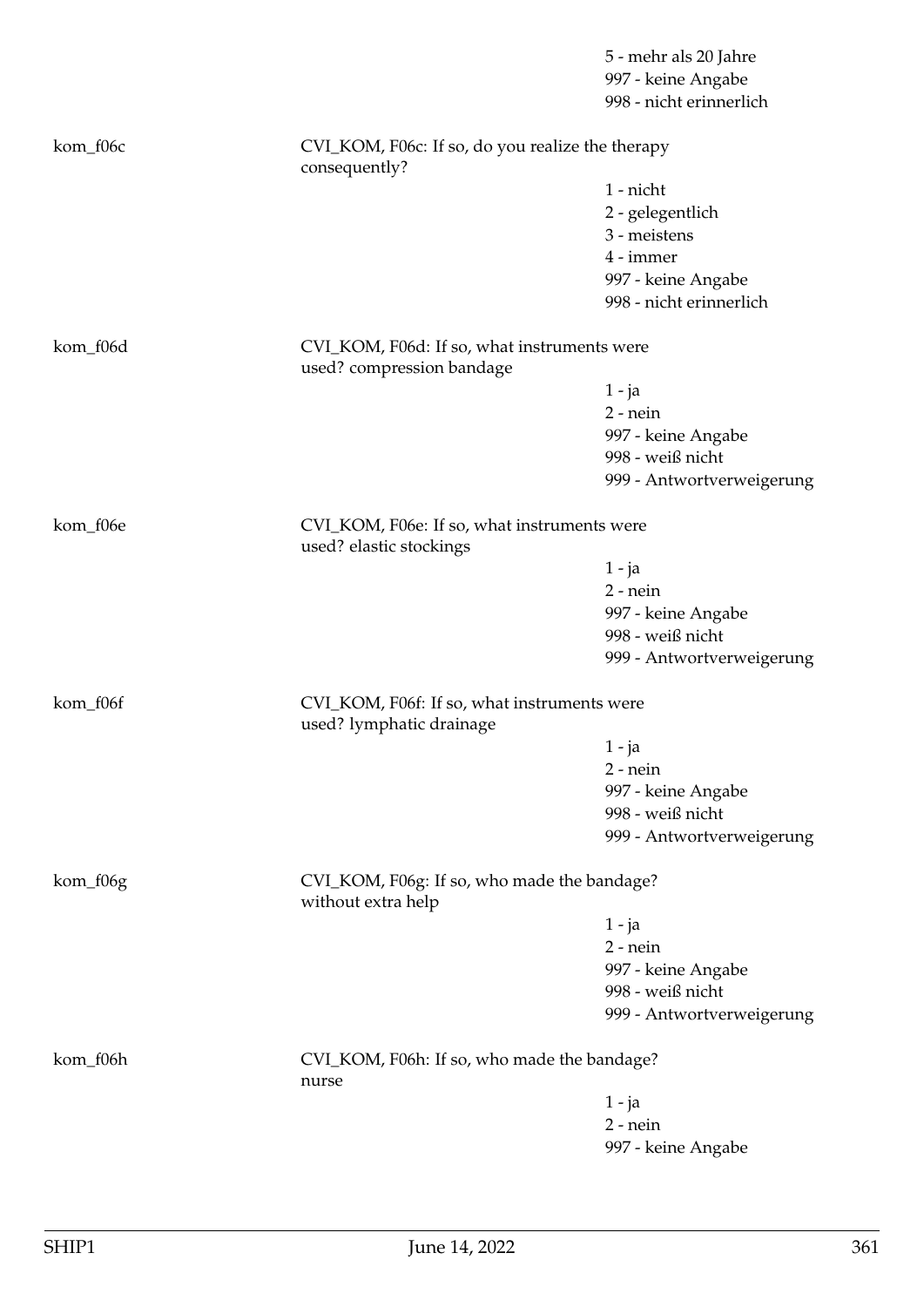|          |                                                                          | 5 - mehr als 20 Jahre<br>997 - keine Angabe<br>998 - nicht erinnerlich |  |
|----------|--------------------------------------------------------------------------|------------------------------------------------------------------------|--|
| kom_f06c | CVI_KOM, F06c: If so, do you realize the therapy<br>consequently?        |                                                                        |  |
|          |                                                                          | 1 - nicht                                                              |  |
|          |                                                                          | 2 - gelegentlich                                                       |  |
|          |                                                                          | 3 - meistens                                                           |  |
|          |                                                                          | 4 - immer                                                              |  |
|          |                                                                          | 997 - keine Angabe                                                     |  |
|          |                                                                          | 998 - nicht erinnerlich                                                |  |
| kom_f06d | CVI_KOM, F06d: If so, what instruments were<br>used? compression bandage |                                                                        |  |
|          |                                                                          | $1 - ja$                                                               |  |
|          |                                                                          | $2$ - nein                                                             |  |
|          |                                                                          | 997 - keine Angabe                                                     |  |
|          |                                                                          | 998 - weiß nicht                                                       |  |
|          |                                                                          | 999 - Antwortverweigerung                                              |  |
| kom_f06e | CVI_KOM, F06e: If so, what instruments were<br>used? elastic stockings   |                                                                        |  |
|          |                                                                          | 1 - ja                                                                 |  |
|          |                                                                          | $2$ - nein                                                             |  |
|          |                                                                          | 997 - keine Angabe                                                     |  |
|          |                                                                          | 998 - weiß nicht                                                       |  |
|          |                                                                          | 999 - Antwortverweigerung                                              |  |
| kom_f06f | CVI_KOM, F06f: If so, what instruments were<br>used? lymphatic drainage  |                                                                        |  |
|          |                                                                          | $1 - ja$                                                               |  |
|          |                                                                          | $2$ - nein                                                             |  |
|          |                                                                          | 997 - keine Angabe                                                     |  |
|          |                                                                          | 998 - weiß nicht                                                       |  |
|          |                                                                          | 999 - Antwortverweigerung                                              |  |
| kom_f06g | CVI_KOM, F06g: If so, who made the bandage?<br>without extra help        |                                                                        |  |
|          |                                                                          | $1 - ja$                                                               |  |
|          |                                                                          | $2$ - nein                                                             |  |
|          |                                                                          | 997 - keine Angabe                                                     |  |
|          |                                                                          | 998 - weiß nicht                                                       |  |
|          |                                                                          | 999 - Antwortverweigerung                                              |  |
| kom_f06h | CVI_KOM, F06h: If so, who made the bandage?<br>nurse                     |                                                                        |  |
|          |                                                                          | $1 - ja$                                                               |  |
|          |                                                                          | $2$ - nein                                                             |  |
|          |                                                                          | 997 - keine Angabe                                                     |  |
|          |                                                                          |                                                                        |  |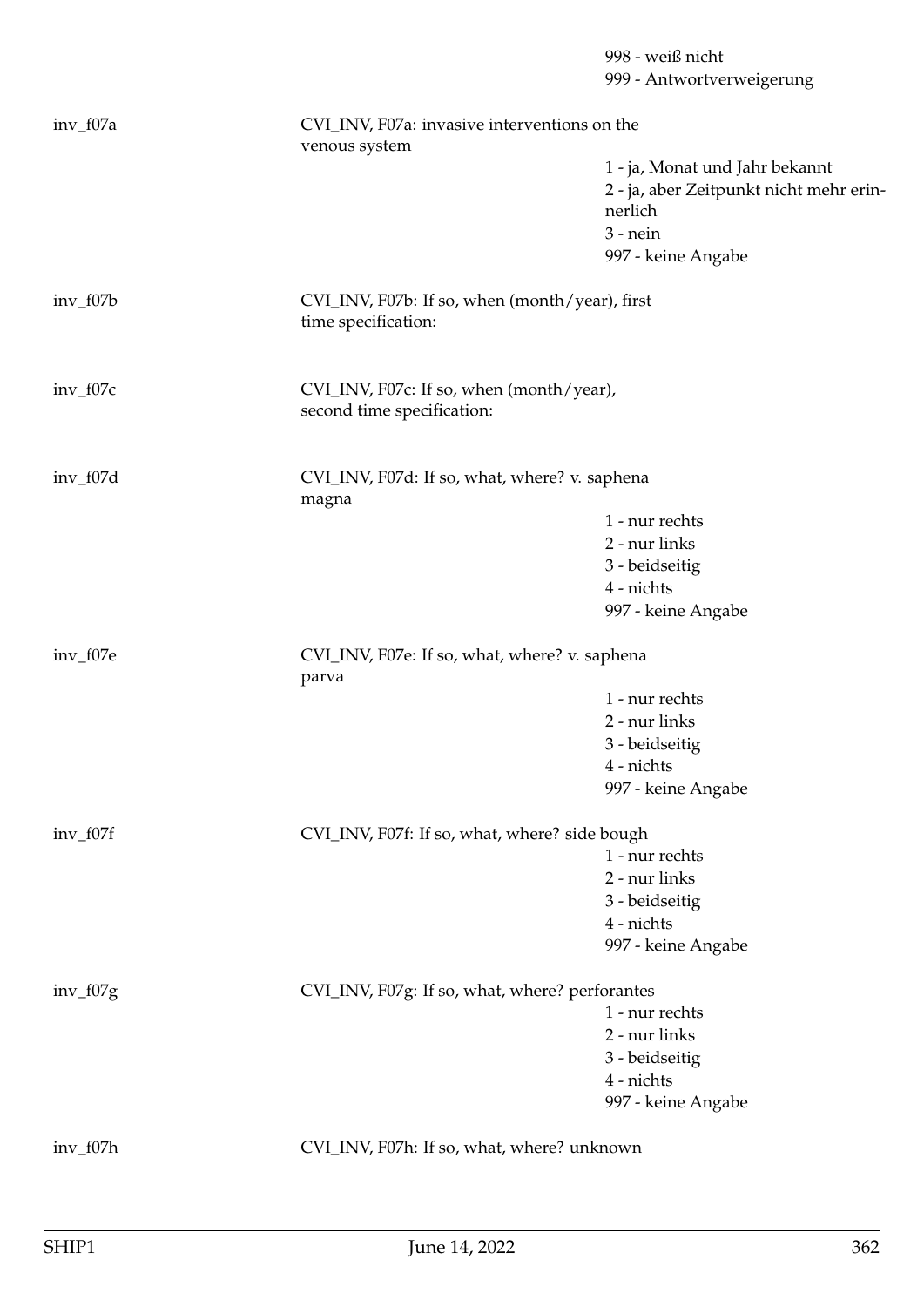998 - weiß nicht 999 - Antwortverweigerung inv\_f07a CVI\_INV, F07a: invasive interventions on the venous system 1 - ja, Monat und Jahr bekannt 2 - ja, aber Zeitpunkt nicht mehr erinnerlich 3 - nein 997 - keine Angabe inv\_f07b CVI\_INV, F07b: If so, when (month/year), first time specification: inv\_f07c CVI\_INV, F07c: If so, when (month/year), second time specification: inv\_f07d CVI\_INV, F07d: If so, what, where? v. saphena magna 1 - nur rechts 2 - nur links 3 - beidseitig 4 - nichts 997 - keine Angabe inv\_f07e CVI\_INV, F07e: If so, what, where? v. saphena parva 1 - nur rechts 2 - nur links 3 - beidseitig 4 - nichts 997 - keine Angabe inv\_f07f CVI\_INV, F07f: If so, what, where? side bough 1 - nur rechts 2 - nur links 3 - beidseitig 4 - nichts 997 - keine Angabe inv\_f07g CVI\_INV, F07g: If so, what, where? perforantes 1 - nur rechts 2 - nur links 3 - beidseitig 4 - nichts 997 - keine Angabe inv\_f07h CVI\_INV, F07h: If so, what, where? unknown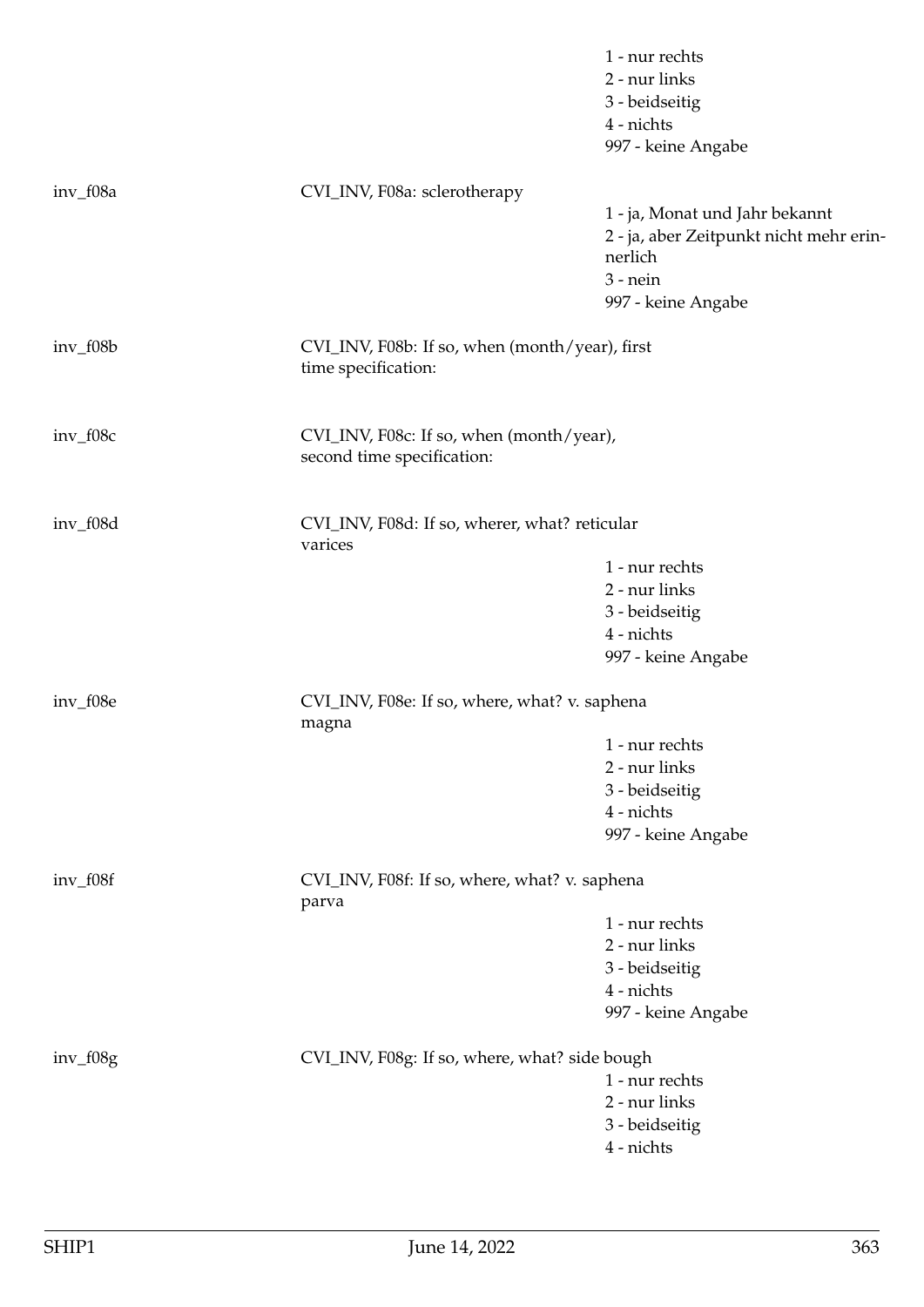|            |                                                          | 1 - nur rechts<br>2 - nur links<br>3 - beidseitig<br>4 - nichts<br>997 - keine Angabe |  |
|------------|----------------------------------------------------------|---------------------------------------------------------------------------------------|--|
| inv_f08a   | CVI_INV, F08a: sclerotherapy                             | 1 - ja, Monat und Jahr bekannt                                                        |  |
|            |                                                          | 2 - ja, aber Zeitpunkt nicht mehr erin-<br>nerlich<br>$3$ - nein                      |  |
|            |                                                          | 997 - keine Angabe                                                                    |  |
| $inv_f08b$ | time specification:                                      | CVI_INV, F08b: If so, when (month/year), first                                        |  |
| inv_f08c   | second time specification:                               | CVI_INV, F08c: If so, when (month/year),                                              |  |
| inv_f08d   | CVI_INV, F08d: If so, wherer, what? reticular<br>varices |                                                                                       |  |
|            |                                                          | 1 - nur rechts                                                                        |  |
|            |                                                          | 2 - nur links                                                                         |  |
|            |                                                          | 3 - beidseitig                                                                        |  |
|            |                                                          | 4 - nichts<br>997 - keine Angabe                                                      |  |
|            |                                                          |                                                                                       |  |
| inv_f08e   | CVI_INV, F08e: If so, where, what? v. saphena<br>magna   |                                                                                       |  |
|            |                                                          | 1 - nur rechts                                                                        |  |
|            |                                                          | 2 - nur links                                                                         |  |
|            |                                                          | 3 - beidseitig                                                                        |  |
|            |                                                          | 4 - nichts                                                                            |  |
|            |                                                          | 997 - keine Angabe                                                                    |  |
| $inv_f08f$ | CVI_INV, F08f: If so, where, what? v. saphena<br>parva   |                                                                                       |  |
|            |                                                          | 1 - nur rechts                                                                        |  |
|            |                                                          | 2 - nur links                                                                         |  |
|            |                                                          | 3 - beidseitig                                                                        |  |
|            |                                                          | 4 - nichts                                                                            |  |
|            |                                                          | 997 - keine Angabe                                                                    |  |
| $inv_f08g$ | CVI_INV, F08g: If so, where, what? side bough            |                                                                                       |  |
|            |                                                          | 1 - nur rechts                                                                        |  |
|            |                                                          | 2 - nur links                                                                         |  |
|            |                                                          | 3 - beidseitig                                                                        |  |
|            |                                                          | 4 - nichts                                                                            |  |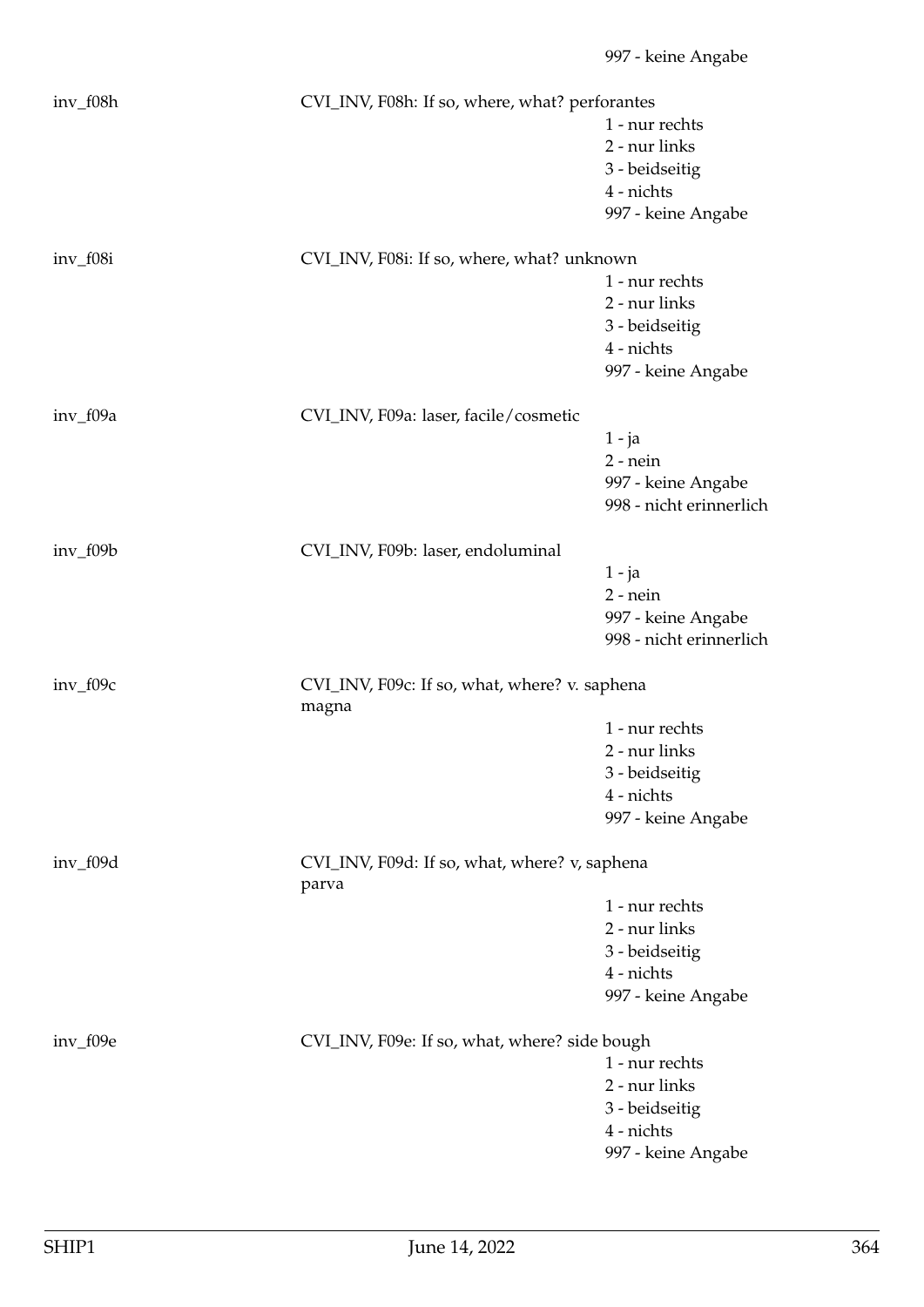| inv_f08h   | CVI_INV, F08h: If so, where, what? perforantes         |                         |  |
|------------|--------------------------------------------------------|-------------------------|--|
|            |                                                        | 1 - nur rechts          |  |
|            |                                                        | 2 - nur links           |  |
|            |                                                        | 3 - beidseitig          |  |
|            |                                                        | 4 - nichts              |  |
|            |                                                        | 997 - keine Angabe      |  |
| inv_f08i   | CVI_INV, F08i: If so, where, what? unknown             |                         |  |
|            |                                                        | 1 - nur rechts          |  |
|            |                                                        | 2 - nur links           |  |
|            |                                                        | 3 - beidseitig          |  |
|            |                                                        | 4 - nichts              |  |
|            |                                                        | 997 - keine Angabe      |  |
| $inv_f09a$ | CVI_INV, F09a: laser, facile/cosmetic                  |                         |  |
|            |                                                        | $1 - ja$                |  |
|            |                                                        | $2$ - nein              |  |
|            |                                                        | 997 - keine Angabe      |  |
|            |                                                        | 998 - nicht erinnerlich |  |
| $inv_f09b$ | CVI_INV, F09b: laser, endoluminal                      |                         |  |
|            |                                                        | $1 - ja$                |  |
|            |                                                        | $2$ - nein              |  |
|            |                                                        | 997 - keine Angabe      |  |
|            |                                                        | 998 - nicht erinnerlich |  |
| $inv_f09c$ | CVI_INV, F09c: If so, what, where? v. saphena<br>magna |                         |  |
|            |                                                        | 1 - nur rechts          |  |
|            |                                                        | 2 - nur links           |  |
|            |                                                        | 3 - beidseitig          |  |
|            |                                                        | 4 - nichts              |  |
|            |                                                        | 997 - keine Angabe      |  |
| inv_f09d   | CVI_INV, F09d: If so, what, where? v, saphena          |                         |  |
|            | parva                                                  |                         |  |
|            |                                                        | 1 - nur rechts          |  |
|            |                                                        | 2 - nur links           |  |
|            |                                                        | 3 - beidseitig          |  |
|            |                                                        | 4 - nichts              |  |
|            |                                                        | 997 - keine Angabe      |  |
| $inv_f09e$ | CVI_INV, F09e: If so, what, where? side bough          |                         |  |
|            |                                                        | 1 - nur rechts          |  |
|            |                                                        | 2 - nur links           |  |
|            |                                                        | 3 - beidseitig          |  |
|            |                                                        | 4 - nichts              |  |
|            |                                                        | 997 - keine Angabe      |  |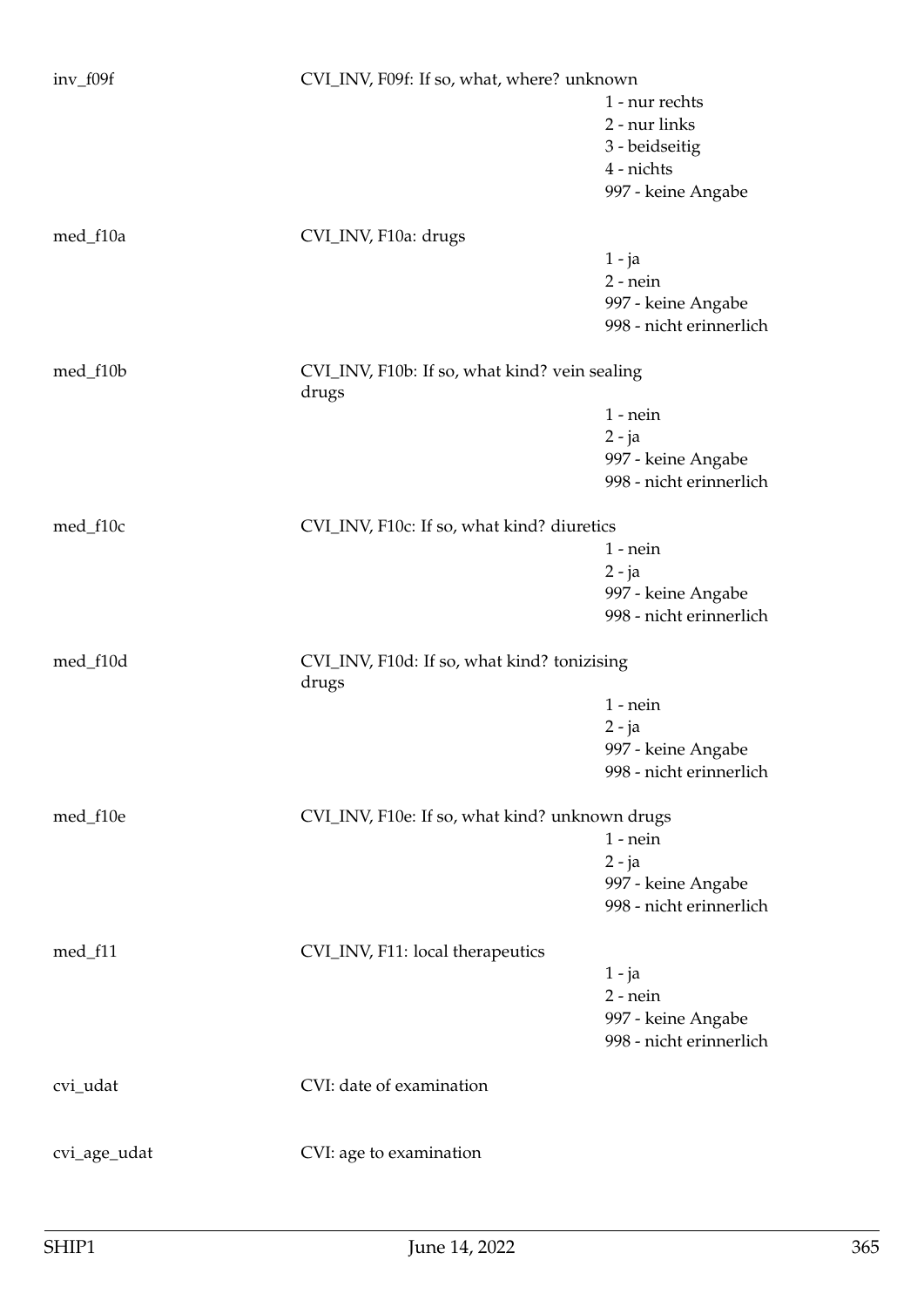| $inv_f09f$   | CVI_INV, F09f: If so, what, where? unknown             |                         |  |
|--------------|--------------------------------------------------------|-------------------------|--|
|              |                                                        | 1 - nur rechts          |  |
|              |                                                        | 2 - nur links           |  |
|              |                                                        | 3 - beidseitig          |  |
|              |                                                        | 4 - nichts              |  |
|              |                                                        |                         |  |
|              |                                                        | 997 - keine Angabe      |  |
| med_f10a     | CVI_INV, F10a: drugs                                   |                         |  |
|              |                                                        | 1 - ja                  |  |
|              |                                                        | $2$ - nein              |  |
|              |                                                        | 997 - keine Angabe      |  |
|              |                                                        | 998 - nicht erinnerlich |  |
| med_f10b     | CVI_INV, F10b: If so, what kind? vein sealing<br>drugs |                         |  |
|              |                                                        | $1$ - nein              |  |
|              |                                                        | $2 - ja$                |  |
|              |                                                        | 997 - keine Angabe      |  |
|              |                                                        | 998 - nicht erinnerlich |  |
|              |                                                        |                         |  |
| med_f10c     | CVI_INV, F10c: If so, what kind? diuretics             |                         |  |
|              |                                                        | $1$ - nein              |  |
|              |                                                        | $2 - ja$                |  |
|              |                                                        | 997 - keine Angabe      |  |
|              |                                                        | 998 - nicht erinnerlich |  |
| med_f10d     | CVI_INV, F10d: If so, what kind? tonizising<br>drugs   |                         |  |
|              |                                                        | $1$ - nein              |  |
|              |                                                        | $2 - ja$                |  |
|              |                                                        | 997 - keine Angabe      |  |
|              |                                                        | 998 - nicht erinnerlich |  |
|              |                                                        |                         |  |
| med_f10e     | CVI_INV, F10e: If so, what kind? unknown drugs         |                         |  |
|              |                                                        | $1$ - $nein$            |  |
|              |                                                        | $2 - ja$                |  |
|              |                                                        | 997 - keine Angabe      |  |
|              |                                                        | 998 - nicht erinnerlich |  |
| med_f11      | CVI_INV, F11: local therapeutics                       |                         |  |
|              |                                                        | 1 - ja                  |  |
|              |                                                        | $2$ - nein              |  |
|              |                                                        | 997 - keine Angabe      |  |
|              |                                                        | 998 - nicht erinnerlich |  |
|              |                                                        |                         |  |
| cvi_udat     | CVI: date of examination                               |                         |  |
|              |                                                        |                         |  |
| cvi_age_udat | CVI: age to examination                                |                         |  |
|              |                                                        |                         |  |